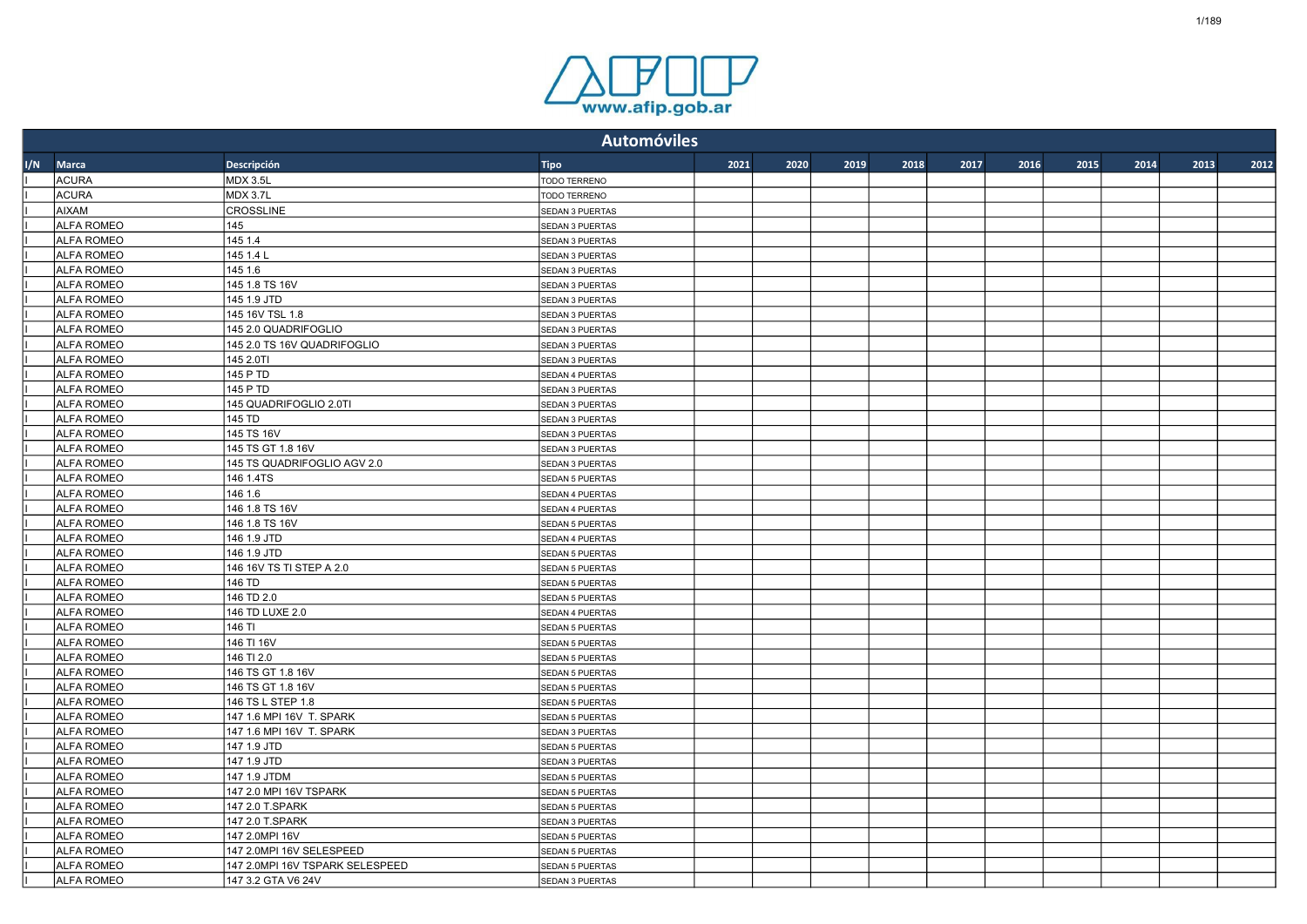

|     |                   |                                 | <b>Automóviles</b>     |      |      |      |      |      |      |      |      |      |      |
|-----|-------------------|---------------------------------|------------------------|------|------|------|------|------|------|------|------|------|------|
| 1/N | Marca             | Descripción                     | <b>Tipo</b>            | 2021 | 2020 | 2019 | 2018 | 2017 | 2016 | 2015 | 2014 | 2013 | 2012 |
|     | <b>ACURA</b>      | <b>MDX 3.5L</b>                 | <b>TODO TERRENO</b>    |      |      |      |      |      |      |      |      |      |      |
|     | <b>ACURA</b>      | MDX 3.7L                        | <b>TODO TERRENO</b>    |      |      |      |      |      |      |      |      |      |      |
|     | <b>AIXAM</b>      | <b>CROSSLINE</b>                | SEDAN 3 PUERTAS        |      |      |      |      |      |      |      |      |      |      |
|     | <b>ALFA ROMEO</b> | 145                             | <b>SEDAN 3 PUERTAS</b> |      |      |      |      |      |      |      |      |      |      |
|     | <b>ALFA ROMEO</b> | 145 1.4                         | SEDAN 3 PUERTAS        |      |      |      |      |      |      |      |      |      |      |
|     | <b>ALFA ROMEO</b> | 145 1.4 L                       | SEDAN 3 PUERTAS        |      |      |      |      |      |      |      |      |      |      |
|     | <b>ALFA ROMEO</b> | 145 1.6                         | SEDAN 3 PUERTAS        |      |      |      |      |      |      |      |      |      |      |
|     | <b>ALFA ROMEO</b> | 145 1.8 TS 16V                  | SEDAN 3 PUERTAS        |      |      |      |      |      |      |      |      |      |      |
|     | <b>ALFA ROMEO</b> | 145 1.9 JTD                     | SEDAN 3 PUERTAS        |      |      |      |      |      |      |      |      |      |      |
|     | <b>ALFA ROMEO</b> | 145 16V TSL 1.8                 | SEDAN 3 PUERTAS        |      |      |      |      |      |      |      |      |      |      |
|     | <b>ALFA ROMEO</b> | 145 2.0 QUADRIFOGLIO            | SEDAN 3 PUERTAS        |      |      |      |      |      |      |      |      |      |      |
|     | <b>ALFA ROMEO</b> | 145 2.0 TS 16V QUADRIFOGLIO     | SEDAN 3 PUERTAS        |      |      |      |      |      |      |      |      |      |      |
|     | <b>ALFA ROMEO</b> | 145 2.0TI                       | <b>SEDAN 3 PUERTAS</b> |      |      |      |      |      |      |      |      |      |      |
|     | <b>ALFA ROMEO</b> | 145 P TD                        | SEDAN 4 PUERTAS        |      |      |      |      |      |      |      |      |      |      |
|     | <b>ALFA ROMEO</b> | 145 P TD                        | SEDAN 3 PUERTAS        |      |      |      |      |      |      |      |      |      |      |
|     | <b>ALFA ROMEO</b> | 145 QUADRIFOGLIO 2.0TI          | SEDAN 3 PUERTAS        |      |      |      |      |      |      |      |      |      |      |
|     | <b>ALFA ROMEO</b> | 145 TD                          | SEDAN 3 PUERTAS        |      |      |      |      |      |      |      |      |      |      |
|     | <b>ALFA ROMEO</b> | 145 TS 16V                      | SEDAN 3 PUERTAS        |      |      |      |      |      |      |      |      |      |      |
|     | <b>ALFA ROMEO</b> | 145 TS GT 1.8 16V               | SEDAN 3 PUERTAS        |      |      |      |      |      |      |      |      |      |      |
|     | <b>ALFA ROMEO</b> | 145 TS QUADRIFOGLIO AGV 2.0     | SEDAN 3 PUERTAS        |      |      |      |      |      |      |      |      |      |      |
|     | <b>ALFA ROMEO</b> | 146 1.4TS                       | <b>SEDAN 5 PUERTAS</b> |      |      |      |      |      |      |      |      |      |      |
|     | <b>ALFA ROMEO</b> | 146 1.6                         | SEDAN 4 PUERTAS        |      |      |      |      |      |      |      |      |      |      |
|     | <b>ALFA ROMEO</b> | 146 1.8 TS 16V                  | SEDAN 4 PUERTAS        |      |      |      |      |      |      |      |      |      |      |
|     | <b>ALFA ROMEO</b> | 146 1.8 TS 16V                  | <b>SEDAN 5 PUERTAS</b> |      |      |      |      |      |      |      |      |      |      |
|     | <b>ALFA ROMEO</b> | 146 1.9 JTD                     | SEDAN 4 PUERTAS        |      |      |      |      |      |      |      |      |      |      |
|     | <b>ALFA ROMEO</b> | 146 1.9 JTD                     | <b>SEDAN 5 PUERTAS</b> |      |      |      |      |      |      |      |      |      |      |
|     | <b>ALFA ROMEO</b> | 146 16V TS TI STEP A 2.0        | SEDAN 5 PUERTAS        |      |      |      |      |      |      |      |      |      |      |
|     | <b>ALFA ROMEO</b> | 146 TD                          | <b>SEDAN 5 PUERTAS</b> |      |      |      |      |      |      |      |      |      |      |
|     | <b>ALFA ROMEO</b> | 146 TD 2.0                      | <b>SEDAN 5 PUERTAS</b> |      |      |      |      |      |      |      |      |      |      |
|     | <b>ALFA ROMEO</b> | 146 TD LUXE 2.0                 | SEDAN 4 PUERTAS        |      |      |      |      |      |      |      |      |      |      |
|     | <b>ALFA ROMEO</b> | 146 TI                          | SEDAN 5 PUERTAS        |      |      |      |      |      |      |      |      |      |      |
|     | <b>ALFA ROMEO</b> | 146 TI 16V                      | SEDAN 5 PUERTAS        |      |      |      |      |      |      |      |      |      |      |
|     | <b>ALFA ROMEO</b> | 146 TI 2.0                      | <b>SEDAN 5 PUERTAS</b> |      |      |      |      |      |      |      |      |      |      |
|     | <b>ALFA ROMEO</b> | 146 TS GT 1.8 16V               | SEDAN 5 PUERTAS        |      |      |      |      |      |      |      |      |      |      |
|     | <b>ALFA ROMEO</b> | 146 TS GT 1.8 16V               | SEDAN 5 PUERTAS        |      |      |      |      |      |      |      |      |      |      |
|     | <b>ALFA ROMEO</b> | 146 TS L STEP 1.8               | SEDAN 5 PUERTAS        |      |      |      |      |      |      |      |      |      |      |
|     | <b>ALFA ROMEO</b> | 147 1.6 MPI 16V T. SPARK        | SEDAN 5 PUERTAS        |      |      |      |      |      |      |      |      |      |      |
|     | <b>ALFA ROMEO</b> | 147 1.6 MPI 16V T. SPARK        | SEDAN 3 PUERTAS        |      |      |      |      |      |      |      |      |      |      |
|     | <b>ALFA ROMEO</b> | 147 1.9 JTD                     | SEDAN 5 PUERTAS        |      |      |      |      |      |      |      |      |      |      |
|     | <b>ALFA ROMEO</b> | 147 1.9 JTD                     | SEDAN 3 PUERTAS        |      |      |      |      |      |      |      |      |      |      |
|     | <b>ALFA ROMEO</b> | 147 1.9 JTDM                    | SEDAN 5 PUERTAS        |      |      |      |      |      |      |      |      |      |      |
|     | <b>ALFA ROMEO</b> | 147 2.0 MPI 16V TSPARK          | <b>SEDAN 5 PUERTAS</b> |      |      |      |      |      |      |      |      |      |      |
|     | <b>ALFA ROMEO</b> | 147 2.0 T.SPARK                 | SEDAN 5 PUERTAS        |      |      |      |      |      |      |      |      |      |      |
|     | <b>ALFA ROMEO</b> | 147 2.0 T.SPARK                 | SEDAN 3 PUERTAS        |      |      |      |      |      |      |      |      |      |      |
|     | <b>ALFA ROMEO</b> | 147 2.0MPI 16V                  | <b>SEDAN 5 PUERTAS</b> |      |      |      |      |      |      |      |      |      |      |
|     | <b>ALFA ROMEO</b> | 147 2.0MPI 16V SELESPEED        | <b>SEDAN 5 PUERTAS</b> |      |      |      |      |      |      |      |      |      |      |
|     | <b>ALFA ROMEO</b> | 147 2.0MPI 16V TSPARK SELESPEED | <b>SEDAN 5 PUERTAS</b> |      |      |      |      |      |      |      |      |      |      |
|     | <b>ALFA ROMEO</b> | 147 3.2 GTA V6 24V              | SEDAN 3 PUERTAS        |      |      |      |      |      |      |      |      |      |      |
|     |                   |                                 |                        |      |      |      |      |      |      |      |      |      |      |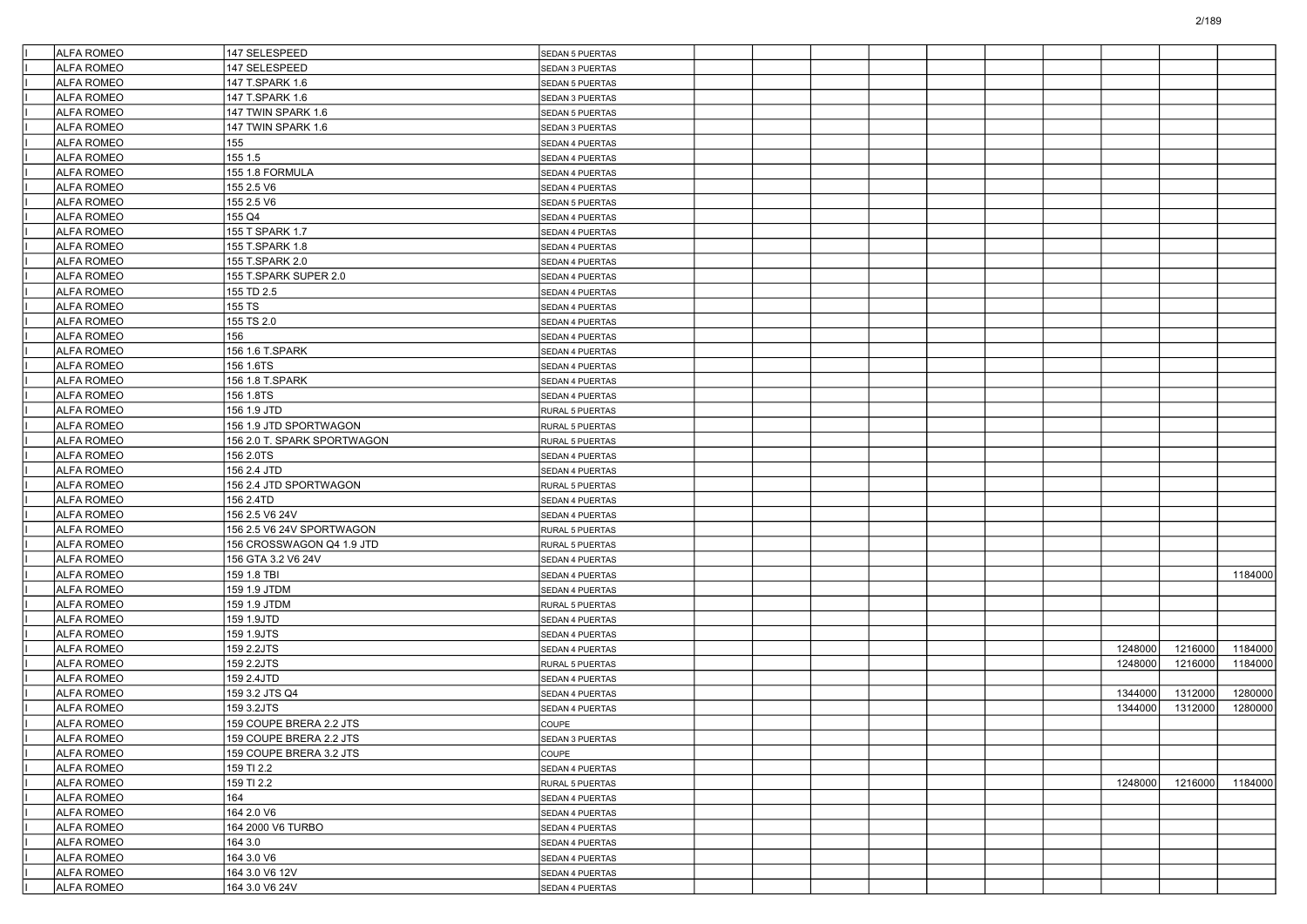| <b>ALFA ROMEO</b>                      | 147 SELESPEED               | SEDAN 5 PUERTAS                    |  |  |  |         |         |         |
|----------------------------------------|-----------------------------|------------------------------------|--|--|--|---------|---------|---------|
| <b>ALFA ROMEO</b>                      | 147 SELESPEED               | SEDAN 3 PUERTAS                    |  |  |  |         |         |         |
| <b>ALFA ROMEO</b>                      | 147 T.SPARK 1.6             | <b>SEDAN 5 PUERTAS</b>             |  |  |  |         |         |         |
| <b>ALFA ROMEO</b>                      | 147 T.SPARK 1.6             | SEDAN 3 PUERTAS                    |  |  |  |         |         |         |
| <b>ALFA ROMEO</b>                      | 147 TWIN SPARK 1.6          | SEDAN 5 PUERTAS                    |  |  |  |         |         |         |
| <b>ALFA ROMEO</b>                      | 147 TWIN SPARK 1.6          | SEDAN 3 PUERTAS                    |  |  |  |         |         |         |
| <b>ALFA ROMEO</b>                      | 155                         | SEDAN 4 PUERTAS                    |  |  |  |         |         |         |
| <b>ALFA ROMEO</b>                      | 155 1.5                     | SEDAN 4 PUERTAS                    |  |  |  |         |         |         |
| <b>ALFA ROMEO</b>                      | 155 1.8 FORMULA             | SEDAN 4 PUERTAS                    |  |  |  |         |         |         |
| <b>ALFA ROMEO</b>                      | 155 2.5 V6                  | SEDAN 4 PUERTAS                    |  |  |  |         |         |         |
| <b>ALFA ROMEO</b>                      | 155 2.5 V6                  | <b>SEDAN 5 PUERTAS</b>             |  |  |  |         |         |         |
| <b>ALFA ROMEO</b>                      | 155 Q4                      | SEDAN 4 PUERTAS                    |  |  |  |         |         |         |
| <b>ALFA ROMEO</b>                      | 155 T SPARK 1.7             | SEDAN 4 PUERTAS                    |  |  |  |         |         |         |
| <b>ALFA ROMEO</b>                      | 155 T.SPARK 1.8             | SEDAN 4 PUERTAS                    |  |  |  |         |         |         |
| <b>ALFA ROMEO</b>                      | 155 T.SPARK 2.0             | SEDAN 4 PUERTAS                    |  |  |  |         |         |         |
| <b>ALFA ROMEO</b>                      | 155 T.SPARK SUPER 2.0       | SEDAN 4 PUERTAS                    |  |  |  |         |         |         |
| <b>ALFA ROMEO</b>                      | 155 TD 2.5                  | SEDAN 4 PUERTAS                    |  |  |  |         |         |         |
| <b>ALFA ROMEO</b>                      | 155 TS                      | SEDAN 4 PUERTAS                    |  |  |  |         |         |         |
| <b>ALFA ROMEO</b>                      | 155 TS 2.0                  | SEDAN 4 PUERTAS                    |  |  |  |         |         |         |
| <b>ALFA ROMEO</b>                      | 156                         | SEDAN 4 PUERTAS                    |  |  |  |         |         |         |
| <b>ALFA ROMEO</b>                      | 156 1.6 T.SPARK             | SEDAN 4 PUERTAS                    |  |  |  |         |         |         |
| <b>ALFA ROMEO</b>                      | 156 1.6TS                   | SEDAN 4 PUERTAS                    |  |  |  |         |         |         |
| <b>ALFA ROMEO</b>                      | 156 1.8 T.SPARK             | SEDAN 4 PUERTAS                    |  |  |  |         |         |         |
| <b>ALFA ROMEO</b>                      | 156 1.8TS                   |                                    |  |  |  |         |         |         |
| <b>ALFA ROMEO</b>                      | 156 1.9 JTD                 | SEDAN 4 PUERTAS<br>RURAL 5 PUERTAS |  |  |  |         |         |         |
| <b>ALFA ROMEO</b>                      | 156 1.9 JTD SPORTWAGON      | RURAL 5 PUERTAS                    |  |  |  |         |         |         |
| <b>ALFA ROMEO</b>                      | 156 2.0 T. SPARK SPORTWAGON |                                    |  |  |  |         |         |         |
| <b>ALFA ROMEO</b>                      | 156 2.0TS                   | RURAL 5 PUERTAS<br>SEDAN 4 PUERTAS |  |  |  |         |         |         |
| <b>ALFA ROMEO</b>                      |                             |                                    |  |  |  |         |         |         |
|                                        | 156 2.4 JTD                 | SEDAN 4 PUERTAS                    |  |  |  |         |         |         |
| <b>ALFA ROMEO</b><br><b>ALFA ROMEO</b> | 156 2.4 JTD SPORTWAGON      | RURAL 5 PUERTAS                    |  |  |  |         |         |         |
|                                        | 156 2.4TD                   | SEDAN 4 PUERTAS                    |  |  |  |         |         |         |
| <b>ALFA ROMEO</b>                      | 156 2.5 V6 24V              | SEDAN 4 PUERTAS                    |  |  |  |         |         |         |
| <b>ALFA ROMEO</b>                      |                             | RURAL 5 PUERTAS                    |  |  |  |         |         |         |
| <b>ALFA ROMEO</b>                      | 156 CROSSWAGON Q4 1.9 JTD   | RURAL 5 PUERTAS                    |  |  |  |         |         |         |
| <b>ALFA ROMEO</b>                      | 156 GTA 3.2 V6 24V          | SEDAN 4 PUERTAS                    |  |  |  |         |         |         |
| <b>ALFA ROMEO</b>                      | 159 1.8 TBI                 | SEDAN 4 PUERTAS                    |  |  |  |         |         | 1184000 |
| <b>ALFA ROMEO</b>                      | 159 1.9 JTDM                | SEDAN 4 PUERTAS                    |  |  |  |         |         |         |
| <b>ALFA ROMEO</b>                      | 159 1.9 JTDM                | RURAL 5 PUERTAS                    |  |  |  |         |         |         |
| <b>ALFA ROMEO</b>                      | 159 1.9JTD                  | SEDAN 4 PUERTAS                    |  |  |  |         |         |         |
| <b>ALFA ROMEO</b>                      | 159 1.9JTS                  | SEDAN 4 PUERTAS                    |  |  |  |         |         |         |
| <b>ALFA ROMEO</b>                      | 159 2.2JTS                  | SEDAN 4 PUERTAS                    |  |  |  | 1248000 | 1216000 | 1184000 |
| <b>ALFA ROMEO</b>                      | 159 2.2JTS                  | RURAL 5 PUERTAS                    |  |  |  | 1248000 | 1216000 | 1184000 |
| <b>ALFA ROMEO</b>                      | 159 2.4JTD                  | SEDAN 4 PUERTAS                    |  |  |  |         |         |         |
| <b>ALFA ROMEO</b>                      | 159 3.2 JTS Q4              | SEDAN 4 PUERTAS                    |  |  |  | 1344000 | 1312000 | 1280000 |
| <b>ALFA ROMEO</b>                      | 159 3.2JTS                  | SEDAN 4 PUERTAS                    |  |  |  | 1344000 | 1312000 | 1280000 |
| <b>ALFA ROMEO</b>                      | 159 COUPE BRERA 2.2 JTS     | COUPE                              |  |  |  |         |         |         |
| ALFA ROMEO                             | 159 COUPE BRERA 2.2 JTS     | ISEDAN 3 PUERTAS                   |  |  |  |         |         |         |
| <b>ALFA ROMEO</b>                      | 159 COUPE BRERA 3.2 JTS     | COUPE                              |  |  |  |         |         |         |
| ALFA ROMEO                             | 159 TI 2.2                  | SEDAN 4 PUERTAS                    |  |  |  |         |         |         |
| ALFA ROMEO                             | 159 TI 2.2                  | RURAL 5 PUERTAS                    |  |  |  | 1248000 | 1216000 | 1184000 |
| ALFA ROMEO                             | 164                         | SEDAN 4 PUERTAS                    |  |  |  |         |         |         |
| ALFA ROMEO                             | 164 2.0 V6                  | SEDAN 4 PUERTAS                    |  |  |  |         |         |         |
| <b>ALFA ROMEO</b>                      | 164 2000 V6 TURBO           | SEDAN 4 PUERTAS                    |  |  |  |         |         |         |
| ALFA ROMEO                             | 164 3.0                     | SEDAN 4 PUERTAS                    |  |  |  |         |         |         |
| ALFA ROMEO                             | 164 3.0 V6                  | SEDAN 4 PUERTAS                    |  |  |  |         |         |         |
| <b>ALFA ROMEO</b>                      | 164 3.0 V6 12V              | SEDAN 4 PUERTAS                    |  |  |  |         |         |         |
| ALFA ROMEO                             | 164 3.0 V6 24V              | SEDAN 4 PUERTAS                    |  |  |  |         |         |         |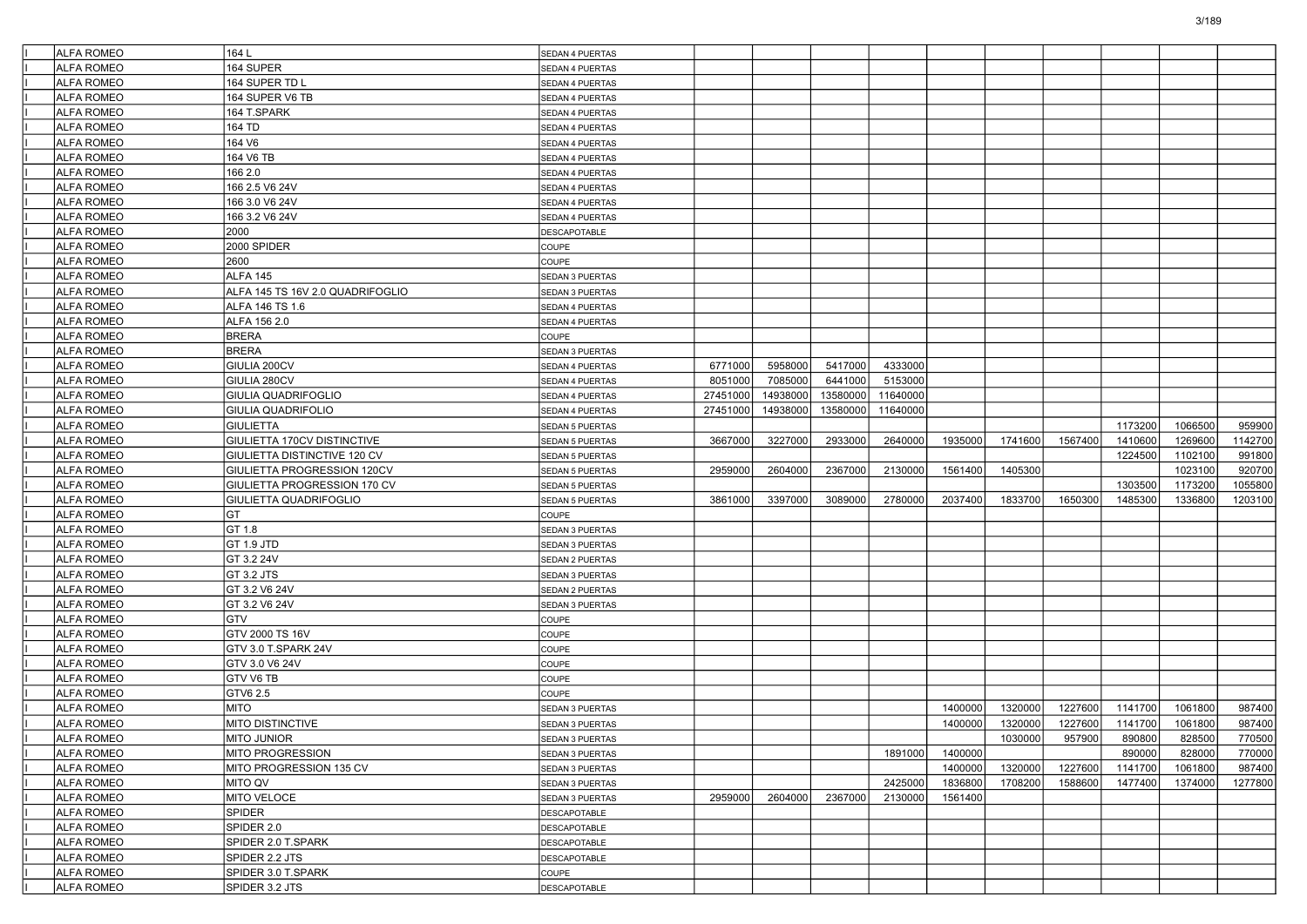| <b>ALFA ROMEO</b> | 164L                             | SEDAN 4 PUERTAS        |          |          |          |          |         |         |         |         |         |         |
|-------------------|----------------------------------|------------------------|----------|----------|----------|----------|---------|---------|---------|---------|---------|---------|
| <b>ALFA ROMEO</b> | 164 SUPER                        | SEDAN 4 PUERTAS        |          |          |          |          |         |         |         |         |         |         |
| <b>ALFA ROMEO</b> | 164 SUPER TD L                   | SEDAN 4 PUERTAS        |          |          |          |          |         |         |         |         |         |         |
| <b>ALFA ROMEO</b> | 164 SUPER V6 TB                  | SEDAN 4 PUERTAS        |          |          |          |          |         |         |         |         |         |         |
| <b>ALFA ROMEO</b> | 164 T.SPARK                      | SEDAN 4 PUERTAS        |          |          |          |          |         |         |         |         |         |         |
| <b>ALFA ROMEO</b> | 164 TD                           | SEDAN 4 PUERTAS        |          |          |          |          |         |         |         |         |         |         |
| <b>ALFA ROMEO</b> | 164 V6                           | SEDAN 4 PUERTAS        |          |          |          |          |         |         |         |         |         |         |
| <b>ALFA ROMEO</b> | 164 V6 TB                        | SEDAN 4 PUERTAS        |          |          |          |          |         |         |         |         |         |         |
| <b>ALFA ROMEO</b> | 166 2.0                          | SEDAN 4 PUERTAS        |          |          |          |          |         |         |         |         |         |         |
| <b>ALFA ROMEO</b> | 166 2.5 V6 24V                   | SEDAN 4 PUERTAS        |          |          |          |          |         |         |         |         |         |         |
| <b>ALFA ROMEO</b> | 166 3.0 V6 24V                   | SEDAN 4 PUERTAS        |          |          |          |          |         |         |         |         |         |         |
| <b>ALFA ROMEO</b> | 166 3.2 V6 24V                   | SEDAN 4 PUERTAS        |          |          |          |          |         |         |         |         |         |         |
| <b>ALFA ROMEO</b> | 2000                             | DESCAPOTABLE           |          |          |          |          |         |         |         |         |         |         |
| <b>ALFA ROMEO</b> | 2000 SPIDER                      | COUPE                  |          |          |          |          |         |         |         |         |         |         |
| <b>ALFA ROMEO</b> | 2600                             | COUPE                  |          |          |          |          |         |         |         |         |         |         |
| <b>ALFA ROMEO</b> | ALFA 145                         | SEDAN 3 PUERTAS        |          |          |          |          |         |         |         |         |         |         |
| <b>ALFA ROMEO</b> | ALFA 145 TS 16V 2.0 QUADRIFOGLIO | SEDAN 3 PUERTAS        |          |          |          |          |         |         |         |         |         |         |
| <b>ALFA ROMEO</b> | ALFA 146 TS 1.6                  | SEDAN 4 PUERTAS        |          |          |          |          |         |         |         |         |         |         |
| <b>ALFA ROMEO</b> | ALFA 156 2.0                     | SEDAN 4 PUERTAS        |          |          |          |          |         |         |         |         |         |         |
| <b>ALFA ROMEO</b> | <b>BRERA</b>                     | COUPE                  |          |          |          |          |         |         |         |         |         |         |
| <b>ALFA ROMEO</b> | <b>BRERA</b>                     | SEDAN 3 PUERTAS        |          |          |          |          |         |         |         |         |         |         |
| <b>ALFA ROMEO</b> | GIULIA 200CV                     | SEDAN 4 PUERTAS        | 6771000  | 5958000  | 5417000  | 4333000  |         |         |         |         |         |         |
| <b>ALFA ROMEO</b> | GIULIA 280CV                     | SEDAN 4 PUERTAS        | 8051000  | 7085000  | 6441000  | 5153000  |         |         |         |         |         |         |
| <b>ALFA ROMEO</b> | GIULIA QUADRIFOGLIO              | SEDAN 4 PUERTAS        | 27451000 | 14938000 | 13580000 | 11640000 |         |         |         |         |         |         |
| <b>ALFA ROMEO</b> | GIULIA QUADRIFOLIO               | SEDAN 4 PUERTAS        | 27451000 | 14938000 | 13580000 | 11640000 |         |         |         |         |         |         |
| <b>ALFA ROMEO</b> | <b>GIULIETTA</b>                 | <b>SEDAN 5 PUERTAS</b> |          |          |          |          |         |         |         | 1173200 | 1066500 | 959900  |
| <b>ALFA ROMEO</b> | GIULIETTA 170CV DISTINCTIVE      | <b>SEDAN 5 PUERTAS</b> | 3667000  | 3227000  | 2933000  | 2640000  | 1935000 | 1741600 | 1567400 | 1410600 | 1269600 | 1142700 |
| <b>ALFA ROMEO</b> | GIULIETTA DISTINCTIVE 120 CV     | SEDAN 5 PUERTAS        |          |          |          |          |         |         |         | 1224500 | 1102100 | 991800  |
| <b>ALFA ROMEO</b> | GIULIETTA PROGRESSION 120CV      | <b>SEDAN 5 PUERTAS</b> | 2959000  | 2604000  | 2367000  | 2130000  | 1561400 | 1405300 |         |         | 1023100 | 920700  |
| <b>ALFA ROMEO</b> | GIULIETTA PROGRESSION 170 CV     | SEDAN 5 PUERTAS        |          |          |          |          |         |         |         | 1303500 | 1173200 | 1055800 |
| <b>ALFA ROMEO</b> | GIULIETTA QUADRIFOGLIO           | SEDAN 5 PUERTAS        | 3861000  | 3397000  | 3089000  | 2780000  | 2037400 | 1833700 | 1650300 | 1485300 | 1336800 | 1203100 |
| <b>ALFA ROMEO</b> | GT                               | COUPE                  |          |          |          |          |         |         |         |         |         |         |
| <b>ALFA ROMEO</b> | GT 1.8                           | SEDAN 3 PUERTAS        |          |          |          |          |         |         |         |         |         |         |
| <b>ALFA ROMEO</b> | GT 1.9 JTD                       | SEDAN 3 PUERTAS        |          |          |          |          |         |         |         |         |         |         |
| <b>ALFA ROMEO</b> | GT 3.2 24V                       | SEDAN 2 PUERTAS        |          |          |          |          |         |         |         |         |         |         |
| <b>ALFA ROMEO</b> | GT 3.2 JTS                       | SEDAN 3 PUERTAS        |          |          |          |          |         |         |         |         |         |         |
| <b>ALFA ROMEO</b> | GT 3.2 V6 24V                    | SEDAN 2 PUERTAS        |          |          |          |          |         |         |         |         |         |         |
| <b>ALFA ROMEO</b> | GT 3.2 V6 24V                    | SEDAN 3 PUERTAS        |          |          |          |          |         |         |         |         |         |         |
| <b>ALFA ROMEO</b> | GTV                              | COUPE                  |          |          |          |          |         |         |         |         |         |         |
| <b>ALFA ROMEO</b> | GTV 2000 TS 16V                  | COUPE                  |          |          |          |          |         |         |         |         |         |         |
| <b>ALFA ROMEO</b> | GTV 3.0 T.SPARK 24V              | COUPE                  |          |          |          |          |         |         |         |         |         |         |
| <b>ALFA ROMEO</b> | GTV 3.0 V6 24V                   | COUPE                  |          |          |          |          |         |         |         |         |         |         |
| <b>ALFA ROMEO</b> | GTV V6 TB                        | COUPE                  |          |          |          |          |         |         |         |         |         |         |
| <b>ALFA ROMEO</b> | GTV6 2.5                         | COUPE                  |          |          |          |          |         |         |         |         |         |         |
| <b>ALFA ROMEO</b> | <b>MITO</b>                      | SEDAN 3 PUERTAS        |          |          |          |          | 1400000 | 1320000 | 1227600 | 1141700 | 1061800 | 987400  |
| <b>ALFA ROMEO</b> | MITO DISTINCTIVE                 | SEDAN 3 PUERTAS        |          |          |          |          | 1400000 | 1320000 | 1227600 | 1141700 | 1061800 | 987400  |
| ALFA ROMEO        | MITO JUNIOR                      | <b>SEDAN 3 PUERTAS</b> |          |          |          |          |         | 1030000 | 957900  | 890800  | 828500  | 770500  |
| <b>ALFA ROMEO</b> | MITO PROGRESSION                 | SEDAN 3 PUERTAS        |          |          |          | 1891000  | 1400000 |         |         | 890000  | 828000  | 770000  |
| <b>ALFA ROMEO</b> | MITO PROGRESSION 135 CV          | SEDAN 3 PUERTAS        |          |          |          |          | 1400000 | 1320000 | 1227600 | 1141700 | 1061800 | 987400  |
| <b>ALFA ROMEO</b> | <b>MITO QV</b>                   | SEDAN 3 PUERTAS        |          |          |          | 2425000  | 1836800 | 1708200 | 1588600 | 1477400 | 1374000 | 1277800 |
| <b>ALFA ROMEO</b> | MITO VELOCE                      | SEDAN 3 PUERTAS        | 2959000  | 2604000  | 2367000  | 2130000  | 1561400 |         |         |         |         |         |
| ALFA ROMEO        | SPIDER                           | DESCAPOTABLE           |          |          |          |          |         |         |         |         |         |         |
| ALFA ROMEO        | SPIDER 2.0                       | <b>DESCAPOTABLE</b>    |          |          |          |          |         |         |         |         |         |         |
| <b>ALFA ROMEO</b> | SPIDER 2.0 T.SPARK               | DESCAPOTABLE           |          |          |          |          |         |         |         |         |         |         |
| ALFA ROMEO        | SPIDER 2.2 JTS                   | DESCAPOTABLE           |          |          |          |          |         |         |         |         |         |         |
| <b>ALFA ROMEO</b> | SPIDER 3.0 T.SPARK               | COUPE                  |          |          |          |          |         |         |         |         |         |         |
| ALFA ROMEO        | SPIDER 3.2 JTS                   | DESCAPOTABLE           |          |          |          |          |         |         |         |         |         |         |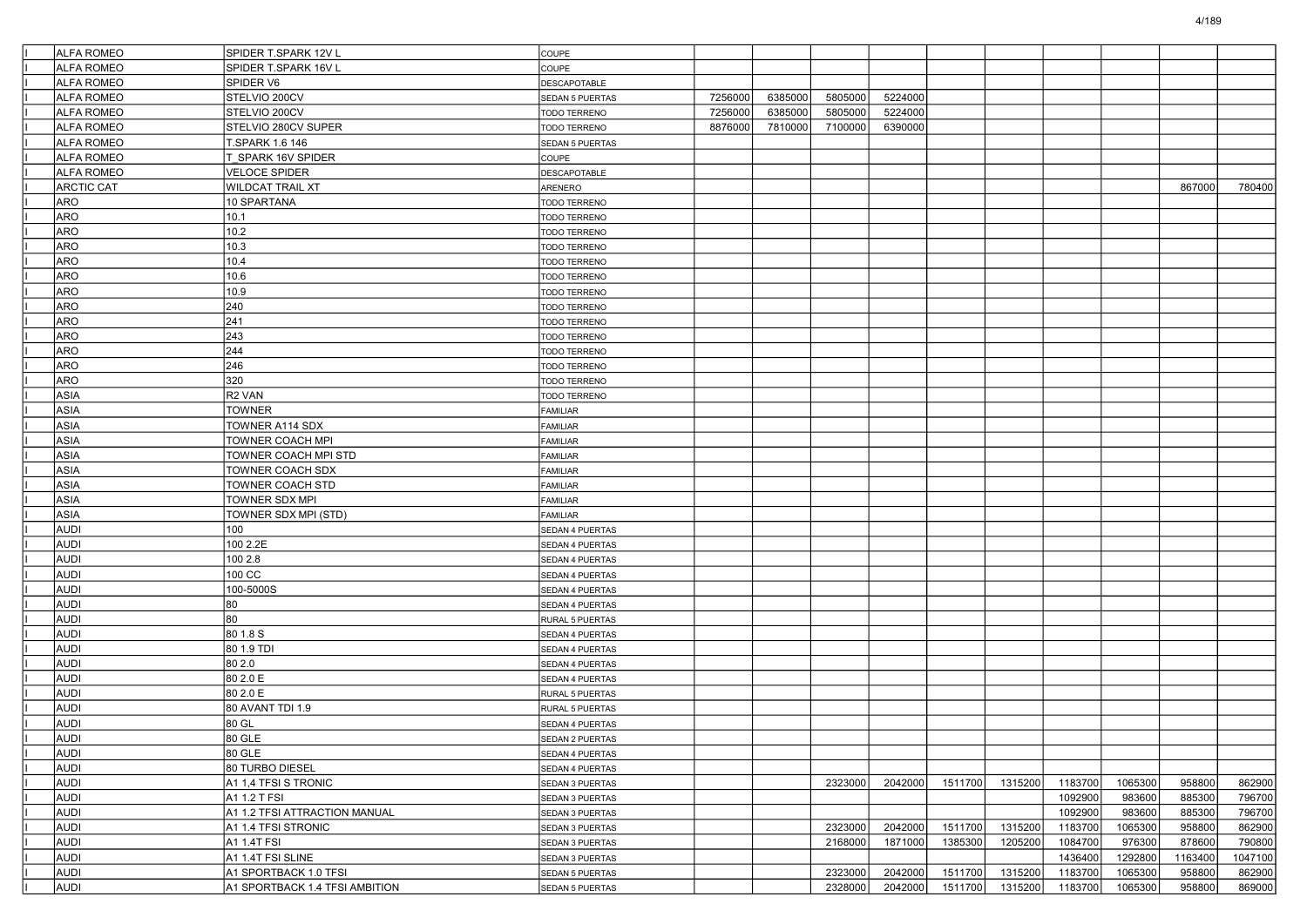| <b>ALFA ROMEO</b> | SPIDER T.SPARK 12V L           | <b>COUPE</b>                       |         |         |         |         |         |         |         |         |         |         |
|-------------------|--------------------------------|------------------------------------|---------|---------|---------|---------|---------|---------|---------|---------|---------|---------|
| <b>ALFA ROMEO</b> | SPIDER T.SPARK 16V L           | COUPE                              |         |         |         |         |         |         |         |         |         |         |
| <b>ALFA ROMEO</b> | SPIDER V6                      | <b>DESCAPOTABLE</b>                |         |         |         |         |         |         |         |         |         |         |
| <b>ALFA ROMEO</b> | STELVIO 200CV                  | SEDAN 5 PUERTAS                    | 7256000 | 6385000 | 5805000 | 5224000 |         |         |         |         |         |         |
| <b>ALFA ROMEO</b> | STELVIO 200CV                  | TODO TERRENO                       | 7256000 | 6385000 | 5805000 | 5224000 |         |         |         |         |         |         |
| <b>ALFA ROMEO</b> | STELVIO 280CV SUPER            | TODO TERRENO                       | 8876000 | 7810000 | 7100000 | 6390000 |         |         |         |         |         |         |
| <b>ALFA ROMEO</b> | T.SPARK 1.6 146                | SEDAN 5 PUERTAS                    |         |         |         |         |         |         |         |         |         |         |
| <b>ALFA ROMEO</b> | <b>F SPARK 16V SPIDER</b>      | COUPE                              |         |         |         |         |         |         |         |         |         |         |
| <b>ALFA ROMEO</b> | <b>VELOCE SPIDER</b>           | DESCAPOTABLE                       |         |         |         |         |         |         |         |         |         |         |
| <b>ARCTIC CAT</b> | <b>WILDCAT TRAIL XT</b>        | ARENERO                            |         |         |         |         |         |         |         |         | 867000  | 780400  |
| <b>ARO</b>        | 10 SPARTANA                    | TODO TERRENO                       |         |         |         |         |         |         |         |         |         |         |
| ARO               | 10.1                           | TODO TERRENO                       |         |         |         |         |         |         |         |         |         |         |
| <b>ARO</b>        | 10.2                           | <b>TODO TERRENO</b>                |         |         |         |         |         |         |         |         |         |         |
| <b>ARO</b>        | 10.3                           | <b>TODO TERRENO</b>                |         |         |         |         |         |         |         |         |         |         |
| <b>ARO</b>        | 10.4                           | <b>TODO TERRENO</b>                |         |         |         |         |         |         |         |         |         |         |
| <b>ARO</b>        | 10.6                           | TODO TERRENO                       |         |         |         |         |         |         |         |         |         |         |
| ARO               | 10.9                           | TODO TERRENO                       |         |         |         |         |         |         |         |         |         |         |
| ARO               | 240                            | <b>TODO TERRENO</b>                |         |         |         |         |         |         |         |         |         |         |
| ARO               | 241                            | <b>TODO TERRENO</b>                |         |         |         |         |         |         |         |         |         |         |
| <b>ARO</b>        | 243                            | TODO TERRENO                       |         |         |         |         |         |         |         |         |         |         |
| <b>ARO</b>        | 244                            | TODO TERRENO                       |         |         |         |         |         |         |         |         |         |         |
| ARO               | 246                            | TODO TERRENO                       |         |         |         |         |         |         |         |         |         |         |
| ARO               | 320                            | <b>TODO TERRENO</b>                |         |         |         |         |         |         |         |         |         |         |
| ASIA              | R <sub>2</sub> VAN             | <b>TODO TERRENO</b>                |         |         |         |         |         |         |         |         |         |         |
| <b>ASIA</b>       | <b>TOWNER</b>                  | FAMILIAR                           |         |         |         |         |         |         |         |         |         |         |
| <b>ASIA</b>       | TOWNER A114 SDX                | FAMILIAR                           |         |         |         |         |         |         |         |         |         |         |
| ASIA              | TOWNER COACH MPI               | <b>FAMILIAR</b>                    |         |         |         |         |         |         |         |         |         |         |
| ASIA              | TOWNER COACH MPI STD           | FAMILIAR                           |         |         |         |         |         |         |         |         |         |         |
| <b>ASIA</b>       | TOWNER COACH SDX               | <b>FAMILIAR</b>                    |         |         |         |         |         |         |         |         |         |         |
| <b>ASIA</b>       | <b>TOWNER COACH STD</b>        | FAMILIAR                           |         |         |         |         |         |         |         |         |         |         |
| <b>ASIA</b>       | <b>TOWNER SDX MPI</b>          | FAMILIAR                           |         |         |         |         |         |         |         |         |         |         |
| ASIA              | TOWNER SDX MPI (STD)           | <b>FAMILIAR</b>                    |         |         |         |         |         |         |         |         |         |         |
| <b>AUDI</b>       | 100                            | SEDAN 4 PUERTAS                    |         |         |         |         |         |         |         |         |         |         |
| <b>AUDI</b>       | 100 2.2E                       | SEDAN 4 PUERTAS                    |         |         |         |         |         |         |         |         |         |         |
| <b>AUDI</b>       | 100 2.8                        | SEDAN 4 PUERTAS                    |         |         |         |         |         |         |         |         |         |         |
| <b>AUDI</b>       | 100 CC                         | SEDAN 4 PUERTAS                    |         |         |         |         |         |         |         |         |         |         |
| <b>AUDI</b>       | 100-5000S                      | SEDAN 4 PUERTAS                    |         |         |         |         |         |         |         |         |         |         |
| <b>AUDI</b>       | 80                             | SEDAN 4 PUERTAS                    |         |         |         |         |         |         |         |         |         |         |
| <b>AUDI</b>       | 80                             | <b>RURAL 5 PUERTAS</b>             |         |         |         |         |         |         |         |         |         |         |
| <b>AUDI</b>       | 80 1.8 S                       | SEDAN 4 PUERTAS                    |         |         |         |         |         |         |         |         |         |         |
| <b>AUDI</b>       | 80 1.9 TDI                     | SEDAN 4 PUERTAS                    |         |         |         |         |         |         |         |         |         |         |
| <b>AUDI</b>       | 80 2.0                         | SEDAN 4 PUERTAS                    |         |         |         |         |         |         |         |         |         |         |
| <b>AUDI</b>       | 80 2.0 E                       | SEDAN 4 PUERTAS                    |         |         |         |         |         |         |         |         |         |         |
| <b>AUDI</b>       | 80 2.0 E                       | <b>RURAL 5 PUERTAS</b>             |         |         |         |         |         |         |         |         |         |         |
| <b>AUDI</b>       | 80 AVANT TDI 1.9               | RURAL 5 PUERTAS                    |         |         |         |         |         |         |         |         |         |         |
| <b>AUDI</b>       | 80 GL                          | <b>SEDAN 4 PUERTAS</b>             |         |         |         |         |         |         |         |         |         |         |
| AUDI              | 80 GLE                         | SEDAN 2 PUERTAS                    |         |         |         |         |         |         |         |         |         |         |
| <b>AUDI</b>       | 80 GLE                         | SEDAN 4 PUERTAS                    |         |         |         |         |         |         |         |         |         |         |
| AUDI              | 80 TURBO DIESEL                | SEDAN 4 PUERTAS                    |         |         |         |         |         |         |         |         |         |         |
| AUDI              | A1 1.4 TFSI S TRONIC           | SEDAN 3 PUERTAS                    |         |         | 2323000 | 2042000 | 1511700 | 1315200 | 1183700 | 1065300 | 958800  | 862900  |
| AUDI              | A1 1.2 T FSI                   | SEDAN 3 PUERTAS                    |         |         |         |         |         |         | 1092900 | 983600  | 885300  | 796700  |
| AUDI              | A1 1.2 TFSI ATTRACTION MANUAL  |                                    |         |         |         |         |         |         | 1092900 | 983600  | 885300  | 796700  |
| AUDI              | A1 1.4 TFSI STRONIC            | SEDAN 3 PUERTAS                    |         |         | 2323000 | 2042000 | 1511700 | 1315200 | 1183700 | 1065300 | 958800  | 862900  |
| AUDI              | A1 1.4T FSI                    | SEDAN 3 PUERTAS                    |         |         |         | 1871000 | 1385300 | 1205200 | 1084700 | 976300  | 878600  | 790800  |
| AUDI              | A1 1.4T FSI SLINE              | SEDAN 3 PUERTAS                    |         |         | 2168000 |         |         |         | 1436400 | 1292800 | 1163400 | 1047100 |
| AUDI              | A1 SPORTBACK 1.0 TFSI          | SEDAN 3 PUERTAS<br>SEDAN 5 PUERTAS |         |         | 2323000 | 2042000 | 1511700 | 1315200 | 1183700 | 1065300 | 958800  | 862900  |
| AUDI              |                                |                                    |         |         | 2328000 | 2042000 | 1511700 | 1315200 | 1183700 | 1065300 |         |         |
|                   | A1 SPORTBACK 1.4 TFSI AMBITION | SEDAN 5 PUERTAS                    |         |         |         |         |         |         |         |         | 958800  | 869000  |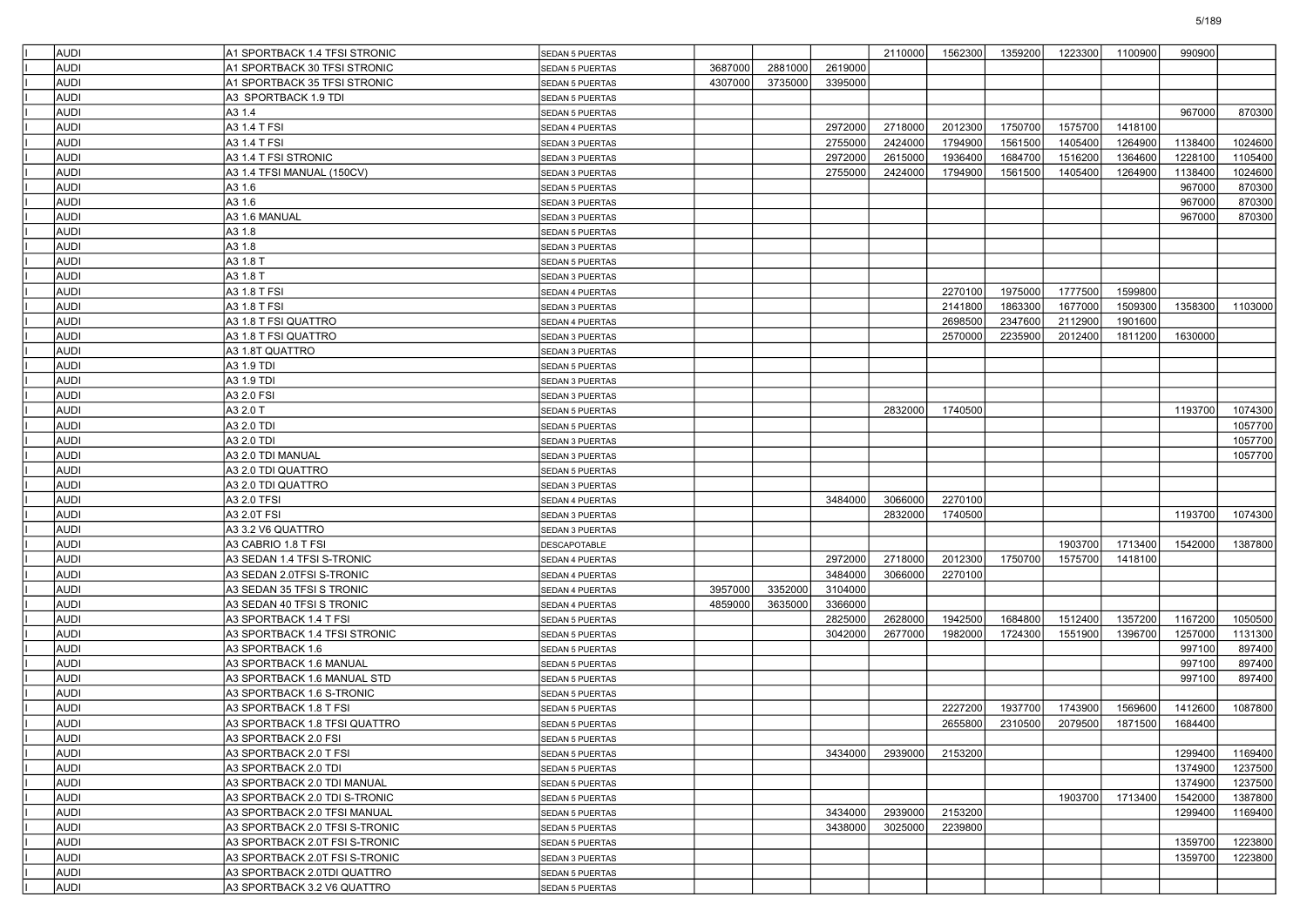| <b>AUDI</b> | A1 SPORTBACK 1.4 TFSI STRONIC  | <b>SEDAN 5 PUERTAS</b> |         |         |         | 2110000 | 1562300 | 1359200 | 1223300 | 1100900 | 990900  |         |
|-------------|--------------------------------|------------------------|---------|---------|---------|---------|---------|---------|---------|---------|---------|---------|
| <b>AUDI</b> | A1 SPORTBACK 30 TFSI STRONIC   | SEDAN 5 PUERTAS        | 3687000 | 2881000 | 2619000 |         |         |         |         |         |         |         |
| <b>AUDI</b> | A1 SPORTBACK 35 TFSI STRONIC   | SEDAN 5 PUERTAS        | 4307000 | 3735000 | 3395000 |         |         |         |         |         |         |         |
| <b>AUDI</b> | A3 SPORTBACK 1.9 TDI           | <b>SEDAN 5 PUERTAS</b> |         |         |         |         |         |         |         |         |         |         |
| <b>AUDI</b> | A3 1.4                         | <b>SEDAN 5 PUERTAS</b> |         |         |         |         |         |         |         |         | 967000  | 870300  |
| <b>AUDI</b> | A3 1.4 T FSI                   | <b>SEDAN 4 PUERTAS</b> |         |         | 2972000 | 2718000 | 2012300 | 1750700 | 1575700 | 1418100 |         |         |
| <b>AUDI</b> | A3 1.4 T FSI                   | SEDAN 3 PUERTAS        |         |         | 2755000 | 2424000 | 1794900 | 1561500 | 1405400 | 1264900 | 1138400 | 1024600 |
| <b>AUDI</b> | A3 1.4 T FSI STRONIC           | <b>SEDAN 3 PUERTAS</b> |         |         | 2972000 | 2615000 | 1936400 | 1684700 | 1516200 | 1364600 | 1228100 | 1105400 |
| <b>AUDI</b> | A3 1.4 TFSI MANUAL (150CV)     | SEDAN 3 PUERTAS        |         |         | 2755000 | 2424000 | 1794900 | 1561500 | 1405400 | 1264900 | 1138400 | 1024600 |
| <b>AUDI</b> | A3 1.6                         | <b>SEDAN 5 PUERTAS</b> |         |         |         |         |         |         |         |         | 967000  | 870300  |
| <b>AUDI</b> | A3 1.6                         | <b>SEDAN 3 PUERTAS</b> |         |         |         |         |         |         |         |         | 967000  | 870300  |
| <b>AUDI</b> | A3 1.6 MANUAL                  | SEDAN 3 PUERTAS        |         |         |         |         |         |         |         |         | 967000  | 870300  |
| <b>AUDI</b> | A3 1.8                         | <b>SEDAN 5 PUERTAS</b> |         |         |         |         |         |         |         |         |         |         |
| <b>AUDI</b> | A3 1.8                         | <b>SEDAN 3 PUERTAS</b> |         |         |         |         |         |         |         |         |         |         |
| <b>AUDI</b> | A3 1.8 T                       | <b>SEDAN 5 PUERTAS</b> |         |         |         |         |         |         |         |         |         |         |
| <b>AUDI</b> | A3 1.8 T                       | <b>SEDAN 3 PUERTAS</b> |         |         |         |         |         |         |         |         |         |         |
| <b>AUDI</b> | A3 1.8 T FSI                   | SEDAN 4 PUERTAS        |         |         |         |         | 2270100 | 1975000 | 1777500 | 1599800 |         |         |
| <b>AUDI</b> | A3 1.8 T FSI                   | <b>SEDAN 3 PUERTAS</b> |         |         |         |         | 2141800 | 1863300 | 1677000 | 1509300 | 1358300 | 1103000 |
| <b>AUDI</b> | A3 1.8 T FSI QUATTRO           | SEDAN 4 PUERTAS        |         |         |         |         | 2698500 | 2347600 | 2112900 | 1901600 |         |         |
| <b>AUDI</b> | A3 1.8 T FSI QUATTRO           | SEDAN 3 PUERTAS        |         |         |         |         | 2570000 | 2235900 | 2012400 | 1811200 | 1630000 |         |
| <b>AUDI</b> | A3 1.8T QUATTRO                | <b>SEDAN 3 PUERTAS</b> |         |         |         |         |         |         |         |         |         |         |
| <b>AUDI</b> | A3 1.9 TDI                     | SEDAN 5 PUERTAS        |         |         |         |         |         |         |         |         |         |         |
| <b>AUDI</b> | A3 1.9 TDI                     | <b>SEDAN 3 PUERTAS</b> |         |         |         |         |         |         |         |         |         |         |
| <b>AUDI</b> | A3 2.0 FSI                     | <b>SEDAN 3 PUERTAS</b> |         |         |         |         |         |         |         |         |         |         |
| <b>AUDI</b> | A3 2.0 T                       | <b>SEDAN 5 PUERTAS</b> |         |         |         | 2832000 | 1740500 |         |         |         | 1193700 | 1074300 |
| <b>AUDI</b> | A3 2.0 TDI                     | <b>SEDAN 5 PUERTAS</b> |         |         |         |         |         |         |         |         |         | 1057700 |
| <b>AUDI</b> | A3 2.0 TDI                     | SEDAN 3 PUERTAS        |         |         |         |         |         |         |         |         |         | 1057700 |
| <b>AUDI</b> | A3 2.0 TDI MANUAL              | SEDAN 3 PUERTAS        |         |         |         |         |         |         |         |         |         | 1057700 |
| <b>AUDI</b> | A3 2.0 TDI QUATTRO             | <b>SEDAN 5 PUERTAS</b> |         |         |         |         |         |         |         |         |         |         |
| <b>AUDI</b> | A3 2.0 TDI QUATTRO             | SEDAN 3 PUERTAS        |         |         |         |         |         |         |         |         |         |         |
| <b>AUDI</b> | A3 2.0 TFSI                    | <b>SEDAN 4 PUERTAS</b> |         |         | 3484000 | 3066000 | 2270100 |         |         |         |         |         |
| <b>AUDI</b> | A3 2.0T FSI                    | SEDAN 3 PUERTAS        |         |         |         | 2832000 | 1740500 |         |         |         | 1193700 | 1074300 |
| <b>AUDI</b> | A3 3.2 V6 QUATTRO              | <b>SEDAN 3 PUERTAS</b> |         |         |         |         |         |         |         |         |         |         |
| <b>AUDI</b> | A3 CABRIO 1.8 T FSI            | <b>DESCAPOTABLE</b>    |         |         |         |         |         |         | 1903700 | 1713400 | 1542000 | 1387800 |
| <b>AUDI</b> | A3 SEDAN 1.4 TFSI S-TRONIC     | <b>SEDAN 4 PUERTAS</b> |         |         | 2972000 | 2718000 | 2012300 | 1750700 | 1575700 | 1418100 |         |         |
| <b>AUDI</b> | A3 SEDAN 2.0TFSI S-TRONIC      | SEDAN 4 PUERTAS        |         |         | 3484000 | 3066000 | 2270100 |         |         |         |         |         |
| <b>AUDI</b> | A3 SEDAN 35 TFSI S TRONIC      | SEDAN 4 PUERTAS        | 3957000 | 3352000 | 3104000 |         |         |         |         |         |         |         |
| <b>AUDI</b> | A3 SEDAN 40 TFSI S TRONIC      | SEDAN 4 PUERTAS        | 4859000 | 3635000 | 3366000 |         |         |         |         |         |         |         |
| <b>AUDI</b> | A3 SPORTBACK 1.4 T FSI         | <b>SEDAN 5 PUERTAS</b> |         |         | 2825000 | 2628000 | 1942500 | 1684800 | 1512400 | 1357200 | 1167200 | 1050500 |
| <b>AUDI</b> | A3 SPORTBACK 1.4 TFSI STRONIC  | <b>SEDAN 5 PUERTAS</b> |         |         | 3042000 | 2677000 | 1982000 | 1724300 | 1551900 | 1396700 | 1257000 | 1131300 |
| <b>AUDI</b> | A3 SPORTBACK 1.6               | <b>SEDAN 5 PUERTAS</b> |         |         |         |         |         |         |         |         | 997100  | 897400  |
| <b>AUDI</b> | A3 SPORTBACK 1.6 MANUAL        | SEDAN 5 PUERTAS        |         |         |         |         |         |         |         |         | 997100  | 897400  |
| <b>AUDI</b> | A3 SPORTBACK 1.6 MANUAL STD    | <b>SEDAN 5 PUERTAS</b> |         |         |         |         |         |         |         |         | 997100  | 897400  |
| <b>AUDI</b> | A3 SPORTBACK 1.6 S-TRONIC      | <b>SEDAN 5 PUERTAS</b> |         |         |         |         |         |         |         |         |         |         |
| <b>AUDI</b> | A3 SPORTBACK 1.8 T FSI         | <b>SEDAN 5 PUERTAS</b> |         |         |         |         | 2227200 | 1937700 | 1743900 | 1569600 | 1412600 | 1087800 |
| <b>AUDI</b> | A3 SPORTBACK 1.8 TFSI QUATTRO  | SEDAN 5 PUERTAS        |         |         |         |         | 2655800 | 2310500 | 2079500 | 1871500 | 1684400 |         |
| AUDI        | A3 SPORTBACK 2.0 FSI           | <b>SEDAN 5 PUERTAS</b> |         |         |         |         |         |         |         |         |         |         |
| <b>AUDI</b> | A3 SPORTBACK 2.0 T FSI         | SEDAN 5 PUERTAS        |         |         | 3434000 | 2939000 | 2153200 |         |         |         | 1299400 | 1169400 |
| <b>AUDI</b> | A3 SPORTBACK 2.0 TDI           | <b>SEDAN 5 PUERTAS</b> |         |         |         |         |         |         |         |         | 1374900 | 1237500 |
| <b>AUDI</b> | A3 SPORTBACK 2.0 TDI MANUAL    | SEDAN 5 PUERTAS        |         |         |         |         |         |         |         |         | 1374900 | 1237500 |
| <b>AUDI</b> | A3 SPORTBACK 2.0 TDI S-TRONIC  | SEDAN 5 PUERTAS        |         |         |         |         |         |         | 1903700 | 1713400 | 1542000 | 1387800 |
| <b>AUDI</b> | A3 SPORTBACK 2.0 TFSI MANUAL   | SEDAN 5 PUERTAS        |         |         | 3434000 | 2939000 | 2153200 |         |         |         | 1299400 | 1169400 |
| <b>AUDI</b> | A3 SPORTBACK 2.0 TFSI S-TRONIC | SEDAN 5 PUERTAS        |         |         | 3438000 | 3025000 | 2239800 |         |         |         |         |         |
| <b>AUDI</b> | A3 SPORTBACK 2.0T FSI S-TRONIC | <b>SEDAN 5 PUERTAS</b> |         |         |         |         |         |         |         |         | 1359700 | 1223800 |
| <b>AUDI</b> | A3 SPORTBACK 2.0T FSI S-TRONIC | SEDAN 3 PUERTAS        |         |         |         |         |         |         |         |         | 1359700 | 1223800 |
| <b>AUDI</b> | A3 SPORTBACK 2.0TDI QUATTRO    | SEDAN 5 PUERTAS        |         |         |         |         |         |         |         |         |         |         |
| <b>AUDI</b> | A3 SPORTBACK 3.2 V6 QUATTRO    | SEDAN 5 PUERTAS        |         |         |         |         |         |         |         |         |         |         |

5/189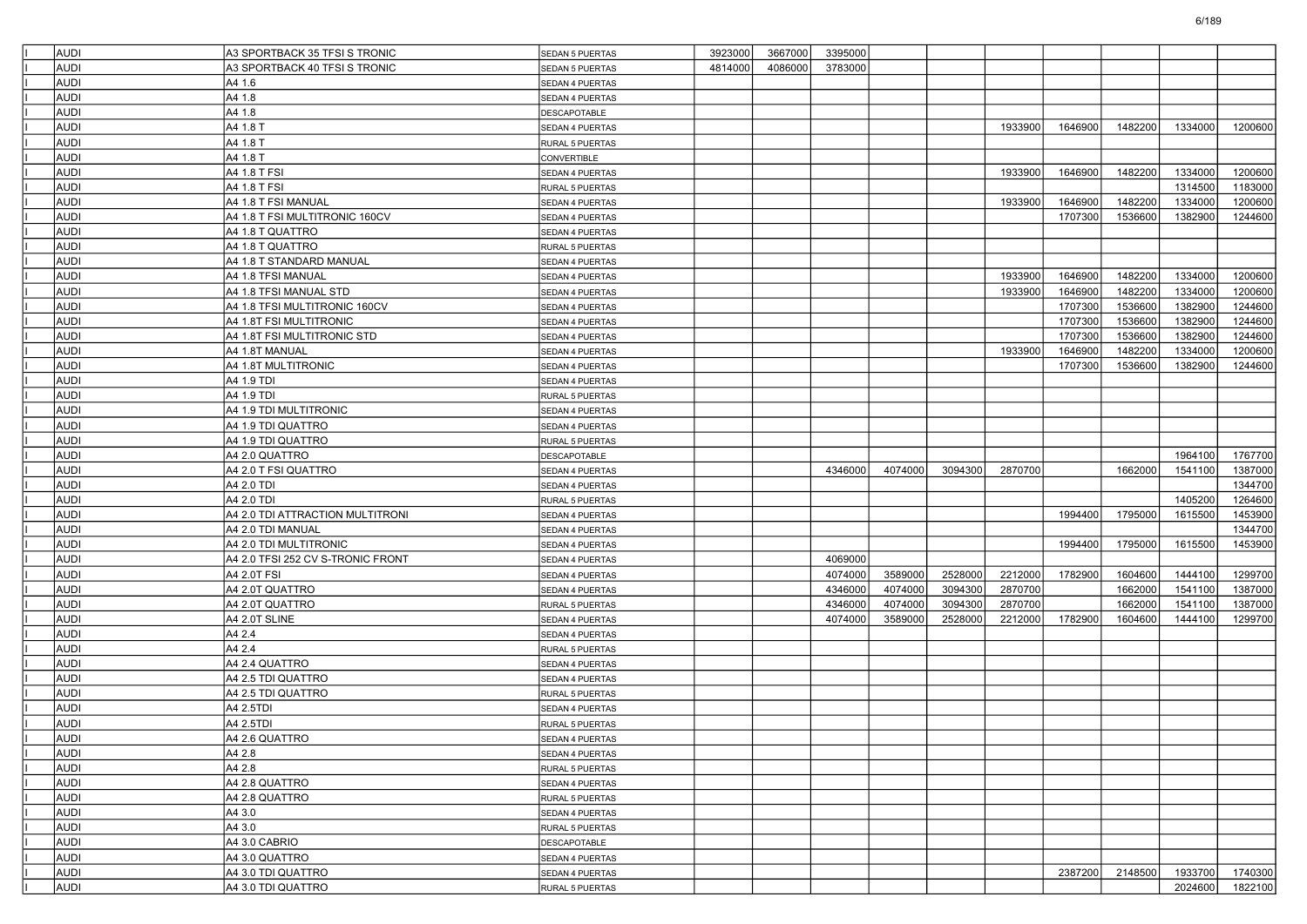| <b>AUDI</b> | A3 SPORTBACK 35 TFSI S TRONIC                | SEDAN 5 PUERTAS        | 3923000 | 3667000 | 3395000 |         |         |         |         |         |         |                    |
|-------------|----------------------------------------------|------------------------|---------|---------|---------|---------|---------|---------|---------|---------|---------|--------------------|
| <b>AUDI</b> | A3 SPORTBACK 40 TFSI S TRONIC                | <b>SEDAN 5 PUERTAS</b> | 4814000 | 4086000 | 3783000 |         |         |         |         |         |         |                    |
| <b>AUDI</b> | A4 1.6                                       | SEDAN 4 PUERTAS        |         |         |         |         |         |         |         |         |         |                    |
| <b>AUDI</b> | A4 1.8                                       | SEDAN 4 PUERTAS        |         |         |         |         |         |         |         |         |         |                    |
| <b>AUDI</b> | A4 1.8                                       | <b>DESCAPOTABLE</b>    |         |         |         |         |         |         |         |         |         |                    |
| <b>AUDI</b> | A4 1.8 T                                     |                        |         |         |         |         |         | 1933900 | 1646900 | 1482200 | 1334000 | 1200600            |
| <b>AUDI</b> | A4 1.8 T                                     | SEDAN 4 PUERTAS        |         |         |         |         |         |         |         |         |         |                    |
| <b>AUDI</b> | A4 1.8 T                                     | <b>RURAL 5 PUERTAS</b> |         |         |         |         |         |         |         |         |         |                    |
| <b>AUDI</b> |                                              | CONVERTIBLE            |         |         |         |         |         | 1933900 | 1646900 | 1482200 | 1334000 |                    |
| <b>AUDI</b> | A4 1.8 T FSI<br>A4 1.8 T FSI                 | SEDAN 4 PUERTAS        |         |         |         |         |         |         |         |         | 1314500 | 1200600<br>1183000 |
| <b>AUDI</b> | A4 1.8 T FSI MANUAL                          | RURAL 5 PUERTAS        |         |         |         |         |         | 1933900 | 1646900 | 1482200 | 1334000 | 1200600            |
|             | A4 1.8 T FSI MULTITRONIC 160CV               | SEDAN 4 PUERTAS        |         |         |         |         |         |         | 1707300 |         | 1382900 |                    |
| <b>AUDI</b> |                                              | SEDAN 4 PUERTAS        |         |         |         |         |         |         |         | 1536600 |         | 1244600            |
| <b>AUDI</b> | A4 1.8 T QUATTRO                             | SEDAN 4 PUERTAS        |         |         |         |         |         |         |         |         |         |                    |
| <b>AUDI</b> | A4 1.8 T QUATTRO<br>A4 1.8 T STANDARD MANUAL | RURAL 5 PUERTAS        |         |         |         |         |         |         |         |         |         |                    |
| <b>AUDI</b> |                                              | SEDAN 4 PUERTAS        |         |         |         |         |         |         |         |         |         |                    |
| <b>AUDI</b> | A4 1.8 TFSI MANUAL                           | SEDAN 4 PUERTAS        |         |         |         |         |         | 1933900 | 1646900 | 1482200 | 1334000 | 1200600            |
| <b>AUDI</b> | A4 1.8 TFSI MANUAL STD                       | SEDAN 4 PUERTAS        |         |         |         |         |         | 1933900 | 1646900 | 1482200 | 1334000 | 1200600            |
| <b>AUDI</b> | A4 1.8 TFSI MULTITRONIC 160CV                | SEDAN 4 PUERTAS        |         |         |         |         |         |         | 1707300 | 1536600 | 1382900 | 1244600            |
| <b>AUDI</b> | A4 1.8T FSI MULTITRONIC                      | SEDAN 4 PUERTAS        |         |         |         |         |         |         | 1707300 | 1536600 | 1382900 | 1244600            |
| <b>AUDI</b> | A4 1.8T FSI MULTITRONIC STD                  | SEDAN 4 PUERTAS        |         |         |         |         |         |         | 1707300 | 1536600 | 1382900 | 1244600            |
| <b>AUDI</b> | A4 1.8T MANUAL                               | SEDAN 4 PUERTAS        |         |         |         |         |         | 1933900 | 1646900 | 1482200 | 1334000 | 1200600            |
| <b>AUDI</b> | A4 1.8T MULTITRONIC                          | SEDAN 4 PUERTAS        |         |         |         |         |         |         | 1707300 | 1536600 | 1382900 | 1244600            |
| <b>AUDI</b> | A4 1.9 TDI                                   | SEDAN 4 PUERTAS        |         |         |         |         |         |         |         |         |         |                    |
| <b>AUDI</b> | A4 1.9 TDI                                   | <b>RURAL 5 PUERTAS</b> |         |         |         |         |         |         |         |         |         |                    |
| <b>AUDI</b> | A4 1.9 TDI MULTITRONIC                       | <b>SEDAN 4 PUERTAS</b> |         |         |         |         |         |         |         |         |         |                    |
| <b>AUDI</b> | A4 1.9 TDI QUATTRO                           | SEDAN 4 PUERTAS        |         |         |         |         |         |         |         |         |         |                    |
| <b>AUDI</b> | A4 1.9 TDI QUATTRO                           | <b>RURAL 5 PUERTAS</b> |         |         |         |         |         |         |         |         |         |                    |
| <b>AUDI</b> | A4 2.0 QUATTRO                               | DESCAPOTABLE           |         |         |         |         |         |         |         |         | 1964100 | 1767700            |
| <b>AUDI</b> | A4 2.0 T FSI QUATTRO                         | SEDAN 4 PUERTAS        |         |         | 4346000 | 4074000 | 3094300 | 2870700 |         | 1662000 | 1541100 | 1387000            |
| <b>AUDI</b> | A4 2.0 TDI                                   | <b>SEDAN 4 PUERTAS</b> |         |         |         |         |         |         |         |         |         | 1344700            |
| <b>AUDI</b> | A4 2.0 TDI                                   | RURAL 5 PUERTAS        |         |         |         |         |         |         |         |         | 1405200 | 1264600            |
| <b>AUDI</b> | A4 2.0 TDI ATTRACTION MULTITRONI             | SEDAN 4 PUERTAS        |         |         |         |         |         |         | 1994400 | 1795000 | 1615500 | 1453900            |
| <b>AUDI</b> | A4 2.0 TDI MANUAL                            | SEDAN 4 PUERTAS        |         |         |         |         |         |         |         |         |         | 1344700            |
| <b>AUDI</b> | A4 2.0 TDI MULTITRONIC                       | SEDAN 4 PUERTAS        |         |         |         |         |         |         | 1994400 | 1795000 | 1615500 | 1453900            |
| <b>AUDI</b> | A4 2.0 TFSI 252 CV S-TRONIC FRONT            | SEDAN 4 PUERTAS        |         |         | 4069000 |         |         |         |         |         |         |                    |
| <b>AUDI</b> | A4 2.0T FSI                                  | SEDAN 4 PUERTAS        |         |         | 4074000 | 3589000 | 2528000 | 2212000 | 1782900 | 1604600 | 1444100 | 1299700            |
| <b>AUDI</b> | A4 2.0T QUATTRO                              | SEDAN 4 PUERTAS        |         |         | 4346000 | 4074000 | 3094300 | 2870700 |         | 1662000 | 1541100 | 1387000            |
| <b>AUDI</b> | A4 2.0T QUATTRO                              | RURAL 5 PUERTAS        |         |         | 4346000 | 4074000 | 3094300 | 2870700 |         | 1662000 | 1541100 | 1387000            |
| <b>AUDI</b> | A4 2.0T SLINE                                | SEDAN 4 PUERTAS        |         |         | 4074000 | 3589000 | 2528000 | 2212000 | 1782900 | 1604600 | 1444100 | 1299700            |
| <b>AUDI</b> | A4 2.4                                       | SEDAN 4 PUERTAS        |         |         |         |         |         |         |         |         |         |                    |
| <b>AUDI</b> | A4 2.4                                       | RURAL 5 PUERTAS        |         |         |         |         |         |         |         |         |         |                    |
| <b>AUDI</b> | A4 2.4 QUATTRO                               | SEDAN 4 PUERTAS        |         |         |         |         |         |         |         |         |         |                    |
| <b>AUDI</b> | A4 2.5 TDI QUATTRO                           | SEDAN 4 PUERTAS        |         |         |         |         |         |         |         |         |         |                    |
| <b>AUDI</b> | A4 2.5 TDI QUATTRO                           | <b>RURAL 5 PUERTAS</b> |         |         |         |         |         |         |         |         |         |                    |
| <b>AUDI</b> | A4 2.5TDI                                    | SEDAN 4 PUERTAS        |         |         |         |         |         |         |         |         |         |                    |
| <b>AUDI</b> | A4 2.5TDI                                    | RURAL 5 PUERTAS        |         |         |         |         |         |         |         |         |         |                    |
| AUDI        | A4 2.6 QUATTRO                               | SEDAN 4 PUERTAS        |         |         |         |         |         |         |         |         |         |                    |
| <b>AUDI</b> | A4 2.8                                       | SEDAN 4 PUERTAS        |         |         |         |         |         |         |         |         |         |                    |
| AUDI        | A4 2.8                                       | RURAL 5 PUERTAS        |         |         |         |         |         |         |         |         |         |                    |
| AUDI        | A4 2.8 QUATTRO                               | SEDAN 4 PUERTAS        |         |         |         |         |         |         |         |         |         |                    |
| AUDI        | A4 2.8 QUATTRO                               | RURAL 5 PUERTAS        |         |         |         |         |         |         |         |         |         |                    |
| AUDI        | A4 3.0                                       | SEDAN 4 PUERTAS        |         |         |         |         |         |         |         |         |         |                    |
| AUDI        | A4 3.0                                       | RURAL 5 PUERTAS        |         |         |         |         |         |         |         |         |         |                    |
| AUDI        | A4 3.0 CABRIO                                | <b>DESCAPOTABLE</b>    |         |         |         |         |         |         |         |         |         |                    |
| AUDI        | A4 3.0 QUATTRO                               | SEDAN 4 PUERTAS        |         |         |         |         |         |         |         |         |         |                    |
| AUDI        | A4 3.0 TDI QUATTRO                           | SEDAN 4 PUERTAS        |         |         |         |         |         |         | 2387200 | 2148500 | 1933700 | 1740300            |
| AUDI        | A4 3.0 TDI QUATTRO                           | RURAL 5 PUERTAS        |         |         |         |         |         |         |         |         | 2024600 | 1822100            |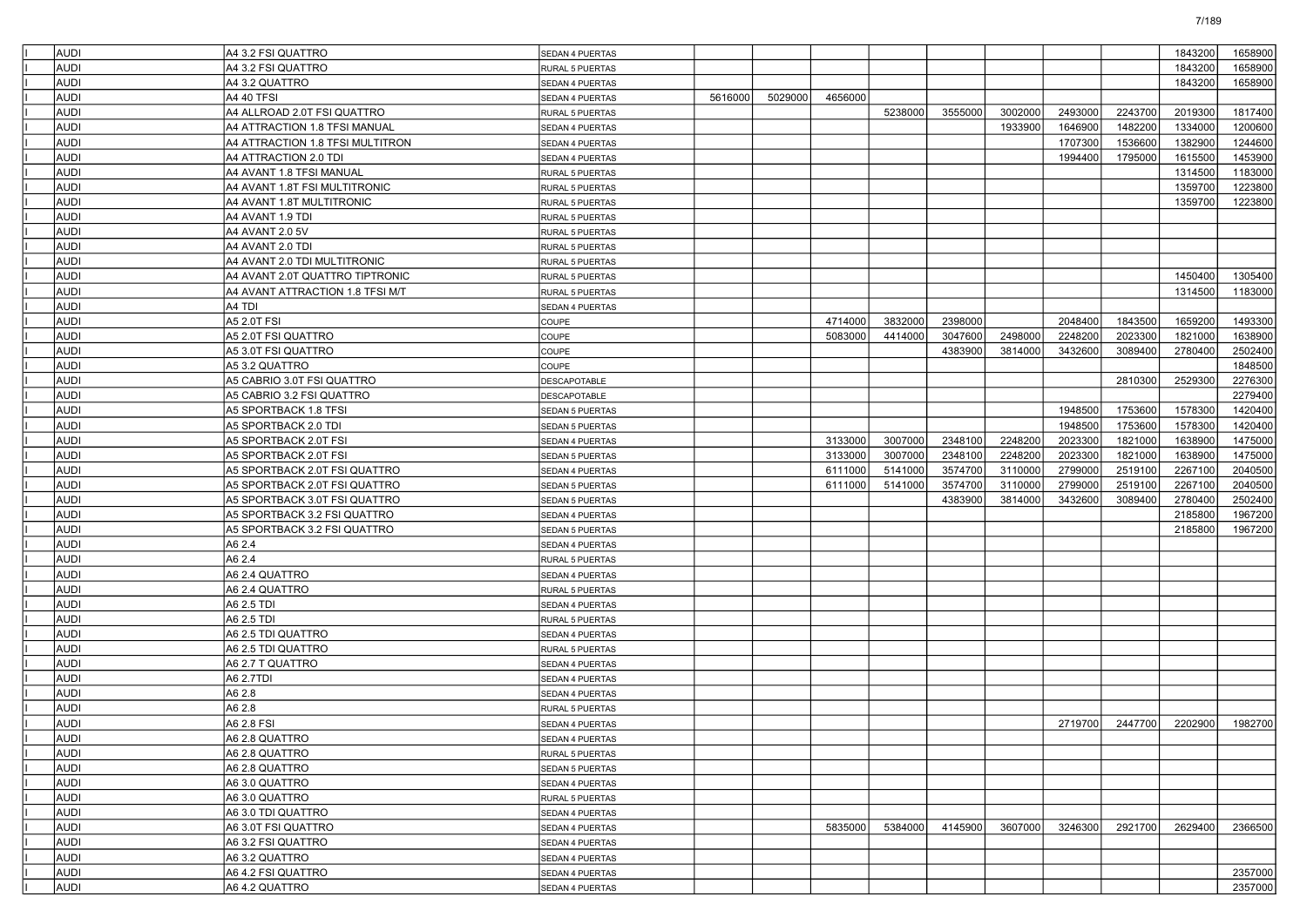| AUDI         | A4 3.2 FSI QUATTRO               | <b>SEDAN 4 PUERTAS</b>             |         |         |         |         |         |         |         |         | 1843200 | 1658900 |
|--------------|----------------------------------|------------------------------------|---------|---------|---------|---------|---------|---------|---------|---------|---------|---------|
| AUDI         | A4 3.2 FSI QUATTRO               | RURAL 5 PUERTAS                    |         |         |         |         |         |         |         |         | 1843200 | 1658900 |
| AUDI         | A4 3.2 QUATTRO                   | SEDAN 4 PUERTAS                    |         |         |         |         |         |         |         |         | 1843200 | 1658900 |
| AUDI         | A4 40 TFSI                       | SEDAN 4 PUERTAS                    | 5616000 | 5029000 | 4656000 |         |         |         |         |         |         |         |
| AUDI         | A4 ALLROAD 2.0T FSI QUATTRO      | RURAL 5 PUERTAS                    |         |         |         | 5238000 | 3555000 | 3002000 | 2493000 | 2243700 | 2019300 | 1817400 |
| AUDI         | A4 ATTRACTION 1.8 TFSI MANUAL    | SEDAN 4 PUERTAS                    |         |         |         |         |         | 1933900 | 1646900 | 1482200 | 1334000 | 1200600 |
| AUDI         | A4 ATTRACTION 1.8 TFSI MULTITRON | SEDAN 4 PUERTAS                    |         |         |         |         |         |         | 1707300 | 1536600 | 1382900 | 1244600 |
| AUDI         | A4 ATTRACTION 2.0 TDI            | SEDAN 4 PUERTAS                    |         |         |         |         |         |         | 1994400 | 1795000 | 1615500 | 1453900 |
| AUDI         | A4 AVANT 1.8 TFSI MANUAL         | RURAL 5 PUERTAS                    |         |         |         |         |         |         |         |         | 1314500 | 1183000 |
| AUDI         | A4 AVANT 1.8T FSI MULTITRONIC    | RURAL 5 PUERTAS                    |         |         |         |         |         |         |         |         | 1359700 | 1223800 |
| AUDI         | A4 AVANT 1.8T MULTITRONIC        | RURAL 5 PUERTAS                    |         |         |         |         |         |         |         |         | 1359700 | 1223800 |
| AUDI         | A4 AVANT 1.9 TDI                 | RURAL 5 PUERTAS                    |         |         |         |         |         |         |         |         |         |         |
| AUDI         | A4 AVANT 2.0 5V                  | RURAL 5 PUERTAS                    |         |         |         |         |         |         |         |         |         |         |
| AUDI         | A4 AVANT 2.0 TDI                 | RURAL 5 PUERTAS                    |         |         |         |         |         |         |         |         |         |         |
| AUDI         | A4 AVANT 2.0 TDI MULTITRONIC     | RURAL 5 PUERTAS                    |         |         |         |         |         |         |         |         |         |         |
| AUDI         | A4 AVANT 2.0T QUATTRO TIPTRONIC  | RURAL 5 PUERTAS                    |         |         |         |         |         |         |         |         | 1450400 | 1305400 |
| AUDI         | A4 AVANT ATTRACTION 1.8 TFSI M/T | RURAL 5 PUERTAS                    |         |         |         |         |         |         |         |         | 1314500 | 1183000 |
| AUDI         | A4 TDI                           | SEDAN 4 PUERTAS                    |         |         |         |         |         |         |         |         |         |         |
| AUDI         | A5 2.0T FSI                      | COUPE                              |         |         | 4714000 | 3832000 | 2398000 |         | 2048400 | 1843500 | 1659200 | 1493300 |
| AUDI         | A5 2.0T FSI QUATTRO              | COUPE                              |         |         | 5083000 | 4414000 | 3047600 | 2498000 | 2248200 | 2023300 | 1821000 | 1638900 |
| AUDI         | A5 3.0T FSI QUATTRO              | COUPE                              |         |         |         |         | 4383900 | 3814000 | 3432600 | 3089400 | 2780400 | 2502400 |
| AUDI         | A5 3.2 QUATTRO                   | COUPE                              |         |         |         |         |         |         |         |         |         | 1848500 |
| <b>AUDI</b>  | A5 CABRIO 3.0T FSI QUATTRO       | DESCAPOTABLE                       |         |         |         |         |         |         |         | 2810300 | 2529300 | 2276300 |
| AUDI         | A5 CABRIO 3.2 FSI QUATTRO        | <b>DESCAPOTABLE</b>                |         |         |         |         |         |         |         |         |         | 2279400 |
| AUDI         | A5 SPORTBACK 1.8 TFSI            | SEDAN 5 PUERTAS                    |         |         |         |         |         |         | 1948500 | 1753600 | 1578300 | 1420400 |
| AUDI         | A5 SPORTBACK 2.0 TDI             | SEDAN 5 PUERTAS                    |         |         |         |         |         |         | 1948500 | 1753600 | 1578300 | 1420400 |
| AUDI         | A5 SPORTBACK 2.0T FSI            | SEDAN 4 PUERTAS                    |         |         | 3133000 | 3007000 | 2348100 | 2248200 | 2023300 | 1821000 | 1638900 | 1475000 |
| <b>AUDI</b>  | A5 SPORTBACK 2.0T FSI            | SEDAN 5 PUERTAS                    |         |         | 3133000 | 3007000 | 2348100 | 2248200 | 2023300 | 1821000 | 1638900 | 1475000 |
| AUDI         | A5 SPORTBACK 2.0T FSI QUATTRO    | SEDAN 4 PUERTAS                    |         |         | 6111000 | 5141000 | 3574700 | 3110000 | 2799000 | 2519100 | 2267100 | 2040500 |
| AUDI         | A5 SPORTBACK 2.0T FSI QUATTRO    | SEDAN 5 PUERTAS                    |         |         | 6111000 | 5141000 | 3574700 | 3110000 | 2799000 | 2519100 | 2267100 | 2040500 |
| AUDI         | A5 SPORTBACK 3.0T FSI QUATTRO    | SEDAN 5 PUERTAS                    |         |         |         |         | 4383900 | 3814000 | 3432600 | 3089400 | 2780400 | 2502400 |
| <b>AUDI</b>  | A5 SPORTBACK 3.2 FSI QUATTRO     | SEDAN 4 PUERTAS                    |         |         |         |         |         |         |         |         | 2185800 | 1967200 |
| <b>AUDI</b>  | A5 SPORTBACK 3.2 FSI QUATTRO     | SEDAN 5 PUERTAS                    |         |         |         |         |         |         |         |         | 2185800 | 1967200 |
| AUDI         | A6 2.4                           | SEDAN 4 PUERTAS                    |         |         |         |         |         |         |         |         |         |         |
| AUDI         | A6 2.4                           | RURAL 5 PUERTAS                    |         |         |         |         |         |         |         |         |         |         |
| AUDI         | A6 2.4 QUATTRO                   | <b>SEDAN 4 PUERTAS</b>             |         |         |         |         |         |         |         |         |         |         |
| <b>AUDI</b>  | A6 2.4 QUATTRO                   | RURAL 5 PUERTAS                    |         |         |         |         |         |         |         |         |         |         |
| <b>AUDI</b>  | A6 2.5 TDI                       | SEDAN 4 PUERTAS                    |         |         |         |         |         |         |         |         |         |         |
| AUDI         | A6 2.5 TDI                       | RURAL 5 PUERTAS                    |         |         |         |         |         |         |         |         |         |         |
| AUDI         | A6 2.5 TDI QUATTRO               |                                    |         |         |         |         |         |         |         |         |         |         |
| AUDI         | A6 2.5 TDI QUATTRO               | SEDAN 4 PUERTAS                    |         |         |         |         |         |         |         |         |         |         |
| <b>AUDI</b>  | A6 2.7 T QUATTRO                 | RURAL 5 PUERTAS<br>SEDAN 4 PUERTAS |         |         |         |         |         |         |         |         |         |         |
| <b>AUDI</b>  | A6 2.7TDI                        | SEDAN 4 PUERTAS                    |         |         |         |         |         |         |         |         |         |         |
| AUDI         | A6 2.8                           | SEDAN 4 PUERTAS                    |         |         |         |         |         |         |         |         |         |         |
|              |                                  |                                    |         |         |         |         |         |         |         |         |         |         |
| AUDI<br>AUDI | A6 2.8<br>A6 2.8 FSI             | RURAL 5 PUERTAS                    |         |         |         |         |         |         |         |         |         |         |
|              |                                  | <b>SEDAN 4 PUERTAS</b>             |         |         |         |         |         |         | 2719700 | 2447700 | 2202900 | 1982700 |
| <b>AUDI</b>  | A6 2.8 QUATTRO                   | <b>SEDAN 4 PUERTAS</b>             |         |         |         |         |         |         |         |         |         |         |
| <b>AUDI</b>  | A6 2.8 QUATTRO                   | RURAL 5 PUERTAS                    |         |         |         |         |         |         |         |         |         |         |
| AUDI         | A6 2.8 QUATTRO                   | SEDAN 5 PUERTAS                    |         |         |         |         |         |         |         |         |         |         |
| AUDI         | A6 3.0 QUATTRO                   | SEDAN 4 PUERTAS                    |         |         |         |         |         |         |         |         |         |         |
| AUDI         | A6 3.0 QUATTRO                   | RURAL 5 PUERTAS                    |         |         |         |         |         |         |         |         |         |         |
| AUDI         | A6 3.0 TDI QUATTRO               | SEDAN 4 PUERTAS                    |         |         |         |         |         |         |         |         |         |         |
| AUDI         | A6 3.0T FSI QUATTRO              | SEDAN 4 PUERTAS                    |         |         | 5835000 | 5384000 | 4145900 | 3607000 | 3246300 | 2921700 | 2629400 | 2366500 |
| AUDI         | A6 3.2 FSI QUATTRO               | SEDAN 4 PUERTAS                    |         |         |         |         |         |         |         |         |         |         |
| AUDI         | A6 3.2 QUATTRO                   | SEDAN 4 PUERTAS                    |         |         |         |         |         |         |         |         |         |         |
| AUDI         | A6 4.2 FSI QUATTRO               | SEDAN 4 PUERTAS                    |         |         |         |         |         |         |         |         |         | 2357000 |
| <b>AUDI</b>  | A64.2 QUATTRO                    | SEDAN 4 PUERTAS                    |         |         |         |         |         |         |         |         |         | 2357000 |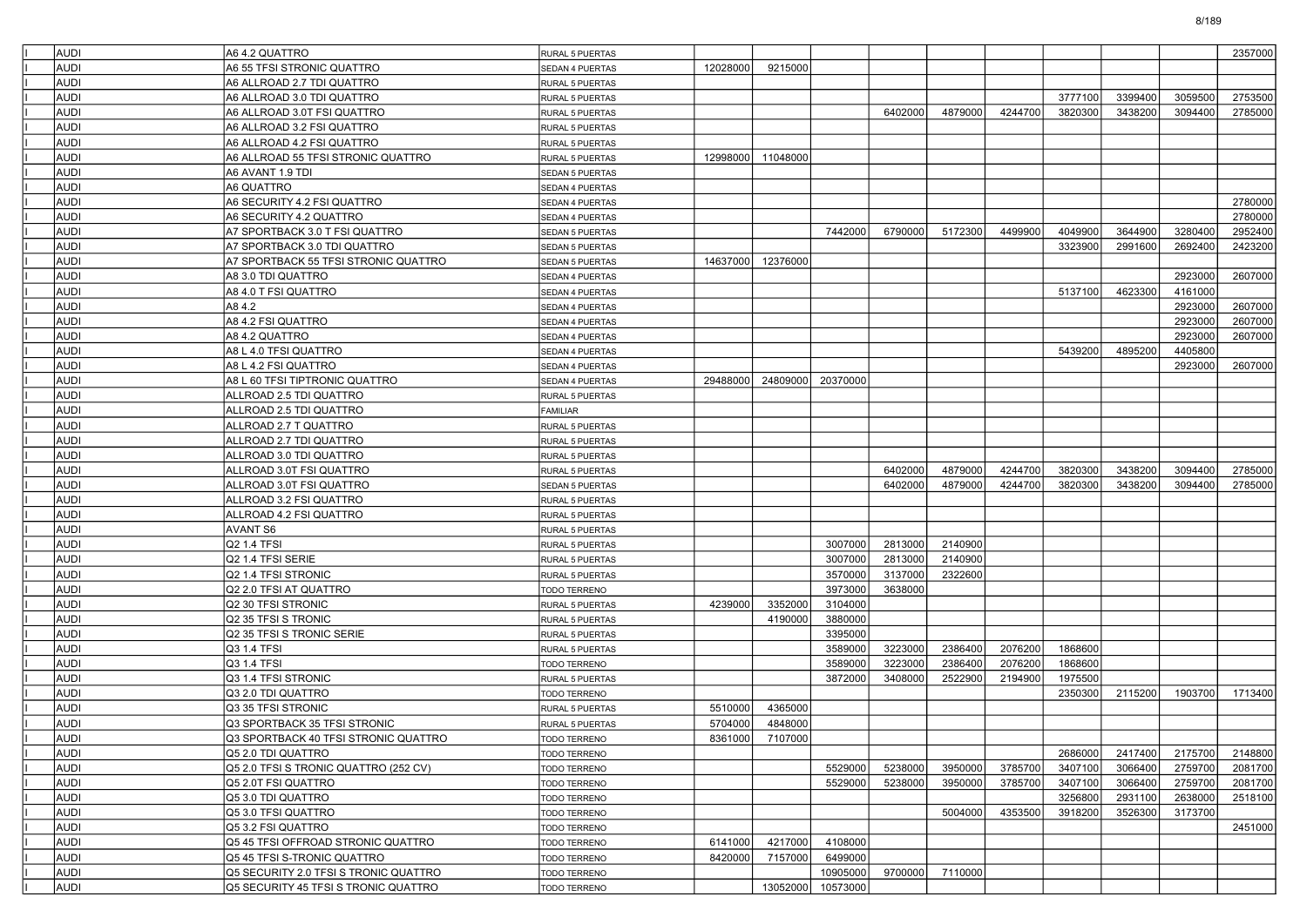| AUDI         | A64.2 QUATTRO                                      | <b>RURAL 5 PUERTAS</b>             |          |          |                    |         |         |         |         |         |         | 2357000 |
|--------------|----------------------------------------------------|------------------------------------|----------|----------|--------------------|---------|---------|---------|---------|---------|---------|---------|
| AUDI         | A6 55 TFSI STRONIC QUATTRO                         | SEDAN 4 PUERTAS                    | 12028000 | 9215000  |                    |         |         |         |         |         |         |         |
| AUDI         | A6 ALLROAD 2.7 TDI QUATTRO                         | RURAL 5 PUERTAS                    |          |          |                    |         |         |         |         |         |         |         |
| AUDI         | A6 ALLROAD 3.0 TDI QUATTRO                         | RURAL 5 PUERTAS                    |          |          |                    |         |         |         | 3777100 | 3399400 | 3059500 | 2753500 |
| AUDI         | A6 ALLROAD 3.0T FSI QUATTRO                        | RURAL 5 PUERTAS                    |          |          |                    | 6402000 | 4879000 | 4244700 | 3820300 | 3438200 | 3094400 | 2785000 |
| AUDI         | A6 ALLROAD 3.2 FSI QUATTRO                         | RURAL 5 PUERTAS                    |          |          |                    |         |         |         |         |         |         |         |
| AUDI         | A6 ALLROAD 4.2 FSI QUATTRO                         | RURAL 5 PUERTAS                    |          |          |                    |         |         |         |         |         |         |         |
| AUDI         | A6 ALLROAD 55 TFSI STRONIC QUATTRO                 | RURAL 5 PUERTAS                    | 12998000 | 11048000 |                    |         |         |         |         |         |         |         |
| AUDI         | A6 AVANT 1.9 TDI                                   | SEDAN 5 PUERTAS                    |          |          |                    |         |         |         |         |         |         |         |
| AUDI         | A6 QUATTRO                                         | SEDAN 4 PUERTAS                    |          |          |                    |         |         |         |         |         |         |         |
| AUDI         | A6 SECURITY 4.2 FSI QUATTRO                        | <b>SEDAN 4 PUERTAS</b>             |          |          |                    |         |         |         |         |         |         | 2780000 |
| AUDI         | A6 SECURITY 4.2 QUATTRO                            | SEDAN 4 PUERTAS                    |          |          |                    |         |         |         |         |         |         | 2780000 |
| AUDI         | A7 SPORTBACK 3.0 T FSI QUATTRO                     | <b>SEDAN 5 PUERTAS</b>             |          |          | 7442000            | 6790000 | 5172300 | 4499900 | 4049900 | 3644900 | 3280400 | 2952400 |
| AUDI         | A7 SPORTBACK 3.0 TDI QUATTRO                       | <b>SEDAN 5 PUERTAS</b>             |          |          |                    |         |         |         | 3323900 | 2991600 | 2692400 | 2423200 |
| AUDI         | A7 SPORTBACK 55 TFSI STRONIC QUATTRO               | SEDAN 5 PUERTAS                    | 14637000 | 12376000 |                    |         |         |         |         |         |         |         |
| AUDI         | A8 3.0 TDI QUATTRO                                 | SEDAN 4 PUERTAS                    |          |          |                    |         |         |         |         |         | 2923000 | 2607000 |
| AUDI         | A8 4.0 T FSI QUATTRO                               | SEDAN 4 PUERTAS                    |          |          |                    |         |         |         | 5137100 | 4623300 | 4161000 |         |
| AUDI         | A84.2                                              | SEDAN 4 PUERTAS                    |          |          |                    |         |         |         |         |         | 2923000 | 2607000 |
| AUDI         | A8 4.2 FSI QUATTRO                                 | SEDAN 4 PUERTAS                    |          |          |                    |         |         |         |         |         | 2923000 | 2607000 |
| AUDI         | A8 4.2 QUATTRO                                     | SEDAN 4 PUERTAS                    |          |          |                    |         |         |         |         |         | 2923000 | 2607000 |
| AUDI         | A8 L 4.0 TFSI QUATTRO                              | <b>SEDAN 4 PUERTAS</b>             |          |          |                    |         |         |         | 5439200 | 4895200 | 4405800 |         |
| AUDI         | A8 L 4.2 FSI QUATTRO                               | SEDAN 4 PUERTAS                    |          |          |                    |         |         |         |         |         | 2923000 | 2607000 |
| AUDI         | A8 L 60 TFSI TIPTRONIC QUATTRO                     | SEDAN 4 PUERTAS                    | 29488000 | 24809000 | 20370000           |         |         |         |         |         |         |         |
| AUDI         | ALLROAD 2.5 TDI QUATTRO                            | <b>RURAL 5 PUERTAS</b>             |          |          |                    |         |         |         |         |         |         |         |
| AUDI         | ALLROAD 2.5 TDI QUATTRO                            | <b>FAMILIAR</b>                    |          |          |                    |         |         |         |         |         |         |         |
| AUDI         | ALLROAD 2.7 T QUATTRO                              | RURAL 5 PUERTAS                    |          |          |                    |         |         |         |         |         |         |         |
| AUDI         | ALLROAD 2.7 TDI QUATTRO                            | RURAL 5 PUERTAS                    |          |          |                    |         |         |         |         |         |         |         |
| AUDI         | ALLROAD 3.0 TDI QUATTRO                            | RURAL 5 PUERTAS                    |          |          |                    |         |         |         |         |         |         |         |
| AUDI         | ALLROAD 3.0T FSI QUATTRO                           | RURAL 5 PUERTAS                    |          |          |                    | 6402000 | 4879000 | 4244700 | 3820300 | 3438200 | 3094400 | 2785000 |
| AUDI         | ALLROAD 3.0T FSI QUATTRO                           | SEDAN 5 PUERTAS                    |          |          |                    | 6402000 | 4879000 | 4244700 | 3820300 | 3438200 | 3094400 | 2785000 |
| AUDI         | ALLROAD 3.2 FSI QUATTRO                            | RURAL 5 PUERTAS                    |          |          |                    |         |         |         |         |         |         |         |
| AUDI         | ALLROAD 4.2 FSI QUATTRO                            | RURAL 5 PUERTAS                    |          |          |                    |         |         |         |         |         |         |         |
| AUDI         | <b>AVANT S6</b>                                    | RURAL 5 PUERTAS                    |          |          |                    |         |         |         |         |         |         |         |
| AUDI         | Q2 1.4 TFSI                                        | RURAL 5 PUERTAS                    |          |          | 3007000            | 2813000 | 2140900 |         |         |         |         |         |
| AUDI         | Q2 1.4 TFSI SERIE                                  | RURAL 5 PUERTAS                    |          |          | 3007000            | 2813000 | 2140900 |         |         |         |         |         |
| AUDI         | Q2 1.4 TFSI STRONIC                                | RURAL 5 PUERTAS                    |          |          | 3570000            | 3137000 | 2322600 |         |         |         |         |         |
| AUDI         | Q2 2.0 TFSI AT QUATTRO                             | TODO TERRENO                       |          |          | 3973000            | 3638000 |         |         |         |         |         |         |
| AUDI         | Q2 30 TFSI STRONIC                                 | RURAL 5 PUERTAS                    | 4239000  | 3352000  | 3104000            |         |         |         |         |         |         |         |
| AUDI         | Q2 35 TFSI S TRONIC                                | RURAL 5 PUERTAS                    |          | 4190000  | 3880000            |         |         |         |         |         |         |         |
| AUDI         | Q2 35 TFSI S TRONIC SERIE                          |                                    |          |          | 3395000            |         |         |         |         |         |         |         |
| AUDI         | Q3 1.4 TFSI                                        | RURAL 5 PUERTAS<br>RURAL 5 PUERTAS |          |          | 3589000            | 3223000 | 2386400 | 2076200 | 1868600 |         |         |         |
|              | Q3 1.4 TFSI                                        |                                    |          |          |                    | 3223000 | 2386400 | 2076200 | 1868600 |         |         |         |
| AUDI<br>AUDI | Q3 1.4 TFSI STRONIC                                | TODO TERRENO                       |          |          | 3589000<br>3872000 | 3408000 | 2522900 | 2194900 | 1975500 |         |         |         |
| AUDI         |                                                    | RURAL 5 PUERTAS                    |          |          |                    |         |         |         | 2350300 | 2115200 | 1903700 | 1713400 |
|              | Q3 2.0 TDI QUATTRO                                 | TODO TERRENO                       |          |          |                    |         |         |         |         |         |         |         |
| <b>AUDI</b>  | Q3 35 TFSI STRONIC<br>Q3 SPORTBACK 35 TFSI STRONIC | RURAL 5 PUERTAS                    | 5510000  | 4365000  |                    |         |         |         |         |         |         |         |
| AUDI         |                                                    | RURAL 5 PUERTAS                    | 5704000  | 4848000  |                    |         |         |         |         |         |         |         |
| <b>AUDI</b>  | Q3 SPORTBACK 40 TFSI STRONIC QUATTRO               | TODO TERRENO                       | 8361000  | 7107000  |                    |         |         |         |         |         |         |         |
| <b>AUDI</b>  | Q5 2.0 TDI QUATTRO                                 | TODO TERRENO                       |          |          |                    |         |         |         | 2686000 | 2417400 | 2175700 | 2148800 |
| <b>AUDI</b>  | Q5 2.0 TFSI S TRONIC QUATTRO (252 CV)              | TODO TERRENO                       |          |          | 5529000            | 5238000 | 3950000 | 3785700 | 3407100 | 3066400 | 2759700 | 2081700 |
| AUDI         | Q5 2.0T FSI QUATTRO                                | TODO TERRENO                       |          |          | 5529000            | 5238000 | 3950000 | 3785700 | 3407100 | 3066400 | 2759700 | 2081700 |
| <b>AUDI</b>  | Q5 3.0 TDI QUATTRO                                 | TODO TERRENO                       |          |          |                    |         |         |         | 3256800 | 2931100 | 2638000 | 2518100 |
| <b>AUDI</b>  | Q5 3.0 TFSI QUATTRO                                | TODO TERRENO                       |          |          |                    |         | 5004000 | 4353500 | 3918200 | 3526300 | 3173700 |         |
| AUDI         | Q5 3.2 FSI QUATTRO                                 | TODO TERRENO                       |          |          |                    |         |         |         |         |         |         | 2451000 |
| <b>AUDI</b>  | Q5 45 TFSI OFFROAD STRONIC QUATTRO                 | TODO TERRENO                       | 6141000  | 4217000  | 4108000            |         |         |         |         |         |         |         |
| AUDI         | Q5 45 TFSI S-TRONIC QUATTRO                        | TODO TERRENO                       | 8420000  | 7157000  | 6499000            |         |         |         |         |         |         |         |
| <b>AUDI</b>  | Q5 SECURITY 2.0 TFSI S TRONIC QUATTRO              | TODO TERRENO                       |          |          | 10905000           | 9700000 | 7110000 |         |         |         |         |         |
| AUDI         | Q5 SECURITY 45 TFSI S TRONIC QUATTRO               | TODO TERRENO                       |          | 13052000 | 10573000           |         |         |         |         |         |         |         |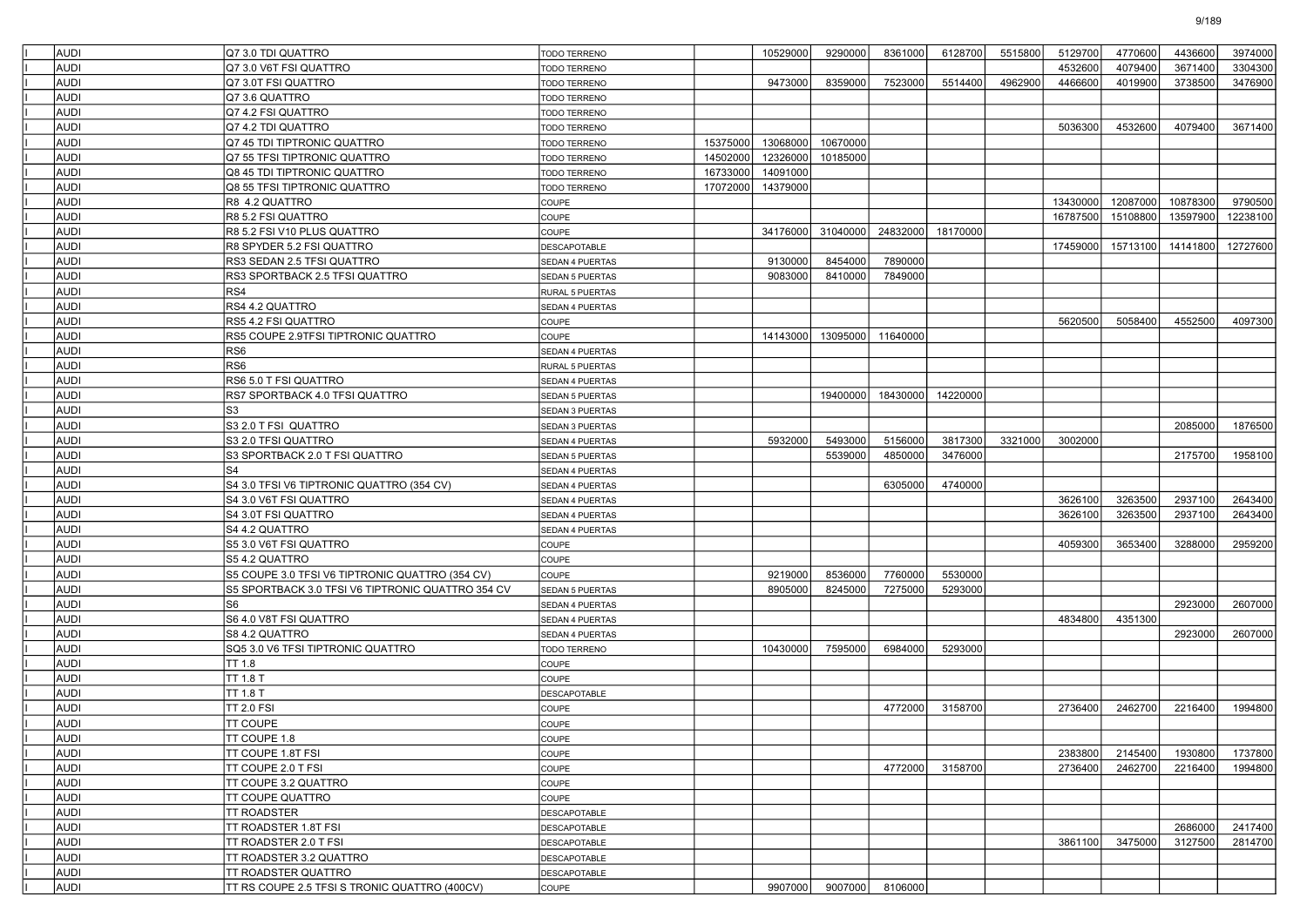| <b>AUDI</b>         | Q7 3.0 TDI QUATTRO                                |                              |          | 10529000 |          |                 |          | 5515800 | 5129700  | 4770600  | 4436600  | 3974000  |
|---------------------|---------------------------------------------------|------------------------------|----------|----------|----------|-----------------|----------|---------|----------|----------|----------|----------|
| AUDI                | Q7 3.0 V6T FSI QUATTRO                            | TODO TERRENO                 |          |          | 9290000  | 8361000         | 6128700  |         | 4532600  | 4079400  | 3671400  | 3304300  |
| <b>AUDI</b>         | Q7 3.0T FSI QUATTRO                               | TODO TERRENO                 |          | 9473000  | 8359000  | 7523000         | 5514400  | 4962900 | 4466600  | 4019900  | 3738500  | 3476900  |
| AUDI                |                                                   | TODO TERRENO                 |          |          |          |                 |          |         |          |          |          |          |
|                     | Q7 3.6 QUATTRO                                    | <b>TODO TERRENO</b>          |          |          |          |                 |          |         |          |          |          |          |
| AUDI                | Q7 4.2 FSI QUATTRO                                | TODO TERRENO                 |          |          |          |                 |          |         |          |          |          |          |
| AUDI                | Q7 4.2 TDI QUATTRO                                | TODO TERRENO                 |          |          |          |                 |          |         | 5036300  | 4532600  | 4079400  | 3671400  |
| AUDI                | Q7 45 TDI TIPTRONIC QUATTRO                       | TODO TERRENO                 | 15375000 | 13068000 | 10670000 |                 |          |         |          |          |          |          |
| AUDI                | Q7 55 TFSI TIPTRONIC QUATTRO                      | TODO TERRENO                 | 14502000 | 12326000 | 10185000 |                 |          |         |          |          |          |          |
| AUDI                | Q8 45 TDI TIPTRONIC QUATTRO                       | TODO TERRENO                 | 16733000 | 14091000 |          |                 |          |         |          |          |          |          |
| AUDI                | Q8 55 TFSI TIPTRONIC QUATTRO                      | TODO TERRENO                 | 17072000 | 14379000 |          |                 |          |         |          |          |          |          |
| AUDI                | R8 4.2 QUATTRO                                    | COUPE                        |          |          |          |                 |          |         | 13430000 | 12087000 | 10878300 | 9790500  |
| AUDI                | R8 5.2 FSI QUATTRO                                | COUPE                        |          |          |          |                 |          |         | 16787500 | 15108800 | 13597900 | 12238100 |
| AUDI                | R8 5.2 FSI V10 PLUS QUATTRO                       | COUPE                        |          | 34176000 | 31040000 | 24832000        | 18170000 |         |          |          |          |          |
| AUDI                | R8 SPYDER 5.2 FSI QUATTRO                         | <b>DESCAPOTABLE</b>          |          |          |          |                 |          |         | 17459000 | 15713100 | 14141800 | 12727600 |
| AUDI                | RS3 SEDAN 2.5 TFSI QUATTRO                        | SEDAN 4 PUERTAS              |          | 9130000  | 8454000  | 7890000         |          |         |          |          |          |          |
| AUDI                | RS3 SPORTBACK 2.5 TFSI QUATTRO                    | SEDAN 5 PUERTAS              |          | 9083000  | 8410000  | 7849000         |          |         |          |          |          |          |
| AUDI                | RS4                                               | <b>RURAL 5 PUERTAS</b>       |          |          |          |                 |          |         |          |          |          |          |
| AUDI                | RS4 4.2 QUATTRO                                   | <b>SEDAN 4 PUERTAS</b>       |          |          |          |                 |          |         |          |          |          |          |
| AUDI                | RS5 4.2 FSI QUATTRO                               | COUPE                        |          |          |          |                 |          |         | 5620500  | 5058400  | 4552500  | 4097300  |
| AUDI                | RS5 COUPE 2.9TFSI TIPTRONIC QUATTRO               | COUPE                        |          | 14143000 | 13095000 | 11640000        |          |         |          |          |          |          |
| AUDI                | RS <sub>6</sub>                                   | SEDAN 4 PUERTAS              |          |          |          |                 |          |         |          |          |          |          |
| AUDI                | RS <sub>6</sub>                                   | RURAL 5 PUERTAS              |          |          |          |                 |          |         |          |          |          |          |
| AUDI                | RS6 5.0 T FSI QUATTRO                             | <b>SEDAN 4 PUERTAS</b>       |          |          |          |                 |          |         |          |          |          |          |
| AUDI                | RS7 SPORTBACK 4.0 TFSI QUATTRO                    | SEDAN 5 PUERTAS              |          |          | 19400000 | 18430000        | 14220000 |         |          |          |          |          |
| AUDI                | S <sub>3</sub>                                    | SEDAN 3 PUERTAS              |          |          |          |                 |          |         |          |          |          |          |
| AUDI                | S3 2.0 T FSI QUATTRO                              | SEDAN 3 PUERTAS              |          |          |          |                 |          |         |          |          | 2085000  | 1876500  |
| AUDI                | S3 2.0 TFSI QUATTRO                               | SEDAN 4 PUERTAS              |          | 5932000  | 5493000  | 5156000         | 3817300  | 3321000 | 3002000  |          |          |          |
| AUDI                | S3 SPORTBACK 2.0 T FSI QUATTRO                    | <b>SEDAN 5 PUERTAS</b>       |          |          | 5539000  | 4850000         | 3476000  |         |          |          | 2175700  | 1958100  |
| AUDI                | S <sub>4</sub>                                    | SEDAN 4 PUERTAS              |          |          |          |                 |          |         |          |          |          |          |
| AUDI                | S4 3.0 TFSI V6 TIPTRONIC QUATTRO (354 CV)         | SEDAN 4 PUERTAS              |          |          |          | 6305000         | 4740000  |         |          |          |          |          |
| AUDI                | S4 3.0 V6T FSI QUATTRO                            | SEDAN 4 PUERTAS              |          |          |          |                 |          |         | 3626100  | 3263500  | 2937100  | 2643400  |
| <b>AUDI</b>         | S4 3.0T FSI QUATTRO                               | SEDAN 4 PUERTAS              |          |          |          |                 |          |         | 3626100  | 3263500  | 2937100  | 2643400  |
| AUDI                | S4 4.2 QUATTRO                                    | <b>SEDAN 4 PUERTAS</b>       |          |          |          |                 |          |         |          |          |          |          |
| <b>AUDI</b>         | S5 3.0 V6T FSI QUATTRO                            | COUPE                        |          |          |          |                 |          |         | 4059300  | 3653400  | 3288000  | 2959200  |
| AUDI                | S5 4.2 QUATTRO                                    | COUPE                        |          |          |          |                 |          |         |          |          |          |          |
| AUDI                | S5 COUPE 3.0 TFSI V6 TIPTRONIC QUATTRO (354 CV)   | COUPE                        |          | 9219000  | 8536000  | 7760000         | 5530000  |         |          |          |          |          |
| <b>AUDI</b>         | S5 SPORTBACK 3.0 TFSI V6 TIPTRONIC QUATTRO 354 CV | SEDAN 5 PUERTAS              |          | 8905000  | 8245000  | 7275000         | 5293000  |         |          |          |          |          |
| AUDI                | S6                                                | <b>SEDAN 4 PUERTAS</b>       |          |          |          |                 |          |         |          |          | 2923000  | 2607000  |
| <b>AUDI</b>         | S6 4.0 V8T FSI QUATTRO                            | SEDAN 4 PUERTAS              |          |          |          |                 |          |         | 4834800  | 4351300  |          |          |
| AUDI                | S8 4.2 QUATTRO                                    | SEDAN 4 PUERTAS              |          |          |          |                 |          |         |          |          | 2923000  | 2607000  |
| AUDI                | SQ5 3.0 V6 TFSI TIPTRONIC QUATTRO                 | TODO TERRENO                 |          | 10430000 | 7595000  | 6984000         | 5293000  |         |          |          |          |          |
| <b>AUDI</b>         | <b>TT 1.8</b>                                     | COUPE                        |          |          |          |                 |          |         |          |          |          |          |
| <b>AUDI</b>         | TT 1.8 T                                          | COUPE                        |          |          |          |                 |          |         |          |          |          |          |
|                     |                                                   |                              |          |          |          |                 |          |         |          |          |          |          |
| <b>AUDI</b><br>AUDI | TT 1.8 T<br><b>TT 2.0 FSI</b>                     | <b>DESCAPOTABLE</b><br>COUPE |          |          |          | 4772000         | 3158700  |         | 2736400  | 2462700  | 2216400  | 1994800  |
|                     |                                                   |                              |          |          |          |                 |          |         |          |          |          |          |
| AUDI                | TT COUPE                                          | COUPE                        |          |          |          |                 |          |         |          |          |          |          |
| AUDI                | TT COUPE 1.8                                      | COUPE                        |          |          |          |                 |          |         |          |          |          |          |
| <b>AUDI</b>         | TT COUPE 1.8T FSI                                 | <b>COUPE</b>                 |          |          |          |                 |          |         | 2383800  | 2145400  | 1930800  | 1737800  |
| AUDI                | TT COUPE 2.0 T FSI                                | COUPE                        |          |          |          | 4772000         | 3158700  |         | 2736400  | 2462700  | 2216400  | 1994800  |
| <b>AUDI</b>         | TT COUPE 3.2 QUATTRO                              | COUPE                        |          |          |          |                 |          |         |          |          |          |          |
| AUDI                | <b>TT COUPE QUATTRO</b>                           | COUPE                        |          |          |          |                 |          |         |          |          |          |          |
| AUDI                | <b>TT ROADSTER</b>                                | <b>DESCAPOTABLE</b>          |          |          |          |                 |          |         |          |          |          |          |
| <b>AUDI</b>         | TT ROADSTER 1.8T FSI                              | <b>DESCAPOTABLE</b>          |          |          |          |                 |          |         |          |          | 2686000  | 2417400  |
| AUDI                | TT ROADSTER 2.0 T FSI                             | <b>DESCAPOTABLE</b>          |          |          |          |                 |          |         | 3861100  | 3475000  | 3127500  | 2814700  |
| AUDI                | TT ROADSTER 3.2 QUATTRO                           | <b>DESCAPOTABLE</b>          |          |          |          |                 |          |         |          |          |          |          |
| AUDI                | <b>TT ROADSTER QUATTRO</b>                        | <b>DESCAPOTABLE</b>          |          |          |          |                 |          |         |          |          |          |          |
| <b>AUDI</b>         | TT RS COUPE 2.5 TFSI S TRONIC QUATTRO (400CV)     | COUPE                        |          | 9907000  |          | 9007000 8106000 |          |         |          |          |          |          |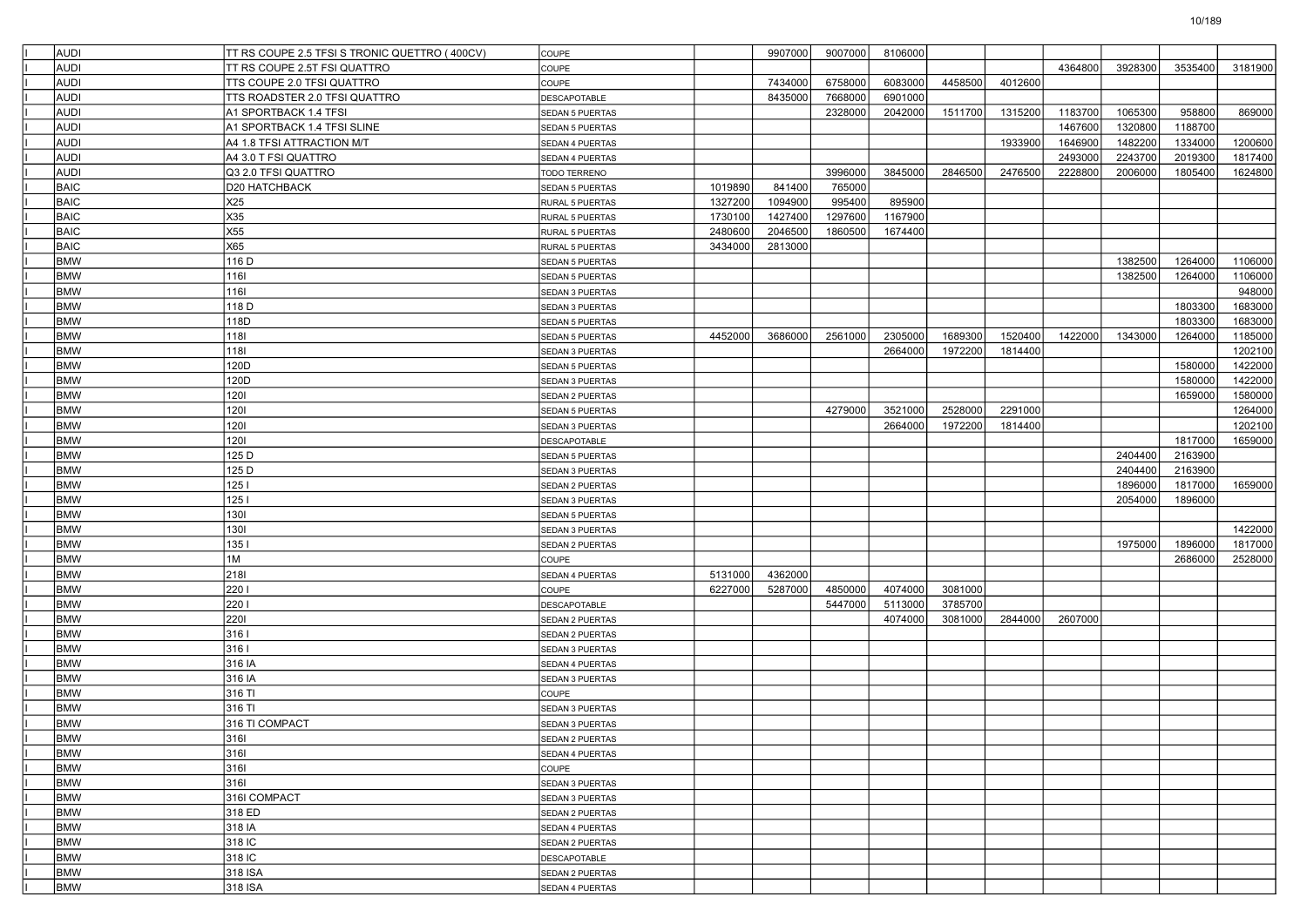| <b>AUDI</b> | TT RS COUPE 2.5 TFSI S TRONIC QUETTRO (400CV) | COUPE                  |         | 9907000 | 9007000 | 8106000 |         |         |         |         |         |         |
|-------------|-----------------------------------------------|------------------------|---------|---------|---------|---------|---------|---------|---------|---------|---------|---------|
| <b>AUDI</b> | TT RS COUPE 2.5T FSI QUATTRO                  | <b>COUPE</b>           |         |         |         |         |         |         | 4364800 | 3928300 | 3535400 | 3181900 |
| <b>AUDI</b> | TTS COUPE 2.0 TFSI QUATTRO                    | COUPE                  |         | 7434000 | 6758000 | 6083000 | 4458500 | 4012600 |         |         |         |         |
| AUDI        | TTS ROADSTER 2.0 TFSI QUATTRO                 | DESCAPOTABLE           |         | 8435000 | 7668000 | 6901000 |         |         |         |         |         |         |
| AUDI        | A1 SPORTBACK 1.4 TFSI                         | <b>SEDAN 5 PUERTAS</b> |         |         | 2328000 | 2042000 | 1511700 | 1315200 | 1183700 | 1065300 | 958800  | 869000  |
| <b>AUDI</b> | A1 SPORTBACK 1.4 TFSI SLINE                   | SEDAN 5 PUERTAS        |         |         |         |         |         |         | 1467600 | 1320800 | 1188700 |         |
| <b>AUDI</b> | A4 1.8 TFSI ATTRACTION M/T                    | <b>SEDAN 4 PUERTAS</b> |         |         |         |         |         | 1933900 | 1646900 | 1482200 | 1334000 | 1200600 |
| <b>AUDI</b> | A4 3.0 T FSI QUATTRO                          | SEDAN 4 PUERTAS        |         |         |         |         |         |         | 2493000 | 2243700 | 2019300 | 1817400 |
| <b>AUDI</b> | Q3 2.0 TFSI QUATTRO                           | TODO TERRENO           |         |         | 3996000 | 3845000 | 2846500 | 2476500 | 2228800 | 2006000 | 1805400 | 1624800 |
| BAIC        | D20 HATCHBACK                                 | <b>SEDAN 5 PUERTAS</b> | 1019890 | 841400  | 765000  |         |         |         |         |         |         |         |
| <b>BAIC</b> | X25                                           | RURAL 5 PUERTAS        | 1327200 | 1094900 | 995400  | 895900  |         |         |         |         |         |         |
| <b>BAIC</b> | X35                                           | RURAL 5 PUERTAS        | 1730100 | 1427400 | 1297600 | 1167900 |         |         |         |         |         |         |
| BAIC        | X55                                           | RURAL 5 PUERTAS        | 2480600 | 2046500 | 1860500 | 1674400 |         |         |         |         |         |         |
| BAIC        | X65                                           | RURAL 5 PUERTAS        | 3434000 | 2813000 |         |         |         |         |         |         |         |         |
| <b>BMW</b>  | 116 D                                         | <b>SEDAN 5 PUERTAS</b> |         |         |         |         |         |         |         | 1382500 | 1264000 | 1106000 |
| <b>BMW</b>  | 1161                                          | SEDAN 5 PUERTAS        |         |         |         |         |         |         |         | 1382500 | 1264000 | 1106000 |
| <b>BMW</b>  | 1161                                          | SEDAN 3 PUERTAS        |         |         |         |         |         |         |         |         |         | 948000  |
| <b>BMW</b>  | 118 D                                         | SEDAN 3 PUERTAS        |         |         |         |         |         |         |         |         | 1803300 | 1683000 |
| <b>BMW</b>  | 118D                                          | SEDAN 5 PUERTAS        |         |         |         |         |         |         |         |         | 1803300 | 1683000 |
| <b>BMW</b>  | 1181                                          | <b>SEDAN 5 PUERTAS</b> | 4452000 | 3686000 | 2561000 | 2305000 | 1689300 | 1520400 | 1422000 | 1343000 | 1264000 | 1185000 |
| <b>BMW</b>  | 1181                                          | SEDAN 3 PUERTAS        |         |         |         | 2664000 | 1972200 | 1814400 |         |         |         | 1202100 |
| <b>BMW</b>  | 120D                                          | <b>SEDAN 5 PUERTAS</b> |         |         |         |         |         |         |         |         | 1580000 | 1422000 |
| <b>BMW</b>  | 120D                                          | SEDAN 3 PUERTAS        |         |         |         |         |         |         |         |         | 1580000 | 1422000 |
| <b>BMW</b>  | 1201                                          | SEDAN 2 PUERTAS        |         |         |         |         |         |         |         |         | 1659000 | 1580000 |
| <b>BMW</b>  | 1201                                          | <b>SEDAN 5 PUERTAS</b> |         |         | 4279000 | 3521000 | 2528000 | 2291000 |         |         |         | 1264000 |
| <b>BMW</b>  | 1201                                          | SEDAN 3 PUERTAS        |         |         |         | 2664000 | 1972200 | 1814400 |         |         |         | 1202100 |
| <b>BMW</b>  | 1201                                          | DESCAPOTABLE           |         |         |         |         |         |         |         |         | 1817000 | 1659000 |
| <b>BMW</b>  | 125 D                                         | SEDAN 5 PUERTAS        |         |         |         |         |         |         |         | 2404400 | 2163900 |         |
| <b>BMW</b>  | 125 D                                         | SEDAN 3 PUERTAS        |         |         |         |         |         |         |         | 2404400 | 2163900 |         |
| <b>BMW</b>  | 1251                                          | <b>SEDAN 2 PUERTAS</b> |         |         |         |         |         |         |         | 1896000 | 1817000 | 1659000 |
| <b>BMW</b>  | 1251                                          | SEDAN 3 PUERTAS        |         |         |         |         |         |         |         | 2054000 | 1896000 |         |
| <b>BMW</b>  | 1301                                          |                        |         |         |         |         |         |         |         |         |         |         |
| <b>BMW</b>  | 1301                                          | <b>SEDAN 5 PUERTAS</b> |         |         |         |         |         |         |         |         |         | 1422000 |
| <b>BMW</b>  | 1351                                          | SEDAN 3 PUERTAS        |         |         |         |         |         |         |         |         |         |         |
|             |                                               | SEDAN 2 PUERTAS        |         |         |         |         |         |         |         | 1975000 | 1896000 | 1817000 |
| <b>BMW</b>  | 1M                                            | COUPE                  |         |         |         |         |         |         |         |         | 2686000 | 2528000 |
| <b>BMW</b>  | 2181                                          | SEDAN 4 PUERTAS        | 5131000 | 4362000 |         |         |         |         |         |         |         |         |
| <b>BMW</b>  | 2201                                          | COUPE                  | 6227000 | 5287000 | 4850000 | 4074000 | 3081000 |         |         |         |         |         |
| <b>BMW</b>  | 2201                                          | DESCAPOTABLE           |         |         | 5447000 | 5113000 | 3785700 |         |         |         |         |         |
| <b>BMW</b>  | 2201                                          | SEDAN 2 PUERTAS        |         |         |         | 4074000 | 3081000 | 2844000 | 2607000 |         |         |         |
| <b>BMW</b>  | 3161                                          | SEDAN 2 PUERTAS        |         |         |         |         |         |         |         |         |         |         |
| <b>BMW</b>  | 3161                                          | SEDAN 3 PUERTAS        |         |         |         |         |         |         |         |         |         |         |
| <b>BMW</b>  | 316 IA                                        | SEDAN 4 PUERTAS        |         |         |         |         |         |         |         |         |         |         |
| <b>BMW</b>  | 316 IA                                        | SEDAN 3 PUERTAS        |         |         |         |         |         |         |         |         |         |         |
| <b>BMW</b>  | 316 TI                                        | COUPE                  |         |         |         |         |         |         |         |         |         |         |
| <b>BMW</b>  | 316 TI                                        | SEDAN 3 PUERTAS        |         |         |         |         |         |         |         |         |         |         |
| <b>BMW</b>  | 316 TI COMPACT                                | SEDAN 3 PUERTAS        |         |         |         |         |         |         |         |         |         |         |
| <b>BMW</b>  | 316                                           | <b>SEDAN 2 PUERTAS</b> |         |         |         |         |         |         |         |         |         |         |
| <b>BMW</b>  | 3161                                          | SEDAN 4 PUERTAS        |         |         |         |         |         |         |         |         |         |         |
| <b>BMW</b>  | 3161                                          | COUPE                  |         |         |         |         |         |         |         |         |         |         |
| <b>BMW</b>  | 3161                                          | SEDAN 3 PUERTAS        |         |         |         |         |         |         |         |         |         |         |
| <b>BMW</b>  | 316I COMPACT                                  | SEDAN 3 PUERTAS        |         |         |         |         |         |         |         |         |         |         |
| <b>BMW</b>  | 318 ED                                        | SEDAN 2 PUERTAS        |         |         |         |         |         |         |         |         |         |         |
| <b>BMW</b>  | 318 IA                                        | SEDAN 4 PUERTAS        |         |         |         |         |         |         |         |         |         |         |
| <b>BMW</b>  | 318 IC                                        | SEDAN 2 PUERTAS        |         |         |         |         |         |         |         |         |         |         |
| <b>BMW</b>  | 318 IC                                        | DESCAPOTABLE           |         |         |         |         |         |         |         |         |         |         |
| <b>BMW</b>  | 318 ISA                                       | SEDAN 2 PUERTAS        |         |         |         |         |         |         |         |         |         |         |
| <b>BMW</b>  | 318 ISA                                       | SEDAN 4 PUERTAS        |         |         |         |         |         |         |         |         |         |         |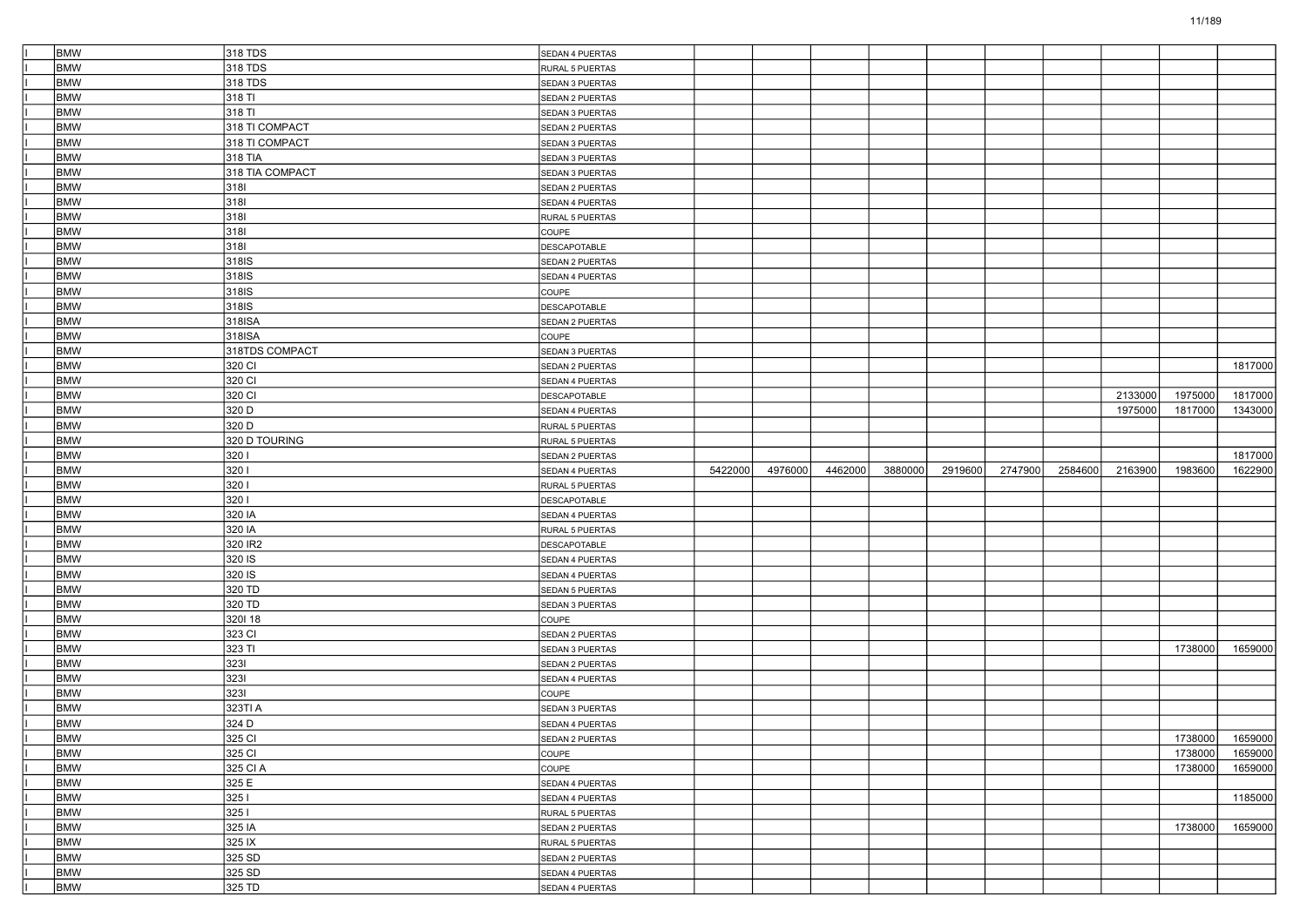| <b>BMW</b>               | 318 TDS           | SEDAN 4 PUERTAS        |         |         |         |         |         |         |         |         |         |         |
|--------------------------|-------------------|------------------------|---------|---------|---------|---------|---------|---------|---------|---------|---------|---------|
| <b>BMW</b>               | 318 TDS           | RURAL 5 PUERTAS        |         |         |         |         |         |         |         |         |         |         |
| <b>BMW</b>               | 318 TDS           | SEDAN 3 PUERTAS        |         |         |         |         |         |         |         |         |         |         |
| <b>BMW</b>               | 318 TI            | SEDAN 2 PUERTAS        |         |         |         |         |         |         |         |         |         |         |
| <b>BMW</b>               | 318 TI            | SEDAN 3 PUERTAS        |         |         |         |         |         |         |         |         |         |         |
| <b>BMW</b>               | 318 TI COMPACT    | SEDAN 2 PUERTAS        |         |         |         |         |         |         |         |         |         |         |
| <b>BMW</b>               | 318 TI COMPACT    | SEDAN 3 PUERTAS        |         |         |         |         |         |         |         |         |         |         |
| <b>BMW</b>               | 318 TIA           | SEDAN 3 PUERTAS        |         |         |         |         |         |         |         |         |         |         |
| <b>BMW</b>               | 318 TIA COMPACT   | SEDAN 3 PUERTAS        |         |         |         |         |         |         |         |         |         |         |
| <b>BMW</b>               | 3181              | SEDAN 2 PUERTAS        |         |         |         |         |         |         |         |         |         |         |
| <b>BMW</b>               | 3181              | SEDAN 4 PUERTAS        |         |         |         |         |         |         |         |         |         |         |
| <b>BMW</b>               | 3181              | RURAL 5 PUERTAS        |         |         |         |         |         |         |         |         |         |         |
| <b>BMW</b>               | 3181              | COUPE                  |         |         |         |         |         |         |         |         |         |         |
| <b>BMW</b>               | 3181              | DESCAPOTABLE           |         |         |         |         |         |         |         |         |         |         |
| <b>BMW</b>               | 318 <sub>IS</sub> | SEDAN 2 PUERTAS        |         |         |         |         |         |         |         |         |         |         |
| <b>BMW</b>               | 318IS             | SEDAN 4 PUERTAS        |         |         |         |         |         |         |         |         |         |         |
| <b>BMW</b>               | 318IS             | COUPE                  |         |         |         |         |         |         |         |         |         |         |
| <b>BMW</b>               | 318 <sub>IS</sub> | DESCAPOTABLE           |         |         |         |         |         |         |         |         |         |         |
| <b>BMW</b>               | 318ISA            | SEDAN 2 PUERTAS        |         |         |         |         |         |         |         |         |         |         |
| <b>BMW</b>               | 318ISA            | COUPE                  |         |         |         |         |         |         |         |         |         |         |
| <b>BMW</b>               | 318TDS COMPACT    | SEDAN 3 PUERTAS        |         |         |         |         |         |         |         |         |         |         |
| <b>BMW</b>               | 320 CI            | SEDAN 2 PUERTAS        |         |         |         |         |         |         |         |         |         | 1817000 |
| <b>BMW</b>               | 320 CI            | SEDAN 4 PUERTAS        |         |         |         |         |         |         |         |         |         |         |
| <b>BMW</b>               | 320 CI            | DESCAPOTABLE           |         |         |         |         |         |         |         | 2133000 | 1975000 | 1817000 |
| <b>BMW</b>               | 320 D             | SEDAN 4 PUERTAS        |         |         |         |         |         |         |         | 1975000 | 1817000 | 1343000 |
| <b>BMW</b>               | 320 D             | RURAL 5 PUERTAS        |         |         |         |         |         |         |         |         |         |         |
| <b>BMW</b>               | 320 D TOURING     | RURAL 5 PUERTAS        |         |         |         |         |         |         |         |         |         |         |
| <b>BMW</b>               | 3201              | SEDAN 2 PUERTAS        |         |         |         |         |         |         |         |         |         | 1817000 |
| <b>BMW</b>               | 3201              |                        | 5422000 |         |         | 3880000 | 2919600 | 2747900 | 2584600 | 2163900 | 1983600 |         |
|                          |                   | SEDAN 4 PUERTAS        |         | 4976000 | 4462000 |         |         |         |         |         |         | 1622900 |
| <b>BMW</b>               | 3201              | RURAL 5 PUERTAS        |         |         |         |         |         |         |         |         |         |         |
| <b>BMW</b>               | 3201              | DESCAPOTABLE           |         |         |         |         |         |         |         |         |         |         |
| <b>BMW</b>               | 320 IA            | SEDAN 4 PUERTAS        |         |         |         |         |         |         |         |         |         |         |
| <b>BMW</b>               | 320 IA            | RURAL 5 PUERTAS        |         |         |         |         |         |         |         |         |         |         |
| <b>BMW</b>               | 320 IR2           | DESCAPOTABLE           |         |         |         |         |         |         |         |         |         |         |
| <b>BMW</b>               | 320 IS            | SEDAN 4 PUERTAS        |         |         |         |         |         |         |         |         |         |         |
| <b>BMW</b>               | 320 IS            | SEDAN 4 PUERTAS        |         |         |         |         |         |         |         |         |         |         |
| <b>BMW</b>               | 320 TD            | <b>SEDAN 5 PUERTAS</b> |         |         |         |         |         |         |         |         |         |         |
| <b>BMW</b>               | 320 TD            | SEDAN 3 PUERTAS        |         |         |         |         |         |         |         |         |         |         |
| <b>BMW</b>               | 320118            | <b>COUPE</b>           |         |         |         |         |         |         |         |         |         |         |
| <b>BMW</b>               | 323 CI            | SEDAN 2 PUERTAS        |         |         |         |         |         |         |         |         |         |         |
| <b>BMW</b>               | 323 TI            | SEDAN 3 PUERTAS        |         |         |         |         |         |         |         |         | 1738000 | 1659000 |
| <b>BMW</b>               | 3231              | SEDAN 2 PUERTAS        |         |         |         |         |         |         |         |         |         |         |
| <b>BMW</b>               | 3231              | SEDAN 4 PUERTAS        |         |         |         |         |         |         |         |         |         |         |
| <b>BMW</b>               | 3231              | COUPE                  |         |         |         |         |         |         |         |         |         |         |
| <b>BMW</b>               | 323TI A           | SEDAN 3 PUERTAS        |         |         |         |         |         |         |         |         |         |         |
| <b>BMW</b>               | 324 D             | SEDAN 4 PUERTAS        |         |         |         |         |         |         |         |         |         |         |
| <b>BMW</b>               | 325 CI            | SEDAN 2 PUERTAS        |         |         |         |         |         |         |         |         | 1738000 | 1659000 |
| <b>BMW</b>               | 325 CI            | COUPE                  |         |         |         |         |         |         |         |         | 1738000 | 1659000 |
| <b>BMW</b>               | 325 CI A          | COUPE                  |         |         |         |         |         |         |         |         | 1738000 | 1659000 |
| <b>BMW</b>               | 325 E             | SEDAN 4 PUERTAS        |         |         |         |         |         |         |         |         |         |         |
| <b>BMW</b>               | 3251              | SEDAN 4 PUERTAS        |         |         |         |         |         |         |         |         |         | 1185000 |
| <b>BMW</b>               | 3251              | RURAL 5 PUERTAS        |         |         |         |         |         |         |         |         |         |         |
| <b>BMW</b>               | 325 IA            | SEDAN 2 PUERTAS        |         |         |         |         |         |         |         |         | 1738000 | 1659000 |
| <b>BMW</b>               | 325 IX            | RURAL 5 PUERTAS        |         |         |         |         |         |         |         |         |         |         |
| <b>BMW</b>               | 325 SD            | SEDAN 2 PUERTAS        |         |         |         |         |         |         |         |         |         |         |
| <b>BMW</b><br><b>BMW</b> | 325 SD<br>325 TD  | SEDAN 4 PUERTAS        |         |         |         |         |         |         |         |         |         |         |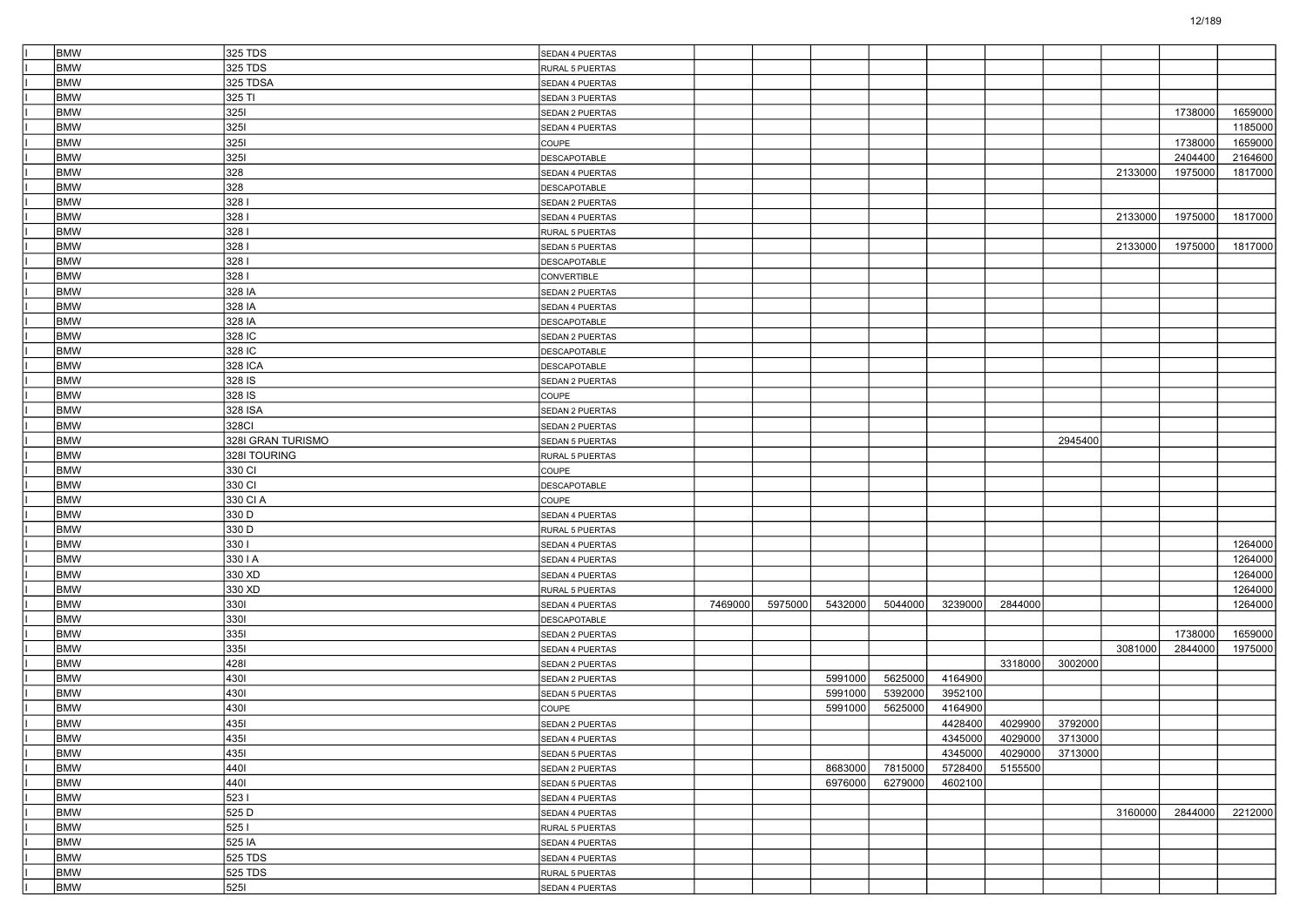| <b>BMW</b>               | 325 TDS           | SEDAN 4 PUERTAS        |         |         |         |         |         |         |                 |         |         |         |
|--------------------------|-------------------|------------------------|---------|---------|---------|---------|---------|---------|-----------------|---------|---------|---------|
| <b>BMW</b>               | 325 TDS           | RURAL 5 PUERTAS        |         |         |         |         |         |         |                 |         |         |         |
| <b>BMW</b>               | 325 TDSA          | SEDAN 4 PUERTAS        |         |         |         |         |         |         |                 |         |         |         |
| <b>BMW</b>               | 325 TI            | SEDAN 3 PUERTAS        |         |         |         |         |         |         |                 |         |         |         |
| <b>BMW</b>               | 3251              | SEDAN 2 PUERTAS        |         |         |         |         |         |         |                 |         | 1738000 | 1659000 |
| <b>BMW</b>               | 3251              | SEDAN 4 PUERTAS        |         |         |         |         |         |         |                 |         |         | 1185000 |
| <b>BMW</b>               | 3251              | COUPE                  |         |         |         |         |         |         |                 |         | 1738000 | 1659000 |
| <b>BMW</b>               | 3251              | DESCAPOTABLE           |         |         |         |         |         |         |                 |         | 2404400 | 2164600 |
| <b>BMW</b>               | 328               | SEDAN 4 PUERTAS        |         |         |         |         |         |         |                 | 2133000 | 1975000 | 1817000 |
| <b>BMW</b>               | 328               | DESCAPOTABLE           |         |         |         |         |         |         |                 |         |         |         |
| <b>BMW</b>               | 3281              | SEDAN 2 PUERTAS        |         |         |         |         |         |         |                 |         |         |         |
| <b>BMW</b>               | 3281              | SEDAN 4 PUERTAS        |         |         |         |         |         |         |                 | 2133000 | 1975000 | 1817000 |
| <b>BMW</b>               | 3281              | RURAL 5 PUERTAS        |         |         |         |         |         |         |                 |         |         |         |
| <b>BMW</b>               | 3281              | SEDAN 5 PUERTAS        |         |         |         |         |         |         |                 | 2133000 | 1975000 | 1817000 |
| <b>BMW</b>               | 3281              | DESCAPOTABLE           |         |         |         |         |         |         |                 |         |         |         |
| <b>BMW</b>               | 3281              | CONVERTIBLE            |         |         |         |         |         |         |                 |         |         |         |
| <b>BMW</b>               | 328 IA            | SEDAN 2 PUERTAS        |         |         |         |         |         |         |                 |         |         |         |
| <b>BMW</b>               | 328 IA            | SEDAN 4 PUERTAS        |         |         |         |         |         |         |                 |         |         |         |
| <b>BMW</b>               | 328 IA            | DESCAPOTABLE           |         |         |         |         |         |         |                 |         |         |         |
| <b>BMW</b>               | 328 IC            | SEDAN 2 PUERTAS        |         |         |         |         |         |         |                 |         |         |         |
| <b>BMW</b>               | 328 IC            | DESCAPOTABLE           |         |         |         |         |         |         |                 |         |         |         |
| <b>BMW</b>               | 328 ICA           | <b>DESCAPOTABLE</b>    |         |         |         |         |         |         |                 |         |         |         |
| <b>BMW</b>               | 328 IS            | SEDAN 2 PUERTAS        |         |         |         |         |         |         |                 |         |         |         |
| <b>BMW</b>               | 328 IS            | COUPE                  |         |         |         |         |         |         |                 |         |         |         |
| <b>BMW</b>               | 328 ISA           | SEDAN 2 PUERTAS        |         |         |         |         |         |         |                 |         |         |         |
| <b>BMW</b>               | 328CI             | SEDAN 2 PUERTAS        |         |         |         |         |         |         |                 |         |         |         |
| <b>BMW</b>               | 328I GRAN TURISMO | <b>SEDAN 5 PUERTAS</b> |         |         |         |         |         |         | 2945400         |         |         |         |
| <b>BMW</b>               | 328I TOURING      | RURAL 5 PUERTAS        |         |         |         |         |         |         |                 |         |         |         |
| <b>BMW</b>               | 330 CI            | COUPE                  |         |         |         |         |         |         |                 |         |         |         |
| <b>BMW</b>               | 330 CI            | DESCAPOTABLE           |         |         |         |         |         |         |                 |         |         |         |
| <b>BMW</b>               | 330 CI A          | COUPE                  |         |         |         |         |         |         |                 |         |         |         |
| <b>BMW</b>               | 330 D             | SEDAN 4 PUERTAS        |         |         |         |         |         |         |                 |         |         |         |
| <b>BMW</b>               | 330 D             | RURAL 5 PUERTAS        |         |         |         |         |         |         |                 |         |         |         |
| <b>BMW</b>               | 3301              |                        |         |         |         |         |         |         |                 |         |         | 1264000 |
| <b>BMW</b>               | 330 I A           | SEDAN 4 PUERTAS        |         |         |         |         |         |         |                 |         |         | 1264000 |
| <b>BMW</b>               | 330 XD            | SEDAN 4 PUERTAS        |         |         |         |         |         |         |                 |         |         | 1264000 |
| <b>BMW</b>               | 330 XD            | SEDAN 4 PUERTAS        |         |         |         |         |         |         |                 |         |         | 1264000 |
| <b>BMW</b>               | 3301              | RURAL 5 PUERTAS        | 7469000 | 5975000 | 5432000 | 5044000 | 3239000 | 2844000 |                 |         |         | 1264000 |
| <b>BMW</b>               | 3301              | SEDAN 4 PUERTAS        |         |         |         |         |         |         |                 |         |         |         |
| <b>BMW</b>               | 3351              | DESCAPOTABLE           |         |         |         |         |         |         |                 |         | 1738000 |         |
| <b>BMW</b>               |                   | SEDAN 2 PUERTAS        |         |         |         |         |         |         |                 |         |         | 1659000 |
|                          | 3351              | SEDAN 4 PUERTAS        |         |         |         |         |         |         |                 | 3081000 | 2844000 | 1975000 |
| <b>BMW</b><br><b>BMW</b> | 4281<br>4301      | SEDAN 2 PUERTAS        |         |         | 5991000 | 5625000 | 4164900 | 3318000 | 3002000         |         |         |         |
|                          |                   | SEDAN 2 PUERTAS        |         |         |         |         |         |         |                 |         |         |         |
| <b>BMW</b>               | 4301              | SEDAN 5 PUERTAS        |         |         | 5991000 | 5392000 | 3952100 |         |                 |         |         |         |
| <b>BMW</b>               | 4301              | COUPE                  |         |         | 5991000 | 5625000 | 4164900 |         |                 |         |         |         |
| <b>BMW</b>               | 4351              | SEDAN 2 PUERTAS        |         |         |         |         | 4428400 | 4029900 | 3792000         |         |         |         |
| <b>BMW</b>               | 4351              | SEDAN 4 PUERTAS        |         |         |         |         | 4345000 |         | 4029000 3713000 |         |         |         |
| <b>BMW</b>               | 4351              | SEDAN 5 PUERTAS        |         |         |         |         | 4345000 | 4029000 | 3713000         |         |         |         |
| <b>BMW</b>               | 4401              | SEDAN 2 PUERTAS        |         |         | 8683000 | 7815000 | 5728400 | 5155500 |                 |         |         |         |
| <b>BMW</b>               | 4401              | SEDAN 5 PUERTAS        |         |         | 6976000 | 6279000 | 4602100 |         |                 |         |         |         |
| <b>BMW</b>               | 5231              | SEDAN 4 PUERTAS        |         |         |         |         |         |         |                 |         |         |         |
| <b>BMW</b>               | 525 D             | SEDAN 4 PUERTAS        |         |         |         |         |         |         |                 | 3160000 | 2844000 | 2212000 |
| <b>BMW</b>               | 5251              | RURAL 5 PUERTAS        |         |         |         |         |         |         |                 |         |         |         |
| <b>BMW</b>               | 525 IA            | SEDAN 4 PUERTAS        |         |         |         |         |         |         |                 |         |         |         |
| <b>BMW</b>               | 525 TDS           | SEDAN 4 PUERTAS        |         |         |         |         |         |         |                 |         |         |         |
| <b>BMW</b>               | 525 TDS           | RURAL 5 PUERTAS        |         |         |         |         |         |         |                 |         |         |         |
| <b>BMW</b>               | 5251              | SEDAN 4 PUERTAS        |         |         |         |         |         |         |                 |         |         |         |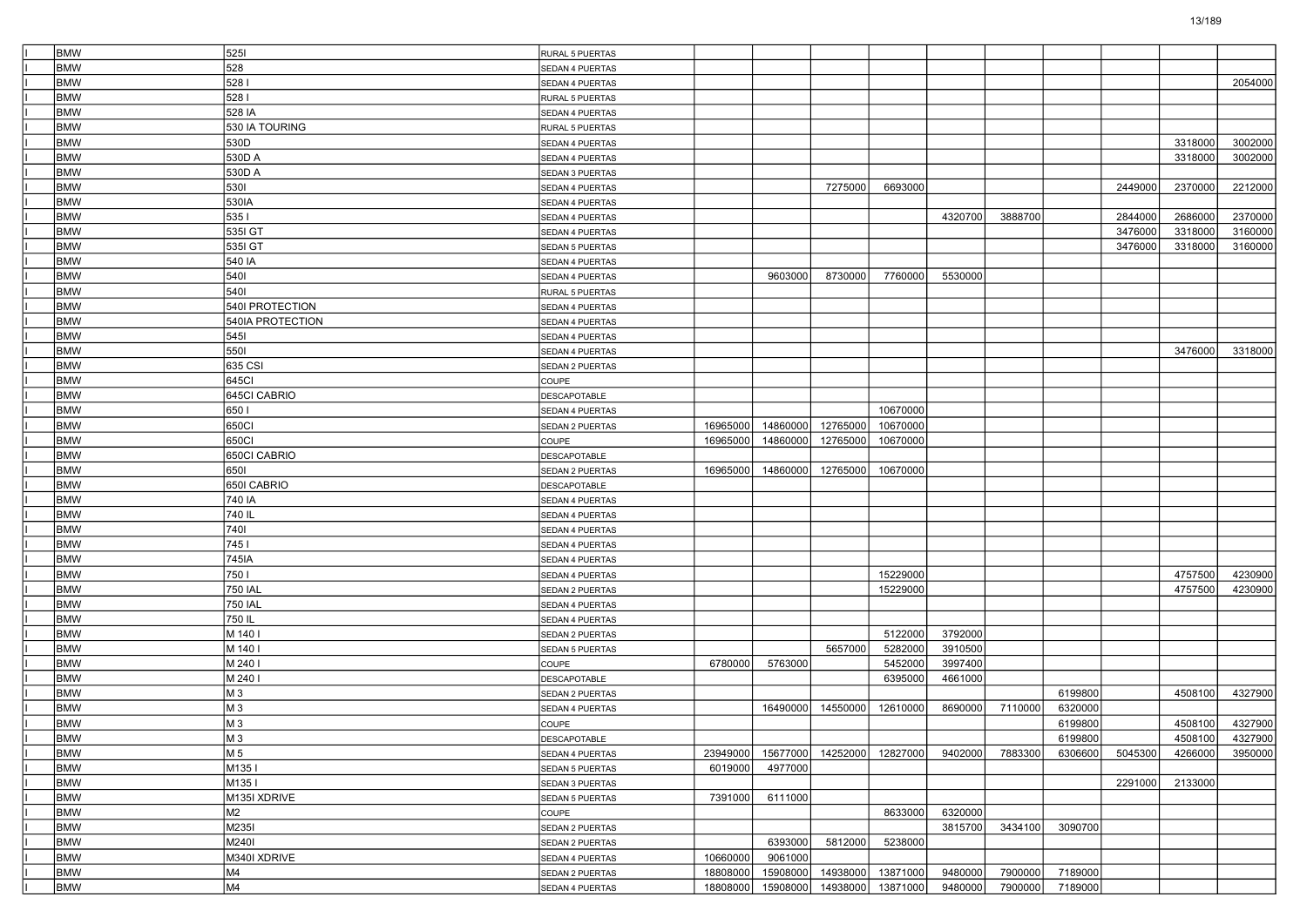| <b>BMW</b> | 5251             | RURAL 5 PUERTAS |          |          |          |          |         |         |         |         |         |         |
|------------|------------------|-----------------|----------|----------|----------|----------|---------|---------|---------|---------|---------|---------|
| <b>BMW</b> | 528              | SEDAN 4 PUERTAS |          |          |          |          |         |         |         |         |         |         |
| <b>BMW</b> | 5281             | SEDAN 4 PUERTAS |          |          |          |          |         |         |         |         |         | 2054000 |
| <b>BMW</b> | 5281             | RURAL 5 PUERTAS |          |          |          |          |         |         |         |         |         |         |
| <b>BMW</b> | 528 IA           | SEDAN 4 PUERTAS |          |          |          |          |         |         |         |         |         |         |
| <b>BMW</b> | 530 IA TOURING   | RURAL 5 PUERTAS |          |          |          |          |         |         |         |         |         |         |
| <b>BMW</b> | 530D             | SEDAN 4 PUERTAS |          |          |          |          |         |         |         |         | 3318000 | 3002000 |
| <b>BMW</b> | 530D A           | SEDAN 4 PUERTAS |          |          |          |          |         |         |         |         | 3318000 | 3002000 |
| <b>BMW</b> | 530D A           | SEDAN 3 PUERTAS |          |          |          |          |         |         |         |         |         |         |
| <b>BMW</b> | 5301             | SEDAN 4 PUERTAS |          |          | 7275000  | 6693000  |         |         |         | 2449000 | 2370000 | 2212000 |
| <b>BMW</b> | 530IA            | SEDAN 4 PUERTAS |          |          |          |          |         |         |         |         |         |         |
| <b>BMW</b> | 5351             | SEDAN 4 PUERTAS |          |          |          |          | 4320700 | 3888700 |         | 2844000 | 2686000 | 2370000 |
| <b>BMW</b> | 535I GT          | SEDAN 4 PUERTAS |          |          |          |          |         |         |         | 3476000 | 3318000 | 3160000 |
| <b>BMW</b> | 535I GT          | SEDAN 5 PUERTAS |          |          |          |          |         |         |         | 3476000 | 3318000 | 3160000 |
| <b>BMW</b> | 540 IA           | SEDAN 4 PUERTAS |          |          |          |          |         |         |         |         |         |         |
| <b>BMW</b> | 5401             | SEDAN 4 PUERTAS |          | 9603000  | 8730000  | 7760000  | 5530000 |         |         |         |         |         |
| <b>BMW</b> | 5401             | RURAL 5 PUERTAS |          |          |          |          |         |         |         |         |         |         |
| <b>BMW</b> | 540I PROTECTION  | SEDAN 4 PUERTAS |          |          |          |          |         |         |         |         |         |         |
| <b>BMW</b> | 540IA PROTECTION | SEDAN 4 PUERTAS |          |          |          |          |         |         |         |         |         |         |
| <b>BMW</b> | 5451             | SEDAN 4 PUERTAS |          |          |          |          |         |         |         |         |         |         |
| <b>BMW</b> | 5501             | SEDAN 4 PUERTAS |          |          |          |          |         |         |         |         | 3476000 | 3318000 |
| <b>BMW</b> | 635 CSI          | SEDAN 2 PUERTAS |          |          |          |          |         |         |         |         |         |         |
| <b>BMW</b> | 645CI            | COUPE           |          |          |          |          |         |         |         |         |         |         |
| <b>BMW</b> | 645CI CABRIO     | DESCAPOTABLE    |          |          |          |          |         |         |         |         |         |         |
| <b>BMW</b> | 650              | SEDAN 4 PUERTAS |          |          |          | 10670000 |         |         |         |         |         |         |
| <b>BMW</b> | 650Cl            | SEDAN 2 PUERTAS | 16965000 | 14860000 | 12765000 | 10670000 |         |         |         |         |         |         |
| <b>BMW</b> | 650CI            | COUPE           | 16965000 | 14860000 | 12765000 | 10670000 |         |         |         |         |         |         |
| <b>BMW</b> | 650CI CABRIO     | DESCAPOTABLE    |          |          |          |          |         |         |         |         |         |         |
| <b>BMW</b> | 6501             | SEDAN 2 PUERTAS | 16965000 | 14860000 | 12765000 | 10670000 |         |         |         |         |         |         |
| <b>BMW</b> | 650I CABRIO      | DESCAPOTABLE    |          |          |          |          |         |         |         |         |         |         |
| <b>BMW</b> | 740 IA           |                 |          |          |          |          |         |         |         |         |         |         |
| <b>BMW</b> |                  | SEDAN 4 PUERTAS |          |          |          |          |         |         |         |         |         |         |
| <b>BMW</b> | 740 IL<br>7401   | SEDAN 4 PUERTAS |          |          |          |          |         |         |         |         |         |         |
|            |                  | SEDAN 4 PUERTAS |          |          |          |          |         |         |         |         |         |         |
| <b>BMW</b> | 7451             | SEDAN 4 PUERTAS |          |          |          |          |         |         |         |         |         |         |
| <b>BMW</b> | 745IA            | SEDAN 4 PUERTAS |          |          |          |          |         |         |         |         |         |         |
| <b>BMW</b> | 7501             | SEDAN 4 PUERTAS |          |          |          | 15229000 |         |         |         |         | 4757500 | 4230900 |
| <b>BMW</b> | <b>750 IAL</b>   | SEDAN 2 PUERTAS |          |          |          | 15229000 |         |         |         |         | 4757500 | 4230900 |
| <b>BMW</b> | <b>750 IAL</b>   | SEDAN 4 PUERTAS |          |          |          |          |         |         |         |         |         |         |
| <b>BMW</b> | 750 IL           | SEDAN 4 PUERTAS |          |          |          |          |         |         |         |         |         |         |
| <b>BMW</b> | M 140 I          | SEDAN 2 PUERTAS |          |          |          | 5122000  | 3792000 |         |         |         |         |         |
| <b>BMW</b> | M 140 I          | SEDAN 5 PUERTAS |          |          | 5657000  | 5282000  | 3910500 |         |         |         |         |         |
| <b>BMW</b> | M 240 I          | COUPE           | 6780000  | 5763000  |          | 5452000  | 3997400 |         |         |         |         |         |
| <b>BMW</b> | M 240 I          | DESCAPOTABLE    |          |          |          | 6395000  | 4661000 |         |         |         |         |         |
| <b>BMW</b> | M <sub>3</sub>   | SEDAN 2 PUERTAS |          |          |          |          |         |         | 6199800 |         | 4508100 | 4327900 |
| <b>BMW</b> | M <sub>3</sub>   | SEDAN 4 PUERTAS |          | 16490000 | 14550000 | 12610000 | 8690000 | 7110000 | 6320000 |         |         |         |
| <b>BMW</b> | M <sub>3</sub>   | COUPE           |          |          |          |          |         |         | 6199800 |         | 4508100 | 4327900 |
| BMW        | M 3              | DESCAPOTABLE    |          |          |          |          |         |         | 6199800 |         | 4508100 | 4327900 |
| <b>BMW</b> | M 5              | SEDAN 4 PUERTAS | 23949000 | 15677000 | 14252000 | 12827000 | 9402000 | 7883300 | 6306600 | 5045300 | 4266000 | 3950000 |
| <b>BMW</b> | M1351            | SEDAN 5 PUERTAS | 6019000  | 4977000  |          |          |         |         |         |         |         |         |
| <b>BMW</b> | M135 I           | SEDAN 3 PUERTAS |          |          |          |          |         |         |         | 2291000 | 2133000 |         |
| <b>BMW</b> | M135I XDRIVE     | SEDAN 5 PUERTAS | 7391000  | 6111000  |          |          |         |         |         |         |         |         |
| <b>BMW</b> | M2               | COUPE           |          |          |          | 8633000  | 6320000 |         |         |         |         |         |
| <b>BMW</b> | M235I            | SEDAN 2 PUERTAS |          |          |          |          | 3815700 | 3434100 | 3090700 |         |         |         |
| <b>BMW</b> | M240I            | SEDAN 2 PUERTAS |          | 6393000  | 5812000  | 5238000  |         |         |         |         |         |         |
| <b>BMW</b> | M340I XDRIVE     | SEDAN 4 PUERTAS | 10660000 | 9061000  |          |          |         |         |         |         |         |         |
| <b>BMW</b> | M4               | SEDAN 2 PUERTAS | 18808000 | 15908000 | 14938000 | 13871000 | 9480000 | 7900000 | 7189000 |         |         |         |
| <b>BMW</b> | M4               | SEDAN 4 PUERTAS | 18808000 | 15908000 | 14938000 | 13871000 | 9480000 | 7900000 | 7189000 |         |         |         |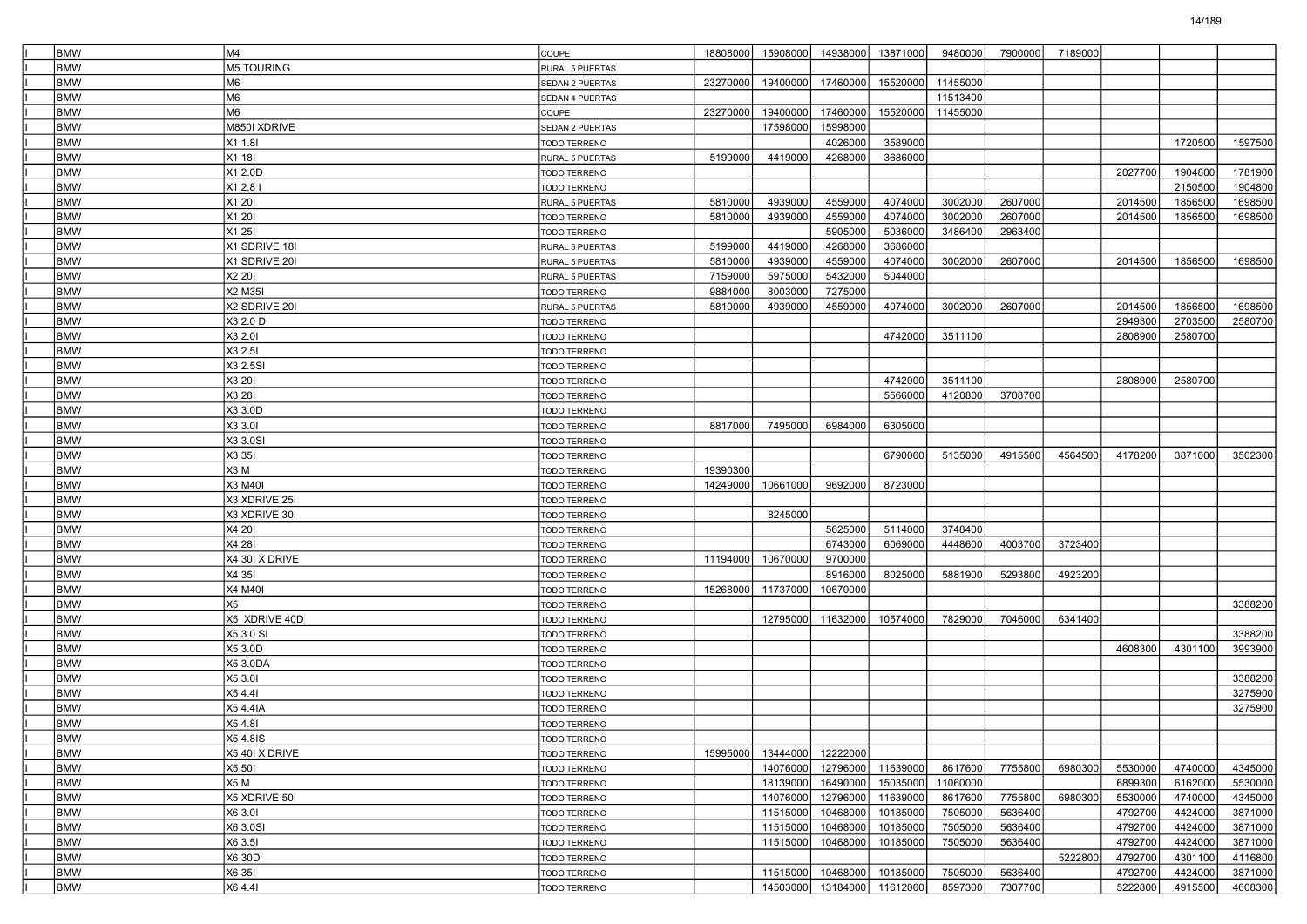| <b>BMW</b> | M4                | COUPE               | 18808000 | 15908000 | 14938000                   | 13871000 | 9480000  | 7900000 | 7189000 |         |         |         |
|------------|-------------------|---------------------|----------|----------|----------------------------|----------|----------|---------|---------|---------|---------|---------|
| <b>BMW</b> | <b>M5 TOURING</b> | RURAL 5 PUERTAS     |          |          |                            |          |          |         |         |         |         |         |
| <b>BMW</b> | M <sub>6</sub>    | SEDAN 2 PUERTAS     | 23270000 | 19400000 | 17460000                   | 15520000 | 11455000 |         |         |         |         |         |
| <b>BMW</b> | M <sub>6</sub>    | SEDAN 4 PUERTAS     |          |          |                            |          | 11513400 |         |         |         |         |         |
| <b>BMW</b> | M <sub>6</sub>    | COUPE               | 23270000 | 19400000 | 17460000                   | 15520000 | 11455000 |         |         |         |         |         |
| <b>BMW</b> | M850I XDRIVE      | SEDAN 2 PUERTAS     |          | 17598000 | 15998000                   |          |          |         |         |         |         |         |
| <b>BMW</b> | X1 1.8I           | TODO TERRENO        |          |          | 4026000                    | 3589000  |          |         |         |         | 1720500 | 1597500 |
| <b>BMW</b> | X1 18I            | RURAL 5 PUERTAS     | 5199000  | 4419000  | 4268000                    | 3686000  |          |         |         |         |         |         |
| <b>BMW</b> | X1 2.0D           | TODO TERRENO        |          |          |                            |          |          |         |         | 2027700 | 1904800 | 1781900 |
| <b>BMW</b> | X1 2.8 I          | TODO TERRENO        |          |          |                            |          |          |         |         |         | 2150500 | 1904800 |
| <b>BMW</b> | X1 201            | RURAL 5 PUERTAS     | 5810000  | 4939000  | 4559000                    | 4074000  | 3002000  | 2607000 |         | 2014500 | 1856500 | 1698500 |
| <b>BMW</b> | X1 20I            | <b>TODO TERRENO</b> | 5810000  | 4939000  | 4559000                    | 4074000  | 3002000  | 2607000 |         | 2014500 | 1856500 | 1698500 |
| <b>BMW</b> | X1 25I            | <b>TODO TERRENO</b> |          |          | 5905000                    | 5036000  | 3486400  | 2963400 |         |         |         |         |
| <b>BMW</b> | X1 SDRIVE 18I     | RURAL 5 PUERTAS     | 5199000  | 4419000  | 4268000                    | 3686000  |          |         |         |         |         |         |
| <b>BMW</b> | X1 SDRIVE 201     | RURAL 5 PUERTAS     | 5810000  | 4939000  | 4559000                    | 4074000  | 3002000  | 2607000 |         | 2014500 | 1856500 | 1698500 |
| <b>BMW</b> | X2 20I            | RURAL 5 PUERTAS     | 7159000  | 5975000  | 5432000                    | 5044000  |          |         |         |         |         |         |
| <b>BMW</b> | X2 M35I           | TODO TERRENO        | 9884000  | 8003000  | 7275000                    |          |          |         |         |         |         |         |
| <b>BMW</b> | X2 SDRIVE 201     | RURAL 5 PUERTAS     | 5810000  | 4939000  | 4559000                    | 4074000  | 3002000  | 2607000 |         | 2014500 | 1856500 | 1698500 |
| <b>BMW</b> | X3 2.0 D          | TODO TERRENO        |          |          |                            |          |          |         |         | 2949300 | 2703500 | 2580700 |
| <b>BMW</b> | X3 2.01           | TODO TERRENO        |          |          |                            | 4742000  | 3511100  |         |         | 2808900 | 2580700 |         |
| <b>BMW</b> | X3 2.51           | TODO TERRENO        |          |          |                            |          |          |         |         |         |         |         |
| <b>BMW</b> | X3 2.5SI          | TODO TERRENO        |          |          |                            |          |          |         |         |         |         |         |
| <b>BMW</b> | X3 201            | <b>TODO TERRENO</b> |          |          |                            | 4742000  | 3511100  |         |         | 2808900 | 2580700 |         |
| <b>BMW</b> | X3 28I            | TODO TERRENO        |          |          |                            | 5566000  | 4120800  | 3708700 |         |         |         |         |
| <b>BMW</b> | X3 3.0D           | TODO TERRENO        |          |          |                            |          |          |         |         |         |         |         |
| <b>BMW</b> | X3 3.01           | TODO TERRENO        | 8817000  | 7495000  | 6984000                    | 6305000  |          |         |         |         |         |         |
| <b>BMW</b> | X3 3.0SI          | TODO TERRENO        |          |          |                            |          |          |         |         |         |         |         |
| <b>BMW</b> | X3 35I            | <b>TODO TERRENO</b> |          |          |                            | 6790000  | 5135000  | 4915500 | 4564500 | 4178200 | 3871000 | 3502300 |
| <b>BMW</b> | X3M               | <b>TODO TERRENO</b> | 19390300 |          |                            |          |          |         |         |         |         |         |
| <b>BMW</b> | X3 M40I           | TODO TERRENO        | 14249000 | 10661000 | 9692000                    | 8723000  |          |         |         |         |         |         |
| <b>BMW</b> | X3 XDRIVE 25I     | TODO TERRENO        |          |          |                            |          |          |         |         |         |         |         |
| <b>BMW</b> | X3 XDRIVE 30I     | TODO TERRENO        |          | 8245000  |                            |          |          |         |         |         |         |         |
| <b>BMW</b> | X4 201            | <b>TODO TERRENO</b> |          |          | 5625000                    | 5114000  | 3748400  |         |         |         |         |         |
| <b>BMW</b> | X4 28I            | TODO TERRENO        |          |          | 6743000                    | 6069000  | 4448600  | 4003700 | 3723400 |         |         |         |
| <b>BMW</b> | X4 30I X DRIVE    | TODO TERRENO        | 11194000 | 10670000 | 9700000                    |          |          |         |         |         |         |         |
| <b>BMW</b> | X4 35I            | TODO TERRENO        |          |          | 8916000                    | 8025000  | 5881900  | 5293800 | 4923200 |         |         |         |
| <b>BMW</b> | <b>X4 M40I</b>    | <b>TODO TERRENO</b> | 15268000 | 11737000 | 10670000                   |          |          |         |         |         |         |         |
| <b>BMW</b> | X <sub>5</sub>    | <b>TODO TERRENO</b> |          |          |                            |          |          |         |         |         |         | 3388200 |
| <b>BMW</b> | X5 XDRIVE 40D     | TODO TERRENO        |          | 12795000 | 11632000                   | 10574000 | 7829000  | 7046000 | 6341400 |         |         |         |
| <b>BMW</b> | X5 3.0 SI         | TODO TERRENO        |          |          |                            |          |          |         |         |         |         | 3388200 |
| <b>BMW</b> | X5 3.0D           | TODO TERRENO        |          |          |                            |          |          |         |         | 4608300 | 4301100 | 3993900 |
| <b>BMW</b> | X5 3.0DA          | TODO TERRENO        |          |          |                            |          |          |         |         |         |         |         |
| <b>BMW</b> | X5 3.01           | <b>TODO TERRENO</b> |          |          |                            |          |          |         |         |         |         | 3388200 |
| <b>BMW</b> | X5 4.41           | TODO TERRENO        |          |          |                            |          |          |         |         |         |         | 3275900 |
| <b>BMW</b> | X5 4.4IA          | TODO TERRENO        |          |          |                            |          |          |         |         |         |         | 3275900 |
| <b>BMW</b> | X5 4.81           | TODO TERRENO        |          |          |                            |          |          |         |         |         |         |         |
| <b>BMW</b> | X5 4.8IS          | TODO TERRENO        |          |          |                            |          |          |         |         |         |         |         |
| <b>BMW</b> | X5 40I X DRIVE    | TODO TERRENO        | 15995000 | 13444000 | 12222000                   |          |          |         |         |         |         |         |
| <b>BMW</b> | X5 50I            | TODO TERRENO        |          | 14076000 | 12796000                   | 11639000 | 8617600  | 7755800 | 6980300 | 5530000 | 4740000 | 4345000 |
| <b>BMW</b> | X5 M              | TODO TERRENO        |          | 18139000 | 16490000                   | 15035000 | 11060000 |         |         | 6899300 | 6162000 | 5530000 |
| <b>BMW</b> | X5 XDRIVE 501     | TODO TERRENO        |          | 14076000 | 12796000                   | 11639000 | 8617600  | 7755800 | 6980300 | 5530000 | 4740000 | 4345000 |
| <b>BMW</b> | X6 3.01           | TODO TERRENO        |          | 11515000 | 10468000                   | 10185000 | 7505000  | 5636400 |         | 4792700 | 4424000 | 3871000 |
| <b>BMW</b> | X6 3.0SI          | TODO TERRENO        |          | 11515000 | 10468000                   | 10185000 | 7505000  | 5636400 |         | 4792700 | 4424000 | 3871000 |
| <b>BMW</b> | X6 3.51           | <b>TODO TERRENO</b> |          | 11515000 | 10468000                   | 10185000 | 7505000  | 5636400 |         | 4792700 | 4424000 | 3871000 |
| <b>BMW</b> | X6 30D            |                     |          |          |                            |          |          |         | 5222800 | 4792700 | 4301100 | 4116800 |
| <b>BMW</b> | X6 35I            | TODO TERRENO        |          | 11515000 | 10468000                   | 10185000 | 7505000  | 5636400 |         | 4792700 | 4424000 | 3871000 |
|            | X6 4.41           | TODO TERRENO        |          |          |                            |          |          |         |         |         |         | 4608300 |
| <b>BMW</b> |                   | TODO TERRENO        |          |          | 14503000 13184000 11612000 |          | 8597300  | 7307700 |         | 5222800 | 4915500 |         |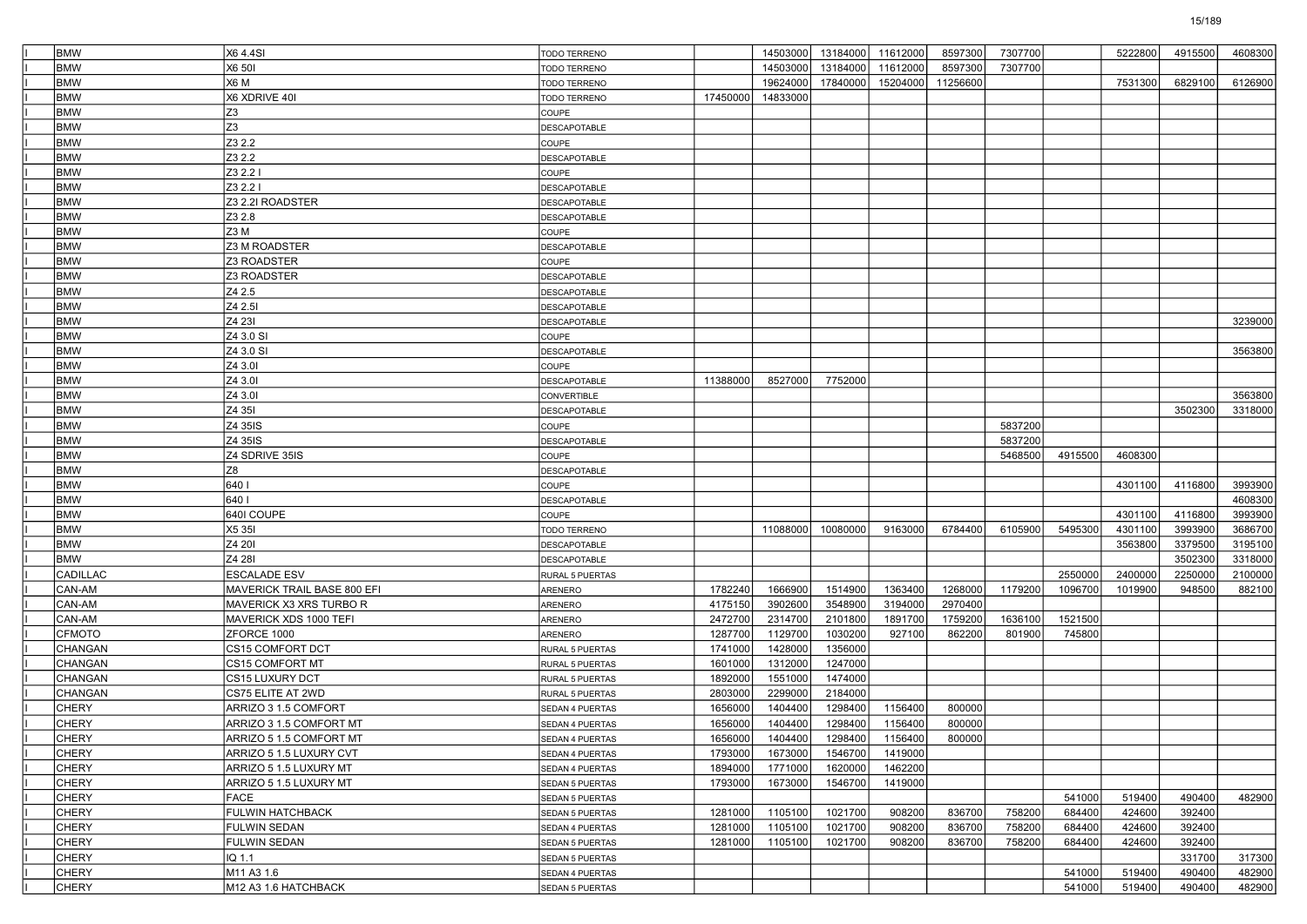| <b>BMW</b>      | X64.4SI                     |                        |          |          | 14503000 13184000 | 11612000 | 8597300  | 7307700 |         | 5222800 | 4915500 | 4608300 |
|-----------------|-----------------------------|------------------------|----------|----------|-------------------|----------|----------|---------|---------|---------|---------|---------|
|                 |                             | <b>TODO TERRENO</b>    |          |          |                   |          |          |         |         |         |         |         |
| <b>BMW</b>      | X6 50I                      | TODO TERRENO           |          | 14503000 | 13184000          | 11612000 | 8597300  | 7307700 |         |         |         |         |
| <b>BMW</b>      | X6 M                        | TODO TERRENO           |          | 19624000 | 17840000          | 15204000 | 11256600 |         |         | 7531300 | 6829100 | 6126900 |
| <b>BMW</b>      | X6 XDRIVE 40I               | TODO TERRENO           | 17450000 | 14833000 |                   |          |          |         |         |         |         |         |
| <b>BMW</b>      | Z <sub>3</sub>              | COUPE                  |          |          |                   |          |          |         |         |         |         |         |
| <b>BMW</b>      | Z <sub>3</sub>              | <b>DESCAPOTABLE</b>    |          |          |                   |          |          |         |         |         |         |         |
| <b>BMW</b>      | Z3 2.2                      | COUPE                  |          |          |                   |          |          |         |         |         |         |         |
| <b>BMW</b>      | Z3 2.2                      | <b>DESCAPOTABLE</b>    |          |          |                   |          |          |         |         |         |         |         |
| <b>BMW</b>      | Z3 2.2 I                    | COUPE                  |          |          |                   |          |          |         |         |         |         |         |
| <b>BMW</b>      | Z3 2.2 I                    | <b>DESCAPOTABLE</b>    |          |          |                   |          |          |         |         |         |         |         |
| <b>BMW</b>      | Z3 2.2I ROADSTER            | <b>DESCAPOTABLE</b>    |          |          |                   |          |          |         |         |         |         |         |
| <b>BMW</b>      | Z3 2.8                      | <b>DESCAPOTABLE</b>    |          |          |                   |          |          |         |         |         |         |         |
| <b>BMW</b>      | Z3 M                        | COUPE                  |          |          |                   |          |          |         |         |         |         |         |
| <b>BMW</b>      | Z3 M ROADSTER               | <b>DESCAPOTABLE</b>    |          |          |                   |          |          |         |         |         |         |         |
| <b>BMW</b>      | Z3 ROADSTER                 | COUPE                  |          |          |                   |          |          |         |         |         |         |         |
| <b>BMW</b>      | Z3 ROADSTER                 | <b>DESCAPOTABLE</b>    |          |          |                   |          |          |         |         |         |         |         |
| <b>BMW</b>      | Z4 2.5                      | <b>DESCAPOTABLE</b>    |          |          |                   |          |          |         |         |         |         |         |
| <b>BMW</b>      | Z4 2.5I                     | <b>DESCAPOTABLE</b>    |          |          |                   |          |          |         |         |         |         |         |
| <b>BMW</b>      | Z4 23I                      | <b>DESCAPOTABLE</b>    |          |          |                   |          |          |         |         |         |         | 3239000 |
| <b>BMW</b>      | Z4 3.0 SI                   | COUPE                  |          |          |                   |          |          |         |         |         |         |         |
| <b>BMW</b>      | Z4 3.0 SI                   | <b>DESCAPOTABLE</b>    |          |          |                   |          |          |         |         |         |         | 3563800 |
| <b>BMW</b>      | Z4 3.01                     | COUPE                  |          |          |                   |          |          |         |         |         |         |         |
| <b>BMW</b>      | Z4 3.01                     | <b>DESCAPOTABLE</b>    | 11388000 | 8527000  | 7752000           |          |          |         |         |         |         |         |
| <b>BMW</b>      | Z4 3.01                     | CONVERTIBLE            |          |          |                   |          |          |         |         |         |         | 3563800 |
| <b>BMW</b>      | Z4 351                      | <b>DESCAPOTABLE</b>    |          |          |                   |          |          |         |         |         | 3502300 | 3318000 |
| <b>BMW</b>      | Z4 35IS                     |                        |          |          |                   |          |          | 5837200 |         |         |         |         |
| <b>BMW</b>      | Z4 35IS                     | COUPE                  |          |          |                   |          |          | 5837200 |         |         |         |         |
|                 |                             | <b>DESCAPOTABLE</b>    |          |          |                   |          |          |         |         |         |         |         |
| <b>BMW</b>      | Z4 SDRIVE 35IS              | COUPE                  |          |          |                   |          |          | 5468500 | 4915500 | 4608300 |         |         |
| <b>BMW</b>      | Z8                          | <b>DESCAPOTABLE</b>    |          |          |                   |          |          |         |         |         |         |         |
| <b>BMW</b>      | 640 I                       | COUPE                  |          |          |                   |          |          |         |         | 4301100 | 4116800 | 3993900 |
| <b>BMW</b>      | 640 I                       | <b>DESCAPOTABLE</b>    |          |          |                   |          |          |         |         |         |         | 4608300 |
| <b>BMW</b>      | 640I COUPE                  | COUPE                  |          |          |                   |          |          |         |         | 4301100 | 4116800 | 3993900 |
| <b>BMW</b>      | X5 35I                      | TODO TERRENO           |          | 11088000 | 10080000          | 9163000  | 6784400  | 6105900 | 5495300 | 4301100 | 3993900 | 3686700 |
| <b>BMW</b>      | Z4 20I                      | <b>DESCAPOTABLE</b>    |          |          |                   |          |          |         |         | 3563800 | 3379500 | 3195100 |
| <b>BMW</b>      | Z4 28I                      | <b>DESCAPOTABLE</b>    |          |          |                   |          |          |         |         |         | 3502300 | 3318000 |
| <b>CADILLAC</b> | <b>ESCALADE ESV</b>         | RURAL 5 PUERTAS        |          |          |                   |          |          |         | 2550000 | 2400000 | 2250000 | 2100000 |
| CAN-AM          | MAVERICK TRAIL BASE 800 EFI | ARENERO                | 1782240  | 1666900  | 1514900           | 1363400  | 1268000  | 1179200 | 1096700 | 1019900 | 948500  | 882100  |
| CAN-AM          | MAVERICK X3 XRS TURBO R     | ARENERO                | 4175150  | 3902600  | 3548900           | 3194000  | 2970400  |         |         |         |         |         |
| CAN-AM          | MAVERICK XDS 1000 TEFI      | ARENERO                | 2472700  | 2314700  | 2101800           | 1891700  | 1759200  | 1636100 | 1521500 |         |         |         |
| <b>CFMOTO</b>   | ZFORCE 1000                 | ARENERO                | 1287700  | 1129700  | 1030200           | 927100   | 862200   | 801900  | 745800  |         |         |         |
| <b>CHANGAN</b>  | CS15 COMFORT DCT            | RURAL 5 PUERTAS        | 1741000  | 1428000  | 1356000           |          |          |         |         |         |         |         |
| CHANGAN         | <b>CS15 COMFORT MT</b>      | RURAL 5 PUERTAS        | 1601000  | 1312000  | 1247000           |          |          |         |         |         |         |         |
| CHANGAN         | CS15 LUXURY DCT             | RURAL 5 PUERTAS        | 1892000  | 1551000  | 1474000           |          |          |         |         |         |         |         |
| CHANGAN         | CS75 ELITE AT 2WD           | RURAL 5 PUERTAS        | 2803000  | 2299000  | 2184000           |          |          |         |         |         |         |         |
| <b>CHERY</b>    | ARRIZO 3 1.5 COMFORT        | SEDAN 4 PUERTAS        | 1656000  | 1404400  | 1298400           | 1156400  | 800000   |         |         |         |         |         |
| <b>CHERY</b>    | ARRIZO 3 1.5 COMFORT MT     | SEDAN 4 PUERTAS        | 1656000  | 1404400  | 1298400           | 1156400  | 800000   |         |         |         |         |         |
| CHERY           | ARRIZO 5 1.5 COMFORT MT     | SEDAN 4 PUERTAS        | 1656000  | 1404400  | 1298400           | 1156400  | 800000   |         |         |         |         |         |
| <b>CHERY</b>    | ARRIZO 5 1.5 LUXURY CVT     | SEDAN 4 PUERTAS        | 1793000  | 1673000  | 1546700           | 1419000  |          |         |         |         |         |         |
| <b>CHERY</b>    | ARRIZO 5 1.5 LUXURY MT      | SEDAN 4 PUERTAS        | 1894000  | 1771000  | 1620000           | 1462200  |          |         |         |         |         |         |
| <b>CHERY</b>    | ARRIZO 5 1.5 LUXURY MT      | <b>SEDAN 5 PUERTAS</b> | 1793000  | 1673000  | 1546700           | 1419000  |          |         |         |         |         |         |
| <b>CHERY</b>    | FACE                        | SEDAN 5 PUERTAS        |          |          |                   |          |          |         | 541000  | 519400  | 490400  | 482900  |
| <b>CHERY</b>    | <b>FULWIN HATCHBACK</b>     | SEDAN 5 PUERTAS        | 1281000  | 1105100  | 1021700           | 908200   | 836700   | 758200  | 684400  | 424600  | 392400  |         |
| <b>CHERY</b>    | <b>FULWIN SEDAN</b>         | SEDAN 4 PUERTAS        | 1281000  | 1105100  | 1021700           | 908200   | 836700   | 758200  | 684400  | 424600  | 392400  |         |
| <b>CHERY</b>    | <b>FULWIN SEDAN</b>         |                        | 1281000  | 1105100  | 1021700           | 908200   | 836700   | 758200  | 684400  | 424600  | 392400  |         |
| <b>CHERY</b>    | IQ 1.1                      | SEDAN 5 PUERTAS        |          |          |                   |          |          |         |         |         | 331700  | 317300  |
| <b>CHERY</b>    |                             | SEDAN 5 PUERTAS        |          |          |                   |          |          |         |         | 519400  | 490400  | 482900  |
|                 | M11 A3 1.6                  | SEDAN 4 PUERTAS        |          |          |                   |          |          |         | 541000  |         |         |         |
| <b>CHERY</b>    | M12 A3 1.6 HATCHBACK        | SEDAN 5 PUERTAS        |          |          |                   |          |          |         | 541000  | 519400  | 490400  | 482900  |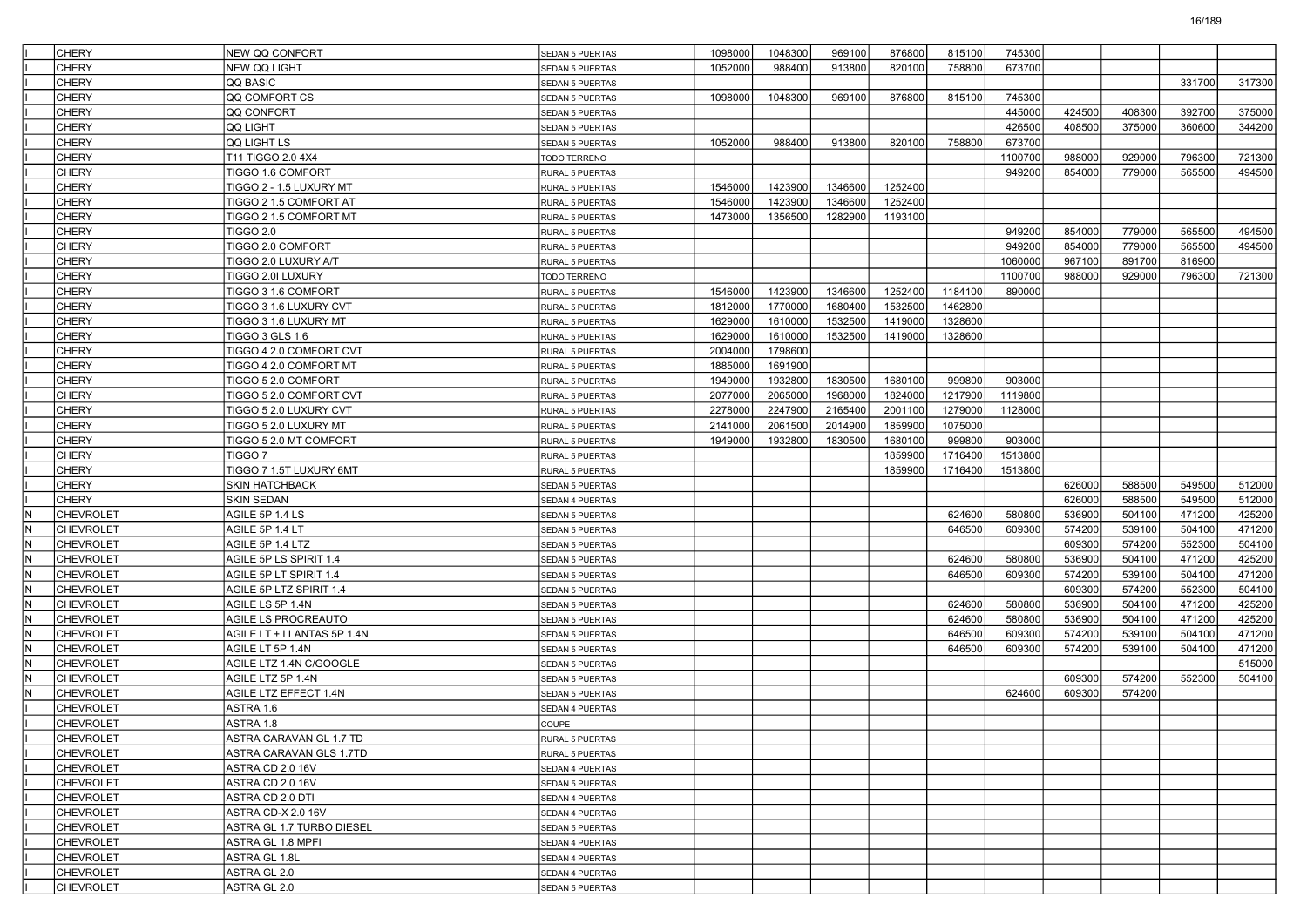| <b>CHERY</b>            | <b>NEW QQ CONFORT</b>      | <b>SEDAN 5 PUERTAS</b> | 1098000 | 1048300 | 969100  | 876800  | 815100  | 745300  |        |        |        |        |
|-------------------------|----------------------------|------------------------|---------|---------|---------|---------|---------|---------|--------|--------|--------|--------|
| <b>CHERY</b>            | <b>NEW QQ LIGHT</b>        | <b>SEDAN 5 PUERTAS</b> | 1052000 | 988400  | 913800  | 820100  | 758800  | 673700  |        |        |        |        |
| <b>CHERY</b>            | QQ BASIC                   | SEDAN 5 PUERTAS        |         |         |         |         |         |         |        |        | 331700 | 317300 |
| <b>CHERY</b>            | QQ COMFORT CS              | SEDAN 5 PUERTAS        | 1098000 | 1048300 | 969100  | 876800  | 815100  | 745300  |        |        |        |        |
| <b>CHERY</b>            | QQ CONFORT                 | <b>SEDAN 5 PUERTAS</b> |         |         |         |         |         | 445000  | 424500 | 408300 | 392700 | 375000 |
| <b>CHERY</b>            | <b>QQ LIGHT</b>            | SEDAN 5 PUERTAS        |         |         |         |         |         | 426500  | 408500 | 375000 | 360600 | 344200 |
| <b>CHERY</b>            | loo light ls               | <b>SEDAN 5 PUERTAS</b> | 1052000 | 988400  | 913800  | 820100  | 758800  | 673700  |        |        |        |        |
| <b>CHERY</b>            | T11 TIGGO 2.0 4X4          | TODO TERRENO           |         |         |         |         |         | 1100700 | 988000 | 929000 | 796300 | 721300 |
| <b>CHERY</b>            | TIGGO 1.6 COMFORT          | RURAL 5 PUERTAS        |         |         |         |         |         | 949200  | 854000 | 779000 | 565500 | 494500 |
| <b>CHERY</b>            | TIGGO 2 - 1.5 LUXURY MT    | <b>RURAL 5 PUERTAS</b> | 1546000 | 1423900 | 1346600 | 1252400 |         |         |        |        |        |        |
| <b>CHERY</b>            | TIGGO 2 1.5 COMFORT AT     | RURAL 5 PUERTAS        | 1546000 | 1423900 | 1346600 | 1252400 |         |         |        |        |        |        |
| <b>CHERY</b>            | TIGGO 2 1.5 COMFORT MT     | <b>RURAL 5 PUERTAS</b> | 1473000 | 1356500 | 1282900 | 1193100 |         |         |        |        |        |        |
| <b>CHERY</b>            | TIGGO 2.0                  | RURAL 5 PUERTAS        |         |         |         |         |         | 949200  | 854000 | 779000 | 565500 | 494500 |
| <b>CHERY</b>            | TIGGO 2.0 COMFORT          | RURAL 5 PUERTAS        |         |         |         |         |         | 949200  | 854000 | 779000 | 565500 | 494500 |
| <b>CHERY</b>            | TIGGO 2.0 LUXURY A/T       | <b>RURAL 5 PUERTAS</b> |         |         |         |         |         | 1060000 | 967100 | 891700 | 816900 |        |
| <b>CHERY</b>            | TIGGO 2.0I LUXURY          | TODO TERRENO           |         |         |         |         |         | 1100700 | 988000 | 929000 | 796300 | 721300 |
| <b>CHERY</b>            | TIGGO 3 1.6 COMFORT        | <b>RURAL 5 PUERTAS</b> | 1546000 | 1423900 | 1346600 | 1252400 | 1184100 | 890000  |        |        |        |        |
| <b>CHERY</b>            | TIGGO 3 1.6 LUXURY CVT     | RURAL 5 PUERTAS        | 1812000 | 1770000 | 1680400 | 1532500 | 1462800 |         |        |        |        |        |
| <b>CHERY</b>            | TIGGO 3 1.6 LUXURY MT      | RURAL 5 PUERTAS        | 1629000 | 1610000 | 1532500 | 1419000 | 1328600 |         |        |        |        |        |
| <b>CHERY</b>            | TIGGO 3 GLS 1.6            | <b>RURAL 5 PUERTAS</b> | 1629000 | 1610000 | 1532500 | 1419000 | 1328600 |         |        |        |        |        |
| <b>CHERY</b>            | TIGGO 4 2.0 COMFORT CVT    | RURAL 5 PUERTAS        | 2004000 | 1798600 |         |         |         |         |        |        |        |        |
| <b>CHERY</b>            | TIGGO 4 2.0 COMFORT MT     | <b>RURAL 5 PUERTAS</b> | 1885000 | 1691900 |         |         |         |         |        |        |        |        |
| <b>CHERY</b>            | TIGGO 5 2.0 COMFORT        | <b>RURAL 5 PUERTAS</b> | 1949000 | 1932800 | 1830500 | 1680100 | 999800  | 903000  |        |        |        |        |
| <b>CHERY</b>            | TIGGO 5 2.0 COMFORT CVT    | RURAL 5 PUERTAS        | 2077000 | 2065000 | 1968000 | 1824000 | 1217900 | 1119800 |        |        |        |        |
| <b>CHERY</b>            | TIGGO 5 2.0 LUXURY CVT     | RURAL 5 PUERTAS        | 2278000 | 2247900 | 2165400 | 2001100 | 1279000 | 1128000 |        |        |        |        |
| <b>CHERY</b>            | TIGGO 5 2.0 LUXURY MT      | RURAL 5 PUERTAS        | 2141000 | 2061500 | 2014900 | 1859900 | 1075000 |         |        |        |        |        |
| <b>CHERY</b>            | TIGGO 5 2.0 MT COMFORT     | <b>RURAL 5 PUERTAS</b> | 1949000 | 1932800 | 1830500 | 1680100 | 999800  | 903000  |        |        |        |        |
| <b>CHERY</b>            | TIGGO <sub>7</sub>         | <b>RURAL 5 PUERTAS</b> |         |         |         | 1859900 | 1716400 | 1513800 |        |        |        |        |
| <b>CHERY</b>            | TIGGO 7 1.5T LUXURY 6MT    | RURAL 5 PUERTAS        |         |         |         | 1859900 | 1716400 | 1513800 |        |        |        |        |
| <b>CHERY</b>            | <b>SKIN HATCHBACK</b>      | <b>SEDAN 5 PUERTAS</b> |         |         |         |         |         |         | 626000 | 588500 | 549500 | 512000 |
| <b>CHERY</b>            | <b>SKIN SEDAN</b>          | SEDAN 4 PUERTAS        |         |         |         |         |         |         | 626000 | 588500 | 549500 | 512000 |
| <b>CHEVROLET</b><br>IN. | AGILE 5P 1.4 LS            | <b>SEDAN 5 PUERTAS</b> |         |         |         |         | 624600  | 580800  | 536900 | 504100 | 471200 | 425200 |
| N<br><b>CHEVROLET</b>   | AGILE 5P 1.4 LT            | <b>SEDAN 5 PUERTAS</b> |         |         |         |         | 646500  | 609300  | 574200 | 539100 | 504100 | 471200 |
| IN.<br><b>CHEVROLET</b> | AGILE 5P 1.4 LTZ           | <b>SEDAN 5 PUERTAS</b> |         |         |         |         |         |         | 609300 | 574200 | 552300 | 504100 |
| N<br><b>CHEVROLET</b>   | AGILE 5P LS SPIRIT 1.4     | <b>SEDAN 5 PUERTAS</b> |         |         |         |         | 624600  | 580800  | 536900 | 504100 | 471200 | 425200 |
| N<br><b>CHEVROLET</b>   | AGILE 5P LT SPIRIT 1.4     | <b>SEDAN 5 PUERTAS</b> |         |         |         |         | 646500  | 609300  | 574200 | 539100 | 504100 | 471200 |
| IN.<br><b>CHEVROLET</b> | AGILE 5P LTZ SPIRIT 1.4    | <b>SEDAN 5 PUERTAS</b> |         |         |         |         |         |         | 609300 | 574200 | 552300 | 504100 |
| lN.<br><b>CHEVROLET</b> | AGILE LS 5P 1.4N           | <b>SEDAN 5 PUERTAS</b> |         |         |         |         | 624600  | 580800  | 536900 | 504100 | 471200 | 425200 |
| IN.<br><b>CHEVROLET</b> | AGILE LS PROCREAUTO        | SEDAN 5 PUERTAS        |         |         |         |         | 624600  | 580800  | 536900 | 504100 | 471200 | 425200 |
| N<br><b>CHEVROLET</b>   | AGILE LT + LLANTAS 5P 1.4N | <b>SEDAN 5 PUERTAS</b> |         |         |         |         | 646500  | 609300  | 574200 | 539100 | 504100 | 471200 |
| N<br><b>CHEVROLET</b>   | AGILE LT 5P 1.4N           | <b>SEDAN 5 PUERTAS</b> |         |         |         |         | 646500  | 609300  | 574200 | 539100 | 504100 | 471200 |
| IN.<br><b>CHEVROLET</b> | AGILE LTZ 1.4N C/GOOGLE    | <b>SEDAN 5 PUERTAS</b> |         |         |         |         |         |         |        |        |        | 515000 |
| lN.<br><b>CHEVROLET</b> | AGILE LTZ 5P 1.4N          | <b>SEDAN 5 PUERTAS</b> |         |         |         |         |         |         | 609300 | 574200 | 552300 | 504100 |
| IN.<br><b>CHEVROLET</b> | AGILE LTZ EFFECT 1.4N      | <b>SEDAN 5 PUERTAS</b> |         |         |         |         |         | 624600  | 609300 | 574200 |        |        |
| <b>CHEVROLET</b>        | ASTRA 1.6                  | <b>SEDAN 4 PUERTAS</b> |         |         |         |         |         |         |        |        |        |        |
| <b>CHEVROLET</b>        | ASTRA 1.8                  | <b>COUPE</b>           |         |         |         |         |         |         |        |        |        |        |
| <b>CHEVROLET</b>        | ASTRA CARAVAN GL 1.7 TD    | <b>RURAL 5 PUERTAS</b> |         |         |         |         |         |         |        |        |        |        |
| <b>CHEVROLET</b>        | ASTRA CARAVAN GLS 1.7TD    | RURAL 5 PUERTAS        |         |         |         |         |         |         |        |        |        |        |
| <b>CHEVROLET</b>        | ASTRA CD 2.0 16V           | SEDAN 4 PUERTAS        |         |         |         |         |         |         |        |        |        |        |
| <b>CHEVROLET</b>        | ASTRA CD 2.0 16V           | SEDAN 5 PUERTAS        |         |         |         |         |         |         |        |        |        |        |
| <b>CHEVROLET</b>        | ASTRA CD 2.0 DTI           | SEDAN 4 PUERTAS        |         |         |         |         |         |         |        |        |        |        |
| <b>CHEVROLET</b>        | ASTRA CD-X 2.0 16V         | <b>SEDAN 4 PUERTAS</b> |         |         |         |         |         |         |        |        |        |        |
| <b>CHEVROLET</b>        | ASTRA GL 1.7 TURBO DIESEL  | SEDAN 5 PUERTAS        |         |         |         |         |         |         |        |        |        |        |
| <b>CHEVROLET</b>        | ASTRA GL 1.8 MPFI          | SEDAN 4 PUERTAS        |         |         |         |         |         |         |        |        |        |        |
| <b>CHEVROLET</b>        | ASTRA GL 1.8L              | SEDAN 4 PUERTAS        |         |         |         |         |         |         |        |        |        |        |
| <b>CHEVROLET</b>        | ASTRA GL 2.0               | SEDAN 4 PUERTAS        |         |         |         |         |         |         |        |        |        |        |
| <b>CHEVROLET</b>        | ASTRA GL 2.0               | SEDAN 5 PUERTAS        |         |         |         |         |         |         |        |        |        |        |
|                         |                            |                        |         |         |         |         |         |         |        |        |        |        |

16/189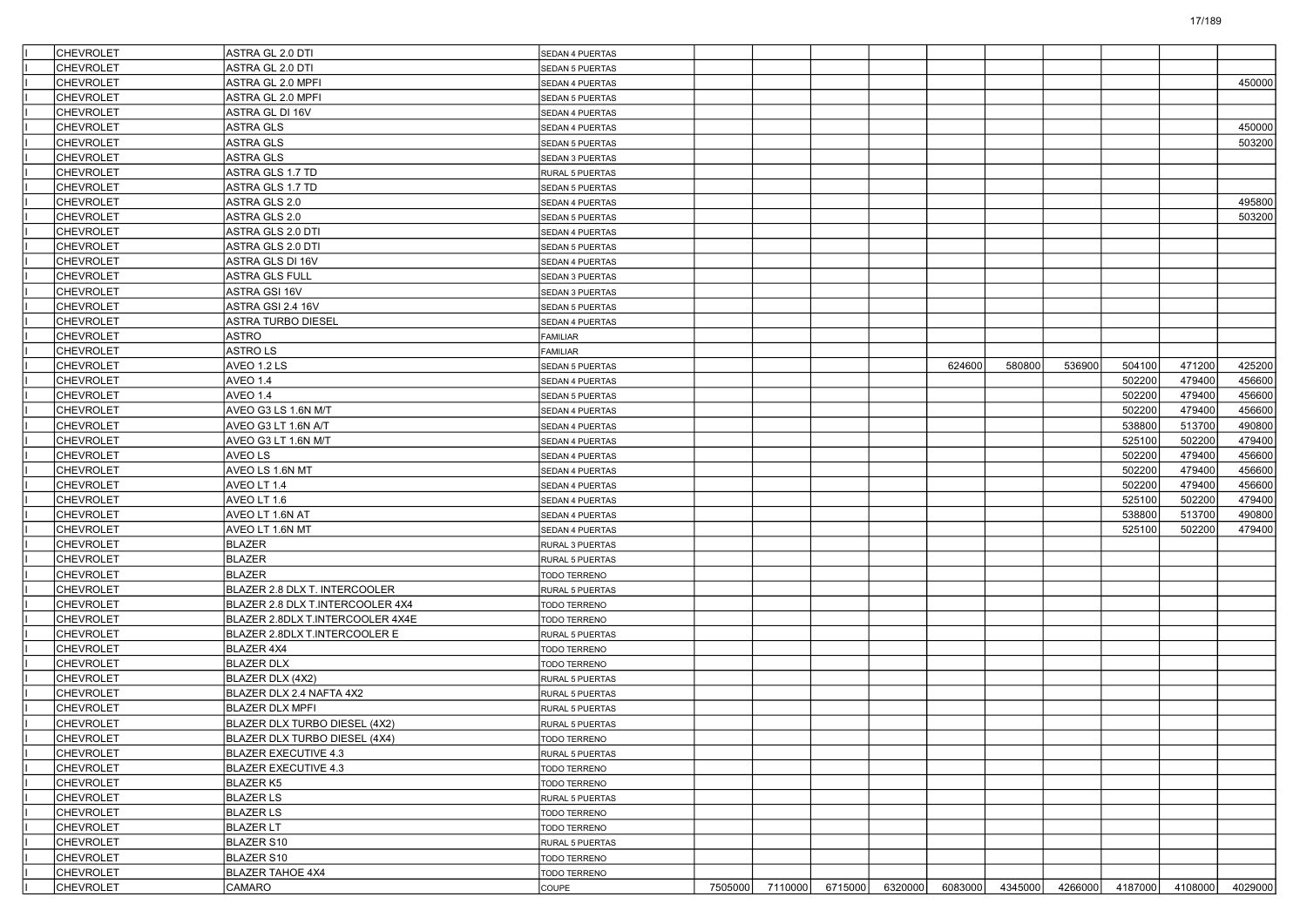| <b>CHEVROLET</b> | ASTRA GL 2.0 DTI                 | SEDAN 4 PUERTAS        |                 |                 |         |         |        |        |                         |         |
|------------------|----------------------------------|------------------------|-----------------|-----------------|---------|---------|--------|--------|-------------------------|---------|
| <b>CHEVROLET</b> | ASTRA GL 2.0 DTI                 | <b>SEDAN 5 PUERTAS</b> |                 |                 |         |         |        |        |                         |         |
| <b>CHEVROLET</b> | ASTRA GL 2.0 MPFI                | SEDAN 4 PUERTAS        |                 |                 |         |         |        |        |                         | 450000  |
| <b>CHEVROLET</b> | ASTRA GL 2.0 MPFI                | SEDAN 5 PUERTAS        |                 |                 |         |         |        |        |                         |         |
| CHEVROLET        | ASTRA GL DI 16V                  | SEDAN 4 PUERTAS        |                 |                 |         |         |        |        |                         |         |
| CHEVROLET        | <b>ASTRA GLS</b>                 | SEDAN 4 PUERTAS        |                 |                 |         |         |        |        |                         | 450000  |
| <b>CHEVROLET</b> | <b>ASTRA GLS</b>                 | SEDAN 5 PUERTAS        |                 |                 |         |         |        |        |                         | 503200  |
| <b>CHEVROLET</b> | <b>ASTRA GLS</b>                 | SEDAN 3 PUERTAS        |                 |                 |         |         |        |        |                         |         |
| <b>CHEVROLET</b> | ASTRA GLS 1.7 TD                 | <b>RURAL 5 PUERTAS</b> |                 |                 |         |         |        |        |                         |         |
| CHEVROLET        | ASTRA GLS 1.7 TD                 | SEDAN 5 PUERTAS        |                 |                 |         |         |        |        |                         |         |
| CHEVROLET        | ASTRA GLS 2.0                    | SEDAN 4 PUERTAS        |                 |                 |         |         |        |        |                         | 495800  |
| <b>CHEVROLET</b> | ASTRA GLS 2.0                    | <b>SEDAN 5 PUERTAS</b> |                 |                 |         |         |        |        |                         | 503200  |
| <b>CHEVROLET</b> | ASTRA GLS 2.0 DTI                | SEDAN 4 PUERTAS        |                 |                 |         |         |        |        |                         |         |
| <b>CHEVROLET</b> | ASTRA GLS 2.0 DTI                | <b>SEDAN 5 PUERTAS</b> |                 |                 |         |         |        |        |                         |         |
| <b>CHEVROLET</b> | ASTRA GLS DI 16V                 | <b>SEDAN 4 PUERTAS</b> |                 |                 |         |         |        |        |                         |         |
| CHEVROLET        | <b>ASTRA GLS FULL</b>            | SEDAN 3 PUERTAS        |                 |                 |         |         |        |        |                         |         |
| <b>CHEVROLET</b> | ASTRA GSI 16V                    | <b>SEDAN 3 PUERTAS</b> |                 |                 |         |         |        |        |                         |         |
| <b>CHEVROLET</b> | ASTRA GSI 2.4 16V                | <b>SEDAN 5 PUERTAS</b> |                 |                 |         |         |        |        |                         |         |
| <b>CHEVROLET</b> | <b>ASTRA TURBO DIESEL</b>        | SEDAN 4 PUERTAS        |                 |                 |         |         |        |        |                         |         |
| <b>CHEVROLET</b> | <b>ASTRO</b>                     | <b>FAMILIAR</b>        |                 |                 |         |         |        |        |                         |         |
| CHEVROLET        | <b>ASTROLS</b>                   | <b>FAMILIAR</b>        |                 |                 |         |         |        |        |                         |         |
| <b>CHEVROLET</b> | AVEO 1.2 LS                      | SEDAN 5 PUERTAS        |                 |                 | 624600  | 580800  | 536900 | 504100 | 471200                  | 425200  |
| <b>CHEVROLET</b> | AVEO 1.4                         | SEDAN 4 PUERTAS        |                 |                 |         |         |        | 502200 | 479400                  | 456600  |
| <b>CHEVROLET</b> | AVEO 1.4                         | SEDAN 5 PUERTAS        |                 |                 |         |         |        | 502200 | 479400                  | 456600  |
| <b>CHEVROLET</b> | AVEO G3 LS 1.6N M/T              | SEDAN 4 PUERTAS        |                 |                 |         |         |        | 502200 | 479400                  | 456600  |
| <b>CHEVROLET</b> | AVEO G3 LT 1.6N A/T              | SEDAN 4 PUERTAS        |                 |                 |         |         |        | 538800 | 513700                  | 490800  |
| <b>CHEVROLET</b> | AVEO G3 LT 1.6N M/T              |                        |                 |                 |         |         |        | 525100 | 502200                  | 479400  |
| <b>CHEVROLET</b> | <b>AVEOLS</b>                    | SEDAN 4 PUERTAS        |                 |                 |         |         |        | 502200 | 479400                  | 456600  |
| <b>CHEVROLET</b> | AVEO LS 1.6N MT                  | SEDAN 4 PUERTAS        |                 |                 |         |         |        |        |                         | 456600  |
|                  |                                  | <b>SEDAN 4 PUERTAS</b> |                 |                 |         |         |        | 502200 | 479400                  |         |
| <b>CHEVROLET</b> | AVEO LT 1.4<br>AVEO LT 1.6       | SEDAN 4 PUERTAS        |                 |                 |         |         |        | 502200 | 479400                  | 456600  |
| CHEVROLET        |                                  | SEDAN 4 PUERTAS        |                 |                 |         |         |        | 525100 | 502200                  | 479400  |
| <b>CHEVROLET</b> | AVEO LT 1.6N AT                  | SEDAN 4 PUERTAS        |                 |                 |         |         |        | 538800 | 513700                  | 490800  |
| <b>CHEVROLET</b> | AVEO LT 1.6N MT                  | SEDAN 4 PUERTAS        |                 |                 |         |         |        | 525100 | 502200                  | 479400  |
| <b>CHEVROLET</b> | <b>BLAZER</b>                    | RURAL 3 PUERTAS        |                 |                 |         |         |        |        |                         |         |
| <b>CHEVROLET</b> | BLAZER                           | <b>RURAL 5 PUERTAS</b> |                 |                 |         |         |        |        |                         |         |
| <b>CHEVROLET</b> | <b>BLAZER</b>                    | TODO TERRENO           |                 |                 |         |         |        |        |                         |         |
| <b>CHEVROLET</b> | BLAZER 2.8 DLX T. INTERCOOLER    | <b>RURAL 5 PUERTAS</b> |                 |                 |         |         |        |        |                         |         |
| <b>CHEVROLET</b> | BLAZER 2.8 DLX T.INTERCOOLER 4X4 | <b>TODO TERRENO</b>    |                 |                 |         |         |        |        |                         |         |
| <b>CHEVROLET</b> | BLAZER 2.8DLX T.INTERCOOLER 4X4E | <b>TODO TERRENO</b>    |                 |                 |         |         |        |        |                         |         |
| <b>CHEVROLET</b> | BLAZER 2.8DLX T.INTERCOOLER E    | RURAL 5 PUERTAS        |                 |                 |         |         |        |        |                         |         |
| <b>CHEVROLET</b> | BLAZER 4X4                       | TODO TERRENO           |                 |                 |         |         |        |        |                         |         |
| <b>CHEVROLET</b> | <b>BLAZER DLX</b>                | <b>TODO TERRENO</b>    |                 |                 |         |         |        |        |                         |         |
| <b>CHEVROLET</b> | BLAZER DLX (4X2)                 | RURAL 5 PUERTAS        |                 |                 |         |         |        |        |                         |         |
| <b>CHEVROLET</b> | BLAZER DLX 2.4 NAFTA 4X2         | RURAL 5 PUERTAS        |                 |                 |         |         |        |        |                         |         |
| <b>CHEVROLET</b> | <b>BLAZER DLX MPFI</b>           | RURAL 5 PUERTAS        |                 |                 |         |         |        |        |                         |         |
| <b>CHEVROLET</b> | BLAZER DLX TURBO DIESEL (4X2)    | RURAL 5 PUERTAS        |                 |                 |         |         |        |        |                         |         |
| <b>CHEVROLET</b> | BLAZER DLX TURBO DIESEL (4X4)    | <b>TODO TERRENO</b>    |                 |                 |         |         |        |        |                         |         |
| <b>CHEVROLET</b> | BLAZER EXECUTIVE 4.3             | RURAL 5 PUERTAS        |                 |                 |         |         |        |        |                         |         |
| <b>CHEVROLET</b> | BLAZER EXECUTIVE 4.3             | TODO TERRENO           |                 |                 |         |         |        |        |                         |         |
| <b>CHEVROLET</b> | <b>BLAZER K5</b>                 | TODO TERRENO           |                 |                 |         |         |        |        |                         |         |
| <b>CHEVROLET</b> | <b>BLAZER LS</b>                 | RURAL 5 PUERTAS        |                 |                 |         |         |        |        |                         |         |
| <b>CHEVROLET</b> | <b>BLAZER LS</b>                 | TODO TERRENO           |                 |                 |         |         |        |        |                         |         |
| <b>CHEVROLET</b> | <b>BLAZER LT</b>                 | TODO TERRENO           |                 |                 |         |         |        |        |                         |         |
| <b>CHEVROLET</b> | BLAZER S10                       | RURAL 5 PUERTAS        |                 |                 |         |         |        |        |                         |         |
| <b>CHEVROLET</b> | BLAZER S10                       | TODO TERRENO           |                 |                 |         |         |        |        |                         |         |
| <b>CHEVROLET</b> | <b>BLAZER TAHOE 4X4</b>          | <b>TODO TERRENO</b>    |                 |                 |         |         |        |        |                         |         |
| <b>CHEVROLET</b> | CAMARO                           | COUPE                  | 7505000 7110000 | 6715000 6320000 | 6083000 | 4345000 |        |        | 4266000 4187000 4108000 | 4029000 |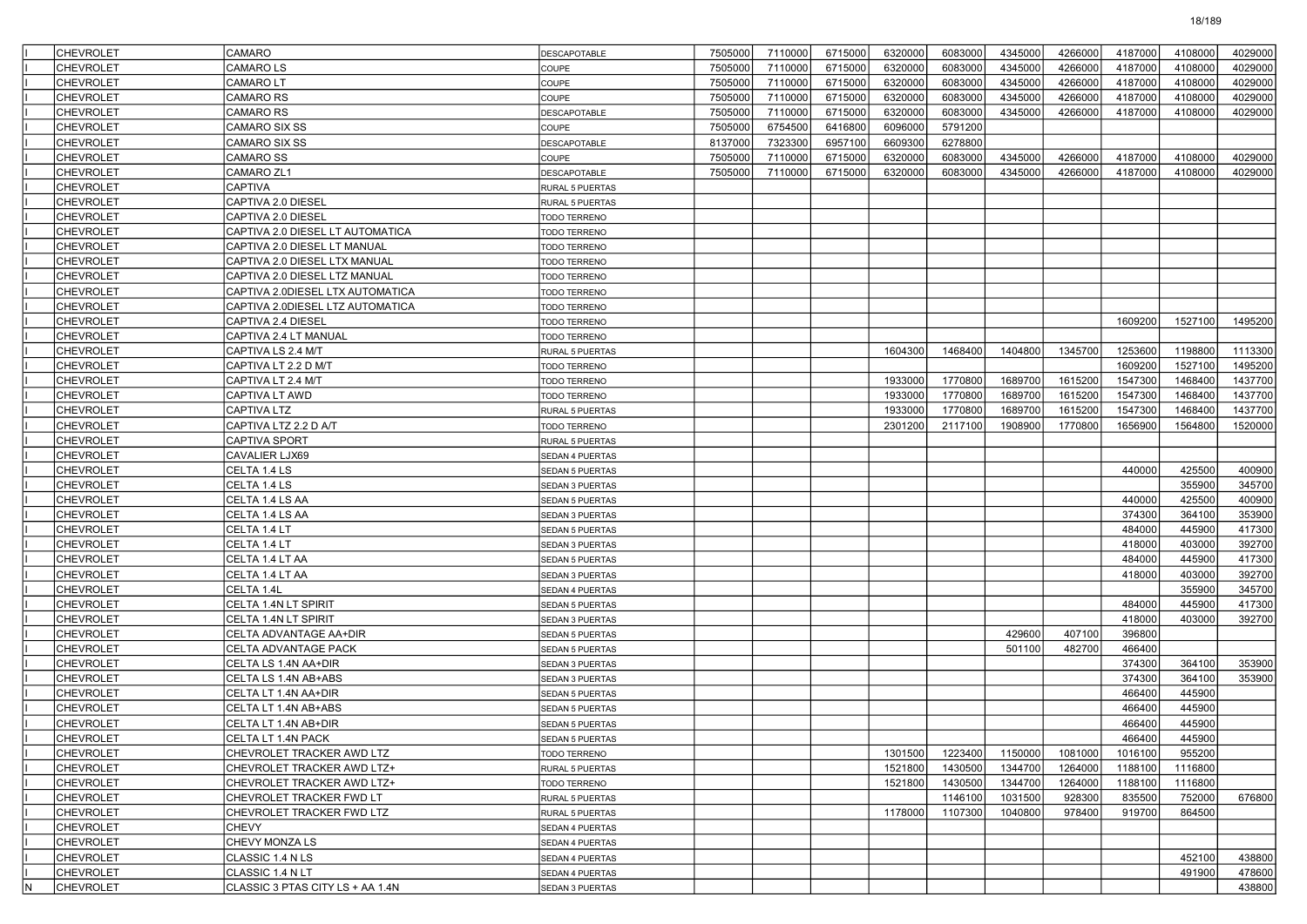|     | <b>CHEVROLET</b> | CAMARO                           | <b>DESCAPOTABLE</b>    | 7505000 | 7110000 | 6715000 | 6320000 | 6083000 | 4345000 | 4266000 | 4187000 | 4108000 | 4029000 |
|-----|------------------|----------------------------------|------------------------|---------|---------|---------|---------|---------|---------|---------|---------|---------|---------|
|     | <b>CHEVROLET</b> | <b>CAMAROLS</b>                  | COUPE                  | 7505000 | 7110000 | 6715000 | 6320000 | 6083000 | 4345000 | 4266000 | 4187000 | 4108000 | 4029000 |
|     | <b>CHEVROLET</b> | <b>CAMAROLT</b>                  | COUPE                  | 7505000 | 7110000 | 6715000 | 6320000 | 6083000 | 4345000 | 4266000 | 4187000 | 4108000 | 4029000 |
|     | <b>CHEVROLET</b> | <b>CAMARO RS</b>                 | COUPE                  | 7505000 | 7110000 | 6715000 | 6320000 | 6083000 | 4345000 | 4266000 | 4187000 | 4108000 | 4029000 |
|     | <b>CHEVROLET</b> | CAMARO RS                        | DESCAPOTABLE           | 7505000 | 7110000 | 6715000 | 6320000 | 6083000 | 4345000 | 4266000 | 4187000 | 4108000 | 4029000 |
|     | <b>CHEVROLET</b> | CAMARO SIX SS                    | COUPE                  | 7505000 | 6754500 | 6416800 | 6096000 | 5791200 |         |         |         |         |         |
|     | <b>CHEVROLET</b> | <b>CAMARO SIX SS</b>             | <b>DESCAPOTABLE</b>    | 8137000 | 7323300 | 6957100 | 6609300 | 6278800 |         |         |         |         |         |
|     | <b>CHEVROLET</b> | <b>CAMARO SS</b>                 | COUPE                  | 7505000 | 7110000 | 6715000 | 6320000 | 6083000 | 4345000 | 4266000 | 4187000 | 4108000 | 4029000 |
|     | <b>CHEVROLET</b> | CAMARO ZL1                       | DESCAPOTABLE           | 7505000 | 7110000 | 6715000 | 6320000 | 6083000 | 4345000 | 4266000 | 4187000 | 4108000 | 4029000 |
|     | <b>CHEVROLET</b> | <b>CAPTIVA</b>                   | RURAL 5 PUERTAS        |         |         |         |         |         |         |         |         |         |         |
|     | <b>CHEVROLET</b> | CAPTIVA 2.0 DIESEL               | RURAL 5 PUERTAS        |         |         |         |         |         |         |         |         |         |         |
|     | <b>CHEVROLET</b> | CAPTIVA 2.0 DIESEL               | TODO TERRENO           |         |         |         |         |         |         |         |         |         |         |
|     | <b>CHEVROLET</b> | CAPTIVA 2.0 DIESEL LT AUTOMATICA | TODO TERRENO           |         |         |         |         |         |         |         |         |         |         |
|     | <b>CHEVROLET</b> | CAPTIVA 2.0 DIESEL LT MANUAL     | TODO TERRENO           |         |         |         |         |         |         |         |         |         |         |
|     | <b>CHEVROLET</b> | CAPTIVA 2.0 DIESEL LTX MANUAL    | TODO TERRENO           |         |         |         |         |         |         |         |         |         |         |
|     | <b>CHEVROLET</b> | CAPTIVA 2.0 DIESEL LTZ MANUAL    | TODO TERRENO           |         |         |         |         |         |         |         |         |         |         |
|     | <b>CHEVROLET</b> | CAPTIVA 2.0DIESEL LTX AUTOMATICA | <b>TODO TERRENO</b>    |         |         |         |         |         |         |         |         |         |         |
|     | <b>CHEVROLET</b> | CAPTIVA 2.0DIESEL LTZ AUTOMATICA | TODO TERRENO           |         |         |         |         |         |         |         |         |         |         |
|     | <b>CHEVROLET</b> | CAPTIVA 2.4 DIESEL               | TODO TERRENO           |         |         |         |         |         |         |         | 1609200 | 1527100 | 1495200 |
|     | <b>CHEVROLET</b> | CAPTIVA 2.4 LT MANUAL            | TODO TERRENO           |         |         |         |         |         |         |         |         |         |         |
|     | <b>CHEVROLET</b> | CAPTIVA LS 2.4 M/T               | RURAL 5 PUERTAS        |         |         |         | 1604300 | 1468400 | 1404800 | 1345700 | 1253600 | 1198800 | 1113300 |
|     | <b>CHEVROLET</b> | CAPTIVA LT 2.2 D M/T             | TODO TERRENO           |         |         |         |         |         |         |         | 1609200 | 1527100 | 1495200 |
|     | <b>CHEVROLET</b> | CAPTIVA LT 2.4 M/T               | TODO TERRENO           |         |         |         | 1933000 | 1770800 | 1689700 | 1615200 | 1547300 | 1468400 | 1437700 |
|     | <b>CHEVROLET</b> | <b>CAPTIVA LT AWD</b>            | TODO TERRENO           |         |         |         | 1933000 | 1770800 | 1689700 | 1615200 | 1547300 | 1468400 | 1437700 |
|     | <b>CHEVROLET</b> | CAPTIVA LTZ                      | RURAL 5 PUERTAS        |         |         |         | 1933000 | 1770800 | 1689700 | 1615200 | 1547300 | 1468400 | 1437700 |
|     | <b>CHEVROLET</b> | CAPTIVA LTZ 2.2 D A/T            | TODO TERRENO           |         |         |         | 2301200 | 2117100 | 1908900 | 1770800 | 1656900 | 1564800 | 1520000 |
|     | <b>CHEVROLET</b> | <b>CAPTIVA SPORT</b>             | RURAL 5 PUERTAS        |         |         |         |         |         |         |         |         |         |         |
|     | <b>CHEVROLET</b> | CAVALIER LJX69                   | SEDAN 4 PUERTAS        |         |         |         |         |         |         |         |         |         |         |
|     | <b>CHEVROLET</b> | CELTA 1.4 LS                     | SEDAN 5 PUERTAS        |         |         |         |         |         |         |         | 440000  | 425500  | 400900  |
|     | <b>CHEVROLET</b> | CELTA 1.4 LS                     | SEDAN 3 PUERTAS        |         |         |         |         |         |         |         |         | 355900  | 345700  |
|     | <b>CHEVROLET</b> | CELTA 1.4 LS AA                  | <b>SEDAN 5 PUERTAS</b> |         |         |         |         |         |         |         | 440000  | 425500  | 400900  |
|     | <b>CHEVROLET</b> | CELTA 1.4 LS AA                  | SEDAN 3 PUERTAS        |         |         |         |         |         |         |         | 374300  | 364100  | 353900  |
|     | <b>CHEVROLET</b> | CELTA 1.4 LT                     | SEDAN 5 PUERTAS        |         |         |         |         |         |         |         | 484000  | 445900  | 417300  |
|     | <b>CHEVROLET</b> | CELTA 1.4 LT                     | SEDAN 3 PUERTAS        |         |         |         |         |         |         |         | 418000  | 403000  | 392700  |
|     | CHEVROLET        | CELTA 1.4 LT AA                  | <b>SEDAN 5 PUERTAS</b> |         |         |         |         |         |         |         | 484000  | 445900  | 417300  |
|     | <b>CHEVROLET</b> | CELTA 1.4 LT AA                  | SEDAN 3 PUERTAS        |         |         |         |         |         |         |         | 418000  | 403000  | 392700  |
|     | <b>CHEVROLET</b> | CELTA 1.4L                       | SEDAN 4 PUERTAS        |         |         |         |         |         |         |         |         | 355900  | 345700  |
|     | <b>CHEVROLET</b> | CELTA 1.4N LT SPIRIT             | <b>SEDAN 5 PUERTAS</b> |         |         |         |         |         |         |         | 484000  | 445900  | 417300  |
|     | <b>CHEVROLET</b> | CELTA 1.4N LT SPIRIT             | SEDAN 3 PUERTAS        |         |         |         |         |         |         |         | 418000  | 403000  | 392700  |
|     | <b>CHEVROLET</b> | CELTA ADVANTAGE AA+DIR           | <b>SEDAN 5 PUERTAS</b> |         |         |         |         |         | 429600  | 407100  | 396800  |         |         |
|     | <b>CHEVROLET</b> | CELTA ADVANTAGE PACK             | SEDAN 5 PUERTAS        |         |         |         |         |         | 501100  | 482700  | 466400  |         |         |
|     | <b>CHEVROLET</b> | CELTA LS 1.4N AA+DIR             | SEDAN 3 PUERTAS        |         |         |         |         |         |         |         | 374300  | 364100  | 353900  |
|     | <b>CHEVROLET</b> | CELTA LS 1.4N AB+ABS             | <b>SEDAN 3 PUERTAS</b> |         |         |         |         |         |         |         | 374300  | 364100  | 353900  |
|     | <b>CHEVROLET</b> |                                  |                        |         |         |         |         |         |         |         | 466400  | 445900  |         |
|     |                  | CELTA LT 1.4N AA+DIR             | SEDAN 5 PUERTAS        |         |         |         |         |         |         |         | 466400  | 445900  |         |
|     | CHEVROLET        | CELTA LT 1.4N AB+ABS             | <b>SEDAN 5 PUERTAS</b> |         |         |         |         |         |         |         | 466400  | 445900  |         |
|     | <b>CHEVROLET</b> | CELTA LT 1.4N AB+DIR             | SEDAN 5 PUERTAS        |         |         |         |         |         |         |         |         |         |         |
|     | <b>CHEVROLET</b> | CELTA LT 1.4N PACK               | <b>SEDAN 5 PUERTAS</b> |         |         |         |         |         |         |         | 466400  | 445900  |         |
|     | <b>CHEVROLET</b> | CHEVROLET TRACKER AWD LTZ        | TODO TERRENO           |         |         |         | 1301500 | 1223400 | 1150000 | 1081000 | 1016100 | 955200  |         |
|     | <b>CHEVROLET</b> | CHEVROLET TRACKER AWD LTZ+       | RURAL 5 PUERTAS        |         |         |         | 1521800 | 1430500 | 1344700 | 1264000 | 1188100 | 1116800 |         |
|     | <b>CHEVROLET</b> | CHEVROLET TRACKER AWD LTZ+       | TODO TERRENO           |         |         |         | 1521800 | 1430500 | 1344700 | 1264000 | 1188100 | 1116800 |         |
|     | <b>CHEVROLET</b> | CHEVROLET TRACKER FWD LT         | RURAL 5 PUERTAS        |         |         |         |         | 1146100 | 1031500 | 928300  | 835500  | 752000  | 676800  |
|     | <b>CHEVROLET</b> | CHEVROLET TRACKER FWD LTZ        | RURAL 5 PUERTAS        |         |         |         | 1178000 | 1107300 | 1040800 | 978400  | 919700  | 864500  |         |
|     | <b>CHEVROLET</b> | CHEVY                            | SEDAN 4 PUERTAS        |         |         |         |         |         |         |         |         |         |         |
|     | <b>CHEVROLET</b> | CHEVY MONZA LS                   | SEDAN 4 PUERTAS        |         |         |         |         |         |         |         |         |         |         |
|     | <b>CHEVROLET</b> | CLASSIC 1.4 N LS                 | SEDAN 4 PUERTAS        |         |         |         |         |         |         |         |         | 452100  | 438800  |
|     | <b>CHEVROLET</b> | CLASSIC 1.4 N LT                 | SEDAN 4 PUERTAS        |         |         |         |         |         |         |         |         | 491900  | 478600  |
| İΝ. | <b>CHEVROLET</b> | CLASSIC 3 PTAS CITY LS + AA 1.4N | SEDAN 3 PUERTAS        |         |         |         |         |         |         |         |         |         | 438800  |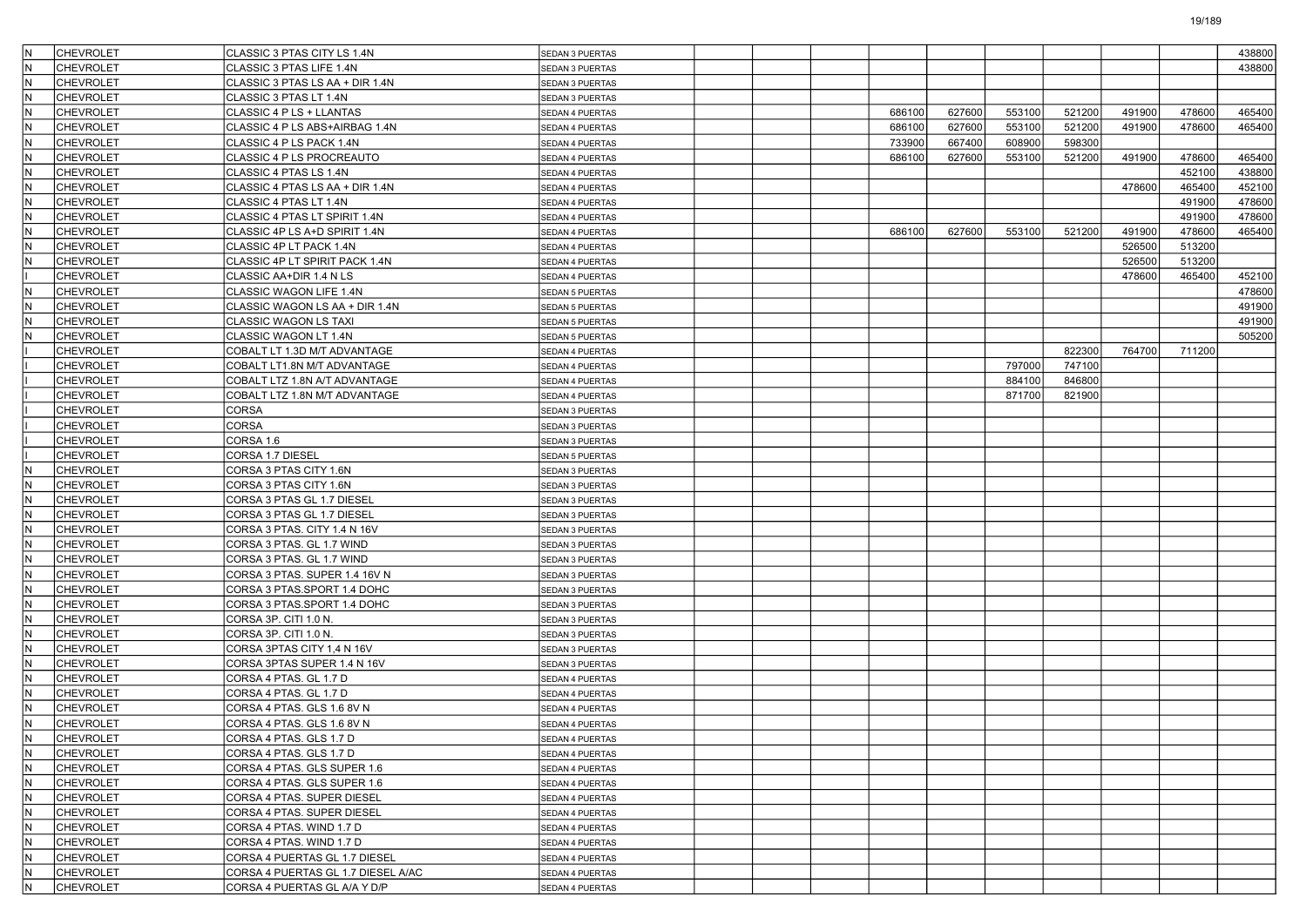| İΝ  | <b>CHEVROLET</b> | CLASSIC 3 PTAS CITY LS 1.4N        | SEDAN 3 PUERTAS        |  |        |        |        |        |        |        | 438800 |
|-----|------------------|------------------------------------|------------------------|--|--------|--------|--------|--------|--------|--------|--------|
|     | <b>CHEVROLET</b> | CLASSIC 3 PTAS LIFE 1.4N           | SEDAN 3 PUERTAS        |  |        |        |        |        |        |        | 438800 |
| N   | <b>CHEVROLET</b> | CLASSIC 3 PTAS LS AA + DIR 1.4N    | SEDAN 3 PUERTAS        |  |        |        |        |        |        |        |        |
| İΝ  | <b>CHEVROLET</b> | CLASSIC 3 PTAS LT 1.4N             | SEDAN 3 PUERTAS        |  |        |        |        |        |        |        |        |
| N   | <b>CHEVROLET</b> | CLASSIC 4 P LS + LLANTAS           | SEDAN 4 PUERTAS        |  | 686100 | 627600 | 553100 | 521200 | 491900 | 478600 | 465400 |
| İΝ  | <b>CHEVROLET</b> | CLASSIC 4 P LS ABS+AIRBAG 1.4N     | SEDAN 4 PUERTAS        |  | 686100 | 627600 | 553100 | 521200 | 491900 | 478600 | 465400 |
|     | <b>CHEVROLET</b> | CLASSIC 4 P LS PACK 1.4N           | SEDAN 4 PUERTAS        |  | 733900 | 667400 | 608900 | 598300 |        |        |        |
| N   | <b>CHEVROLET</b> | CLASSIC 4 P LS PROCREAUTO          | SEDAN 4 PUERTAS        |  | 686100 | 627600 | 553100 | 521200 | 491900 | 478600 | 465400 |
| İΝ  | <b>CHEVROLET</b> | CLASSIC 4 PTAS LS 1.4N             | SEDAN 4 PUERTAS        |  |        |        |        |        |        | 452100 | 438800 |
| N   | <b>CHEVROLET</b> | CLASSIC 4 PTAS LS AA + DIR 1.4N    | SEDAN 4 PUERTAS        |  |        |        |        |        | 478600 | 465400 | 452100 |
| İΝ  | <b>CHEVROLET</b> | CLASSIC 4 PTAS LT 1.4N             | SEDAN 4 PUERTAS        |  |        |        |        |        |        | 491900 | 478600 |
|     | <b>CHEVROLET</b> | CLASSIC 4 PTAS LT SPIRIT 1.4N      | SEDAN 4 PUERTAS        |  |        |        |        |        |        | 491900 | 478600 |
| N   | <b>CHEVROLET</b> | CLASSIC 4P LS A+D SPIRIT 1.4N      | SEDAN 4 PUERTAS        |  | 686100 | 627600 | 553100 | 521200 | 491900 | 478600 | 465400 |
| ΙN  | <b>CHEVROLET</b> | CLASSIC 4P LT PACK 1.4N            | SEDAN 4 PUERTAS        |  |        |        |        |        | 526500 | 513200 |        |
| N   | <b>CHEVROLET</b> | CLASSIC 4P LT SPIRIT PACK 1.4N     | SEDAN 4 PUERTAS        |  |        |        |        |        | 526500 | 513200 |        |
|     | <b>CHEVROLET</b> | CLASSIC AA+DIR 1.4 N LS            |                        |  |        |        |        |        | 478600 | 465400 | 452100 |
|     | <b>CHEVROLET</b> | CLASSIC WAGON LIFE 1.4N            | SEDAN 4 PUERTAS        |  |        |        |        |        |        |        | 478600 |
| N   |                  |                                    | SEDAN 5 PUERTAS        |  |        |        |        |        |        |        | 491900 |
|     | <b>CHEVROLET</b> | CLASSIC WAGON LS AA + DIR 1.4N     | SEDAN 5 PUERTAS        |  |        |        |        |        |        |        |        |
| ΙN  | <b>CHEVROLET</b> | <b>CLASSIC WAGON LS TAXI</b>       | SEDAN 5 PUERTAS        |  |        |        |        |        |        |        | 491900 |
| N   | <b>CHEVROLET</b> | CLASSIC WAGON LT 1.4N              | SEDAN 5 PUERTAS        |  |        |        |        |        |        |        | 505200 |
|     | <b>CHEVROLET</b> | COBALT LT 1.3D M/T ADVANTAGE       | SEDAN 4 PUERTAS        |  |        |        |        | 822300 | 764700 | 711200 |        |
|     | <b>CHEVROLET</b> | COBALT LT1.8N M/T ADVANTAGE        | SEDAN 4 PUERTAS        |  |        |        | 797000 | 747100 |        |        |        |
|     | <b>CHEVROLET</b> | COBALT LTZ 1.8N A/T ADVANTAGE      | SEDAN 4 PUERTAS        |  |        |        | 884100 | 846800 |        |        |        |
|     | <b>CHEVROLET</b> | COBALT LTZ 1.8N M/T ADVANTAGE      | SEDAN 4 PUERTAS        |  |        |        | 871700 | 821900 |        |        |        |
|     | <b>CHEVROLET</b> | <b>CORSA</b>                       | SEDAN 3 PUERTAS        |  |        |        |        |        |        |        |        |
|     | <b>CHEVROLET</b> | CORSA                              | SEDAN 3 PUERTAS        |  |        |        |        |        |        |        |        |
|     | <b>CHEVROLET</b> | CORSA 1.6                          | SEDAN 3 PUERTAS        |  |        |        |        |        |        |        |        |
|     | <b>CHEVROLET</b> | CORSA 1.7 DIESEL                   | SEDAN 5 PUERTAS        |  |        |        |        |        |        |        |        |
| ΙN  | <b>CHEVROLET</b> | CORSA 3 PTAS CITY 1.6N             | SEDAN 3 PUERTAS        |  |        |        |        |        |        |        |        |
| N   | <b>CHEVROLET</b> | CORSA 3 PTAS CITY 1.6N             | SEDAN 3 PUERTAS        |  |        |        |        |        |        |        |        |
| İΝ  | <b>CHEVROLET</b> | CORSA 3 PTAS GL 1.7 DIESEL         | SEDAN 3 PUERTAS        |  |        |        |        |        |        |        |        |
|     | <b>CHEVROLET</b> | CORSA 3 PTAS GL 1.7 DIESEL         | SEDAN 3 PUERTAS        |  |        |        |        |        |        |        |        |
| N   | <b>CHEVROLET</b> | CORSA 3 PTAS. CITY 1.4 N 16V       | SEDAN 3 PUERTAS        |  |        |        |        |        |        |        |        |
| İΝ  | <b>CHEVROLET</b> | CORSA 3 PTAS. GL 1.7 WIND          | SEDAN 3 PUERTAS        |  |        |        |        |        |        |        |        |
| N   | <b>CHEVROLET</b> | CORSA 3 PTAS. GL 1.7 WIND          | SEDAN 3 PUERTAS        |  |        |        |        |        |        |        |        |
| İΝ  | <b>CHEVROLET</b> | CORSA 3 PTAS. SUPER 1.4 16V N      | SEDAN 3 PUERTAS        |  |        |        |        |        |        |        |        |
|     | <b>CHEVROLET</b> | CORSA 3 PTAS.SPORT 1.4 DOHC        | SEDAN 3 PUERTAS        |  |        |        |        |        |        |        |        |
| N   | <b>CHEVROLET</b> | CORSA 3 PTAS.SPORT 1.4 DOHC        | SEDAN 3 PUERTAS        |  |        |        |        |        |        |        |        |
| İΝ  | <b>CHEVROLET</b> | CORSA 3P. CITI 1.0 N.              | SEDAN 3 PUERTAS        |  |        |        |        |        |        |        |        |
| N   | <b>CHEVROLET</b> | CORSA 3P. CITI 1.0 N.              | SEDAN 3 PUERTAS        |  |        |        |        |        |        |        |        |
| İΝ  | <b>CHEVROLET</b> | CORSA 3PTAS CITY 1,4 N 16V         | SEDAN 3 PUERTAS        |  |        |        |        |        |        |        |        |
|     | <b>CHEVROLET</b> | CORSA 3PTAS SUPER 1.4 N 16V        | SEDAN 3 PUERTAS        |  |        |        |        |        |        |        |        |
| N   | <b>CHEVROLET</b> | CORSA 4 PTAS. GL 1.7 D             | SEDAN 4 PUERTAS        |  |        |        |        |        |        |        |        |
| İΝ  | <b>CHEVROLET</b> | CORSA 4 PTAS. GL 1.7 D             | SEDAN 4 PUERTAS        |  |        |        |        |        |        |        |        |
| N   | <b>CHEVROLET</b> | CORSA 4 PTAS, GLS 1.6 8V N         | SEDAN 4 PUERTAS        |  |        |        |        |        |        |        |        |
| IN. | <b>CHEVROLET</b> | CORSA 4 PTAS. GLS 1.6 8V N         | <b>SEDAN 4 PUERTAS</b> |  |        |        |        |        |        |        |        |
|     | CHEVROLET        | CORSA 4 PTAS. GLS 1.7 D            | SEDAN 4 PUERTAS        |  |        |        |        |        |        |        |        |
| IN. | <b>CHEVROLET</b> | CORSA 4 PTAS. GLS 1.7 D            | SEDAN 4 PUERTAS        |  |        |        |        |        |        |        |        |
| IN. | <b>CHEVROLET</b> | CORSA 4 PTAS. GLS SUPER 1.6        | SEDAN 4 PUERTAS        |  |        |        |        |        |        |        |        |
| İΝ  | <b>CHEVROLET</b> | CORSA 4 PTAS. GLS SUPER 1.6        | SEDAN 4 PUERTAS        |  |        |        |        |        |        |        |        |
| IN. | <b>CHEVROLET</b> | CORSA 4 PTAS. SUPER DIESEL         | SEDAN 4 PUERTAS        |  |        |        |        |        |        |        |        |
| IN. | <b>CHEVROLET</b> | CORSA 4 PTAS. SUPER DIESEL         | SEDAN 4 PUERTAS        |  |        |        |        |        |        |        |        |
| IN. | <b>CHEVROLET</b> | CORSA 4 PTAS. WIND 1.7 D           | SEDAN 4 PUERTAS        |  |        |        |        |        |        |        |        |
| IN. | <b>CHEVROLET</b> | CORSA 4 PTAS. WIND 1.7 D           | SEDAN 4 PUERTAS        |  |        |        |        |        |        |        |        |
| İΝ  | <b>CHEVROLET</b> | CORSA 4 PUERTAS GL 1.7 DIESEL      |                        |  |        |        |        |        |        |        |        |
| IN. | <b>CHEVROLET</b> | CORSA 4 PUERTAS GL 1.7 DIESEL A/AC | SEDAN 4 PUERTAS        |  |        |        |        |        |        |        |        |
|     |                  | CORSA 4 PUERTAS GL A/A Y D/P       | SEDAN 4 PUERTAS        |  |        |        |        |        |        |        |        |
| N.  | CHEVROLET        |                                    | SEDAN 4 PUERTAS        |  |        |        |        |        |        |        |        |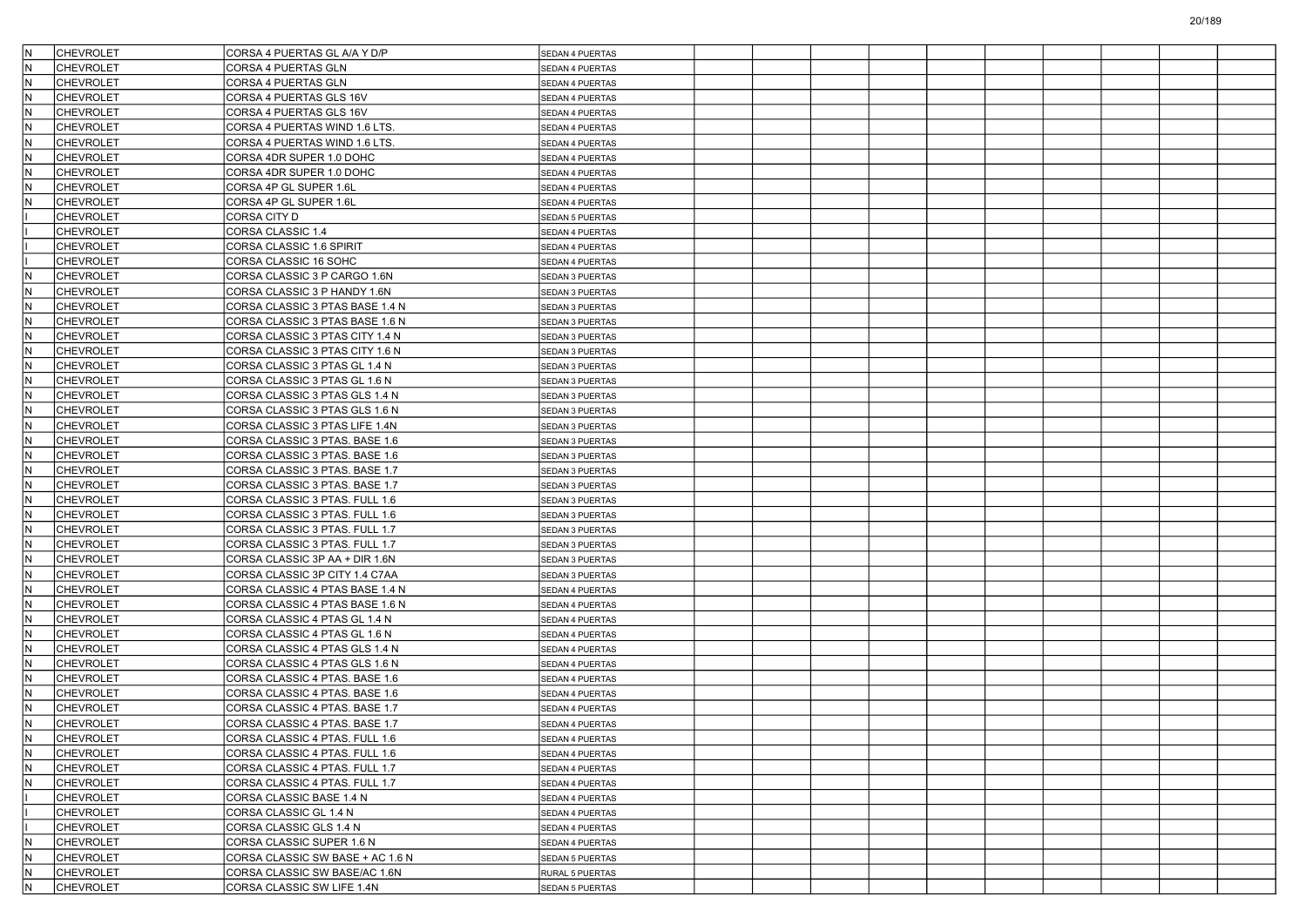| IN. | <b>CHEVROLET</b>                     | CORSA 4 PUERTAS GL A/A Y D/P                                     | <b>SEDAN 4 PUERTAS</b> |  |  |  |  |  |
|-----|--------------------------------------|------------------------------------------------------------------|------------------------|--|--|--|--|--|
| lN. | <b>CHEVROLET</b>                     | CORSA 4 PUERTAS GLN                                              | SEDAN 4 PUERTAS        |  |  |  |  |  |
| IN. | <b>CHEVROLET</b>                     | CORSA 4 PUERTAS GLN                                              | SEDAN 4 PUERTAS        |  |  |  |  |  |
| IN. | <b>CHEVROLET</b>                     | CORSA 4 PUERTAS GLS 16V                                          | SEDAN 4 PUERTAS        |  |  |  |  |  |
| lN. | <b>CHEVROLET</b>                     | CORSA 4 PUERTAS GLS 16V                                          | SEDAN 4 PUERTAS        |  |  |  |  |  |
| IN. | <b>CHEVROLET</b>                     | CORSA 4 PUERTAS WIND 1.6 LTS.                                    | SEDAN 4 PUERTAS        |  |  |  |  |  |
| IN. | <b>CHEVROLET</b>                     | CORSA 4 PUERTAS WIND 1.6 LTS.                                    | SEDAN 4 PUERTAS        |  |  |  |  |  |
| IN. | <b>CHEVROLET</b>                     | CORSA 4DR SUPER 1.0 DOHC                                         | SEDAN 4 PUERTAS        |  |  |  |  |  |
| IN. | <b>CHEVROLET</b>                     | CORSA 4DR SUPER 1.0 DOHC                                         | SEDAN 4 PUERTAS        |  |  |  |  |  |
| lN. | <b>CHEVROLET</b>                     | CORSA 4P GL SUPER 1.6L                                           | SEDAN 4 PUERTAS        |  |  |  |  |  |
| IN. | <b>CHEVROLET</b>                     | CORSA 4P GL SUPER 1.6L                                           | SEDAN 4 PUERTAS        |  |  |  |  |  |
|     | <b>CHEVROLET</b>                     | CORSA CITY D                                                     | SEDAN 5 PUERTAS        |  |  |  |  |  |
|     | <b>CHEVROLET</b>                     | CORSA CLASSIC 1.4                                                | SEDAN 4 PUERTAS        |  |  |  |  |  |
|     | <b>CHEVROLET</b>                     | CORSA CLASSIC 1.6 SPIRIT                                         | SEDAN 4 PUERTAS        |  |  |  |  |  |
|     | <b>CHEVROLET</b>                     | CORSA CLASSIC 16 SOHC                                            | <b>SEDAN 4 PUERTAS</b> |  |  |  |  |  |
| IN. | <b>CHEVROLET</b>                     | CORSA CLASSIC 3 P CARGO 1.6N                                     | SEDAN 3 PUERTAS        |  |  |  |  |  |
| lΝ  | <b>CHEVROLET</b>                     | CORSA CLASSIC 3 P HANDY 1.6N                                     | SEDAN 3 PUERTAS        |  |  |  |  |  |
| IN. | <b>CHEVROLET</b>                     | CORSA CLASSIC 3 PTAS BASE 1.4 N                                  | SEDAN 3 PUERTAS        |  |  |  |  |  |
| IN. | <b>CHEVROLET</b>                     | CORSA CLASSIC 3 PTAS BASE 1.6 N                                  | SEDAN 3 PUERTAS        |  |  |  |  |  |
| lN. | <b>CHEVROLET</b>                     | CORSA CLASSIC 3 PTAS CITY 1.4 N                                  | SEDAN 3 PUERTAS        |  |  |  |  |  |
| IN. | <b>CHEVROLET</b>                     | CORSA CLASSIC 3 PTAS CITY 1.6 N                                  | SEDAN 3 PUERTAS        |  |  |  |  |  |
| lN  | <b>CHEVROLET</b>                     | CORSA CLASSIC 3 PTAS GL 1.4 N                                    | SEDAN 3 PUERTAS        |  |  |  |  |  |
| IN. | <b>CHEVROLET</b>                     | CORSA CLASSIC 3 PTAS GL 1.6 N                                    | SEDAN 3 PUERTAS        |  |  |  |  |  |
| IN. | <b>CHEVROLET</b>                     | CORSA CLASSIC 3 PTAS GLS 1.4 N                                   |                        |  |  |  |  |  |
| lΝ  |                                      |                                                                  | SEDAN 3 PUERTAS        |  |  |  |  |  |
| IN. | <b>CHEVROLET</b><br><b>CHEVROLET</b> | CORSA CLASSIC 3 PTAS GLS 1.6 N<br>CORSA CLASSIC 3 PTAS LIFE 1.4N | SEDAN 3 PUERTAS        |  |  |  |  |  |
|     |                                      |                                                                  | SEDAN 3 PUERTAS        |  |  |  |  |  |
| lN  | <b>CHEVROLET</b>                     | CORSA CLASSIC 3 PTAS. BASE 1.6                                   | SEDAN 3 PUERTAS        |  |  |  |  |  |
| IN. | <b>CHEVROLET</b>                     | CORSA CLASSIC 3 PTAS. BASE 1.6                                   | SEDAN 3 PUERTAS        |  |  |  |  |  |
| IN. | <b>CHEVROLET</b>                     | CORSA CLASSIC 3 PTAS. BASE 1.7                                   | SEDAN 3 PUERTAS        |  |  |  |  |  |
| lΝ  | <b>CHEVROLET</b>                     | CORSA CLASSIC 3 PTAS. BASE 1.7                                   | SEDAN 3 PUERTAS        |  |  |  |  |  |
| IN. | <b>CHEVROLET</b>                     | CORSA CLASSIC 3 PTAS. FULL 1.6                                   | SEDAN 3 PUERTAS        |  |  |  |  |  |
| lN  | <b>CHEVROLET</b>                     | CORSA CLASSIC 3 PTAS. FULL 1.6                                   | <b>SEDAN 3 PUERTAS</b> |  |  |  |  |  |
| IN. | <b>CHEVROLET</b>                     | CORSA CLASSIC 3 PTAS. FULL 1.7                                   | SEDAN 3 PUERTAS        |  |  |  |  |  |
| IN. | <b>CHEVROLET</b>                     | CORSA CLASSIC 3 PTAS. FULL 1.7                                   | SEDAN 3 PUERTAS        |  |  |  |  |  |
| lN. | <b>CHEVROLET</b>                     | CORSA CLASSIC 3P AA + DIR 1.6N                                   | SEDAN 3 PUERTAS        |  |  |  |  |  |
| IN. | <b>CHEVROLET</b>                     | CORSA CLASSIC 3P CITY 1.4 C7AA                                   | SEDAN 3 PUERTAS        |  |  |  |  |  |
| lΝ  | <b>CHEVROLET</b>                     | CORSA CLASSIC 4 PTAS BASE 1.4 N                                  | SEDAN 4 PUERTAS        |  |  |  |  |  |
| IN. | <b>CHEVROLET</b>                     | CORSA CLASSIC 4 PTAS BASE 1.6 N                                  | SEDAN 4 PUERTAS        |  |  |  |  |  |
| IN. | <b>CHEVROLET</b>                     | CORSA CLASSIC 4 PTAS GL 1.4 N                                    | SEDAN 4 PUERTAS        |  |  |  |  |  |
| lN. | <b>CHEVROLET</b>                     | CORSA CLASSIC 4 PTAS GL 1.6 N                                    | SEDAN 4 PUERTAS        |  |  |  |  |  |
| IN. | <b>CHEVROLET</b>                     | CORSA CLASSIC 4 PTAS GLS 1.4 N                                   | SEDAN 4 PUERTAS        |  |  |  |  |  |
| lΝ  | <b>CHEVROLET</b>                     | CORSA CLASSIC 4 PTAS GLS 1.6 N                                   | SEDAN 4 PUERTAS        |  |  |  |  |  |
| IN. | <b>CHEVROLET</b>                     | CORSA CLASSIC 4 PTAS. BASE 1.6                                   | SEDAN 4 PUERTAS        |  |  |  |  |  |
| IN. | <b>CHEVROLET</b>                     | CORSA CLASSIC 4 PTAS. BASE 1.6                                   | SEDAN 4 PUERTAS        |  |  |  |  |  |
| lN. | <b>CHEVROLET</b>                     | CORSA CLASSIC 4 PTAS. BASE 1.7                                   | SEDAN 4 PUERTAS        |  |  |  |  |  |
| IN. | <b>CHEVROLET</b>                     | CORSA CLASSIC 4 PTAS. BASE 1.7                                   | SEDAN 4 PUERTAS        |  |  |  |  |  |
| N.  | CHEVROLET                            | CORSA CLASSIC 4 PTAS. FULL 1.6                                   | SEDAN 4 PUERTAS        |  |  |  |  |  |
| IN. | <b>CHEVROLET</b>                     | CORSA CLASSIC 4 PTAS. FULL 1.6                                   | SEDAN 4 PUERTAS        |  |  |  |  |  |
| İΝ. | CHEVROLET                            | CORSA CLASSIC 4 PTAS. FULL 1.7                                   | SEDAN 4 PUERTAS        |  |  |  |  |  |
| İΝ  | <b>CHEVROLET</b>                     | CORSA CLASSIC 4 PTAS. FULL 1.7                                   | SEDAN 4 PUERTAS        |  |  |  |  |  |
|     | <b>CHEVROLET</b>                     | CORSA CLASSIC BASE 1.4 N                                         | SEDAN 4 PUERTAS        |  |  |  |  |  |
|     | <b>CHEVROLET</b>                     | CORSA CLASSIC GL 1.4 N                                           | SEDAN 4 PUERTAS        |  |  |  |  |  |
|     | <b>CHEVROLET</b>                     | CORSA CLASSIC GLS 1.4 N                                          | SEDAN 4 PUERTAS        |  |  |  |  |  |
| İΝ. | CHEVROLET                            | CORSA CLASSIC SUPER 1.6 N                                        | SEDAN 4 PUERTAS        |  |  |  |  |  |
| lN. | <b>CHEVROLET</b>                     | CORSA CLASSIC SW BASE + AC 1.6 N                                 | SEDAN 5 PUERTAS        |  |  |  |  |  |
| IN. | CHEVROLET                            | CORSA CLASSIC SW BASE/AC 1.6N                                    | RURAL 5 PUERTAS        |  |  |  |  |  |
| IN. | <b>CHEVROLET</b>                     | CORSA CLASSIC SW LIFE 1.4N                                       | SEDAN 5 PUERTAS        |  |  |  |  |  |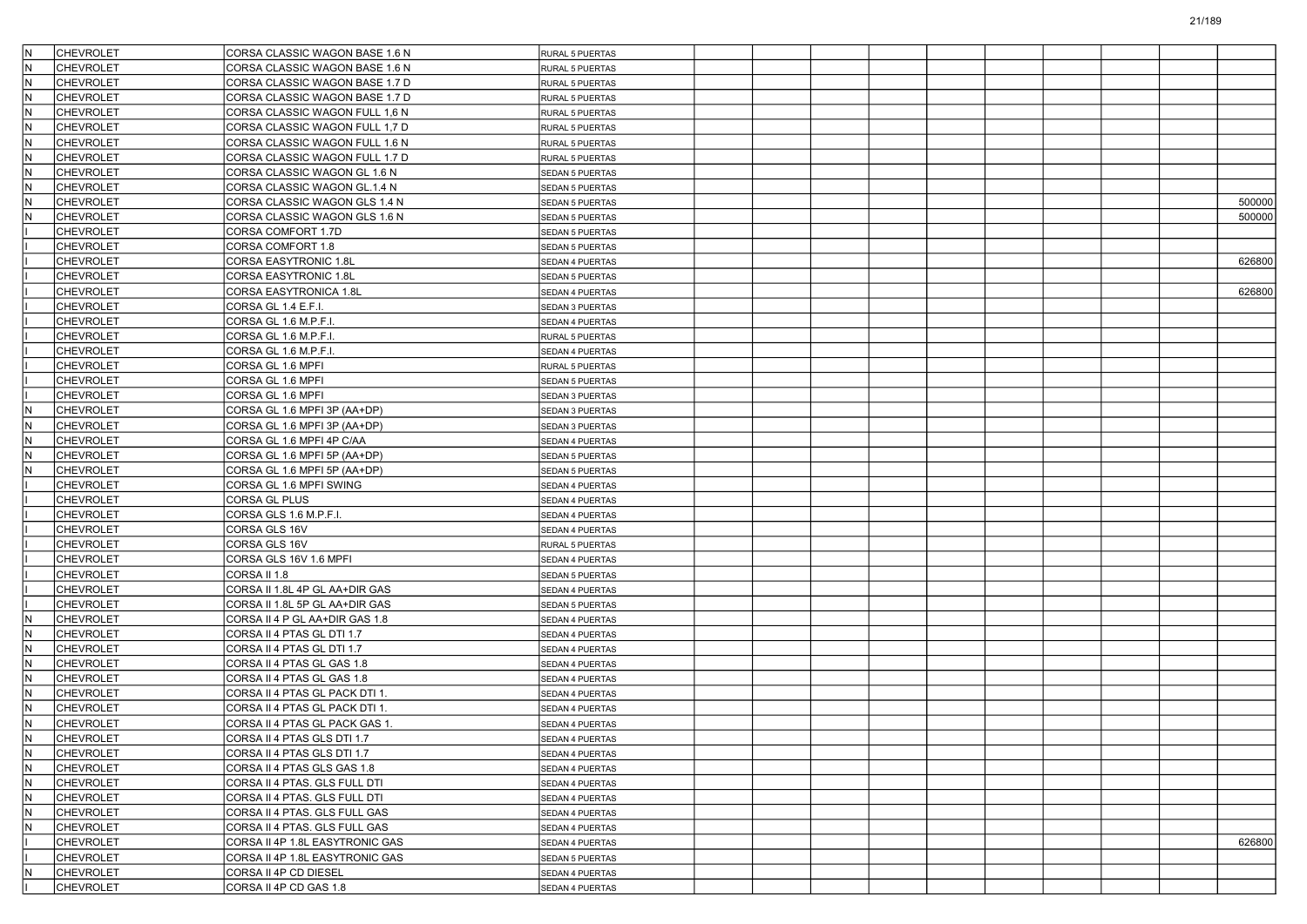|          | <b>CHEVROLET</b> | CORSA CLASSIC WAGON BASE 1.6 N                               | RURAL 5 PUERTAS        |  |  |  |  |        |
|----------|------------------|--------------------------------------------------------------|------------------------|--|--|--|--|--------|
| ΙN       | <b>CHEVROLET</b> | CORSA CLASSIC WAGON BASE 1.6 N                               | RURAL 5 PUERTAS        |  |  |  |  |        |
| lΝ       | <b>CHEVROLET</b> | CORSA CLASSIC WAGON BASE 1.7 D                               | RURAL 5 PUERTAS        |  |  |  |  |        |
| IN.      | <b>CHEVROLET</b> | CORSA CLASSIC WAGON BASE 1.7 D                               | RURAL 5 PUERTAS        |  |  |  |  |        |
| ΙN       | <b>CHEVROLET</b> | CORSA CLASSIC WAGON FULL 1,6 N                               | RURAL 5 PUERTAS        |  |  |  |  |        |
| ΙN       | <b>CHEVROLET</b> | CORSA CLASSIC WAGON FULL 1,7 D                               | RURAL 5 PUERTAS        |  |  |  |  |        |
| ΙN       | <b>CHEVROLET</b> | CORSA CLASSIC WAGON FULL 1.6 N                               | RURAL 5 PUERTAS        |  |  |  |  |        |
| lΝ       | <b>CHEVROLET</b> | CORSA CLASSIC WAGON FULL 1.7 D                               | RURAL 5 PUERTAS        |  |  |  |  |        |
| IN.      | <b>CHEVROLET</b> | CORSA CLASSIC WAGON GL 1.6 N                                 | SEDAN 5 PUERTAS        |  |  |  |  |        |
|          | <b>CHEVROLET</b> | CORSA CLASSIC WAGON GL.1.4 N                                 | SEDAN 5 PUERTAS        |  |  |  |  |        |
| ΙN       | CHEVROLET        | CORSA CLASSIC WAGON GLS 1.4 N                                | SEDAN 5 PUERTAS        |  |  |  |  | 500000 |
| ΙN       | <b>CHEVROLET</b> | CORSA CLASSIC WAGON GLS 1.6 N                                | SEDAN 5 PUERTAS        |  |  |  |  | 500000 |
|          | <b>CHEVROLET</b> | CORSA COMFORT 1.7D                                           | SEDAN 5 PUERTAS        |  |  |  |  |        |
|          | <b>CHEVROLET</b> | CORSA COMFORT 1.8                                            | <b>SEDAN 5 PUERTAS</b> |  |  |  |  |        |
|          | <b>CHEVROLET</b> | CORSA EASYTRONIC 1.8L                                        | SEDAN 4 PUERTAS        |  |  |  |  | 626800 |
|          | <b>CHEVROLET</b> | <b>CORSA EASYTRONIC 1.8L</b>                                 | <b>SEDAN 5 PUERTAS</b> |  |  |  |  |        |
|          | <b>CHEVROLET</b> | CORSA EASYTRONICA 1.8L                                       | SEDAN 4 PUERTAS        |  |  |  |  | 626800 |
|          | <b>CHEVROLET</b> | CORSA GL 1.4 E.F.I.                                          | SEDAN 3 PUERTAS        |  |  |  |  |        |
|          | <b>CHEVROLET</b> | CORSA GL 1.6 M.P.F.I.                                        | SEDAN 4 PUERTAS        |  |  |  |  |        |
|          | <b>CHEVROLET</b> | CORSA GL 1.6 M.P.F.I                                         | RURAL 5 PUERTAS        |  |  |  |  |        |
|          | <b>CHEVROLET</b> | CORSA GL 1.6 M.P.F.I.                                        | SEDAN 4 PUERTAS        |  |  |  |  |        |
|          | <b>CHEVROLET</b> | CORSA GL 1.6 MPFI                                            | RURAL 5 PUERTAS        |  |  |  |  |        |
|          | <b>CHEVROLET</b> | CORSA GL 1.6 MPFI                                            | SEDAN 5 PUERTAS        |  |  |  |  |        |
|          | <b>CHEVROLET</b> | CORSA GL 1.6 MPFI                                            | SEDAN 3 PUERTAS        |  |  |  |  |        |
|          | <b>CHEVROLET</b> | CORSA GL 1.6 MPFI 3P (AA+DP)                                 | SEDAN 3 PUERTAS        |  |  |  |  |        |
| ΙN       | <b>CHEVROLET</b> | CORSA GL 1.6 MPFI 3P (AA+DP)                                 | SEDAN 3 PUERTAS        |  |  |  |  |        |
|          | <b>CHEVROLET</b> |                                                              | <b>SEDAN 4 PUERTAS</b> |  |  |  |  |        |
| ΙN<br>ΙN | <b>CHEVROLET</b> | CORSA GL 1.6 MPFI 4P C/AA                                    | <b>SEDAN 5 PUERTAS</b> |  |  |  |  |        |
| ΙN       |                  | CORSA GL 1.6 MPFI 5P (AA+DP)<br>CORSA GL 1.6 MPFI 5P (AA+DP) |                        |  |  |  |  |        |
|          | <b>CHEVROLET</b> |                                                              | SEDAN 5 PUERTAS        |  |  |  |  |        |
|          | <b>CHEVROLET</b> | CORSA GL 1.6 MPFI SWING                                      | SEDAN 4 PUERTAS        |  |  |  |  |        |
|          | <b>CHEVROLET</b> | CORSA GL PLUS                                                | SEDAN 4 PUERTAS        |  |  |  |  |        |
|          | <b>CHEVROLET</b> | CORSA GLS 1.6 M.P.F.I.                                       | SEDAN 4 PUERTAS        |  |  |  |  |        |
|          | <b>CHEVROLET</b> | CORSA GLS 16V                                                | SEDAN 4 PUERTAS        |  |  |  |  |        |
|          | <b>CHEVROLET</b> | CORSA GLS 16V                                                | RURAL 5 PUERTAS        |  |  |  |  |        |
|          | <b>CHEVROLET</b> | CORSA GLS 16V 1.6 MPFI                                       | SEDAN 4 PUERTAS        |  |  |  |  |        |
|          | <b>CHEVROLET</b> | CORSA II 1.8                                                 | <b>SEDAN 5 PUERTAS</b> |  |  |  |  |        |
|          | <b>CHEVROLET</b> | CORSA II 1.8L 4P GL AA+DIR GAS                               | SEDAN 4 PUERTAS        |  |  |  |  |        |
|          | <b>CHEVROLET</b> | CORSA II 1.8L 5P GL AA+DIR GAS                               | SEDAN 5 PUERTAS        |  |  |  |  |        |
| ΙN       | <b>CHEVROLET</b> | CORSA II 4 P GL AA+DIR GAS 1.8                               | SEDAN 4 PUERTAS        |  |  |  |  |        |
|          | <b>CHEVROLET</b> | CORSA II 4 PTAS GL DTI 1.7                                   | SEDAN 4 PUERTAS        |  |  |  |  |        |
| ΙN       | CHEVROLET        | CORSA II 4 PTAS GL DTI 1.7                                   | SEDAN 4 PUERTAS        |  |  |  |  |        |
| ΙN       | <b>CHEVROLET</b> | CORSA II 4 PTAS GL GAS 1.8                                   | SEDAN 4 PUERTAS        |  |  |  |  |        |
| ΙN       | <b>CHEVROLET</b> | CORSA II 4 PTAS GL GAS 1.8                                   | SEDAN 4 PUERTAS        |  |  |  |  |        |
| ΙN       | <b>CHEVROLET</b> | CORSA II 4 PTAS GL PACK DTI 1.                               | SEDAN 4 PUERTAS        |  |  |  |  |        |
|          | <b>CHEVROLET</b> | CORSA II 4 PTAS GL PACK DTI 1.                               | SEDAN 4 PUERTAS        |  |  |  |  |        |
| IN.      | <b>CHEVROLET</b> | CORSA II 4 PTAS GL PACK GAS 1.                               | SEDAN 4 PUERTAS        |  |  |  |  |        |
| ΙN       | CHEVROLET        | CORSA II 4 PTAS GLS DTI 1.7                                  | <b>SEDAN 4 PUERTAS</b> |  |  |  |  |        |
| İΝ       | <b>CHEVROLET</b> | CORSA II 4 PTAS GLS DTI 1.7                                  | SEDAN 4 PUERTAS        |  |  |  |  |        |
| İN.      | <b>CHEVROLET</b> | CORSA II 4 PTAS GLS GAS 1.8                                  | SEDAN 4 PUERTAS        |  |  |  |  |        |
| lΝ       | <b>CHEVROLET</b> | CORSA II 4 PTAS. GLS FULL DTI                                | SEDAN 4 PUERTAS        |  |  |  |  |        |
| IN.      | <b>CHEVROLET</b> | CORSA II 4 PTAS. GLS FULL DTI                                | SEDAN 4 PUERTAS        |  |  |  |  |        |
| IN.      | <b>CHEVROLET</b> | CORSA II 4 PTAS. GLS FULL GAS                                | SEDAN 4 PUERTAS        |  |  |  |  |        |
| lΝ       | <b>CHEVROLET</b> | CORSA II 4 PTAS. GLS FULL GAS                                | SEDAN 4 PUERTAS        |  |  |  |  |        |
|          | <b>CHEVROLET</b> | CORSA II 4P 1.8L EASYTRONIC GAS                              | SEDAN 4 PUERTAS        |  |  |  |  | 626800 |
|          | <b>CHEVROLET</b> | CORSA II 4P 1.8L EASYTRONIC GAS                              | <b>SEDAN 5 PUERTAS</b> |  |  |  |  |        |
| ΙN       | <b>CHEVROLET</b> | CORSA II 4P CD DIESEL                                        | SEDAN 4 PUERTAS        |  |  |  |  |        |
|          | <b>CHEVROLET</b> | CORSA II 4P CD GAS 1.8                                       | SEDAN 4 PUERTAS        |  |  |  |  |        |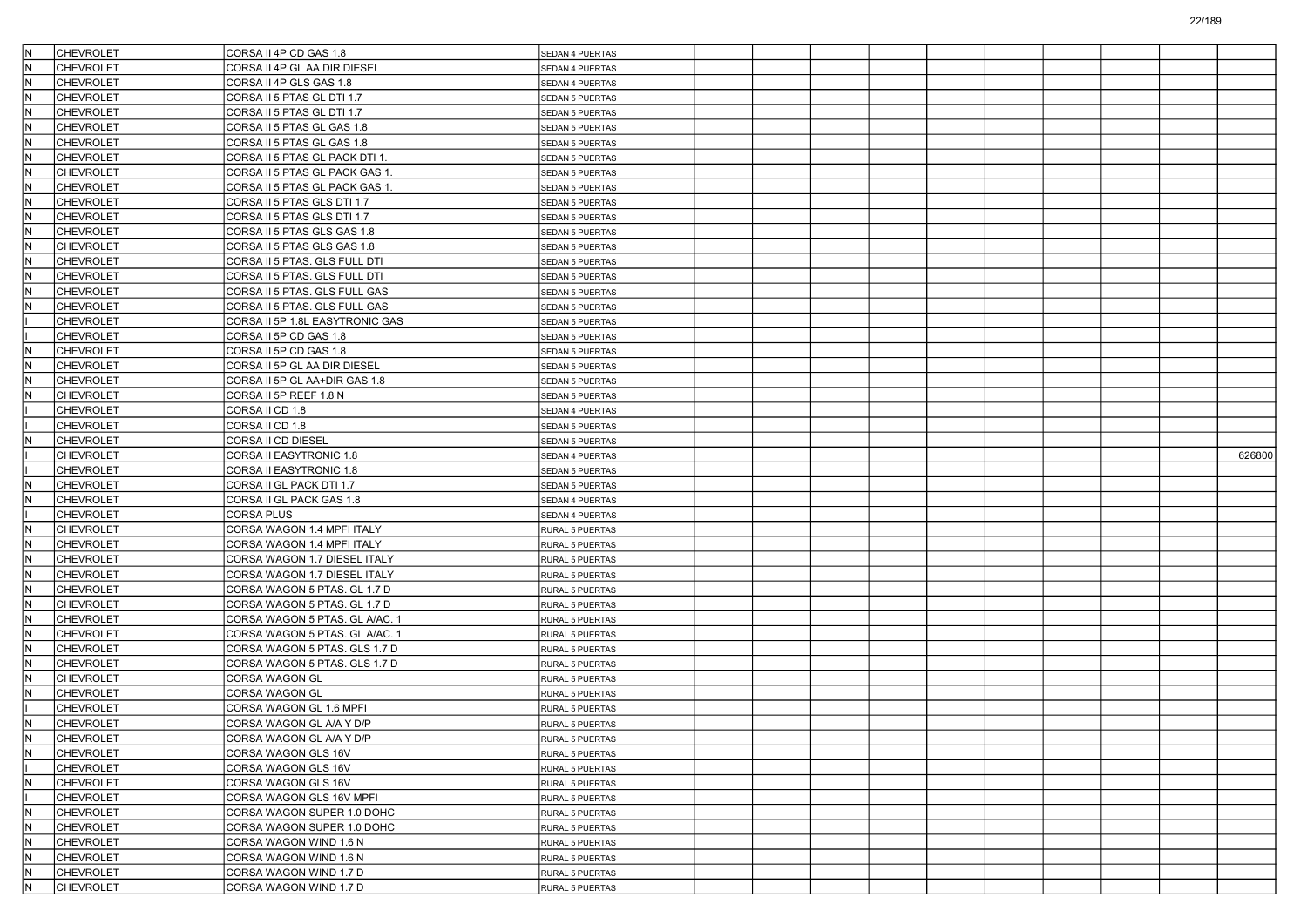|            | <b>CHEVROLET</b>              | CORSA II 4P CD GAS 1.8                           | <b>SEDAN 4 PUERTAS</b> |  |  |  |  |        |
|------------|-------------------------------|--------------------------------------------------|------------------------|--|--|--|--|--------|
| N          | <b>CHEVROLET</b>              | CORSA II 4P GL AA DIR DIESEL                     | SEDAN 4 PUERTAS        |  |  |  |  |        |
| İΝ         | <b>CHEVROLET</b>              | CORSA II 4P GLS GAS 1.8                          | SEDAN 4 PUERTAS        |  |  |  |  |        |
| IN.        | <b>CHEVROLET</b>              | CORSA II 5 PTAS GL DTI 1.7                       | SEDAN 5 PUERTAS        |  |  |  |  |        |
| N          | <b>CHEVROLET</b>              | CORSA II 5 PTAS GL DTI 1.7                       | <b>SEDAN 5 PUERTAS</b> |  |  |  |  |        |
| IN.        | <b>CHEVROLET</b>              | CORSA II 5 PTAS GL GAS 1.8                       | SEDAN 5 PUERTAS        |  |  |  |  |        |
| IN.        | <b>CHEVROLET</b>              | CORSA II 5 PTAS GL GAS 1.8                       | SEDAN 5 PUERTAS        |  |  |  |  |        |
| İΝ         | <b>CHEVROLET</b>              | CORSA II 5 PTAS GL PACK DTI 1.                   | SEDAN 5 PUERTAS        |  |  |  |  |        |
| IN.        | <b>CHEVROLET</b>              | CORSA II 5 PTAS GL PACK GAS 1.                   | SEDAN 5 PUERTAS        |  |  |  |  |        |
| N          | <b>CHEVROLET</b>              | CORSA II 5 PTAS GL PACK GAS 1.                   | <b>SEDAN 5 PUERTAS</b> |  |  |  |  |        |
| IN.        | <b>CHEVROLET</b>              | CORSA II 5 PTAS GLS DTI 1.7                      | SEDAN 5 PUERTAS        |  |  |  |  |        |
| IN.        | <b>CHEVROLET</b>              | CORSA II 5 PTAS GLS DTI 1.7                      | <b>SEDAN 5 PUERTAS</b> |  |  |  |  |        |
| İΝ         | <b>CHEVROLET</b>              | CORSA II 5 PTAS GLS GAS 1.8                      | <b>SEDAN 5 PUERTAS</b> |  |  |  |  |        |
| IN.        | <b>CHEVROLET</b>              | CORSA II 5 PTAS GLS GAS 1.8                      | <b>SEDAN 5 PUERTAS</b> |  |  |  |  |        |
| N          | <b>CHEVROLET</b>              | CORSA II 5 PTAS. GLS FULL DTI                    | SEDAN 5 PUERTAS        |  |  |  |  |        |
| IN.        | <b>CHEVROLET</b>              | CORSA II 5 PTAS. GLS FULL DTI                    | SEDAN 5 PUERTAS        |  |  |  |  |        |
| ΙN         | <b>CHEVROLET</b>              | CORSA II 5 PTAS. GLS FULL GAS                    | SEDAN 5 PUERTAS        |  |  |  |  |        |
| N          | <b>CHEVROLET</b>              | CORSA II 5 PTAS. GLS FULL GAS                    | SEDAN 5 PUERTAS        |  |  |  |  |        |
|            | <b>CHEVROLET</b>              | CORSA II 5P 1.8L EASYTRONIC GAS                  | <b>SEDAN 5 PUERTAS</b> |  |  |  |  |        |
|            | <b>CHEVROLET</b>              | CORSA II 5P CD GAS 1.8                           | SEDAN 5 PUERTAS        |  |  |  |  |        |
| N          | <b>CHEVROLET</b>              | CORSA II 5P CD GAS 1.8                           | <b>SEDAN 5 PUERTAS</b> |  |  |  |  |        |
| ΙN         | <b>CHEVROLET</b>              | CORSA II 5P GL AA DIR DIESEL                     | SEDAN 5 PUERTAS        |  |  |  |  |        |
| N          | <b>CHEVROLET</b>              | CORSA II 5P GL AA+DIR GAS 1.8                    | SEDAN 5 PUERTAS        |  |  |  |  |        |
| N          | <b>CHEVROLET</b>              | CORSA II 5P REEF 1.8 N                           | <b>SEDAN 5 PUERTAS</b> |  |  |  |  |        |
|            | <b>CHEVROLET</b>              | CORSA II CD 1.8                                  | SEDAN 4 PUERTAS        |  |  |  |  |        |
|            | <b>CHEVROLET</b>              | CORSA II CD 1.8                                  | <b>SEDAN 5 PUERTAS</b> |  |  |  |  |        |
| N          | <b>CHEVROLET</b>              | CORSA II CD DIESEL                               | SEDAN 5 PUERTAS        |  |  |  |  |        |
|            | <b>CHEVROLET</b>              | <b>CORSA II EASYTRONIC 1.8</b>                   | SEDAN 4 PUERTAS        |  |  |  |  | 626800 |
|            |                               |                                                  |                        |  |  |  |  |        |
|            |                               |                                                  |                        |  |  |  |  |        |
|            | <b>CHEVROLET</b>              | <b>CORSA II EASYTRONIC 1.8</b>                   | SEDAN 5 PUERTAS        |  |  |  |  |        |
| N          | <b>CHEVROLET</b>              | CORSA II GL PACK DTI 1.7                         | <b>SEDAN 5 PUERTAS</b> |  |  |  |  |        |
| N          | <b>CHEVROLET</b>              | CORSA II GL PACK GAS 1.8                         | SEDAN 4 PUERTAS        |  |  |  |  |        |
|            | <b>CHEVROLET</b>              | <b>CORSA PLUS</b>                                | SEDAN 4 PUERTAS        |  |  |  |  |        |
| N          | <b>CHEVROLET</b>              | CORSA WAGON 1.4 MPFI ITALY                       | RURAL 5 PUERTAS        |  |  |  |  |        |
| IN.        | <b>CHEVROLET</b>              | CORSA WAGON 1.4 MPFI ITALY                       | RURAL 5 PUERTAS        |  |  |  |  |        |
| N          | <b>CHEVROLET</b>              | CORSA WAGON 1.7 DIESEL ITALY                     | RURAL 5 PUERTAS        |  |  |  |  |        |
| IN.        | <b>CHEVROLET</b>              | CORSA WAGON 1.7 DIESEL ITALY                     | RURAL 5 PUERTAS        |  |  |  |  |        |
| ΙN         | <b>CHEVROLET</b>              | CORSA WAGON 5 PTAS. GL 1.7 D                     | RURAL 5 PUERTAS        |  |  |  |  |        |
| N          | <b>CHEVROLET</b>              | CORSA WAGON 5 PTAS. GL 1.7 D                     | RURAL 5 PUERTAS        |  |  |  |  |        |
| IN.        | <b>CHEVROLET</b>              | CORSA WAGON 5 PTAS. GL A/AC. 1                   | RURAL 5 PUERTAS        |  |  |  |  |        |
| N          | <b>CHEVROLET</b>              | CORSA WAGON 5 PTAS. GL A/AC. 1                   | RURAL 5 PUERTAS        |  |  |  |  |        |
| IN.        | <b>CHEVROLET</b>              | CORSA WAGON 5 PTAS. GLS 1.7 D                    | RURAL 5 PUERTAS        |  |  |  |  |        |
| N          | <b>CHEVROLET</b>              | CORSA WAGON 5 PTAS. GLS 1.7 D                    | RURAL 5 PUERTAS        |  |  |  |  |        |
| N          | <b>CHEVROLET</b>              | CORSA WAGON GL                                   | RURAL 5 PUERTAS        |  |  |  |  |        |
| N          | <b>CHEVROLET</b>              | CORSA WAGON GL                                   | RURAL 5 PUERTAS        |  |  |  |  |        |
|            | <b>CHEVROLET</b>              | CORSA WAGON GL 1.6 MPFI                          | RURAL 5 PUERTAS        |  |  |  |  |        |
| N          | CHEVROLET                     | CORSA WAGON GL A/A Y D/P                         | RURAL 5 PUERTAS        |  |  |  |  |        |
| ΙN         | <b>CHEVROLET</b>              | CORSA WAGON GL A/A Y D/P                         | RURAL 5 PUERTAS        |  |  |  |  |        |
| İΝ         | <b>CHEVROLET</b>              | CORSA WAGON GLS 16V                              | RURAL 5 PUERTAS        |  |  |  |  |        |
|            | <b>CHEVROLET</b>              | CORSA WAGON GLS 16V                              | RURAL 5 PUERTAS        |  |  |  |  |        |
| IN.        | <b>CHEVROLET</b>              | CORSA WAGON GLS 16V                              | RURAL 5 PUERTAS        |  |  |  |  |        |
|            | CHEVROLET                     | CORSA WAGON GLS 16V MPFI                         | RURAL 5 PUERTAS        |  |  |  |  |        |
| IN.        | <b>CHEVROLET</b>              | CORSA WAGON SUPER 1.0 DOHC                       | RURAL 5 PUERTAS        |  |  |  |  |        |
| İΝ         | <b>CHEVROLET</b>              | CORSA WAGON SUPER 1.0 DOHC                       | RURAL 5 PUERTAS        |  |  |  |  |        |
| IN.        | <b>CHEVROLET</b>              | CORSA WAGON WIND 1.6 N                           | RURAL 5 PUERTAS        |  |  |  |  |        |
| İΝ         | <b>CHEVROLET</b>              | CORSA WAGON WIND 1.6 N                           | RURAL 5 PUERTAS        |  |  |  |  |        |
| IN.<br>IN. | CHEVROLET<br><b>CHEVROLET</b> | CORSA WAGON WIND 1.7 D<br>CORSA WAGON WIND 1.7 D | RURAL 5 PUERTAS        |  |  |  |  |        |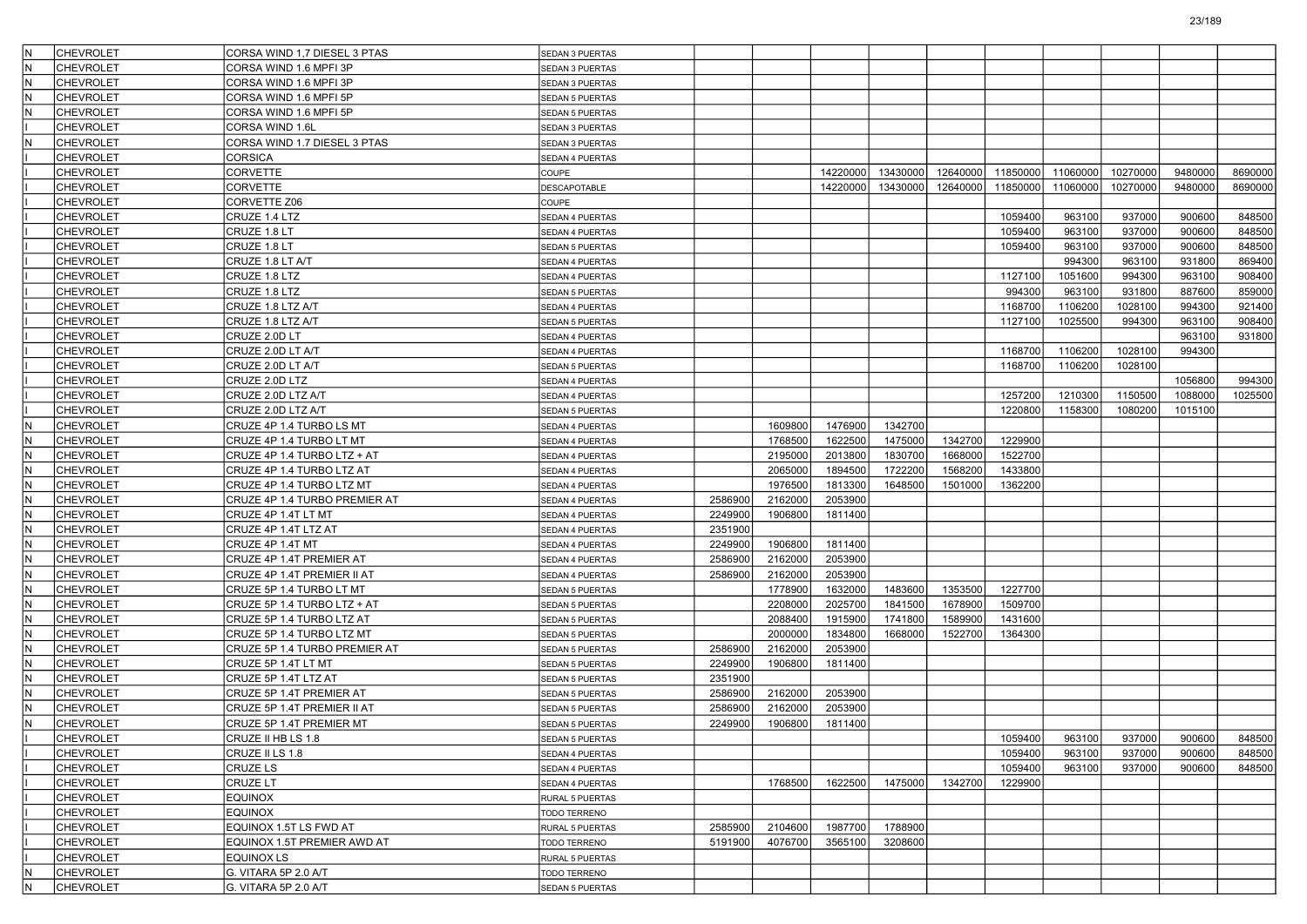| lΝ  |                  |                                                        |                        |         |         |                    |          |          |          |          |          |         |         |
|-----|------------------|--------------------------------------------------------|------------------------|---------|---------|--------------------|----------|----------|----------|----------|----------|---------|---------|
|     | <b>CHEVROLET</b> | CORSA WIND 1,7 DIESEL 3 PTAS                           | SEDAN 3 PUERTAS        |         |         |                    |          |          |          |          |          |         |         |
|     | <b>CHEVROLET</b> | CORSA WIND 1.6 MPFI 3P                                 | SEDAN 3 PUERTAS        |         |         |                    |          |          |          |          |          |         |         |
| IN. | <b>CHEVROLET</b> | CORSA WIND 1.6 MPFI 3P                                 | SEDAN 3 PUERTAS        |         |         |                    |          |          |          |          |          |         |         |
|     | <b>CHEVROLET</b> | CORSA WIND 1.6 MPFI 5P                                 | <b>SEDAN 5 PUERTAS</b> |         |         |                    |          |          |          |          |          |         |         |
|     | <b>CHEVROLET</b> | CORSA WIND 1.6 MPFI 5P                                 | SEDAN 5 PUERTAS        |         |         |                    |          |          |          |          |          |         |         |
|     | <b>CHEVROLET</b> | CORSA WIND 1.6L                                        | SEDAN 3 PUERTAS        |         |         |                    |          |          |          |          |          |         |         |
|     | <b>CHEVROLET</b> | CORSA WIND 1.7 DIESEL 3 PTAS                           | SEDAN 3 PUERTAS        |         |         |                    |          |          |          |          |          |         |         |
|     | <b>CHEVROLET</b> | <b>CORSICA</b>                                         | SEDAN 4 PUERTAS        |         |         |                    |          |          |          |          |          |         |         |
|     | <b>CHEVROLET</b> | CORVETTE                                               | COUPE                  |         |         | 14220000           | 13430000 | 12640000 | 11850000 | 11060000 | 10270000 | 9480000 | 8690000 |
|     | <b>CHEVROLET</b> | CORVETTE                                               | DESCAPOTABLE           |         |         | 14220000           | 13430000 | 12640000 | 11850000 | 11060000 | 10270000 | 9480000 | 8690000 |
|     | <b>CHEVROLET</b> | CORVETTE Z06                                           | COUPE                  |         |         |                    |          |          |          |          |          |         |         |
|     | <b>CHEVROLET</b> | CRUZE 1.4 LTZ                                          | SEDAN 4 PUERTAS        |         |         |                    |          |          | 1059400  | 963100   | 937000   | 900600  | 848500  |
|     | <b>CHEVROLET</b> | CRUZE 1.8 LT                                           | SEDAN 4 PUERTAS        |         |         |                    |          |          | 1059400  | 963100   | 937000   | 900600  | 848500  |
|     | <b>CHEVROLET</b> | CRUZE 1.8 LT                                           | <b>SEDAN 5 PUERTAS</b> |         |         |                    |          |          | 1059400  | 963100   | 937000   | 900600  | 848500  |
|     | <b>CHEVROLET</b> | CRUZE 1.8 LT A/T                                       | SEDAN 4 PUERTAS        |         |         |                    |          |          |          | 994300   | 963100   | 931800  | 869400  |
|     | <b>CHEVROLET</b> | CRUZE 1.8 LTZ                                          | SEDAN 4 PUERTAS        |         |         |                    |          |          | 1127100  | 1051600  | 994300   | 963100  | 908400  |
|     | <b>CHEVROLET</b> | CRUZE 1.8 LTZ                                          | SEDAN 5 PUERTAS        |         |         |                    |          |          | 994300   | 963100   | 931800   | 887600  | 859000  |
|     | <b>CHEVROLET</b> | CRUZE 1.8 LTZ A/T                                      | SEDAN 4 PUERTAS        |         |         |                    |          |          | 1168700  | 1106200  | 1028100  | 994300  | 921400  |
|     | <b>CHEVROLET</b> | CRUZE 1.8 LTZ A/T                                      | <b>SEDAN 5 PUERTAS</b> |         |         |                    |          |          | 1127100  | 1025500  | 994300   | 963100  | 908400  |
|     | <b>CHEVROLET</b> | CRUZE 2.0D LT                                          | SEDAN 4 PUERTAS        |         |         |                    |          |          |          |          |          | 963100  | 931800  |
|     | <b>CHEVROLET</b> | CRUZE 2.0D LT A/T                                      | SEDAN 4 PUERTAS        |         |         |                    |          |          | 1168700  | 1106200  | 1028100  | 994300  |         |
|     | <b>CHEVROLET</b> | CRUZE 2.0D LT A/T                                      | SEDAN 5 PUERTAS        |         |         |                    |          |          | 1168700  | 1106200  | 1028100  |         |         |
|     | <b>CHEVROLET</b> | CRUZE 2.0D LTZ                                         | SEDAN 4 PUERTAS        |         |         |                    |          |          |          |          |          | 1056800 | 994300  |
|     | <b>CHEVROLET</b> | CRUZE 2.0D LTZ A/T                                     | SEDAN 4 PUERTAS        |         |         |                    |          |          | 1257200  | 1210300  | 1150500  | 1088000 | 1025500 |
|     | <b>CHEVROLET</b> | CRUZE 2.0D LTZ A/T                                     | SEDAN 5 PUERTAS        |         |         |                    |          |          | 1220800  | 1158300  | 1080200  | 1015100 |         |
| İΝ  | <b>CHEVROLET</b> | CRUZE 4P 1.4 TURBO LS MT                               | SEDAN 4 PUERTAS        |         | 1609800 | 1476900            | 1342700  |          |          |          |          |         |         |
|     | <b>CHEVROLET</b> | CRUZE 4P 1.4 TURBO LT MT                               | SEDAN 4 PUERTAS        |         | 1768500 | 1622500            | 1475000  | 1342700  | 1229900  |          |          |         |         |
| İΝ  | <b>CHEVROLET</b> | CRUZE 4P 1.4 TURBO LTZ + AT                            | SEDAN 4 PUERTAS        |         | 2195000 | 2013800            | 1830700  | 1668000  | 1522700  |          |          |         |         |
|     | CHEVROLET        |                                                        |                        |         | 2065000 | 1894500            | 1722200  | 1568200  | 1433800  |          |          |         |         |
| N   |                  | CRUZE 4P 1.4 TURBO LTZ AT<br>CRUZE 4P 1.4 TURBO LTZ MT | SEDAN 4 PUERTAS        |         | 1976500 |                    |          |          |          |          |          |         |         |
| İΝ  | <b>CHEVROLET</b> |                                                        | SEDAN 4 PUERTAS        |         | 2162000 | 1813300<br>2053900 | 1648500  | 1501000  | 1362200  |          |          |         |         |
|     | <b>CHEVROLET</b> | CRUZE 4P 1.4 TURBO PREMIER AT                          | SEDAN 4 PUERTAS        | 2586900 |         |                    |          |          |          |          |          |         |         |
| İΝ  | <b>CHEVROLET</b> | CRUZE 4P 1.4T LT MT                                    | SEDAN 4 PUERTAS        | 2249900 | 1906800 | 1811400            |          |          |          |          |          |         |         |
|     | <b>CHEVROLET</b> | CRUZE 4P 1.4T LTZ AT                                   | SEDAN 4 PUERTAS        | 2351900 |         |                    |          |          |          |          |          |         |         |
|     | CHEVROLET        | CRUZE 4P 1.4T MT                                       | SEDAN 4 PUERTAS        | 2249900 | 1906800 | 1811400            |          |          |          |          |          |         |         |
| N   | CHEVROLET        | CRUZE 4P 1.4T PREMIER AT                               | SEDAN 4 PUERTAS        | 2586900 | 2162000 | 2053900            |          |          |          |          |          |         |         |
| İΝ  | <b>CHEVROLET</b> | CRUZE 4P 1.4T PREMIER II AT                            | SEDAN 4 PUERTAS        | 2586900 | 2162000 | 2053900            |          |          |          |          |          |         |         |
| N   | <b>CHEVROLET</b> | CRUZE 5P 1.4 TURBO LT MT                               | SEDAN 5 PUERTAS        |         | 1778900 | 1632000            | 1483600  | 1353500  | 1227700  |          |          |         |         |
| IN. | <b>CHEVROLET</b> | CRUZE 5P 1.4 TURBO LTZ + AT                            | <b>SEDAN 5 PUERTAS</b> |         | 2208000 | 2025700            | 1841500  | 1678900  | 1509700  |          |          |         |         |
|     | CHEVROLET        | CRUZE 5P 1.4 TURBO LTZ AT                              | <b>SEDAN 5 PUERTAS</b> |         | 2088400 | 1915900            | 1741800  | 1589900  | 1431600  |          |          |         |         |
| N   | <b>CHEVROLET</b> | CRUZE 5P 1.4 TURBO LTZ MT                              | SEDAN 5 PUERTAS        |         | 2000000 | 1834800            | 1668000  | 1522700  | 1364300  |          |          |         |         |
| İΝ  | <b>CHEVROLET</b> | CRUZE 5P 1.4 TURBO PREMIER AT                          | SEDAN 5 PUERTAS        | 2586900 | 2162000 | 2053900            |          |          |          |          |          |         |         |
| N   | <b>CHEVROLET</b> | CRUZE 5P 1.4T LT MT                                    | SEDAN 5 PUERTAS        | 2249900 | 1906800 | 1811400            |          |          |          |          |          |         |         |
| İΝ  | <b>CHEVROLET</b> | CRUZE 5P 1.4T LTZ AT                                   | <b>SEDAN 5 PUERTAS</b> | 2351900 |         |                    |          |          |          |          |          |         |         |
|     | CHEVROLET        | CRUZE 5P 1.4T PREMIER AT                               | <b>SEDAN 5 PUERTAS</b> | 2586900 | 2162000 | 2053900            |          |          |          |          |          |         |         |
| N   | <b>CHEVROLET</b> | CRUZE 5P 1.4T PREMIER II AT                            | <b>SEDAN 5 PUERTAS</b> | 2586900 | 2162000 | 2053900            |          |          |          |          |          |         |         |
| IN. | <b>CHEVROLET</b> | CRUZE 5P 1.4T PREMIER MT                               | SEDAN 5 PUERTAS        | 2249900 | 1906800 | 1811400            |          |          |          |          |          |         |         |
|     | <b>CHEVROLET</b> | CRUZE II HB LS 1.8                                     | <b>SEDAN 5 PUERTAS</b> |         |         |                    |          |          | 1059400  | 963100   | 937000   | 900600  | 848500  |
|     | <b>CHEVROLET</b> | CRUZE II LS 1.8                                        | SEDAN 4 PUERTAS        |         |         |                    |          |          | 1059400  | 963100   | 937000   | 900600  | 848500  |
|     | CHEVROLET        | CRUZE LS                                               | SEDAN 4 PUERTAS        |         |         |                    |          |          | 1059400  | 963100   | 937000   | 900600  | 848500  |
|     | <b>CHEVROLET</b> | CRUZE LT                                               | SEDAN 4 PUERTAS        |         | 1768500 | 1622500            | 1475000  | 1342700  | 1229900  |          |          |         |         |
|     | <b>CHEVROLET</b> | <b>EQUINOX</b>                                         | RURAL 5 PUERTAS        |         |         |                    |          |          |          |          |          |         |         |
|     | <b>CHEVROLET</b> | <b>EQUINOX</b>                                         | <b>TODO TERRENO</b>    |         |         |                    |          |          |          |          |          |         |         |
|     | <b>CHEVROLET</b> | EQUINOX 1.5T LS FWD AT                                 | RURAL 5 PUERTAS        | 2585900 | 2104600 | 1987700            | 1788900  |          |          |          |          |         |         |
|     | <b>CHEVROLET</b> | EQUINOX 1.5T PREMIER AWD AT                            | TODO TERRENO           | 5191900 | 4076700 | 3565100            | 3208600  |          |          |          |          |         |         |
|     | CHEVROLET        | <b>EQUINOX LS</b>                                      | RURAL 5 PUERTAS        |         |         |                    |          |          |          |          |          |         |         |
| IN. | <b>CHEVROLET</b> | G. VITARA 5P 2.0 A/T                                   | TODO TERRENO           |         |         |                    |          |          |          |          |          |         |         |
| IN. | <b>CHEVROLET</b> | G. VITARA 5P 2.0 A/T                                   | <b>SEDAN 5 PUERTAS</b> |         |         |                    |          |          |          |          |          |         |         |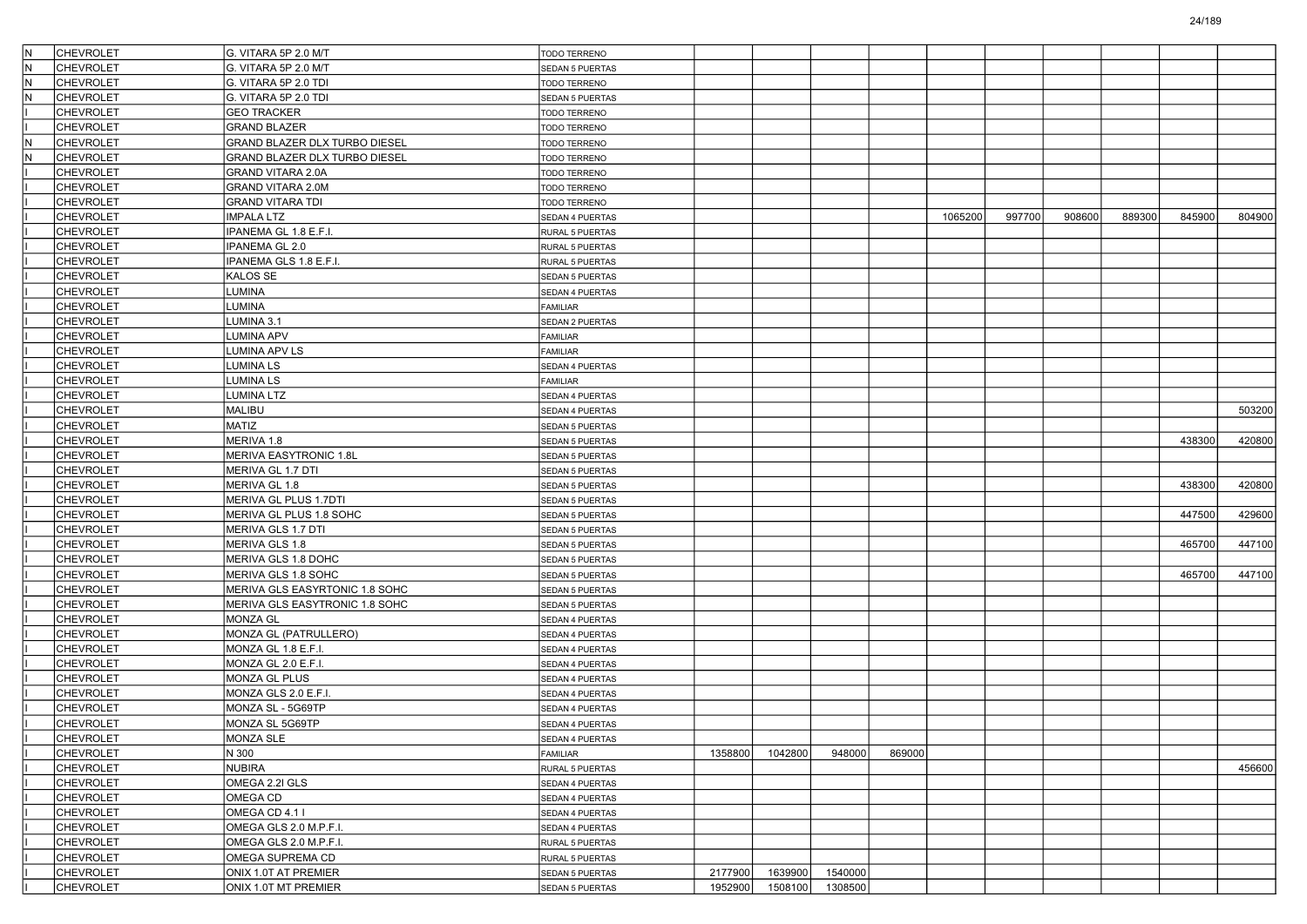| IN. | <b>CHEVROLET</b> | G. VITARA 5P 2.0 M/T           | <b>TODO TERRENO</b>    |         |         |         |        |         |        |        |        |        |        |
|-----|------------------|--------------------------------|------------------------|---------|---------|---------|--------|---------|--------|--------|--------|--------|--------|
| IN. | <b>CHEVROLET</b> | G. VITARA 5P 2.0 M/T           | <b>SEDAN 5 PUERTAS</b> |         |         |         |        |         |        |        |        |        |        |
| İN. | <b>CHEVROLET</b> | G. VITARA 5P 2.0 TDI           | TODO TERRENO           |         |         |         |        |         |        |        |        |        |        |
| İN. | <b>CHEVROLET</b> | G. VITARA 5P 2.0 TDI           | SEDAN 5 PUERTAS        |         |         |         |        |         |        |        |        |        |        |
|     | <b>CHEVROLET</b> | <b>GEO TRACKER</b>             | TODO TERRENO           |         |         |         |        |         |        |        |        |        |        |
|     | <b>CHEVROLET</b> | <b>GRAND BLAZER</b>            | TODO TERRENO           |         |         |         |        |         |        |        |        |        |        |
| N.  | <b>CHEVROLET</b> | GRAND BLAZER DLX TURBO DIESEL  | TODO TERRENO           |         |         |         |        |         |        |        |        |        |        |
| IN. | <b>CHEVROLET</b> | GRAND BLAZER DLX TURBO DIESEL  | TODO TERRENO           |         |         |         |        |         |        |        |        |        |        |
|     | <b>CHEVROLET</b> | GRAND VITARA 2.0A              | TODO TERRENO           |         |         |         |        |         |        |        |        |        |        |
|     | <b>CHEVROLET</b> | GRAND VITARA 2.0M              | TODO TERRENO           |         |         |         |        |         |        |        |        |        |        |
|     | <b>CHEVROLET</b> | <b>GRAND VITARA TDI</b>        | TODO TERRENO           |         |         |         |        |         |        |        |        |        |        |
|     | <b>CHEVROLET</b> | IMPALA LTZ                     | SEDAN 4 PUERTAS        |         |         |         |        | 1065200 | 997700 | 908600 | 889300 | 845900 | 804900 |
|     | <b>CHEVROLET</b> | IPANEMA GL 1.8 E.F.I.          | RURAL 5 PUERTAS        |         |         |         |        |         |        |        |        |        |        |
|     | <b>CHEVROLET</b> | IPANEMA GL 2.0                 | RURAL 5 PUERTAS        |         |         |         |        |         |        |        |        |        |        |
|     | <b>CHEVROLET</b> | IPANEMA GLS 1.8 E.F.I.         | RURAL 5 PUERTAS        |         |         |         |        |         |        |        |        |        |        |
|     | <b>CHEVROLET</b> | KALOS SE                       | SEDAN 5 PUERTAS        |         |         |         |        |         |        |        |        |        |        |
|     | <b>CHEVROLET</b> | LUMINA                         | SEDAN 4 PUERTAS        |         |         |         |        |         |        |        |        |        |        |
|     | <b>CHEVROLET</b> | LUMINA                         | <b>FAMILIAR</b>        |         |         |         |        |         |        |        |        |        |        |
|     | <b>CHEVROLET</b> | LUMINA 3.1                     | SEDAN 2 PUERTAS        |         |         |         |        |         |        |        |        |        |        |
|     | <b>CHEVROLET</b> | LUMINA APV                     | FAMILIAR               |         |         |         |        |         |        |        |        |        |        |
|     | <b>CHEVROLET</b> | LUMINA APV LS                  | <b>FAMILIAR</b>        |         |         |         |        |         |        |        |        |        |        |
|     | <b>CHEVROLET</b> | LUMINA LS                      | SEDAN 4 PUERTAS        |         |         |         |        |         |        |        |        |        |        |
|     | <b>CHEVROLET</b> | LUMINA LS                      | <b>FAMILIAR</b>        |         |         |         |        |         |        |        |        |        |        |
|     | <b>CHEVROLET</b> | LUMINA LTZ                     | SEDAN 4 PUERTAS        |         |         |         |        |         |        |        |        |        |        |
|     | <b>CHEVROLET</b> | MALIBU                         | SEDAN 4 PUERTAS        |         |         |         |        |         |        |        |        |        | 503200 |
|     | <b>CHEVROLET</b> | MATIZ                          | SEDAN 5 PUERTAS        |         |         |         |        |         |        |        |        |        |        |
|     | <b>CHEVROLET</b> | MERIVA 1.8                     | <b>SEDAN 5 PUERTAS</b> |         |         |         |        |         |        |        |        | 438300 | 420800 |
|     | <b>CHEVROLET</b> | <b>MERIVA EASYTRONIC 1.8L</b>  | <b>SEDAN 5 PUERTAS</b> |         |         |         |        |         |        |        |        |        |        |
|     | <b>CHEVROLET</b> | MERIVA GL 1.7 DTI              | SEDAN 5 PUERTAS        |         |         |         |        |         |        |        |        |        |        |
|     | <b>CHEVROLET</b> | MERIVA GL 1.8                  | SEDAN 5 PUERTAS        |         |         |         |        |         |        |        |        | 438300 | 420800 |
|     | <b>CHEVROLET</b> | MERIVA GL PLUS 1.7DTI          | <b>SEDAN 5 PUERTAS</b> |         |         |         |        |         |        |        |        |        |        |
|     | <b>CHEVROLET</b> | MERIVA GL PLUS 1.8 SOHC        | <b>SEDAN 5 PUERTAS</b> |         |         |         |        |         |        |        |        | 447500 | 429600 |
|     | <b>CHEVROLET</b> | MERIVA GLS 1.7 DTI             | SEDAN 5 PUERTAS        |         |         |         |        |         |        |        |        |        |        |
|     | <b>CHEVROLET</b> | MERIVA GLS 1.8                 | SEDAN 5 PUERTAS        |         |         |         |        |         |        |        |        | 465700 | 447100 |
|     | <b>CHEVROLET</b> | MERIVA GLS 1.8 DOHC            | SEDAN 5 PUERTAS        |         |         |         |        |         |        |        |        |        |        |
|     | <b>CHEVROLET</b> | MERIVA GLS 1.8 SOHC            | <b>SEDAN 5 PUERTAS</b> |         |         |         |        |         |        |        |        | 465700 | 447100 |
|     | <b>CHEVROLET</b> | MERIVA GLS EASYRTONIC 1.8 SOHC | SEDAN 5 PUERTAS        |         |         |         |        |         |        |        |        |        |        |
|     | <b>CHEVROLET</b> | MERIVA GLS EASYTRONIC 1.8 SOHC | SEDAN 5 PUERTAS        |         |         |         |        |         |        |        |        |        |        |
|     | <b>CHEVROLET</b> | MONZA GL                       | SEDAN 4 PUERTAS        |         |         |         |        |         |        |        |        |        |        |
|     | <b>CHEVROLET</b> | MONZA GL (PATRULLERO)          | SEDAN 4 PUERTAS        |         |         |         |        |         |        |        |        |        |        |
|     | <b>CHEVROLET</b> | MONZA GL 1.8 E.F.I.            | SEDAN 4 PUERTAS        |         |         |         |        |         |        |        |        |        |        |
|     | <b>CHEVROLET</b> | MONZA GL 2.0 E.F.I             | SEDAN 4 PUERTAS        |         |         |         |        |         |        |        |        |        |        |
|     | <b>CHEVROLET</b> | MONZA GL PLUS                  | SEDAN 4 PUERTAS        |         |         |         |        |         |        |        |        |        |        |
|     | <b>CHEVROLET</b> | MONZA GLS 2.0 E.F.I.           | SEDAN 4 PUERTAS        |         |         |         |        |         |        |        |        |        |        |
|     | <b>CHEVROLET</b> | MONZA SL - 5G69TP              | SEDAN 4 PUERTAS        |         |         |         |        |         |        |        |        |        |        |
|     | <b>CHEVROLET</b> | MONZA SL 5G69TP                | <b>SEDAN 4 PUERTAS</b> |         |         |         |        |         |        |        |        |        |        |
|     | <b>CHEVROLET</b> | <b>MONZA SLE</b>               | SEDAN 4 PUERTAS        |         |         |         |        |         |        |        |        |        |        |
|     | <b>CHEVROLET</b> | N 300                          | FAMILIAR               | 1358800 | 1042800 | 948000  | 869000 |         |        |        |        |        |        |
|     | <b>CHEVROLET</b> | NUBIRA                         | RURAL 5 PUERTAS        |         |         |         |        |         |        |        |        |        | 456600 |
|     | <b>CHEVROLET</b> | OMEGA 2.2I GLS                 | SEDAN 4 PUERTAS        |         |         |         |        |         |        |        |        |        |        |
|     | <b>CHEVROLET</b> | OMEGA CD                       | SEDAN 4 PUERTAS        |         |         |         |        |         |        |        |        |        |        |
|     | <b>CHEVROLET</b> | OMEGA CD 4.1 I                 | SEDAN 4 PUERTAS        |         |         |         |        |         |        |        |        |        |        |
|     | <b>CHEVROLET</b> | OMEGA GLS 2.0 M.P.F.I.         | SEDAN 4 PUERTAS        |         |         |         |        |         |        |        |        |        |        |
|     | <b>CHEVROLET</b> | OMEGA GLS 2.0 M.P.F.I.         | RURAL 5 PUERTAS        |         |         |         |        |         |        |        |        |        |        |
|     | <b>CHEVROLET</b> | OMEGA SUPREMA CD               | RURAL 5 PUERTAS        |         |         |         |        |         |        |        |        |        |        |
|     | <b>CHEVROLET</b> | ONIX 1.0T AT PREMIER           | SEDAN 5 PUERTAS        | 2177900 | 1639900 | 1540000 |        |         |        |        |        |        |        |
|     | <b>CHEVROLET</b> | ONIX 1.0T MT PREMIER           | SEDAN 5 PUERTAS        | 1952900 | 1508100 | 1308500 |        |         |        |        |        |        |        |
|     |                  |                                |                        |         |         |         |        |         |        |        |        |        |        |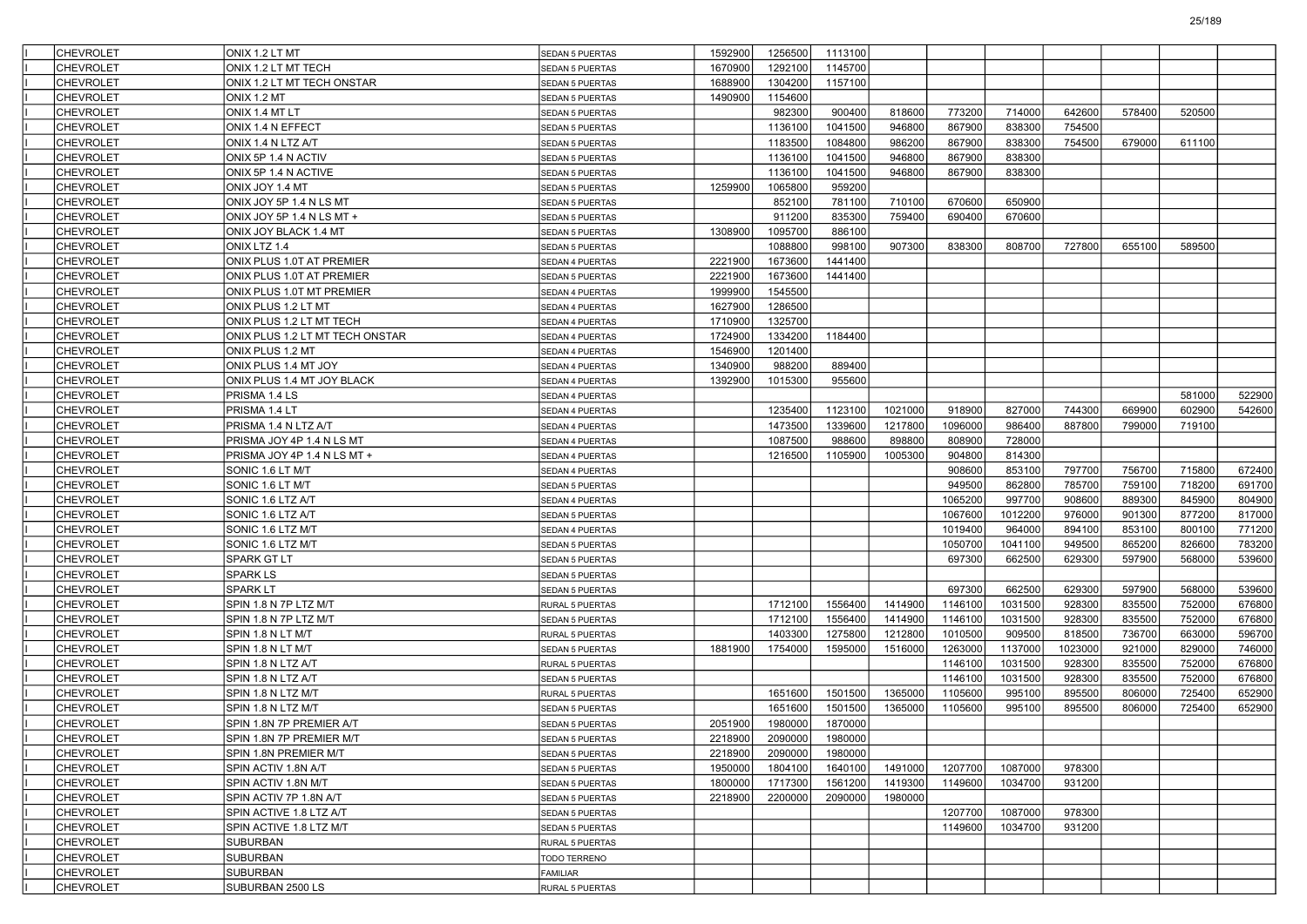| <b>CHEVROLET</b> | ONIX 1.2 LT MT                  | <b>SEDAN 5 PUERTAS</b>   | 1592900 | 1256500 | 1113100 |         |         |         |         |        |        |        |
|------------------|---------------------------------|--------------------------|---------|---------|---------|---------|---------|---------|---------|--------|--------|--------|
| <b>CHEVROLET</b> | ONIX 1.2 LT MT TECH             | <b>SEDAN 5 PUERTAS</b>   | 1670900 | 1292100 | 1145700 |         |         |         |         |        |        |        |
| <b>CHEVROLET</b> | ONIX 1.2 LT MT TECH ONSTAR      | <b>SEDAN 5 PUERTAS</b>   | 1688900 | 1304200 | 1157100 |         |         |         |         |        |        |        |
| <b>CHEVROLET</b> | ONIX 1.2 MT                     | SEDAN 5 PUERTAS          | 1490900 | 1154600 |         |         |         |         |         |        |        |        |
| <b>CHEVROLET</b> | ONIX 1.4 MT LT                  | SEDAN 5 PUERTAS          |         | 982300  | 900400  | 818600  | 773200  | 714000  | 642600  | 578400 | 520500 |        |
| <b>CHEVROLET</b> | ONIX 1.4 N EFFECT               | SEDAN 5 PUERTAS          |         | 1136100 | 1041500 | 946800  | 867900  | 838300  | 754500  |        |        |        |
| <b>CHEVROLET</b> | ONIX 1.4 N LTZ A/T              | SEDAN 5 PUERTAS          |         | 1183500 | 1084800 | 986200  | 867900  | 838300  | 754500  | 679000 | 611100 |        |
| <b>CHEVROLET</b> | ONIX 5P 1.4 N ACTIV             | SEDAN 5 PUERTAS          |         | 1136100 | 1041500 | 946800  | 867900  | 838300  |         |        |        |        |
| <b>CHEVROLET</b> | ONIX 5P 1.4 N ACTIVE            | SEDAN 5 PUERTAS          |         | 1136100 | 1041500 | 946800  | 867900  | 838300  |         |        |        |        |
| <b>CHEVROLET</b> | ONIX JOY 1.4 MT                 | SEDAN 5 PUERTAS          | 1259900 | 1065800 | 959200  |         |         |         |         |        |        |        |
| <b>CHEVROLET</b> | ONIX JOY 5P 1.4 N LS MT         | SEDAN 5 PUERTAS          |         | 852100  | 781100  | 710100  | 670600  | 650900  |         |        |        |        |
| <b>CHEVROLET</b> | ONIX JOY 5P 1.4 N LS MT +       | SEDAN 5 PUERTAS          |         | 911200  | 835300  | 759400  | 690400  | 670600  |         |        |        |        |
| <b>CHEVROLET</b> | ONIX JOY BLACK 1.4 MT           | SEDAN 5 PUERTAS          | 1308900 | 1095700 | 886100  |         |         |         |         |        |        |        |
| <b>CHEVROLET</b> | ONIX LTZ 1.4                    | SEDAN 5 PUERTAS          |         | 1088800 | 998100  | 907300  | 838300  | 808700  | 727800  | 655100 | 589500 |        |
| <b>CHEVROLET</b> | ONIX PLUS 1.0T AT PREMIER       | SEDAN 4 PUERTAS          | 2221900 | 1673600 | 1441400 |         |         |         |         |        |        |        |
| <b>CHEVROLET</b> | ONIX PLUS 1.0T AT PREMIER       | SEDAN 5 PUERTAS          | 2221900 | 1673600 | 1441400 |         |         |         |         |        |        |        |
| <b>CHEVROLET</b> | ONIX PLUS 1.0T MT PREMIER       | SEDAN 4 PUERTAS          | 1999900 | 1545500 |         |         |         |         |         |        |        |        |
| <b>CHEVROLET</b> | ONIX PLUS 1.2 LT MT             | SEDAN 4 PUERTAS          | 1627900 | 1286500 |         |         |         |         |         |        |        |        |
| <b>CHEVROLET</b> | ONIX PLUS 1.2 LT MT TECH        | SEDAN 4 PUERTAS          | 1710900 | 1325700 |         |         |         |         |         |        |        |        |
| <b>CHEVROLET</b> | ONIX PLUS 1.2 LT MT TECH ONSTAR | SEDAN 4 PUERTAS          | 1724900 | 1334200 | 1184400 |         |         |         |         |        |        |        |
| <b>CHEVROLET</b> | ONIX PLUS 1.2 MT                | SEDAN 4 PUERTAS          | 1546900 | 1201400 |         |         |         |         |         |        |        |        |
| <b>CHEVROLET</b> | ONIX PLUS 1.4 MT JOY            | SEDAN 4 PUERTAS          | 1340900 | 988200  | 889400  |         |         |         |         |        |        |        |
| <b>CHEVROLET</b> | ONIX PLUS 1.4 MT JOY BLACK      | SEDAN 4 PUERTAS          | 1392900 | 1015300 | 955600  |         |         |         |         |        |        |        |
| <b>CHEVROLET</b> | PRISMA 1.4 LS                   | SEDAN 4 PUERTAS          |         |         |         |         |         |         |         |        | 581000 | 522900 |
| <b>CHEVROLET</b> | PRISMA 1.4 LT                   | SEDAN 4 PUERTAS          |         | 1235400 | 1123100 | 1021000 | 918900  | 827000  | 744300  | 669900 | 602900 | 542600 |
| <b>CHEVROLET</b> | PRISMA 1.4 N LTZ A/T            | SEDAN 4 PUERTAS          |         | 1473500 | 1339600 | 1217800 | 1096000 | 986400  | 887800  | 799000 | 719100 |        |
| <b>CHEVROLET</b> | PRISMA JOY 4P 1.4 N LS MT       | SEDAN 4 PUERTAS          |         | 1087500 | 988600  | 898800  | 808900  | 728000  |         |        |        |        |
| <b>CHEVROLET</b> | PRISMA JOY 4P 1.4 N LS MT +     | SEDAN 4 PUERTAS          |         | 1216500 | 1105900 | 1005300 | 904800  | 814300  |         |        |        |        |
| <b>CHEVROLET</b> | SONIC 1.6 LT M/T                | SEDAN 4 PUERTAS          |         |         |         |         | 908600  | 853100  | 797700  | 756700 | 715800 | 672400 |
| <b>CHEVROLET</b> | SONIC 1.6 LT M/T                | <b>SEDAN 5 PUERTAS</b>   |         |         |         |         | 949500  | 862800  | 785700  | 759100 | 718200 | 691700 |
| <b>CHEVROLET</b> | SONIC 1.6 LTZ A/T               | SEDAN 4 PUERTAS          |         |         |         |         | 1065200 | 997700  | 908600  | 889300 | 845900 | 804900 |
| <b>CHEVROLET</b> | SONIC 1.6 LTZ A/T               | SEDAN 5 PUERTAS          |         |         |         |         | 1067600 | 1012200 | 976000  | 901300 | 877200 | 817000 |
| <b>CHEVROLET</b> | SONIC 1.6 LTZ M/T               | SEDAN 4 PUERTAS          |         |         |         |         | 1019400 | 964000  | 894100  | 853100 | 800100 | 771200 |
| <b>CHEVROLET</b> | SONIC 1.6 LTZ M/T               | SEDAN 5 PUERTAS          |         |         |         |         | 1050700 | 1041100 | 949500  | 865200 | 826600 | 783200 |
| <b>CHEVROLET</b> | SPARK GT LT                     | <b>SEDAN 5 PUERTAS</b>   |         |         |         |         | 697300  | 662500  | 629300  | 597900 | 568000 | 539600 |
| <b>CHEVROLET</b> | SPARK LS                        | SEDAN 5 PUERTAS          |         |         |         |         |         |         |         |        |        |        |
| <b>CHEVROLET</b> | SPARK LT                        | SEDAN 5 PUERTAS          |         |         |         |         | 697300  | 662500  | 629300  | 597900 | 568000 | 539600 |
| <b>CHEVROLET</b> | SPIN 1.8 N 7P LTZ M/T           | RURAL 5 PUERTAS          |         | 1712100 | 1556400 | 1414900 | 1146100 | 1031500 | 928300  | 835500 | 752000 | 676800 |
| <b>CHEVROLET</b> | SPIN 1.8 N 7P LTZ M/T           | SEDAN 5 PUERTAS          |         | 1712100 | 1556400 | 1414900 | 1146100 | 1031500 | 928300  | 835500 | 752000 | 676800 |
| <b>CHEVROLET</b> | SPIN 1.8 N LT M/T               | RURAL 5 PUERTAS          |         | 1403300 | 1275800 | 1212800 | 1010500 | 909500  | 818500  | 736700 | 663000 | 596700 |
| <b>CHEVROLET</b> | SPIN 1.8 N LT M/T               | <b>SEDAN 5 PUERTAS</b>   | 1881900 | 1754000 | 1595000 | 1516000 | 1263000 | 1137000 | 1023000 | 921000 | 829000 | 746000 |
| <b>CHEVROLET</b> | SPIN 1.8 N LTZ A/T              | RURAL 5 PUERTAS          |         |         |         |         | 1146100 | 1031500 | 928300  | 835500 | 752000 | 676800 |
| <b>CHEVROLET</b> | SPIN 1.8 N LTZ A/T              | SEDAN 5 PUERTAS          |         |         |         |         | 1146100 | 1031500 | 928300  | 835500 | 752000 | 676800 |
| <b>CHEVROLET</b> | SPIN 1.8 N LTZ M/T              | RURAL 5 PUERTAS          |         | 1651600 | 1501500 | 1365000 | 1105600 | 995100  | 895500  | 806000 | 725400 | 652900 |
| <b>CHEVROLET</b> | SPIN 1.8 N LTZ M/T              | SEDAN 5 PUERTAS          |         | 1651600 | 1501500 | 1365000 | 1105600 | 995100  | 895500  | 806000 | 725400 | 652900 |
| <b>CHEVROLET</b> | SPIN 1.8N 7P PREMIER A/T        | SEDAN 5 PUERTAS          | 2051900 | 1980000 | 1870000 |         |         |         |         |        |        |        |
| CHEVROLET        | SPIN 1.8N 7P PREMIER M/T        | <b>SEDAN 5 PUERTAS</b>   | 2218900 | 2090000 | 1980000 |         |         |         |         |        |        |        |
| <b>CHEVROLET</b> | SPIN 1.8N PREMIER M/T           | SEDAN 5 PUERTAS          | 2218900 | 2090000 | 1980000 |         |         |         |         |        |        |        |
| <b>CHEVROLET</b> | SPIN ACTIV 1.8N A/T             | <b>SEDAN 5 PUERTAS</b>   | 1950000 | 1804100 | 1640100 | 1491000 | 1207700 | 1087000 | 978300  |        |        |        |
| <b>CHEVROLET</b> | SPIN ACTIV 1.8N M/T             | SEDAN 5 PUERTAS          | 1800000 | 1717300 | 1561200 | 1419300 | 1149600 | 1034700 | 931200  |        |        |        |
| <b>CHEVROLET</b> | SPIN ACTIV 7P 1.8N A/T          | SEDAN 5 PUERTAS          | 2218900 | 2200000 | 2090000 | 1980000 |         |         |         |        |        |        |
| <b>CHEVROLET</b> | SPIN ACTIVE 1.8 LTZ A/T         | <b>SEDAN 5 PUERTAS</b>   |         |         |         |         | 1207700 | 1087000 | 978300  |        |        |        |
| <b>CHEVROLET</b> | SPIN ACTIVE 1.8 LTZ M/T         | SEDAN 5 PUERTAS          |         |         |         |         | 1149600 | 1034700 | 931200  |        |        |        |
| <b>CHEVROLET</b> | SUBURBAN                        | RURAL 5 PUERTAS          |         |         |         |         |         |         |         |        |        |        |
| <b>CHEVROLET</b> | SUBURBAN                        |                          |         |         |         |         |         |         |         |        |        |        |
| <b>CHEVROLET</b> | SUBURBAN                        | TODO TERRENO<br>FAMILIAR |         |         |         |         |         |         |         |        |        |        |
| <b>CHEVROLET</b> | SUBURBAN 2500 LS                |                          |         |         |         |         |         |         |         |        |        |        |
|                  |                                 | RURAL 5 PUERTAS          |         |         |         |         |         |         |         |        |        |        |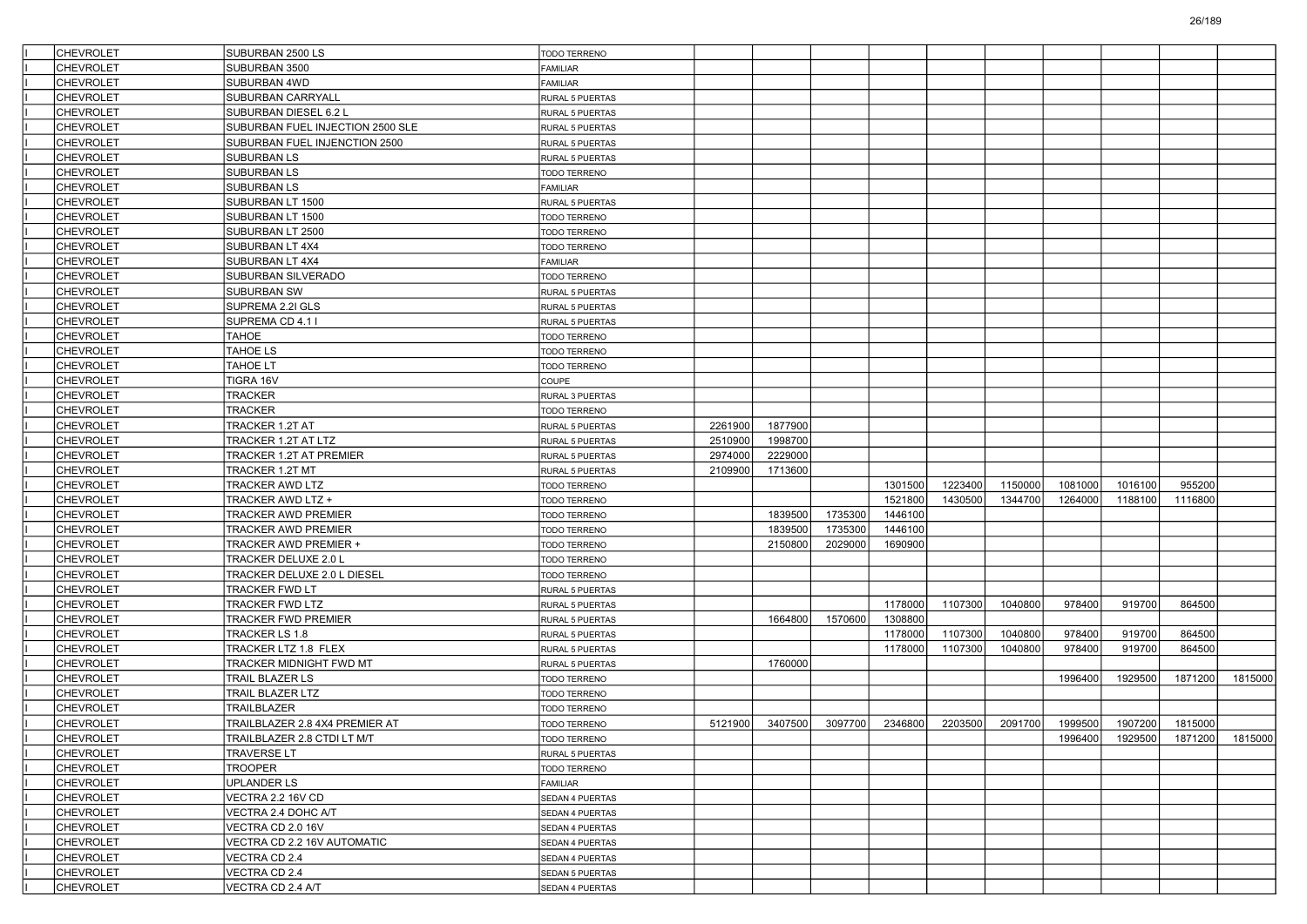| <b>CHEVROLET</b>                     | SUBURBAN 2500 LS                         | <b>TODO TERRENO</b>    |         |         |         |         |         |         |         |         |                 |         |
|--------------------------------------|------------------------------------------|------------------------|---------|---------|---------|---------|---------|---------|---------|---------|-----------------|---------|
| <b>CHEVROLET</b>                     | SUBURBAN 3500                            | <b>FAMILIAR</b>        |         |         |         |         |         |         |         |         |                 |         |
| <b>CHEVROLET</b>                     | SUBURBAN 4WD                             | <b>FAMILIAR</b>        |         |         |         |         |         |         |         |         |                 |         |
| <b>CHEVROLET</b>                     | SUBURBAN CARRYALL                        | RURAL 5 PUERTAS        |         |         |         |         |         |         |         |         |                 |         |
| <b>CHEVROLET</b>                     | SUBURBAN DIESEL 6.2 L                    | RURAL 5 PUERTAS        |         |         |         |         |         |         |         |         |                 |         |
| <b>CHEVROLET</b>                     | SUBURBAN FUEL INJECTION 2500 SLE         | RURAL 5 PUERTAS        |         |         |         |         |         |         |         |         |                 |         |
| <b>CHEVROLET</b>                     | SUBURBAN FUEL INJENCTION 2500            | RURAL 5 PUERTAS        |         |         |         |         |         |         |         |         |                 |         |
| <b>CHEVROLET</b>                     | SUBURBAN LS                              | RURAL 5 PUERTAS        |         |         |         |         |         |         |         |         |                 |         |
| <b>CHEVROLET</b>                     | SUBURBAN LS                              | TODO TERRENO           |         |         |         |         |         |         |         |         |                 |         |
| <b>CHEVROLET</b>                     | <b>SUBURBAN LS</b>                       | FAMILIAR               |         |         |         |         |         |         |         |         |                 |         |
| <b>CHEVROLET</b>                     | SUBURBAN LT 1500                         | RURAL 5 PUERTAS        |         |         |         |         |         |         |         |         |                 |         |
| <b>CHEVROLET</b>                     | SUBURBAN LT 1500                         | TODO TERRENO           |         |         |         |         |         |         |         |         |                 |         |
| <b>CHEVROLET</b>                     | SUBURBAN LT 2500                         | TODO TERRENO           |         |         |         |         |         |         |         |         |                 |         |
| <b>CHEVROLET</b>                     | SUBURBAN LT 4X4                          | TODO TERRENO           |         |         |         |         |         |         |         |         |                 |         |
| <b>CHEVROLET</b>                     | SUBURBAN LT 4X4                          | FAMILIAR               |         |         |         |         |         |         |         |         |                 |         |
| <b>CHEVROLET</b>                     | SUBURBAN SILVERADO                       | TODO TERRENO           |         |         |         |         |         |         |         |         |                 |         |
| <b>CHEVROLET</b>                     | <b>SUBURBAN SW</b>                       | RURAL 5 PUERTAS        |         |         |         |         |         |         |         |         |                 |         |
| <b>CHEVROLET</b>                     | SUPREMA 2.2I GLS                         | RURAL 5 PUERTAS        |         |         |         |         |         |         |         |         |                 |         |
| <b>CHEVROLET</b>                     | SUPREMA CD 4.1 I                         | RURAL 5 PUERTAS        |         |         |         |         |         |         |         |         |                 |         |
| <b>CHEVROLET</b>                     | <b>TAHOE</b>                             | TODO TERRENO           |         |         |         |         |         |         |         |         |                 |         |
| <b>CHEVROLET</b>                     | TAHOE LS                                 | TODO TERRENO           |         |         |         |         |         |         |         |         |                 |         |
| <b>CHEVROLET</b>                     | TAHOE LT                                 | TODO TERRENO           |         |         |         |         |         |         |         |         |                 |         |
| <b>CHEVROLET</b>                     | TIGRA 16V                                | COUPE                  |         |         |         |         |         |         |         |         |                 |         |
| <b>CHEVROLET</b>                     | TRACKER                                  | RURAL 3 PUERTAS        |         |         |         |         |         |         |         |         |                 |         |
| <b>CHEVROLET</b>                     | <b>TRACKER</b>                           | TODO TERRENO           |         |         |         |         |         |         |         |         |                 |         |
| <b>CHEVROLET</b>                     | TRACKER 1.2T AT                          | RURAL 5 PUERTAS        | 2261900 | 1877900 |         |         |         |         |         |         |                 |         |
| <b>CHEVROLET</b>                     | TRACKER 1.2T AT LTZ                      | RURAL 5 PUERTAS        | 2510900 | 1998700 |         |         |         |         |         |         |                 |         |
| <b>CHEVROLET</b>                     | TRACKER 1.2T AT PREMIER                  | RURAL 5 PUERTAS        | 2974000 | 2229000 |         |         |         |         |         |         |                 |         |
| <b>CHEVROLET</b>                     | TRACKER 1.2T MT                          | RURAL 5 PUERTAS        | 2109900 | 1713600 |         |         |         |         |         |         |                 |         |
| <b>CHEVROLET</b>                     | TRACKER AWD LTZ                          | TODO TERRENO           |         |         |         | 1301500 | 1223400 | 1150000 | 1081000 | 1016100 | 955200          |         |
| <b>CHEVROLET</b>                     | TRACKER AWD LTZ +                        | TODO TERRENO           |         |         |         | 1521800 | 1430500 | 1344700 | 1264000 | 1188100 | 1116800         |         |
| <b>CHEVROLET</b>                     | TRACKER AWD PREMIER                      | TODO TERRENO           |         | 1839500 | 1735300 | 1446100 |         |         |         |         |                 |         |
| <b>CHEVROLET</b>                     | TRACKER AWD PREMIER                      | TODO TERRENO           |         | 1839500 | 1735300 | 1446100 |         |         |         |         |                 |         |
| <b>CHEVROLET</b>                     | TRACKER AWD PREMIER +                    | TODO TERRENO           |         | 2150800 | 2029000 | 1690900 |         |         |         |         |                 |         |
| <b>CHEVROLET</b>                     | TRACKER DELUXE 2.0 L                     |                        |         |         |         |         |         |         |         |         |                 |         |
| <b>CHEVROLET</b>                     | TRACKER DELUXE 2.0 L DIESEL              | TODO TERRENO           |         |         |         |         |         |         |         |         |                 |         |
|                                      |                                          | TODO TERRENO           |         |         |         |         |         |         |         |         |                 |         |
| <b>CHEVROLET</b><br><b>CHEVROLET</b> | TRACKER FWD LT<br><b>TRACKER FWD LTZ</b> | RURAL 5 PUERTAS        |         |         |         | 1178000 |         |         | 978400  | 919700  | 864500          |         |
|                                      |                                          | RURAL 5 PUERTAS        |         |         |         |         | 1107300 | 1040800 |         |         |                 |         |
| <b>CHEVROLET</b>                     | TRACKER FWD PREMIER                      | RURAL 5 PUERTAS        |         | 1664800 | 1570600 | 1308800 |         |         |         |         |                 |         |
| <b>CHEVROLET</b>                     | TRACKER LS 1.8                           | RURAL 5 PUERTAS        |         |         |         | 1178000 | 1107300 | 1040800 | 978400  | 919700  | 864500          |         |
| <b>CHEVROLET</b>                     | TRACKER LTZ 1.8 FLEX                     | RURAL 5 PUERTAS        |         |         |         | 1178000 | 1107300 | 1040800 | 978400  | 919700  | 864500          |         |
| <b>CHEVROLET</b>                     | TRACKER MIDNIGHT FWD MT                  | RURAL 5 PUERTAS        |         | 1760000 |         |         |         |         |         |         |                 |         |
| <b>CHEVROLET</b>                     | TRAIL BLAZER LS                          | TODO TERRENO           |         |         |         |         |         |         | 1996400 | 1929500 | 1871200         | 1815000 |
| <b>CHEVROLET</b>                     | TRAIL BLAZER LTZ                         | TODO TERRENO           |         |         |         |         |         |         |         |         |                 |         |
| <b>CHEVROLET</b>                     | TRAILBLAZER                              | TODO TERRENO           |         |         |         |         |         |         |         |         |                 |         |
| <b>CHEVROLET</b>                     | TRAILBLAZER 2.8 4X4 PREMIER AT           | TODO TERRENO           | 5121900 | 3407500 | 3097700 | 2346800 | 2203500 | 2091700 | 1999500 | 1907200 | 1815000         |         |
| <b>CHEVROLET</b>                     | TRAILBLAZER 2.8 CTDI LT M/T              | <b>TODO TERRENO</b>    |         |         |         |         |         |         | 1996400 |         | 1929500 1871200 | 1815000 |
| <b>CHEVROLET</b>                     | <b>TRAVERSE LT</b>                       | RURAL 5 PUERTAS        |         |         |         |         |         |         |         |         |                 |         |
| <b>CHEVROLET</b>                     | <b>TROOPER</b>                           | TODO TERRENO           |         |         |         |         |         |         |         |         |                 |         |
| <b>CHEVROLET</b>                     | UPLANDER LS                              | FAMILIAR               |         |         |         |         |         |         |         |         |                 |         |
| <b>CHEVROLET</b>                     | VECTRA 2.2 16V CD                        | SEDAN 4 PUERTAS        |         |         |         |         |         |         |         |         |                 |         |
| <b>CHEVROLET</b>                     | VECTRA 2.4 DOHC A/T                      | SEDAN 4 PUERTAS        |         |         |         |         |         |         |         |         |                 |         |
| <b>CHEVROLET</b>                     | VECTRA CD 2.0 16V                        | SEDAN 4 PUERTAS        |         |         |         |         |         |         |         |         |                 |         |
| <b>CHEVROLET</b>                     | VECTRA CD 2.2 16V AUTOMATIC              | SEDAN 4 PUERTAS        |         |         |         |         |         |         |         |         |                 |         |
| <b>CHEVROLET</b>                     | VECTRA CD 2.4                            | SEDAN 4 PUERTAS        |         |         |         |         |         |         |         |         |                 |         |
| <b>CHEVROLET</b>                     | VECTRA CD 2.4                            | <b>SEDAN 5 PUERTAS</b> |         |         |         |         |         |         |         |         |                 |         |
| <b>CHEVROLET</b>                     | VECTRA CD 2.4 A/T                        | SEDAN 4 PUERTAS        |         |         |         |         |         |         |         |         |                 |         |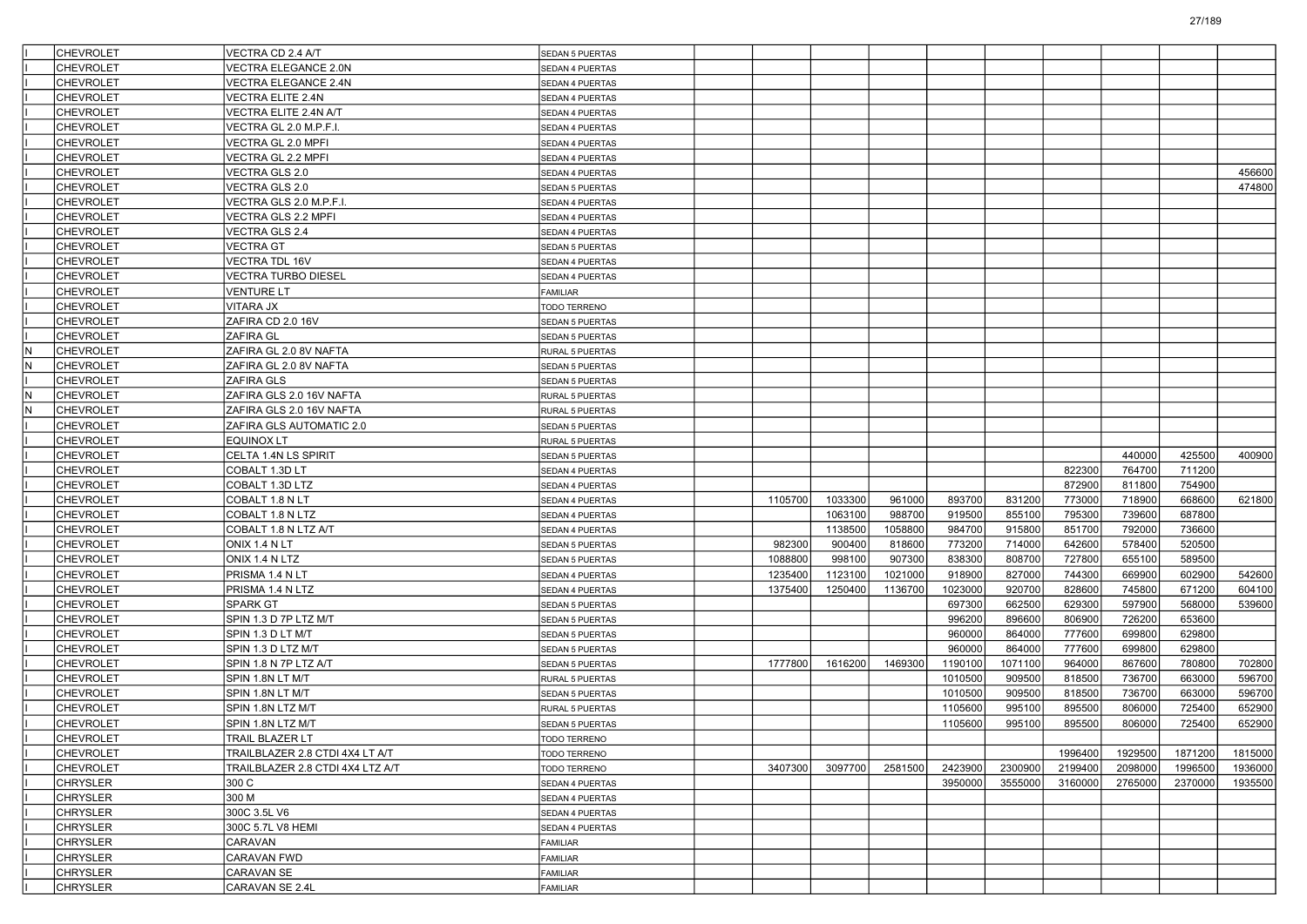|     | <b>CHEVROLET</b> | VECTRA CD 2.4 A/T                | <b>SEDAN 5 PUERTAS</b> |         |         |         |         |         |         |         |         |         |
|-----|------------------|----------------------------------|------------------------|---------|---------|---------|---------|---------|---------|---------|---------|---------|
|     | <b>CHEVROLET</b> | <b>VECTRA ELEGANCE 2.0N</b>      | SEDAN 4 PUERTAS        |         |         |         |         |         |         |         |         |         |
|     | <b>CHEVROLET</b> | VECTRA ELEGANCE 2.4N             | SEDAN 4 PUERTAS        |         |         |         |         |         |         |         |         |         |
|     | <b>CHEVROLET</b> | VECTRA ELITE 2.4N                | SEDAN 4 PUERTAS        |         |         |         |         |         |         |         |         |         |
|     | <b>CHEVROLET</b> | VECTRA ELITE 2.4N A/T            | SEDAN 4 PUERTAS        |         |         |         |         |         |         |         |         |         |
|     | <b>CHEVROLET</b> | VECTRA GL 2.0 M.P.F.I.           | SEDAN 4 PUERTAS        |         |         |         |         |         |         |         |         |         |
|     | <b>CHEVROLET</b> | VECTRA GL 2.0 MPFI               | SEDAN 4 PUERTAS        |         |         |         |         |         |         |         |         |         |
|     | <b>CHEVROLET</b> | VECTRA GL 2.2 MPFI               | SEDAN 4 PUERTAS        |         |         |         |         |         |         |         |         |         |
|     | <b>CHEVROLET</b> | VECTRA GLS 2.0                   | SEDAN 4 PUERTAS        |         |         |         |         |         |         |         |         | 456600  |
|     | <b>CHEVROLET</b> | VECTRA GLS 2.0                   | SEDAN 5 PUERTAS        |         |         |         |         |         |         |         |         | 474800  |
|     | <b>CHEVROLET</b> | VECTRA GLS 2.0 M.P.F.I.          | SEDAN 4 PUERTAS        |         |         |         |         |         |         |         |         |         |
|     | <b>CHEVROLET</b> | VECTRA GLS 2.2 MPFI              | SEDAN 4 PUERTAS        |         |         |         |         |         |         |         |         |         |
|     | <b>CHEVROLET</b> | VECTRA GLS 2.4                   | SEDAN 4 PUERTAS        |         |         |         |         |         |         |         |         |         |
|     | <b>CHEVROLET</b> | VECTRA GT                        | SEDAN 5 PUERTAS        |         |         |         |         |         |         |         |         |         |
|     | <b>CHEVROLET</b> | <b>VECTRA TDL 16V</b>            | SEDAN 4 PUERTAS        |         |         |         |         |         |         |         |         |         |
|     | <b>CHEVROLET</b> | VECTRA TURBO DIESEL              | SEDAN 4 PUERTAS        |         |         |         |         |         |         |         |         |         |
|     | <b>CHEVROLET</b> | <b>VENTURE LT</b>                | FAMILIAR               |         |         |         |         |         |         |         |         |         |
|     | <b>CHEVROLET</b> | VITARA JX                        | TODO TERRENO           |         |         |         |         |         |         |         |         |         |
|     | <b>CHEVROLET</b> | ZAFIRA CD 2.0 16V                | SEDAN 5 PUERTAS        |         |         |         |         |         |         |         |         |         |
|     | <b>CHEVROLET</b> | ZAFIRA GL                        | SEDAN 5 PUERTAS        |         |         |         |         |         |         |         |         |         |
| IN. | <b>CHEVROLET</b> | ZAFIRA GL 2.0 8V NAFTA           | RURAL 5 PUERTAS        |         |         |         |         |         |         |         |         |         |
| lN  | <b>CHEVROLET</b> | ZAFIRA GL 2.0 8V NAFTA           | <b>SEDAN 5 PUERTAS</b> |         |         |         |         |         |         |         |         |         |
|     | <b>CHEVROLET</b> | <b>ZAFIRA GLS</b>                | SEDAN 5 PUERTAS        |         |         |         |         |         |         |         |         |         |
| İΝ  | <b>CHEVROLET</b> | ZAFIRA GLS 2.0 16V NAFTA         | RURAL 5 PUERTAS        |         |         |         |         |         |         |         |         |         |
| N   | <b>CHEVROLET</b> | ZAFIRA GLS 2.0 16V NAFTA         | RURAL 5 PUERTAS        |         |         |         |         |         |         |         |         |         |
|     | <b>CHEVROLET</b> | ZAFIRA GLS AUTOMATIC 2.0         | <b>SEDAN 5 PUERTAS</b> |         |         |         |         |         |         |         |         |         |
|     | <b>CHEVROLET</b> | EQUINOX LT                       | RURAL 5 PUERTAS        |         |         |         |         |         |         |         |         |         |
|     | <b>CHEVROLET</b> | CELTA 1.4N LS SPIRIT             | SEDAN 5 PUERTAS        |         |         |         |         |         |         | 440000  | 425500  | 400900  |
|     | <b>CHEVROLET</b> | COBALT 1.3D LT                   | SEDAN 4 PUERTAS        |         |         |         |         |         | 822300  | 764700  | 711200  |         |
|     | <b>CHEVROLET</b> | COBALT 1.3D LTZ                  | SEDAN 4 PUERTAS        |         |         |         |         |         | 872900  | 811800  | 754900  |         |
|     | <b>CHEVROLET</b> | COBALT 1.8 N LT                  | SEDAN 4 PUERTAS        | 1105700 | 1033300 | 961000  | 893700  | 831200  | 773000  | 718900  | 668600  | 621800  |
|     | <b>CHEVROLET</b> | COBALT 1.8 N LTZ                 | SEDAN 4 PUERTAS        |         | 1063100 | 988700  | 919500  | 855100  | 795300  | 739600  | 687800  |         |
|     | <b>CHEVROLET</b> | COBALT 1.8 N LTZ A/T             | SEDAN 4 PUERTAS        |         | 1138500 | 1058800 | 984700  | 915800  | 851700  | 792000  | 736600  |         |
|     | <b>CHEVROLET</b> | ONIX 1.4 N LT                    | SEDAN 5 PUERTAS        | 982300  | 900400  | 818600  | 773200  | 714000  | 642600  | 578400  | 520500  |         |
|     | <b>CHEVROLET</b> | ONIX 1.4 N LTZ                   | SEDAN 5 PUERTAS        | 1088800 | 998100  | 907300  | 838300  | 808700  | 727800  | 655100  | 589500  |         |
|     | <b>CHEVROLET</b> | PRISMA 1.4 N LT                  | SEDAN 4 PUERTAS        | 1235400 | 1123100 | 1021000 | 918900  | 827000  | 744300  | 669900  | 602900  | 542600  |
|     | <b>CHEVROLET</b> | PRISMA 1.4 N LTZ                 | SEDAN 4 PUERTAS        | 1375400 | 1250400 | 1136700 | 1023000 | 920700  | 828600  | 745800  | 671200  | 604100  |
|     | <b>CHEVROLET</b> | <b>SPARK GT</b>                  | SEDAN 5 PUERTAS        |         |         |         | 697300  | 662500  | 629300  | 597900  | 568000  | 539600  |
|     | <b>CHEVROLET</b> | SPIN 1.3 D 7P LTZ M/T            | SEDAN 5 PUERTAS        |         |         |         | 996200  | 896600  | 806900  | 726200  | 653600  |         |
|     | <b>CHEVROLET</b> | SPIN 1.3 D LT M/T                | SEDAN 5 PUERTAS        |         |         |         | 960000  | 864000  | 777600  | 699800  | 629800  |         |
|     | <b>CHEVROLET</b> | SPIN 1.3 D LTZ M/T               | SEDAN 5 PUERTAS        |         |         |         | 960000  | 864000  | 777600  | 699800  | 629800  |         |
|     | <b>CHEVROLET</b> | SPIN 1.8 N 7P LTZ A/T            | SEDAN 5 PUERTAS        | 1777800 | 1616200 | 1469300 | 1190100 | 1071100 | 964000  | 867600  | 780800  | 702800  |
|     | <b>CHEVROLET</b> | SPIN 1.8N LT M/T                 | RURAL 5 PUERTAS        |         |         |         | 1010500 | 909500  | 818500  | 736700  | 663000  | 596700  |
|     | <b>CHEVROLET</b> | SPIN 1.8N LT M/T                 | SEDAN 5 PUERTAS        |         |         |         | 1010500 | 909500  | 818500  | 736700  | 663000  | 596700  |
|     | <b>CHEVROLET</b> | SPIN 1.8N LTZ M/T                | RURAL 5 PUERTAS        |         |         |         | 1105600 | 995100  | 895500  | 806000  | 725400  | 652900  |
|     | <b>CHEVROLET</b> | SPIN 1.8N LTZ M/T                | <b>SEDAN 5 PUERTAS</b> |         |         |         | 1105600 | 995100  | 895500  | 806000  | 725400  | 652900  |
|     | <b>CHEVROLET</b> | TRAIL BLAZER LT                  | TODO TERRENO           |         |         |         |         |         |         |         |         |         |
|     | <b>CHEVROLET</b> | TRAILBLAZER 2.8 CTDI 4X4 LT A/T  | TODO TERRENO           |         |         |         |         |         | 1996400 | 1929500 | 1871200 | 1815000 |
|     | <b>CHEVROLET</b> | TRAILBLAZER 2.8 CTDI 4X4 LTZ A/T | TODO TERRENO           | 3407300 | 3097700 | 2581500 | 2423900 | 2300900 | 2199400 | 2098000 | 1996500 | 1936000 |
|     | <b>CHRYSLER</b>  | 300 C                            | SEDAN 4 PUERTAS        |         |         |         | 3950000 | 3555000 | 3160000 | 2765000 | 2370000 | 1935500 |
|     | <b>CHRYSLER</b>  | 300 M                            | SEDAN 4 PUERTAS        |         |         |         |         |         |         |         |         |         |
|     | <b>CHRYSLER</b>  | 300C 3.5L V6                     | SEDAN 4 PUERTAS        |         |         |         |         |         |         |         |         |         |
|     | <b>CHRYSLER</b>  | 300C 5.7L V8 HEMI                | SEDAN 4 PUERTAS        |         |         |         |         |         |         |         |         |         |
|     | <b>CHRYSLER</b>  | CARAVAN                          | <b>FAMILIAR</b>        |         |         |         |         |         |         |         |         |         |
|     | <b>CHRYSLER</b>  | CARAVAN FWD                      | <b>FAMILIAR</b>        |         |         |         |         |         |         |         |         |         |
|     | <b>CHRYSLER</b>  | CARAVAN SE                       | <b>FAMILIAR</b>        |         |         |         |         |         |         |         |         |         |
|     |                  |                                  |                        |         |         |         |         |         |         |         |         |         |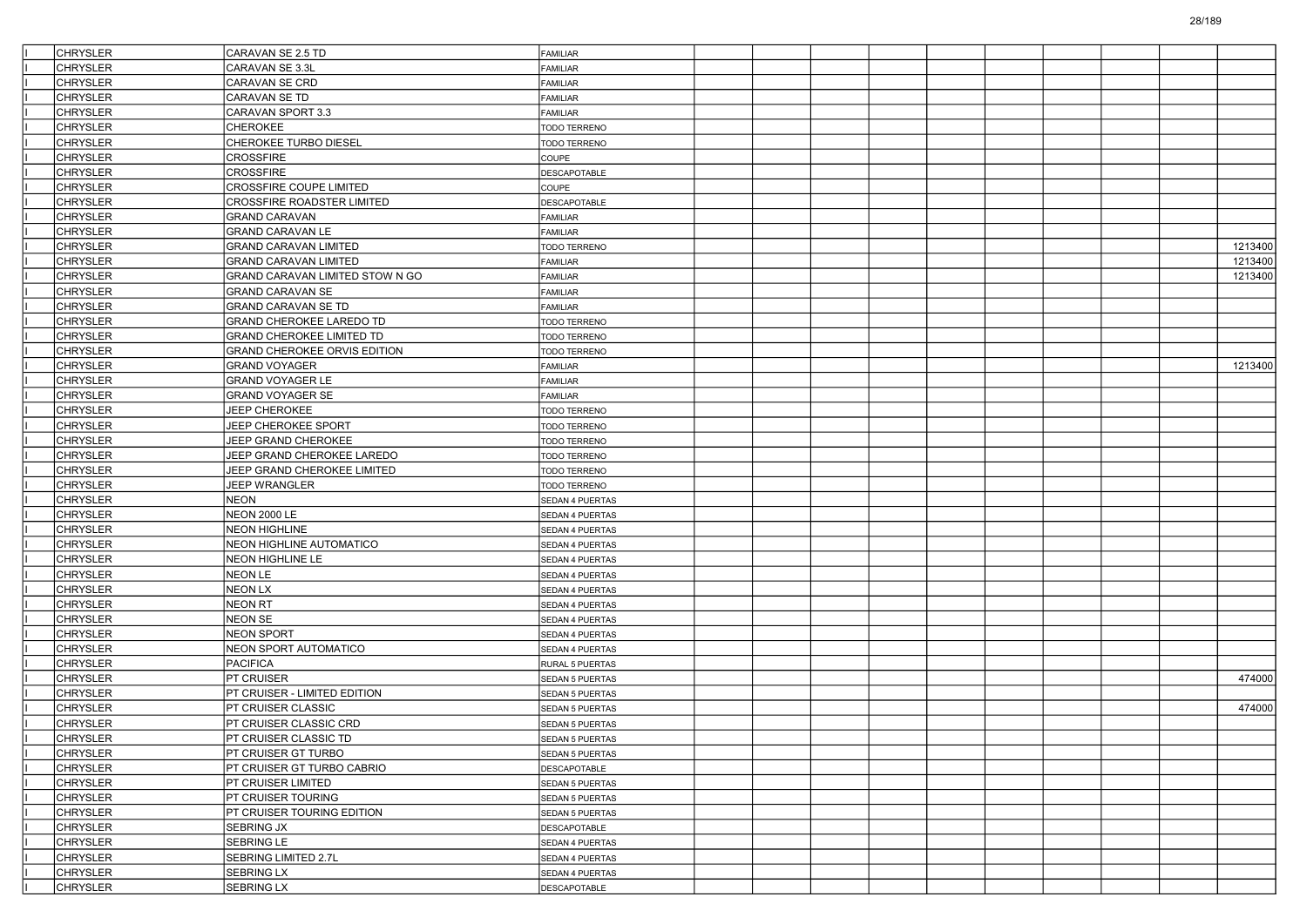| <b>CHRYSLER</b>                    | CARAVAN SE 2.5 TD                                       | FAMILIAR               |  |  |  |  |         |
|------------------------------------|---------------------------------------------------------|------------------------|--|--|--|--|---------|
| <b>CHRYSLER</b>                    | CARAVAN SE 3.3L                                         | FAMILIAR               |  |  |  |  |         |
| <b>CHRYSLER</b>                    | CARAVAN SE CRD                                          | FAMILIAR               |  |  |  |  |         |
| <b>CHRYSLER</b>                    | CARAVAN SE TD                                           | FAMILIAR               |  |  |  |  |         |
| <b>CHRYSLER</b>                    | CARAVAN SPORT 3.3                                       | FAMILIAR               |  |  |  |  |         |
| <b>CHRYSLER</b>                    | <b>CHEROKEE</b>                                         | TODO TERRENO           |  |  |  |  |         |
| <b>CHRYSLER</b>                    | CHEROKEE TURBO DIESEL                                   | TODO TERRENO           |  |  |  |  |         |
| <b>CHRYSLER</b>                    | <b>CROSSFIRE</b>                                        | <b>COUPE</b>           |  |  |  |  |         |
| <b>CHRYSLER</b>                    | <b>CROSSFIRE</b>                                        | DESCAPOTABLE           |  |  |  |  |         |
| <b>CHRYSLER</b>                    | CROSSFIRE COUPE LIMITED                                 | COUPE                  |  |  |  |  |         |
| <b>CHRYSLER</b>                    | <b>CROSSFIRE ROADSTER LIMITED</b>                       | DESCAPOTABLE           |  |  |  |  |         |
| <b>CHRYSLER</b>                    | <b>GRAND CARAVAN</b>                                    | FAMILIAR               |  |  |  |  |         |
| <b>CHRYSLER</b>                    | GRAND CARAVAN LE                                        | FAMILIAR               |  |  |  |  |         |
| <b>CHRYSLER</b>                    | GRAND CARAVAN LIMITED                                   | TODO TERRENO           |  |  |  |  | 1213400 |
| <b>CHRYSLER</b>                    | <b>GRAND CARAVAN LIMITED</b>                            | FAMILIAR               |  |  |  |  | 1213400 |
| <b>CHRYSLER</b>                    | GRAND CARAVAN LIMITED STOW N GO                         | FAMILIAR               |  |  |  |  | 1213400 |
| <b>CHRYSLER</b>                    | <b>GRAND CARAVAN SE</b>                                 | FAMILIAR               |  |  |  |  |         |
| <b>CHRYSLER</b>                    | GRAND CARAVAN SE TD                                     | FAMILIAR               |  |  |  |  |         |
| <b>CHRYSLER</b>                    | GRAND CHEROKEE LAREDO TD                                | <b>TODO TERRENO</b>    |  |  |  |  |         |
| <b>CHRYSLER</b>                    | <b>GRAND CHEROKEE LIMITED TD</b>                        | TODO TERRENO           |  |  |  |  |         |
| <b>CHRYSLER</b>                    | GRAND CHEROKEE ORVIS EDITION                            | <b>TODO TERRENO</b>    |  |  |  |  |         |
| <b>CHRYSLER</b>                    | <b>GRAND VOYAGER</b>                                    | FAMILIAR               |  |  |  |  | 1213400 |
| <b>CHRYSLER</b>                    | GRAND VOYAGER LE                                        | FAMILIAR               |  |  |  |  |         |
| <b>CHRYSLER</b>                    | GRAND VOYAGER SE                                        | FAMILIAR               |  |  |  |  |         |
| <b>CHRYSLER</b>                    | JEEP CHEROKEE                                           | TODO TERRENO           |  |  |  |  |         |
| <b>CHRYSLER</b>                    | JEEP CHEROKEE SPORT                                     | TODO TERRENO           |  |  |  |  |         |
| <b>CHRYSLER</b>                    | JEEP GRAND CHEROKEE                                     | TODO TERRENO           |  |  |  |  |         |
| <b>CHRYSLER</b>                    | JEEP GRAND CHEROKEE LAREDO                              | <b>TODO TERRENO</b>    |  |  |  |  |         |
| <b>CHRYSLER</b>                    | JEEP GRAND CHEROKEE LIMITED                             | <b>TODO TERRENO</b>    |  |  |  |  |         |
| <b>CHRYSLER</b>                    | JEEP WRANGLER                                           | TODO TERRENO           |  |  |  |  |         |
| <b>CHRYSLER</b>                    | <b>NEON</b>                                             | SEDAN 4 PUERTAS        |  |  |  |  |         |
| <b>CHRYSLER</b>                    | <b>NEON 2000 LE</b>                                     | <b>SEDAN 4 PUERTAS</b> |  |  |  |  |         |
| <b>CHRYSLER</b>                    | <b>NEON HIGHLINE</b>                                    | SEDAN 4 PUERTAS        |  |  |  |  |         |
| <b>CHRYSLER</b>                    | NEON HIGHLINE AUTOMATICO                                | SEDAN 4 PUERTAS        |  |  |  |  |         |
| <b>CHRYSLER</b>                    | NEON HIGHLINE LE                                        | SEDAN 4 PUERTAS        |  |  |  |  |         |
| <b>CHRYSLER</b>                    | NEON LE                                                 | SEDAN 4 PUERTAS        |  |  |  |  |         |
| <b>CHRYSLER</b>                    | <b>NEON LX</b>                                          | <b>SEDAN 4 PUERTAS</b> |  |  |  |  |         |
| <b>CHRYSLER</b>                    | NEON RT                                                 | SEDAN 4 PUERTAS        |  |  |  |  |         |
| <b>CHRYSLER</b>                    | NEON SE                                                 | SEDAN 4 PUERTAS        |  |  |  |  |         |
| <b>CHRYSLER</b>                    | NEON SPORT                                              | SEDAN 4 PUERTAS        |  |  |  |  |         |
| <b>CHRYSLER</b>                    | NEON SPORT AUTOMATICO                                   | SEDAN 4 PUERTAS        |  |  |  |  |         |
| <b>CHRYSLER</b>                    | <b>PACIFICA</b>                                         | <b>RURAL 5 PUERTAS</b> |  |  |  |  |         |
| <b>CHRYSLER</b>                    | PT CRUISER                                              | SEDAN 5 PUERTAS        |  |  |  |  | 474000  |
| <b>CHRYSLER</b>                    | PT CRUISER - LIMITED EDITION                            |                        |  |  |  |  |         |
| <b>CHRYSLER</b>                    | <b>PT CRUISER CLASSIC</b>                               | SEDAN 5 PUERTAS        |  |  |  |  | 474000  |
| <b>CHRYSLER</b>                    | PT CRUISER CLASSIC CRD                                  | SEDAN 5 PUERTAS        |  |  |  |  |         |
| <b>CHRYSLER</b>                    | PT CRUISER CLASSIC TD                                   | <b>SEDAN 5 PUERTAS</b> |  |  |  |  |         |
|                                    |                                                         | SEDAN 5 PUERTAS        |  |  |  |  |         |
| <b>CHRYSLER</b><br><b>CHRYSLER</b> | PT CRUISER GT TURBO                                     | SEDAN 5 PUERTAS        |  |  |  |  |         |
| <b>CHRYSLER</b>                    | PT CRUISER GT TURBO CABRIO<br><b>PT CRUISER LIMITED</b> | <b>DESCAPOTABLE</b>    |  |  |  |  |         |
| <b>CHRYSLER</b>                    |                                                         | SEDAN 5 PUERTAS        |  |  |  |  |         |
|                                    | <b>PT CRUISER TOURING</b>                               | SEDAN 5 PUERTAS        |  |  |  |  |         |
| <b>CHRYSLER</b>                    | PT CRUISER TOURING EDITION                              | SEDAN 5 PUERTAS        |  |  |  |  |         |
| <b>CHRYSLER</b>                    | SEBRING JX                                              | <b>DESCAPOTABLE</b>    |  |  |  |  |         |
| <b>CHRYSLER</b>                    | SEBRING LE                                              | SEDAN 4 PUERTAS        |  |  |  |  |         |
| <b>CHRYSLER</b>                    | SEBRING LIMITED 2.7L                                    | SEDAN 4 PUERTAS        |  |  |  |  |         |
| <b>CHRYSLER</b>                    | SEBRING LX                                              | SEDAN 4 PUERTAS        |  |  |  |  |         |
| <b>CHRYSLER</b>                    | SEBRING LX                                              | DESCAPOTABLE           |  |  |  |  |         |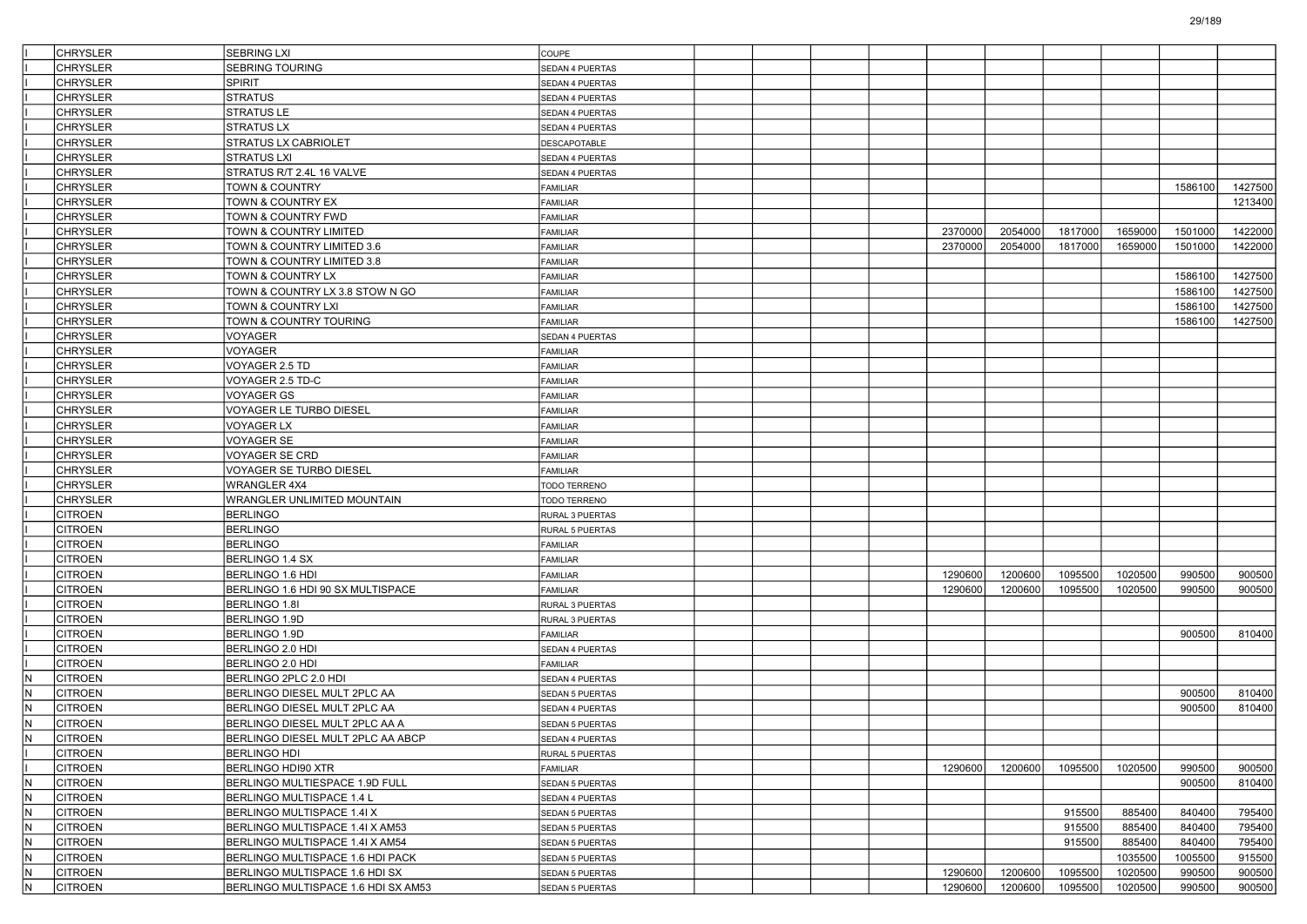|                | <b>CHRYSLER</b> | SEBRING LXI                         | COUPE                  |  |  |         |         |         |         |         |         |
|----------------|-----------------|-------------------------------------|------------------------|--|--|---------|---------|---------|---------|---------|---------|
|                | <b>CHRYSLER</b> | <b>SEBRING TOURING</b>              | <b>SEDAN 4 PUERTAS</b> |  |  |         |         |         |         |         |         |
|                | <b>CHRYSLER</b> | <b>SPIRIT</b>                       | SEDAN 4 PUERTAS        |  |  |         |         |         |         |         |         |
|                | <b>CHRYSLER</b> | <b>STRATUS</b>                      | <b>SEDAN 4 PUERTAS</b> |  |  |         |         |         |         |         |         |
|                | <b>CHRYSLER</b> | <b>STRATUS LE</b>                   | SEDAN 4 PUERTAS        |  |  |         |         |         |         |         |         |
|                | <b>CHRYSLER</b> | <b>STRATUS LX</b>                   | SEDAN 4 PUERTAS        |  |  |         |         |         |         |         |         |
|                | <b>CHRYSLER</b> | <b>STRATUS LX CABRIOLET</b>         | <b>DESCAPOTABLE</b>    |  |  |         |         |         |         |         |         |
|                | <b>CHRYSLER</b> | <b>STRATUS LXI</b>                  | <b>SEDAN 4 PUERTAS</b> |  |  |         |         |         |         |         |         |
|                | <b>CHRYSLER</b> | STRATUS R/T 2.4L 16 VALVE           | SEDAN 4 PUERTAS        |  |  |         |         |         |         |         |         |
|                | <b>CHRYSLER</b> | TOWN & COUNTRY                      | <b>FAMILIAR</b>        |  |  |         |         |         |         | 1586100 | 1427500 |
|                | <b>CHRYSLER</b> | TOWN & COUNTRY EX                   | FAMILIAR               |  |  |         |         |         |         |         | 1213400 |
|                | <b>CHRYSLER</b> | TOWN & COUNTRY FWD                  | <b>FAMILIAR</b>        |  |  |         |         |         |         |         |         |
|                | <b>CHRYSLER</b> | TOWN & COUNTRY LIMITED              | <b>FAMILIAR</b>        |  |  | 2370000 | 2054000 | 1817000 | 1659000 | 1501000 | 1422000 |
|                | <b>CHRYSLER</b> | TOWN & COUNTRY LIMITED 3.6          | <b>FAMILIAR</b>        |  |  | 2370000 | 2054000 | 1817000 | 1659000 | 1501000 | 1422000 |
|                | <b>CHRYSLER</b> | TOWN & COUNTRY LIMITED 3.8          | <b>FAMILIAR</b>        |  |  |         |         |         |         |         |         |
|                | <b>CHRYSLER</b> | TOWN & COUNTRY LX                   | FAMILIAR               |  |  |         |         |         |         | 1586100 | 1427500 |
|                | <b>CHRYSLER</b> | TOWN & COUNTRY LX 3.8 STOW N GO     | <b>FAMILIAR</b>        |  |  |         |         |         |         | 1586100 | 1427500 |
|                | <b>CHRYSLER</b> | TOWN & COUNTRY LXI                  | <b>FAMILIAR</b>        |  |  |         |         |         |         | 1586100 | 1427500 |
|                | <b>CHRYSLER</b> | TOWN & COUNTRY TOURING              | <b>FAMILIAR</b>        |  |  |         |         |         |         | 1586100 | 1427500 |
|                | <b>CHRYSLER</b> | VOYAGER                             | SEDAN 4 PUERTAS        |  |  |         |         |         |         |         |         |
|                |                 |                                     |                        |  |  |         |         |         |         |         |         |
|                | <b>CHRYSLER</b> | VOYAGER                             | FAMILIAR               |  |  |         |         |         |         |         |         |
|                | <b>CHRYSLER</b> | VOYAGER 2.5 TD                      | <b>FAMILIAR</b>        |  |  |         |         |         |         |         |         |
|                | <b>CHRYSLER</b> | VOYAGER 2.5 TD-C                    | <b>FAMILIAR</b>        |  |  |         |         |         |         |         |         |
|                | <b>CHRYSLER</b> | <b>VOYAGER GS</b>                   | <b>FAMILIAR</b>        |  |  |         |         |         |         |         |         |
|                | <b>CHRYSLER</b> | VOYAGER LE TURBO DIESEL             | <b>FAMILIAR</b>        |  |  |         |         |         |         |         |         |
|                | <b>CHRYSLER</b> | VOYAGER LX                          | FAMILIAR               |  |  |         |         |         |         |         |         |
|                | <b>CHRYSLER</b> | <b>VOYAGER SE</b>                   | <b>FAMILIAR</b>        |  |  |         |         |         |         |         |         |
|                | <b>CHRYSLER</b> | VOYAGER SE CRD                      | <b>FAMILIAR</b>        |  |  |         |         |         |         |         |         |
|                | <b>CHRYSLER</b> | VOYAGER SE TURBO DIESEL             | <b>FAMILIAR</b>        |  |  |         |         |         |         |         |         |
|                | <b>CHRYSLER</b> | <b>WRANGLER 4X4</b>                 | <b>TODO TERRENO</b>    |  |  |         |         |         |         |         |         |
|                | <b>CHRYSLER</b> | WRANGLER UNLIMITED MOUNTAIN         | <b>TODO TERRENO</b>    |  |  |         |         |         |         |         |         |
|                | <b>CITROEN</b>  | <b>BERLINGO</b>                     | RURAL 3 PUERTAS        |  |  |         |         |         |         |         |         |
|                | <b>CITROEN</b>  | <b>BERLINGO</b>                     | <b>RURAL 5 PUERTAS</b> |  |  |         |         |         |         |         |         |
|                | <b>CITROEN</b>  | <b>BERLINGO</b>                     | <b>FAMILIAR</b>        |  |  |         |         |         |         |         |         |
|                | <b>CITROEN</b>  | BERLINGO 1.4 SX                     | <b>FAMILIAR</b>        |  |  |         |         |         |         |         |         |
|                | <b>CITROEN</b>  | BERLINGO 1.6 HDI                    | FAMILIAR               |  |  | 1290600 | 1200600 | 1095500 | 1020500 | 990500  | 900500  |
|                | <b>CITROEN</b>  | BERLINGO 1.6 HDI 90 SX MULTISPACE   | <b>FAMILIAR</b>        |  |  | 1290600 | 1200600 | 1095500 | 1020500 | 990500  | 900500  |
|                | <b>CITROEN</b>  | BERLINGO 1.8I                       | RURAL 3 PUERTAS        |  |  |         |         |         |         |         |         |
|                | <b>CITROEN</b>  | BERLINGO 1.9D                       | RURAL 3 PUERTAS        |  |  |         |         |         |         |         |         |
|                | <b>CITROEN</b>  | <b>BERLINGO 1.9D</b>                | <b>FAMILIAR</b>        |  |  |         |         |         |         | 900500  | 810400  |
|                | <b>CITROEN</b>  | BERLINGO 2.0 HDI                    | SEDAN 4 PUERTAS        |  |  |         |         |         |         |         |         |
|                | <b>CITROEN</b>  | BERLINGO 2.0 HDI                    | <b>FAMILIAR</b>        |  |  |         |         |         |         |         |         |
| IN.            | <b>CITROEN</b>  | BERLINGO 2PLC 2.0 HDI               | SEDAN 4 PUERTAS        |  |  |         |         |         |         |         |         |
| IN.            | <b>CITROEN</b>  | BERLINGO DIESEL MULT 2PLC AA        | <b>SEDAN 5 PUERTAS</b> |  |  |         |         |         |         | 900500  | 810400  |
| IN.            | <b>CITROEN</b>  | BERLINGO DIESEL MULT 2PLC AA        | SEDAN 4 PUERTAS        |  |  |         |         |         |         | 900500  | 810400  |
| IN.            | <b>CITROEN</b>  | BERLINGO DIESEL MULT 2PLC AA A      | <b>SEDAN 5 PUERTAS</b> |  |  |         |         |         |         |         |         |
| $\overline{N}$ | <b>CITROEN</b>  | BERLINGO DIESEL MULT 2PLC AA ABCP   | SEDAN 4 PUERTAS        |  |  |         |         |         |         |         |         |
|                | <b>CITROEN</b>  | <b>BERLINGO HDI</b>                 | RURAL 5 PUERTAS        |  |  |         |         |         |         |         |         |
|                | <b>CITROEN</b>  | BERLINGO HDI90 XTR                  | FAMILIAR               |  |  | 1290600 | 1200600 | 1095500 | 1020500 | 990500  | 900500  |
| IN.            | <b>CITROEN</b>  | BERLINGO MULTIESPACE 1.9D FULL      | SEDAN 5 PUERTAS        |  |  |         |         |         |         | 900500  | 810400  |
| IN.            | <b>CITROEN</b>  | BERLINGO MULTISPACE 1.4 L           | SEDAN 4 PUERTAS        |  |  |         |         |         |         |         |         |
| İN.            | <b>CITROEN</b>  | BERLINGO MULTISPACE 1.4I X          | SEDAN 5 PUERTAS        |  |  |         |         | 915500  | 885400  | 840400  | 795400  |
| IN.            | <b>CITROEN</b>  | BERLINGO MULTISPACE 1.4I X AM53     | SEDAN 5 PUERTAS        |  |  |         |         | 915500  | 885400  | 840400  | 795400  |
| IN.            | <b>CITROEN</b>  | BERLINGO MULTISPACE 1.4I X AM54     | SEDAN 5 PUERTAS        |  |  |         |         | 915500  | 885400  | 840400  | 795400  |
| İN.            | <b>CITROEN</b>  | BERLINGO MULTISPACE 1.6 HDI PACK    | SEDAN 5 PUERTAS        |  |  |         |         |         | 1035500 | 1005500 | 915500  |
| IN.            | <b>CITROEN</b>  | BERLINGO MULTISPACE 1.6 HDI SX      | SEDAN 5 PUERTAS        |  |  | 1290600 | 1200600 | 1095500 | 1020500 | 990500  | 900500  |
| IN.            | <b>CITROEN</b>  | BERLINGO MULTISPACE 1.6 HDI SX AM53 | SEDAN 5 PUERTAS        |  |  | 1290600 | 1200600 | 1095500 | 1020500 | 990500  | 900500  |
|                |                 |                                     |                        |  |  |         |         |         |         |         |         |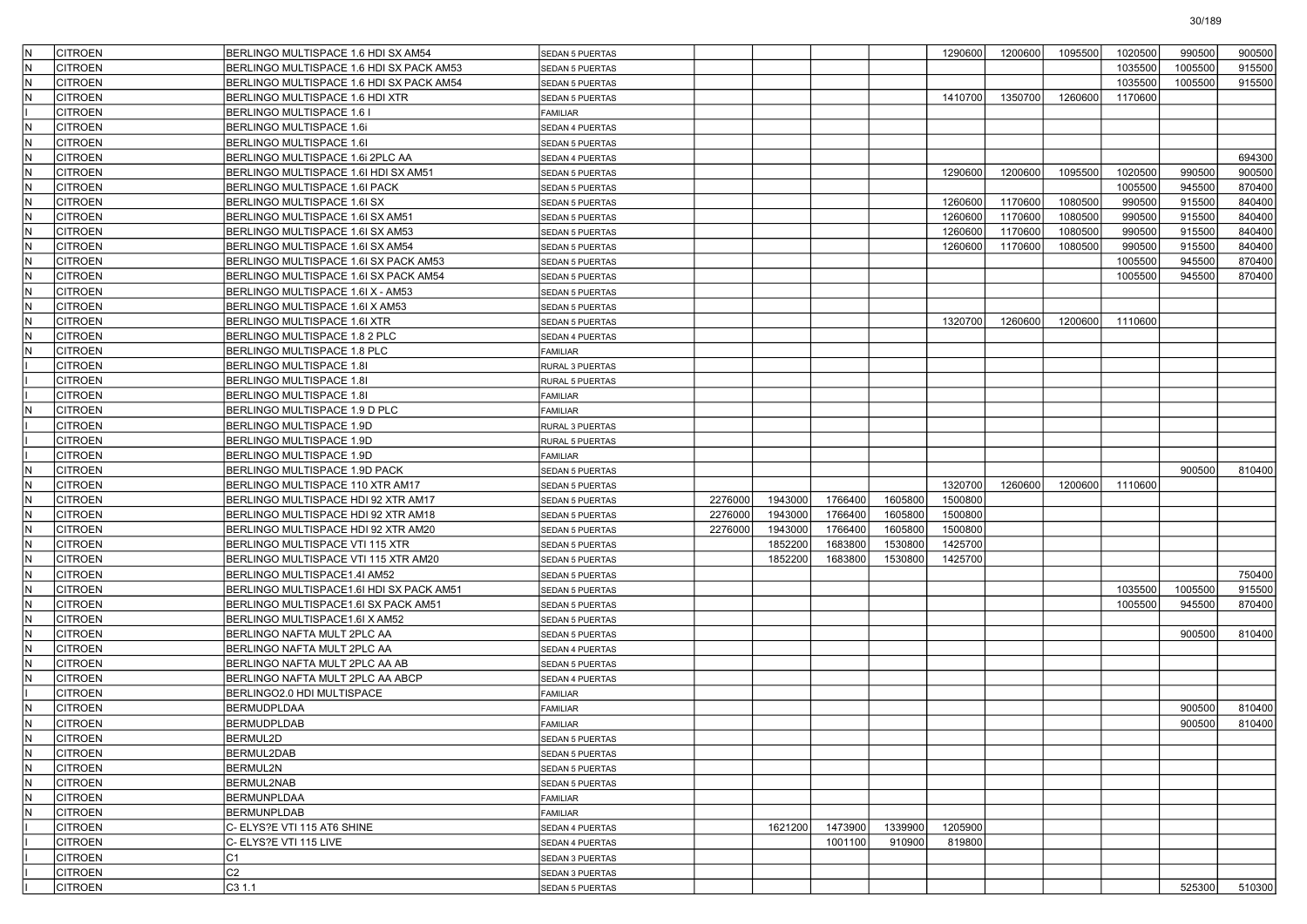| IN. | <b>CITROEN</b> | BERLINGO MULTISPACE 1.6 HDI SX AM54      | <b>SEDAN 5 PUERTAS</b> |         |         |         |         | 1290600 | 1200600 | 1095500 | 1020500 | 990500  | 900500 |
|-----|----------------|------------------------------------------|------------------------|---------|---------|---------|---------|---------|---------|---------|---------|---------|--------|
| lΝ  | CITROEN        | BERLINGO MULTISPACE 1.6 HDI SX PACK AM53 | SEDAN 5 PUERTAS        |         |         |         |         |         |         |         | 1035500 | 1005500 | 915500 |
| lN  | CITROEN        | BERLINGO MULTISPACE 1.6 HDI SX PACK AM54 | <b>SEDAN 5 PUERTAS</b> |         |         |         |         |         |         |         | 1035500 | 1005500 | 915500 |
| IN. | CITROEN        | BERLINGO MULTISPACE 1.6 HDI XTR          | SEDAN 5 PUERTAS        |         |         |         |         | 1410700 | 1350700 | 1260600 | 1170600 |         |        |
|     | CITROEN        | BERLINGO MULTISPACE 1.6 I                | <b>FAMILIAR</b>        |         |         |         |         |         |         |         |         |         |        |
| lN. | <b>CITROEN</b> | BERLINGO MULTISPACE 1.6i                 | SEDAN 4 PUERTAS        |         |         |         |         |         |         |         |         |         |        |
| lΝ  | <b>CITROEN</b> | BERLINGO MULTISPACE 1.6I                 | <b>SEDAN 5 PUERTAS</b> |         |         |         |         |         |         |         |         |         |        |
| IN. | CITROEN        | BERLINGO MULTISPACE 1.6i 2PLC AA         | SEDAN 4 PUERTAS        |         |         |         |         |         |         |         |         |         | 694300 |
| IN. | CITROEN        | BERLINGO MULTISPACE 1.6I HDI SX AM51     | SEDAN 5 PUERTAS        |         |         |         |         | 1290600 | 1200600 | 1095500 | 1020500 | 990500  | 900500 |
| IN. | CITROEN        | BERLINGO MULTISPACE 1.6I PACK            | SEDAN 5 PUERTAS        |         |         |         |         |         |         |         | 1005500 | 945500  | 870400 |
| lN. | <b>CITROEN</b> | BERLINGO MULTISPACE 1.6I SX              | SEDAN 5 PUERTAS        |         |         |         |         | 1260600 | 1170600 | 1080500 | 990500  | 915500  | 840400 |
| lΝ  | <b>CITROEN</b> | BERLINGO MULTISPACE 1.6I SX AM51         | <b>SEDAN 5 PUERTAS</b> |         |         |         |         | 1260600 | 1170600 | 1080500 | 990500  | 915500  | 840400 |
| IN. | CITROEN        | BERLINGO MULTISPACE 1.6I SX AM53         | SEDAN 5 PUERTAS        |         |         |         |         | 1260600 | 1170600 | 1080500 | 990500  | 915500  | 840400 |
| IN. | CITROEN        | BERLINGO MULTISPACE 1.6I SX AM54         | SEDAN 5 PUERTAS        |         |         |         |         | 1260600 | 1170600 | 1080500 | 990500  | 915500  | 840400 |
| IN. | CITROEN        | BERLINGO MULTISPACE 1.6I SX PACK AM53    | SEDAN 5 PUERTAS        |         |         |         |         |         |         |         | 1005500 | 945500  | 870400 |
| lN. | <b>CITROEN</b> | BERLINGO MULTISPACE 1.6I SX PACK AM54    | SEDAN 5 PUERTAS        |         |         |         |         |         |         |         | 1005500 | 945500  | 870400 |
| lΝ  | <b>CITROEN</b> | BERLINGO MULTISPACE 1.6I X - AM53        |                        |         |         |         |         |         |         |         |         |         |        |
| IN. | CITROEN        |                                          | <b>SEDAN 5 PUERTAS</b> |         |         |         |         |         |         |         |         |         |        |
| IN. |                | BERLINGO MULTISPACE 1.6I X AM53          | SEDAN 5 PUERTAS        |         |         |         |         | 1320700 | 1260600 | 1200600 |         |         |        |
| IN. | CITROEN        | BERLINGO MULTISPACE 1.6I XTR             | SEDAN 5 PUERTAS        |         |         |         |         |         |         |         | 1110600 |         |        |
|     | CITROEN        | BERLINGO MULTISPACE 1.8 2 PLC            | SEDAN 4 PUERTAS        |         |         |         |         |         |         |         |         |         |        |
| lN. | <b>CITROEN</b> | BERLINGO MULTISPACE 1.8 PLC              | FAMILIAR               |         |         |         |         |         |         |         |         |         |        |
|     | CITROEN        | BERLINGO MULTISPACE 1.8I                 | RURAL 3 PUERTAS        |         |         |         |         |         |         |         |         |         |        |
|     | CITROEN        | BERLINGO MULTISPACE 1.8I                 | RURAL 5 PUERTAS        |         |         |         |         |         |         |         |         |         |        |
|     | CITROEN        | BERLINGO MULTISPACE 1.8I                 | <b>FAMILIAR</b>        |         |         |         |         |         |         |         |         |         |        |
| N   | <b>CITROEN</b> | BERLINGO MULTISPACE 1.9 D PLC            | <b>FAMILIAR</b>        |         |         |         |         |         |         |         |         |         |        |
|     | <b>CITROEN</b> | BERLINGO MULTISPACE 1.9D                 | RURAL 3 PUERTAS        |         |         |         |         |         |         |         |         |         |        |
|     | <b>CITROEN</b> | BERLINGO MULTISPACE 1.9D                 | RURAL 5 PUERTAS        |         |         |         |         |         |         |         |         |         |        |
|     | CITROEN        | BERLINGO MULTISPACE 1.9D                 | <b>FAMILIAR</b>        |         |         |         |         |         |         |         |         |         |        |
| IN. | CITROEN        | BERLINGO MULTISPACE 1.9D PACK            | SEDAN 5 PUERTAS        |         |         |         |         |         |         |         |         | 900500  | 810400 |
| N   | CITROEN        | BERLINGO MULTISPACE 110 XTR AM17         | <b>SEDAN 5 PUERTAS</b> |         |         |         |         | 1320700 | 1260600 | 1200600 | 1110600 |         |        |
| lN. | <b>CITROEN</b> | BERLINGO MULTISPACE HDI 92 XTR AM17      | SEDAN 5 PUERTAS        | 2276000 | 1943000 | 1766400 | 1605800 | 1500800 |         |         |         |         |        |
| lΝ  | CITROEN        | BERLINGO MULTISPACE HDI 92 XTR AM18      | SEDAN 5 PUERTAS        | 2276000 | 1943000 | 1766400 | 1605800 | 1500800 |         |         |         |         |        |
| IN. | CITROEN        | BERLINGO MULTISPACE HDI 92 XTR AM20      | SEDAN 5 PUERTAS        | 2276000 | 1943000 | 1766400 | 1605800 | 1500800 |         |         |         |         |        |
| IN. | CITROEN        | BERLINGO MULTISPACE VTI 115 XTR          | SEDAN 5 PUERTAS        |         | 1852200 | 1683800 | 1530800 | 1425700 |         |         |         |         |        |
| N   | CITROEN        | BERLINGO MULTISPACE VTI 115 XTR AM20     | <b>SEDAN 5 PUERTAS</b> |         | 1852200 | 1683800 | 1530800 | 1425700 |         |         |         |         |        |
| lN. | <b>CITROEN</b> | BERLINGO MULTISPACE1.4I AM52             | SEDAN 5 PUERTAS        |         |         |         |         |         |         |         |         |         | 750400 |
| lΝ  | CITROEN        | BERLINGO MULTISPACE1.6I HDI SX PACK AM51 | SEDAN 5 PUERTAS        |         |         |         |         |         |         |         | 1035500 | 1005500 | 915500 |
| IN. | CITROEN        | BERLINGO MULTISPACE1.6I SX PACK AM51     | SEDAN 5 PUERTAS        |         |         |         |         |         |         |         | 1005500 | 945500  | 870400 |
| IN. | CITROEN        | BERLINGO MULTISPACE1.6I X AM52           | SEDAN 5 PUERTAS        |         |         |         |         |         |         |         |         |         |        |
| N   | CITROEN        | BERLINGO NAFTA MULT 2PLC AA              | <b>SEDAN 5 PUERTAS</b> |         |         |         |         |         |         |         |         | 900500  | 810400 |
| lN. | <b>CITROEN</b> | BERLINGO NAFTA MULT 2PLC AA              | SEDAN 4 PUERTAS        |         |         |         |         |         |         |         |         |         |        |
| N   | CITROEN        | BERLINGO NAFTA MULT 2PLC AA AB           | <b>SEDAN 5 PUERTAS</b> |         |         |         |         |         |         |         |         |         |        |
| lN  | CITROEN        | BERLINGO NAFTA MULT 2PLC AA ABCP         | SEDAN 4 PUERTAS        |         |         |         |         |         |         |         |         |         |        |
|     | CITROEN        | BERLINGO2.0 HDI MULTISPACE               | <b>FAMILIAR</b>        |         |         |         |         |         |         |         |         |         |        |
| N   | CITROEN        | <b>BERMUDPLDAA</b>                       | <b>FAMILIAR</b>        |         |         |         |         |         |         |         |         | 900500  | 810400 |
| IN. | <b>CITROEN</b> | <b>BERMUDPLDAB</b>                       | <b>FAMILIAR</b>        |         |         |         |         |         |         |         |         | 900500  | 810400 |
|     | <b>CITROEN</b> | BERMUL2D                                 | <b>SEDAN 5 PUERTAS</b> |         |         |         |         |         |         |         |         |         |        |
| IN. | <b>CITROEN</b> | BERMUL2DAB                               | SEDAN 5 PUERTAS        |         |         |         |         |         |         |         |         |         |        |
| N.  | <b>CITROEN</b> | BERMUL2N                                 | SEDAN 5 PUERTAS        |         |         |         |         |         |         |         |         |         |        |
| IN. | <b>CITROEN</b> | BERMUL2NAB                               | <b>SEDAN 5 PUERTAS</b> |         |         |         |         |         |         |         |         |         |        |
| N.  | <b>CITROEN</b> | <b>BERMUNPLDAA</b>                       | <b>FAMILIAR</b>        |         |         |         |         |         |         |         |         |         |        |
| IN. | <b>CITROEN</b> | <b>BERMUNPLDAB</b>                       | FAMILIAR               |         |         |         |         |         |         |         |         |         |        |
|     | <b>CITROEN</b> | C- ELYS?E VTI 115 AT6 SHINE              | SEDAN 4 PUERTAS        |         | 1621200 | 1473900 | 1339900 | 1205900 |         |         |         |         |        |
|     | <b>CITROEN</b> | C- ELYS?E VTI 115 LIVE                   | SEDAN 4 PUERTAS        |         |         | 1001100 | 910900  | 819800  |         |         |         |         |        |
|     | <b>CITROEN</b> | C <sub>1</sub>                           | SEDAN 3 PUERTAS        |         |         |         |         |         |         |         |         |         |        |
|     | <b>CITROEN</b> | C <sub>2</sub>                           | SEDAN 3 PUERTAS        |         |         |         |         |         |         |         |         |         |        |
|     | <b>CITROEN</b> | C3 1.1                                   | SEDAN 5 PUERTAS        |         |         |         |         |         |         |         |         | 525300  | 510300 |
|     |                |                                          |                        |         |         |         |         |         |         |         |         |         |        |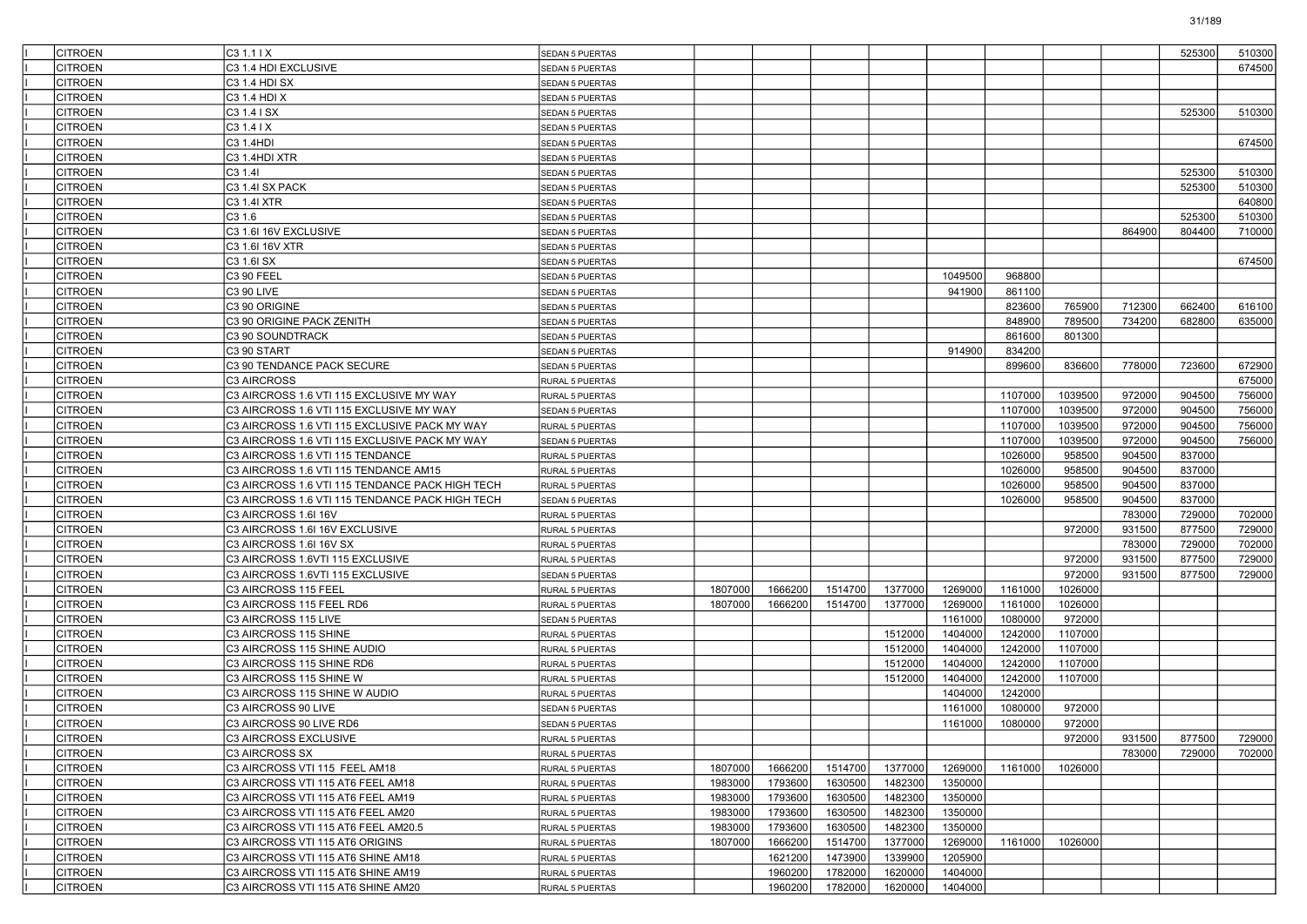| <b>CITROEN</b> | C31.11X                                         | <b>SEDAN 5 PUERTAS</b> |         |         |         |         |         |         |         |        | 525300 | 510300 |
|----------------|-------------------------------------------------|------------------------|---------|---------|---------|---------|---------|---------|---------|--------|--------|--------|
| <b>CITROEN</b> | C3 1.4 HDI EXCLUSIVE                            | SEDAN 5 PUERTAS        |         |         |         |         |         |         |         |        |        | 674500 |
| <b>CITROEN</b> | C3 1.4 HDI SX                                   | <b>SEDAN 5 PUERTAS</b> |         |         |         |         |         |         |         |        |        |        |
| <b>CITROEN</b> | C3 1.4 HDI X                                    | <b>SEDAN 5 PUERTAS</b> |         |         |         |         |         |         |         |        |        |        |
| <b>CITROEN</b> | C3 1.4 I SX                                     | <b>SEDAN 5 PUERTAS</b> |         |         |         |         |         |         |         |        | 525300 | 510300 |
| <b>CITROEN</b> | C3 1.4 I X                                      | <b>SEDAN 5 PUERTAS</b> |         |         |         |         |         |         |         |        |        |        |
| <b>CITROEN</b> | C3 1.4HDI                                       | <b>SEDAN 5 PUERTAS</b> |         |         |         |         |         |         |         |        |        | 674500 |
| <b>CITROEN</b> | C3 1.4HDI XTR                                   | <b>SEDAN 5 PUERTAS</b> |         |         |         |         |         |         |         |        |        |        |
| <b>CITROEN</b> | C3 1.41                                         | <b>SEDAN 5 PUERTAS</b> |         |         |         |         |         |         |         |        | 525300 | 510300 |
| <b>CITROEN</b> | C3 1.4I SX PACK                                 | <b>SEDAN 5 PUERTAS</b> |         |         |         |         |         |         |         |        | 525300 | 510300 |
| <b>CITROEN</b> | C3 1.4I XTR                                     | <b>SEDAN 5 PUERTAS</b> |         |         |         |         |         |         |         |        |        | 640800 |
| <b>CITROEN</b> | C3 1.6                                          | <b>SEDAN 5 PUERTAS</b> |         |         |         |         |         |         |         |        | 525300 | 510300 |
| <b>CITROEN</b> | C3 1.6I 16V EXCLUSIVE                           | <b>SEDAN 5 PUERTAS</b> |         |         |         |         |         |         |         | 864900 | 804400 | 710000 |
| <b>CITROEN</b> | C3 1.6I 16V XTR                                 | <b>SEDAN 5 PUERTAS</b> |         |         |         |         |         |         |         |        |        |        |
| <b>CITROEN</b> | C3 1.6I SX                                      | <b>SEDAN 5 PUERTAS</b> |         |         |         |         |         |         |         |        |        | 674500 |
| <b>CITROEN</b> | C3 90 FEEL                                      | <b>SEDAN 5 PUERTAS</b> |         |         |         |         | 1049500 | 968800  |         |        |        |        |
| <b>CITROEN</b> | C3 90 LIVE                                      | <b>SEDAN 5 PUERTAS</b> |         |         |         |         | 941900  | 861100  |         |        |        |        |
| <b>CITROEN</b> | C3 90 ORIGINE                                   | <b>SEDAN 5 PUERTAS</b> |         |         |         |         |         | 823600  | 765900  | 712300 | 662400 | 616100 |
| <b>CITROEN</b> | C3 90 ORIGINE PACK ZENITH                       | <b>SEDAN 5 PUERTAS</b> |         |         |         |         |         | 848900  | 789500  | 734200 | 682800 | 635000 |
| <b>CITROEN</b> | C3 90 SOUNDTRACK                                | <b>SEDAN 5 PUERTAS</b> |         |         |         |         |         | 861600  | 801300  |        |        |        |
| <b>CITROEN</b> | C3 90 START                                     | <b>SEDAN 5 PUERTAS</b> |         |         |         |         | 914900  | 834200  |         |        |        |        |
| <b>CITROEN</b> | C3 90 TENDANCE PACK SECURE                      | <b>SEDAN 5 PUERTAS</b> |         |         |         |         |         | 899600  | 836600  | 778000 | 723600 | 672900 |
| <b>CITROEN</b> | C3 AIRCROSS                                     | <b>RURAL 5 PUERTAS</b> |         |         |         |         |         |         |         |        |        | 675000 |
| <b>CITROEN</b> | C3 AIRCROSS 1.6 VTI 115 EXCLUSIVE MY WAY        | <b>RURAL 5 PUERTAS</b> |         |         |         |         |         | 1107000 | 1039500 | 972000 | 904500 | 756000 |
| <b>CITROEN</b> | C3 AIRCROSS 1.6 VTI 115 EXCLUSIVE MY WAY        | SEDAN 5 PUERTAS        |         |         |         |         |         | 1107000 | 1039500 | 972000 | 904500 | 756000 |
| <b>CITROEN</b> | C3 AIRCROSS 1.6 VTI 115 EXCLUSIVE PACK MY WAY   | RURAL 5 PUERTAS        |         |         |         |         |         | 1107000 | 1039500 | 972000 | 904500 | 756000 |
| <b>CITROEN</b> | C3 AIRCROSS 1.6 VTI 115 EXCLUSIVE PACK MY WAY   | <b>SEDAN 5 PUERTAS</b> |         |         |         |         |         | 1107000 | 1039500 | 972000 | 904500 | 756000 |
| <b>CITROEN</b> | C3 AIRCROSS 1.6 VTI 115 TENDANCE                | <b>RURAL 5 PUERTAS</b> |         |         |         |         |         | 1026000 | 958500  | 904500 | 837000 |        |
| <b>CITROEN</b> | C3 AIRCROSS 1.6 VTI 115 TENDANCE AM15           | <b>RURAL 5 PUERTAS</b> |         |         |         |         |         | 1026000 | 958500  | 904500 | 837000 |        |
| <b>CITROEN</b> | C3 AIRCROSS 1.6 VTI 115 TENDANCE PACK HIGH TECH | RURAL 5 PUERTAS        |         |         |         |         |         | 1026000 | 958500  | 904500 | 837000 |        |
| <b>CITROEN</b> | C3 AIRCROSS 1.6 VTI 115 TENDANCE PACK HIGH TECH | <b>SEDAN 5 PUERTAS</b> |         |         |         |         |         | 1026000 | 958500  | 904500 | 837000 |        |
| <b>CITROEN</b> | C3 AIRCROSS 1.6I 16V                            | RURAL 5 PUERTAS        |         |         |         |         |         |         |         | 783000 | 729000 | 702000 |
| <b>CITROEN</b> | C3 AIRCROSS 1.6I 16V EXCLUSIVE                  | <b>RURAL 5 PUERTAS</b> |         |         |         |         |         |         | 972000  | 931500 | 877500 | 729000 |
| <b>CITROEN</b> | C3 AIRCROSS 1.6I 16V SX                         | <b>RURAL 5 PUERTAS</b> |         |         |         |         |         |         |         | 783000 | 729000 | 702000 |
| <b>CITROEN</b> | C3 AIRCROSS 1.6VTI 115 EXCLUSIVE                | RURAL 5 PUERTAS        |         |         |         |         |         |         | 972000  | 931500 | 877500 | 729000 |
| <b>CITROEN</b> | C3 AIRCROSS 1.6VTI 115 EXCLUSIVE                | <b>SEDAN 5 PUERTAS</b> |         |         |         |         |         |         | 972000  | 931500 | 877500 | 729000 |
| <b>CITROEN</b> | C3 AIRCROSS 115 FEEL                            | RURAL 5 PUERTAS        | 1807000 | 1666200 | 1514700 | 1377000 | 1269000 | 1161000 | 1026000 |        |        |        |
| <b>CITROEN</b> | C3 AIRCROSS 115 FEEL RD6                        | <b>RURAL 5 PUERTAS</b> | 1807000 | 1666200 | 1514700 | 1377000 | 1269000 | 1161000 | 1026000 |        |        |        |
| <b>CITROEN</b> | C3 AIRCROSS 115 LIVE                            | <b>SEDAN 5 PUERTAS</b> |         |         |         |         | 1161000 | 1080000 | 972000  |        |        |        |
| <b>CITROEN</b> | C3 AIRCROSS 115 SHINE                           | RURAL 5 PUERTAS        |         |         |         | 1512000 | 1404000 | 1242000 | 1107000 |        |        |        |
| <b>CITROEN</b> | C3 AIRCROSS 115 SHINE AUDIO                     | <b>RURAL 5 PUERTAS</b> |         |         |         | 1512000 | 1404000 | 1242000 | 1107000 |        |        |        |
| <b>CITROEN</b> | C3 AIRCROSS 115 SHINE RD6                       | RURAL 5 PUERTAS        |         |         |         | 1512000 | 1404000 | 1242000 | 1107000 |        |        |        |
| <b>CITROEN</b> | C3 AIRCROSS 115 SHINE W                         | <b>RURAL 5 PUERTAS</b> |         |         |         | 1512000 | 1404000 | 1242000 | 1107000 |        |        |        |
| <b>CITROEN</b> | C3 AIRCROSS 115 SHINE W AUDIO                   | <b>RURAL 5 PUERTAS</b> |         |         |         |         | 1404000 | 1242000 |         |        |        |        |
| <b>CITROEN</b> | C3 AIRCROSS 90 LIVE                             | SEDAN 5 PUERTAS        |         |         |         |         | 1161000 | 1080000 | 972000  |        |        |        |
| <b>CITROEN</b> | C3 AIRCROSS 90 LIVE RD6                         | <b>SEDAN 5 PUERTAS</b> |         |         |         |         | 1161000 | 1080000 | 972000  |        |        |        |
| <b>CITROEN</b> | C3 AIRCROSS EXCLUSIVE                           | RURAL 5 PUERTAS        |         |         |         |         |         |         | 972000  | 931500 | 877500 | 729000 |
| <b>CITROEN</b> | C3 AIRCROSS SX                                  | RURAL 5 PUERTAS        |         |         |         |         |         |         |         | 783000 | 729000 | 702000 |
| <b>CITROEN</b> | C3 AIRCROSS VTI 115 FEEL AM18                   | RURAL 5 PUERTAS        | 1807000 | 1666200 | 1514700 | 1377000 | 1269000 | 1161000 | 1026000 |        |        |        |
| <b>CITROEN</b> | C3 AIRCROSS VTI 115 AT6 FEEL AM18               | RURAL 5 PUERTAS        | 1983000 | 1793600 | 1630500 | 1482300 | 1350000 |         |         |        |        |        |
| <b>CITROEN</b> | C3 AIRCROSS VTI 115 AT6 FEEL AM19               | RURAL 5 PUERTAS        | 1983000 | 1793600 | 1630500 | 1482300 | 1350000 |         |         |        |        |        |
| <b>CITROEN</b> | C3 AIRCROSS VTI 115 AT6 FEEL AM20               | RURAL 5 PUERTAS        | 1983000 | 1793600 | 1630500 | 1482300 | 1350000 |         |         |        |        |        |
| <b>CITROEN</b> | C3 AIRCROSS VTI 115 AT6 FEEL AM20.5             | RURAL 5 PUERTAS        | 1983000 | 1793600 | 1630500 | 1482300 | 1350000 |         |         |        |        |        |
| <b>CITROEN</b> | C3 AIRCROSS VTI 115 AT6 ORIGINS                 | RURAL 5 PUERTAS        | 1807000 | 1666200 | 1514700 | 1377000 | 1269000 | 1161000 | 1026000 |        |        |        |
| <b>CITROEN</b> | C3 AIRCROSS VTI 115 AT6 SHINE AM18              | RURAL 5 PUERTAS        |         | 1621200 | 1473900 | 1339900 | 1205900 |         |         |        |        |        |
| <b>CITROEN</b> | C3 AIRCROSS VTI 115 AT6 SHINE AM19              | RURAL 5 PUERTAS        |         | 1960200 | 1782000 | 1620000 | 1404000 |         |         |        |        |        |
| <b>CITROEN</b> | C3 AIRCROSS VTI 115 AT6 SHINE AM20              | RURAL 5 PUERTAS        |         | 1960200 | 1782000 | 1620000 | 1404000 |         |         |        |        |        |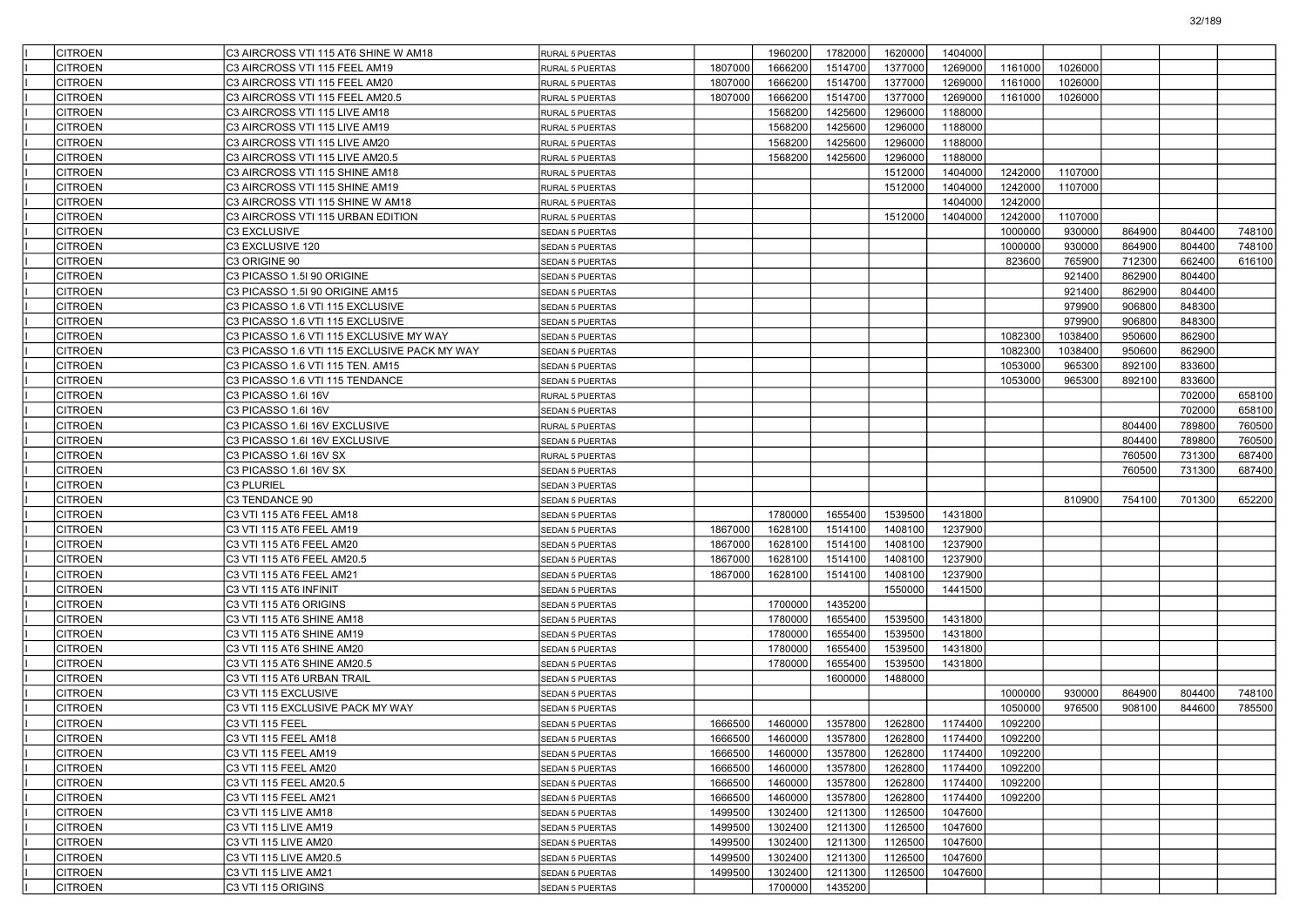| <b>CITROEN</b> | C3 AIRCROSS VTI 115 AT6 SHINE W AM18         | RURAL 5 PUERTAS        |         | 1960200 | 1782000 | 1620000 | 1404000 |         |         |        |        |        |
|----------------|----------------------------------------------|------------------------|---------|---------|---------|---------|---------|---------|---------|--------|--------|--------|
| <b>CITROEN</b> | C3 AIRCROSS VTI 115 FEEL AM19                | RURAL 5 PUERTAS        | 1807000 | 1666200 | 1514700 | 1377000 | 1269000 | 1161000 | 1026000 |        |        |        |
| <b>CITROEN</b> | C3 AIRCROSS VTI 115 FEEL AM20                | RURAL 5 PUERTAS        | 1807000 | 1666200 | 1514700 | 1377000 | 1269000 | 1161000 | 1026000 |        |        |        |
| <b>CITROEN</b> | C3 AIRCROSS VTI 115 FEEL AM20.5              | RURAL 5 PUERTAS        | 1807000 | 1666200 | 1514700 | 1377000 | 1269000 | 1161000 | 1026000 |        |        |        |
| <b>CITROEN</b> | C3 AIRCROSS VTI 115 LIVE AM18                | RURAL 5 PUERTAS        |         | 1568200 | 1425600 | 1296000 | 1188000 |         |         |        |        |        |
| <b>CITROEN</b> | C3 AIRCROSS VTI 115 LIVE AM19                | RURAL 5 PUERTAS        |         | 1568200 | 1425600 | 1296000 | 1188000 |         |         |        |        |        |
| <b>CITROEN</b> | C3 AIRCROSS VTI 115 LIVE AM20                | RURAL 5 PUERTAS        |         | 1568200 | 1425600 | 1296000 | 1188000 |         |         |        |        |        |
| <b>CITROEN</b> | C3 AIRCROSS VTI 115 LIVE AM20.5              | RURAL 5 PUERTAS        |         | 1568200 | 1425600 | 1296000 | 1188000 |         |         |        |        |        |
| <b>CITROEN</b> | C3 AIRCROSS VTI 115 SHINE AM18               | RURAL 5 PUERTAS        |         |         |         | 1512000 | 1404000 | 1242000 | 1107000 |        |        |        |
| <b>CITROEN</b> | C3 AIRCROSS VTI 115 SHINE AM19               | RURAL 5 PUERTAS        |         |         |         | 1512000 | 1404000 | 1242000 | 1107000 |        |        |        |
| <b>CITROEN</b> | C3 AIRCROSS VTI 115 SHINE W AM18             | RURAL 5 PUERTAS        |         |         |         |         | 1404000 | 1242000 |         |        |        |        |
| <b>CITROEN</b> | C3 AIRCROSS VTI 115 URBAN EDITION            | RURAL 5 PUERTAS        |         |         |         | 1512000 | 1404000 | 1242000 | 1107000 |        |        |        |
| <b>CITROEN</b> | <b>C3 EXCLUSIVE</b>                          | SEDAN 5 PUERTAS        |         |         |         |         |         | 1000000 | 930000  | 864900 | 804400 | 748100 |
| <b>CITROEN</b> | C3 EXCLUSIVE 120                             | SEDAN 5 PUERTAS        |         |         |         |         |         | 1000000 | 930000  | 864900 | 804400 | 748100 |
| <b>CITROEN</b> | C3 ORIGINE 90                                | SEDAN 5 PUERTAS        |         |         |         |         |         | 823600  | 765900  | 712300 | 662400 | 616100 |
| <b>CITROEN</b> | C3 PICASSO 1.5I 90 ORIGINE                   | SEDAN 5 PUERTAS        |         |         |         |         |         |         | 921400  | 862900 | 804400 |        |
| <b>CITROEN</b> | C3 PICASSO 1.5I 90 ORIGINE AM15              | <b>SEDAN 5 PUERTAS</b> |         |         |         |         |         |         | 921400  | 862900 | 804400 |        |
| <b>CITROEN</b> | C3 PICASSO 1.6 VTI 115 EXCLUSIVE             | SEDAN 5 PUERTAS        |         |         |         |         |         |         | 979900  | 906800 | 848300 |        |
| <b>CITROEN</b> | C3 PICASSO 1.6 VTI 115 EXCLUSIVE             | SEDAN 5 PUERTAS        |         |         |         |         |         |         | 979900  | 906800 | 848300 |        |
| <b>CITROEN</b> | C3 PICASSO 1.6 VTI 115 EXCLUSIVE MY WAY      | SEDAN 5 PUERTAS        |         |         |         |         |         | 1082300 | 1038400 | 950600 | 862900 |        |
| <b>CITROEN</b> | C3 PICASSO 1.6 VTI 115 EXCLUSIVE PACK MY WAY | SEDAN 5 PUERTAS        |         |         |         |         |         | 1082300 | 1038400 | 950600 | 862900 |        |
| <b>CITROEN</b> | C3 PICASSO 1.6 VTI 115 TEN. AM15             | <b>SEDAN 5 PUERTAS</b> |         |         |         |         |         | 1053000 | 965300  | 892100 | 833600 |        |
| <b>CITROEN</b> | C3 PICASSO 1.6 VTI 115 TENDANCE              | <b>SEDAN 5 PUERTAS</b> |         |         |         |         |         | 1053000 | 965300  | 892100 | 833600 |        |
| <b>CITROEN</b> | C3 PICASSO 1.6I 16V                          | RURAL 5 PUERTAS        |         |         |         |         |         |         |         |        | 702000 | 658100 |
| <b>CITROEN</b> | C3 PICASSO 1.6I 16V                          | SEDAN 5 PUERTAS        |         |         |         |         |         |         |         |        | 702000 | 658100 |
| <b>CITROEN</b> | C3 PICASSO 1.6I 16V EXCLUSIVE                | RURAL 5 PUERTAS        |         |         |         |         |         |         |         | 804400 | 789800 | 760500 |
| <b>CITROEN</b> | C3 PICASSO 1.6I 16V EXCLUSIVE                | SEDAN 5 PUERTAS        |         |         |         |         |         |         |         | 804400 | 789800 | 760500 |
| <b>CITROEN</b> | C3 PICASSO 1.6I 16V SX                       | RURAL 5 PUERTAS        |         |         |         |         |         |         |         | 760500 | 731300 | 687400 |
| <b>CITROEN</b> | C3 PICASSO 1.6I 16V SX                       | SEDAN 5 PUERTAS        |         |         |         |         |         |         |         | 760500 | 731300 | 687400 |
| <b>CITROEN</b> | C3 PLURIEL                                   | SEDAN 3 PUERTAS        |         |         |         |         |         |         |         |        |        |        |
| <b>CITROEN</b> | C3 TENDANCE 90                               | SEDAN 5 PUERTAS        |         |         |         |         |         |         | 810900  | 754100 | 701300 | 652200 |
| <b>CITROEN</b> | C3 VTI 115 AT6 FEEL AM18                     | SEDAN 5 PUERTAS        |         | 1780000 | 1655400 | 1539500 | 1431800 |         |         |        |        |        |
| <b>CITROEN</b> | C3 VTI 115 AT6 FEEL AM19                     | <b>SEDAN 5 PUERTAS</b> | 1867000 | 1628100 | 1514100 | 1408100 | 1237900 |         |         |        |        |        |
| <b>CITROEN</b> | C3 VTI 115 AT6 FEEL AM20                     | SEDAN 5 PUERTAS        | 1867000 | 1628100 | 1514100 | 1408100 | 1237900 |         |         |        |        |        |
| <b>CITROEN</b> | C3 VTI 115 AT6 FEEL AM20.5                   | <b>SEDAN 5 PUERTAS</b> | 1867000 | 1628100 | 1514100 | 1408100 | 1237900 |         |         |        |        |        |
| <b>CITROEN</b> | C3 VTI 115 AT6 FEEL AM21                     | SEDAN 5 PUERTAS        | 1867000 | 1628100 | 1514100 | 1408100 | 1237900 |         |         |        |        |        |
| <b>CITROEN</b> | C3 VTI 115 AT6 INFINIT                       | SEDAN 5 PUERTAS        |         |         |         | 1550000 | 1441500 |         |         |        |        |        |
| <b>CITROEN</b> | C3 VTI 115 AT6 ORIGINS                       | <b>SEDAN 5 PUERTAS</b> |         | 1700000 | 1435200 |         |         |         |         |        |        |        |
| <b>CITROEN</b> | C3 VTI 115 AT6 SHINE AM18                    | SEDAN 5 PUERTAS        |         | 1780000 | 1655400 | 1539500 | 1431800 |         |         |        |        |        |
| <b>CITROEN</b> | C3 VTI 115 AT6 SHINE AM19                    | <b>SEDAN 5 PUERTAS</b> |         | 1780000 | 1655400 | 1539500 | 1431800 |         |         |        |        |        |
| <b>CITROEN</b> | C3 VTI 115 AT6 SHINE AM20                    | <b>SEDAN 5 PUERTAS</b> |         | 1780000 | 1655400 | 1539500 | 1431800 |         |         |        |        |        |
| <b>CITROEN</b> | C3 VTI 115 AT6 SHINE AM20.5                  | SEDAN 5 PUERTAS        |         | 1780000 | 1655400 | 1539500 | 1431800 |         |         |        |        |        |
| <b>CITROEN</b> | C3 VTI 115 AT6 URBAN TRAIL                   | <b>SEDAN 5 PUERTAS</b> |         |         | 1600000 | 1488000 |         |         |         |        |        |        |
| <b>CITROEN</b> | IC3 VTI 115 EXCLUSIVE                        | <b>SEDAN 5 PUERTAS</b> |         |         |         |         |         | 1000000 | 930000  | 864900 | 804400 | 748100 |
| <b>CITROEN</b> | C3 VTI 115 EXCLUSIVE PACK MY WAY             | <b>SEDAN 5 PUERTAS</b> |         |         |         |         |         | 1050000 | 976500  | 908100 | 844600 | 785500 |
| <b>CITROEN</b> | C3 VTI 115 FEEL                              | <b>SEDAN 5 PUERTAS</b> | 1666500 | 1460000 | 1357800 | 1262800 | 1174400 | 1092200 |         |        |        |        |
| <b>CITROEN</b> | C3 VTI 115 FEEL AM18                         | SEDAN 5 PUERTAS        | 1666500 | 1460000 | 1357800 | 1262800 | 1174400 | 1092200 |         |        |        |        |
| <b>CITROEN</b> | C3 VTI 115 FEEL AM19                         | <b>SEDAN 5 PUERTAS</b> | 1666500 | 1460000 | 1357800 | 1262800 | 1174400 | 1092200 |         |        |        |        |
| <b>CITROEN</b> | C3 VTI 115 FEEL AM20                         | SEDAN 5 PUERTAS        | 1666500 | 1460000 | 1357800 | 1262800 | 1174400 | 1092200 |         |        |        |        |
| <b>CITROEN</b> | C3 VTI 115 FEEL AM20.5                       | <b>SEDAN 5 PUERTAS</b> | 1666500 | 1460000 | 1357800 | 1262800 | 1174400 | 1092200 |         |        |        |        |
| <b>CITROEN</b> | C3 VTI 115 FEEL AM21                         | <b>SEDAN 5 PUERTAS</b> | 1666500 | 1460000 | 1357800 | 1262800 | 1174400 | 1092200 |         |        |        |        |
| <b>CITROEN</b> | C3 VTI 115 LIVE AM18                         | SEDAN 5 PUERTAS        | 1499500 | 1302400 | 1211300 | 1126500 | 1047600 |         |         |        |        |        |
| <b>CITROEN</b> | C3 VTI 115 LIVE AM19                         | SEDAN 5 PUERTAS        | 1499500 | 1302400 | 1211300 | 1126500 | 1047600 |         |         |        |        |        |
| <b>CITROEN</b> | C3 VTI 115 LIVE AM20                         | SEDAN 5 PUERTAS        | 1499500 | 1302400 | 1211300 | 1126500 | 1047600 |         |         |        |        |        |
| <b>CITROEN</b> | C3 VTI 115 LIVE AM20.5                       | <b>SEDAN 5 PUERTAS</b> | 1499500 | 1302400 | 1211300 | 1126500 | 1047600 |         |         |        |        |        |
| <b>CITROEN</b> | C3 VTI 115 LIVE AM21                         | <b>SEDAN 5 PUERTAS</b> | 1499500 | 1302400 | 1211300 | 1126500 | 1047600 |         |         |        |        |        |
| <b>CITROEN</b> | C3 VTI 115 ORIGINS                           | SEDAN 5 PUERTAS        |         | 1700000 | 1435200 |         |         |         |         |        |        |        |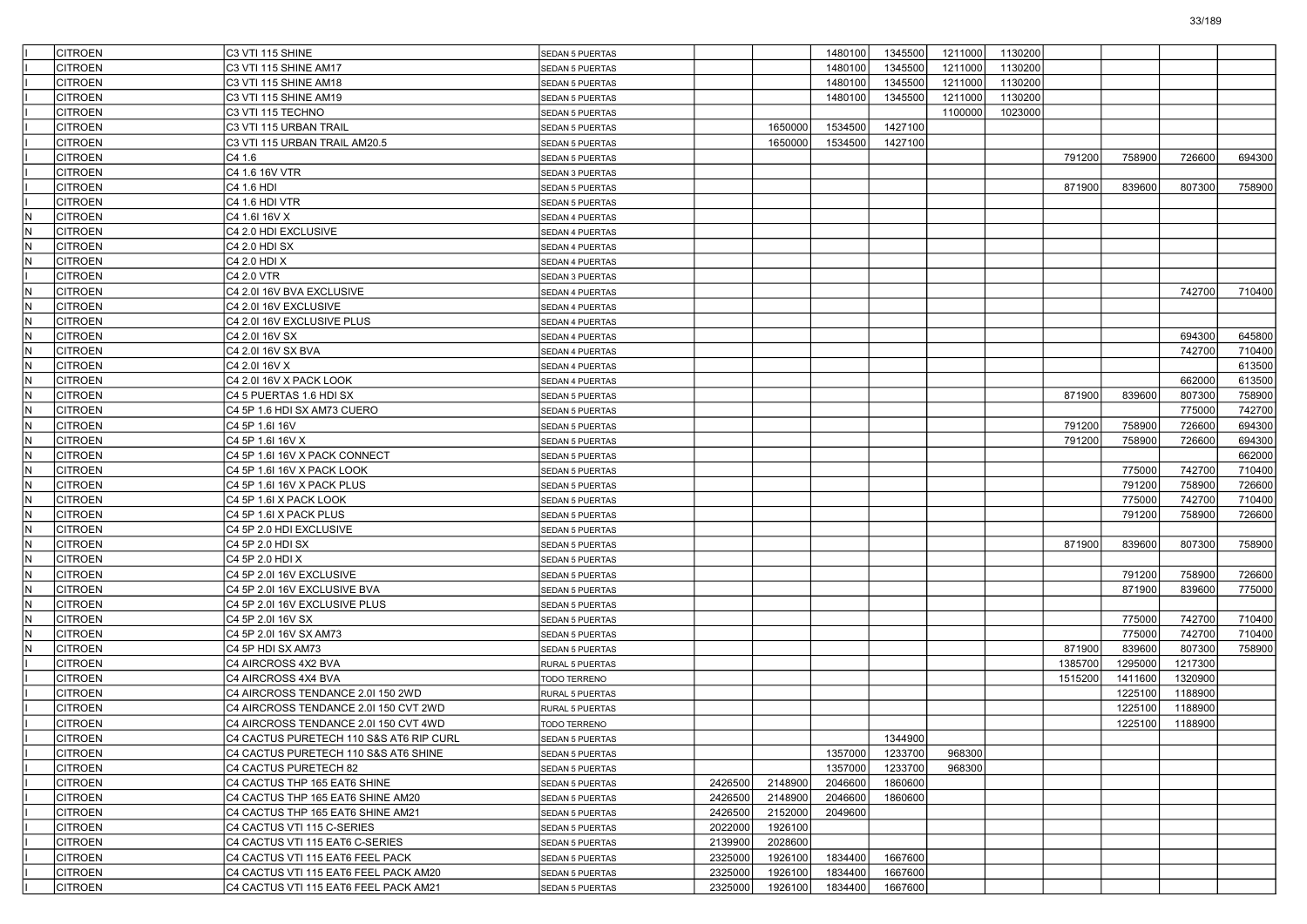|     | CITROEN        | C3 VTI 115 SHINE                        | <b>SEDAN 5 PUERTAS</b> |         |         | 1480100 | 1345500 | 1211000 | 1130200 |         |         |         |        |
|-----|----------------|-----------------------------------------|------------------------|---------|---------|---------|---------|---------|---------|---------|---------|---------|--------|
|     | CITROEN        | C3 VTI 115 SHINE AM17                   | <b>SEDAN 5 PUERTAS</b> |         |         | 1480100 | 1345500 | 1211000 | 1130200 |         |         |         |        |
|     | <b>CITROEN</b> | C3 VTI 115 SHINE AM18                   | SEDAN 5 PUERTAS        |         |         | 1480100 | 1345500 | 1211000 | 1130200 |         |         |         |        |
|     | <b>CITROEN</b> | C3 VTI 115 SHINE AM19                   | SEDAN 5 PUERTAS        |         |         | 1480100 | 1345500 | 1211000 | 1130200 |         |         |         |        |
|     | <b>CITROEN</b> | C3 VTI 115 TECHNO                       | <b>SEDAN 5 PUERTAS</b> |         |         |         |         | 1100000 | 1023000 |         |         |         |        |
|     | CITROEN        | C3 VTI 115 URBAN TRAIL                  | <b>SEDAN 5 PUERTAS</b> |         | 1650000 | 1534500 | 1427100 |         |         |         |         |         |        |
|     | CITROEN        | C3 VTI 115 URBAN TRAIL AM20.5           | <b>SEDAN 5 PUERTAS</b> |         | 1650000 | 1534500 | 1427100 |         |         |         |         |         |        |
|     | <b>CITROEN</b> | C4 1.6                                  | SEDAN 5 PUERTAS        |         |         |         |         |         |         | 791200  | 758900  | 726600  | 694300 |
|     | <b>CITROEN</b> | C4 1.6 16V VTR                          | SEDAN 3 PUERTAS        |         |         |         |         |         |         |         |         |         |        |
|     | <b>CITROEN</b> | C4 1.6 HDI                              | <b>SEDAN 5 PUERTAS</b> |         |         |         |         |         |         | 871900  | 839600  | 807300  | 758900 |
|     | <b>CITROEN</b> | C4 1.6 HDI VTR                          | <b>SEDAN 5 PUERTAS</b> |         |         |         |         |         |         |         |         |         |        |
| N   | <b>CITROEN</b> | C4 1.6I 16V X                           | SEDAN 4 PUERTAS        |         |         |         |         |         |         |         |         |         |        |
| N   | <b>CITROEN</b> | C4 2.0 HDI EXCLUSIVE                    | SEDAN 4 PUERTAS        |         |         |         |         |         |         |         |         |         |        |
| lΝ  | <b>CITROEN</b> | C4 2.0 HDI SX                           | SEDAN 4 PUERTAS        |         |         |         |         |         |         |         |         |         |        |
| N   | <b>CITROEN</b> | C4 2.0 HDI X                            | SEDAN 4 PUERTAS        |         |         |         |         |         |         |         |         |         |        |
|     | CITROEN        | C4 2.0 VTR                              | SEDAN 3 PUERTAS        |         |         |         |         |         |         |         |         |         |        |
| IN. | <b>CITROEN</b> | C4 2.0I 16V BVA EXCLUSIVE               | SEDAN 4 PUERTAS        |         |         |         |         |         |         |         |         | 742700  | 710400 |
| N   | <b>CITROEN</b> | C4 2.0I 16V EXCLUSIVE                   | SEDAN 4 PUERTAS        |         |         |         |         |         |         |         |         |         |        |
| IN. | <b>CITROEN</b> | C4 2.0I 16V EXCLUSIVE PLUS              | SEDAN 4 PUERTAS        |         |         |         |         |         |         |         |         |         |        |
| N   | <b>CITROEN</b> | C4 2.0I 16V SX                          | SEDAN 4 PUERTAS        |         |         |         |         |         |         |         |         | 694300  | 645800 |
| N   | <b>CITROEN</b> | C4 2.0I 16V SX BVA                      | SEDAN 4 PUERTAS        |         |         |         |         |         |         |         |         | 742700  | 710400 |
| IN. | <b>CITROEN</b> | C4 2.0I 16V X                           | SEDAN 4 PUERTAS        |         |         |         |         |         |         |         |         |         | 613500 |
| N   | <b>CITROEN</b> | C4 2.0I 16V X PACK LOOK                 | SEDAN 4 PUERTAS        |         |         |         |         |         |         |         |         | 662000  | 613500 |
| IN. | <b>CITROEN</b> | C4 5 PUERTAS 1.6 HDI SX                 | <b>SEDAN 5 PUERTAS</b> |         |         |         |         |         |         | 871900  | 839600  | 807300  | 758900 |
| N   | <b>CITROEN</b> | C4 5P 1.6 HDI SX AM73 CUERO             | <b>SEDAN 5 PUERTAS</b> |         |         |         |         |         |         |         |         | 775000  | 742700 |
| N   | <b>CITROEN</b> | C4 5P 1.6I 16V                          | SEDAN 5 PUERTAS        |         |         |         |         |         |         | 791200  | 758900  | 726600  | 694300 |
| IN. | <b>CITROEN</b> | C4 5P 1.6I 16V X                        | SEDAN 5 PUERTAS        |         |         |         |         |         |         | 791200  | 758900  | 726600  | 694300 |
| N   | <b>CITROEN</b> | C4 5P 1.6I 16V X PACK CONNECT           | SEDAN 5 PUERTAS        |         |         |         |         |         |         |         |         |         | 662000 |
| N.  | <b>CITROEN</b> | C4 5P 1.6I 16V X PACK LOOK              | <b>SEDAN 5 PUERTAS</b> |         |         |         |         |         |         |         | 775000  | 742700  | 710400 |
| N   | <b>CITROEN</b> | C4 5P 1.6I 16V X PACK PLUS              | <b>SEDAN 5 PUERTAS</b> |         |         |         |         |         |         |         | 791200  | 758900  | 726600 |
| N   | <b>CITROEN</b> | C4 5P 1.6I X PACK LOOK                  | SEDAN 5 PUERTAS        |         |         |         |         |         |         |         | 775000  | 742700  | 710400 |
| IN. | <b>CITROEN</b> | C4 5P 1.6I X PACK PLUS                  | SEDAN 5 PUERTAS        |         |         |         |         |         |         |         | 791200  | 758900  | 726600 |
| N   | <b>CITROEN</b> | C4 5P 2.0 HDI EXCLUSIVE                 | SEDAN 5 PUERTAS        |         |         |         |         |         |         |         |         |         |        |
| N.  | <b>CITROEN</b> | C4 5P 2.0 HDI SX                        | <b>SEDAN 5 PUERTAS</b> |         |         |         |         |         |         | 871900  | 839600  | 807300  | 758900 |
| N   | <b>CITROEN</b> | C4 5P 2.0 HDI X                         | <b>SEDAN 5 PUERTAS</b> |         |         |         |         |         |         |         |         |         |        |
| N   | <b>CITROEN</b> | C4 5P 2.0I 16V EXCLUSIVE                | SEDAN 5 PUERTAS        |         |         |         |         |         |         |         | 791200  | 758900  | 726600 |
| IN. | <b>CITROEN</b> | C4 5P 2.0I 16V EXCLUSIVE BVA            | SEDAN 5 PUERTAS        |         |         |         |         |         |         |         | 871900  | 839600  | 775000 |
| N   | <b>CITROEN</b> | C4 5P 2.0I 16V EXCLUSIVE PLUS           | SEDAN 5 PUERTAS        |         |         |         |         |         |         |         |         |         |        |
| lN. | <b>CITROEN</b> | C4 5P 2.0I 16V SX                       | <b>SEDAN 5 PUERTAS</b> |         |         |         |         |         |         |         | 775000  | 742700  | 710400 |
| N   | <b>CITROEN</b> | C4 5P 2.0I 16V SX AM73                  | <b>SEDAN 5 PUERTAS</b> |         |         |         |         |         |         |         | 775000  | 742700  | 710400 |
| N   | <b>CITROEN</b> | C4 5P HDI SX AM73                       | SEDAN 5 PUERTAS        |         |         |         |         |         |         | 871900  | 839600  | 807300  | 758900 |
|     | CITROEN        | C4 AIRCROSS 4X2 BVA                     | RURAL 5 PUERTAS        |         |         |         |         |         |         | 1385700 | 1295000 | 1217300 |        |
|     | <b>CITROEN</b> | C4 AIRCROSS 4X4 BVA                     | <b>TODO TERRENO</b>    |         |         |         |         |         |         | 1515200 | 1411600 | 1320900 |        |
|     | <b>CITROEN</b> | C4 AIRCROSS TENDANCE 2.0I 150 2WD       | <b>RURAL 5 PUERTAS</b> |         |         |         |         |         |         |         | 1225100 | 1188900 |        |
|     | CITROEN        | C4 AIRCROSS TENDANCE 2.0I 150 CVT 2WD   | RURAL 5 PUERTAS        |         |         |         |         |         |         |         | 1225100 | 1188900 |        |
|     | CITROEN        | C4 AIRCROSS TENDANCE 2.0I 150 CVT 4WD   | <b>TODO TERRENO</b>    |         |         |         |         |         |         |         | 1225100 | 1188900 |        |
|     | <b>CITROEN</b> | C4 CACTUS PURETECH 110 S&S AT6 RIP CURL | SEDAN 5 PUERTAS        |         |         |         | 1344900 |         |         |         |         |         |        |
|     | <b>CITROEN</b> | C4 CACTUS PURETECH 110 S&S AT6 SHINE    | SEDAN 5 PUERTAS        |         |         | 1357000 | 1233700 | 968300  |         |         |         |         |        |
|     | <b>CITROEN</b> | C4 CACTUS PURETECH 82                   | SEDAN 5 PUERTAS        |         |         | 1357000 | 1233700 | 968300  |         |         |         |         |        |
|     | <b>CITROEN</b> | C4 CACTUS THP 165 EAT6 SHINE            | SEDAN 5 PUERTAS        | 2426500 | 2148900 | 2046600 | 1860600 |         |         |         |         |         |        |
|     | <b>CITROEN</b> | C4 CACTUS THP 165 EAT6 SHINE AM20       | SEDAN 5 PUERTAS        | 2426500 | 2148900 | 2046600 | 1860600 |         |         |         |         |         |        |
|     | <b>CITROEN</b> | C4 CACTUS THP 165 EAT6 SHINE AM21       | SEDAN 5 PUERTAS        | 2426500 | 2152000 | 2049600 |         |         |         |         |         |         |        |
|     | <b>CITROEN</b> | C4 CACTUS VTI 115 C-SERIES              | SEDAN 5 PUERTAS        | 2022000 | 1926100 |         |         |         |         |         |         |         |        |
|     | <b>CITROEN</b> | C4 CACTUS VTI 115 EAT6 C-SERIES         | SEDAN 5 PUERTAS        | 2139900 | 2028600 |         |         |         |         |         |         |         |        |
|     | <b>CITROEN</b> | C4 CACTUS VTI 115 EAT6 FEEL PACK        | SEDAN 5 PUERTAS        | 2325000 | 1926100 | 1834400 | 1667600 |         |         |         |         |         |        |
|     | <b>CITROEN</b> | C4 CACTUS VTI 115 EAT6 FEEL PACK AM20   | SEDAN 5 PUERTAS        | 2325000 | 1926100 | 1834400 | 1667600 |         |         |         |         |         |        |
|     | <b>CITROEN</b> | C4 CACTUS VTI 115 EAT6 FEEL PACK AM21   | SEDAN 5 PUERTAS        | 2325000 | 1926100 | 1834400 | 1667600 |         |         |         |         |         |        |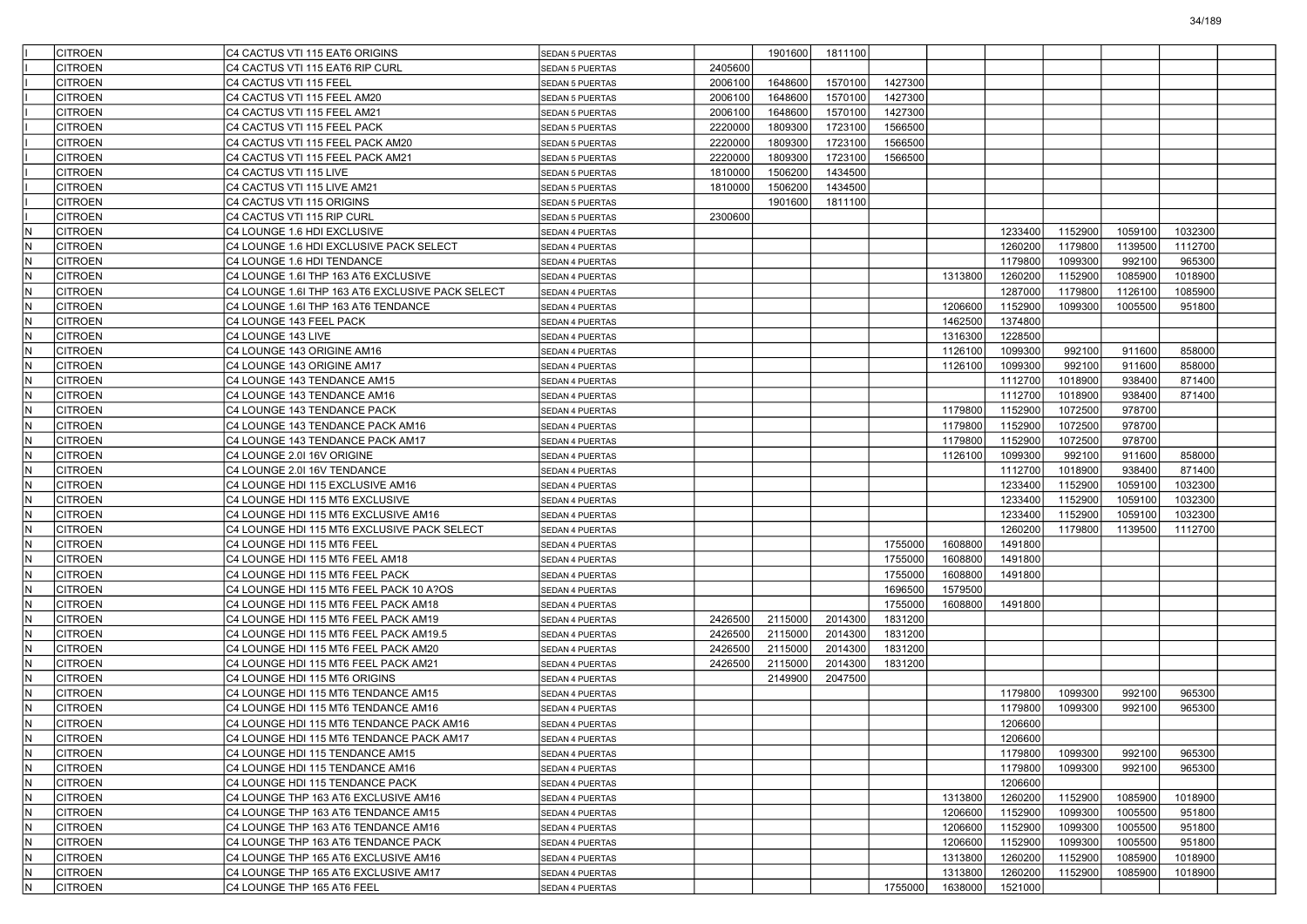| CITROEN                                   | C4 CACTUS VTI 115 EAT6 ORIGINS                                                      | SEDAN 5 PUERTAS                           |         | 1901600 | 1811100 |                    |         |                    |         |         |         |  |
|-------------------------------------------|-------------------------------------------------------------------------------------|-------------------------------------------|---------|---------|---------|--------------------|---------|--------------------|---------|---------|---------|--|
| CITROEN                                   | C4 CACTUS VTI 115 EAT6 RIP CURL                                                     | <b>SEDAN 5 PUERTAS</b>                    | 2405600 |         |         |                    |         |                    |         |         |         |  |
| <b>CITROEN</b>                            | C4 CACTUS VTI 115 FEEL                                                              | SEDAN 5 PUERTAS                           | 2006100 | 1648600 | 1570100 | 1427300            |         |                    |         |         |         |  |
| <b>CITROEN</b>                            | C4 CACTUS VTI 115 FEEL AM20                                                         | SEDAN 5 PUERTAS                           | 2006100 | 1648600 | 1570100 | 1427300            |         |                    |         |         |         |  |
| <b>CITROEN</b>                            | C4 CACTUS VTI 115 FEEL AM21                                                         | <b>SEDAN 5 PUERTAS</b>                    | 2006100 | 1648600 | 1570100 | 1427300            |         |                    |         |         |         |  |
| CITROEN                                   | C4 CACTUS VTI 115 FEEL PACK                                                         | <b>SEDAN 5 PUERTAS</b>                    | 2220000 | 1809300 | 1723100 | 1566500            |         |                    |         |         |         |  |
| CITROEN                                   | C4 CACTUS VTI 115 FEEL PACK AM20                                                    | <b>SEDAN 5 PUERTAS</b>                    | 2220000 | 1809300 | 1723100 | 1566500            |         |                    |         |         |         |  |
| <b>CITROEN</b>                            | C4 CACTUS VTI 115 FEEL PACK AM21                                                    | <b>SEDAN 5 PUERTAS</b>                    | 2220000 | 1809300 | 1723100 | 1566500            |         |                    |         |         |         |  |
| <b>CITROEN</b>                            | C4 CACTUS VTI 115 LIVE                                                              | <b>SEDAN 5 PUERTAS</b>                    | 1810000 | 1506200 | 1434500 |                    |         |                    |         |         |         |  |
| <b>CITROEN</b>                            | C4 CACTUS VTI 115 LIVE AM21                                                         | <b>SEDAN 5 PUERTAS</b>                    | 1810000 | 1506200 | 1434500 |                    |         |                    |         |         |         |  |
| <b>CITROEN</b>                            | C4 CACTUS VTI 115 ORIGINS                                                           | <b>SEDAN 5 PUERTAS</b>                    |         | 1901600 | 1811100 |                    |         |                    |         |         |         |  |
| <b>CITROEN</b>                            | C4 CACTUS VTI 115 RIP CURL                                                          | <b>SEDAN 5 PUERTAS</b>                    | 2300600 |         |         |                    |         |                    |         |         |         |  |
| $\sf N$<br><b>CITROEN</b>                 | C4 LOUNGE 1.6 HDI EXCLUSIVE                                                         | SEDAN 4 PUERTAS                           |         |         |         |                    |         | 1233400            | 1152900 | 1059100 | 1032300 |  |
| $\mathsf N$<br><b>CITROEN</b>             | C4 LOUNGE 1.6 HDI EXCLUSIVE PACK SELECT                                             | <b>SEDAN 4 PUERTAS</b>                    |         |         |         |                    |         | 1260200            | 1179800 | 1139500 | 1112700 |  |
| N<br><b>CITROEN</b>                       | C4 LOUNGE 1.6 HDI TENDANCE                                                          | <b>SEDAN 4 PUERTAS</b>                    |         |         |         |                    |         | 1179800            | 1099300 | 992100  | 965300  |  |
| N<br><b>CITROEN</b>                       | C4 LOUNGE 1.6I THP 163 AT6 EXCLUSIVE                                                | SEDAN 4 PUERTAS                           |         |         |         |                    | 1313800 | 1260200            | 1152900 | 1085900 | 1018900 |  |
| $\sf N$<br><b>CITROEN</b>                 | C4 LOUNGE 1.6I THP 163 AT6 EXCLUSIVE PACK SELECT                                    | <b>SEDAN 4 PUERTAS</b>                    |         |         |         |                    |         | 1287000            | 1179800 | 1126100 | 1085900 |  |
| $\sf N$<br><b>CITROEN</b>                 | C4 LOUNGE 1.6I THP 163 AT6 TENDANCE                                                 | <b>SEDAN 4 PUERTAS</b>                    |         |         |         |                    | 1206600 | 1152900            | 1099300 | 1005500 | 951800  |  |
| IN.<br><b>CITROEN</b>                     | C4 LOUNGE 143 FEEL PACK                                                             | <b>SEDAN 4 PUERTAS</b>                    |         |         |         |                    | 1462500 | 1374800            |         |         |         |  |
| N<br><b>CITROEN</b>                       | C4 LOUNGE 143 LIVE                                                                  | <b>SEDAN 4 PUERTAS</b>                    |         |         |         |                    | 1316300 | 1228500            |         |         |         |  |
| N<br><b>CITROEN</b>                       | C4 LOUNGE 143 ORIGINE AM16                                                          | SEDAN 4 PUERTAS                           |         |         |         |                    | 1126100 | 1099300            | 992100  | 911600  | 858000  |  |
| $\sf N$<br><b>CITROEN</b>                 | C4 LOUNGE 143 ORIGINE AM17                                                          | <b>SEDAN 4 PUERTAS</b>                    |         |         |         |                    | 1126100 | 1099300            | 992100  | 911600  | 858000  |  |
| $\mathsf N$<br><b>CITROEN</b>             | C4 LOUNGE 143 TENDANCE AM15                                                         | <b>SEDAN 4 PUERTAS</b>                    |         |         |         |                    |         | 1112700            | 1018900 | 938400  | 871400  |  |
| $\mathsf N$<br><b>CITROEN</b>             | C4 LOUNGE 143 TENDANCE AM16                                                         | <b>SEDAN 4 PUERTAS</b>                    |         |         |         |                    |         | 1112700            | 1018900 | 938400  | 871400  |  |
| N<br><b>CITROEN</b>                       | C4 LOUNGE 143 TENDANCE PACK                                                         | SEDAN 4 PUERTAS                           |         |         |         |                    | 1179800 | 1152900            | 1072500 | 978700  |         |  |
| N<br><b>CITROEN</b>                       | C4 LOUNGE 143 TENDANCE PACK AM16                                                    | SEDAN 4 PUERTAS                           |         |         |         |                    | 1179800 | 1152900            | 1072500 | 978700  |         |  |
| $\sf N$<br><b>CITROEN</b>                 | C4 LOUNGE 143 TENDANCE PACK AM17                                                    | <b>SEDAN 4 PUERTAS</b>                    |         |         |         |                    | 1179800 | 1152900            | 1072500 | 978700  |         |  |
| $\mathsf N$<br><b>CITROEN</b>             | C4 LOUNGE 2.0I 16V ORIGINE                                                          | SEDAN 4 PUERTAS                           |         |         |         |                    | 1126100 | 1099300            | 992100  | 911600  | 858000  |  |
| $\hbox{N}$<br><b>CITROEN</b>              | C4 LOUNGE 2.0I 16V TENDANCE                                                         | <b>SEDAN 4 PUERTAS</b>                    |         |         |         |                    |         | 1112700            | 1018900 | 938400  | 871400  |  |
| N<br><b>CITROEN</b>                       | C4 LOUNGE HDI 115 EXCLUSIVE AM16                                                    |                                           |         |         |         |                    |         | 1233400            | 1152900 | 1059100 | 1032300 |  |
| N<br><b>CITROEN</b>                       | C4 LOUNGE HDI 115 MT6 EXCLUSIVE                                                     | SEDAN 4 PUERTAS<br>SEDAN 4 PUERTAS        |         |         |         |                    |         | 1233400            | 1152900 | 1059100 | 1032300 |  |
| $\sf N$<br><b>CITROEN</b>                 |                                                                                     |                                           |         |         |         |                    |         | 1233400            | 1152900 | 1059100 | 1032300 |  |
| $\mathsf N$<br><b>CITROEN</b>             | C4 LOUNGE HDI 115 MT6 EXCLUSIVE AM16<br>C4 LOUNGE HDI 115 MT6 EXCLUSIVE PACK SELECT | <b>SEDAN 4 PUERTAS</b><br>SEDAN 4 PUERTAS |         |         |         |                    |         | 1260200            | 1179800 | 1139500 | 1112700 |  |
| $\hbox{N}$                                | C4 LOUNGE HDI 115 MT6 FEEL                                                          |                                           |         |         |         | 1755000            | 1608800 | 1491800            |         |         |         |  |
| <b>CITROEN</b><br>N                       |                                                                                     | <b>SEDAN 4 PUERTAS</b>                    |         |         |         |                    |         |                    |         |         |         |  |
| <b>CITROEN</b><br>N                       | C4 LOUNGE HDI 115 MT6 FEEL AM18                                                     | SEDAN 4 PUERTAS                           |         |         |         | 1755000<br>1755000 | 1608800 | 1491800<br>1491800 |         |         |         |  |
| <b>CITROEN</b>                            | C4 LOUNGE HDI 115 MT6 FEEL PACK                                                     | SEDAN 4 PUERTAS                           |         |         |         |                    | 1608800 |                    |         |         |         |  |
| $\sf N$<br><b>CITROEN</b><br>$\mathsf N$  | C4 LOUNGE HDI 115 MT6 FEEL PACK 10 A?OS                                             | <b>SEDAN 4 PUERTAS</b>                    |         |         |         | 1696500            | 1579500 |                    |         |         |         |  |
| <b>CITROEN</b>                            | C4 LOUNGE HDI 115 MT6 FEEL PACK AM18                                                | SEDAN 4 PUERTAS                           |         |         |         | 1755000            | 1608800 | 1491800            |         |         |         |  |
| $\hbox{N}$<br><b>CITROEN</b>              | C4 LOUNGE HDI 115 MT6 FEEL PACK AM19                                                | <b>SEDAN 4 PUERTAS</b>                    | 2426500 | 2115000 | 2014300 | 1831200            |         |                    |         |         |         |  |
| N<br><b>CITROEN</b>                       | C4 LOUNGE HDI 115 MT6 FEEL PACK AM19.5                                              | SEDAN 4 PUERTAS                           | 2426500 | 2115000 | 2014300 | 1831200            |         |                    |         |         |         |  |
| N<br><b>CITROEN</b>                       | C4 LOUNGE HDI 115 MT6 FEEL PACK AM20                                                | SEDAN 4 PUERTAS                           | 2426500 | 2115000 | 2014300 | 1831200            |         |                    |         |         |         |  |
| $\sf N$<br><b>CITROEN</b>                 | C4 LOUNGE HDI 115 MT6 FEEL PACK AM21                                                | <b>SEDAN 4 PUERTAS</b>                    | 2426500 | 2115000 | 2014300 | 1831200            |         |                    |         |         |         |  |
| $\mathsf N$<br><b>CITROEN</b>             | C4 LOUNGE HDI 115 MT6 ORIGINS                                                       | SEDAN 4 PUERTAS                           |         | 2149900 | 2047500 |                    |         |                    |         |         |         |  |
| $\mathsf N$<br><b>CITROEN</b>             | C4 LOUNGE HDI 115 MT6 TENDANCE AM15                                                 | <b>SEDAN 4 PUERTAS</b>                    |         |         |         |                    |         | 1179800            | 1099300 | 992100  | 965300  |  |
| N<br>CITROEN                              | C4 LOUNGE HDI 115 MT6 TENDANCE AM16                                                 | SEDAN 4 PUERTAS                           |         |         |         |                    |         | 1179800            | 1099300 | 992100  | 965300  |  |
| $\hbox{N}$<br><b>CITROEN</b>              | C4 LOUNGE HDI 115 MT6 TENDANCE PACK AM16                                            | SEDAN 4 PUERTAS                           |         |         |         |                    |         | 1206600            |         |         |         |  |
| <b>CITROEN</b><br>ΙN                      | C4 LOUNGE HDI 115 MT6 TENDANCE PACK AM17                                            | SEDAN 4 PUERTAS                           |         |         |         |                    |         | 1206600            |         |         |         |  |
| IN.<br><b>CITROEN</b>                     | C4 LOUNGE HDI 115 TENDANCE AM15                                                     | SEDAN 4 PUERTAS                           |         |         |         |                    |         | 1179800            | 1099300 | 992100  | 965300  |  |
| IN.<br><b>CITROEN</b>                     | C4 LOUNGE HDI 115 TENDANCE AM16                                                     | SEDAN 4 PUERTAS                           |         |         |         |                    |         | 1179800            | 1099300 | 992100  | 965300  |  |
| N<br><b>CITROEN</b>                       | C4 LOUNGE HDI 115 TENDANCE PACK                                                     | SEDAN 4 PUERTAS                           |         |         |         |                    |         | 1206600            |         |         |         |  |
| IN.<br><b>CITROEN</b>                     | C4 LOUNGE THP 163 AT6 EXCLUSIVE AM16                                                | SEDAN 4 PUERTAS                           |         |         |         |                    | 1313800 | 1260200            | 1152900 | 1085900 | 1018900 |  |
| $\overline{\mathsf{N}}$<br><b>CITROEN</b> | C4 LOUNGE THP 163 AT6 TENDANCE AM15                                                 | <b>SEDAN 4 PUERTAS</b>                    |         |         |         |                    | 1206600 | 1152900            | 1099300 | 1005500 | 951800  |  |
| IN.<br><b>CITROEN</b>                     | C4 LOUNGE THP 163 AT6 TENDANCE AM16                                                 | SEDAN 4 PUERTAS                           |         |         |         |                    | 1206600 | 1152900            | 1099300 | 1005500 | 951800  |  |
| IN.<br><b>CITROEN</b>                     | C4 LOUNGE THP 163 AT6 TENDANCE PACK                                                 | SEDAN 4 PUERTAS                           |         |         |         |                    | 1206600 | 1152900            | 1099300 | 1005500 | 951800  |  |
| N<br><b>CITROEN</b>                       | C4 LOUNGE THP 165 AT6 EXCLUSIVE AM16                                                | SEDAN 4 PUERTAS                           |         |         |         |                    | 1313800 | 1260200            | 1152900 | 1085900 | 1018900 |  |
| IN.<br><b>CITROEN</b>                     | C4 LOUNGE THP 165 AT6 EXCLUSIVE AM17                                                | SEDAN 4 PUERTAS                           |         |         |         |                    | 1313800 | 1260200            | 1152900 | 1085900 | 1018900 |  |
| N<br><b>CITROEN</b>                       | C4 LOUNGE THP 165 AT6 FEEL                                                          | SEDAN 4 PUERTAS                           |         |         |         | 1755000            | 1638000 | 1521000            |         |         |         |  |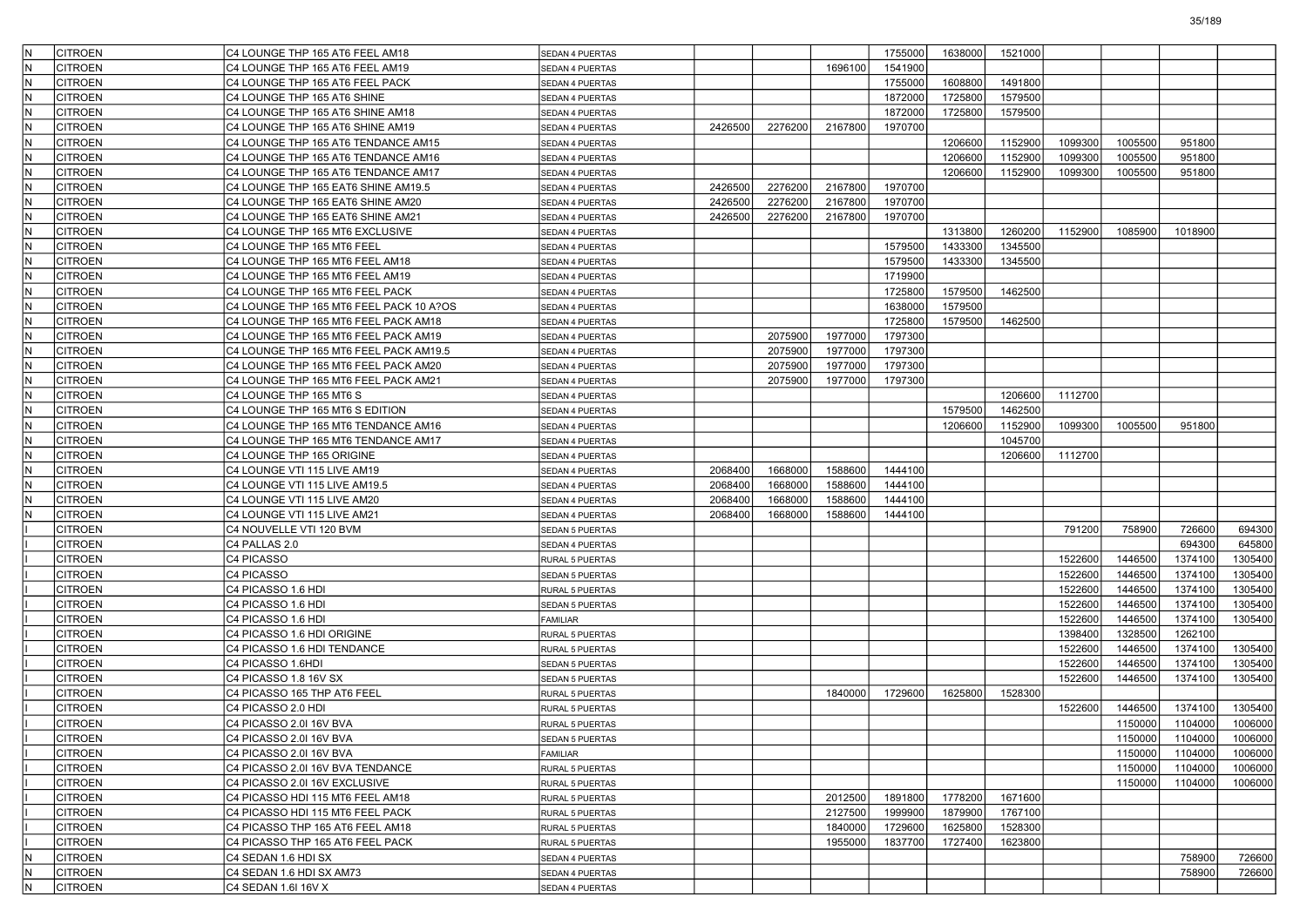| lN.        | <b>CITROEN</b>                   | C4 LOUNGE THP 165 AT6 FEEL AM18                 | <b>SEDAN 4 PUERTAS</b>             |         |         |         | 1755000 | 1638000 | 1521000 |         |         |         |         |
|------------|----------------------------------|-------------------------------------------------|------------------------------------|---------|---------|---------|---------|---------|---------|---------|---------|---------|---------|
| N          | <b>CITROEN</b>                   | C4 LOUNGE THP 165 AT6 FEEL AM19                 | SEDAN 4 PUERTAS                    |         |         | 1696100 | 1541900 |         |         |         |         |         |         |
| IN.        | <b>CITROEN</b>                   | C4 LOUNGE THP 165 AT6 FEEL PACK                 | SEDAN 4 PUERTAS                    |         |         |         | 1755000 | 1608800 | 1491800 |         |         |         |         |
| IN.        | <b>CITROEN</b>                   | C4 LOUNGE THP 165 AT6 SHINE                     | SEDAN 4 PUERTAS                    |         |         |         | 1872000 | 1725800 | 1579500 |         |         |         |         |
| lN.        | <b>CITROEN</b>                   | C4 LOUNGE THP 165 AT6 SHINE AM18                | SEDAN 4 PUERTAS                    |         |         |         | 1872000 | 1725800 | 1579500 |         |         |         |         |
| IN.        | <b>CITROEN</b>                   | C4 LOUNGE THP 165 AT6 SHINE AM19                | SEDAN 4 PUERTAS                    | 2426500 | 2276200 | 2167800 | 1970700 |         |         |         |         |         |         |
| N          | <b>CITROEN</b>                   | C4 LOUNGE THP 165 AT6 TENDANCE AM15             | SEDAN 4 PUERTAS                    |         |         |         |         | 1206600 | 1152900 | 1099300 | 1005500 | 951800  |         |
| IN.        | <b>CITROEN</b>                   | C4 LOUNGE THP 165 AT6 TENDANCE AM16             | SEDAN 4 PUERTAS                    |         |         |         |         | 1206600 | 1152900 | 1099300 | 1005500 | 951800  |         |
| IN.        | <b>CITROEN</b>                   | C4 LOUNGE THP 165 AT6 TENDANCE AM17             | SEDAN 4 PUERTAS                    |         |         |         |         | 1206600 | 1152900 | 1099300 | 1005500 | 951800  |         |
| N          | <b>CITROEN</b>                   | C4 LOUNGE THP 165 EAT6 SHINE AM19.5             | SEDAN 4 PUERTAS                    | 2426500 | 2276200 | 2167800 | 1970700 |         |         |         |         |         |         |
| IN.        | <b>CITROEN</b>                   | C4 LOUNGE THP 165 EAT6 SHINE AM20               | SEDAN 4 PUERTAS                    | 2426500 | 2276200 | 2167800 | 1970700 |         |         |         |         |         |         |
| N          | <b>CITROEN</b>                   | C4 LOUNGE THP 165 EAT6 SHINE AM21               | SEDAN 4 PUERTAS                    | 2426500 | 2276200 | 2167800 | 1970700 |         |         |         |         |         |         |
| IN.        | <b>CITROEN</b>                   | C4 LOUNGE THP 165 MT6 EXCLUSIVE                 | SEDAN 4 PUERTAS                    |         |         |         |         | 1313800 | 1260200 | 1152900 | 1085900 | 1018900 |         |
| IN.        | <b>CITROEN</b>                   | C4 LOUNGE THP 165 MT6 FEEL                      | SEDAN 4 PUERTAS                    |         |         |         | 1579500 | 1433300 | 1345500 |         |         |         |         |
| N          | <b>CITROEN</b>                   | C4 LOUNGE THP 165 MT6 FEEL AM18                 | SEDAN 4 PUERTAS                    |         |         |         | 1579500 | 1433300 | 1345500 |         |         |         |         |
| IN.        | <b>CITROEN</b>                   | C4 LOUNGE THP 165 MT6 FEEL AM19                 | SEDAN 4 PUERTAS                    |         |         |         | 1719900 |         |         |         |         |         |         |
| N          | <b>CITROEN</b>                   | C4 LOUNGE THP 165 MT6 FEEL PACK                 | SEDAN 4 PUERTAS                    |         |         |         | 1725800 | 1579500 | 1462500 |         |         |         |         |
| IN.        | <b>CITROEN</b>                   | C4 LOUNGE THP 165 MT6 FEEL PACK 10 A?OS         | SEDAN 4 PUERTAS                    |         |         |         | 1638000 | 1579500 |         |         |         |         |         |
| IN.        | <b>CITROEN</b>                   | C4 LOUNGE THP 165 MT6 FEEL PACK AM18            | SEDAN 4 PUERTAS                    |         |         |         | 1725800 | 1579500 | 1462500 |         |         |         |         |
| N          | <b>CITROEN</b>                   | C4 LOUNGE THP 165 MT6 FEEL PACK AM19            | SEDAN 4 PUERTAS                    |         | 2075900 | 1977000 | 1797300 |         |         |         |         |         |         |
| IN.        | <b>CITROEN</b>                   | C4 LOUNGE THP 165 MT6 FEEL PACK AM19.5          | SEDAN 4 PUERTAS                    |         | 2075900 | 1977000 | 1797300 |         |         |         |         |         |         |
| N          | <b>CITROEN</b>                   | C4 LOUNGE THP 165 MT6 FEEL PACK AM20            | SEDAN 4 PUERTAS                    |         | 2075900 | 1977000 | 1797300 |         |         |         |         |         |         |
| IN.        | <b>CITROEN</b>                   | C4 LOUNGE THP 165 MT6 FEEL PACK AM21            | SEDAN 4 PUERTAS                    |         | 2075900 | 1977000 | 1797300 |         |         |         |         |         |         |
| IN.        | <b>CITROEN</b>                   | C4 LOUNGE THP 165 MT6 S                         | SEDAN 4 PUERTAS                    |         |         |         |         |         | 1206600 | 1112700 |         |         |         |
| N          | <b>CITROEN</b>                   | C4 LOUNGE THP 165 MT6 S EDITION                 | SEDAN 4 PUERTAS                    |         |         |         |         | 1579500 | 1462500 |         |         |         |         |
| lN.        | <b>CITROEN</b>                   | C4 LOUNGE THP 165 MT6 TENDANCE AM16             | SEDAN 4 PUERTAS                    |         |         |         |         | 1206600 | 1152900 | 1099300 | 1005500 | 951800  |         |
| N          | <b>CITROEN</b>                   | C4 LOUNGE THP 165 MT6 TENDANCE AM17             | SEDAN 4 PUERTAS                    |         |         |         |         |         | 1045700 |         |         |         |         |
| N          | <b>CITROEN</b>                   | C4 LOUNGE THP 165 ORIGINE                       | SEDAN 4 PUERTAS                    |         |         |         |         |         | 1206600 | 1112700 |         |         |         |
| lN.        | <b>CITROEN</b>                   | C4 LOUNGE VTI 115 LIVE AM19                     | SEDAN 4 PUERTAS                    | 2068400 | 1668000 | 1588600 | 1444100 |         |         |         |         |         |         |
| N          | <b>CITROEN</b>                   | C4 LOUNGE VTI 115 LIVE AM19.5                   | SEDAN 4 PUERTAS                    | 2068400 | 1668000 | 1588600 | 1444100 |         |         |         |         |         |         |
| lN.        | <b>CITROEN</b>                   | C4 LOUNGE VTI 115 LIVE AM20                     | SEDAN 4 PUERTAS                    | 2068400 | 1668000 | 1588600 | 1444100 |         |         |         |         |         |         |
| N          | <b>CITROEN</b>                   | C4 LOUNGE VTI 115 LIVE AM21                     | SEDAN 4 PUERTAS                    | 2068400 | 1668000 | 1588600 | 1444100 |         |         |         |         |         |         |
|            | <b>CITROEN</b>                   | C4 NOUVELLE VTI 120 BVM                         | SEDAN 5 PUERTAS                    |         |         |         |         |         |         | 791200  | 758900  | 726600  | 694300  |
|            | <b>CITROEN</b>                   | C4 PALLAS 2.0                                   | SEDAN 4 PUERTAS                    |         |         |         |         |         |         |         |         | 694300  | 645800  |
|            | <b>CITROEN</b>                   | C4 PICASSO                                      | RURAL 5 PUERTAS                    |         |         |         |         |         |         | 1522600 | 1446500 | 1374100 | 1305400 |
|            | <b>CITROEN</b>                   | C4 PICASSO                                      | SEDAN 5 PUERTAS                    |         |         |         |         |         |         | 1522600 | 1446500 | 1374100 | 1305400 |
|            | <b>CITROEN</b>                   | C4 PICASSO 1.6 HDI                              | RURAL 5 PUERTAS                    |         |         |         |         |         |         | 1522600 | 1446500 | 1374100 | 1305400 |
|            | <b>CITROEN</b>                   | C4 PICASSO 1.6 HDI                              | SEDAN 5 PUERTAS                    |         |         |         |         |         |         | 1522600 | 1446500 | 1374100 | 1305400 |
|            | <b>CITROEN</b>                   | C4 PICASSO 1.6 HDI                              | <b>FAMILIAR</b>                    |         |         |         |         |         |         | 1522600 | 1446500 | 1374100 | 1305400 |
|            | <b>CITROEN</b>                   | C4 PICASSO 1.6 HDI ORIGINE                      | RURAL 5 PUERTAS                    |         |         |         |         |         |         | 1398400 | 1328500 | 1262100 |         |
|            | <b>CITROEN</b>                   | C4 PICASSO 1.6 HDI TENDANCE                     | RURAL 5 PUERTAS                    |         |         |         |         |         |         | 1522600 | 1446500 | 1374100 | 1305400 |
|            | <b>CITROEN</b>                   | C4 PICASSO 1.6HDI                               | SEDAN 5 PUERTAS                    |         |         |         |         |         |         | 1522600 | 1446500 | 1374100 | 1305400 |
|            | <b>CITROEN</b>                   | C4 PICASSO 1.8 16V SX                           | SEDAN 5 PUERTAS                    |         |         |         |         |         |         | 1522600 | 1446500 | 1374100 | 1305400 |
|            | <b>CITROEN</b>                   | C4 PICASSO 165 THP AT6 FEEL                     | RURAL 5 PUERTAS                    |         |         | 1840000 | 1729600 | 1625800 | 1528300 |         |         |         |         |
|            | <b>CITROEN</b>                   | C4 PICASSO 2.0 HDI                              | RURAL 5 PUERTAS                    |         |         |         |         |         |         | 1522600 | 1446500 | 1374100 | 1305400 |
|            | <b>CITROEN</b>                   | C4 PICASSO 2.0I 16V BVA                         | RURAL 5 PUERTAS                    |         |         |         |         |         |         |         | 1150000 | 1104000 | 1006000 |
|            | <b>CITROEN</b>                   | C4 PICASSO 2.0I 16V BVA                         | <b>SEDAN 5 PUERTAS</b>             |         |         |         |         |         |         |         | 1150000 | 1104000 | 1006000 |
|            | <b>CITROEN</b>                   | C4 PICASSO 2.0I 16V BVA                         | FAMILIAR                           |         |         |         |         |         |         |         | 1150000 | 1104000 | 1006000 |
|            | <b>CITROEN</b>                   | C4 PICASSO 2.0I 16V BVA TENDANCE                | RURAL 5 PUERTAS                    |         |         |         |         |         |         |         | 1150000 | 1104000 | 1006000 |
|            | <b>CITROEN</b>                   | C4 PICASSO 2.0I 16V EXCLUSIVE                   | RURAL 5 PUERTAS                    |         |         |         |         |         |         |         | 1150000 | 1104000 | 1006000 |
|            | <b>CITROEN</b>                   | C4 PICASSO HDI 115 MT6 FEEL AM18                | RURAL 5 PUERTAS                    |         |         | 2012500 | 1891800 | 1778200 | 1671600 |         |         |         |         |
|            | <b>CITROEN</b>                   | C4 PICASSO HDI 115 MT6 FEEL PACK                | RURAL 5 PUERTAS                    |         |         | 2127500 | 1999900 | 1879900 | 1767100 |         |         |         |         |
|            | <b>CITROEN</b>                   | C4 PICASSO THP 165 AT6 FEEL AM18                | RURAL 5 PUERTAS                    |         |         | 1840000 | 1729600 | 1625800 | 1528300 |         |         |         |         |
|            |                                  |                                                 |                                    |         |         |         |         |         |         |         |         |         |         |
|            |                                  |                                                 |                                    |         |         |         |         |         |         |         |         |         |         |
|            | <b>CITROEN</b>                   | C4 PICASSO THP 165 AT6 FEEL PACK                | RURAL 5 PUERTAS                    |         |         | 1955000 | 1837700 | 1727400 | 1623800 |         |         |         |         |
| IN.        | <b>CITROEN</b>                   | C4 SEDAN 1.6 HDI SX                             | SEDAN 4 PUERTAS                    |         |         |         |         |         |         |         |         | 758900  | 726600  |
| IN.<br>IN. | <b>CITROEN</b><br><b>CITROEN</b> | C4 SEDAN 1.6 HDI SX AM73<br>C4 SEDAN 1.6I 16V X | SEDAN 4 PUERTAS<br>SEDAN 4 PUERTAS |         |         |         |         |         |         |         |         | 758900  | 726600  |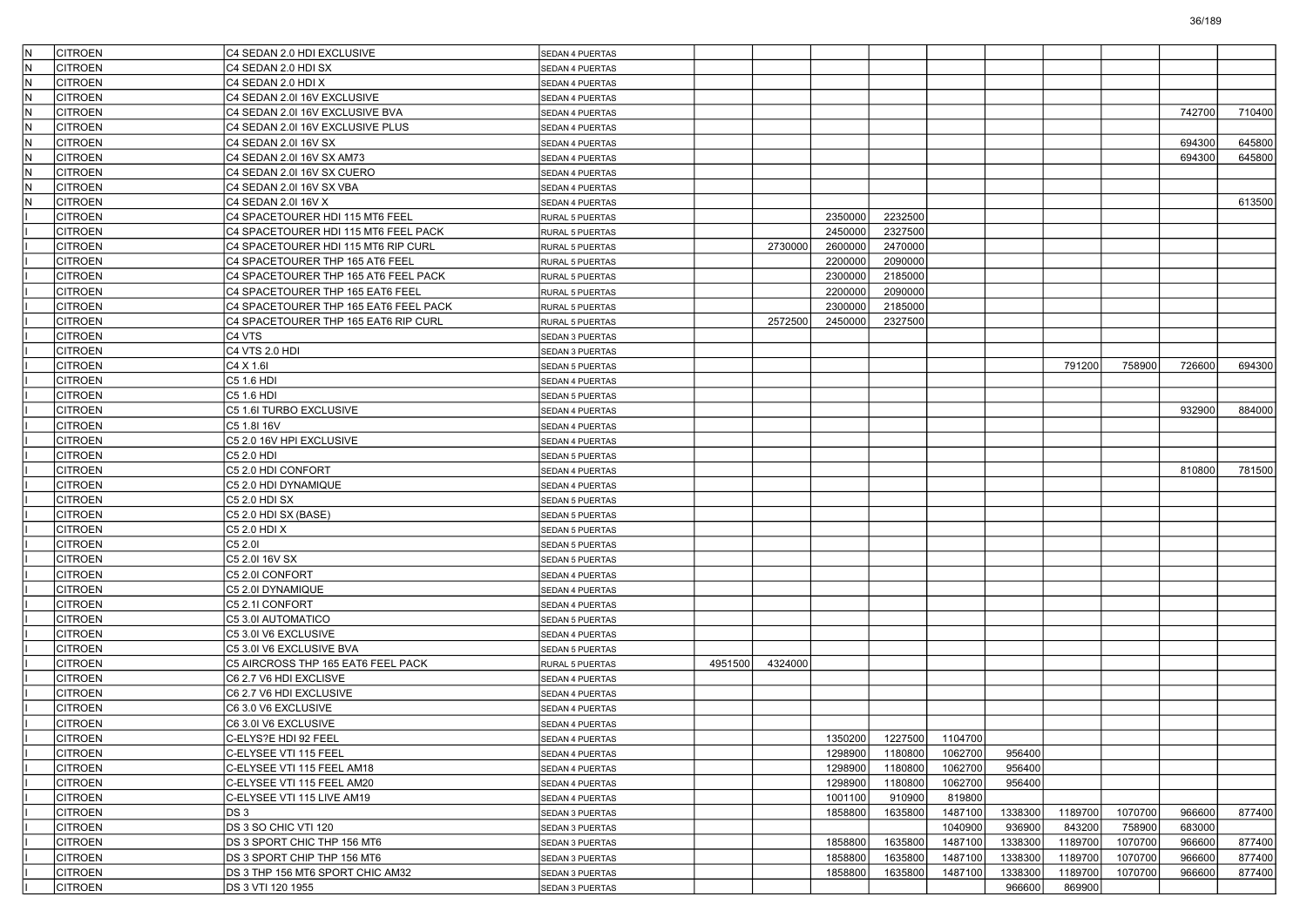| IN.<br><b>CITROEN</b> | C4 SEDAN 2.0 HDI EXCLUSIVE             | SEDAN 4 PUERTAS                           |         |         |         |         |         |         |         |         |        |        |
|-----------------------|----------------------------------------|-------------------------------------------|---------|---------|---------|---------|---------|---------|---------|---------|--------|--------|
| lN.<br><b>CITROEN</b> | C4 SEDAN 2.0 HDI SX                    | <b>SEDAN 4 PUERTAS</b>                    |         |         |         |         |         |         |         |         |        |        |
| lN.<br><b>CITROEN</b> | C4 SEDAN 2.0 HDI X                     | SEDAN 4 PUERTAS                           |         |         |         |         |         |         |         |         |        |        |
| IN.<br><b>CITROEN</b> | C4 SEDAN 2.0I 16V EXCLUSIVE            | <b>SEDAN 4 PUERTAS</b>                    |         |         |         |         |         |         |         |         |        |        |
| N<br><b>CITROEN</b>   | C4 SEDAN 2.0I 16V EXCLUSIVE BVA        | <b>SEDAN 4 PUERTAS</b>                    |         |         |         |         |         |         |         |         | 742700 | 710400 |
| N<br><b>CITROEN</b>   | C4 SEDAN 2.0I 16V EXCLUSIVE PLUS       | <b>SEDAN 4 PUERTAS</b>                    |         |         |         |         |         |         |         |         |        |        |
| lN.<br><b>CITROEN</b> | C4 SEDAN 2.0I 16V SX                   | <b>SEDAN 4 PUERTAS</b>                    |         |         |         |         |         |         |         |         | 694300 | 645800 |
| N<br><b>CITROEN</b>   | C4 SEDAN 2.0I 16V SX AM73              | SEDAN 4 PUERTAS                           |         |         |         |         |         |         |         |         | 694300 | 645800 |
| IN.<br><b>CITROEN</b> | C4 SEDAN 2.0I 16V SX CUERO             | <b>SEDAN 4 PUERTAS</b>                    |         |         |         |         |         |         |         |         |        |        |
| N<br><b>CITROEN</b>   | C4 SEDAN 2.0I 16V SX VBA               | <b>SEDAN 4 PUERTAS</b>                    |         |         |         |         |         |         |         |         |        |        |
| N<br><b>CITROEN</b>   | C4 SEDAN 2.0I 16V X                    | SEDAN 4 PUERTAS                           |         |         |         |         |         |         |         |         |        | 613500 |
| <b>CITROEN</b>        | C4 SPACETOURER HDI 115 MT6 FEEL        | <b>RURAL 5 PUERTAS</b>                    |         |         | 2350000 | 2232500 |         |         |         |         |        |        |
| <b>CITROEN</b>        | C4 SPACETOURER HDI 115 MT6 FEEL PACK   | RURAL 5 PUERTAS                           |         |         | 2450000 | 2327500 |         |         |         |         |        |        |
| <b>CITROEN</b>        | C4 SPACETOURER HDI 115 MT6 RIP CURL    | RURAL 5 PUERTAS                           |         | 2730000 | 2600000 | 2470000 |         |         |         |         |        |        |
| <b>CITROEN</b>        | C4 SPACETOURER THP 165 AT6 FEEL        | RURAL 5 PUERTAS                           |         |         | 2200000 | 2090000 |         |         |         |         |        |        |
| <b>CITROEN</b>        | C4 SPACETOURER THP 165 AT6 FEEL PACK   | RURAL 5 PUERTAS                           |         |         | 2300000 | 2185000 |         |         |         |         |        |        |
| <b>CITROEN</b>        | C4 SPACETOURER THP 165 EAT6 FEEL       | <b>RURAL 5 PUERTAS</b>                    |         |         | 2200000 | 2090000 |         |         |         |         |        |        |
| <b>CITROEN</b>        | C4 SPACETOURER THP 165 EAT6 FEEL PACK  | RURAL 5 PUERTAS                           |         |         | 2300000 | 2185000 |         |         |         |         |        |        |
| <b>CITROEN</b>        | C4 SPACETOURER THP 165 EAT6 RIP CURL   | RURAL 5 PUERTAS                           |         | 2572500 | 2450000 | 2327500 |         |         |         |         |        |        |
| <b>CITROEN</b>        | C <sub>4</sub> VTS                     | <b>SEDAN 3 PUERTAS</b>                    |         |         |         |         |         |         |         |         |        |        |
| <b>CITROEN</b>        | C4 VTS 2.0 HDI                         | SEDAN 3 PUERTAS                           |         |         |         |         |         |         |         |         |        |        |
| <b>CITROEN</b>        | C4 X 1.6I                              | <b>SEDAN 5 PUERTAS</b>                    |         |         |         |         |         |         | 791200  | 758900  | 726600 | 694300 |
| <b>CITROEN</b>        | C5 1.6 HDI                             | <b>SEDAN 4 PUERTAS</b>                    |         |         |         |         |         |         |         |         |        |        |
| <b>CITROEN</b>        | C5 1.6 HDI                             | <b>SEDAN 5 PUERTAS</b>                    |         |         |         |         |         |         |         |         |        |        |
| <b>CITROEN</b>        | C5 1.6I TURBO EXCLUSIVE                |                                           |         |         |         |         |         |         |         |         | 932900 | 884000 |
| <b>CITROEN</b>        | C5 1.8I 16V                            | <b>SEDAN 4 PUERTAS</b><br>SEDAN 4 PUERTAS |         |         |         |         |         |         |         |         |        |        |
| <b>CITROEN</b>        |                                        |                                           |         |         |         |         |         |         |         |         |        |        |
|                       | C5 2.0 16V HPI EXCLUSIVE<br>C5 2.0 HDI | <b>SEDAN 4 PUERTAS</b>                    |         |         |         |         |         |         |         |         |        |        |
| <b>CITROEN</b>        |                                        | <b>SEDAN 5 PUERTAS</b>                    |         |         |         |         |         |         |         |         | 810800 | 781500 |
| <b>CITROEN</b>        | C5 2.0 HDI CONFORT                     | <b>SEDAN 4 PUERTAS</b>                    |         |         |         |         |         |         |         |         |        |        |
| <b>CITROEN</b>        | C5 2.0 HDI DYNAMIQUE                   | <b>SEDAN 4 PUERTAS</b>                    |         |         |         |         |         |         |         |         |        |        |
| <b>CITROEN</b>        | C5 2.0 HDI SX                          | SEDAN 5 PUERTAS                           |         |         |         |         |         |         |         |         |        |        |
| <b>CITROEN</b>        | C5 2.0 HDI SX (BASE)                   | <b>SEDAN 5 PUERTAS</b>                    |         |         |         |         |         |         |         |         |        |        |
| <b>CITROEN</b>        | C5 2.0 HDI X                           | <b>SEDAN 5 PUERTAS</b>                    |         |         |         |         |         |         |         |         |        |        |
| <b>CITROEN</b>        | C5 2.0I                                | <b>SEDAN 5 PUERTAS</b>                    |         |         |         |         |         |         |         |         |        |        |
| <b>CITROEN</b>        | C5 2.0I 16V SX                         | <b>SEDAN 5 PUERTAS</b>                    |         |         |         |         |         |         |         |         |        |        |
| <b>CITROEN</b>        | C5 2.0I CONFORT                        | SEDAN 4 PUERTAS                           |         |         |         |         |         |         |         |         |        |        |
| <b>CITROEN</b>        | C5 2.0I DYNAMIQUE                      | <b>SEDAN 4 PUERTAS</b>                    |         |         |         |         |         |         |         |         |        |        |
| <b>CITROEN</b>        | C5 2.1I CONFORT                        | <b>SEDAN 4 PUERTAS</b>                    |         |         |         |         |         |         |         |         |        |        |
| <b>CITROEN</b>        | C5 3.0I AUTOMATICO                     | <b>SEDAN 5 PUERTAS</b>                    |         |         |         |         |         |         |         |         |        |        |
| <b>CITROEN</b>        | C5 3.0I V6 EXCLUSIVE                   | <b>SEDAN 4 PUERTAS</b>                    |         |         |         |         |         |         |         |         |        |        |
| <b>CITROEN</b>        | C5 3.0I V6 EXCLUSIVE BVA               | SEDAN 5 PUERTAS                           |         |         |         |         |         |         |         |         |        |        |
| <b>CITROEN</b>        | C5 AIRCROSS THP 165 EAT6 FEEL PACK     | <b>RURAL 5 PUERTAS</b>                    | 4951500 | 4324000 |         |         |         |         |         |         |        |        |
| <b>CITROEN</b>        | C6 2.7 V6 HDI EXCLISVE                 | SEDAN 4 PUERTAS                           |         |         |         |         |         |         |         |         |        |        |
| <b>CITROEN</b>        | C6 2.7 V6 HDI EXCLUSIVE                | <b>SEDAN 4 PUERTAS</b>                    |         |         |         |         |         |         |         |         |        |        |
| <b>CITROEN</b>        | C6 3.0 V6 EXCLUSIVE                    | SEDAN 4 PUERTAS                           |         |         |         |         |         |         |         |         |        |        |
| <b>CITROEN</b>        | C6 3.0I V6 EXCLUSIVE                   | SEDAN 4 PUERTAS                           |         |         |         |         |         |         |         |         |        |        |
| CITROEN               | C-ELYS?E HDI 92 FEEL                   | SEDAN 4 PUERTAS                           |         |         | 1350200 | 1227500 | 1104700 |         |         |         |        |        |
| <b>CITROEN</b>        | C-ELYSEE VTI 115 FEEL                  | SEDAN 4 PUERTAS                           |         |         | 1298900 | 1180800 | 1062700 | 956400  |         |         |        |        |
| <b>CITROEN</b>        | C-ELYSEE VTI 115 FEEL AM18             | SEDAN 4 PUERTAS                           |         |         | 1298900 | 1180800 | 1062700 | 956400  |         |         |        |        |
| <b>CITROEN</b>        | C-ELYSEE VTI 115 FEEL AM20             | SEDAN 4 PUERTAS                           |         |         | 1298900 | 1180800 | 1062700 | 956400  |         |         |        |        |
| <b>CITROEN</b>        | C-ELYSEE VTI 115 LIVE AM19             | SEDAN 4 PUERTAS                           |         |         | 1001100 | 910900  | 819800  |         |         |         |        |        |
| <b>CITROEN</b>        | DS 3                                   | SEDAN 3 PUERTAS                           |         |         | 1858800 | 1635800 | 1487100 | 1338300 | 1189700 | 1070700 | 966600 | 877400 |
| <b>CITROEN</b>        | DS 3 SO CHIC VTI 120                   | SEDAN 3 PUERTAS                           |         |         |         |         | 1040900 | 936900  | 843200  | 758900  | 683000 |        |
| <b>CITROEN</b>        | DS 3 SPORT CHIC THP 156 MT6            | SEDAN 3 PUERTAS                           |         |         | 1858800 | 1635800 | 1487100 | 1338300 | 1189700 | 1070700 | 966600 | 877400 |
| <b>CITROEN</b>        | DS 3 SPORT CHIP THP 156 MT6            | SEDAN 3 PUERTAS                           |         |         | 1858800 | 1635800 | 1487100 | 1338300 | 1189700 | 1070700 | 966600 | 877400 |
| <b>CITROEN</b>        | DS 3 THP 156 MT6 SPORT CHIC AM32       | SEDAN 3 PUERTAS                           |         |         | 1858800 | 1635800 | 1487100 | 1338300 | 1189700 | 1070700 | 966600 | 877400 |
| <b>CITROEN</b>        | DS 3 VTI 120 1955                      | SEDAN 3 PUERTAS                           |         |         |         |         |         | 966600  | 869900  |         |        |        |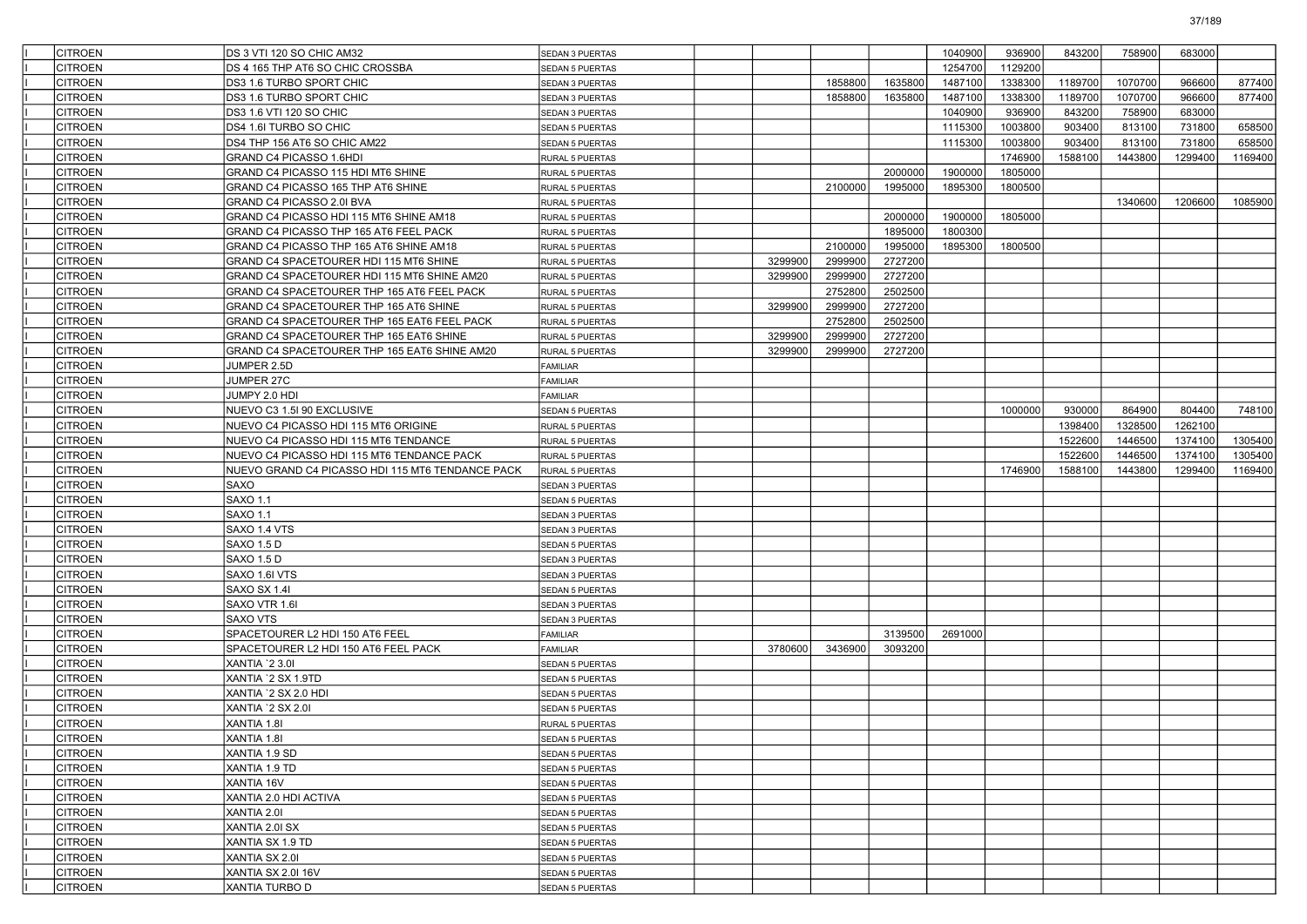| <b>CITROEN</b> | DS 3 VTI 120 SO CHIC AM32                        | SEDAN 3 PUERTAS        |         |         |         | 1040900 | 936900  | 843200  | 758900  | 683000  |         |
|----------------|--------------------------------------------------|------------------------|---------|---------|---------|---------|---------|---------|---------|---------|---------|
| CITROEN        | DS 4 165 THP AT6 SO CHIC CROSSBA                 | <b>SEDAN 5 PUERTAS</b> |         |         |         | 1254700 | 1129200 |         |         |         |         |
| <b>CITROEN</b> | DS3 1.6 TURBO SPORT CHIC                         | SEDAN 3 PUERTAS        |         | 1858800 | 1635800 | 1487100 | 1338300 | 1189700 | 1070700 | 966600  | 877400  |
| <b>CITROEN</b> | DS3 1.6 TURBO SPORT CHIC                         | SEDAN 3 PUERTAS        |         | 1858800 | 1635800 | 1487100 | 1338300 | 1189700 | 1070700 | 966600  | 877400  |
| <b>CITROEN</b> | DS3 1.6 VTI 120 SO CHIC                          | SEDAN 3 PUERTAS        |         |         |         | 1040900 | 936900  | 843200  | 758900  | 683000  |         |
| <b>CITROEN</b> | DS4 1.6I TURBO SO CHIC                           | <b>SEDAN 5 PUERTAS</b> |         |         |         | 1115300 | 1003800 | 903400  | 813100  | 731800  | 658500  |
| CITROEN        | DS4 THP 156 AT6 SO CHIC AM22                     | <b>SEDAN 5 PUERTAS</b> |         |         |         | 1115300 | 1003800 | 903400  | 813100  | 731800  | 658500  |
| <b>CITROEN</b> | GRAND C4 PICASSO 1.6HDI                          | <b>RURAL 5 PUERTAS</b> |         |         |         |         | 1746900 | 1588100 | 1443800 | 1299400 | 1169400 |
| <b>CITROEN</b> | GRAND C4 PICASSO 115 HDI MT6 SHINE               | RURAL 5 PUERTAS        |         |         | 2000000 | 1900000 | 1805000 |         |         |         |         |
| <b>CITROEN</b> | GRAND C4 PICASSO 165 THP AT6 SHINE               | RURAL 5 PUERTAS        |         | 2100000 | 1995000 | 1895300 | 1800500 |         |         |         |         |
| <b>CITROEN</b> | GRAND C4 PICASSO 2.0I BVA                        | RURAL 5 PUERTAS        |         |         |         |         |         |         | 1340600 | 1206600 | 1085900 |
| CITROEN        | GRAND C4 PICASSO HDI 115 MT6 SHINE AM18          | RURAL 5 PUERTAS        |         |         | 2000000 | 1900000 | 1805000 |         |         |         |         |
| <b>CITROEN</b> | GRAND C4 PICASSO THP 165 AT6 FEEL PACK           | RURAL 5 PUERTAS        |         |         | 1895000 | 1800300 |         |         |         |         |         |
| <b>CITROEN</b> | GRAND C4 PICASSO THP 165 AT6 SHINE AM18          | RURAL 5 PUERTAS        |         | 2100000 | 1995000 | 1895300 | 1800500 |         |         |         |         |
| <b>CITROEN</b> | GRAND C4 SPACETOURER HDI 115 MT6 SHINE           | RURAL 5 PUERTAS        | 3299900 | 2999900 | 2727200 |         |         |         |         |         |         |
| <b>CITROEN</b> | GRAND C4 SPACETOURER HDI 115 MT6 SHINE AM20      | <b>RURAL 5 PUERTAS</b> | 3299900 | 2999900 | 2727200 |         |         |         |         |         |         |
| CITROEN        | GRAND C4 SPACETOURER THP 165 AT6 FEEL PACK       | RURAL 5 PUERTAS        |         | 2752800 | 2502500 |         |         |         |         |         |         |
| <b>CITROEN</b> | GRAND C4 SPACETOURER THP 165 AT6 SHINE           | <b>RURAL 5 PUERTAS</b> | 3299900 | 2999900 | 2727200 |         |         |         |         |         |         |
| <b>CITROEN</b> | GRAND C4 SPACETOURER THP 165 EAT6 FEEL PACK      | RURAL 5 PUERTAS        |         | 2752800 | 2502500 |         |         |         |         |         |         |
| <b>CITROEN</b> | GRAND C4 SPACETOURER THP 165 EAT6 SHINE          | RURAL 5 PUERTAS        | 3299900 | 2999900 | 2727200 |         |         |         |         |         |         |
| <b>CITROEN</b> | GRAND C4 SPACETOURER THP 165 EAT6 SHINE AM20     | <b>RURAL 5 PUERTAS</b> | 3299900 | 2999900 | 2727200 |         |         |         |         |         |         |
| CITROEN        | JUMPER 2.5D                                      | <b>FAMILIAR</b>        |         |         |         |         |         |         |         |         |         |
| <b>CITROEN</b> | JUMPER 27C                                       | FAMILIAR               |         |         |         |         |         |         |         |         |         |
| <b>CITROEN</b> | JUMPY 2.0 HDI                                    | FAMILIAR               |         |         |         |         |         |         |         |         |         |
| <b>CITROEN</b> | NUEVO C3 1.5I 90 EXCLUSIVE                       | SEDAN 5 PUERTAS        |         |         |         |         | 1000000 | 930000  | 864900  | 804400  | 748100  |
| <b>CITROEN</b> | NUEVO C4 PICASSO HDI 115 MT6 ORIGINE             | RURAL 5 PUERTAS        |         |         |         |         |         | 1398400 | 1328500 | 1262100 |         |
| CITROEN        | NUEVO C4 PICASSO HDI 115 MT6 TENDANCE            | RURAL 5 PUERTAS        |         |         |         |         |         | 1522600 | 1446500 | 1374100 | 1305400 |
| <b>CITROEN</b> | NUEVO C4 PICASSO HDI 115 MT6 TENDANCE PACK       | <b>RURAL 5 PUERTAS</b> |         |         |         |         |         | 1522600 | 1446500 | 1374100 | 1305400 |
| <b>CITROEN</b> | NUEVO GRAND C4 PICASSO HDI 115 MT6 TENDANCE PACK | RURAL 5 PUERTAS        |         |         |         |         | 1746900 | 1588100 | 1443800 | 1299400 | 1169400 |
| <b>CITROEN</b> | <b>SAXO</b>                                      | SEDAN 3 PUERTAS        |         |         |         |         |         |         |         |         |         |
| <b>CITROEN</b> | <b>SAXO 1.1</b>                                  | <b>SEDAN 5 PUERTAS</b> |         |         |         |         |         |         |         |         |         |
| <b>CITROEN</b> | <b>SAXO 1.1</b>                                  | SEDAN 3 PUERTAS        |         |         |         |         |         |         |         |         |         |
| <b>CITROEN</b> | SAXO 1.4 VTS                                     | SEDAN 3 PUERTAS        |         |         |         |         |         |         |         |         |         |
| <b>CITROEN</b> | <b>SAXO 1.5 D</b>                                | <b>SEDAN 5 PUERTAS</b> |         |         |         |         |         |         |         |         |         |
| <b>CITROEN</b> | SAXO 1.5 D                                       | SEDAN 3 PUERTAS        |         |         |         |         |         |         |         |         |         |
| <b>CITROEN</b> | SAXO 1.6I VTS                                    | SEDAN 3 PUERTAS        |         |         |         |         |         |         |         |         |         |
| <b>CITROEN</b> | SAXO SX 1.4I                                     | <b>SEDAN 5 PUERTAS</b> |         |         |         |         |         |         |         |         |         |
| <b>CITROEN</b> | SAXO VTR 1.6I                                    | SEDAN 3 PUERTAS        |         |         |         |         |         |         |         |         |         |
| <b>CITROEN</b> | SAXO VTS                                         | SEDAN 3 PUERTAS        |         |         |         |         |         |         |         |         |         |
| <b>CITROEN</b> | SPACETOURER L2 HDI 150 AT6 FEEL                  | <b>FAMILIAR</b>        |         |         | 3139500 | 2691000 |         |         |         |         |         |
| <b>CITROEN</b> | SPACETOURER L2 HDI 150 AT6 FEEL PACK             | <b>FAMILIAR</b>        | 3780600 | 3436900 | 3093200 |         |         |         |         |         |         |
| <b>CITROEN</b> | XANTIA `2 3.0I                                   | SEDAN 5 PUERTAS        |         |         |         |         |         |         |         |         |         |
| <b>CITROEN</b> | XANTIA `2 SX 1.9TD                               | SEDAN 5 PUERTAS        |         |         |         |         |         |         |         |         |         |
| <b>CITROEN</b> | XANTIA `2 SX 2.0 HDI                             | <b>SEDAN 5 PUERTAS</b> |         |         |         |         |         |         |         |         |         |
| <b>CITROEN</b> | XANTIA '2 SX 2.01                                | SEDAN 5 PUERTAS        |         |         |         |         |         |         |         |         |         |
| <b>CITROEN</b> | XANTIA 1.8I                                      | <b>RURAL 5 PUERTAS</b> |         |         |         |         |         |         |         |         |         |
| <b>CITROEN</b> | XANTIA 1.81                                      | SEDAN 5 PUERTAS        |         |         |         |         |         |         |         |         |         |
| <b>CITROEN</b> | XANTIA 1.9 SD                                    | SEDAN 5 PUERTAS        |         |         |         |         |         |         |         |         |         |
| <b>CITROEN</b> | XANTIA 1.9 TD                                    | SEDAN 5 PUERTAS        |         |         |         |         |         |         |         |         |         |
| <b>CITROEN</b> | XANTIA 16V                                       | SEDAN 5 PUERTAS        |         |         |         |         |         |         |         |         |         |
| <b>CITROEN</b> | XANTIA 2.0 HDI ACTIVA                            | SEDAN 5 PUERTAS        |         |         |         |         |         |         |         |         |         |
| <b>CITROEN</b> | XANTIA 2.01                                      | SEDAN 5 PUERTAS        |         |         |         |         |         |         |         |         |         |
| <b>CITROEN</b> | XANTIA 2.0I SX                                   | SEDAN 5 PUERTAS        |         |         |         |         |         |         |         |         |         |
| <b>CITROEN</b> | XANTIA SX 1.9 TD                                 | SEDAN 5 PUERTAS        |         |         |         |         |         |         |         |         |         |
| <b>CITROEN</b> | XANTIA SX 2.01                                   | SEDAN 5 PUERTAS        |         |         |         |         |         |         |         |         |         |
| <b>CITROEN</b> | XANTIA SX 2.0I 16V                               | SEDAN 5 PUERTAS        |         |         |         |         |         |         |         |         |         |
|                |                                                  |                        |         |         |         |         |         |         |         |         |         |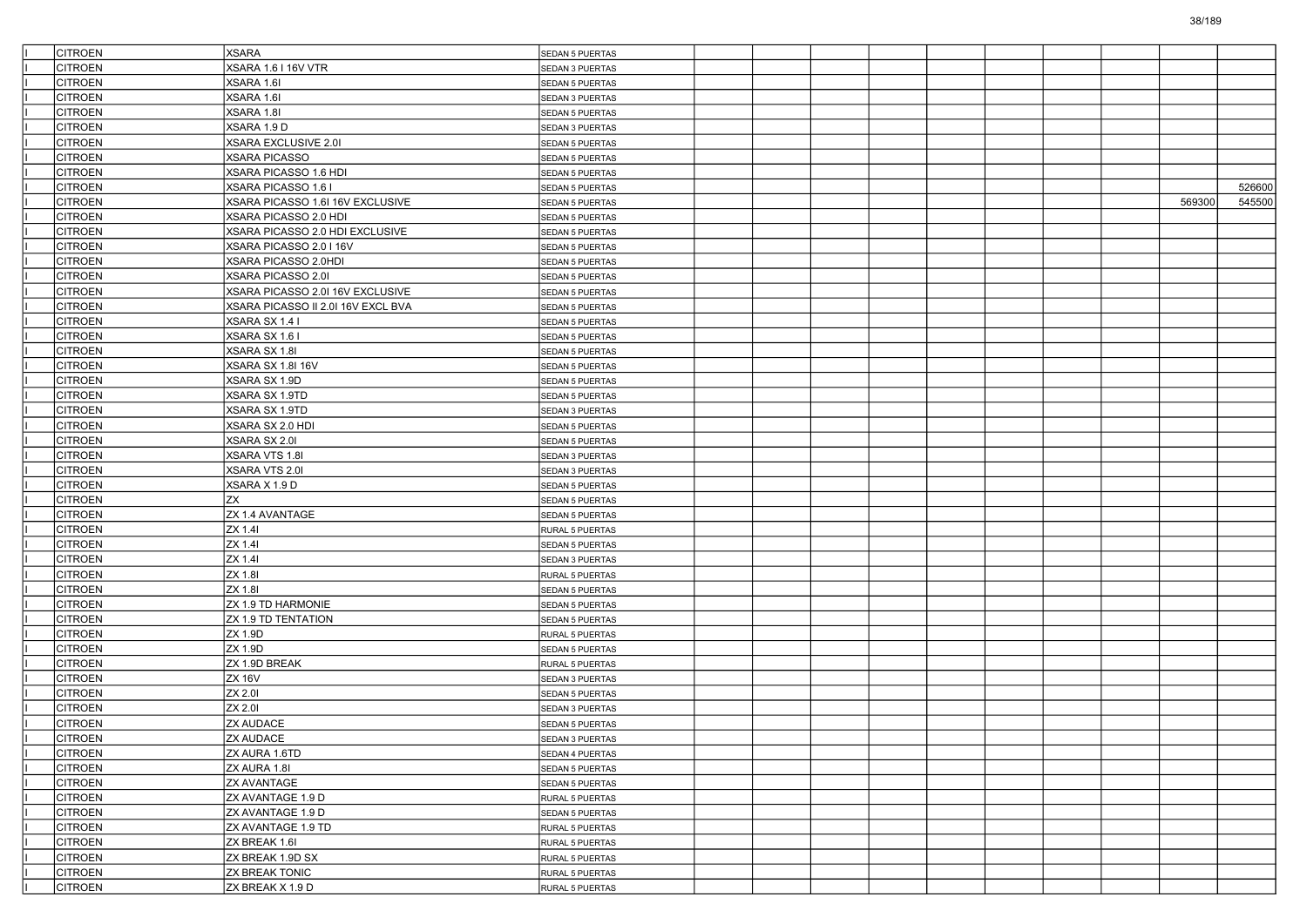| <b>CITROEN</b>                   | <b>XSARA</b>                              | <b>SEDAN 5 PUERTAS</b>             |  |  |  |        |        |
|----------------------------------|-------------------------------------------|------------------------------------|--|--|--|--------|--------|
| CITROEN                          | <b>XSARA 1.6 I 16V VTR</b>                | SEDAN 3 PUERTAS                    |  |  |  |        |        |
| <b>CITROEN</b>                   | XSARA 1.6I                                | SEDAN 5 PUERTAS                    |  |  |  |        |        |
| <b>CITROEN</b>                   | XSARA 1.6I                                | SEDAN 3 PUERTAS                    |  |  |  |        |        |
| <b>CITROEN</b>                   | XSARA 1.8I                                | <b>SEDAN 5 PUERTAS</b>             |  |  |  |        |        |
| <b>CITROEN</b>                   | XSARA 1.9 D                               | <b>SEDAN 3 PUERTAS</b>             |  |  |  |        |        |
| CITROEN                          | XSARA EXCLUSIVE 2.0I                      | <b>SEDAN 5 PUERTAS</b>             |  |  |  |        |        |
| <b>CITROEN</b>                   | <b>XSARA PICASSO</b>                      | <b>SEDAN 5 PUERTAS</b>             |  |  |  |        |        |
| <b>CITROEN</b>                   | XSARA PICASSO 1.6 HDI                     | <b>SEDAN 5 PUERTAS</b>             |  |  |  |        |        |
| <b>CITROEN</b>                   | XSARA PICASSO 1.6 I                       | <b>SEDAN 5 PUERTAS</b>             |  |  |  |        | 526600 |
| <b>CITROEN</b>                   | XSARA PICASSO 1.6I 16V EXCLUSIVE          | <b>SEDAN 5 PUERTAS</b>             |  |  |  | 569300 | 545500 |
| <b>CITROEN</b>                   | XSARA PICASSO 2.0 HDI                     | <b>SEDAN 5 PUERTAS</b>             |  |  |  |        |        |
| <b>CITROEN</b>                   | XSARA PICASSO 2.0 HDI EXCLUSIVE           | <b>SEDAN 5 PUERTAS</b>             |  |  |  |        |        |
| <b>CITROEN</b>                   | XSARA PICASSO 2.0 I 16V                   | <b>SEDAN 5 PUERTAS</b>             |  |  |  |        |        |
| <b>CITROEN</b>                   | XSARA PICASSO 2.0HDI                      | <b>SEDAN 5 PUERTAS</b>             |  |  |  |        |        |
| <b>CITROEN</b>                   | XSARA PICASSO 2.01                        | SEDAN 5 PUERTAS                    |  |  |  |        |        |
| <b>CITROEN</b>                   | XSARA PICASSO 2.0I 16V EXCLUSIVE          | <b>SEDAN 5 PUERTAS</b>             |  |  |  |        |        |
| <b>CITROEN</b>                   | XSARA PICASSO II 2.0I 16V EXCL BVA        | <b>SEDAN 5 PUERTAS</b>             |  |  |  |        |        |
| <b>CITROEN</b>                   | XSARA SX 1.4 I                            | <b>SEDAN 5 PUERTAS</b>             |  |  |  |        |        |
| <b>CITROEN</b>                   | XSARA SX 1.6 I                            | <b>SEDAN 5 PUERTAS</b>             |  |  |  |        |        |
| <b>CITROEN</b>                   | XSARA SX 1.8I                             | SEDAN 5 PUERTAS                    |  |  |  |        |        |
| <b>CITROEN</b>                   | XSARA SX 1.8I 16V                         | <b>SEDAN 5 PUERTAS</b>             |  |  |  |        |        |
| <b>CITROEN</b>                   | XSARA SX 1.9D                             | SEDAN 5 PUERTAS                    |  |  |  |        |        |
| <b>CITROEN</b>                   | XSARA SX 1.9TD                            | SEDAN 5 PUERTAS                    |  |  |  |        |        |
| <b>CITROEN</b>                   | XSARA SX 1.9TD                            | SEDAN 3 PUERTAS                    |  |  |  |        |        |
| <b>CITROEN</b>                   | XSARA SX 2.0 HDI                          | SEDAN 5 PUERTAS                    |  |  |  |        |        |
| <b>CITROEN</b>                   | XSARA SX 2.0I                             | <b>SEDAN 5 PUERTAS</b>             |  |  |  |        |        |
| <b>CITROEN</b>                   | XSARA VTS 1.8I                            | SEDAN 3 PUERTAS                    |  |  |  |        |        |
| <b>CITROEN</b>                   | XSARA VTS 2.0I                            | SEDAN 3 PUERTAS                    |  |  |  |        |        |
| <b>CITROEN</b>                   | XSARA X 1.9 D                             | SEDAN 5 PUERTAS                    |  |  |  |        |        |
| <b>CITROEN</b>                   | <b>ZX</b>                                 | SEDAN 5 PUERTAS                    |  |  |  |        |        |
| <b>CITROEN</b>                   | ZX 1.4 AVANTAGE                           | <b>SEDAN 5 PUERTAS</b>             |  |  |  |        |        |
| <b>CITROEN</b>                   | ZX 1.41                                   | RURAL 5 PUERTAS                    |  |  |  |        |        |
| <b>CITROEN</b>                   | ZX 1.41                                   | SEDAN 5 PUERTAS                    |  |  |  |        |        |
| <b>CITROEN</b>                   | ZX 1.41                                   | SEDAN 3 PUERTAS                    |  |  |  |        |        |
| <b>CITROEN</b>                   | ZX 1.81                                   | RURAL 5 PUERTAS                    |  |  |  |        |        |
| <b>CITROEN</b>                   | ZX 1.81                                   | <b>SEDAN 5 PUERTAS</b>             |  |  |  |        |        |
| <b>CITROEN</b>                   | ZX 1.9 TD HARMONIE                        | SEDAN 5 PUERTAS                    |  |  |  |        |        |
| <b>CITROEN</b>                   | ZX 1.9 TD TENTATION                       | <b>SEDAN 5 PUERTAS</b>             |  |  |  |        |        |
| <b>CITROEN</b>                   | ZX 1.9D                                   |                                    |  |  |  |        |        |
| <b>CITROEN</b>                   | ZX 1.9D                                   | RURAL 5 PUERTAS                    |  |  |  |        |        |
| <b>CITROEN</b>                   | ZX 1.9D BREAK                             | <b>SEDAN 5 PUERTAS</b>             |  |  |  |        |        |
| <b>CITROEN</b>                   | <b>ZX 16V</b>                             | RURAL 5 PUERTAS                    |  |  |  |        |        |
| <b>CITROEN</b>                   | ZX 2.01                                   | SEDAN 3 PUERTAS                    |  |  |  |        |        |
| <b>CITROEN</b>                   | ZX 2.01                                   | <b>SEDAN 5 PUERTAS</b>             |  |  |  |        |        |
| <b>CITROEN</b>                   | <b>ZX AUDACE</b>                          | SEDAN 3 PUERTAS                    |  |  |  |        |        |
|                                  |                                           | <b>SEDAN 5 PUERTAS</b>             |  |  |  |        |        |
| <b>CITROEN</b>                   | <b>ZX AUDACE</b>                          | SEDAN 3 PUERTAS                    |  |  |  |        |        |
| <b>CITROEN</b><br><b>CITROEN</b> | ZX AURA 1.6TD<br>ZX AURA 1.8I             | SEDAN 4 PUERTAS<br>SEDAN 5 PUERTAS |  |  |  |        |        |
|                                  |                                           |                                    |  |  |  |        |        |
| <b>CITROEN</b>                   | <b>ZX AVANTAGE</b><br>ZX AVANTAGE 1.9 D   | SEDAN 5 PUERTAS                    |  |  |  |        |        |
| <b>CITROEN</b>                   |                                           | RURAL 5 PUERTAS                    |  |  |  |        |        |
| <b>CITROEN</b>                   | ZX AVANTAGE 1.9 D                         | SEDAN 5 PUERTAS                    |  |  |  |        |        |
| <b>CITROEN</b>                   | ZX AVANTAGE 1.9 TD<br>ZX BREAK 1.6I       | RURAL 5 PUERTAS                    |  |  |  |        |        |
| <b>CITROEN</b>                   |                                           | RURAL 5 PUERTAS                    |  |  |  |        |        |
| <b>CITROEN</b>                   | ZX BREAK 1.9D SX<br><b>ZX BREAK TONIC</b> | RURAL 5 PUERTAS                    |  |  |  |        |        |
| <b>CITROEN</b>                   | ZX BREAK X 1.9 D                          | RURAL 5 PUERTAS                    |  |  |  |        |        |
| <b>CITROEN</b>                   |                                           | RURAL 5 PUERTAS                    |  |  |  |        |        |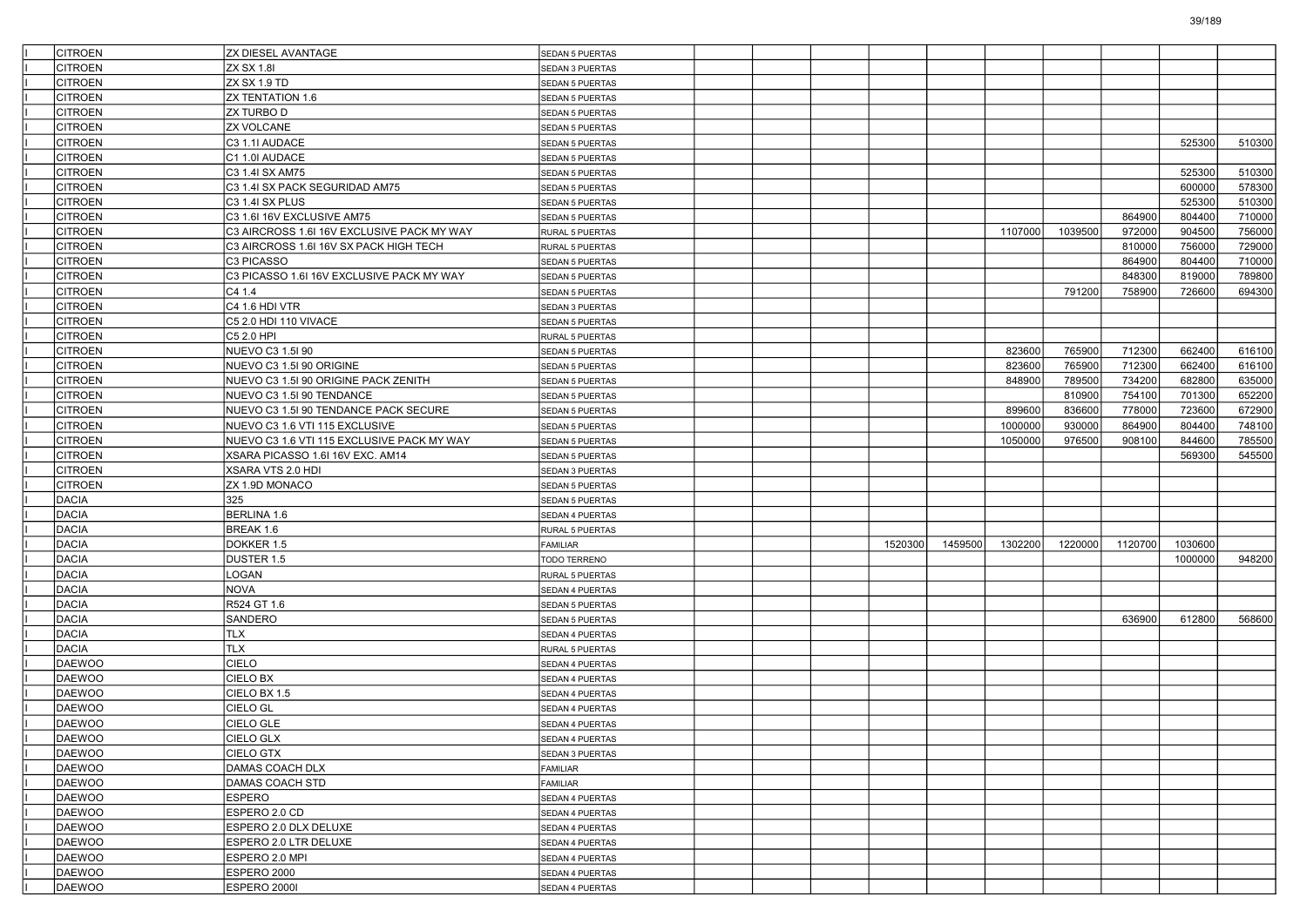| <b>CITROEN</b>   | <b>ZX DIESEL AVANTAGE</b>                  | <b>SEDAN 5 PUERTAS</b> |  |         |         |         |         |         |         |        |
|------------------|--------------------------------------------|------------------------|--|---------|---------|---------|---------|---------|---------|--------|
| CITROEN          | <b>ZX SX 1.8I</b>                          | SEDAN 3 PUERTAS        |  |         |         |         |         |         |         |        |
| <b>CITROEN</b>   | ZX SX 1.9 TD                               | SEDAN 5 PUERTAS        |  |         |         |         |         |         |         |        |
| <b>CITROEN</b>   | ZX TENTATION 1.6                           | <b>SEDAN 5 PUERTAS</b> |  |         |         |         |         |         |         |        |
| <b>CITROEN</b>   | <b>ZX TURBO D</b>                          | <b>SEDAN 5 PUERTAS</b> |  |         |         |         |         |         |         |        |
| <b>CITROEN</b>   | <b>ZX VOLCANE</b>                          | <b>SEDAN 5 PUERTAS</b> |  |         |         |         |         |         |         |        |
| <b>CITROEN</b>   | C3 1.1I AUDACE                             | SEDAN 5 PUERTAS        |  |         |         |         |         |         | 525300  | 510300 |
| <b>CITROEN</b>   | C1 1.0I AUDACE                             | SEDAN 5 PUERTAS        |  |         |         |         |         |         |         |        |
| <b>CITROEN</b>   | C3 1.4I SX AM75                            | SEDAN 5 PUERTAS        |  |         |         |         |         |         | 525300  | 510300 |
| <b>CITROEN</b>   | C3 1.4I SX PACK SEGURIDAD AM75             | <b>SEDAN 5 PUERTAS</b> |  |         |         |         |         |         | 600000  | 578300 |
| <b>CITROEN</b>   | C3 1.4I SX PLUS                            | SEDAN 5 PUERTAS        |  |         |         |         |         |         | 525300  | 510300 |
| <b>CITROEN</b>   | C3 1.6I 16V EXCLUSIVE AM75                 | SEDAN 5 PUERTAS        |  |         |         |         |         | 864900  | 804400  | 710000 |
| <b>CITROEN</b>   | C3 AIRCROSS 1.6I 16V EXCLUSIVE PACK MY WAY | RURAL 5 PUERTAS        |  |         |         | 1107000 | 1039500 | 972000  | 904500  | 756000 |
| <b>CITROEN</b>   | C3 AIRCROSS 1.6I 16V SX PACK HIGH TECH     | RURAL 5 PUERTAS        |  |         |         |         |         | 810000  | 756000  | 729000 |
| <b>CITROEN</b>   | C3 PICASSO                                 | SEDAN 5 PUERTAS        |  |         |         |         |         | 864900  | 804400  | 710000 |
| <b>CITROEN</b>   | C3 PICASSO 1.6I 16V EXCLUSIVE PACK MY WAY  | <b>SEDAN 5 PUERTAS</b> |  |         |         |         |         | 848300  | 819000  | 789800 |
| <b>CITROEN</b>   | C41.4                                      | SEDAN 5 PUERTAS        |  |         |         |         | 791200  | 758900  | 726600  | 694300 |
| <b>CITROEN</b>   | C4 1.6 HDI VTR                             | SEDAN 3 PUERTAS        |  |         |         |         |         |         |         |        |
| <b>CITROEN</b>   | C5 2.0 HDI 110 VIVACE                      | <b>SEDAN 5 PUERTAS</b> |  |         |         |         |         |         |         |        |
| <b>CITROEN</b>   | C5 2.0 HPI                                 | RURAL 5 PUERTAS        |  |         |         |         |         |         |         |        |
| <b>CITROEN</b>   | NUEVO C3 1.5I 90                           | <b>SEDAN 5 PUERTAS</b> |  |         |         | 823600  | 765900  | 712300  | 662400  | 616100 |
| <b>CITROEN</b>   | NUEVO C3 1.5I 90 ORIGINE                   | SEDAN 5 PUERTAS        |  |         |         | 823600  | 765900  | 712300  | 662400  | 616100 |
| <b>CITROEN</b>   | NUEVO C3 1.5I 90 ORIGINE PACK ZENITH       | SEDAN 5 PUERTAS        |  |         |         | 848900  | 789500  | 734200  | 682800  | 635000 |
| <b>CITROEN</b>   | NUEVO C3 1.5I 90 TENDANCE                  | SEDAN 5 PUERTAS        |  |         |         |         | 810900  | 754100  | 701300  | 652200 |
| <b>CITROEN</b>   | NUEVO C3 1.5I 90 TENDANCE PACK SECURE      | SEDAN 5 PUERTAS        |  |         |         | 899600  | 836600  | 778000  | 723600  | 672900 |
| <b>CITROEN</b>   | NUEVO C3 1.6 VTI 115 EXCLUSIVE             | SEDAN 5 PUERTAS        |  |         |         | 1000000 | 930000  | 864900  | 804400  | 748100 |
| <b>CITROEN</b>   | NUEVO C3 1.6 VTI 115 EXCLUSIVE PACK MY WAY | SEDAN 5 PUERTAS        |  |         |         | 1050000 | 976500  | 908100  | 844600  | 785500 |
| <b>CITROEN</b>   | XSARA PICASSO 1.6I 16V EXC. AM14           | SEDAN 5 PUERTAS        |  |         |         |         |         |         | 569300  | 545500 |
| <b>CITROEN</b>   | XSARA VTS 2.0 HDI                          | SEDAN 3 PUERTAS        |  |         |         |         |         |         |         |        |
| <b>CITROEN</b>   | ZX 1.9D MONACO                             | SEDAN 5 PUERTAS        |  |         |         |         |         |         |         |        |
| DACIA            | 325                                        | <b>SEDAN 5 PUERTAS</b> |  |         |         |         |         |         |         |        |
| <b>DACIA</b>     | BERLINA 1.6                                | SEDAN 4 PUERTAS        |  |         |         |         |         |         |         |        |
| <b>DACIA</b>     | BREAK 1.6                                  | RURAL 5 PUERTAS        |  |         |         |         |         |         |         |        |
| <b>DACIA</b>     | DOKKER 1.5                                 | FAMILIAR               |  | 1520300 | 1459500 | 1302200 | 1220000 | 1120700 | 1030600 |        |
| <b>DACIA</b>     | DUSTER 1.5                                 | TODO TERRENO           |  |         |         |         |         |         | 1000000 | 948200 |
| DACIA            | LOGAN                                      | RURAL 5 PUERTAS        |  |         |         |         |         |         |         |        |
| <b>DACIA</b>     | <b>NOVA</b>                                | SEDAN 4 PUERTAS        |  |         |         |         |         |         |         |        |
| <b>DACIA</b>     | R524 GT 1.6                                | SEDAN 5 PUERTAS        |  |         |         |         |         |         |         |        |
| <b>DACIA</b>     | SANDERO                                    | <b>SEDAN 5 PUERTAS</b> |  |         |         |         |         | 636900  | 612800  | 568600 |
| <b>DACIA</b>     | <b>TLX</b>                                 | SEDAN 4 PUERTAS        |  |         |         |         |         |         |         |        |
| DACIA            | <b>TLX</b>                                 | RURAL 5 PUERTAS        |  |         |         |         |         |         |         |        |
| <b>DAEWOO</b>    | <b>CIELO</b>                               | SEDAN 4 PUERTAS        |  |         |         |         |         |         |         |        |
| <b>DAEWOO</b>    | CIELO BX                                   | SEDAN 4 PUERTAS        |  |         |         |         |         |         |         |        |
| <b>DAEWOO</b>    | CIELO BX 1.5                               |                        |  |         |         |         |         |         |         |        |
| <b>DAEWOO</b>    | CIELO GL                                   | SEDAN 4 PUERTAS        |  |         |         |         |         |         |         |        |
| DAEWOO           | CIELO GLE                                  | SEDAN 4 PUERTAS        |  |         |         |         |         |         |         |        |
| DAEWOO           | CIELO GLX                                  | SEDAN 4 PUERTAS        |  |         |         |         |         |         |         |        |
| DAEWOO           | <b>CIELO GTX</b>                           | SEDAN 4 PUERTAS        |  |         |         |         |         |         |         |        |
| DAEWOO           | DAMAS COACH DLX                            | SEDAN 3 PUERTAS        |  |         |         |         |         |         |         |        |
| DAEWOO           |                                            | FAMILIAR               |  |         |         |         |         |         |         |        |
|                  | <b>DAMAS COACH STD</b>                     | <b>FAMILIAR</b>        |  |         |         |         |         |         |         |        |
| DAEWOO           | <b>ESPERO</b>                              | SEDAN 4 PUERTAS        |  |         |         |         |         |         |         |        |
| DAEWOO           | ESPERO 2.0 CD                              | SEDAN 4 PUERTAS        |  |         |         |         |         |         |         |        |
| DAEWOO<br>DAEWOO | ESPERO 2.0 DLX DELUXE                      | SEDAN 4 PUERTAS        |  |         |         |         |         |         |         |        |
|                  | ESPERO 2.0 LTR DELUXE                      | SEDAN 4 PUERTAS        |  |         |         |         |         |         |         |        |
| DAEWOO           | ESPERO 2.0 MPI                             | SEDAN 4 PUERTAS        |  |         |         |         |         |         |         |        |
| DAEWOO           | ESPERO 2000                                | SEDAN 4 PUERTAS        |  |         |         |         |         |         |         |        |
| DAEWOO           | ESPERO 2000I                               | SEDAN 4 PUERTAS        |  |         |         |         |         |         |         |        |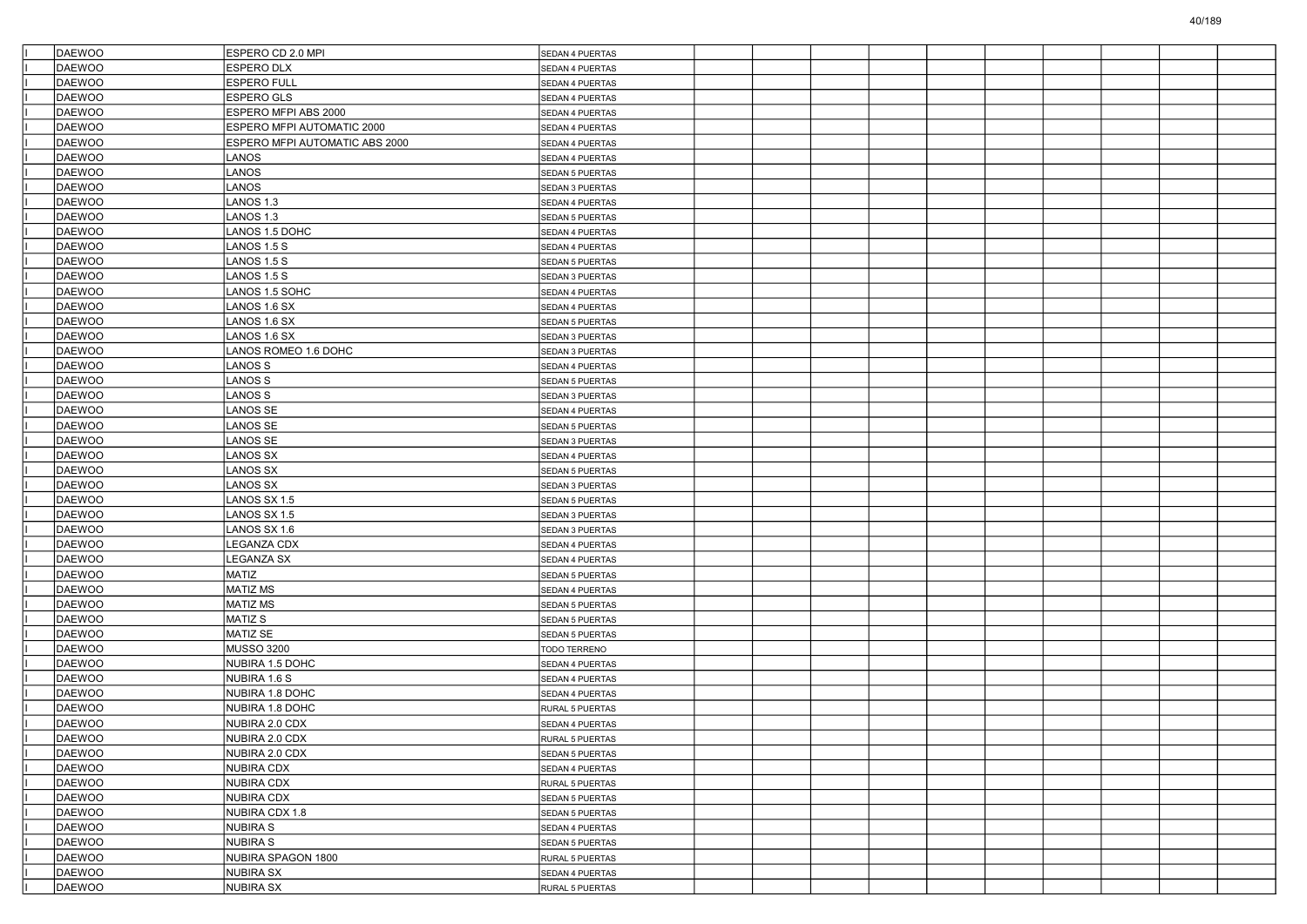| DAEWOO        | ESPERO CD 2.0 MPI              | SEDAN 4 PUERTAS        |  |  |  |  |  |
|---------------|--------------------------------|------------------------|--|--|--|--|--|
| DAEWOO        | <b>ESPERO DLX</b>              | SEDAN 4 PUERTAS        |  |  |  |  |  |
| <b>DAEWOO</b> | <b>ESPERO FULL</b>             | SEDAN 4 PUERTAS        |  |  |  |  |  |
| DAEWOO        | ESPERO GLS                     | SEDAN 4 PUERTAS        |  |  |  |  |  |
| DAEWOO        | ESPERO MFPI ABS 2000           | SEDAN 4 PUERTAS        |  |  |  |  |  |
| DAEWOO        | ESPERO MFPI AUTOMATIC 2000     | SEDAN 4 PUERTAS        |  |  |  |  |  |
| DAEWOO        | ESPERO MFPI AUTOMATIC ABS 2000 | SEDAN 4 PUERTAS        |  |  |  |  |  |
| <b>DAEWOO</b> | LANOS                          | SEDAN 4 PUERTAS        |  |  |  |  |  |
| DAEWOO        | LANOS                          | SEDAN 5 PUERTAS        |  |  |  |  |  |
| DAEWOO        | LANOS                          | SEDAN 3 PUERTAS        |  |  |  |  |  |
| DAEWOO        | LANOS 1.3                      | SEDAN 4 PUERTAS        |  |  |  |  |  |
| DAEWOO        | ANOS 1.3                       | <b>SEDAN 5 PUERTAS</b> |  |  |  |  |  |
| <b>DAEWOO</b> | ANOS 1.5 DOHC                  | SEDAN 4 PUERTAS        |  |  |  |  |  |
| DAEWOO        | LANOS 1.5 S                    | SEDAN 4 PUERTAS        |  |  |  |  |  |
| DAEWOO        | LANOS 1.5 S                    | SEDAN 5 PUERTAS        |  |  |  |  |  |
| DAEWOO        | LANOS 1.5 S                    | SEDAN 3 PUERTAS        |  |  |  |  |  |
| DAEWOO        | ANOS 1.5 SOHC                  | SEDAN 4 PUERTAS        |  |  |  |  |  |
| <b>DAEWOO</b> | ANOS 1.6 SX                    | SEDAN 4 PUERTAS        |  |  |  |  |  |
| DAEWOO        | LANOS 1.6 SX                   | SEDAN 5 PUERTAS        |  |  |  |  |  |
| DAEWOO        | ANOS 1.6 SX                    | SEDAN 3 PUERTAS        |  |  |  |  |  |
| DAEWOO        | LANOS ROMEO 1.6 DOHC           | SEDAN 3 PUERTAS        |  |  |  |  |  |
| <b>DAEWOO</b> | ANOS S                         | SEDAN 4 PUERTAS        |  |  |  |  |  |
| <b>DAEWOO</b> | LANOS S                        | SEDAN 5 PUERTAS        |  |  |  |  |  |
| DAEWOO        | LANOS S                        | SEDAN 3 PUERTAS        |  |  |  |  |  |
| DAEWOO        | ANOS SE                        | SEDAN 4 PUERTAS        |  |  |  |  |  |
| DAEWOO        | LANOS SE                       | SEDAN 5 PUERTAS        |  |  |  |  |  |
| <b>DAEWOO</b> | ANOS SE                        | SEDAN 3 PUERTAS        |  |  |  |  |  |
| <b>DAEWOO</b> | ANOS SX                        | SEDAN 4 PUERTAS        |  |  |  |  |  |
| DAEWOO        | ANOS SX                        | SEDAN 5 PUERTAS        |  |  |  |  |  |
| DAEWOO        | ANOS SX                        | SEDAN 3 PUERTAS        |  |  |  |  |  |
| DAEWOO        | LANOS SX 1.5                   | SEDAN 5 PUERTAS        |  |  |  |  |  |
| <b>DAEWOO</b> | ANOS SX 1.5                    | SEDAN 3 PUERTAS        |  |  |  |  |  |
| <b>DAEWOO</b> | LANOS SX 1.6                   | SEDAN 3 PUERTAS        |  |  |  |  |  |
| DAEWOO        | LEGANZA CDX                    | SEDAN 4 PUERTAS        |  |  |  |  |  |
| DAEWOO        | EGANZA SX                      | SEDAN 4 PUERTAS        |  |  |  |  |  |
| DAEWOO        | <b>MATIZ</b>                   | SEDAN 5 PUERTAS        |  |  |  |  |  |
| <b>DAEWOO</b> | MATIZ MS                       | SEDAN 4 PUERTAS        |  |  |  |  |  |
| <b>DAEWOO</b> | <b>MATIZ MS</b>                | SEDAN 5 PUERTAS        |  |  |  |  |  |
| DAEWOO        | MATIZ S                        | SEDAN 5 PUERTAS        |  |  |  |  |  |
| DAEWOO        | <b>MATIZ SE</b>                | SEDAN 5 PUERTAS        |  |  |  |  |  |
| DAEWOO        | <b>MUSSO 3200</b>              | TODO TERRENO           |  |  |  |  |  |
| <b>DAEWOO</b> | NUBIRA 1.5 DOHC                | SEDAN 4 PUERTAS        |  |  |  |  |  |
| <b>DAEWOO</b> | NUBIRA 1.6 S                   | SEDAN 4 PUERTAS        |  |  |  |  |  |
| DAEWOO        | NUBIRA 1.8 DOHC                | SEDAN 4 PUERTAS        |  |  |  |  |  |
| <b>DAEWOO</b> | NUBIRA 1.8 DOHC                | RURAL 5 PUERTAS        |  |  |  |  |  |
| DAEWOO        | NUBIRA 2.0 CDX                 | <b>SEDAN 4 PUERTAS</b> |  |  |  |  |  |
| DAEWOO        | NUBIRA 2.0 CDX                 | RURAL 5 PUERTAS        |  |  |  |  |  |
| DAEWOO        | NUBIRA 2.0 CDX                 | SEDAN 5 PUERTAS        |  |  |  |  |  |
| DAEWOO        | NUBIRA CDX                     | SEDAN 4 PUERTAS        |  |  |  |  |  |
| DAEWOO        | NUBIRA CDX                     | RURAL 5 PUERTAS        |  |  |  |  |  |
| DAEWOO        | <b>NUBIRA CDX</b>              | SEDAN 5 PUERTAS        |  |  |  |  |  |
| DAEWOO        | NUBIRA CDX 1.8                 | SEDAN 5 PUERTAS        |  |  |  |  |  |
| DAEWOO        | <b>NUBIRA S</b>                | SEDAN 4 PUERTAS        |  |  |  |  |  |
| DAEWOO        | <b>NUBIRA S</b>                | SEDAN 5 PUERTAS        |  |  |  |  |  |
| DAEWOO        | NUBIRA SPAGON 1800             | RURAL 5 PUERTAS        |  |  |  |  |  |
| DAEWOO        | <b>NUBIRA SX</b>               | SEDAN 4 PUERTAS        |  |  |  |  |  |
| DAEWOO        | NUBIRA SX                      | RURAL 5 PUERTAS        |  |  |  |  |  |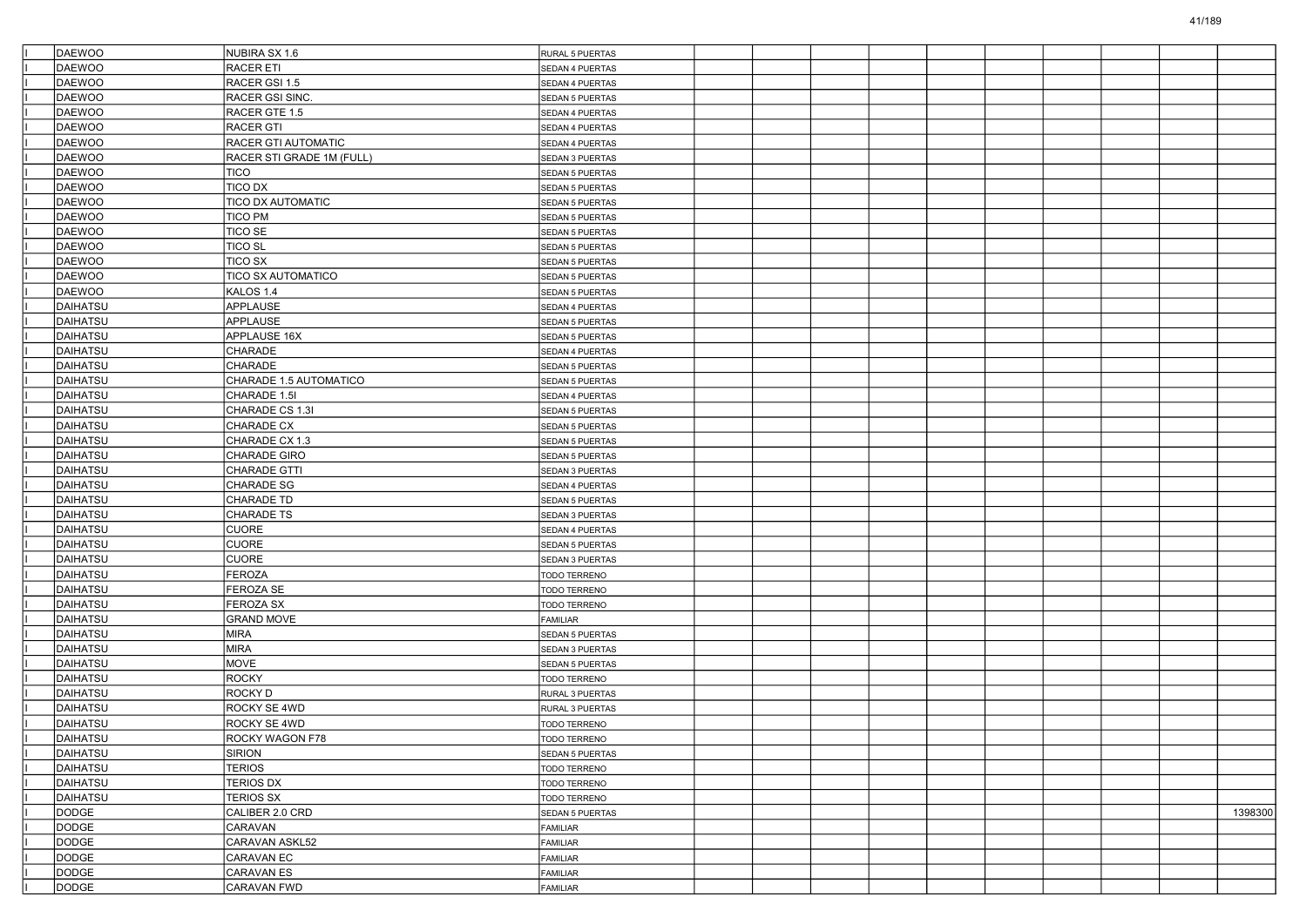| DAEWOO          | NUBIRA SX 1.6             | RURAL 5 PUERTAS        |  |  |  |  |         |
|-----------------|---------------------------|------------------------|--|--|--|--|---------|
| <b>DAEWOO</b>   | RACER ETI                 | SEDAN 4 PUERTAS        |  |  |  |  |         |
| DAEWOO          | RACER GSI 1.5             | SEDAN 4 PUERTAS        |  |  |  |  |         |
| DAEWOO          | RACER GSI SINC.           | SEDAN 5 PUERTAS        |  |  |  |  |         |
| DAEWOO          | RACER GTE 1.5             | SEDAN 4 PUERTAS        |  |  |  |  |         |
| DAEWOO          | <b>RACER GTI</b>          | SEDAN 4 PUERTAS        |  |  |  |  |         |
| <b>DAEWOO</b>   | RACER GTI AUTOMATIC       | SEDAN 4 PUERTAS        |  |  |  |  |         |
| DAEWOO          | RACER STI GRADE 1M (FULL) | SEDAN 3 PUERTAS        |  |  |  |  |         |
| DAEWOO          | <b>TICO</b>               | SEDAN 5 PUERTAS        |  |  |  |  |         |
| DAEWOO          | <b>TICO DX</b>            | <b>SEDAN 5 PUERTAS</b> |  |  |  |  |         |
| DAEWOO          | <b>TICO DX AUTOMATIC</b>  | SEDAN 5 PUERTAS        |  |  |  |  |         |
| <b>DAEWOO</b>   | <b>TICO PM</b>            | <b>SEDAN 5 PUERTAS</b> |  |  |  |  |         |
| DAEWOO          | <b>TICO SE</b>            | <b>SEDAN 5 PUERTAS</b> |  |  |  |  |         |
| DAEWOO          | <b>TICO SL</b>            | SEDAN 5 PUERTAS        |  |  |  |  |         |
| DAEWOO          | <b>TICO SX</b>            | <b>SEDAN 5 PUERTAS</b> |  |  |  |  |         |
| DAEWOO          | <b>TICO SX AUTOMATICO</b> | SEDAN 5 PUERTAS        |  |  |  |  |         |
| DAEWOO          | KALOS 1.4                 | <b>SEDAN 5 PUERTAS</b> |  |  |  |  |         |
| DAIHATSU        | APPLAUSE                  | SEDAN 4 PUERTAS        |  |  |  |  |         |
| DAIHATSU        | APPLAUSE                  | SEDAN 5 PUERTAS        |  |  |  |  |         |
| DAIHATSU        | APPLAUSE 16X              | <b>SEDAN 5 PUERTAS</b> |  |  |  |  |         |
| DAIHATSU        | CHARADE                   | SEDAN 4 PUERTAS        |  |  |  |  |         |
| DAIHATSU        | CHARADE                   | SEDAN 5 PUERTAS        |  |  |  |  |         |
| DAIHATSU        | CHARADE 1.5 AUTOMATICO    | <b>SEDAN 5 PUERTAS</b> |  |  |  |  |         |
| DAIHATSU        | CHARADE 1.5I              | SEDAN 4 PUERTAS        |  |  |  |  |         |
| DAIHATSU        | CHARADE CS 1.3I           | SEDAN 5 PUERTAS        |  |  |  |  |         |
| DAIHATSU        | CHARADE CX                | SEDAN 5 PUERTAS        |  |  |  |  |         |
| DAIHATSU        | CHARADE CX 1.3            | SEDAN 5 PUERTAS        |  |  |  |  |         |
| DAIHATSU        | CHARADE GIRO              | SEDAN 5 PUERTAS        |  |  |  |  |         |
| DAIHATSU        | CHARADE GTTI              | SEDAN 3 PUERTAS        |  |  |  |  |         |
| DAIHATSU        | CHARADE SG                | SEDAN 4 PUERTAS        |  |  |  |  |         |
| DAIHATSU        | <b>CHARADE TD</b>         | SEDAN 5 PUERTAS        |  |  |  |  |         |
| DAIHATSU        | CHARADE TS                | SEDAN 3 PUERTAS        |  |  |  |  |         |
| DAIHATSU        | <b>CUORE</b>              | SEDAN 4 PUERTAS        |  |  |  |  |         |
| DAIHATSU        | <b>CUORE</b>              | SEDAN 5 PUERTAS        |  |  |  |  |         |
| DAIHATSU        | <b>CUORE</b>              | SEDAN 3 PUERTAS        |  |  |  |  |         |
| DAIHATSU        | FEROZA                    | TODO TERRENO           |  |  |  |  |         |
| DAIHATSU        | FEROZA SE                 | <b>TODO TERRENO</b>    |  |  |  |  |         |
| DAIHATSU        | <b>FEROZA SX</b>          | TODO TERRENO           |  |  |  |  |         |
| DAIHATSU        | <b>GRAND MOVE</b>         | FAMILIAR               |  |  |  |  |         |
| DAIHATSU        | <b>MIRA</b>               | SEDAN 5 PUERTAS        |  |  |  |  |         |
| DAIHATSU        | <b>MIRA</b>               | SEDAN 3 PUERTAS        |  |  |  |  |         |
| DAIHATSU        | <b>MOVE</b>               | <b>SEDAN 5 PUERTAS</b> |  |  |  |  |         |
| DAIHATSU        | <b>ROCKY</b>              | <b>TODO TERRENO</b>    |  |  |  |  |         |
| DAIHATSU        | <b>ROCKYD</b>             | RURAL 3 PUERTAS        |  |  |  |  |         |
| DAIHATSU        | ROCKY SE 4WD              | RURAL 3 PUERTAS        |  |  |  |  |         |
| DAIHATSU        | ROCKY SE 4WD              | TODO TERRENO           |  |  |  |  |         |
| DAIHATSU        | <b>ROCKY WAGON F78</b>    | <b>TODO TERRENO</b>    |  |  |  |  |         |
| <b>DAIHATSU</b> | SIRION                    | SEDAN 5 PUERTAS        |  |  |  |  |         |
| DAIHATSU        | <b>TERIOS</b>             | TODO TERRENO           |  |  |  |  |         |
| DAIHATSU        | <b>TERIOS DX</b>          | TODO TERRENO           |  |  |  |  |         |
| DAIHATSU        | <b>TERIOS SX</b>          | TODO TERRENO           |  |  |  |  |         |
| DODGE           | CALIBER 2.0 CRD           | SEDAN 5 PUERTAS        |  |  |  |  | 1398300 |
| DODGE           | CARAVAN                   | FAMILIAR               |  |  |  |  |         |
| DODGE           | CARAVAN ASKL52            | FAMILIAR               |  |  |  |  |         |
| <b>DODGE</b>    | CARAVAN EC                | FAMILIAR               |  |  |  |  |         |
| DODGE           | CARAVAN ES                | FAMILIAR               |  |  |  |  |         |
| DODGE           | CARAVAN FWD               | FAMILIAR               |  |  |  |  |         |
|                 |                           |                        |  |  |  |  |         |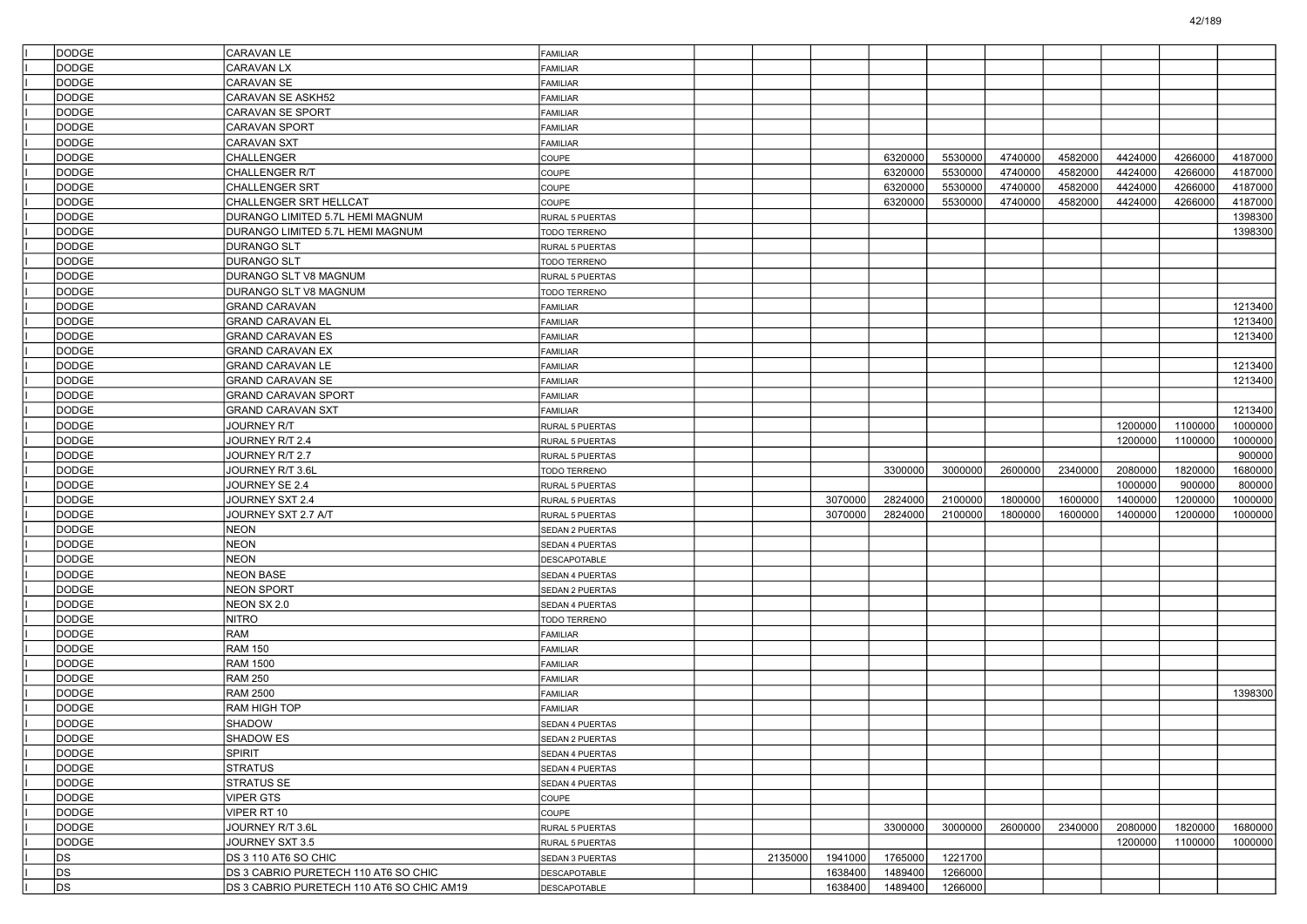| <b>DODGE</b>   | CARAVAN LE                                | <b>FAMILIAR</b>        |         |         |         |         |         |         |         |         |         |
|----------------|-------------------------------------------|------------------------|---------|---------|---------|---------|---------|---------|---------|---------|---------|
| <b>DODGE</b>   | CARAVAN LX                                | <b>FAMILIAR</b>        |         |         |         |         |         |         |         |         |         |
| <b>DODGE</b>   | CARAVAN SE                                | <b>FAMILIAR</b>        |         |         |         |         |         |         |         |         |         |
| <b>DODGE</b>   | CARAVAN SE ASKH52                         | FAMILIAR               |         |         |         |         |         |         |         |         |         |
| <b>DODGE</b>   | CARAVAN SE SPORT                          | FAMILIAR               |         |         |         |         |         |         |         |         |         |
| <b>DODGE</b>   | <b>CARAVAN SPORT</b>                      | <b>FAMILIAR</b>        |         |         |         |         |         |         |         |         |         |
| <b>DODGE</b>   | CARAVAN SXT                               | FAMILIAR               |         |         |         |         |         |         |         |         |         |
| <b>DODGE</b>   | CHALLENGER                                | COUPE                  |         |         | 6320000 | 5530000 | 4740000 | 4582000 | 4424000 | 4266000 | 4187000 |
| <b>DODGE</b>   | CHALLENGER R/T                            | COUPE                  |         |         | 6320000 | 5530000 | 4740000 | 4582000 | 4424000 | 4266000 | 4187000 |
| <b>DODGE</b>   | CHALLENGER SRT                            | COUPE                  |         |         | 6320000 | 5530000 | 4740000 | 4582000 | 4424000 | 4266000 | 4187000 |
| <b>DODGE</b>   | CHALLENGER SRT HELLCAT                    | COUPE                  |         |         | 6320000 | 5530000 | 4740000 | 4582000 | 4424000 | 4266000 | 4187000 |
| <b>DODGE</b>   | DURANGO LIMITED 5.7L HEMI MAGNUM          | RURAL 5 PUERTAS        |         |         |         |         |         |         |         |         | 1398300 |
| <b>DODGE</b>   | DURANGO LIMITED 5.7L HEMI MAGNUM          | TODO TERRENO           |         |         |         |         |         |         |         |         | 1398300 |
| <b>DODGE</b>   | DURANGO SLT                               | RURAL 5 PUERTAS        |         |         |         |         |         |         |         |         |         |
| DODGE          | DURANGO SLT                               | TODO TERRENO           |         |         |         |         |         |         |         |         |         |
| <b>DODGE</b>   | DURANGO SLT V8 MAGNUM                     | RURAL 5 PUERTAS        |         |         |         |         |         |         |         |         |         |
| <b>DODGE</b>   | DURANGO SLT V8 MAGNUM                     | TODO TERRENO           |         |         |         |         |         |         |         |         |         |
| <b>DODGE</b>   | <b>GRAND CARAVAN</b>                      | FAMILIAR               |         |         |         |         |         |         |         |         | 1213400 |
| <b>DODGE</b>   | GRAND CARAVAN EL                          | FAMILIAR               |         |         |         |         |         |         |         |         | 1213400 |
| DODGE          | GRAND CARAVAN ES                          | FAMILIAR               |         |         |         |         |         |         |         |         | 1213400 |
| <b>DODGE</b>   | <b>GRAND CARAVAN EX</b>                   | <b>FAMILIAR</b>        |         |         |         |         |         |         |         |         |         |
| <b>DODGE</b>   | GRAND CARAVAN LE                          | FAMILIAR               |         |         |         |         |         |         |         |         | 1213400 |
| <b>DODGE</b>   | GRAND CARAVAN SE                          | FAMILIAR               |         |         |         |         |         |         |         |         | 1213400 |
| <b>DODGE</b>   | GRAND CARAVAN SPORT                       | FAMILIAR               |         |         |         |         |         |         |         |         |         |
| <b>DODGE</b>   | <b>GRAND CARAVAN SXT</b>                  | <b>FAMILIAR</b>        |         |         |         |         |         |         |         |         | 1213400 |
| <b>DODGE</b>   | JOURNEY R/T                               | RURAL 5 PUERTAS        |         |         |         |         |         |         | 1200000 | 1100000 | 1000000 |
| <b>DODGE</b>   | JOURNEY R/T 2.4                           | RURAL 5 PUERTAS        |         |         |         |         |         |         | 1200000 | 1100000 | 1000000 |
| <b>DODGE</b>   | JOURNEY R/T 2.7                           | RURAL 5 PUERTAS        |         |         |         |         |         |         |         |         | 900000  |
| <b>DODGE</b>   | JOURNEY R/T 3.6L                          | TODO TERRENO           |         |         | 3300000 | 3000000 | 2600000 | 2340000 | 2080000 | 1820000 | 1680000 |
| <b>DODGE</b>   | JOURNEY SE 2.4                            | RURAL 5 PUERTAS        |         |         |         |         |         |         | 1000000 | 900000  | 800000  |
| <b>DODGE</b>   | JOURNEY SXT 2.4                           | RURAL 5 PUERTAS        |         | 3070000 | 2824000 | 2100000 | 1800000 | 1600000 | 1400000 | 1200000 | 1000000 |
| <b>DODGE</b>   | JOURNEY SXT 2.7 A/T                       | RURAL 5 PUERTAS        |         | 3070000 | 2824000 | 2100000 | 1800000 | 1600000 | 1400000 | 1200000 | 1000000 |
| <b>DODGE</b>   | <b>NEON</b>                               | SEDAN 2 PUERTAS        |         |         |         |         |         |         |         |         |         |
| <b>DODGE</b>   | <b>NEON</b>                               | SEDAN 4 PUERTAS        |         |         |         |         |         |         |         |         |         |
| <b>DODGE</b>   | <b>NEON</b>                               | DESCAPOTABLE           |         |         |         |         |         |         |         |         |         |
| <b>DODGE</b>   | NEON BASE                                 | SEDAN 4 PUERTAS        |         |         |         |         |         |         |         |         |         |
| <b>DODGE</b>   | <b>NEON SPORT</b>                         | SEDAN 2 PUERTAS        |         |         |         |         |         |         |         |         |         |
| <b>DODGE</b>   | NEON SX 2.0                               | SEDAN 4 PUERTAS        |         |         |         |         |         |         |         |         |         |
| <b>DODGE</b>   | NITRO                                     | TODO TERRENO           |         |         |         |         |         |         |         |         |         |
| <b>DODGE</b>   | RAM                                       | <b>FAMILIAR</b>        |         |         |         |         |         |         |         |         |         |
| <b>DODGE</b>   | RAM 150                                   | <b>FAMILIAR</b>        |         |         |         |         |         |         |         |         |         |
| <b>DODGE</b>   | RAM 1500                                  | FAMILIAR               |         |         |         |         |         |         |         |         |         |
| <b>DODGE</b>   | <b>RAM 250</b>                            | <b>FAMILIAR</b>        |         |         |         |         |         |         |         |         |         |
| <b>DODGE</b>   | <b>RAM 2500</b>                           | FAMILIAR               |         |         |         |         |         |         |         |         | 1398300 |
| <b>DODGE</b>   | RAM HIGH TOP                              | <b>FAMILIAR</b>        |         |         |         |         |         |         |         |         |         |
| <b>DODGE</b>   | SHADOW                                    | SEDAN 4 PUERTAS        |         |         |         |         |         |         |         |         |         |
| DODGE          | <b>SHADOW ES</b>                          | <b>SEDAN 2 PUERTAS</b> |         |         |         |         |         |         |         |         |         |
| <b>DODGE</b>   | SPIRIT                                    | SEDAN 4 PUERTAS        |         |         |         |         |         |         |         |         |         |
| DODGE          | STRATUS                                   | SEDAN 4 PUERTAS        |         |         |         |         |         |         |         |         |         |
| DODGE          | <b>STRATUS SE</b>                         | SEDAN 4 PUERTAS        |         |         |         |         |         |         |         |         |         |
| DODGE          | <b>VIPER GTS</b>                          | COUPE                  |         |         |         |         |         |         |         |         |         |
| DODGE          | VIPER RT 10                               | COUPE                  |         |         |         |         |         |         |         |         |         |
| DODGE          | JOURNEY R/T 3.6L                          | RURAL 5 PUERTAS        |         |         | 3300000 | 3000000 | 2600000 | 2340000 | 2080000 | 1820000 | 1680000 |
| DODGE          | JOURNEY SXT 3.5                           | RURAL 5 PUERTAS        |         |         |         |         |         |         | 1200000 | 1100000 | 1000000 |
| DS             | DS 3 110 AT6 SO CHIC                      | SEDAN 3 PUERTAS        | 2135000 | 1941000 | 1765000 | 1221700 |         |         |         |         |         |
| D <sub>S</sub> | DS 3 CABRIO PURETECH 110 AT6 SO CHIC      | <b>DESCAPOTABLE</b>    |         | 1638400 | 1489400 | 1266000 |         |         |         |         |         |
| D <sub>S</sub> | DS 3 CABRIO PURETECH 110 AT6 SO CHIC AM19 | <b>DESCAPOTABLE</b>    |         | 1638400 | 1489400 | 1266000 |         |         |         |         |         |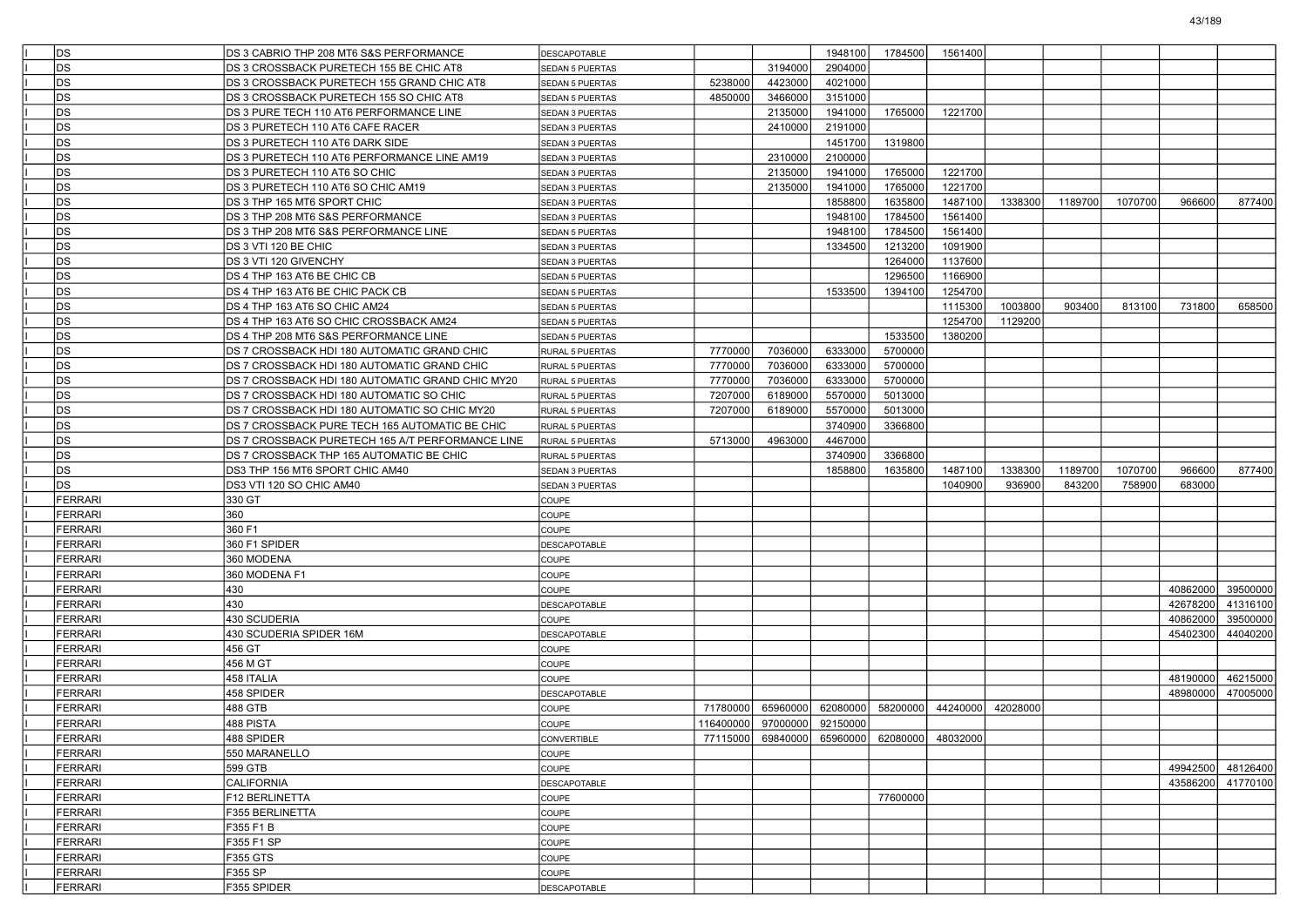| <b>DS</b>          | DS 3 CABRIO THP 208 MT6 S&S PERFORMANCE          | DESCAPOTABLE           |           |                                              | 1948100  | 1784500  | 1561400  |          |         |         |          |                   |
|--------------------|--------------------------------------------------|------------------------|-----------|----------------------------------------------|----------|----------|----------|----------|---------|---------|----------|-------------------|
| D <sub>S</sub>     | DS 3 CROSSBACK PURETECH 155 BE CHIC AT8          | <b>SEDAN 5 PUERTAS</b> |           | 3194000                                      | 2904000  |          |          |          |         |         |          |                   |
| D <sub>S</sub>     | DS 3 CROSSBACK PURETECH 155 GRAND CHIC AT8       | SEDAN 5 PUERTAS        | 5238000   | 4423000                                      | 4021000  |          |          |          |         |         |          |                   |
| D <sub>S</sub>     | DS 3 CROSSBACK PURETECH 155 SO CHIC AT8          | <b>SEDAN 5 PUERTAS</b> | 4850000   | 3466000                                      | 3151000  |          |          |          |         |         |          |                   |
| lds                | DS 3 PURE TECH 110 AT6 PERFORMANCE LINE          | SEDAN 3 PUERTAS        |           | 2135000                                      | 1941000  | 1765000  | 1221700  |          |         |         |          |                   |
| <b>DS</b>          | DS 3 PURETECH 110 AT6 CAFE RACER                 | SEDAN 3 PUERTAS        |           | 2410000                                      | 2191000  |          |          |          |         |         |          |                   |
| D <sub>S</sub>     | DS 3 PURETECH 110 AT6 DARK SIDE                  | SEDAN 3 PUERTAS        |           |                                              | 1451700  | 1319800  |          |          |         |         |          |                   |
| D <sub>S</sub>     | DS 3 PURETECH 110 AT6 PERFORMANCE LINE AM19      | SEDAN 3 PUERTAS        |           | 2310000                                      | 2100000  |          |          |          |         |         |          |                   |
| D <sub>S</sub>     | DS 3 PURETECH 110 AT6 SO CHIC                    | SEDAN 3 PUERTAS        |           | 2135000                                      | 1941000  | 1765000  | 1221700  |          |         |         |          |                   |
| D <sub>S</sub>     | DS 3 PURETECH 110 AT6 SO CHIC AM19               | SEDAN 3 PUERTAS        |           | 2135000                                      | 1941000  | 1765000  | 1221700  |          |         |         |          |                   |
| <b>DS</b>          | DS 3 THP 165 MT6 SPORT CHIC                      | SEDAN 3 PUERTAS        |           |                                              | 1858800  | 1635800  | 1487100  | 1338300  | 1189700 | 1070700 | 966600   | 877400            |
| D <sub>S</sub>     | DS 3 THP 208 MT6 S&S PERFORMANCE                 | SEDAN 3 PUERTAS        |           |                                              | 1948100  | 1784500  | 1561400  |          |         |         |          |                   |
| D <sub>S</sub>     | DS 3 THP 208 MT6 S&S PERFORMANCE LINE            | SEDAN 5 PUERTAS        |           |                                              | 1948100  | 1784500  | 1561400  |          |         |         |          |                   |
| DS                 | DS 3 VTI 120 BE CHIC                             | SEDAN 3 PUERTAS        |           |                                              | 1334500  | 1213200  | 1091900  |          |         |         |          |                   |
| D <sub>S</sub>     | DS 3 VTI 120 GIVENCHY                            | SEDAN 3 PUERTAS        |           |                                              |          | 1264000  | 1137600  |          |         |         |          |                   |
| <b>DS</b>          | DS 4 THP 163 AT6 BE CHIC CB                      | <b>SEDAN 5 PUERTAS</b> |           |                                              |          | 1296500  | 1166900  |          |         |         |          |                   |
| D <sub>S</sub>     | DS 4 THP 163 AT6 BE CHIC PACK CB                 | SEDAN 5 PUERTAS        |           |                                              | 1533500  | 1394100  | 1254700  |          |         |         |          |                   |
| D <sub>S</sub>     | DS 4 THP 163 AT6 SO CHIC AM24                    | SEDAN 5 PUERTAS        |           |                                              |          |          | 1115300  | 1003800  | 903400  | 813100  | 731800   | 658500            |
| DS                 | DS 4 THP 163 AT6 SO CHIC CROSSBACK AM24          | <b>SEDAN 5 PUERTAS</b> |           |                                              |          |          | 1254700  | 1129200  |         |         |          |                   |
| D <sub>S</sub>     | DS 4 THP 208 MT6 S&S PERFORMANCE LINE            | SEDAN 5 PUERTAS        |           |                                              |          | 1533500  | 1380200  |          |         |         |          |                   |
| DS                 | DS 7 CROSSBACK HDI 180 AUTOMATIC GRAND CHIC      | RURAL 5 PUERTAS        | 7770000   | 7036000                                      | 6333000  | 5700000  |          |          |         |         |          |                   |
| D <sub>S</sub>     | DS 7 CROSSBACK HDI 180 AUTOMATIC GRAND CHIC      | RURAL 5 PUERTAS        | 7770000   | 7036000                                      | 6333000  | 5700000  |          |          |         |         |          |                   |
| D <sub>S</sub>     | DS 7 CROSSBACK HDI 180 AUTOMATIC GRAND CHIC MY20 | RURAL 5 PUERTAS        | 7770000   | 7036000                                      | 6333000  | 5700000  |          |          |         |         |          |                   |
| DS                 | DS 7 CROSSBACK HDI 180 AUTOMATIC SO CHIC         | <b>RURAL 5 PUERTAS</b> | 7207000   | 6189000                                      | 5570000  | 5013000  |          |          |         |         |          |                   |
| lds                | DS 7 CROSSBACK HDI 180 AUTOMATIC SO CHIC MY20    | RURAL 5 PUERTAS        | 7207000   | 6189000                                      | 5570000  | 5013000  |          |          |         |         |          |                   |
| <b>DS</b>          | DS 7 CROSSBACK PURE TECH 165 AUTOMATIC BE CHIC   | RURAL 5 PUERTAS        |           |                                              | 3740900  | 3366800  |          |          |         |         |          |                   |
| D <sub>S</sub>     | DS 7 CROSSBACK PURETECH 165 A/T PERFORMANCE LINE | RURAL 5 PUERTAS        | 5713000   | 4963000                                      | 4467000  |          |          |          |         |         |          |                   |
| D <sub>S</sub>     | DS 7 CROSSBACK THP 165 AUTOMATIC BE CHIC         | RURAL 5 PUERTAS        |           |                                              | 3740900  | 3366800  |          |          |         |         |          |                   |
|                    |                                                  |                        |           |                                              |          |          |          |          |         |         |          |                   |
|                    |                                                  |                        |           |                                              |          |          |          |          |         |         |          |                   |
| DS                 | DS3 THP 156 MT6 SPORT CHIC AM40                  | SEDAN 3 PUERTAS        |           |                                              | 1858800  | 1635800  | 1487100  | 1338300  | 1189700 | 1070700 | 966600   | 877400            |
| <b>DS</b>          | DS3 VTI 120 SO CHIC AM40                         | SEDAN 3 PUERTAS        |           |                                              |          |          | 1040900  | 936900   | 843200  | 758900  | 683000   |                   |
| FERRARI            | 330 GT                                           | <b>COUPE</b>           |           |                                              |          |          |          |          |         |         |          |                   |
| <b>FERRARI</b>     | 360                                              | <b>COUPE</b>           |           |                                              |          |          |          |          |         |         |          |                   |
| <b>FERRARI</b>     | 360 F1                                           | <b>COUPE</b>           |           |                                              |          |          |          |          |         |         |          |                   |
| FERRARI            | 360 F1 SPIDER                                    | DESCAPOTABLE           |           |                                              |          |          |          |          |         |         |          |                   |
| FERRARI            | 360 MODENA                                       | <b>COUPE</b>           |           |                                              |          |          |          |          |         |         |          |                   |
| FERRARI            | 360 MODENA F1                                    | <b>COUPE</b>           |           |                                              |          |          |          |          |         |         |          |                   |
| FERRARI            | 430                                              | <b>COUPE</b>           |           |                                              |          |          |          |          |         |         | 40862000 | 39500000          |
| <b>FERRARI</b>     | 430                                              | DESCAPOTABLE           |           |                                              |          |          |          |          |         |         | 42678200 | 41316100          |
| FERRARI            | 430 SCUDERIA                                     | <b>COUPE</b>           |           |                                              |          |          |          |          |         |         | 40862000 | 39500000          |
| FERRARI            | 430 SCUDERIA SPIDER 16M                          | DESCAPOTABLE           |           |                                              |          |          |          |          |         |         | 45402300 | 44040200          |
| FERRARI            | 456 GT                                           | <b>COUPE</b>           |           |                                              |          |          |          |          |         |         |          |                   |
| FERRARI            | 456 M GT                                         | <b>COUPE</b>           |           |                                              |          |          |          |          |         |         |          |                   |
| FERRARI            | 458 ITALIA                                       | <b>COUPE</b>           |           |                                              |          |          |          |          |         |         | 48190000 | 46215000          |
| FERRARI            | 458 SPIDER                                       | DESCAPOTABLE           |           |                                              |          |          |          |          |         |         | 48980000 | 47005000          |
| FERRARI            | 488 GTB                                          | <b>COUPE</b>           | 71780000  | 65960000                                     | 62080000 | 58200000 | 44240000 | 42028000 |         |         |          |                   |
| FERRARI            | 488 PISTA                                        | <b>COUPE</b>           | 116400000 | 97000000                                     | 92150000 |          |          |          |         |         |          |                   |
| FERRARI            | 488 SPIDER                                       | <b>CONVERTIBLE</b>     |           | 77115000 69840000 65960000 62080000 48032000 |          |          |          |          |         |         |          |                   |
| FERRARI            | 550 MARANELLO                                    | COUPE                  |           |                                              |          |          |          |          |         |         |          |                   |
| FERRARI            | 599 GTB                                          | COUPE                  |           |                                              |          |          |          |          |         |         | 49942500 | 48126400          |
| FERRARI            | CALIFORNIA                                       | DESCAPOTABLE           |           |                                              |          |          |          |          |         |         |          | 43586200 41770100 |
| FERRARI            | F12 BERLINETTA                                   | COUPE                  |           |                                              |          | 77600000 |          |          |         |         |          |                   |
| FERRARI            | F355 BERLINETTA                                  | COUPE                  |           |                                              |          |          |          |          |         |         |          |                   |
| FERRARI            | F355 F1 B                                        | <b>COUPE</b>           |           |                                              |          |          |          |          |         |         |          |                   |
| FERRARI            | F355 F1 SP                                       | COUPE                  |           |                                              |          |          |          |          |         |         |          |                   |
| FERRARI            | F355 GTS                                         | COUPE                  |           |                                              |          |          |          |          |         |         |          |                   |
| FERRARI<br>FERRARI | F355 SP<br>F355 SPIDER                           | COUPE                  |           |                                              |          |          |          |          |         |         |          |                   |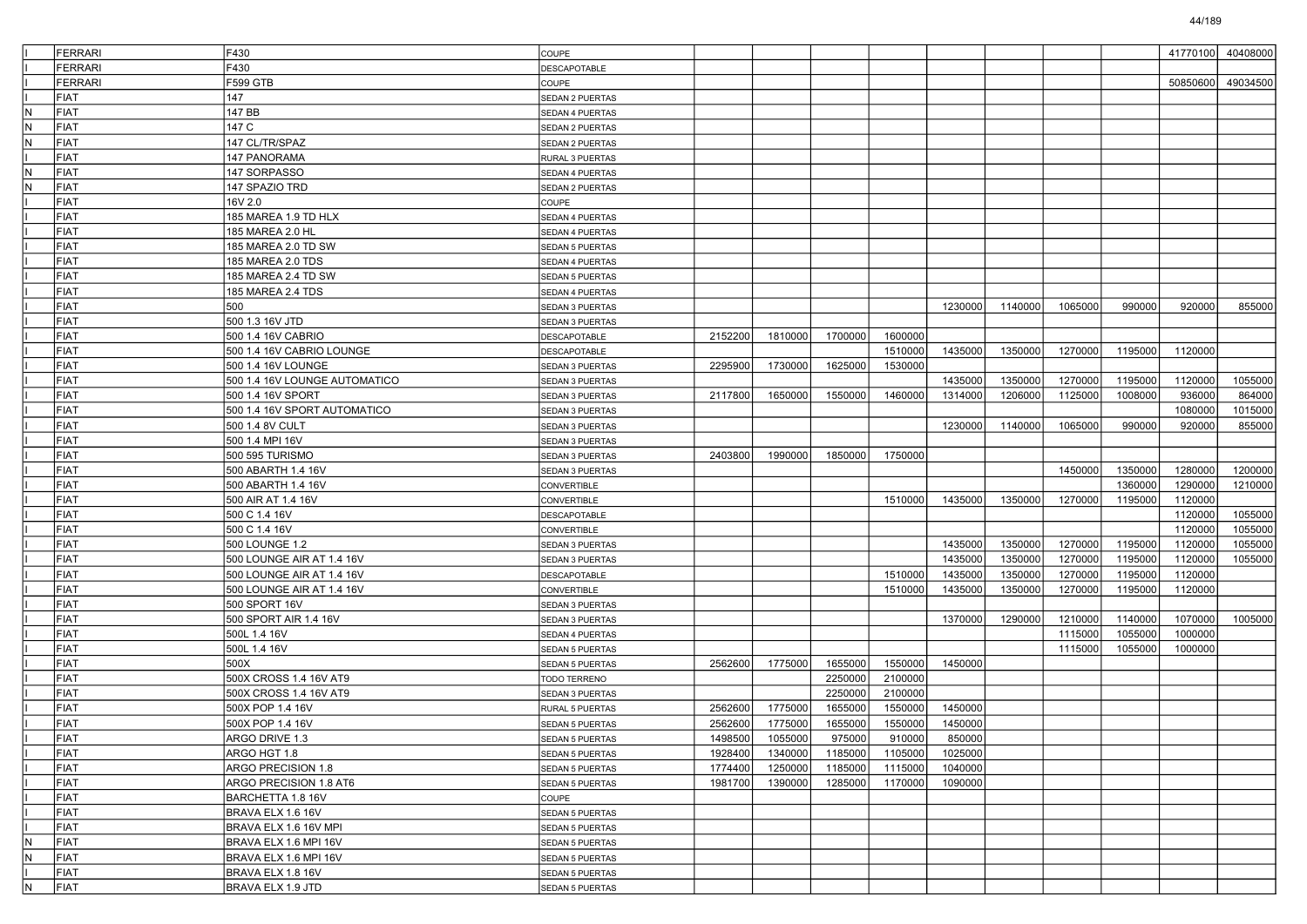|     | <b>FERRARI</b> | F430                          | <b>COUPE</b>           |         |         |         |         |         |         |         |         | 41770100 | 40408000 |
|-----|----------------|-------------------------------|------------------------|---------|---------|---------|---------|---------|---------|---------|---------|----------|----------|
|     | <b>FERRARI</b> | F430                          | DESCAPOTABLE           |         |         |         |         |         |         |         |         |          |          |
|     | <b>FERRARI</b> | F599 GTB                      | COUPE                  |         |         |         |         |         |         |         |         | 50850600 | 49034500 |
|     | FIAT           | 147                           | SEDAN 2 PUERTAS        |         |         |         |         |         |         |         |         |          |          |
| N   | FIAT           | 147 BB                        | SEDAN 4 PUERTAS        |         |         |         |         |         |         |         |         |          |          |
| IN. | FIAT           | 147 C                         | SEDAN 2 PUERTAS        |         |         |         |         |         |         |         |         |          |          |
| lN  | <b>FIAT</b>    | 147 CL/TR/SPAZ                | SEDAN 2 PUERTAS        |         |         |         |         |         |         |         |         |          |          |
|     | <b>FIAT</b>    | 147 PANORAMA                  | RURAL 3 PUERTAS        |         |         |         |         |         |         |         |         |          |          |
| lN. | FIAT           | 147 SORPASSO                  | <b>SEDAN 4 PUERTAS</b> |         |         |         |         |         |         |         |         |          |          |
| N   | FIAT           | 147 SPAZIO TRD                | SEDAN 2 PUERTAS        |         |         |         |         |         |         |         |         |          |          |
|     | <b>FIAT</b>    | 16V 2.0                       | COUPE                  |         |         |         |         |         |         |         |         |          |          |
|     | <b>FIAT</b>    | 185 MAREA 1.9 TD HLX          | SEDAN 4 PUERTAS        |         |         |         |         |         |         |         |         |          |          |
|     | <b>FIAT</b>    | 185 MAREA 2.0 HL              | <b>SEDAN 4 PUERTAS</b> |         |         |         |         |         |         |         |         |          |          |
|     | FIAT           | 185 MAREA 2.0 TD SW           | SEDAN 5 PUERTAS        |         |         |         |         |         |         |         |         |          |          |
|     | FIAT           | 185 MAREA 2.0 TDS             | SEDAN 4 PUERTAS        |         |         |         |         |         |         |         |         |          |          |
|     | <b>FIAT</b>    | 185 MAREA 2.4 TD SW           | SEDAN 5 PUERTAS        |         |         |         |         |         |         |         |         |          |          |
|     | <b>FIAT</b>    | 185 MAREA 2.4 TDS             | SEDAN 4 PUERTAS        |         |         |         |         |         |         |         |         |          |          |
|     | <b>FIAT</b>    | 500                           | SEDAN 3 PUERTAS        |         |         |         |         | 1230000 | 1140000 | 1065000 | 990000  | 920000   | 855000   |
|     | FIAT           | 500 1.3 16V JTD               | SEDAN 3 PUERTAS        |         |         |         |         |         |         |         |         |          |          |
|     | FIAT           | 500 1.4 16V CABRIO            | <b>DESCAPOTABLE</b>    | 2152200 | 1810000 | 1700000 | 1600000 |         |         |         |         |          |          |
|     | <b>FIAT</b>    | 500 1.4 16V CABRIO LOUNGE     | DESCAPOTABLE           |         |         |         | 1510000 | 1435000 | 1350000 | 1270000 | 1195000 | 1120000  |          |
|     | <b>FIAT</b>    | 500 1.4 16V LOUNGE            | SEDAN 3 PUERTAS        | 2295900 | 1730000 | 1625000 | 1530000 |         |         |         |         |          |          |
|     | <b>FIAT</b>    | 500 1.4 16V LOUNGE AUTOMATICO | SEDAN 3 PUERTAS        |         |         |         |         | 1435000 | 1350000 | 1270000 | 1195000 | 1120000  | 1055000  |
|     | FIAT           |                               | SEDAN 3 PUERTAS        | 2117800 | 1650000 | 1550000 | 1460000 | 1314000 | 1206000 | 1125000 | 1008000 | 936000   | 864000   |
|     | FIAT           | 500 1.4 16V SPORT AUTOMATICO  | SEDAN 3 PUERTAS        |         |         |         |         |         |         |         |         | 1080000  | 1015000  |
|     | FIAT           | 500 1.4 8V CULT               | SEDAN 3 PUERTAS        |         |         |         |         | 1230000 | 1140000 | 1065000 | 990000  | 920000   | 855000   |
|     | <b>FIAT</b>    | 500 1.4 MPI 16V               | SEDAN 3 PUERTAS        |         |         |         |         |         |         |         |         |          |          |
|     | <b>FIAT</b>    | 500 595 TURISMO               | SEDAN 3 PUERTAS        | 2403800 | 1990000 | 1850000 | 1750000 |         |         |         |         |          |          |
|     | FIAT           | 500 ABARTH 1.4 16V            | SEDAN 3 PUERTAS        |         |         |         |         |         |         | 1450000 | 1350000 | 1280000  | 1200000  |
|     | FIAT           | 500 ABARTH 1.4 16V            | <b>CONVERTIBLE</b>     |         |         |         |         |         |         |         | 1360000 | 1290000  | 1210000  |
|     | FIAT           | 500 AIR AT 1.4 16V            | CONVERTIBLE            |         |         |         | 1510000 | 1435000 | 1350000 | 1270000 | 1195000 | 1120000  |          |
|     | <b>FIAT</b>    | 500 C 1.4 16V                 | DESCAPOTABLE           |         |         |         |         |         |         |         |         | 1120000  | 1055000  |
|     | FIAT           | 500 C 1.4 16V                 | <b>CONVERTIBLE</b>     |         |         |         |         |         |         |         |         | 1120000  | 1055000  |
|     | FIAT           | 500 LOUNGE 1.2                | SEDAN 3 PUERTAS        |         |         |         |         | 1435000 | 1350000 | 1270000 | 1195000 | 1120000  | 1055000  |
|     | FIAT           | 500 LOUNGE AIR AT 1.4 16V     | SEDAN 3 PUERTAS        |         |         |         |         | 1435000 | 1350000 | 1270000 | 1195000 | 1120000  | 1055000  |
|     | <b>FIAT</b>    | 500 LOUNGE AIR AT 1.4 16V     | DESCAPOTABLE           |         |         |         | 1510000 | 1435000 | 1350000 | 1270000 | 1195000 | 1120000  |          |
|     | <b>FIAT</b>    | 500 LOUNGE AIR AT 1.4 16V     | CONVERTIBLE            |         |         |         | 1510000 | 1435000 | 1350000 | 1270000 | 1195000 | 1120000  |          |
|     | <b>FIAT</b>    | 500 SPORT 16V                 | SEDAN 3 PUERTAS        |         |         |         |         |         |         |         |         |          |          |
|     | FIAT           | 500 SPORT AIR 1.4 16V         | SEDAN 3 PUERTAS        |         |         |         |         | 1370000 | 1290000 | 1210000 | 1140000 | 1070000  | 1005000  |
|     | FIAT           | 500L 1.4 16V                  | SEDAN 4 PUERTAS        |         |         |         |         |         |         | 1115000 | 1055000 | 1000000  |          |
|     | FIAT           | 500L 1.4 16V                  | SEDAN 5 PUERTAS        |         |         |         |         |         |         | 1115000 | 1055000 | 1000000  |          |
|     | <b>FIAT</b>    | 500X                          | SEDAN 5 PUERTAS        | 2562600 | 1775000 | 1655000 | 1550000 | 1450000 |         |         |         |          |          |
|     | <b>FIAT</b>    | 500X CROSS 1.4 16V AT9        | TODO TERRENO           |         |         | 2250000 | 2100000 |         |         |         |         |          |          |
|     | FIAT           | 500X CROSS 1.4 16V AT9        | <b>SEDAN 3 PUERTAS</b> |         |         | 2250000 | 2100000 |         |         |         |         |          |          |
|     | FIAT           | 500X POP 1.4 16V              | RURAL 5 PUERTAS        | 2562600 | 1775000 | 1655000 | 1550000 | 1450000 |         |         |         |          |          |
|     | <b>FIAT</b>    | 500X POP 1.4 16V              | <b>SEDAN 5 PUERTAS</b> | 2562600 | 1775000 | 1655000 | 1550000 | 1450000 |         |         |         |          |          |
|     | FIAT           | ARGO DRIVE 1.3                | <b>SEDAN 5 PUERTAS</b> | 1498500 | 1055000 | 975000  | 910000  | 850000  |         |         |         |          |          |
|     | FIAT           | ARGO HGT 1.8                  | SEDAN 5 PUERTAS        | 1928400 | 1340000 | 1185000 | 1105000 | 1025000 |         |         |         |          |          |
|     | FIAT           | ARGO PRECISION 1.8            | SEDAN 5 PUERTAS        | 1774400 | 1250000 | 1185000 | 1115000 | 1040000 |         |         |         |          |          |
|     | FIAT           | ARGO PRECISION 1.8 AT6        | SEDAN 5 PUERTAS        | 1981700 | 1390000 | 1285000 | 1170000 | 1090000 |         |         |         |          |          |
|     | FIAT           | BARCHETTA 1.8 16V             | COUPE                  |         |         |         |         |         |         |         |         |          |          |
|     | FIAT           | BRAVA ELX 1.6 16V             | SEDAN 5 PUERTAS        |         |         |         |         |         |         |         |         |          |          |
|     | FIAT           | BRAVA ELX 1.6 16V MPI         | SEDAN 5 PUERTAS        |         |         |         |         |         |         |         |         |          |          |
| IN. | FIAT           | BRAVA ELX 1.6 MPI 16V         | SEDAN 5 PUERTAS        |         |         |         |         |         |         |         |         |          |          |
| IN. | FIAT           | BRAVA ELX 1.6 MPI 16V         | SEDAN 5 PUERTAS        |         |         |         |         |         |         |         |         |          |          |
|     | FIAT           | BRAVA ELX 1.8 16V             | SEDAN 5 PUERTAS        |         |         |         |         |         |         |         |         |          |          |
| IN. | FIAT           | BRAVA ELX 1.9 JTD             | SEDAN 5 PUERTAS        |         |         |         |         |         |         |         |         |          |          |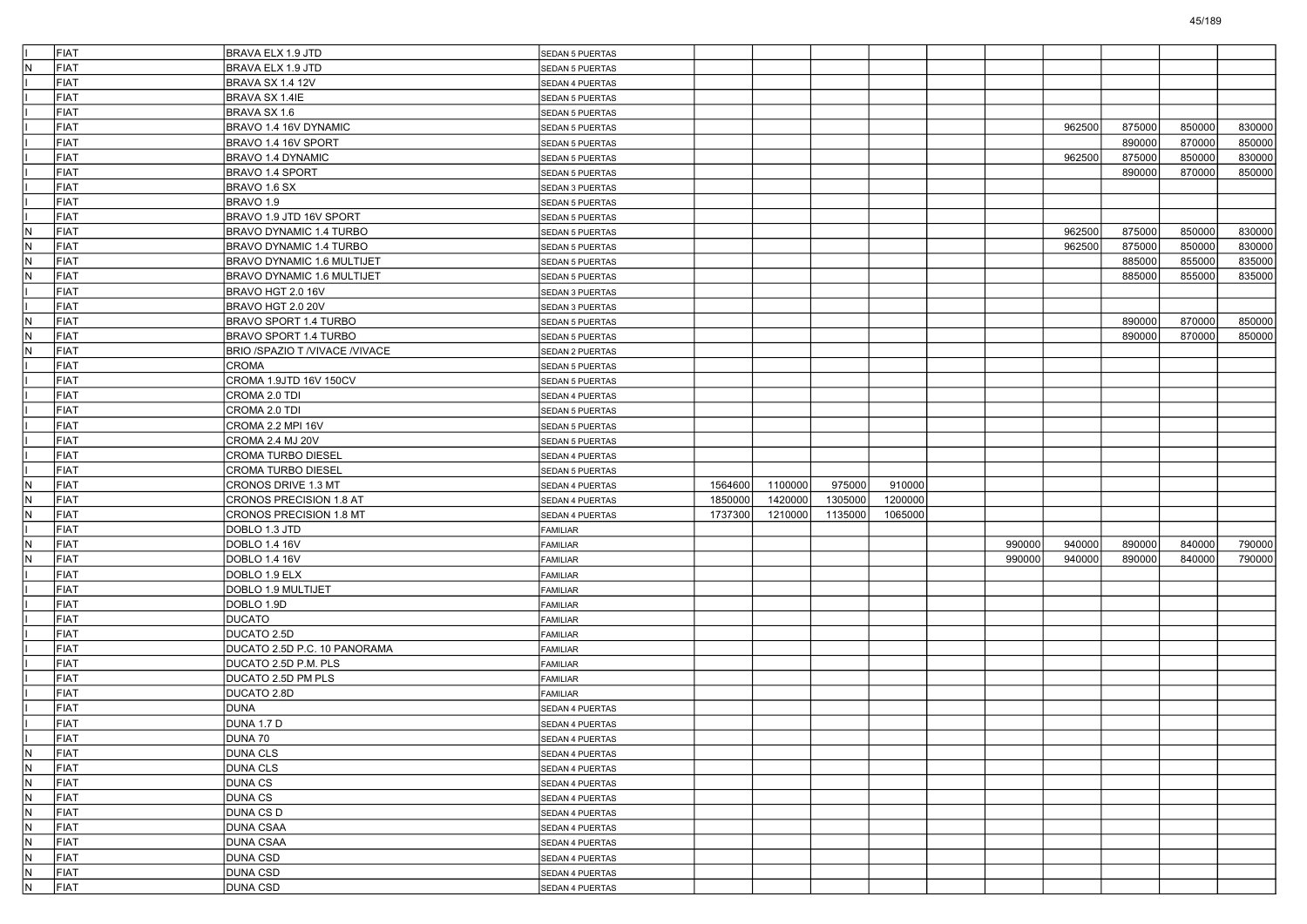|                                  | FIAT | <b>BRAVA ELX 1.9 JTD</b>           | SEDAN 5 PUERTAS                    |         |         |         |         |        |        |        |        |        |
|----------------------------------|------|------------------------------------|------------------------------------|---------|---------|---------|---------|--------|--------|--------|--------|--------|
| İN.                              | FIAT | BRAVA ELX 1.9 JTD                  | SEDAN 5 PUERTAS                    |         |         |         |         |        |        |        |        |        |
|                                  | FIAT | BRAVA SX 1.4 12V                   | SEDAN 4 PUERTAS                    |         |         |         |         |        |        |        |        |        |
|                                  | FIAT | BRAVA SX 1.4IE                     | SEDAN 5 PUERTAS                    |         |         |         |         |        |        |        |        |        |
|                                  | FIAT | BRAVA SX 1.6                       | SEDAN 5 PUERTAS                    |         |         |         |         |        |        |        |        |        |
|                                  | FIAT | BRAVO 1.4 16V DYNAMIC              | SEDAN 5 PUERTAS                    |         |         |         |         |        | 962500 | 875000 | 850000 | 830000 |
|                                  | FIAT | BRAVO 1.4 16V SPORT                | <b>SEDAN 5 PUERTAS</b>             |         |         |         |         |        |        | 890000 | 870000 | 850000 |
|                                  | FIAT | BRAVO 1.4 DYNAMIC                  | SEDAN 5 PUERTAS                    |         |         |         |         |        | 962500 | 875000 | 850000 | 830000 |
|                                  | FIAT | BRAVO 1.4 SPORT                    | SEDAN 5 PUERTAS                    |         |         |         |         |        |        | 890000 | 870000 | 850000 |
|                                  | FIAT | BRAVO 1.6 SX                       | SEDAN 3 PUERTAS                    |         |         |         |         |        |        |        |        |        |
|                                  | FIAT | BRAVO 1.9                          | SEDAN 5 PUERTAS                    |         |         |         |         |        |        |        |        |        |
|                                  | FIAT | BRAVO 1.9 JTD 16V SPORT            | SEDAN 5 PUERTAS                    |         |         |         |         |        |        |        |        |        |
| IN.                              | FIAT | BRAVO DYNAMIC 1.4 TURBO            | SEDAN 5 PUERTAS                    |         |         |         |         |        | 962500 | 875000 | 850000 | 830000 |
| N.                               | FIAT | BRAVO DYNAMIC 1.4 TURBO            | SEDAN 5 PUERTAS                    |         |         |         |         |        | 962500 | 875000 | 850000 | 830000 |
| IN.                              | FIAT | BRAVO DYNAMIC 1.6 MULTIJET         | SEDAN 5 PUERTAS                    |         |         |         |         |        |        | 885000 | 855000 | 835000 |
| N.                               | FIAT | BRAVO DYNAMIC 1.6 MULTIJET         | SEDAN 5 PUERTAS                    |         |         |         |         |        |        | 885000 | 855000 | 835000 |
|                                  | FIAT | BRAVO HGT 2.0 16V                  | SEDAN 3 PUERTAS                    |         |         |         |         |        |        |        |        |        |
|                                  | FIAT | BRAVO HGT 2.0 20V                  | SEDAN 3 PUERTAS                    |         |         |         |         |        |        |        |        |        |
| IN.                              | FIAT | BRAVO SPORT 1.4 TURBO              | SEDAN 5 PUERTAS                    |         |         |         |         |        |        | 890000 | 870000 | 850000 |
| IN.                              | FIAT | BRAVO SPORT 1.4 TURBO              | SEDAN 5 PUERTAS                    |         |         |         |         |        |        | 890000 | 870000 | 850000 |
| IN.                              | FIAT | BRIO /SPAZIO T /VIVACE /VIVACE     | SEDAN 2 PUERTAS                    |         |         |         |         |        |        |        |        |        |
|                                  | FIAT | <b>CROMA</b>                       | SEDAN 5 PUERTAS                    |         |         |         |         |        |        |        |        |        |
|                                  | FIAT | CROMA 1.9JTD 16V 150CV             | SEDAN 5 PUERTAS                    |         |         |         |         |        |        |        |        |        |
|                                  | FIAT | CROMA 2.0 TDI                      | SEDAN 4 PUERTAS                    |         |         |         |         |        |        |        |        |        |
|                                  | FIAT | CROMA 2.0 TDI                      | SEDAN 5 PUERTAS                    |         |         |         |         |        |        |        |        |        |
|                                  | FIAT | CROMA 2.2 MPI 16V                  | SEDAN 5 PUERTAS                    |         |         |         |         |        |        |        |        |        |
|                                  | FIAT | CROMA 2.4 MJ 20V                   | SEDAN 5 PUERTAS                    |         |         |         |         |        |        |        |        |        |
|                                  | FIAT | <b>CROMA TURBO DIESEL</b>          | SEDAN 4 PUERTAS                    |         |         |         |         |        |        |        |        |        |
|                                  | FIAT | CROMA TURBO DIESEL                 | SEDAN 5 PUERTAS                    |         |         |         |         |        |        |        |        |        |
| N                                | FIAT | CRONOS DRIVE 1.3 MT                | SEDAN 4 PUERTAS                    | 1564600 | 1100000 | 975000  | 910000  |        |        |        |        |        |
| N.                               | FIAT | CRONOS PRECISION 1.8 AT            | SEDAN 4 PUERTAS                    | 1850000 | 1420000 | 1305000 | 1200000 |        |        |        |        |        |
| IN.                              | FIAT | CRONOS PRECISION 1.8 MT            | SEDAN 4 PUERTAS                    | 1737300 | 1210000 | 1135000 | 1065000 |        |        |        |        |        |
|                                  | FIAT | DOBLO 1.3 JTD                      | <b>FAMILIAR</b>                    |         |         |         |         |        |        |        |        |        |
| N.                               | FIAT | DOBLO 1.4 16V                      | <b>FAMILIAR</b>                    |         |         |         |         | 990000 | 940000 | 890000 | 840000 | 790000 |
| N                                | FIAT | DOBLO 1.4 16V                      | FAMILIAR                           |         |         |         |         | 990000 | 940000 | 890000 | 840000 | 790000 |
|                                  | FIAT | DOBLO 1.9 ELX                      | FAMILIAR                           |         |         |         |         |        |        |        |        |        |
|                                  | FIAT | DOBLO 1.9 MULTIJET                 | <b>FAMILIAR</b>                    |         |         |         |         |        |        |        |        |        |
|                                  | FIAT | DOBLO 1.9D                         | <b>FAMILIAR</b>                    |         |         |         |         |        |        |        |        |        |
|                                  | FIAT | <b>DUCATO</b>                      | FAMILIAR                           |         |         |         |         |        |        |        |        |        |
|                                  | FIAT | DUCATO 2.5D                        | FAMILIAR                           |         |         |         |         |        |        |        |        |        |
|                                  | FIAT | DUCATO 2.5D P.C. 10 PANORAMA       | FAMILIAR                           |         |         |         |         |        |        |        |        |        |
|                                  | FIAT | DUCATO 2.5D P.M. PLS               | <b>FAMILIAR</b>                    |         |         |         |         |        |        |        |        |        |
|                                  | FIAT | DUCATO 2.5D PM PLS                 | <b>FAMILIAR</b>                    |         |         |         |         |        |        |        |        |        |
|                                  | FIAT | DUCATO 2.8D                        | <b>FAMILIAR</b>                    |         |         |         |         |        |        |        |        |        |
|                                  | FIAT | <b>DUNA</b>                        | SEDAN 4 PUERTAS                    |         |         |         |         |        |        |        |        |        |
|                                  | FIAT | <b>DUNA 1.7 D</b>                  | <b>SEDAN 4 PUERTAS</b>             |         |         |         |         |        |        |        |        |        |
|                                  | FIAT | DUNA 70                            | SEDAN 4 PUERTAS                    |         |         |         |         |        |        |        |        |        |
| $\overline{N}$                   | FIAT | <b>DUNA CLS</b>                    |                                    |         |         |         |         |        |        |        |        |        |
| N                                | FIAT | <b>DUNA CLS</b>                    | SEDAN 4 PUERTAS<br>SEDAN 4 PUERTAS |         |         |         |         |        |        |        |        |        |
| $\overline{N}$                   | FIAT | DUNA CS                            | SEDAN 4 PUERTAS                    |         |         |         |         |        |        |        |        |        |
| $\overline{N}$                   | FIAT | <b>DUNA CS</b>                     | SEDAN 4 PUERTAS                    |         |         |         |         |        |        |        |        |        |
| $\overline{\mathsf{N}}$          | FIAT | DUNA CS D                          |                                    |         |         |         |         |        |        |        |        |        |
| N                                | FIAT |                                    | SEDAN 4 PUERTAS                    |         |         |         |         |        |        |        |        |        |
| $\overline{N}$                   | FIAT | <b>DUNA CSAA</b>                   | SEDAN 4 PUERTAS                    |         |         |         |         |        |        |        |        |        |
| $\overline{N}$                   | FIAT | <b>DUNA CSAA</b>                   | SEDAN 4 PUERTAS                    |         |         |         |         |        |        |        |        |        |
|                                  | FIAT | <b>DUNA CSD</b>                    | SEDAN 4 PUERTAS                    |         |         |         |         |        |        |        |        |        |
| $\overline{N}$<br>$\overline{N}$ | FIAT | <b>DUNA CSD</b><br><b>DUNA CSD</b> | SEDAN 4 PUERTAS                    |         |         |         |         |        |        |        |        |        |
|                                  |      |                                    | SEDAN 4 PUERTAS                    |         |         |         |         |        |        |        |        |        |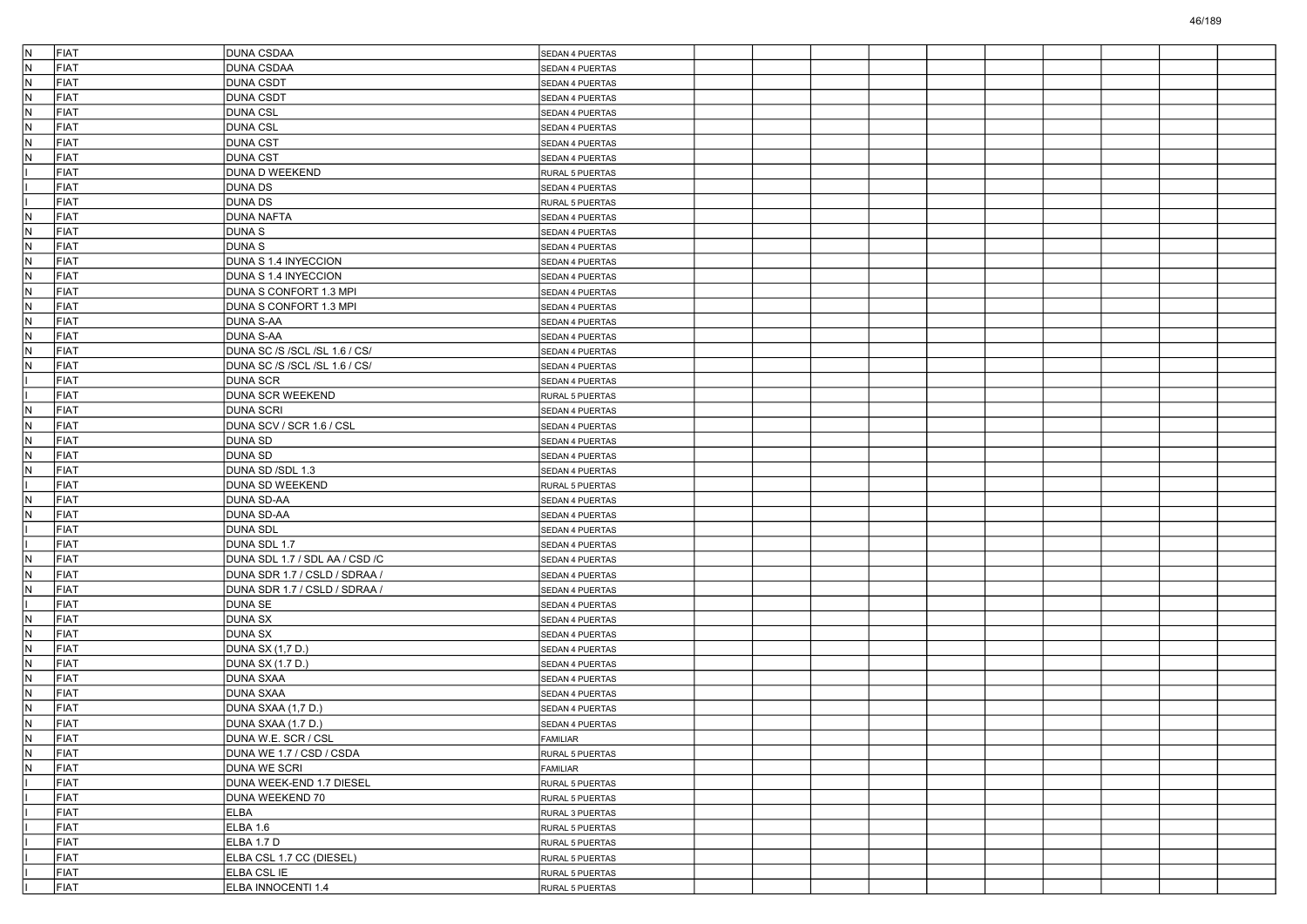| IN.<br>FIAT        | <b>DUNA CSDAA</b>               | SEDAN 4 PUERTAS |  |  |  |  |  |
|--------------------|---------------------------------|-----------------|--|--|--|--|--|
| N.<br>FIAT         | <b>DUNA CSDAA</b>               | SEDAN 4 PUERTAS |  |  |  |  |  |
| N<br>FIAT          | <b>DUNA CSDT</b>                | SEDAN 4 PUERTAS |  |  |  |  |  |
| FIAT<br>N          | <b>DUNA CSDT</b>                | SEDAN 4 PUERTAS |  |  |  |  |  |
| IN.<br><b>FIAT</b> | <b>DUNA CSL</b>                 | SEDAN 4 PUERTAS |  |  |  |  |  |
| IN.<br>FIAT        | <b>DUNA CSL</b>                 | SEDAN 4 PUERTAS |  |  |  |  |  |
| N<br>FIAT          | <b>DUNA CST</b>                 | SEDAN 4 PUERTAS |  |  |  |  |  |
| N<br>FIAT          | <b>DUNA CST</b>                 | SEDAN 4 PUERTAS |  |  |  |  |  |
| FIAT               | DUNA D WEEKEND                  | RURAL 5 PUERTAS |  |  |  |  |  |
| <b>FIAT</b>        | <b>DUNA DS</b>                  | SEDAN 4 PUERTAS |  |  |  |  |  |
| FIAT               | <b>DUNA DS</b>                  | RURAL 5 PUERTAS |  |  |  |  |  |
| FIAT<br>N          | <b>DUNA NAFTA</b>               | SEDAN 4 PUERTAS |  |  |  |  |  |
| N.<br>FIAT         | <b>DUNAS</b>                    | SEDAN 4 PUERTAS |  |  |  |  |  |
| FIAT<br>IN.        | <b>DUNAS</b>                    | SEDAN 4 PUERTAS |  |  |  |  |  |
| IN.<br><b>FIAT</b> | DUNA S 1.4 INYECCION            | SEDAN 4 PUERTAS |  |  |  |  |  |
| IN.<br>FIAT        | DUNA S 1.4 INYECCION            | SEDAN 4 PUERTAS |  |  |  |  |  |
| N<br>FIAT          | DUNA S CONFORT 1.3 MPI          | SEDAN 4 PUERTAS |  |  |  |  |  |
| N.<br>FIAT         | DUNA S CONFORT 1.3 MPI          | SEDAN 4 PUERTAS |  |  |  |  |  |
| FIAT<br>IN.        | <b>DUNA S-AA</b>                | SEDAN 4 PUERTAS |  |  |  |  |  |
| IN.<br><b>FIAT</b> | <b>DUNA S-AA</b>                | SEDAN 4 PUERTAS |  |  |  |  |  |
| IN.<br>FIAT        | DUNA SC /S /SCL /SL 1.6 / CS/   | SEDAN 4 PUERTAS |  |  |  |  |  |
| N<br>FIAT          | DUNA SC /S /SCL /SL 1.6 / CS/   | SEDAN 4 PUERTAS |  |  |  |  |  |
| FIAT               | <b>DUNA SCR</b>                 | SEDAN 4 PUERTAS |  |  |  |  |  |
| FIAT               | DUNA SCR WEEKEND                | RURAL 5 PUERTAS |  |  |  |  |  |
| FIAT<br>N          | <b>DUNA SCRI</b>                | SEDAN 4 PUERTAS |  |  |  |  |  |
| IN.<br>FIAT        | DUNA SCV / SCR 1.6 / CSL        | SEDAN 4 PUERTAS |  |  |  |  |  |
| N<br>FIAT          | <b>DUNA SD</b>                  | SEDAN 4 PUERTAS |  |  |  |  |  |
| N<br>FIAT          | <b>DUNA SD</b>                  | SEDAN 4 PUERTAS |  |  |  |  |  |
| FIAT<br>IN.        | DUNA SD /SDL 1.3                | SEDAN 4 PUERTAS |  |  |  |  |  |
| <b>FIAT</b>        | DUNA SD WEEKEND                 | RURAL 5 PUERTAS |  |  |  |  |  |
| IN.<br>FIAT        | <b>DUNA SD-AA</b>               | SEDAN 4 PUERTAS |  |  |  |  |  |
| N<br>FIAT          | <b>DUNA SD-AA</b>               | SEDAN 4 PUERTAS |  |  |  |  |  |
| FIAT               | <b>DUNA SDL</b>                 | SEDAN 4 PUERTAS |  |  |  |  |  |
| FIAT               | DUNA SDL 1.7                    | SEDAN 4 PUERTAS |  |  |  |  |  |
| FIAT<br>N          | DUNA SDL 1.7 / SDL AA / CSD / C | SEDAN 4 PUERTAS |  |  |  |  |  |
| IN.<br>FIAT        | DUNA SDR 1.7 / CSLD / SDRAA /   | SEDAN 4 PUERTAS |  |  |  |  |  |
| N<br>FIAT          | DUNA SDR 1.7 / CSLD / SDRAA /   | SEDAN 4 PUERTAS |  |  |  |  |  |
| FIAT               | <b>DUNA SE</b>                  | SEDAN 4 PUERTAS |  |  |  |  |  |
| FIAT<br>IN.        | <b>DUNA SX</b>                  | SEDAN 4 PUERTAS |  |  |  |  |  |
| N<br>FIAT          | <b>DUNA SX</b>                  | SEDAN 4 PUERTAS |  |  |  |  |  |
| IN.<br>FIAT        | DUNA SX (1,7 D.)                | SEDAN 4 PUERTAS |  |  |  |  |  |
| N<br>FIAT          | <b>DUNA SX (1.7 D.)</b>         | SEDAN 4 PUERTAS |  |  |  |  |  |
| N.<br>FIAT         | <b>DUNA SXAA</b>                | SEDAN 4 PUERTAS |  |  |  |  |  |
| FIAT<br>IN.        | <b>DUNA SXAA</b>                | SEDAN 4 PUERTAS |  |  |  |  |  |
| N<br><b>FIAT</b>   | DUNA SXAA (1,7 D.)              | SEDAN 4 PUERTAS |  |  |  |  |  |
| IN.<br>FIAT        | DUNA SXAA (1.7 D.)              | SEDAN 4 PUERTAS |  |  |  |  |  |
| FIAT<br>N          | DUNA W.E. SCR / CSL             | FAMILIAR        |  |  |  |  |  |
| IN.<br>FIAT        | DUNA WE 1.7 / CSD / CSDA        | RURAL 5 PUERTAS |  |  |  |  |  |
| N.<br>FIAT         | DUNA WE SCRI                    | FAMILIAR        |  |  |  |  |  |
| FIAT               | DUNA WEEK-END 1.7 DIESEL        | RURAL 5 PUERTAS |  |  |  |  |  |
| FIAT               | DUNA WEEKEND 70                 | RURAL 5 PUERTAS |  |  |  |  |  |
| FIAT               | <b>ELBA</b>                     | RURAL 3 PUERTAS |  |  |  |  |  |
| FIAT               | ELBA 1.6                        | RURAL 5 PUERTAS |  |  |  |  |  |
| FIAT               | ELBA 1.7 D                      | RURAL 5 PUERTAS |  |  |  |  |  |
| FIAT               | ELBA CSL 1.7 CC (DIESEL)        | RURAL 5 PUERTAS |  |  |  |  |  |
| FIAT               | ELBA CSL IE                     | RURAL 5 PUERTAS |  |  |  |  |  |
| FIAT               | ELBA INNOCENTI 1.4              | RURAL 5 PUERTAS |  |  |  |  |  |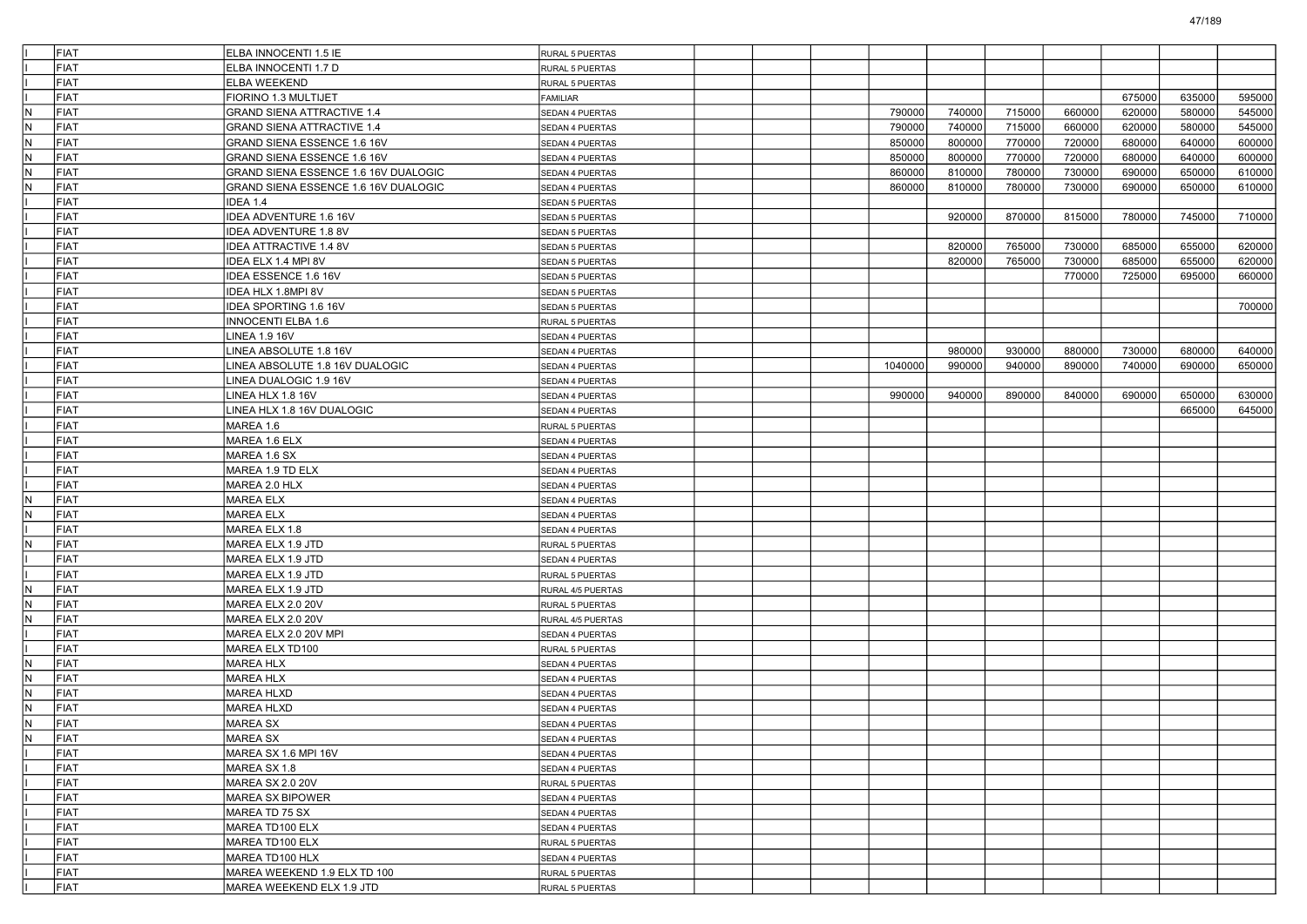|     | FIAT | ELBA INNOCENTI 1.5 IE                | RURAL 5 PUERTAS        |  |         |        |        |        |        |        |        |
|-----|------|--------------------------------------|------------------------|--|---------|--------|--------|--------|--------|--------|--------|
|     | FIAT | ELBA INNOCENTI 1.7 D                 | RURAL 5 PUERTAS        |  |         |        |        |        |        |        |        |
|     | FIAT | <b>ELBA WEEKEND</b>                  | RURAL 5 PUERTAS        |  |         |        |        |        |        |        |        |
|     | FIAT | FIORINO 1.3 MULTIJET                 | FAMILIAR               |  |         |        |        |        | 675000 | 635000 | 595000 |
| N   | FIAT | <b>GRAND SIENA ATTRACTIVE 1.4</b>    | SEDAN 4 PUERTAS        |  | 790000  | 740000 | 715000 | 660000 | 620000 | 580000 | 545000 |
| N.  | FIAT | <b>GRAND SIENA ATTRACTIVE 1.4</b>    | SEDAN 4 PUERTAS        |  | 790000  | 740000 | 715000 | 660000 | 620000 | 580000 | 545000 |
| IN. | FIAT | GRAND SIENA ESSENCE 1.6 16V          | <b>SEDAN 4 PUERTAS</b> |  | 850000  | 800000 | 770000 | 720000 | 680000 | 640000 | 600000 |
| IN. | FIAT | GRAND SIENA ESSENCE 1.6 16V          | SEDAN 4 PUERTAS        |  | 850000  | 800000 | 770000 | 720000 | 680000 | 640000 | 600000 |
| N.  | FIAT | GRAND SIENA ESSENCE 1.6 16V DUALOGIC | SEDAN 4 PUERTAS        |  | 860000  | 810000 | 780000 | 730000 | 690000 | 650000 | 610000 |
| N   | FIAT | GRAND SIENA ESSENCE 1.6 16V DUALOGIC | SEDAN 4 PUERTAS        |  | 860000  | 810000 | 780000 | 730000 | 690000 | 650000 | 610000 |
|     | FIAT | IDEA 1.4                             | <b>SEDAN 5 PUERTAS</b> |  |         |        |        |        |        |        |        |
|     | FIAT | IDEA ADVENTURE 1.6 16V               | <b>SEDAN 5 PUERTAS</b> |  |         | 920000 | 870000 | 815000 | 780000 | 745000 | 710000 |
|     | FIAT | IDEA ADVENTURE 1.8 8V                | <b>SEDAN 5 PUERTAS</b> |  |         |        |        |        |        |        |        |
|     | FIAT | <b>IDEA ATTRACTIVE 1.4 8V</b>        | SEDAN 5 PUERTAS        |  |         | 820000 | 765000 | 730000 | 685000 | 655000 | 620000 |
|     | FIAT | IDEA ELX 1.4 MPI 8V                  | SEDAN 5 PUERTAS        |  |         | 820000 | 765000 | 730000 | 685000 | 655000 | 620000 |
|     | FIAT | IDEA ESSENCE 1.6 16V                 | SEDAN 5 PUERTAS        |  |         |        |        | 770000 | 725000 | 695000 | 660000 |
|     | FIAT | IDEA HLX 1.8MPI 8V                   | <b>SEDAN 5 PUERTAS</b> |  |         |        |        |        |        |        |        |
|     | FIAT | IDEA SPORTING 1.6 16V                | <b>SEDAN 5 PUERTAS</b> |  |         |        |        |        |        |        | 700000 |
|     | FIAT | <b>INNOCENTI ELBA 1.6</b>            | RURAL 5 PUERTAS        |  |         |        |        |        |        |        |        |
|     | FIAT | <b>LINEA 1.9 16V</b>                 | SEDAN 4 PUERTAS        |  |         |        |        |        |        |        |        |
|     | FIAT | LINEA ABSOLUTE 1.8 16V               | SEDAN 4 PUERTAS        |  |         | 980000 | 930000 | 880000 | 730000 | 680000 | 640000 |
|     | FIAT | LINEA ABSOLUTE 1.8 16V DUALOGIC      | SEDAN 4 PUERTAS        |  | 1040000 | 990000 | 940000 | 890000 | 740000 | 690000 | 650000 |
|     | FIAT | LINEA DUALOGIC 1.9 16V               | SEDAN 4 PUERTAS        |  |         |        |        |        |        |        |        |
|     | FIAT | LINEA HLX 1.8 16V                    | SEDAN 4 PUERTAS        |  | 990000  | 940000 | 890000 | 840000 | 690000 | 650000 | 630000 |
|     | FIAT | LINEA HLX 1.8 16V DUALOGIC           | SEDAN 4 PUERTAS        |  |         |        |        |        |        | 665000 | 645000 |
|     | FIAT | MAREA 1.6                            | RURAL 5 PUERTAS        |  |         |        |        |        |        |        |        |
|     | FIAT | MAREA 1.6 ELX                        | <b>SEDAN 4 PUERTAS</b> |  |         |        |        |        |        |        |        |
|     | FIAT | MAREA 1.6 SX                         | SEDAN 4 PUERTAS        |  |         |        |        |        |        |        |        |
|     | FIAT | MAREA 1.9 TD ELX                     | SEDAN 4 PUERTAS        |  |         |        |        |        |        |        |        |
|     | FIAT | MAREA 2.0 HLX                        | SEDAN 4 PUERTAS        |  |         |        |        |        |        |        |        |
| IN. | FIAT | <b>MAREA ELX</b>                     | SEDAN 4 PUERTAS        |  |         |        |        |        |        |        |        |
| IN. | FIAT | <b>MAREA ELX</b>                     | <b>SEDAN 4 PUERTAS</b> |  |         |        |        |        |        |        |        |
|     | FIAT | MAREA ELX 1.8                        | SEDAN 4 PUERTAS        |  |         |        |        |        |        |        |        |
| N.  | FIAT | MAREA ELX 1.9 JTD                    | RURAL 5 PUERTAS        |  |         |        |        |        |        |        |        |
|     | FIAT | MAREA ELX 1.9 JTD                    | SEDAN 4 PUERTAS        |  |         |        |        |        |        |        |        |
|     | FIAT | MAREA ELX 1.9 JTD                    | RURAL 5 PUERTAS        |  |         |        |        |        |        |        |        |
| IN. | FIAT | MAREA ELX 1.9 JTD                    | RURAL 4/5 PUERTAS      |  |         |        |        |        |        |        |        |
| IN. | FIAT | MAREA ELX 2.0 20V                    | RURAL 5 PUERTAS        |  |         |        |        |        |        |        |        |
| N.  | FIAT | MAREA ELX 2.0 20V                    | RURAL 4/5 PUERTAS      |  |         |        |        |        |        |        |        |
|     | FIAT | MAREA ELX 2.0 20V MPI                | SEDAN 4 PUERTAS        |  |         |        |        |        |        |        |        |
|     | FIAT | MAREA ELX TD100                      | RURAL 5 PUERTAS        |  |         |        |        |        |        |        |        |
| IN. | FIAT | <b>MAREA HLX</b>                     | <b>SEDAN 4 PUERTAS</b> |  |         |        |        |        |        |        |        |
| IN. | FIAT | MAREA HLX                            | <b>SEDAN 4 PUERTAS</b> |  |         |        |        |        |        |        |        |
| N.  | FIAT | <b>MAREA HLXD</b>                    | SEDAN 4 PUERTAS        |  |         |        |        |        |        |        |        |
| IN. | FIAT | MAREA HLXD                           | SEDAN 4 PUERTAS        |  |         |        |        |        |        |        |        |
| IN. | FIAT | <b>MAREA SX</b>                      | SEDAN 4 PUERTAS        |  |         |        |        |        |        |        |        |
| N.  | FIAT | MAREA SX                             | SEDAN 4 PUERTAS        |  |         |        |        |        |        |        |        |
|     | FIAT | MAREA SX 1.6 MPI 16V                 | SEDAN 4 PUERTAS        |  |         |        |        |        |        |        |        |
|     | FIAT | MAREA SX 1.8                         | SEDAN 4 PUERTAS        |  |         |        |        |        |        |        |        |
|     | FIAT | MAREA SX 2.0 20V                     | RURAL 5 PUERTAS        |  |         |        |        |        |        |        |        |
|     | FIAT | MAREA SX BIPOWER                     | SEDAN 4 PUERTAS        |  |         |        |        |        |        |        |        |
|     | FIAT | MAREA TD 75 SX                       | SEDAN 4 PUERTAS        |  |         |        |        |        |        |        |        |
|     | FIAT | MAREA TD100 ELX                      | SEDAN 4 PUERTAS        |  |         |        |        |        |        |        |        |
|     | FIAT | MAREA TD100 ELX                      | RURAL 5 PUERTAS        |  |         |        |        |        |        |        |        |
|     | FIAT | MAREA TD100 HLX                      | SEDAN 4 PUERTAS        |  |         |        |        |        |        |        |        |
|     | FIAT | MAREA WEEKEND 1.9 ELX TD 100         | RURAL 5 PUERTAS        |  |         |        |        |        |        |        |        |
|     | FIAT | MAREA WEEKEND ELX 1.9 JTD            | RURAL 5 PUERTAS        |  |         |        |        |        |        |        |        |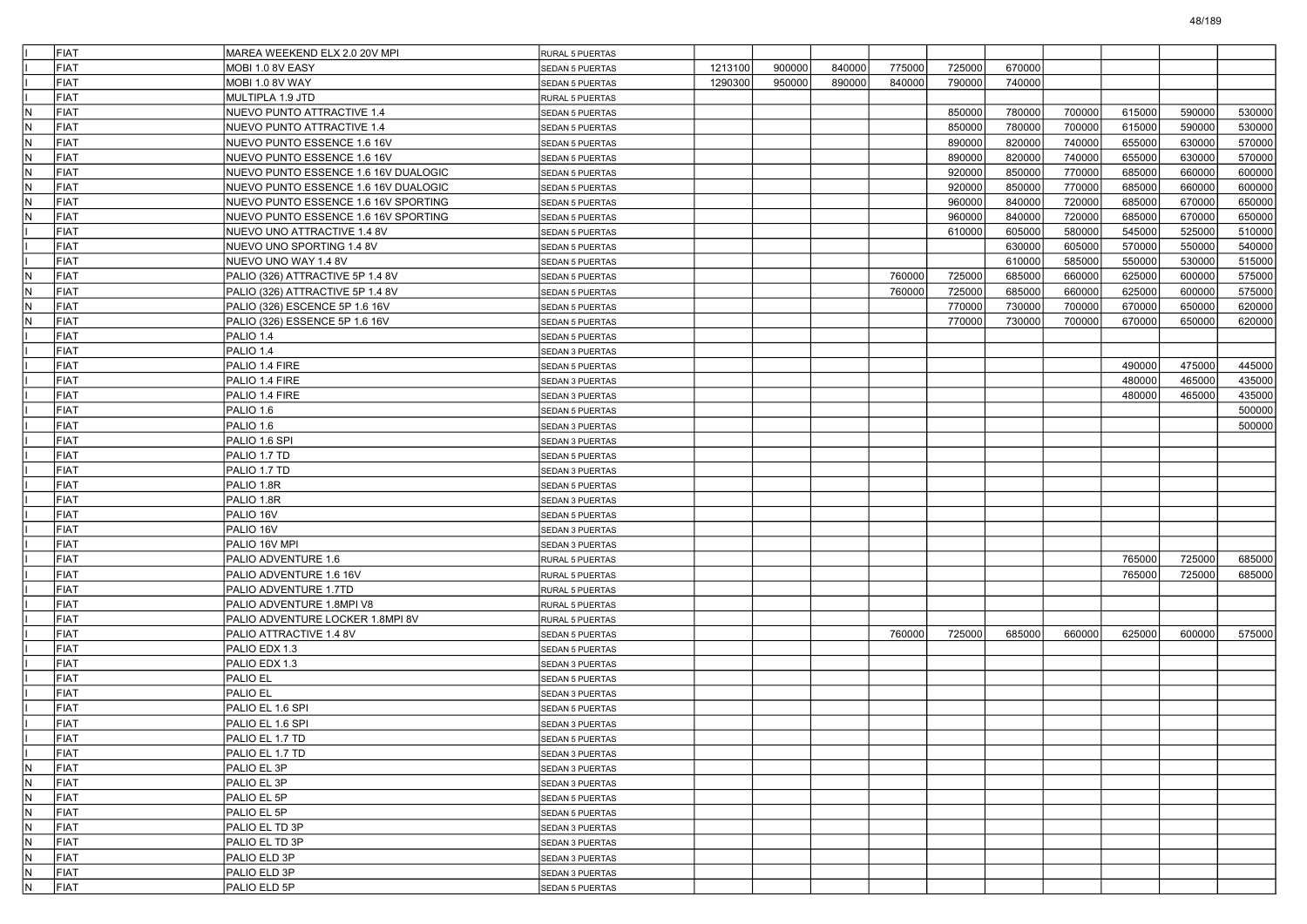| <b>FIAT</b>                | MAREA WEEKEND ELX 2.0 20V MPI<br>MOBI 1.0 8V EASY | RURAL 5 PUERTAS        |         |        |        |                  |                  |                  |        |        |        |        |
|----------------------------|---------------------------------------------------|------------------------|---------|--------|--------|------------------|------------------|------------------|--------|--------|--------|--------|
| <b>FIAT</b><br><b>FIAT</b> |                                                   | SEDAN 5 PUERTAS        | 1213100 | 900000 | 840000 | 775000<br>840000 | 725000<br>790000 | 670000<br>740000 |        |        |        |        |
|                            | MOBI 1.0 8V WAY                                   | <b>SEDAN 5 PUERTAS</b> | 1290300 | 950000 | 890000 |                  |                  |                  |        |        |        |        |
| <b>FIAT</b>                | MULTIPLA 1.9 JTD                                  | RURAL 5 PUERTAS        |         |        |        |                  |                  |                  |        |        |        |        |
| FIAT<br>N                  | NUEVO PUNTO ATTRACTIVE 1.4                        | SEDAN 5 PUERTAS        |         |        |        |                  | 850000           | 780000           | 700000 | 615000 | 590000 | 530000 |
| N<br><b>FIAT</b>           | NUEVO PUNTO ATTRACTIVE 1.4                        | <b>SEDAN 5 PUERTAS</b> |         |        |        |                  | 850000           | 780000           | 700000 | 615000 | 590000 | 530000 |
| FIAT<br>IN.                | NUEVO PUNTO ESSENCE 1.6 16V                       | SEDAN 5 PUERTAS        |         |        |        |                  | 890000           | 820000           | 740000 | 655000 | 630000 | 570000 |
| FIAT<br>N                  | NUEVO PUNTO ESSENCE 1.6 16V                       | SEDAN 5 PUERTAS        |         |        |        |                  | 890000           | 820000           | 740000 | 655000 | 630000 | 570000 |
| IN.<br>FIAT                | NUEVO PUNTO ESSENCE 1.6 16V DUALOGIC              | <b>SEDAN 5 PUERTAS</b> |         |        |        |                  | 920000           | 850000           | 770000 | 685000 | 660000 | 600000 |
| FIAT<br>N                  | NUEVO PUNTO ESSENCE 1.6 16V DUALOGIC              | SEDAN 5 PUERTAS        |         |        |        |                  | 920000           | 850000           | 770000 | 685000 | 660000 | 600000 |
| N<br><b>FIAT</b>           | NUEVO PUNTO ESSENCE 1.6 16V SPORTING              | <b>SEDAN 5 PUERTAS</b> |         |        |        |                  | 960000           | 840000           | 720000 | 685000 | 670000 | 650000 |
| FIAT<br>N                  | NUEVO PUNTO ESSENCE 1.6 16V SPORTING              | SEDAN 5 PUERTAS        |         |        |        |                  | 960000           | 840000           | 720000 | 685000 | 670000 | 650000 |
| <b>FIAT</b>                | NUEVO UNO ATTRACTIVE 1.4 8V                       | SEDAN 5 PUERTAS        |         |        |        |                  | 610000           | 605000           | 580000 | 545000 | 525000 | 510000 |
| <b>FIAT</b>                | NUEVO UNO SPORTING 1.4 8V                         | <b>SEDAN 5 PUERTAS</b> |         |        |        |                  |                  | 630000           | 605000 | 570000 | 550000 | 540000 |
| <b>FIAT</b>                | NUEVO UNO WAY 1.4 8V                              | <b>SEDAN 5 PUERTAS</b> |         |        |        |                  |                  | 610000           | 585000 | 550000 | 530000 | 515000 |
| N<br><b>FIAT</b>           | PALIO (326) ATTRACTIVE 5P 1.4 8V                  | <b>SEDAN 5 PUERTAS</b> |         |        |        | 760000           | 725000           | 685000           | 660000 | 625000 | 600000 | 575000 |
| FIAT<br>IN.                | PALIO (326) ATTRACTIVE 5P 1.4 8V                  | SEDAN 5 PUERTAS        |         |        |        | 760000           | 725000           | 685000           | 660000 | 625000 | 600000 | 575000 |
| FIAT<br>N                  | PALIO (326) ESCENCE 5P 1.6 16V                    | SEDAN 5 PUERTAS        |         |        |        |                  | 770000           | 730000           | 700000 | 670000 | 650000 | 620000 |
| IN.<br>FIAT                | PALIO (326) ESSENCE 5P 1.6 16V                    | <b>SEDAN 5 PUERTAS</b> |         |        |        |                  | 770000           | 730000           | 700000 | 670000 | 650000 | 620000 |
| <b>FIAT</b>                | PALIO 1.4                                         | SEDAN 5 PUERTAS        |         |        |        |                  |                  |                  |        |        |        |        |
| <b>FIAT</b>                | PALIO 1.4                                         | SEDAN 3 PUERTAS        |         |        |        |                  |                  |                  |        |        |        |        |
| <b>FIAT</b>                | PALIO 1.4 FIRE                                    | SEDAN 5 PUERTAS        |         |        |        |                  |                  |                  |        | 490000 | 475000 | 445000 |
| <b>FIAT</b>                | PALIO 1.4 FIRE                                    | SEDAN 3 PUERTAS        |         |        |        |                  |                  |                  |        | 480000 | 465000 | 435000 |
| <b>FIAT</b>                | PALIO 1.4 FIRE                                    | SEDAN 3 PUERTAS        |         |        |        |                  |                  |                  |        | 480000 | 465000 | 435000 |
| <b>FIAT</b>                | PALIO 1.6                                         | SEDAN 5 PUERTAS        |         |        |        |                  |                  |                  |        |        |        | 500000 |
| <b>FIAT</b>                | PALIO 1.6                                         | SEDAN 3 PUERTAS        |         |        |        |                  |                  |                  |        |        |        | 500000 |
| <b>FIAT</b>                | PALIO 1.6 SPI                                     | SEDAN 3 PUERTAS        |         |        |        |                  |                  |                  |        |        |        |        |
| <b>FIAT</b>                | PALIO 1.7 TD                                      | SEDAN 5 PUERTAS        |         |        |        |                  |                  |                  |        |        |        |        |
| <b>FIAT</b>                | PALIO 1.7 TD                                      | SEDAN 3 PUERTAS        |         |        |        |                  |                  |                  |        |        |        |        |
| <b>FIAT</b>                | PALIO 1.8R                                        | SEDAN 5 PUERTAS        |         |        |        |                  |                  |                  |        |        |        |        |
| <b>FIAT</b>                | PALIO 1.8R                                        | SEDAN 3 PUERTAS        |         |        |        |                  |                  |                  |        |        |        |        |
| <b>FIAT</b>                | PALIO 16V                                         | SEDAN 5 PUERTAS        |         |        |        |                  |                  |                  |        |        |        |        |
| <b>FIAT</b>                | PALIO 16V                                         | SEDAN 3 PUERTAS        |         |        |        |                  |                  |                  |        |        |        |        |
| <b>FIAT</b>                | PALIO 16V MPI                                     | SEDAN 3 PUERTAS        |         |        |        |                  |                  |                  |        |        |        |        |
| <b>FIAT</b>                | PALIO ADVENTURE 1.6                               | RURAL 5 PUERTAS        |         |        |        |                  |                  |                  |        | 765000 | 725000 | 685000 |
| <b>FIAT</b>                | PALIO ADVENTURE 1.6 16V                           | RURAL 5 PUERTAS        |         |        |        |                  |                  |                  |        | 765000 | 725000 | 685000 |
| <b>FIAT</b>                | PALIO ADVENTURE 1.7TD                             | RURAL 5 PUERTAS        |         |        |        |                  |                  |                  |        |        |        |        |
| <b>FIAT</b>                | PALIO ADVENTURE 1.8MPI V8                         | RURAL 5 PUERTAS        |         |        |        |                  |                  |                  |        |        |        |        |
| <b>FIAT</b>                | PALIO ADVENTURE LOCKER 1.8MPI 8V                  | RURAL 5 PUERTAS        |         |        |        |                  |                  |                  |        |        |        |        |
| <b>FIAT</b>                | PALIO ATTRACTIVE 1.4 8V                           | SEDAN 5 PUERTAS        |         |        |        | 760000           | 725000           | 685000           | 660000 | 625000 | 600000 | 575000 |
| <b>FIAT</b>                | PALIO EDX 1.3                                     | SEDAN 5 PUERTAS        |         |        |        |                  |                  |                  |        |        |        |        |
| <b>FIAT</b>                | PALIO EDX 1.3                                     | SEDAN 3 PUERTAS        |         |        |        |                  |                  |                  |        |        |        |        |
| <b>FIAT</b>                | PALIO EL                                          | SEDAN 5 PUERTAS        |         |        |        |                  |                  |                  |        |        |        |        |
| <b>FIAT</b>                | <b>PALIO EL</b>                                   | SEDAN 3 PUERTAS        |         |        |        |                  |                  |                  |        |        |        |        |
| <b>FIAT</b>                | PALIO EL 1.6 SPI                                  | SEDAN 5 PUERTAS        |         |        |        |                  |                  |                  |        |        |        |        |
| <b>FIAT</b>                | PALIO EL 1.6 SPI                                  | <b>SEDAN 3 PUERTAS</b> |         |        |        |                  |                  |                  |        |        |        |        |
| FIAT                       | PALIO EL 1.7 TD                                   | <b>SEDAN 5 PUERTAS</b> |         |        |        |                  |                  |                  |        |        |        |        |
| <b>FIAT</b>                | PALIO EL 1.7 TD                                   | SEDAN 3 PUERTAS        |         |        |        |                  |                  |                  |        |        |        |        |
| N<br>FIAT                  | PALIO EL 3P                                       | SEDAN 3 PUERTAS        |         |        |        |                  |                  |                  |        |        |        |        |
| IN.<br>FIAT                | PALIO EL 3P                                       | SEDAN 3 PUERTAS        |         |        |        |                  |                  |                  |        |        |        |        |
| N<br>FIAT                  | PALIO EL 5P                                       | <b>SEDAN 5 PUERTAS</b> |         |        |        |                  |                  |                  |        |        |        |        |
| IN.<br>FIAT                | PALIO EL 5P                                       | SEDAN 5 PUERTAS        |         |        |        |                  |                  |                  |        |        |        |        |
| IN.<br>FIAT                | PALIO EL TD 3P                                    | SEDAN 3 PUERTAS        |         |        |        |                  |                  |                  |        |        |        |        |
| N<br>FIAT                  | PALIO EL TD 3P                                    | SEDAN 3 PUERTAS        |         |        |        |                  |                  |                  |        |        |        |        |
| IN.<br>FIAT                | PALIO ELD 3P                                      | SEDAN 3 PUERTAS        |         |        |        |                  |                  |                  |        |        |        |        |
| N<br>FIAT                  | PALIO ELD 3P                                      | SEDAN 3 PUERTAS        |         |        |        |                  |                  |                  |        |        |        |        |
| FIAT<br>IN.                | PALIO ELD 5P                                      | <b>SEDAN 5 PUERTAS</b> |         |        |        |                  |                  |                  |        |        |        |        |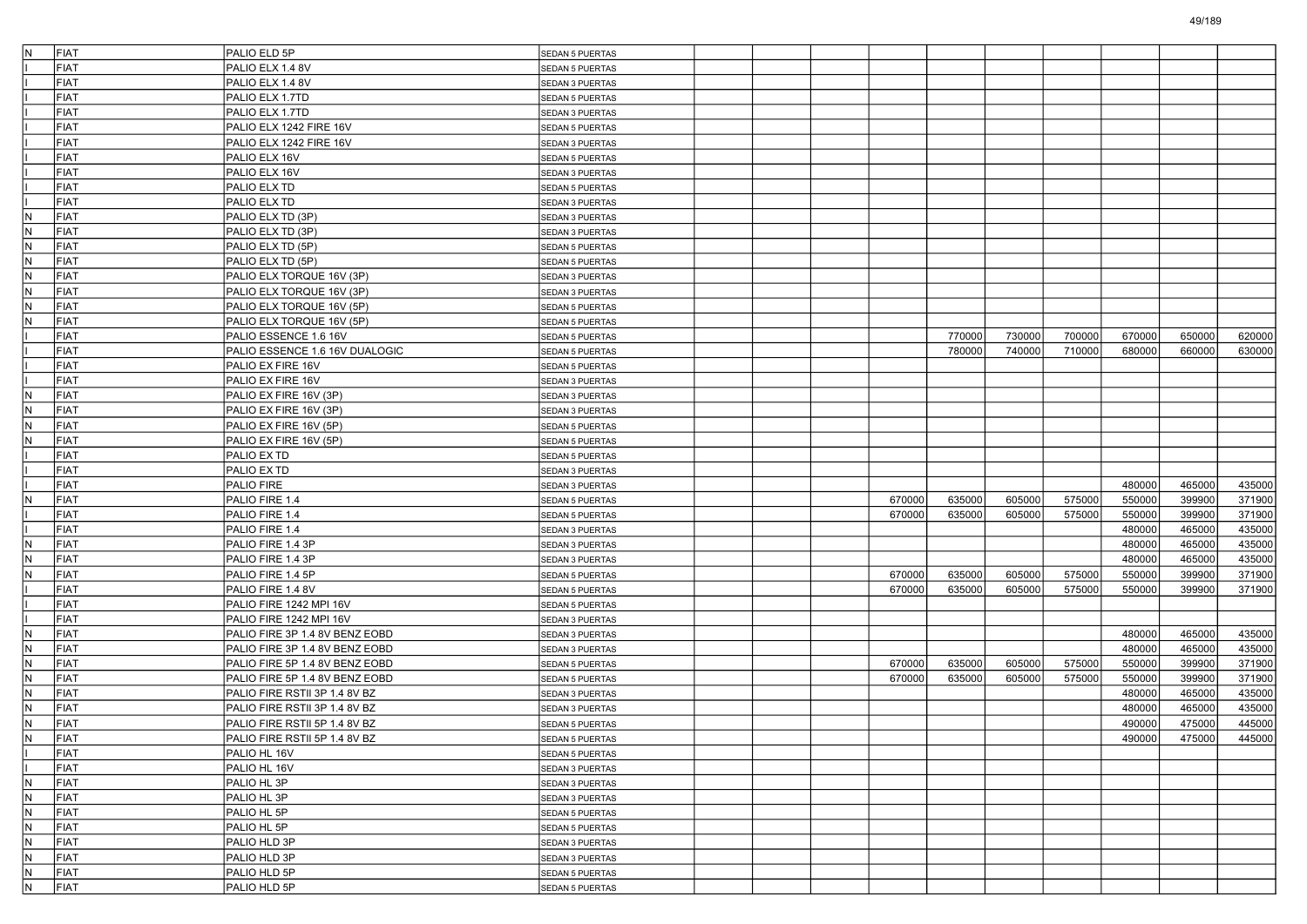| İN.            | FIAT | PALIO ELD 5P                   | SEDAN 5 PUERTAS        |  |        |        |        |        |        |        |        |
|----------------|------|--------------------------------|------------------------|--|--------|--------|--------|--------|--------|--------|--------|
|                | FIAT | PALIO ELX 1.4 8V               | <b>SEDAN 5 PUERTAS</b> |  |        |        |        |        |        |        |        |
|                | FIAT | PALIO ELX 1.4 8V               | SEDAN 3 PUERTAS        |  |        |        |        |        |        |        |        |
|                | FIAT | PALIO ELX 1.7TD                | SEDAN 5 PUERTAS        |  |        |        |        |        |        |        |        |
|                | FIAT | PALIO ELX 1.7TD                | SEDAN 3 PUERTAS        |  |        |        |        |        |        |        |        |
|                | FIAT | PALIO ELX 1242 FIRE 16V        | SEDAN 5 PUERTAS        |  |        |        |        |        |        |        |        |
|                | FIAT | PALIO ELX 1242 FIRE 16V        | SEDAN 3 PUERTAS        |  |        |        |        |        |        |        |        |
|                | FIAT | PALIO ELX 16V                  | SEDAN 5 PUERTAS        |  |        |        |        |        |        |        |        |
|                | FIAT | PALIO ELX 16V                  | SEDAN 3 PUERTAS        |  |        |        |        |        |        |        |        |
|                | FIAT | PALIO ELX TD                   | SEDAN 5 PUERTAS        |  |        |        |        |        |        |        |        |
|                | FIAT | PALIO ELX TD                   | SEDAN 3 PUERTAS        |  |        |        |        |        |        |        |        |
| IN.            | FIAT | PALIO ELX TD (3P)              | SEDAN 3 PUERTAS        |  |        |        |        |        |        |        |        |
| N.             | FIAT | PALIO ELX TD (3P)              | SEDAN 3 PUERTAS        |  |        |        |        |        |        |        |        |
| IN.            | FIAT | PALIO ELX TD (5P)              | SEDAN 5 PUERTAS        |  |        |        |        |        |        |        |        |
| N              | FIAT | PALIO ELX TD (5P)              | SEDAN 5 PUERTAS        |  |        |        |        |        |        |        |        |
| IN.            | FIAT | PALIO ELX TORQUE 16V (3P)      | SEDAN 3 PUERTAS        |  |        |        |        |        |        |        |        |
| N.             | FIAT | PALIO ELX TORQUE 16V (3P)      | SEDAN 3 PUERTAS        |  |        |        |        |        |        |        |        |
| N.             | FIAT | PALIO ELX TORQUE 16V (5P)      | SEDAN 5 PUERTAS        |  |        |        |        |        |        |        |        |
| IN.            | FIAT | PALIO ELX TORQUE 16V (5P)      | SEDAN 5 PUERTAS        |  |        |        |        |        |        |        |        |
|                | FIAT | PALIO ESSENCE 1.6 16V          | SEDAN 5 PUERTAS        |  |        | 770000 | 730000 | 700000 | 670000 | 650000 | 620000 |
|                | FIAT | PALIO ESSENCE 1.6 16V DUALOGIC | SEDAN 5 PUERTAS        |  |        | 780000 | 740000 | 710000 | 680000 | 660000 | 630000 |
|                | FIAT | PALIO EX FIRE 16V              | SEDAN 5 PUERTAS        |  |        |        |        |        |        |        |        |
|                | FIAT | PALIO EX FIRE 16V              | SEDAN 3 PUERTAS        |  |        |        |        |        |        |        |        |
| IN.            | FIAT | PALIO EX FIRE 16V (3P)         | SEDAN 3 PUERTAS        |  |        |        |        |        |        |        |        |
| IN.            | FIAT | PALIO EX FIRE 16V (3P)         | SEDAN 3 PUERTAS        |  |        |        |        |        |        |        |        |
| IN.            | FIAT | PALIO EX FIRE 16V (5P)         | SEDAN 5 PUERTAS        |  |        |        |        |        |        |        |        |
| IN.            | FIAT | PALIO EX FIRE 16V (5P)         | <b>SEDAN 5 PUERTAS</b> |  |        |        |        |        |        |        |        |
|                | FIAT | PALIO EX TD                    | <b>SEDAN 5 PUERTAS</b> |  |        |        |        |        |        |        |        |
|                | FIAT | PALIO EX TD                    | SEDAN 3 PUERTAS        |  |        |        |        |        |        |        |        |
|                | FIAT | PALIO FIRE                     | SEDAN 3 PUERTAS        |  |        |        |        |        | 480000 | 465000 | 435000 |
| IN.            | FIAT | PALIO FIRE 1.4                 | SEDAN 5 PUERTAS        |  | 670000 | 635000 | 605000 | 575000 | 550000 | 399900 | 371900 |
|                | FIAT | PALIO FIRE 1.4                 | <b>SEDAN 5 PUERTAS</b> |  | 670000 | 635000 | 605000 | 575000 | 550000 | 399900 | 371900 |
|                | FIAT | PALIO FIRE 1.4                 | SEDAN 3 PUERTAS        |  |        |        |        |        | 480000 | 465000 | 435000 |
| IN.            | FIAT | PALIO FIRE 1.4 3P              | SEDAN 3 PUERTAS        |  |        |        |        |        | 480000 | 465000 | 435000 |
| IN.            | FIAT | PALIO FIRE 1.4 3P              | SEDAN 3 PUERTAS        |  |        |        |        |        | 480000 | 465000 | 435000 |
| IN.            | FIAT | PALIO FIRE 1.4 5P              | SEDAN 5 PUERTAS        |  | 670000 | 635000 | 605000 | 575000 | 550000 | 399900 | 371900 |
|                | FIAT | PALIO FIRE 1.4 8V              | <b>SEDAN 5 PUERTAS</b> |  | 670000 | 635000 | 605000 | 575000 | 550000 | 399900 | 371900 |
|                | FIAT | PALIO FIRE 1242 MPI 16V        | SEDAN 5 PUERTAS        |  |        |        |        |        |        |        |        |
|                | FIAT | PALIO FIRE 1242 MPI 16V        | SEDAN 3 PUERTAS        |  |        |        |        |        |        |        |        |
| IN.            | FIAT | PALIO FIRE 3P 1.4 8V BENZ EOBD | SEDAN 3 PUERTAS        |  |        |        |        |        | 480000 | 465000 | 435000 |
| IN.            | FIAT | PALIO FIRE 3P 1.4 8V BENZ EOBD | SEDAN 3 PUERTAS        |  |        |        |        |        | 480000 | 465000 | 435000 |
| IN.            | FIAT | PALIO FIRE 5P 1.4 8V BENZ EOBD | SEDAN 5 PUERTAS        |  | 670000 | 635000 | 605000 | 575000 | 550000 | 399900 | 371900 |
| N.             | FIAT | PALIO FIRE 5P 1.4 8V BENZ EOBD | SEDAN 5 PUERTAS        |  | 670000 | 635000 | 605000 | 575000 | 550000 | 399900 | 371900 |
| IN.            | FIAT | PALIO FIRE RSTII 3P 1.4 8V BZ  | SEDAN 3 PUERTAS        |  |        |        |        |        | 480000 | 465000 | 435000 |
| IN.            | FIAT | PALIO FIRE RSTII 3P 1.4 8V BZ  | SEDAN 3 PUERTAS        |  |        |        |        |        | 480000 | 465000 | 435000 |
| IN.            | FIAT | PALIO FIRE RSTII 5P 1.4 8V BZ  | SEDAN 5 PUERTAS        |  |        |        |        |        | 490000 | 475000 | 445000 |
| IN             | FIAT | PALIO FIRE RSTII 5P 1.4 8V BZ  | SEDAN 5 PUERTAS        |  |        |        |        |        | 490000 | 475000 | 445000 |
|                | FIAT | PALIO HL 16V                   | SEDAN 5 PUERTAS        |  |        |        |        |        |        |        |        |
|                | FIAT | PALIO HL 16V                   | SEDAN 3 PUERTAS        |  |        |        |        |        |        |        |        |
| $\overline{N}$ | FIAT | PALIO HL 3P                    | SEDAN 3 PUERTAS        |  |        |        |        |        |        |        |        |
| N              | FIAT | PALIO HL 3P                    | SEDAN 3 PUERTAS        |  |        |        |        |        |        |        |        |
| N.             | FIAT | PALIO HL 5P                    | SEDAN 5 PUERTAS        |  |        |        |        |        |        |        |        |
| $\overline{N}$ | FIAT | PALIO HL 5P                    | SEDAN 5 PUERTAS        |  |        |        |        |        |        |        |        |
| N.             | FIAT | PALIO HLD 3P                   | SEDAN 3 PUERTAS        |  |        |        |        |        |        |        |        |
| $\overline{N}$ | FIAT | PALIO HLD 3P                   | SEDAN 3 PUERTAS        |  |        |        |        |        |        |        |        |
| N              | FIAT | PALIO HLD 5P                   | SEDAN 5 PUERTAS        |  |        |        |        |        |        |        |        |
| N              | FIAT | PALIO HLD 5P                   | SEDAN 5 PUERTAS        |  |        |        |        |        |        |        |        |
|                |      |                                |                        |  |        |        |        |        |        |        |        |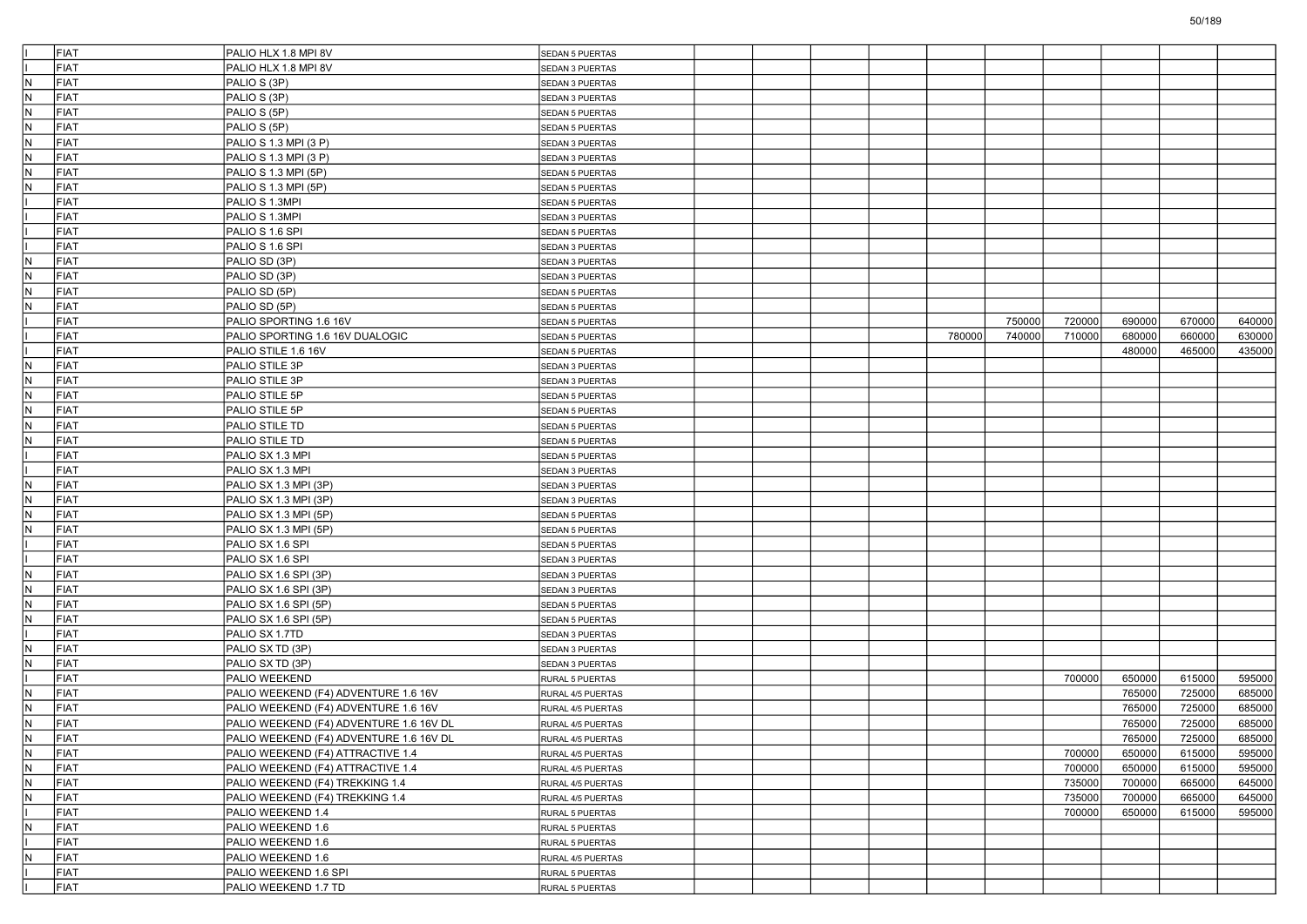|                         | FIAT | PALIO HLX 1.8 MPI 8V                    | SEDAN 5 PUERTAS        |  |  |        |        |        |        |        |        |
|-------------------------|------|-----------------------------------------|------------------------|--|--|--------|--------|--------|--------|--------|--------|
|                         | FIAT | PALIO HLX 1.8 MPI 8V                    | SEDAN 3 PUERTAS        |  |  |        |        |        |        |        |        |
| IN.                     | FIAT | PALIO S (3P)                            | SEDAN 3 PUERTAS        |  |  |        |        |        |        |        |        |
| IN.                     | FIAT | PALIO S (3P)                            | SEDAN 3 PUERTAS        |  |  |        |        |        |        |        |        |
| IN.                     | FIAT | PALIO S (5P)                            | SEDAN 5 PUERTAS        |  |  |        |        |        |        |        |        |
| IN.                     | FIAT | PALIO S (5P)                            | SEDAN 5 PUERTAS        |  |  |        |        |        |        |        |        |
| N.                      | FIAT | PALIO S 1.3 MPI (3 P)                   | SEDAN 3 PUERTAS        |  |  |        |        |        |        |        |        |
| IN.                     | FIAT | PALIO S 1.3 MPI (3 P)                   | SEDAN 3 PUERTAS        |  |  |        |        |        |        |        |        |
| IN.                     | FIAT | PALIO S 1.3 MPI (5P)                    | <b>SEDAN 5 PUERTAS</b> |  |  |        |        |        |        |        |        |
| IN.                     | FIAT | PALIO S 1.3 MPI (5P)                    | SEDAN 5 PUERTAS        |  |  |        |        |        |        |        |        |
|                         | FIAT | PALIO S 1.3MPI                          | SEDAN 5 PUERTAS        |  |  |        |        |        |        |        |        |
|                         | FIAT | PALIO S 1.3MPI                          | SEDAN 3 PUERTAS        |  |  |        |        |        |        |        |        |
|                         | FIAT | PALIO S 1.6 SPI                         | <b>SEDAN 5 PUERTAS</b> |  |  |        |        |        |        |        |        |
|                         | FIAT | PALIO S 1.6 SPI                         | SEDAN 3 PUERTAS        |  |  |        |        |        |        |        |        |
| IN.                     | FIAT | PALIO SD (3P)                           | SEDAN 3 PUERTAS        |  |  |        |        |        |        |        |        |
| IN.                     | FIAT | PALIO SD (3P)                           | SEDAN 3 PUERTAS        |  |  |        |        |        |        |        |        |
| N.                      | FIAT | PALIO SD (5P)                           | SEDAN 5 PUERTAS        |  |  |        |        |        |        |        |        |
| $\sf N$                 | FIAT | PALIO SD (5P)                           | SEDAN 5 PUERTAS        |  |  |        |        |        |        |        |        |
|                         | FIAT | PALIO SPORTING 1.6 16V                  | SEDAN 5 PUERTAS        |  |  |        | 750000 | 720000 | 690000 | 670000 | 640000 |
|                         | FIAT | PALIO SPORTING 1.6 16V DUALOGIC         | SEDAN 5 PUERTAS        |  |  | 780000 | 740000 | 710000 | 680000 | 660000 | 630000 |
|                         | FIAT | PALIO STILE 1.6 16V                     | SEDAN 5 PUERTAS        |  |  |        |        |        | 480000 | 465000 | 435000 |
| N.                      | FIAT | PALIO STILE 3P                          | SEDAN 3 PUERTAS        |  |  |        |        |        |        |        |        |
| IN.                     | FIAT | PALIO STILE 3P                          | SEDAN 3 PUERTAS        |  |  |        |        |        |        |        |        |
| IN.                     | FIAT | PALIO STILE 5P                          | SEDAN 5 PUERTAS        |  |  |        |        |        |        |        |        |
| IN.                     | FIAT | PALIO STILE 5P                          | <b>SEDAN 5 PUERTAS</b> |  |  |        |        |        |        |        |        |
| IN.                     | FIAT | PALIO STILE TD                          | SEDAN 5 PUERTAS        |  |  |        |        |        |        |        |        |
| N,                      | FIAT | PALIO STILE TD                          | SEDAN 5 PUERTAS        |  |  |        |        |        |        |        |        |
|                         | FIAT | PALIO SX 1.3 MPI                        | SEDAN 5 PUERTAS        |  |  |        |        |        |        |        |        |
|                         | FIAT | PALIO SX 1.3 MPI                        | SEDAN 3 PUERTAS        |  |  |        |        |        |        |        |        |
| IN.                     | FIAT | PALIO SX 1.3 MPI (3P)                   | <b>SEDAN 3 PUERTAS</b> |  |  |        |        |        |        |        |        |
| IN.                     | FIAT | PALIO SX 1.3 MPI (3P)                   | SEDAN 3 PUERTAS        |  |  |        |        |        |        |        |        |
|                         | FIAT |                                         |                        |  |  |        |        |        |        |        |        |
| N,<br>$\sf N$           | FIAT | PALIO SX 1.3 MPI (5P)                   | SEDAN 5 PUERTAS        |  |  |        |        |        |        |        |        |
|                         | FIAT | PALIO SX 1.3 MPI (5P)                   | SEDAN 5 PUERTAS        |  |  |        |        |        |        |        |        |
|                         |      | PALIO SX 1.6 SPI                        | SEDAN 5 PUERTAS        |  |  |        |        |        |        |        |        |
|                         | FIAT | PALIO SX 1.6 SPI                        | SEDAN 3 PUERTAS        |  |  |        |        |        |        |        |        |
| IN.                     | FIAT | PALIO SX 1.6 SPI (3P)                   | SEDAN 3 PUERTAS        |  |  |        |        |        |        |        |        |
| N.                      | FIAT | PALIO SX 1.6 SPI (3P)                   | SEDAN 3 PUERTAS        |  |  |        |        |        |        |        |        |
| IN.                     | FIAT | PALIO SX 1.6 SPI (5P)                   | SEDAN 5 PUERTAS        |  |  |        |        |        |        |        |        |
| IN.                     | FIAT | PALIO SX 1.6 SPI (5P)                   | <b>SEDAN 5 PUERTAS</b> |  |  |        |        |        |        |        |        |
|                         | FIAT | PALIO SX 1.7TD                          | SEDAN 3 PUERTAS        |  |  |        |        |        |        |        |        |
| IN.                     | FIAT | PALIO SX TD (3P)                        | SEDAN 3 PUERTAS        |  |  |        |        |        |        |        |        |
| N.                      | FIAT | PALIO SX TD (3P)                        | SEDAN 3 PUERTAS        |  |  |        |        |        |        |        |        |
|                         | FIAT | PALIO WEEKEND                           | RURAL 5 PUERTAS        |  |  |        |        | 700000 | 650000 | 615000 | 595000 |
| IN.                     | FIAT | PALIO WEEKEND (F4) ADVENTURE 1.6 16V    | RURAL 4/5 PUERTAS      |  |  |        |        |        | 765000 | 725000 | 685000 |
| IN.                     | FIAT | PALIO WEEKEND (F4) ADVENTURE 1.6 16V    | RURAL 4/5 PUERTAS      |  |  |        |        |        | 765000 | 725000 | 685000 |
| IN.                     | FIAT | PALIO WEEKEND (F4) ADVENTURE 1.6 16V DL | RURAL 4/5 PUERTAS      |  |  |        |        |        | 765000 | 725000 | 685000 |
| IN.                     | FIAT | PALIO WEEKEND (F4) ADVENTURE 1.6 16V DL | RURAL 4/5 PUERTAS      |  |  |        |        |        | 765000 | 725000 | 685000 |
| IN.                     | FIAT | PALIO WEEKEND (F4) ATTRACTIVE 1.4       | RURAL 4/5 PUERTAS      |  |  |        |        | 700000 | 650000 | 615000 | 595000 |
| N.                      | FIAT | PALIO WEEKEND (F4) ATTRACTIVE 1.4       | RURAL 4/5 PUERTAS      |  |  |        |        | 700000 | 650000 | 615000 | 595000 |
| N                       | FIAT | PALIO WEEKEND (F4) TREKKING 1.4         | RURAL 4/5 PUERTAS      |  |  |        |        | 735000 | 700000 | 665000 | 645000 |
| N                       | FIAT | PALIO WEEKEND (F4) TREKKING 1.4         | RURAL 4/5 PUERTAS      |  |  |        |        | 735000 | 700000 | 665000 | 645000 |
|                         | FIAT | PALIO WEEKEND 1.4                       | RURAL 5 PUERTAS        |  |  |        |        | 700000 | 650000 | 615000 | 595000 |
| $\overline{\mathsf{N}}$ | FIAT | PALIO WEEKEND 1.6                       | RURAL 5 PUERTAS        |  |  |        |        |        |        |        |        |
|                         | FIAT | PALIO WEEKEND 1.6                       | RURAL 5 PUERTAS        |  |  |        |        |        |        |        |        |
| IN.                     | FIAT | PALIO WEEKEND 1.6                       | RURAL 4/5 PUERTAS      |  |  |        |        |        |        |        |        |
|                         | FIAT | PALIO WEEKEND 1.6 SPI                   | RURAL 5 PUERTAS        |  |  |        |        |        |        |        |        |
|                         | FIAT | PALIO WEEKEND 1.7 TD                    | RURAL 5 PUERTAS        |  |  |        |        |        |        |        |        |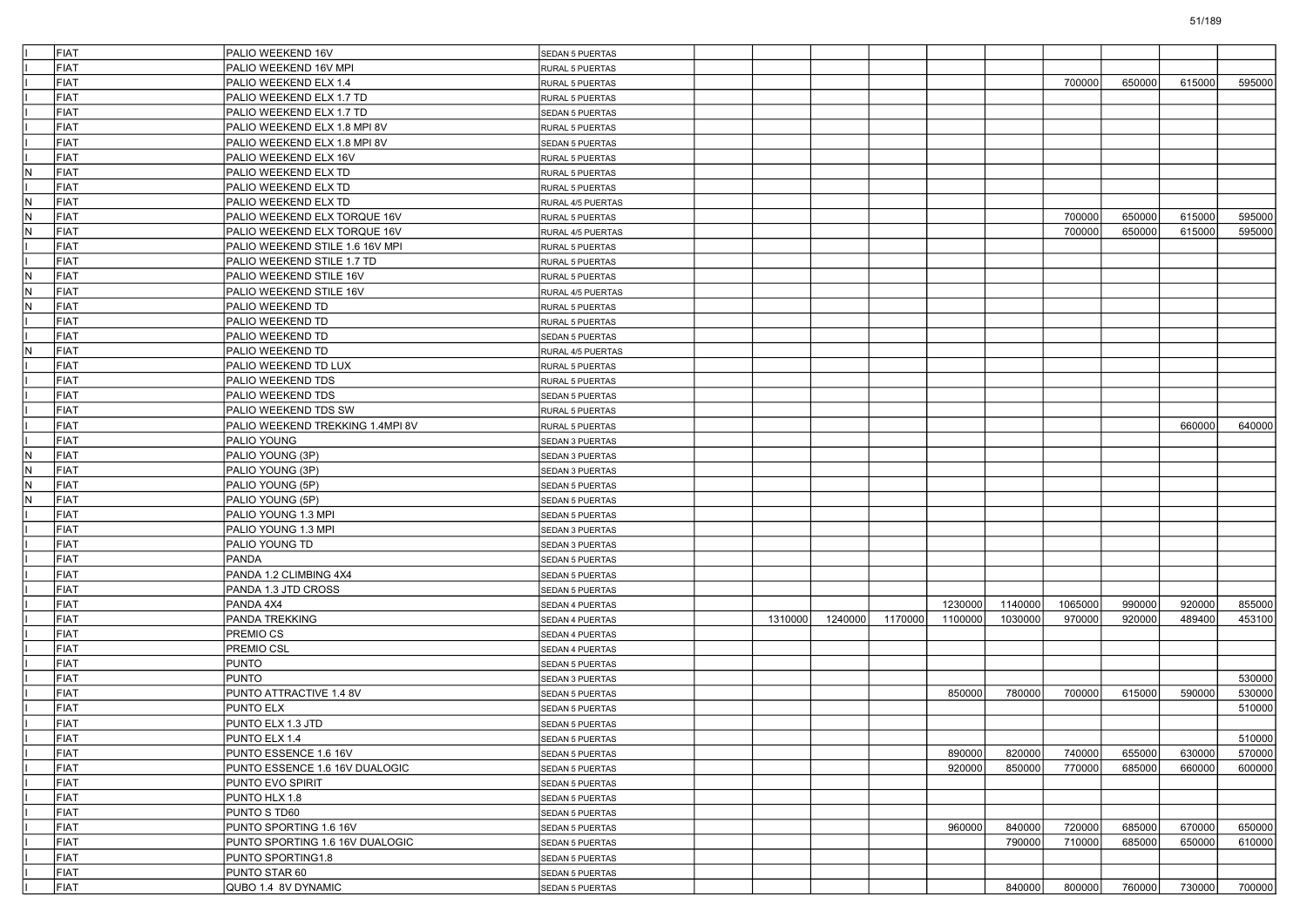|     | FIAT | PALIO WEEKEND 16V                | SEDAN 5 PUERTAS        |         |         |         |         |         |         |        |        |        |
|-----|------|----------------------------------|------------------------|---------|---------|---------|---------|---------|---------|--------|--------|--------|
|     | FIAT | PALIO WEEKEND 16V MPI            | RURAL 5 PUERTAS        |         |         |         |         |         |         |        |        |        |
|     | FIAT | PALIO WEEKEND ELX 1.4            | RURAL 5 PUERTAS        |         |         |         |         |         | 700000  | 650000 | 615000 | 595000 |
|     | FIAT | PALIO WEEKEND ELX 1.7 TD         | RURAL 5 PUERTAS        |         |         |         |         |         |         |        |        |        |
|     | FIAT | PALIO WEEKEND ELX 1.7 TD         | SEDAN 5 PUERTAS        |         |         |         |         |         |         |        |        |        |
|     | FIAT | PALIO WEEKEND ELX 1.8 MPI 8V     | RURAL 5 PUERTAS        |         |         |         |         |         |         |        |        |        |
|     | FIAT | PALIO WEEKEND ELX 1.8 MPI 8V     | SEDAN 5 PUERTAS        |         |         |         |         |         |         |        |        |        |
|     | FIAT | PALIO WEEKEND ELX 16V            | RURAL 5 PUERTAS        |         |         |         |         |         |         |        |        |        |
| IN. | FIAT | PALIO WEEKEND ELX TD             | RURAL 5 PUERTAS        |         |         |         |         |         |         |        |        |        |
|     | FIAT | PALIO WEEKEND ELX TD             | RURAL 5 PUERTAS        |         |         |         |         |         |         |        |        |        |
| IN. | FIAT | PALIO WEEKEND ELX TD             | RURAL 4/5 PUERTAS      |         |         |         |         |         |         |        |        |        |
| IN. | FIAT | PALIO WEEKEND ELX TORQUE 16V     | RURAL 5 PUERTAS        |         |         |         |         |         | 700000  | 650000 | 615000 | 595000 |
| N.  | FIAT | PALIO WEEKEND ELX TORQUE 16V     | RURAL 4/5 PUERTAS      |         |         |         |         |         | 700000  | 650000 | 615000 | 595000 |
|     | FIAT | PALIO WEEKEND STILE 1.6 16V MPI  | RURAL 5 PUERTAS        |         |         |         |         |         |         |        |        |        |
|     | FIAT | PALIO WEEKEND STILE 1.7 TD       | RURAL 5 PUERTAS        |         |         |         |         |         |         |        |        |        |
| IN. | FIAT | PALIO WEEKEND STILE 16V          | RURAL 5 PUERTAS        |         |         |         |         |         |         |        |        |        |
| N.  | FIAT | PALIO WEEKEND STILE 16V          | RURAL 4/5 PUERTAS      |         |         |         |         |         |         |        |        |        |
| N.  | FIAT | PALIO WEEKEND TD                 | RURAL 5 PUERTAS        |         |         |         |         |         |         |        |        |        |
|     | FIAT | PALIO WEEKEND TD                 | RURAL 5 PUERTAS        |         |         |         |         |         |         |        |        |        |
|     | FIAT | PALIO WEEKEND TD                 | SEDAN 5 PUERTAS        |         |         |         |         |         |         |        |        |        |
| IN. | FIAT | PALIO WEEKEND TD                 | RURAL 4/5 PUERTAS      |         |         |         |         |         |         |        |        |        |
|     | FIAT | PALIO WEEKEND TD LUX             | RURAL 5 PUERTAS        |         |         |         |         |         |         |        |        |        |
|     | FIAT | PALIO WEEKEND TDS                | RURAL 5 PUERTAS        |         |         |         |         |         |         |        |        |        |
|     | FIAT | PALIO WEEKEND TDS                | SEDAN 5 PUERTAS        |         |         |         |         |         |         |        |        |        |
|     | FIAT | PALIO WEEKEND TDS SW             | RURAL 5 PUERTAS        |         |         |         |         |         |         |        |        |        |
|     | FIAT | PALIO WEEKEND TREKKING 1.4MPI 8V | RURAL 5 PUERTAS        |         |         |         |         |         |         |        | 660000 | 640000 |
|     | FIAT | PALIO YOUNG                      | SEDAN 3 PUERTAS        |         |         |         |         |         |         |        |        |        |
| N.  | FIAT | PALIO YOUNG (3P)                 | SEDAN 3 PUERTAS        |         |         |         |         |         |         |        |        |        |
| IN. | FIAT | PALIO YOUNG (3P)                 | SEDAN 3 PUERTAS        |         |         |         |         |         |         |        |        |        |
| IN. | FIAT | PALIO YOUNG (5P)                 | <b>SEDAN 5 PUERTAS</b> |         |         |         |         |         |         |        |        |        |
| IN. | FIAT | PALIO YOUNG (5P)                 | SEDAN 5 PUERTAS        |         |         |         |         |         |         |        |        |        |
|     | FIAT | PALIO YOUNG 1.3 MPI              | SEDAN 5 PUERTAS        |         |         |         |         |         |         |        |        |        |
|     | FIAT | PALIO YOUNG 1.3 MPI              | SEDAN 3 PUERTAS        |         |         |         |         |         |         |        |        |        |
|     | FIAT | PALIO YOUNG TD                   | SEDAN 3 PUERTAS        |         |         |         |         |         |         |        |        |        |
|     | FIAT | <b>PANDA</b>                     | <b>SEDAN 5 PUERTAS</b> |         |         |         |         |         |         |        |        |        |
|     | FIAT | PANDA 1.2 CLIMBING 4X4           | SEDAN 5 PUERTAS        |         |         |         |         |         |         |        |        |        |
|     | FIAT | PANDA 1.3 JTD CROSS              | SEDAN 5 PUERTAS        |         |         |         |         |         |         |        |        |        |
|     | FIAT | PANDA 4X4                        | SEDAN 4 PUERTAS        |         |         |         | 1230000 | 1140000 | 1065000 | 990000 | 920000 | 855000 |
|     | FIAT | PANDA TREKKING                   | SEDAN 4 PUERTAS        | 1310000 | 1240000 | 1170000 | 1100000 | 1030000 | 97000C  | 920000 | 489400 | 453100 |
|     | FIAT | PREMIO CS                        | SEDAN 4 PUERTAS        |         |         |         |         |         |         |        |        |        |
|     | FIAT | PREMIO CSL                       | SEDAN 4 PUERTAS        |         |         |         |         |         |         |        |        |        |
|     | FIAT | <b>PUNTO</b>                     | SEDAN 5 PUERTAS        |         |         |         |         |         |         |        |        |        |
|     | FIAT | <b>PUNTO</b>                     | SEDAN 3 PUERTAS        |         |         |         |         |         |         |        |        | 530000 |
|     | FIAT | PUNTO ATTRACTIVE 1.4 8V          | SEDAN 5 PUERTAS        |         |         |         | 850000  | 780000  | 700000  | 615000 | 590000 | 530000 |
|     | FIAT | <b>PUNTO ELX</b>                 | <b>SEDAN 5 PUERTAS</b> |         |         |         |         |         |         |        |        | 510000 |
|     | FIAT | PUNTO ELX 1.3 JTD                | SEDAN 5 PUERTAS        |         |         |         |         |         |         |        |        |        |
|     | FIAT | PUNTO ELX 1.4                    | SEDAN 5 PUERTAS        |         |         |         |         |         |         |        |        | 510000 |
|     | FIAT | PUNTO ESSENCE 1.6 16V            | SEDAN 5 PUERTAS        |         |         |         | 890000  | 820000  | 740000  | 655000 | 630000 | 570000 |
|     | FIAT | PUNTO ESSENCE 1.6 16V DUALOGIC   | SEDAN 5 PUERTAS        |         |         |         | 920000  | 850000  | 770000  | 685000 | 660000 | 600000 |
|     | FIAT | PUNTO EVO SPIRIT                 | SEDAN 5 PUERTAS        |         |         |         |         |         |         |        |        |        |
|     | FIAT | PUNTO HLX 1.8                    | SEDAN 5 PUERTAS        |         |         |         |         |         |         |        |        |        |
|     | FIAT | PUNTO S TD60                     | SEDAN 5 PUERTAS        |         |         |         |         |         |         |        |        |        |
|     | FIAT | PUNTO SPORTING 1.6 16V           | SEDAN 5 PUERTAS        |         |         |         | 960000  | 840000  | 720000  | 685000 | 670000 | 650000 |
|     | FIAT | PUNTO SPORTING 1.6 16V DUALOGIC  | SEDAN 5 PUERTAS        |         |         |         |         | 790000  | 710000  | 685000 | 650000 | 610000 |
|     | FIAT | PUNTO SPORTING1.8                | SEDAN 5 PUERTAS        |         |         |         |         |         |         |        |        |        |
|     |      | PUNTO STAR 60                    | SEDAN 5 PUERTAS        |         |         |         |         |         |         |        |        |        |
|     | FIAT |                                  |                        |         |         |         |         |         |         |        |        |        |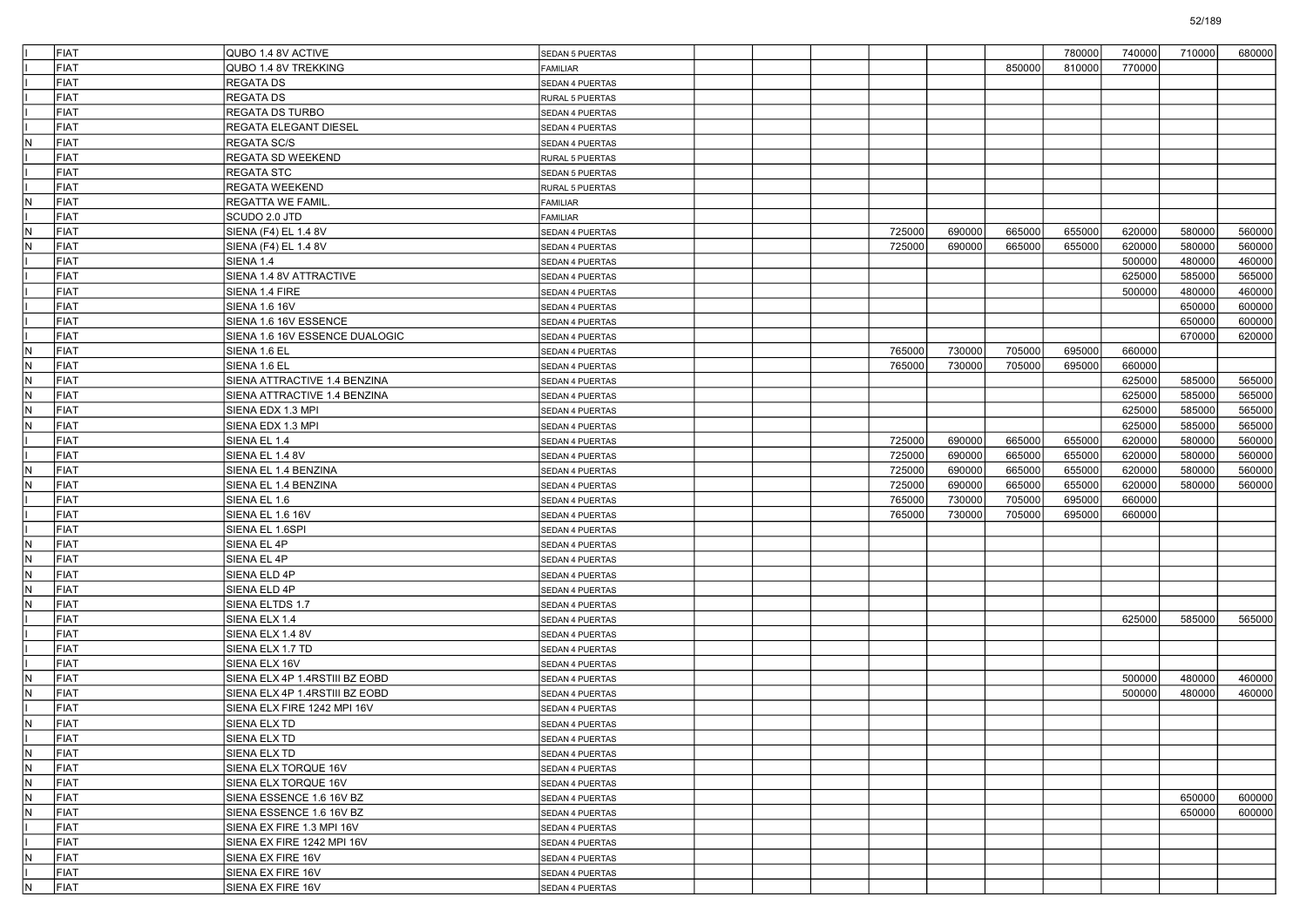|     | FIAT        |                                |                        |  |        |        |        | 780000 |        | 710000 | 680000 |
|-----|-------------|--------------------------------|------------------------|--|--------|--------|--------|--------|--------|--------|--------|
|     |             | QUBO 1.4 8V ACTIVE             | SEDAN 5 PUERTAS        |  |        |        |        |        | 740000 |        |        |
|     | <b>FIAT</b> | QUBO 1.4 8V TREKKING           | <b>FAMILIAR</b>        |  |        |        | 850000 | 810000 | 770000 |        |        |
|     | <b>FIAT</b> | <b>REGATA DS</b>               | <b>SEDAN 4 PUERTAS</b> |  |        |        |        |        |        |        |        |
|     | <b>FIAT</b> | REGATA DS                      | RURAL 5 PUERTAS        |  |        |        |        |        |        |        |        |
|     | <b>FIAT</b> | <b>REGATA DS TURBO</b>         | <b>SEDAN 4 PUERTAS</b> |  |        |        |        |        |        |        |        |
|     | <b>FIAT</b> | <b>REGATA ELEGANT DIESEL</b>   | SEDAN 4 PUERTAS        |  |        |        |        |        |        |        |        |
| N   | FIAT        | <b>REGATA SC/S</b>             | SEDAN 4 PUERTAS        |  |        |        |        |        |        |        |        |
|     | <b>FIAT</b> | <b>REGATA SD WEEKEND</b>       | RURAL 5 PUERTAS        |  |        |        |        |        |        |        |        |
|     | <b>FIAT</b> | <b>REGATA STC</b>              | SEDAN 5 PUERTAS        |  |        |        |        |        |        |        |        |
|     | <b>FIAT</b> | <b>REGATA WEEKEND</b>          | RURAL 5 PUERTAS        |  |        |        |        |        |        |        |        |
| N   | FIAT        | <b>REGATTA WE FAMIL</b>        | <b>FAMILIAR</b>        |  |        |        |        |        |        |        |        |
|     | <b>FIAT</b> | SCUDO 2.0 JTD                  | <b>FAMILIAR</b>        |  |        |        |        |        |        |        |        |
| IN. | <b>FIAT</b> | SIENA (F4) EL 1.4 8V           | SEDAN 4 PUERTAS        |  | 725000 | 690000 | 665000 | 655000 | 620000 | 580000 | 560000 |
| IN. | FIAT        | SIENA (F4) EL 1.4 8V           | SEDAN 4 PUERTAS        |  | 725000 | 690000 | 665000 | 655000 | 620000 | 580000 | 560000 |
|     | <b>FIAT</b> | SIENA 1.4                      | SEDAN 4 PUERTAS        |  |        |        |        |        | 500000 | 480000 | 460000 |
|     | <b>FIAT</b> | SIENA 1.4 8V ATTRACTIVE        | SEDAN 4 PUERTAS        |  |        |        |        |        | 625000 | 585000 | 565000 |
|     | <b>FIAT</b> | SIENA 1.4 FIRE                 | SEDAN 4 PUERTAS        |  |        |        |        |        | 500000 | 480000 | 460000 |
|     | <b>FIAT</b> | <b>SIENA 1.6 16V</b>           | SEDAN 4 PUERTAS        |  |        |        |        |        |        | 650000 | 600000 |
|     | <b>FIAT</b> |                                |                        |  |        |        |        |        |        | 650000 |        |
|     | <b>FIAT</b> | SIENA 1.6 16V ESSENCE          | SEDAN 4 PUERTAS        |  |        |        |        |        |        |        | 600000 |
|     |             | SIENA 1.6 16V ESSENCE DUALOGIC | SEDAN 4 PUERTAS        |  |        |        |        |        |        | 670000 | 620000 |
| N   | FIAT        | SIENA 1.6 EL                   | SEDAN 4 PUERTAS        |  | 765000 | 730000 | 705000 | 695000 | 660000 |        |        |
| N   | <b>FIAT</b> | SIENA 1.6 EL                   | SEDAN 4 PUERTAS        |  | 765000 | 730000 | 705000 | 695000 | 660000 |        |        |
| IN. | <b>FIAT</b> | SIENA ATTRACTIVE 1.4 BENZINA   | SEDAN 4 PUERTAS        |  |        |        |        |        | 625000 | 585000 | 565000 |
| IN. | <b>FIAT</b> | SIENA ATTRACTIVE 1.4 BENZINA   | SEDAN 4 PUERTAS        |  |        |        |        |        | 625000 | 585000 | 565000 |
| N   | <b>FIAT</b> | SIENA EDX 1.3 MPI              | SEDAN 4 PUERTAS        |  |        |        |        |        | 625000 | 585000 | 565000 |
| IN. | FIAT        | SIENA EDX 1.3 MPI              | SEDAN 4 PUERTAS        |  |        |        |        |        | 625000 | 585000 | 565000 |
|     | <b>FIAT</b> | SIENA EL 1.4                   | SEDAN 4 PUERTAS        |  | 725000 | 690000 | 665000 | 655000 | 620000 | 580000 | 560000 |
|     | <b>FIAT</b> | SIENA EL 1.4 8V                | SEDAN 4 PUERTAS        |  | 725000 | 690000 | 665000 | 655000 | 620000 | 580000 | 560000 |
| IN. | <b>FIAT</b> | SIENA EL 1.4 BENZINA           | SEDAN 4 PUERTAS        |  | 725000 | 690000 | 665000 | 655000 | 620000 | 580000 | 560000 |
| N   | <b>FIAT</b> | SIENA EL 1.4 BENZINA           | SEDAN 4 PUERTAS        |  | 725000 | 690000 | 665000 | 655000 | 620000 | 580000 | 560000 |
|     | FIAT        | SIENA EL 1.6                   | <b>SEDAN 4 PUERTAS</b> |  | 765000 | 730000 | 705000 | 695000 | 660000 |        |        |
|     | <b>FIAT</b> | SIENA EL 1.6 16V               | SEDAN 4 PUERTAS        |  | 765000 | 730000 | 705000 | 695000 | 660000 |        |        |
|     | <b>FIAT</b> | SIENA EL 1.6SPI                | SEDAN 4 PUERTAS        |  |        |        |        |        |        |        |        |
| IN. | <b>FIAT</b> | SIENA EL 4P                    | SEDAN 4 PUERTAS        |  |        |        |        |        |        |        |        |
| N   | <b>FIAT</b> | SIENA EL 4P                    | SEDAN 4 PUERTAS        |  |        |        |        |        |        |        |        |
| IN. | FIAT        | SIENA ELD 4P                   | <b>SEDAN 4 PUERTAS</b> |  |        |        |        |        |        |        |        |
| N   | <b>FIAT</b> | SIENA ELD 4P                   | SEDAN 4 PUERTAS        |  |        |        |        |        |        |        |        |
| IN. | <b>FIAT</b> | SIENA ELTDS 1.7                | SEDAN 4 PUERTAS        |  |        |        |        |        |        |        |        |
|     | <b>FIAT</b> | SIENA ELX 1.4                  | SEDAN 4 PUERTAS        |  |        |        |        |        | 625000 | 585000 | 565000 |
|     | <b>FIAT</b> | SIENA ELX 1.4 8V               | SEDAN 4 PUERTAS        |  |        |        |        |        |        |        |        |
|     | FIAT        | SIENA ELX 1.7 TD               | <b>SEDAN 4 PUERTAS</b> |  |        |        |        |        |        |        |        |
|     | <b>FIAT</b> | SIENA ELX 16V                  | SEDAN 4 PUERTAS        |  |        |        |        |        |        |        |        |
| N   | <b>FIAT</b> | SIENA ELX 4P 1.4RSTIII BZ EOBD | <b>SEDAN 4 PUERTAS</b> |  |        |        |        |        | 500000 | 480000 | 460000 |
| IN. | <b>FIAT</b> | SIENA ELX 4P 1.4RSTIII BZ EOBD | SEDAN 4 PUERTAS        |  |        |        |        |        | 500000 | 480000 | 460000 |
|     | <b>FIAT</b> | SIENA ELX FIRE 1242 MPI 16V    | SEDAN 4 PUERTAS        |  |        |        |        |        |        |        |        |
| N   | FIAT        | SIENA ELX TD                   | SEDAN 4 PUERTAS        |  |        |        |        |        |        |        |        |
|     | FIAT        | SIENA ELX TD                   | SEDAN 4 PUERTAS        |  |        |        |        |        |        |        |        |
| N   | FIAT        | SIENA ELX TD                   | SEDAN 4 PUERTAS        |  |        |        |        |        |        |        |        |
| IN. | FIAT        | SIENA ELX TORQUE 16V           | SEDAN 4 PUERTAS        |  |        |        |        |        |        |        |        |
| IN. | FIAT        | SIENA ELX TORQUE 16V           | SEDAN 4 PUERTAS        |  |        |        |        |        |        |        |        |
| IN. | FIAT        | SIENA ESSENCE 1.6 16V BZ       | SEDAN 4 PUERTAS        |  |        |        |        |        |        | 650000 | 600000 |
| IN. | FIAT        | SIENA ESSENCE 1.6 16V BZ       | SEDAN 4 PUERTAS        |  |        |        |        |        |        | 650000 | 600000 |
|     | FIAT        | SIENA EX FIRE 1.3 MPI 16V      | SEDAN 4 PUERTAS        |  |        |        |        |        |        |        |        |
|     | FIAT        | SIENA EX FIRE 1242 MPI 16V     | SEDAN 4 PUERTAS        |  |        |        |        |        |        |        |        |
| IN. | FIAT        | SIENA EX FIRE 16V              | SEDAN 4 PUERTAS        |  |        |        |        |        |        |        |        |
|     | FIAT        | SIENA EX FIRE 16V              | SEDAN 4 PUERTAS        |  |        |        |        |        |        |        |        |
| N   | FIAT        | SIENA EX FIRE 16V              | SEDAN 4 PUERTAS        |  |        |        |        |        |        |        |        |
|     |             |                                |                        |  |        |        |        |        |        |        |        |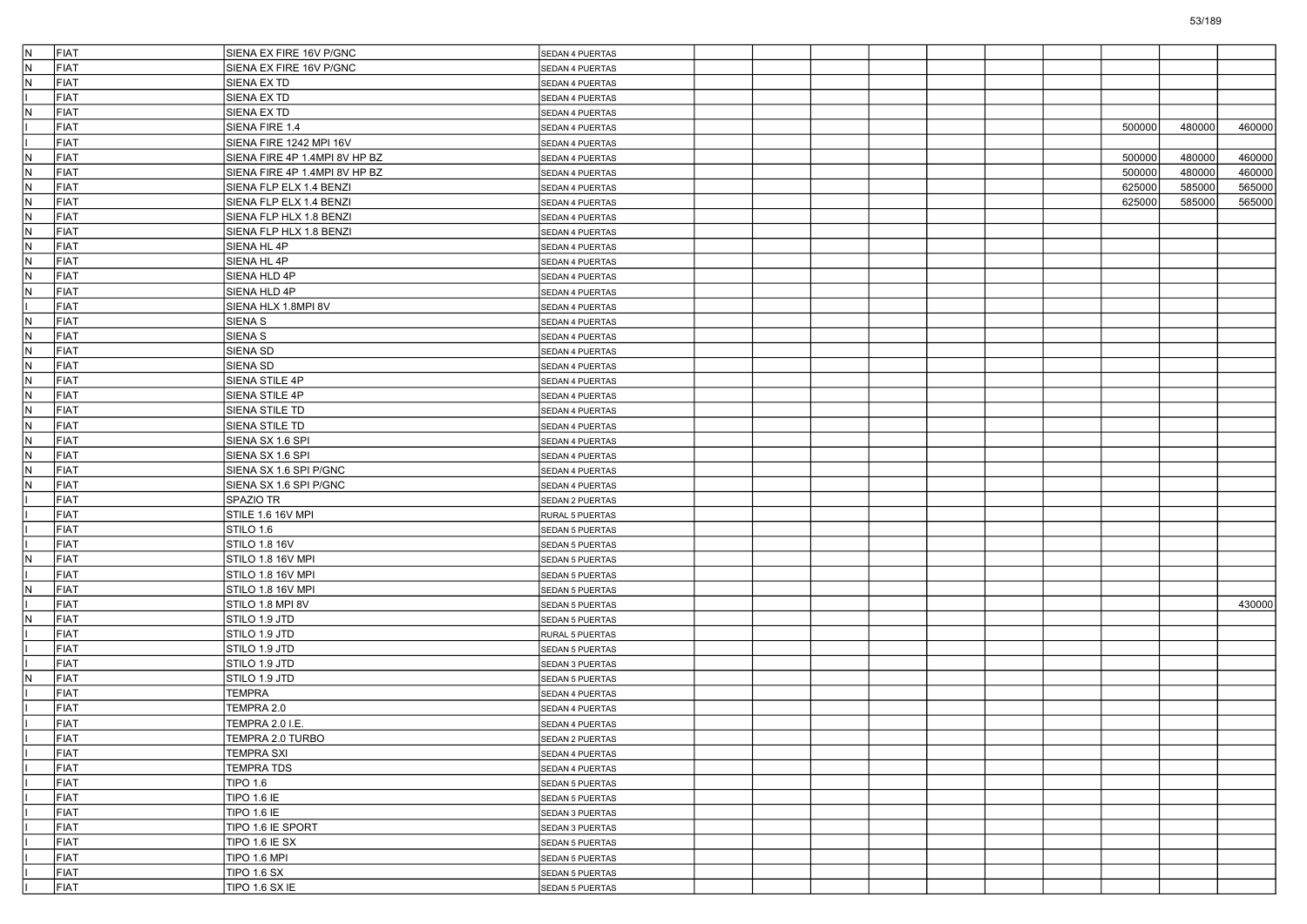| IN.          | FIAT        | SIENA EX FIRE 16V P/GNC       | SEDAN 4 PUERTAS        |  |  |  |        |        |        |
|--------------|-------------|-------------------------------|------------------------|--|--|--|--------|--------|--------|
| IN.          | FIAT        | SIENA EX FIRE 16V P/GNC       | SEDAN 4 PUERTAS        |  |  |  |        |        |        |
| IN.          | FIAT        | SIENA EX TD                   | SEDAN 4 PUERTAS        |  |  |  |        |        |        |
|              | FIAT        | SIENA EX TD                   | SEDAN 4 PUERTAS        |  |  |  |        |        |        |
| N            | FIAT        | SIENA EX TD                   | SEDAN 4 PUERTAS        |  |  |  |        |        |        |
|              | FIAT        | SIENA FIRE 1.4                | SEDAN 4 PUERTAS        |  |  |  | 500000 | 480000 | 460000 |
|              | FIAT        | SIENA FIRE 1242 MPI 16V       | SEDAN 4 PUERTAS        |  |  |  |        |        |        |
| IN.          | FIAT        | SIENA FIRE 4P 1.4MPI 8V HP BZ | SEDAN 4 PUERTAS        |  |  |  | 500000 | 480000 | 460000 |
| IN.          | FIAT        | SIENA FIRE 4P 1.4MPI 8V HP BZ | SEDAN 4 PUERTAS        |  |  |  | 500000 | 480000 | 460000 |
| N            | FIAT        | SIENA FLP ELX 1.4 BENZI       | SEDAN 4 PUERTAS        |  |  |  | 625000 | 585000 | 565000 |
| IN.          | FIAT        | SIENA FLP ELX 1.4 BENZI       | SEDAN 4 PUERTAS        |  |  |  | 625000 | 585000 | 565000 |
| İN.          | FIAT        | SIENA FLP HLX 1.8 BENZI       | SEDAN 4 PUERTAS        |  |  |  |        |        |        |
| IN.          | FIAT        | SIENA FLP HLX 1.8 BENZI       | SEDAN 4 PUERTAS        |  |  |  |        |        |        |
| IN.          | FIAT        | SIENA HL 4P                   | SEDAN 4 PUERTAS        |  |  |  |        |        |        |
| İN.          | FIAT        | SIENA HL 4P                   | SEDAN 4 PUERTAS        |  |  |  |        |        |        |
| IN.          | FIAT        | SIENA HLD 4P                  | SEDAN 4 PUERTAS        |  |  |  |        |        |        |
| IN.          | FIAT        | SIENA HLD 4P                  | SEDAN 4 PUERTAS        |  |  |  |        |        |        |
|              | FIAT        | SIENA HLX 1.8MPI 8V           | SEDAN 4 PUERTAS        |  |  |  |        |        |        |
| IN.          | FIAT        | SIENA S                       | SEDAN 4 PUERTAS        |  |  |  |        |        |        |
| İN.          | FIAT        | SIENA S                       | SEDAN 4 PUERTAS        |  |  |  |        |        |        |
| IN.          | FIAT        | SIENA SD                      | SEDAN 4 PUERTAS        |  |  |  |        |        |        |
| İN.          | FIAT        | SIENA SD                      | SEDAN 4 PUERTAS        |  |  |  |        |        |        |
| IN.          | FIAT        | SIENA STILE 4P                | SEDAN 4 PUERTAS        |  |  |  |        |        |        |
| IN.          | FIAT        | SIENA STILE 4P                | SEDAN 4 PUERTAS        |  |  |  |        |        |        |
| N            | FIAT        | SIENA STILE TD                | SEDAN 4 PUERTAS        |  |  |  |        |        |        |
| IN.          | FIAT        | SIENA STILE TD                | SEDAN 4 PUERTAS        |  |  |  |        |        |        |
| İN.          | FIAT        | SIENA SX 1.6 SPI              |                        |  |  |  |        |        |        |
| IN.          | FIAT        | SIENA SX 1.6 SPI              | SEDAN 4 PUERTAS        |  |  |  |        |        |        |
|              |             | SIENA SX 1.6 SPI P/GNC        | SEDAN 4 PUERTAS        |  |  |  |        |        |        |
| IN.          | FIAT        |                               | SEDAN 4 PUERTAS        |  |  |  |        |        |        |
| N            | FIAT        | SIENA SX 1.6 SPI P/GNC        | SEDAN 4 PUERTAS        |  |  |  |        |        |        |
|              | FIAT        | SPAZIO TR                     | SEDAN 2 PUERTAS        |  |  |  |        |        |        |
|              | FIAT        | STILE 1.6 16V MPI             | RURAL 5 PUERTAS        |  |  |  |        |        |        |
|              | FIAT        | STILO 1.6                     | <b>SEDAN 5 PUERTAS</b> |  |  |  |        |        |        |
|              | FIAT        | STILO 1.8 16V                 | SEDAN 5 PUERTAS        |  |  |  |        |        |        |
| N            | FIAT        | STILO 1.8 16V MPI             | SEDAN 5 PUERTAS        |  |  |  |        |        |        |
|              | FIAT        | STILO 1.8 16V MPI             | SEDAN 5 PUERTAS        |  |  |  |        |        |        |
| $\mathsf{N}$ | FIAT        | STILO 1.8 16V MPI             | <b>SEDAN 5 PUERTAS</b> |  |  |  |        |        |        |
|              | <b>FIAT</b> | STILO 1.8 MPI 8V              | <b>SEDAN 5 PUERTAS</b> |  |  |  |        |        | 430000 |
| IN.          | FIAT        | STILO 1.9 JTD                 | SEDAN 5 PUERTAS        |  |  |  |        |        |        |
|              | FIAT        | STILO 1.9 JTD                 | RURAL 5 PUERTAS        |  |  |  |        |        |        |
|              | FIAT        | STILO 1.9 JTD                 | SEDAN 5 PUERTAS        |  |  |  |        |        |        |
|              | FIAT        | STILO 1.9 JTD                 | <b>SEDAN 3 PUERTAS</b> |  |  |  |        |        |        |
| IN.          | FIAT        | STILO 1.9 JTD                 | <b>SEDAN 5 PUERTAS</b> |  |  |  |        |        |        |
|              | FIAT        | TEMPRA                        | SEDAN 4 PUERTAS        |  |  |  |        |        |        |
|              | FIAT        | TEMPRA 2.0                    | SEDAN 4 PUERTAS        |  |  |  |        |        |        |
|              | FIAT        | TEMPRA 2.0 I.E.               | SEDAN 4 PUERTAS        |  |  |  |        |        |        |
|              | FIAT        | TEMPRA 2.0 TURBO              | SEDAN 2 PUERTAS        |  |  |  |        |        |        |
|              | FIAT        | <b>TEMPRA SXI</b>             | SEDAN 4 PUERTAS        |  |  |  |        |        |        |
|              | FIAT        | <b>TEMPRA TDS</b>             | SEDAN 4 PUERTAS        |  |  |  |        |        |        |
|              | FIAT        | <b>TIPO 1.6</b>               | SEDAN 5 PUERTAS        |  |  |  |        |        |        |
|              | FIAT        | <b>TIPO 1.6 IE</b>            | SEDAN 5 PUERTAS        |  |  |  |        |        |        |
|              | FIAT        | <b>TIPO 1.6 IE</b>            | SEDAN 3 PUERTAS        |  |  |  |        |        |        |
|              | FIAT        | TIPO 1.6 IE SPORT             | SEDAN 3 PUERTAS        |  |  |  |        |        |        |
|              | FIAT        | TIPO 1.6 IE SX                | SEDAN 5 PUERTAS        |  |  |  |        |        |        |
|              | FIAT        | TIPO 1.6 MPI                  | SEDAN 5 PUERTAS        |  |  |  |        |        |        |
|              | FIAT        | <b>TIPO 1.6 SX</b>            | SEDAN 5 PUERTAS        |  |  |  |        |        |        |
|              | FIAT        | TIPO 1.6 SX IE                | SEDAN 5 PUERTAS        |  |  |  |        |        |        |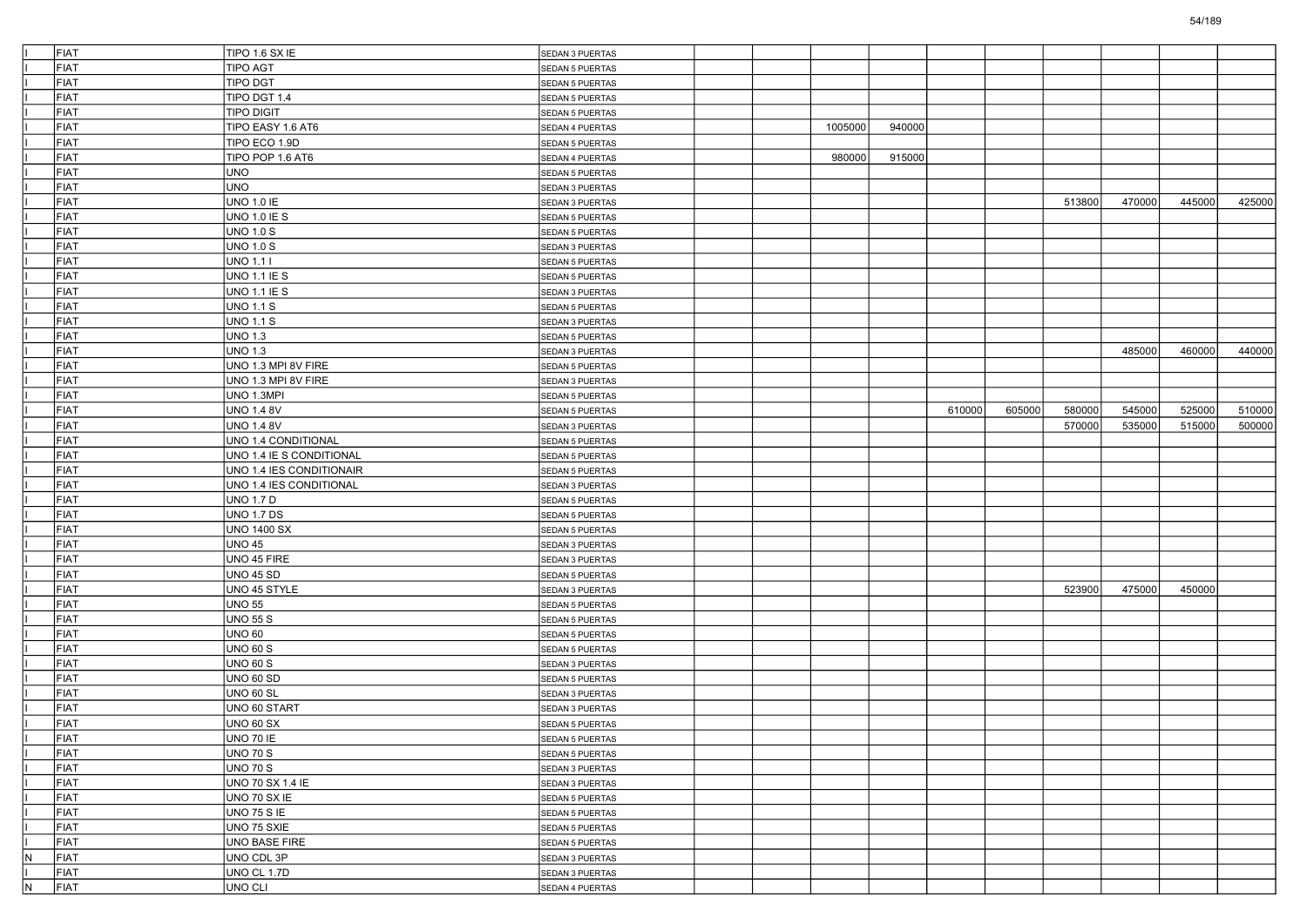|                         | FIAT | TIPO 1.6 SX IE            | SEDAN 3 PUERTAS |  |         |        |        |        |        |        |        |        |
|-------------------------|------|---------------------------|-----------------|--|---------|--------|--------|--------|--------|--------|--------|--------|
|                         | FIAT | <b>TIPO AGT</b>           | SEDAN 5 PUERTAS |  |         |        |        |        |        |        |        |        |
|                         | FIAT | <b>TIPO DGT</b>           | SEDAN 5 PUERTAS |  |         |        |        |        |        |        |        |        |
|                         | FIAT | TIPO DGT 1.4              | SEDAN 5 PUERTAS |  |         |        |        |        |        |        |        |        |
|                         | FIAT | <b>TIPO DIGIT</b>         | SEDAN 5 PUERTAS |  |         |        |        |        |        |        |        |        |
|                         | FIAT | TIPO EASY 1.6 AT6         | SEDAN 4 PUERTAS |  | 1005000 | 940000 |        |        |        |        |        |        |
|                         | FIAT | TIPO ECO 1.9D             | SEDAN 5 PUERTAS |  |         |        |        |        |        |        |        |        |
|                         | FIAT | TIPO POP 1.6 AT6          | SEDAN 4 PUERTAS |  | 980000  | 915000 |        |        |        |        |        |        |
|                         | FIAT | UNO                       | SEDAN 5 PUERTAS |  |         |        |        |        |        |        |        |        |
|                         | FIAT | <b>UNO</b>                | SEDAN 3 PUERTAS |  |         |        |        |        |        |        |        |        |
|                         | FIAT | <b>UNO 1.0 IE</b>         | SEDAN 3 PUERTAS |  |         |        |        |        | 513800 | 470000 | 445000 | 425000 |
|                         | FIAT | UNO 1.0 IE S              | SEDAN 5 PUERTAS |  |         |        |        |        |        |        |        |        |
|                         | FIAT | <b>UNO 1.0 S</b>          | SEDAN 5 PUERTAS |  |         |        |        |        |        |        |        |        |
|                         | FIAT | UNO 1.0 S                 | SEDAN 3 PUERTAS |  |         |        |        |        |        |        |        |        |
|                         | FIAT | UNO 1.1 I                 | SEDAN 5 PUERTAS |  |         |        |        |        |        |        |        |        |
|                         | FIAT | UNO 1.1 IE S              | SEDAN 5 PUERTAS |  |         |        |        |        |        |        |        |        |
|                         | FIAT | UNO 1.1 IE S              | SEDAN 3 PUERTAS |  |         |        |        |        |        |        |        |        |
|                         | FIAT | <b>UNO 1.1 S</b>          | SEDAN 5 PUERTAS |  |         |        |        |        |        |        |        |        |
|                         | FIAT | UNO 1.1 S                 | SEDAN 3 PUERTAS |  |         |        |        |        |        |        |        |        |
|                         | FIAT | <b>UNO 1.3</b>            | SEDAN 5 PUERTAS |  |         |        |        |        |        |        |        |        |
|                         | FIAT | <b>UNO 1.3</b>            | SEDAN 3 PUERTAS |  |         |        |        |        |        | 485000 | 460000 | 440000 |
|                         | FIAT | UNO 1.3 MPI 8V FIRE       | SEDAN 5 PUERTAS |  |         |        |        |        |        |        |        |        |
|                         | FIAT | UNO 1.3 MPI 8V FIRE       | SEDAN 3 PUERTAS |  |         |        |        |        |        |        |        |        |
|                         | FIAT | UNO 1.3MPI                | SEDAN 5 PUERTAS |  |         |        |        |        |        |        |        |        |
|                         | FIAT | <b>UNO 1.4 8V</b>         | SEDAN 5 PUERTAS |  |         |        | 610000 | 605000 | 580000 | 545000 | 525000 | 510000 |
|                         | FIAT | <b>UNO 1.4 8V</b>         | SEDAN 3 PUERTAS |  |         |        |        |        | 570000 | 535000 | 515000 | 500000 |
|                         | FIAT | UNO 1.4 CONDITIONAL       | SEDAN 5 PUERTAS |  |         |        |        |        |        |        |        |        |
|                         | FIAT | UNO 1.4 IE S CONDITIONAL  | SEDAN 5 PUERTAS |  |         |        |        |        |        |        |        |        |
|                         | FIAT | UNO 1.4 IES CONDITIONAIR  | SEDAN 5 PUERTAS |  |         |        |        |        |        |        |        |        |
|                         | FIAT | UNO 1.4 IES CONDITIONAL   | SEDAN 3 PUERTAS |  |         |        |        |        |        |        |        |        |
|                         | FIAT | <b>UNO 1.7 D</b>          | SEDAN 5 PUERTAS |  |         |        |        |        |        |        |        |        |
|                         | FIAT | <b>UNO 1.7 DS</b>         | SEDAN 5 PUERTAS |  |         |        |        |        |        |        |        |        |
|                         | FIAT | <b>UNO 1400 SX</b>        | SEDAN 5 PUERTAS |  |         |        |        |        |        |        |        |        |
|                         | FIAT | <b>UNO 45</b>             | SEDAN 3 PUERTAS |  |         |        |        |        |        |        |        |        |
|                         | FIAT | UNO 45 FIRE               | SEDAN 3 PUERTAS |  |         |        |        |        |        |        |        |        |
|                         | FIAT | <b>UNO 45 SD</b>          | SEDAN 5 PUERTAS |  |         |        |        |        |        |        |        |        |
|                         | FIAT | UNO 45 STYLE              |                 |  |         |        |        |        | 523900 | 475000 | 450000 |        |
|                         | FIAT | <b>UNO 55</b>             | SEDAN 3 PUERTAS |  |         |        |        |        |        |        |        |        |
|                         | FIAT |                           | SEDAN 5 PUERTAS |  |         |        |        |        |        |        |        |        |
|                         | FIAT | UNO 55 S<br><b>UNO 60</b> | SEDAN 5 PUERTAS |  |         |        |        |        |        |        |        |        |
|                         | FIAT | UNO 60 S                  | SEDAN 5 PUERTAS |  |         |        |        |        |        |        |        |        |
|                         |      |                           | SEDAN 5 PUERTAS |  |         |        |        |        |        |        |        |        |
|                         | FIAT | UNO 60 S                  | SEDAN 3 PUERTAS |  |         |        |        |        |        |        |        |        |
|                         | FIAT | <b>UNO 60 SD</b>          | SEDAN 5 PUERTAS |  |         |        |        |        |        |        |        |        |
|                         | FIAT | <b>UNO 60 SL</b>          | SEDAN 3 PUERTAS |  |         |        |        |        |        |        |        |        |
|                         | FIAT | UNO 60 START              | SEDAN 3 PUERTAS |  |         |        |        |        |        |        |        |        |
|                         | FIAT | <b>UNO 60 SX</b>          | SEDAN 5 PUERTAS |  |         |        |        |        |        |        |        |        |
|                         | FIAT | UNO 70 IE                 | SEDAN 5 PUERTAS |  |         |        |        |        |        |        |        |        |
|                         | FIAT | <b>UNO 70 S</b>           | SEDAN 5 PUERTAS |  |         |        |        |        |        |        |        |        |
|                         | FIAT | <b>UNO 70 S</b>           | SEDAN 3 PUERTAS |  |         |        |        |        |        |        |        |        |
|                         | FIAT | UNO 70 SX 1.4 IE          | SEDAN 3 PUERTAS |  |         |        |        |        |        |        |        |        |
|                         | FIAT | UNO 70 SX IE              | SEDAN 5 PUERTAS |  |         |        |        |        |        |        |        |        |
|                         | FIAT | <b>UNO 75 S IE</b>        | SEDAN 5 PUERTAS |  |         |        |        |        |        |        |        |        |
|                         | FIAT | UNO 75 SXIE               | SEDAN 5 PUERTAS |  |         |        |        |        |        |        |        |        |
|                         | FIAT | UNO BASE FIRE             | SEDAN 5 PUERTAS |  |         |        |        |        |        |        |        |        |
| $\overline{\mathsf{N}}$ | FIAT | UNO CDL 3P                | SEDAN 3 PUERTAS |  |         |        |        |        |        |        |        |        |
|                         | FIAT | UNO CL 1.7D               | SEDAN 3 PUERTAS |  |         |        |        |        |        |        |        |        |
| N                       | FIAT | UNO CLI                   | SEDAN 4 PUERTAS |  |         |        |        |        |        |        |        |        |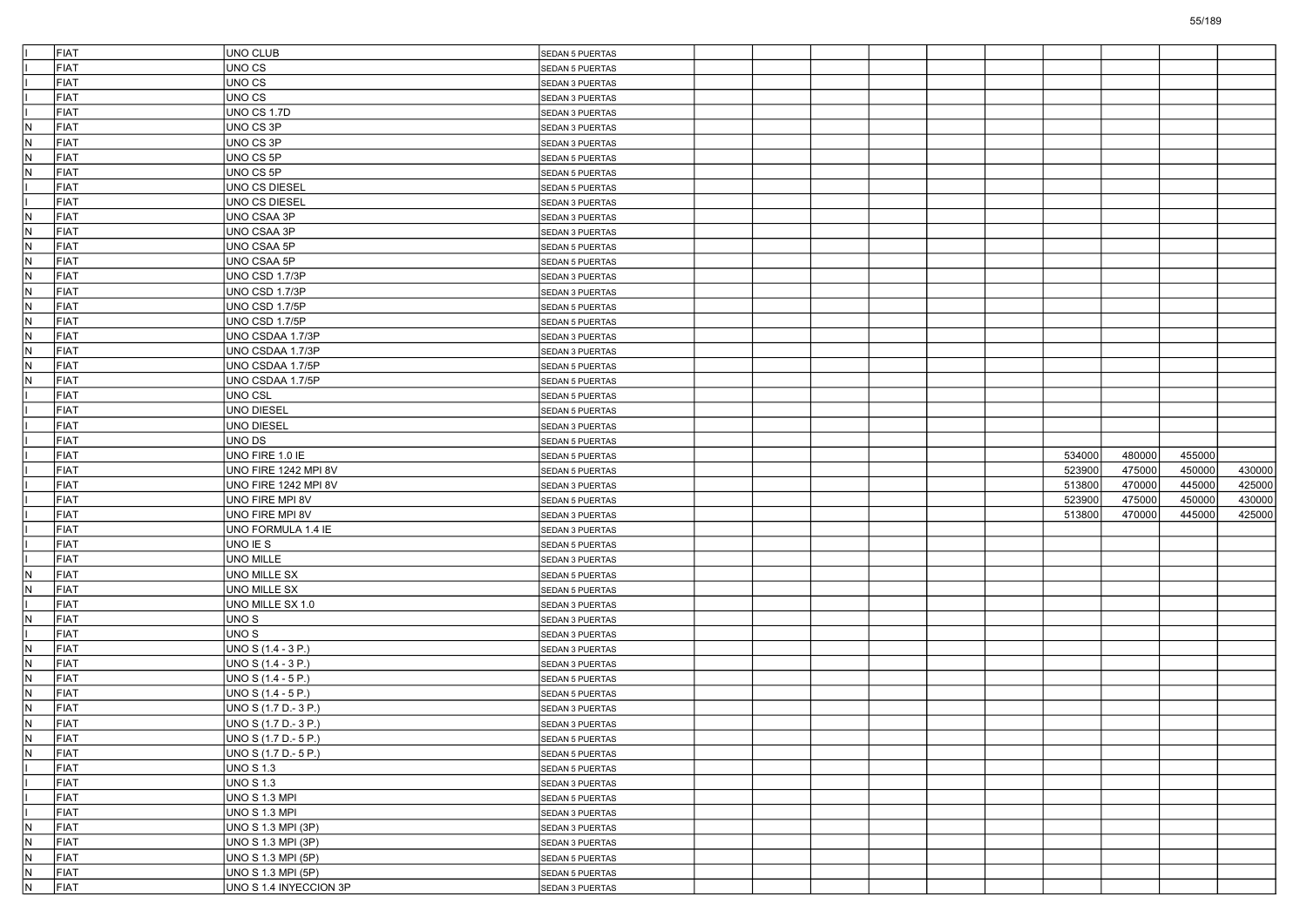|                         | FIAT         | UNO CLUB               | SEDAN 5 PUERTAS        |  |  |        |        |        |        |
|-------------------------|--------------|------------------------|------------------------|--|--|--------|--------|--------|--------|
|                         | FIAT         | UNO CS                 | SEDAN 5 PUERTAS        |  |  |        |        |        |        |
|                         | FIAT         | UNO CS                 | SEDAN 3 PUERTAS        |  |  |        |        |        |        |
|                         | FIAT         | UNO CS                 | SEDAN 3 PUERTAS        |  |  |        |        |        |        |
|                         | FIAT         | UNO CS 1.7D            | SEDAN 3 PUERTAS        |  |  |        |        |        |        |
| IN.                     | FIAT         | UNO CS 3P              | SEDAN 3 PUERTAS        |  |  |        |        |        |        |
| N.                      | FIAT         | UNO CS 3P              | SEDAN 3 PUERTAS        |  |  |        |        |        |        |
| IN.                     | FIAT         | UNO CS 5P              | SEDAN 5 PUERTAS        |  |  |        |        |        |        |
| IN.                     | FIAT         | UNO CS 5P              | SEDAN 5 PUERTAS        |  |  |        |        |        |        |
|                         | FIAT         | <b>UNO CS DIESEL</b>   | SEDAN 5 PUERTAS        |  |  |        |        |        |        |
|                         | FIAT         | UNO CS DIESEL          | SEDAN 3 PUERTAS        |  |  |        |        |        |        |
| N.                      | FIAT         | UNO CSAA 3P            | SEDAN 3 PUERTAS        |  |  |        |        |        |        |
| IN.                     | FIAT         | UNO CSAA 3P            | SEDAN 3 PUERTAS        |  |  |        |        |        |        |
| N                       | FIAT         | UNO CSAA 5P            | SEDAN 5 PUERTAS        |  |  |        |        |        |        |
| IN.                     | FIAT         | UNO CSAA 5P            | SEDAN 5 PUERTAS        |  |  |        |        |        |        |
| IN.                     | FIAT         | UNO CSD 1.7/3P         | SEDAN 3 PUERTAS        |  |  |        |        |        |        |
| N,                      | FIAT         | UNO CSD 1.7/3P         | SEDAN 3 PUERTAS        |  |  |        |        |        |        |
| IN.                     | FIAT         | UNO CSD 1.7/5P         | SEDAN 5 PUERTAS        |  |  |        |        |        |        |
| N                       | FIAT         | UNO CSD 1.7/5P         | SEDAN 5 PUERTAS        |  |  |        |        |        |        |
| IN.                     | FIAT         | UNO CSDAA 1.7/3P       | SEDAN 3 PUERTAS        |  |  |        |        |        |        |
| IN.                     | FIAT         | UNO CSDAA 1.7/3P       | SEDAN 3 PUERTAS        |  |  |        |        |        |        |
| N,                      | FIAT         | UNO CSDAA 1.7/5P       | SEDAN 5 PUERTAS        |  |  |        |        |        |        |
| IN.                     | FIAT         | UNO CSDAA 1.7/5P       | SEDAN 5 PUERTAS        |  |  |        |        |        |        |
|                         | FIAT         | UNO CSL                | SEDAN 5 PUERTAS        |  |  |        |        |        |        |
|                         | FIAT         | UNO DIESEL             | SEDAN 5 PUERTAS        |  |  |        |        |        |        |
|                         | FIAT         | UNO DIESEL             | SEDAN 3 PUERTAS        |  |  |        |        |        |        |
|                         | FIAT         | UNO DS                 | SEDAN 5 PUERTAS        |  |  |        |        |        |        |
|                         | FIAT         | UNO FIRE 1.0 IE        | SEDAN 5 PUERTAS        |  |  | 534000 | 480000 | 455000 |        |
|                         | FIAT         | UNO FIRE 1242 MPI 8V   | SEDAN 5 PUERTAS        |  |  | 523900 | 475000 | 450000 | 430000 |
|                         | FIAT         | UNO FIRE 1242 MPI 8V   | SEDAN 3 PUERTAS        |  |  | 513800 | 470000 | 445000 | 425000 |
|                         | FIAT         | UNO FIRE MPI 8V        | SEDAN 5 PUERTAS        |  |  | 523900 | 475000 | 450000 | 430000 |
|                         | FIAT         | UNO FIRE MPI 8V        | SEDAN 3 PUERTAS        |  |  | 513800 | 470000 | 445000 | 425000 |
|                         | FIAT         | UNO FORMULA 1.4 IE     | SEDAN 3 PUERTAS        |  |  |        |        |        |        |
|                         | FIAT         | UNO IE S               | SEDAN 5 PUERTAS        |  |  |        |        |        |        |
|                         | FIAT         | UNO MILLE              | SEDAN 3 PUERTAS        |  |  |        |        |        |        |
| IN.                     | FIAT         | UNO MILLE SX           | SEDAN 5 PUERTAS        |  |  |        |        |        |        |
| N.                      | FIAT         | UNO MILLE SX           | SEDAN 5 PUERTAS        |  |  |        |        |        |        |
|                         | FIAT         | UNO MILLE SX 1.0       | SEDAN 3 PUERTAS        |  |  |        |        |        |        |
| N                       | FIAT         | UNO S                  |                        |  |  |        |        |        |        |
|                         | FIAT         | UNO S                  | SEDAN 3 PUERTAS        |  |  |        |        |        |        |
| IN.                     | FIAT         | UNO S (1.4 - 3 P.)     | SEDAN 3 PUERTAS        |  |  |        |        |        |        |
|                         | FIAT         |                        | SEDAN 3 PUERTAS        |  |  |        |        |        |        |
| N.<br>IN.               |              | UNO S (1.4 - 3 P.)     | SEDAN 3 PUERTAS        |  |  |        |        |        |        |
|                         | FIAT         | UNO S (1.4 - 5 P.)     | SEDAN 5 PUERTAS        |  |  |        |        |        |        |
| N.                      | FIAT         | UNO S (1.4 - 5 P.)     | SEDAN 5 PUERTAS        |  |  |        |        |        |        |
| IN.                     | FIAT         | UNO S (1.7 D.- 3 P.)   | <b>SEDAN 3 PUERTAS</b> |  |  |        |        |        |        |
| IN.                     | FIAT         | UNO S (1.7 D.- 3 P.)   | SEDAN 3 PUERTAS        |  |  |        |        |        |        |
| N                       | <b>IFIAT</b> | UNO S (1.7 D.- 5 P.)   | <b>SEDAN 5 PUERTAS</b> |  |  |        |        |        |        |
| N                       | FIAT         | UNO S (1.7 D.- 5 P.)   | SEDAN 5 PUERTAS        |  |  |        |        |        |        |
| Iı                      | FIAT         | <b>UNO S 1.3</b>       | SEDAN 5 PUERTAS        |  |  |        |        |        |        |
|                         | FIAT         | <b>UNO S 1.3</b>       | SEDAN 3 PUERTAS        |  |  |        |        |        |        |
|                         | FIAT         | <b>UNO S 1.3 MPI</b>   | SEDAN 5 PUERTAS        |  |  |        |        |        |        |
|                         | FIAT         | <b>UNO S 1.3 MPI</b>   | SEDAN 3 PUERTAS        |  |  |        |        |        |        |
| $\overline{N}$          | FIAT         | UNO S 1.3 MPI (3P)     | SEDAN 3 PUERTAS        |  |  |        |        |        |        |
| $\overline{N}$          | FIAT         | UNO S 1.3 MPI (3P)     | SEDAN 3 PUERTAS        |  |  |        |        |        |        |
| $\overline{\mathsf{N}}$ | FIAT         | UNO S 1.3 MPI (5P)     | SEDAN 5 PUERTAS        |  |  |        |        |        |        |
| N                       | FIAT         | UNO S 1.3 MPI (5P)     | SEDAN 5 PUERTAS        |  |  |        |        |        |        |
| $\overline{N}$          | FIAT         | UNO S 1.4 INYECCION 3P | SEDAN 3 PUERTAS        |  |  |        |        |        |        |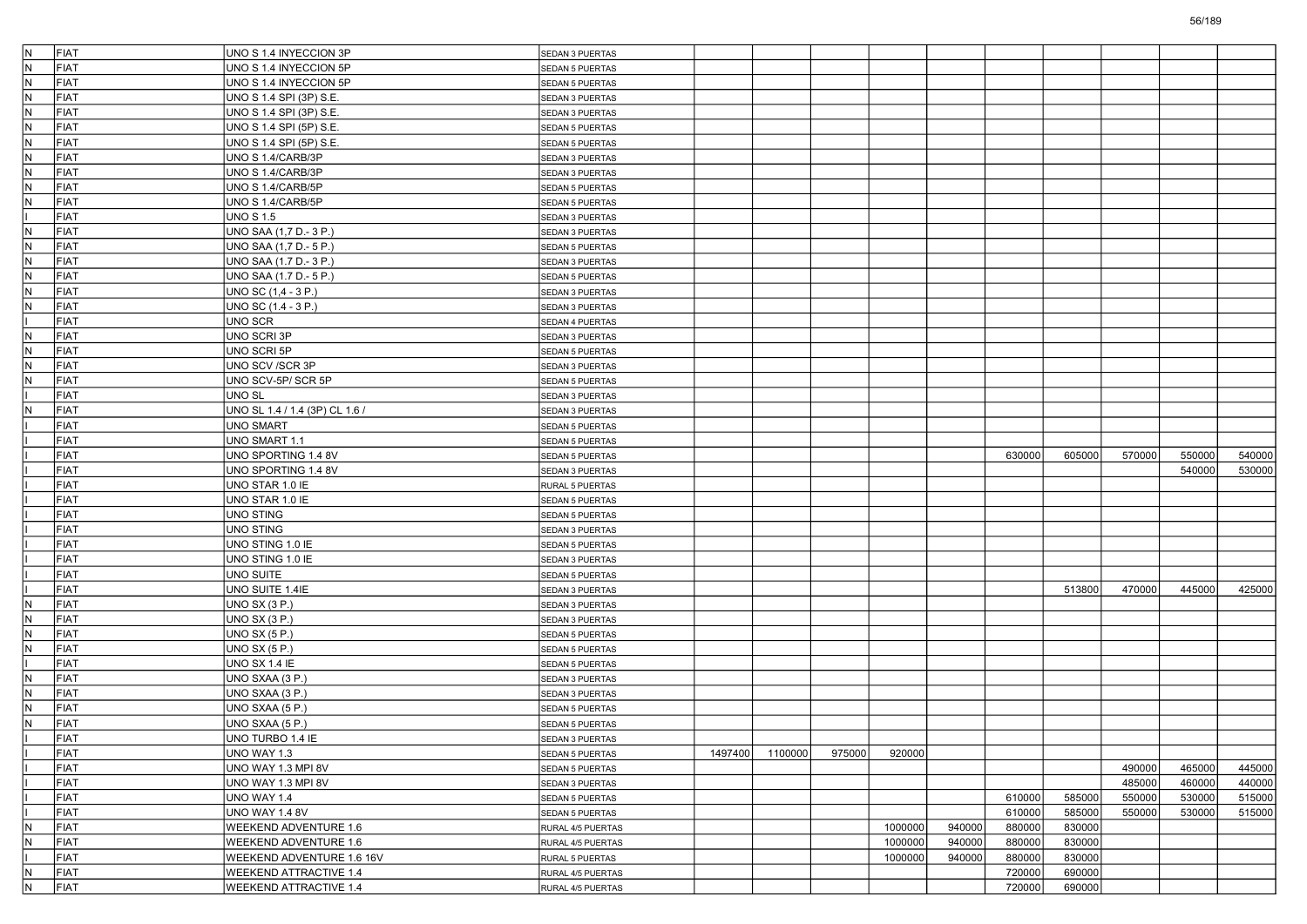| IN.          | FIAT | UNO S 1.4 INYECCION 3P             | SEDAN 3 PUERTAS                    |         |         |        |         |        |        |        |        |        |        |
|--------------|------|------------------------------------|------------------------------------|---------|---------|--------|---------|--------|--------|--------|--------|--------|--------|
| IN.          | FIAT | UNO S 1.4 INYECCION 5P             | SEDAN 5 PUERTAS                    |         |         |        |         |        |        |        |        |        |        |
| IN.          | FIAT | UNO S 1.4 INYECCION 5P             | <b>SEDAN 5 PUERTAS</b>             |         |         |        |         |        |        |        |        |        |        |
| IN.          | FIAT | UNO S 1.4 SPI (3P) S.E.            | SEDAN 3 PUERTAS                    |         |         |        |         |        |        |        |        |        |        |
| IN.          | FIAT | UNO S 1.4 SPI (3P) S.E.            | SEDAN 3 PUERTAS                    |         |         |        |         |        |        |        |        |        |        |
| IN.          | FIAT | UNO S 1.4 SPI (5P) S.E.            | SEDAN 5 PUERTAS                    |         |         |        |         |        |        |        |        |        |        |
| IN.          | FIAT | UNO S 1.4 SPI (5P) S.E.            | SEDAN 5 PUERTAS                    |         |         |        |         |        |        |        |        |        |        |
| N            | FIAT | UNO S 1.4/CARB/3P                  | SEDAN 3 PUERTAS                    |         |         |        |         |        |        |        |        |        |        |
| IN.          | FIAT | UNO S 1.4/CARB/3P                  | SEDAN 3 PUERTAS                    |         |         |        |         |        |        |        |        |        |        |
| IN.          | FIAT | UNO S 1.4/CARB/5P                  | SEDAN 5 PUERTAS                    |         |         |        |         |        |        |        |        |        |        |
| IN.          | FIAT | UNO S 1.4/CARB/5P                  | SEDAN 5 PUERTAS                    |         |         |        |         |        |        |        |        |        |        |
|              | FIAT | UNO S 1.5                          | SEDAN 3 PUERTAS                    |         |         |        |         |        |        |        |        |        |        |
| N            | FIAT | UNO SAA (1,7 D.- 3 P.)             | SEDAN 3 PUERTAS                    |         |         |        |         |        |        |        |        |        |        |
| IN.          | FIAT | UNO SAA (1,7 D.- 5 P.)             | <b>SEDAN 5 PUERTAS</b>             |         |         |        |         |        |        |        |        |        |        |
| IN.          | FIAT | UNO SAA (1.7 D.- 3 P.)             | SEDAN 3 PUERTAS                    |         |         |        |         |        |        |        |        |        |        |
| IN.          | FIAT | UNO SAA (1.7 D.- 5 P.)             | <b>SEDAN 5 PUERTAS</b>             |         |         |        |         |        |        |        |        |        |        |
| IN.          | FIAT | UNO SC (1,4 - 3 P.)                | SEDAN 3 PUERTAS                    |         |         |        |         |        |        |        |        |        |        |
| N            | FIAT | UNO SC (1.4 - 3 P.)                | SEDAN 3 PUERTAS                    |         |         |        |         |        |        |        |        |        |        |
|              | FIAT | UNO SCR                            | SEDAN 4 PUERTAS                    |         |         |        |         |        |        |        |        |        |        |
| N            | FIAT | UNO SCRI 3P                        | SEDAN 3 PUERTAS                    |         |         |        |         |        |        |        |        |        |        |
| IN.          | FIAT | UNO SCRI 5P                        | SEDAN 5 PUERTAS                    |         |         |        |         |        |        |        |        |        |        |
| IN.          | FIAT | UNO SCV /SCR 3P                    | SEDAN 3 PUERTAS                    |         |         |        |         |        |        |        |        |        |        |
| N            | FIAT | UNO SCV-5P/SCR 5P                  | SEDAN 5 PUERTAS                    |         |         |        |         |        |        |        |        |        |        |
|              | FIAT | UNO SL                             | SEDAN 3 PUERTAS                    |         |         |        |         |        |        |        |        |        |        |
| $\mathsf{N}$ | FIAT | UNO SL 1.4 / 1.4 (3P) CL 1.6 /     | <b>SEDAN 3 PUERTAS</b>             |         |         |        |         |        |        |        |        |        |        |
|              | FIAT | UNO SMART                          | SEDAN 5 PUERTAS                    |         |         |        |         |        |        |        |        |        |        |
|              | FIAT | UNO SMART 1.1                      |                                    |         |         |        |         |        |        |        |        |        |        |
|              | FIAT | UNO SPORTING 1.4 8V                | SEDAN 5 PUERTAS<br>SEDAN 5 PUERTAS |         |         |        |         |        | 630000 | 605000 | 570000 | 550000 | 540000 |
|              | FIAT | UNO SPORTING 1.4 8V                |                                    |         |         |        |         |        |        |        |        | 540000 | 530000 |
|              | FIAT |                                    | SEDAN 3 PUERTAS                    |         |         |        |         |        |        |        |        |        |        |
|              | FIAT | UNO STAR 1.0 IE<br>UNO STAR 1.0 IE | RURAL 5 PUERTAS                    |         |         |        |         |        |        |        |        |        |        |
|              | FIAT |                                    | SEDAN 5 PUERTAS                    |         |         |        |         |        |        |        |        |        |        |
|              | FIAT | UNO STING                          | SEDAN 5 PUERTAS                    |         |         |        |         |        |        |        |        |        |        |
|              |      | UNO STING                          | SEDAN 3 PUERTAS                    |         |         |        |         |        |        |        |        |        |        |
|              | FIAT | UNO STING 1.0 IE                   | SEDAN 5 PUERTAS                    |         |         |        |         |        |        |        |        |        |        |
|              | FIAT | UNO STING 1.0 IE                   | SEDAN 3 PUERTAS                    |         |         |        |         |        |        |        |        |        |        |
|              | FIAT | UNO SUITE                          | SEDAN 5 PUERTAS                    |         |         |        |         |        |        |        |        |        |        |
|              | FIAT | UNO SUITE 1.4IE                    | SEDAN 3 PUERTAS                    |         |         |        |         |        |        | 513800 | 470000 | 445000 | 425000 |
| N            | FIAT | <b>UNO SX (3 P.)</b>               | SEDAN 3 PUERTAS                    |         |         |        |         |        |        |        |        |        |        |
| IN.          | FIAT | UNO SX (3 P.)                      | SEDAN 3 PUERTAS                    |         |         |        |         |        |        |        |        |        |        |
| $\mathsf{N}$ | FIAT | UNO SX (5 P.)                      | SEDAN 5 PUERTAS                    |         |         |        |         |        |        |        |        |        |        |
| IN.          | FIAT | UNO SX (5 P.)                      | <b>SEDAN 5 PUERTAS</b>             |         |         |        |         |        |        |        |        |        |        |
|              | FIAT | UNO SX 1.4 IE                      | SEDAN 5 PUERTAS                    |         |         |        |         |        |        |        |        |        |        |
| N            | FIAT | UNO SXAA (3 P.)                    | SEDAN 3 PUERTAS                    |         |         |        |         |        |        |        |        |        |        |
| IN.          | FIAT | UNO SXAA (3 P.)                    | SEDAN 3 PUERTAS                    |         |         |        |         |        |        |        |        |        |        |
| $\mathsf{N}$ | FIAT | UNO SXAA (5 P.)                    | <b>SEDAN 5 PUERTAS</b>             |         |         |        |         |        |        |        |        |        |        |
| IN.          | FIAT | UNO SXAA (5 P.)                    | <b>SEDAN 5 PUERTAS</b>             |         |         |        |         |        |        |        |        |        |        |
|              | FIAT | UNO TURBO 1.4 IE                   | SEDAN 3 PUERTAS                    |         |         |        |         |        |        |        |        |        |        |
|              | FIAT | UNO WAY 1.3                        | SEDAN 5 PUERTAS                    | 1497400 | 1100000 | 975000 | 920000  |        |        |        |        |        |        |
|              | FIAT | UNO WAY 1.3 MPI 8V                 | SEDAN 5 PUERTAS                    |         |         |        |         |        |        |        | 490000 | 465000 | 445000 |
|              | FIAT | UNO WAY 1.3 MPI 8V                 | SEDAN 3 PUERTAS                    |         |         |        |         |        |        |        | 485000 | 460000 | 440000 |
|              | FIAT | UNO WAY 1.4                        | SEDAN 5 PUERTAS                    |         |         |        |         |        | 610000 | 585000 | 550000 | 530000 | 515000 |
|              | FIAT | UNO WAY 1.4 8V                     | SEDAN 5 PUERTAS                    |         |         |        |         |        | 610000 | 585000 | 550000 | 530000 | 515000 |
| IN.          | FIAT | WEEKEND ADVENTURE 1.6              | RURAL 4/5 PUERTAS                  |         |         |        | 1000000 | 940000 | 880000 | 830000 |        |        |        |
| IN.          | FIAT | WEEKEND ADVENTURE 1.6              | RURAL 4/5 PUERTAS                  |         |         |        | 1000000 | 940000 | 880000 | 830000 |        |        |        |
|              | FIAT | WEEKEND ADVENTURE 1.6 16V          | RURAL 5 PUERTAS                    |         |         |        | 1000000 | 940000 | 880000 | 830000 |        |        |        |
| IN.          | FIAT | <b>WEEKEND ATTRACTIVE 1.4</b>      | RURAL 4/5 PUERTAS                  |         |         |        |         |        | 720000 | 690000 |        |        |        |
| IN.          | FIAT | WEEKEND ATTRACTIVE 1.4             | RURAL 4/5 PUERTAS                  |         |         |        |         |        | 720000 | 690000 |        |        |        |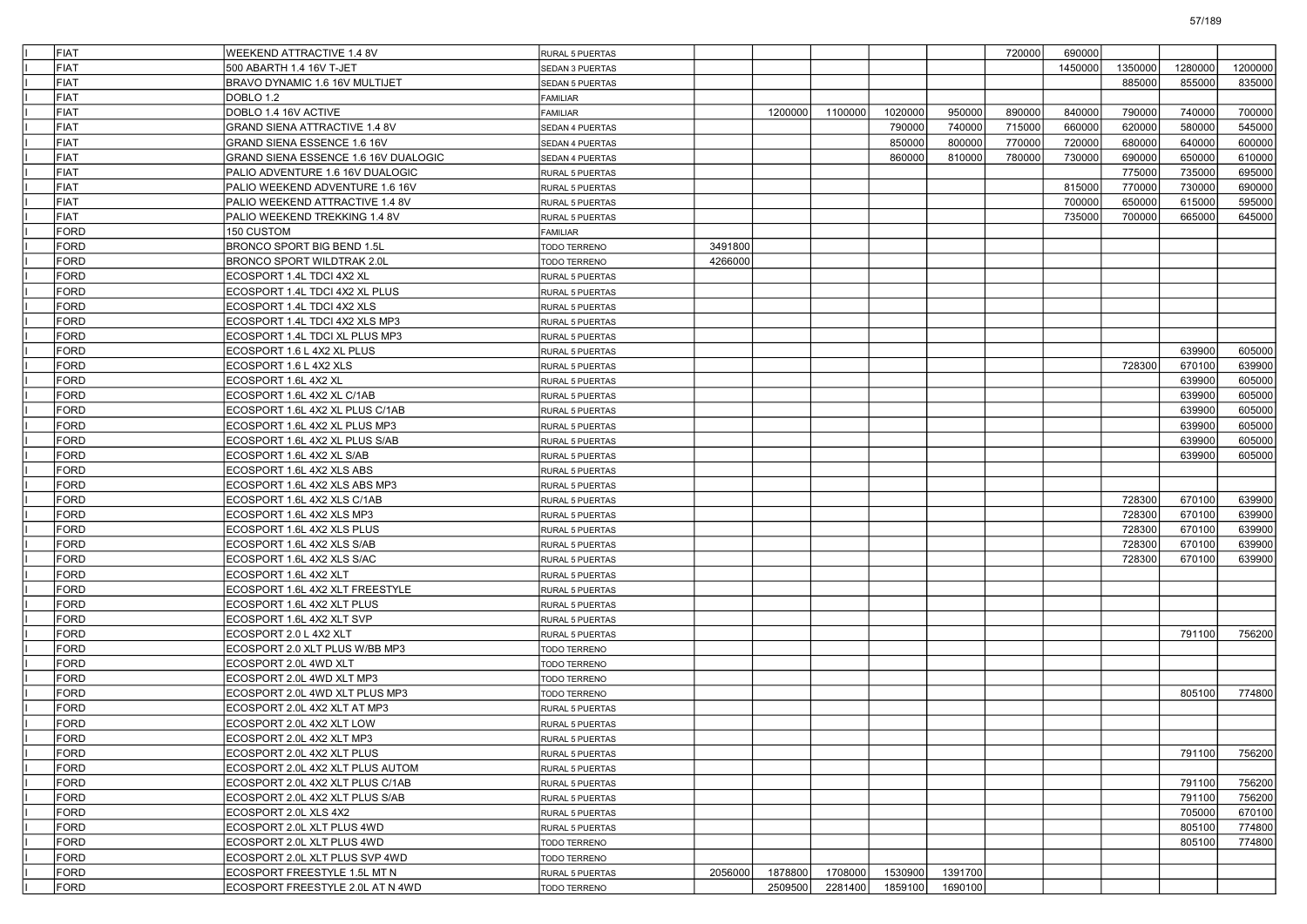| FIAT        | WEEKEND ATTRACTIVE 1.4 8V            | RURAL 5 PUERTAS        |         |         |         |         |         | 720000 | 690000  |         |         |         |
|-------------|--------------------------------------|------------------------|---------|---------|---------|---------|---------|--------|---------|---------|---------|---------|
| <b>FIAT</b> | 500 ABARTH 1.4 16V T-JET             | SEDAN 3 PUERTAS        |         |         |         |         |         |        | 1450000 | 1350000 | 1280000 | 1200000 |
| <b>FIAT</b> | BRAVO DYNAMIC 1.6 16V MULTIJET       | SEDAN 5 PUERTAS        |         |         |         |         |         |        |         | 885000  | 855000  | 835000  |
| <b>FIAT</b> | DOBLO 1.2                            | FAMILIAR               |         |         |         |         |         |        |         |         |         |         |
| <b>FIAT</b> | DOBLO 1.4 16V ACTIVE                 | FAMILIAR               |         | 1200000 | 1100000 | 1020000 | 950000  | 890000 | 840000  | 790000  | 740000  | 700000  |
| <b>FIAT</b> | <b>GRAND SIENA ATTRACTIVE 1.4 8V</b> | SEDAN 4 PUERTAS        |         |         |         | 790000  | 740000  | 715000 | 660000  | 620000  | 580000  | 545000  |
| <b>FIAT</b> | <b>GRAND SIENA ESSENCE 1.6 16V</b>   | SEDAN 4 PUERTAS        |         |         |         | 850000  | 800000  | 770000 | 720000  | 680000  | 640000  | 600000  |
| <b>FIAT</b> | GRAND SIENA ESSENCE 1.6 16V DUALOGIC | <b>SEDAN 4 PUERTAS</b> |         |         |         | 860000  | 810000  | 780000 | 730000  | 690000  | 650000  | 610000  |
| <b>FIAT</b> | PALIO ADVENTURE 1.6 16V DUALOGIC     | RURAL 5 PUERTAS        |         |         |         |         |         |        |         | 775000  | 735000  | 695000  |
| <b>FIAT</b> | PALIO WEEKEND ADVENTURE 1.6 16V      | RURAL 5 PUERTAS        |         |         |         |         |         |        | 815000  | 770000  | 730000  | 690000  |
| <b>FIAT</b> | PALIO WEEKEND ATTRACTIVE 1.4 8V      | RURAL 5 PUERTAS        |         |         |         |         |         |        | 700000  | 650000  | 615000  | 595000  |
| <b>FIAT</b> | PALIO WEEKEND TREKKING 1.4 8V        | RURAL 5 PUERTAS        |         |         |         |         |         |        | 735000  | 700000  | 665000  | 645000  |
| FORD        | 150 CUSTOM                           | FAMILIAR               |         |         |         |         |         |        |         |         |         |         |
| <b>FORD</b> | BRONCO SPORT BIG BEND 1.5L           | <b>TODO TERRENO</b>    | 3491800 |         |         |         |         |        |         |         |         |         |
| <b>FORD</b> | BRONCO SPORT WILDTRAK 2.0L           | TODO TERRENO           | 4266000 |         |         |         |         |        |         |         |         |         |
| <b>FORD</b> | ECOSPORT 1.4L TDCI 4X2 XL            | RURAL 5 PUERTAS        |         |         |         |         |         |        |         |         |         |         |
| <b>FORD</b> | ECOSPORT 1.4L TDCI 4X2 XL PLUS       | RURAL 5 PUERTAS        |         |         |         |         |         |        |         |         |         |         |
| FORD        | ECOSPORT 1.4L TDCI 4X2 XLS           | RURAL 5 PUERTAS        |         |         |         |         |         |        |         |         |         |         |
| <b>FORD</b> | ECOSPORT 1.4L TDCI 4X2 XLS MP3       | RURAL 5 PUERTAS        |         |         |         |         |         |        |         |         |         |         |
| <b>FORD</b> | ECOSPORT 1.4L TDCI XL PLUS MP3       | RURAL 5 PUERTAS        |         |         |         |         |         |        |         |         |         |         |
| <b>FORD</b> | ECOSPORT 1.6 L 4X2 XL PLUS           | RURAL 5 PUERTAS        |         |         |         |         |         |        |         |         | 639900  | 605000  |
| <b>FORD</b> | ECOSPORT 1.6 L 4X2 XLS               | RURAL 5 PUERTAS        |         |         |         |         |         |        |         | 728300  | 670100  | 639900  |
| FORD        | ECOSPORT 1.6L 4X2 XL                 | RURAL 5 PUERTAS        |         |         |         |         |         |        |         |         | 639900  | 605000  |
| <b>FORD</b> | ECOSPORT 1.6L 4X2 XL C/1AB           | RURAL 5 PUERTAS        |         |         |         |         |         |        |         |         | 639900  | 605000  |
| <b>FORD</b> | ECOSPORT 1.6L 4X2 XL PLUS C/1AB      | RURAL 5 PUERTAS        |         |         |         |         |         |        |         |         | 639900  | 605000  |
| <b>FORD</b> | ECOSPORT 1.6L 4X2 XL PLUS MP3        | RURAL 5 PUERTAS        |         |         |         |         |         |        |         |         | 639900  | 605000  |
| <b>FORD</b> | ECOSPORT 1.6L 4X2 XL PLUS S/AB       | RURAL 5 PUERTAS        |         |         |         |         |         |        |         |         | 639900  | 605000  |
| FORD        | ECOSPORT 1.6L 4X2 XL S/AB            | RURAL 5 PUERTAS        |         |         |         |         |         |        |         |         | 639900  | 605000  |
| <b>FORD</b> | ECOSPORT 1.6L 4X2 XLS ABS            | RURAL 5 PUERTAS        |         |         |         |         |         |        |         |         |         |         |
| <b>FORD</b> | ECOSPORT 1.6L 4X2 XLS ABS MP3        | RURAL 5 PUERTAS        |         |         |         |         |         |        |         |         |         |         |
| <b>FORD</b> | ECOSPORT 1.6L 4X2 XLS C/1AB          | RURAL 5 PUERTAS        |         |         |         |         |         |        |         | 728300  | 670100  | 639900  |
| <b>FORD</b> | ECOSPORT 1.6L 4X2 XLS MP3            | RURAL 5 PUERTAS        |         |         |         |         |         |        |         | 728300  | 670100  | 639900  |
| FORD        | ECOSPORT 1.6L 4X2 XLS PLUS           | RURAL 5 PUERTAS        |         |         |         |         |         |        |         | 728300  | 670100  | 639900  |
| <b>FORD</b> | ECOSPORT 1.6L 4X2 XLS S/AB           | RURAL 5 PUERTAS        |         |         |         |         |         |        |         | 728300  | 670100  | 639900  |
| <b>FORD</b> | ECOSPORT 1.6L 4X2 XLS S/AC           | RURAL 5 PUERTAS        |         |         |         |         |         |        |         | 728300  | 670100  | 639900  |
| <b>FORD</b> | ECOSPORT 1.6L 4X2 XLT                | RURAL 5 PUERTAS        |         |         |         |         |         |        |         |         |         |         |
| <b>FORD</b> | ECOSPORT 1.6L 4X2 XLT FREESTYLE      | RURAL 5 PUERTAS        |         |         |         |         |         |        |         |         |         |         |
| FORD        | ECOSPORT 1.6L 4X2 XLT PLUS           | RURAL 5 PUERTAS        |         |         |         |         |         |        |         |         |         |         |
| <b>FORD</b> | ECOSPORT 1.6L 4X2 XLT SVP            | RURAL 5 PUERTAS        |         |         |         |         |         |        |         |         |         |         |
| <b>FORD</b> | ECOSPORT 2.0 L 4X2 XLT               | RURAL 5 PUERTAS        |         |         |         |         |         |        |         |         | 791100  | 756200  |
| <b>FORD</b> | ECOSPORT 2.0 XLT PLUS W/BB MP3       | TODO TERRENO           |         |         |         |         |         |        |         |         |         |         |
| <b>FORD</b> | ECOSPORT 2.0L 4WD XLT                | TODO TERRENO           |         |         |         |         |         |        |         |         |         |         |
| FORD        | ECOSPORT 2.0L 4WD XLT MP3            | TODO TERRENO           |         |         |         |         |         |        |         |         |         |         |
| <b>FORD</b> | ECOSPORT 2.0L 4WD XLT PLUS MP3       | TODO TERRENO           |         |         |         |         |         |        |         |         | 805100  | 774800  |
| <b>FORD</b> | ECOSPORT 2.0L 4X2 XLT AT MP3         | <b>RURAL 5 PUERTAS</b> |         |         |         |         |         |        |         |         |         |         |
| <b>FORD</b> | ECOSPORT 2.0L 4X2 XLT LOW            | RURAL 5 PUERTAS        |         |         |         |         |         |        |         |         |         |         |
| FORD        | ECOSPORT 2.0L 4X2 XLT MP3            | RURAL 5 PUERTAS        |         |         |         |         |         |        |         |         |         |         |
| <b>FORD</b> | ECOSPORT 2.0L 4X2 XLT PLUS           | RURAL 5 PUERTAS        |         |         |         |         |         |        |         |         | 791100  | 756200  |
| <b>FORD</b> | ECOSPORT 2.0L 4X2 XLT PLUS AUTOM     | RURAL 5 PUERTAS        |         |         |         |         |         |        |         |         |         |         |
| FORD        | ECOSPORT 2.0L 4X2 XLT PLUS C/1AB     | RURAL 5 PUERTAS        |         |         |         |         |         |        |         |         | 791100  | 756200  |
| FORD        | ECOSPORT 2.0L 4X2 XLT PLUS S/AB      | RURAL 5 PUERTAS        |         |         |         |         |         |        |         |         | 791100  | 756200  |
| <b>FORD</b> | ECOSPORT 2.0L XLS 4X2                | RURAL 5 PUERTAS        |         |         |         |         |         |        |         |         | 705000  | 670100  |
| <b>FORD</b> | ECOSPORT 2.0L XLT PLUS 4WD           | RURAL 5 PUERTAS        |         |         |         |         |         |        |         |         | 805100  | 774800  |
| FORD        | ECOSPORT 2.0L XLT PLUS 4WD           | TODO TERRENO           |         |         |         |         |         |        |         |         | 805100  | 774800  |
| FORD        | ECOSPORT 2.0L XLT PLUS SVP 4WD       | <b>TODO TERRENO</b>    |         |         |         |         |         |        |         |         |         |         |
| FORD        | ECOSPORT FREESTYLE 1.5L MT N         | RURAL 5 PUERTAS        | 2056000 | 1878800 | 1708000 | 1530900 | 1391700 |        |         |         |         |         |
| FORD        | ECOSPORT FREESTYLE 2.0L AT N 4WD     | TODO TERRENO           |         | 2509500 | 2281400 | 1859100 | 1690100 |        |         |         |         |         |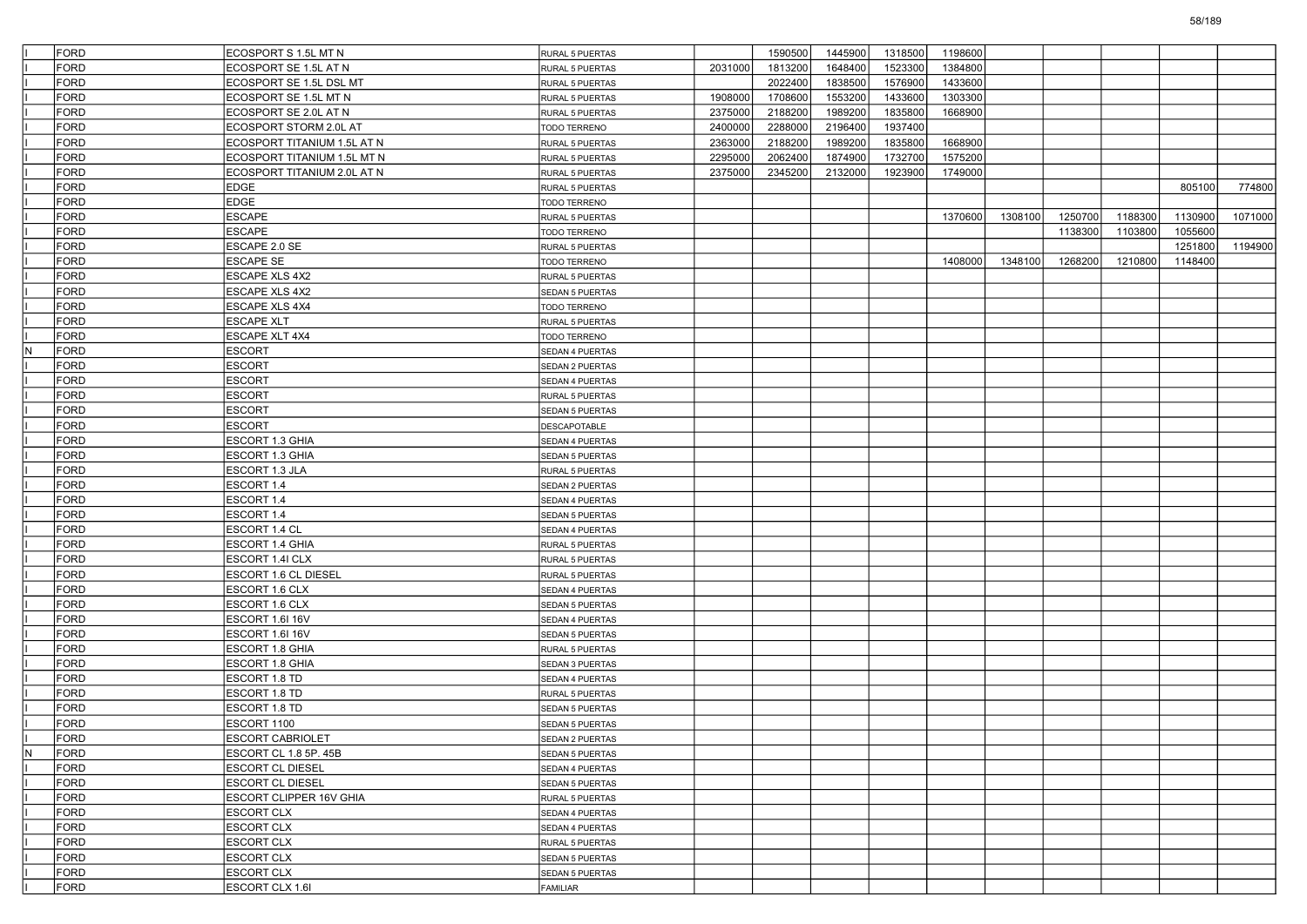|     | FORD         | ECOSPORT S 1.5L MT N        | RURAL 5 PUERTAS        |         | 1590500 | 1445900 | 1318500 | 1198600 |         |         |         |         |         |
|-----|--------------|-----------------------------|------------------------|---------|---------|---------|---------|---------|---------|---------|---------|---------|---------|
|     | FORD         | ECOSPORT SE 1.5L AT N       | RURAL 5 PUERTAS        | 2031000 | 1813200 | 1648400 | 1523300 | 1384800 |         |         |         |         |         |
|     | <b>FORD</b>  | ECOSPORT SE 1.5L DSL MT     | RURAL 5 PUERTAS        |         | 2022400 | 1838500 | 1576900 | 1433600 |         |         |         |         |         |
|     | <b>FORD</b>  | ECOSPORT SE 1.5L MT N       | RURAL 5 PUERTAS        | 1908000 | 1708600 | 1553200 | 1433600 | 1303300 |         |         |         |         |         |
|     | <b>FORD</b>  | ECOSPORT SE 2.0L AT N       | RURAL 5 PUERTAS        | 2375000 | 2188200 | 1989200 | 1835800 | 1668900 |         |         |         |         |         |
|     | FORD         | ECOSPORT STORM 2.0L AT      | TODO TERRENO           | 2400000 | 2288000 | 2196400 | 1937400 |         |         |         |         |         |         |
|     | FORD         | ECOSPORT TITANIUM 1.5L AT N | RURAL 5 PUERTAS        | 2363000 | 2188200 | 1989200 | 1835800 | 1668900 |         |         |         |         |         |
|     | <b>FORD</b>  | ECOSPORT TITANIUM 1.5L MT N | RURAL 5 PUERTAS        | 2295000 | 2062400 | 1874900 | 1732700 | 1575200 |         |         |         |         |         |
|     | <b>FORD</b>  | ECOSPORT TITANIUM 2.0L AT N | RURAL 5 PUERTAS        | 2375000 | 2345200 | 2132000 | 1923900 | 1749000 |         |         |         |         |         |
|     | <b>FORD</b>  | <b>EDGE</b>                 | RURAL 5 PUERTAS        |         |         |         |         |         |         |         |         | 805100  | 774800  |
|     | FORD         | <b>EDGE</b>                 | TODO TERRENO           |         |         |         |         |         |         |         |         |         |         |
|     | FORD         | <b>ESCAPE</b>               | RURAL 5 PUERTAS        |         |         |         |         | 1370600 | 1308100 | 1250700 | 1188300 | 1130900 | 1071000 |
|     | <b>FORD</b>  | <b>ESCAPE</b>               | TODO TERRENO           |         |         |         |         |         |         | 1138300 | 1103800 | 1055600 |         |
|     | <b>FORD</b>  | ESCAPE 2.0 SE               | RURAL 5 PUERTAS        |         |         |         |         |         |         |         |         | 1251800 | 1194900 |
|     | <b>FORD</b>  | <b>ESCAPE SE</b>            | TODO TERRENO           |         |         |         |         | 1408000 | 1348100 | 1268200 | 1210800 | 1148400 |         |
|     | FORD         | ESCAPE XLS 4X2              | RURAL 5 PUERTAS        |         |         |         |         |         |         |         |         |         |         |
|     | FORD         | ESCAPE XLS 4X2              | <b>SEDAN 5 PUERTAS</b> |         |         |         |         |         |         |         |         |         |         |
|     | <b>FORD</b>  | <b>ESCAPE XLS 4X4</b>       | TODO TERRENO           |         |         |         |         |         |         |         |         |         |         |
|     | <b>FORD</b>  | <b>ESCAPE XLT</b>           | RURAL 5 PUERTAS        |         |         |         |         |         |         |         |         |         |         |
|     | <b>FORD</b>  | ESCAPE XLT 4X4              | TODO TERRENO           |         |         |         |         |         |         |         |         |         |         |
| N   | <b>FORD</b>  | <b>ESCORT</b>               | SEDAN 4 PUERTAS        |         |         |         |         |         |         |         |         |         |         |
|     | FORD         | <b>ESCORT</b>               | SEDAN 2 PUERTAS        |         |         |         |         |         |         |         |         |         |         |
|     | <b>FORD</b>  | <b>ESCORT</b>               | SEDAN 4 PUERTAS        |         |         |         |         |         |         |         |         |         |         |
|     | <b>FORD</b>  | <b>ESCORT</b>               | RURAL 5 PUERTAS        |         |         |         |         |         |         |         |         |         |         |
|     | <b>FORD</b>  | <b>ESCORT</b>               | SEDAN 5 PUERTAS        |         |         |         |         |         |         |         |         |         |         |
|     | FORD         | <b>ESCORT</b>               | <b>DESCAPOTABLE</b>    |         |         |         |         |         |         |         |         |         |         |
|     | FORD         | ESCORT 1.3 GHIA             | SEDAN 4 PUERTAS        |         |         |         |         |         |         |         |         |         |         |
|     | <b>FORD</b>  | ESCORT 1.3 GHIA             | <b>SEDAN 5 PUERTAS</b> |         |         |         |         |         |         |         |         |         |         |
|     | <b>FORD</b>  | ESCORT 1.3 JLA              | RURAL 5 PUERTAS        |         |         |         |         |         |         |         |         |         |         |
|     | <b>FORD</b>  | ESCORT 1.4                  |                        |         |         |         |         |         |         |         |         |         |         |
|     |              |                             | SEDAN 2 PUERTAS        |         |         |         |         |         |         |         |         |         |         |
|     | FORD<br>FORD | ESCORT 1.4                  | SEDAN 4 PUERTAS        |         |         |         |         |         |         |         |         |         |         |
|     |              | ESCORT 1.4                  | <b>SEDAN 5 PUERTAS</b> |         |         |         |         |         |         |         |         |         |         |
|     | <b>FORD</b>  | ESCORT 1.4 CL               | SEDAN 4 PUERTAS        |         |         |         |         |         |         |         |         |         |         |
|     | <b>FORD</b>  | ESCORT 1.4 GHIA             | RURAL 5 PUERTAS        |         |         |         |         |         |         |         |         |         |         |
|     | <b>FORD</b>  | ESCORT 1.4I CLX             | RURAL 5 PUERTAS        |         |         |         |         |         |         |         |         |         |         |
|     | FORD         | ESCORT 1.6 CL DIESEL        | RURAL 5 PUERTAS        |         |         |         |         |         |         |         |         |         |         |
|     | FORD         | ESCORT 1.6 CLX              | SEDAN 4 PUERTAS        |         |         |         |         |         |         |         |         |         |         |
|     | <b>FORD</b>  | ESCORT 1.6 CLX              | SEDAN 5 PUERTAS        |         |         |         |         |         |         |         |         |         |         |
|     | <b>FORD</b>  | ESCORT 1.6I 16V             | SEDAN 4 PUERTAS        |         |         |         |         |         |         |         |         |         |         |
|     | <b>FORD</b>  | ESCORT 1.6I 16V             | SEDAN 5 PUERTAS        |         |         |         |         |         |         |         |         |         |         |
|     | FORD         | ESCORT 1.8 GHIA             | RURAL 5 PUERTAS        |         |         |         |         |         |         |         |         |         |         |
|     | FORD         | ESCORT 1.8 GHIA             | SEDAN 3 PUERTAS        |         |         |         |         |         |         |         |         |         |         |
|     | FORD         | ESCORT 1.8 TD               | SEDAN 4 PUERTAS        |         |         |         |         |         |         |         |         |         |         |
|     | <b>FORD</b>  | ESCORT 1.8 TD               | RURAL 5 PUERTAS        |         |         |         |         |         |         |         |         |         |         |
|     | FORD         | ESCORT 1.8 TD               | SEDAN 5 PUERTAS        |         |         |         |         |         |         |         |         |         |         |
|     | FORD         | ESCORT 1100                 | SEDAN 5 PUERTAS        |         |         |         |         |         |         |         |         |         |         |
|     | FORD         | <b>ESCORT CABRIOLET</b>     | SEDAN 2 PUERTAS        |         |         |         |         |         |         |         |         |         |         |
| IN. | FORD         | ESCORT CL 1.8 5P. 45B       | SEDAN 5 PUERTAS        |         |         |         |         |         |         |         |         |         |         |
|     | FORD         | <b>ESCORT CL DIESEL</b>     | SEDAN 4 PUERTAS        |         |         |         |         |         |         |         |         |         |         |
|     | <b>FORD</b>  | <b>ESCORT CL DIESEL</b>     | SEDAN 5 PUERTAS        |         |         |         |         |         |         |         |         |         |         |
|     | <b>FORD</b>  | ESCORT CLIPPER 16V GHIA     | RURAL 5 PUERTAS        |         |         |         |         |         |         |         |         |         |         |
|     | FORD         | <b>ESCORT CLX</b>           | SEDAN 4 PUERTAS        |         |         |         |         |         |         |         |         |         |         |
|     | FORD         | <b>ESCORT CLX</b>           | SEDAN 4 PUERTAS        |         |         |         |         |         |         |         |         |         |         |
|     | FORD         | <b>ESCORT CLX</b>           | RURAL 5 PUERTAS        |         |         |         |         |         |         |         |         |         |         |
|     | <b>FORD</b>  | <b>ESCORT CLX</b>           | SEDAN 5 PUERTAS        |         |         |         |         |         |         |         |         |         |         |
|     | <b>FORD</b>  | <b>ESCORT CLX</b>           | SEDAN 5 PUERTAS        |         |         |         |         |         |         |         |         |         |         |
|     | FORD         | ESCORT CLX 1.6I             | FAMILIAR               |         |         |         |         |         |         |         |         |         |         |

58/189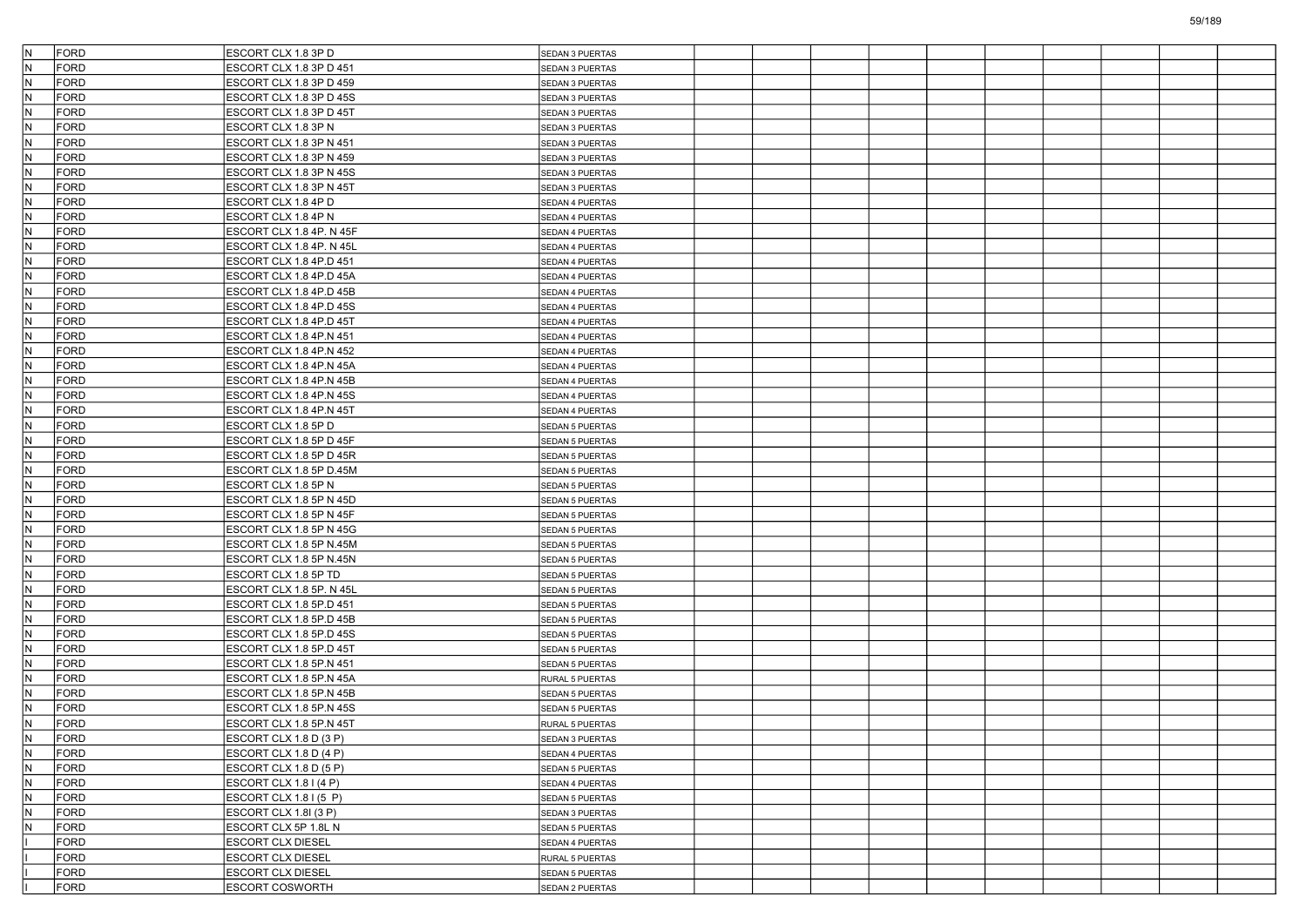| IN.          | <b>FORD</b>  | ESCORT CLX 1.8 3P D      | SEDAN 3 PUERTAS                    |  |  |  |  |  |
|--------------|--------------|--------------------------|------------------------------------|--|--|--|--|--|
| IN.          | FORD         | ESCORT CLX 1.8 3P D 451  | SEDAN 3 PUERTAS                    |  |  |  |  |  |
| IN.          | <b>FORD</b>  | ESCORT CLX 1.8 3P D 459  | SEDAN 3 PUERTAS                    |  |  |  |  |  |
| IN.          | FORD         | ESCORT CLX 1.8 3P D 45S  | SEDAN 3 PUERTAS                    |  |  |  |  |  |
| İN.          | FORD         | ESCORT CLX 1.8 3P D 45T  | SEDAN 3 PUERTAS                    |  |  |  |  |  |
| IN.          | <b>FORD</b>  | ESCORT CLX 1.8 3P N      | SEDAN 3 PUERTAS                    |  |  |  |  |  |
| IN.          | <b>FORD</b>  | ESCORT CLX 1.8 3P N 451  | SEDAN 3 PUERTAS                    |  |  |  |  |  |
| IN.          | <b>FORD</b>  | ESCORT CLX 1.8 3P N 459  | SEDAN 3 PUERTAS                    |  |  |  |  |  |
| IN.          | FORD         | ESCORT CLX 1.8 3P N 45S  | SEDAN 3 PUERTAS                    |  |  |  |  |  |
| IN.          | FORD         | ESCORT CLX 1.8 3P N 45T  | SEDAN 3 PUERTAS                    |  |  |  |  |  |
| IN.          | <b>FORD</b>  | ESCORT CLX 1.8 4P D      | SEDAN 4 PUERTAS                    |  |  |  |  |  |
| IN.          | <b>FORD</b>  | ESCORT CLX 1.8 4P N      | SEDAN 4 PUERTAS                    |  |  |  |  |  |
| IN.          | <b>FORD</b>  | ESCORT CLX 1.8 4P. N 45F | SEDAN 4 PUERTAS                    |  |  |  |  |  |
| IN.          | FORD         | ESCORT CLX 1.8 4P. N 45L | SEDAN 4 PUERTAS                    |  |  |  |  |  |
| IN.          | <b>FORD</b>  | ESCORT CLX 1.8 4P.D 451  | SEDAN 4 PUERTAS                    |  |  |  |  |  |
| IN.          | <b>FORD</b>  | ESCORT CLX 1.8 4P.D 45A  | SEDAN 4 PUERTAS                    |  |  |  |  |  |
| IN.          | FORD         | ESCORT CLX 1.8 4P.D 45B  | SEDAN 4 PUERTAS                    |  |  |  |  |  |
| IN.          | <b>FORD</b>  | ESCORT CLX 1.8 4P.D 45S  | SEDAN 4 PUERTAS                    |  |  |  |  |  |
| İN.          | FORD         | ESCORT CLX 1.8 4P.D 45T  | SEDAN 4 PUERTAS                    |  |  |  |  |  |
| IN.          | <b>FORD</b>  | ESCORT CLX 1.8 4P.N 451  | SEDAN 4 PUERTAS                    |  |  |  |  |  |
| IN.          | <b>FORD</b>  | ESCORT CLX 1.8 4P.N 452  | SEDAN 4 PUERTAS                    |  |  |  |  |  |
| İN.          | FORD         | ESCORT CLX 1.8 4P.N 45A  | SEDAN 4 PUERTAS                    |  |  |  |  |  |
| IN.          | <b>FORD</b>  | ESCORT CLX 1.8 4P.N 45B  | SEDAN 4 PUERTAS                    |  |  |  |  |  |
| İN.          | FORD         | ESCORT CLX 1.8 4P.N 45S  | SEDAN 4 PUERTAS                    |  |  |  |  |  |
| İN.          | <b>FORD</b>  | ESCORT CLX 1.8 4P.N 45T  | SEDAN 4 PUERTAS                    |  |  |  |  |  |
| İN.          | <b>FORD</b>  | ESCORT CLX 1.8 5P D      | SEDAN 5 PUERTAS                    |  |  |  |  |  |
| İN.          | FORD         | ESCORT CLX 1.8 5P D 45F  | <b>SEDAN 5 PUERTAS</b>             |  |  |  |  |  |
| IN.          | <b>FORD</b>  | ESCORT CLX 1.8 5P D 45R  | SEDAN 5 PUERTAS                    |  |  |  |  |  |
| İN.          | FORD         | ESCORT CLX 1.8 5P D.45M  | <b>SEDAN 5 PUERTAS</b>             |  |  |  |  |  |
| IN.          | FORD         | ESCORT CLX 1.8 5P N      | SEDAN 5 PUERTAS                    |  |  |  |  |  |
| İN.          | <b>FORD</b>  | ESCORT CLX 1.8 5P N 45D  | SEDAN 5 PUERTAS                    |  |  |  |  |  |
| İN.          | <b>FORD</b>  | ESCORT CLX 1.8 5P N 45F  | SEDAN 5 PUERTAS                    |  |  |  |  |  |
| N            | <b>FORD</b>  | ESCORT CLX 1.8 5P N 45G  | SEDAN 5 PUERTAS                    |  |  |  |  |  |
| İN.          | FORD         | ESCORT CLX 1.8 5P N.45M  | SEDAN 5 PUERTAS                    |  |  |  |  |  |
| İN.          | FORD         | ESCORT CLX 1.8 5P N.45N  | SEDAN 5 PUERTAS                    |  |  |  |  |  |
| IN.          | <b>FORD</b>  | ESCORT CLX 1.8 5P TD     | SEDAN 5 PUERTAS                    |  |  |  |  |  |
| IN.          | <b>FORD</b>  | ESCORT CLX 1.8 5P. N 45L | SEDAN 5 PUERTAS                    |  |  |  |  |  |
| N            | <b>FORD</b>  | ESCORT CLX 1.8 5P.D 451  | <b>SEDAN 5 PUERTAS</b>             |  |  |  |  |  |
| İN.          | FORD         | ESCORT CLX 1.8 5P.D 45B  | SEDAN 5 PUERTAS                    |  |  |  |  |  |
| IN.          | FORD         | ESCORT CLX 1.8 5P.D 45S  | SEDAN 5 PUERTAS                    |  |  |  |  |  |
| IN.          | <b>FORD</b>  | ESCORT CLX 1.8 5P.D 45T  | SEDAN 5 PUERTAS                    |  |  |  |  |  |
| İN.          | <b>FORD</b>  | ESCORT CLX 1.8 5P.N 451  | SEDAN 5 PUERTAS                    |  |  |  |  |  |
| N            | <b>FORD</b>  | ESCORT CLX 1.8 5P.N 45A  | RURAL 5 PUERTAS                    |  |  |  |  |  |
| İN.          | FORD         | ESCORT CLX 1.8 5P.N 45B  | <b>SEDAN 5 PUERTAS</b>             |  |  |  |  |  |
| $\mathsf{N}$ | <b>FORD</b>  | ESCORT CLX 1.8 5P.N 45S  | <b>SEDAN 5 PUERTAS</b>             |  |  |  |  |  |
| IN.          | <b>FORD</b>  | ESCORT CLX 1.8 5P.N 45T  | RURAL 5 PUERTAS                    |  |  |  |  |  |
|              | FORD         | ESCORT CLX 1.8 D (3 P)   |                                    |  |  |  |  |  |
| IN.<br>İN.   | FORD         | ESCORT CLX 1.8 D (4 P)   | SEDAN 3 PUERTAS<br>SEDAN 4 PUERTAS |  |  |  |  |  |
| IN.          | FORD         | ESCORT CLX 1.8 D (5 P)   | SEDAN 5 PUERTAS                    |  |  |  |  |  |
| IN.          | FORD         | ESCORT CLX 1.8 I (4 P)   | SEDAN 4 PUERTAS                    |  |  |  |  |  |
| IN.          | FORD         | ESCORT CLX 1.8 I (5 P)   | SEDAN 5 PUERTAS                    |  |  |  |  |  |
| IN.          | FORD         |                          |                                    |  |  |  |  |  |
| İN.          |              | ESCORT CLX 1.8I (3 P)    | SEDAN 3 PUERTAS                    |  |  |  |  |  |
|              | FORD<br>FORD | ESCORT CLX 5P 1.8L N     | SEDAN 5 PUERTAS                    |  |  |  |  |  |
|              |              | ESCORT CLX DIESEL        | SEDAN 4 PUERTAS                    |  |  |  |  |  |
|              | FORD<br>FORD | ESCORT CLX DIESEL        | RURAL 5 PUERTAS                    |  |  |  |  |  |
|              | FORD         | ESCORT CLX DIESEL        | SEDAN 5 PUERTAS                    |  |  |  |  |  |
|              |              | ESCORT COSWORTH          | SEDAN 2 PUERTAS                    |  |  |  |  |  |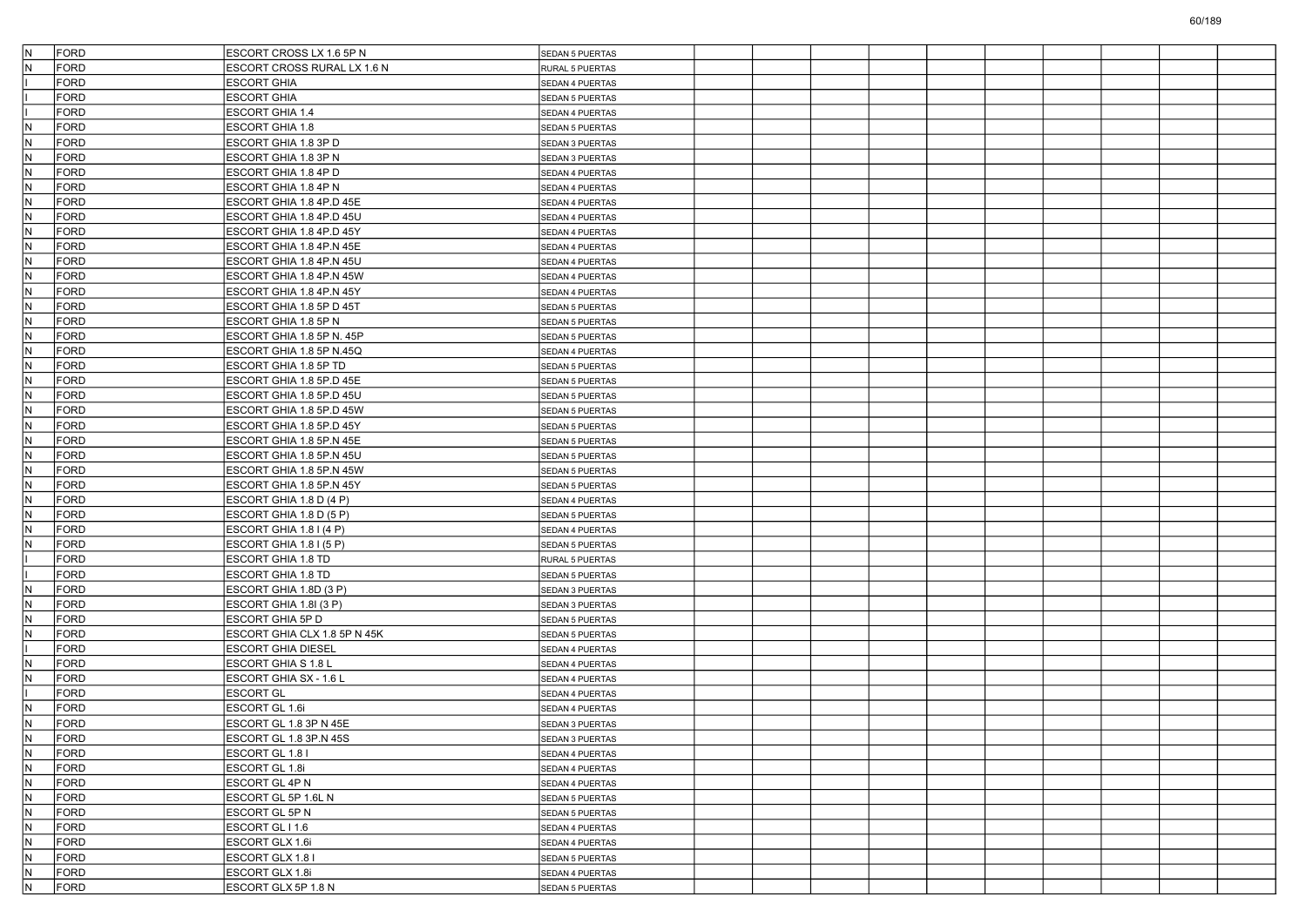| IN.<br>FORD        | ESCORT CROSS LX 1.6 5P N      | SEDAN 5 PUERTAS        |  |  |  |  |  |
|--------------------|-------------------------------|------------------------|--|--|--|--|--|
| N<br><b>FORD</b>   | ESCORT CROSS RURAL LX 1.6 N   | RURAL 5 PUERTAS        |  |  |  |  |  |
| <b>FORD</b>        | <b>ESCORT GHIA</b>            | SEDAN 4 PUERTAS        |  |  |  |  |  |
| <b>FORD</b>        | <b>ESCORT GHIA</b>            | <b>SEDAN 5 PUERTAS</b> |  |  |  |  |  |
| <b>FORD</b>        | <b>ESCORT GHIA 1.4</b>        | SEDAN 4 PUERTAS        |  |  |  |  |  |
| IN.<br>FORD        | <b>ESCORT GHIA 1.8</b>        | SEDAN 5 PUERTAS        |  |  |  |  |  |
| N<br><b>FORD</b>   | ESCORT GHIA 1.8 3P D          | SEDAN 3 PUERTAS        |  |  |  |  |  |
| N<br><b>FORD</b>   | ESCORT GHIA 1.8 3P N          | SEDAN 3 PUERTAS        |  |  |  |  |  |
| <b>FORD</b><br>IN. | ESCORT GHIA 1.8 4P D          | SEDAN 4 PUERTAS        |  |  |  |  |  |
| FORD<br>N          | ESCORT GHIA 1.8 4P N          | SEDAN 4 PUERTAS        |  |  |  |  |  |
| IN.<br>FORD        | ESCORT GHIA 1.8 4P.D 45E      | SEDAN 4 PUERTAS        |  |  |  |  |  |
| N<br><b>FORD</b>   | ESCORT GHIA 1.8 4P.D 45U      | SEDAN 4 PUERTAS        |  |  |  |  |  |
| IN.<br><b>FORD</b> | ESCORT GHIA 1.8 4P.D 45Y      | SEDAN 4 PUERTAS        |  |  |  |  |  |
| <b>FORD</b><br>IN. | ESCORT GHIA 1.8 4P.N 45E      | SEDAN 4 PUERTAS        |  |  |  |  |  |
| <b>FORD</b><br>N   | ESCORT GHIA 1.8 4P.N 45U      | SEDAN 4 PUERTAS        |  |  |  |  |  |
| IN.<br>FORD        | ESCORT GHIA 1.8 4P.N 45W      | SEDAN 4 PUERTAS        |  |  |  |  |  |
| N<br><b>FORD</b>   | ESCORT GHIA 1.8 4P.N 45Y      | SEDAN 4 PUERTAS        |  |  |  |  |  |
| IN.<br><b>FORD</b> | ESCORT GHIA 1.8 5P D 45T      | SEDAN 5 PUERTAS        |  |  |  |  |  |
| <b>FORD</b><br>IN. | ESCORT GHIA 1.8 5P N          | <b>SEDAN 5 PUERTAS</b> |  |  |  |  |  |
| <b>FORD</b><br>lN. | ESCORT GHIA 1.8 5P N. 45P     | SEDAN 5 PUERTAS        |  |  |  |  |  |
| IN.<br>FORD        | ESCORT GHIA 1.8 5P N.45Q      | SEDAN 4 PUERTAS        |  |  |  |  |  |
| N<br><b>FORD</b>   | ESCORT GHIA 1.8 5P TD         | SEDAN 5 PUERTAS        |  |  |  |  |  |
| N<br><b>FORD</b>   | ESCORT GHIA 1.8 5P.D 45E      | SEDAN 5 PUERTAS        |  |  |  |  |  |
| <b>FORD</b><br>IN. | ESCORT GHIA 1.8 5P.D 45U      | <b>SEDAN 5 PUERTAS</b> |  |  |  |  |  |
| N<br><b>FORD</b>   | ESCORT GHIA 1.8 5P.D 45W      | SEDAN 5 PUERTAS        |  |  |  |  |  |
| IN.<br>FORD        | ESCORT GHIA 1.8 5P.D 45Y      | SEDAN 5 PUERTAS        |  |  |  |  |  |
| N<br><b>FORD</b>   | ESCORT GHIA 1.8 5P.N 45E      | SEDAN 5 PUERTAS        |  |  |  |  |  |
| N<br><b>FORD</b>   | ESCORT GHIA 1.8 5P.N 45U      | SEDAN 5 PUERTAS        |  |  |  |  |  |
| <b>FORD</b><br>IN. | ESCORT GHIA 1.8 5P.N 45W      | <b>SEDAN 5 PUERTAS</b> |  |  |  |  |  |
| N<br><b>FORD</b>   | ESCORT GHIA 1.8 5P.N 45Y      | SEDAN 5 PUERTAS        |  |  |  |  |  |
| IN.<br>FORD        | ESCORT GHIA 1.8 D (4 P)       | SEDAN 4 PUERTAS        |  |  |  |  |  |
| N<br><b>FORD</b>   | ESCORT GHIA 1.8 D (5 P)       | SEDAN 5 PUERTAS        |  |  |  |  |  |
| N<br><b>FORD</b>   | ESCORT GHIA 1.8 I (4 P)       | SEDAN 4 PUERTAS        |  |  |  |  |  |
| <b>FORD</b><br>N   | ESCORT GHIA 1.8 I (5 P)       | <b>SEDAN 5 PUERTAS</b> |  |  |  |  |  |
| <b>FORD</b>        | ESCORT GHIA 1.8 TD            | RURAL 5 PUERTAS        |  |  |  |  |  |
| <b>FORD</b>        | <b>ESCORT GHIA 1.8 TD</b>     | <b>SEDAN 5 PUERTAS</b> |  |  |  |  |  |
| N<br><b>FORD</b>   | ESCORT GHIA 1.8D (3 P)        | SEDAN 3 PUERTAS        |  |  |  |  |  |
| N<br><b>FORD</b>   | ESCORT GHIA 1.8I (3 P)        | SEDAN 3 PUERTAS        |  |  |  |  |  |
| <b>FORD</b><br>IN. | ESCORT GHIA 5P D              | <b>SEDAN 5 PUERTAS</b> |  |  |  |  |  |
| N<br><b>FORD</b>   | ESCORT GHIA CLX 1.8 5P N 45K  | SEDAN 5 PUERTAS        |  |  |  |  |  |
| <b>FORD</b>        | <b>ESCORT GHIA DIESEL</b>     | SEDAN 4 PUERTAS        |  |  |  |  |  |
| N<br><b>FORD</b>   | ESCORT GHIA S 1.8 L           | <b>SEDAN 4 PUERTAS</b> |  |  |  |  |  |
| N<br><b>FORD</b>   | <b>ESCORT GHIA SX - 1.6 L</b> | SEDAN 4 PUERTAS        |  |  |  |  |  |
| <b>FORD</b>        | <b>ESCORT GL</b>              | SEDAN 4 PUERTAS        |  |  |  |  |  |
| N<br><b>FORD</b>   | ESCORT GL 1.6i                | SEDAN 4 PUERTAS        |  |  |  |  |  |
| IN.<br>FORD        | ESCORT GL 1.8 3P N 45E        | SEDAN 3 PUERTAS        |  |  |  |  |  |
| FORD<br>N          | ESCORT GL 1.8 3P.N 45S        | SEDAN 3 PUERTAS        |  |  |  |  |  |
| IN.<br>FORD        | ESCORT GL 1.8 I               | SEDAN 4 PUERTAS        |  |  |  |  |  |
| FORD<br>IN.        | ESCORT GL 1.8i                | SEDAN 4 PUERTAS        |  |  |  |  |  |
| N<br>FORD          | <b>ESCORT GL 4P N</b>         | SEDAN 4 PUERTAS        |  |  |  |  |  |
| IN.<br>FORD        | ESCORT GL 5P 1.6L N           | SEDAN 5 PUERTAS        |  |  |  |  |  |
| N<br>FORD          | ESCORT GL 5P N                | SEDAN 5 PUERTAS        |  |  |  |  |  |
| IN.<br>FORD        | ESCORT GL I 1.6               | SEDAN 4 PUERTAS        |  |  |  |  |  |
| N<br>FORD          | ESCORT GLX 1.6i               | SEDAN 4 PUERTAS        |  |  |  |  |  |
| IN.<br>FORD        | ESCORT GLX 1.8 I              | SEDAN 5 PUERTAS        |  |  |  |  |  |
| IN.<br>FORD        | ESCORT GLX 1.8i               | SEDAN 4 PUERTAS        |  |  |  |  |  |
| N<br>FORD          | ESCORT GLX 5P 1.8 N           | SEDAN 5 PUERTAS        |  |  |  |  |  |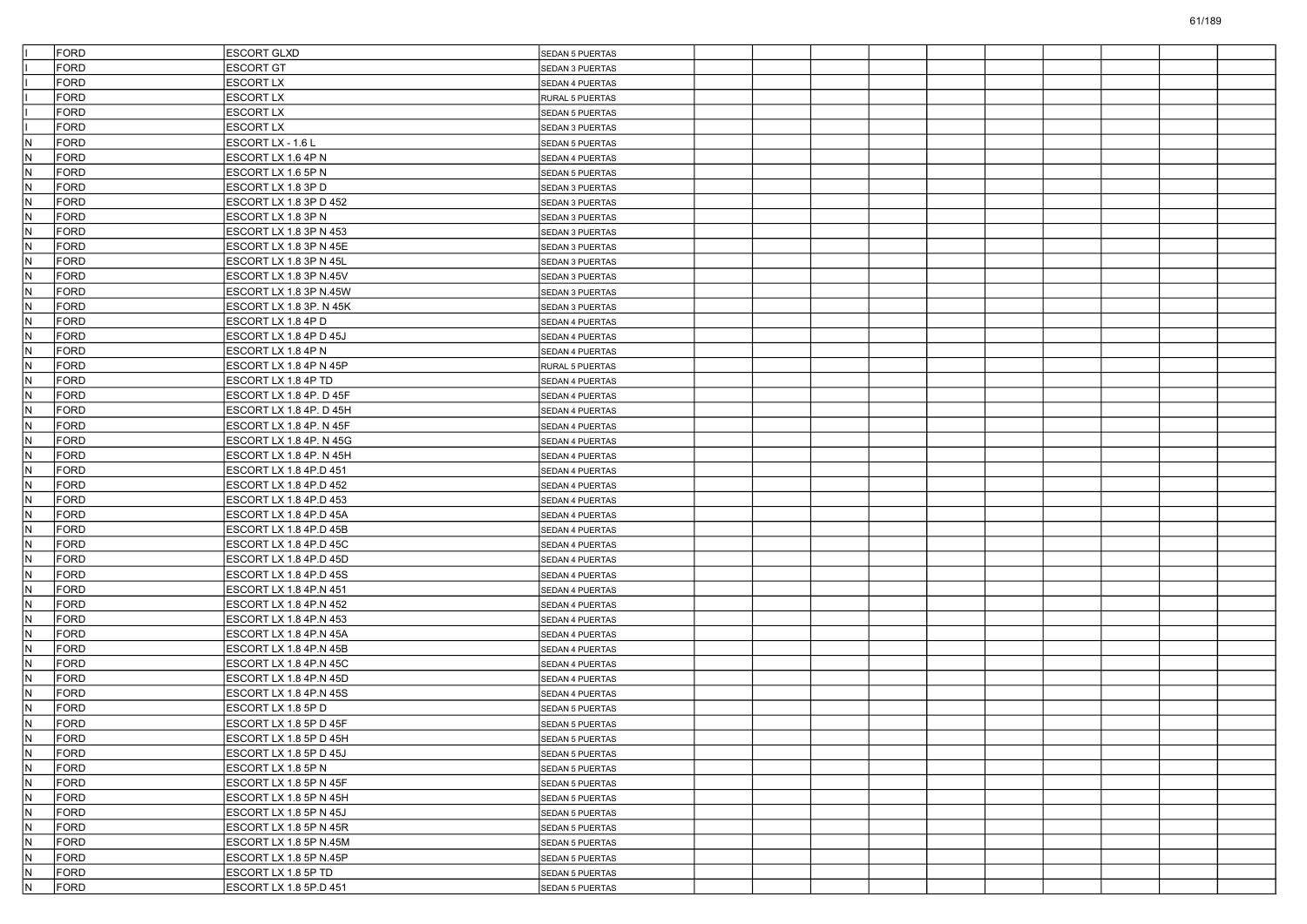|            | <b>FORD</b>         | <b>ESCORT GLXD</b>                               | <b>SEDAN 5 PUERTAS</b>                    |  |  |  |  |  |
|------------|---------------------|--------------------------------------------------|-------------------------------------------|--|--|--|--|--|
|            | <b>FORD</b>         | <b>ESCORT GT</b>                                 | SEDAN 3 PUERTAS                           |  |  |  |  |  |
|            | <b>FORD</b>         | <b>ESCORT LX</b>                                 | SEDAN 4 PUERTAS                           |  |  |  |  |  |
|            | <b>FORD</b>         | <b>ESCORT LX</b>                                 | RURAL 5 PUERTAS                           |  |  |  |  |  |
|            | <b>FORD</b>         | <b>ESCORT LX</b>                                 | SEDAN 5 PUERTAS                           |  |  |  |  |  |
|            | FORD                | <b>ESCORT LX</b>                                 | SEDAN 3 PUERTAS                           |  |  |  |  |  |
| IN.        | <b>FORD</b>         | ESCORT LX - 1.6 L                                | <b>SEDAN 5 PUERTAS</b>                    |  |  |  |  |  |
| N          | <b>FORD</b>         | ESCORT LX 1.6 4P N                               | SEDAN 4 PUERTAS                           |  |  |  |  |  |
| N.         | FORD                | ESCORT LX 1.6 5P N                               | <b>SEDAN 5 PUERTAS</b>                    |  |  |  |  |  |
| IN.        | <b>FORD</b>         | ESCORT LX 1.8 3P D                               | SEDAN 3 PUERTAS                           |  |  |  |  |  |
| IN.        | FORD                | ESCORT LX 1.8 3P D 452                           | SEDAN 3 PUERTAS                           |  |  |  |  |  |
| N          | <b>FORD</b>         | ESCORT LX 1.8 3P N                               | SEDAN 3 PUERTAS                           |  |  |  |  |  |
| N          | <b>FORD</b>         | ESCORT LX 1.8 3P N 453                           | SEDAN 3 PUERTAS                           |  |  |  |  |  |
| N.         | FORD                | ESCORT LX 1.8 3P N 45E                           | <b>SEDAN 3 PUERTAS</b>                    |  |  |  |  |  |
| IN.        | <b>FORD</b>         | ESCORT LX 1.8 3P N 45L                           | SEDAN 3 PUERTAS                           |  |  |  |  |  |
| IN.        | FORD                | ESCORT LX 1.8 3P N.45V                           | SEDAN 3 PUERTAS                           |  |  |  |  |  |
| N          | <b>FORD</b>         | ESCORT LX 1.8 3P N.45W                           | SEDAN 3 PUERTAS                           |  |  |  |  |  |
| N          | <b>FORD</b>         | ESCORT LX 1.8 3P. N 45K                          | SEDAN 3 PUERTAS                           |  |  |  |  |  |
| N.         | FORD                | ESCORT LX 1.8 4P D                               | <b>SEDAN 4 PUERTAS</b>                    |  |  |  |  |  |
| IN.        | <b>FORD</b>         | ESCORT LX 1.8 4P D 45J                           | SEDAN 4 PUERTAS                           |  |  |  |  |  |
| IN.        | FORD                | ESCORT LX 1.8 4P N                               | SEDAN 4 PUERTAS                           |  |  |  |  |  |
| N          | <b>FORD</b>         | ESCORT LX 1.8 4P N 45P                           | RURAL 5 PUERTAS                           |  |  |  |  |  |
| N          | FORD                | ESCORT LX 1.8 4P TD                              | <b>SEDAN 4 PUERTAS</b>                    |  |  |  |  |  |
| N.         | FORD                | ESCORT LX 1.8 4P. D 45F                          | SEDAN 4 PUERTAS                           |  |  |  |  |  |
| IN.        | FORD                | ESCORT LX 1.8 4P. D 45H                          | SEDAN 4 PUERTAS                           |  |  |  |  |  |
| IN.        | FORD                | ESCORT LX 1.8 4P. N 45F                          | SEDAN 4 PUERTAS                           |  |  |  |  |  |
| N          | <b>FORD</b>         | ESCORT LX 1.8 4P. N 45G                          | SEDAN 4 PUERTAS                           |  |  |  |  |  |
| N          | FORD                | ESCORT LX 1.8 4P. N 45H                          | SEDAN 4 PUERTAS                           |  |  |  |  |  |
| N.         | FORD                | ESCORT LX 1.8 4P.D 451                           | <b>SEDAN 4 PUERTAS</b>                    |  |  |  |  |  |
| IN.        | FORD                | ESCORT LX 1.8 4P.D 452                           |                                           |  |  |  |  |  |
| IN.        | FORD                | ESCORT LX 1.8 4P.D 453                           | <b>SEDAN 4 PUERTAS</b><br>SEDAN 4 PUERTAS |  |  |  |  |  |
| N          | <b>FORD</b>         |                                                  |                                           |  |  |  |  |  |
| N          | FORD                | ESCORT LX 1.8 4P.D 45A<br>ESCORT LX 1.8 4P.D 45B | SEDAN 4 PUERTAS<br>SEDAN 4 PUERTAS        |  |  |  |  |  |
| N.         | FORD                | ESCORT LX 1.8 4P.D 45C                           |                                           |  |  |  |  |  |
| IN.        | <b>FORD</b>         | ESCORT LX 1.8 4P.D 45D                           | <b>SEDAN 4 PUERTAS</b>                    |  |  |  |  |  |
| IN.        | FORD                | ESCORT LX 1.8 4P.D 45S                           | <b>SEDAN 4 PUERTAS</b>                    |  |  |  |  |  |
|            | <b>FORD</b>         |                                                  | SEDAN 4 PUERTAS                           |  |  |  |  |  |
| N<br>N     | FORD                | ESCORT LX 1.8 4P.N 451<br>ESCORT LX 1.8 4P.N 452 | SEDAN 4 PUERTAS<br>SEDAN 4 PUERTAS        |  |  |  |  |  |
| N.         | FORD                |                                                  |                                           |  |  |  |  |  |
|            |                     | ESCORT LX 1.8 4P.N 453                           | <b>SEDAN 4 PUERTAS</b>                    |  |  |  |  |  |
| IN.<br>IN. | <b>FORD</b><br>FORD | ESCORT LX 1.8 4P.N 45A                           | SEDAN 4 PUERTAS                           |  |  |  |  |  |
|            | <b>FORD</b>         | ESCORT LX 1.8 4P.N 45B                           | SEDAN 4 PUERTAS                           |  |  |  |  |  |
| IN.<br>N   |                     | ESCORT LX 1.8 4P.N 45C<br>ESCORT LX 1.8 4P.N 45D | SEDAN 4 PUERTAS                           |  |  |  |  |  |
|            | FORD                |                                                  | SEDAN 4 PUERTAS                           |  |  |  |  |  |
| N.         | FORD                | ESCORT LX 1.8 4P.N 45S                           | SEDAN 4 PUERTAS                           |  |  |  |  |  |
| N          | FORD                | ESCORT LX 1.8 5P D                               | SEDAN 5 PUERTAS                           |  |  |  |  |  |
| N.         | FORD                | ESCORT LX 1.8 5P D 45F                           | <b>SEDAN 5 PUERTAS</b>                    |  |  |  |  |  |
| IN.        | FORD                | ESCORT LX 1.8 5P D 45H                           | <b>SEDAN 5 PUERTAS</b>                    |  |  |  |  |  |
| N.         | FORD                | ESCORT LX 1.8 5P D 45J                           | SEDAN 5 PUERTAS                           |  |  |  |  |  |
| N.         | FORD                | ESCORT LX 1.8 5P N                               | SEDAN 5 PUERTAS                           |  |  |  |  |  |
| N.         | FORD                | ESCORT LX 1.8 5P N 45F                           | SEDAN 5 PUERTAS                           |  |  |  |  |  |
| N          | FORD                | ESCORT LX 1.8 5P N 45H                           | SEDAN 5 PUERTAS                           |  |  |  |  |  |
| N.         | FORD                | ESCORT LX 1.8 5P N 45J                           | SEDAN 5 PUERTAS                           |  |  |  |  |  |
| N.         | FORD                | ESCORT LX 1.8 5P N 45R                           | SEDAN 5 PUERTAS                           |  |  |  |  |  |
| N          | FORD                | ESCORT LX 1.8 5P N.45M                           | SEDAN 5 PUERTAS                           |  |  |  |  |  |
| N          | FORD                | ESCORT LX 1.8 5P N.45P                           | SEDAN 5 PUERTAS                           |  |  |  |  |  |
| IN.        | FORD                | ESCORT LX 1.8 5P TD                              | SEDAN 5 PUERTAS                           |  |  |  |  |  |
| N          | FORD                | ESCORT LX 1.8 5P.D 451                           | SEDAN 5 PUERTAS                           |  |  |  |  |  |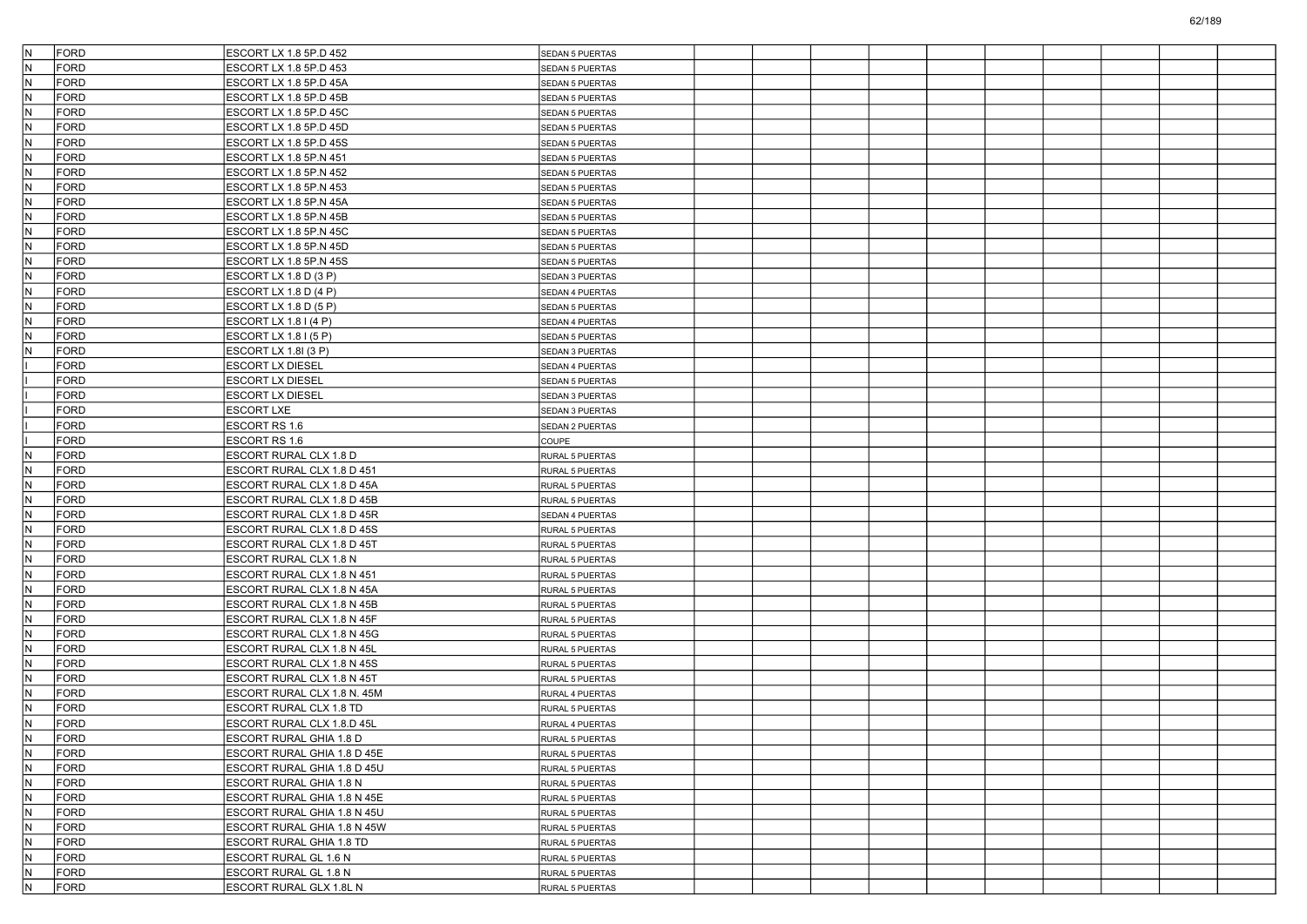| IN.          | <b>FORD</b> | ESCORT LX 1.8 5P.D 452      | SEDAN 5 PUERTAS        |  |  |  |  |  |
|--------------|-------------|-----------------------------|------------------------|--|--|--|--|--|
| IN.          | FORD        | ESCORT LX 1.8 5P.D 453      | SEDAN 5 PUERTAS        |  |  |  |  |  |
| IN.          | <b>FORD</b> | ESCORT LX 1.8 5P.D 45A      | SEDAN 5 PUERTAS        |  |  |  |  |  |
| İN.          | FORD        | ESCORT LX 1.8 5P.D 45B      | SEDAN 5 PUERTAS        |  |  |  |  |  |
| İN.          | FORD        | ESCORT LX 1.8 5P.D 45C      | SEDAN 5 PUERTAS        |  |  |  |  |  |
| IN.          | <b>FORD</b> | ESCORT LX 1.8 5P.D 45D      | SEDAN 5 PUERTAS        |  |  |  |  |  |
| IN.          | <b>FORD</b> | ESCORT LX 1.8 5P.D 45S      | SEDAN 5 PUERTAS        |  |  |  |  |  |
| N            | <b>FORD</b> | ESCORT LX 1.8 5P.N 451      | <b>SEDAN 5 PUERTAS</b> |  |  |  |  |  |
| IN.          | FORD        | ESCORT LX 1.8 5P.N 452      | SEDAN 5 PUERTAS        |  |  |  |  |  |
| IN.          | FORD        | ESCORT LX 1.8 5P.N 453      | SEDAN 5 PUERTAS        |  |  |  |  |  |
| IN.          | <b>FORD</b> | ESCORT LX 1.8 5P.N 45A      | SEDAN 5 PUERTAS        |  |  |  |  |  |
| IN.          | <b>FORD</b> | ESCORT LX 1.8 5P.N 45B      | SEDAN 5 PUERTAS        |  |  |  |  |  |
| N            | <b>FORD</b> | ESCORT LX 1.8 5P.N 45C      | SEDAN 5 PUERTAS        |  |  |  |  |  |
| IN.          | FORD        | ESCORT LX 1.8 5P.N 45D      | <b>SEDAN 5 PUERTAS</b> |  |  |  |  |  |
| IN.          | <b>FORD</b> | ESCORT LX 1.8 5P.N 45S      | <b>SEDAN 5 PUERTAS</b> |  |  |  |  |  |
| IN.          | <b>FORD</b> | ESCORT LX 1.8 D (3 P)       | SEDAN 3 PUERTAS        |  |  |  |  |  |
| IN.          | FORD        | ESCORT LX 1.8 D (4 P)       | SEDAN 4 PUERTAS        |  |  |  |  |  |
| N            | <b>FORD</b> | ESCORT LX 1.8 D (5 P)       | SEDAN 5 PUERTAS        |  |  |  |  |  |
| IN.          | FORD        | ESCORT LX 1.8 I (4 P)       | SEDAN 4 PUERTAS        |  |  |  |  |  |
| IN.          | <b>FORD</b> | ESCORT LX 1.8 I (5 P)       | SEDAN 5 PUERTAS        |  |  |  |  |  |
| IN.          | <b>FORD</b> | ESCORT LX 1.8I (3 P)        | SEDAN 3 PUERTAS        |  |  |  |  |  |
|              | <b>FORD</b> | ESCORT LX DIESEL            | SEDAN 4 PUERTAS        |  |  |  |  |  |
|              | <b>FORD</b> | ESCORT LX DIESEL            | SEDAN 5 PUERTAS        |  |  |  |  |  |
|              | FORD        | ESCORT LX DIESEL            | <b>SEDAN 3 PUERTAS</b> |  |  |  |  |  |
|              | <b>FORD</b> | ESCORT LXE                  | SEDAN 3 PUERTAS        |  |  |  |  |  |
|              | <b>FORD</b> | ESCORT RS 1.6               | SEDAN 2 PUERTAS        |  |  |  |  |  |
|              | <b>FORD</b> | ESCORT RS 1.6               | <b>COUPE</b>           |  |  |  |  |  |
| N            | FORD        | ESCORT RURAL CLX 1.8 D      | RURAL 5 PUERTAS        |  |  |  |  |  |
| IN.          | FORD        | ESCORT RURAL CLX 1.8 D 451  | RURAL 5 PUERTAS        |  |  |  |  |  |
| IN.          | FORD        | ESCORT RURAL CLX 1.8 D 45A  | RURAL 5 PUERTAS        |  |  |  |  |  |
| IN.          | <b>FORD</b> | ESCORT RURAL CLX 1.8 D 45B  | RURAL 5 PUERTAS        |  |  |  |  |  |
| IN.          | <b>FORD</b> | ESCORT RURAL CLX 1.8 D 45R  | SEDAN 4 PUERTAS        |  |  |  |  |  |
| N            | <b>FORD</b> | ESCORT RURAL CLX 1.8 D 45S  | RURAL 5 PUERTAS        |  |  |  |  |  |
| IN.          | FORD        | ESCORT RURAL CLX 1.8 D 45T  | RURAL 5 PUERTAS        |  |  |  |  |  |
| IN.          | FORD        | ESCORT RURAL CLX 1.8 N      | RURAL 5 PUERTAS        |  |  |  |  |  |
| IN.          | <b>FORD</b> | ESCORT RURAL CLX 1.8 N 451  | RURAL 5 PUERTAS        |  |  |  |  |  |
| IN.          | <b>FORD</b> | ESCORT RURAL CLX 1.8 N 45A  | RURAL 5 PUERTAS        |  |  |  |  |  |
| N            | <b>FORD</b> | ESCORT RURAL CLX 1.8 N 45B  | RURAL 5 PUERTAS        |  |  |  |  |  |
| IN.          | FORD        | ESCORT RURAL CLX 1.8 N 45F  | RURAL 5 PUERTAS        |  |  |  |  |  |
| IN.          | FORD        | ESCORT RURAL CLX 1.8 N 45G  | RURAL 5 PUERTAS        |  |  |  |  |  |
| IN.          | <b>FORD</b> | ESCORT RURAL CLX 1.8 N 45L  | RURAL 5 PUERTAS        |  |  |  |  |  |
| IN.          | <b>FORD</b> | ESCORT RURAL CLX 1.8 N 45S  | <b>RURAL 5 PUERTAS</b> |  |  |  |  |  |
| N            | <b>FORD</b> | ESCORT RURAL CLX 1.8 N 45T  | RURAL 5 PUERTAS        |  |  |  |  |  |
| IN.          | FORD        | ESCORT RURAL CLX 1.8 N. 45M | RURAL 4 PUERTAS        |  |  |  |  |  |
| $\mathsf{N}$ | <b>FORD</b> | ESCORT RURAL CLX 1.8 TD     | RURAL 5 PUERTAS        |  |  |  |  |  |
| IN.          | <b>FORD</b> | ESCORT RURAL CLX 1.8.D 45L  | RURAL 4 PUERTAS        |  |  |  |  |  |
| IN.          | FORD        | ESCORT RURAL GHIA 1.8 D     | RURAL 5 PUERTAS        |  |  |  |  |  |
| IN.          | FORD        | ESCORT RURAL GHIA 1.8 D 45E | RURAL 5 PUERTAS        |  |  |  |  |  |
| IN.          | FORD        | ESCORT RURAL GHIA 1.8 D 45U | RURAL 5 PUERTAS        |  |  |  |  |  |
| IN.          | FORD        | ESCORT RURAL GHIA 1.8 N     | RURAL 5 PUERTAS        |  |  |  |  |  |
| IN.          | FORD        | ESCORT RURAL GHIA 1.8 N 45E | RURAL 5 PUERTAS        |  |  |  |  |  |
| IN.          | FORD        | ESCORT RURAL GHIA 1.8 N 45U | RURAL 5 PUERTAS        |  |  |  |  |  |
| IN.          | FORD        | ESCORT RURAL GHIA 1.8 N 45W | RURAL 5 PUERTAS        |  |  |  |  |  |
| IN.          | FORD        | ESCORT RURAL GHIA 1.8 TD    | RURAL 5 PUERTAS        |  |  |  |  |  |
| IN.          | FORD        | ESCORT RURAL GL 1.6 N       | RURAL 5 PUERTAS        |  |  |  |  |  |
| IN.          | FORD        | ESCORT RURAL GL 1.8 N       | RURAL 5 PUERTAS        |  |  |  |  |  |
| IN.          | FORD        | ESCORT RURAL GLX 1.8L N     | RURAL 5 PUERTAS        |  |  |  |  |  |
|              |             |                             |                        |  |  |  |  |  |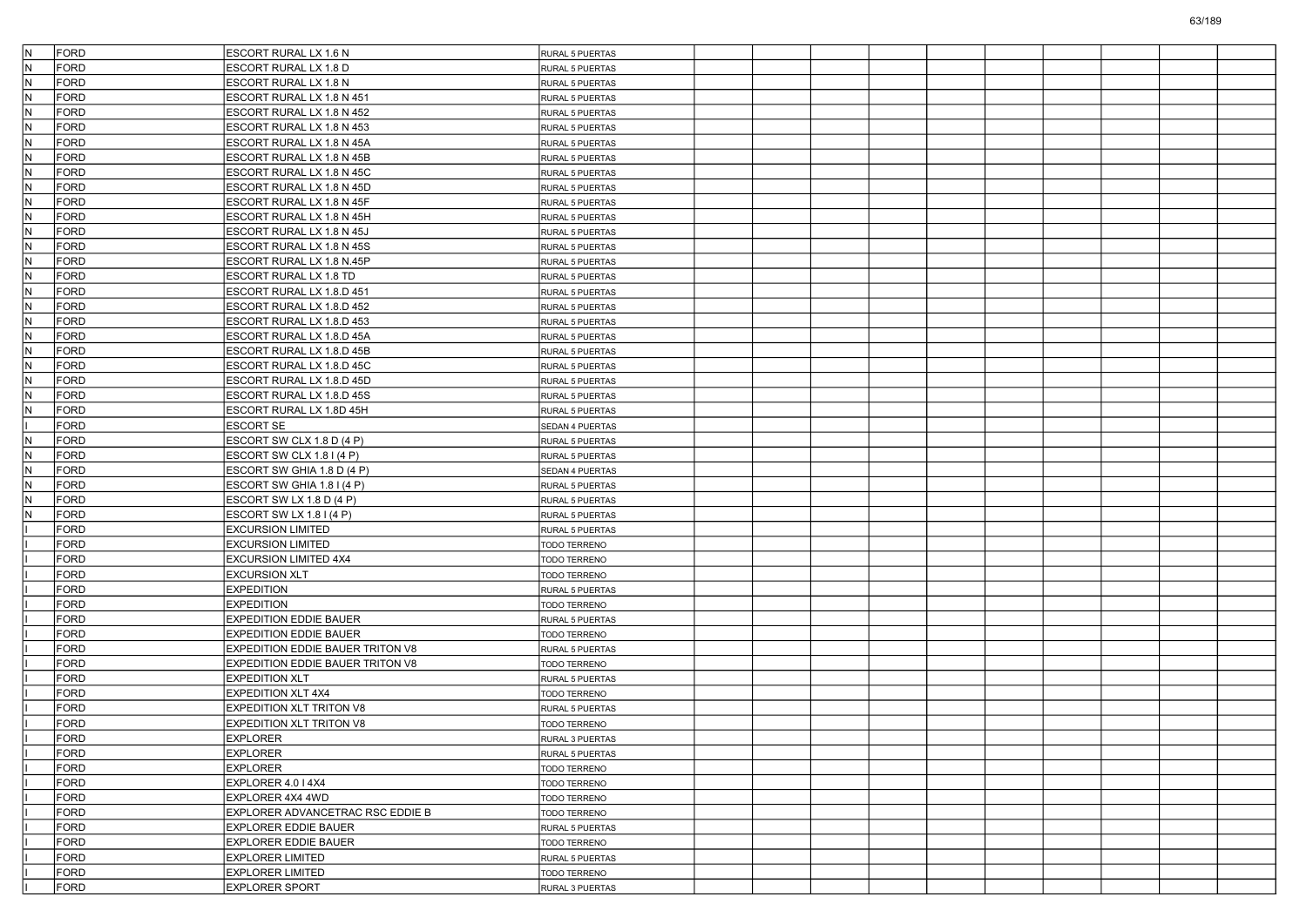| IN.<br><b>FORD</b>         | <b>ESCORT RURAL LX 1.6 N</b>                                     | RURAL 5 PUERTAS                 |  |  |  |  |  |
|----------------------------|------------------------------------------------------------------|---------------------------------|--|--|--|--|--|
| lN.<br>FORD                | ESCORT RURAL LX 1.8 D                                            | <b>RURAL 5 PUERTAS</b>          |  |  |  |  |  |
| IN.<br><b>FORD</b>         | ESCORT RURAL LX 1.8 N                                            | RURAL 5 PUERTAS                 |  |  |  |  |  |
| IN.<br>FORD                | ESCORT RURAL LX 1.8 N 451                                        | RURAL 5 PUERTAS                 |  |  |  |  |  |
| N<br>FORD                  | ESCORT RURAL LX 1.8 N 452                                        | RURAL 5 PUERTAS                 |  |  |  |  |  |
| N<br><b>FORD</b>           | ESCORT RURAL LX 1.8 N 453                                        | RURAL 5 PUERTAS                 |  |  |  |  |  |
| IN.<br><b>FORD</b>         | ESCORT RURAL LX 1.8 N 45A                                        | RURAL 5 PUERTAS                 |  |  |  |  |  |
| lN.<br><b>FORD</b>         | ESCORT RURAL LX 1.8 N 45B                                        | RURAL 5 PUERTAS                 |  |  |  |  |  |
| IN.<br>FORD                | ESCORT RURAL LX 1.8 N 45C                                        | RURAL 5 PUERTAS                 |  |  |  |  |  |
| N<br><b>FORD</b>           | ESCORT RURAL LX 1.8 N 45D                                        | RURAL 5 PUERTAS                 |  |  |  |  |  |
| N<br><b>FORD</b>           | ESCORT RURAL LX 1.8 N 45F                                        | RURAL 5 PUERTAS                 |  |  |  |  |  |
| <b>FORD</b><br>IN.         | ESCORT RURAL LX 1.8 N 45H                                        | RURAL 5 PUERTAS                 |  |  |  |  |  |
| lN.<br><b>FORD</b>         | ESCORT RURAL LX 1.8 N 45J                                        | RURAL 5 PUERTAS                 |  |  |  |  |  |
| IN.<br>FORD                | ESCORT RURAL LX 1.8 N 45S                                        | RURAL 5 PUERTAS                 |  |  |  |  |  |
| N<br><b>FORD</b>           | ESCORT RURAL LX 1.8 N.45P                                        | RURAL 5 PUERTAS                 |  |  |  |  |  |
| N<br><b>FORD</b>           | ESCORT RURAL LX 1.8 TD                                           | RURAL 5 PUERTAS                 |  |  |  |  |  |
| <b>FORD</b><br>IN.         | ESCORT RURAL LX 1.8.D 451                                        | <b>RURAL 5 PUERTAS</b>          |  |  |  |  |  |
| lN.<br><b>FORD</b>         | ESCORT RURAL LX 1.8.D 452                                        | RURAL 5 PUERTAS                 |  |  |  |  |  |
| IN.<br>FORD                | ESCORT RURAL LX 1.8.D 453                                        | RURAL 5 PUERTAS                 |  |  |  |  |  |
| N<br><b>FORD</b>           | ESCORT RURAL LX 1.8.D 45A                                        | RURAL 5 PUERTAS                 |  |  |  |  |  |
| N<br><b>FORD</b>           | ESCORT RURAL LX 1.8.D 45B                                        | RURAL 5 PUERTAS                 |  |  |  |  |  |
| <b>FORD</b><br>IN.         | ESCORT RURAL LX 1.8.D 45C                                        | <b>RURAL 5 PUERTAS</b>          |  |  |  |  |  |
| <b>FORD</b><br>N           | ESCORT RURAL LX 1.8.D 45D                                        | RURAL 5 PUERTAS                 |  |  |  |  |  |
| IN.<br>FORD                | ESCORT RURAL LX 1.8.D 45S                                        | RURAL 5 PUERTAS                 |  |  |  |  |  |
| N<br><b>FORD</b>           | ESCORT RURAL LX 1.8D 45H                                         | RURAL 5 PUERTAS                 |  |  |  |  |  |
| <b>FORD</b>                | <b>ESCORT SE</b>                                                 | SEDAN 4 PUERTAS                 |  |  |  |  |  |
| <b>FORD</b><br>IN.         | ESCORT SW CLX 1.8 D (4 P)                                        | RURAL 5 PUERTAS                 |  |  |  |  |  |
| <b>FORD</b><br>N           | ESCORT SW CLX 1.8 I (4 P)                                        | RURAL 5 PUERTAS                 |  |  |  |  |  |
| IN.<br>FORD                | ESCORT SW GHIA 1.8 D (4 P)                                       | SEDAN 4 PUERTAS                 |  |  |  |  |  |
| N<br><b>FORD</b>           | ESCORT SW GHIA 1.8 I (4 P)                                       | RURAL 5 PUERTAS                 |  |  |  |  |  |
| N<br><b>FORD</b>           | ESCORT SW LX 1.8 D (4 P)                                         | RURAL 5 PUERTAS                 |  |  |  |  |  |
| <b>FORD</b><br>N           | ESCORT SW LX 1.8 I (4 P)                                         | <b>RURAL 5 PUERTAS</b>          |  |  |  |  |  |
| <b>FORD</b>                | <b>EXCURSION LIMITED</b>                                         | RURAL 5 PUERTAS                 |  |  |  |  |  |
| <b>FORD</b>                | <b>EXCURSION LIMITED</b>                                         | TODO TERRENO                    |  |  |  |  |  |
| <b>FORD</b>                | <b>EXCURSION LIMITED 4X4</b>                                     | TODO TERRENO                    |  |  |  |  |  |
| <b>FORD</b>                | <b>EXCURSION XLT</b>                                             | TODO TERRENO                    |  |  |  |  |  |
| <b>FORD</b>                | <b>EXPEDITION</b>                                                |                                 |  |  |  |  |  |
| <b>FORD</b>                | <b>EXPEDITION</b>                                                | RURAL 5 PUERTAS<br>TODO TERRENO |  |  |  |  |  |
| <b>FORD</b>                | <b>EXPEDITION EDDIE BAUER</b>                                    |                                 |  |  |  |  |  |
| <b>FORD</b>                |                                                                  | RURAL 5 PUERTAS                 |  |  |  |  |  |
| <b>FORD</b>                | <b>EXPEDITION EDDIE BAUER</b>                                    | TODO TERRENO                    |  |  |  |  |  |
|                            | <b>EXPEDITION EDDIE BAUER TRITON V8</b>                          | RURAL 5 PUERTAS                 |  |  |  |  |  |
| <b>FORD</b><br><b>FORD</b> | <b>EXPEDITION EDDIE BAUER TRITON V8</b><br><b>EXPEDITION XLT</b> | TODO TERRENO                    |  |  |  |  |  |
|                            |                                                                  | RURAL 5 PUERTAS                 |  |  |  |  |  |
| <b>FORD</b>                | <b>EXPEDITION XLT 4X4</b>                                        | TODO TERRENO                    |  |  |  |  |  |
| <b>FORD</b>                | <b>EXPEDITION XLT TRITON V8</b>                                  | RURAL 5 PUERTAS                 |  |  |  |  |  |
| <b>FORD</b>                | <b>EXPEDITION XLT TRITON V8</b>                                  | <b>TODO TERRENO</b>             |  |  |  |  |  |
| FORD                       | EXPLORER                                                         | RURAL 3 PUERTAS                 |  |  |  |  |  |
| <b>FORD</b>                | <b>EXPLORER</b>                                                  | RURAL 5 PUERTAS                 |  |  |  |  |  |
| FORD                       | <b>EXPLORER</b>                                                  | TODO TERRENO                    |  |  |  |  |  |
| FORD                       | EXPLORER 4.0   4X4                                               | TODO TERRENO                    |  |  |  |  |  |
| FORD                       | EXPLORER 4X4 4WD                                                 | <b>TODO TERRENO</b>             |  |  |  |  |  |
| FORD                       | EXPLORER ADVANCETRAC RSC EDDIE B                                 | TODO TERRENO                    |  |  |  |  |  |
| FORD                       | <b>EXPLORER EDDIE BAUER</b>                                      | RURAL 5 PUERTAS                 |  |  |  |  |  |
| FORD                       | <b>EXPLORER EDDIE BAUER</b>                                      | TODO TERRENO                    |  |  |  |  |  |
| <b>FORD</b>                | <b>EXPLORER LIMITED</b>                                          | RURAL 5 PUERTAS                 |  |  |  |  |  |
| FORD                       | <b>EXPLORER LIMITED</b>                                          | TODO TERRENO                    |  |  |  |  |  |
| FORD                       | <b>EXPLORER SPORT</b>                                            | RURAL 3 PUERTAS                 |  |  |  |  |  |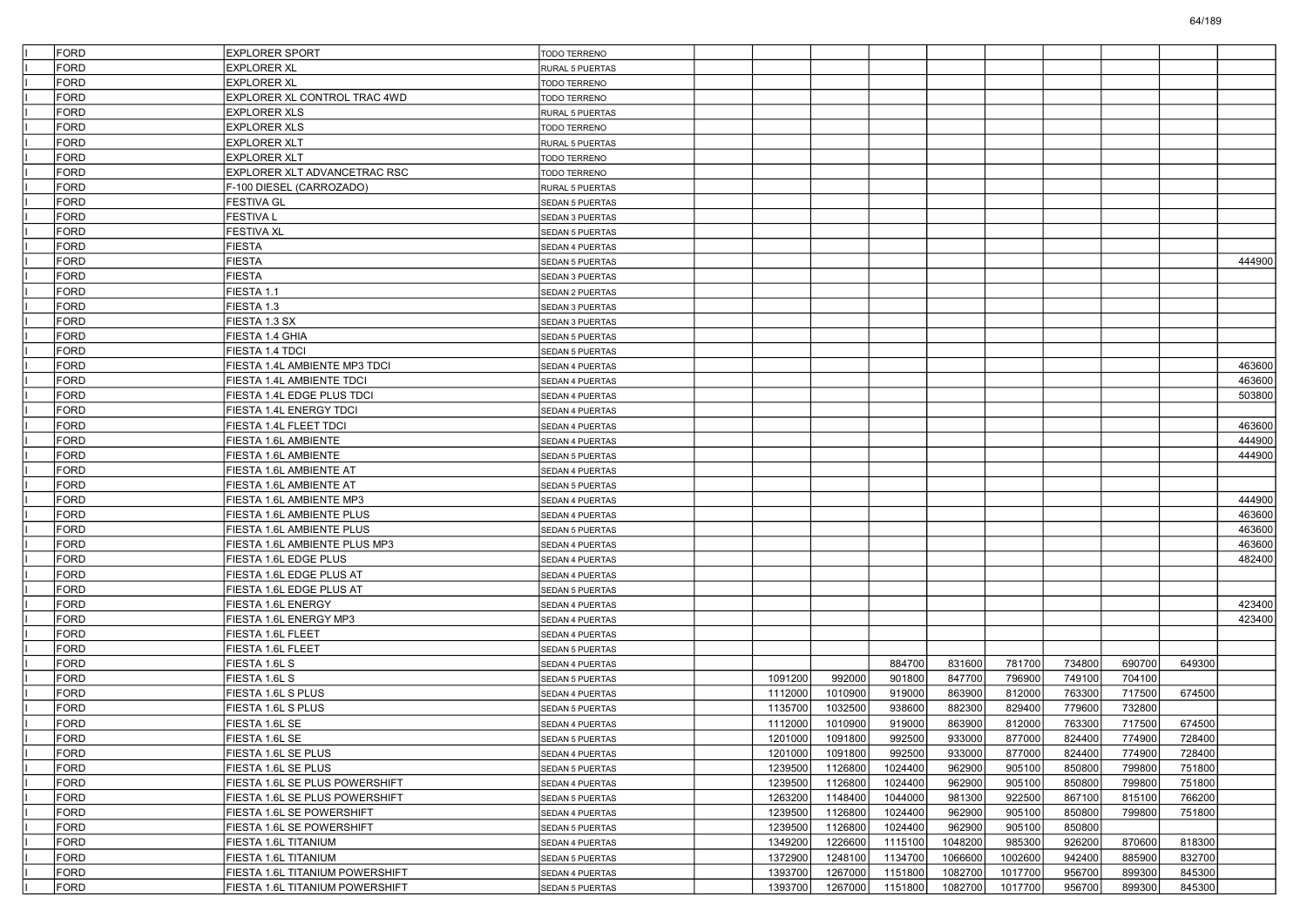| <b>FORD</b> | <b>EXPLORER SPORT</b>                                   | <b>TODO TERRENO</b>                       |         |         |         |         |         |        |        |        |        |
|-------------|---------------------------------------------------------|-------------------------------------------|---------|---------|---------|---------|---------|--------|--------|--------|--------|
| <b>FORD</b> | <b>EXPLORER XL</b>                                      | RURAL 5 PUERTAS                           |         |         |         |         |         |        |        |        |        |
| <b>FORD</b> | <b>EXPLORER XL</b>                                      | TODO TERRENO                              |         |         |         |         |         |        |        |        |        |
| <b>FORD</b> | EXPLORER XL CONTROL TRAC 4WD                            | <b>TODO TERRENO</b>                       |         |         |         |         |         |        |        |        |        |
| <b>FORD</b> | EXPLORER XLS                                            | RURAL 5 PUERTAS                           |         |         |         |         |         |        |        |        |        |
| <b>FORD</b> | <b>EXPLORER XLS</b>                                     | <b>TODO TERRENO</b>                       |         |         |         |         |         |        |        |        |        |
| <b>FORD</b> | EXPLORER XLT                                            | RURAL 5 PUERTAS                           |         |         |         |         |         |        |        |        |        |
| <b>FORD</b> | EXPLORER XLT                                            | TODO TERRENO                              |         |         |         |         |         |        |        |        |        |
| <b>FORD</b> | EXPLORER XLT ADVANCETRAC RSC                            | TODO TERRENO                              |         |         |         |         |         |        |        |        |        |
| <b>FORD</b> | F-100 DIESEL (CARROZADO)                                | RURAL 5 PUERTAS                           |         |         |         |         |         |        |        |        |        |
| <b>FORD</b> | FESTIVA GL                                              | SEDAN 5 PUERTAS                           |         |         |         |         |         |        |        |        |        |
| <b>FORD</b> | <b>FESTIVA L</b>                                        | SEDAN 3 PUERTAS                           |         |         |         |         |         |        |        |        |        |
| <b>FORD</b> | FESTIVA XL                                              | SEDAN 5 PUERTAS                           |         |         |         |         |         |        |        |        |        |
| <b>FORD</b> | FIESTA                                                  | SEDAN 4 PUERTAS                           |         |         |         |         |         |        |        |        |        |
| <b>FORD</b> | <b>FIESTA</b>                                           | SEDAN 5 PUERTAS                           |         |         |         |         |         |        |        |        | 444900 |
| <b>FORD</b> | <b>FIESTA</b>                                           | SEDAN 3 PUERTAS                           |         |         |         |         |         |        |        |        |        |
| <b>FORD</b> | FIESTA 1.1                                              | SEDAN 2 PUERTAS                           |         |         |         |         |         |        |        |        |        |
| <b>FORD</b> | FIESTA 1.3                                              | SEDAN 3 PUERTAS                           |         |         |         |         |         |        |        |        |        |
| <b>FORD</b> | FIESTA 1.3 SX                                           | SEDAN 3 PUERTAS                           |         |         |         |         |         |        |        |        |        |
| <b>FORD</b> | FIESTA 1.4 GHIA                                         | SEDAN 5 PUERTAS                           |         |         |         |         |         |        |        |        |        |
| <b>FORD</b> | FIESTA 1.4 TDCI                                         | SEDAN 5 PUERTAS                           |         |         |         |         |         |        |        |        |        |
| <b>FORD</b> | FIESTA 1.4L AMBIENTE MP3 TDCI                           | SEDAN 4 PUERTAS                           |         |         |         |         |         |        |        |        | 463600 |
| <b>FORD</b> | FIESTA 1.4L AMBIENTE TDCI                               | SEDAN 4 PUERTAS                           |         |         |         |         |         |        |        |        | 463600 |
| <b>FORD</b> | FIESTA 1.4L EDGE PLUS TDCI                              | SEDAN 4 PUERTAS                           |         |         |         |         |         |        |        |        | 503800 |
| <b>FORD</b> | FIESTA 1.4L ENERGY TDCI                                 | SEDAN 4 PUERTAS                           |         |         |         |         |         |        |        |        |        |
| <b>FORD</b> | FIESTA 1.4L FLEET TDCI                                  | SEDAN 4 PUERTAS                           |         |         |         |         |         |        |        |        | 463600 |
| <b>FORD</b> | FIESTA 1.6L AMBIENTE                                    | SEDAN 4 PUERTAS                           |         |         |         |         |         |        |        |        | 444900 |
| <b>FORD</b> | FIESTA 1.6L AMBIENTE                                    | SEDAN 5 PUERTAS                           |         |         |         |         |         |        |        |        | 444900 |
| <b>FORD</b> | FIESTA 1.6L AMBIENTE AT                                 | SEDAN 4 PUERTAS                           |         |         |         |         |         |        |        |        |        |
| <b>FORD</b> | FIESTA 1.6L AMBIENTE AT                                 | SEDAN 5 PUERTAS                           |         |         |         |         |         |        |        |        |        |
| <b>FORD</b> | FIESTA 1.6L AMBIENTE MP3                                | SEDAN 4 PUERTAS                           |         |         |         |         |         |        |        |        | 444900 |
| <b>FORD</b> | FIESTA 1.6L AMBIENTE PLUS                               | SEDAN 4 PUERTAS                           |         |         |         |         |         |        |        |        | 463600 |
| <b>FORD</b> | FIESTA 1.6L AMBIENTE PLUS                               | SEDAN 5 PUERTAS                           |         |         |         |         |         |        |        |        | 463600 |
| <b>FORD</b> | FIESTA 1.6L AMBIENTE PLUS MP3                           | SEDAN 4 PUERTAS                           |         |         |         |         |         |        |        |        | 463600 |
| <b>FORD</b> | FIESTA 1.6L EDGE PLUS                                   |                                           |         |         |         |         |         |        |        |        | 482400 |
| <b>FORD</b> | FIESTA 1.6L EDGE PLUS AT                                | SEDAN 4 PUERTAS<br>SEDAN 4 PUERTAS        |         |         |         |         |         |        |        |        |        |
| <b>FORD</b> | FIESTA 1.6L EDGE PLUS AT                                |                                           |         |         |         |         |         |        |        |        |        |
| <b>FORD</b> | FIESTA 1.6L ENERGY                                      | SEDAN 5 PUERTAS<br>SEDAN 4 PUERTAS        |         |         |         |         |         |        |        |        | 423400 |
| <b>FORD</b> |                                                         |                                           |         |         |         |         |         |        |        |        | 423400 |
| <b>FORD</b> | FIESTA 1.6L ENERGY MP3                                  | SEDAN 4 PUERTAS                           |         |         |         |         |         |        |        |        |        |
| <b>FORD</b> | FIESTA 1.6L FLEET<br>FIESTA 1.6L FLEET                  | SEDAN 4 PUERTAS<br>SEDAN 5 PUERTAS        |         |         |         |         |         |        |        |        |        |
| <b>FORD</b> | FIESTA 1.6L S                                           | SEDAN 4 PUERTAS                           |         |         | 884700  | 831600  | 781700  | 734800 | 690700 | 649300 |        |
| <b>FORD</b> | FIESTA 1.6L S                                           | <b>SEDAN 5 PUERTAS</b>                    | 1091200 | 992000  | 901800  | 847700  | 796900  | 749100 | 704100 |        |        |
| <b>FORD</b> | FIESTA 1.6L S PLUS                                      |                                           | 1112000 | 1010900 | 919000  | 863900  | 812000  | 763300 | 717500 | 674500 |        |
| <b>FORD</b> | FIESTA 1.6L S PLUS                                      | SEDAN 4 PUERTAS                           | 1135700 | 1032500 | 938600  | 882300  | 829400  | 779600 | 732800 |        |        |
| <b>FORD</b> | FIESTA 1.6L SE                                          | SEDAN 5 PUERTAS<br><b>SEDAN 4 PUERTAS</b> | 1112000 | 1010900 | 919000  | 863900  | 812000  | 763300 | 717500 | 674500 |        |
| FORD        | FIESTA 1.6L SE                                          |                                           | 1201000 | 1091800 | 992500  | 933000  | 877000  | 824400 | 774900 | 728400 |        |
| <b>FORD</b> |                                                         | SEDAN 5 PUERTAS                           |         |         | 992500  | 933000  |         |        |        |        |        |
|             | FIESTA 1.6L SE PLUS                                     | SEDAN 4 PUERTAS                           | 1201000 | 1091800 |         |         | 877000  | 824400 | 774900 | 728400 |        |
| <b>FORD</b> | FIESTA 1.6L SE PLUS                                     | SEDAN 5 PUERTAS                           | 1239500 | 1126800 | 1024400 | 962900  | 905100  | 850800 | 799800 | 751800 |        |
| <b>FORD</b> | FIESTA 1.6L SE PLUS POWERSHIFT                          | SEDAN 4 PUERTAS                           | 1239500 | 1126800 | 1024400 | 962900  | 905100  | 850800 | 799800 | 751800 |        |
| <b>FORD</b> | FIESTA 1.6L SE PLUS POWERSHIFT                          | SEDAN 5 PUERTAS                           | 1263200 | 1148400 | 1044000 | 981300  | 922500  | 867100 | 815100 | 766200 |        |
| FORD        | FIESTA 1.6L SE POWERSHIFT                               | SEDAN 4 PUERTAS                           | 1239500 | 1126800 | 1024400 | 962900  | 905100  | 850800 | 799800 | 751800 |        |
| <b>FORD</b> | FIESTA 1.6L SE POWERSHIFT                               | SEDAN 5 PUERTAS                           | 1239500 | 1126800 | 1024400 | 962900  | 905100  | 850800 |        |        |        |
| <b>FORD</b> | FIESTA 1.6L TITANIUM                                    | SEDAN 4 PUERTAS                           | 1349200 | 1226600 | 1115100 | 1048200 | 985300  | 926200 | 870600 | 818300 |        |
| <b>FORD</b> | FIESTA 1.6L TITANIUM<br>FIESTA 1.6L TITANIUM POWERSHIFT | SEDAN 5 PUERTAS                           | 1372900 | 1248100 | 1134700 | 1066600 | 1002600 | 942400 | 885900 | 832700 |        |
| <b>FORD</b> | FIESTA 1.6L TITANIUM POWERSHIFT                         | SEDAN 4 PUERTAS                           | 1393700 | 1267000 | 1151800 | 1082700 | 1017700 | 956700 | 899300 | 845300 |        |
| FORD        |                                                         | SEDAN 5 PUERTAS                           | 1393700 | 1267000 | 1151800 | 1082700 | 1017700 | 956700 | 899300 | 845300 |        |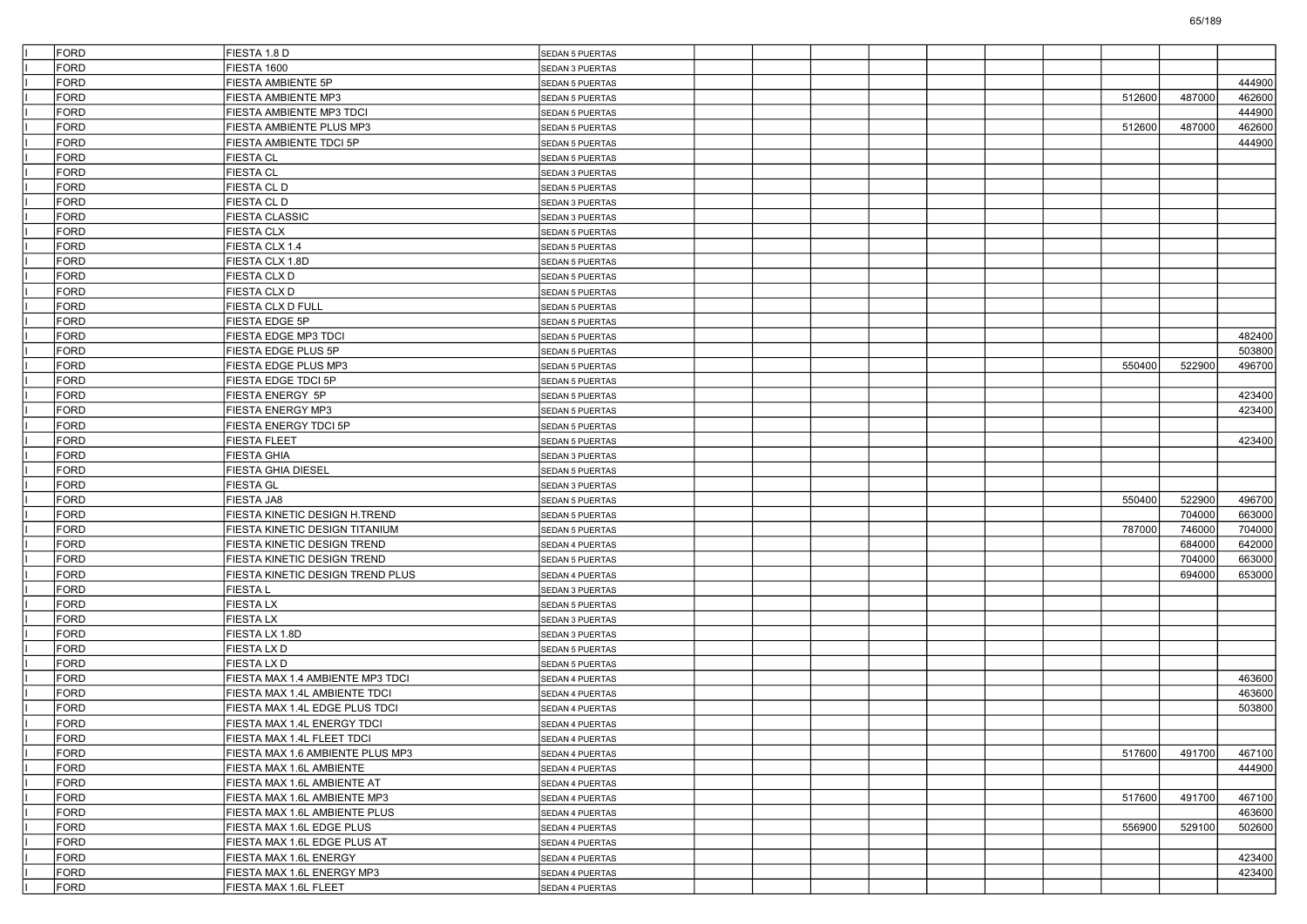| FORD        | FIESTA 1.8 D                       | <b>SEDAN 5 PUERTAS</b> |  |  |  |        |        |        |
|-------------|------------------------------------|------------------------|--|--|--|--------|--------|--------|
| FORD        | <b>FIESTA 1600</b>                 | SEDAN 3 PUERTAS        |  |  |  |        |        |        |
| FORD        | FIESTA AMBIENTE 5P                 | SEDAN 5 PUERTAS        |  |  |  |        |        | 444900 |
| <b>FORD</b> | FIESTA AMBIENTE MP3                | <b>SEDAN 5 PUERTAS</b> |  |  |  | 512600 | 487000 | 462600 |
| FORD        | <b>FIESTA AMBIENTE MP3 TDCI</b>    | <b>SEDAN 5 PUERTAS</b> |  |  |  |        |        | 444900 |
| <b>FORD</b> | FIESTA AMBIENTE PLUS MP3           | <b>SEDAN 5 PUERTAS</b> |  |  |  | 512600 | 487000 | 462600 |
| <b>FORD</b> | FIESTA AMBIENTE TDCI 5P            | SEDAN 5 PUERTAS        |  |  |  |        |        | 444900 |
| <b>FORD</b> | <b>FIESTA CL</b>                   | SEDAN 5 PUERTAS        |  |  |  |        |        |        |
| <b>FORD</b> | <b>FIESTA CL</b>                   | SEDAN 3 PUERTAS        |  |  |  |        |        |        |
| <b>FORD</b> | <b>FIESTA CLD</b>                  | <b>SEDAN 5 PUERTAS</b> |  |  |  |        |        |        |
| <b>FORD</b> | <b>FIESTA CL D</b>                 | SEDAN 3 PUERTAS        |  |  |  |        |        |        |
| <b>FORD</b> | <b>FIESTA CLASSIC</b>              | SEDAN 3 PUERTAS        |  |  |  |        |        |        |
| <b>FORD</b> | <b>FIESTA CLX</b>                  | SEDAN 5 PUERTAS        |  |  |  |        |        |        |
| <b>FORD</b> | FIESTA CLX 1.4                     | SEDAN 5 PUERTAS        |  |  |  |        |        |        |
| <b>FORD</b> | FIESTA CLX 1.8D                    | <b>SEDAN 5 PUERTAS</b> |  |  |  |        |        |        |
| <b>FORD</b> | <b>FIESTA CLX D</b>                | <b>SEDAN 5 PUERTAS</b> |  |  |  |        |        |        |
| <b>FORD</b> | <b>FIESTA CLX D</b>                | SEDAN 5 PUERTAS        |  |  |  |        |        |        |
| FORD        | FIESTA CLX D FULL                  | SEDAN 5 PUERTAS        |  |  |  |        |        |        |
| <b>FORD</b> | FIESTA EDGE 5P                     | SEDAN 5 PUERTAS        |  |  |  |        |        |        |
| FORD        | <b>FIESTA EDGE MP3 TDCI</b>        | <b>SEDAN 5 PUERTAS</b> |  |  |  |        |        | 482400 |
| <b>FORD</b> | FIESTA EDGE PLUS 5P                | <b>SEDAN 5 PUERTAS</b> |  |  |  |        |        | 503800 |
| <b>FORD</b> | FIESTA EDGE PLUS MP3               | SEDAN 5 PUERTAS        |  |  |  | 550400 | 522900 | 496700 |
| FORD        | FIESTA EDGE TDCI 5P                | <b>SEDAN 5 PUERTAS</b> |  |  |  |        |        |        |
| <b>FORD</b> | FIESTA ENERGY 5P                   | SEDAN 5 PUERTAS        |  |  |  |        |        | 423400 |
| FORD        | <b>FIESTA ENERGY MP3</b>           | <b>SEDAN 5 PUERTAS</b> |  |  |  |        |        | 423400 |
| <b>FORD</b> | <b>FIESTA ENERGY TDCI 5P</b>       | <b>SEDAN 5 PUERTAS</b> |  |  |  |        |        |        |
| <b>FORD</b> | <b>FIESTA FLEET</b>                | <b>SEDAN 5 PUERTAS</b> |  |  |  |        |        | 423400 |
| <b>FORD</b> | <b>FIESTA GHIA</b>                 | SEDAN 3 PUERTAS        |  |  |  |        |        |        |
| <b>FORD</b> | <b>FIESTA GHIA DIESEL</b>          | SEDAN 5 PUERTAS        |  |  |  |        |        |        |
| FORD        | <b>FIESTA GL</b>                   | SEDAN 3 PUERTAS        |  |  |  |        |        |        |
| <b>FORD</b> | <b>FIESTA JA8</b>                  | <b>SEDAN 5 PUERTAS</b> |  |  |  | 550400 | 522900 | 496700 |
| <b>FORD</b> | FIESTA KINETIC DESIGN H.TREND      | SEDAN 5 PUERTAS        |  |  |  |        | 704000 | 663000 |
| <b>FORD</b> | FIESTA KINETIC DESIGN TITANIUM     | SEDAN 5 PUERTAS        |  |  |  | 787000 | 746000 | 704000 |
| <b>FORD</b> | FIESTA KINETIC DESIGN TREND        | SEDAN 4 PUERTAS        |  |  |  |        | 684000 | 642000 |
| FORD        | <b>FIESTA KINETIC DESIGN TREND</b> | SEDAN 5 PUERTAS        |  |  |  |        | 704000 | 663000 |
| <b>FORD</b> | FIESTA KINETIC DESIGN TREND PLUS   | SEDAN 4 PUERTAS        |  |  |  |        | 694000 | 653000 |
| <b>FORD</b> | <b>FIESTAL</b>                     | SEDAN 3 PUERTAS        |  |  |  |        |        |        |
| <b>FORD</b> | <b>FIESTALX</b>                    | SEDAN 5 PUERTAS        |  |  |  |        |        |        |
| <b>FORD</b> | <b>FIESTALX</b>                    | SEDAN 3 PUERTAS        |  |  |  |        |        |        |
| <b>FORD</b> | FIESTA LX 1.8D                     | SEDAN 3 PUERTAS        |  |  |  |        |        |        |
| <b>FORD</b> | <b>FIESTA LX D</b>                 | SEDAN 5 PUERTAS        |  |  |  |        |        |        |
| <b>FORD</b> | <b>FIESTALXD</b>                   | SEDAN 5 PUERTAS        |  |  |  |        |        |        |
| FORD        | FIESTA MAX 1.4 AMBIENTE MP3 TDCI   | SEDAN 4 PUERTAS        |  |  |  |        |        | 463600 |
| <b>FORD</b> | FIESTA MAX 1.4L AMBIENTE TDCI      | SEDAN 4 PUERTAS        |  |  |  |        |        | 463600 |
| <b>FORD</b> | FIESTA MAX 1.4L EDGE PLUS TDCI     | SEDAN 4 PUERTAS        |  |  |  |        |        | 503800 |
| <b>FORD</b> | FIESTA MAX 1.4L ENERGY TDCI        | SEDAN 4 PUERTAS        |  |  |  |        |        |        |
| FORD        | FIESTA MAX 1.4L FLEET TDCI         | SEDAN 4 PUERTAS        |  |  |  |        |        |        |
| FORD        | FIESTA MAX 1.6 AMBIENTE PLUS MP3   | SEDAN 4 PUERTAS        |  |  |  | 517600 | 491700 | 467100 |
| FORD        | FIESTA MAX 1.6L AMBIENTE           | SEDAN 4 PUERTAS        |  |  |  |        |        | 444900 |
| FORD        | FIESTA MAX 1.6L AMBIENTE AT        | SEDAN 4 PUERTAS        |  |  |  |        |        |        |
| FORD        | FIESTA MAX 1.6L AMBIENTE MP3       | SEDAN 4 PUERTAS        |  |  |  | 517600 | 491700 | 467100 |
| FORD        | FIESTA MAX 1.6L AMBIENTE PLUS      | SEDAN 4 PUERTAS        |  |  |  |        |        | 463600 |
| FORD        | FIESTA MAX 1.6L EDGE PLUS          | SEDAN 4 PUERTAS        |  |  |  | 556900 | 529100 | 502600 |
| FORD        | FIESTA MAX 1.6L EDGE PLUS AT       | SEDAN 4 PUERTAS        |  |  |  |        |        |        |
| FORD        | FIESTA MAX 1.6L ENERGY             | SEDAN 4 PUERTAS        |  |  |  |        |        | 423400 |
| FORD        | FIESTA MAX 1.6L ENERGY MP3         | SEDAN 4 PUERTAS        |  |  |  |        |        | 423400 |
| FORD        | FIESTA MAX 1.6L FLEET              | SEDAN 4 PUERTAS        |  |  |  |        |        |        |
|             |                                    |                        |  |  |  |        |        |        |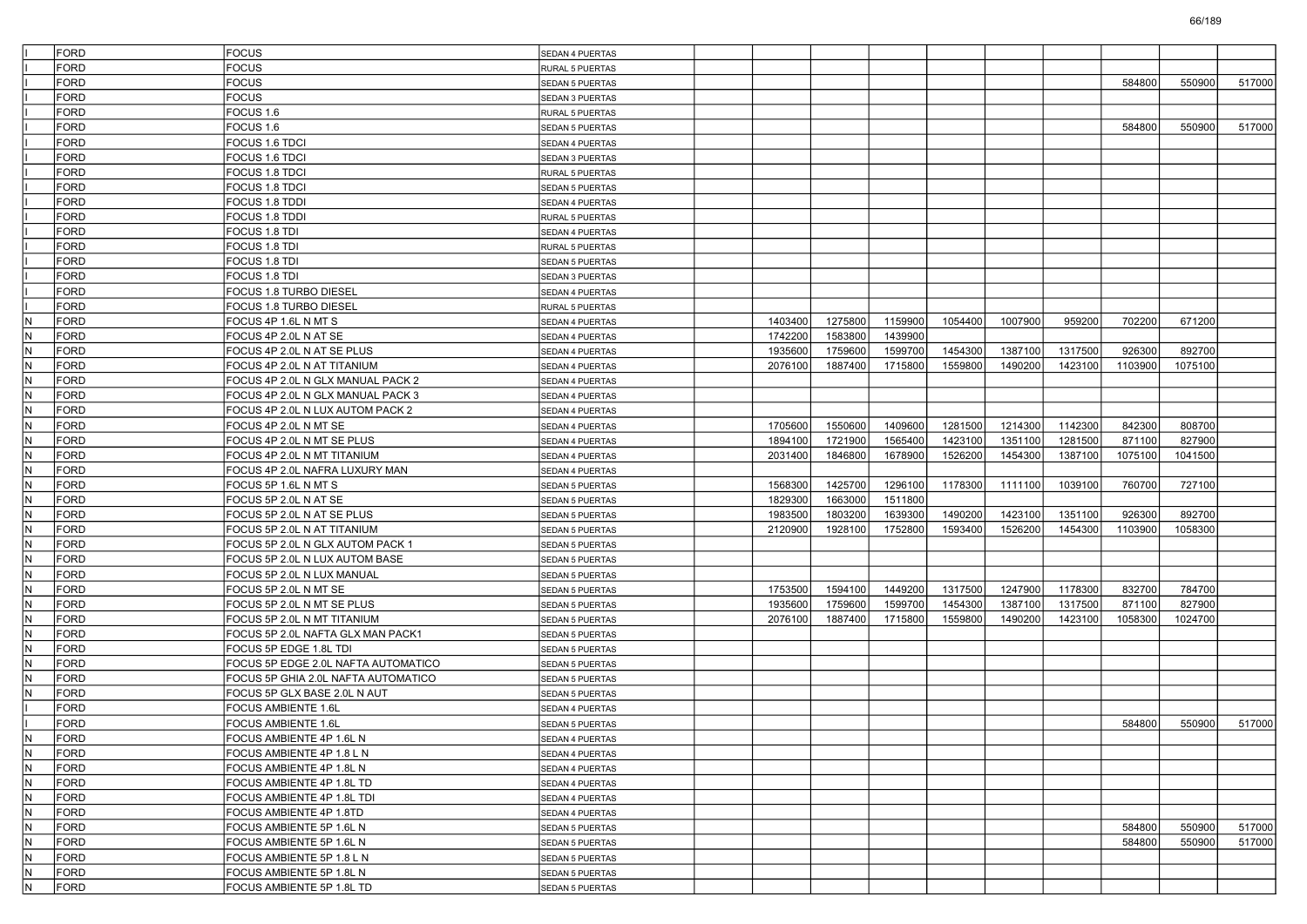|     | <b>FORD</b>         | <b>FOCUS</b>                                                               | SEDAN 4 PUERTAS                                  |         |         |         |         |         |         |         |         |        |
|-----|---------------------|----------------------------------------------------------------------------|--------------------------------------------------|---------|---------|---------|---------|---------|---------|---------|---------|--------|
|     | <b>FORD</b>         | <b>FOCUS</b>                                                               | RURAL 5 PUERTAS                                  |         |         |         |         |         |         |         |         |        |
|     | FORD                | <b>FOCUS</b>                                                               | <b>SEDAN 5 PUERTAS</b>                           |         |         |         |         |         |         | 584800  | 550900  | 517000 |
|     | FORD                | <b>FOCUS</b>                                                               | SEDAN 3 PUERTAS                                  |         |         |         |         |         |         |         |         |        |
|     | <b>FORD</b>         | FOCUS 1.6                                                                  | RURAL 5 PUERTAS                                  |         |         |         |         |         |         |         |         |        |
|     | <b>FORD</b>         | FOCUS 1.6                                                                  | <b>SEDAN 5 PUERTAS</b>                           |         |         |         |         |         |         | 584800  | 550900  | 517000 |
|     | <b>FORD</b>         | FOCUS 1.6 TDCI                                                             | SEDAN 4 PUERTAS                                  |         |         |         |         |         |         |         |         |        |
|     | FORD                | FOCUS 1.6 TDCI                                                             | SEDAN 3 PUERTAS                                  |         |         |         |         |         |         |         |         |        |
|     | FORD                | FOCUS 1.8 TDCI                                                             | <b>RURAL 5 PUERTAS</b>                           |         |         |         |         |         |         |         |         |        |
|     | <b>FORD</b>         | <b>FOCUS 1.8 TDCI</b>                                                      | <b>SEDAN 5 PUERTAS</b>                           |         |         |         |         |         |         |         |         |        |
|     | <b>FORD</b>         | FOCUS 1.8 TDDI                                                             | <b>SEDAN 4 PUERTAS</b>                           |         |         |         |         |         |         |         |         |        |
|     | <b>FORD</b>         | <b>FOCUS 1.8 TDDI</b>                                                      | RURAL 5 PUERTAS                                  |         |         |         |         |         |         |         |         |        |
|     | FORD                | FOCUS 1.8 TDI                                                              | <b>SEDAN 4 PUERTAS</b>                           |         |         |         |         |         |         |         |         |        |
|     | FORD                | FOCUS 1.8 TDI                                                              | <b>RURAL 5 PUERTAS</b>                           |         |         |         |         |         |         |         |         |        |
|     | <b>FORD</b>         | <b>FOCUS 1.8 TDI</b>                                                       | <b>SEDAN 5 PUERTAS</b>                           |         |         |         |         |         |         |         |         |        |
|     | <b>FORD</b>         | FOCUS 1.8 TDI                                                              | <b>SEDAN 3 PUERTAS</b>                           |         |         |         |         |         |         |         |         |        |
|     | <b>FORD</b>         | FOCUS 1.8 TURBO DIESEL                                                     | SEDAN 4 PUERTAS                                  |         |         |         |         |         |         |         |         |        |
|     | FORD                | FOCUS 1.8 TURBO DIESEL                                                     | RURAL 5 PUERTAS                                  |         |         |         |         |         |         |         |         |        |
| IN. | <b>FORD</b>         | FOCUS 4P 1.6L N MT S                                                       | <b>SEDAN 4 PUERTAS</b>                           | 1403400 | 1275800 | 1159900 | 1054400 | 1007900 | 959200  | 702200  | 671200  |        |
| N   | <b>FORD</b>         | FOCUS 4P 2.0L N AT SE                                                      | <b>SEDAN 4 PUERTAS</b>                           | 1742200 | 1583800 | 1439900 |         |         |         |         |         |        |
| IN. | <b>FORD</b>         | FOCUS 4P 2.0L N AT SE PLUS                                                 | SEDAN 4 PUERTAS                                  | 1935600 | 1759600 | 1599700 | 1454300 | 1387100 | 1317500 | 926300  | 892700  |        |
| N   | <b>FORD</b>         | FOCUS 4P 2.0L N AT TITANIUM                                                | <b>SEDAN 4 PUERTAS</b>                           | 2076100 | 1887400 | 1715800 | 1559800 | 1490200 | 1423100 | 1103900 | 1075100 |        |
| IN. | FORD                | FOCUS 4P 2.0L N GLX MANUAL PACK 2                                          | SEDAN 4 PUERTAS                                  |         |         |         |         |         |         |         |         |        |
| IN. | <b>FORD</b>         | FOCUS 4P 2.0L N GLX MANUAL PACK 3                                          | SEDAN 4 PUERTAS                                  |         |         |         |         |         |         |         |         |        |
| N   | FORD                | FOCUS 4P 2.0L N LUX AUTOM PACK 2                                           | SEDAN 4 PUERTAS                                  |         |         |         |         |         |         |         |         |        |
| IN. | <b>FORD</b>         | FOCUS 4P 2.0L N MT SE                                                      | <b>SEDAN 4 PUERTAS</b>                           | 1705600 | 1550600 | 1409600 | 1281500 | 1214300 | 1142300 | 842300  | 808700  |        |
| lΝ  | <b>FORD</b>         | FOCUS 4P 2.0L N MT SE PLUS                                                 | <b>SEDAN 4 PUERTAS</b>                           | 1894100 | 1721900 | 1565400 | 1423100 | 1351100 | 1281500 | 871100  | 827900  |        |
| IN. | FORD                | FOCUS 4P 2.0L N MT TITANIUM                                                | SEDAN 4 PUERTAS                                  | 2031400 | 1846800 | 1678900 | 1526200 | 1454300 | 1387100 | 1075100 | 1041500 |        |
| IN. | <b>FORD</b>         | FOCUS 4P 2.0L NAFRA LUXURY MAN                                             | SEDAN 4 PUERTAS                                  |         |         |         |         |         |         |         |         |        |
| N   | <b>FORD</b>         | FOCUS 5P 1.6L N MT S                                                       | SEDAN 5 PUERTAS                                  | 1568300 | 1425700 | 1296100 | 1178300 | 1111100 | 1039100 | 760700  | 727100  |        |
| IN. | <b>FORD</b>         | FOCUS 5P 2.0L N AT SE                                                      | <b>SEDAN 5 PUERTAS</b>                           | 1829300 | 1663000 | 1511800 |         |         |         |         |         |        |
| lΝ  | <b>FORD</b>         | FOCUS 5P 2.0L N AT SE PLUS                                                 | <b>SEDAN 5 PUERTAS</b>                           | 1983500 | 1803200 | 1639300 | 1490200 | 1423100 | 1351100 | 926300  | 892700  |        |
| IN. | FORD                | FOCUS 5P 2.0L N AT TITANIUM                                                | <b>SEDAN 5 PUERTAS</b>                           | 2120900 | 1928100 | 1752800 | 1593400 | 1526200 | 1454300 | 1103900 | 1058300 |        |
| IN. | <b>FORD</b>         | FOCUS 5P 2.0L N GLX AUTOM PACK 1                                           | <b>SEDAN 5 PUERTAS</b>                           |         |         |         |         |         |         |         |         |        |
| N   | <b>FORD</b>         | FOCUS 5P 2.0L N LUX AUTOM BASE                                             | SEDAN 5 PUERTAS                                  |         |         |         |         |         |         |         |         |        |
| IN. | <b>FORD</b>         | FOCUS 5P 2.0L N LUX MANUAL                                                 | <b>SEDAN 5 PUERTAS</b>                           |         |         |         |         |         |         |         |         |        |
| lΝ  | <b>FORD</b>         | FOCUS 5P 2.0L N MT SE                                                      |                                                  | 1753500 | 1594100 | 1449200 | 1317500 | 1247900 | 1178300 | 832700  | 784700  |        |
| IN. | FORD                | FOCUS 5P 2.0L N MT SE PLUS                                                 | <b>SEDAN 5 PUERTAS</b><br><b>SEDAN 5 PUERTAS</b> | 1935600 | 1759600 | 1599700 | 1454300 | 1387100 | 1317500 | 871100  | 827900  |        |
| IN. | <b>FORD</b>         |                                                                            |                                                  | 2076100 | 1887400 | 1715800 | 1559800 | 1490200 | 1423100 | 1058300 | 1024700 |        |
| N   |                     | FOCUS 5P 2.0L N MT TITANIUM                                                | <b>SEDAN 5 PUERTAS</b>                           |         |         |         |         |         |         |         |         |        |
| IN. | FORD<br><b>FORD</b> | FOCUS 5P 2.0L NAFTA GLX MAN PACK1                                          | SEDAN 5 PUERTAS                                  |         |         |         |         |         |         |         |         |        |
| lΝ  | <b>FORD</b>         | FOCUS 5P EDGE 1.8L TDI                                                     | <b>SEDAN 5 PUERTAS</b>                           |         |         |         |         |         |         |         |         |        |
| IN. | FORD                | FOCUS 5P EDGE 2.0L NAFTA AUTOMATICO<br>FOCUS 5P GHIA 2.0L NAFTA AUTOMATICO | <b>SEDAN 5 PUERTAS</b>                           |         |         |         |         |         |         |         |         |        |
|     |                     |                                                                            | <b>SEDAN 5 PUERTAS</b>                           |         |         |         |         |         |         |         |         |        |
| IN. | <b>FORD</b>         | FOCUS 5P GLX BASE 2.0L N AUT<br><b>FOCUS AMBIENTE 1.6L</b>                 | <b>SEDAN 5 PUERTAS</b>                           |         |         |         |         |         |         |         |         |        |
|     | FORD                |                                                                            | SEDAN 4 PUERTAS                                  |         |         |         |         |         |         |         |         |        |
|     | <b>FORD</b>         | FOCUS AMBIENTE 1.6L                                                        | <b>SEDAN 5 PUERTAS</b>                           |         |         |         |         |         |         | 584800  | 550900  | 517000 |
| N   | FORD                | FOCUS AMBIENTE 4P 1.6L N                                                   | SEDAN 4 PUERTAS                                  |         |         |         |         |         |         |         |         |        |
| N   | <b>FORD</b>         | FOCUS AMBIENTE 4P 1.8 L N                                                  | SEDAN 4 PUERTAS                                  |         |         |         |         |         |         |         |         |        |
| IN. | FORD                | FOCUS AMBIENTE 4P 1.8L N                                                   | SEDAN 4 PUERTAS                                  |         |         |         |         |         |         |         |         |        |
| N.  | FORD                | FOCUS AMBIENTE 4P 1.8L TD                                                  | SEDAN 4 PUERTAS                                  |         |         |         |         |         |         |         |         |        |
| IN. | FORD                | FOCUS AMBIENTE 4P 1.8L TDI                                                 | SEDAN 4 PUERTAS                                  |         |         |         |         |         |         |         |         |        |
| N   | FORD                | FOCUS AMBIENTE 4P 1.8TD                                                    | SEDAN 4 PUERTAS                                  |         |         |         |         |         |         |         |         |        |
| IN. | <b>FORD</b>         | FOCUS AMBIENTE 5P 1.6L N                                                   | SEDAN 5 PUERTAS                                  |         |         |         |         |         |         | 584800  | 550900  | 517000 |
| IN. | FORD                | FOCUS AMBIENTE 5P 1.6L N                                                   | <b>SEDAN 5 PUERTAS</b>                           |         |         |         |         |         |         | 584800  | 550900  | 517000 |
| N.  | FORD                | FOCUS AMBIENTE 5P 1.8 L N                                                  | SEDAN 5 PUERTAS                                  |         |         |         |         |         |         |         |         |        |
| IN. | FORD                | FOCUS AMBIENTE 5P 1.8L N                                                   | SEDAN 5 PUERTAS                                  |         |         |         |         |         |         |         |         |        |
| N   | FORD                | FOCUS AMBIENTE 5P 1.8L TD                                                  | SEDAN 5 PUERTAS                                  |         |         |         |         |         |         |         |         |        |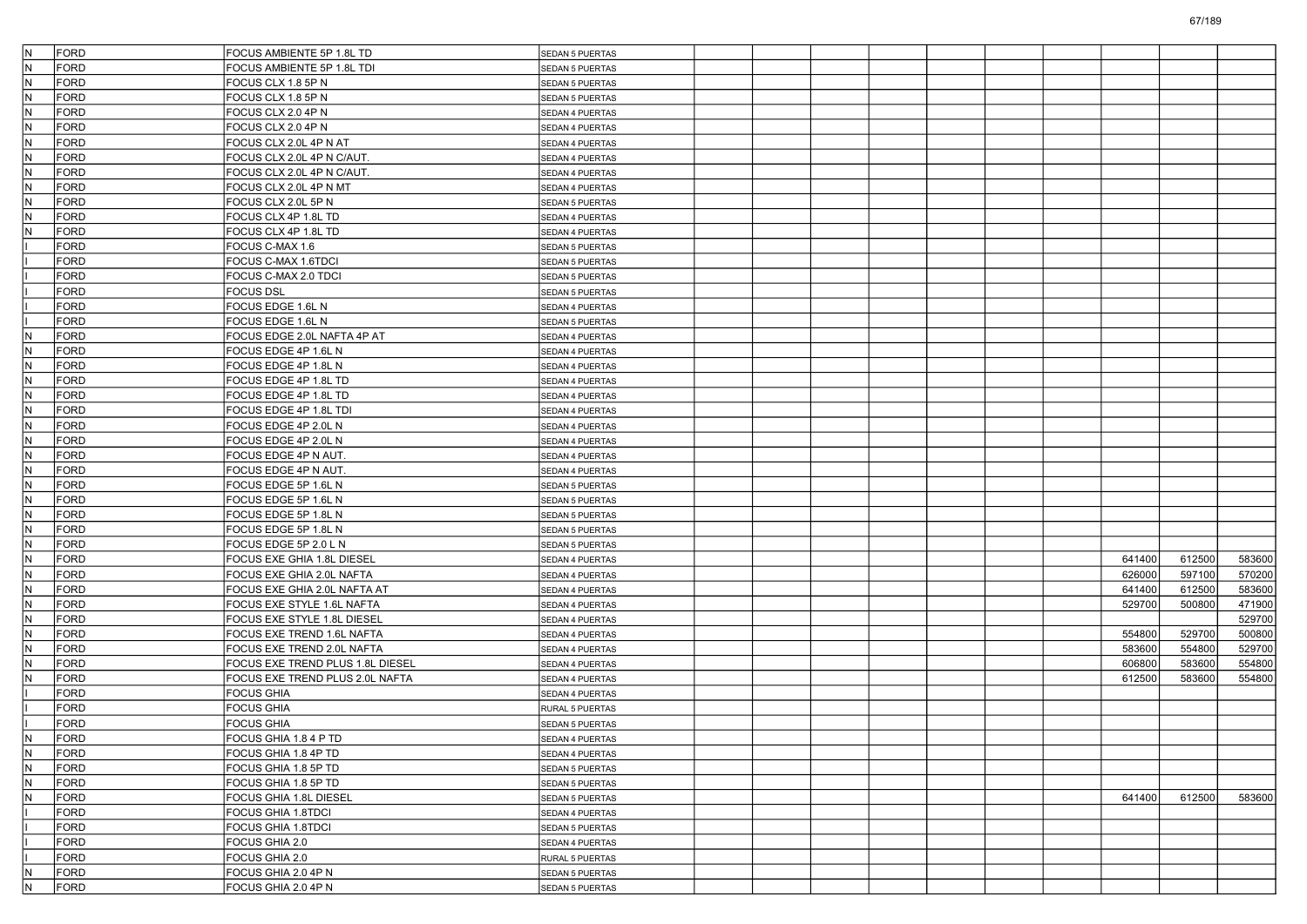| IN.                     | FORD        | FOCUS AMBIENTE 5P 1.8L TD        | <b>SEDAN 5 PUERTAS</b> |  |  |  |        |        |        |
|-------------------------|-------------|----------------------------------|------------------------|--|--|--|--------|--------|--------|
| IN.                     | FORD        | FOCUS AMBIENTE 5P 1.8L TDI       | SEDAN 5 PUERTAS        |  |  |  |        |        |        |
| IN.                     | FORD        | FOCUS CLX 1.8 5P N               | SEDAN 5 PUERTAS        |  |  |  |        |        |        |
| IN.                     | FORD        | FOCUS CLX 1.8 5P N               | <b>SEDAN 5 PUERTAS</b> |  |  |  |        |        |        |
| IN.                     | FORD        | FOCUS CLX 2.0 4P N               | SEDAN 4 PUERTAS        |  |  |  |        |        |        |
| IN.                     | FORD        | FOCUS CLX 2.0 4P N               | SEDAN 4 PUERTAS        |  |  |  |        |        |        |
| IN.                     | FORD        | FOCUS CLX 2.0L 4P N AT           | <b>SEDAN 4 PUERTAS</b> |  |  |  |        |        |        |
| IN.                     | <b>FORD</b> | FOCUS CLX 2.0L 4P N C/AUT.       | SEDAN 4 PUERTAS        |  |  |  |        |        |        |
| IN.                     | FORD        | FOCUS CLX 2.0L 4P N C/AUT.       | SEDAN 4 PUERTAS        |  |  |  |        |        |        |
| IN.                     | FORD        | FOCUS CLX 2.0L 4P N MT           | SEDAN 4 PUERTAS        |  |  |  |        |        |        |
| IN.                     | FORD        | FOCUS CLX 2.0L 5P N              | SEDAN 5 PUERTAS        |  |  |  |        |        |        |
| IN.                     | FORD        | FOCUS CLX 4P 1.8L TD             | <b>SEDAN 4 PUERTAS</b> |  |  |  |        |        |        |
| IN.                     | FORD        | FOCUS CLX 4P 1.8L TD             | SEDAN 4 PUERTAS        |  |  |  |        |        |        |
|                         | FORD        | FOCUS C-MAX 1.6                  | <b>SEDAN 5 PUERTAS</b> |  |  |  |        |        |        |
|                         | FORD        | FOCUS C-MAX 1.6TDCI              | <b>SEDAN 5 PUERTAS</b> |  |  |  |        |        |        |
|                         | FORD        | FOCUS C-MAX 2.0 TDCI             | SEDAN 5 PUERTAS        |  |  |  |        |        |        |
|                         | FORD        | <b>FOCUS DSL</b>                 | <b>SEDAN 5 PUERTAS</b> |  |  |  |        |        |        |
|                         | FORD        | FOCUS EDGE 1.6L N                | SEDAN 4 PUERTAS        |  |  |  |        |        |        |
|                         | FORD        | FOCUS EDGE 1.6L N                | <b>SEDAN 5 PUERTAS</b> |  |  |  |        |        |        |
| IN.                     | FORD        | FOCUS EDGE 2.0L NAFTA 4P AT      | <b>SEDAN 4 PUERTAS</b> |  |  |  |        |        |        |
| IN.                     | FORD        | FOCUS EDGE 4P 1.6L N             | SEDAN 4 PUERTAS        |  |  |  |        |        |        |
| IN.                     | FORD        | FOCUS EDGE 4P 1.8L N             | <b>SEDAN 4 PUERTAS</b> |  |  |  |        |        |        |
| IN.                     | FORD        | FOCUS EDGE 4P 1.8L TD            | SEDAN 4 PUERTAS        |  |  |  |        |        |        |
| IN.                     | FORD        | FOCUS EDGE 4P 1.8L TD            | <b>SEDAN 4 PUERTAS</b> |  |  |  |        |        |        |
| IN.                     | FORD        | FOCUS EDGE 4P 1.8L TDI           | SEDAN 4 PUERTAS        |  |  |  |        |        |        |
| IN.                     | FORD        | FOCUS EDGE 4P 2.0L N             | SEDAN 4 PUERTAS        |  |  |  |        |        |        |
| IN.                     | FORD        | FOCUS EDGE 4P 2.0L N             | <b>SEDAN 4 PUERTAS</b> |  |  |  |        |        |        |
| IN.                     | FORD        | FOCUS EDGE 4P N AUT.             | SEDAN 4 PUERTAS        |  |  |  |        |        |        |
| IN.                     | FORD        | FOCUS EDGE 4P N AUT.             | <b>SEDAN 4 PUERTAS</b> |  |  |  |        |        |        |
| IN.                     | FORD        | FOCUS EDGE 5P 1.6L N             | SEDAN 5 PUERTAS        |  |  |  |        |        |        |
| IN.                     | FORD        | FOCUS EDGE 5P 1.6L N             | SEDAN 5 PUERTAS        |  |  |  |        |        |        |
| IN.                     | FORD        | FOCUS EDGE 5P 1.8L N             | <b>SEDAN 5 PUERTAS</b> |  |  |  |        |        |        |
| IN.                     | FORD        | FOCUS EDGE 5P 1.8L N             | SEDAN 5 PUERTAS        |  |  |  |        |        |        |
| IN.                     | FORD        | FOCUS EDGE 5P 2.0 L N            | <b>SEDAN 5 PUERTAS</b> |  |  |  |        |        |        |
| IN.                     | FORD        | FOCUS EXE GHIA 1.8L DIESEL       | SEDAN 4 PUERTAS        |  |  |  | 641400 | 612500 | 583600 |
| IN.                     | FORD        | FOCUS EXE GHIA 2.0L NAFTA        | SEDAN 4 PUERTAS        |  |  |  | 626000 | 597100 | 570200 |
| IN.                     | FORD        | FOCUS EXE GHIA 2.0L NAFTA AT     | <b>SEDAN 4 PUERTAS</b> |  |  |  | 641400 | 612500 | 583600 |
| N.                      | FORD        | FOCUS EXE STYLE 1.6L NAFTA       | SEDAN 4 PUERTAS        |  |  |  | 529700 | 500800 | 471900 |
| IN.                     | FORD        | FOCUS EXE STYLE 1.8L DIESEL      | <b>SEDAN 4 PUERTAS</b> |  |  |  |        |        | 529700 |
| IN.                     | FORD        | FOCUS EXE TREND 1.6L NAFTA       | SEDAN 4 PUERTAS        |  |  |  | 554800 | 529700 | 500800 |
| N.                      | FORD        | FOCUS EXE TREND 2.0L NAFTA       | SEDAN 4 PUERTAS        |  |  |  | 583600 | 554800 | 529700 |
| IN.                     | FORD        | FOCUS EXE TREND PLUS 1.8L DIESEL | SEDAN 4 PUERTAS        |  |  |  | 606800 | 583600 | 554800 |
| N.                      | FORD        | FOCUS EXE TREND PLUS 2.0L NAFTA  | SEDAN 4 PUERTAS        |  |  |  | 612500 | 583600 | 554800 |
|                         | FORD        | <b>FOCUS GHIA</b>                | <b>SEDAN 4 PUERTAS</b> |  |  |  |        |        |        |
|                         | FORD        | <b>FOCUS GHIA</b>                | RURAL 5 PUERTAS        |  |  |  |        |        |        |
|                         | FORD        | <b>FOCUS GHIA</b>                | <b>SEDAN 5 PUERTAS</b> |  |  |  |        |        |        |
| N                       | FORD        | FOCUS GHIA 1.8 4 P TD            | SEDAN 4 PUERTAS        |  |  |  |        |        |        |
| IN.                     | FORD        | FOCUS GHIA 1.8 4P TD             | SEDAN 4 PUERTAS        |  |  |  |        |        |        |
| N.                      | FORD        | FOCUS GHIA 1.8 5P TD             | SEDAN 5 PUERTAS        |  |  |  |        |        |        |
| $\overline{\mathsf{N}}$ | FORD        | FOCUS GHIA 1.8 5P TD             | SEDAN 5 PUERTAS        |  |  |  |        |        |        |
| N                       | FORD        | FOCUS GHIA 1.8L DIESEL           | SEDAN 5 PUERTAS        |  |  |  | 641400 | 612500 | 583600 |
|                         | FORD        | FOCUS GHIA 1.8TDCI               | SEDAN 4 PUERTAS        |  |  |  |        |        |        |
|                         | FORD        | <b>FOCUS GHIA 1.8TDCI</b>        | SEDAN 5 PUERTAS        |  |  |  |        |        |        |
|                         | FORD        | FOCUS GHIA 2.0                   | SEDAN 4 PUERTAS        |  |  |  |        |        |        |
|                         | FORD        | FOCUS GHIA 2.0                   | RURAL 5 PUERTAS        |  |  |  |        |        |        |
| IN.                     | FORD        | FOCUS GHIA 2.0 4P N              | SEDAN 5 PUERTAS        |  |  |  |        |        |        |
| $\overline{\mathsf{N}}$ | FORD        | FOCUS GHIA 2.0 4P N              | SEDAN 5 PUERTAS        |  |  |  |        |        |        |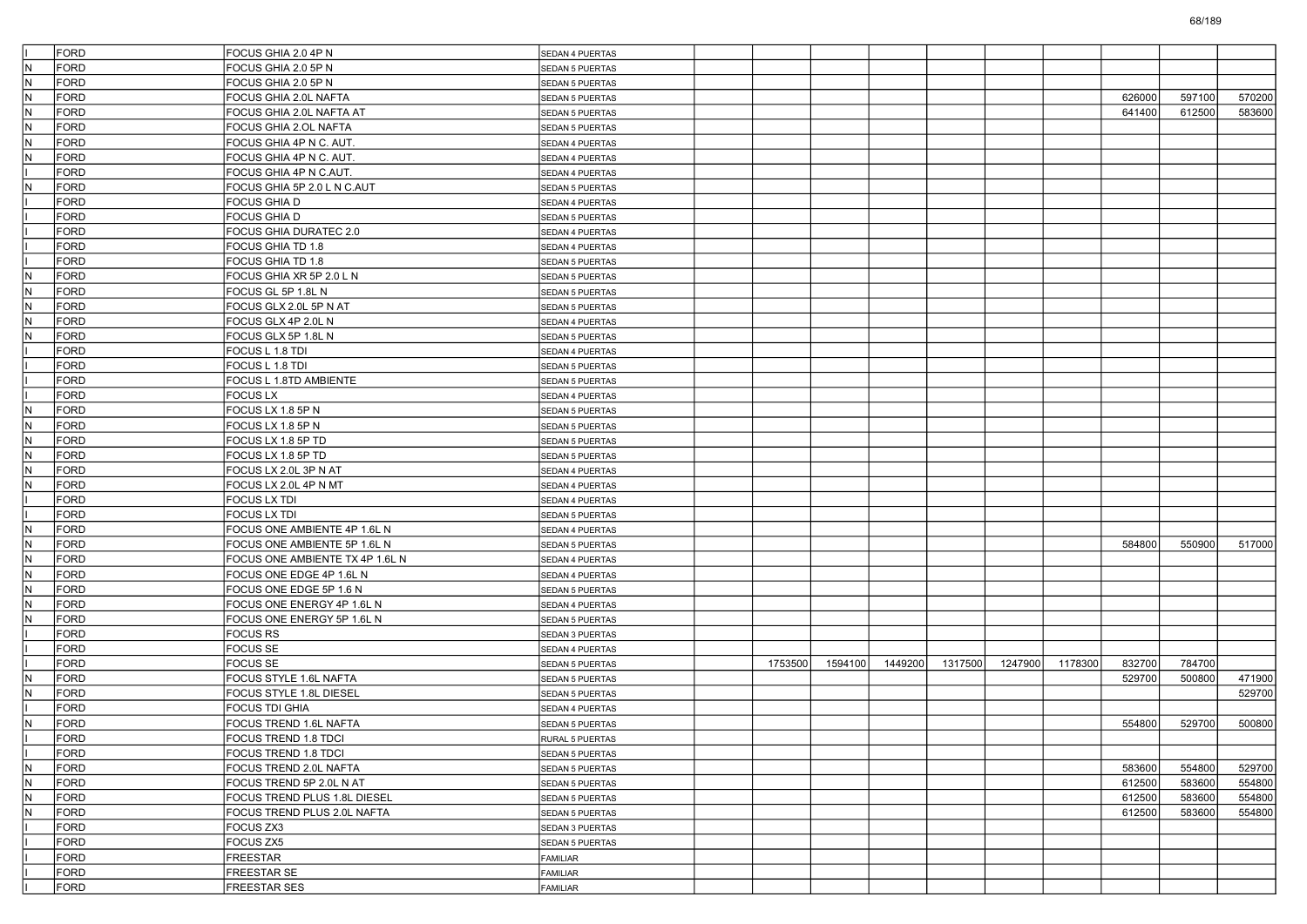|     | <b>FORD</b> | FOCUS GHIA 2.0 4P N             | SEDAN 4 PUERTAS        |         |         |         |         |         |         |        |        |        |
|-----|-------------|---------------------------------|------------------------|---------|---------|---------|---------|---------|---------|--------|--------|--------|
| IN. | <b>FORD</b> | FOCUS GHIA 2.0 5P N             | <b>SEDAN 5 PUERTAS</b> |         |         |         |         |         |         |        |        |        |
| N.  | <b>FORD</b> | FOCUS GHIA 2.0 5P N             | SEDAN 5 PUERTAS        |         |         |         |         |         |         |        |        |        |
| IN. | <b>FORD</b> | FOCUS GHIA 2.0L NAFTA           | <b>SEDAN 5 PUERTAS</b> |         |         |         |         |         |         | 626000 | 597100 | 570200 |
| N   | <b>FORD</b> | FOCUS GHIA 2.0L NAFTA AT        | <b>SEDAN 5 PUERTAS</b> |         |         |         |         |         |         | 641400 | 612500 | 583600 |
| IN. | <b>FORD</b> | <b>FOCUS GHIA 2.OL NAFTA</b>    | <b>SEDAN 5 PUERTAS</b> |         |         |         |         |         |         |        |        |        |
| IN. | <b>FORD</b> | FOCUS GHIA 4P N C. AUT          | SEDAN 4 PUERTAS        |         |         |         |         |         |         |        |        |        |
| N.  | <b>FORD</b> | FOCUS GHIA 4P N C. AUT.         | <b>SEDAN 4 PUERTAS</b> |         |         |         |         |         |         |        |        |        |
|     | <b>FORD</b> | FOCUS GHIA 4P N C.AUT.          | SEDAN 4 PUERTAS        |         |         |         |         |         |         |        |        |        |
| N   | <b>FORD</b> | FOCUS GHIA 5P 2.0 L N C.AUT     | <b>SEDAN 5 PUERTAS</b> |         |         |         |         |         |         |        |        |        |
|     | <b>FORD</b> | <b>FOCUS GHIA D</b>             | SEDAN 4 PUERTAS        |         |         |         |         |         |         |        |        |        |
|     | <b>FORD</b> | <b>FOCUS GHIA D</b>             | <b>SEDAN 5 PUERTAS</b> |         |         |         |         |         |         |        |        |        |
|     | <b>FORD</b> | <b>FOCUS GHIA DURATEC 2.0</b>   | <b>SEDAN 4 PUERTAS</b> |         |         |         |         |         |         |        |        |        |
|     | <b>FORD</b> | FOCUS GHIA TD 1.8               | SEDAN 4 PUERTAS        |         |         |         |         |         |         |        |        |        |
|     | <b>FORD</b> | FOCUS GHIA TD 1.8               | <b>SEDAN 5 PUERTAS</b> |         |         |         |         |         |         |        |        |        |
| IN. | <b>FORD</b> | FOCUS GHIA XR 5P 2.0 L N        | <b>SEDAN 5 PUERTAS</b> |         |         |         |         |         |         |        |        |        |
| IN. | <b>FORD</b> | FOCUS GL 5P 1.8L N              | <b>SEDAN 5 PUERTAS</b> |         |         |         |         |         |         |        |        |        |
| N.  | <b>FORD</b> | FOCUS GLX 2.0L 5P N AT          | <b>SEDAN 5 PUERTAS</b> |         |         |         |         |         |         |        |        |        |
| IN. | <b>FORD</b> | FOCUS GLX 4P 2.0L N             | SEDAN 4 PUERTAS        |         |         |         |         |         |         |        |        |        |
| N   | <b>FORD</b> | FOCUS GLX 5P 1.8L N             | <b>SEDAN 5 PUERTAS</b> |         |         |         |         |         |         |        |        |        |
|     | <b>FORD</b> | FOCUS L 1.8 TDI                 | SEDAN 4 PUERTAS        |         |         |         |         |         |         |        |        |        |
|     | <b>FORD</b> |                                 |                        |         |         |         |         |         |         |        |        |        |
|     |             | FOCUS L 1.8 TDI                 | <b>SEDAN 5 PUERTAS</b> |         |         |         |         |         |         |        |        |        |
|     | <b>FORD</b> | <b>FOCUS L 1.8TD AMBIENTE</b>   | SEDAN 5 PUERTAS        |         |         |         |         |         |         |        |        |        |
|     | <b>FORD</b> | <b>FOCUS LX</b>                 | <b>SEDAN 4 PUERTAS</b> |         |         |         |         |         |         |        |        |        |
| N   | <b>FORD</b> | FOCUS LX 1.8 5P N               | <b>SEDAN 5 PUERTAS</b> |         |         |         |         |         |         |        |        |        |
| N.  | <b>FORD</b> | FOCUS LX 1.8 5P N               | <b>SEDAN 5 PUERTAS</b> |         |         |         |         |         |         |        |        |        |
| IN. | <b>FORD</b> | FOCUS LX 1.8 5P TD              | <b>SEDAN 5 PUERTAS</b> |         |         |         |         |         |         |        |        |        |
| IN. | <b>FORD</b> | FOCUS LX 1.8 5P TD              | SEDAN 5 PUERTAS        |         |         |         |         |         |         |        |        |        |
| IN. | <b>FORD</b> | FOCUS LX 2.0L 3P N AT           | <b>SEDAN 4 PUERTAS</b> |         |         |         |         |         |         |        |        |        |
| N   | FORD        | FOCUS LX 2.0L 4P N MT           | SEDAN 4 PUERTAS        |         |         |         |         |         |         |        |        |        |
|     | <b>FORD</b> | <b>FOCUS LX TDI</b>             | <b>SEDAN 4 PUERTAS</b> |         |         |         |         |         |         |        |        |        |
|     | <b>FORD</b> | <b>FOCUS LX TDI</b>             | <b>SEDAN 5 PUERTAS</b> |         |         |         |         |         |         |        |        |        |
| IN. | <b>FORD</b> | FOCUS ONE AMBIENTE 4P 1.6L N    | SEDAN 4 PUERTAS        |         |         |         |         |         |         |        |        |        |
| IN. | <b>FORD</b> | FOCUS ONE AMBIENTE 5P 1.6L N    | <b>SEDAN 5 PUERTAS</b> |         |         |         |         |         |         | 584800 | 550900 | 517000 |
| lΝ  | FORD        | FOCUS ONE AMBIENTE TX 4P 1.6L N | SEDAN 4 PUERTAS        |         |         |         |         |         |         |        |        |        |
| N   | <b>FORD</b> | FOCUS ONE EDGE 4P 1.6L N        | SEDAN 4 PUERTAS        |         |         |         |         |         |         |        |        |        |
| IN. | <b>FORD</b> | FOCUS ONE EDGE 5P 1.6 N         | <b>SEDAN 5 PUERTAS</b> |         |         |         |         |         |         |        |        |        |
| IN. | <b>FORD</b> | FOCUS ONE ENERGY 4P 1.6L N      | SEDAN 4 PUERTAS        |         |         |         |         |         |         |        |        |        |
| IN. | <b>FORD</b> | FOCUS ONE ENERGY 5P 1.6L N      | <b>SEDAN 5 PUERTAS</b> |         |         |         |         |         |         |        |        |        |
|     | <b>FORD</b> | <b>FOCUS RS</b>                 | SEDAN 3 PUERTAS        |         |         |         |         |         |         |        |        |        |
|     | <b>FORD</b> | <b>FOCUS SE</b>                 | <b>SEDAN 4 PUERTAS</b> |         |         |         |         |         |         |        |        |        |
|     | <b>FORD</b> | <b>FOCUS SE</b>                 | <b>SEDAN 5 PUERTAS</b> | 1753500 | 1594100 | 1449200 | 1317500 | 1247900 | 1178300 | 832700 | 784700 |        |
| IN. | <b>FORD</b> | FOCUS STYLE 1.6L NAFTA          | SEDAN 5 PUERTAS        |         |         |         |         |         |         | 529700 | 500800 | 471900 |
| IN. | <b>FORD</b> | FOCUS STYLE 1.8L DIESEL         | <b>SEDAN 5 PUERTAS</b> |         |         |         |         |         |         |        |        | 529700 |
|     | <b>FORD</b> | FOCUS TDI GHIA                  | SEDAN 4 PUERTAS        |         |         |         |         |         |         |        |        |        |
| N.  | <b>FORD</b> | FOCUS TREND 1.6L NAFTA          | <b>SEDAN 5 PUERTAS</b> |         |         |         |         |         |         | 554800 | 529700 | 500800 |
|     | FORD        | FOCUS TREND 1.8 TDCI            | <b>RURAL 5 PUERTAS</b> |         |         |         |         |         |         |        |        |        |
|     | <b>FORD</b> | FOCUS TREND 1.8 TDCI            | SEDAN 5 PUERTAS        |         |         |         |         |         |         |        |        |        |
| N.  | FORD        | FOCUS TREND 2.0L NAFTA          | SEDAN 5 PUERTAS        |         |         |         |         |         |         | 583600 | 554800 | 529700 |
| IN. | FORD        | FOCUS TREND 5P 2.0L N AT        |                        |         |         |         |         |         |         | 612500 | 583600 | 554800 |
| N   | FORD        | FOCUS TREND PLUS 1.8L DIESEL    | SEDAN 5 PUERTAS        |         |         |         |         |         |         | 612500 | 583600 | 554800 |
| IN. |             |                                 | SEDAN 5 PUERTAS        |         |         |         |         |         |         |        |        |        |
|     | FORD        | FOCUS TREND PLUS 2.0L NAFTA     | SEDAN 5 PUERTAS        |         |         |         |         |         |         | 612500 | 583600 | 554800 |
|     | <b>FORD</b> | <b>FOCUS ZX3</b>                | SEDAN 3 PUERTAS        |         |         |         |         |         |         |        |        |        |
|     | FORD        | <b>FOCUS ZX5</b>                | SEDAN 5 PUERTAS        |         |         |         |         |         |         |        |        |        |
|     | FORD        | <b>FREESTAR</b>                 | FAMILIAR               |         |         |         |         |         |         |        |        |        |
|     | FORD        | <b>FREESTAR SE</b>              | FAMILIAR               |         |         |         |         |         |         |        |        |        |
|     | FORD        | <b>FREESTAR SES</b>             | FAMILIAR               |         |         |         |         |         |         |        |        |        |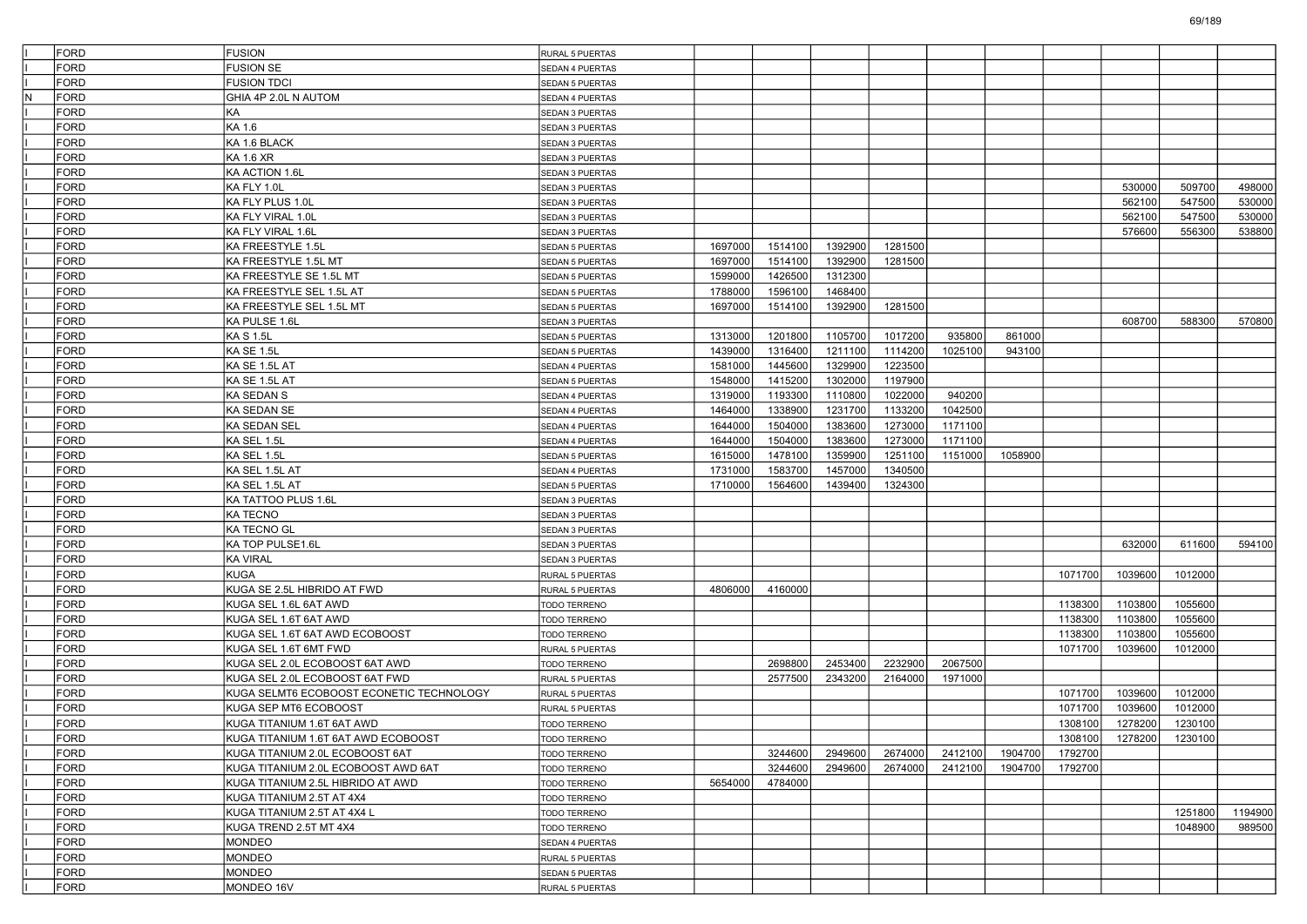| FORD                   | <b>FUSION</b>                            | RURAL 5 PUERTAS        |         |         |         |         |         |         |         |         |         |         |
|------------------------|------------------------------------------|------------------------|---------|---------|---------|---------|---------|---------|---------|---------|---------|---------|
| FORD                   | <b>FUSION SE</b>                         | SEDAN 4 PUERTAS        |         |         |         |         |         |         |         |         |         |         |
| <b>FORD</b>            | <b>FUSION TDCI</b>                       | SEDAN 5 PUERTAS        |         |         |         |         |         |         |         |         |         |         |
| $\sf N$<br><b>FORD</b> | GHIA 4P 2.0L N AUTOM                     | SEDAN 4 PUERTAS        |         |         |         |         |         |         |         |         |         |         |
| <b>FORD</b>            | KA                                       | SEDAN 3 PUERTAS        |         |         |         |         |         |         |         |         |         |         |
| FORD                   | KA 1.6                                   | SEDAN 3 PUERTAS        |         |         |         |         |         |         |         |         |         |         |
| <b>FORD</b>            | KA 1.6 BLACK                             | SEDAN 3 PUERTAS        |         |         |         |         |         |         |         |         |         |         |
| <b>FORD</b>            | KA 1.6 XR                                | SEDAN 3 PUERTAS        |         |         |         |         |         |         |         |         |         |         |
| <b>FORD</b>            | KA ACTION 1.6L                           | SEDAN 3 PUERTAS        |         |         |         |         |         |         |         |         |         |         |
| <b>FORD</b>            | KA FLY 1.0L                              | SEDAN 3 PUERTAS        |         |         |         |         |         |         |         | 530000  | 509700  | 498000  |
| FORD                   | KA FLY PLUS 1.0L                         | SEDAN 3 PUERTAS        |         |         |         |         |         |         |         | 562100  | 547500  | 530000  |
| <b>FORD</b>            | KA FLY VIRAL 1.0L                        | SEDAN 3 PUERTAS        |         |         |         |         |         |         |         | 562100  | 547500  | 530000  |
| <b>FORD</b>            | KA FLY VIRAL 1.6L                        | SEDAN 3 PUERTAS        |         |         |         |         |         |         |         | 576600  | 556300  | 538800  |
| <b>FORD</b>            | KA FREESTYLE 1.5L                        | <b>SEDAN 5 PUERTAS</b> | 1697000 | 1514100 | 1392900 | 1281500 |         |         |         |         |         |         |
| <b>FORD</b>            | KA FREESTYLE 1.5L MT                     | SEDAN 5 PUERTAS        | 1697000 | 1514100 | 1392900 | 1281500 |         |         |         |         |         |         |
| FORD                   | KA FREESTYLE SE 1.5L MT                  | SEDAN 5 PUERTAS        | 1599000 | 1426500 | 1312300 |         |         |         |         |         |         |         |
| <b>FORD</b>            | KA FREESTYLE SEL 1.5L AT                 | SEDAN 5 PUERTAS        | 1788000 | 1596100 | 1468400 |         |         |         |         |         |         |         |
| <b>FORD</b>            | KA FREESTYLE SEL 1.5L MT                 | SEDAN 5 PUERTAS        | 1697000 | 1514100 | 1392900 | 1281500 |         |         |         |         |         |         |
| <b>FORD</b>            | KA PULSE 1.6L                            | SEDAN 3 PUERTAS        |         |         |         |         |         |         |         | 608700  | 588300  | 570800  |
| <b>FORD</b>            | <b>KAS1.5L</b>                           |                        | 1313000 | 1201800 | 1105700 | 1017200 | 935800  | 861000  |         |         |         |         |
|                        |                                          | SEDAN 5 PUERTAS        |         |         |         |         |         |         |         |         |         |         |
| FORD                   | KA SE 1.5L                               | SEDAN 5 PUERTAS        | 1439000 | 1316400 | 1211100 | 1114200 | 1025100 | 943100  |         |         |         |         |
| <b>FORD</b>            | KA SE 1.5L AT                            | SEDAN 4 PUERTAS        | 1581000 | 1445600 | 1329900 | 1223500 |         |         |         |         |         |         |
| <b>FORD</b>            | KA SE 1.5L AT                            | SEDAN 5 PUERTAS        | 1548000 | 1415200 | 1302000 | 1197900 |         |         |         |         |         |         |
| <b>FORD</b>            | <b>KA SEDAN S</b>                        | SEDAN 4 PUERTAS        | 1319000 | 1193300 | 1110800 | 1022000 | 940200  |         |         |         |         |         |
| <b>FORD</b>            | KA SEDAN SE                              | SEDAN 4 PUERTAS        | 1464000 | 1338900 | 1231700 | 1133200 | 1042500 |         |         |         |         |         |
| FORD                   | <b>KA SEDAN SEL</b>                      | SEDAN 4 PUERTAS        | 1644000 | 1504000 | 1383600 | 1273000 | 1171100 |         |         |         |         |         |
| <b>FORD</b>            | KA SEL 1.5L                              | SEDAN 4 PUERTAS        | 1644000 | 1504000 | 1383600 | 1273000 | 1171100 |         |         |         |         |         |
| <b>FORD</b>            | KA SEL 1.5L                              | SEDAN 5 PUERTAS        | 1615000 | 1478100 | 1359900 | 1251100 | 1151000 | 1058900 |         |         |         |         |
| <b>FORD</b>            | KA SEL 1.5L AT                           | SEDAN 4 PUERTAS        | 1731000 | 1583700 | 1457000 | 1340500 |         |         |         |         |         |         |
| <b>FORD</b>            | KA SEL 1.5L AT                           | <b>SEDAN 5 PUERTAS</b> | 1710000 | 1564600 | 1439400 | 1324300 |         |         |         |         |         |         |
| FORD                   | KA TATTOO PLUS 1.6L                      | SEDAN 3 PUERTAS        |         |         |         |         |         |         |         |         |         |         |
| <b>FORD</b>            | KA TECNO                                 | SEDAN 3 PUERTAS        |         |         |         |         |         |         |         |         |         |         |
| <b>FORD</b>            | <b>KA TECNO GL</b>                       | SEDAN 3 PUERTAS        |         |         |         |         |         |         |         |         |         |         |
| <b>FORD</b>            | KA TOP PULSE1.6L                         | SEDAN 3 PUERTAS        |         |         |         |         |         |         |         | 632000  | 611600  | 594100  |
| <b>FORD</b>            | <b>KA VIRAL</b>                          | SEDAN 3 PUERTAS        |         |         |         |         |         |         |         |         |         |         |
| <b>FORD</b>            | <b>KUGA</b>                              | RURAL 5 PUERTAS        |         |         |         |         |         |         | 1071700 | 1039600 | 1012000 |         |
| <b>FORD</b>            | KUGA SE 2.5L HIBRIDO AT FWD              | RURAL 5 PUERTAS        | 4806000 | 4160000 |         |         |         |         |         |         |         |         |
| <b>FORD</b>            | KUGA SEL 1.6L 6AT AWD                    | TODO TERRENO           |         |         |         |         |         |         | 1138300 | 1103800 | 1055600 |         |
| <b>FORD</b>            | KUGA SEL 1.6T 6AT AWD                    | TODO TERRENO           |         |         |         |         |         |         | 1138300 | 1103800 | 1055600 |         |
| <b>FORD</b>            | KUGA SEL 1.6T 6AT AWD ECOBOOST           | TODO TERRENO           |         |         |         |         |         |         | 1138300 | 1103800 | 1055600 |         |
| <b>FORD</b>            | KUGA SEL 1.6T 6MT FWD                    | RURAL 5 PUERTAS        |         |         |         |         |         |         | 1071700 | 1039600 | 1012000 |         |
| <b>FORD</b>            | KUGA SEL 2.0L ECOBOOST 6AT AWD           | TODO TERRENO           |         | 2698800 | 2453400 | 2232900 | 2067500 |         |         |         |         |         |
| <b>FORD</b>            | KUGA SEL 2.0L ECOBOOST 6AT FWD           | RURAL 5 PUERTAS        |         | 2577500 | 2343200 | 2164000 | 1971000 |         |         |         |         |         |
| <b>FORD</b>            | KUGA SELMT6 ECOBOOST ECONETIC TECHNOLOGY | RURAL 5 PUERTAS        |         |         |         |         |         |         | 1071700 | 1039600 | 1012000 |         |
| FORD                   | KUGA SEP MT6 ECOBOOST                    | RURAL 5 PUERTAS        |         |         |         |         |         |         | 1071700 | 1039600 | 1012000 |         |
| FORD                   | KUGA TITANIUM 1.6T 6AT AWD               | TODO TERRENO           |         |         |         |         |         |         | 1308100 | 1278200 | 1230100 |         |
| FORD                   | KUGA TITANIUM 1.6T 6AT AWD ECOBOOST      | TODO TERRENO           |         |         |         |         |         |         | 1308100 | 1278200 | 1230100 |         |
| <b>FORD</b>            | KUGA TITANIUM 2.0L ECOBOOST 6AT          | TODO TERRENO           |         | 3244600 | 2949600 | 2674000 | 2412100 | 1904700 | 1792700 |         |         |         |
| FORD                   | KUGA TITANIUM 2.0L ECOBOOST AWD 6AT      | TODO TERRENO           |         | 3244600 | 2949600 | 2674000 | 2412100 | 1904700 | 1792700 |         |         |         |
| FORD                   | KUGA TITANIUM 2.5L HIBRIDO AT AWD        | TODO TERRENO           | 5654000 | 4784000 |         |         |         |         |         |         |         |         |
| FORD                   | KUGA TITANIUM 2.5T AT 4X4                | TODO TERRENO           |         |         |         |         |         |         |         |         |         |         |
| FORD                   | KUGA TITANIUM 2.5T AT 4X4 L              | TODO TERRENO           |         |         |         |         |         |         |         |         | 1251800 | 1194900 |
| FORD                   | KUGA TREND 2.5T MT 4X4                   | TODO TERRENO           |         |         |         |         |         |         |         |         | 1048900 | 989500  |
| FORD                   | <b>MONDEO</b>                            | SEDAN 4 PUERTAS        |         |         |         |         |         |         |         |         |         |         |
| <b>FORD</b>            | MONDEO                                   |                        |         |         |         |         |         |         |         |         |         |         |
| FORD                   | <b>MONDEO</b>                            | RURAL 5 PUERTAS        |         |         |         |         |         |         |         |         |         |         |
|                        |                                          | SEDAN 5 PUERTAS        |         |         |         |         |         |         |         |         |         |         |
| FORD                   | MONDEO 16V                               | RURAL 5 PUERTAS        |         |         |         |         |         |         |         |         |         |         |

69/189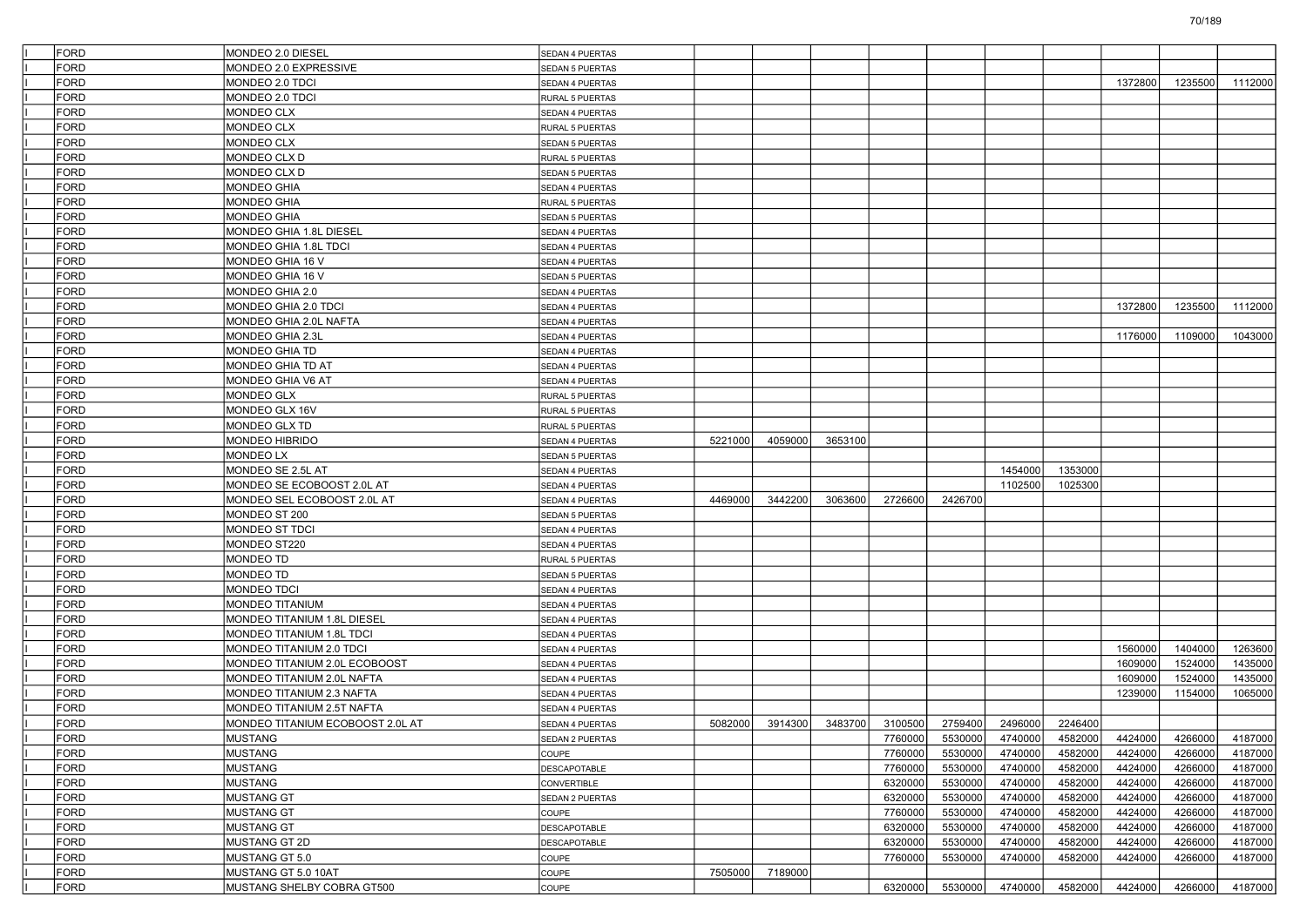| <b>FORD</b> | MONDEO 2.0 DIESEL                | SEDAN 4 PUERTAS        |         |         |         |         |         |         |         |         |         |         |
|-------------|----------------------------------|------------------------|---------|---------|---------|---------|---------|---------|---------|---------|---------|---------|
| FORD        | MONDEO 2.0 EXPRESSIVE            | SEDAN 5 PUERTAS        |         |         |         |         |         |         |         |         |         |         |
| <b>FORD</b> | MONDEO 2.0 TDCI                  | SEDAN 4 PUERTAS        |         |         |         |         |         |         |         | 1372800 | 1235500 | 1112000 |
| <b>FORD</b> | MONDEO 2.0 TDCI                  | RURAL 5 PUERTAS        |         |         |         |         |         |         |         |         |         |         |
| <b>FORD</b> | <b>MONDEO CLX</b>                | SEDAN 4 PUERTAS        |         |         |         |         |         |         |         |         |         |         |
| <b>FORD</b> | MONDEO CLX                       | RURAL 5 PUERTAS        |         |         |         |         |         |         |         |         |         |         |
| <b>FORD</b> | MONDEO CLX                       | SEDAN 5 PUERTAS        |         |         |         |         |         |         |         |         |         |         |
| <b>FORD</b> | MONDEO CLX D                     | RURAL 5 PUERTAS        |         |         |         |         |         |         |         |         |         |         |
| <b>FORD</b> | MONDEO CLX D                     | SEDAN 5 PUERTAS        |         |         |         |         |         |         |         |         |         |         |
| FORD        | <b>MONDEO GHIA</b>               | SEDAN 4 PUERTAS        |         |         |         |         |         |         |         |         |         |         |
| <b>FORD</b> | <b>MONDEO GHIA</b>               | RURAL 5 PUERTAS        |         |         |         |         |         |         |         |         |         |         |
| <b>FORD</b> | <b>MONDEO GHIA</b>               | SEDAN 5 PUERTAS        |         |         |         |         |         |         |         |         |         |         |
| FORD        | MONDEO GHIA 1.8L DIESEL          | SEDAN 4 PUERTAS        |         |         |         |         |         |         |         |         |         |         |
| <b>FORD</b> | MONDEO GHIA 1.8L TDCI            | SEDAN 4 PUERTAS        |         |         |         |         |         |         |         |         |         |         |
| FORD        | MONDEO GHIA 16 V                 | SEDAN 4 PUERTAS        |         |         |         |         |         |         |         |         |         |         |
| <b>FORD</b> | MONDEO GHIA 16 V                 | <b>SEDAN 5 PUERTAS</b> |         |         |         |         |         |         |         |         |         |         |
| <b>FORD</b> | MONDEO GHIA 2.0                  | SEDAN 4 PUERTAS        |         |         |         |         |         |         |         |         |         |         |
| FORD        | MONDEO GHIA 2.0 TDCI             | SEDAN 4 PUERTAS        |         |         |         |         |         |         |         | 1372800 | 1235500 | 1112000 |
| <b>FORD</b> | MONDEO GHIA 2.0L NAFTA           | SEDAN 4 PUERTAS        |         |         |         |         |         |         |         |         |         |         |
| FORD        | MONDEO GHIA 2.3L                 | SEDAN 4 PUERTAS        |         |         |         |         |         |         |         | 1176000 | 1109000 | 1043000 |
| <b>FORD</b> | <b>MONDEO GHIA TD</b>            | SEDAN 4 PUERTAS        |         |         |         |         |         |         |         |         |         |         |
| <b>FORD</b> | MONDEO GHIA TD AT                | SEDAN 4 PUERTAS        |         |         |         |         |         |         |         |         |         |         |
| FORD        | MONDEO GHIA V6 AT                | SEDAN 4 PUERTAS        |         |         |         |         |         |         |         |         |         |         |
| <b>FORD</b> | MONDEO GLX                       | RURAL 5 PUERTAS        |         |         |         |         |         |         |         |         |         |         |
| FORD        | MONDEO GLX 16V                   | RURAL 5 PUERTAS        |         |         |         |         |         |         |         |         |         |         |
| <b>FORD</b> | MONDEO GLX TD                    | RURAL 5 PUERTAS        |         |         |         |         |         |         |         |         |         |         |
| <b>FORD</b> | MONDEO HIBRIDO                   | SEDAN 4 PUERTAS        | 5221000 | 4059000 | 3653100 |         |         |         |         |         |         |         |
| FORD        | MONDEO LX                        | SEDAN 5 PUERTAS        |         |         |         |         |         |         |         |         |         |         |
| <b>FORD</b> | MONDEO SE 2.5L AT                | SEDAN 4 PUERTAS        |         |         |         |         |         | 1454000 | 1353000 |         |         |         |
| FORD        | MONDEO SE ECOBOOST 2.0L AT       | SEDAN 4 PUERTAS        |         |         |         |         |         | 1102500 | 1025300 |         |         |         |
| <b>FORD</b> | MONDEO SEL ECOBOOST 2.0L AT      | SEDAN 4 PUERTAS        | 4469000 | 3442200 | 3063600 | 2726600 | 2426700 |         |         |         |         |         |
| <b>FORD</b> | MONDEO ST 200                    | SEDAN 5 PUERTAS        |         |         |         |         |         |         |         |         |         |         |
| FORD        | MONDEO ST TDCI                   | SEDAN 4 PUERTAS        |         |         |         |         |         |         |         |         |         |         |
| <b>FORD</b> | MONDEO ST220                     | SEDAN 4 PUERTAS        |         |         |         |         |         |         |         |         |         |         |
| FORD        | MONDEO TD                        | RURAL 5 PUERTAS        |         |         |         |         |         |         |         |         |         |         |
| <b>FORD</b> | MONDEO TD                        | <b>SEDAN 5 PUERTAS</b> |         |         |         |         |         |         |         |         |         |         |
| <b>FORD</b> | MONDEO TDCI                      | SEDAN 4 PUERTAS        |         |         |         |         |         |         |         |         |         |         |
| FORD        | MONDEO TITANIUM                  | SEDAN 4 PUERTAS        |         |         |         |         |         |         |         |         |         |         |
| <b>FORD</b> | MONDEO TITANIUM 1.8L DIESEL      | SEDAN 4 PUERTAS        |         |         |         |         |         |         |         |         |         |         |
| FORD        | MONDEO TITANIUM 1.8L TDCI        | SEDAN 4 PUERTAS        |         |         |         |         |         |         |         |         |         |         |
| <b>FORD</b> | MONDEO TITANIUM 2.0 TDCI         | SEDAN 4 PUERTAS        |         |         |         |         |         |         |         | 1560000 | 1404000 | 1263600 |
| <b>FORD</b> | MONDEO TITANIUM 2.0L ECOBOOST    | SEDAN 4 PUERTAS        |         |         |         |         |         |         |         | 1609000 | 1524000 | 1435000 |
| FORD        | MONDEO TITANIUM 2.0L NAFTA       | SEDAN 4 PUERTAS        |         |         |         |         |         |         |         | 1609000 | 1524000 | 1435000 |
| <b>FORD</b> | MONDEO TITANIUM 2.3 NAFTA        | SEDAN 4 PUERTAS        |         |         |         |         |         |         |         | 1239000 | 1154000 | 1065000 |
| <b>FORD</b> | MONDEO TITANIUM 2.5T NAFTA       | SEDAN 4 PUERTAS        |         |         |         |         |         |         |         |         |         |         |
| <b>FORD</b> | MONDEO TITANIUM ECOBOOST 2.0L AT | SEDAN 4 PUERTAS        | 5082000 | 3914300 | 3483700 | 3100500 | 2759400 | 2496000 | 2246400 |         |         |         |
| FORD        | MUSTANG                          | SEDAN 2 PUERTAS        |         |         |         | 7760000 | 5530000 | 4740000 | 4582000 | 4424000 | 4266000 | 4187000 |
| FORD        | MUSTANG                          | COUPE                  |         |         |         | 7760000 | 5530000 | 4740000 | 4582000 | 4424000 | 4266000 | 4187000 |
| FORD        | MUSTANG                          | <b>DESCAPOTABLE</b>    |         |         |         | 7760000 | 5530000 | 4740000 | 4582000 | 4424000 | 4266000 | 4187000 |
| FORD        | MUSTANG                          | <b>CONVERTIBLE</b>     |         |         |         | 6320000 | 5530000 | 4740000 | 4582000 | 4424000 | 4266000 | 4187000 |
| FORD        | <b>MUSTANG GT</b>                | SEDAN 2 PUERTAS        |         |         |         | 6320000 | 5530000 | 4740000 | 4582000 | 4424000 | 4266000 | 4187000 |
| FORD        | <b>MUSTANG GT</b>                | COUPE                  |         |         |         | 7760000 | 5530000 | 4740000 | 4582000 | 4424000 | 4266000 | 4187000 |
| <b>FORD</b> | <b>MUSTANG GT</b>                | <b>DESCAPOTABLE</b>    |         |         |         | 6320000 | 5530000 | 4740000 | 4582000 | 4424000 | 4266000 | 4187000 |
| FORD        | <b>MUSTANG GT 2D</b>             | <b>DESCAPOTABLE</b>    |         |         |         | 6320000 | 5530000 | 4740000 | 4582000 | 4424000 | 4266000 | 4187000 |
| FORD        | MUSTANG GT 5.0                   | COUPE                  |         |         |         | 7760000 | 5530000 | 4740000 | 4582000 | 4424000 | 4266000 | 4187000 |
| FORD        | MUSTANG GT 5.0 10AT              | COUPE                  | 7505000 | 7189000 |         |         |         |         |         |         |         |         |
| FORD        | MUSTANG SHELBY COBRA GT500       | COUPE                  |         |         |         | 6320000 | 5530000 | 4740000 | 4582000 | 4424000 | 4266000 | 4187000 |
|             |                                  |                        |         |         |         |         |         |         |         |         |         |         |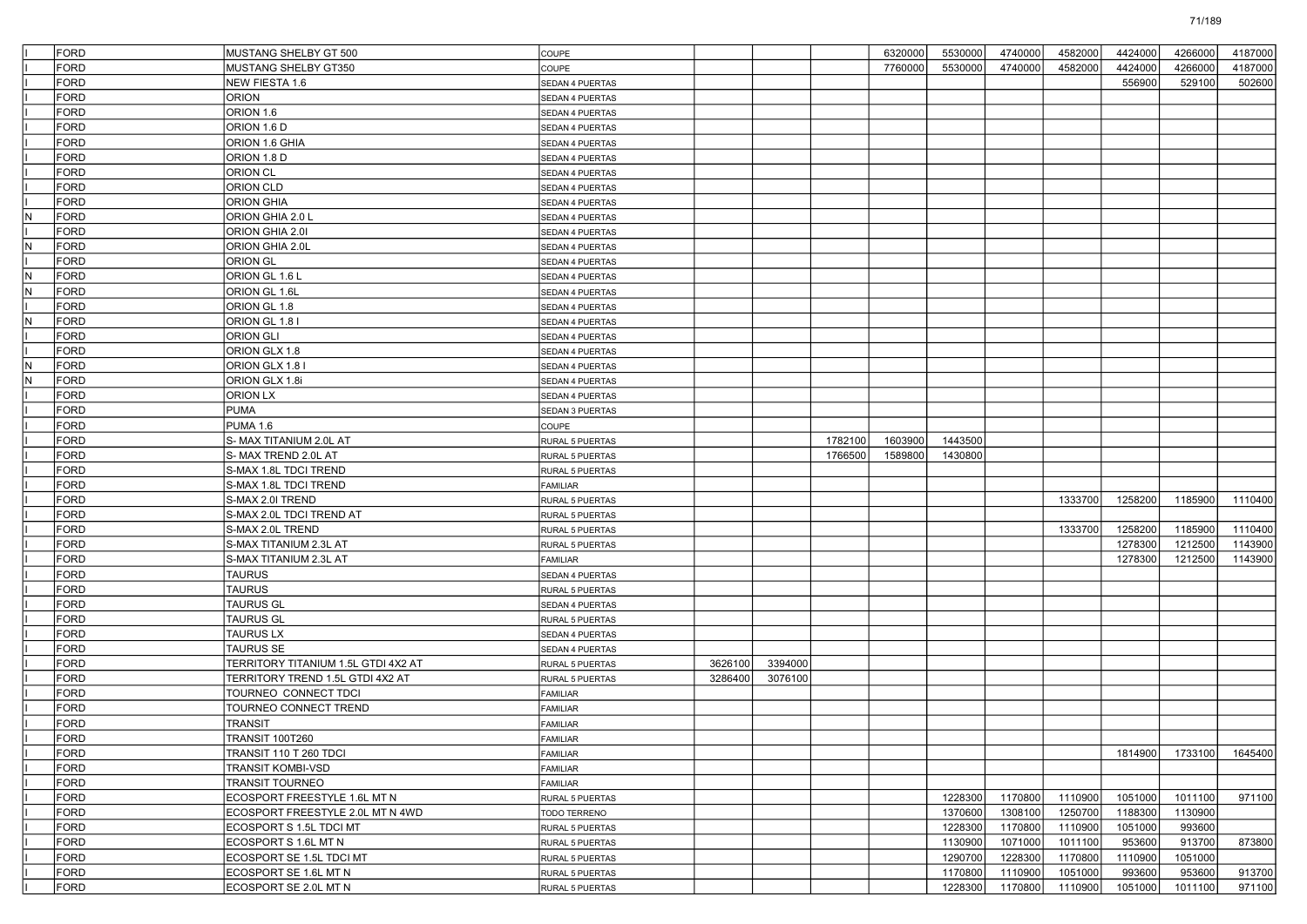|     | <b>FORD</b> | MUSTANG SHELBY GT 500               | COUPE                              |                    |         |         | 6320000 | 5530000 | 4740000 | 4582000 | 4424000 | 4266000 | 4187000 |
|-----|-------------|-------------------------------------|------------------------------------|--------------------|---------|---------|---------|---------|---------|---------|---------|---------|---------|
|     | <b>FORD</b> | MUSTANG SHELBY GT350                | COUPE                              |                    |         |         | 7760000 | 5530000 | 4740000 | 4582000 | 4424000 | 4266000 | 4187000 |
|     | <b>FORD</b> | NEW FIESTA 1.6                      | SEDAN 4 PUERTAS                    |                    |         |         |         |         |         |         | 556900  | 529100  | 502600  |
|     | FORD        | ORION                               | SEDAN 4 PUERTAS                    |                    |         |         |         |         |         |         |         |         |         |
|     | <b>FORD</b> | ORION 1.6                           |                                    |                    |         |         |         |         |         |         |         |         |         |
|     | <b>FORD</b> |                                     | SEDAN 4 PUERTAS                    |                    |         |         |         |         |         |         |         |         |         |
|     |             | ORION 1.6 D                         | SEDAN 4 PUERTAS                    |                    |         |         |         |         |         |         |         |         |         |
|     | <b>FORD</b> | ORION 1.6 GHIA                      | SEDAN 4 PUERTAS                    |                    |         |         |         |         |         |         |         |         |         |
|     | <b>FORD</b> | ORION 1.8 D                         | SEDAN 4 PUERTAS                    |                    |         |         |         |         |         |         |         |         |         |
|     | <b>FORD</b> | ORION CL                            | SEDAN 4 PUERTAS                    |                    |         |         |         |         |         |         |         |         |         |
|     | FORD        | <b>ORION CLD</b>                    | SEDAN 4 PUERTAS                    |                    |         |         |         |         |         |         |         |         |         |
|     | <b>FORD</b> | <b>ORION GHIA</b>                   | SEDAN 4 PUERTAS                    |                    |         |         |         |         |         |         |         |         |         |
| N   | FORD        | ORION GHIA 2.0 L                    | SEDAN 4 PUERTAS                    |                    |         |         |         |         |         |         |         |         |         |
|     | <b>FORD</b> | ORION GHIA 2.01                     | SEDAN 4 PUERTAS                    |                    |         |         |         |         |         |         |         |         |         |
| N   | <b>FORD</b> | ORION GHIA 2.0L                     | SEDAN 4 PUERTAS                    |                    |         |         |         |         |         |         |         |         |         |
|     | <b>FORD</b> | <b>ORION GL</b>                     | SEDAN 4 PUERTAS                    |                    |         |         |         |         |         |         |         |         |         |
| IN. | <b>FORD</b> | ORION GL 1.6 L                      | SEDAN 4 PUERTAS                    |                    |         |         |         |         |         |         |         |         |         |
| N   | FORD        | ORION GL 1.6L                       | SEDAN 4 PUERTAS                    |                    |         |         |         |         |         |         |         |         |         |
|     | <b>FORD</b> | ORION GL 1.8                        | SEDAN 4 PUERTAS                    |                    |         |         |         |         |         |         |         |         |         |
| N   | <b>FORD</b> | ORION GL 1.8 I                      | SEDAN 4 PUERTAS                    |                    |         |         |         |         |         |         |         |         |         |
|     | <b>FORD</b> | <b>ORION GLI</b>                    | SEDAN 4 PUERTAS                    |                    |         |         |         |         |         |         |         |         |         |
|     | <b>FORD</b> | ORION GLX 1.8                       | SEDAN 4 PUERTAS                    |                    |         |         |         |         |         |         |         |         |         |
| N   | <b>FORD</b> | ORION GLX 1.8 I                     | SEDAN 4 PUERTAS                    |                    |         |         |         |         |         |         |         |         |         |
| N.  | <b>FORD</b> | ORION GLX 1.8i                      | SEDAN 4 PUERTAS                    |                    |         |         |         |         |         |         |         |         |         |
|     | FORD        | ORION LX                            | SEDAN 4 PUERTAS                    |                    |         |         |         |         |         |         |         |         |         |
|     | <b>FORD</b> | PUMA                                | SEDAN 3 PUERTAS                    |                    |         |         |         |         |         |         |         |         |         |
|     | <b>FORD</b> | PUMA 1.6                            | COUPE                              |                    |         |         |         |         |         |         |         |         |         |
|     | <b>FORD</b> | S-MAX TITANIUM 2.0L AT              | RURAL 5 PUERTAS                    |                    |         | 1782100 | 1603900 | 1443500 |         |         |         |         |         |
|     | FORD        | S-MAX TREND 2.0L AT                 | RURAL 5 PUERTAS                    |                    |         | 1766500 | 1589800 | 1430800 |         |         |         |         |         |
|     | FORD        | S-MAX 1.8L TDCI TREND               | RURAL 5 PUERTAS                    |                    |         |         |         |         |         |         |         |         |         |
|     | <b>FORD</b> | S-MAX 1.8L TDCI TREND               | FAMILIAR                           |                    |         |         |         |         |         |         |         |         |         |
|     | <b>FORD</b> | S-MAX 2.0I TREND                    | RURAL 5 PUERTAS                    |                    |         |         |         |         |         | 1333700 | 1258200 | 1185900 | 1110400 |
|     | <b>FORD</b> | S-MAX 2.0L TDCI TREND AT            | RURAL 5 PUERTAS                    |                    |         |         |         |         |         |         |         |         |         |
|     | FORD        | S-MAX 2.0L TREND                    | RURAL 5 PUERTAS                    |                    |         |         |         |         |         | 1333700 | 1258200 | 1185900 | 1110400 |
|     | FORD        | S-MAX TITANIUM 2.3L AT              | RURAL 5 PUERTAS                    |                    |         |         |         |         |         |         | 1278300 | 1212500 | 1143900 |
|     | <b>FORD</b> | S-MAX TITANIUM 2.3L AT              | FAMILIAR                           |                    |         |         |         |         |         |         | 1278300 | 1212500 | 1143900 |
|     | FORD        | TAURUS                              | SEDAN 4 PUERTAS                    |                    |         |         |         |         |         |         |         |         |         |
|     | <b>FORD</b> | <b>TAURUS</b>                       | RURAL 5 PUERTAS                    |                    |         |         |         |         |         |         |         |         |         |
|     | FORD        | <b>TAURUS GL</b>                    | SEDAN 4 PUERTAS                    |                    |         |         |         |         |         |         |         |         |         |
|     | FORD        | <b>TAURUS GL</b>                    |                                    |                    |         |         |         |         |         |         |         |         |         |
|     | <b>FORD</b> | <b>TAURUS LX</b>                    | RURAL 5 PUERTAS                    |                    |         |         |         |         |         |         |         |         |         |
|     | FORD        | <b>TAURUS SE</b>                    | SEDAN 4 PUERTAS<br>SEDAN 4 PUERTAS |                    |         |         |         |         |         |         |         |         |         |
|     | <b>FORD</b> | TERRITORY TITANIUM 1.5L GTDI 4X2 AT |                                    |                    | 3394000 |         |         |         |         |         |         |         |         |
|     | FORD        | TERRITORY TREND 1.5L GTDI 4X2 AT    | RURAL 5 PUERTAS                    | 3626100<br>3286400 | 3076100 |         |         |         |         |         |         |         |         |
|     | <b>FORD</b> |                                     | RURAL 5 PUERTAS                    |                    |         |         |         |         |         |         |         |         |         |
|     |             | TOURNEO CONNECT TDCI                | <b>FAMILIAR</b>                    |                    |         |         |         |         |         |         |         |         |         |
|     | FORD        | TOURNEO CONNECT TREND               | <b>FAMILIAR</b>                    |                    |         |         |         |         |         |         |         |         |         |
|     | <b>FORD</b> | <b>TRANSIT</b>                      | FAMILIAR                           |                    |         |         |         |         |         |         |         |         |         |
|     | FORD        | <b>TRANSIT 100T260</b>              | <b>FAMILIAR</b>                    |                    |         |         |         |         |         |         |         |         |         |
|     | <b>FORD</b> | TRANSIT 110 T 260 TDCI              | <b>FAMILIAR</b>                    |                    |         |         |         |         |         |         | 1814900 | 1733100 | 1645400 |
|     | FORD        | TRANSIT KOMBI-VSD                   | <b>FAMILIAR</b>                    |                    |         |         |         |         |         |         |         |         |         |
|     | <b>FORD</b> | <b>TRANSIT TOURNEO</b>              | FAMILIAR                           |                    |         |         |         |         |         |         |         |         |         |
|     | FORD        | ECOSPORT FREESTYLE 1.6L MT N        | RURAL 5 PUERTAS                    |                    |         |         |         | 1228300 | 1170800 | 1110900 | 1051000 | 1011100 | 971100  |
|     | FORD        | ECOSPORT FREESTYLE 2.0L MT N 4WD    | TODO TERRENO                       |                    |         |         |         | 1370600 | 1308100 | 1250700 | 1188300 | 1130900 |         |
|     | FORD        | ECOSPORT S 1.5L TDCI MT             | RURAL 5 PUERTAS                    |                    |         |         |         | 1228300 | 1170800 | 1110900 | 1051000 | 993600  |         |
|     | <b>FORD</b> | ECOSPORT S 1.6L MT N                | RURAL 5 PUERTAS                    |                    |         |         |         | 1130900 | 1071000 | 1011100 | 953600  | 913700  | 873800  |
|     | <b>FORD</b> | ECOSPORT SE 1.5L TDCI MT            | RURAL 5 PUERTAS                    |                    |         |         |         | 1290700 | 1228300 | 1170800 | 1110900 | 1051000 |         |
|     | FORD        | ECOSPORT SE 1.6L MT N               | RURAL 5 PUERTAS                    |                    |         |         |         | 1170800 | 1110900 | 1051000 | 993600  | 953600  | 913700  |
|     | FORD        | ECOSPORT SE 2.0L MT N               | RURAL 5 PUERTAS                    |                    |         |         |         | 1228300 | 1170800 | 1110900 | 1051000 | 1011100 | 971100  |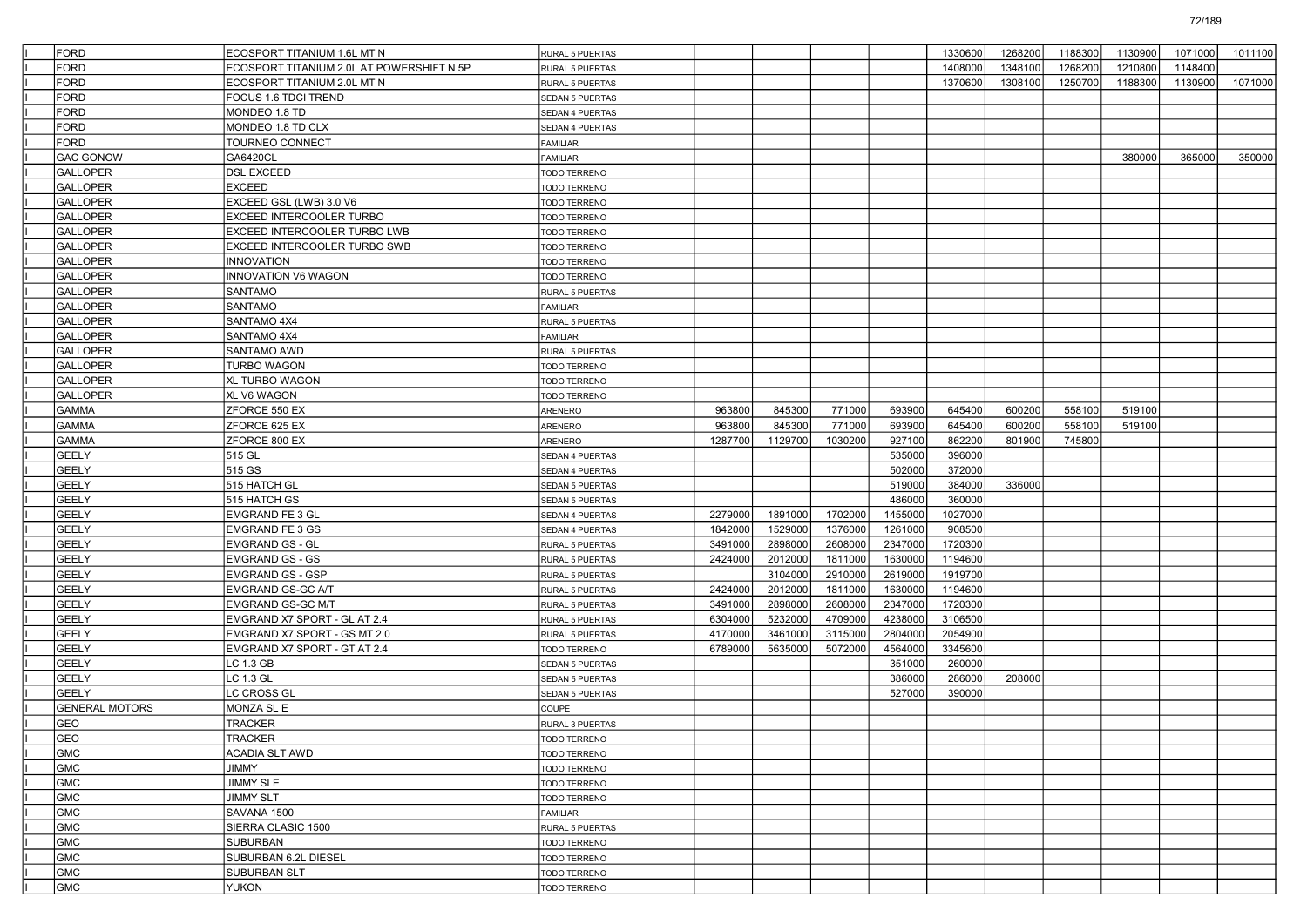| <b>FORD</b>           | ECOSPORT TITANIUM 1.6L MT N               | RURAL 5 PUERTAS        |         |         |         |         | 1330600 | 1268200 | 1188300 | 1130900 | 1071000 | 1011100 |
|-----------------------|-------------------------------------------|------------------------|---------|---------|---------|---------|---------|---------|---------|---------|---------|---------|
| <b>FORD</b>           | ECOSPORT TITANIUM 2.0L AT POWERSHIFT N 5P | RURAL 5 PUERTAS        |         |         |         |         | 1408000 | 1348100 | 1268200 | 1210800 | 1148400 |         |
| <b>FORD</b>           | ECOSPORT TITANIUM 2.0L MT N               | RURAL 5 PUERTAS        |         |         |         |         | 1370600 | 1308100 | 1250700 | 1188300 | 1130900 | 1071000 |
| <b>FORD</b>           | FOCUS 1.6 TDCI TREND                      | SEDAN 5 PUERTAS        |         |         |         |         |         |         |         |         |         |         |
| FORD                  | MONDEO 1.8 TD                             | <b>SEDAN 4 PUERTAS</b> |         |         |         |         |         |         |         |         |         |         |
| <b>FORD</b>           | MONDEO 1.8 TD CLX                         | SEDAN 4 PUERTAS        |         |         |         |         |         |         |         |         |         |         |
| <b>FORD</b>           | TOURNEO CONNECT                           | FAMILIAR               |         |         |         |         |         |         |         |         |         |         |
| <b>GAC GONOW</b>      | GA6420CL                                  | FAMILIAR               |         |         |         |         |         |         |         | 380000  | 365000  | 350000  |
| <b>GALLOPER</b>       | <b>DSL EXCEED</b>                         | TODO TERRENO           |         |         |         |         |         |         |         |         |         |         |
| <b>GALLOPER</b>       | EXCEED                                    | TODO TERRENO           |         |         |         |         |         |         |         |         |         |         |
| <b>GALLOPER</b>       | EXCEED GSL (LWB) 3.0 V6                   | <b>TODO TERRENO</b>    |         |         |         |         |         |         |         |         |         |         |
| <b>GALLOPER</b>       | EXCEED INTERCOOLER TURBO                  | TODO TERRENO           |         |         |         |         |         |         |         |         |         |         |
| <b>GALLOPER</b>       | EXCEED INTERCOOLER TURBO LWB              | TODO TERRENO           |         |         |         |         |         |         |         |         |         |         |
| <b>GALLOPER</b>       | EXCEED INTERCOOLER TURBO SWB              | TODO TERRENO           |         |         |         |         |         |         |         |         |         |         |
| <b>GALLOPER</b>       | INNOVATION                                | TODO TERRENO           |         |         |         |         |         |         |         |         |         |         |
| <b>GALLOPER</b>       | INNOVATION V6 WAGON                       | <b>TODO TERRENO</b>    |         |         |         |         |         |         |         |         |         |         |
| <b>GALLOPER</b>       | <b>SANTAMO</b>                            | RURAL 5 PUERTAS        |         |         |         |         |         |         |         |         |         |         |
| <b>GALLOPER</b>       | <b>SANTAMO</b>                            | FAMILIAR               |         |         |         |         |         |         |         |         |         |         |
| <b>GALLOPER</b>       | SANTAMO 4X4                               | RURAL 5 PUERTAS        |         |         |         |         |         |         |         |         |         |         |
| <b>GALLOPER</b>       | SANTAMO 4X4                               | FAMILIAR               |         |         |         |         |         |         |         |         |         |         |
| <b>GALLOPER</b>       | <b>SANTAMO AWD</b>                        | RURAL 5 PUERTAS        |         |         |         |         |         |         |         |         |         |         |
| <b>GALLOPER</b>       | <b>TURBO WAGON</b>                        | TODO TERRENO           |         |         |         |         |         |         |         |         |         |         |
| <b>GALLOPER</b>       | <b>XL TURBO WAGON</b>                     | TODO TERRENO           |         |         |         |         |         |         |         |         |         |         |
| <b>GALLOPER</b>       | XL V6 WAGON                               | TODO TERRENO           |         |         |         |         |         |         |         |         |         |         |
| <b>GAMMA</b>          | ZFORCE 550 EX                             | ARENERO                | 963800  | 845300  | 771000  | 693900  | 645400  | 600200  | 558100  | 519100  |         |         |
| <b>GAMMA</b>          | ZFORCE 625 EX                             | ARENERO                | 963800  | 845300  | 771000  | 693900  | 645400  | 600200  | 558100  | 519100  |         |         |
| <b>GAMMA</b>          | ZFORCE 800 EX                             | ARENERO                | 1287700 | 1129700 | 1030200 | 927100  | 862200  | 801900  | 745800  |         |         |         |
| <b>GEELY</b>          | 515 GL                                    | SEDAN 4 PUERTAS        |         |         |         | 535000  | 396000  |         |         |         |         |         |
| <b>GEELY</b>          | 515 GS                                    | SEDAN 4 PUERTAS        |         |         |         | 502000  | 372000  |         |         |         |         |         |
| <b>GEELY</b>          | 515 HATCH GL                              | SEDAN 5 PUERTAS        |         |         |         | 519000  | 384000  | 336000  |         |         |         |         |
| <b>GEELY</b>          | 515 HATCH GS                              | SEDAN 5 PUERTAS        |         |         |         | 486000  | 360000  |         |         |         |         |         |
| <b>GEELY</b>          | <b>EMGRAND FE 3 GL</b>                    | <b>SEDAN 4 PUERTAS</b> | 2279000 | 1891000 | 1702000 | 1455000 | 1027000 |         |         |         |         |         |
| <b>GEELY</b>          | <b>EMGRAND FE 3 GS</b>                    | SEDAN 4 PUERTAS        | 1842000 | 1529000 | 1376000 | 1261000 | 908500  |         |         |         |         |         |
| <b>GEELY</b>          | <b>EMGRAND GS - GL</b>                    |                        | 3491000 | 2898000 | 2608000 | 2347000 | 1720300 |         |         |         |         |         |
| <b>GEELY</b>          | <b>EMGRAND GS - GS</b>                    | RURAL 5 PUERTAS        | 2424000 | 2012000 | 1811000 | 1630000 | 1194600 |         |         |         |         |         |
| <b>GEELY</b>          |                                           | RURAL 5 PUERTAS        |         | 3104000 | 2910000 | 2619000 | 1919700 |         |         |         |         |         |
| <b>GEELY</b>          | <b>EMGRAND GS - GSP</b>                   | RURAL 5 PUERTAS        |         |         |         | 1630000 | 1194600 |         |         |         |         |         |
|                       | <b>EMGRAND GS-GC A/T</b>                  | RURAL 5 PUERTAS        | 2424000 | 2012000 | 1811000 |         |         |         |         |         |         |         |
| <b>GEELY</b>          | EMGRAND GS-GC M/T                         | RURAL 5 PUERTAS        | 3491000 | 2898000 | 2608000 | 2347000 | 1720300 |         |         |         |         |         |
| <b>GEELY</b>          | EMGRAND X7 SPORT - GL AT 2.4              | RURAL 5 PUERTAS        | 6304000 | 5232000 | 4709000 | 4238000 | 3106500 |         |         |         |         |         |
| <b>GEELY</b>          | EMGRAND X7 SPORT - GS MT 2.0              | RURAL 5 PUERTAS        | 4170000 | 3461000 | 3115000 | 2804000 | 2054900 |         |         |         |         |         |
| <b>GEELY</b>          | EMGRAND X7 SPORT - GT AT 2.4              | TODO TERRENO           | 6789000 | 5635000 | 5072000 | 4564000 | 3345600 |         |         |         |         |         |
| <b>GEELY</b>          | LC 1.3 GB                                 | SEDAN 5 PUERTAS        |         |         |         | 351000  | 260000  |         |         |         |         |         |
| <b>GEELY</b>          | LC 1.3 GL                                 | SEDAN 5 PUERTAS        |         |         |         | 386000  | 286000  | 208000  |         |         |         |         |
| <b>GEELY</b>          | LC CROSS GL                               | SEDAN 5 PUERTAS        |         |         |         | 527000  | 390000  |         |         |         |         |         |
| <b>GENERAL MOTORS</b> | MONZA SL E                                | COUPE                  |         |         |         |         |         |         |         |         |         |         |
| GEO                   | <b>TRACKER</b>                            | RURAL 3 PUERTAS        |         |         |         |         |         |         |         |         |         |         |
| GEO                   | TRACKER                                   | <b>TODO TERRENO</b>    |         |         |         |         |         |         |         |         |         |         |
| <b>GMC</b>            | <b>ACADIA SLT AWD</b>                     | TODO TERRENO           |         |         |         |         |         |         |         |         |         |         |
| <b>GMC</b>            | <b><i>JIMMY</i></b>                       | <b>TODO TERRENO</b>    |         |         |         |         |         |         |         |         |         |         |
| GMC                   | <b>JIMMY SLE</b>                          | TODO TERRENO           |         |         |         |         |         |         |         |         |         |         |
| GMC                   | <b>JIMMY SLT</b>                          | <b>TODO TERRENO</b>    |         |         |         |         |         |         |         |         |         |         |
| GMC                   | SAVANA 1500                               | FAMILIAR               |         |         |         |         |         |         |         |         |         |         |
| GMC                   | SIERRA CLASIC 1500                        | RURAL 5 PUERTAS        |         |         |         |         |         |         |         |         |         |         |
| GMC                   | SUBURBAN                                  | TODO TERRENO           |         |         |         |         |         |         |         |         |         |         |
| GMC                   | SUBURBAN 6.2L DIESEL                      | TODO TERRENO           |         |         |         |         |         |         |         |         |         |         |
| GMC                   | SUBURBAN SLT                              | TODO TERRENO           |         |         |         |         |         |         |         |         |         |         |
| GMC                   | <b>YUKON</b>                              | TODO TERRENO           |         |         |         |         |         |         |         |         |         |         |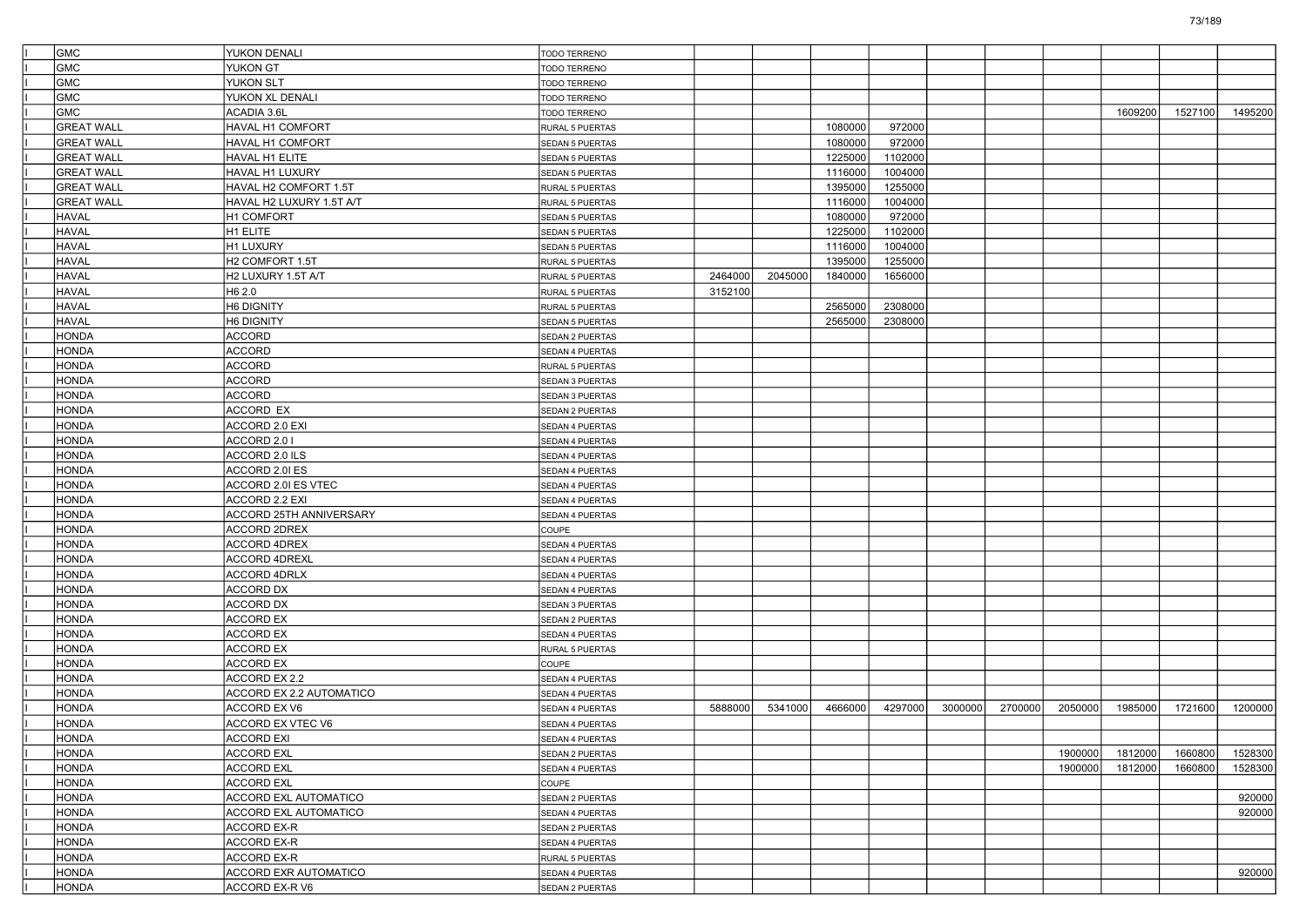| <b>GMC</b>        | YUKON DENALI                | <b>TODO TERRENO</b>    |         |         |         |         |         |         |         |         |         |         |
|-------------------|-----------------------------|------------------------|---------|---------|---------|---------|---------|---------|---------|---------|---------|---------|
| <b>GMC</b>        | YUKON GT                    | <b>TODO TERRENO</b>    |         |         |         |         |         |         |         |         |         |         |
| GMC               | YUKON SLT                   | <b>TODO TERRENO</b>    |         |         |         |         |         |         |         |         |         |         |
| GMC               | YUKON XL DENALI             | TODO TERRENO           |         |         |         |         |         |         |         |         |         |         |
| GMC               | ACADIA 3.6L                 | TODO TERRENO           |         |         |         |         |         |         |         | 1609200 | 1527100 | 1495200 |
| <b>GREAT WALL</b> | HAVAL H1 COMFORT            | RURAL 5 PUERTAS        |         |         | 1080000 | 972000  |         |         |         |         |         |         |
| <b>GREAT WALL</b> | <b>HAVAL H1 COMFORT</b>     | SEDAN 5 PUERTAS        |         |         | 1080000 | 972000  |         |         |         |         |         |         |
| <b>GREAT WALL</b> | HAVAL H1 ELITE              | SEDAN 5 PUERTAS        |         |         | 1225000 | 1102000 |         |         |         |         |         |         |
| <b>GREAT WALL</b> | HAVAL H1 LUXURY             | SEDAN 5 PUERTAS        |         |         | 1116000 | 1004000 |         |         |         |         |         |         |
| <b>GREAT WALL</b> | HAVAL H2 COMFORT 1.5T       | <b>RURAL 5 PUERTAS</b> |         |         | 1395000 | 1255000 |         |         |         |         |         |         |
| <b>GREAT WALL</b> | HAVAL H2 LUXURY 1.5T A/T    | RURAL 5 PUERTAS        |         |         | 1116000 | 1004000 |         |         |         |         |         |         |
| <b>HAVAL</b>      | H1 COMFORT                  | SEDAN 5 PUERTAS        |         |         | 1080000 | 972000  |         |         |         |         |         |         |
| <b>HAVAL</b>      | H1 ELITE                    | SEDAN 5 PUERTAS        |         |         | 1225000 | 1102000 |         |         |         |         |         |         |
| HAVAL             | H1 LUXURY                   | SEDAN 5 PUERTAS        |         |         | 1116000 | 1004000 |         |         |         |         |         |         |
| <b>HAVAL</b>      | H <sub>2</sub> COMFORT 1.5T | RURAL 5 PUERTAS        |         |         | 1395000 | 1255000 |         |         |         |         |         |         |
| <b>HAVAL</b>      | H2 LUXURY 1.5T A/T          | RURAL 5 PUERTAS        | 2464000 | 2045000 | 1840000 | 1656000 |         |         |         |         |         |         |
| <b>HAVAL</b>      | H <sub>6</sub> 2.0          | <b>RURAL 5 PUERTAS</b> | 3152100 |         |         |         |         |         |         |         |         |         |
| <b>HAVAL</b>      | H6 DIGNITY                  | RURAL 5 PUERTAS        |         |         | 2565000 | 2308000 |         |         |         |         |         |         |
| HAVAL             | H6 DIGNITY                  | SEDAN 5 PUERTAS        |         |         | 2565000 | 2308000 |         |         |         |         |         |         |
| <b>HONDA</b>      | <b>ACCORD</b>               | <b>SEDAN 2 PUERTAS</b> |         |         |         |         |         |         |         |         |         |         |
| <b>HONDA</b>      | <b>ACCORD</b>               | SEDAN 4 PUERTAS        |         |         |         |         |         |         |         |         |         |         |
| <b>HONDA</b>      | <b>ACCORD</b>               | <b>RURAL 5 PUERTAS</b> |         |         |         |         |         |         |         |         |         |         |
| <b>HONDA</b>      | <b>ACCORD</b>               | SEDAN 3 PUERTAS        |         |         |         |         |         |         |         |         |         |         |
| <b>HONDA</b>      | <b>ACCORD</b>               | SEDAN 3 PUERTAS        |         |         |         |         |         |         |         |         |         |         |
| <b>HONDA</b>      | ACCORD EX                   | <b>SEDAN 2 PUERTAS</b> |         |         |         |         |         |         |         |         |         |         |
| <b>HONDA</b>      | ACCORD 2.0 EXI              | SEDAN 4 PUERTAS        |         |         |         |         |         |         |         |         |         |         |
| <b>HONDA</b>      | ACCORD 2.0 I                | <b>SEDAN 4 PUERTAS</b> |         |         |         |         |         |         |         |         |         |         |
| <b>HONDA</b>      | ACCORD 2.0 ILS              | SEDAN 4 PUERTAS        |         |         |         |         |         |         |         |         |         |         |
| <b>HONDA</b>      | ACCORD 2.0I ES              | SEDAN 4 PUERTAS        |         |         |         |         |         |         |         |         |         |         |
| <b>HONDA</b>      | ACCORD 2.0I ES VTEC         | SEDAN 4 PUERTAS        |         |         |         |         |         |         |         |         |         |         |
| <b>HONDA</b>      | ACCORD 2.2 EXI              | SEDAN 4 PUERTAS        |         |         |         |         |         |         |         |         |         |         |
| <b>HONDA</b>      | ACCORD 25TH ANNIVERSARY     | SEDAN 4 PUERTAS        |         |         |         |         |         |         |         |         |         |         |
| <b>HONDA</b>      | <b>ACCORD 2DREX</b>         | COUPE                  |         |         |         |         |         |         |         |         |         |         |
| <b>HONDA</b>      | <b>ACCORD 4DREX</b>         | SEDAN 4 PUERTAS        |         |         |         |         |         |         |         |         |         |         |
| <b>HONDA</b>      | <b>ACCORD 4DREXL</b>        | SEDAN 4 PUERTAS        |         |         |         |         |         |         |         |         |         |         |
| <b>HONDA</b>      | <b>ACCORD 4DRLX</b>         | SEDAN 4 PUERTAS        |         |         |         |         |         |         |         |         |         |         |
| <b>HONDA</b>      | ACCORD DX                   | SEDAN 4 PUERTAS        |         |         |         |         |         |         |         |         |         |         |
| <b>HONDA</b>      | <b>ACCORD DX</b>            | SEDAN 3 PUERTAS        |         |         |         |         |         |         |         |         |         |         |
| <b>HONDA</b>      | <b>ACCORD EX</b>            | SEDAN 2 PUERTAS        |         |         |         |         |         |         |         |         |         |         |
| <b>HONDA</b>      | <b>ACCORD EX</b>            | SEDAN 4 PUERTAS        |         |         |         |         |         |         |         |         |         |         |
| <b>HONDA</b>      | <b>ACCORD EX</b>            | RURAL 5 PUERTAS        |         |         |         |         |         |         |         |         |         |         |
| <b>HONDA</b>      | ACCORD EX                   | <b>COUPE</b>           |         |         |         |         |         |         |         |         |         |         |
| <b>HONDA</b>      | <b>ACCORD EX 2.2</b>        | SEDAN 4 PUERTAS        |         |         |         |         |         |         |         |         |         |         |
| <b>HONDA</b>      | ACCORD EX 2.2 AUTOMATICO    | SEDAN 4 PUERTAS        |         |         |         |         |         |         |         |         |         |         |
| <b>HONDA</b>      | ACCORD EX V6                | <b>SEDAN 4 PUERTAS</b> | 5888000 | 5341000 | 4666000 | 4297000 | 3000000 | 2700000 | 2050000 | 1985000 | 1721600 | 1200000 |
| <b>HONDA</b>      | ACCORD EX VTEC V6           | SEDAN 4 PUERTAS        |         |         |         |         |         |         |         |         |         |         |
| HONDA             | ACCORD EXI                  | SEDAN 4 PUERTAS        |         |         |         |         |         |         |         |         |         |         |
| <b>HONDA</b>      | <b>ACCORD EXL</b>           | SEDAN 2 PUERTAS        |         |         |         |         |         |         | 1900000 | 1812000 | 1660800 | 1528300 |
| HONDA             | <b>ACCORD EXL</b>           | SEDAN 4 PUERTAS        |         |         |         |         |         |         | 1900000 | 1812000 | 1660800 | 1528300 |
| HONDA             | <b>ACCORD EXL</b>           | COUPE                  |         |         |         |         |         |         |         |         |         |         |
| HONDA             | ACCORD EXL AUTOMATICO       | SEDAN 2 PUERTAS        |         |         |         |         |         |         |         |         |         | 920000  |
| <b>HONDA</b>      | ACCORD EXL AUTOMATICO       | SEDAN 4 PUERTAS        |         |         |         |         |         |         |         |         |         | 920000  |
| HONDA             | <b>ACCORD EX-R</b>          | SEDAN 2 PUERTAS        |         |         |         |         |         |         |         |         |         |         |
| HONDA             | ACCORD EX-R                 | SEDAN 4 PUERTAS        |         |         |         |         |         |         |         |         |         |         |
| HONDA             | <b>ACCORD EX-R</b>          | RURAL 5 PUERTAS        |         |         |         |         |         |         |         |         |         |         |
| HONDA             | ACCORD EXR AUTOMATICO       | SEDAN 4 PUERTAS        |         |         |         |         |         |         |         |         |         | 920000  |
| HONDA             | ACCORD EX-R V6              | SEDAN 2 PUERTAS        |         |         |         |         |         |         |         |         |         |         |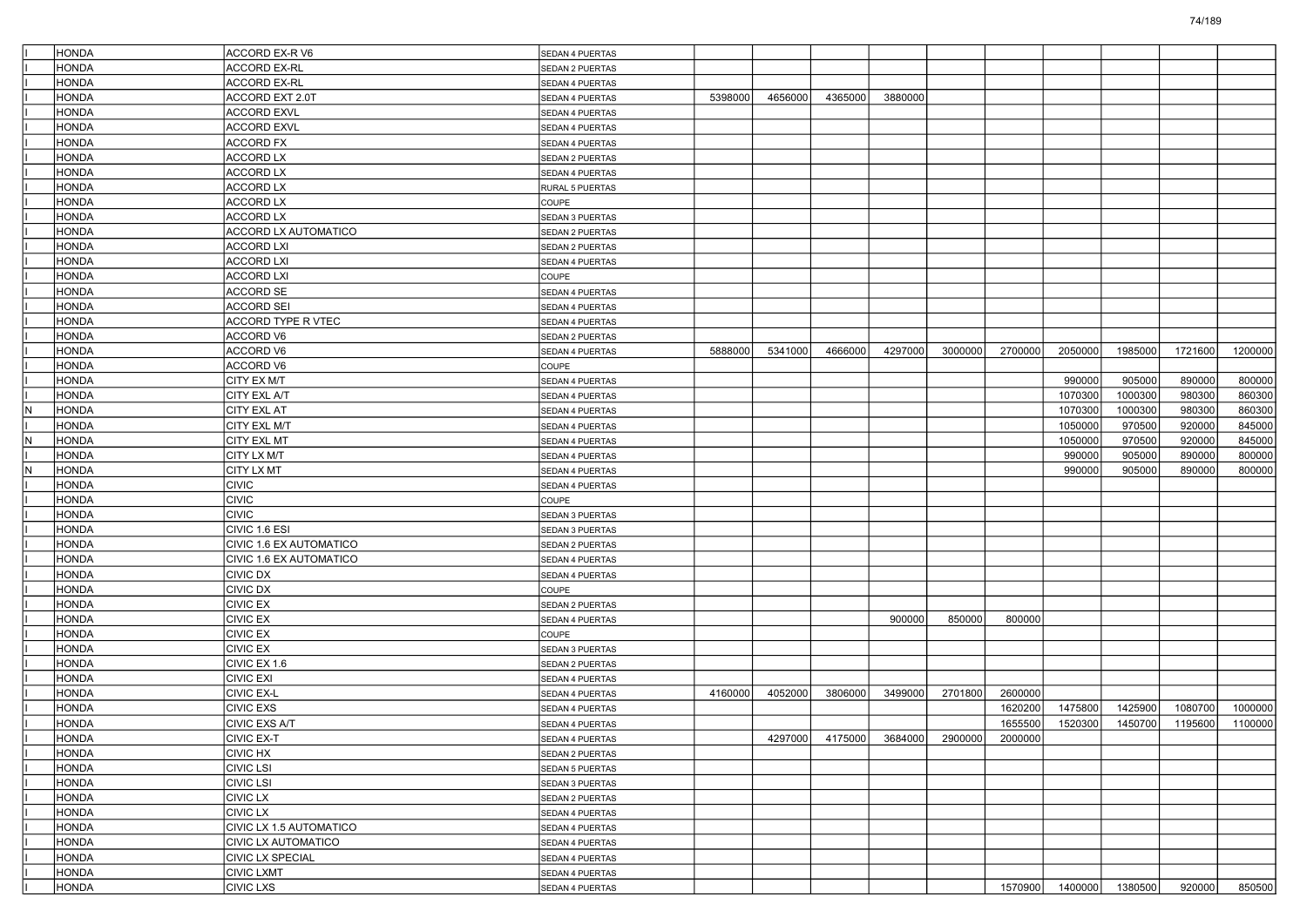|    | HONDA        | <b>ACCORD EX-R V6</b>          | SEDAN 4 PUERTAS        |         |         |                 |         |                         |         |         |                 |         |         |
|----|--------------|--------------------------------|------------------------|---------|---------|-----------------|---------|-------------------------|---------|---------|-----------------|---------|---------|
|    | AQNOF        | <b>ACCORD EX-RL</b>            | SEDAN 2 PUERTAS        |         |         |                 |         |                         |         |         |                 |         |         |
|    | HONDA        | <b>ACCORD EX-RL</b>            | SEDAN 4 PUERTAS        |         |         |                 |         |                         |         |         |                 |         |         |
|    | HONDA        | ACCORD EXT 2.0T                | SEDAN 4 PUERTAS        | 5398000 | 4656000 | 4365000         | 3880000 |                         |         |         |                 |         |         |
|    | HONDA        | <b>ACCORD EXVL</b>             | SEDAN 4 PUERTAS        |         |         |                 |         |                         |         |         |                 |         |         |
|    | HONDA        | <b>ACCORD EXVL</b>             | SEDAN 4 PUERTAS        |         |         |                 |         |                         |         |         |                 |         |         |
|    | HONDA        | <b>ACCORD FX</b>               | SEDAN 4 PUERTAS        |         |         |                 |         |                         |         |         |                 |         |         |
|    | HONDA        | <b>ACCORD LX</b>               | <b>SEDAN 2 PUERTAS</b> |         |         |                 |         |                         |         |         |                 |         |         |
|    | HONDA        | <b>ACCORD LX</b>               | SEDAN 4 PUERTAS        |         |         |                 |         |                         |         |         |                 |         |         |
|    | HONDA        | <b>ACCORD LX</b>               | RURAL 5 PUERTAS        |         |         |                 |         |                         |         |         |                 |         |         |
|    | HONDA        | <b>ACCORD LX</b>               | COUPE                  |         |         |                 |         |                         |         |         |                 |         |         |
|    | AQNOF        | <b>ACCORD LX</b>               | SEDAN 3 PUERTAS        |         |         |                 |         |                         |         |         |                 |         |         |
|    | HONDA        | <b>ACCORD LX AUTOMATICO</b>    | <b>SEDAN 2 PUERTAS</b> |         |         |                 |         |                         |         |         |                 |         |         |
|    | HONDA        | <b>ACCORD LXI</b>              | SEDAN 2 PUERTAS        |         |         |                 |         |                         |         |         |                 |         |         |
|    | HONDA        | <b>ACCORD LXI</b>              | SEDAN 4 PUERTAS        |         |         |                 |         |                         |         |         |                 |         |         |
|    | HONDA        | <b>ACCORD LXI</b>              | COUPE                  |         |         |                 |         |                         |         |         |                 |         |         |
|    | AQNOF        | <b>ACCORD SE</b>               | SEDAN 4 PUERTAS        |         |         |                 |         |                         |         |         |                 |         |         |
|    | HONDA        | <b>ACCORD SEI</b>              | <b>SEDAN 4 PUERTAS</b> |         |         |                 |         |                         |         |         |                 |         |         |
|    | HONDA        | ACCORD TYPE R VTEC             | SEDAN 4 PUERTAS        |         |         |                 |         |                         |         |         |                 |         |         |
|    | HONDA        | ACCORD V6                      | SEDAN 2 PUERTAS        |         |         |                 |         |                         |         |         |                 |         |         |
|    | HONDA        | <b>ACCORD V6</b>               | <b>SEDAN 4 PUERTAS</b> | 5888000 | 5341000 | 4666000         | 4297000 | 3000000                 | 2700000 | 2050000 | 1985000         | 1721600 | 1200000 |
|    | HONDA        | <b>ACCORD V6</b>               | COUPE                  |         |         |                 |         |                         |         |         |                 |         |         |
|    | HONDA        | CITY EX M/T                    | <b>SEDAN 4 PUERTAS</b> |         |         |                 |         |                         |         | 990000  | 905000          | 890000  | 800000  |
|    | HONDA        | <b>CITY EXL A/T</b>            | SEDAN 4 PUERTAS        |         |         |                 |         |                         |         | 1070300 | 1000300         | 980300  | 860300  |
| N  | HONDA        | <b>CITY EXL AT</b>             | <b>SEDAN 4 PUERTAS</b> |         |         |                 |         |                         |         | 1070300 | 1000300         | 980300  | 860300  |
|    | HONDA        | <b>CITY EXL M/T</b>            | SEDAN 4 PUERTAS        |         |         |                 |         |                         |         | 1050000 | 970500          | 920000  | 845000  |
| N  | HONDA        | <b>CITY EXL MT</b>             | SEDAN 4 PUERTAS        |         |         |                 |         |                         |         | 1050000 | 970500          | 920000  | 845000  |
|    | HONDA        | <b>CITY LX M/T</b>             | <b>SEDAN 4 PUERTAS</b> |         |         |                 |         |                         |         | 990000  | 905000          | 890000  | 800000  |
| ΙN | HONDA        | <b>CITY LX MT</b>              | <b>SEDAN 4 PUERTAS</b> |         |         |                 |         |                         |         | 990000  | 905000          | 890000  | 800000  |
|    | HONDA        | <b>CIVIC</b>                   | SEDAN 4 PUERTAS        |         |         |                 |         |                         |         |         |                 |         |         |
|    | HONDA        | <b>CIVIC</b>                   | COUPE                  |         |         |                 |         |                         |         |         |                 |         |         |
|    | HONDA        | <b>CIVIC</b>                   | SEDAN 3 PUERTAS        |         |         |                 |         |                         |         |         |                 |         |         |
|    | HONDA        | CIVIC 1.6 ESI                  | SEDAN 3 PUERTAS        |         |         |                 |         |                         |         |         |                 |         |         |
|    | HONDA        | <b>CIVIC 1.6 EX AUTOMATICO</b> | <b>SEDAN 2 PUERTAS</b> |         |         |                 |         |                         |         |         |                 |         |         |
|    | HONDA        | <b>CIVIC 1.6 EX AUTOMATICO</b> | SEDAN 4 PUERTAS        |         |         |                 |         |                         |         |         |                 |         |         |
|    | HONDA        | <b>CIVIC DX</b>                | SEDAN 4 PUERTAS        |         |         |                 |         |                         |         |         |                 |         |         |
|    | HONDA        | <b>CIVIC DX</b>                | COUPE                  |         |         |                 |         |                         |         |         |                 |         |         |
|    | HONDA        | <b>CIVIC EX</b>                | SEDAN 2 PUERTAS        |         |         |                 |         |                         |         |         |                 |         |         |
|    | HONDA        | <b>CIVIC EX</b>                | <b>SEDAN 4 PUERTAS</b> |         |         |                 | 900000  | 850000                  | 800000  |         |                 |         |         |
|    | HONDA        | <b>CIVIC EX</b>                | COUPE                  |         |         |                 |         |                         |         |         |                 |         |         |
|    | HONDA        | <b>CIVIC EX</b>                | SEDAN 3 PUERTAS        |         |         |                 |         |                         |         |         |                 |         |         |
|    | HONDA        | CIVIC EX 1.6                   | SEDAN 2 PUERTAS        |         |         |                 |         |                         |         |         |                 |         |         |
|    | HONDA        | <b>CIVIC EXI</b>               | SEDAN 4 PUERTAS        |         |         |                 |         |                         |         |         |                 |         |         |
|    | HONDA        | <b>CIVIC EX-L</b>              | SEDAN 4 PUERTAS        | 4160000 | 4052000 | 3806000         | 3499000 | 2701800                 | 2600000 |         |                 |         |         |
|    | HONDA        | <b>CIVIC EXS</b>               | SEDAN 4 PUERTAS        |         |         |                 |         |                         | 1620200 | 1475800 | 1425900         | 1080700 | 1000000 |
|    | HONDA        | <b>CIVIC EXS A/T</b>           | SEDAN 4 PUERTAS        |         |         |                 |         |                         | 1655500 | 1520300 | 1450700         | 1195600 | 1100000 |
|    | <b>HONDA</b> | CIVIC EX-T                     | SEDAN 4 PUERTAS        |         |         | 4297000 4175000 |         | 3684000 2900000 2000000 |         |         |                 |         |         |
|    | HONDA        | CIVIC HX                       | SEDAN 2 PUERTAS        |         |         |                 |         |                         |         |         |                 |         |         |
|    | <b>HONDA</b> | CIVIC LSI                      | SEDAN 5 PUERTAS        |         |         |                 |         |                         |         |         |                 |         |         |
|    | HONDA        | Icivic Lsi                     | SEDAN 3 PUERTAS        |         |         |                 |         |                         |         |         |                 |         |         |
|    | HONDA        | CIVIC LX                       | SEDAN 2 PUERTAS        |         |         |                 |         |                         |         |         |                 |         |         |
|    | <b>HONDA</b> | CIVIC LX                       | SEDAN 4 PUERTAS        |         |         |                 |         |                         |         |         |                 |         |         |
|    | HONDA        | CIVIC LX 1.5 AUTOMATICO        | SEDAN 4 PUERTAS        |         |         |                 |         |                         |         |         |                 |         |         |
|    | <b>HONDA</b> | CIVIC LX AUTOMATICO            | SEDAN 4 PUERTAS        |         |         |                 |         |                         |         |         |                 |         |         |
|    | <b>HONDA</b> | <b>CIVIC LX SPECIAL</b>        | SEDAN 4 PUERTAS        |         |         |                 |         |                         |         |         |                 |         |         |
|    | HONDA        | <b>CIVIC LXMT</b>              | SEDAN 4 PUERTAS        |         |         |                 |         |                         |         |         |                 |         |         |
|    | <b>HONDA</b> | <b>CIVIC LXS</b>               | SEDAN 4 PUERTAS        |         |         |                 |         |                         | 1570900 |         | 1400000 1380500 | 920000  | 850500  |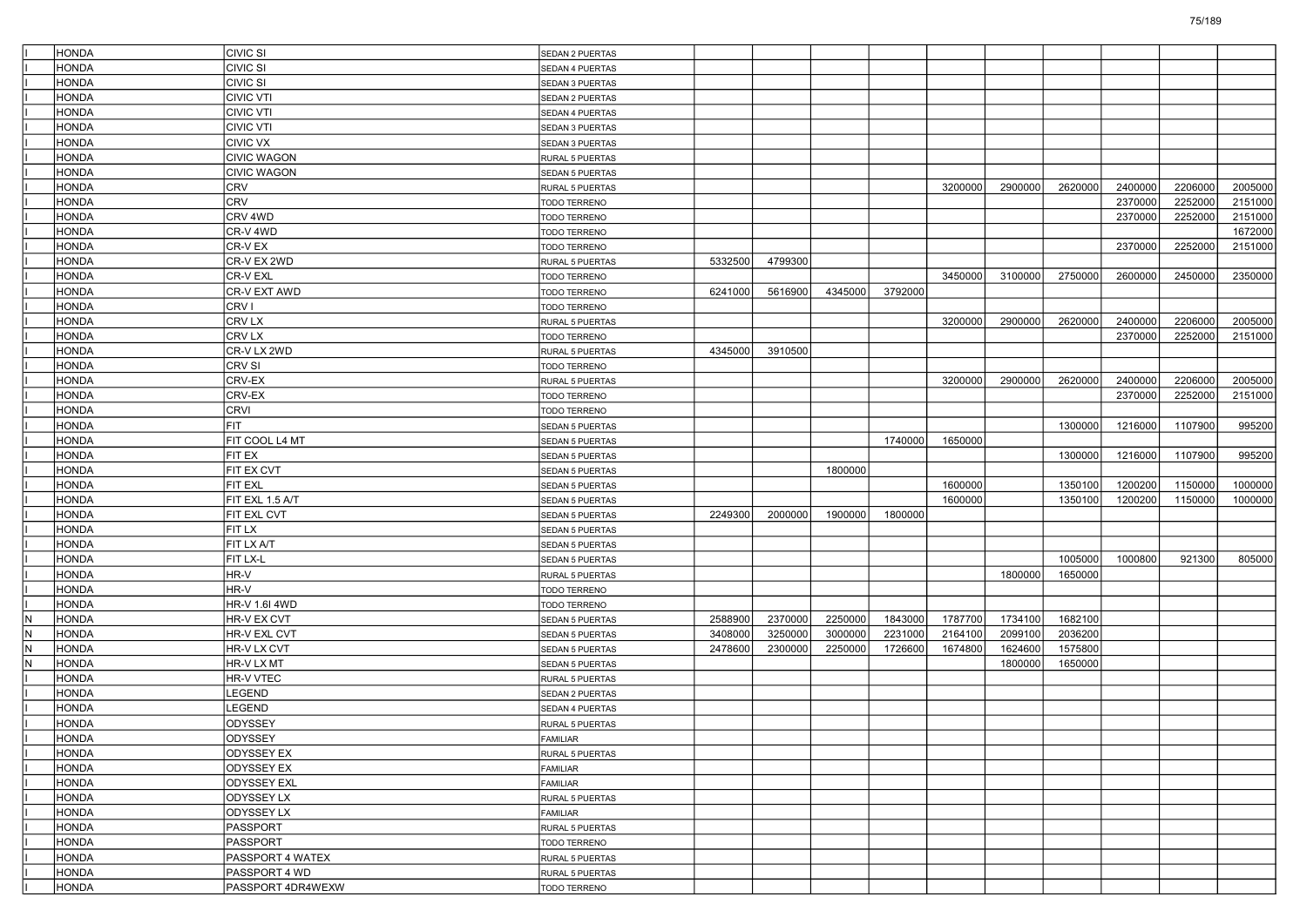|     | HONDA                 | CIVIC SI           | <b>SEDAN 2 PUERTAS</b>             |         |         |         |         |         |         |         |         |         |         |
|-----|-----------------------|--------------------|------------------------------------|---------|---------|---------|---------|---------|---------|---------|---------|---------|---------|
|     | HONDA                 | CIVIC SI           | SEDAN 4 PUERTAS                    |         |         |         |         |         |         |         |         |         |         |
|     | <b>HONDA</b>          | <b>CIVIC SI</b>    | SEDAN 3 PUERTAS                    |         |         |         |         |         |         |         |         |         |         |
|     | HONDA                 | <b>CIVIC VTI</b>   | SEDAN 2 PUERTAS                    |         |         |         |         |         |         |         |         |         |         |
|     | HONDA                 | <b>CIVIC VTI</b>   | SEDAN 4 PUERTAS                    |         |         |         |         |         |         |         |         |         |         |
|     | HONDA                 | <b>CIVIC VTI</b>   | SEDAN 3 PUERTAS                    |         |         |         |         |         |         |         |         |         |         |
|     | HONDA                 | CIVIC VX           | SEDAN 3 PUERTAS                    |         |         |         |         |         |         |         |         |         |         |
|     | <b>HONDA</b>          | <b>CIVIC WAGON</b> | RURAL 5 PUERTAS                    |         |         |         |         |         |         |         |         |         |         |
|     | HONDA                 | <b>CIVIC WAGON</b> | SEDAN 5 PUERTAS                    |         |         |         |         |         |         |         |         |         |         |
|     | HONDA                 | CRV                | RURAL 5 PUERTAS                    |         |         |         |         | 3200000 | 2900000 | 2620000 | 2400000 | 2206000 | 2005000 |
|     | HONDA                 | CRV                | TODO TERRENO                       |         |         |         |         |         |         |         | 2370000 | 2252000 | 2151000 |
|     | <b>HONDA</b>          | CRV 4WD            | TODO TERRENO                       |         |         |         |         |         |         |         | 2370000 | 2252000 | 2151000 |
|     | <b>HONDA</b>          | CR-V 4WD           | TODO TERRENO                       |         |         |         |         |         |         |         |         |         | 1672000 |
|     | HONDA                 | CR-V EX            | TODO TERRENO                       |         |         |         |         |         |         |         | 2370000 | 2252000 | 2151000 |
|     | HONDA                 | CR-V EX 2WD        | RURAL 5 PUERTAS                    | 5332500 | 4799300 |         |         |         |         |         |         |         |         |
|     | HONDA                 | CR-V EXL           | TODO TERRENO                       |         |         |         |         | 3450000 | 3100000 | 2750000 | 2600000 | 2450000 | 2350000 |
|     | <b>HONDA</b>          | CR-V EXT AWD       | TODO TERRENO                       | 6241000 | 5616900 | 4345000 | 3792000 |         |         |         |         |         |         |
|     | <b>HONDA</b>          | CRV I              | TODO TERRENO                       |         |         |         |         |         |         |         |         |         |         |
|     | HONDA                 | CRV LX             | RURAL 5 PUERTAS                    |         |         |         |         | 3200000 | 2900000 | 2620000 | 2400000 | 2206000 | 2005000 |
|     | HONDA                 | CRV LX             | TODO TERRENO                       |         |         |         |         |         |         |         | 2370000 | 2252000 | 2151000 |
|     | HONDA                 | CR-V LX 2WD        | RURAL 5 PUERTAS                    | 4345000 | 3910500 |         |         |         |         |         |         |         |         |
|     | <b>HONDA</b>          | CRV SI             | TODO TERRENO                       |         |         |         |         |         |         |         |         |         |         |
|     | <b>HONDA</b>          | CRV-EX             | RURAL 5 PUERTAS                    |         |         |         |         | 3200000 | 2900000 | 2620000 | 2400000 | 2206000 | 2005000 |
|     | HONDA                 | CRV-EX             | TODO TERRENO                       |         |         |         |         |         |         |         | 2370000 | 2252000 | 2151000 |
|     | HONDA                 | CRVI               | TODO TERRENO                       |         |         |         |         |         |         |         |         |         |         |
|     | HONDA                 | <b>FIT</b>         | <b>SEDAN 5 PUERTAS</b>             |         |         |         |         |         |         | 1300000 | 1216000 | 1107900 | 995200  |
|     | <b>HONDA</b>          | FIT COOL L4 MT     | SEDAN 5 PUERTAS                    |         |         |         | 1740000 | 1650000 |         |         |         |         |         |
|     | <b>HONDA</b>          | FIT EX             | SEDAN 5 PUERTAS                    |         |         |         |         |         |         | 1300000 | 1216000 | 1107900 | 995200  |
|     | HONDA                 | FIT EX CVT         | SEDAN 5 PUERTAS                    |         |         | 1800000 |         |         |         |         |         |         |         |
|     | HONDA                 | FIT EXL            | <b>SEDAN 5 PUERTAS</b>             |         |         |         |         | 1600000 |         | 1350100 | 1200200 | 1150000 | 1000000 |
|     | HONDA                 | FIT EXL 1.5 A/T    | <b>SEDAN 5 PUERTAS</b>             |         |         |         |         | 1600000 |         | 1350100 | 1200200 | 1150000 | 1000000 |
|     | <b>HONDA</b>          | FIT EXL CVT        | SEDAN 5 PUERTAS                    | 2249300 | 2000000 | 1900000 | 1800000 |         |         |         |         |         |         |
|     | <b>HONDA</b>          | FIT LX             | SEDAN 5 PUERTAS                    |         |         |         |         |         |         |         |         |         |         |
|     | HONDA                 | FIT LX A/T         | SEDAN 5 PUERTAS                    |         |         |         |         |         |         |         |         |         |         |
|     | HONDA                 | FIT LX-L           | SEDAN 5 PUERTAS                    |         |         |         |         |         |         | 1005000 | 1000800 | 921300  | 805000  |
|     | HONDA                 | HR-V               | RURAL 5 PUERTAS                    |         |         |         |         |         | 1800000 | 1650000 |         |         |         |
|     | <b>HONDA</b>          | HR-V               | TODO TERRENO                       |         |         |         |         |         |         |         |         |         |         |
|     | <b>HONDA</b>          | HR-V 1.6I 4WD      | TODO TERRENO                       |         |         |         |         |         |         |         |         |         |         |
| IN. | HONDA                 | HR-V EX CVT        | SEDAN 5 PUERTAS                    | 2588900 | 2370000 | 2250000 | 1843000 | 1787700 | 1734100 | 1682100 |         |         |         |
| IN. | HONDA                 | HR-V EXL CVT       |                                    | 3408000 | 3250000 | 3000000 | 2231000 | 2164100 | 2099100 | 2036200 |         |         |         |
| IN. | HONDA                 | HR-V LX CVT        | SEDAN 5 PUERTAS<br>SEDAN 5 PUERTAS | 2478600 | 2300000 | 2250000 | 1726600 | 1674800 | 1624600 | 1575800 |         |         |         |
| IN. |                       | HR-V LX MT         |                                    |         |         |         |         |         | 1800000 | 1650000 |         |         |         |
|     | HONDA<br><b>HONDA</b> | HR-V VTEC          | SEDAN 5 PUERTAS                    |         |         |         |         |         |         |         |         |         |         |
|     | HONDA                 |                    | RURAL 5 PUERTAS                    |         |         |         |         |         |         |         |         |         |         |
|     |                       | _EGEND<br>LEGEND   | SEDAN 2 PUERTAS                    |         |         |         |         |         |         |         |         |         |         |
|     | HONDA                 |                    | SEDAN 4 PUERTAS                    |         |         |         |         |         |         |         |         |         |         |
|     | HONDA                 | ODYSSEY            | RURAL 5 PUERTAS                    |         |         |         |         |         |         |         |         |         |         |
|     | <b>HONDA</b>          | <b>ODYSSEY</b>     | FAMILIAR                           |         |         |         |         |         |         |         |         |         |         |
|     | <b>HONDA</b>          | ODYSSEY EX         | RURAL 5 PUERTAS                    |         |         |         |         |         |         |         |         |         |         |
|     | HONDA                 | <b>ODYSSEY EX</b>  | <b>FAMILIAR</b>                    |         |         |         |         |         |         |         |         |         |         |
|     | HONDA                 | <b>ODYSSEY EXL</b> | FAMILIAR                           |         |         |         |         |         |         |         |         |         |         |
|     | HONDA                 | <b>ODYSSEY LX</b>  | RURAL 5 PUERTAS                    |         |         |         |         |         |         |         |         |         |         |
|     | HONDA                 | ODYSSEY LX         | FAMILIAR                           |         |         |         |         |         |         |         |         |         |         |
|     | <b>HONDA</b>          | PASSPORT           | RURAL 5 PUERTAS                    |         |         |         |         |         |         |         |         |         |         |
|     | HONDA                 | PASSPORT           | TODO TERRENO                       |         |         |         |         |         |         |         |         |         |         |
|     | <b>HONDA</b>          | PASSPORT 4 WATEX   | RURAL 5 PUERTAS                    |         |         |         |         |         |         |         |         |         |         |
|     | HONDA                 | PASSPORT 4 WD      | RURAL 5 PUERTAS                    |         |         |         |         |         |         |         |         |         |         |
|     | HONDA                 | PASSPORT 4DR4WEXW  | TODO TERRENO                       |         |         |         |         |         |         |         |         |         |         |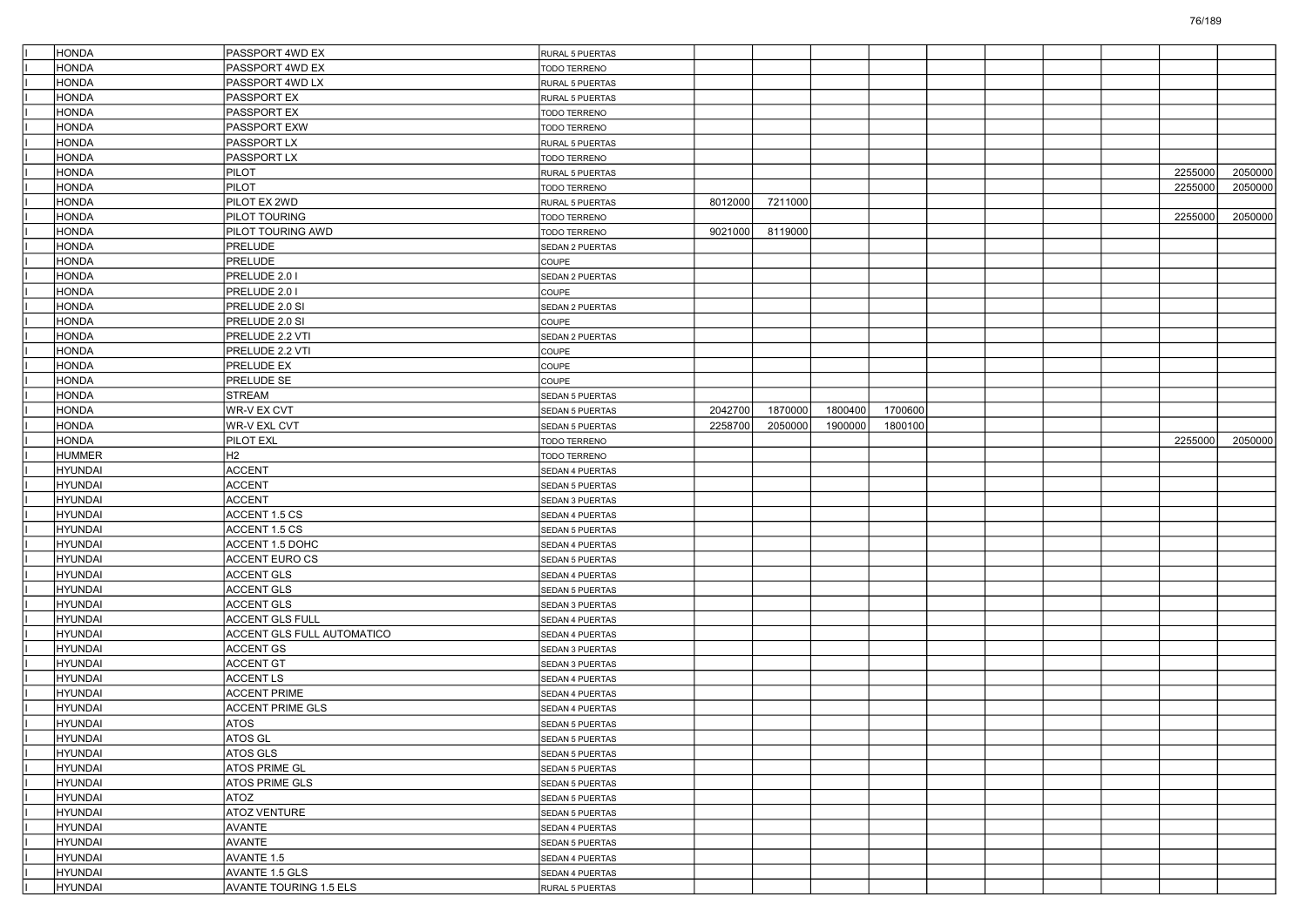| <b>HONDA</b>   | PASSPORT 4WD EX            | RURAL 5 PUERTAS        |         |         |         |         |  |  |         |         |
|----------------|----------------------------|------------------------|---------|---------|---------|---------|--|--|---------|---------|
| <b>HONDA</b>   | PASSPORT 4WD EX            | TODO TERRENO           |         |         |         |         |  |  |         |         |
| HONDA          | PASSPORT 4WD LX            | RURAL 5 PUERTAS        |         |         |         |         |  |  |         |         |
| HONDA          | <b>PASSPORT EX</b>         | RURAL 5 PUERTAS        |         |         |         |         |  |  |         |         |
| HONDA          | <b>PASSPORT EX</b>         | TODO TERRENO           |         |         |         |         |  |  |         |         |
| <b>HONDA</b>   | PASSPORT EXW               | <b>TODO TERRENO</b>    |         |         |         |         |  |  |         |         |
| <b>HONDA</b>   | <b>PASSPORT LX</b>         | RURAL 5 PUERTAS        |         |         |         |         |  |  |         |         |
| HONDA          | PASSPORT LX                | TODO TERRENO           |         |         |         |         |  |  |         |         |
| HONDA          | <b>PILOT</b>               | RURAL 5 PUERTAS        |         |         |         |         |  |  | 2255000 | 2050000 |
| HONDA          | <b>PILOT</b>               | TODO TERRENO           |         |         |         |         |  |  | 2255000 | 2050000 |
| <b>HONDA</b>   | PILOT EX 2WD               | RURAL 5 PUERTAS        | 8012000 | 7211000 |         |         |  |  |         |         |
| <b>HONDA</b>   | PILOT TOURING              | TODO TERRENO           |         |         |         |         |  |  | 2255000 | 2050000 |
| HONDA          | PILOT TOURING AWD          | TODO TERRENO           | 9021000 | 8119000 |         |         |  |  |         |         |
| HONDA          | <b>PRELUDE</b>             | SEDAN 2 PUERTAS        |         |         |         |         |  |  |         |         |
| HONDA          | PRELUDE                    | COUPE                  |         |         |         |         |  |  |         |         |
| <b>HONDA</b>   | PRELUDE 2.0 I              | SEDAN 2 PUERTAS        |         |         |         |         |  |  |         |         |
| <b>HONDA</b>   | PRELUDE 2.0 I              | COUPE                  |         |         |         |         |  |  |         |         |
| HONDA          | PRELUDE 2.0 SI             | SEDAN 2 PUERTAS        |         |         |         |         |  |  |         |         |
| HONDA          | PRELUDE 2.0 SI             | COUPE                  |         |         |         |         |  |  |         |         |
| HONDA          | PRELUDE 2.2 VTI            | SEDAN 2 PUERTAS        |         |         |         |         |  |  |         |         |
| <b>HONDA</b>   | PRELUDE 2.2 VTI            | COUPE                  |         |         |         |         |  |  |         |         |
| <b>HONDA</b>   | PRELUDE EX                 | COUPE                  |         |         |         |         |  |  |         |         |
| HONDA          | PRELUDE SE                 | COUPE                  |         |         |         |         |  |  |         |         |
| HONDA          | <b>STREAM</b>              | <b>SEDAN 5 PUERTAS</b> |         |         |         |         |  |  |         |         |
| <b>HONDA</b>   | WR-V EX CVT                | <b>SEDAN 5 PUERTAS</b> | 2042700 | 1870000 | 1800400 | 1700600 |  |  |         |         |
| <b>HONDA</b>   | <b>WR-V EXL CVT</b>        | SEDAN 5 PUERTAS        | 2258700 | 2050000 | 1900000 | 1800100 |  |  |         |         |
| <b>HONDA</b>   | PILOT EXL                  | TODO TERRENO           |         |         |         |         |  |  | 2255000 | 2050000 |
| <b>HUMMER</b>  | H2                         | TODO TERRENO           |         |         |         |         |  |  |         |         |
| <b>HYUNDAI</b> | <b>ACCENT</b>              | SEDAN 4 PUERTAS        |         |         |         |         |  |  |         |         |
| <b>HYUNDAI</b> | <b>ACCENT</b>              | <b>SEDAN 5 PUERTAS</b> |         |         |         |         |  |  |         |         |
| <b>HYUNDAI</b> | <b>ACCENT</b>              | SEDAN 3 PUERTAS        |         |         |         |         |  |  |         |         |
| <b>HYUNDAI</b> | ACCENT 1.5 CS              | SEDAN 4 PUERTAS        |         |         |         |         |  |  |         |         |
| <b>HYUNDAI</b> | ACCENT 1.5 CS              | SEDAN 5 PUERTAS        |         |         |         |         |  |  |         |         |
| <b>HYUNDAI</b> | ACCENT 1.5 DOHC            | SEDAN 4 PUERTAS        |         |         |         |         |  |  |         |         |
| <b>HYUNDAI</b> | <b>ACCENT EURO CS</b>      | SEDAN 5 PUERTAS        |         |         |         |         |  |  |         |         |
| <b>HYUNDAI</b> | <b>ACCENT GLS</b>          | SEDAN 4 PUERTAS        |         |         |         |         |  |  |         |         |
| <b>HYUNDAI</b> | <b>ACCENT GLS</b>          | SEDAN 5 PUERTAS        |         |         |         |         |  |  |         |         |
| <b>HYUNDAI</b> | <b>ACCENT GLS</b>          | SEDAN 3 PUERTAS        |         |         |         |         |  |  |         |         |
| <b>HYUNDAI</b> | ACCENT GLS FULL            | SEDAN 4 PUERTAS        |         |         |         |         |  |  |         |         |
| <b>HYUNDAI</b> | ACCENT GLS FULL AUTOMATICO | SEDAN 4 PUERTAS        |         |         |         |         |  |  |         |         |
| <b>HYUNDAI</b> | <b>ACCENT GS</b>           | SEDAN 3 PUERTAS        |         |         |         |         |  |  |         |         |
| <b>HYUNDAI</b> | <b>ACCENT GT</b>           | SEDAN 3 PUERTAS        |         |         |         |         |  |  |         |         |
| <b>HYUNDAI</b> | <b>ACCENTLS</b>            | SEDAN 4 PUERTAS        |         |         |         |         |  |  |         |         |
| <b>HYUNDAI</b> | <b>ACCENT PRIME</b>        | SEDAN 4 PUERTAS        |         |         |         |         |  |  |         |         |
| <b>HYUNDAI</b> | <b>ACCENT PRIME GLS</b>    | SEDAN 4 PUERTAS        |         |         |         |         |  |  |         |         |
| <b>HYUNDAI</b> | <b>ATOS</b>                | SEDAN 5 PUERTAS        |         |         |         |         |  |  |         |         |
| <b>HYUNDAI</b> | ATOS GL                    | SEDAN 5 PUERTAS        |         |         |         |         |  |  |         |         |
| <b>HYUNDAI</b> | ATOS GLS                   | SEDAN 5 PUERTAS        |         |         |         |         |  |  |         |         |
| <b>HYUNDAI</b> | <b>ATOS PRIME GL</b>       | SEDAN 5 PUERTAS        |         |         |         |         |  |  |         |         |
| <b>HYUNDAI</b> | ATOS PRIME GLS             | SEDAN 5 PUERTAS        |         |         |         |         |  |  |         |         |
| <b>HYUNDAI</b> | <b>ATOZ</b>                | SEDAN 5 PUERTAS        |         |         |         |         |  |  |         |         |
| <b>HYUNDAI</b> | ATOZ VENTURE               | SEDAN 5 PUERTAS        |         |         |         |         |  |  |         |         |
| <b>HYUNDAI</b> | <b>AVANTE</b>              | SEDAN 4 PUERTAS        |         |         |         |         |  |  |         |         |
| <b>HYUNDAI</b> | AVANTE                     | SEDAN 5 PUERTAS        |         |         |         |         |  |  |         |         |
| <b>HYUNDAI</b> | AVANTE 1.5                 | SEDAN 4 PUERTAS        |         |         |         |         |  |  |         |         |
| HYUNDAI        | <b>AVANTE 1.5 GLS</b>      | SEDAN 4 PUERTAS        |         |         |         |         |  |  |         |         |
| <b>HYUNDAI</b> | AVANTE TOURING 1.5 ELS     | RURAL 5 PUERTAS        |         |         |         |         |  |  |         |         |
|                |                            |                        |         |         |         |         |  |  |         |         |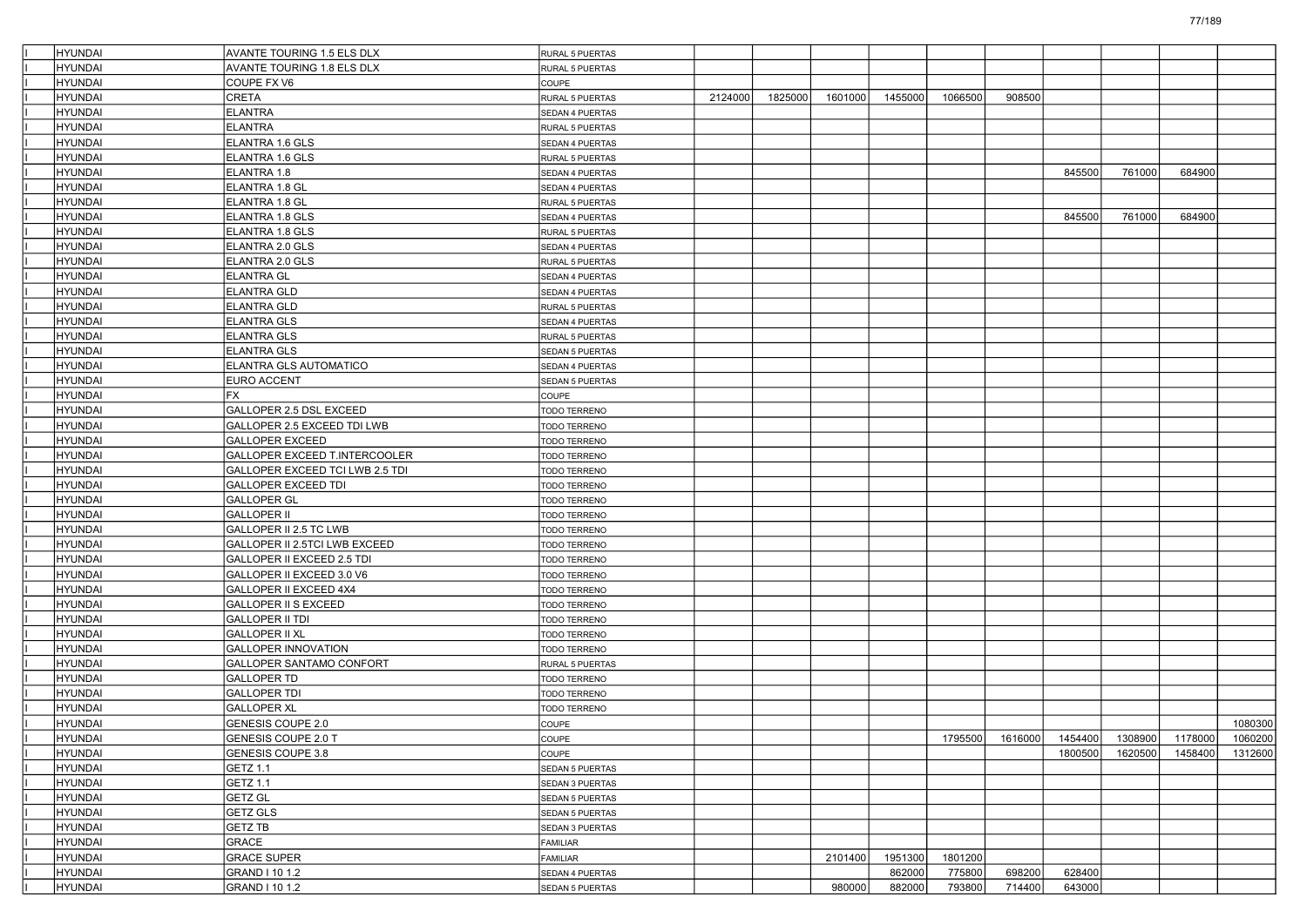| <b>HYUNDAI</b> | <b>AVANTE TOURING 1.5 ELS DLX</b> | <b>RURAL 5 PUERTAS</b> |         |         |         |         |         |         |         |         |         |                 |
|----------------|-----------------------------------|------------------------|---------|---------|---------|---------|---------|---------|---------|---------|---------|-----------------|
| HYUNDAI        | AVANTE TOURING 1.8 ELS DLX        | RURAL 5 PUERTAS        |         |         |         |         |         |         |         |         |         |                 |
| HYUNDAI        | COUPE FX V6                       | <b>COUPE</b>           |         |         |         |         |         |         |         |         |         |                 |
| HYUNDAI        | CRETA                             | RURAL 5 PUERTAS        | 2124000 | 1825000 | 1601000 | 1455000 | 1066500 | 908500  |         |         |         |                 |
| HYUNDAI        | <b>ELANTRA</b>                    | SEDAN 4 PUERTAS        |         |         |         |         |         |         |         |         |         |                 |
| <b>HYUNDAI</b> | <b>ELANTRA</b>                    | RURAL 5 PUERTAS        |         |         |         |         |         |         |         |         |         |                 |
| HYUNDAI        | ELANTRA 1.6 GLS                   | SEDAN 4 PUERTAS        |         |         |         |         |         |         |         |         |         |                 |
| HYUNDAI        | ELANTRA 1.6 GLS                   | RURAL 5 PUERTAS        |         |         |         |         |         |         |         |         |         |                 |
| HYUNDAI        | ELANTRA 1.8                       | SEDAN 4 PUERTAS        |         |         |         |         |         |         | 845500  | 761000  | 684900  |                 |
| HYUNDAI        | ELANTRA 1.8 GL                    | SEDAN 4 PUERTAS        |         |         |         |         |         |         |         |         |         |                 |
| <b>HYUNDAI</b> | ELANTRA 1.8 GL                    | RURAL 5 PUERTAS        |         |         |         |         |         |         |         |         |         |                 |
| HYUNDAI        | ELANTRA 1.8 GLS                   | SEDAN 4 PUERTAS        |         |         |         |         |         |         | 845500  | 761000  | 684900  |                 |
| HYUNDAI        | ELANTRA 1.8 GLS                   | RURAL 5 PUERTAS        |         |         |         |         |         |         |         |         |         |                 |
| HYUNDAI        | ELANTRA 2.0 GLS                   | SEDAN 4 PUERTAS        |         |         |         |         |         |         |         |         |         |                 |
| HYUNDAI        | ELANTRA 2.0 GLS                   | RURAL 5 PUERTAS        |         |         |         |         |         |         |         |         |         |                 |
| <b>HYUNDAI</b> | <b>ELANTRA GL</b>                 | SEDAN 4 PUERTAS        |         |         |         |         |         |         |         |         |         |                 |
| HYUNDAI        | <b>ELANTRA GLD</b>                | SEDAN 4 PUERTAS        |         |         |         |         |         |         |         |         |         |                 |
| HYUNDAI        | <b>ELANTRA GLD</b>                | RURAL 5 PUERTAS        |         |         |         |         |         |         |         |         |         |                 |
| HYUNDAI        | ELANTRA GLS                       | SEDAN 4 PUERTAS        |         |         |         |         |         |         |         |         |         |                 |
| HYUNDAI        | <b>ELANTRA GLS</b>                | RURAL 5 PUERTAS        |         |         |         |         |         |         |         |         |         |                 |
| <b>HYUNDAI</b> | <b>ELANTRA GLS</b>                | SEDAN 5 PUERTAS        |         |         |         |         |         |         |         |         |         |                 |
| HYUNDAI        | ELANTRA GLS AUTOMATICO            | SEDAN 4 PUERTAS        |         |         |         |         |         |         |         |         |         |                 |
| HYUNDAI        | <b>EURO ACCENT</b>                | SEDAN 5 PUERTAS        |         |         |         |         |         |         |         |         |         |                 |
| HYUNDAI        | FX                                | COUPE                  |         |         |         |         |         |         |         |         |         |                 |
| HYUNDAI        | GALLOPER 2.5 DSL EXCEED           | TODO TERRENO           |         |         |         |         |         |         |         |         |         |                 |
| <b>HYUNDAI</b> | GALLOPER 2.5 EXCEED TDI LWB       | <b>TODO TERRENO</b>    |         |         |         |         |         |         |         |         |         |                 |
| HYUNDAI        | <b>GALLOPER EXCEED</b>            | <b>TODO TERRENO</b>    |         |         |         |         |         |         |         |         |         |                 |
| HYUNDAI        | GALLOPER EXCEED T.INTERCOOLER     | <b>TODO TERRENO</b>    |         |         |         |         |         |         |         |         |         |                 |
| HYUNDAI        | GALLOPER EXCEED TCI LWB 2.5 TDI   | TODO TERRENO           |         |         |         |         |         |         |         |         |         |                 |
| HYUNDAI        | <b>GALLOPER EXCEED TDI</b>        | <b>TODO TERRENO</b>    |         |         |         |         |         |         |         |         |         |                 |
| <b>HYUNDAI</b> | <b>GALLOPER GL</b>                | TODO TERRENO           |         |         |         |         |         |         |         |         |         |                 |
| HYUNDAI        | <b>GALLOPER II</b>                | <b>TODO TERRENO</b>    |         |         |         |         |         |         |         |         |         |                 |
| HYUNDAI        | GALLOPER II 2.5 TC LWB            | <b>TODO TERRENO</b>    |         |         |         |         |         |         |         |         |         |                 |
| HYUNDAI        | GALLOPER II 2.5TCI LWB EXCEED     | TODO TERRENO           |         |         |         |         |         |         |         |         |         |                 |
| HYUNDAI        | GALLOPER II EXCEED 2.5 TDI        | TODO TERRENO           |         |         |         |         |         |         |         |         |         |                 |
| <b>HYUNDAI</b> | GALLOPER II EXCEED 3.0 V6         | TODO TERRENO           |         |         |         |         |         |         |         |         |         |                 |
| HYUNDAI        | GALLOPER II EXCEED 4X4            | <b>TODO TERRENO</b>    |         |         |         |         |         |         |         |         |         |                 |
| HYUNDAI        | <b>GALLOPER II S EXCEED</b>       | <b>TODO TERRENO</b>    |         |         |         |         |         |         |         |         |         |                 |
| HYUNDAI        | <b>GALLOPER II TDI</b>            | TODO TERRENO           |         |         |         |         |         |         |         |         |         |                 |
| HYUNDAI        | <b>GALLOPER II XL</b>             | TODO TERRENO           |         |         |         |         |         |         |         |         |         |                 |
| <b>HYUNDAI</b> | <b>GALLOPER INNOVATION</b>        | TODO TERRENO           |         |         |         |         |         |         |         |         |         |                 |
| HYUNDAI        | GALLOPER SANTAMO CONFORT          | RURAL 5 PUERTAS        |         |         |         |         |         |         |         |         |         |                 |
| HYUNDAI        | <b>GALLOPER TD</b>                | <b>TODO TERRENO</b>    |         |         |         |         |         |         |         |         |         |                 |
| HYUNDAI        | <b>GALLOPER TDI</b>               | TODO TERRENO           |         |         |         |         |         |         |         |         |         |                 |
| HYUNDAI        | <b>GALLOPER XL</b>                | TODO TERRENO           |         |         |         |         |         |         |         |         |         |                 |
| HYUNDAI        | GENESIS COUPE 2.0                 | <b>COUPE</b>           |         |         |         |         |         |         |         |         |         | 1080300         |
| <b>HYUNDAI</b> | <b>GENESIS COUPE 2.0 T</b>        | COUPE                  |         |         |         |         | 1795500 | 1616000 | 1454400 | 1308900 |         | 1178000 1060200 |
| HYUNDAI        | GENESIS COUPE 3.8                 | <b>COUPE</b>           |         |         |         |         |         |         | 1800500 | 1620500 | 1458400 | 1312600         |
| <b>HYUNDAI</b> | GETZ 1.1                          | SEDAN 5 PUERTAS        |         |         |         |         |         |         |         |         |         |                 |
| <b>HYUNDAI</b> | <b>GETZ 1.1</b>                   | SEDAN 3 PUERTAS        |         |         |         |         |         |         |         |         |         |                 |
| <b>HYUNDAI</b> | <b>GETZ GL</b>                    | SEDAN 5 PUERTAS        |         |         |         |         |         |         |         |         |         |                 |
| <b>HYUNDAI</b> | <b>GETZ GLS</b>                   | SEDAN 5 PUERTAS        |         |         |         |         |         |         |         |         |         |                 |
| HYUNDAI        | GETZ TB                           | SEDAN 3 PUERTAS        |         |         |         |         |         |         |         |         |         |                 |
| <b>HYUNDAI</b> | GRACE                             | FAMILIAR               |         |         |         |         |         |         |         |         |         |                 |
| HYUNDAI        | <b>GRACE SUPER</b>                | FAMILIAR               |         |         | 2101400 | 1951300 | 1801200 |         |         |         |         |                 |
| <b>HYUNDAI</b> | GRAND I 10 1.2                    | SEDAN 4 PUERTAS        |         |         |         | 862000  | 775800  | 698200  | 628400  |         |         |                 |
| <b>HYUNDAI</b> | GRAND I 10 1.2                    | SEDAN 5 PUERTAS        |         |         | 980000  | 882000  | 793800  | 714400  | 643000  |         |         |                 |
|                |                                   |                        |         |         |         |         |         |         |         |         |         |                 |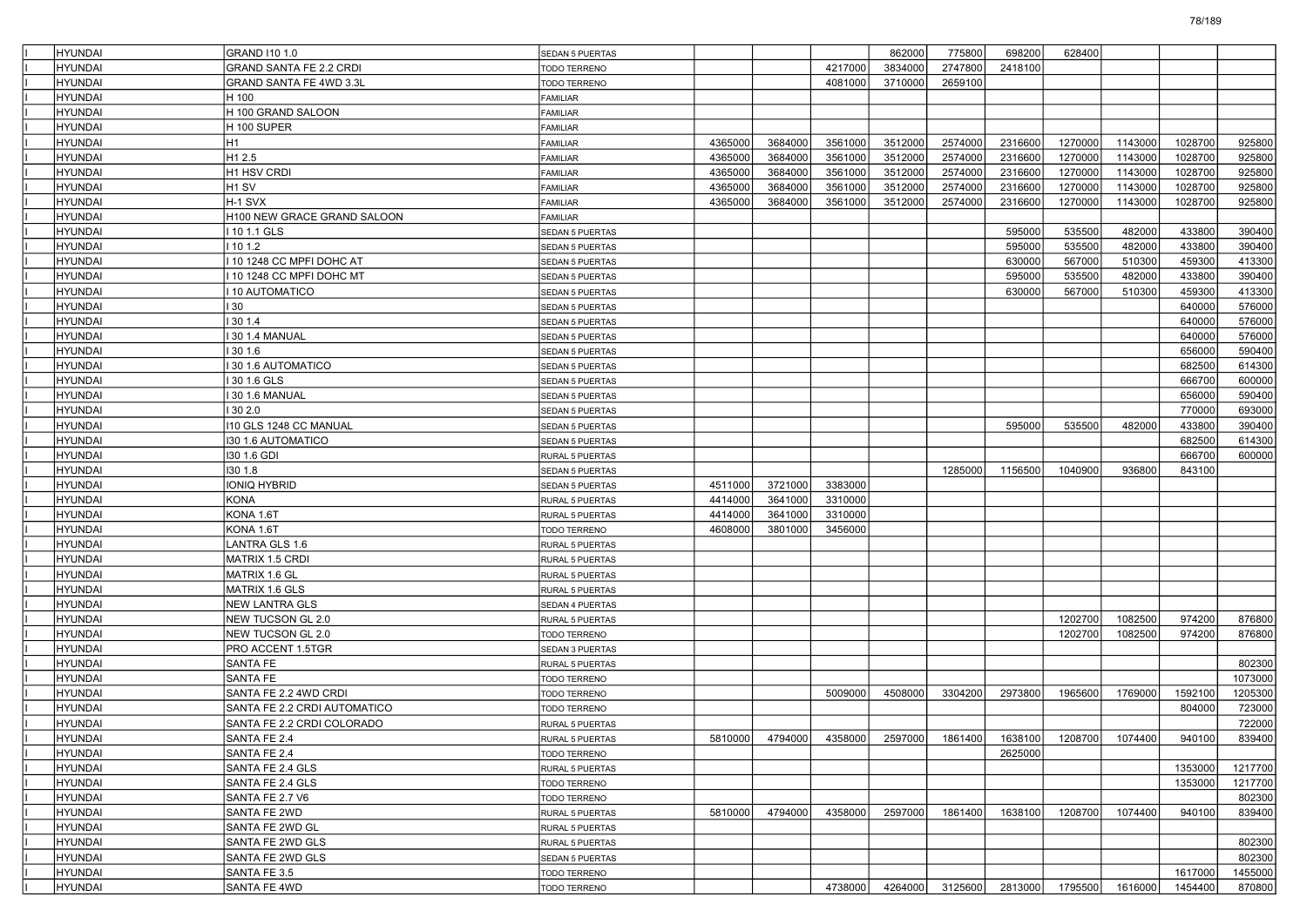| <b>HYUNDAI</b>                   | <b>GRAND 110 1.0</b>                   | <b>SEDAN 5 PUERTAS</b>          |         |         |         | 862000  | 775800                                          | 698200  | 628400  |         |         |         |
|----------------------------------|----------------------------------------|---------------------------------|---------|---------|---------|---------|-------------------------------------------------|---------|---------|---------|---------|---------|
| HYUNDAI                          | <b>GRAND SANTA FE 2.2 CRDI</b>         | TODO TERRENO                    |         |         | 4217000 | 3834000 | 2747800                                         | 2418100 |         |         |         |         |
| HYUNDAI                          | GRAND SANTA FE 4WD 3.3L                | TODO TERRENO                    |         |         | 4081000 | 3710000 | 2659100                                         |         |         |         |         |         |
| <b>HYUNDAI</b>                   | H 100                                  | FAMILIAR                        |         |         |         |         |                                                 |         |         |         |         |         |
| <b>HYUNDAI</b>                   | H 100 GRAND SALOON                     | FAMILIAR                        |         |         |         |         |                                                 |         |         |         |         |         |
| <b>HYUNDAI</b>                   | H 100 SUPER                            | FAMILIAR                        |         |         |         |         |                                                 |         |         |         |         |         |
| HYUNDAI                          | H1                                     | <b>FAMILIAR</b>                 | 4365000 | 3684000 | 3561000 | 3512000 | 2574000                                         | 2316600 | 1270000 | 1143000 | 1028700 | 925800  |
| HYUNDAI                          | H <sub>1</sub> 2.5                     | <b>FAMILIAR</b>                 | 4365000 | 3684000 | 3561000 | 3512000 | 2574000                                         | 2316600 | 1270000 | 1143000 | 1028700 | 925800  |
| <b>HYUNDAI</b>                   | H1 HSV CRDI                            | FAMILIAR                        | 4365000 | 3684000 | 3561000 | 3512000 | 2574000                                         | 2316600 | 1270000 | 1143000 | 1028700 | 925800  |
| <b>HYUNDAI</b>                   | H <sub>1</sub> SV                      | FAMILIAR                        | 4365000 | 3684000 | 3561000 | 3512000 | 2574000                                         | 2316600 | 1270000 | 1143000 | 1028700 | 925800  |
| <b>HYUNDAI</b>                   | H-1 SVX                                | FAMILIAR                        | 4365000 | 3684000 | 3561000 | 3512000 | 2574000                                         | 2316600 | 1270000 | 1143000 | 1028700 | 925800  |
| HYUNDAI                          | H100 NEW GRACE GRAND SALOON            | <b>FAMILIAR</b>                 |         |         |         |         |                                                 |         |         |         |         |         |
| HYUNDAI                          | 10 1.1 GLS                             | <b>SEDAN 5 PUERTAS</b>          |         |         |         |         |                                                 | 595000  | 535500  | 482000  | 433800  | 390400  |
| <b>HYUNDAI</b>                   | 10 1.2                                 | <b>SEDAN 5 PUERTAS</b>          |         |         |         |         |                                                 | 595000  | 535500  | 482000  | 433800  | 390400  |
| <b>HYUNDAI</b>                   | 10 1248 CC MPFI DOHC AT                | <b>SEDAN 5 PUERTAS</b>          |         |         |         |         |                                                 | 630000  | 567000  | 510300  | 459300  | 413300  |
| <b>HYUNDAI</b>                   | 10 1248 CC MPFI DOHC MT                | <b>SEDAN 5 PUERTAS</b>          |         |         |         |         |                                                 | 595000  | 535500  | 482000  | 433800  | 390400  |
| HYUNDAI                          | 10 AUTOMATICO                          | SEDAN 5 PUERTAS                 |         |         |         |         |                                                 | 630000  | 567000  | 510300  | 459300  | 413300  |
| HYUNDAI                          | 30                                     | SEDAN 5 PUERTAS                 |         |         |         |         |                                                 |         |         |         | 640000  | 576000  |
| <b>HYUNDAI</b>                   | 30 1.4                                 | <b>SEDAN 5 PUERTAS</b>          |         |         |         |         |                                                 |         |         |         | 640000  | 576000  |
| <b>HYUNDAI</b>                   | 30 1.4 MANUAL                          | <b>SEDAN 5 PUERTAS</b>          |         |         |         |         |                                                 |         |         |         | 640000  | 576000  |
| <b>HYUNDAI</b>                   | 130 1.6                                | <b>SEDAN 5 PUERTAS</b>          |         |         |         |         |                                                 |         |         |         | 656000  | 590400  |
| HYUNDAI                          | 30 1.6 AUTOMATICO                      | SEDAN 5 PUERTAS                 |         |         |         |         |                                                 |         |         |         | 682500  | 614300  |
| HYUNDAI                          | 30 1.6 GLS                             | <b>SEDAN 5 PUERTAS</b>          |         |         |         |         |                                                 |         |         |         | 666700  | 600000  |
| <b>HYUNDAI</b>                   | 30 1.6 MANUAL                          | <b>SEDAN 5 PUERTAS</b>          |         |         |         |         |                                                 |         |         |         | 656000  | 590400  |
| <b>HYUNDAI</b>                   | 30 2.0                                 | <b>SEDAN 5 PUERTAS</b>          |         |         |         |         |                                                 |         |         |         | 770000  | 693000  |
| <b>HYUNDAI</b>                   | 110 GLS 1248 CC MANUAL                 | <b>SEDAN 5 PUERTAS</b>          |         |         |         |         |                                                 | 595000  | 535500  | 482000  | 433800  | 390400  |
| HYUNDAI                          | <b>130 1.6 AUTOMATICO</b>              | SEDAN 5 PUERTAS                 |         |         |         |         |                                                 |         |         |         | 682500  | 614300  |
| HYUNDAI                          | 130 1.6 GDI                            | RURAL 5 PUERTAS                 |         |         |         |         |                                                 |         |         |         | 666700  | 600000  |
| <b>HYUNDAI</b>                   | 130 1.8                                | <b>SEDAN 5 PUERTAS</b>          |         |         |         |         | 1285000                                         | 1156500 | 1040900 | 936800  | 843100  |         |
| <b>HYUNDAI</b>                   | IONIQ HYBRID                           | <b>SEDAN 5 PUERTAS</b>          | 4511000 | 3721000 | 3383000 |         |                                                 |         |         |         |         |         |
| <b>HYUNDAI</b>                   | <b>KONA</b>                            | <b>RURAL 5 PUERTAS</b>          | 4414000 | 3641000 | 3310000 |         |                                                 |         |         |         |         |         |
| HYUNDAI                          | KONA 1.6T                              | RURAL 5 PUERTAS                 | 4414000 | 3641000 | 3310000 |         |                                                 |         |         |         |         |         |
| HYUNDAI                          | KONA 1.6T                              | TODO TERRENO                    | 4608000 | 3801000 | 3456000 |         |                                                 |         |         |         |         |         |
| <b>HYUNDAI</b>                   | LANTRA GLS 1.6                         | RURAL 5 PUERTAS                 |         |         |         |         |                                                 |         |         |         |         |         |
| <b>HYUNDAI</b>                   | MATRIX 1.5 CRDI                        | RURAL 5 PUERTAS                 |         |         |         |         |                                                 |         |         |         |         |         |
| <b>HYUNDAI</b>                   | MATRIX 1.6 GL                          | <b>RURAL 5 PUERTAS</b>          |         |         |         |         |                                                 |         |         |         |         |         |
| HYUNDAI                          | MATRIX 1.6 GLS                         | RURAL 5 PUERTAS                 |         |         |         |         |                                                 |         |         |         |         |         |
| HYUNDAI                          | <b>NEW LANTRA GLS</b>                  | <b>SEDAN 4 PUERTAS</b>          |         |         |         |         |                                                 |         | 1202700 |         | 974200  |         |
| <b>HYUNDAI</b>                   | NEW TUCSON GL 2.0                      | RURAL 5 PUERTAS                 |         |         |         |         |                                                 |         |         | 1082500 | 974200  | 876800  |
| <b>HYUNDAI</b><br><b>HYUNDAI</b> | NEW TUCSON GL 2.0<br>PRO ACCENT 1.5TGR | TODO TERRENO                    |         |         |         |         |                                                 |         | 1202700 | 1082500 |         | 876800  |
| HYUNDAI                          | SANTA FE                               | <b>SEDAN 3 PUERTAS</b>          |         |         |         |         |                                                 |         |         |         |         | 802300  |
| HYUNDAI                          | <b>SANTA FE</b>                        | RURAL 5 PUERTAS<br>TODO TERRENO |         |         |         |         |                                                 |         |         |         |         | 1073000 |
| <b>HYUNDAI</b>                   | SANTA FE 2.2 4WD CRDI                  | TODO TERRENO                    |         |         | 5009000 | 4508000 | 3304200                                         | 2973800 | 1965600 | 1769000 | 1592100 | 1205300 |
| HYUNDAI                          | SANTA FE 2.2 CRDI AUTOMATICO           | TODO TERRENO                    |         |         |         |         |                                                 |         |         |         | 804000  | 723000  |
| <b>HYUNDAI</b>                   | SANTA FE 2.2 CRDI COLORADO             | <b>RURAL 5 PUERTAS</b>          |         |         |         |         |                                                 |         |         |         |         | 722000  |
| <b>HYUNDAI</b>                   | SANTA FE 2.4                           | RURAL 5 PUERTAS                 |         |         |         |         | 5810000 4794000 4358000 2597000 1861400 1638100 |         | 1208700 | 1074400 | 940100  | 839400  |
| <b>HYUNDAI</b>                   | SANTA FE 2.4                           | TODO TERRENO                    |         |         |         |         |                                                 | 2625000 |         |         |         |         |
| HYUNDAI                          | SANTA FE 2.4 GLS                       | RURAL 5 PUERTAS                 |         |         |         |         |                                                 |         |         |         | 1353000 | 1217700 |
| <b>HYUNDAI</b>                   | SANTA FE 2.4 GLS                       | <b>TODO TERRENO</b>             |         |         |         |         |                                                 |         |         |         | 1353000 | 1217700 |
| <b>HYUNDAI</b>                   | SANTA FE 2.7 V6                        | TODO TERRENO                    |         |         |         |         |                                                 |         |         |         |         | 802300  |
| <b>HYUNDAI</b>                   | SANTA FE 2WD                           | RURAL 5 PUERTAS                 | 5810000 | 4794000 | 4358000 | 2597000 | 1861400                                         | 1638100 | 1208700 | 1074400 | 940100  | 839400  |
| <b>HYUNDAI</b>                   | SANTA FE 2WD GL                        | RURAL 5 PUERTAS                 |         |         |         |         |                                                 |         |         |         |         |         |
| <b>HYUNDAI</b>                   | SANTA FE 2WD GLS                       | RURAL 5 PUERTAS                 |         |         |         |         |                                                 |         |         |         |         | 802300  |
| <b>HYUNDAI</b>                   | SANTA FE 2WD GLS                       | SEDAN 5 PUERTAS                 |         |         |         |         |                                                 |         |         |         |         | 802300  |
| <b>HYUNDAI</b>                   | SANTA FE 3.5                           | TODO TERRENO                    |         |         |         |         |                                                 |         |         |         | 1617000 | 1455000 |
| <b>HYUNDAI</b>                   | SANTA FE 4WD                           | TODO TERRENO                    |         |         | 4738000 | 4264000 | 3125600                                         | 2813000 | 1795500 | 1616000 | 1454400 | 870800  |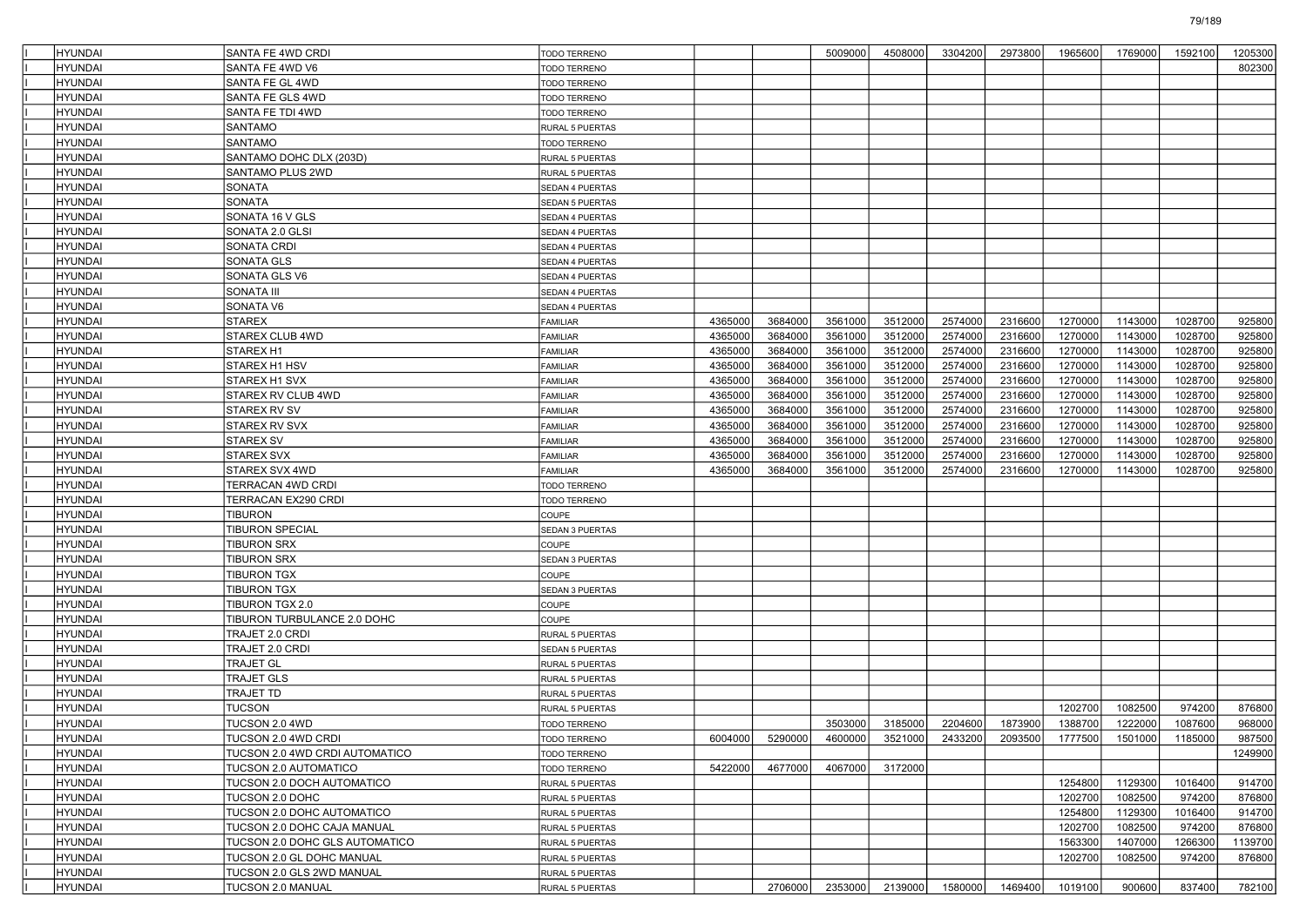| HYUNDAI            | SANTA FE 4WD CRDI                        | <b>TODO TERRENO</b>                        |         |         | 5009000         | 4508000            | 3304200            | 2973800                 | 1965600            | 1769000            | 1592100            | 1205300          |
|--------------------|------------------------------------------|--------------------------------------------|---------|---------|-----------------|--------------------|--------------------|-------------------------|--------------------|--------------------|--------------------|------------------|
| HYUNDAI            | SANTA FE 4WD V6                          | <b>FODO TERRENO</b>                        |         |         |                 |                    |                    |                         |                    |                    |                    | 802300           |
| HYUNDAI            | SANTA FE GL 4WD                          | TODO TERRENO                               |         |         |                 |                    |                    |                         |                    |                    |                    |                  |
| HYUNDAI            | SANTA FE GLS 4WD                         | TODO TERRENO                               |         |         |                 |                    |                    |                         |                    |                    |                    |                  |
| HYUNDAI            | <b>SANTA FE TDI 4WD</b>                  | TODO TERRENO                               |         |         |                 |                    |                    |                         |                    |                    |                    |                  |
| HYUNDAI            | SANTAMO                                  | RURAL 5 PUERTAS                            |         |         |                 |                    |                    |                         |                    |                    |                    |                  |
| HYUNDAI            | <b>SANTAMO</b>                           | TODO TERRENO                               |         |         |                 |                    |                    |                         |                    |                    |                    |                  |
| HYUNDAI            | SANTAMO DOHC DLX (203D)                  | <b>RURAL 5 PUERTAS</b>                     |         |         |                 |                    |                    |                         |                    |                    |                    |                  |
| HYUNDAI            | SANTAMO PLUS 2WD                         | <b>RURAL 5 PUERTAS</b>                     |         |         |                 |                    |                    |                         |                    |                    |                    |                  |
| HYUNDAI            | SONATA                                   | <b>SEDAN 4 PUERTAS</b>                     |         |         |                 |                    |                    |                         |                    |                    |                    |                  |
| HYUNDAI            | SONATA                                   | <b>SEDAN 5 PUERTAS</b>                     |         |         |                 |                    |                    |                         |                    |                    |                    |                  |
| HYUNDAI            | SONATA 16 V GLS                          | SEDAN 4 PUERTAS                            |         |         |                 |                    |                    |                         |                    |                    |                    |                  |
| HYUNDAI            | SONATA 2.0 GLSI                          | SEDAN 4 PUERTAS                            |         |         |                 |                    |                    |                         |                    |                    |                    |                  |
| HYUNDAI            | SONATA CRDI                              | <b>SEDAN 4 PUERTAS</b>                     |         |         |                 |                    |                    |                         |                    |                    |                    |                  |
| HYUNDAI            | SONATA GLS                               | <b>SEDAN 4 PUERTAS</b>                     |         |         |                 |                    |                    |                         |                    |                    |                    |                  |
| HYUNDAI            | SONATA GLS V6                            | SEDAN 4 PUERTAS                            |         |         |                 |                    |                    |                         |                    |                    |                    |                  |
| HYUNDAI            | <b>SONATA III</b>                        | SEDAN 4 PUERTAS                            |         |         |                 |                    |                    |                         |                    |                    |                    |                  |
| HYUNDAI            | SONATA V6                                | SEDAN 4 PUERTAS                            |         |         |                 |                    |                    |                         |                    |                    |                    |                  |
| HYUNDAI            | <b>STAREX</b>                            | <b>FAMILIAR</b>                            | 4365000 | 3684000 | 3561000         | 3512000            | 2574000            | 2316600                 | 1270000            | 1143000            | 1028700            | 925800           |
| HYUNDAI            | <b>STAREX CLUB 4WD</b>                   | FAMILIAR                                   | 4365000 | 3684000 | 3561000         | 3512000            | 2574000            | 2316600                 | 1270000            | 1143000            | 1028700            | 925800           |
| HYUNDAI            | STAREX H1                                | <b>FAMILIAR</b>                            | 4365000 | 3684000 | 3561000         | 3512000            | 2574000            | 2316600                 | 1270000            | 1143000            | 1028700            | 925800           |
| HYUNDAI            | STAREX H1 HSV                            | <b>FAMILIAR</b>                            | 4365000 | 3684000 | 3561000         | 3512000            | 2574000            | 2316600                 | 1270000            | 1143000            | 1028700            | 925800           |
| HYUNDAI            | STAREX H1 SVX                            | <b>FAMILIAR</b>                            | 4365000 | 3684000 | 3561000         | 3512000            | 2574000            | 2316600                 | 1270000            | 1143000            | 1028700            | 925800           |
| HYUNDAI            | STAREX RV CLUB 4WD                       | <b>FAMILIAR</b>                            | 4365000 | 3684000 | 3561000         | 3512000            | 2574000            | 2316600                 | 1270000            | 1143000            | 1028700            | 925800           |
| HYUNDAI            | STAREX RV SV                             | FAMILIAR                                   | 4365000 | 3684000 | 3561000         | 3512000            | 2574000            | 2316600                 | 1270000            | 1143000            | 1028700<br>1028700 | 925800           |
| HYUNDAI            | <b>STAREX RV SVX</b>                     | <b>FAMILIAR</b>                            | 4365000 | 3684000 | 3561000         | 3512000            | 2574000            | 2316600                 | 1270000            | 1143000            |                    | 925800           |
| HYUNDAI            | <b>STAREX SV</b>                         | <b>FAMILIAR</b>                            | 4365000 | 3684000 | 3561000         | 3512000<br>3512000 | 2574000<br>2574000 | 2316600<br>2316600      | 1270000<br>1270000 | 1143000<br>1143000 | 1028700<br>1028700 | 925800<br>925800 |
| HYUNDAI            | <b>STAREX SVX</b>                        | <b>FAMILIAR</b>                            | 4365000 | 3684000 | 3561000         |                    |                    |                         | 1270000            |                    | 1028700            | 925800           |
| HYUNDAI            | STAREX SVX 4WD                           | <b>FAMILIAR</b>                            | 4365000 | 3684000 | 3561000         | 3512000            | 2574000            | 2316600                 |                    | 1143000            |                    |                  |
| HYUNDAI<br>HYUNDAI | TERRACAN 4WD CRDI<br>TERRACAN EX290 CRDI | <b>TODO TERRENO</b><br><b>TODO TERRENO</b> |         |         |                 |                    |                    |                         |                    |                    |                    |                  |
| HYUNDAI            | <b>TIBURON</b>                           | COUPE                                      |         |         |                 |                    |                    |                         |                    |                    |                    |                  |
| HYUNDAI            | <b>TIBURON SPECIAL</b>                   | <b>SEDAN 3 PUERTAS</b>                     |         |         |                 |                    |                    |                         |                    |                    |                    |                  |
| HYUNDAI            | TIBURON SRX                              | COUPE                                      |         |         |                 |                    |                    |                         |                    |                    |                    |                  |
| HYUNDAI            | TIBURON SRX                              | SEDAN 3 PUERTAS                            |         |         |                 |                    |                    |                         |                    |                    |                    |                  |
| HYUNDAI            | <b>TIBURON TGX</b>                       | COUPE                                      |         |         |                 |                    |                    |                         |                    |                    |                    |                  |
| HYUNDAI            | TIBURON TGX                              | SEDAN 3 PUERTAS                            |         |         |                 |                    |                    |                         |                    |                    |                    |                  |
| HYUNDAI            | TIBURON TGX 2.0                          | COUPE                                      |         |         |                 |                    |                    |                         |                    |                    |                    |                  |
| HYUNDAI            | TIBURON TURBULANCE 2.0 DOHC              | <b>COUPE</b>                               |         |         |                 |                    |                    |                         |                    |                    |                    |                  |
| HYUNDAI            | TRAJET 2.0 CRDI                          | RURAL 5 PUERTAS                            |         |         |                 |                    |                    |                         |                    |                    |                    |                  |
| HYUNDAI            | TRAJET 2.0 CRDI                          | <b>SEDAN 5 PUERTAS</b>                     |         |         |                 |                    |                    |                         |                    |                    |                    |                  |
| HYUNDAI            | <b>TRAJET GL</b>                         | RURAL 5 PUERTAS                            |         |         |                 |                    |                    |                         |                    |                    |                    |                  |
| HYUNDAI            | <b>TRAJET GLS</b>                        | RURAL 5 PUERTAS                            |         |         |                 |                    |                    |                         |                    |                    |                    |                  |
| HYUNDAI            | TRAJET TD                                | RURAL 5 PUERTAS                            |         |         |                 |                    |                    |                         |                    |                    |                    |                  |
| HYUNDAI            | <b>TUCSON</b>                            | RURAL 5 PUERTAS                            |         |         |                 |                    |                    |                         | 1202700            | 1082500            | 974200             | 876800           |
| <b>HYUNDAI</b>     | TUCSON 2.0 4WD                           | TODO TERRENO                               |         |         | 3503000         | 3185000            | 2204600            | 1873900                 | 1388700            | 1222000            | 1087600            | 968000           |
| HYUNDAI            | TUCSON 2.0 4WD CRDI                      | <b>TODO TERRENO</b>                        | 6004000 |         | 5290000 4600000 |                    |                    | 3521000 2433200 2093500 |                    | 1777500 1501000    | 1185000            | 987500           |
| HYUNDAI            | TUCSON 2.0 4WD CRDI AUTOMATICO           | TODO TERRENO                               |         |         |                 |                    |                    |                         |                    |                    |                    | 1249900          |
| <b>HYUNDAI</b>     | TUCSON 2.0 AUTOMATICO                    | <b>TODO TERRENO</b>                        | 5422000 | 4677000 | 4067000         | 3172000            |                    |                         |                    |                    |                    |                  |
| <b>HYUNDAI</b>     | TUCSON 2.0 DOCH AUTOMATICO               | RURAL 5 PUERTAS                            |         |         |                 |                    |                    |                         | 1254800            | 1129300            | 1016400            | 914700           |
| <b>HYUNDAI</b>     | TUCSON 2.0 DOHC                          | RURAL 5 PUERTAS                            |         |         |                 |                    |                    |                         | 1202700            | 1082500            | 974200             | 876800           |
| HYUNDAI            | TUCSON 2.0 DOHC AUTOMATICO               | RURAL 5 PUERTAS                            |         |         |                 |                    |                    |                         | 1254800            | 1129300            | 1016400            | 914700           |
| HYUNDAI            | TUCSON 2.0 DOHC CAJA MANUAL              | RURAL 5 PUERTAS                            |         |         |                 |                    |                    |                         | 1202700            | 1082500            | 974200             | 876800           |
| <b>HYUNDAI</b>     | TUCSON 2.0 DOHC GLS AUTOMATICO           | RURAL 5 PUERTAS                            |         |         |                 |                    |                    |                         | 1563300            | 1407000            | 1266300            | 1139700          |
| <b>HYUNDAI</b>     | TUCSON 2.0 GL DOHC MANUAL                | RURAL 5 PUERTAS                            |         |         |                 |                    |                    |                         |                    |                    | 974200             | 876800           |
|                    |                                          |                                            |         |         |                 |                    |                    |                         |                    |                    |                    |                  |
| <b>HYUNDAI</b>     | TUCSON 2.0 GLS 2WD MANUAL                | RURAL 5 PUERTAS                            |         |         |                 |                    |                    |                         | 1202700            | 1082500            |                    |                  |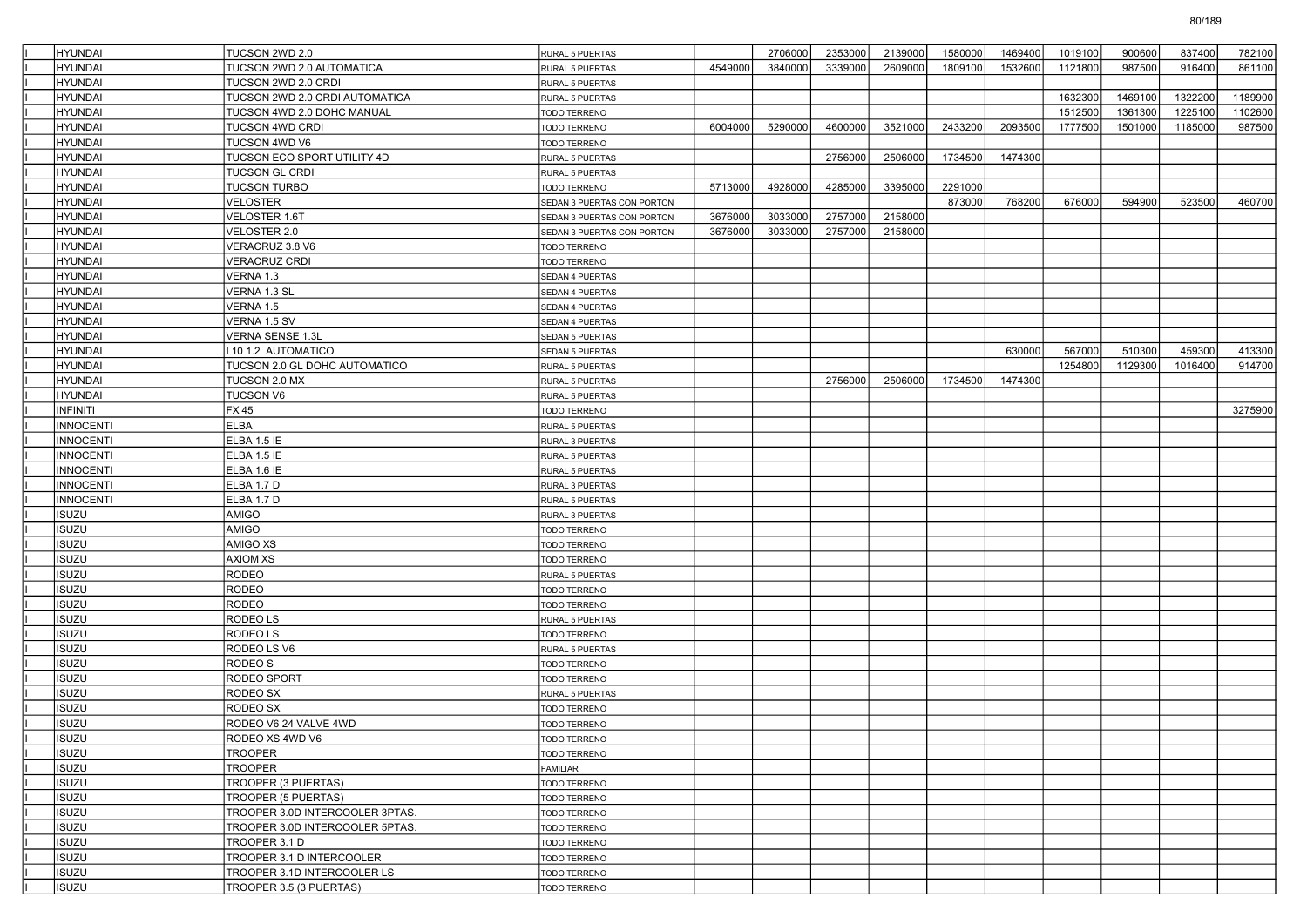| <b>HYUNDAI</b>        | TUCSON 2WD 2.0                                           | RURAL 5 PUERTAS              |         | 2706000 | 2353000 | 2139000 | 1580000 | 1469400 | 1019100 | 900600  | 837400  | 782100  |
|-----------------------|----------------------------------------------------------|------------------------------|---------|---------|---------|---------|---------|---------|---------|---------|---------|---------|
| <b>HYUNDAI</b>        | TUCSON 2WD 2.0 AUTOMATICA                                | RURAL 5 PUERTAS              | 4549000 | 3840000 | 3339000 | 2609000 | 1809100 | 1532600 | 1121800 | 987500  | 916400  | 861100  |
| <b>HYUNDAI</b>        | TUCSON 2WD 2.0 CRDI                                      | RURAL 5 PUERTAS              |         |         |         |         |         |         |         |         |         |         |
| <b>HYUNDAI</b>        | TUCSON 2WD 2.0 CRDI AUTOMATICA                           | RURAL 5 PUERTAS              |         |         |         |         |         |         | 1632300 | 1469100 | 1322200 | 1189900 |
| <b>HYUNDAI</b>        | TUCSON 4WD 2.0 DOHC MANUAL                               | <b>TODO TERRENO</b>          |         |         |         |         |         |         | 1512500 | 1361300 | 1225100 | 1102600 |
| <b>HYUNDAI</b>        | TUCSON 4WD CRDI                                          | <b>TODO TERRENO</b>          | 6004000 | 5290000 | 4600000 | 3521000 | 2433200 | 2093500 | 1777500 | 1501000 | 1185000 | 987500  |
| HYUNDAI               | TUCSON 4WD V6                                            | TODO TERRENO                 |         |         |         |         |         |         |         |         |         |         |
| <b>HYUNDAI</b>        | TUCSON ECO SPORT UTILITY 4D                              | RURAL 5 PUERTAS              |         |         | 2756000 | 2506000 | 1734500 | 1474300 |         |         |         |         |
| <b>HYUNDAI</b>        | TUCSON GL CRDI                                           | RURAL 5 PUERTAS              |         |         |         |         |         |         |         |         |         |         |
| <b>HYUNDAI</b>        | <b>TUCSON TURBO</b>                                      | TODO TERRENO                 | 5713000 | 4928000 | 4285000 | 3395000 | 2291000 |         |         |         |         |         |
| <b>HYUNDAI</b>        | VELOSTER                                                 | SEDAN 3 PUERTAS CON PORTON   |         |         |         |         | 873000  | 768200  | 676000  | 594900  | 523500  | 460700  |
| <b>HYUNDAI</b>        | <b>VELOSTER 1.6T</b>                                     | SEDAN 3 PUERTAS CON PORTON   | 3676000 | 3033000 | 2757000 | 2158000 |         |         |         |         |         |         |
| <b>HYUNDAI</b>        | <b>VELOSTER 2.0</b>                                      | SEDAN 3 PUERTAS CON PORTON   | 3676000 | 3033000 | 2757000 | 2158000 |         |         |         |         |         |         |
| <b>HYUNDAI</b>        | VERACRUZ 3.8 V6                                          | TODO TERRENO                 |         |         |         |         |         |         |         |         |         |         |
| <b>HYUNDAI</b>        | <b>VERACRUZ CRDI</b>                                     | TODO TERRENO                 |         |         |         |         |         |         |         |         |         |         |
| <b>HYUNDAI</b>        | VERNA 1.3                                                | <b>SEDAN 4 PUERTAS</b>       |         |         |         |         |         |         |         |         |         |         |
| <b>HYUNDAI</b>        | VERNA 1.3 SL                                             | SEDAN 4 PUERTAS              |         |         |         |         |         |         |         |         |         |         |
| <b>HYUNDAI</b>        | VERNA 1.5                                                | SEDAN 4 PUERTAS              |         |         |         |         |         |         |         |         |         |         |
| <b>HYUNDAI</b>        | VERNA 1.5 SV                                             | <b>SEDAN 4 PUERTAS</b>       |         |         |         |         |         |         |         |         |         |         |
| <b>HYUNDAI</b>        | VERNA SENSE 1.3L                                         | SEDAN 5 PUERTAS              |         |         |         |         |         |         |         |         |         |         |
| <b>HYUNDAI</b>        | 10 1.2 AUTOMATICO                                        | <b>SEDAN 5 PUERTAS</b>       |         |         |         |         |         | 630000  | 567000  | 510300  | 459300  | 413300  |
| <b>HYUNDAI</b>        | TUCSON 2.0 GL DOHC AUTOMATICO                            | RURAL 5 PUERTAS              |         |         |         |         |         |         | 1254800 | 1129300 | 1016400 | 914700  |
| <b>HYUNDAI</b>        | TUCSON 2.0 MX                                            | <b>RURAL 5 PUERTAS</b>       |         |         | 2756000 | 2506000 | 1734500 | 1474300 |         |         |         |         |
| <b>HYUNDAI</b>        | <b>TUCSON V6</b>                                         | RURAL 5 PUERTAS              |         |         |         |         |         |         |         |         |         |         |
| <b>INFINITI</b>       | FX 45                                                    | TODO TERRENO                 |         |         |         |         |         |         |         |         |         | 3275900 |
| <b>INNOCENTI</b>      | ELBA                                                     | RURAL 5 PUERTAS              |         |         |         |         |         |         |         |         |         |         |
| <b>INNOCENTI</b>      | ELBA 1.5 IE                                              | RURAL 3 PUERTAS              |         |         |         |         |         |         |         |         |         |         |
| <b>INNOCENTI</b>      | ELBA 1.5 IE                                              | <b>RURAL 5 PUERTAS</b>       |         |         |         |         |         |         |         |         |         |         |
| <b>INNOCENTI</b>      | ELBA 1.6 IE                                              | RURAL 5 PUERTAS              |         |         |         |         |         |         |         |         |         |         |
| <b>INNOCENTI</b>      | ELBA 1.7 D                                               | RURAL 3 PUERTAS              |         |         |         |         |         |         |         |         |         |         |
| <b>INNOCENTI</b>      | ELBA 1.7 D                                               | RURAL 5 PUERTAS              |         |         |         |         |         |         |         |         |         |         |
| <b>ISUZU</b>          | AMIGO                                                    | RURAL 3 PUERTAS              |         |         |         |         |         |         |         |         |         |         |
| <b>ISUZU</b>          | AMIGO                                                    | <b>TODO TERRENO</b>          |         |         |         |         |         |         |         |         |         |         |
| <b>ISUZU</b>          | AMIGO XS                                                 | TODO TERRENO                 |         |         |         |         |         |         |         |         |         |         |
| <b>ISUZU</b>          | <b>AXIOM XS</b>                                          | <b>TODO TERRENO</b>          |         |         |         |         |         |         |         |         |         |         |
| <b>ISUZU</b>          | RODEO                                                    | <b>RURAL 5 PUERTAS</b>       |         |         |         |         |         |         |         |         |         |         |
| <b>ISUZU</b>          | RODEO                                                    | TODO TERRENO                 |         |         |         |         |         |         |         |         |         |         |
| <b>ISUZU</b>          | RODEO                                                    | <b>TODO TERRENO</b>          |         |         |         |         |         |         |         |         |         |         |
| <b>ISUZU</b>          | RODEO LS                                                 | RURAL 5 PUERTAS              |         |         |         |         |         |         |         |         |         |         |
| <b>ISUZU</b>          | RODEO LS                                                 | TODO TERRENO                 |         |         |         |         |         |         |         |         |         |         |
| <b>ISUZU</b>          | RODEO LS V6                                              | <b>RURAL 5 PUERTAS</b>       |         |         |         |         |         |         |         |         |         |         |
| <b>ISUZU</b>          | RODEO S                                                  | TODO TERRENO                 |         |         |         |         |         |         |         |         |         |         |
| <b>ISUZU</b>          | RODEO SPORT                                              | <b>TODO TERRENO</b>          |         |         |         |         |         |         |         |         |         |         |
| <b>ISUZU</b>          | RODEO SX                                                 | RURAL 5 PUERTAS              |         |         |         |         |         |         |         |         |         |         |
| <b>ISUZU</b>          | RODEO SX                                                 | TODO TERRENO                 |         |         |         |         |         |         |         |         |         |         |
| <b>ISUZU</b>          | RODEO V6 24 VALVE 4WD                                    | <b>TODO TERRENO</b>          |         |         |         |         |         |         |         |         |         |         |
| <b>ISUZU</b>          | RODEO XS 4WD V6                                          | TODO TERRENO                 |         |         |         |         |         |         |         |         |         |         |
| <b>ISUZU</b>          | <b>TROOPER</b>                                           | TODO TERRENO                 |         |         |         |         |         |         |         |         |         |         |
| <b>ISUZU</b>          | <b>TROOPER</b>                                           | FAMILIAR                     |         |         |         |         |         |         |         |         |         |         |
| <b>ISUZU</b>          | TROOPER (3 PUERTAS)                                      | TODO TERRENO                 |         |         |         |         |         |         |         |         |         |         |
| <b>ISUZU</b>          | TROOPER (5 PUERTAS)                                      | TODO TERRENO                 |         |         |         |         |         |         |         |         |         |         |
| <b>ISUZU</b>          | TROOPER 3.0D INTERCOOLER 3PTAS.                          | TODO TERRENO                 |         |         |         |         |         |         |         |         |         |         |
| <b>ISUZU</b>          | TROOPER 3.0D INTERCOOLER 5PTAS.                          | TODO TERRENO                 |         |         |         |         |         |         |         |         |         |         |
| <b>ISUZU</b>          | TROOPER 3.1 D                                            | TODO TERRENO                 |         |         |         |         |         |         |         |         |         |         |
| <b>ISUZU</b><br>ISUZU | TROOPER 3.1 D INTERCOOLER<br>TROOPER 3.1D INTERCOOLER LS | TODO TERRENO<br>TODO TERRENO |         |         |         |         |         |         |         |         |         |         |
| <b>ISUZU</b>          | TROOPER 3.5 (3 PUERTAS)                                  | TODO TERRENO                 |         |         |         |         |         |         |         |         |         |         |
|                       |                                                          |                              |         |         |         |         |         |         |         |         |         |         |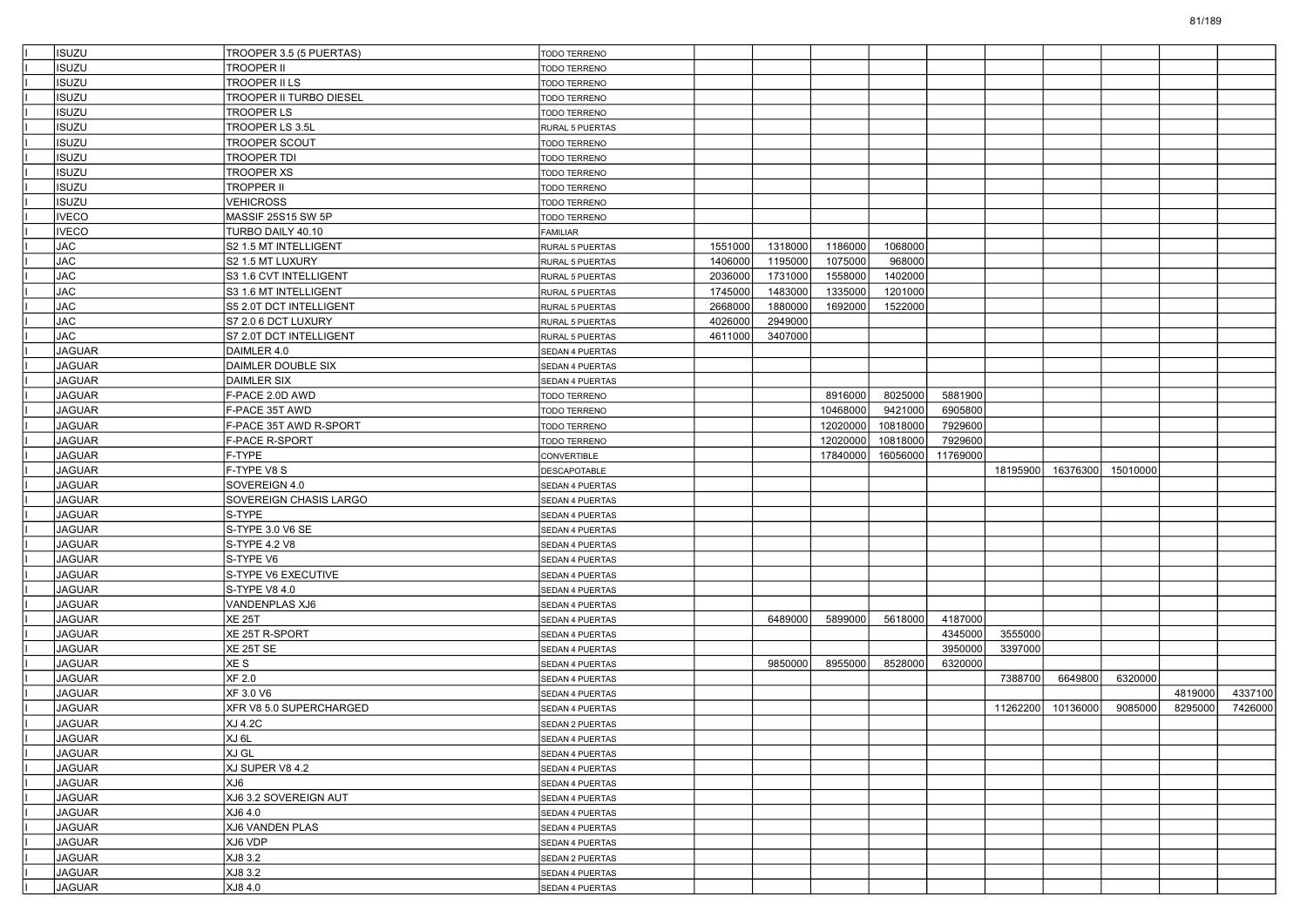| ISUZU         | TROOPER 3.5 (5 PUERTAS)        | TODO TERRENO                       |         |         |          |          |          |          |          |          |         |         |
|---------------|--------------------------------|------------------------------------|---------|---------|----------|----------|----------|----------|----------|----------|---------|---------|
| ISUZU         | TROOPER II                     | TODO TERRENO                       |         |         |          |          |          |          |          |          |         |         |
| <b>ISUZU</b>  | TROOPER II LS                  | <b>TODO TERRENO</b>                |         |         |          |          |          |          |          |          |         |         |
| <b>ISUZU</b>  | <b>TROOPER II TURBO DIESEL</b> | <b>TODO TERRENO</b>                |         |         |          |          |          |          |          |          |         |         |
| <b>ISUZU</b>  | TROOPER LS                     | <b>TODO TERRENO</b>                |         |         |          |          |          |          |          |          |         |         |
| <b>ISUZU</b>  | TROOPER LS 3.5L                | RURAL 5 PUERTAS                    |         |         |          |          |          |          |          |          |         |         |
| ISUZU         | <b>TROOPER SCOUT</b>           | TODO TERRENO                       |         |         |          |          |          |          |          |          |         |         |
| <b>ISUZU</b>  | <b>TROOPER TDI</b>             | <b>TODO TERRENO</b>                |         |         |          |          |          |          |          |          |         |         |
| <b>ISUZU</b>  | TROOPER XS                     | <b>TODO TERRENO</b>                |         |         |          |          |          |          |          |          |         |         |
| <b>ISUZU</b>  | TROPPER II                     | <b>TODO TERRENO</b>                |         |         |          |          |          |          |          |          |         |         |
| <b>ISUZU</b>  | VEHICROSS                      | TODO TERRENO                       |         |         |          |          |          |          |          |          |         |         |
| <b>VECO</b>   | MASSIF 25S15 SW 5P             | TODO TERRENO                       |         |         |          |          |          |          |          |          |         |         |
| <b>IVECO</b>  | TURBO DAILY 40.10              | <b>FAMILIAR</b>                    |         |         |          |          |          |          |          |          |         |         |
| JAC           | S2 1.5 MT INTELLIGENT          | RURAL 5 PUERTAS                    | 1551000 | 1318000 | 1186000  | 1068000  |          |          |          |          |         |         |
| JAC           | S2 1.5 MT LUXURY               | RURAL 5 PUERTAS                    | 1406000 | 1195000 | 1075000  | 968000   |          |          |          |          |         |         |
| <b>JAC</b>    | S3 1.6 CVT INTELLIGENT         | RURAL 5 PUERTAS                    | 2036000 | 1731000 | 1558000  | 1402000  |          |          |          |          |         |         |
| <b>JAC</b>    | S3 1.6 MT INTELLIGENT          | RURAL 5 PUERTAS                    | 1745000 | 1483000 | 1335000  | 1201000  |          |          |          |          |         |         |
| JAC           | S5 2.0T DCT INTELLIGENT        | RURAL 5 PUERTAS                    | 2668000 | 1880000 | 1692000  | 1522000  |          |          |          |          |         |         |
| <b>JAC</b>    | S7 2.0 6 DCT LUXURY            | RURAL 5 PUERTAS                    | 4026000 | 2949000 |          |          |          |          |          |          |         |         |
| JAC           | S7 2.0T DCT INTELLIGENT        | RURAL 5 PUERTAS                    | 4611000 | 3407000 |          |          |          |          |          |          |         |         |
| <b>JAGUAR</b> | DAIMLER 4.0                    | SEDAN 4 PUERTAS                    |         |         |          |          |          |          |          |          |         |         |
| <b>JAGUAR</b> | DAIMLER DOUBLE SIX             | SEDAN 4 PUERTAS                    |         |         |          |          |          |          |          |          |         |         |
| <b>JAGUAR</b> | <b>DAIMLER SIX</b>             | <b>SEDAN 4 PUERTAS</b>             |         |         |          |          |          |          |          |          |         |         |
| <b>JAGUAR</b> | F-PACE 2.0D AWD                | <b>TODO TERRENO</b>                |         |         | 8916000  | 8025000  | 5881900  |          |          |          |         |         |
| <b>JAGUAR</b> | F-PACE 35T AWD                 | TODO TERRENO                       |         |         | 10468000 | 9421000  | 6905800  |          |          |          |         |         |
| <b>JAGUAR</b> | F-PACE 35T AWD R-SPORT         | TODO TERRENO                       |         |         | 12020000 | 10818000 | 7929600  |          |          |          |         |         |
| <b>JAGUAR</b> | <b>F-PACE R-SPORT</b>          | <b>TODO TERRENO</b>                |         |         | 12020000 | 10818000 | 7929600  |          |          |          |         |         |
| <b>JAGUAR</b> | F-TYPE                         | CONVERTIBLE                        |         |         | 17840000 | 16056000 | 11769000 |          |          |          |         |         |
| <b>JAGUAR</b> | F-TYPE V8 S                    | <b>DESCAPOTABLE</b>                |         |         |          |          |          | 18195900 | 16376300 | 15010000 |         |         |
| <b>JAGUAR</b> | SOVEREIGN 4.0                  | SEDAN 4 PUERTAS                    |         |         |          |          |          |          |          |          |         |         |
| <b>JAGUAR</b> | SOVEREIGN CHASIS LARGO         | SEDAN 4 PUERTAS                    |         |         |          |          |          |          |          |          |         |         |
| <b>JAGUAR</b> | S-TYPE                         | SEDAN 4 PUERTAS                    |         |         |          |          |          |          |          |          |         |         |
| <b>JAGUAR</b> | S-TYPE 3.0 V6 SE               | <b>SEDAN 4 PUERTAS</b>             |         |         |          |          |          |          |          |          |         |         |
| <b>JAGUAR</b> | S-TYPE 4.2 V8                  | SEDAN 4 PUERTAS                    |         |         |          |          |          |          |          |          |         |         |
| <b>JAGUAR</b> | S-TYPE V6                      | SEDAN 4 PUERTAS                    |         |         |          |          |          |          |          |          |         |         |
| <b>JAGUAR</b> | S-TYPE V6 EXECUTIVE            | SEDAN 4 PUERTAS                    |         |         |          |          |          |          |          |          |         |         |
| <b>JAGUAR</b> | S-TYPE V8 4.0                  | SEDAN 4 PUERTAS                    |         |         |          |          |          |          |          |          |         |         |
| <b>JAGUAR</b> | VANDENPLAS XJ6                 | <b>SEDAN 4 PUERTAS</b>             |         |         |          |          |          |          |          |          |         |         |
| <b>JAGUAR</b> | <b>XE 25T</b>                  | SEDAN 4 PUERTAS                    |         | 6489000 | 5899000  | 5618000  | 4187000  |          |          |          |         |         |
| <b>JAGUAR</b> | XE 25T R-SPORT                 | SEDAN 4 PUERTAS                    |         |         |          |          | 4345000  | 3555000  |          |          |         |         |
| <b>JAGUAR</b> | XE 25T SE                      | SEDAN 4 PUERTAS                    |         |         |          |          | 3950000  | 3397000  |          |          |         |         |
| <b>JAGUAR</b> | XE S                           | SEDAN 4 PUERTAS                    |         | 9850000 | 8955000  | 8528000  | 6320000  |          |          |          |         |         |
| <b>JAGUAR</b> | XF 2.0                         | SEDAN 4 PUERTAS                    |         |         |          |          |          | 7388700  | 6649800  | 6320000  |         |         |
| <b>JAGUAR</b> | XF 3.0 V6                      | SEDAN 4 PUERTAS                    |         |         |          |          |          |          |          |          | 4819000 | 4337100 |
| <b>JAGUAR</b> | XFR V8 5.0 SUPERCHARGED        | SEDAN 4 PUERTAS                    |         |         |          |          |          | 11262200 | 10136000 | 9085000  | 8295000 | 7426000 |
| <b>JAGUAR</b> | XJ 4.2C                        | SEDAN 2 PUERTAS                    |         |         |          |          |          |          |          |          |         |         |
| JAGUAR        | XJ 6L                          | SEDAN 4 PUERTAS                    |         |         |          |          |          |          |          |          |         |         |
| <b>JAGUAR</b> | XJ GL                          | SEDAN 4 PUERTAS                    |         |         |          |          |          |          |          |          |         |         |
| JAGUAR        | XJ SUPER V8 4.2                | SEDAN 4 PUERTAS                    |         |         |          |          |          |          |          |          |         |         |
| JAGUAR        | XJ6                            | SEDAN 4 PUERTAS                    |         |         |          |          |          |          |          |          |         |         |
| JAGUAR        | XJ6 3.2 SOVEREIGN AUT          | SEDAN 4 PUERTAS                    |         |         |          |          |          |          |          |          |         |         |
| <b>JAGUAR</b> | XJ6 4.0                        |                                    |         |         |          |          |          |          |          |          |         |         |
| JAGUAR        | XJ6 VANDEN PLAS                | SEDAN 4 PUERTAS                    |         |         |          |          |          |          |          |          |         |         |
| JAGUAR        | XJ6 VDP                        | SEDAN 4 PUERTAS                    |         |         |          |          |          |          |          |          |         |         |
| JAGUAR        | XJ8 3.2                        | SEDAN 4 PUERTAS                    |         |         |          |          |          |          |          |          |         |         |
| JAGUAR        | XJ8 3.2                        | SEDAN 2 PUERTAS                    |         |         |          |          |          |          |          |          |         |         |
| JAGUAR        | XJ8 4.0                        | SEDAN 4 PUERTAS<br>SEDAN 4 PUERTAS |         |         |          |          |          |          |          |          |         |         |
|               |                                |                                    |         |         |          |          |          |          |          |          |         |         |

81/189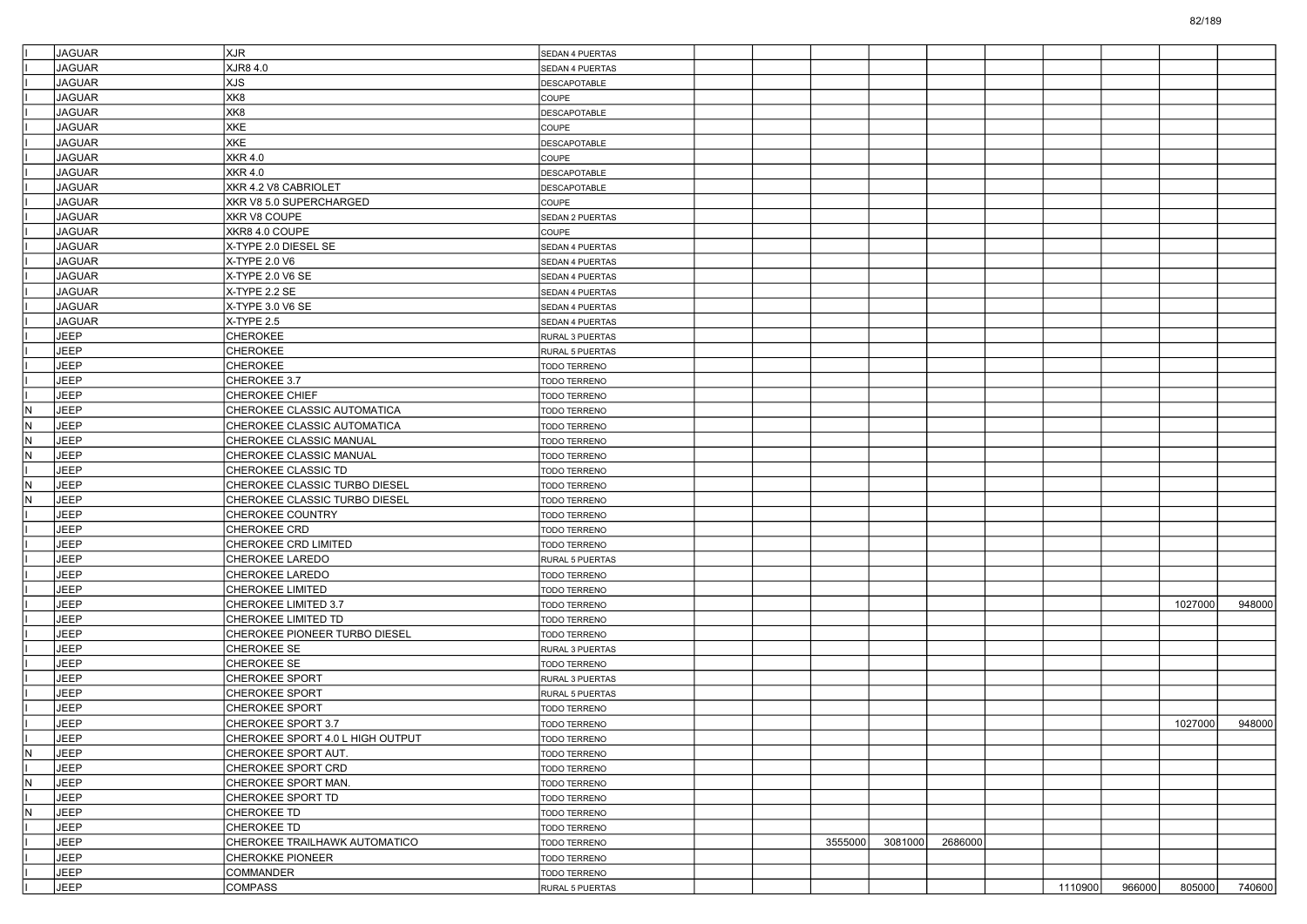|     | <b>JAGUAR</b> | <b>XJR</b>                       | <b>SEDAN 4 PUERTAS</b> |  |         |         |         |         |        |         |        |
|-----|---------------|----------------------------------|------------------------|--|---------|---------|---------|---------|--------|---------|--------|
|     | <b>JAGUAR</b> | XJR8 4.0                         | SEDAN 4 PUERTAS        |  |         |         |         |         |        |         |        |
|     | <b>JAGUAR</b> | XJS                              | DESCAPOTABLE           |  |         |         |         |         |        |         |        |
|     | <b>JAGUAR</b> | XK8                              | COUPE                  |  |         |         |         |         |        |         |        |
|     | <b>JAGUAR</b> | XK8                              | DESCAPOTABLE           |  |         |         |         |         |        |         |        |
|     | <b>JAGUAR</b> | XKE                              | COUPE                  |  |         |         |         |         |        |         |        |
|     | <b>JAGUAR</b> | XKE                              | DESCAPOTABLE           |  |         |         |         |         |        |         |        |
|     | <b>JAGUAR</b> | <b>XKR 4.0</b>                   | COUPE                  |  |         |         |         |         |        |         |        |
|     | <b>JAGUAR</b> | XKR 4.0                          | DESCAPOTABLE           |  |         |         |         |         |        |         |        |
|     | <b>JAGUAR</b> | XKR 4.2 V8 CABRIOLET             | DESCAPOTABLE           |  |         |         |         |         |        |         |        |
|     | <b>JAGUAR</b> | XKR V8 5.0 SUPERCHARGED          | COUPE                  |  |         |         |         |         |        |         |        |
|     | <b>JAGUAR</b> | XKR V8 COUPE                     | SEDAN 2 PUERTAS        |  |         |         |         |         |        |         |        |
|     | <b>JAGUAR</b> | XKR8 4.0 COUPE                   | COUPE                  |  |         |         |         |         |        |         |        |
|     | <b>JAGUAR</b> | X-TYPE 2.0 DIESEL SE             | SEDAN 4 PUERTAS        |  |         |         |         |         |        |         |        |
|     | <b>JAGUAR</b> | X-TYPE 2.0 V6                    | SEDAN 4 PUERTAS        |  |         |         |         |         |        |         |        |
|     | <b>JAGUAR</b> | X-TYPE 2.0 V6 SE                 | SEDAN 4 PUERTAS        |  |         |         |         |         |        |         |        |
|     | <b>JAGUAR</b> | X-TYPE 2.2 SE                    | SEDAN 4 PUERTAS        |  |         |         |         |         |        |         |        |
|     | <b>JAGUAR</b> | X-TYPE 3.0 V6 SE                 | SEDAN 4 PUERTAS        |  |         |         |         |         |        |         |        |
|     | <b>JAGUAR</b> | X-TYPE 2.5                       | SEDAN 4 PUERTAS        |  |         |         |         |         |        |         |        |
|     | <b>JEEP</b>   | CHEROKEE                         | RURAL 3 PUERTAS        |  |         |         |         |         |        |         |        |
|     | <b>JEEP</b>   | CHEROKEE                         | RURAL 5 PUERTAS        |  |         |         |         |         |        |         |        |
|     | <b>JEEP</b>   | <b>CHEROKEE</b>                  | TODO TERRENO           |  |         |         |         |         |        |         |        |
|     | <b>JEEP</b>   | CHEROKEE 3.7                     | TODO TERRENO           |  |         |         |         |         |        |         |        |
|     | <b>JEEP</b>   |                                  |                        |  |         |         |         |         |        |         |        |
|     |               | <b>CHEROKEE CHIEF</b>            | <b>TODO TERRENO</b>    |  |         |         |         |         |        |         |        |
| N   | <b>JEEP</b>   | CHEROKEE CLASSIC AUTOMATICA      | TODO TERRENO           |  |         |         |         |         |        |         |        |
| IN. | <b>JEEP</b>   | CHEROKEE CLASSIC AUTOMATICA      | TODO TERRENO           |  |         |         |         |         |        |         |        |
| IN. | <b>JEEP</b>   | CHEROKEE CLASSIC MANUAL          | TODO TERRENO           |  |         |         |         |         |        |         |        |
| IN. | <b>JEEP</b>   | CHEROKEE CLASSIC MANUAL          | TODO TERRENO           |  |         |         |         |         |        |         |        |
|     | <b>JEEP</b>   | CHEROKEE CLASSIC TD              | TODO TERRENO           |  |         |         |         |         |        |         |        |
| N   | JEEP          | CHEROKEE CLASSIC TURBO DIESEL    | TODO TERRENO           |  |         |         |         |         |        |         |        |
| N   | <b>JEEP</b>   | CHEROKEE CLASSIC TURBO DIESEL    | TODO TERRENO           |  |         |         |         |         |        |         |        |
|     | <b>JEEP</b>   | CHEROKEE COUNTRY                 | TODO TERRENO           |  |         |         |         |         |        |         |        |
|     | <b>JEEP</b>   | CHEROKEE CRD                     | TODO TERRENO           |  |         |         |         |         |        |         |        |
|     | <b>JEEP</b>   | CHEROKEE CRD LIMITED             | TODO TERRENO           |  |         |         |         |         |        |         |        |
|     | JEEP          | CHEROKEE LAREDO                  | RURAL 5 PUERTAS        |  |         |         |         |         |        |         |        |
|     | <b>JEEP</b>   | CHEROKEE LAREDO                  | TODO TERRENO           |  |         |         |         |         |        |         |        |
|     | <b>JEEP</b>   | CHEROKEE LIMITED                 | TODO TERRENO           |  |         |         |         |         |        |         |        |
|     | <b>JEEP</b>   | CHEROKEE LIMITED 3.7             | TODO TERRENO           |  |         |         |         |         |        | 1027000 | 948000 |
|     | <b>JEEP</b>   | CHEROKEE LIMITED TD              | TODO TERRENO           |  |         |         |         |         |        |         |        |
|     | JEEP          | CHEROKEE PIONEER TURBO DIESEL    | TODO TERRENO           |  |         |         |         |         |        |         |        |
|     | <b>JEEP</b>   | CHEROKEE SE                      | RURAL 3 PUERTAS        |  |         |         |         |         |        |         |        |
|     | <b>JEEP</b>   | CHEROKEE SE                      | TODO TERRENO           |  |         |         |         |         |        |         |        |
|     | <b>JEEP</b>   | <b>CHEROKEE SPORT</b>            | RURAL 3 PUERTAS        |  |         |         |         |         |        |         |        |
|     | <b>JEEP</b>   | CHEROKEE SPORT                   | RURAL 5 PUERTAS        |  |         |         |         |         |        |         |        |
|     | <b>JEEP</b>   | <b>CHEROKEE SPORT</b>            | TODO TERRENO           |  |         |         |         |         |        |         |        |
|     | <b>JEEP</b>   | CHEROKEE SPORT 3.7               | TODO TERRENO           |  |         |         |         |         |        | 1027000 | 948000 |
|     | JEEP          | CHEROKEE SPORT 4.0 L HIGH OUTPUT | <b>TODO TERRENO</b>    |  |         |         |         |         |        |         |        |
| IN. | JEEP          | CHEROKEE SPORT AUT.              | TODO TERRENO           |  |         |         |         |         |        |         |        |
|     | JEEP          | CHEROKEE SPORT CRD               | TODO TERRENO           |  |         |         |         |         |        |         |        |
| N.  | JEEP          | CHEROKEE SPORT MAN.              | TODO TERRENO           |  |         |         |         |         |        |         |        |
|     | JEEP          | CHEROKEE SPORT TD                | TODO TERRENO           |  |         |         |         |         |        |         |        |
| IN. | JEEP          | CHEROKEE TD                      | TODO TERRENO           |  |         |         |         |         |        |         |        |
|     | JEEP          | CHEROKEE TD                      | TODO TERRENO           |  |         |         |         |         |        |         |        |
|     | JEEP          | CHEROKEE TRAILHAWK AUTOMATICO    | TODO TERRENO           |  | 3555000 | 3081000 | 2686000 |         |        |         |        |
|     | JEEP          | <b>CHEROKKE PIONEER</b>          | TODO TERRENO           |  |         |         |         |         |        |         |        |
|     | JEEP          | COMMANDER                        | TODO TERRENO           |  |         |         |         |         |        |         |        |
|     | JEEP          | COMPASS                          | RURAL 5 PUERTAS        |  |         |         |         | 1110900 | 966000 | 805000  | 740600 |
|     |               |                                  |                        |  |         |         |         |         |        |         |        |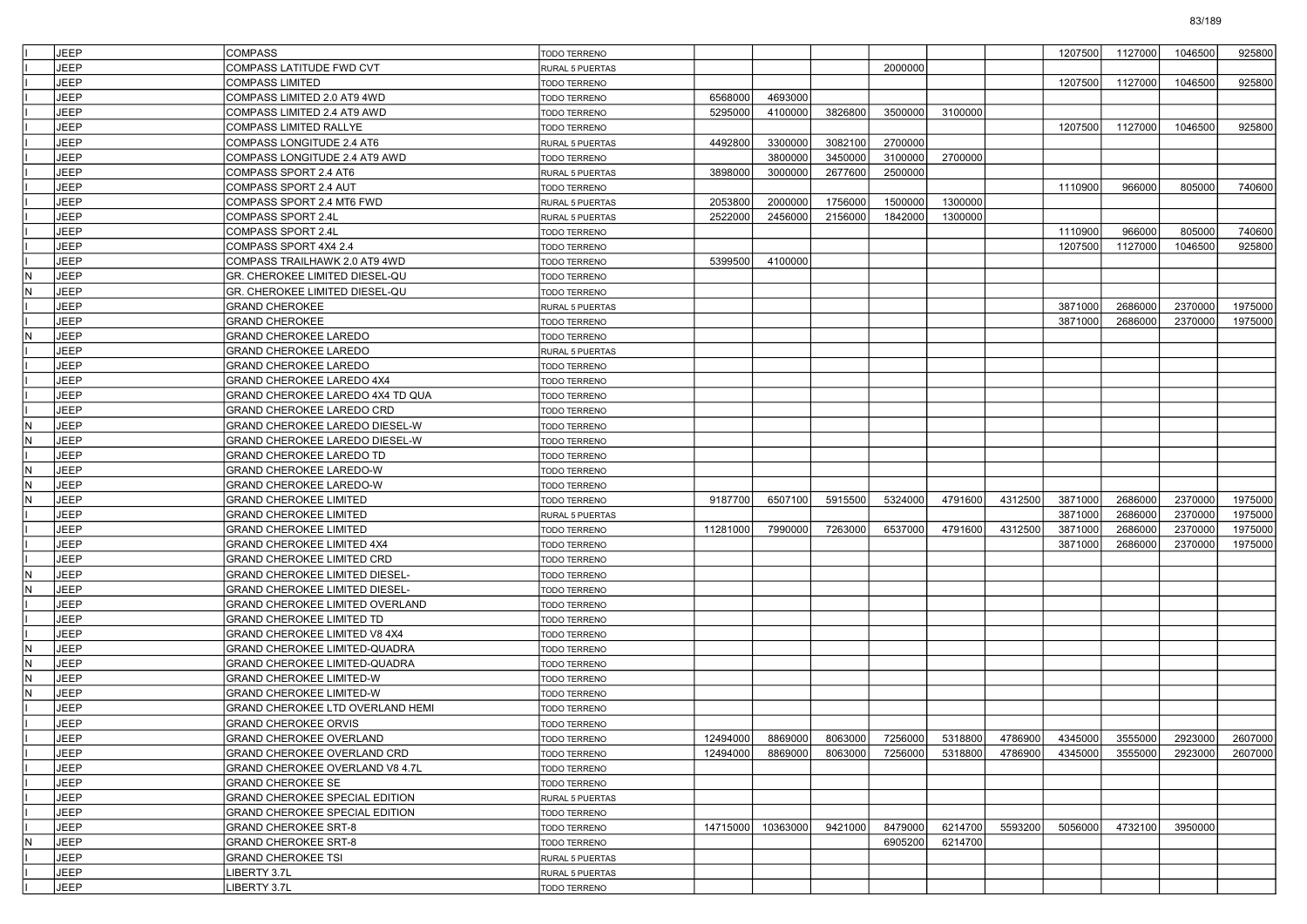|     | <b>JEEP</b> | <b>COMPASS</b>                    | TODO TERRENO           |          |          |          |         |         |          | 1207500 | 1127000 | 1046500 | 925800  |
|-----|-------------|-----------------------------------|------------------------|----------|----------|----------|---------|---------|----------|---------|---------|---------|---------|
|     | JEEP        | COMPASS LATITUDE FWD CVT          | RURAL 5 PUERTAS        |          |          |          | 2000000 |         |          |         |         |         |         |
|     | JEEP        | <b>COMPASS LIMITED</b>            | <b>TODO TERRENO</b>    |          |          |          |         |         |          | 1207500 | 1127000 | 1046500 | 925800  |
|     | JEEP        | COMPASS LIMITED 2.0 AT9 4WD       | <b>TODO TERRENO</b>    | 6568000  | 4693000  |          |         |         |          |         |         |         |         |
|     | <b>JEEP</b> | COMPASS LIMITED 2.4 AT9 AWD       | <b>TODO TERRENO</b>    | 5295000  | 4100000  | 3826800  | 3500000 | 3100000 |          |         |         |         |         |
|     | <b>JEEP</b> | COMPASS LIMITED RALLYE            | TODO TERRENO           |          |          |          |         |         |          | 1207500 | 1127000 | 1046500 | 925800  |
|     | JEEP        | COMPASS LONGITUDE 2.4 AT6         | RURAL 5 PUERTAS        | 4492800  | 3300000  | 3082100  | 2700000 |         |          |         |         |         |         |
|     | JEEP        | COMPASS LONGITUDE 2.4 AT9 AWD     | <b>TODO TERRENO</b>    |          | 3800000  | 3450000  | 3100000 | 2700000 |          |         |         |         |         |
|     | JEEP        | COMPASS SPORT 2.4 AT6             | RURAL 5 PUERTAS        | 3898000  | 3000000  | 2677600  | 2500000 |         |          |         |         |         |         |
|     | <b>JEEP</b> | COMPASS SPORT 2.4 AUT             | TODO TERRENO           |          |          |          |         |         |          | 1110900 | 966000  | 805000  | 740600  |
|     | <b>JEEP</b> | COMPASS SPORT 2.4 MT6 FWD         | RURAL 5 PUERTAS        | 2053800  | 2000000  | 1756000  | 1500000 | 1300000 |          |         |         |         |         |
|     | JEEP        | COMPASS SPORT 2.4L                | <b>RURAL 5 PUERTAS</b> | 2522000  | 2456000  | 2156000  | 1842000 | 1300000 |          |         |         |         |         |
|     | JEEP        | COMPASS SPORT 2.4L                | <b>TODO TERRENO</b>    |          |          |          |         |         |          | 1110900 | 966000  | 805000  | 740600  |
|     | JEEP        |                                   |                        |          |          |          |         |         |          | 1207500 |         | 1046500 | 925800  |
|     |             | COMPASS SPORT 4X4 2.4             | <b>TODO TERRENO</b>    |          |          |          |         |         |          |         | 1127000 |         |         |
|     | <b>JEEP</b> | COMPASS TRAILHAWK 2.0 AT9 4WD     | TODO TERRENO           | 5399500  | 4100000  |          |         |         |          |         |         |         |         |
| IN. | <b>JEEP</b> | GR. CHEROKEE LIMITED DIESEL-QU    | TODO TERRENO           |          |          |          |         |         |          |         |         |         |         |
| IN. | JEEP        | GR. CHEROKEE LIMITED DIESEL-QU    | TODO TERRENO           |          |          |          |         |         |          |         |         |         |         |
|     | JEEP        | <b>GRAND CHEROKEE</b>             | <b>RURAL 5 PUERTAS</b> |          |          |          |         |         |          | 3871000 | 2686000 | 2370000 | 1975000 |
|     | JEEP        | <b>GRAND CHEROKEE</b>             | <b>TODO TERRENO</b>    |          |          |          |         |         |          | 3871000 | 2686000 | 2370000 | 1975000 |
| N   | <b>JEEP</b> | <b>GRAND CHEROKEE LAREDO</b>      | TODO TERRENO           |          |          |          |         |         |          |         |         |         |         |
|     | <b>JEEP</b> | GRAND CHEROKEE LAREDO             | RURAL 5 PUERTAS        |          |          |          |         |         |          |         |         |         |         |
|     | JEEP        | GRAND CHEROKEE LAREDO             | TODO TERRENO           |          |          |          |         |         |          |         |         |         |         |
|     | JEEP        | GRAND CHEROKEE LAREDO 4X4         | TODO TERRENO           |          |          |          |         |         |          |         |         |         |         |
|     | JEEP        | GRAND CHEROKEE LAREDO 4X4 TD QUA  | <b>TODO TERRENO</b>    |          |          |          |         |         |          |         |         |         |         |
|     | <b>JEEP</b> | GRAND CHEROKEE LAREDO CRD         | TODO TERRENO           |          |          |          |         |         |          |         |         |         |         |
| IN. | <b>JEEP</b> | GRAND CHEROKEE LAREDO DIESEL-W    | TODO TERRENO           |          |          |          |         |         |          |         |         |         |         |
| IN. | JEEP        | GRAND CHEROKEE LAREDO DIESEL-W    | TODO TERRENO           |          |          |          |         |         |          |         |         |         |         |
|     | JEEP        | GRAND CHEROKEE LAREDO TD          | TODO TERRENO           |          |          |          |         |         |          |         |         |         |         |
| IN. | JEEP        | GRAND CHEROKEE LAREDO-W           | <b>TODO TERRENO</b>    |          |          |          |         |         |          |         |         |         |         |
| IN. | <b>JEEP</b> | <b>GRAND CHEROKEE LAREDO-W</b>    | TODO TERRENO           |          |          |          |         |         |          |         |         |         |         |
| IN. | <b>JEEP</b> | GRAND CHEROKEE LIMITED            | TODO TERRENO           | 9187700  | 6507100  | 5915500  | 5324000 | 4791600 | 4312500  | 3871000 | 2686000 | 2370000 | 1975000 |
|     | JEEP        | GRAND CHEROKEE LIMITED            | <b>RURAL 5 PUERTAS</b> |          |          |          |         |         |          | 3871000 | 2686000 | 2370000 | 1975000 |
|     | JEEP        | GRAND CHEROKEE LIMITED            | <b>TODO TERRENO</b>    | 11281000 | 7990000  | 7263000  | 6537000 | 4791600 | 4312500  | 3871000 | 2686000 | 2370000 | 1975000 |
|     | JEEP        | GRAND CHEROKEE LIMITED 4X4        | <b>TODO TERRENO</b>    |          |          |          |         |         |          | 3871000 | 2686000 | 2370000 | 1975000 |
|     | <b>JEEP</b> | <b>GRAND CHEROKEE LIMITED CRD</b> | <b>FODO TERRENO</b>    |          |          |          |         |         |          |         |         |         |         |
| IN. | <b>JEEP</b> | GRAND CHEROKEE LIMITED DIESEL-    | TODO TERRENO           |          |          |          |         |         |          |         |         |         |         |
| IN. | <b>JEEP</b> | GRAND CHEROKEE LIMITED DIESEL-    | TODO TERRENO           |          |          |          |         |         |          |         |         |         |         |
|     | JEEP        | GRAND CHEROKEE LIMITED OVERLAND   | TODO TERRENO           |          |          |          |         |         |          |         |         |         |         |
|     | JEEP        | <b>GRAND CHEROKEE LIMITED TD</b>  | <b>TODO TERRENO</b>    |          |          |          |         |         |          |         |         |         |         |
|     | <b>JEEP</b> | GRAND CHEROKEE LIMITED V8 4X4     | <b>FODO TERRENO</b>    |          |          |          |         |         |          |         |         |         |         |
| IN. | <b>JEEP</b> | GRAND CHEROKEE LIMITED-QUADRA     | TODO TERRENO           |          |          |          |         |         |          |         |         |         |         |
| IN. | <b>JEEP</b> | GRAND CHEROKEE LIMITED-QUADRA     | TODO TERRENO           |          |          |          |         |         |          |         |         |         |         |
| IN. | JEEP        | GRAND CHEROKEE LIMITED-W          | TODO TERRENO           |          |          |          |         |         |          |         |         |         |         |
| IN. | JEEP        | <b>GRAND CHEROKEE LIMITED-W</b>   | <b>TODO TERRENO</b>    |          |          |          |         |         |          |         |         |         |         |
|     | JEEP        | GRAND CHEROKEE LTD OVERLAND HEMI  |                        |          |          |          |         |         |          |         |         |         |         |
|     | <b>JEEP</b> |                                   | TODO TERRENO           |          |          |          |         |         |          |         |         |         |         |
|     | JEEP        | GRAND CHEROKEE ORVIS              | TODO TERRENO           |          |          |          |         |         |          |         |         |         |         |
|     |             | GRAND CHEROKEE OVERLAND           | TODO TERRENO           | 12494000 | 8869000  | 80630001 | 7256000 | 5318800 | 47869001 | 4345000 | 3555000 | 2923000 | 2607000 |
|     | <b>JEEP</b> | GRAND CHEROKEE OVERLAND CRD       | TODO TERRENO           | 12494000 | 8869000  | 8063000  | 7256000 | 5318800 | 4786900  | 4345000 | 3555000 | 2923000 | 2607000 |
|     | JEEP        | GRAND CHEROKEE OVERLAND V8 4.7L   | <b>TODO TERRENO</b>    |          |          |          |         |         |          |         |         |         |         |
|     | JEEP        | <b>GRAND CHEROKEE SE</b>          | TODO TERRENO           |          |          |          |         |         |          |         |         |         |         |
|     | JEEP        | GRAND CHEROKEE SPECIAL EDITION    | RURAL 5 PUERTAS        |          |          |          |         |         |          |         |         |         |         |
|     | JEEP        | GRAND CHEROKEE SPECIAL EDITION    | TODO TERRENO           |          |          |          |         |         |          |         |         |         |         |
|     | JEEP        | <b>GRAND CHEROKEE SRT-8</b>       | <b>TODO TERRENO</b>    | 14715000 | 10363000 | 9421000  | 8479000 | 6214700 | 5593200  | 5056000 | 4732100 | 3950000 |         |
| N.  | JEEP        | <b>GRAND CHEROKEE SRT-8</b>       | TODO TERRENO           |          |          |          | 6905200 | 6214700 |          |         |         |         |         |
|     | JEEP        | <b>GRAND CHEROKEE TSI</b>         | RURAL 5 PUERTAS        |          |          |          |         |         |          |         |         |         |         |
|     | JEEP        | <b>IBERTY 3.7L</b>                | RURAL 5 PUERTAS        |          |          |          |         |         |          |         |         |         |         |
|     | JEEP        | IBERTY 3.7L                       | TODO TERRENO           |          |          |          |         |         |          |         |         |         |         |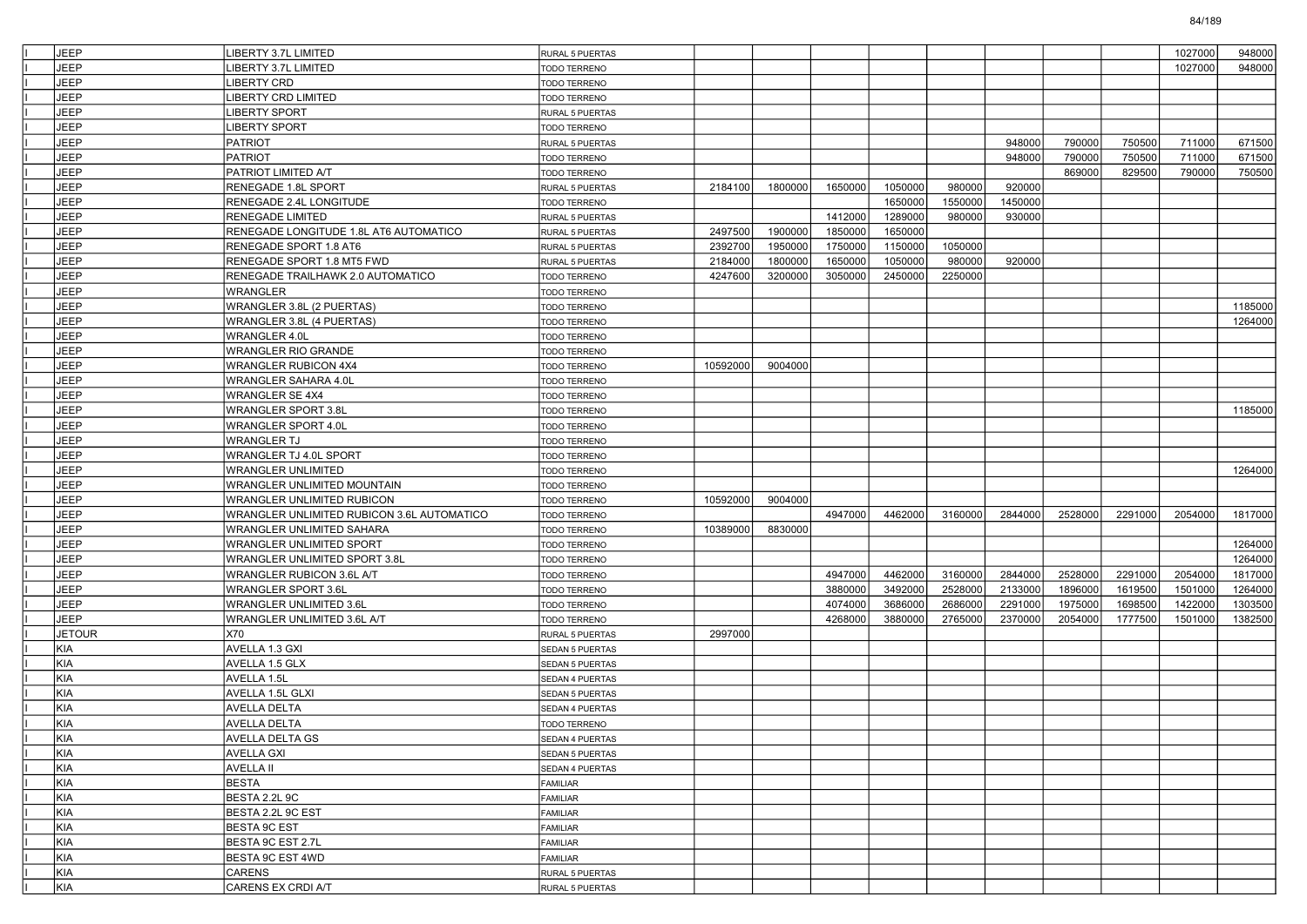| <b>JEEP</b>   | LIBERTY 3.7L LIMITED                       | <b>RURAL 5 PUERTAS</b> |          |         |         |         |         |         |         |         | 1027000 | 948000  |
|---------------|--------------------------------------------|------------------------|----------|---------|---------|---------|---------|---------|---------|---------|---------|---------|
| <b>JEEP</b>   | IBERTY 3.7L LIMITED                        | <b>TODO TERRENO</b>    |          |         |         |         |         |         |         |         | 1027000 | 948000  |
| <b>JEEP</b>   | LIBERTY CRD                                | TODO TERRENO           |          |         |         |         |         |         |         |         |         |         |
| <b>JEEP</b>   | LIBERTY CRD LIMITED                        | TODO TERRENO           |          |         |         |         |         |         |         |         |         |         |
| <b>JEEP</b>   | LIBERTY SPORT                              | <b>RURAL 5 PUERTAS</b> |          |         |         |         |         |         |         |         |         |         |
| <b>JEEP</b>   | LIBERTY SPORT                              | TODO TERRENO           |          |         |         |         |         |         |         |         |         |         |
| <b>JEEP</b>   | PATRIOT                                    | <b>RURAL 5 PUERTAS</b> |          |         |         |         |         | 948000  | 790000  | 750500  | 711000  | 671500  |
| <b>JEEP</b>   | <b>PATRIOT</b>                             | TODO TERRENO           |          |         |         |         |         | 948000  | 790000  | 750500  | 711000  | 671500  |
| <b>JEEP</b>   | PATRIOT LIMITED A/T                        | TODO TERRENO           |          |         |         |         |         |         | 869000  | 829500  | 790000  | 750500  |
| <b>JEEP</b>   | RENEGADE 1.8L SPORT                        | RURAL 5 PUERTAS        | 2184100  | 1800000 | 1650000 | 1050000 | 980000  | 920000  |         |         |         |         |
| <b>JEEP</b>   | RENEGADE 2.4L LONGITUDE                    | TODO TERRENO           |          |         |         | 1650000 | 1550000 | 1450000 |         |         |         |         |
| <b>JEEP</b>   | RENEGADE LIMITED                           | <b>RURAL 5 PUERTAS</b> |          |         | 1412000 | 1289000 | 980000  | 930000  |         |         |         |         |
| <b>JEEP</b>   | RENEGADE LONGITUDE 1.8L AT6 AUTOMATICO     | <b>RURAL 5 PUERTAS</b> | 2497500  | 1900000 | 1850000 | 1650000 |         |         |         |         |         |         |
| <b>JEEP</b>   | RENEGADE SPORT 1.8 AT6                     | RURAL 5 PUERTAS        | 2392700  | 1950000 | 1750000 | 1150000 | 1050000 |         |         |         |         |         |
| <b>JEEP</b>   | RENEGADE SPORT 1.8 MT5 FWD                 | RURAL 5 PUERTAS        | 2184000  | 1800000 | 1650000 | 1050000 | 980000  | 920000  |         |         |         |         |
| <b>JEEP</b>   | RENEGADE TRAILHAWK 2.0 AUTOMATICO          | TODO TERRENO           | 4247600  | 3200000 | 3050000 | 2450000 | 2250000 |         |         |         |         |         |
| <b>JEEP</b>   | WRANGLER                                   | <b>TODO TERRENO</b>    |          |         |         |         |         |         |         |         |         |         |
| <b>JEEP</b>   | WRANGLER 3.8L (2 PUERTAS)                  | <b>TODO TERRENO</b>    |          |         |         |         |         |         |         |         |         | 1185000 |
| <b>JEEP</b>   | WRANGLER 3.8L (4 PUERTAS)                  | TODO TERRENO           |          |         |         |         |         |         |         |         |         | 1264000 |
| <b>JEEP</b>   | <b>WRANGLER 4.0L</b>                       | TODO TERRENO           |          |         |         |         |         |         |         |         |         |         |
| <b>JEEP</b>   | WRANGLER RIO GRANDE                        | <b>TODO TERRENO</b>    |          |         |         |         |         |         |         |         |         |         |
| <b>JEEP</b>   | <b>WRANGLER RUBICON 4X4</b>                | <b>TODO TERRENO</b>    | 10592000 | 9004000 |         |         |         |         |         |         |         |         |
| <b>JEEP</b>   | WRANGLER SAHARA 4.0L                       | <b>TODO TERRENO</b>    |          |         |         |         |         |         |         |         |         |         |
| <b>JEEP</b>   | <b>WRANGLER SE 4X4</b>                     | TODO TERRENO           |          |         |         |         |         |         |         |         |         |         |
| <b>JEEP</b>   | <b>WRANGLER SPORT 3.8L</b>                 | <b>TODO TERRENO</b>    |          |         |         |         |         |         |         |         |         | 1185000 |
| JEEP          | <b>WRANGLER SPORT 4.0L</b>                 | <b>TODO TERRENO</b>    |          |         |         |         |         |         |         |         |         |         |
| <b>JEEP</b>   | <b>WRANGLER TJ</b>                         | <b>TODO TERRENO</b>    |          |         |         |         |         |         |         |         |         |         |
| <b>JEEP</b>   | WRANGLER TJ 4.0L SPORT                     | <b>TODO TERRENO</b>    |          |         |         |         |         |         |         |         |         |         |
| <b>JEEP</b>   | <b>WRANGLER UNLIMITED</b>                  | <b>TODO TERRENO</b>    |          |         |         |         |         |         |         |         |         | 1264000 |
| <b>JEEP</b>   | WRANGLER UNLIMITED MOUNTAIN                | <b>TODO TERRENO</b>    |          |         |         |         |         |         |         |         |         |         |
| <b>JEEP</b>   | WRANGLER UNLIMITED RUBICON                 | <b>TODO TERRENO</b>    | 10592000 | 9004000 |         |         |         |         |         |         |         |         |
| <b>JEEP</b>   | WRANGLER UNLIMITED RUBICON 3.6L AUTOMATICO | <b>TODO TERRENO</b>    |          |         | 4947000 | 4462000 | 3160000 | 2844000 | 2528000 | 2291000 | 2054000 | 1817000 |
| <b>JEEP</b>   | WRANGLER UNLIMITED SAHARA                  | <b>TODO TERRENO</b>    | 10389000 | 8830000 |         |         |         |         |         |         |         |         |
| <b>JEEP</b>   | WRANGLER UNLIMITED SPORT                   | <b>TODO TERRENO</b>    |          |         |         |         |         |         |         |         |         | 1264000 |
| <b>JEEP</b>   | WRANGLER UNLIMITED SPORT 3.8L              | <b>TODO TERRENO</b>    |          |         |         |         |         |         |         |         |         | 1264000 |
| <b>JEEP</b>   | WRANGLER RUBICON 3.6L A/T                  | <b>TODO TERRENO</b>    |          |         | 4947000 | 4462000 | 3160000 | 2844000 | 2528000 | 2291000 | 2054000 | 1817000 |
| <b>JEEP</b>   | <b>WRANGLER SPORT 3.6L</b>                 | <b>TODO TERRENO</b>    |          |         | 3880000 | 3492000 | 2528000 | 2133000 | 1896000 | 1619500 | 1501000 | 1264000 |
| <b>JEEP</b>   | <b>WRANGLER UNLIMITED 3.6L</b>             | TODO TERRENO           |          |         | 4074000 | 3686000 | 2686000 | 2291000 | 1975000 | 1698500 | 1422000 | 1303500 |
| JEEP          | WRANGLER UNLIMITED 3.6L A/T                | TODO TERRENO           |          |         | 4268000 | 3880000 | 2765000 | 2370000 | 2054000 | 1777500 | 1501000 | 1382500 |
| <b>JETOUR</b> | X70                                        | <b>RURAL 5 PUERTAS</b> | 2997000  |         |         |         |         |         |         |         |         |         |
| KIA           | AVELLA 1.3 GXI                             | <b>SEDAN 5 PUERTAS</b> |          |         |         |         |         |         |         |         |         |         |
| <b>KIA</b>    | AVELLA 1.5 GLX                             | <b>SEDAN 5 PUERTAS</b> |          |         |         |         |         |         |         |         |         |         |
| <b>KIA</b>    | AVELLA 1.5L                                | SEDAN 4 PUERTAS        |          |         |         |         |         |         |         |         |         |         |
| <b>KIA</b>    | AVELLA 1.5L GLXI                           | <b>SEDAN 5 PUERTAS</b> |          |         |         |         |         |         |         |         |         |         |
| <b>KIA</b>    | AVELLA DELTA                               | SEDAN 4 PUERTAS        |          |         |         |         |         |         |         |         |         |         |
| KIA           | AVELLA DELTA                               | TODO TERRENO           |          |         |         |         |         |         |         |         |         |         |
| KIA           | AVELLA DELTA GS                            | SEDAN 4 PUERTAS        |          |         |         |         |         |         |         |         |         |         |
| KIA           | <b>AVELLA GXI</b>                          | SEDAN 5 PUERTAS        |          |         |         |         |         |         |         |         |         |         |
| KIA           | <b>AVELLA II</b>                           | SEDAN 4 PUERTAS        |          |         |         |         |         |         |         |         |         |         |
| KIA           | <b>BESTA</b>                               | FAMILIAR               |          |         |         |         |         |         |         |         |         |         |
| KIA           | BESTA 2.2L 9C                              | FAMILIAR               |          |         |         |         |         |         |         |         |         |         |
| KIA           | BESTA 2.2L 9C EST                          | FAMILIAR               |          |         |         |         |         |         |         |         |         |         |
| KIA           | <b>BESTA 9C EST</b>                        | FAMILIAR               |          |         |         |         |         |         |         |         |         |         |
| KIA           | BESTA 9C EST 2.7L                          | FAMILIAR               |          |         |         |         |         |         |         |         |         |         |
| KIA           | BESTA 9C EST 4WD                           | FAMILIAR               |          |         |         |         |         |         |         |         |         |         |
| KIA           | CARENS                                     | RURAL 5 PUERTAS        |          |         |         |         |         |         |         |         |         |         |
| KIA           | CARENS EX CRDI A/T                         | RURAL 5 PUERTAS        |          |         |         |         |         |         |         |         |         |         |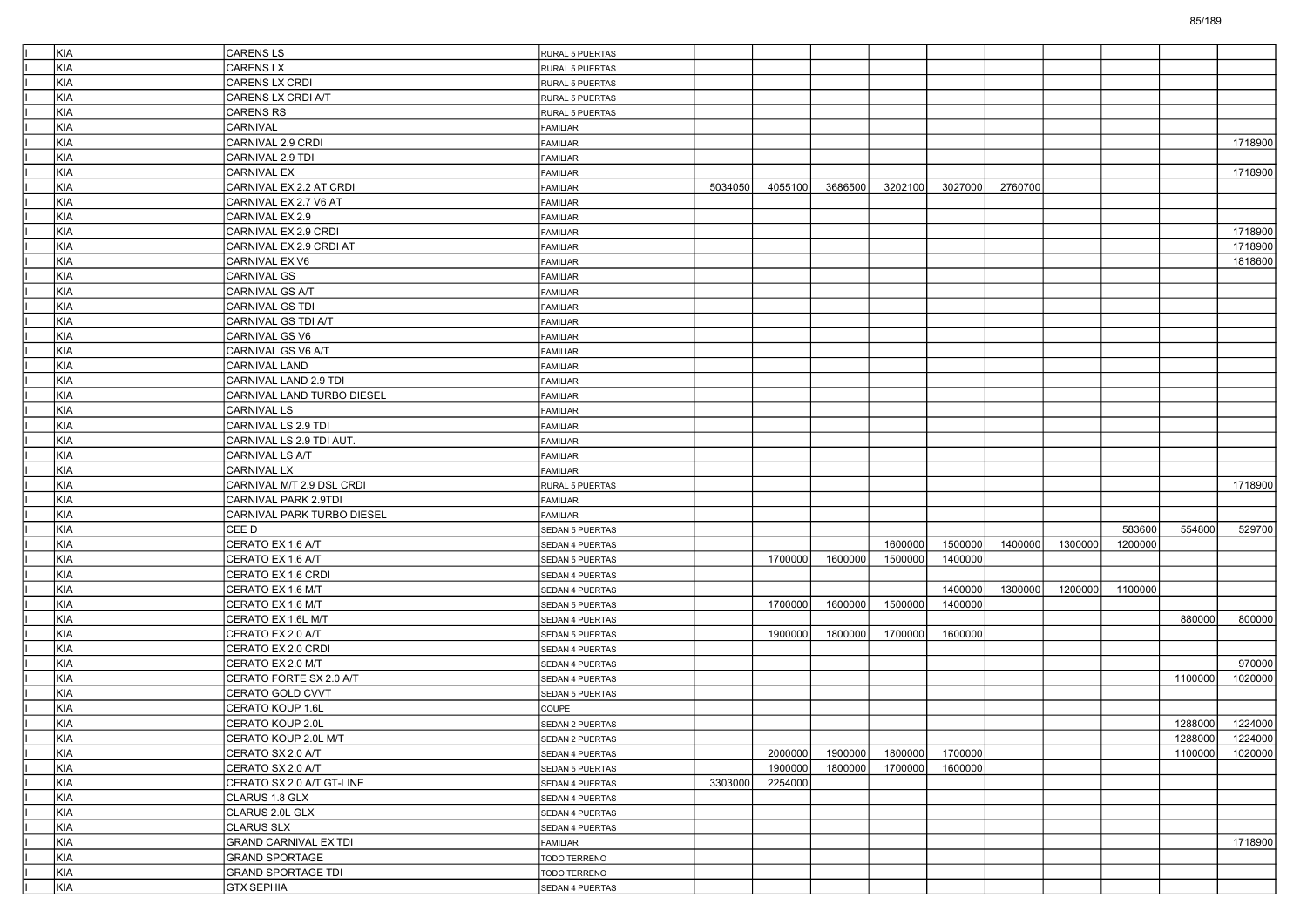| KIA        | <b>CARENS LS</b>                                   | RURAL 5 PUERTAS              |         |         |         |         |         |         |         |         |         |         |
|------------|----------------------------------------------------|------------------------------|---------|---------|---------|---------|---------|---------|---------|---------|---------|---------|
| <b>KIA</b> | CARENS LX                                          | RURAL 5 PUERTAS              |         |         |         |         |         |         |         |         |         |         |
| KIA        | CARENS LX CRDI                                     | RURAL 5 PUERTAS              |         |         |         |         |         |         |         |         |         |         |
| KIA        | CARENS LX CRDI A/T                                 | RURAL 5 PUERTAS              |         |         |         |         |         |         |         |         |         |         |
| KIA        | CARENS RS                                          | RURAL 5 PUERTAS              |         |         |         |         |         |         |         |         |         |         |
| KIA        | CARNIVAL                                           | <b>FAMILIAR</b>              |         |         |         |         |         |         |         |         |         |         |
| KIA        | CARNIVAL 2.9 CRDI                                  | FAMILIAR                     |         |         |         |         |         |         |         |         |         | 1718900 |
| KIA        | CARNIVAL 2.9 TDI                                   | FAMILIAR                     |         |         |         |         |         |         |         |         |         |         |
| KIA        | CARNIVAL EX                                        | FAMILIAR                     |         |         |         |         |         |         |         |         |         | 1718900 |
| KIA        | CARNIVAL EX 2.2 AT CRDI                            | FAMILIAR                     | 5034050 | 4055100 | 3686500 | 3202100 | 3027000 | 2760700 |         |         |         |         |
| KIA        | CARNIVAL EX 2.7 V6 AT                              | FAMILIAR                     |         |         |         |         |         |         |         |         |         |         |
| KIA        | CARNIVAL EX 2.9                                    | <b>FAMILIAR</b>              |         |         |         |         |         |         |         |         |         |         |
| KIA        | CARNIVAL EX 2.9 CRDI                               | FAMILIAR                     |         |         |         |         |         |         |         |         |         | 1718900 |
| KIA        | CARNIVAL EX 2.9 CRDI AT                            | FAMILIAR                     |         |         |         |         |         |         |         |         |         | 1718900 |
| KIA        | CARNIVAL EX V6                                     | FAMILIAR                     |         |         |         |         |         |         |         |         |         | 1818600 |
| KIA        | CARNIVAL GS                                        | FAMILIAR                     |         |         |         |         |         |         |         |         |         |         |
| KIA        | CARNIVAL GS A/T                                    | <b>FAMILIAR</b>              |         |         |         |         |         |         |         |         |         |         |
| KIA        | CARNIVAL GS TDI                                    | FAMILIAR                     |         |         |         |         |         |         |         |         |         |         |
| KIA        | CARNIVAL GS TDI A/T                                | FAMILIAR                     |         |         |         |         |         |         |         |         |         |         |
| KIA        | CARNIVAL GS V6                                     | FAMILIAR                     |         |         |         |         |         |         |         |         |         |         |
| KIA        | CARNIVAL GS V6 A/T                                 | FAMILIAR                     |         |         |         |         |         |         |         |         |         |         |
| KIA        | CARNIVAL LAND                                      | FAMILIAR                     |         |         |         |         |         |         |         |         |         |         |
| KIA        | CARNIVAL LAND 2.9 TDI                              | FAMILIAR                     |         |         |         |         |         |         |         |         |         |         |
| KIA        | CARNIVAL LAND TURBO DIESEL                         | FAMILIAR                     |         |         |         |         |         |         |         |         |         |         |
| KIA        | CARNIVAL LS                                        | <b>FAMILIAR</b>              |         |         |         |         |         |         |         |         |         |         |
| KIA        | CARNIVAL LS 2.9 TDI                                | FAMILIAR                     |         |         |         |         |         |         |         |         |         |         |
| KIA        | CARNIVAL LS 2.9 TDI AUT.                           | FAMILIAR                     |         |         |         |         |         |         |         |         |         |         |
| KIA        | CARNIVAL LS A/T                                    | FAMILIAR                     |         |         |         |         |         |         |         |         |         |         |
| KIA        | <b>CARNIVAL LX</b>                                 | FAMILIAR                     |         |         |         |         |         |         |         |         |         |         |
| KIA        | CARNIVAL M/T 2.9 DSL CRDI                          | RURAL 5 PUERTAS              |         |         |         |         |         |         |         |         |         | 1718900 |
| KIA        | CARNIVAL PARK 2.9TDI                               | <b>FAMILIAR</b>              |         |         |         |         |         |         |         |         |         |         |
| KIA        | CARNIVAL PARK TURBO DIESEL                         | <b>FAMILIAR</b>              |         |         |         |         |         |         |         |         |         |         |
| KIA        | CEE D                                              | SEDAN 5 PUERTAS              |         |         |         |         |         |         |         | 583600  | 554800  | 529700  |
| KIA        | CERATO EX 1.6 A/T                                  | SEDAN 4 PUERTAS              |         |         |         | 1600000 | 1500000 | 1400000 | 1300000 | 1200000 |         |         |
| KIA        | CERATO EX 1.6 A/T                                  | SEDAN 5 PUERTAS              |         | 1700000 | 1600000 | 1500000 | 1400000 |         |         |         |         |         |
| KIA        | CERATO EX 1.6 CRDI                                 | SEDAN 4 PUERTAS              |         |         |         |         |         |         |         |         |         |         |
| KIA        | CERATO EX 1.6 M/T                                  | SEDAN 4 PUERTAS              |         |         |         |         | 1400000 | 1300000 | 1200000 | 1100000 |         |         |
| KIA        | CERATO EX 1.6 M/T                                  | SEDAN 5 PUERTAS              |         | 1700000 | 1600000 | 1500000 | 1400000 |         |         |         |         |         |
| KIA        | CERATO EX 1.6L M/T                                 | SEDAN 4 PUERTAS              |         |         |         |         |         |         |         |         | 880000  | 800000  |
| KIA        | CERATO EX 2.0 A/T                                  | <b>SEDAN 5 PUERTAS</b>       |         | 1900000 | 1800000 | 1700000 | 1600000 |         |         |         |         |         |
| KIA        | CERATO EX 2.0 CRDI                                 | SEDAN 4 PUERTAS              |         |         |         |         |         |         |         |         |         |         |
| KIA        | CERATO EX 2.0 M/T                                  | <b>SEDAN 4 PUERTAS</b>       |         |         |         |         |         |         |         |         |         | 970000  |
| KIA        | CERATO FORTE SX 2.0 A/T                            | SEDAN 4 PUERTAS              |         |         |         |         |         |         |         |         | 1100000 | 1020000 |
| KIA        | CERATO GOLD CVVT                                   | SEDAN 5 PUERTAS              |         |         |         |         |         |         |         |         |         |         |
| KIA        | CERATO KOUP 1.6L                                   | <b>COUPE</b>                 |         |         |         |         |         |         |         |         |         |         |
| KIA        | CERATO KOUP 2.0L                                   | SEDAN 2 PUERTAS              |         |         |         |         |         |         |         |         | 1288000 | 1224000 |
| KIA        | CERATO KOUP 2.0L M/T                               | SEDAN 2 PUERTAS              |         |         |         |         |         |         |         |         | 1288000 | 1224000 |
| KIA        | CERATO SX 2.0 A/T                                  | SEDAN 4 PUERTAS              |         | 2000000 | 1900000 | 1800000 | 1700000 |         |         |         | 1100000 | 1020000 |
| KIA        | CERATO SX 2.0 A/T                                  | SEDAN 5 PUERTAS              |         | 1900000 | 1800000 | 1700000 | 1600000 |         |         |         |         |         |
| KIA        | CERATO SX 2.0 A/T GT-LINE                          | SEDAN 4 PUERTAS              | 3303000 | 2254000 |         |         |         |         |         |         |         |         |
| KIA        | CLARUS 1.8 GLX                                     | SEDAN 4 PUERTAS              |         |         |         |         |         |         |         |         |         |         |
| KIA        | CLARUS 2.0L GLX                                    | SEDAN 4 PUERTAS              |         |         |         |         |         |         |         |         |         |         |
| KIA        | <b>CLARUS SLX</b>                                  | SEDAN 4 PUERTAS              |         |         |         |         |         |         |         |         |         |         |
| KIA        | <b>GRAND CARNIVAL EX TDI</b>                       | FAMILIAR                     |         |         |         |         |         |         |         |         |         | 1718900 |
|            |                                                    |                              |         |         |         |         |         |         |         |         |         |         |
|            |                                                    |                              |         |         |         |         |         |         |         |         |         |         |
| KIA<br>KIA | <b>GRAND SPORTAGE</b><br><b>GRAND SPORTAGE TDI</b> | TODO TERRENO<br>TODO TERRENO |         |         |         |         |         |         |         |         |         |         |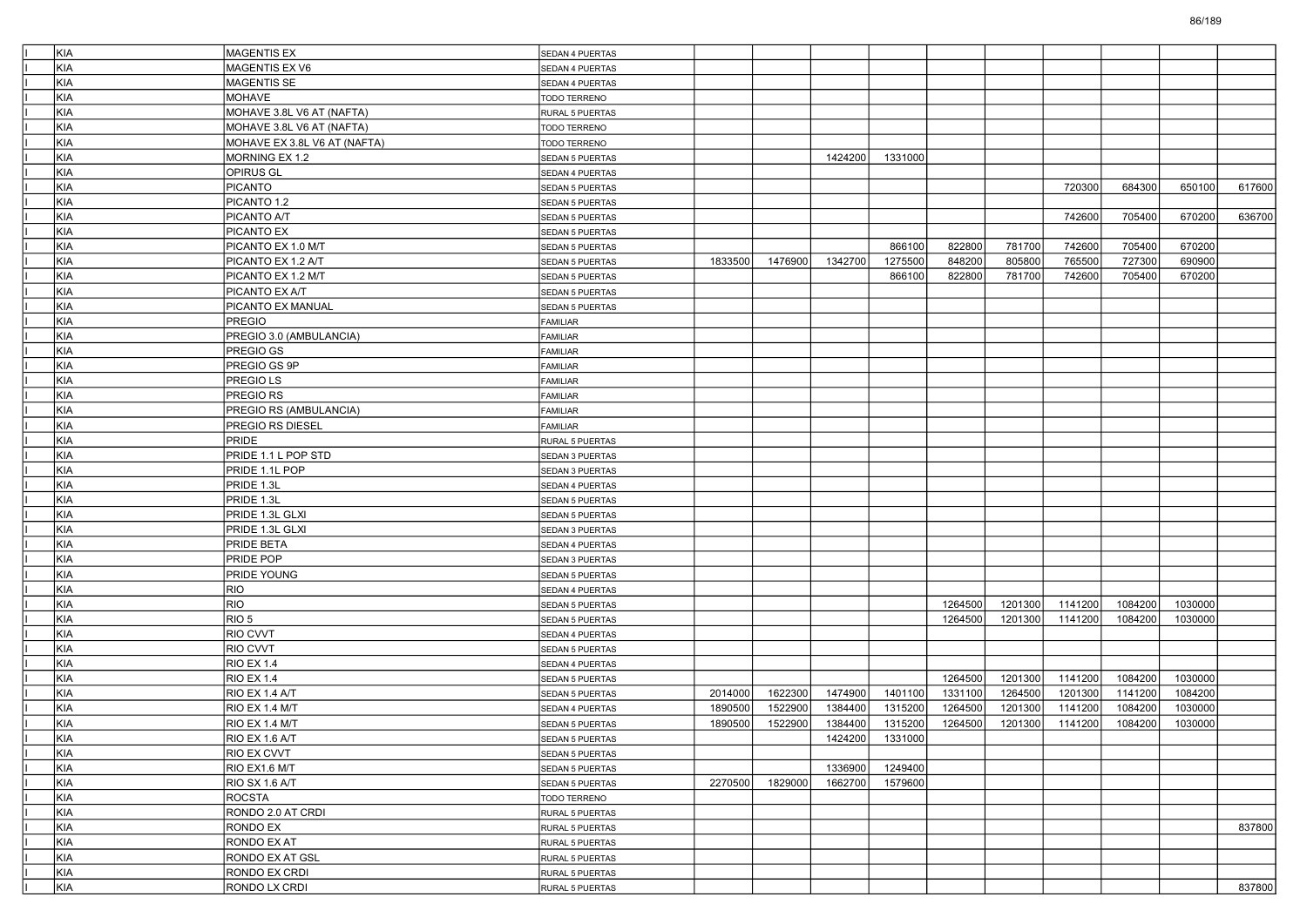| KIA        | MAGENTIS EX                  | SEDAN 4 PUERTAS        |         |         |         |         |         |         |         |         |         |        |
|------------|------------------------------|------------------------|---------|---------|---------|---------|---------|---------|---------|---------|---------|--------|
| KIA        | MAGENTIS EX V6               | SEDAN 4 PUERTAS        |         |         |         |         |         |         |         |         |         |        |
| KIA        | MAGENTIS SE                  | SEDAN 4 PUERTAS        |         |         |         |         |         |         |         |         |         |        |
| KIA        | MOHAVE                       | TODO TERRENO           |         |         |         |         |         |         |         |         |         |        |
| KIA        | MOHAVE 3.8L V6 AT (NAFTA)    | RURAL 5 PUERTAS        |         |         |         |         |         |         |         |         |         |        |
| KIA        | MOHAVE 3.8L V6 AT (NAFTA)    | TODO TERRENO           |         |         |         |         |         |         |         |         |         |        |
| KIA        | MOHAVE EX 3.8L V6 AT (NAFTA) | TODO TERRENO           |         |         |         |         |         |         |         |         |         |        |
| KIA        | MORNING EX 1.2               | SEDAN 5 PUERTAS        |         |         | 1424200 | 1331000 |         |         |         |         |         |        |
| KIA        | OPIRUS GL                    | SEDAN 4 PUERTAS        |         |         |         |         |         |         |         |         |         |        |
| KIA        | <b>PICANTO</b>               | SEDAN 5 PUERTAS        |         |         |         |         |         |         | 720300  | 684300  | 650100  | 617600 |
| KIA        | PICANTO 1.2                  | SEDAN 5 PUERTAS        |         |         |         |         |         |         |         |         |         |        |
| KIA        | PICANTO A/T                  | <b>SEDAN 5 PUERTAS</b> |         |         |         |         |         |         | 742600  | 705400  | 670200  | 636700 |
| KIA        | PICANTO EX                   | SEDAN 5 PUERTAS        |         |         |         |         |         |         |         |         |         |        |
| KIA        | PICANTO EX 1.0 M/T           | SEDAN 5 PUERTAS        |         |         |         | 866100  | 822800  | 781700  | 742600  | 705400  | 670200  |        |
| KIA        | PICANTO EX 1.2 A/T           | SEDAN 5 PUERTAS        | 1833500 | 1476900 | 1342700 | 1275500 | 848200  | 805800  | 765500  | 727300  | 690900  |        |
| KIA        | PICANTO EX 1.2 M/T           | SEDAN 5 PUERTAS        |         |         |         | 866100  | 822800  | 781700  | 742600  | 705400  | 670200  |        |
| KIA        | PICANTO EX A/T               | <b>SEDAN 5 PUERTAS</b> |         |         |         |         |         |         |         |         |         |        |
| KIA        | PICANTO EX MANUAL            | SEDAN 5 PUERTAS        |         |         |         |         |         |         |         |         |         |        |
| KIA        | <b>PREGIO</b>                | <b>FAMILIAR</b>        |         |         |         |         |         |         |         |         |         |        |
| KIA        | PREGIO 3.0 (AMBULANCIA)      | FAMILIAR               |         |         |         |         |         |         |         |         |         |        |
| KIA        | PREGIO GS                    | FAMILIAR               |         |         |         |         |         |         |         |         |         |        |
| KIA        | PREGIO GS 9P                 | <b>FAMILIAR</b>        |         |         |         |         |         |         |         |         |         |        |
| KIA        | PREGIO LS                    | <b>FAMILIAR</b>        |         |         |         |         |         |         |         |         |         |        |
| KIA        | PREGIO RS                    | <b>FAMILIAR</b>        |         |         |         |         |         |         |         |         |         |        |
| <b>KIA</b> | PREGIO RS (AMBULANCIA)       | FAMILIAR               |         |         |         |         |         |         |         |         |         |        |
| KIA        | PREGIO RS DIESEL             | FAMILIAR               |         |         |         |         |         |         |         |         |         |        |
| KIA        | PRIDE                        | <b>RURAL 5 PUERTAS</b> |         |         |         |         |         |         |         |         |         |        |
| KIA        | PRIDE 1.1 L POP STD          | SEDAN 3 PUERTAS        |         |         |         |         |         |         |         |         |         |        |
| KIA        | PRIDE 1.1L POP               | SEDAN 3 PUERTAS        |         |         |         |         |         |         |         |         |         |        |
| KIA        | PRIDE 1.3L                   | SEDAN 4 PUERTAS        |         |         |         |         |         |         |         |         |         |        |
| KIA        | PRIDE 1.3L                   | SEDAN 5 PUERTAS        |         |         |         |         |         |         |         |         |         |        |
| KIA        | PRIDE 1.3L GLXI              | <b>SEDAN 5 PUERTAS</b> |         |         |         |         |         |         |         |         |         |        |
| KIA        | PRIDE 1.3L GLXI              | SEDAN 3 PUERTAS        |         |         |         |         |         |         |         |         |         |        |
| KIA        | PRIDE BETA                   | SEDAN 4 PUERTAS        |         |         |         |         |         |         |         |         |         |        |
| KIA        | PRIDE POP                    | SEDAN 3 PUERTAS        |         |         |         |         |         |         |         |         |         |        |
| KIA        | <b>PRIDE YOUNG</b>           | SEDAN 5 PUERTAS        |         |         |         |         |         |         |         |         |         |        |
| KIA        | <b>RIO</b>                   | SEDAN 4 PUERTAS        |         |         |         |         |         |         |         |         |         |        |
| KIA        | RIO                          | SEDAN 5 PUERTAS        |         |         |         |         | 1264500 | 1201300 | 1141200 | 1084200 | 1030000 |        |
| KIA        | RIO <sub>5</sub>             | SEDAN 5 PUERTAS        |         |         |         |         | 1264500 | 1201300 | 1141200 | 1084200 | 1030000 |        |
| KIA        | RIO CVVT                     | SEDAN 4 PUERTAS        |         |         |         |         |         |         |         |         |         |        |
| KIA        | RIO CVVT                     | SEDAN 5 PUERTAS        |         |         |         |         |         |         |         |         |         |        |
| KIA        | <b>RIO EX 1.4</b>            | SEDAN 4 PUERTAS        |         |         |         |         |         |         |         |         |         |        |
| KIA        | <b>RIO EX 1.4</b>            | SEDAN 5 PUERTAS        |         |         |         |         | 1264500 | 1201300 | 1141200 | 1084200 | 1030000 |        |
| KIA        | RIO EX 1.4 A/T               | SEDAN 5 PUERTAS        | 2014000 | 1622300 | 1474900 | 1401100 | 1331100 | 1264500 | 1201300 | 1141200 | 1084200 |        |
| KIA        | RIO EX 1.4 M/T               | SEDAN 4 PUERTAS        | 1890500 | 1522900 | 1384400 | 1315200 | 1264500 | 1201300 | 1141200 | 1084200 | 1030000 |        |
| KIA        | RIO EX 1.4 M/T               | <b>SEDAN 5 PUERTAS</b> | 1890500 | 1522900 | 1384400 | 1315200 | 1264500 | 1201300 | 1141200 | 1084200 | 1030000 |        |
| KIA        | RIO EX 1.6 A/T               | SEDAN 5 PUERTAS        |         |         | 1424200 | 1331000 |         |         |         |         |         |        |
| KIA        | RIO EX CVVT                  | SEDAN 5 PUERTAS        |         |         |         |         |         |         |         |         |         |        |
| KIA        | RIO EX1.6 M/T                | SEDAN 5 PUERTAS        |         |         | 1336900 | 1249400 |         |         |         |         |         |        |
| KIA        | RIO SX 1.6 A/T               | SEDAN 5 PUERTAS        | 2270500 | 1829000 | 1662700 | 1579600 |         |         |         |         |         |        |
| KIA        | ROCSTA                       | TODO TERRENO           |         |         |         |         |         |         |         |         |         |        |
| KIA        | RONDO 2.0 AT CRDI            | RURAL 5 PUERTAS        |         |         |         |         |         |         |         |         |         |        |
| KIA        | RONDO EX                     | RURAL 5 PUERTAS        |         |         |         |         |         |         |         |         |         | 837800 |
| KIA        | RONDO EX AT                  | RURAL 5 PUERTAS        |         |         |         |         |         |         |         |         |         |        |
| KIA        | RONDO EX AT GSL              | RURAL 5 PUERTAS        |         |         |         |         |         |         |         |         |         |        |
| KIA        | RONDO EX CRDI                | RURAL 5 PUERTAS        |         |         |         |         |         |         |         |         |         |        |
| KIA        | RONDO LX CRDI                | RURAL 5 PUERTAS        |         |         |         |         |         |         |         |         |         | 837800 |
|            |                              |                        |         |         |         |         |         |         |         |         |         |        |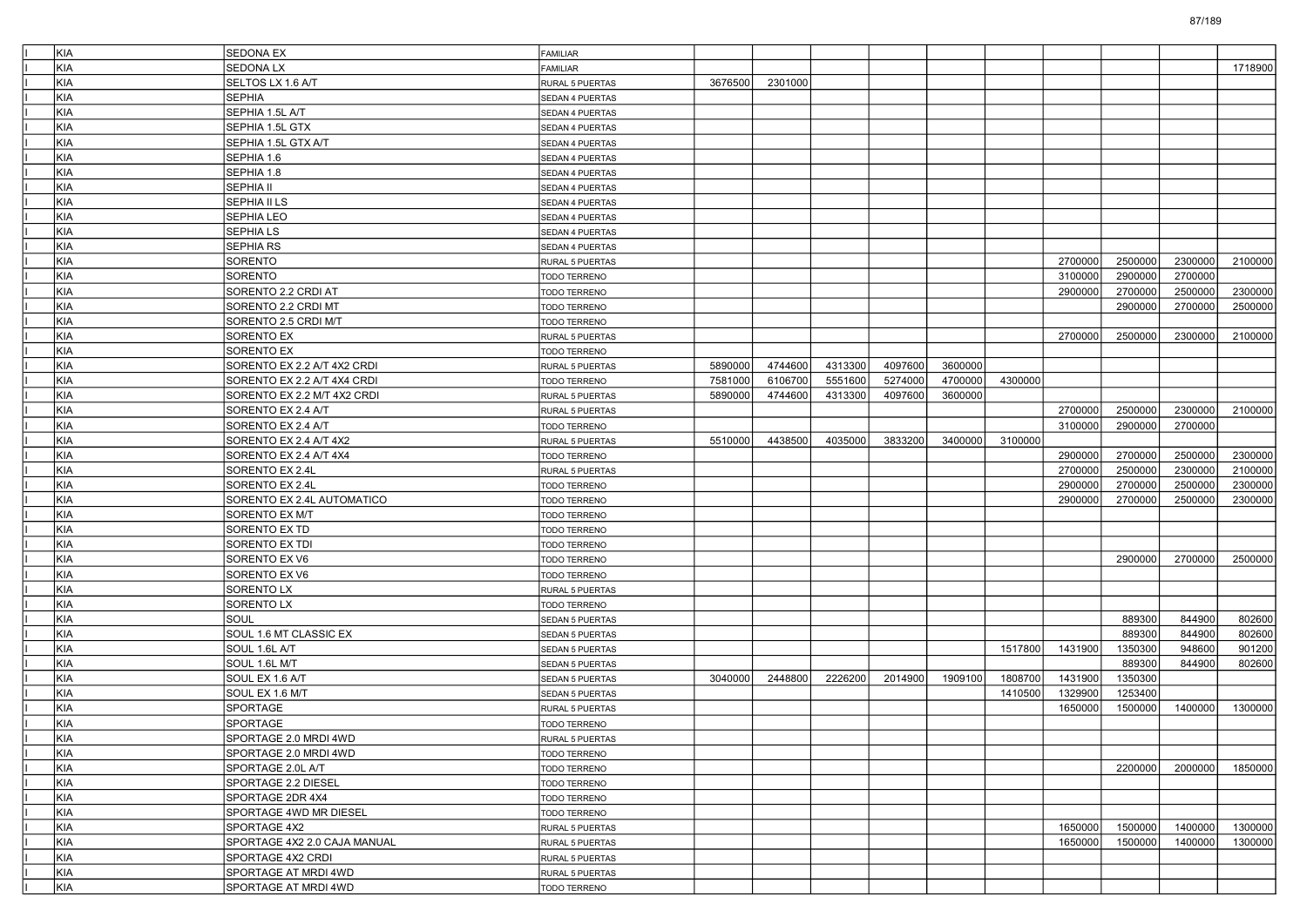| KIA        | <b>SEDONA EX</b>             | FAMILIAR            |         |         |         |         |         |         |         |         |         |         |
|------------|------------------------------|---------------------|---------|---------|---------|---------|---------|---------|---------|---------|---------|---------|
| <b>KIA</b> | <b>SEDONA LX</b>             | <b>FAMILIAR</b>     |         |         |         |         |         |         |         |         |         | 1718900 |
| <b>KIA</b> | SELTOS LX 1.6 A/T            | RURAL 5 PUERTAS     | 3676500 | 2301000 |         |         |         |         |         |         |         |         |
| KIA        | <b>SEPHIA</b>                | SEDAN 4 PUERTAS     |         |         |         |         |         |         |         |         |         |         |
| KIA        | SEPHIA 1.5L A/T              | SEDAN 4 PUERTAS     |         |         |         |         |         |         |         |         |         |         |
| <b>KIA</b> | SEPHIA 1.5L GTX              | SEDAN 4 PUERTAS     |         |         |         |         |         |         |         |         |         |         |
| <b>KIA</b> | SEPHIA 1.5L GTX A/T          | SEDAN 4 PUERTAS     |         |         |         |         |         |         |         |         |         |         |
| <b>KIA</b> | SEPHIA 1.6                   | SEDAN 4 PUERTAS     |         |         |         |         |         |         |         |         |         |         |
| KIA        | SEPHIA 1.8                   | SEDAN 4 PUERTAS     |         |         |         |         |         |         |         |         |         |         |
| KIA        | <b>SEPHIA II</b>             | SEDAN 4 PUERTAS     |         |         |         |         |         |         |         |         |         |         |
| <b>KIA</b> | SEPHIA II LS                 | SEDAN 4 PUERTAS     |         |         |         |         |         |         |         |         |         |         |
| <b>KIA</b> | <b>SEPHIA LEO</b>            | SEDAN 4 PUERTAS     |         |         |         |         |         |         |         |         |         |         |
| <b>KIA</b> | <b>SEPHIALS</b>              | SEDAN 4 PUERTAS     |         |         |         |         |         |         |         |         |         |         |
| KIA        | SEPHIA RS                    | SEDAN 4 PUERTAS     |         |         |         |         |         |         |         |         |         |         |
| KIA        | SORENTO                      | RURAL 5 PUERTAS     |         |         |         |         |         |         | 2700000 | 2500000 | 2300000 | 2100000 |
| <b>KIA</b> | SORENTO                      | TODO TERRENO        |         |         |         |         |         |         | 3100000 | 2900000 | 2700000 |         |
| <b>KIA</b> | SORENTO 2.2 CRDI AT          | TODO TERRENO        |         |         |         |         |         |         | 2900000 | 2700000 | 2500000 | 2300000 |
| <b>KIA</b> | SORENTO 2.2 CRDI MT          | TODO TERRENO        |         |         |         |         |         |         |         | 2900000 | 2700000 | 2500000 |
| KIA        | SORENTO 2.5 CRDI M/T         | TODO TERRENO        |         |         |         |         |         |         |         |         |         |         |
| KIA        | <b>SORENTO EX</b>            | RURAL 5 PUERTAS     |         |         |         |         |         |         | 2700000 | 2500000 | 2300000 | 2100000 |
| <b>KIA</b> | <b>SORENTO EX</b>            | TODO TERRENO        |         |         |         |         |         |         |         |         |         |         |
| <b>KIA</b> | SORENTO EX 2.2 A/T 4X2 CRDI  | RURAL 5 PUERTAS     | 5890000 | 4744600 | 4313300 | 4097600 | 3600000 |         |         |         |         |         |
| <b>KIA</b> | SORENTO EX 2.2 A/T 4X4 CRDI  | TODO TERRENO        | 7581000 | 6106700 | 5551600 | 5274000 | 4700000 | 4300000 |         |         |         |         |
| KIA        | SORENTO EX 2.2 M/T 4X2 CRDI  | RURAL 5 PUERTAS     | 5890000 | 4744600 | 4313300 | 4097600 | 3600000 |         |         |         |         |         |
| KIA        | SORENTO EX 2.4 A/T           | RURAL 5 PUERTAS     |         |         |         |         |         |         | 2700000 | 2500000 | 2300000 | 2100000 |
| <b>KIA</b> | SORENTO EX 2.4 A/T           |                     |         |         |         |         |         |         | 3100000 | 2900000 | 2700000 |         |
| <b>KIA</b> |                              | TODO TERRENO        |         |         |         |         |         |         |         |         |         |         |
| <b>KIA</b> | SORENTO EX 2.4 A/T 4X2       | RURAL 5 PUERTAS     | 5510000 | 4438500 | 4035000 | 3833200 | 3400000 | 3100000 |         |         |         | 2300000 |
|            | SORENTO EX 2.4 A/T 4X4       | TODO TERRENO        |         |         |         |         |         |         | 2900000 | 2700000 | 2500000 |         |
| KIA        | SORENTO EX 2.4L              | RURAL 5 PUERTAS     |         |         |         |         |         |         | 2700000 | 2500000 | 2300000 | 2100000 |
| KIA        | SORENTO EX 2.4L              | TODO TERRENO        |         |         |         |         |         |         | 2900000 | 2700000 | 2500000 | 2300000 |
| <b>KIA</b> | SORENTO EX 2.4L AUTOMATICO   | TODO TERRENO        |         |         |         |         |         |         | 2900000 | 2700000 | 2500000 | 2300000 |
| <b>KIA</b> | SORENTO EX M/T               | TODO TERRENO        |         |         |         |         |         |         |         |         |         |         |
| <b>KIA</b> | SORENTO EX TD                | TODO TERRENO        |         |         |         |         |         |         |         |         |         |         |
| KIA        | SORENTO EX TDI               | TODO TERRENO        |         |         |         |         |         |         |         |         |         |         |
| KIA        | SORENTO EX V6                | TODO TERRENO        |         |         |         |         |         |         |         | 2900000 | 2700000 | 2500000 |
| <b>KIA</b> | SORENTO EX V6                | TODO TERRENO        |         |         |         |         |         |         |         |         |         |         |
| <b>KIA</b> | <b>SORENTO LX</b>            | RURAL 5 PUERTAS     |         |         |         |         |         |         |         |         |         |         |
| <b>KIA</b> | <b>SORENTO LX</b>            | TODO TERRENO        |         |         |         |         |         |         |         |         |         |         |
| KIA        | SOUL                         | SEDAN 5 PUERTAS     |         |         |         |         |         |         |         | 889300  | 844900  | 802600  |
| KIA        | SOUL 1.6 MT CLASSIC EX       | SEDAN 5 PUERTAS     |         |         |         |         |         |         |         | 889300  | 844900  | 802600  |
| <b>KIA</b> | SOUL 1.6L A/T                | SEDAN 5 PUERTAS     |         |         |         |         |         | 1517800 | 1431900 | 1350300 | 948600  | 901200  |
| <b>KIA</b> | SOUL 1.6L M/T                | SEDAN 5 PUERTAS     |         |         |         |         |         |         |         | 889300  | 844900  | 802600  |
| <b>KIA</b> | SOUL EX 1.6 A/T              | SEDAN 5 PUERTAS     | 3040000 | 2448800 | 2226200 | 2014900 | 1909100 | 1808700 | 1431900 | 1350300 |         |         |
| KIA        | SOUL EX 1.6 M/T              | SEDAN 5 PUERTAS     |         |         |         |         |         | 1410500 | 1329900 | 1253400 |         |         |
| KIA        | SPORTAGE                     | RURAL 5 PUERTAS     |         |         |         |         |         |         | 1650000 | 1500000 | 1400000 | 1300000 |
| KIA        | <b>SPORTAGE</b>              | TODO TERRENO        |         |         |         |         |         |         |         |         |         |         |
| KIA        | SPORTAGE 2.0 MRDI 4WD        | RURAL 5 PUERTAS     |         |         |         |         |         |         |         |         |         |         |
| KIA        | SPORTAGE 2.0 MRDI 4WD        | TODO TERRENO        |         |         |         |         |         |         |         |         |         |         |
| KIA        | SPORTAGE 2.0L A/T            | <b>TODO TERRENO</b> |         |         |         |         |         |         |         | 2200000 | 2000000 | 1850000 |
| KIA        | SPORTAGE 2.2 DIESEL          | TODO TERRENO        |         |         |         |         |         |         |         |         |         |         |
| KIA        | SPORTAGE 2DR 4X4             | TODO TERRENO        |         |         |         |         |         |         |         |         |         |         |
| KIA        | SPORTAGE 4WD MR DIESEL       | TODO TERRENO        |         |         |         |         |         |         |         |         |         |         |
| KIA        | SPORTAGE 4X2                 | RURAL 5 PUERTAS     |         |         |         |         |         |         | 1650000 | 1500000 | 1400000 | 1300000 |
| KIA        | SPORTAGE 4X2 2.0 CAJA MANUAL | RURAL 5 PUERTAS     |         |         |         |         |         |         | 1650000 | 1500000 | 1400000 | 1300000 |
| KIA        | SPORTAGE 4X2 CRDI            | RURAL 5 PUERTAS     |         |         |         |         |         |         |         |         |         |         |
| KIA        | SPORTAGE AT MRDI 4WD         | RURAL 5 PUERTAS     |         |         |         |         |         |         |         |         |         |         |
| KIA        | SPORTAGE AT MRDI 4WD         | TODO TERRENO        |         |         |         |         |         |         |         |         |         |         |
|            |                              |                     |         |         |         |         |         |         |         |         |         |         |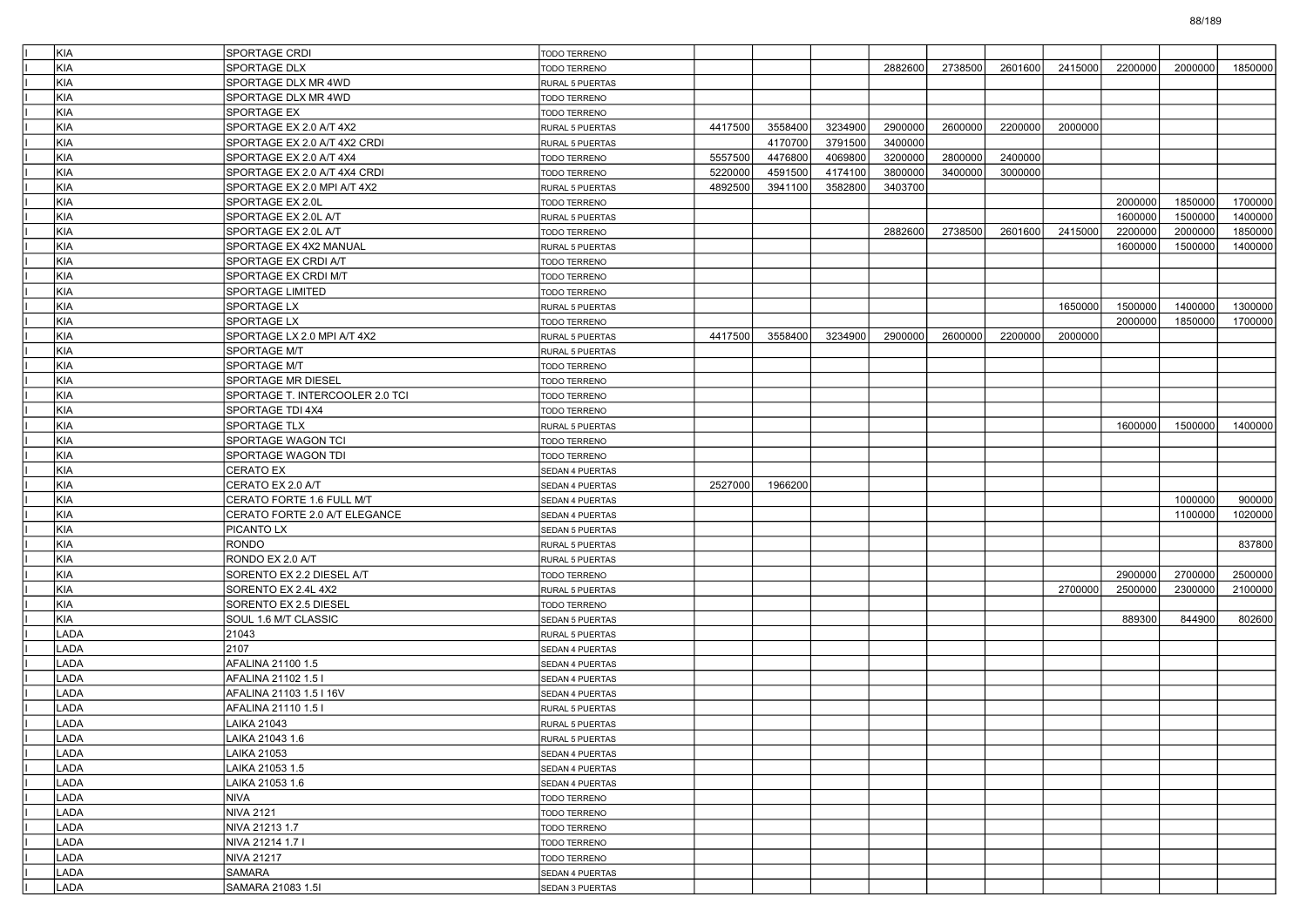| <b>KIA</b>  | SPORTAGE CRDI                   | <b>TODO TERRENO</b>    |         |         |         |         |         |         |         |         |         |         |
|-------------|---------------------------------|------------------------|---------|---------|---------|---------|---------|---------|---------|---------|---------|---------|
| KIA         | SPORTAGE DLX                    | TODO TERRENO           |         |         |         | 2882600 | 2738500 | 2601600 | 2415000 | 2200000 | 2000000 | 1850000 |
| <b>KIA</b>  | SPORTAGE DLX MR 4WD             | RURAL 5 PUERTAS        |         |         |         |         |         |         |         |         |         |         |
| KIA         | SPORTAGE DLX MR 4WD             | TODO TERRENO           |         |         |         |         |         |         |         |         |         |         |
| KIA         | <b>SPORTAGE EX</b>              | TODO TERRENO           |         |         |         |         |         |         |         |         |         |         |
| <b>KIA</b>  | SPORTAGE EX 2.0 A/T 4X2         | RURAL 5 PUERTAS        | 4417500 | 3558400 | 3234900 | 2900000 | 2600000 | 2200000 | 2000000 |         |         |         |
| KIA         | SPORTAGE EX 2.0 A/T 4X2 CRDI    | <b>RURAL 5 PUERTAS</b> |         | 4170700 | 3791500 | 3400000 |         |         |         |         |         |         |
| <b>KIA</b>  | SPORTAGE EX 2.0 A/T 4X4         | TODO TERRENO           | 5557500 | 4476800 | 4069800 | 3200000 | 2800000 | 2400000 |         |         |         |         |
| <b>KIA</b>  | SPORTAGE EX 2.0 A/T 4X4 CRDI    | TODO TERRENO           | 5220000 | 4591500 | 4174100 | 3800000 | 3400000 | 3000000 |         |         |         |         |
| KIA         | SPORTAGE EX 2.0 MPI A/T 4X2     | RURAL 5 PUERTAS        | 4892500 | 3941100 | 3582800 | 3403700 |         |         |         |         |         |         |
| <b>KIA</b>  | SPORTAGE EX 2.0L                | TODO TERRENO           |         |         |         |         |         |         |         | 2000000 | 1850000 | 1700000 |
| KIA         | SPORTAGE EX 2.0L A/T            | <b>RURAL 5 PUERTAS</b> |         |         |         |         |         |         |         | 1600000 | 1500000 | 1400000 |
| <b>KIA</b>  | SPORTAGE EX 2.0L A/T            | TODO TERRENO           |         |         |         | 2882600 | 2738500 | 2601600 | 2415000 | 2200000 | 2000000 | 1850000 |
| <b>KIA</b>  | SPORTAGE EX 4X2 MANUAL          | RURAL 5 PUERTAS        |         |         |         |         |         |         |         | 1600000 | 1500000 | 1400000 |
| KIA         | <b>SPORTAGE EX CRDI A/T</b>     | TODO TERRENO           |         |         |         |         |         |         |         |         |         |         |
| <b>KIA</b>  | SPORTAGE EX CRDI M/T            | TODO TERRENO           |         |         |         |         |         |         |         |         |         |         |
| KIA         | SPORTAGE LIMITED                | TODO TERRENO           |         |         |         |         |         |         |         |         |         |         |
| <b>KIA</b>  | SPORTAGE LX                     | RURAL 5 PUERTAS        |         |         |         |         |         |         | 1650000 | 1500000 | 1400000 | 1300000 |
| <b>KIA</b>  | SPORTAGE LX                     | TODO TERRENO           |         |         |         |         |         |         |         | 2000000 | 1850000 | 1700000 |
| KIA         | SPORTAGE LX 2.0 MPI A/T 4X2     | RURAL 5 PUERTAS        | 4417500 | 3558400 | 3234900 | 2900000 | 2600000 | 2200000 | 2000000 |         |         |         |
| <b>KIA</b>  | SPORTAGE M/T                    | RURAL 5 PUERTAS        |         |         |         |         |         |         |         |         |         |         |
| KIA         | SPORTAGE M/T                    | <b>TODO TERRENO</b>    |         |         |         |         |         |         |         |         |         |         |
| KIA         | SPORTAGE MR DIESEL              | TODO TERRENO           |         |         |         |         |         |         |         |         |         |         |
| KIA         | SPORTAGE T. INTERCOOLER 2.0 TCI | <b>TODO TERRENO</b>    |         |         |         |         |         |         |         |         |         |         |
| KIA         | SPORTAGE TDI 4X4                | TODO TERRENO           |         |         |         |         |         |         |         |         |         |         |
| <b>KIA</b>  | SPORTAGE TLX                    | RURAL 5 PUERTAS        |         |         |         |         |         |         |         | 1600000 | 1500000 | 1400000 |
| KIA         | SPORTAGE WAGON TCI              | <b>TODO TERRENO</b>    |         |         |         |         |         |         |         |         |         |         |
| KIA         | SPORTAGE WAGON TDI              | TODO TERRENO           |         |         |         |         |         |         |         |         |         |         |
| KIA         | <b>CERATO EX</b>                | SEDAN 4 PUERTAS        |         |         |         |         |         |         |         |         |         |         |
| KIA         | CERATO EX 2.0 A/T               | SEDAN 4 PUERTAS        | 2527000 | 1966200 |         |         |         |         |         |         |         |         |
| <b>KIA</b>  | CERATO FORTE 1.6 FULL M/T       | SEDAN 4 PUERTAS        |         |         |         |         |         |         |         |         | 1000000 | 900000  |
| KIA         | CERATO FORTE 2.0 A/T ELEGANCE   | SEDAN 4 PUERTAS        |         |         |         |         |         |         |         |         | 1100000 | 1020000 |
| KIA         | PICANTO LX                      | <b>SEDAN 5 PUERTAS</b> |         |         |         |         |         |         |         |         |         |         |
| KIA         | <b>RONDO</b>                    | RURAL 5 PUERTAS        |         |         |         |         |         |         |         |         |         | 837800  |
| KIA         | RONDO EX 2.0 A/T                | <b>RURAL 5 PUERTAS</b> |         |         |         |         |         |         |         |         |         |         |
| <b>KIA</b>  | SORENTO EX 2.2 DIESEL A/T       | TODO TERRENO           |         |         |         |         |         |         |         | 2900000 | 2700000 | 2500000 |
| KIA         | SORENTO EX 2.4L 4X2             | <b>RURAL 5 PUERTAS</b> |         |         |         |         |         |         | 2700000 | 2500000 | 2300000 | 2100000 |
| KIA         | SORENTO EX 2.5 DIESEL           | TODO TERRENO           |         |         |         |         |         |         |         |         |         |         |
| KIA         | SOUL 1.6 M/T CLASSIC            | SEDAN 5 PUERTAS        |         |         |         |         |         |         |         | 889300  | 844900  | 802600  |
| LADA        | 21043                           | <b>RURAL 5 PUERTAS</b> |         |         |         |         |         |         |         |         |         |         |
| LADA        | 2107                            | SEDAN 4 PUERTAS        |         |         |         |         |         |         |         |         |         |         |
| LADA        | AFALINA 21100 1.5               | SEDAN 4 PUERTAS        |         |         |         |         |         |         |         |         |         |         |
| LADA        | AFALINA 21102 1.5 I             | <b>SEDAN 4 PUERTAS</b> |         |         |         |         |         |         |         |         |         |         |
| LADA        | AFALINA 21103 1.5 I 16V         | SEDAN 4 PUERTAS        |         |         |         |         |         |         |         |         |         |         |
| LADA        | AFALINA 21110 1.5 I             | RURAL 5 PUERTAS        |         |         |         |         |         |         |         |         |         |         |
| LADA        | LAIKA 21043                     | RURAL 5 PUERTAS        |         |         |         |         |         |         |         |         |         |         |
| <b>LADA</b> | LAIKA 21043 1.6                 | RURAL 5 PUERTAS        |         |         |         |         |         |         |         |         |         |         |
| LADA        | LAIKA 21053                     | SEDAN 4 PUERTAS        |         |         |         |         |         |         |         |         |         |         |
| LADA        | LAIKA 21053 1.5                 | SEDAN 4 PUERTAS        |         |         |         |         |         |         |         |         |         |         |
| LADA        | LAIKA 21053 1.6                 | SEDAN 4 PUERTAS        |         |         |         |         |         |         |         |         |         |         |
| LADA        | NIVA                            | TODO TERRENO           |         |         |         |         |         |         |         |         |         |         |
| LADA        | <b>NIVA 2121</b>                | TODO TERRENO           |         |         |         |         |         |         |         |         |         |         |
| LADA        | NIVA 21213 1.7                  | TODO TERRENO           |         |         |         |         |         |         |         |         |         |         |
| LADA        | NIVA 21214 1.7 I                | TODO TERRENO           |         |         |         |         |         |         |         |         |         |         |
| LADA        | <b>NIVA 21217</b>               | TODO TERRENO           |         |         |         |         |         |         |         |         |         |         |
| LADA        | SAMARA                          | SEDAN 4 PUERTAS        |         |         |         |         |         |         |         |         |         |         |
| LADA        | SAMARA 21083 1.5I               | SEDAN 3 PUERTAS        |         |         |         |         |         |         |         |         |         |         |

88/189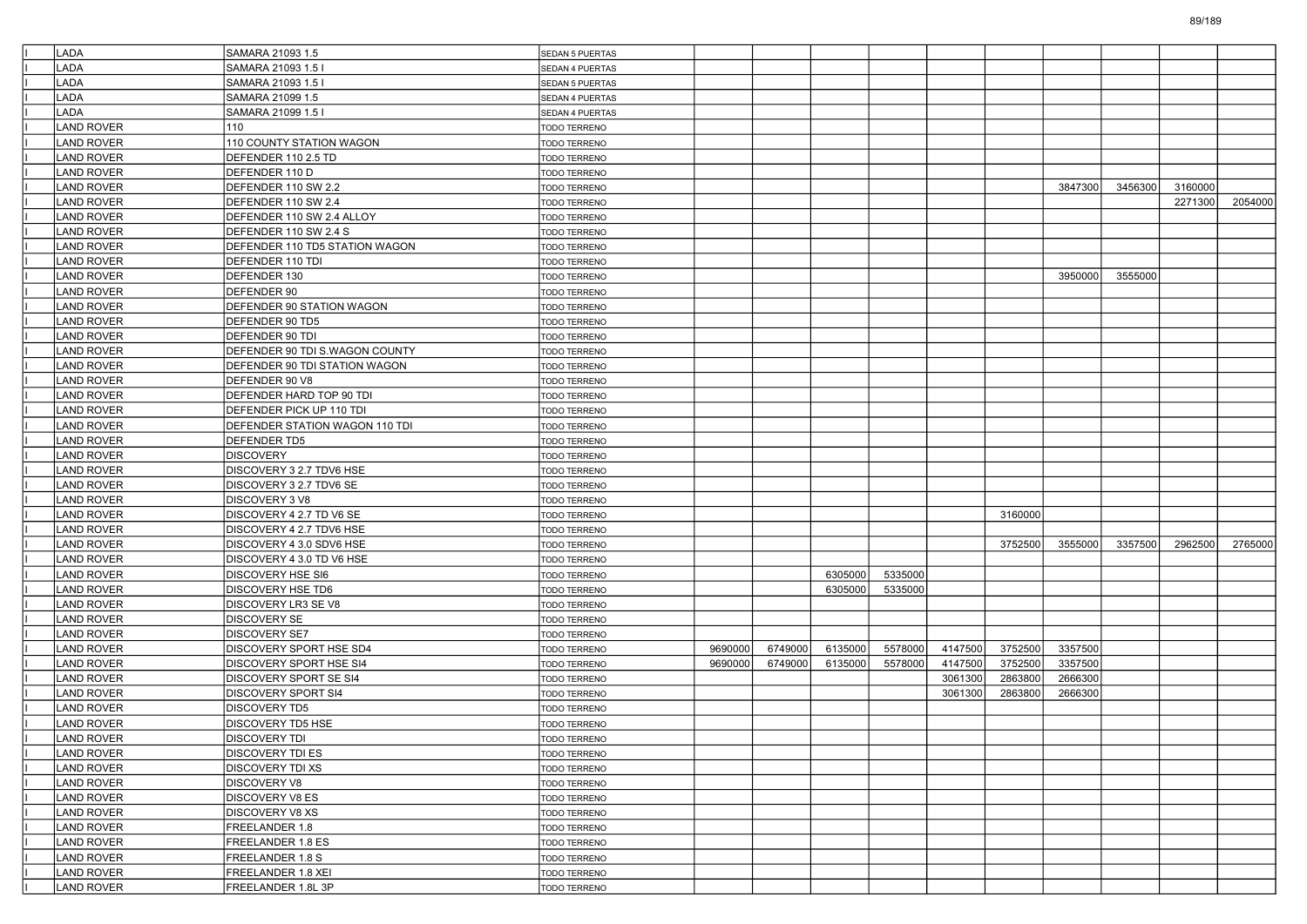| <b>LADA</b>       | SAMARA 21093 1.5               | <b>SEDAN 5 PUERTAS</b> |         |         |         |         |         |         |         |         |         |         |
|-------------------|--------------------------------|------------------------|---------|---------|---------|---------|---------|---------|---------|---------|---------|---------|
| LADA              | SAMARA 21093 1.5               | SEDAN 4 PUERTAS        |         |         |         |         |         |         |         |         |         |         |
| <b>LADA</b>       | SAMARA 21093 1.5 I             | <b>SEDAN 5 PUERTAS</b> |         |         |         |         |         |         |         |         |         |         |
| <b>LADA</b>       | SAMARA 21099 1.5               | SEDAN 4 PUERTAS        |         |         |         |         |         |         |         |         |         |         |
| <b>LADA</b>       | SAMARA 21099 1.5 I             | SEDAN 4 PUERTAS        |         |         |         |         |         |         |         |         |         |         |
| <b>LAND ROVER</b> | 110                            | TODO TERRENO           |         |         |         |         |         |         |         |         |         |         |
| <b>LAND ROVER</b> | 110 COUNTY STATION WAGON       | TODO TERRENO           |         |         |         |         |         |         |         |         |         |         |
| <b>LAND ROVER</b> | DEFENDER 110 2.5 TD            | <b>TODO TERRENO</b>    |         |         |         |         |         |         |         |         |         |         |
| <b>LAND ROVER</b> | DEFENDER 110 D                 | <b>TODO TERRENO</b>    |         |         |         |         |         |         |         |         |         |         |
| <b>LAND ROVER</b> | DEFENDER 110 SW 2.2            | <b>TODO TERRENO</b>    |         |         |         |         |         |         | 3847300 | 3456300 | 3160000 |         |
| <b>LAND ROVER</b> | DEFENDER 110 SW 2.4            | <b>TODO TERRENO</b>    |         |         |         |         |         |         |         |         | 2271300 | 2054000 |
| <b>LAND ROVER</b> | DEFENDER 110 SW 2.4 ALLOY      | TODO TERRENO           |         |         |         |         |         |         |         |         |         |         |
| <b>LAND ROVER</b> | DEFENDER 110 SW 2.4 S          | <b>TODO TERRENO</b>    |         |         |         |         |         |         |         |         |         |         |
| <b>LAND ROVER</b> | DEFENDER 110 TD5 STATION WAGON | <b>TODO TERRENO</b>    |         |         |         |         |         |         |         |         |         |         |
| <b>LAND ROVER</b> | DEFENDER 110 TDI               | <b>TODO TERRENO</b>    |         |         |         |         |         |         |         |         |         |         |
| <b>LAND ROVER</b> | DEFENDER 130                   | TODO TERRENO           |         |         |         |         |         |         | 3950000 | 3555000 |         |         |
| <b>LAND ROVER</b> | DEFENDER 90                    | TODO TERRENO           |         |         |         |         |         |         |         |         |         |         |
| <b>LAND ROVER</b> | DEFENDER 90 STATION WAGON      | <b>TODO TERRENO</b>    |         |         |         |         |         |         |         |         |         |         |
| <b>LAND ROVER</b> | DEFENDER 90 TD5                | <b>TODO TERRENO</b>    |         |         |         |         |         |         |         |         |         |         |
| <b>LAND ROVER</b> | DEFENDER 90 TDI                | <b>TODO TERRENO</b>    |         |         |         |         |         |         |         |         |         |         |
| <b>LAND ROVER</b> | DEFENDER 90 TDI S.WAGON COUNTY | TODO TERRENO           |         |         |         |         |         |         |         |         |         |         |
| <b>LAND ROVER</b> | DEFENDER 90 TDI STATION WAGON  | TODO TERRENO           |         |         |         |         |         |         |         |         |         |         |
| <b>LAND ROVER</b> | DEFENDER 90 V8                 | <b>TODO TERRENO</b>    |         |         |         |         |         |         |         |         |         |         |
| <b>LAND ROVER</b> | DEFENDER HARD TOP 90 TDI       | <b>TODO TERRENO</b>    |         |         |         |         |         |         |         |         |         |         |
| <b>LAND ROVER</b> | DEFENDER PICK UP 110 TDI       | <b>TODO TERRENO</b>    |         |         |         |         |         |         |         |         |         |         |
| <b>LAND ROVER</b> | DEFENDER STATION WAGON 110 TDI | TODO TERRENO           |         |         |         |         |         |         |         |         |         |         |
| <b>LAND ROVER</b> | DEFENDER TD5                   | TODO TERRENO           |         |         |         |         |         |         |         |         |         |         |
| <b>LAND ROVER</b> | <b>DISCOVERY</b>               | <b>TODO TERRENO</b>    |         |         |         |         |         |         |         |         |         |         |
| <b>LAND ROVER</b> | DISCOVERY 3 2.7 TDV6 HSE       | TODO TERRENO           |         |         |         |         |         |         |         |         |         |         |
| <b>LAND ROVER</b> | DISCOVERY 3 2.7 TDV6 SE        | <b>TODO TERRENO</b>    |         |         |         |         |         |         |         |         |         |         |
| <b>LAND ROVER</b> | DISCOVERY 3 V8                 | <b>TODO TERRENO</b>    |         |         |         |         |         |         |         |         |         |         |
| <b>LAND ROVER</b> | DISCOVERY 4 2.7 TD V6 SE       | TODO TERRENO           |         |         |         |         |         | 3160000 |         |         |         |         |
| <b>LAND ROVER</b> | DISCOVERY 4 2.7 TDV6 HSE       | <b>TODO TERRENO</b>    |         |         |         |         |         |         |         |         |         |         |
| <b>LAND ROVER</b> | DISCOVERY 4 3.0 SDV6 HSE       | TODO TERRENO           |         |         |         |         |         | 3752500 | 3555000 | 3357500 | 2962500 | 2765000 |
| <b>LAND ROVER</b> | DISCOVERY 4 3.0 TD V6 HSE      | <b>TODO TERRENO</b>    |         |         |         |         |         |         |         |         |         |         |
| <b>LAND ROVER</b> | <b>DISCOVERY HSE SI6</b>       | <b>TODO TERRENO</b>    |         |         | 6305000 | 5335000 |         |         |         |         |         |         |
| <b>LAND ROVER</b> | DISCOVERY HSE TD6              | TODO TERRENO           |         |         | 6305000 | 5335000 |         |         |         |         |         |         |
| <b>LAND ROVER</b> | DISCOVERY LR3 SE V8            | <b>TODO TERRENO</b>    |         |         |         |         |         |         |         |         |         |         |
| <b>LAND ROVER</b> | <b>DISCOVERY SE</b>            | TODO TERRENO           |         |         |         |         |         |         |         |         |         |         |
| <b>LAND ROVER</b> | <b>DISCOVERY SE7</b>           | <b>TODO TERRENO</b>    |         |         |         |         |         |         |         |         |         |         |
| <b>LAND ROVER</b> | DISCOVERY SPORT HSE SD4        | TODO TERRENO           | 9690000 | 6749000 | 6135000 | 5578000 | 4147500 | 3752500 | 3357500 |         |         |         |
| <b>LAND ROVER</b> | DISCOVERY SPORT HSE SI4        | TODO TERRENO           | 9690000 | 6749000 | 6135000 | 5578000 | 4147500 | 3752500 | 3357500 |         |         |         |
| <b>LAND ROVER</b> | DISCOVERY SPORT SE SI4         | <b>TODO TERRENO</b>    |         |         |         |         | 3061300 | 2863800 | 2666300 |         |         |         |
| <b>LAND ROVER</b> | <b>DISCOVERY SPORT SI4</b>     | <b>TODO TERRENO</b>    |         |         |         |         | 3061300 | 2863800 | 2666300 |         |         |         |
| <b>LAND ROVER</b> | <b>DISCOVERY TD5</b>           | <b>TODO TERRENO</b>    |         |         |         |         |         |         |         |         |         |         |
| <b>LAND ROVER</b> | <b>DISCOVERY TD5 HSE</b>       | TODO TERRENO           |         |         |         |         |         |         |         |         |         |         |
| LAND ROVER        | <b>DISCOVERY TDI</b>           | TODO TERRENO           |         |         |         |         |         |         |         |         |         |         |
| LAND ROVER        | <b>DISCOVERY TDI ES</b>        | TODO TERRENO           |         |         |         |         |         |         |         |         |         |         |
| LAND ROVER        | <b>DISCOVERY TDI XS</b>        | TODO TERRENO           |         |         |         |         |         |         |         |         |         |         |
| <b>LAND ROVER</b> | <b>DISCOVERY V8</b>            | TODO TERRENO           |         |         |         |         |         |         |         |         |         |         |
| LAND ROVER        | <b>DISCOVERY V8 ES</b>         | <b>TODO TERRENO</b>    |         |         |         |         |         |         |         |         |         |         |
| <b>LAND ROVER</b> | <b>DISCOVERY V8 XS</b>         | TODO TERRENO           |         |         |         |         |         |         |         |         |         |         |
| LAND ROVER        | FREELANDER 1.8                 | TODO TERRENO           |         |         |         |         |         |         |         |         |         |         |
| <b>LAND ROVER</b> | FREELANDER 1.8 ES              | TODO TERRENO           |         |         |         |         |         |         |         |         |         |         |
| LAND ROVER        | FREELANDER 1.8 S               | TODO TERRENO           |         |         |         |         |         |         |         |         |         |         |
| LAND ROVER        | FREELANDER 1.8 XEI             | <b>TODO TERRENO</b>    |         |         |         |         |         |         |         |         |         |         |
| LAND ROVER        | FREELANDER 1.8L 3P             | TODO TERRENO           |         |         |         |         |         |         |         |         |         |         |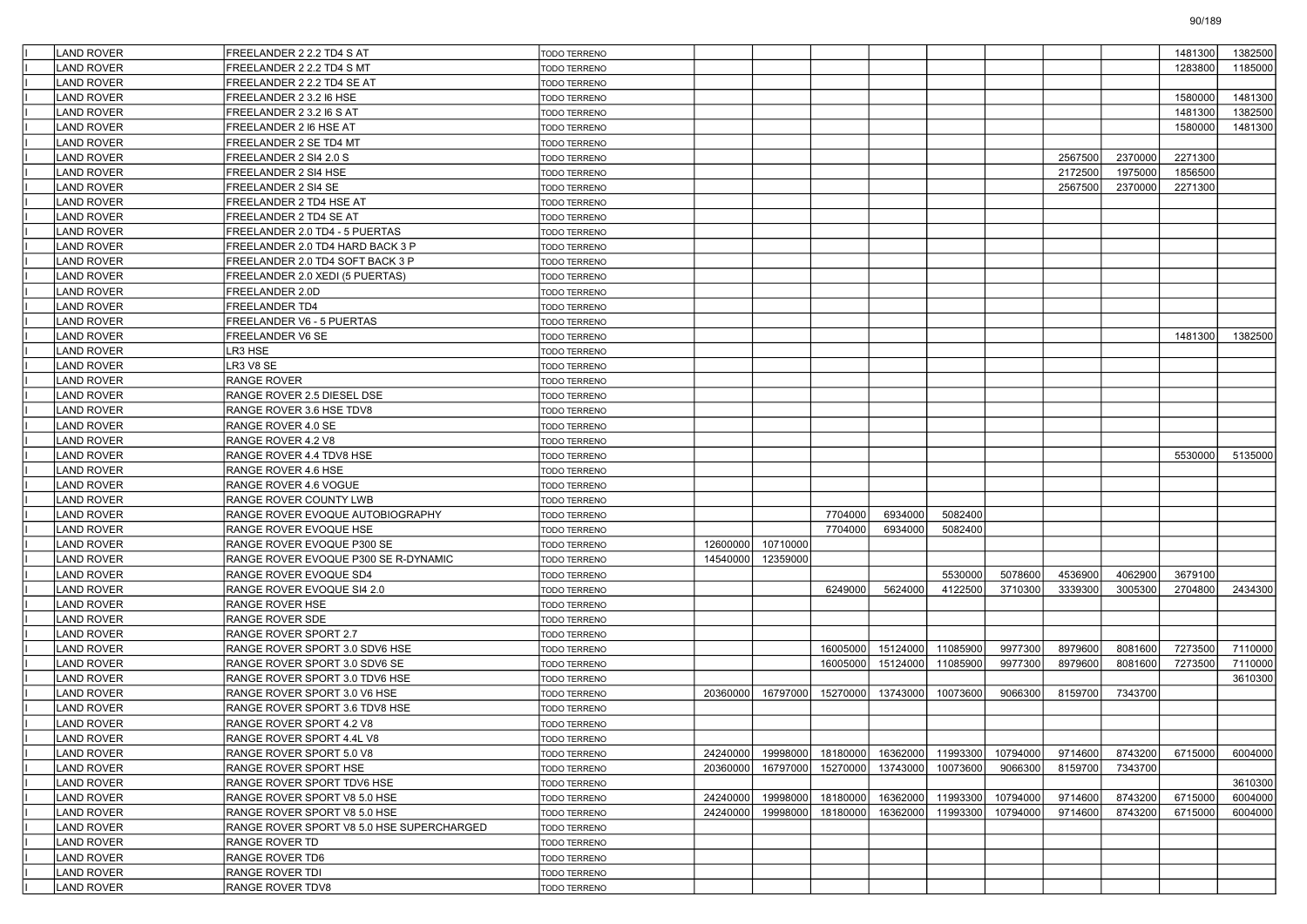| <b>LAND ROVER</b> | FREELANDER 2 2.2 TD4 S AT                 | <b>TODO TERRENO</b>          |          |          |          |          |          |          |         |         | 1481300 | 1382500 |
|-------------------|-------------------------------------------|------------------------------|----------|----------|----------|----------|----------|----------|---------|---------|---------|---------|
| <b>LAND ROVER</b> | FREELANDER 2 2.2 TD4 S MT                 | <b>FODO TERRENO</b>          |          |          |          |          |          |          |         |         | 1283800 | 1185000 |
| <b>LAND ROVER</b> | FREELANDER 2 2.2 TD4 SE AT                | TODO TERRENO                 |          |          |          |          |          |          |         |         |         |         |
| LAND ROVER        | FREELANDER 2 3.2 I6 HSE                   | <b>TODO TERRENO</b>          |          |          |          |          |          |          |         |         | 1580000 | 1481300 |
| <b>LAND ROVER</b> | FREELANDER 2 3.2 I6 S AT                  | TODO TERRENO                 |          |          |          |          |          |          |         |         | 1481300 | 1382500 |
| <b>LAND ROVER</b> | FREELANDER 2 16 HSE AT                    | TODO TERRENO                 |          |          |          |          |          |          |         |         | 1580000 | 1481300 |
| <b>LAND ROVER</b> | FREELANDER 2 SE TD4 MT                    | TODO TERRENO                 |          |          |          |          |          |          |         |         |         |         |
| LAND ROVER        | FREELANDER 2 SI4 2.0 S                    | TODO TERRENO                 |          |          |          |          |          |          | 2567500 | 2370000 | 2271300 |         |
| LAND ROVER        | FREELANDER 2 SI4 HSE                      | TODO TERRENO                 |          |          |          |          |          |          | 2172500 | 1975000 | 1856500 |         |
| <b>LAND ROVER</b> | FREELANDER 2 SI4 SE                       | TODO TERRENO                 |          |          |          |          |          |          | 2567500 | 2370000 | 2271300 |         |
| <b>LAND ROVER</b> | FREELANDER 2 TD4 HSE AT                   | TODO TERRENO                 |          |          |          |          |          |          |         |         |         |         |
| <b>LAND ROVER</b> | FREELANDER 2 TD4 SE AT                    | TODO TERRENO                 |          |          |          |          |          |          |         |         |         |         |
| LAND ROVER        | FREELANDER 2.0 TD4 - 5 PUERTAS            | TODO TERRENO                 |          |          |          |          |          |          |         |         |         |         |
| LAND ROVER        | FREELANDER 2.0 TD4 HARD BACK 3 P          | TODO TERRENO                 |          |          |          |          |          |          |         |         |         |         |
| <b>LAND ROVER</b> | FREELANDER 2.0 TD4 SOFT BACK 3 P          | TODO TERRENO                 |          |          |          |          |          |          |         |         |         |         |
| <b>LAND ROVER</b> | FREELANDER 2.0 XEDI (5 PUERTAS)           | TODO TERRENO                 |          |          |          |          |          |          |         |         |         |         |
| <b>LAND ROVER</b> | FREELANDER 2.0D                           | TODO TERRENO                 |          |          |          |          |          |          |         |         |         |         |
| <b>LAND ROVER</b> | FREELANDER TD4                            | TODO TERRENO                 |          |          |          |          |          |          |         |         |         |         |
| LAND ROVER        | FREELANDER V6 - 5 PUERTAS                 | TODO TERRENO                 |          |          |          |          |          |          |         |         |         |         |
| <b>LAND ROVER</b> | FREELANDER V6 SE                          | TODO TERRENO                 |          |          |          |          |          |          |         |         | 1481300 | 1382500 |
| <b>LAND ROVER</b> | LR3 HSE                                   | TODO TERRENO                 |          |          |          |          |          |          |         |         |         |         |
| <b>LAND ROVER</b> | R3 V8 SE                                  | TODO TERRENO                 |          |          |          |          |          |          |         |         |         |         |
| <b>LAND ROVER</b> | RANGE ROVER                               | TODO TERRENO                 |          |          |          |          |          |          |         |         |         |         |
| LAND ROVER        | RANGE ROVER 2.5 DIESEL DSE                | <b>TODO TERRENO</b>          |          |          |          |          |          |          |         |         |         |         |
| <b>LAND ROVER</b> | RANGE ROVER 3.6 HSE TDV8                  | TODO TERRENO                 |          |          |          |          |          |          |         |         |         |         |
| <b>LAND ROVER</b> | RANGE ROVER 4.0 SE                        | TODO TERRENO                 |          |          |          |          |          |          |         |         |         |         |
| <b>LAND ROVER</b> | RANGE ROVER 4.2 V8                        | TODO TERRENO                 |          |          |          |          |          |          |         |         |         |         |
| <b>LAND ROVER</b> | RANGE ROVER 4.4 TDV8 HSE                  | TODO TERRENO                 |          |          |          |          |          |          |         |         | 5530000 | 5135000 |
| LAND ROVER        | RANGE ROVER 4.6 HSE                       | <b>TODO TERRENO</b>          |          |          |          |          |          |          |         |         |         |         |
| <b>LAND ROVER</b> | RANGE ROVER 4.6 VOGUE                     | TODO TERRENO                 |          |          |          |          |          |          |         |         |         |         |
| <b>LAND ROVER</b> | RANGE ROVER COUNTY LWB                    | TODO TERRENO                 |          |          |          |          |          |          |         |         |         |         |
| <b>LAND ROVER</b> | RANGE ROVER EVOQUE AUTOBIOGRAPHY          | TODO TERRENO                 |          |          | 7704000  | 6934000  | 5082400  |          |         |         |         |         |
| <b>LAND ROVER</b> | RANGE ROVER EVOQUE HSE                    | TODO TERRENO                 |          |          | 7704000  | 6934000  | 5082400  |          |         |         |         |         |
| LAND ROVER        | RANGE ROVER EVOQUE P300 SE                | TODO TERRENO                 | 12600000 | 10710000 |          |          |          |          |         |         |         |         |
| <b>LAND ROVER</b> | RANGE ROVER EVOQUE P300 SE R-DYNAMIC      | <b>TODO TERRENO</b>          | 14540000 | 12359000 |          |          |          |          |         |         |         |         |
| <b>LAND ROVER</b> | RANGE ROVER EVOQUE SD4                    | TODO TERRENO                 |          |          |          |          | 5530000  | 5078600  | 4536900 | 4062900 | 3679100 |         |
| <b>LAND ROVER</b> | RANGE ROVER EVOQUE SI4 2.0                | <b>TODO TERRENO</b>          |          |          | 6249000  | 5624000  | 4122500  | 3710300  | 3339300 | 3005300 | 2704800 | 2434300 |
| LAND ROVER        | RANGE ROVER HSE                           | TODO TERRENO                 |          |          |          |          |          |          |         |         |         |         |
| LAND ROVER        | RANGE ROVER SDE                           | TODO TERRENO                 |          |          |          |          |          |          |         |         |         |         |
| <b>LAND ROVER</b> | RANGE ROVER SPORT 2.7                     | TODO TERRENO                 |          |          |          |          |          |          |         |         |         |         |
| <b>LAND ROVER</b> | RANGE ROVER SPORT 3.0 SDV6 HSE            | TODO TERRENO                 |          |          | 16005000 | 15124000 | 11085900 | 9977300  | 8979600 | 8081600 | 7273500 | 7110000 |
| <b>LAND ROVER</b> | RANGE ROVER SPORT 3.0 SDV6 SE             | TODO TERRENO                 |          |          | 16005000 | 15124000 | 11085900 | 9977300  | 8979600 | 8081600 | 7273500 | 7110000 |
| LAND ROVER        | RANGE ROVER SPORT 3.0 TDV6 HSE            | TODO TERRENO                 |          |          |          |          |          |          |         |         |         | 3610300 |
| <b>LAND ROVER</b> | RANGE ROVER SPORT 3.0 V6 HSE              | TODO TERRENO                 | 20360000 | 16797000 | 15270000 | 13743000 | 10073600 | 9066300  | 8159700 | 7343700 |         |         |
| <b>LAND ROVER</b> | RANGE ROVER SPORT 3.6 TDV8 HSE            | TODO TERRENO                 |          |          |          |          |          |          |         |         |         |         |
| <b>LAND ROVER</b> | RANGE ROVER SPORT 4.2 V8                  | TODO TERRENO                 |          |          |          |          |          |          |         |         |         |         |
| LAND ROVER        | RANGE ROVER SPORT 4.4L V8                 | TODO TERRENO                 |          |          |          |          |          |          |         |         |         |         |
| LAND ROVER        | RANGE ROVER SPORT 5.0 V8                  |                              | 24240000 | 19998000 | 18180000 | 16362000 | 11993300 | 10794000 | 9714600 | 8743200 | 6715000 | 6004000 |
| <b>LAND ROVER</b> | RANGE ROVER SPORT HSE                     | TODO TERRENO<br>TODO TERRENO | 20360000 | 16797000 | 15270000 | 13743000 | 10073600 | 9066300  | 8159700 | 7343700 |         |         |
| <b>LAND ROVER</b> |                                           | TODO TERRENO                 |          |          |          |          |          |          |         |         |         | 3610300 |
| <b>LAND ROVER</b> | RANGE ROVER SPORT TDV6 HSE                |                              |          |          |          |          |          |          | 9714600 |         | 6715000 | 6004000 |
|                   | RANGE ROVER SPORT V8 5.0 HSE              | TODO TERRENO                 | 24240000 | 19998000 | 18180000 | 16362000 | 11993300 | 10794000 |         | 8743200 |         |         |
| LAND ROVER        | RANGE ROVER SPORT V8 5.0 HSE              | TODO TERRENO                 | 24240000 | 19998000 | 18180000 | 16362000 | 11993300 | 10794000 | 9714600 | 8743200 | 6715000 | 6004000 |
| <b>LAND ROVER</b> | RANGE ROVER SPORT V8 5.0 HSE SUPERCHARGED | TODO TERRENO                 |          |          |          |          |          |          |         |         |         |         |
| <b>LAND ROVER</b> | RANGE ROVER TD                            | TODO TERRENO                 |          |          |          |          |          |          |         |         |         |         |
| <b>LAND ROVER</b> | RANGE ROVER TD6                           | TODO TERRENO                 |          |          |          |          |          |          |         |         |         |         |
| <b>LAND ROVER</b> | RANGE ROVER TDI                           | TODO TERRENO                 |          |          |          |          |          |          |         |         |         |         |
| LAND ROVER        | RANGE ROVER TDV8                          | TODO TERRENO                 |          |          |          |          |          |          |         |         |         |         |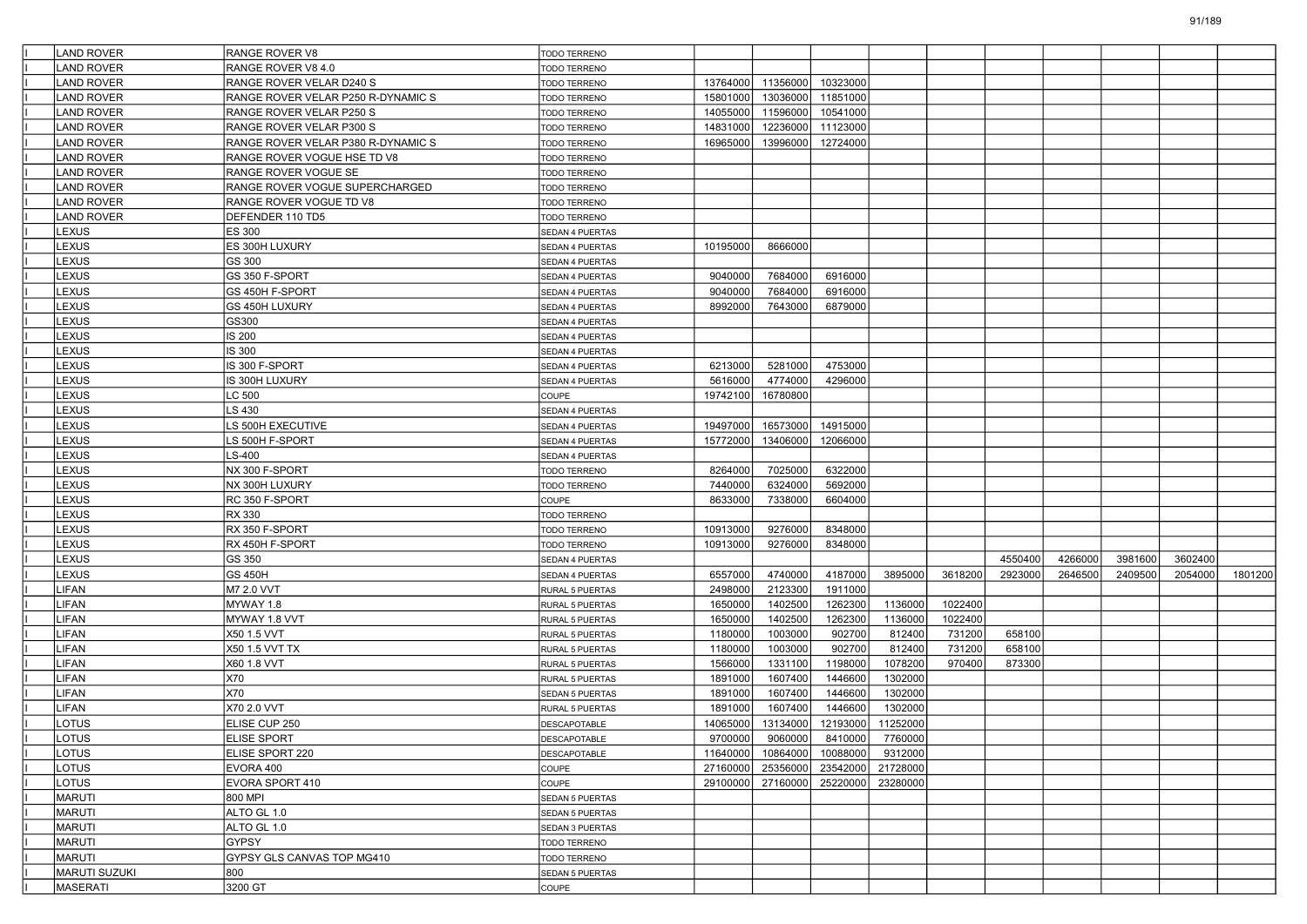| LAND ROVER        | RANGE ROVER V8                     | TODO TERRENO           |          |                   |                                     |                 |         |         |         |         |         |         |
|-------------------|------------------------------------|------------------------|----------|-------------------|-------------------------------------|-----------------|---------|---------|---------|---------|---------|---------|
| <b>LAND ROVER</b> | RANGE ROVER V8 4.0                 | <b>TODO TERRENO</b>    |          |                   |                                     |                 |         |         |         |         |         |         |
| <b>LAND ROVER</b> | RANGE ROVER VELAR D240 S           | TODO TERRENO           | 13764000 | 11356000          | 10323000                            |                 |         |         |         |         |         |         |
| <b>LAND ROVER</b> | RANGE ROVER VELAR P250 R-DYNAMIC S | TODO TERRENO           | 15801000 | 13036000          | 11851000                            |                 |         |         |         |         |         |         |
| <b>LAND ROVER</b> | RANGE ROVER VELAR P250 S           | TODO TERRENO           | 14055000 | 11596000          | 10541000                            |                 |         |         |         |         |         |         |
| <b>LAND ROVER</b> | RANGE ROVER VELAR P300 S           | TODO TERRENO           | 14831000 | 12236000          | 11123000                            |                 |         |         |         |         |         |         |
| LAND ROVER        | RANGE ROVER VELAR P380 R-DYNAMIC S | TODO TERRENO           | 16965000 | 13996000          | 12724000                            |                 |         |         |         |         |         |         |
| <b>LAND ROVER</b> | RANGE ROVER VOGUE HSE TD V8        | TODO TERRENO           |          |                   |                                     |                 |         |         |         |         |         |         |
| <b>LAND ROVER</b> | RANGE ROVER VOGUE SE               | TODO TERRENO           |          |                   |                                     |                 |         |         |         |         |         |         |
| <b>LAND ROVER</b> | RANGE ROVER VOGUE SUPERCHARGED     | TODO TERRENO           |          |                   |                                     |                 |         |         |         |         |         |         |
| <b>LAND ROVER</b> | RANGE ROVER VOGUE TD V8            | TODO TERRENO           |          |                   |                                     |                 |         |         |         |         |         |         |
| LAND ROVER        | DEFENDER 110 TD5                   | TODO TERRENO           |          |                   |                                     |                 |         |         |         |         |         |         |
| LEXUS             | ES 300                             | SEDAN 4 PUERTAS        |          |                   |                                     |                 |         |         |         |         |         |         |
| LEXUS             | ES 300H LUXURY                     | SEDAN 4 PUERTAS        | 10195000 | 8666000           |                                     |                 |         |         |         |         |         |         |
| LEXUS             | GS 300                             | SEDAN 4 PUERTAS        |          |                   |                                     |                 |         |         |         |         |         |         |
| LEXUS             | GS 350 F-SPORT                     | SEDAN 4 PUERTAS        | 9040000  | 7684000           | 6916000                             |                 |         |         |         |         |         |         |
| LEXUS             | GS 450H F-SPORT                    | SEDAN 4 PUERTAS        | 9040000  | 7684000           | 6916000                             |                 |         |         |         |         |         |         |
| LEXUS             | GS 450H LUXURY                     | SEDAN 4 PUERTAS        | 8992000  | 7643000           | 6879000                             |                 |         |         |         |         |         |         |
| LEXUS             | GS300                              | SEDAN 4 PUERTAS        |          |                   |                                     |                 |         |         |         |         |         |         |
| LEXUS             | IS 200                             | SEDAN 4 PUERTAS        |          |                   |                                     |                 |         |         |         |         |         |         |
| LEXUS             | IS 300                             | <b>SEDAN 4 PUERTAS</b> |          |                   |                                     |                 |         |         |         |         |         |         |
| LEXUS             | IS 300 F-SPORT                     | SEDAN 4 PUERTAS        | 6213000  | 5281000           | 4753000                             |                 |         |         |         |         |         |         |
| LEXUS             | IS 300H LUXURY                     | SEDAN 4 PUERTAS        | 5616000  | 4774000           | 4296000                             |                 |         |         |         |         |         |         |
| LEXUS             | LC 500                             | COUPE                  | 19742100 | 16780800          |                                     |                 |         |         |         |         |         |         |
| LEXUS             | LS 430                             | SEDAN 4 PUERTAS        |          |                   |                                     |                 |         |         |         |         |         |         |
| LEXUS             | LS 500H EXECUTIVE                  | SEDAN 4 PUERTAS        | 19497000 | 16573000          | 14915000                            |                 |         |         |         |         |         |         |
| LEXUS             | LS 500H F-SPORT                    | SEDAN 4 PUERTAS        | 15772000 | 13406000          | 12066000                            |                 |         |         |         |         |         |         |
| LEXUS             | $LS-400$                           | SEDAN 4 PUERTAS        |          |                   |                                     |                 |         |         |         |         |         |         |
| LEXUS             | NX 300 F-SPORT                     | TODO TERRENO           | 8264000  | 7025000           | 6322000                             |                 |         |         |         |         |         |         |
| LEXUS             | NX 300H LUXURY                     | TODO TERRENO           | 7440000  | 6324000           | 5692000                             |                 |         |         |         |         |         |         |
| LEXUS             | RC 350 F-SPORT                     | COUPE                  | 8633000  | 7338000           | 6604000                             |                 |         |         |         |         |         |         |
| LEXUS             | RX 330                             | TODO TERRENO           |          |                   |                                     |                 |         |         |         |         |         |         |
| LEXUS             | RX 350 F-SPORT                     | TODO TERRENO           | 10913000 | 9276000           | 8348000                             |                 |         |         |         |         |         |         |
| LEXUS             | RX 450H F-SPORT                    | TODO TERRENO           | 10913000 | 9276000           | 8348000                             |                 |         |         |         |         |         |         |
| LEXUS             | GS 350                             | SEDAN 4 PUERTAS        |          |                   |                                     |                 |         | 4550400 | 4266000 | 3981600 | 3602400 |         |
| LEXUS             | GS 450H                            | SEDAN 4 PUERTAS        | 6557000  | 4740000           | 4187000                             | 3895000         | 3618200 | 2923000 | 2646500 | 2409500 | 2054000 | 1801200 |
| LIFAN             | M7 2.0 VVT                         | RURAL 5 PUERTAS        | 2498000  | 2123300           | 1911000                             |                 |         |         |         |         |         |         |
| LIFAN             | MYWAY 1.8                          | RURAL 5 PUERTAS        | 1650000  | 1402500           | 1262300                             | 1136000         | 1022400 |         |         |         |         |         |
| LIFAN             | MYWAY 1.8 VVT                      | <b>RURAL 5 PUERTAS</b> | 1650000  | 1402500           | 1262300                             | 1136000         | 1022400 |         |         |         |         |         |
| LIFAN             | X50 1.5 VVT                        | RURAL 5 PUERTAS        | 1180000  | 1003000           | 902700                              | 812400          | 731200  | 658100  |         |         |         |         |
| <b>IFAN</b>       | X50 1.5 VVT TX                     | RURAL 5 PUERTAS        | 1180000  | 1003000           | 902700                              | 812400          | 731200  | 658100  |         |         |         |         |
| LIFAN             | X60 1.8 VVT                        | <b>RURAL 5 PUERTAS</b> | 1566000  | 1331100           | 1198000                             | 1078200         | 970400  | 873300  |         |         |         |         |
| LIFAN             | X70                                | RURAL 5 PUERTAS        | 1891000  | 1607400           | 1446600                             | 1302000         |         |         |         |         |         |         |
| LIFAN             | X70                                | <b>SEDAN 5 PUERTAS</b> | 1891000  | 1607400           | 1446600                             | 1302000         |         |         |         |         |         |         |
| LIFAN             | X70 2.0 VVT                        | RURAL 5 PUERTAS        | 1891000  | 1607400           | 1446600                             | 1302000         |         |         |         |         |         |         |
| LOTUS             | ELISE CUP 250                      | <b>DESCAPOTABLE</b>    | 14065000 | 13134000          | 12193000                            | 11252000        |         |         |         |         |         |         |
| LOTUS             | <b>ELISE SPORT</b>                 | <b>DESCAPOTABLE</b>    |          | 9700000 9060000   |                                     | 8410000 7760000 |         |         |         |         |         |         |
| LOTUS             | ELISE SPORT 220                    | DESCAPOTABLE           |          | 11640000 10864000 | 10088000                            | 9312000         |         |         |         |         |         |         |
| LOTUS             | EVORA 400                          | COUPE                  |          |                   | 27160000 25356000 23542000 21728000 |                 |         |         |         |         |         |         |
| LOTUS             | EVORA SPORT 410                    | COUPE                  |          |                   | 29100000 27160000 25220000 23280000 |                 |         |         |         |         |         |         |
| MARUTI            | 800 MPI                            | SEDAN 5 PUERTAS        |          |                   |                                     |                 |         |         |         |         |         |         |
| MARUTI            | ALTO GL 1.0                        | SEDAN 5 PUERTAS        |          |                   |                                     |                 |         |         |         |         |         |         |
| MARUTI            | ALTO GL 1.0                        | SEDAN 3 PUERTAS        |          |                   |                                     |                 |         |         |         |         |         |         |
| MARUTI            | GYPSY                              | TODO TERRENO           |          |                   |                                     |                 |         |         |         |         |         |         |
| MARUTI            | GYPSY GLS CANVAS TOP MG410         | TODO TERRENO           |          |                   |                                     |                 |         |         |         |         |         |         |
| MARUTI SUZUKI     | 800                                | <b>SEDAN 5 PUERTAS</b> |          |                   |                                     |                 |         |         |         |         |         |         |
| MASERATI          | 3200 GT                            | COUPE                  |          |                   |                                     |                 |         |         |         |         |         |         |
|                   |                                    |                        |          |                   |                                     |                 |         |         |         |         |         |         |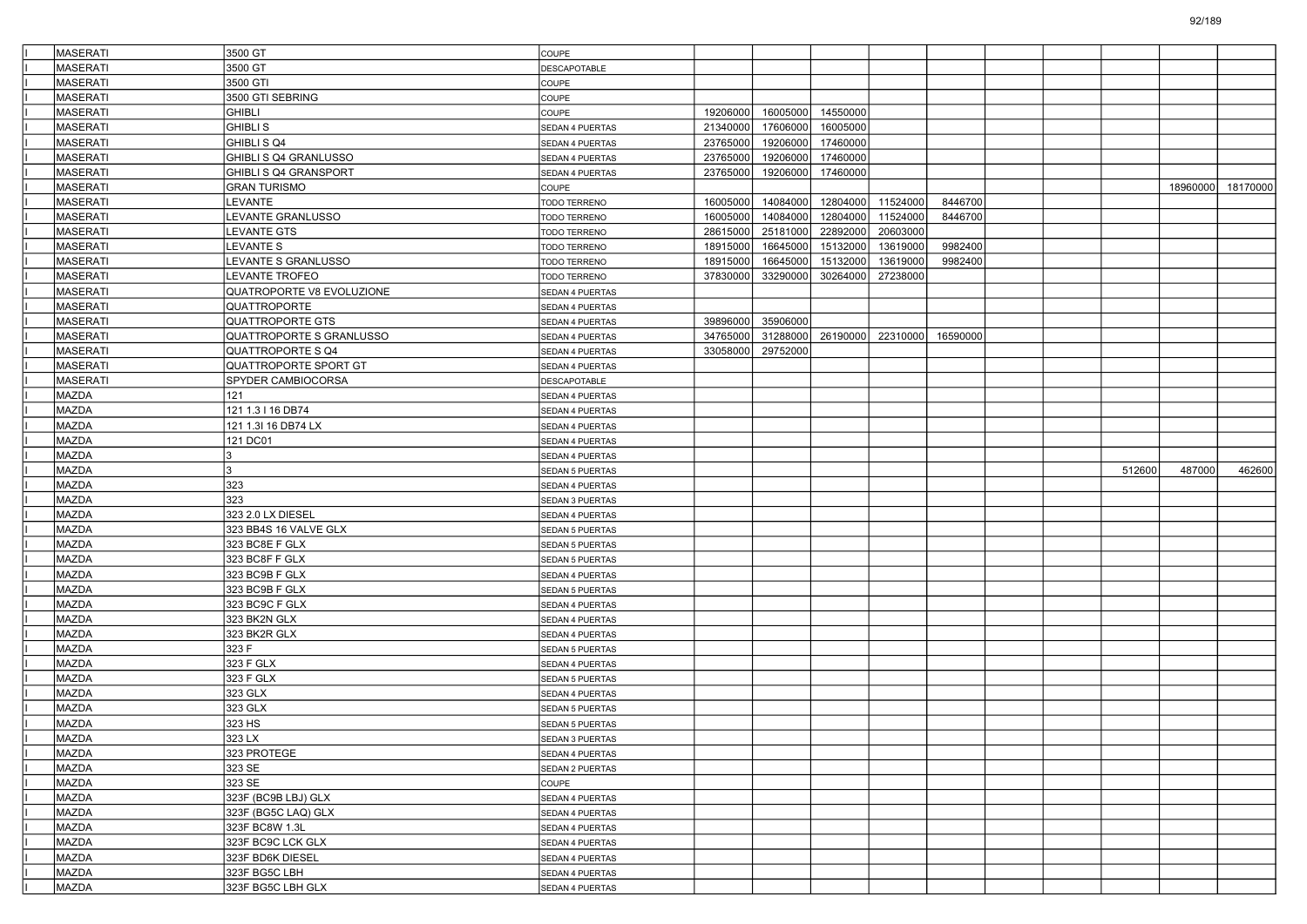| <b>MASERATI</b> | 3500 GT                      | <b>COUPE</b>           |          |          |                   |          |          |  |        |          |          |
|-----------------|------------------------------|------------------------|----------|----------|-------------------|----------|----------|--|--------|----------|----------|
| <b>MASERATI</b> | 3500 GT                      | DESCAPOTABLE           |          |          |                   |          |          |  |        |          |          |
| <b>MASERATI</b> | 3500 GTI                     | COUPE                  |          |          |                   |          |          |  |        |          |          |
| MASERATI        | 3500 GTI SEBRING             | COUPE                  |          |          |                   |          |          |  |        |          |          |
| MASERATI        | <b>GHIBLI</b>                | COUPE                  | 19206000 | 16005000 | 14550000          |          |          |  |        |          |          |
| <b>MASERATI</b> | <b>GHIBLI S</b>              | SEDAN 4 PUERTAS        | 21340000 | 17606000 | 16005000          |          |          |  |        |          |          |
| <b>MASERATI</b> | GHIBLI S Q4                  | <b>SEDAN 4 PUERTAS</b> | 23765000 | 19206000 | 17460000          |          |          |  |        |          |          |
| <b>MASERATI</b> | GHIBLI S Q4 GRANLUSSO        | SEDAN 4 PUERTAS        | 23765000 | 19206000 | 17460000          |          |          |  |        |          |          |
| MASERATI        | GHIBLI S Q4 GRANSPORT        | SEDAN 4 PUERTAS        | 23765000 | 19206000 | 17460000          |          |          |  |        |          |          |
| <b>MASERATI</b> | GRAN TURISMO                 | COUPE                  |          |          |                   |          |          |  |        | 18960000 | 18170000 |
| <b>MASERATI</b> | LEVANTE                      | <b>TODO TERRENO</b>    | 16005000 | 14084000 | 12804000          | 11524000 | 8446700  |  |        |          |          |
| <b>MASERATI</b> | LEVANTE GRANLUSSO            | <b>TODO TERRENO</b>    | 16005000 | 14084000 | 12804000          | 11524000 | 8446700  |  |        |          |          |
| <b>MASERATI</b> | <b>LEVANTE GTS</b>           | TODO TERRENO           | 28615000 | 25181000 | 22892000          | 20603000 |          |  |        |          |          |
| MASERATI        | LEVANTE S                    | <b>TODO TERRENO</b>    | 18915000 | 16645000 | 15132000          | 13619000 | 9982400  |  |        |          |          |
| <b>MASERATI</b> | LEVANTE S GRANLUSSO          | TODO TERRENO           | 18915000 | 16645000 | 15132000          | 13619000 | 9982400  |  |        |          |          |
| <b>MASERATI</b> | LEVANTE TROFEO               | TODO TERRENO           | 37830000 | 33290000 | 30264000          | 27238000 |          |  |        |          |          |
| <b>MASERATI</b> | QUATROPORTE V8 EVOLUZIONE    | <b>SEDAN 4 PUERTAS</b> |          |          |                   |          |          |  |        |          |          |
| MASERATI        | QUATTROPORTE                 | SEDAN 4 PUERTAS        |          |          |                   |          |          |  |        |          |          |
| MASERATI        | QUATTROPORTE GTS             | SEDAN 4 PUERTAS        | 39896000 | 35906000 |                   |          |          |  |        |          |          |
| <b>MASERATI</b> | QUATTROPORTE S GRANLUSSO     | SEDAN 4 PUERTAS        | 34765000 |          | 31288000 26190000 | 22310000 | 16590000 |  |        |          |          |
| <b>MASERATI</b> | QUATTROPORTE S Q4            | SEDAN 4 PUERTAS        | 33058000 | 29752000 |                   |          |          |  |        |          |          |
| <b>MASERATI</b> | <b>QUATTROPORTE SPORT GT</b> | <b>SEDAN 4 PUERTAS</b> |          |          |                   |          |          |  |        |          |          |
| <b>MASERATI</b> | SPYDER CAMBIOCORSA           | DESCAPOTABLE           |          |          |                   |          |          |  |        |          |          |
| MAZDA           | 121                          | SEDAN 4 PUERTAS        |          |          |                   |          |          |  |        |          |          |
| MAZDA           | 121 1.3 I 16 DB74            | SEDAN 4 PUERTAS        |          |          |                   |          |          |  |        |          |          |
| <b>MAZDA</b>    | 121 1.3l 16 DB74 LX          | SEDAN 4 PUERTAS        |          |          |                   |          |          |  |        |          |          |
| MAZDA           | 121 DC01                     | <b>SEDAN 4 PUERTAS</b> |          |          |                   |          |          |  |        |          |          |
| MAZDA           | 3                            | SEDAN 4 PUERTAS        |          |          |                   |          |          |  |        |          |          |
| MAZDA           | 3                            | SEDAN 5 PUERTAS        |          |          |                   |          |          |  | 512600 | 487000   | 462600   |
| MAZDA           | 323                          | SEDAN 4 PUERTAS        |          |          |                   |          |          |  |        |          |          |
| <b>MAZDA</b>    | 323                          | SEDAN 3 PUERTAS        |          |          |                   |          |          |  |        |          |          |
| MAZDA           | 323 2.0 LX DIESEL            | <b>SEDAN 4 PUERTAS</b> |          |          |                   |          |          |  |        |          |          |
| MAZDA           | 323 BB4S 16 VALVE GLX        | SEDAN 5 PUERTAS        |          |          |                   |          |          |  |        |          |          |
| <b>MAZDA</b>    | 323 BC8E F GLX               | SEDAN 5 PUERTAS        |          |          |                   |          |          |  |        |          |          |
| MAZDA           | 323 BC8F F GLX               | SEDAN 5 PUERTAS        |          |          |                   |          |          |  |        |          |          |
| MAZDA           | 323 BC9B F GLX               | SEDAN 4 PUERTAS        |          |          |                   |          |          |  |        |          |          |
| MAZDA           | 323 BC9B F GLX               | <b>SEDAN 5 PUERTAS</b> |          |          |                   |          |          |  |        |          |          |
| MAZDA           | 323 BC9C F GLX               | SEDAN 4 PUERTAS        |          |          |                   |          |          |  |        |          |          |
| <b>MAZDA</b>    | 323 BK2N GLX                 | SEDAN 4 PUERTAS        |          |          |                   |          |          |  |        |          |          |
| MAZDA           | 323 BK2R GLX                 | SEDAN 4 PUERTAS        |          |          |                   |          |          |  |        |          |          |
| MAZDA           | 323 F                        | SEDAN 5 PUERTAS        |          |          |                   |          |          |  |        |          |          |
| MAZDA           | 323 F GLX                    | <b>SEDAN 4 PUERTAS</b> |          |          |                   |          |          |  |        |          |          |
| MAZDA           | 323 F GLX                    | SEDAN 5 PUERTAS        |          |          |                   |          |          |  |        |          |          |
| <b>MAZDA</b>    | 323 GLX                      | SEDAN 4 PUERTAS        |          |          |                   |          |          |  |        |          |          |
| <b>MAZDA</b>    | 323 GLX                      | SEDAN 5 PUERTAS        |          |          |                   |          |          |  |        |          |          |
| <b>MAZDA</b>    | 323 HS                       | SEDAN 5 PUERTAS        |          |          |                   |          |          |  |        |          |          |
| MAZDA           | 323 LX                       | SEDAN 3 PUERTAS        |          |          |                   |          |          |  |        |          |          |
| <b>MAZDA</b>    | 323 PROTEGE                  | SEDAN 4 PUERTAS        |          |          |                   |          |          |  |        |          |          |
| MAZDA           | 323 SE                       | SEDAN 2 PUERTAS        |          |          |                   |          |          |  |        |          |          |
| MAZDA           | 323 SE                       | COUPE                  |          |          |                   |          |          |  |        |          |          |
| MAZDA           | 323F (BC9B LBJ) GLX          | SEDAN 4 PUERTAS        |          |          |                   |          |          |  |        |          |          |
| MAZDA           | 323F (BG5C LAQ) GLX          | SEDAN 4 PUERTAS        |          |          |                   |          |          |  |        |          |          |
| MAZDA           | 323F BC8W 1.3L               | SEDAN 4 PUERTAS        |          |          |                   |          |          |  |        |          |          |
| MAZDA           | 323F BC9C LCK GLX            | SEDAN 4 PUERTAS        |          |          |                   |          |          |  |        |          |          |
| MAZDA           | 323F BD6K DIESEL             | SEDAN 4 PUERTAS        |          |          |                   |          |          |  |        |          |          |
| MAZDA           | 323F BG5C LBH                | SEDAN 4 PUERTAS        |          |          |                   |          |          |  |        |          |          |
| MAZDA           | 323F BG5C LBH GLX            | SEDAN 4 PUERTAS        |          |          |                   |          |          |  |        |          |          |
|                 |                              |                        |          |          |                   |          |          |  |        |          |          |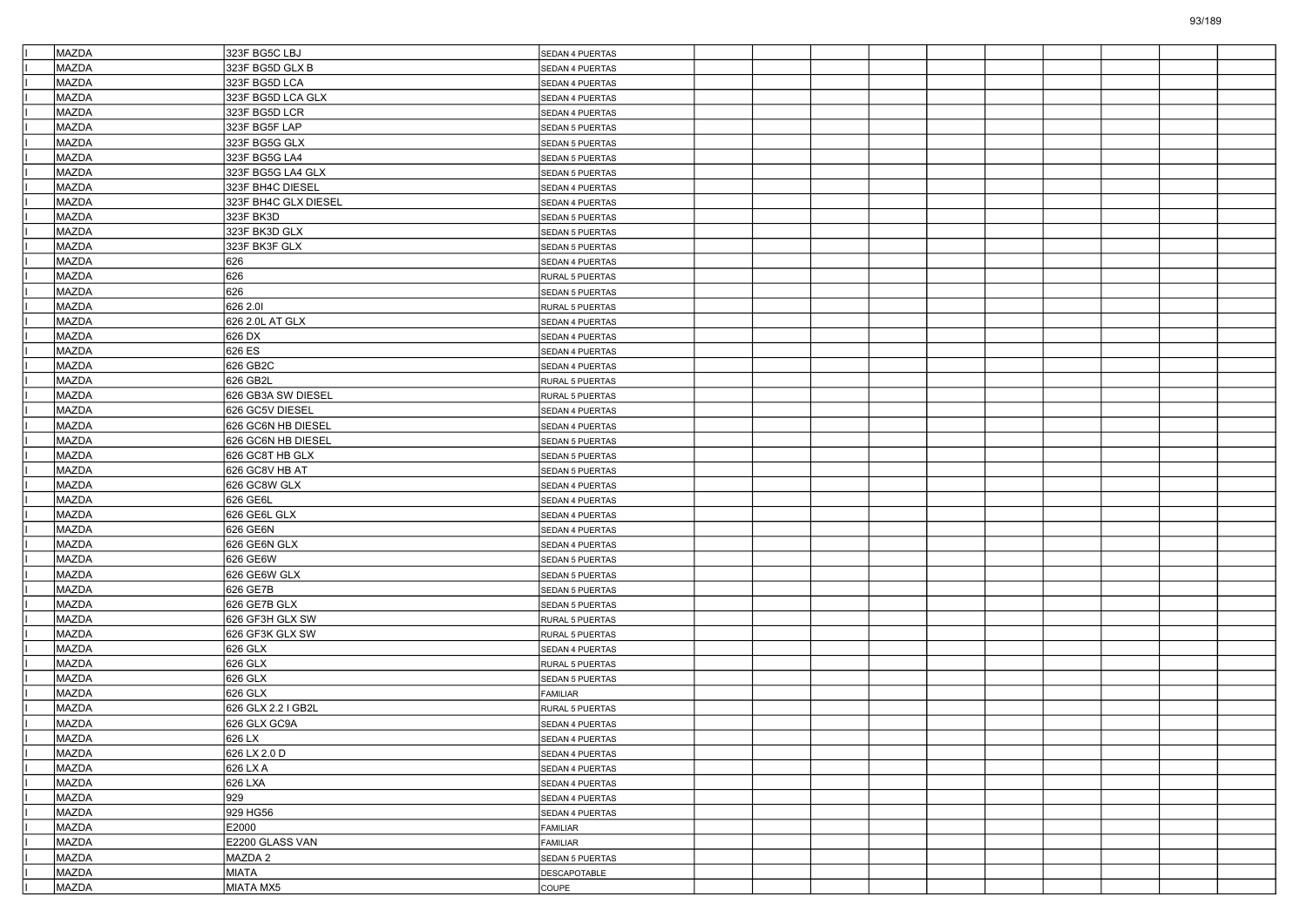| MAZDA        | 323F BG5C LBJ        | SEDAN 4 PUERTAS        |  |  |  |  |  |
|--------------|----------------------|------------------------|--|--|--|--|--|
| MAZDA        | 323F BG5D GLX B      | SEDAN 4 PUERTAS        |  |  |  |  |  |
| MAZDA        | 323F BG5D LCA        | SEDAN 4 PUERTAS        |  |  |  |  |  |
| MAZDA        | 323F BG5D LCA GLX    | SEDAN 4 PUERTAS        |  |  |  |  |  |
| MAZDA        | 323F BG5D LCR        | SEDAN 4 PUERTAS        |  |  |  |  |  |
| MAZDA        | 323F BG5F LAP        | SEDAN 5 PUERTAS        |  |  |  |  |  |
| MAZDA        | 323F BG5G GLX        | SEDAN 5 PUERTAS        |  |  |  |  |  |
| MAZDA        | 323F BG5G LA4        | SEDAN 5 PUERTAS        |  |  |  |  |  |
| MAZDA        | 323F BG5G LA4 GLX    | SEDAN 5 PUERTAS        |  |  |  |  |  |
| MAZDA        | 323F BH4C DIESEL     | SEDAN 4 PUERTAS        |  |  |  |  |  |
| MAZDA        | 323F BH4C GLX DIESEL | SEDAN 4 PUERTAS        |  |  |  |  |  |
| MAZDA        | 323F BK3D            | SEDAN 5 PUERTAS        |  |  |  |  |  |
| MAZDA        | 323F BK3D GLX        | SEDAN 5 PUERTAS        |  |  |  |  |  |
| MAZDA        | 323F BK3F GLX        | SEDAN 5 PUERTAS        |  |  |  |  |  |
| MAZDA        | 626                  | SEDAN 4 PUERTAS        |  |  |  |  |  |
| MAZDA        | 626                  | RURAL 5 PUERTAS        |  |  |  |  |  |
| MAZDA        | 626                  | SEDAN 5 PUERTAS        |  |  |  |  |  |
| MAZDA        | 626 2.01             | RURAL 5 PUERTAS        |  |  |  |  |  |
| MAZDA        | 626 2.0L AT GLX      | SEDAN 4 PUERTAS        |  |  |  |  |  |
| MAZDA        | 626 DX               | SEDAN 4 PUERTAS        |  |  |  |  |  |
| MAZDA        | 626 ES               | SEDAN 4 PUERTAS        |  |  |  |  |  |
| MAZDA        | 626 GB2C             | SEDAN 4 PUERTAS        |  |  |  |  |  |
| <b>MAZDA</b> | 626 GB2L             | RURAL 5 PUERTAS        |  |  |  |  |  |
| MAZDA        | 626 GB3A SW DIESEL   | RURAL 5 PUERTAS        |  |  |  |  |  |
| MAZDA        | 626 GC5V DIESEL      | SEDAN 4 PUERTAS        |  |  |  |  |  |
| MAZDA        | 626 GC6N HB DIESEL   | SEDAN 4 PUERTAS        |  |  |  |  |  |
| MAZDA        | 626 GC6N HB DIESEL   | SEDAN 5 PUERTAS        |  |  |  |  |  |
| MAZDA        | 626 GC8T HB GLX      | SEDAN 5 PUERTAS        |  |  |  |  |  |
| MAZDA        | 626 GC8V HB AT       | SEDAN 5 PUERTAS        |  |  |  |  |  |
| MAZDA        | 626 GC8W GLX         | SEDAN 4 PUERTAS        |  |  |  |  |  |
| MAZDA        | 626 GE6L             | SEDAN 4 PUERTAS        |  |  |  |  |  |
| <b>MAZDA</b> | 626 GE6L GLX         | <b>SEDAN 4 PUERTAS</b> |  |  |  |  |  |
| MAZDA        | 626 GE6N             | SEDAN 4 PUERTAS        |  |  |  |  |  |
| MAZDA        | 626 GE6N GLX         | SEDAN 4 PUERTAS        |  |  |  |  |  |
| MAZDA        | 626 GE6W             | SEDAN 5 PUERTAS        |  |  |  |  |  |
| MAZDA        | 626 GE6W GLX         | SEDAN 5 PUERTAS        |  |  |  |  |  |
| MAZDA        | 626 GE7B             | <b>SEDAN 5 PUERTAS</b> |  |  |  |  |  |
| MAZDA        | 626 GE7B GLX         | SEDAN 5 PUERTAS        |  |  |  |  |  |
| MAZDA        | 626 GF3H GLX SW      | RURAL 5 PUERTAS        |  |  |  |  |  |
| MAZDA        | 626 GF3K GLX SW      | RURAL 5 PUERTAS        |  |  |  |  |  |
| MAZDA        | 626 GLX              | SEDAN 4 PUERTAS        |  |  |  |  |  |
| MAZDA        | 626 GLX              | <b>RURAL 5 PUERTAS</b> |  |  |  |  |  |
| MAZDA        | 626 GLX              | SEDAN 5 PUERTAS        |  |  |  |  |  |
| MAZDA        | 626 GLX              | FAMILIAR               |  |  |  |  |  |
| <b>MAZDA</b> | 626 GLX 2.2 I GB2L   | RURAL 5 PUERTAS        |  |  |  |  |  |
| MAZDA        | 626 GLX GC9A         | SEDAN 4 PUERTAS        |  |  |  |  |  |
| MAZDA        | 626 LX               | SEDAN 4 PUERTAS        |  |  |  |  |  |
| MAZDA        | 626 LX 2.0 D         | SEDAN 4 PUERTAS        |  |  |  |  |  |
| MAZDA        | 626 LX A             | SEDAN 4 PUERTAS        |  |  |  |  |  |
| MAZDA        | 626 LXA              | SEDAN 4 PUERTAS        |  |  |  |  |  |
| MAZDA        | 929                  | SEDAN 4 PUERTAS        |  |  |  |  |  |
| MAZDA        | 929 HG56             | SEDAN 4 PUERTAS        |  |  |  |  |  |
| MAZDA        | E2000                | FAMILIAR               |  |  |  |  |  |
| MAZDA        | E2200 GLASS VAN      | FAMILIAR               |  |  |  |  |  |
| MAZDA        | MAZDA 2              | SEDAN 5 PUERTAS        |  |  |  |  |  |
| MAZDA        | <b>MIATA</b>         | <b>DESCAPOTABLE</b>    |  |  |  |  |  |
| MAZDA        | MIATA MX5            | COUPE                  |  |  |  |  |  |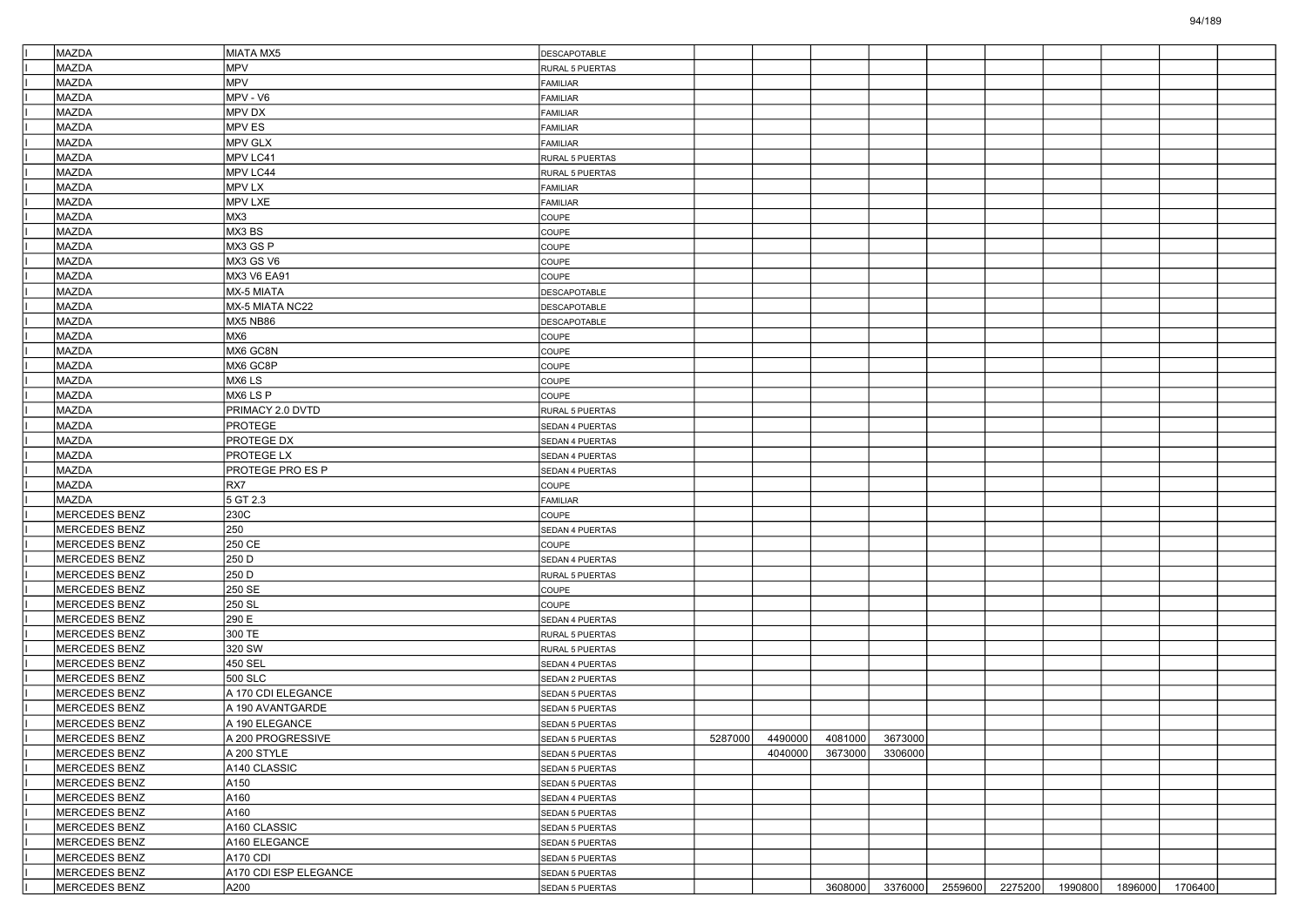| MAZDA                                 |                          |                        |         |         |                         |                 |  |                         |                 |  |
|---------------------------------------|--------------------------|------------------------|---------|---------|-------------------------|-----------------|--|-------------------------|-----------------|--|
|                                       | MIATA MX5                | DESCAPOTABLE           |         |         |                         |                 |  |                         |                 |  |
| MAZDA                                 | <b>MPV</b><br><b>MPV</b> | RURAL 5 PUERTAS        |         |         |                         |                 |  |                         |                 |  |
| MAZDA                                 |                          | FAMILIAR               |         |         |                         |                 |  |                         |                 |  |
| MAZDA                                 | MPV - V6                 | <b>FAMILIAR</b>        |         |         |                         |                 |  |                         |                 |  |
| MAZDA                                 | MPV DX                   | <b>FAMILIAR</b>        |         |         |                         |                 |  |                         |                 |  |
| MAZDA                                 | MPV ES                   | FAMILIAR               |         |         |                         |                 |  |                         |                 |  |
| MAZDA                                 | <b>MPV GLX</b>           | FAMILIAR               |         |         |                         |                 |  |                         |                 |  |
| <b>MAZDA</b>                          | MPV LC41                 | RURAL 5 PUERTAS        |         |         |                         |                 |  |                         |                 |  |
| <b>MAZDA</b>                          | MPV LC44                 | RURAL 5 PUERTAS        |         |         |                         |                 |  |                         |                 |  |
| <b>MAZDA</b>                          | MPV LX                   | <b>FAMILIAR</b>        |         |         |                         |                 |  |                         |                 |  |
| MAZDA                                 | MPV LXE                  | FAMILIAR               |         |         |                         |                 |  |                         |                 |  |
| MAZDA                                 | MX3                      | COUPE                  |         |         |                         |                 |  |                         |                 |  |
| MAZDA                                 | MX3BS                    | COUPE                  |         |         |                         |                 |  |                         |                 |  |
| MAZDA                                 | MX3 GS P                 | COUPE                  |         |         |                         |                 |  |                         |                 |  |
| <b>MAZDA</b>                          | MX3 GS V6                | COUPE                  |         |         |                         |                 |  |                         |                 |  |
| MAZDA                                 | MX3 V6 EA91              | COUPE                  |         |         |                         |                 |  |                         |                 |  |
| MAZDA                                 | MX-5 MIATA               | DESCAPOTABLE           |         |         |                         |                 |  |                         |                 |  |
| MAZDA                                 | MX-5 MIATA NC22          | DESCAPOTABLE           |         |         |                         |                 |  |                         |                 |  |
| MAZDA                                 | MX5 NB86                 | DESCAPOTABLE           |         |         |                         |                 |  |                         |                 |  |
| <b>MAZDA</b>                          | MX6                      | COUPE                  |         |         |                         |                 |  |                         |                 |  |
| MAZDA                                 | MX6 GC8N                 | COUPE                  |         |         |                         |                 |  |                         |                 |  |
| MAZDA                                 | MX6 GC8P                 | COUPE                  |         |         |                         |                 |  |                         |                 |  |
| MAZDA                                 | MX6 LS                   | COUPE                  |         |         |                         |                 |  |                         |                 |  |
| MAZDA                                 | MX6 LS P                 | COUPE                  |         |         |                         |                 |  |                         |                 |  |
| <b>MAZDA</b>                          | PRIMACY 2.0 DVTD         | RURAL 5 PUERTAS        |         |         |                         |                 |  |                         |                 |  |
| MAZDA                                 | <b>PROTEGE</b>           | SEDAN 4 PUERTAS        |         |         |                         |                 |  |                         |                 |  |
| MAZDA                                 | PROTEGE DX               | SEDAN 4 PUERTAS        |         |         |                         |                 |  |                         |                 |  |
| <b>MAZDA</b>                          | PROTEGE LX               | SEDAN 4 PUERTAS        |         |         |                         |                 |  |                         |                 |  |
| MAZDA                                 | PROTEGE PRO ES P         | SEDAN 4 PUERTAS        |         |         |                         |                 |  |                         |                 |  |
| <b>MAZDA</b>                          | RX7                      | COUPE                  |         |         |                         |                 |  |                         |                 |  |
| MAZDA                                 | 5 GT 2.3                 | FAMILIAR               |         |         |                         |                 |  |                         |                 |  |
| MERCEDES BENZ                         | 230C                     | COUPE                  |         |         |                         |                 |  |                         |                 |  |
| MERCEDES BENZ                         | 250                      | SEDAN 4 PUERTAS        |         |         |                         |                 |  |                         |                 |  |
| MERCEDES BENZ                         | 250 CE                   | COUPE                  |         |         |                         |                 |  |                         |                 |  |
| MERCEDES BENZ                         | 250 D                    | SEDAN 4 PUERTAS        |         |         |                         |                 |  |                         |                 |  |
| MERCEDES BENZ                         | 250 D                    | RURAL 5 PUERTAS        |         |         |                         |                 |  |                         |                 |  |
| <b>MERCEDES BENZ</b>                  | 250 SE                   | COUPE                  |         |         |                         |                 |  |                         |                 |  |
| MERCEDES BENZ                         | 250 SL                   | COUPE                  |         |         |                         |                 |  |                         |                 |  |
| MERCEDES BENZ                         | 290 E                    | SEDAN 4 PUERTAS        |         |         |                         |                 |  |                         |                 |  |
| MERCEDES BENZ                         | 300 TE                   | RURAL 5 PUERTAS        |         |         |                         |                 |  |                         |                 |  |
| MERCEDES BENZ                         | 320 SW                   | RURAL 5 PUERTAS        |         |         |                         |                 |  |                         |                 |  |
| MERCEDES BENZ                         | 450 SEL                  | SEDAN 4 PUERTAS        |         |         |                         |                 |  |                         |                 |  |
| MERCEDES BENZ                         | 500 SLC                  |                        |         |         |                         |                 |  |                         |                 |  |
|                                       | A 170 CDI ELEGANCE       | SEDAN 2 PUERTAS        |         |         |                         |                 |  |                         |                 |  |
| MERCEDES BENZ<br><b>MERCEDES BENZ</b> | A 190 AVANTGARDE         | SEDAN 5 PUERTAS        |         |         |                         |                 |  |                         |                 |  |
| <b>MERCEDES BENZ</b>                  | A 190 ELEGANCE           | SEDAN 5 PUERTAS        |         |         |                         |                 |  |                         |                 |  |
|                                       |                          | SEDAN 5 PUERTAS        |         |         |                         |                 |  |                         |                 |  |
| MERCEDES BENZ                         | A 200 PROGRESSIVE        | <b>SEDAN 5 PUERTAS</b> | 5287000 |         | 4490000 4081000 3673000 |                 |  |                         |                 |  |
| MERCEDES BENZ                         | A 200 STYLE              | SEDAN 5 PUERTAS        |         | 4040000 | 3673000                 | 3306000         |  |                         |                 |  |
| MERCEDES BENZ                         | A140 CLASSIC             | SEDAN 5 PUERTAS        |         |         |                         |                 |  |                         |                 |  |
| MERCEDES BENZ                         | A150                     | SEDAN 5 PUERTAS        |         |         |                         |                 |  |                         |                 |  |
| MERCEDES BENZ                         | A160                     | SEDAN 4 PUERTAS        |         |         |                         |                 |  |                         |                 |  |
| MERCEDES BENZ                         | A160                     | SEDAN 5 PUERTAS        |         |         |                         |                 |  |                         |                 |  |
| MERCEDES BENZ                         | A160 CLASSIC             | SEDAN 5 PUERTAS        |         |         |                         |                 |  |                         |                 |  |
| MERCEDES BENZ                         | A160 ELEGANCE            | SEDAN 5 PUERTAS        |         |         |                         |                 |  |                         |                 |  |
| MERCEDES BENZ                         | A170 CDI                 | SEDAN 5 PUERTAS        |         |         |                         |                 |  |                         |                 |  |
| MERCEDES BENZ                         | A170 CDI ESP ELEGANCE    | SEDAN 5 PUERTAS        |         |         |                         |                 |  |                         |                 |  |
| MERCEDES BENZ                         | A200                     | SEDAN 5 PUERTAS        |         |         |                         | 3608000 3376000 |  | 2559600 2275200 1990800 | 1896000 1706400 |  |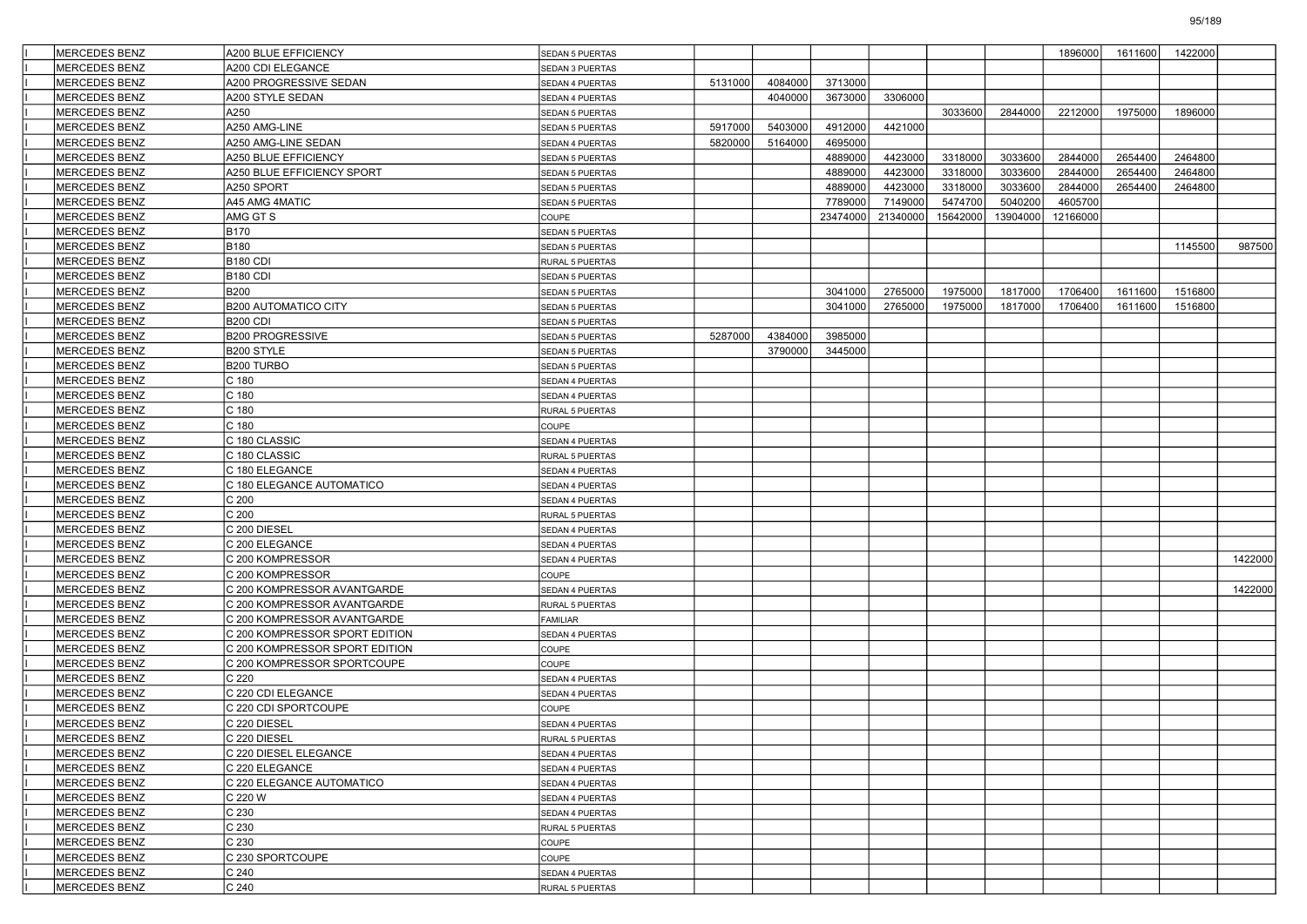| <b>MERCEDES BENZ</b> | A200 BLUE EFFICIENCY           | <b>SEDAN 5 PUERTAS</b> |         |         |          |          |          |          | 1896000  | 1611600 | 1422000 |         |
|----------------------|--------------------------------|------------------------|---------|---------|----------|----------|----------|----------|----------|---------|---------|---------|
| <b>MERCEDES BENZ</b> | A200 CDI ELEGANCE              | SEDAN 3 PUERTAS        |         |         |          |          |          |          |          |         |         |         |
| <b>MERCEDES BENZ</b> | A200 PROGRESSIVE SEDAN         | SEDAN 4 PUERTAS        | 5131000 | 4084000 | 3713000  |          |          |          |          |         |         |         |
| <b>MERCEDES BENZ</b> | A200 STYLE SEDAN               | SEDAN 4 PUERTAS        |         | 4040000 | 3673000  | 3306000  |          |          |          |         |         |         |
| MERCEDES BENZ        | A250                           | SEDAN 5 PUERTAS        |         |         |          |          | 3033600  | 2844000  | 2212000  | 1975000 | 1896000 |         |
| MERCEDES BENZ        | A250 AMG-LINE                  | SEDAN 5 PUERTAS        | 5917000 | 5403000 | 4912000  | 4421000  |          |          |          |         |         |         |
| <b>MERCEDES BENZ</b> | A250 AMG-LINE SEDAN            | SEDAN 4 PUERTAS        | 5820000 | 5164000 | 4695000  |          |          |          |          |         |         |         |
| <b>MERCEDES BENZ</b> | A250 BLUE EFFICIENCY           | <b>SEDAN 5 PUERTAS</b> |         |         | 4889000  | 4423000  | 3318000  | 3033600  | 2844000  | 2654400 | 2464800 |         |
| <b>MERCEDES BENZ</b> | A250 BLUE EFFICIENCY SPORT     | SEDAN 5 PUERTAS        |         |         | 4889000  | 4423000  | 3318000  | 3033600  | 2844000  | 2654400 | 2464800 |         |
| <b>MERCEDES BENZ</b> | A250 SPORT                     | SEDAN 5 PUERTAS        |         |         | 4889000  | 4423000  | 3318000  | 3033600  | 2844000  | 2654400 | 2464800 |         |
| MERCEDES BENZ        | A45 AMG 4MATIC                 | SEDAN 5 PUERTAS        |         |         | 7789000  | 7149000  | 5474700  | 5040200  | 4605700  |         |         |         |
| <b>MERCEDES BENZ</b> | AMG GT S                       | COUPE                  |         |         | 23474000 | 21340000 | 15642000 | 13904000 | 12166000 |         |         |         |
| <b>MERCEDES BENZ</b> | <b>B170</b>                    | <b>SEDAN 5 PUERTAS</b> |         |         |          |          |          |          |          |         |         |         |
| <b>MERCEDES BENZ</b> | B180                           | SEDAN 5 PUERTAS        |         |         |          |          |          |          |          |         | 1145500 | 987500  |
| <b>MERCEDES BENZ</b> | <b>B180 CDI</b>                | RURAL 5 PUERTAS        |         |         |          |          |          |          |          |         |         |         |
| MERCEDES BENZ        | <b>B180 CDI</b>                | SEDAN 5 PUERTAS        |         |         |          |          |          |          |          |         |         |         |
| <b>MERCEDES BENZ</b> | <b>B200</b>                    | SEDAN 5 PUERTAS        |         |         | 3041000  | 2765000  | 1975000  | 1817000  | 1706400  | 1611600 | 1516800 |         |
| <b>MERCEDES BENZ</b> | <b>B200 AUTOMATICO CITY</b>    | <b>SEDAN 5 PUERTAS</b> |         |         | 3041000  | 2765000  | 1975000  | 1817000  | 1706400  | 1611600 | 1516800 |         |
| <b>MERCEDES BENZ</b> | <b>B200 CDI</b>                | SEDAN 5 PUERTAS        |         |         |          |          |          |          |          |         |         |         |
| <b>MERCEDES BENZ</b> | <b>B200 PROGRESSIVE</b>        | SEDAN 5 PUERTAS        | 5287000 | 4384000 | 3985000  |          |          |          |          |         |         |         |
| MERCEDES BENZ        | B200 STYLE                     | SEDAN 5 PUERTAS        |         | 3790000 | 3445000  |          |          |          |          |         |         |         |
| <b>MERCEDES BENZ</b> | B200 TURBO                     | <b>SEDAN 5 PUERTAS</b> |         |         |          |          |          |          |          |         |         |         |
| <b>MERCEDES BENZ</b> | C 180                          | SEDAN 4 PUERTAS        |         |         |          |          |          |          |          |         |         |         |
| <b>MERCEDES BENZ</b> | C 180                          | <b>SEDAN 4 PUERTAS</b> |         |         |          |          |          |          |          |         |         |         |
| MERCEDES BENZ        | C 180                          | RURAL 5 PUERTAS        |         |         |          |          |          |          |          |         |         |         |
| MERCEDES BENZ        | C 180                          | COUPE                  |         |         |          |          |          |          |          |         |         |         |
| <b>MERCEDES BENZ</b> | C 180 CLASSIC                  | SEDAN 4 PUERTAS        |         |         |          |          |          |          |          |         |         |         |
| <b>MERCEDES BENZ</b> | C 180 CLASSIC                  | RURAL 5 PUERTAS        |         |         |          |          |          |          |          |         |         |         |
| <b>MERCEDES BENZ</b> | C 180 ELEGANCE                 | SEDAN 4 PUERTAS        |         |         |          |          |          |          |          |         |         |         |
| MERCEDES BENZ        | C 180 ELEGANCE AUTOMATICO      | SEDAN 4 PUERTAS        |         |         |          |          |          |          |          |         |         |         |
| MERCEDES BENZ        | C <sub>200</sub>               | SEDAN 4 PUERTAS        |         |         |          |          |          |          |          |         |         |         |
| <b>MERCEDES BENZ</b> | C <sub>200</sub>               | RURAL 5 PUERTAS        |         |         |          |          |          |          |          |         |         |         |
| <b>MERCEDES BENZ</b> | C 200 DIESEL                   | SEDAN 4 PUERTAS        |         |         |          |          |          |          |          |         |         |         |
| <b>MERCEDES BENZ</b> | C 200 ELEGANCE                 | SEDAN 4 PUERTAS        |         |         |          |          |          |          |          |         |         |         |
| MERCEDES BENZ        | C 200 KOMPRESSOR               | SEDAN 4 PUERTAS        |         |         |          |          |          |          |          |         |         | 1422000 |
| MERCEDES BENZ        | C 200 KOMPRESSOR               | COUPE                  |         |         |          |          |          |          |          |         |         |         |
| <b>MERCEDES BENZ</b> | C 200 KOMPRESSOR AVANTGARDE    | SEDAN 4 PUERTAS        |         |         |          |          |          |          |          |         |         | 1422000 |
| <b>MERCEDES BENZ</b> | C 200 KOMPRESSOR AVANTGARDE    | RURAL 5 PUERTAS        |         |         |          |          |          |          |          |         |         |         |
| <b>MERCEDES BENZ</b> | C 200 KOMPRESSOR AVANTGARDE    | <b>FAMILIAR</b>        |         |         |          |          |          |          |          |         |         |         |
| MERCEDES BENZ        | C 200 KOMPRESSOR SPORT EDITION | SEDAN 4 PUERTAS        |         |         |          |          |          |          |          |         |         |         |
| MERCEDES BENZ        | C 200 KOMPRESSOR SPORT EDITION | COUPE                  |         |         |          |          |          |          |          |         |         |         |
| <b>MERCEDES BENZ</b> | C 200 KOMPRESSOR SPORTCOUPE    | COUPE                  |         |         |          |          |          |          |          |         |         |         |
| <b>MERCEDES BENZ</b> | C <sub>220</sub>               | SEDAN 4 PUERTAS        |         |         |          |          |          |          |          |         |         |         |
| <b>MERCEDES BENZ</b> | C 220 CDI ELEGANCE             | SEDAN 4 PUERTAS        |         |         |          |          |          |          |          |         |         |         |
| MERCEDES BENZ        | C 220 CDI SPORTCOUPE           | COUPE                  |         |         |          |          |          |          |          |         |         |         |
| MERCEDES BENZ        | C 220 DIESEL                   | SEDAN 4 PUERTAS        |         |         |          |          |          |          |          |         |         |         |
| MERCEDES BENZ        | C 220 DIESEL                   | <b>RURAL 5 PUERTAS</b> |         |         |          |          |          |          |          |         |         |         |
| <b>MERCEDES BENZ</b> | C 220 DIESEL ELEGANCE          | SEDAN 4 PUERTAS        |         |         |          |          |          |          |          |         |         |         |
| MERCEDES BENZ        | C 220 ELEGANCE                 | SEDAN 4 PUERTAS        |         |         |          |          |          |          |          |         |         |         |
| <b>MERCEDES BENZ</b> | C 220 ELEGANCE AUTOMATICO      | SEDAN 4 PUERTAS        |         |         |          |          |          |          |          |         |         |         |
| MERCEDES BENZ        | C 220 W                        | SEDAN 4 PUERTAS        |         |         |          |          |          |          |          |         |         |         |
| MERCEDES BENZ        | C 230                          | SEDAN 4 PUERTAS        |         |         |          |          |          |          |          |         |         |         |
| <b>MERCEDES BENZ</b> | C 230                          | RURAL 5 PUERTAS        |         |         |          |          |          |          |          |         |         |         |
| MERCEDES BENZ        | C 230                          | COUPE                  |         |         |          |          |          |          |          |         |         |         |
| MERCEDES BENZ        | C 230 SPORTCOUPE               | COUPE                  |         |         |          |          |          |          |          |         |         |         |
| MERCEDES BENZ        | C <sub>240</sub>               | SEDAN 4 PUERTAS        |         |         |          |          |          |          |          |         |         |         |
| MERCEDES BENZ        | C 240                          | RURAL 5 PUERTAS        |         |         |          |          |          |          |          |         |         |         |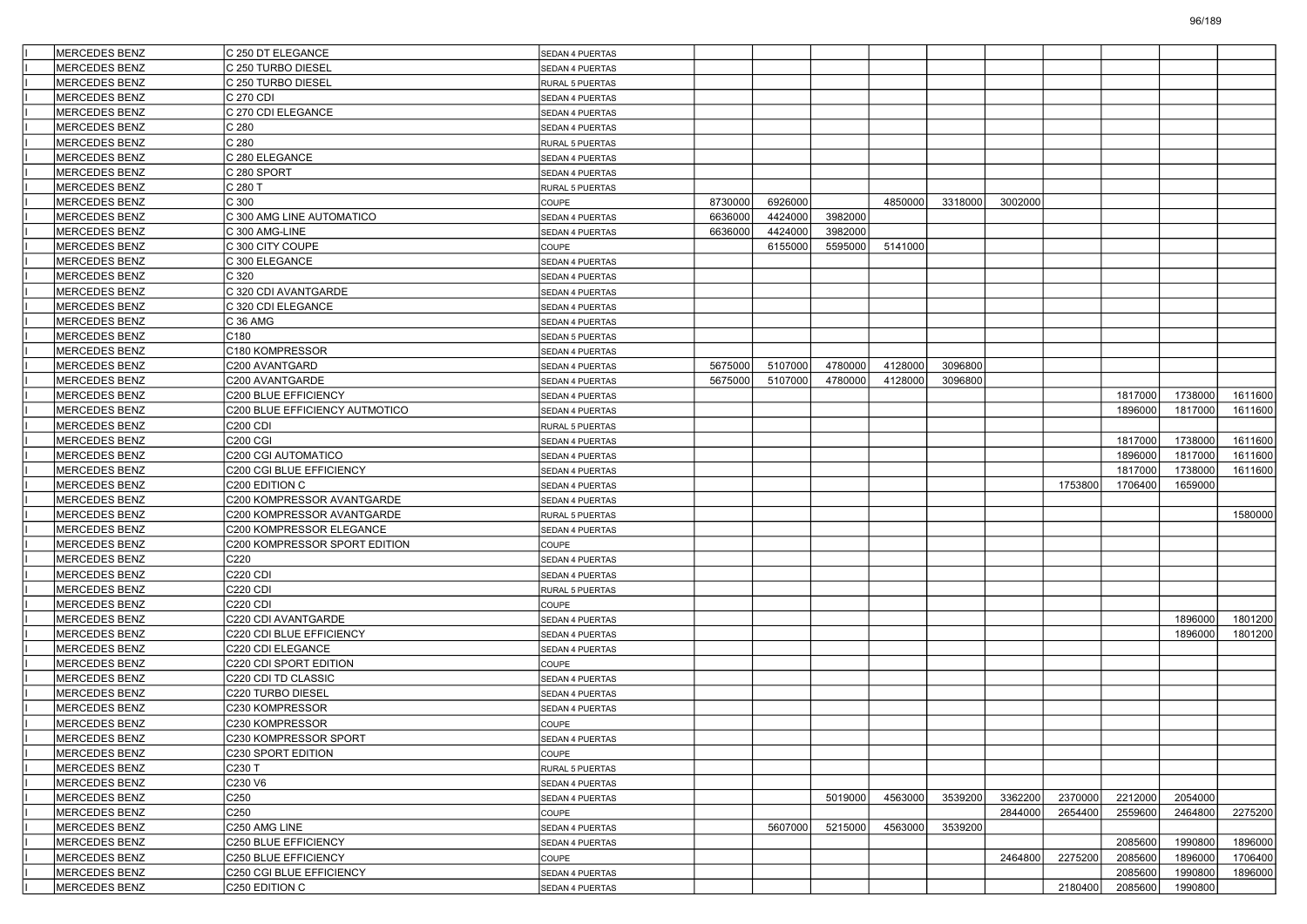| <b>MERCEDES BENZ</b> | C 250 DT ELEGANCE              | SEDAN 4 PUERTAS |         |         |         |         |         |         |         |         |         |         |
|----------------------|--------------------------------|-----------------|---------|---------|---------|---------|---------|---------|---------|---------|---------|---------|
| <b>MERCEDES BENZ</b> | C 250 TURBO DIESEL             | SEDAN 4 PUERTAS |         |         |         |         |         |         |         |         |         |         |
| <b>MERCEDES BENZ</b> | C 250 TURBO DIESEL             | RURAL 5 PUERTAS |         |         |         |         |         |         |         |         |         |         |
| <b>MERCEDES BENZ</b> | C 270 CDI                      | SEDAN 4 PUERTAS |         |         |         |         |         |         |         |         |         |         |
| MERCEDES BENZ        | C 270 CDI ELEGANCE             | SEDAN 4 PUERTAS |         |         |         |         |         |         |         |         |         |         |
| MERCEDES BENZ        | C 280                          | SEDAN 4 PUERTAS |         |         |         |         |         |         |         |         |         |         |
| <b>MERCEDES BENZ</b> | C 280                          | RURAL 5 PUERTAS |         |         |         |         |         |         |         |         |         |         |
| <b>MERCEDES BENZ</b> | C 280 ELEGANCE                 | SEDAN 4 PUERTAS |         |         |         |         |         |         |         |         |         |         |
| <b>MERCEDES BENZ</b> | C 280 SPORT                    | SEDAN 4 PUERTAS |         |         |         |         |         |         |         |         |         |         |
| <b>MERCEDES BENZ</b> | C 280 T                        | RURAL 5 PUERTAS |         |         |         |         |         |         |         |         |         |         |
| MERCEDES BENZ        | C 300                          | COUPE           | 8730000 | 6926000 |         | 4850000 | 3318000 | 3002000 |         |         |         |         |
| <b>MERCEDES BENZ</b> | C 300 AMG LINE AUTOMATICO      | SEDAN 4 PUERTAS | 6636000 | 4424000 | 3982000 |         |         |         |         |         |         |         |
| <b>MERCEDES BENZ</b> | C 300 AMG-LINE                 | SEDAN 4 PUERTAS | 6636000 | 4424000 | 3982000 |         |         |         |         |         |         |         |
| <b>MERCEDES BENZ</b> | C 300 CITY COUPE               | COUPE           |         | 6155000 | 5595000 | 5141000 |         |         |         |         |         |         |
| <b>MERCEDES BENZ</b> | C 300 ELEGANCE                 | SEDAN 4 PUERTAS |         |         |         |         |         |         |         |         |         |         |
| MERCEDES BENZ        | C 320                          | SEDAN 4 PUERTAS |         |         |         |         |         |         |         |         |         |         |
| <b>MERCEDES BENZ</b> | C 320 CDI AVANTGARDE           | SEDAN 4 PUERTAS |         |         |         |         |         |         |         |         |         |         |
| <b>MERCEDES BENZ</b> | C 320 CDI ELEGANCE             | SEDAN 4 PUERTAS |         |         |         |         |         |         |         |         |         |         |
| <b>MERCEDES BENZ</b> | C 36 AMG                       | SEDAN 4 PUERTAS |         |         |         |         |         |         |         |         |         |         |
| <b>MERCEDES BENZ</b> | C180                           | SEDAN 5 PUERTAS |         |         |         |         |         |         |         |         |         |         |
| <b>MERCEDES BENZ</b> | C180 KOMPRESSOR                | SEDAN 4 PUERTAS |         |         |         |         |         |         |         |         |         |         |
| <b>MERCEDES BENZ</b> | C200 AVANTGARD                 | SEDAN 4 PUERTAS | 5675000 | 5107000 | 4780000 | 4128000 | 3096800 |         |         |         |         |         |
| <b>MERCEDES BENZ</b> | C200 AVANTGARDE                | SEDAN 4 PUERTAS | 5675000 | 5107000 | 4780000 | 4128000 | 3096800 |         |         |         |         |         |
| <b>MERCEDES BENZ</b> | C200 BLUE EFFICIENCY           | SEDAN 4 PUERTAS |         |         |         |         |         |         |         | 1817000 | 1738000 | 1611600 |
| <b>MERCEDES BENZ</b> | C200 BLUE EFFICIENCY AUTMOTICO | SEDAN 4 PUERTAS |         |         |         |         |         |         |         | 1896000 | 1817000 | 1611600 |
| MERCEDES BENZ        | <b>C200 CDI</b>                | RURAL 5 PUERTAS |         |         |         |         |         |         |         |         |         |         |
| <b>MERCEDES BENZ</b> | <b>C200 CGI</b>                | SEDAN 4 PUERTAS |         |         |         |         |         |         |         | 1817000 | 1738000 | 1611600 |
| <b>MERCEDES BENZ</b> | C200 CGI AUTOMATICO            | SEDAN 4 PUERTAS |         |         |         |         |         |         |         | 1896000 | 1817000 | 1611600 |
| <b>MERCEDES BENZ</b> | C200 CGI BLUE EFFICIENCY       | SEDAN 4 PUERTAS |         |         |         |         |         |         |         | 1817000 | 1738000 | 1611600 |
| MERCEDES BENZ        | C200 EDITION C                 | SEDAN 4 PUERTAS |         |         |         |         |         |         | 1753800 | 1706400 | 1659000 |         |
| MERCEDES BENZ        | C200 KOMPRESSOR AVANTGARDE     | SEDAN 4 PUERTAS |         |         |         |         |         |         |         |         |         |         |
| <b>MERCEDES BENZ</b> | C200 KOMPRESSOR AVANTGARDE     | RURAL 5 PUERTAS |         |         |         |         |         |         |         |         |         | 1580000 |
| <b>MERCEDES BENZ</b> | C200 KOMPRESSOR ELEGANCE       | SEDAN 4 PUERTAS |         |         |         |         |         |         |         |         |         |         |
| <b>MERCEDES BENZ</b> | C200 KOMPRESSOR SPORT EDITION  | COUPE           |         |         |         |         |         |         |         |         |         |         |
| <b>MERCEDES BENZ</b> | C220                           | SEDAN 4 PUERTAS |         |         |         |         |         |         |         |         |         |         |
| MERCEDES BENZ        | <b>C220 CDI</b>                | SEDAN 4 PUERTAS |         |         |         |         |         |         |         |         |         |         |
| <b>MERCEDES BENZ</b> | C220 CDI                       | RURAL 5 PUERTAS |         |         |         |         |         |         |         |         |         |         |
| <b>MERCEDES BENZ</b> | <b>C220 CDI</b>                | COUPE           |         |         |         |         |         |         |         |         |         |         |
| <b>MERCEDES BENZ</b> | C220 CDI AVANTGARDE            | SEDAN 4 PUERTAS |         |         |         |         |         |         |         |         | 1896000 | 1801200 |
| <b>MERCEDES BENZ</b> | C220 CDI BLUE EFFICIENCY       | SEDAN 4 PUERTAS |         |         |         |         |         |         |         |         | 1896000 | 1801200 |
| <b>MERCEDES BENZ</b> | C220 CDI ELEGANCE              | SEDAN 4 PUERTAS |         |         |         |         |         |         |         |         |         |         |
| <b>MERCEDES BENZ</b> | C220 CDI SPORT EDITION         | COUPE           |         |         |         |         |         |         |         |         |         |         |
| <b>MERCEDES BENZ</b> | C220 CDI TD CLASSIC            | SEDAN 4 PUERTAS |         |         |         |         |         |         |         |         |         |         |
| <b>MERCEDES BENZ</b> | C220 TURBO DIESEL              | SEDAN 4 PUERTAS |         |         |         |         |         |         |         |         |         |         |
| <b>MERCEDES BENZ</b> | C230 KOMPRESSOR                | SEDAN 4 PUERTAS |         |         |         |         |         |         |         |         |         |         |
| <b>MERCEDES BENZ</b> | C230 KOMPRESSOR                | COUPE           |         |         |         |         |         |         |         |         |         |         |
| MERCEDES BENZ        | C230 KOMPRESSOR SPORT          | SEDAN 4 PUERTAS |         |         |         |         |         |         |         |         |         |         |
| <b>MERCEDES BENZ</b> | C230 SPORT EDITION             | COUPE           |         |         |         |         |         |         |         |         |         |         |
| <b>MERCEDES BENZ</b> | C230 T                         | RURAL 5 PUERTAS |         |         |         |         |         |         |         |         |         |         |
| MERCEDES BENZ        | C230 V6                        | SEDAN 4 PUERTAS |         |         |         |         |         |         |         |         |         |         |
| MERCEDES BENZ        | C250                           | SEDAN 4 PUERTAS |         |         | 5019000 | 4563000 | 3539200 | 3362200 | 2370000 | 2212000 | 2054000 |         |
| <b>MERCEDES BENZ</b> | C <sub>250</sub>               | COUPE           |         |         |         |         |         | 2844000 | 2654400 | 2559600 | 2464800 | 2275200 |
| <b>MERCEDES BENZ</b> | C250 AMG LINE                  | SEDAN 4 PUERTAS |         | 5607000 | 5215000 | 4563000 | 3539200 |         |         |         |         |         |
| MERCEDES BENZ        | C250 BLUE EFFICIENCY           | SEDAN 4 PUERTAS |         |         |         |         |         |         |         | 2085600 | 1990800 | 1896000 |
| MERCEDES BENZ        | C250 BLUE EFFICIENCY           | COUPE           |         |         |         |         |         | 2464800 | 2275200 | 2085600 | 1896000 | 1706400 |
| MERCEDES BENZ        | C250 CGI BLUE EFFICIENCY       | SEDAN 4 PUERTAS |         |         |         |         |         |         |         | 2085600 | 1990800 | 1896000 |
| MERCEDES BENZ        | C250 EDITION C                 | SEDAN 4 PUERTAS |         |         |         |         |         |         | 2180400 | 2085600 | 1990800 |         |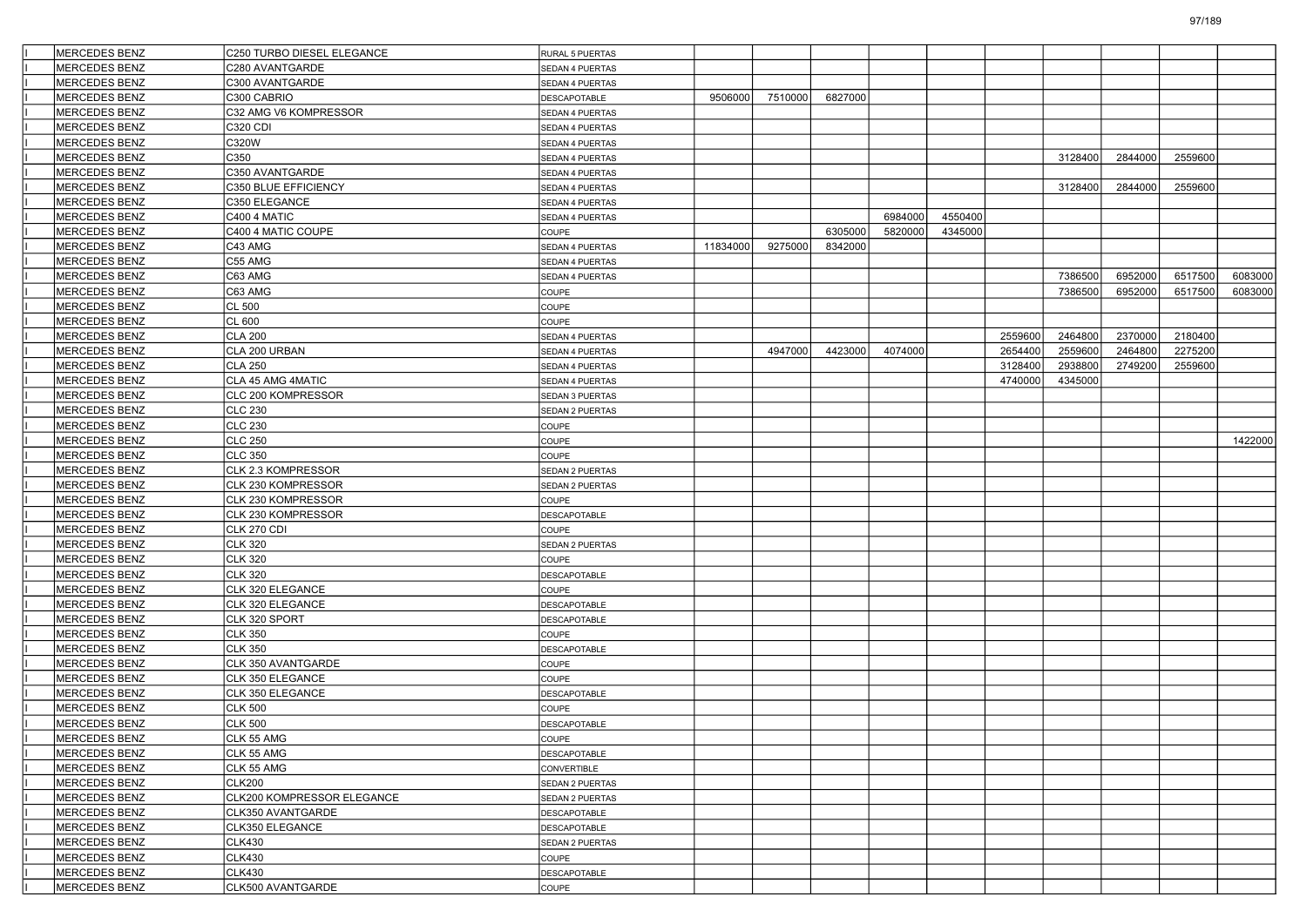| <b>MERCEDES BENZ</b> | C250 TURBO DIESEL ELEGANCE | RURAL 5 PUERTAS        |          |         |         |         |         |         |         |         |         |         |
|----------------------|----------------------------|------------------------|----------|---------|---------|---------|---------|---------|---------|---------|---------|---------|
| <b>MERCEDES BENZ</b> | C280 AVANTGARDE            | <b>SEDAN 4 PUERTAS</b> |          |         |         |         |         |         |         |         |         |         |
| <b>MERCEDES BENZ</b> | C300 AVANTGARDE            | SEDAN 4 PUERTAS        |          |         |         |         |         |         |         |         |         |         |
| <b>MERCEDES BENZ</b> | C300 CABRIO                | DESCAPOTABLE           | 9506000  | 7510000 | 6827000 |         |         |         |         |         |         |         |
| <b>MERCEDES BENZ</b> | C32 AMG V6 KOMPRESSOR      | SEDAN 4 PUERTAS        |          |         |         |         |         |         |         |         |         |         |
| <b>MERCEDES BENZ</b> | <b>C320 CDI</b>            | SEDAN 4 PUERTAS        |          |         |         |         |         |         |         |         |         |         |
| <b>MERCEDES BENZ</b> | C320W                      | SEDAN 4 PUERTAS        |          |         |         |         |         |         |         |         |         |         |
| <b>MERCEDES BENZ</b> | C350                       | SEDAN 4 PUERTAS        |          |         |         |         |         |         | 3128400 | 2844000 | 2559600 |         |
| <b>MERCEDES BENZ</b> | C350 AVANTGARDE            | SEDAN 4 PUERTAS        |          |         |         |         |         |         |         |         |         |         |
| <b>MERCEDES BENZ</b> | C350 BLUE EFFICIENCY       | SEDAN 4 PUERTAS        |          |         |         |         |         |         | 3128400 | 2844000 | 2559600 |         |
| <b>MERCEDES BENZ</b> | C350 ELEGANCE              | SEDAN 4 PUERTAS        |          |         |         |         |         |         |         |         |         |         |
| <b>MERCEDES BENZ</b> | C400 4 MATIC               | SEDAN 4 PUERTAS        |          |         |         | 6984000 | 4550400 |         |         |         |         |         |
| <b>MERCEDES BENZ</b> | C400 4 MATIC COUPE         | COUPE                  |          |         | 6305000 | 5820000 | 4345000 |         |         |         |         |         |
| <b>MERCEDES BENZ</b> | C43 AMG                    | SEDAN 4 PUERTAS        | 11834000 | 9275000 | 8342000 |         |         |         |         |         |         |         |
| <b>MERCEDES BENZ</b> | C55 AMG                    | SEDAN 4 PUERTAS        |          |         |         |         |         |         |         |         |         |         |
| <b>MERCEDES BENZ</b> | C63 AMG                    | SEDAN 4 PUERTAS        |          |         |         |         |         |         | 7386500 | 6952000 | 6517500 | 6083000 |
| <b>MERCEDES BENZ</b> | C63 AMG                    | COUPE                  |          |         |         |         |         |         | 7386500 | 6952000 | 6517500 | 6083000 |
| <b>MERCEDES BENZ</b> | <b>CL 500</b>              | COUPE                  |          |         |         |         |         |         |         |         |         |         |
| <b>MERCEDES BENZ</b> | CL 600                     | COUPE                  |          |         |         |         |         |         |         |         |         |         |
| <b>MERCEDES BENZ</b> | <b>CLA 200</b>             | SEDAN 4 PUERTAS        |          |         |         |         |         | 2559600 | 2464800 | 2370000 | 2180400 |         |
| <b>MERCEDES BENZ</b> | CLA 200 URBAN              | SEDAN 4 PUERTAS        |          | 4947000 | 4423000 | 4074000 |         | 2654400 | 2559600 | 2464800 | 2275200 |         |
| <b>MERCEDES BENZ</b> | <b>CLA 250</b>             | SEDAN 4 PUERTAS        |          |         |         |         |         | 3128400 | 2938800 | 2749200 | 2559600 |         |
| <b>MERCEDES BENZ</b> | CLA 45 AMG 4MATIC          | SEDAN 4 PUERTAS        |          |         |         |         |         | 4740000 | 4345000 |         |         |         |
| <b>MERCEDES BENZ</b> | CLC 200 KOMPRESSOR         | SEDAN 3 PUERTAS        |          |         |         |         |         |         |         |         |         |         |
| <b>MERCEDES BENZ</b> | <b>CLC 230</b>             | SEDAN 2 PUERTAS        |          |         |         |         |         |         |         |         |         |         |
| <b>MERCEDES BENZ</b> | <b>CLC 230</b>             | COUPE                  |          |         |         |         |         |         |         |         |         |         |
| <b>MERCEDES BENZ</b> | CLC 250                    | COUPE                  |          |         |         |         |         |         |         |         |         | 1422000 |
| <b>MERCEDES BENZ</b> | <b>CLC 350</b>             | COUPE                  |          |         |         |         |         |         |         |         |         |         |
| <b>MERCEDES BENZ</b> | CLK 2.3 KOMPRESSOR         | SEDAN 2 PUERTAS        |          |         |         |         |         |         |         |         |         |         |
| <b>MERCEDES BENZ</b> | CLK 230 KOMPRESSOR         | SEDAN 2 PUERTAS        |          |         |         |         |         |         |         |         |         |         |
| <b>MERCEDES BENZ</b> | CLK 230 KOMPRESSOR         | COUPE                  |          |         |         |         |         |         |         |         |         |         |
| <b>MERCEDES BENZ</b> | CLK 230 KOMPRESSOR         | DESCAPOTABLE           |          |         |         |         |         |         |         |         |         |         |
| <b>MERCEDES BENZ</b> | CLK 270 CDI                | COUPE                  |          |         |         |         |         |         |         |         |         |         |
| <b>MERCEDES BENZ</b> | <b>CLK 320</b>             | SEDAN 2 PUERTAS        |          |         |         |         |         |         |         |         |         |         |
| <b>MERCEDES BENZ</b> | <b>CLK 320</b>             | COUPE                  |          |         |         |         |         |         |         |         |         |         |
| <b>MERCEDES BENZ</b> | <b>CLK 320</b>             | DESCAPOTABLE           |          |         |         |         |         |         |         |         |         |         |
| <b>MERCEDES BENZ</b> | CLK 320 ELEGANCE           | COUPE                  |          |         |         |         |         |         |         |         |         |         |
| <b>MERCEDES BENZ</b> | CLK 320 ELEGANCE           | DESCAPOTABLE           |          |         |         |         |         |         |         |         |         |         |
| <b>MERCEDES BENZ</b> | CLK 320 SPORT              | DESCAPOTABLE           |          |         |         |         |         |         |         |         |         |         |
| <b>MERCEDES BENZ</b> | <b>CLK 350</b>             | COUPE                  |          |         |         |         |         |         |         |         |         |         |
| <b>MERCEDES BENZ</b> | <b>CLK 350</b>             | <b>DESCAPOTABLE</b>    |          |         |         |         |         |         |         |         |         |         |
| <b>MERCEDES BENZ</b> | CLK 350 AVANTGARDE         | COUPE                  |          |         |         |         |         |         |         |         |         |         |
| <b>MERCEDES BENZ</b> | CLK 350 ELEGANCE           | COUPE                  |          |         |         |         |         |         |         |         |         |         |
| <b>MERCEDES BENZ</b> | CLK 350 ELEGANCE           | DESCAPOTABLE           |          |         |         |         |         |         |         |         |         |         |
| <b>MERCEDES BENZ</b> | <b>CLK 500</b>             | COUPE                  |          |         |         |         |         |         |         |         |         |         |
| <b>MERCEDES BENZ</b> | <b>CLK 500</b>             | DESCAPOTABLE           |          |         |         |         |         |         |         |         |         |         |
| MERCEDES BENZ        | CLK 55 AMG                 | COUPE                  |          |         |         |         |         |         |         |         |         |         |
| <b>MERCEDES BENZ</b> | CLK 55 AMG                 | DESCAPOTABLE           |          |         |         |         |         |         |         |         |         |         |
| <b>MERCEDES BENZ</b> | CLK 55 AMG                 | CONVERTIBLE            |          |         |         |         |         |         |         |         |         |         |
| <b>MERCEDES BENZ</b> | <b>CLK200</b>              | SEDAN 2 PUERTAS        |          |         |         |         |         |         |         |         |         |         |
| <b>MERCEDES BENZ</b> | CLK200 KOMPRESSOR ELEGANCE | SEDAN 2 PUERTAS        |          |         |         |         |         |         |         |         |         |         |
| <b>MERCEDES BENZ</b> | CLK350 AVANTGARDE          | DESCAPOTABLE           |          |         |         |         |         |         |         |         |         |         |
| <b>MERCEDES BENZ</b> | CLK350 ELEGANCE            | DESCAPOTABLE           |          |         |         |         |         |         |         |         |         |         |
| <b>MERCEDES BENZ</b> | <b>CLK430</b>              | SEDAN 2 PUERTAS        |          |         |         |         |         |         |         |         |         |         |
| <b>MERCEDES BENZ</b> | <b>CLK430</b>              | COUPE                  |          |         |         |         |         |         |         |         |         |         |
| MERCEDES BENZ        | <b>CLK430</b>              | <b>DESCAPOTABLE</b>    |          |         |         |         |         |         |         |         |         |         |
| MERCEDES BENZ        | CLK500 AVANTGARDE          | COUPE                  |          |         |         |         |         |         |         |         |         |         |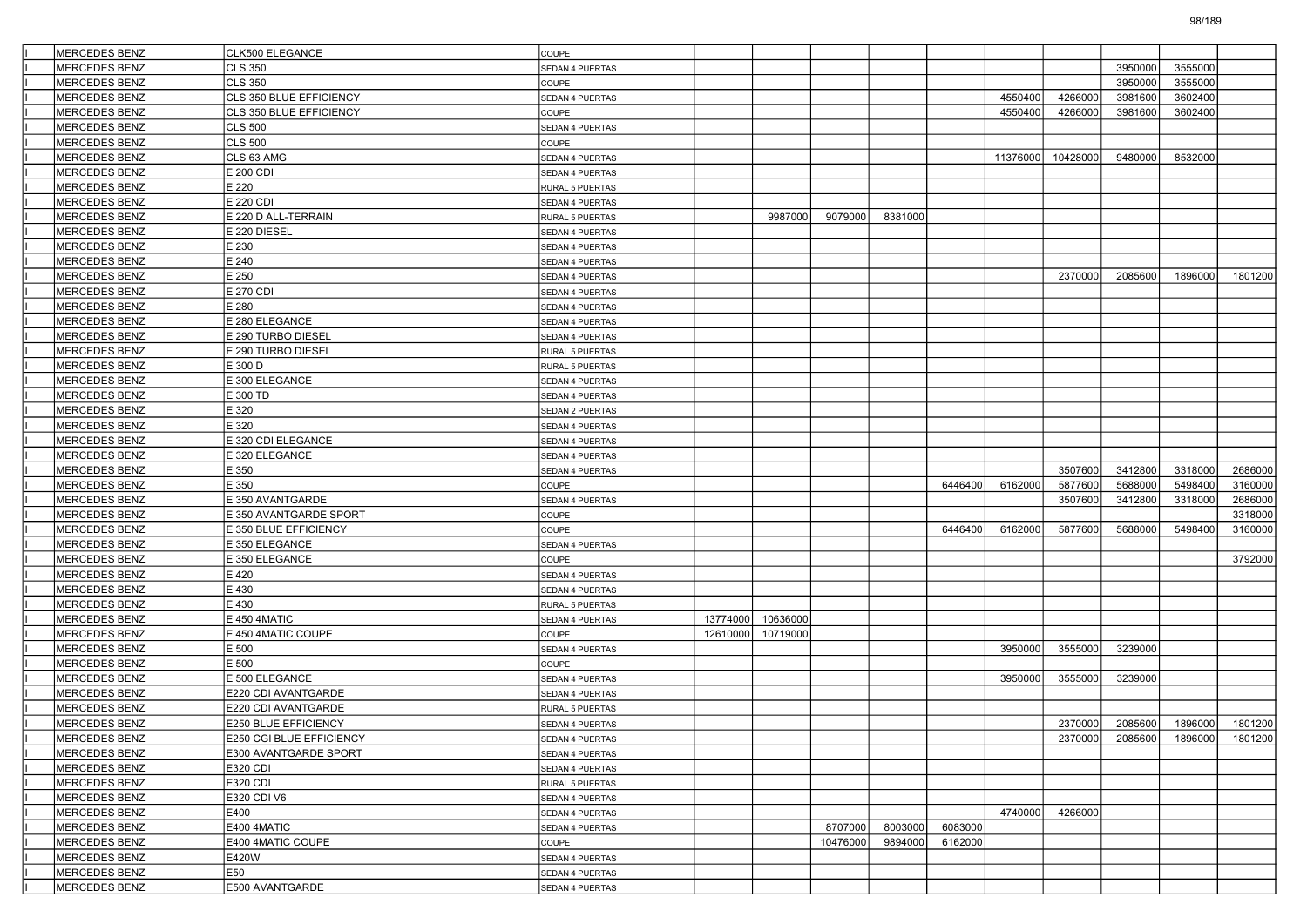| <b>MERCEDES BENZ</b>                         | <b>CLK500 ELEGANCE</b>                     | <b>COUPE</b>                       |          |          |          |         |         |          |          |                 |         |         |
|----------------------------------------------|--------------------------------------------|------------------------------------|----------|----------|----------|---------|---------|----------|----------|-----------------|---------|---------|
| <b>MERCEDES BENZ</b>                         | CLS 350                                    | SEDAN 4 PUERTAS                    |          |          |          |         |         |          |          | 3950000         | 3555000 |         |
| <b>MERCEDES BENZ</b>                         | CLS 350                                    | COUPE                              |          |          |          |         |         |          |          | 3950000         | 3555000 |         |
| MERCEDES BENZ                                | CLS 350 BLUE EFFICIENCY                    | <b>SEDAN 4 PUERTAS</b>             |          |          |          |         |         | 4550400  | 4266000  | 3981600         | 3602400 |         |
| <b>MERCEDES BENZ</b>                         | CLS 350 BLUE EFFICIENCY                    | COUPE                              |          |          |          |         |         | 4550400  | 4266000  | 3981600         | 3602400 |         |
| <b>MERCEDES BENZ</b>                         | <b>CLS 500</b>                             | <b>SEDAN 4 PUERTAS</b>             |          |          |          |         |         |          |          |                 |         |         |
| <b>MERCEDES BENZ</b>                         | <b>CLS 500</b>                             | COUPE                              |          |          |          |         |         |          |          |                 |         |         |
| <b>MERCEDES BENZ</b>                         | CLS 63 AMG                                 | SEDAN 4 PUERTAS                    |          |          |          |         |         | 11376000 | 10428000 | 9480000         | 8532000 |         |
| <b>MERCEDES BENZ</b>                         | E 200 CDI                                  | SEDAN 4 PUERTAS                    |          |          |          |         |         |          |          |                 |         |         |
| <b>MERCEDES BENZ</b>                         | E 220                                      | RURAL 5 PUERTAS                    |          |          |          |         |         |          |          |                 |         |         |
| <b>MERCEDES BENZ</b>                         | E 220 CDI                                  | <b>SEDAN 4 PUERTAS</b>             |          |          |          |         |         |          |          |                 |         |         |
| <b>MERCEDES BENZ</b>                         | E 220 D ALL-TERRAIN                        | RURAL 5 PUERTAS                    |          | 9987000  | 9079000  | 8381000 |         |          |          |                 |         |         |
| MERCEDES BENZ                                | E 220 DIESEL                               | SEDAN 4 PUERTAS                    |          |          |          |         |         |          |          |                 |         |         |
| MERCEDES BENZ                                | E 230                                      | SEDAN 4 PUERTAS                    |          |          |          |         |         |          |          |                 |         |         |
| <b>MERCEDES BENZ</b>                         | E 240                                      | SEDAN 4 PUERTAS                    |          |          |          |         |         |          |          |                 |         |         |
| <b>MERCEDES BENZ</b>                         | E 250                                      | <b>SEDAN 4 PUERTAS</b>             |          |          |          |         |         |          | 2370000  | 2085600         | 1896000 | 1801200 |
| <b>MERCEDES BENZ</b>                         | E 270 CDI                                  | SEDAN 4 PUERTAS                    |          |          |          |         |         |          |          |                 |         |         |
| <b>MERCEDES BENZ</b>                         | E 280                                      | SEDAN 4 PUERTAS                    |          |          |          |         |         |          |          |                 |         |         |
| MERCEDES BENZ                                | E 280 ELEGANCE                             | SEDAN 4 PUERTAS                    |          |          |          |         |         |          |          |                 |         |         |
| <b>MERCEDES BENZ</b>                         | E 290 TURBO DIESEL                         | SEDAN 4 PUERTAS                    |          |          |          |         |         |          |          |                 |         |         |
| <b>MERCEDES BENZ</b>                         | E 290 TURBO DIESEL                         | RURAL 5 PUERTAS                    |          |          |          |         |         |          |          |                 |         |         |
| <b>MERCEDES BENZ</b>                         | E 300 D                                    | RURAL 5 PUERTAS                    |          |          |          |         |         |          |          |                 |         |         |
| <b>MERCEDES BENZ</b>                         | E 300 ELEGANCE                             | SEDAN 4 PUERTAS                    |          |          |          |         |         |          |          |                 |         |         |
| MERCEDES BENZ                                | E 300 TD                                   | SEDAN 4 PUERTAS                    |          |          |          |         |         |          |          |                 |         |         |
| MERCEDES BENZ                                | E 320                                      | SEDAN 2 PUERTAS                    |          |          |          |         |         |          |          |                 |         |         |
| <b>MERCEDES BENZ</b>                         | E 320                                      | <b>SEDAN 4 PUERTAS</b>             |          |          |          |         |         |          |          |                 |         |         |
| <b>MERCEDES BENZ</b>                         | E 320 CDI ELEGANCE                         | SEDAN 4 PUERTAS                    |          |          |          |         |         |          |          |                 |         |         |
| <b>MERCEDES BENZ</b>                         | E 320 ELEGANCE                             | SEDAN 4 PUERTAS                    |          |          |          |         |         |          |          |                 |         |         |
| MERCEDES BENZ                                | E 350                                      | SEDAN 4 PUERTAS                    |          |          |          |         |         |          | 3507600  | 3412800         | 3318000 | 2686000 |
| MERCEDES BENZ                                | E 350                                      | COUPE                              |          |          |          |         | 6446400 | 6162000  | 5877600  | 5688000         | 5498400 | 3160000 |
| <b>MERCEDES BENZ</b>                         | E 350 AVANTGARDE                           | <b>SEDAN 4 PUERTAS</b>             |          |          |          |         |         |          | 3507600  | 3412800         | 3318000 | 2686000 |
| <b>MERCEDES BENZ</b>                         | E 350 AVANTGARDE SPORT                     | COUPE                              |          |          |          |         |         |          |          |                 |         | 3318000 |
| <b>MERCEDES BENZ</b>                         | E 350 BLUE EFFICIENCY                      | COUPE                              |          |          |          |         | 6446400 | 6162000  | 5877600  | 5688000         | 5498400 | 3160000 |
| MERCEDES BENZ                                | E 350 ELEGANCE                             | <b>SEDAN 4 PUERTAS</b>             |          |          |          |         |         |          |          |                 |         |         |
| <b>MERCEDES BENZ</b>                         | E 350 ELEGANCE                             | COUPE                              |          |          |          |         |         |          |          |                 |         | 3792000 |
| <b>MERCEDES BENZ</b>                         | E 420                                      | SEDAN 4 PUERTAS                    |          |          |          |         |         |          |          |                 |         |         |
| <b>MERCEDES BENZ</b>                         | E 430                                      | SEDAN 4 PUERTAS                    |          |          |          |         |         |          |          |                 |         |         |
| <b>MERCEDES BENZ</b>                         | E 430                                      | RURAL 5 PUERTAS                    |          |          |          |         |         |          |          |                 |         |         |
| MERCEDES BENZ                                | E 450 4MATIC                               | <b>SEDAN 4 PUERTAS</b>             | 13774000 | 10636000 |          |         |         |          |          |                 |         |         |
| MERCEDES BENZ                                | E 450 4MATIC COUPE                         | COUPE                              | 12610000 | 10719000 |          |         |         |          |          |                 |         |         |
| <b>MERCEDES BENZ</b>                         | E 500                                      | SEDAN 4 PUERTAS                    |          |          |          |         |         | 3950000  | 3555000  | 3239000         |         |         |
| <b>MERCEDES BENZ</b><br><b>MERCEDES BENZ</b> | E 500<br>E 500 ELEGANCE                    | COUPE                              |          |          |          |         |         | 3950000  | 3555000  | 3239000         |         |         |
|                                              |                                            | SEDAN 4 PUERTAS                    |          |          |          |         |         |          |          |                 |         |         |
| MERCEDES BENZ<br><b>MERCEDES BENZ</b>        | E220 CDI AVANTGARDE<br>E220 CDI AVANTGARDE | SEDAN 4 PUERTAS<br>RURAL 5 PUERTAS |          |          |          |         |         |          |          |                 |         |         |
| <b>MERCEDES BENZ</b>                         | E250 BLUE EFFICIENCY                       |                                    |          |          |          |         |         |          | 2370000  | 2085600         | 1896000 | 1801200 |
| MERCEDES BENZ                                | E250 CGI BLUE EFFICIENCY                   | SEDAN 4 PUERTAS<br>SEDAN 4 PUERTAS |          |          |          |         |         |          |          | 2370000 2085600 | 1896000 | 1801200 |
| <b>MERCEDES BENZ</b>                         | E300 AVANTGARDE SPORT                      | SEDAN 4 PUERTAS                    |          |          |          |         |         |          |          |                 |         |         |
| MERCEDES BENZ                                | E320 CDI                                   | SEDAN 4 PUERTAS                    |          |          |          |         |         |          |          |                 |         |         |
| MERCEDES BENZ                                | E320 CDI                                   | RURAL 5 PUERTAS                    |          |          |          |         |         |          |          |                 |         |         |
| MERCEDES BENZ                                | E320 CDI V6                                | SEDAN 4 PUERTAS                    |          |          |          |         |         |          |          |                 |         |         |
| MERCEDES BENZ                                | E400                                       | SEDAN 4 PUERTAS                    |          |          |          |         |         | 4740000  | 4266000  |                 |         |         |
| <b>MERCEDES BENZ</b>                         | E400 4MATIC                                | SEDAN 4 PUERTAS                    |          |          | 8707000  | 8003000 | 6083000 |          |          |                 |         |         |
| MERCEDES BENZ                                | E400 4MATIC COUPE                          | COUPE                              |          |          | 10476000 | 9894000 | 6162000 |          |          |                 |         |         |
| MERCEDES BENZ                                | E420W                                      | SEDAN 4 PUERTAS                    |          |          |          |         |         |          |          |                 |         |         |
| MERCEDES BENZ                                | E50                                        | SEDAN 4 PUERTAS                    |          |          |          |         |         |          |          |                 |         |         |
| MERCEDES BENZ                                | E500 AVANTGARDE                            | SEDAN 4 PUERTAS                    |          |          |          |         |         |          |          |                 |         |         |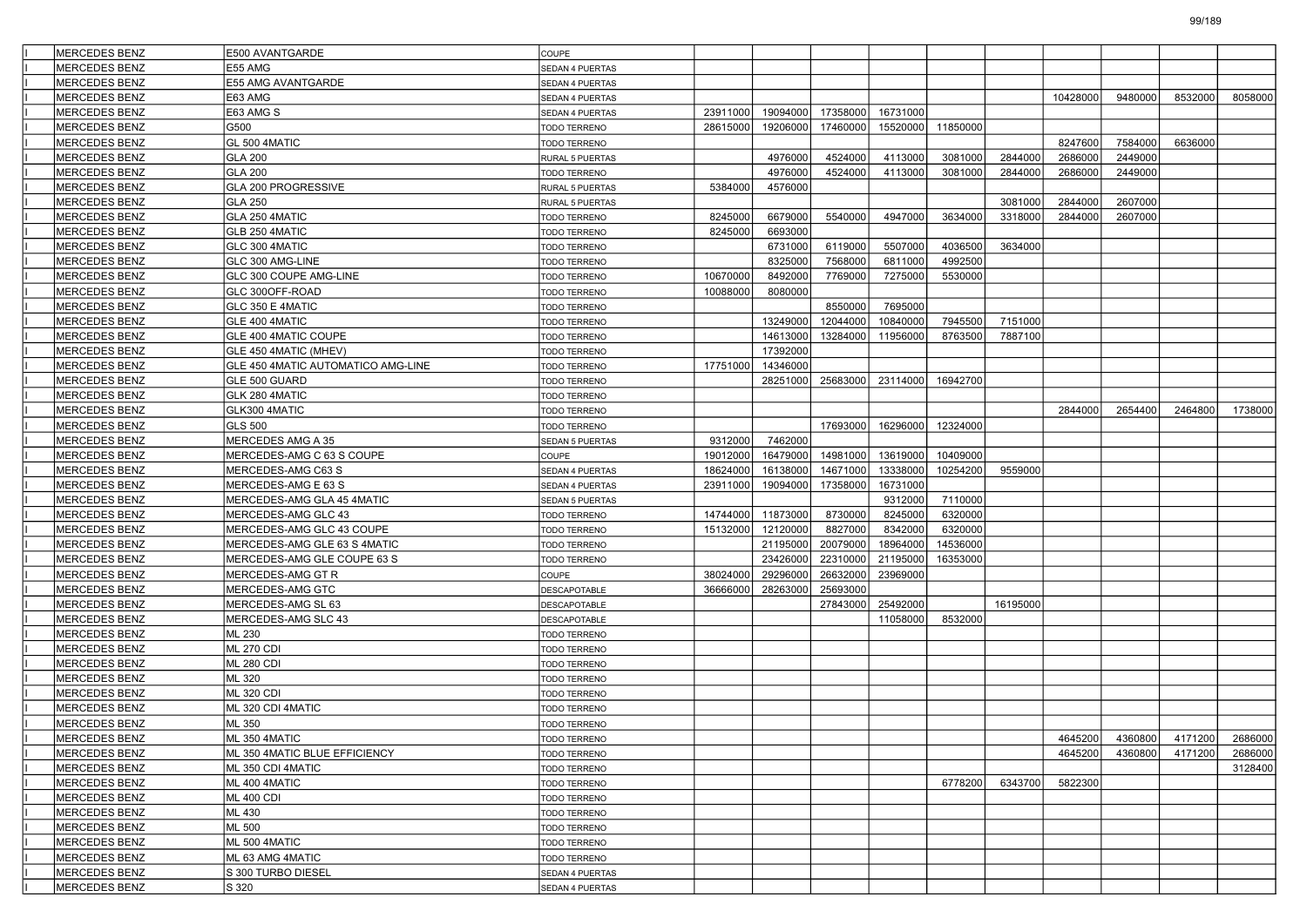| <b>MERCEDES BENZ</b> | E500 AVANTGARDE                    | COUPE                        |          |          |          |          |          |          |          |         |                         |         |
|----------------------|------------------------------------|------------------------------|----------|----------|----------|----------|----------|----------|----------|---------|-------------------------|---------|
| <b>MERCEDES BENZ</b> | E55 AMG                            | SEDAN 4 PUERTAS              |          |          |          |          |          |          |          |         |                         |         |
| <b>MERCEDES BENZ</b> | E55 AMG AVANTGARDE                 | SEDAN 4 PUERTAS              |          |          |          |          |          |          |          |         |                         |         |
| <b>MERCEDES BENZ</b> | E63 AMG                            | SEDAN 4 PUERTAS              |          |          |          |          |          |          | 10428000 | 9480000 | 8532000                 | 8058000 |
| <b>MERCEDES BENZ</b> | E63 AMG S                          | SEDAN 4 PUERTAS              | 23911000 | 19094000 | 17358000 | 16731000 |          |          |          |         |                         |         |
| MERCEDES BENZ        | G500                               | TODO TERRENO                 | 28615000 | 19206000 | 17460000 | 15520000 | 11850000 |          |          |         |                         |         |
| <b>MERCEDES BENZ</b> | GL 500 4MATIC                      | TODO TERRENO                 |          |          |          |          |          |          | 8247600  | 7584000 | 6636000                 |         |
| <b>MERCEDES BENZ</b> | <b>GLA 200</b>                     | RURAL 5 PUERTAS              |          | 4976000  | 4524000  | 4113000  | 3081000  | 2844000  | 2686000  | 2449000 |                         |         |
| <b>MERCEDES BENZ</b> | <b>GLA 200</b>                     | TODO TERRENO                 |          | 4976000  | 4524000  | 4113000  | 3081000  | 2844000  | 2686000  | 2449000 |                         |         |
| <b>MERCEDES BENZ</b> | GLA 200 PROGRESSIVE                | RURAL 5 PUERTAS              | 5384000  | 4576000  |          |          |          |          |          |         |                         |         |
| <b>MERCEDES BENZ</b> | <b>GLA 250</b>                     | RURAL 5 PUERTAS              |          |          |          |          |          | 3081000  | 2844000  | 2607000 |                         |         |
| <b>MERCEDES BENZ</b> | GLA 250 4MATIC                     | <b>TODO TERRENO</b>          | 8245000  | 6679000  | 5540000  | 4947000  | 3634000  | 3318000  | 2844000  | 2607000 |                         |         |
| <b>MERCEDES BENZ</b> | GLB 250 4MATIC                     | TODO TERRENO                 | 8245000  | 6693000  |          |          |          |          |          |         |                         |         |
| <b>MERCEDES BENZ</b> | GLC 300 4MATIC                     | TODO TERRENO                 |          | 6731000  | 6119000  | 5507000  | 4036500  | 3634000  |          |         |                         |         |
| <b>MERCEDES BENZ</b> | GLC 300 AMG-LINE                   | TODO TERRENO                 |          | 8325000  | 7568000  | 6811000  | 4992500  |          |          |         |                         |         |
| <b>MERCEDES BENZ</b> | GLC 300 COUPE AMG-LINE             | TODO TERRENO                 | 10670000 | 8492000  | 7769000  | 7275000  | 5530000  |          |          |         |                         |         |
| <b>MERCEDES BENZ</b> | GLC 300OFF-ROAD                    | <b>TODO TERRENO</b>          | 10088000 | 8080000  |          |          |          |          |          |         |                         |         |
| <b>MERCEDES BENZ</b> | GLC 350 E 4MATIC                   | TODO TERRENO                 |          |          | 8550000  | 7695000  |          |          |          |         |                         |         |
| <b>MERCEDES BENZ</b> | GLE 400 4MATIC                     | TODO TERRENO                 |          | 13249000 | 12044000 | 10840000 | 7945500  | 7151000  |          |         |                         |         |
| <b>MERCEDES BENZ</b> | GLE 400 4MATIC COUPE               | TODO TERRENO                 |          | 14613000 | 13284000 | 11956000 | 8763500  | 7887100  |          |         |                         |         |
| MERCEDES BENZ        | GLE 450 4MATIC (MHEV)              | <b>TODO TERRENO</b>          |          | 17392000 |          |          |          |          |          |         |                         |         |
| <b>MERCEDES BENZ</b> | GLE 450 4MATIC AUTOMATICO AMG-LINE | TODO TERRENO                 | 17751000 | 14346000 |          |          |          |          |          |         |                         |         |
| <b>MERCEDES BENZ</b> | GLE 500 GUARD                      | TODO TERRENO                 |          | 28251000 | 25683000 | 23114000 | 16942700 |          |          |         |                         |         |
| <b>MERCEDES BENZ</b> | GLK 280 4MATIC                     | TODO TERRENO                 |          |          |          |          |          |          |          |         |                         |         |
| <b>MERCEDES BENZ</b> | GLK300 4MATIC                      | TODO TERRENO                 |          |          |          |          |          |          | 2844000  | 2654400 | 2464800                 | 1738000 |
| <b>MERCEDES BENZ</b> | <b>GLS 500</b>                     | TODO TERRENO                 |          |          | 17693000 | 16296000 | 12324000 |          |          |         |                         |         |
| <b>MERCEDES BENZ</b> | MERCEDES AMG A 35                  | SEDAN 5 PUERTAS              | 9312000  | 7462000  |          |          |          |          |          |         |                         |         |
| <b>MERCEDES BENZ</b> | MERCEDES-AMG C 63 S COUPE          | COUPE                        | 19012000 | 16479000 | 14981000 | 13619000 | 10409000 |          |          |         |                         |         |
| <b>MERCEDES BENZ</b> | MERCEDES-AMG C63 S                 | SEDAN 4 PUERTAS              | 18624000 | 16138000 | 14671000 | 13338000 | 10254200 | 9559000  |          |         |                         |         |
| <b>MERCEDES BENZ</b> | MERCEDES-AMG E 63 S                | SEDAN 4 PUERTAS              | 23911000 | 19094000 | 17358000 | 16731000 |          |          |          |         |                         |         |
| <b>MERCEDES BENZ</b> | MERCEDES-AMG GLA 45 4MATIC         | SEDAN 5 PUERTAS              |          |          |          | 9312000  | 7110000  |          |          |         |                         |         |
| <b>MERCEDES BENZ</b> | MERCEDES-AMG GLC 43                | <b>TODO TERRENO</b>          | 14744000 | 11873000 | 8730000  | 8245000  | 6320000  |          |          |         |                         |         |
| <b>MERCEDES BENZ</b> | MERCEDES-AMG GLC 43 COUPE          | TODO TERRENO                 | 15132000 | 12120000 | 8827000  | 8342000  | 6320000  |          |          |         |                         |         |
| <b>MERCEDES BENZ</b> | MERCEDES-AMG GLE 63 S 4MATIC       | TODO TERRENO                 |          | 21195000 | 20079000 | 18964000 | 14536000 |          |          |         |                         |         |
| <b>MERCEDES BENZ</b> | MERCEDES-AMG GLE COUPE 63 S        | TODO TERRENO                 |          | 23426000 | 22310000 | 21195000 | 16353000 |          |          |         |                         |         |
| <b>MERCEDES BENZ</b> | MERCEDES-AMG GT R                  | COUPE                        | 38024000 | 29296000 | 26632000 | 23969000 |          |          |          |         |                         |         |
| <b>MERCEDES BENZ</b> | MERCEDES-AMG GTC                   | DESCAPOTABLE                 | 36666000 | 28263000 | 25693000 |          |          |          |          |         |                         |         |
| <b>MERCEDES BENZ</b> | MERCEDES-AMG SL 63                 | DESCAPOTABLE                 |          |          | 27843000 | 25492000 |          | 16195000 |          |         |                         |         |
| <b>MERCEDES BENZ</b> | MERCEDES-AMG SLC 43                | DESCAPOTABLE                 |          |          |          | 11058000 | 8532000  |          |          |         |                         |         |
| <b>MERCEDES BENZ</b> | ML 230                             | TODO TERRENO                 |          |          |          |          |          |          |          |         |                         |         |
| <b>MERCEDES BENZ</b> | <b>ML 270 CDI</b>                  | TODO TERRENO                 |          |          |          |          |          |          |          |         |                         |         |
| <b>MERCEDES BENZ</b> | <b>ML 280 CDI</b>                  | <b>TODO TERRENO</b>          |          |          |          |          |          |          |          |         |                         |         |
| <b>MERCEDES BENZ</b> | ML 320                             | TODO TERRENO                 |          |          |          |          |          |          |          |         |                         |         |
| <b>MERCEDES BENZ</b> | <b>ML 320 CDI</b>                  | TODO TERRENO                 |          |          |          |          |          |          |          |         |                         |         |
| <b>MERCEDES BENZ</b> | ML 320 CDI 4MATIC                  | TODO TERRENO                 |          |          |          |          |          |          |          |         |                         |         |
| <b>MERCEDES BENZ</b> | ML 350                             | TODO TERRENO                 |          |          |          |          |          |          |          |         |                         |         |
| MERCEDES BENZ        | ML 350 4MATIC                      |                              |          |          |          |          |          |          |          |         | 4645200 4360800 4171200 | 2686000 |
| <b>MERCEDES BENZ</b> | ML 350 4MATIC BLUE EFFICIENCY      | TODO TERRENO<br>TODO TERRENO |          |          |          |          |          |          | 4645200  | 4360800 | 4171200                 | 2686000 |
| MERCEDES BENZ        | ML 350 CDI 4MATIC                  | TODO TERRENO                 |          |          |          |          |          |          |          |         |                         | 3128400 |
| MERCEDES BENZ        | ML 400 4MATIC                      | TODO TERRENO                 |          |          |          |          | 6778200  | 6343700  | 5822300  |         |                         |         |
| MERCEDES BENZ        | <b>ML 400 CDI</b>                  | TODO TERRENO                 |          |          |          |          |          |          |          |         |                         |         |
| MERCEDES BENZ        | ML 430                             | TODO TERRENO                 |          |          |          |          |          |          |          |         |                         |         |
| <b>MERCEDES BENZ</b> | ML 500                             | TODO TERRENO                 |          |          |          |          |          |          |          |         |                         |         |
| MERCEDES BENZ        | ML 500 4MATIC                      | TODO TERRENO                 |          |          |          |          |          |          |          |         |                         |         |
| MERCEDES BENZ        | ML 63 AMG 4MATIC                   | TODO TERRENO                 |          |          |          |          |          |          |          |         |                         |         |
| MERCEDES BENZ        | S 300 TURBO DIESEL                 | SEDAN 4 PUERTAS              |          |          |          |          |          |          |          |         |                         |         |
| MERCEDES BENZ        | S 320                              | SEDAN 4 PUERTAS              |          |          |          |          |          |          |          |         |                         |         |
|                      |                                    |                              |          |          |          |          |          |          |          |         |                         |         |

99/189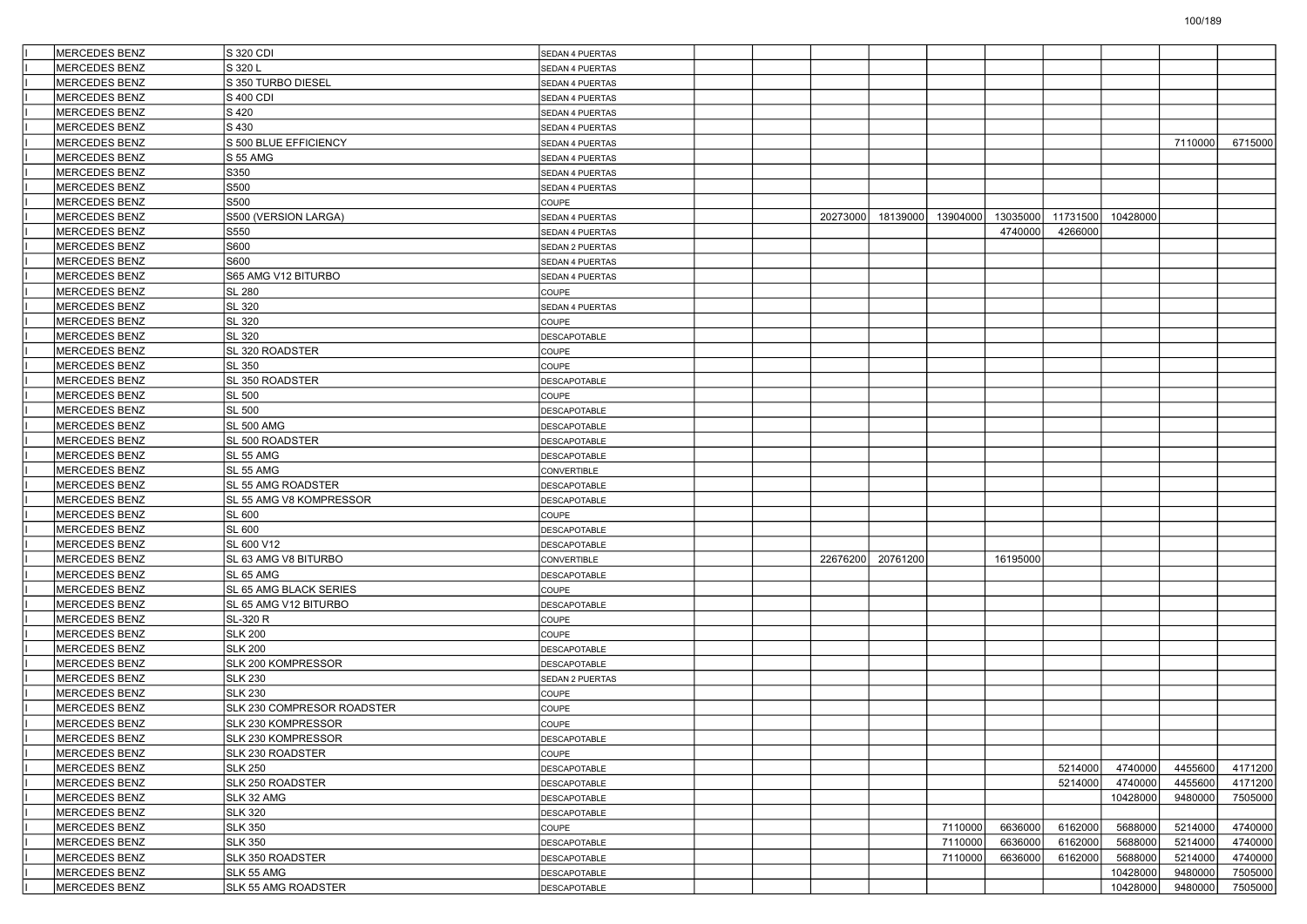| <b>MERCEDES BENZ</b> | S 320 CDI                      | <b>SEDAN 4 PUERTAS</b> |  |          |                   |          |          |          |          |         |         |
|----------------------|--------------------------------|------------------------|--|----------|-------------------|----------|----------|----------|----------|---------|---------|
| <b>MERCEDES BENZ</b> | S 320 L                        | SEDAN 4 PUERTAS        |  |          |                   |          |          |          |          |         |         |
| MERCEDES BENZ        | S 350 TURBO DIESEL             | SEDAN 4 PUERTAS        |  |          |                   |          |          |          |          |         |         |
| <b>MERCEDES BENZ</b> | S 400 CDI                      | SEDAN 4 PUERTAS        |  |          |                   |          |          |          |          |         |         |
| <b>MERCEDES BENZ</b> | S 420                          | SEDAN 4 PUERTAS        |  |          |                   |          |          |          |          |         |         |
| <b>MERCEDES BENZ</b> | S 430                          | <b>SEDAN 4 PUERTAS</b> |  |          |                   |          |          |          |          |         |         |
| <b>MERCEDES BENZ</b> | S 500 BLUE EFFICIENCY          | SEDAN 4 PUERTAS        |  |          |                   |          |          |          |          | 7110000 | 6715000 |
| <b>MERCEDES BENZ</b> | <b>S 55 AMG</b>                | SEDAN 4 PUERTAS        |  |          |                   |          |          |          |          |         |         |
| <b>MERCEDES BENZ</b> | S350                           | SEDAN 4 PUERTAS        |  |          |                   |          |          |          |          |         |         |
| <b>MERCEDES BENZ</b> | S500                           | SEDAN 4 PUERTAS        |  |          |                   |          |          |          |          |         |         |
| <b>MERCEDES BENZ</b> | S500                           | COUPE                  |  |          |                   |          |          |          |          |         |         |
| <b>MERCEDES BENZ</b> | S500 (VERSION LARGA)           | SEDAN 4 PUERTAS        |  | 20273000 | 18139000          | 13904000 | 13035000 | 11731500 | 10428000 |         |         |
| <b>MERCEDES BENZ</b> | S550                           | SEDAN 4 PUERTAS        |  |          |                   |          | 4740000  | 4266000  |          |         |         |
| <b>MERCEDES BENZ</b> | S600                           | SEDAN 2 PUERTAS        |  |          |                   |          |          |          |          |         |         |
| <b>MERCEDES BENZ</b> | S600                           | SEDAN 4 PUERTAS        |  |          |                   |          |          |          |          |         |         |
| <b>MERCEDES BENZ</b> | S65 AMG V12 BITURBO            | <b>SEDAN 4 PUERTAS</b> |  |          |                   |          |          |          |          |         |         |
| <b>MERCEDES BENZ</b> | <b>SL 280</b>                  | COUPE                  |  |          |                   |          |          |          |          |         |         |
| <b>MERCEDES BENZ</b> | SL 320                         | SEDAN 4 PUERTAS        |  |          |                   |          |          |          |          |         |         |
| <b>MERCEDES BENZ</b> | SL 320                         | <b>COUPE</b>           |  |          |                   |          |          |          |          |         |         |
| <b>MERCEDES BENZ</b> | <b>SL 320</b>                  | <b>DESCAPOTABLE</b>    |  |          |                   |          |          |          |          |         |         |
| <b>MERCEDES BENZ</b> | SL 320 ROADSTER                | <b>COUPE</b>           |  |          |                   |          |          |          |          |         |         |
| <b>MERCEDES BENZ</b> | <b>SL 350</b>                  | COUPE                  |  |          |                   |          |          |          |          |         |         |
| <b>MERCEDES BENZ</b> | SL 350 ROADSTER                | <b>DESCAPOTABLE</b>    |  |          |                   |          |          |          |          |         |         |
| MERCEDES BENZ        | <b>SL 500</b>                  | <b>COUPE</b>           |  |          |                   |          |          |          |          |         |         |
| <b>MERCEDES BENZ</b> | <b>SL 500</b>                  | DESCAPOTABLE           |  |          |                   |          |          |          |          |         |         |
| <b>MERCEDES BENZ</b> | <b>SL 500 AMG</b>              | <b>DESCAPOTABLE</b>    |  |          |                   |          |          |          |          |         |         |
| <b>MERCEDES BENZ</b> | SL 500 ROADSTER                | DESCAPOTABLE           |  |          |                   |          |          |          |          |         |         |
| <b>MERCEDES BENZ</b> | SL 55 AMG                      | <b>DESCAPOTABLE</b>    |  |          |                   |          |          |          |          |         |         |
| MERCEDES BENZ        | SL 55 AMG                      | CONVERTIBLE            |  |          |                   |          |          |          |          |         |         |
| MERCEDES BENZ        | SL 55 AMG ROADSTER             | DESCAPOTABLE           |  |          |                   |          |          |          |          |         |         |
| <b>MERCEDES BENZ</b> | <b>SL 55 AMG V8 KOMPRESSOR</b> | <b>DESCAPOTABLE</b>    |  |          |                   |          |          |          |          |         |         |
| <b>MERCEDES BENZ</b> | <b>SL 600</b>                  | COUPE                  |  |          |                   |          |          |          |          |         |         |
| <b>MERCEDES BENZ</b> | <b>SL 600</b>                  | DESCAPOTABLE           |  |          |                   |          |          |          |          |         |         |
| MERCEDES BENZ        | SL 600 V12                     | DESCAPOTABLE           |  |          |                   |          |          |          |          |         |         |
| <b>MERCEDES BENZ</b> | SL 63 AMG V8 BITURBO           | CONVERTIBLE            |  |          | 22676200 20761200 |          | 16195000 |          |          |         |         |
| <b>MERCEDES BENZ</b> | SL 65 AMG                      | <b>DESCAPOTABLE</b>    |  |          |                   |          |          |          |          |         |         |
| <b>MERCEDES BENZ</b> | SL 65 AMG BLACK SERIES         | COUPE                  |  |          |                   |          |          |          |          |         |         |
| MERCEDES BENZ        | SL 65 AMG V12 BITURBO          | <b>DESCAPOTABLE</b>    |  |          |                   |          |          |          |          |         |         |
| MERCEDES BENZ        | SL-320 R                       | <b>COUPE</b>           |  |          |                   |          |          |          |          |         |         |
| MERCEDES BENZ        | <b>SLK 200</b>                 | COUPE                  |  |          |                   |          |          |          |          |         |         |
| <b>MERCEDES BENZ</b> | <b>SLK 200</b>                 | <b>DESCAPOTABLE</b>    |  |          |                   |          |          |          |          |         |         |
| <b>MERCEDES BENZ</b> | SLK 200 KOMPRESSOR             | DESCAPOTABLE           |  |          |                   |          |          |          |          |         |         |
| <b>MERCEDES BENZ</b> | <b>SLK 230</b>                 | SEDAN 2 PUERTAS        |  |          |                   |          |          |          |          |         |         |
| <b>MERCEDES BENZ</b> | <b>SLK 230</b>                 | COUPE                  |  |          |                   |          |          |          |          |         |         |
| <b>MERCEDES BENZ</b> | SLK 230 COMPRESOR ROADSTER     | COUPE                  |  |          |                   |          |          |          |          |         |         |
| <b>MERCEDES BENZ</b> | SLK 230 KOMPRESSOR             | COUPE                  |  |          |                   |          |          |          |          |         |         |
| MERCEDES BENZ        | SLK 230 KOMPRESSOR             | DESCAPOTABLE           |  |          |                   |          |          |          |          |         |         |
| <b>MERCEDES BENZ</b> | SLK 230 ROADSTER               | COUPE                  |  |          |                   |          |          |          |          |         |         |
| MERCEDES BENZ        | <b>SLK 250</b>                 | <b>DESCAPOTABLE</b>    |  |          |                   |          |          | 5214000  | 4740000  | 4455600 | 4171200 |
| MERCEDES BENZ        | SLK 250 ROADSTER               | DESCAPOTABLE           |  |          |                   |          |          | 5214000  | 4740000  | 4455600 | 4171200 |
| MERCEDES BENZ        | SLK 32 AMG                     | <b>DESCAPOTABLE</b>    |  |          |                   |          |          |          | 10428000 | 9480000 | 7505000 |
| MERCEDES BENZ        | <b>SLK 320</b>                 | <b>DESCAPOTABLE</b>    |  |          |                   |          |          |          |          |         |         |
| MERCEDES BENZ        | <b>SLK 350</b>                 | COUPE                  |  |          |                   | 7110000  | 6636000  | 6162000  | 5688000  | 5214000 | 4740000 |
| MERCEDES BENZ        | <b>SLK 350</b>                 | <b>DESCAPOTABLE</b>    |  |          |                   | 7110000  | 6636000  | 6162000  | 5688000  | 5214000 | 4740000 |
| MERCEDES BENZ        | <b>SLK 350 ROADSTER</b>        | <b>DESCAPOTABLE</b>    |  |          |                   | 7110000  | 6636000  | 6162000  | 5688000  | 5214000 | 4740000 |
| MERCEDES BENZ        | SLK 55 AMG                     | <b>DESCAPOTABLE</b>    |  |          |                   |          |          |          | 10428000 | 9480000 | 7505000 |
| MERCEDES BENZ        | SLK 55 AMG ROADSTER            | <b>DESCAPOTABLE</b>    |  |          |                   |          |          |          | 10428000 | 9480000 | 7505000 |
|                      |                                |                        |  |          |                   |          |          |          |          |         |         |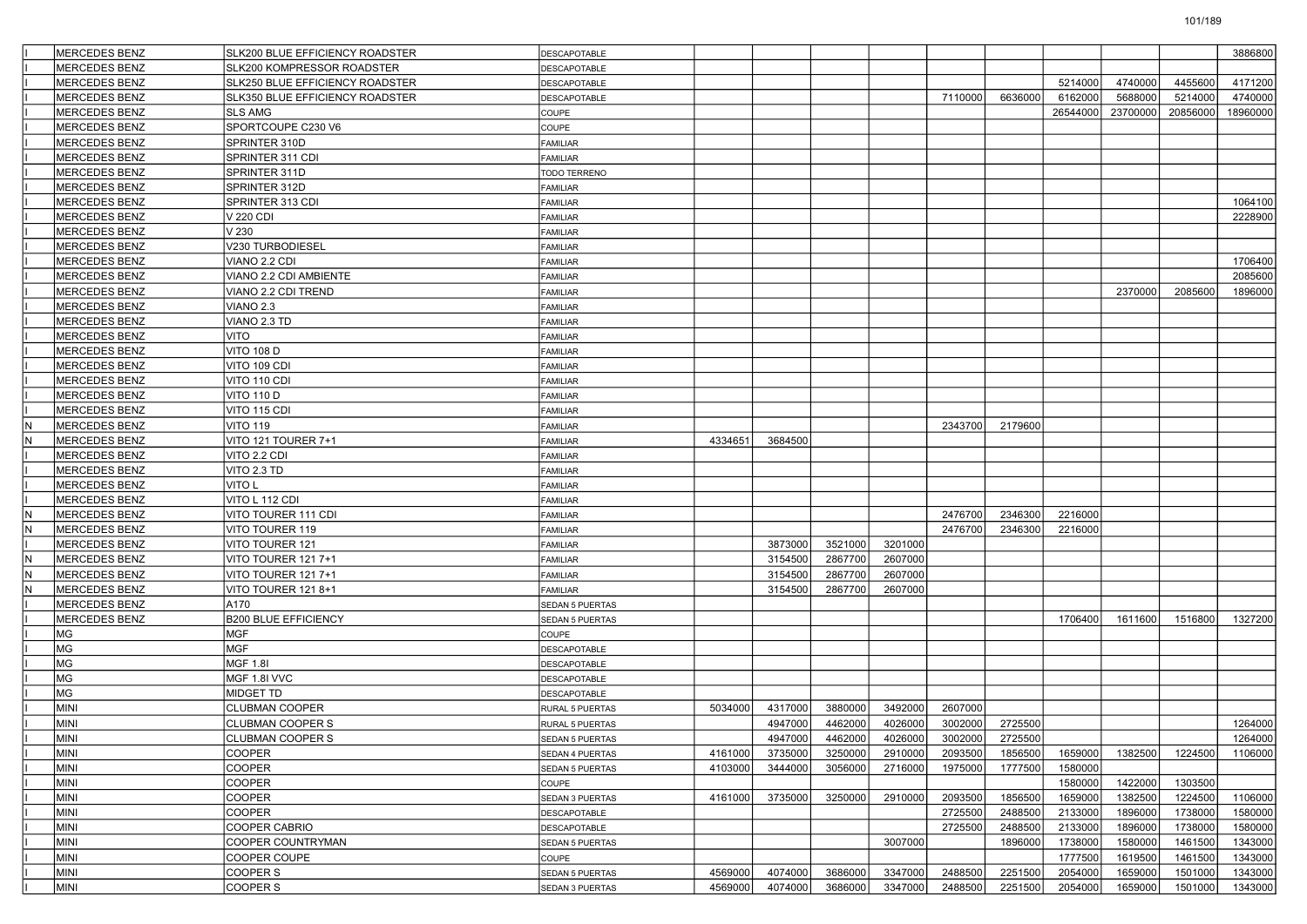|     | MERCEDES BENZ        | SLK200 BLUE EFFICIENCY ROADSTER        | <b>DESCAPOTABLE</b>                    |         |         |         |         |                    |                    |                    |          |                    | 3886800            |
|-----|----------------------|----------------------------------------|----------------------------------------|---------|---------|---------|---------|--------------------|--------------------|--------------------|----------|--------------------|--------------------|
|     | MERCEDES BENZ        | SLK200 KOMPRESSOR ROADSTER             | <b>DESCAPOTABLE</b>                    |         |         |         |         |                    |                    |                    |          |                    |                    |
|     | MERCEDES BENZ        | SLK250 BLUE EFFICIENCY ROADSTER        | DESCAPOTABLE                           |         |         |         |         |                    |                    | 5214000            | 4740000  | 4455600            | 4171200            |
|     | MERCEDES BENZ        | <b>SLK350 BLUE EFFICIENCY ROADSTER</b> | <b>DESCAPOTABLE</b>                    |         |         |         |         | 7110000            | 6636000            | 6162000            | 5688000  | 5214000            | 4740000            |
|     | MERCEDES BENZ        | <b>SLS AMG</b>                         | COUPE                                  |         |         |         |         |                    |                    | 26544000           | 23700000 | 20856000           | 18960000           |
|     | MERCEDES BENZ        | SPORTCOUPE C230 V6                     | COUPE                                  |         |         |         |         |                    |                    |                    |          |                    |                    |
|     | MERCEDES BENZ        | SPRINTER 310D                          | <b>FAMILIAR</b>                        |         |         |         |         |                    |                    |                    |          |                    |                    |
|     | MERCEDES BENZ        | SPRINTER 311 CDI                       | <b>FAMILIAR</b>                        |         |         |         |         |                    |                    |                    |          |                    |                    |
|     | MERCEDES BENZ        | SPRINTER 311D                          | TODO TERRENO                           |         |         |         |         |                    |                    |                    |          |                    |                    |
|     | MERCEDES BENZ        | SPRINTER 312D                          | <b>FAMILIAR</b>                        |         |         |         |         |                    |                    |                    |          |                    |                    |
|     | MERCEDES BENZ        | SPRINTER 313 CDI                       | <b>FAMILIAR</b>                        |         |         |         |         |                    |                    |                    |          |                    | 1064100            |
|     | MERCEDES BENZ        | V 220 CDI                              | <b>FAMILIAR</b>                        |         |         |         |         |                    |                    |                    |          |                    | 2228900            |
|     | MERCEDES BENZ        | V 230                                  | <b>FAMILIAR</b>                        |         |         |         |         |                    |                    |                    |          |                    |                    |
|     | MERCEDES BENZ        | V230 TURBODIESEL                       | <b>FAMILIAR</b>                        |         |         |         |         |                    |                    |                    |          |                    |                    |
|     | MERCEDES BENZ        | VIANO 2.2 CDI                          | <b>FAMILIAR</b>                        |         |         |         |         |                    |                    |                    |          |                    | 1706400            |
|     | MERCEDES BENZ        | VIANO 2.2 CDI AMBIENTE                 | <b>FAMILIAR</b>                        |         |         |         |         |                    |                    |                    |          |                    | 2085600            |
|     | MERCEDES BENZ        | VIANO 2.2 CDI TREND                    | <b>FAMILIAR</b>                        |         |         |         |         |                    |                    |                    | 2370000  | 2085600            | 1896000            |
|     | MERCEDES BENZ        | VIANO <sub>2.3</sub>                   | <b>FAMILIAR</b>                        |         |         |         |         |                    |                    |                    |          |                    |                    |
|     | MERCEDES BENZ        | VIANO 2.3 TD                           | <b>FAMILIAR</b>                        |         |         |         |         |                    |                    |                    |          |                    |                    |
|     | MERCEDES BENZ        | VITO                                   | FAMILIAR                               |         |         |         |         |                    |                    |                    |          |                    |                    |
|     | MERCEDES BENZ        | <b>VITO 108 D</b>                      | <b>FAMILIAR</b>                        |         |         |         |         |                    |                    |                    |          |                    |                    |
|     | MERCEDES BENZ        | VITO 109 CDI                           | <b>FAMILIAR</b>                        |         |         |         |         |                    |                    |                    |          |                    |                    |
|     | <b>MERCEDES BENZ</b> | VITO 110 CDI                           | <b>FAMILIAR</b>                        |         |         |         |         |                    |                    |                    |          |                    |                    |
|     | MERCEDES BENZ        | <b>VITO 110 D</b>                      | <b>FAMILIAR</b>                        |         |         |         |         |                    |                    |                    |          |                    |                    |
|     | MERCEDES BENZ        | VITO 115 CDI                           | <b>FAMILIAR</b>                        |         |         |         |         |                    |                    |                    |          |                    |                    |
| IN. | MERCEDES BENZ        | VITO 119                               | <b>FAMILIAR</b>                        |         |         |         |         | 2343700            | 2179600            |                    |          |                    |                    |
| N   | MERCEDES BENZ        | VITO 121 TOURER 7+1                    | <b>FAMILIAR</b>                        | 4334651 | 3684500 |         |         |                    |                    |                    |          |                    |                    |
|     | <b>MERCEDES BENZ</b> | VITO 2.2 CDI                           | <b>FAMILIAR</b>                        |         |         |         |         |                    |                    |                    |          |                    |                    |
|     | MERCEDES BENZ        | VITO 2.3 TD                            | <b>FAMILIAR</b>                        |         |         |         |         |                    |                    |                    |          |                    |                    |
|     | MERCEDES BENZ        | VITO L                                 | <b>FAMILIAR</b>                        |         |         |         |         |                    |                    |                    |          |                    |                    |
|     | MERCEDES BENZ        | VITO L 112 CDI                         | <b>FAMILIAR</b>                        |         |         |         |         |                    |                    |                    |          |                    |                    |
| N   | MERCEDES BENZ        | VITO TOURER 111 CDI                    | <b>FAMILIAR</b>                        |         |         |         |         | 2476700            | 2346300            | 2216000            |          |                    |                    |
| İN. | MERCEDES BENZ        | VITO TOURER 119                        | <b>FAMILIAR</b>                        |         |         |         |         | 2476700            | 2346300            | 2216000            |          |                    |                    |
|     | MERCEDES BENZ        | VITO TOURER 121                        | <b>FAMILIAR</b>                        |         | 3873000 | 3521000 | 3201000 |                    |                    |                    |          |                    |                    |
| İΝ  | MERCEDES BENZ        | VITO TOURER 121 7+1                    | <b>FAMILIAR</b>                        |         | 3154500 | 2867700 | 2607000 |                    |                    |                    |          |                    |                    |
| IN. | <b>MERCEDES BENZ</b> | VITO TOURER 121 7+1                    | <b>FAMILIAR</b>                        |         | 3154500 | 2867700 | 2607000 |                    |                    |                    |          |                    |                    |
| N   | MERCEDES BENZ        | VITO TOURER 121 8+1                    | <b>FAMILIAR</b>                        |         | 3154500 | 2867700 | 2607000 |                    |                    |                    |          |                    |                    |
|     | MERCEDES BENZ        | A170                                   | <b>SEDAN 5 PUERTAS</b>                 |         |         |         |         |                    |                    |                    |          |                    |                    |
|     | MERCEDES BENZ        | <b>B200 BLUE EFFICIENCY</b>            | SEDAN 5 PUERTAS                        |         |         |         |         |                    |                    | 1706400            | 1611600  | 1516800            | 1327200            |
|     | MG                   | <b>MGF</b>                             | COUPE                                  |         |         |         |         |                    |                    |                    |          |                    |                    |
|     | MG                   | <b>MGF</b>                             | DESCAPOTABLE                           |         |         |         |         |                    |                    |                    |          |                    |                    |
|     | MG                   | <b>MGF 1.8I</b>                        | DESCAPOTABLE                           |         |         |         |         |                    |                    |                    |          |                    |                    |
|     | MG                   | MGF 1.8I VVC                           | <b>DESCAPOTABLE</b>                    |         |         |         |         |                    |                    |                    |          |                    |                    |
|     | MG                   | MIDGET TD                              | DESCAPOTABLE                           |         |         |         |         |                    |                    |                    |          |                    |                    |
|     | <b>MINI</b>          | <b>CLUBMAN COOPER</b>                  | RURAL 5 PUERTAS                        | 5034000 | 4317000 | 3880000 | 3492000 | 2607000            |                    |                    |          |                    |                    |
|     | MINI                 | <b>CLUBMAN COOPER S</b>                | <b>RURAL 5 PUERTAS</b>                 |         | 4947000 | 4462000 | 4026000 | 3002000            | 2725500            |                    |          |                    | 1264000            |
|     | MINI                 | CLUBMAN COOPER S                       | SEDAN 5 PUERTAS                        |         | 4947000 | 4462000 | 4026000 |                    | 3002000 2725500    |                    |          |                    | 1264000            |
|     | MINI                 | COOPER                                 | SEDAN 4 PUERTAS                        | 4161000 | 3735000 | 3250000 | 2910000 | 2093500            | 1856500            | 1659000            | 1382500  | 1224500            | 1106000            |
|     | MINI<br>MINI         | COOPER<br><b>COOPER</b>                | <b>SEDAN 5 PUERTAS</b>                 | 4103000 | 3444000 | 3056000 | 2716000 | 1975000            | 1777500            | 1580000<br>1580000 | 1422000  | 1303500            |                    |
|     |                      |                                        | COUPE                                  |         |         |         |         |                    |                    |                    | 1382500  |                    |                    |
|     | MINI<br>MINI         | COOPER<br><b>COOPER</b>                | SEDAN 3 PUERTAS<br><b>DESCAPOTABLE</b> | 4161000 | 3735000 | 3250000 | 2910000 | 2093500<br>2725500 | 1856500<br>2488500 | 1659000<br>2133000 | 1896000  | 1224500<br>1738000 | 1106000<br>1580000 |
|     | MINI                 | COOPER CABRIO                          | <b>DESCAPOTABLE</b>                    |         |         |         |         | 2725500            | 2488500            | 2133000            | 1896000  | 1738000            | 1580000            |
|     | MINI                 | COOPER COUNTRYMAN                      | SEDAN 5 PUERTAS                        |         |         |         | 3007000 |                    | 1896000            | 1738000            | 1580000  | 1461500            | 1343000            |
|     | MINI                 | COOPER COUPE                           | COUPE                                  |         |         |         |         |                    |                    | 1777500            | 1619500  | 1461500            | 1343000            |
|     | MINI                 | COOPER S                               | SEDAN 5 PUERTAS                        | 4569000 | 4074000 | 3686000 | 3347000 | 2488500            | 2251500            | 2054000            | 1659000  | 1501000            | 1343000            |
|     | MINI                 | COOPER S                               | SEDAN 3 PUERTAS                        | 4569000 | 4074000 | 3686000 | 3347000 | 2488500            | 2251500            | 2054000            | 1659000  | 1501000            | 1343000            |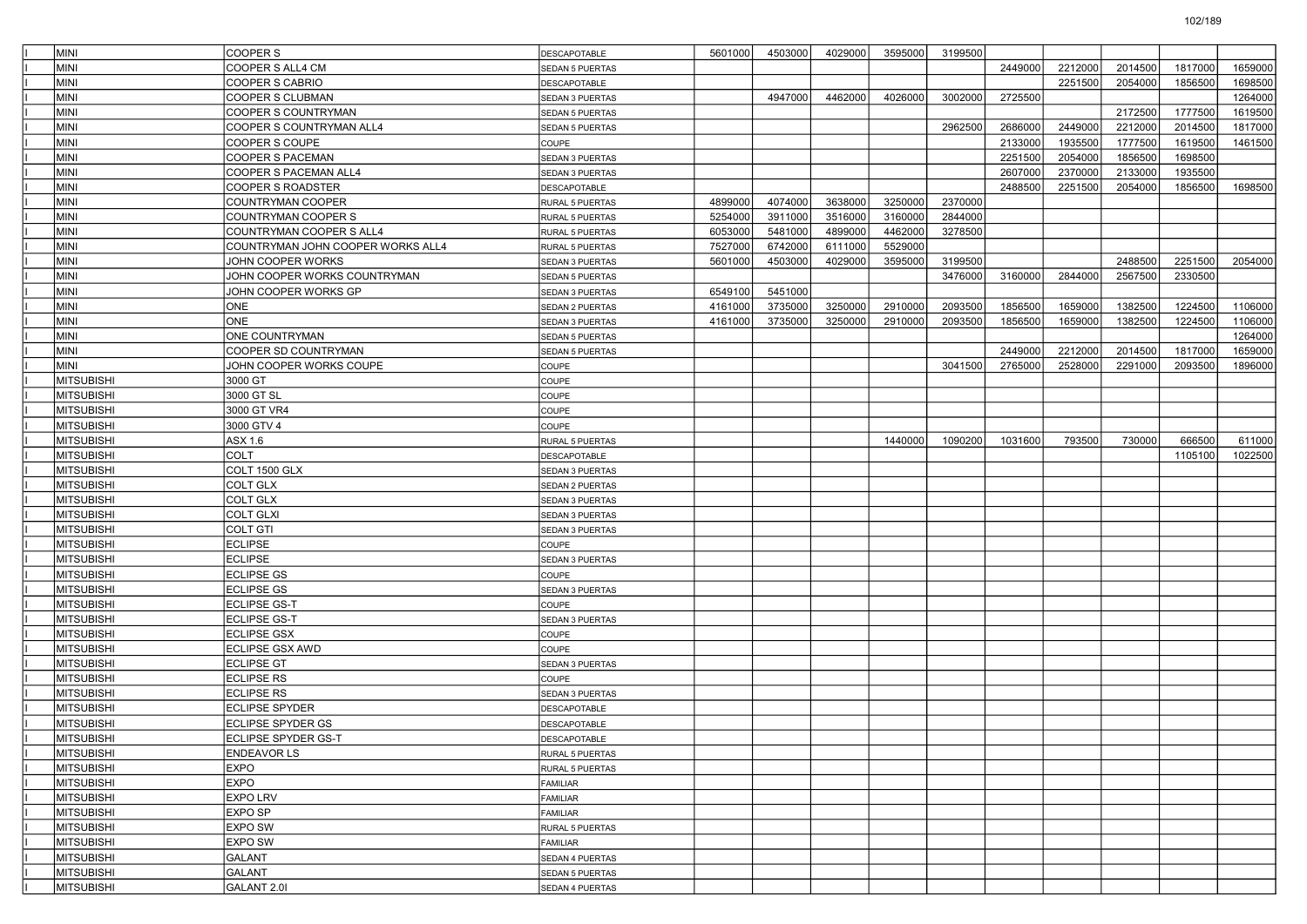| MINI               | COOPER S                          | DESCAPOTABLE           | 5601000 | 4503000 | 4029000 | 3595000 | 3199500 |         |         |         |         |         |
|--------------------|-----------------------------------|------------------------|---------|---------|---------|---------|---------|---------|---------|---------|---------|---------|
| İMINI              | COOPER S ALL4 CM                  | <b>SEDAN 5 PUERTAS</b> |         |         |         |         |         | 2449000 | 2212000 | 2014500 | 1817000 | 1659000 |
| <b>MINI</b>        | COOPER S CABRIO                   | <b>DESCAPOTABLE</b>    |         |         |         |         |         |         | 2251500 | 2054000 | 1856500 | 1698500 |
| MINI               | COOPER S CLUBMAN                  | <b>SEDAN 3 PUERTAS</b> |         | 4947000 | 4462000 | 4026000 | 3002000 | 2725500 |         |         |         | 1264000 |
| MINI               | COOPER S COUNTRYMAN               | SEDAN 5 PUERTAS        |         |         |         |         |         |         |         | 2172500 | 1777500 | 1619500 |
| MINI               | COOPER S COUNTRYMAN ALL4          | SEDAN 5 PUERTAS        |         |         |         |         | 2962500 | 2686000 | 2449000 | 2212000 | 2014500 | 1817000 |
| MINI               | COOPER S COUPE                    | COUPE                  |         |         |         |         |         | 2133000 | 1935500 | 1777500 | 1619500 | 1461500 |
| <b>MINI</b>        | COOPER S PACEMAN                  | SEDAN 3 PUERTAS        |         |         |         |         |         | 2251500 | 2054000 | 1856500 | 1698500 |         |
| MINI               | COOPER S PACEMAN ALL4             | <b>SEDAN 3 PUERTAS</b> |         |         |         |         |         | 2607000 | 2370000 | 2133000 | 1935500 |         |
| MINI               | COOPER S ROADSTER                 | DESCAPOTABLE           |         |         |         |         |         | 2488500 | 2251500 | 2054000 | 1856500 | 1698500 |
| MINI               | COUNTRYMAN COOPER                 | RURAL 5 PUERTAS        | 4899000 | 4074000 | 3638000 | 3250000 | 2370000 |         |         |         |         |         |
| MINI               | COUNTRYMAN COOPER S               | <b>RURAL 5 PUERTAS</b> | 5254000 | 3911000 | 3516000 | 3160000 | 2844000 |         |         |         |         |         |
| <b>MINI</b>        | COUNTRYMAN COOPER S ALL4          | RURAL 5 PUERTAS        | 6053000 | 5481000 | 4899000 | 4462000 | 3278500 |         |         |         |         |         |
| MINI               | COUNTRYMAN JOHN COOPER WORKS ALL4 | <b>RURAL 5 PUERTAS</b> | 7527000 | 6742000 | 6111000 | 5529000 |         |         |         |         |         |         |
| MINI               | JOHN COOPER WORKS                 | <b>SEDAN 3 PUERTAS</b> | 5601000 | 4503000 | 4029000 | 3595000 | 3199500 |         |         | 2488500 | 2251500 | 2054000 |
| MINI               | JOHN COOPER WORKS COUNTRYMAN      | SEDAN 5 PUERTAS        |         |         |         |         | 3476000 | 3160000 | 2844000 | 2567500 | 2330500 |         |
| MINI               | JOHN COOPER WORKS GP              | SEDAN 3 PUERTAS        | 6549100 | 5451000 |         |         |         |         |         |         |         |         |
| <b>MINI</b>        | ONE                               | SEDAN 2 PUERTAS        | 4161000 | 3735000 | 3250000 | 2910000 | 2093500 | 1856500 | 1659000 | 1382500 | 1224500 | 1106000 |
| MINI               | <b>ONE</b>                        | <b>SEDAN 3 PUERTAS</b> | 4161000 | 3735000 | 3250000 | 2910000 | 2093500 | 1856500 | 1659000 | 1382500 | 1224500 | 1106000 |
| MINI               | <b>ONE COUNTRYMAN</b>             | <b>SEDAN 5 PUERTAS</b> |         |         |         |         |         |         |         |         |         | 1264000 |
| MINI               | COOPER SD COUNTRYMAN              | SEDAN 5 PUERTAS        |         |         |         |         |         | 2449000 | 2212000 | 2014500 | 1817000 | 1659000 |
| MINI               | JOHN COOPER WORKS COUPE           | COUPE                  |         |         |         |         | 3041500 | 2765000 | 2528000 | 2291000 | 2093500 | 1896000 |
| <b>MITSUBISHI</b>  | 3000 GT                           | <b>COUPE</b>           |         |         |         |         |         |         |         |         |         |         |
| <b>MITSUBISHI</b>  | 3000 GT SL                        | COUPE                  |         |         |         |         |         |         |         |         |         |         |
| <b>MITSUBISHI</b>  | 3000 GT VR4                       | <b>COUPE</b>           |         |         |         |         |         |         |         |         |         |         |
| <b>MITSUBISHI</b>  | 3000 GTV 4                        | <b>COUPE</b>           |         |         |         |         |         |         |         |         |         |         |
| MITSUBISHI         | ASX 1.6                           | <b>RURAL 5 PUERTAS</b> |         |         |         | 1440000 | 1090200 | 1031600 | 793500  | 730000  | 666500  | 611000  |
| <b>MITSUBISHI</b>  | COLT                              | <b>DESCAPOTABLE</b>    |         |         |         |         |         |         |         |         | 1105100 | 1022500 |
| <b>MITSUBISHI</b>  | COLT 1500 GLX                     | SEDAN 3 PUERTAS        |         |         |         |         |         |         |         |         |         |         |
| <b>MITSUBISHI</b>  | COLT GLX                          | SEDAN 2 PUERTAS        |         |         |         |         |         |         |         |         |         |         |
| <b>MITSUBISHI</b>  | <b>COLT GLX</b>                   | SEDAN 3 PUERTAS        |         |         |         |         |         |         |         |         |         |         |
| <b>MITSUBISHI</b>  | <b>COLT GLXI</b>                  | SEDAN 3 PUERTAS        |         |         |         |         |         |         |         |         |         |         |
| <b>MITSUBISHI</b>  | COLT GTI                          | SEDAN 3 PUERTAS        |         |         |         |         |         |         |         |         |         |         |
| <b>MITSUBISHI</b>  | <b>ECLIPSE</b>                    | <b>COUPE</b>           |         |         |         |         |         |         |         |         |         |         |
| MITSUBISHI         | <b>ECLIPSE</b>                    | SEDAN 3 PUERTAS        |         |         |         |         |         |         |         |         |         |         |
| <b>MITSUBISHI</b>  | <b>ECLIPSE GS</b>                 | COUPE                  |         |         |         |         |         |         |         |         |         |         |
| MITSUBISHI         | <b>ECLIPSE GS</b>                 | SEDAN 3 PUERTAS        |         |         |         |         |         |         |         |         |         |         |
| <b>MITSUBISHI</b>  | <b>ECLIPSE GS-T</b>               | COUPE                  |         |         |         |         |         |         |         |         |         |         |
| <b>MITSUBISHI</b>  | <b>ECLIPSE GS-T</b>               | SEDAN 3 PUERTAS        |         |         |         |         |         |         |         |         |         |         |
| MITSUBISHI         | <b>ECLIPSE GSX</b>                | COUPE                  |         |         |         |         |         |         |         |         |         |         |
| <b>MITSUBISHI</b>  | <b>ECLIPSE GSX AWD</b>            | COUPE                  |         |         |         |         |         |         |         |         |         |         |
| MITSUBISHI         | <b>ECLIPSE GT</b>                 | SEDAN 3 PUERTAS        |         |         |         |         |         |         |         |         |         |         |
| <b>MITSUBISHI</b>  | <b>ECLIPSE RS</b>                 | COUPE                  |         |         |         |         |         |         |         |         |         |         |
| <b>MITSUBISHI</b>  | <b>ECLIPSE RS</b>                 | SEDAN 3 PUERTAS        |         |         |         |         |         |         |         |         |         |         |
| <b>IMITSUBISHI</b> | <b>ECLIPSE SPYDER</b>             | DESCAPOTABLE           |         |         |         |         |         |         |         |         |         |         |
| MITSUBISHI         | <b>ECLIPSE SPYDER GS</b>          | DESCAPOTABLE           |         |         |         |         |         |         |         |         |         |         |
| MITSUBISHI         | ECLIPSE SPYDER GS-T               | DESCAPOTABLE           |         |         |         |         |         |         |         |         |         |         |
| <b>MITSUBISHI</b>  | <b>ENDEAVOR LS</b>                | RURAL 5 PUERTAS        |         |         |         |         |         |         |         |         |         |         |
| <b>MITSUBISHI</b>  | EXPO                              | RURAL 5 PUERTAS        |         |         |         |         |         |         |         |         |         |         |
| <b>MITSUBISHI</b>  | <b>EXPO</b>                       | FAMILIAR               |         |         |         |         |         |         |         |         |         |         |
| <b>MITSUBISHI</b>  | <b>EXPO LRV</b>                   | FAMILIAR               |         |         |         |         |         |         |         |         |         |         |
| <b>MITSUBISHI</b>  | <b>EXPO SP</b>                    | FAMILIAR               |         |         |         |         |         |         |         |         |         |         |
| <b>MITSUBISHI</b>  | <b>EXPO SW</b>                    | RURAL 5 PUERTAS        |         |         |         |         |         |         |         |         |         |         |
| <b>MITSUBISHI</b>  | EXPO SW                           | FAMILIAR               |         |         |         |         |         |         |         |         |         |         |
| <b>MITSUBISHI</b>  | <b>GALANT</b>                     | SEDAN 4 PUERTAS        |         |         |         |         |         |         |         |         |         |         |
| <b>MITSUBISHI</b>  | GALANT                            | SEDAN 5 PUERTAS        |         |         |         |         |         |         |         |         |         |         |
| MITSUBISHI         | GALANT 2.01                       | SEDAN 4 PUERTAS        |         |         |         |         |         |         |         |         |         |         |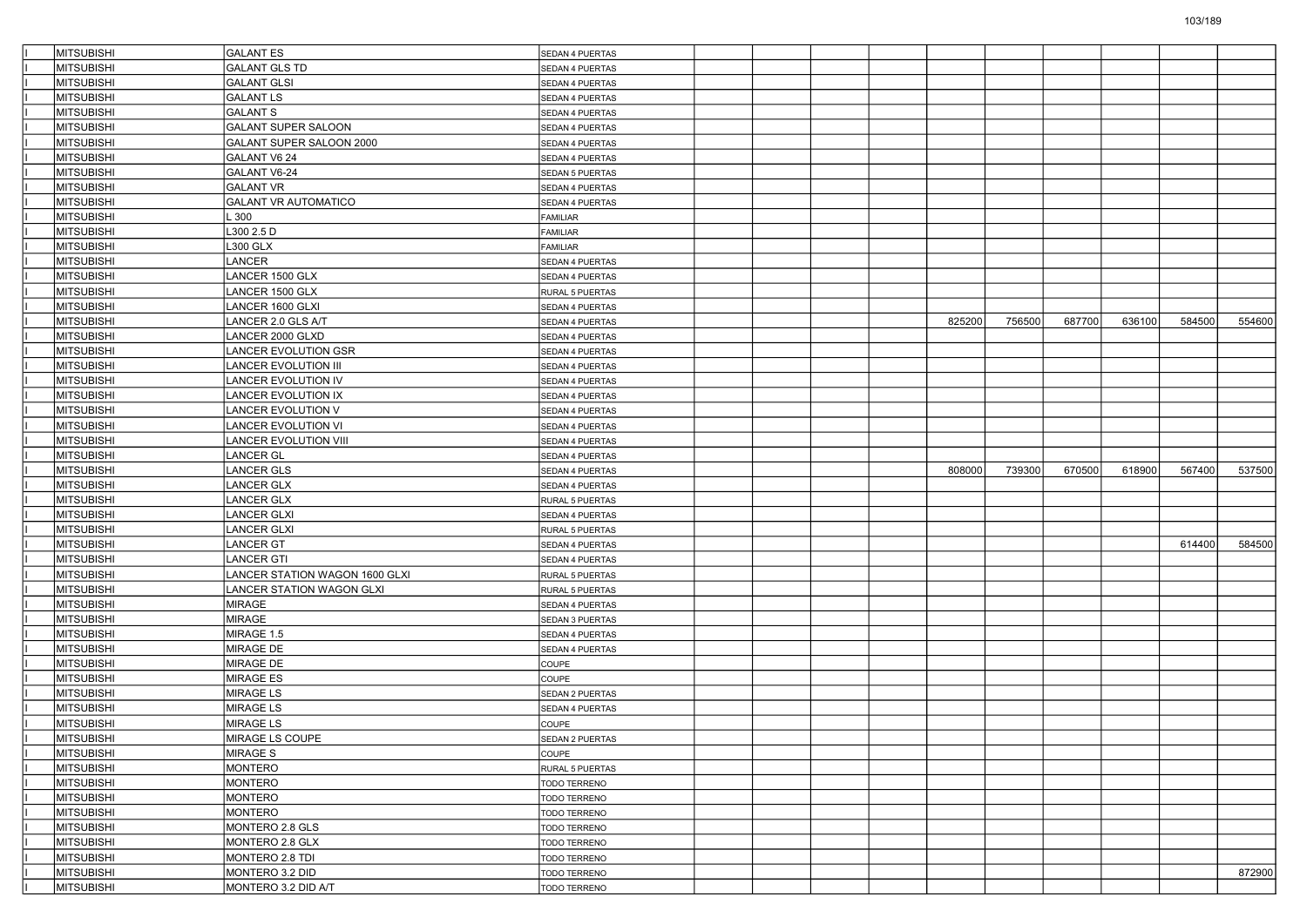| <b>MITSUBISHI</b>               | <b>GALANT ES</b>               | SEDAN 4 PUERTAS                    |  |  |        |        |        |        |        |        |
|---------------------------------|--------------------------------|------------------------------------|--|--|--------|--------|--------|--------|--------|--------|
| <b>MITSUBISHI</b>               | <b>GALANT GLS TD</b>           | <b>SEDAN 4 PUERTAS</b>             |  |  |        |        |        |        |        |        |
| <b>MITSUBISHI</b>               | <b>GALANT GLSI</b>             | SEDAN 4 PUERTAS                    |  |  |        |        |        |        |        |        |
| <b>MITSUBISHI</b>               | <b>GALANT LS</b>               | <b>SEDAN 4 PUERTAS</b>             |  |  |        |        |        |        |        |        |
| <b>MITSUBISHI</b>               | <b>GALANT S</b>                | SEDAN 4 PUERTAS                    |  |  |        |        |        |        |        |        |
| <b>MITSUBISHI</b>               | <b>GALANT SUPER SALOON</b>     | SEDAN 4 PUERTAS                    |  |  |        |        |        |        |        |        |
| <b>MITSUBISHI</b>               | GALANT SUPER SALOON 2000       | <b>SEDAN 4 PUERTAS</b>             |  |  |        |        |        |        |        |        |
| <b>MITSUBISHI</b>               | GALANT V6 24                   | SEDAN 4 PUERTAS                    |  |  |        |        |        |        |        |        |
| <b>MITSUBISHI</b>               | GALANT V6-24                   | <b>SEDAN 5 PUERTAS</b>             |  |  |        |        |        |        |        |        |
| <b>MITSUBISHI</b>               | <b>GALANT VR</b>               | <b>SEDAN 4 PUERTAS</b>             |  |  |        |        |        |        |        |        |
| <b>MITSUBISHI</b>               | <b>GALANT VR AUTOMATICO</b>    | SEDAN 4 PUERTAS                    |  |  |        |        |        |        |        |        |
| <b>MITSUBISHI</b>               | $-300$                         | FAMILIAR                           |  |  |        |        |        |        |        |        |
| <b>MITSUBISHI</b>               | L300 2.5 D                     | FAMILIAR                           |  |  |        |        |        |        |        |        |
| <b>MITSUBISHI</b>               | L300 GLX                       | FAMILIAR                           |  |  |        |        |        |        |        |        |
| <b>MITSUBISHI</b>               | LANCER                         | SEDAN 4 PUERTAS                    |  |  |        |        |        |        |        |        |
| <b>MITSUBISHI</b>               | LANCER 1500 GLX                | SEDAN 4 PUERTAS                    |  |  |        |        |        |        |        |        |
| <b>MITSUBISHI</b>               | LANCER 1500 GLX                | RURAL 5 PUERTAS                    |  |  |        |        |        |        |        |        |
| <b>MITSUBISHI</b>               | LANCER 1600 GLXI               | SEDAN 4 PUERTAS                    |  |  |        |        |        |        |        |        |
| <b>MITSUBISHI</b>               | LANCER 2.0 GLS A/T             | <b>SEDAN 4 PUERTAS</b>             |  |  | 825200 | 756500 | 687700 | 636100 | 584500 | 554600 |
| <b>MITSUBISHI</b>               | LANCER 2000 GLXD               | <b>SEDAN 4 PUERTAS</b>             |  |  |        |        |        |        |        |        |
| <b>MITSUBISHI</b>               | LANCER EVOLUTION GSR           | SEDAN 4 PUERTAS                    |  |  |        |        |        |        |        |        |
| <b>MITSUBISHI</b>               | <b>LANCER EVOLUTION III</b>    | <b>SEDAN 4 PUERTAS</b>             |  |  |        |        |        |        |        |        |
| <b>MITSUBISHI</b>               | <b>LANCER EVOLUTION IV</b>     | SEDAN 4 PUERTAS                    |  |  |        |        |        |        |        |        |
| MITSUBISHI                      | LANCER EVOLUTION IX            | <b>SEDAN 4 PUERTAS</b>             |  |  |        |        |        |        |        |        |
| <b>MITSUBISHI</b>               | LANCER EVOLUTION V             | SEDAN 4 PUERTAS                    |  |  |        |        |        |        |        |        |
| MITSUBISHI                      | LANCER EVOLUTION VI            | SEDAN 4 PUERTAS                    |  |  |        |        |        |        |        |        |
| <b>MITSUBISHI</b>               | <b>LANCER EVOLUTION VIII</b>   | <b>SEDAN 4 PUERTAS</b>             |  |  |        |        |        |        |        |        |
| <b>MITSUBISHI</b>               | <b>LANCER GL</b>               | SEDAN 4 PUERTAS                    |  |  |        |        |        |        |        |        |
| <b>MITSUBISHI</b>               | LANCER GLS                     | <b>SEDAN 4 PUERTAS</b>             |  |  | 808000 | 739300 | 670500 | 618900 | 567400 | 537500 |
| <b>MITSUBISHI</b>               | <b>LANCER GLX</b>              | SEDAN 4 PUERTAS                    |  |  |        |        |        |        |        |        |
| MITSUBISHI                      | <b>LANCER GLX</b>              | RURAL 5 PUERTAS                    |  |  |        |        |        |        |        |        |
| <b>MITSUBISHI</b>               | <b>LANCER GLXI</b>             | <b>SEDAN 4 PUERTAS</b>             |  |  |        |        |        |        |        |        |
| <b>MITSUBISHI</b>               | <b>LANCER GLXI</b>             | RURAL 5 PUERTAS                    |  |  |        |        |        |        |        |        |
| MITSUBISHI                      | LANCER GT                      | <b>SEDAN 4 PUERTAS</b>             |  |  |        |        |        |        | 614400 | 584500 |
| <b>MITSUBISHI</b>               | <b>LANCER GTI</b>              | SEDAN 4 PUERTAS                    |  |  |        |        |        |        |        |        |
| MITSUBISHI                      | LANCER STATION WAGON 1600 GLXI | RURAL 5 PUERTAS                    |  |  |        |        |        |        |        |        |
| <b>MITSUBISHI</b>               | LANCER STATION WAGON GLXI      | RURAL 5 PUERTAS                    |  |  |        |        |        |        |        |        |
| <b>MITSUBISHI</b>               | <b>MIRAGE</b>                  | SEDAN 4 PUERTAS                    |  |  |        |        |        |        |        |        |
| <b>MITSUBISHI</b>               | <b>MIRAGE</b>                  | SEDAN 3 PUERTAS                    |  |  |        |        |        |        |        |        |
| <b>MITSUBISHI</b>               | MIRAGE 1.5                     | SEDAN 4 PUERTAS                    |  |  |        |        |        |        |        |        |
| MITSUBISHI<br><b>MITSUBISHI</b> | <b>MIRAGE DE</b><br>MIRAGE DE  | SEDAN 4 PUERTAS                    |  |  |        |        |        |        |        |        |
| <b>MITSUBISHI</b>               | <b>MIRAGE ES</b>               | COUPE<br>COUPE                     |  |  |        |        |        |        |        |        |
| <b>MITSUBISHI</b>               | <b>MIRAGE LS</b>               |                                    |  |  |        |        |        |        |        |        |
| <b>MITSUBISHI</b>               | <b>MIRAGE LS</b>               | SEDAN 2 PUERTAS<br>SEDAN 4 PUERTAS |  |  |        |        |        |        |        |        |
| <b>MITSUBISHI</b>               | <b>MIRAGE LS</b>               | COUPE                              |  |  |        |        |        |        |        |        |
| MITSUBISHI                      | MIRAGE LS COUPE                | SEDAN 2 PUERTAS                    |  |  |        |        |        |        |        |        |
| <b>MITSUBISHI</b>               | <b>MIRAGE S</b>                | COUPE                              |  |  |        |        |        |        |        |        |
| <b>MITSUBISHI</b>               | <b>MONTERO</b>                 |                                    |  |  |        |        |        |        |        |        |
| MITSUBISHI                      | MONTERO                        | RURAL 5 PUERTAS<br>TODO TERRENO    |  |  |        |        |        |        |        |        |
| <b>MITSUBISHI</b>               | <b>MONTERO</b>                 | TODO TERRENO                       |  |  |        |        |        |        |        |        |
| MITSUBISHI                      | <b>MONTERO</b>                 | <b>TODO TERRENO</b>                |  |  |        |        |        |        |        |        |
| <b>MITSUBISHI</b>               | MONTERO 2.8 GLS                | TODO TERRENO                       |  |  |        |        |        |        |        |        |
| MITSUBISHI                      | MONTERO 2.8 GLX                | TODO TERRENO                       |  |  |        |        |        |        |        |        |
| MITSUBISHI                      | MONTERO 2.8 TDI                | TODO TERRENO                       |  |  |        |        |        |        |        |        |
| <b>MITSUBISHI</b>               | MONTERO 3.2 DID                | TODO TERRENO                       |  |  |        |        |        |        |        | 872900 |
| <b>MITSUBISHI</b>               | MONTERO 3.2 DID A/T            | TODO TERRENO                       |  |  |        |        |        |        |        |        |
|                                 |                                |                                    |  |  |        |        |        |        |        |        |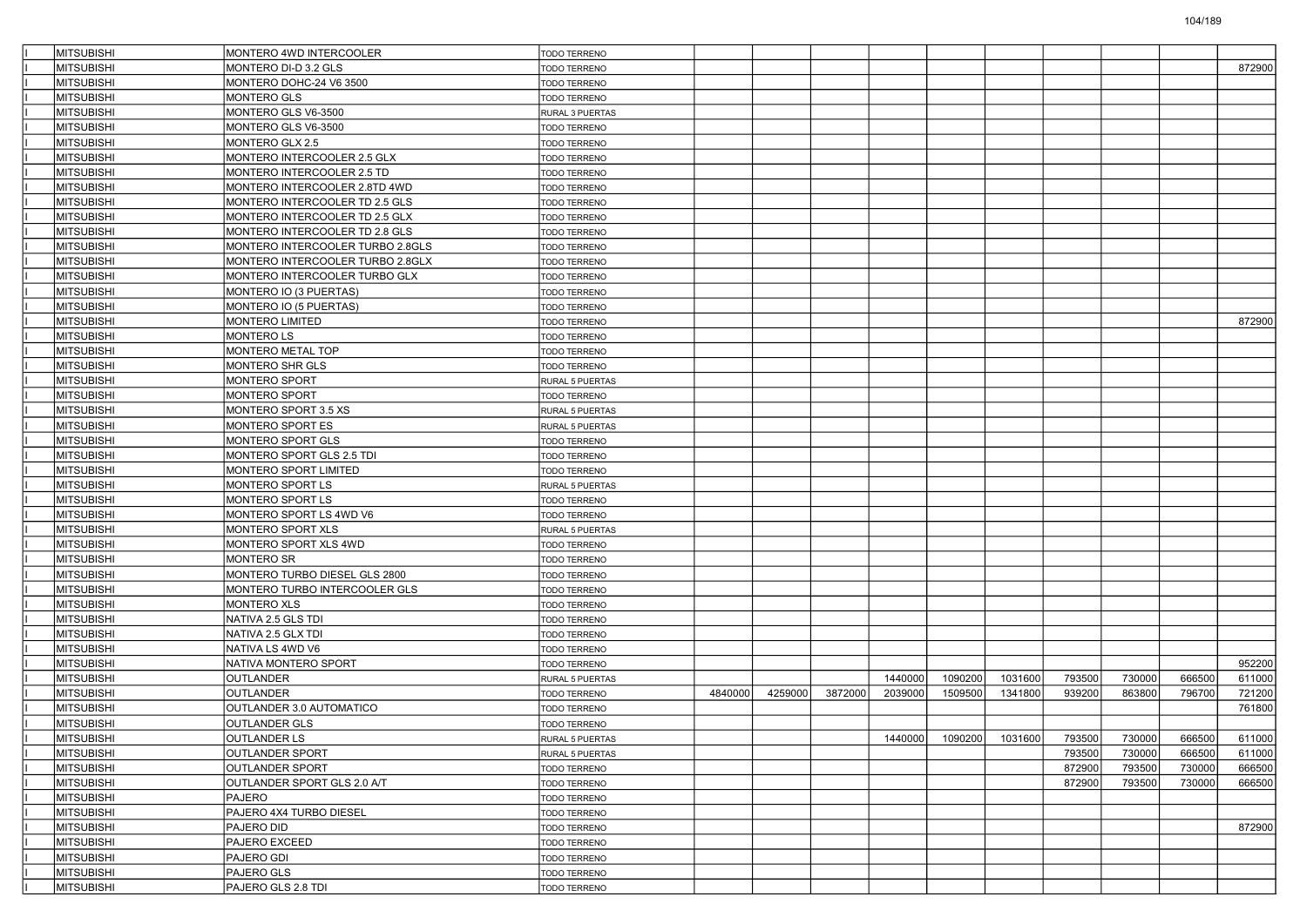| MITSUBISHI        | MONTERO 4WD INTERCOOLER          | TODO TERRENO        |         |         |         |         |                         |         |        |        |        |        |
|-------------------|----------------------------------|---------------------|---------|---------|---------|---------|-------------------------|---------|--------|--------|--------|--------|
| <b>MITSUBISHI</b> | MONTERO DI-D 3.2 GLS             | TODO TERRENO        |         |         |         |         |                         |         |        |        |        | 872900 |
| <b>MITSUBISHI</b> | MONTERO DOHC-24 V6 3500          | TODO TERRENO        |         |         |         |         |                         |         |        |        |        |        |
| <b>MITSUBISHI</b> | MONTERO GLS                      | <b>TODO TERRENO</b> |         |         |         |         |                         |         |        |        |        |        |
| <b>MITSUBISHI</b> | MONTERO GLS V6-3500              | RURAL 3 PUERTAS     |         |         |         |         |                         |         |        |        |        |        |
| <b>MITSUBISHI</b> | MONTERO GLS V6-3500              | <b>TODO TERRENO</b> |         |         |         |         |                         |         |        |        |        |        |
| <b>MITSUBISHI</b> | MONTERO GLX 2.5                  | <b>TODO TERRENO</b> |         |         |         |         |                         |         |        |        |        |        |
| <b>MITSUBISHI</b> | MONTERO INTERCOOLER 2.5 GLX      | <b>TODO TERRENO</b> |         |         |         |         |                         |         |        |        |        |        |
| <b>MITSUBISHI</b> | MONTERO INTERCOOLER 2.5 TD       | <b>TODO TERRENO</b> |         |         |         |         |                         |         |        |        |        |        |
| <b>MITSUBISHI</b> | MONTERO INTERCOOLER 2.8TD 4WD    | <b>TODO TERRENO</b> |         |         |         |         |                         |         |        |        |        |        |
| <b>MITSUBISHI</b> | MONTERO INTERCOOLER TD 2.5 GLS   | <b>TODO TERRENO</b> |         |         |         |         |                         |         |        |        |        |        |
| <b>MITSUBISHI</b> | MONTERO INTERCOOLER TD 2.5 GLX   | <b>TODO TERRENO</b> |         |         |         |         |                         |         |        |        |        |        |
| <b>MITSUBISHI</b> | MONTERO INTERCOOLER TD 2.8 GLS   | <b>TODO TERRENO</b> |         |         |         |         |                         |         |        |        |        |        |
| <b>MITSUBISHI</b> | MONTERO INTERCOOLER TURBO 2.8GLS | <b>TODO TERRENO</b> |         |         |         |         |                         |         |        |        |        |        |
| <b>MITSUBISHI</b> | MONTERO INTERCOOLER TURBO 2.8GLX | <b>TODO TERRENO</b> |         |         |         |         |                         |         |        |        |        |        |
| <b>MITSUBISHI</b> | MONTERO INTERCOOLER TURBO GLX    | <b>TODO TERRENO</b> |         |         |         |         |                         |         |        |        |        |        |
| <b>MITSUBISHI</b> | MONTERO IO (3 PUERTAS)           | <b>TODO TERRENO</b> |         |         |         |         |                         |         |        |        |        |        |
| <b>MITSUBISHI</b> | MONTERO IO (5 PUERTAS)           | <b>TODO TERRENO</b> |         |         |         |         |                         |         |        |        |        |        |
| <b>MITSUBISHI</b> | MONTERO LIMITED                  | <b>TODO TERRENO</b> |         |         |         |         |                         |         |        |        |        | 872900 |
| <b>MITSUBISHI</b> | MONTERO LS                       | <b>TODO TERRENO</b> |         |         |         |         |                         |         |        |        |        |        |
| <b>MITSUBISHI</b> | MONTERO METAL TOP                | <b>TODO TERRENO</b> |         |         |         |         |                         |         |        |        |        |        |
| <b>MITSUBISHI</b> | MONTERO SHR GLS                  | TODO TERRENO        |         |         |         |         |                         |         |        |        |        |        |
| <b>MITSUBISHI</b> | MONTERO SPORT                    | RURAL 5 PUERTAS     |         |         |         |         |                         |         |        |        |        |        |
| <b>MITSUBISHI</b> | <b>MONTERO SPORT</b>             | <b>TODO TERRENO</b> |         |         |         |         |                         |         |        |        |        |        |
| <b>MITSUBISHI</b> | MONTERO SPORT 3.5 XS             | RURAL 5 PUERTAS     |         |         |         |         |                         |         |        |        |        |        |
| <b>MITSUBISHI</b> | MONTERO SPORT ES                 | RURAL 5 PUERTAS     |         |         |         |         |                         |         |        |        |        |        |
| <b>MITSUBISHI</b> | MONTERO SPORT GLS                | TODO TERRENO        |         |         |         |         |                         |         |        |        |        |        |
| <b>MITSUBISHI</b> | MONTERO SPORT GLS 2.5 TDI        | TODO TERRENO        |         |         |         |         |                         |         |        |        |        |        |
| <b>MITSUBISHI</b> | MONTERO SPORT LIMITED            | TODO TERRENO        |         |         |         |         |                         |         |        |        |        |        |
| <b>MITSUBISHI</b> | MONTERO SPORT LS                 | RURAL 5 PUERTAS     |         |         |         |         |                         |         |        |        |        |        |
| <b>MITSUBISHI</b> | MONTERO SPORT LS                 | <b>TODO TERRENO</b> |         |         |         |         |                         |         |        |        |        |        |
| <b>MITSUBISHI</b> | MONTERO SPORT LS 4WD V6          | TODO TERRENO        |         |         |         |         |                         |         |        |        |        |        |
| <b>MITSUBISHI</b> | MONTERO SPORT XLS                | RURAL 5 PUERTAS     |         |         |         |         |                         |         |        |        |        |        |
| <b>MITSUBISHI</b> | MONTERO SPORT XLS 4WD            | <b>TODO TERRENO</b> |         |         |         |         |                         |         |        |        |        |        |
| <b>MITSUBISHI</b> | <b>MONTERO SR</b>                | <b>TODO TERRENO</b> |         |         |         |         |                         |         |        |        |        |        |
| <b>MITSUBISHI</b> | MONTERO TURBO DIESEL GLS 2800    | <b>TODO TERRENO</b> |         |         |         |         |                         |         |        |        |        |        |
| <b>MITSUBISHI</b> | MONTERO TURBO INTERCOOLER GLS    | <b>TODO TERRENO</b> |         |         |         |         |                         |         |        |        |        |        |
| <b>MITSUBISHI</b> | <b>MONTERO XLS</b>               | <b>TODO TERRENO</b> |         |         |         |         |                         |         |        |        |        |        |
| <b>MITSUBISHI</b> | NATIVA 2.5 GLS TDI               | <b>TODO TERRENO</b> |         |         |         |         |                         |         |        |        |        |        |
| <b>MITSUBISHI</b> | NATIVA 2.5 GLX TDI               | <b>TODO TERRENO</b> |         |         |         |         |                         |         |        |        |        |        |
| MITSUBISHI        | NATIVA LS 4WD V6                 | <b>TODO TERRENO</b> |         |         |         |         |                         |         |        |        |        |        |
| <b>MITSUBISHI</b> | NATIVA MONTERO SPORT             | TODO TERRENO        |         |         |         |         |                         |         |        |        |        | 952200 |
| <b>MITSUBISHI</b> | <b>OUTLANDER</b>                 | RURAL 5 PUERTAS     |         |         |         | 1440000 | 1090200                 | 1031600 | 793500 | 730000 | 666500 | 611000 |
| <b>MITSUBISHI</b> | OUTLANDER                        | <b>TODO TERRENO</b> | 4840000 | 4259000 | 3872000 | 2039000 | 1509500                 | 1341800 | 939200 | 863800 | 796700 | 721200 |
| <b>MITSUBISHI</b> | OUTLANDER 3.0 AUTOMATICO         | <b>TODO TERRENO</b> |         |         |         |         |                         |         |        |        |        | 761800 |
| <b>MITSUBISHI</b> | <b>OUTLANDER GLS</b>             | <b>TODO TERRENO</b> |         |         |         |         |                         |         |        |        |        |        |
| MITSUBISHI        | OUTLANDER LS                     | RURAL 5 PUERTAS     |         |         |         |         | 1440000 1090200 1031600 |         | 793500 | 730000 | 666500 | 611000 |
| <b>MITSUBISHI</b> | OUTLANDER SPORT                  | RURAL 5 PUERTAS     |         |         |         |         |                         |         | 793500 | 730000 | 666500 | 611000 |
| <b>MITSUBISHI</b> | <b>OUTLANDER SPORT</b>           | TODO TERRENO        |         |         |         |         |                         |         | 872900 | 793500 | 730000 | 666500 |
| <b>MITSUBISHI</b> | OUTLANDER SPORT GLS 2.0 A/T      | TODO TERRENO        |         |         |         |         |                         |         | 872900 | 793500 | 730000 | 666500 |
| <b>MITSUBISHI</b> | PAJERO                           | TODO TERRENO        |         |         |         |         |                         |         |        |        |        |        |
| <b>MITSUBISHI</b> | PAJERO 4X4 TURBO DIESEL          | TODO TERRENO        |         |         |         |         |                         |         |        |        |        |        |
| <b>MITSUBISHI</b> | <b>PAJERO DID</b>                | <b>TODO TERRENO</b> |         |         |         |         |                         |         |        |        |        | 872900 |
| MITSUBISHI        | PAJERO EXCEED                    | TODO TERRENO        |         |         |         |         |                         |         |        |        |        |        |
| <b>MITSUBISHI</b> | <b>PAJERO GDI</b>                | TODO TERRENO        |         |         |         |         |                         |         |        |        |        |        |
| <b>MITSUBISHI</b> | PAJERO GLS                       | TODO TERRENO        |         |         |         |         |                         |         |        |        |        |        |
| <b>MITSUBISHI</b> | PAJERO GLS 2.8 TDI               | TODO TERRENO        |         |         |         |         |                         |         |        |        |        |        |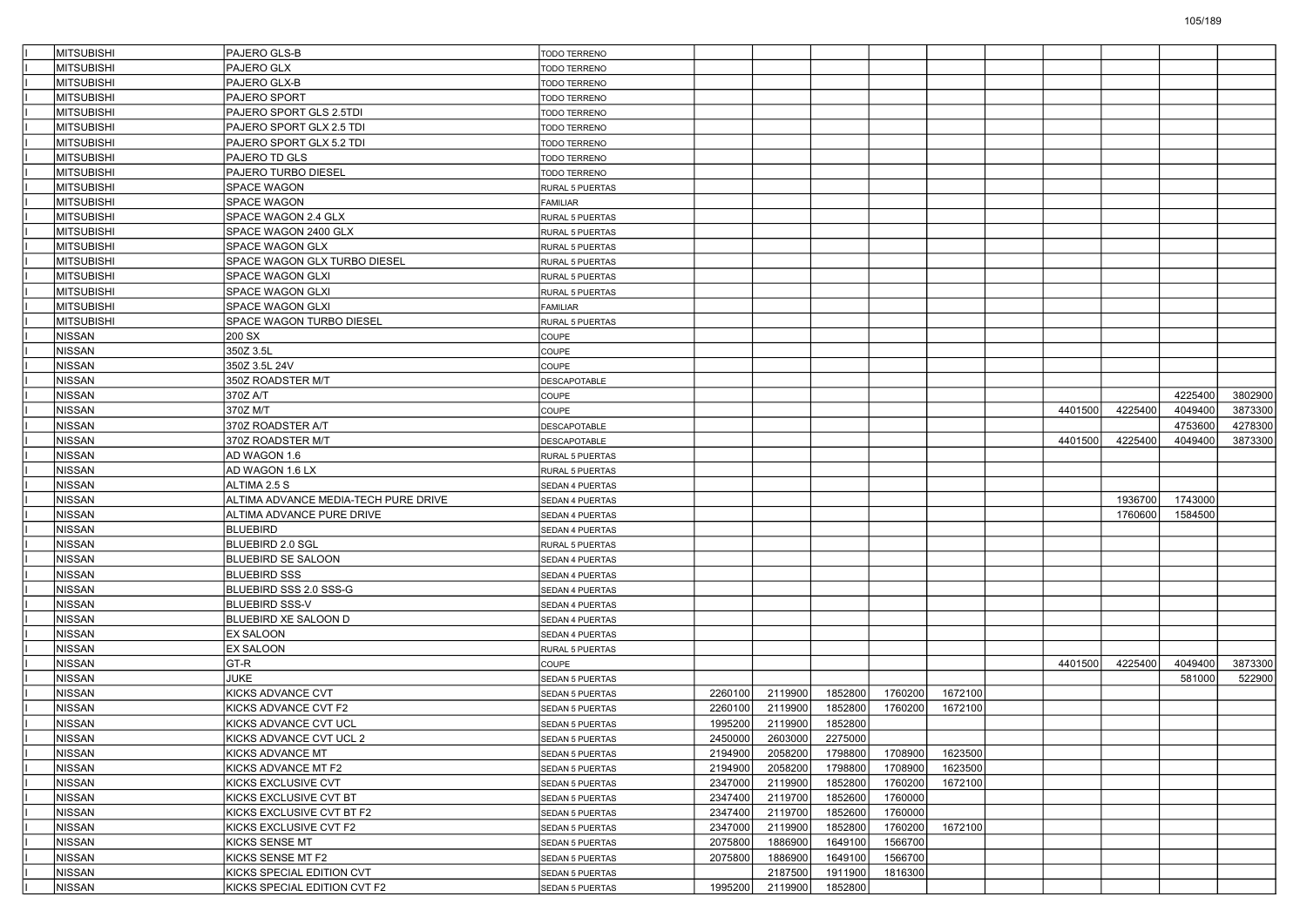| MITSUBISHI        | <b>PAJERO GLS-B</b>                  | <b>TODO TERRENO</b>    |         |         |         |         |         |         |         |         |         |
|-------------------|--------------------------------------|------------------------|---------|---------|---------|---------|---------|---------|---------|---------|---------|
| <b>MITSUBISHI</b> | PAJERO GLX                           | <b>TODO TERRENO</b>    |         |         |         |         |         |         |         |         |         |
| <b>MITSUBISHI</b> | PAJERO GLX-B                         | TODO TERRENO           |         |         |         |         |         |         |         |         |         |
| <b>MITSUBISHI</b> | PAJERO SPORT                         | <b>TODO TERRENO</b>    |         |         |         |         |         |         |         |         |         |
| <b>MITSUBISHI</b> | PAJERO SPORT GLS 2.5TDI              | TODO TERRENO           |         |         |         |         |         |         |         |         |         |
| MITSUBISHI        | PAJERO SPORT GLX 2.5 TDI             | TODO TERRENO           |         |         |         |         |         |         |         |         |         |
| <b>MITSUBISHI</b> | PAJERO SPORT GLX 5.2 TDI             | <b>TODO TERRENO</b>    |         |         |         |         |         |         |         |         |         |
| <b>MITSUBISHI</b> | PAJERO TD GLS                        | TODO TERRENO           |         |         |         |         |         |         |         |         |         |
| <b>MITSUBISHI</b> | PAJERO TURBO DIESEL                  | TODO TERRENO           |         |         |         |         |         |         |         |         |         |
| <b>MITSUBISHI</b> | SPACE WAGON                          | RURAL 5 PUERTAS        |         |         |         |         |         |         |         |         |         |
| MITSUBISHI        | <b>SPACE WAGON</b>                   | <b>FAMILIAR</b>        |         |         |         |         |         |         |         |         |         |
| <b>MITSUBISHI</b> | SPACE WAGON 2.4 GLX                  | RURAL 5 PUERTAS        |         |         |         |         |         |         |         |         |         |
| <b>MITSUBISHI</b> | SPACE WAGON 2400 GLX                 | RURAL 5 PUERTAS        |         |         |         |         |         |         |         |         |         |
| <b>MITSUBISHI</b> | SPACE WAGON GLX                      | RURAL 5 PUERTAS        |         |         |         |         |         |         |         |         |         |
| <b>MITSUBISHI</b> | SPACE WAGON GLX TURBO DIESEL         | RURAL 5 PUERTAS        |         |         |         |         |         |         |         |         |         |
| MITSUBISHI        | SPACE WAGON GLXI                     | RURAL 5 PUERTAS        |         |         |         |         |         |         |         |         |         |
| <b>MITSUBISHI</b> | SPACE WAGON GLXI                     | RURAL 5 PUERTAS        |         |         |         |         |         |         |         |         |         |
| <b>MITSUBISHI</b> | SPACE WAGON GLXI                     | <b>FAMILIAR</b>        |         |         |         |         |         |         |         |         |         |
| <b>MITSUBISHI</b> | SPACE WAGON TURBO DIESEL             | RURAL 5 PUERTAS        |         |         |         |         |         |         |         |         |         |
| <b>NISSAN</b>     | 200 SX                               | COUPE                  |         |         |         |         |         |         |         |         |         |
| <b>NISSAN</b>     | 350Z 3.5L                            | COUPE                  |         |         |         |         |         |         |         |         |         |
| <b>NISSAN</b>     | 350Z 3.5L 24V                        | COUPE                  |         |         |         |         |         |         |         |         |         |
| <b>NISSAN</b>     | 350Z ROADSTER M/T                    | DESCAPOTABLE           |         |         |         |         |         |         |         |         |         |
| <b>NISSAN</b>     | 370Z A/T                             | COUPE                  |         |         |         |         |         |         |         | 4225400 | 3802900 |
| <b>NISSAN</b>     | 370Z M/T                             | COUPE                  |         |         |         |         |         | 4401500 | 4225400 | 4049400 | 3873300 |
| <b>NISSAN</b>     | 370Z ROADSTER A/T                    | DESCAPOTABLE           |         |         |         |         |         |         |         | 4753600 | 4278300 |
| <b>NISSAN</b>     | 370Z ROADSTER M/T                    | DESCAPOTABLE           |         |         |         |         |         | 4401500 | 4225400 | 4049400 | 3873300 |
| <b>NISSAN</b>     | AD WAGON 1.6                         | RURAL 5 PUERTAS        |         |         |         |         |         |         |         |         |         |
| <b>NISSAN</b>     | AD WAGON 1.6 LX                      | RURAL 5 PUERTAS        |         |         |         |         |         |         |         |         |         |
| <b>NISSAN</b>     | ALTIMA 2.5 S                         | SEDAN 4 PUERTAS        |         |         |         |         |         |         |         |         |         |
| <b>NISSAN</b>     | ALTIMA ADVANCE MEDIA-TECH PURE DRIVE | SEDAN 4 PUERTAS        |         |         |         |         |         |         | 1936700 | 1743000 |         |
| <b>NISSAN</b>     | ALTIMA ADVANCE PURE DRIVE            | SEDAN 4 PUERTAS        |         |         |         |         |         |         | 1760600 | 1584500 |         |
| <b>NISSAN</b>     | <b>BLUEBIRD</b>                      | SEDAN 4 PUERTAS        |         |         |         |         |         |         |         |         |         |
| <b>NISSAN</b>     | <b>BLUEBIRD 2.0 SGL</b>              | RURAL 5 PUERTAS        |         |         |         |         |         |         |         |         |         |
| <b>NISSAN</b>     | <b>BLUEBIRD SE SALOON</b>            | SEDAN 4 PUERTAS        |         |         |         |         |         |         |         |         |         |
| <b>NISSAN</b>     | <b>BLUEBIRD SSS</b>                  | SEDAN 4 PUERTAS        |         |         |         |         |         |         |         |         |         |
| <b>NISSAN</b>     | BLUEBIRD SSS 2.0 SSS-G               | SEDAN 4 PUERTAS        |         |         |         |         |         |         |         |         |         |
| <b>NISSAN</b>     | <b>BLUEBIRD SSS-V</b>                | SEDAN 4 PUERTAS        |         |         |         |         |         |         |         |         |         |
| <b>NISSAN</b>     | BLUEBIRD XE SALOON D                 | SEDAN 4 PUERTAS        |         |         |         |         |         |         |         |         |         |
| <b>NISSAN</b>     | <b>EX SALOON</b>                     | SEDAN 4 PUERTAS        |         |         |         |         |         |         |         |         |         |
| <b>NISSAN</b>     | <b>EX SALOON</b>                     | RURAL 5 PUERTAS        |         |         |         |         |         |         |         |         |         |
| <b>NISSAN</b>     | GT-R                                 | COUPE                  |         |         |         |         |         | 4401500 | 4225400 | 4049400 | 3873300 |
| <b>NISSAN</b>     | JUKE                                 | SEDAN 5 PUERTAS        |         |         |         |         |         |         |         | 581000  | 522900  |
| <b>NISSAN</b>     | KICKS ADVANCE CVT                    | <b>SEDAN 5 PUERTAS</b> | 2260100 | 2119900 | 1852800 | 1760200 | 1672100 |         |         |         |         |
| NISSAN            | KICKS ADVANCE CVT F2                 | SEDAN 5 PUERTAS        | 2260100 | 2119900 | 1852800 | 1760200 | 1672100 |         |         |         |         |
| <b>NISSAN</b>     | KICKS ADVANCE CVT UCL                | SEDAN 5 PUERTAS        | 1995200 | 2119900 | 1852800 |         |         |         |         |         |         |
| NISSAN            | KICKS ADVANCE CVT UCL 2              | SEDAN 5 PUERTAS        | 2450000 | 2603000 | 2275000 |         |         |         |         |         |         |
| <b>NISSAN</b>     | KICKS ADVANCE MT                     | SEDAN 5 PUERTAS        | 2194900 | 2058200 | 1798800 | 1708900 | 1623500 |         |         |         |         |
| NISSAN            | KICKS ADVANCE MT F2                  | SEDAN 5 PUERTAS        | 2194900 | 2058200 | 1798800 | 1708900 | 1623500 |         |         |         |         |
| NISSAN            | KICKS EXCLUSIVE CVT                  | <b>SEDAN 5 PUERTAS</b> | 2347000 | 2119900 | 1852800 | 1760200 | 1672100 |         |         |         |         |
| NISSAN            | KICKS EXCLUSIVE CVT BT               | SEDAN 5 PUERTAS        | 2347400 | 2119700 | 1852600 | 1760000 |         |         |         |         |         |
| NISSAN            | KICKS EXCLUSIVE CVT BT F2            | SEDAN 5 PUERTAS        | 2347400 | 2119700 | 1852600 | 1760000 |         |         |         |         |         |
| <b>NISSAN</b>     | KICKS EXCLUSIVE CVT F2               | <b>SEDAN 5 PUERTAS</b> | 2347000 | 2119900 | 1852800 | 1760200 | 1672100 |         |         |         |         |
| NISSAN            | KICKS SENSE MT                       | SEDAN 5 PUERTAS        | 2075800 | 1886900 | 1649100 | 1566700 |         |         |         |         |         |
| NISSAN            | KICKS SENSE MT F2                    | <b>SEDAN 5 PUERTAS</b> | 2075800 | 1886900 | 1649100 | 1566700 |         |         |         |         |         |
| NISSAN            | KICKS SPECIAL EDITION CVT            | SEDAN 5 PUERTAS        |         | 2187500 | 1911900 | 1816300 |         |         |         |         |         |
| NISSAN            | KICKS SPECIAL EDITION CVT F2         | SEDAN 5 PUERTAS        | 1995200 | 2119900 | 1852800 |         |         |         |         |         |         |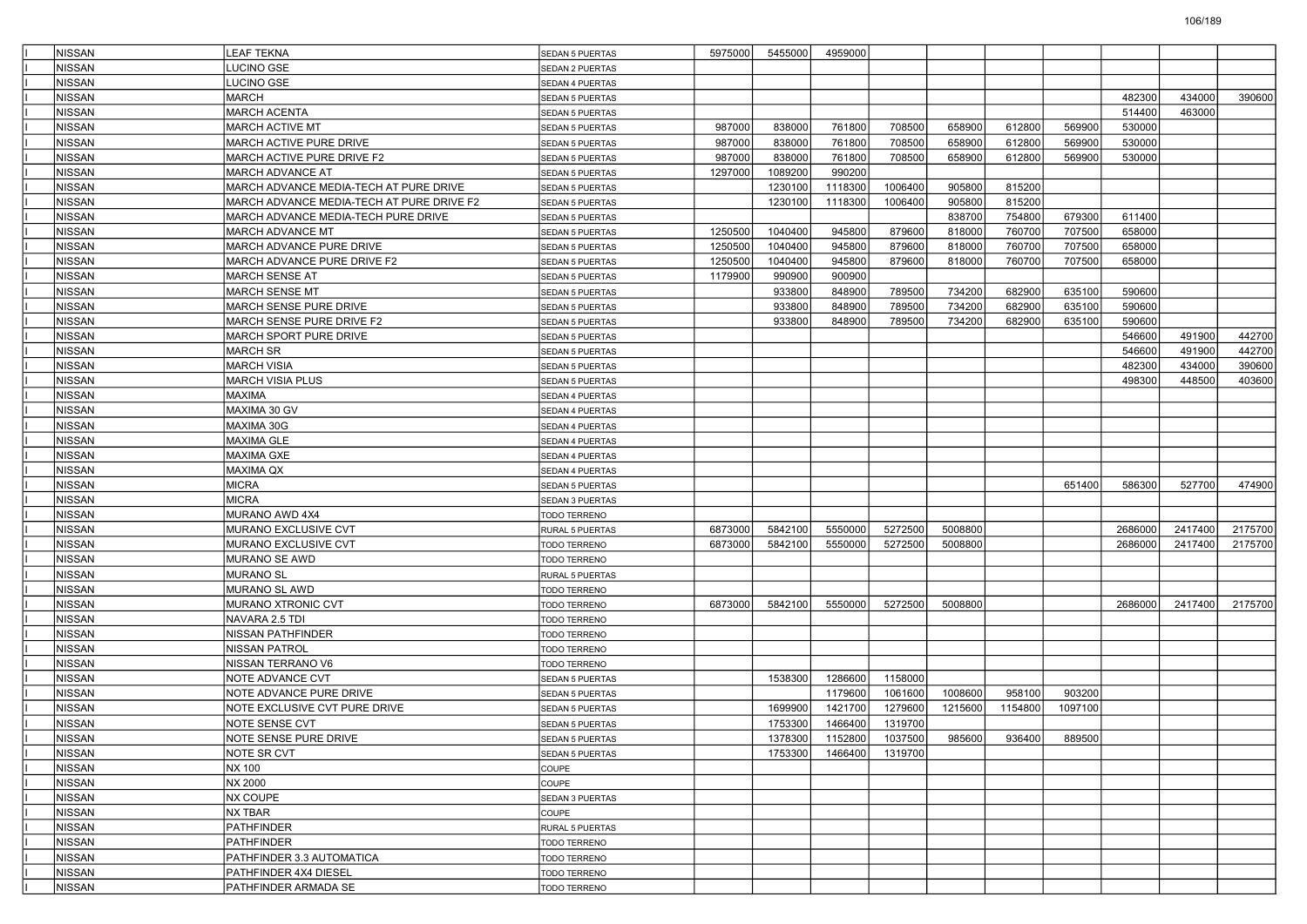| <b>NISSAN</b> | <b>LEAF TEKNA</b>                         | <b>SEDAN 5 PUERTAS</b> | 5975000 | 5455000 | 4959000         |         |         |         |         |         |         |         |
|---------------|-------------------------------------------|------------------------|---------|---------|-----------------|---------|---------|---------|---------|---------|---------|---------|
| <b>NISSAN</b> | <b>UCINO GSE</b>                          | SEDAN 2 PUERTAS        |         |         |                 |         |         |         |         |         |         |         |
| <b>NISSAN</b> | LUCINO GSE                                | SEDAN 4 PUERTAS        |         |         |                 |         |         |         |         |         |         |         |
| <b>NISSAN</b> | <b>MARCH</b>                              | SEDAN 5 PUERTAS        |         |         |                 |         |         |         |         | 482300  | 434000  | 390600  |
| <b>NISSAN</b> | <b>MARCH ACENTA</b>                       | <b>SEDAN 5 PUERTAS</b> |         |         |                 |         |         |         |         | 514400  | 463000  |         |
| <b>NISSAN</b> | MARCH ACTIVE MT                           | SEDAN 5 PUERTAS        | 987000  | 838000  | 761800          | 708500  | 658900  | 612800  | 569900  | 530000  |         |         |
| <b>NISSAN</b> | MARCH ACTIVE PURE DRIVE                   | SEDAN 5 PUERTAS        | 987000  | 838000  | 761800          | 708500  | 658900  | 612800  | 569900  | 530000  |         |         |
| <b>NISSAN</b> | MARCH ACTIVE PURE DRIVE F2                | SEDAN 5 PUERTAS        | 987000  | 838000  | 761800          | 708500  | 658900  | 612800  | 569900  | 530000  |         |         |
| <b>NISSAN</b> | <b>MARCH ADVANCE AT</b>                   | SEDAN 5 PUERTAS        | 1297000 | 1089200 | 990200          |         |         |         |         |         |         |         |
| <b>NISSAN</b> | MARCH ADVANCE MEDIA-TECH AT PURE DRIVE    | SEDAN 5 PUERTAS        |         | 1230100 | 1118300         | 1006400 | 905800  | 815200  |         |         |         |         |
| <b>NISSAN</b> | MARCH ADVANCE MEDIA-TECH AT PURE DRIVE F2 | <b>SEDAN 5 PUERTAS</b> |         | 1230100 | 1118300         | 1006400 | 905800  | 815200  |         |         |         |         |
| <b>NISSAN</b> | MARCH ADVANCE MEDIA-TECH PURE DRIVE       | <b>SEDAN 5 PUERTAS</b> |         |         |                 |         | 838700  | 754800  | 679300  | 611400  |         |         |
| <b>NISSAN</b> | MARCH ADVANCE MT                          | SEDAN 5 PUERTAS        | 1250500 | 1040400 | 945800          | 879600  | 818000  | 760700  | 707500  | 658000  |         |         |
| <b>NISSAN</b> | MARCH ADVANCE PURE DRIVE                  | <b>SEDAN 5 PUERTAS</b> | 1250500 | 1040400 | 945800          | 879600  | 818000  | 760700  | 707500  | 658000  |         |         |
| <b>NISSAN</b> | MARCH ADVANCE PURE DRIVE F2               | <b>SEDAN 5 PUERTAS</b> | 1250500 | 1040400 | 945800          | 879600  | 818000  | 760700  | 707500  | 658000  |         |         |
| <b>NISSAN</b> | MARCH SENSE AT                            | SEDAN 5 PUERTAS        | 1179900 | 990900  | 900900          |         |         |         |         |         |         |         |
| <b>NISSAN</b> | MARCH SENSE MT                            | SEDAN 5 PUERTAS        |         | 933800  | 848900          | 789500  | 734200  | 682900  | 635100  | 590600  |         |         |
| <b>NISSAN</b> | MARCH SENSE PURE DRIVE                    | SEDAN 5 PUERTAS        |         | 933800  | 848900          | 789500  | 734200  | 682900  | 635100  | 590600  |         |         |
| <b>NISSAN</b> | MARCH SENSE PURE DRIVE F2                 | SEDAN 5 PUERTAS        |         | 933800  | 848900          | 789500  | 734200  | 682900  | 635100  | 590600  |         |         |
| NISSAN        | MARCH SPORT PURE DRIVE                    | SEDAN 5 PUERTAS        |         |         |                 |         |         |         |         | 546600  | 491900  | 442700  |
| <b>NISSAN</b> | <b>MARCH SR</b>                           | SEDAN 5 PUERTAS        |         |         |                 |         |         |         |         | 546600  | 491900  | 442700  |
| <b>NISSAN</b> | MARCH VISIA                               | SEDAN 5 PUERTAS        |         |         |                 |         |         |         |         | 482300  | 434000  | 390600  |
| <b>NISSAN</b> | <b>MARCH VISIA PLUS</b>                   | <b>SEDAN 5 PUERTAS</b> |         |         |                 |         |         |         |         | 498300  | 448500  | 403600  |
| <b>NISSAN</b> | <b>MAXIMA</b>                             | SEDAN 4 PUERTAS        |         |         |                 |         |         |         |         |         |         |         |
| <b>NISSAN</b> | MAXIMA 30 GV                              | <b>SEDAN 4 PUERTAS</b> |         |         |                 |         |         |         |         |         |         |         |
| <b>NISSAN</b> | MAXIMA 30G                                | SEDAN 4 PUERTAS        |         |         |                 |         |         |         |         |         |         |         |
| <b>NISSAN</b> | MAXIMA GLE                                | SEDAN 4 PUERTAS        |         |         |                 |         |         |         |         |         |         |         |
| <b>NISSAN</b> | <b>MAXIMA GXE</b>                         | SEDAN 4 PUERTAS        |         |         |                 |         |         |         |         |         |         |         |
| <b>NISSAN</b> | MAXIMA QX                                 | SEDAN 4 PUERTAS        |         |         |                 |         |         |         |         |         |         |         |
| <b>NISSAN</b> | <b>MICRA</b>                              | <b>SEDAN 5 PUERTAS</b> |         |         |                 |         |         |         | 651400  | 586300  | 527700  | 474900  |
| <b>NISSAN</b> | MICRA                                     | SEDAN 3 PUERTAS        |         |         |                 |         |         |         |         |         |         |         |
| <b>NISSAN</b> | MURANO AWD 4X4                            | TODO TERRENO           |         |         |                 |         |         |         |         |         |         |         |
| <b>NISSAN</b> | MURANO EXCLUSIVE CVT                      | RURAL 5 PUERTAS        | 6873000 | 5842100 | 5550000         | 5272500 | 5008800 |         |         | 2686000 | 2417400 | 2175700 |
| <b>NISSAN</b> | MURANO EXCLUSIVE CVT                      | TODO TERRENO           | 6873000 | 5842100 | 5550000         | 5272500 | 5008800 |         |         | 2686000 | 2417400 | 2175700 |
| <b>NISSAN</b> | MURANO SE AWD                             | <b>FODO TERRENO</b>    |         |         |                 |         |         |         |         |         |         |         |
| <b>NISSAN</b> | <b>MURANO SL</b>                          | RURAL 5 PUERTAS        |         |         |                 |         |         |         |         |         |         |         |
| <b>NISSAN</b> | MURANO SL AWD                             | TODO TERRENO           |         |         |                 |         |         |         |         |         |         |         |
| <b>NISSAN</b> | MURANO XTRONIC CVT                        | <b>TODO TERRENO</b>    | 6873000 | 5842100 | 5550000         | 5272500 | 5008800 |         |         | 2686000 | 2417400 | 2175700 |
| <b>NISSAN</b> | NAVARA 2.5 TDI                            | TODO TERRENO           |         |         |                 |         |         |         |         |         |         |         |
| <b>NISSAN</b> | NISSAN PATHFINDER                         | TODO TERRENO           |         |         |                 |         |         |         |         |         |         |         |
| <b>NISSAN</b> | NISSAN PATROL                             | <b>TODO TERRENO</b>    |         |         |                 |         |         |         |         |         |         |         |
| <b>NISSAN</b> | NISSAN TERRANO V6                         | <b>FODO TERRENO</b>    |         |         |                 |         |         |         |         |         |         |         |
| <b>NISSAN</b> | NOTE ADVANCE CVT                          | <b>SEDAN 5 PUERTAS</b> |         | 1538300 | 1286600         | 1158000 |         |         |         |         |         |         |
| <b>NISSAN</b> | NOTE ADVANCE PURE DRIVE                   | SEDAN 5 PUERTAS        |         |         | 1179600         | 1061600 | 1008600 | 958100  | 903200  |         |         |         |
| <b>NISSAN</b> | NOTE EXCLUSIVE CVT PURE DRIVE             | SEDAN 5 PUERTAS        |         | 1699900 | 1421700         | 1279600 | 1215600 | 1154800 | 1097100 |         |         |         |
| <b>NISSAN</b> | NOTE SENSE CVT                            | SEDAN 5 PUERTAS        |         | 1753300 | 1466400         | 1319700 |         |         |         |         |         |         |
| NISSAN        | NOTE SENSE PURE DRIVE                     | SEDAN 5 PUERTAS        |         |         | 1378300 1152800 | 1037500 | 985600  | 936400  | 889500  |         |         |         |
| NISSAN        | NOTE SR CVT                               | SEDAN 5 PUERTAS        |         | 1753300 | 1466400         | 1319700 |         |         |         |         |         |         |
| NISSAN        | NX 100                                    | COUPE                  |         |         |                 |         |         |         |         |         |         |         |
| NISSAN        | NX 2000                                   | COUPE                  |         |         |                 |         |         |         |         |         |         |         |
| NISSAN        | NX COUPE                                  | SEDAN 3 PUERTAS        |         |         |                 |         |         |         |         |         |         |         |
| NISSAN        | NX TBAR                                   | COUPE                  |         |         |                 |         |         |         |         |         |         |         |
| NISSAN        | PATHFINDER                                | RURAL 5 PUERTAS        |         |         |                 |         |         |         |         |         |         |         |
| NISSAN        | PATHFINDER                                | TODO TERRENO           |         |         |                 |         |         |         |         |         |         |         |
| NISSAN        | PATHFINDER 3.3 AUTOMATICA                 | <b>TODO TERRENO</b>    |         |         |                 |         |         |         |         |         |         |         |
| NISSAN        | PATHFINDER 4X4 DIESEL                     | TODO TERRENO           |         |         |                 |         |         |         |         |         |         |         |
| NISSAN        | PATHFINDER ARMADA SE                      | TODO TERRENO           |         |         |                 |         |         |         |         |         |         |         |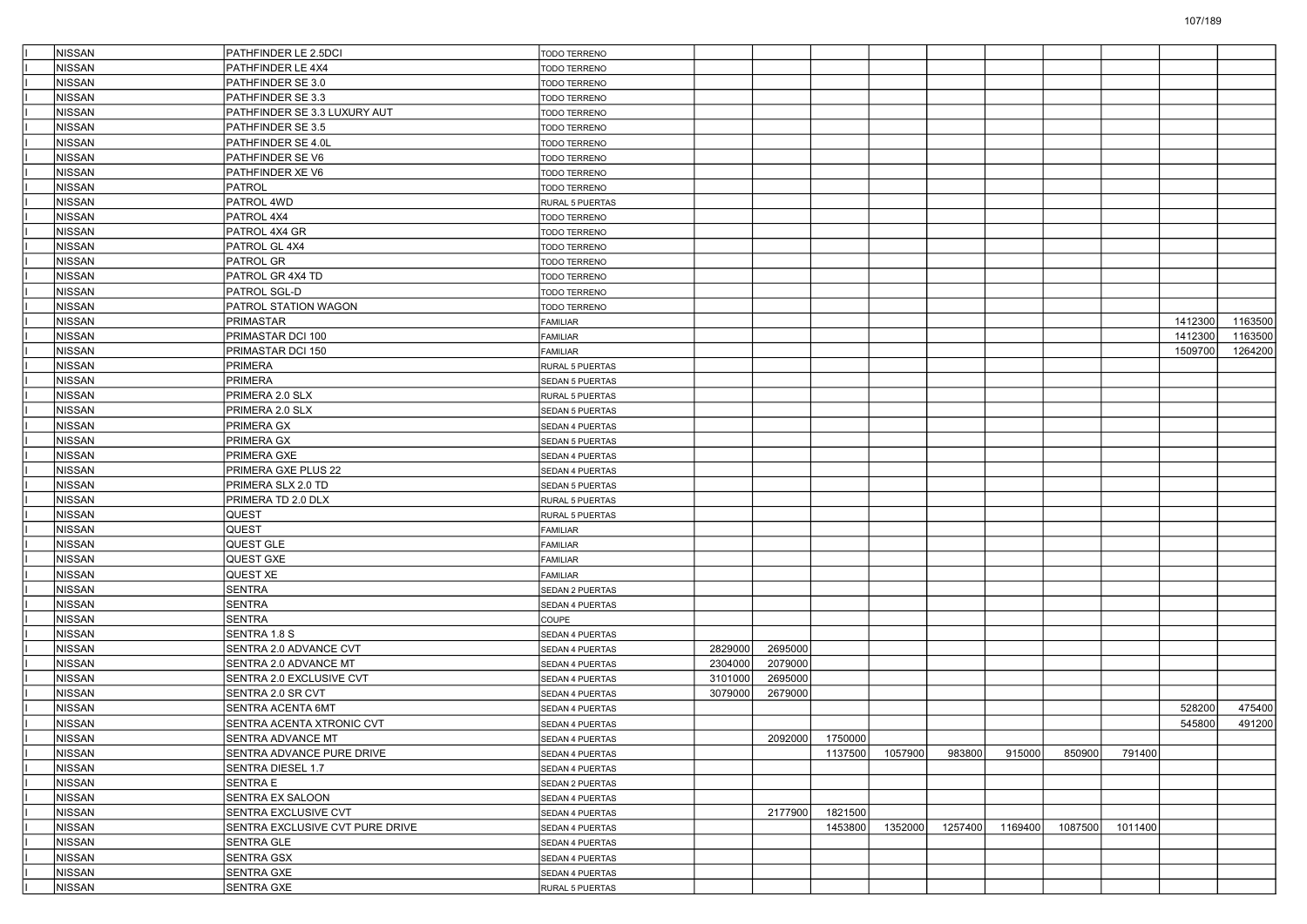| <b>NISSAN</b>                  | PATHFINDER LE 2.5DCI                              | <b>TODO TERRENO</b>    |                    |                    |                 |         |         |         |         |         |         |         |
|--------------------------------|---------------------------------------------------|------------------------|--------------------|--------------------|-----------------|---------|---------|---------|---------|---------|---------|---------|
| <b>NISSAN</b>                  | PATHFINDER LE 4X4                                 | TODO TERRENO           |                    |                    |                 |         |         |         |         |         |         |         |
| <b>NISSAN</b>                  | PATHFINDER SE 3.0                                 | TODO TERRENO           |                    |                    |                 |         |         |         |         |         |         |         |
| <b>NISSAN</b>                  | PATHFINDER SE 3.3                                 | <b>TODO TERRENO</b>    |                    |                    |                 |         |         |         |         |         |         |         |
| <b>NISSAN</b>                  | PATHFINDER SE 3.3 LUXURY AUT                      | TODO TERRENO           |                    |                    |                 |         |         |         |         |         |         |         |
| <b>NISSAN</b>                  | PATHFINDER SE 3.5                                 | TODO TERRENO           |                    |                    |                 |         |         |         |         |         |         |         |
| <b>NISSAN</b>                  | PATHFINDER SE 4.0L                                | <b>TODO TERRENO</b>    |                    |                    |                 |         |         |         |         |         |         |         |
| <b>NISSAN</b>                  | PATHFINDER SE V6                                  | <b>TODO TERRENO</b>    |                    |                    |                 |         |         |         |         |         |         |         |
| <b>NISSAN</b>                  | PATHFINDER XE V6                                  | <b>TODO TERRENO</b>    |                    |                    |                 |         |         |         |         |         |         |         |
| <b>NISSAN</b>                  | PATROL                                            | TODO TERRENO           |                    |                    |                 |         |         |         |         |         |         |         |
| <b>NISSAN</b>                  | PATROL 4WD                                        | RURAL 5 PUERTAS        |                    |                    |                 |         |         |         |         |         |         |         |
| <b>NISSAN</b>                  | PATROL 4X4                                        | TODO TERRENO           |                    |                    |                 |         |         |         |         |         |         |         |
| <b>NISSAN</b>                  | PATROL 4X4 GR                                     | TODO TERRENO           |                    |                    |                 |         |         |         |         |         |         |         |
| <b>NISSAN</b>                  | PATROL GL 4X4                                     | <b>TODO TERRENO</b>    |                    |                    |                 |         |         |         |         |         |         |         |
| <b>NISSAN</b>                  | <b>PATROL GR</b>                                  | <b>TODO TERRENO</b>    |                    |                    |                 |         |         |         |         |         |         |         |
| <b>NISSAN</b>                  | PATROL GR 4X4 TD                                  | TODO TERRENO           |                    |                    |                 |         |         |         |         |         |         |         |
| <b>NISSAN</b>                  | PATROL SGL-D                                      | TODO TERRENO           |                    |                    |                 |         |         |         |         |         |         |         |
| <b>NISSAN</b>                  | PATROL STATION WAGON                              | TODO TERRENO           |                    |                    |                 |         |         |         |         |         |         |         |
| <b>NISSAN</b>                  | PRIMASTAR                                         | FAMILIAR               |                    |                    |                 |         |         |         |         |         | 1412300 | 1163500 |
| <b>NISSAN</b>                  | PRIMASTAR DCI 100                                 | FAMILIAR               |                    |                    |                 |         |         |         |         |         | 1412300 | 1163500 |
| <b>NISSAN</b>                  | PRIMASTAR DCI 150                                 | FAMILIAR               |                    |                    |                 |         |         |         |         |         | 1509700 | 1264200 |
| <b>NISSAN</b>                  | PRIMERA                                           | RURAL 5 PUERTAS        |                    |                    |                 |         |         |         |         |         |         |         |
| <b>NISSAN</b>                  | PRIMERA                                           | SEDAN 5 PUERTAS        |                    |                    |                 |         |         |         |         |         |         |         |
| <b>NISSAN</b>                  | PRIMERA 2.0 SLX                                   | <b>RURAL 5 PUERTAS</b> |                    |                    |                 |         |         |         |         |         |         |         |
| <b>NISSAN</b>                  | PRIMERA 2.0 SLX                                   | SEDAN 5 PUERTAS        |                    |                    |                 |         |         |         |         |         |         |         |
| <b>NISSAN</b>                  | <b>PRIMERA GX</b>                                 | SEDAN 4 PUERTAS        |                    |                    |                 |         |         |         |         |         |         |         |
| <b>NISSAN</b>                  | <b>PRIMERA GX</b>                                 | SEDAN 5 PUERTAS        |                    |                    |                 |         |         |         |         |         |         |         |
| <b>NISSAN</b>                  | <b>PRIMERA GXE</b>                                | <b>SEDAN 4 PUERTAS</b> |                    |                    |                 |         |         |         |         |         |         |         |
| <b>NISSAN</b>                  | PRIMERA GXE PLUS 22                               | <b>SEDAN 4 PUERTAS</b> |                    |                    |                 |         |         |         |         |         |         |         |
| <b>NISSAN</b>                  | PRIMERA SLX 2.0 TD                                | SEDAN 5 PUERTAS        |                    |                    |                 |         |         |         |         |         |         |         |
| <b>NISSAN</b>                  | PRIMERA TD 2.0 DLX                                | <b>RURAL 5 PUERTAS</b> |                    |                    |                 |         |         |         |         |         |         |         |
| <b>NISSAN</b>                  | <b>QUEST</b>                                      | <b>RURAL 5 PUERTAS</b> |                    |                    |                 |         |         |         |         |         |         |         |
| <b>NISSAN</b>                  | <b>QUEST</b>                                      | FAMILIAR               |                    |                    |                 |         |         |         |         |         |         |         |
| <b>NISSAN</b>                  | QUEST GLE                                         | FAMILIAR               |                    |                    |                 |         |         |         |         |         |         |         |
| <b>NISSAN</b>                  | QUEST GXE                                         | FAMILIAR               |                    |                    |                 |         |         |         |         |         |         |         |
| <b>NISSAN</b>                  | QUEST XE                                          | FAMILIAR               |                    |                    |                 |         |         |         |         |         |         |         |
| <b>NISSAN</b>                  | <b>SENTRA</b>                                     |                        |                    |                    |                 |         |         |         |         |         |         |         |
| <b>NISSAN</b>                  | <b>SENTRA</b>                                     | SEDAN 2 PUERTAS        |                    |                    |                 |         |         |         |         |         |         |         |
|                                |                                                   | SEDAN 4 PUERTAS        |                    |                    |                 |         |         |         |         |         |         |         |
| <b>NISSAN</b>                  | <b>SENTRA</b>                                     | <b>COUPE</b>           |                    |                    |                 |         |         |         |         |         |         |         |
| <b>NISSAN</b>                  | SENTRA 1.8 S                                      | SEDAN 4 PUERTAS        |                    |                    |                 |         |         |         |         |         |         |         |
| <b>NISSAN</b>                  | SENTRA 2.0 ADVANCE CVT                            | SEDAN 4 PUERTAS        | 2829000            | 2695000            |                 |         |         |         |         |         |         |         |
| <b>NISSAN</b><br><b>NISSAN</b> | SENTRA 2.0 ADVANCE MT<br>SENTRA 2.0 EXCLUSIVE CVT | SEDAN 4 PUERTAS        | 2304000<br>3101000 | 2079000<br>2695000 |                 |         |         |         |         |         |         |         |
|                                |                                                   | SEDAN 4 PUERTAS        |                    |                    |                 |         |         |         |         |         |         |         |
| NISSAN                         | SENTRA 2.0 SR CVT                                 | <b>SEDAN 4 PUERTAS</b> | 3079000            | 2679000            |                 |         |         |         |         |         |         |         |
| <b>NISSAN</b>                  | SENTRA ACENTA 6MT                                 | SEDAN 4 PUERTAS        |                    |                    |                 |         |         |         |         |         | 528200  | 475400  |
| <b>NISSAN</b>                  | <b>SENTRA ACENTA XTRONIC CVT</b>                  | <b>SEDAN 4 PUERTAS</b> |                    |                    |                 |         |         |         |         |         | 545800  | 491200  |
| NISSAN                         | SENTRA ADVANCE MT                                 | SEDAN 4 PUERTAS        |                    |                    | 2092000 1750000 |         |         |         |         |         |         |         |
| <b>NISSAN</b>                  | SENTRA ADVANCE PURE DRIVE                         | SEDAN 4 PUERTAS        |                    |                    | 1137500         | 1057900 | 983800  | 915000  | 850900  | 791400  |         |         |
| NISSAN                         | SENTRA DIESEL 1.7                                 | SEDAN 4 PUERTAS        |                    |                    |                 |         |         |         |         |         |         |         |
| NISSAN                         | SENTRA E                                          | SEDAN 2 PUERTAS        |                    |                    |                 |         |         |         |         |         |         |         |
| NISSAN                         | <b>SENTRA EX SALOON</b>                           | SEDAN 4 PUERTAS        |                    |                    |                 |         |         |         |         |         |         |         |
| NISSAN                         | SENTRA EXCLUSIVE CVT                              | SEDAN 4 PUERTAS        |                    | 2177900            | 1821500         |         |         |         |         |         |         |         |
| <b>NISSAN</b>                  | SENTRA EXCLUSIVE CVT PURE DRIVE                   | SEDAN 4 PUERTAS        |                    |                    | 1453800         | 1352000 | 1257400 | 1169400 | 1087500 | 1011400 |         |         |
| NISSAN                         | <b>SENTRA GLE</b>                                 | SEDAN 4 PUERTAS        |                    |                    |                 |         |         |         |         |         |         |         |
| NISSAN                         | SENTRA GSX                                        | SEDAN 4 PUERTAS        |                    |                    |                 |         |         |         |         |         |         |         |
| NISSAN                         | <b>SENTRA GXE</b>                                 | SEDAN 4 PUERTAS        |                    |                    |                 |         |         |         |         |         |         |         |
| NISSAN                         | SENTRA GXE                                        | RURAL 5 PUERTAS        |                    |                    |                 |         |         |         |         |         |         |         |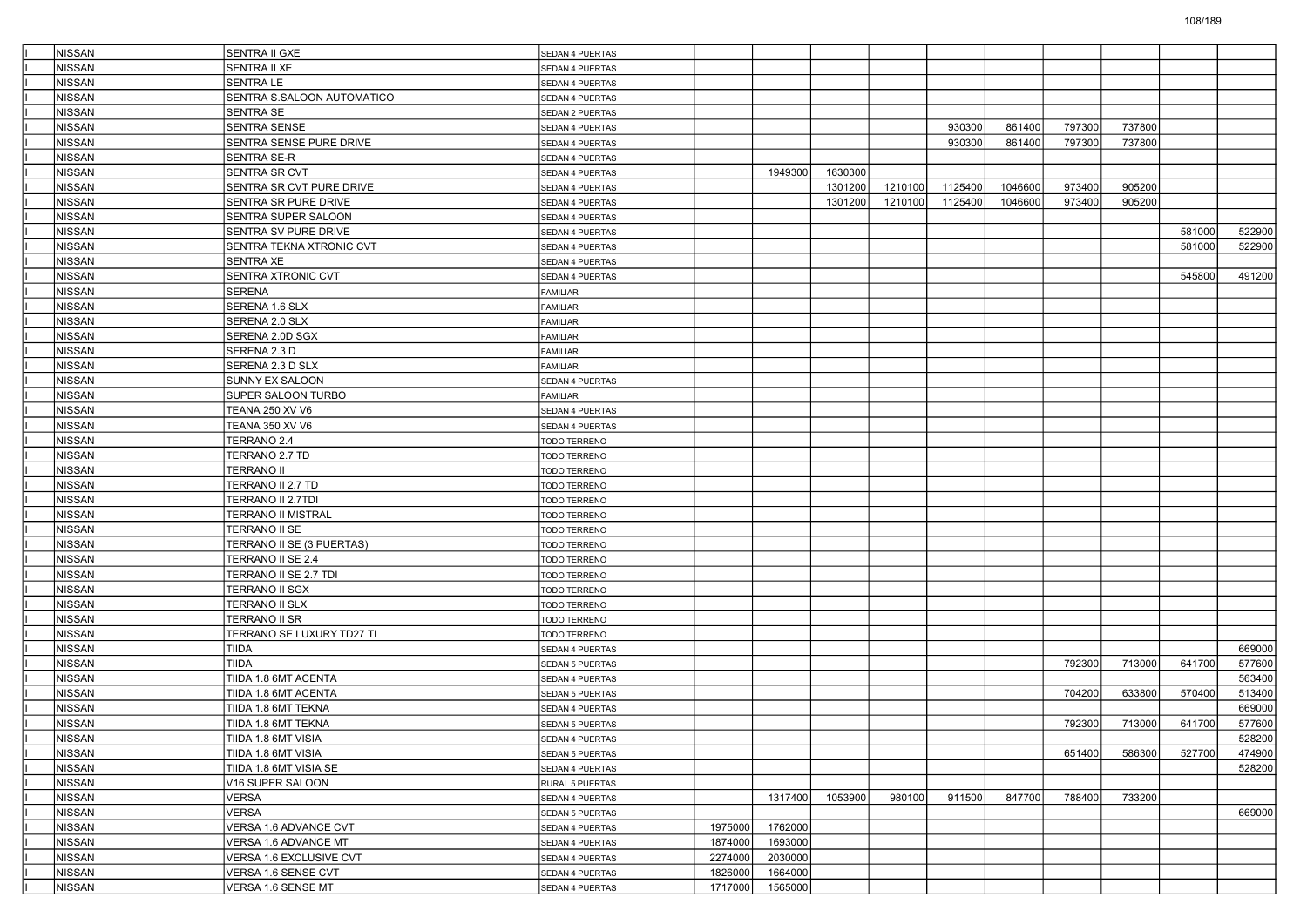| <b>NISSAN</b>           | SENTRA II GXE                               | <b>SEDAN 4 PUERTAS</b>             |         |         |         |         |         |         |        |        |        |                  |
|-------------------------|---------------------------------------------|------------------------------------|---------|---------|---------|---------|---------|---------|--------|--------|--------|------------------|
| <b>NISSAN</b>           | SENTRA II XE                                | SEDAN 4 PUERTAS                    |         |         |         |         |         |         |        |        |        |                  |
| NISSAN                  | <b>SENTRA LE</b>                            | SEDAN 4 PUERTAS                    |         |         |         |         |         |         |        |        |        |                  |
| NISSAN                  | SENTRA S.SALOON AUTOMATICO                  | SEDAN 4 PUERTAS                    |         |         |         |         |         |         |        |        |        |                  |
| NISSAN                  | SENTRA SE                                   | SEDAN 2 PUERTAS                    |         |         |         |         |         |         |        |        |        |                  |
| <b>NISSAN</b>           | SENTRA SENSE                                | SEDAN 4 PUERTAS                    |         |         |         |         | 930300  | 861400  | 797300 | 737800 |        |                  |
| <b>NISSAN</b>           | SENTRA SENSE PURE DRIVE                     | <b>SEDAN 4 PUERTAS</b>             |         |         |         |         | 930300  | 861400  | 797300 | 737800 |        |                  |
| NISSAN                  | SENTRA SE-R                                 | SEDAN 4 PUERTAS                    |         |         |         |         |         |         |        |        |        |                  |
| NISSAN                  | SENTRA SR CVT                               | SEDAN 4 PUERTAS                    |         | 1949300 | 1630300 |         |         |         |        |        |        |                  |
| NISSAN                  | SENTRA SR CVT PURE DRIVE                    | SEDAN 4 PUERTAS                    |         |         | 1301200 | 1210100 | 1125400 | 1046600 | 973400 | 905200 |        |                  |
| <b>NISSAN</b>           | SENTRA SR PURE DRIVE                        | SEDAN 4 PUERTAS                    |         |         | 1301200 | 1210100 | 1125400 | 1046600 | 973400 | 905200 |        |                  |
| <b>NISSAN</b>           | SENTRA SUPER SALOON                         | SEDAN 4 PUERTAS                    |         |         |         |         |         |         |        |        |        |                  |
| NISSAN                  | SENTRA SV PURE DRIVE                        | SEDAN 4 PUERTAS                    |         |         |         |         |         |         |        |        | 581000 | 522900           |
| NISSAN                  | SENTRA TEKNA XTRONIC CVT                    | SEDAN 4 PUERTAS                    |         |         |         |         |         |         |        |        | 581000 | 522900           |
| NISSAN                  | SENTRA XE                                   | SEDAN 4 PUERTAS                    |         |         |         |         |         |         |        |        |        |                  |
| <b>NISSAN</b>           | SENTRA XTRONIC CVT                          | SEDAN 4 PUERTAS                    |         |         |         |         |         |         |        |        | 545800 | 491200           |
| <b>NISSAN</b>           | SERENA                                      | FAMILIAR                           |         |         |         |         |         |         |        |        |        |                  |
| NISSAN                  | SERENA 1.6 SLX                              | FAMILIAR                           |         |         |         |         |         |         |        |        |        |                  |
| NISSAN                  | SERENA 2.0 SLX                              | <b>FAMILIAR</b>                    |         |         |         |         |         |         |        |        |        |                  |
| NISSAN                  | SERENA 2.0D SGX                             | <b>FAMILIAR</b>                    |         |         |         |         |         |         |        |        |        |                  |
| <b>NISSAN</b>           | SERENA 2.3 D                                | FAMILIAR                           |         |         |         |         |         |         |        |        |        |                  |
| <b>NISSAN</b>           | SERENA 2.3 D SLX                            | FAMILIAR                           |         |         |         |         |         |         |        |        |        |                  |
| NISSAN                  | <b>SUNNY EX SALOON</b>                      | SEDAN 4 PUERTAS                    |         |         |         |         |         |         |        |        |        |                  |
| NISSAN                  | SUPER SALOON TURBO                          | <b>FAMILIAR</b>                    |         |         |         |         |         |         |        |        |        |                  |
| NISSAN                  | TEANA 250 XV V6                             | <b>SEDAN 4 PUERTAS</b>             |         |         |         |         |         |         |        |        |        |                  |
| <b>NISSAN</b>           | TEANA 350 XV V6                             | SEDAN 4 PUERTAS                    |         |         |         |         |         |         |        |        |        |                  |
| <b>NISSAN</b>           | TERRANO 2.4                                 | TODO TERRENO                       |         |         |         |         |         |         |        |        |        |                  |
| NISSAN                  | TERRANO 2.7 TD                              | TODO TERRENO                       |         |         |         |         |         |         |        |        |        |                  |
| NISSAN                  | TERRANO II                                  | TODO TERRENO                       |         |         |         |         |         |         |        |        |        |                  |
| NISSAN                  | TERRANO II 2.7 TD                           | TODO TERRENO                       |         |         |         |         |         |         |        |        |        |                  |
| <b>NISSAN</b>           | TERRANO II 2.7TDI                           | TODO TERRENO                       |         |         |         |         |         |         |        |        |        |                  |
| <b>NISSAN</b>           | TERRANO II MISTRAL                          | TODO TERRENO                       |         |         |         |         |         |         |        |        |        |                  |
| NISSAN                  | TERRANO II SE                               | TODO TERRENO                       |         |         |         |         |         |         |        |        |        |                  |
| NISSAN                  | TERRANO II SE (3 PUERTAS)                   | TODO TERRENO                       |         |         |         |         |         |         |        |        |        |                  |
| NISSAN                  | TERRANO II SE 2.4                           | TODO TERRENO                       |         |         |         |         |         |         |        |        |        |                  |
| <b>NISSAN</b>           | TERRANO II SE 2.7 TDI                       | TODO TERRENO                       |         |         |         |         |         |         |        |        |        |                  |
| <b>NISSAN</b>           | TERRANO II SGX                              | TODO TERRENO                       |         |         |         |         |         |         |        |        |        |                  |
| NISSAN                  | TERRANO II SLX                              | TODO TERRENO                       |         |         |         |         |         |         |        |        |        |                  |
| NISSAN                  | TERRANO II SR                               | TODO TERRENO                       |         |         |         |         |         |         |        |        |        |                  |
| NISSAN                  | TERRANO SE LUXURY TD27 TI                   |                                    |         |         |         |         |         |         |        |        |        |                  |
| <b>NISSAN</b>           | TIIDA                                       | TODO TERRENO                       |         |         |         |         |         |         |        |        |        | 669000           |
|                         |                                             | SEDAN 4 PUERTAS                    |         |         |         |         |         |         |        |        |        |                  |
| <b>NISSAN</b><br>NISSAN | TIIDA<br>TIIDA 1.8 6MT ACENTA               | SEDAN 5 PUERTAS<br>SEDAN 4 PUERTAS |         |         |         |         |         |         | 792300 | 713000 | 641700 | 577600<br>563400 |
|                         |                                             |                                    |         |         |         |         |         |         |        |        |        |                  |
| NISSAN                  | TIIDA 1.8 6MT ACENTA<br>TIIDA 1.8 6MT TEKNA | <b>SEDAN 5 PUERTAS</b>             |         |         |         |         |         |         | 704200 | 633800 | 570400 | 513400           |
| <b>NISSAN</b>           |                                             | SEDAN 4 PUERTAS                    |         |         |         |         |         |         |        |        |        | 669000           |
| <b>NISSAN</b>           | TIIDA 1.8 6MT TEKNA                         | <b>SEDAN 5 PUERTAS</b>             |         |         |         |         |         |         | 792300 | 713000 | 641700 | 577600           |
| NISSAN                  | TIIDA 1.8 6MT VISIA                         | SEDAN 4 PUERTAS                    |         |         |         |         |         |         |        |        |        | 528200           |
| NISSAN                  | TIIDA 1.8 6MT VISIA                         | SEDAN 5 PUERTAS                    |         |         |         |         |         |         | 651400 | 586300 | 527700 | 474900           |
| NISSAN                  | TIIDA 1.8 6MT VISIA SE                      | SEDAN 4 PUERTAS                    |         |         |         |         |         |         |        |        |        | 528200           |
| NISSAN                  | V16 SUPER SALOON                            | RURAL 5 PUERTAS                    |         |         |         |         |         |         |        |        |        |                  |
| NISSAN                  | VERSA                                       | SEDAN 4 PUERTAS                    |         | 1317400 | 1053900 | 980100  | 911500  | 847700  | 788400 | 733200 |        |                  |
| NISSAN                  | VERSA                                       | SEDAN 5 PUERTAS                    |         |         |         |         |         |         |        |        |        | 669000           |
| NISSAN                  | VERSA 1.6 ADVANCE CVT                       | SEDAN 4 PUERTAS                    | 1975000 | 1762000 |         |         |         |         |        |        |        |                  |
| NISSAN                  | VERSA 1.6 ADVANCE MT                        | SEDAN 4 PUERTAS                    | 1874000 | 1693000 |         |         |         |         |        |        |        |                  |
| NISSAN                  | VERSA 1.6 EXCLUSIVE CVT                     | SEDAN 4 PUERTAS                    | 2274000 | 2030000 |         |         |         |         |        |        |        |                  |
| NISSAN                  | VERSA 1.6 SENSE CVT                         | SEDAN 4 PUERTAS                    | 1826000 | 1664000 |         |         |         |         |        |        |        |                  |
| NISSAN                  | VERSA 1.6 SENSE MT                          | SEDAN 4 PUERTAS                    | 1717000 | 1565000 |         |         |         |         |        |        |        |                  |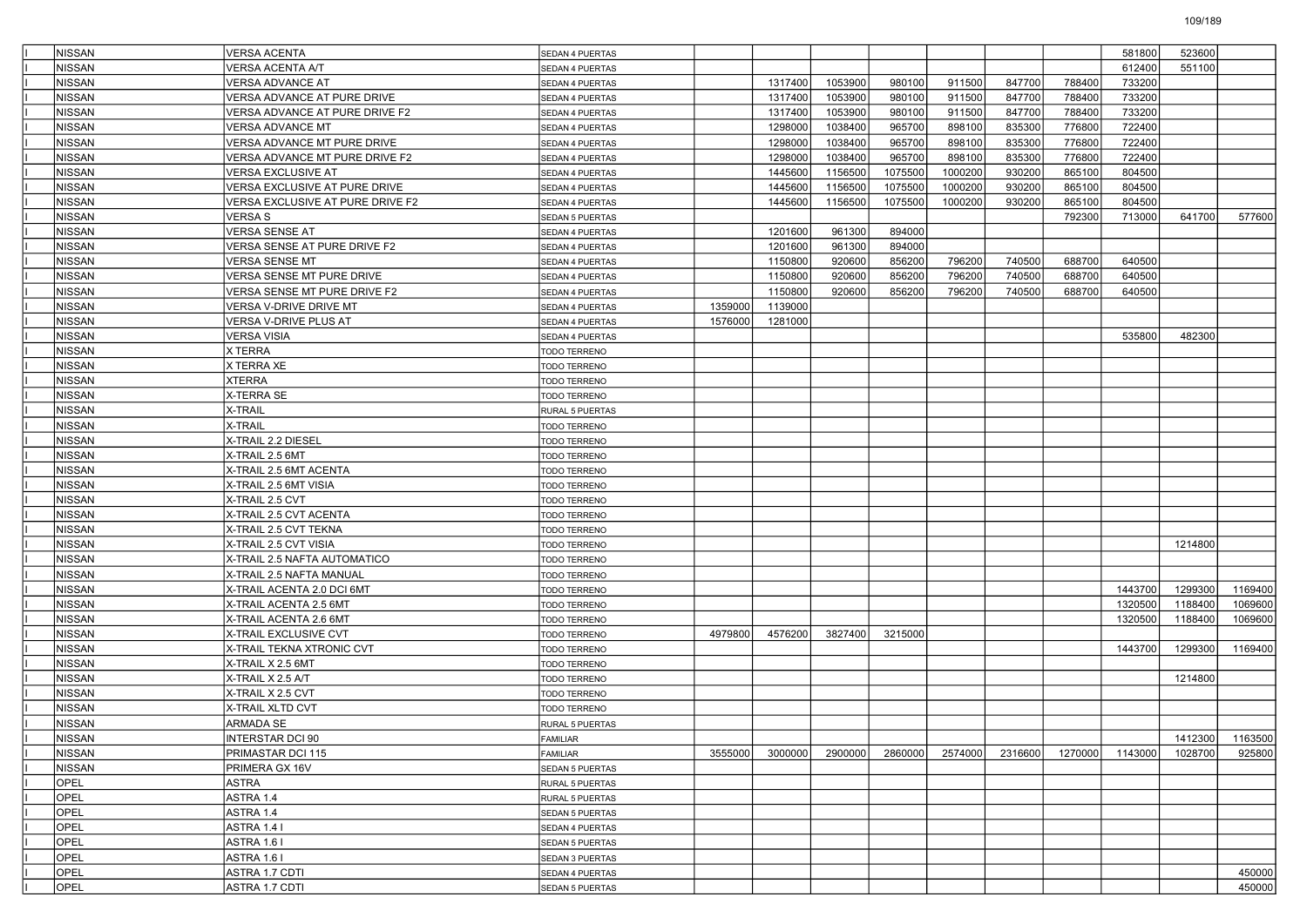| <b>NISSAN</b> | VERSA ACENTA                           | SEDAN 4 PUERTAS              |         |         |         |         |         |         |         | 581800  | 523600  |         |
|---------------|----------------------------------------|------------------------------|---------|---------|---------|---------|---------|---------|---------|---------|---------|---------|
| <b>NISSAN</b> | √ERSA ACENTA A/T                       | SEDAN 4 PUERTAS              |         |         |         |         |         |         |         | 612400  | 551100  |         |
| NISSAN        | VERSA ADVANCE AT                       | SEDAN 4 PUERTAS              |         | 1317400 | 1053900 | 980100  | 911500  | 847700  | 788400  | 733200  |         |         |
| NISSAN        | VERSA ADVANCE AT PURE DRIVE            | SEDAN 4 PUERTAS              |         | 1317400 | 1053900 | 980100  | 911500  | 847700  | 788400  | 733200  |         |         |
| NISSAN        | VERSA ADVANCE AT PURE DRIVE F2         | SEDAN 4 PUERTAS              |         | 1317400 | 1053900 | 980100  | 911500  | 847700  | 788400  | 733200  |         |         |
| <b>NISSAN</b> | <b>VERSA ADVANCE MT</b>                | SEDAN 4 PUERTAS              |         | 1298000 | 1038400 | 965700  | 898100  | 835300  | 776800  | 722400  |         |         |
| <b>NISSAN</b> | VERSA ADVANCE MT PURE DRIVE            | SEDAN 4 PUERTAS              |         | 1298000 | 1038400 | 965700  | 898100  | 835300  | 776800  | 722400  |         |         |
| NISSAN        | VERSA ADVANCE MT PURE DRIVE F2         | SEDAN 4 PUERTAS              |         | 1298000 | 1038400 | 965700  | 898100  | 835300  | 776800  | 722400  |         |         |
| NISSAN        | VERSA EXCLUSIVE AT                     | SEDAN 4 PUERTAS              |         | 1445600 | 1156500 | 1075500 | 1000200 | 930200  | 865100  | 804500  |         |         |
| NISSAN        | VERSA EXCLUSIVE AT PURE DRIVE          | SEDAN 4 PUERTAS              |         | 1445600 | 1156500 | 1075500 | 1000200 | 930200  | 865100  | 804500  |         |         |
| <b>NISSAN</b> | VERSA EXCLUSIVE AT PURE DRIVE F2       | SEDAN 4 PUERTAS              |         | 1445600 | 1156500 | 1075500 | 1000200 | 930200  | 865100  | 804500  |         |         |
| <b>NISSAN</b> | VERSA S                                | <b>SEDAN 5 PUERTAS</b>       |         |         |         |         |         |         | 792300  | 713000  | 641700  | 577600  |
| NISSAN        | VERSA SENSE AT                         | SEDAN 4 PUERTAS              |         | 1201600 | 961300  | 894000  |         |         |         |         |         |         |
| NISSAN        | VERSA SENSE AT PURE DRIVE F2           | SEDAN 4 PUERTAS              |         | 1201600 | 961300  | 894000  |         |         |         |         |         |         |
| NISSAN        | √ERSA SENSE MT                         | SEDAN 4 PUERTAS              |         | 1150800 | 920600  | 856200  | 796200  | 740500  | 688700  | 640500  |         |         |
| <b>NISSAN</b> | VERSA SENSE MT PURE DRIVE              | SEDAN 4 PUERTAS              |         | 1150800 | 920600  | 856200  | 796200  | 740500  | 688700  | 640500  |         |         |
| <b>NISSAN</b> | VERSA SENSE MT PURE DRIVE F2           | SEDAN 4 PUERTAS              |         | 1150800 | 920600  | 856200  | 796200  | 740500  | 688700  | 640500  |         |         |
| NISSAN        | VERSA V-DRIVE DRIVE MT                 | SEDAN 4 PUERTAS              | 1359000 | 1139000 |         |         |         |         |         |         |         |         |
| NISSAN        | VERSA V-DRIVE PLUS AT                  | <b>SEDAN 4 PUERTAS</b>       | 1576000 | 1281000 |         |         |         |         |         |         |         |         |
| NISSAN        | VERSA VISIA                            | SEDAN 4 PUERTAS              |         |         |         |         |         |         |         | 535800  | 482300  |         |
| <b>NISSAN</b> | X TERRA                                | TODO TERRENO                 |         |         |         |         |         |         |         |         |         |         |
| <b>NISSAN</b> | X TERRA XE                             | TODO TERRENO                 |         |         |         |         |         |         |         |         |         |         |
| NISSAN        | XTERRA                                 | <b>TODO TERRENO</b>          |         |         |         |         |         |         |         |         |         |         |
| NISSAN        | <b>X-TERRA SE</b>                      | TODO TERRENO                 |         |         |         |         |         |         |         |         |         |         |
| <b>NISSAN</b> | X-TRAIL                                | RURAL 5 PUERTAS              |         |         |         |         |         |         |         |         |         |         |
| <b>NISSAN</b> | X-TRAIL                                | TODO TERRENO                 |         |         |         |         |         |         |         |         |         |         |
| <b>NISSAN</b> | X-TRAIL 2.2 DIESEL                     | TODO TERRENO                 |         |         |         |         |         |         |         |         |         |         |
| <b>NISSAN</b> | X-TRAIL 2.5 6MT                        | <b>TODO TERRENO</b>          |         |         |         |         |         |         |         |         |         |         |
| NISSAN        | X-TRAIL 2.5 6MT ACENTA                 | TODO TERRENO                 |         |         |         |         |         |         |         |         |         |         |
| <b>NISSAN</b> | X-TRAIL 2.5 6MT VISIA                  | TODO TERRENO                 |         |         |         |         |         |         |         |         |         |         |
| <b>NISSAN</b> | X-TRAIL 2.5 CVT                        | TODO TERRENO                 |         |         |         |         |         |         |         |         |         |         |
| NISSAN        | X-TRAIL 2.5 CVT ACENTA                 | TODO TERRENO                 |         |         |         |         |         |         |         |         |         |         |
| <b>NISSAN</b> | X-TRAIL 2.5 CVT TEKNA                  | <b>TODO TERRENO</b>          |         |         |         |         |         |         |         |         |         |         |
| NISSAN        | X-TRAIL 2.5 CVT VISIA                  | TODO TERRENO                 |         |         |         |         |         |         |         |         | 1214800 |         |
| <b>NISSAN</b> | X-TRAIL 2.5 NAFTA AUTOMATICO           | TODO TERRENO                 |         |         |         |         |         |         |         |         |         |         |
| <b>NISSAN</b> | X-TRAIL 2.5 NAFTA MANUAL               | TODO TERRENO                 |         |         |         |         |         |         |         |         |         |         |
| NISSAN        | X-TRAIL ACENTA 2.0 DCI 6MT             | TODO TERRENO                 |         |         |         |         |         |         |         | 1443700 | 1299300 | 1169400 |
| <b>NISSAN</b> | X-TRAIL ACENTA 2.5 6MT                 | <b>TODO TERRENO</b>          |         |         |         |         |         |         |         | 1320500 | 1188400 | 1069600 |
| NISSAN        | X-TRAIL ACENTA 2.6 6MT                 | TODO TERRENO                 |         |         |         |         |         |         |         | 1320500 | 1188400 | 1069600 |
| <b>NISSAN</b> | X-TRAIL EXCLUSIVE CVT                  |                              | 4979800 | 4576200 | 3827400 |         |         |         |         |         |         |         |
| <b>NISSAN</b> | X-TRAIL TEKNA XTRONIC CVT              | TODO TERRENO<br>TODO TERRENO |         |         |         | 3215000 |         |         |         | 1443700 | 1299300 | 1169400 |
| <b>NISSAN</b> |                                        |                              |         |         |         |         |         |         |         |         |         |         |
| <b>NISSAN</b> | X-TRAIL X 2.5 6MT<br>X-TRAIL X 2.5 A/T | TODO TERRENO<br>TODO TERRENO |         |         |         |         |         |         |         |         | 1214800 |         |
| NISSAN        | X-TRAIL X 2.5 CVT                      |                              |         |         |         |         |         |         |         |         |         |         |
| <b>NISSAN</b> |                                        | TODO TERRENO                 |         |         |         |         |         |         |         |         |         |         |
|               | X-TRAIL XLTD CVT                       | TODO TERRENO                 |         |         |         |         |         |         |         |         |         |         |
| <b>NISSAN</b> | ARMADA SE                              | RURAL 5 PUERTAS              |         |         |         |         |         |         |         |         |         |         |
| NISSAN        | NTERSTAR DCI 90                        | FAMILIAR                     |         |         |         |         |         |         |         |         | 1412300 | 1163500 |
| NISSAN        | PRIMASTAR DCI 115                      | <b>FAMILIAR</b>              | 3555000 | 3000000 | 2900000 | 2860000 | 2574000 | 2316600 | 1270000 | 1143000 | 1028700 | 925800  |
| NISSAN        | PRIMERA GX 16V                         | SEDAN 5 PUERTAS              |         |         |         |         |         |         |         |         |         |         |
| OPEL          | ASTRA                                  | RURAL 5 PUERTAS              |         |         |         |         |         |         |         |         |         |         |
| OPEL          | ASTRA 1.4                              | RURAL 5 PUERTAS              |         |         |         |         |         |         |         |         |         |         |
| OPEL          | ASTRA 1.4                              | SEDAN 5 PUERTAS              |         |         |         |         |         |         |         |         |         |         |
| OPEL          | ASTRA 1.4 I                            | SEDAN 4 PUERTAS              |         |         |         |         |         |         |         |         |         |         |
| OPEL          | ASTRA 1.6 I                            | SEDAN 5 PUERTAS              |         |         |         |         |         |         |         |         |         |         |
| OPEL          | ASTRA 1.6 I                            | SEDAN 3 PUERTAS              |         |         |         |         |         |         |         |         |         |         |
| OPEL          | <b>ASTRA 1.7 CDTI</b>                  | SEDAN 4 PUERTAS              |         |         |         |         |         |         |         |         |         | 450000  |
| OPEL          | ASTRA 1.7 CDTI                         | SEDAN 5 PUERTAS              |         |         |         |         |         |         |         |         |         | 450000  |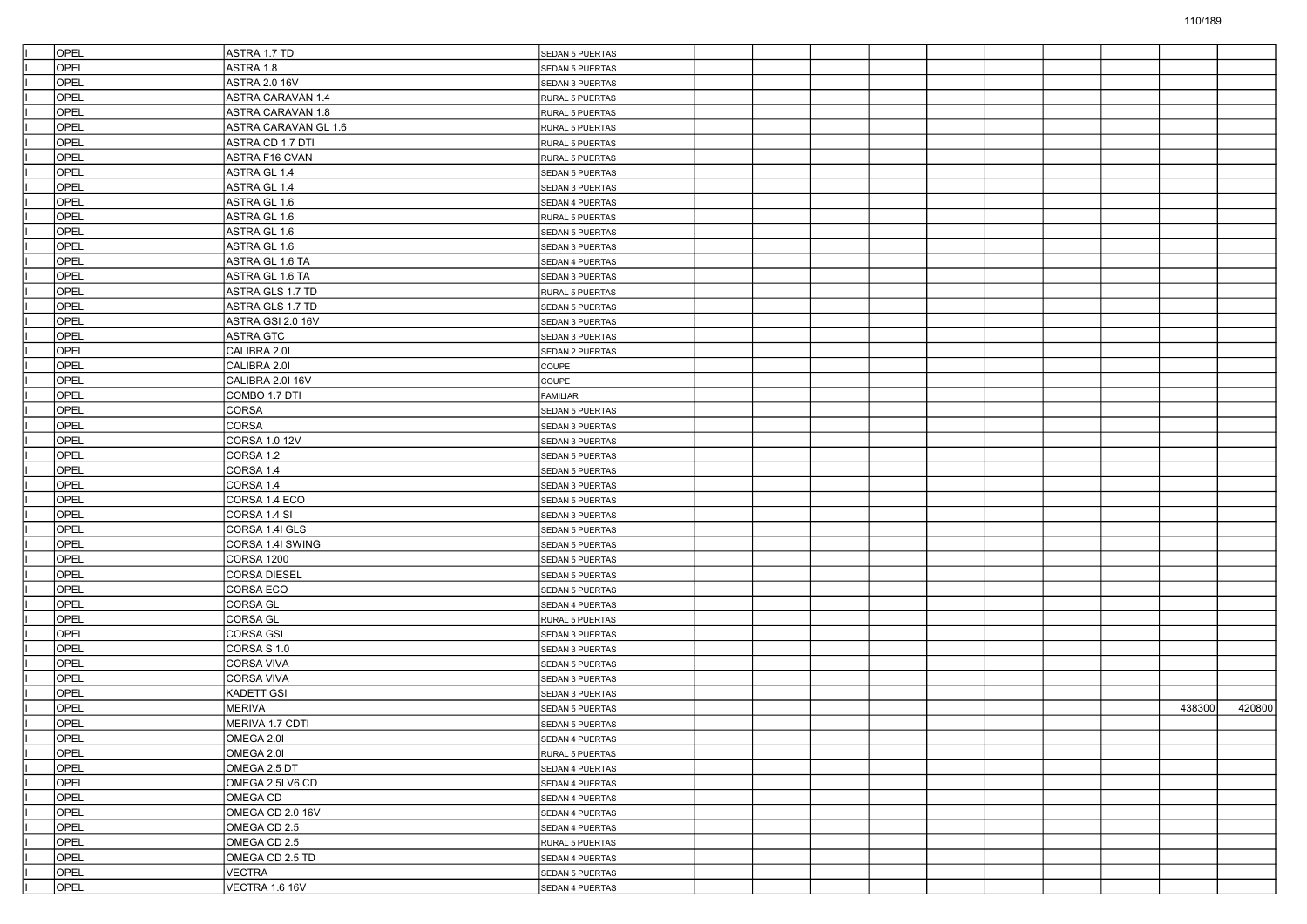| OPEL | ASTRA 1.7 TD             | SEDAN 5 PUERTAS |  |  |  |  |        |        |
|------|--------------------------|-----------------|--|--|--|--|--------|--------|
| OPEL | ASTRA 1.8                | SEDAN 5 PUERTAS |  |  |  |  |        |        |
| OPEL | <b>ASTRA 2.0 16V</b>     | SEDAN 3 PUERTAS |  |  |  |  |        |        |
| OPEL | <b>ASTRA CARAVAN 1.4</b> | RURAL 5 PUERTAS |  |  |  |  |        |        |
| OPEL | <b>ASTRA CARAVAN 1.8</b> | RURAL 5 PUERTAS |  |  |  |  |        |        |
| OPEL | ASTRA CARAVAN GL 1.6     | RURAL 5 PUERTAS |  |  |  |  |        |        |
| OPEL | ASTRA CD 1.7 DTI         | RURAL 5 PUERTAS |  |  |  |  |        |        |
| OPEL | ASTRA F16 CVAN           | RURAL 5 PUERTAS |  |  |  |  |        |        |
| OPEL | ASTRA GL 1.4             | SEDAN 5 PUERTAS |  |  |  |  |        |        |
| OPEL | ASTRA GL 1.4             | SEDAN 3 PUERTAS |  |  |  |  |        |        |
| OPEL | ASTRA GL 1.6             | SEDAN 4 PUERTAS |  |  |  |  |        |        |
| OPEL | ASTRA GL 1.6             | RURAL 5 PUERTAS |  |  |  |  |        |        |
| OPEL | ASTRA GL 1.6             | SEDAN 5 PUERTAS |  |  |  |  |        |        |
| OPEL | ASTRA GL 1.6             | SEDAN 3 PUERTAS |  |  |  |  |        |        |
| OPEL | ASTRA GL 1.6 TA          | SEDAN 4 PUERTAS |  |  |  |  |        |        |
| OPEL | ASTRA GL 1.6 TA          | SEDAN 3 PUERTAS |  |  |  |  |        |        |
| OPEL | ASTRA GLS 1.7 TD         | RURAL 5 PUERTAS |  |  |  |  |        |        |
| OPEL | ASTRA GLS 1.7 TD         | SEDAN 5 PUERTAS |  |  |  |  |        |        |
| OPEL | ASTRA GSI 2.0 16V        | SEDAN 3 PUERTAS |  |  |  |  |        |        |
| OPEL | ASTRA GTC                | SEDAN 3 PUERTAS |  |  |  |  |        |        |
| OPEL | CALIBRA 2.01             | SEDAN 2 PUERTAS |  |  |  |  |        |        |
| OPEL | CALIBRA 2.01             | COUPE           |  |  |  |  |        |        |
| OPEL | CALIBRA 2.0I 16V         | COUPE           |  |  |  |  |        |        |
| OPEL | COMBO 1.7 DTI            | FAMILIAR        |  |  |  |  |        |        |
| OPEL | CORSA                    | SEDAN 5 PUERTAS |  |  |  |  |        |        |
| OPEL | CORSA                    | SEDAN 3 PUERTAS |  |  |  |  |        |        |
| OPEL | CORSA 1.0 12V            | SEDAN 3 PUERTAS |  |  |  |  |        |        |
| OPEL | CORSA 1.2                | SEDAN 5 PUERTAS |  |  |  |  |        |        |
| OPEL | CORSA 1.4                | SEDAN 5 PUERTAS |  |  |  |  |        |        |
| OPEL | CORSA 1.4                | SEDAN 3 PUERTAS |  |  |  |  |        |        |
| OPEL | CORSA 1.4 ECO            | SEDAN 5 PUERTAS |  |  |  |  |        |        |
| OPEL | CORSA 1.4 SI             | SEDAN 3 PUERTAS |  |  |  |  |        |        |
| OPEL | CORSA 1.4I GLS           | SEDAN 5 PUERTAS |  |  |  |  |        |        |
| OPEL | CORSA 1.4I SWING         | SEDAN 5 PUERTAS |  |  |  |  |        |        |
| OPEL | <b>CORSA 1200</b>        | SEDAN 5 PUERTAS |  |  |  |  |        |        |
| OPEL | <b>CORSA DIESEL</b>      | SEDAN 5 PUERTAS |  |  |  |  |        |        |
| OPEL | CORSA ECO                | SEDAN 5 PUERTAS |  |  |  |  |        |        |
| OPEL | CORSA GL                 | SEDAN 4 PUERTAS |  |  |  |  |        |        |
| OPEL | CORSA GL                 | RURAL 5 PUERTAS |  |  |  |  |        |        |
| OPEL | <b>CORSA GSI</b>         | SEDAN 3 PUERTAS |  |  |  |  |        |        |
| OPEL | CORSA S 1.0              | SEDAN 3 PUERTAS |  |  |  |  |        |        |
| OPEL | CORSA VIVA               | SEDAN 5 PUERTAS |  |  |  |  |        |        |
| OPEL | <b>CORSA VIVA</b>        | SEDAN 3 PUERTAS |  |  |  |  |        |        |
| OPEL | <b>KADETT GSI</b>        | SEDAN 3 PUERTAS |  |  |  |  |        |        |
| OPEL | <b>MERIVA</b>            | SEDAN 5 PUERTAS |  |  |  |  | 438300 | 420800 |
| OPEL | MERIVA 1.7 CDTI          | SEDAN 5 PUERTAS |  |  |  |  |        |        |
| OPEL | OMEGA 2.0                | SEDAN 4 PUERTAS |  |  |  |  |        |        |
| OPEL | OMEGA 2.0I               | RURAL 5 PUERTAS |  |  |  |  |        |        |
| OPEL | OMEGA 2.5 DT             | SEDAN 4 PUERTAS |  |  |  |  |        |        |
| OPEL | OMEGA 2.5I V6 CD         | SEDAN 4 PUERTAS |  |  |  |  |        |        |
| OPEL | OMEGA CD                 | SEDAN 4 PUERTAS |  |  |  |  |        |        |
| OPEL | OMEGA CD 2.0 16V         | SEDAN 4 PUERTAS |  |  |  |  |        |        |
| OPEL | OMEGA CD 2.5             | SEDAN 4 PUERTAS |  |  |  |  |        |        |
| OPEL | OMEGA CD 2.5             | RURAL 5 PUERTAS |  |  |  |  |        |        |
| OPEL | OMEGA CD 2.5 TD          | SEDAN 4 PUERTAS |  |  |  |  |        |        |
| OPEL | <b>VECTRA</b>            | SEDAN 5 PUERTAS |  |  |  |  |        |        |
| OPEL | VECTRA 1.6 16V           | SEDAN 4 PUERTAS |  |  |  |  |        |        |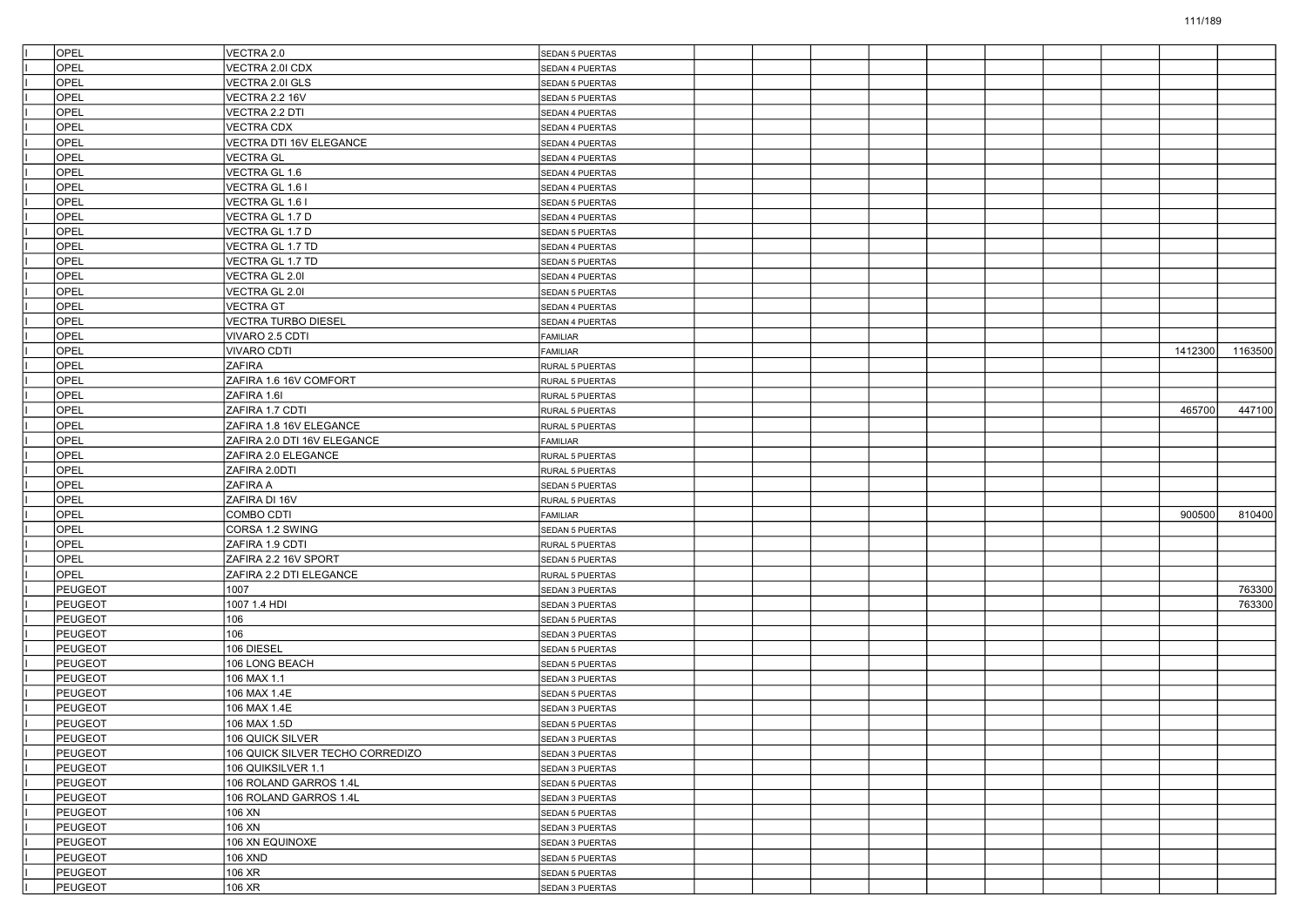| <b>OPEL</b>    | VECTRA 2.0                       | SEDAN 5 PUERTAS        |  |  |  |         |         |
|----------------|----------------------------------|------------------------|--|--|--|---------|---------|
| OPEL           | VECTRA 2.0I CDX                  | SEDAN 4 PUERTAS        |  |  |  |         |         |
| OPEL           | VECTRA 2.0I GLS                  | SEDAN 5 PUERTAS        |  |  |  |         |         |
| OPEL           | <b>VECTRA 2.2 16V</b>            | <b>SEDAN 5 PUERTAS</b> |  |  |  |         |         |
| OPEL           | VECTRA 2.2 DTI                   | SEDAN 4 PUERTAS        |  |  |  |         |         |
| OPEL           | <b>VECTRA CDX</b>                | SEDAN 4 PUERTAS        |  |  |  |         |         |
| OPEL           | VECTRA DTI 16V ELEGANCE          | SEDAN 4 PUERTAS        |  |  |  |         |         |
| OPEL           | <b>VECTRA GL</b>                 | SEDAN 4 PUERTAS        |  |  |  |         |         |
| OPEL           | VECTRA GL 1.6                    | SEDAN 4 PUERTAS        |  |  |  |         |         |
| OPEL           | VECTRA GL 1.6 I                  | SEDAN 4 PUERTAS        |  |  |  |         |         |
| OPEL           | VECTRA GL 1.6 I                  | <b>SEDAN 5 PUERTAS</b> |  |  |  |         |         |
| OPEL           | VECTRA GL 1.7 D                  | SEDAN 4 PUERTAS        |  |  |  |         |         |
| OPEL           | VECTRA GL 1.7 D                  | <b>SEDAN 5 PUERTAS</b> |  |  |  |         |         |
| OPEL           | VECTRA GL 1.7 TD                 | SEDAN 4 PUERTAS        |  |  |  |         |         |
| OPEL           | VECTRA GL 1.7 TD                 | <b>SEDAN 5 PUERTAS</b> |  |  |  |         |         |
| OPEL           | VECTRA GL 2.0I                   | SEDAN 4 PUERTAS        |  |  |  |         |         |
| OPEL           | VECTRA GL 2.0I                   | <b>SEDAN 5 PUERTAS</b> |  |  |  |         |         |
| OPEL           | <b>VECTRA GT</b>                 | SEDAN 4 PUERTAS        |  |  |  |         |         |
| OPEL           | <b>VECTRA TURBO DIESEL</b>       | SEDAN 4 PUERTAS        |  |  |  |         |         |
| OPEL           | VIVARO 2.5 CDTI                  | FAMILIAR               |  |  |  |         |         |
| OPEL           | <b>VIVARO CDTI</b>               | FAMILIAR               |  |  |  | 1412300 | 1163500 |
| OPEL           | <b>ZAFIRA</b>                    | RURAL 5 PUERTAS        |  |  |  |         |         |
| OPEL           | ZAFIRA 1.6 16V COMFORT           | RURAL 5 PUERTAS        |  |  |  |         |         |
| OPEL           | ZAFIRA 1.6I                      | RURAL 5 PUERTAS        |  |  |  |         |         |
| OPEL           | ZAFIRA 1.7 CDTI                  | RURAL 5 PUERTAS        |  |  |  | 465700  | 447100  |
| OPEL           | ZAFIRA 1.8 16V ELEGANCE          | RURAL 5 PUERTAS        |  |  |  |         |         |
| OPEL           | ZAFIRA 2.0 DTI 16V ELEGANCE      | <b>FAMILIAR</b>        |  |  |  |         |         |
| OPEL           | ZAFIRA 2.0 ELEGANCE              | RURAL 5 PUERTAS        |  |  |  |         |         |
| OPEL           | ZAFIRA 2.0DTI                    |                        |  |  |  |         |         |
| OPEL           | ZAFIRA A                         | RURAL 5 PUERTAS        |  |  |  |         |         |
| OPEL           | ZAFIRA DI 16V                    | <b>SEDAN 5 PUERTAS</b> |  |  |  |         |         |
| OPEL           | COMBO CDTI                       | RURAL 5 PUERTAS        |  |  |  | 900500  |         |
| OPEL           |                                  | <b>FAMILIAR</b>        |  |  |  |         | 810400  |
|                | CORSA 1.2 SWING                  | <b>SEDAN 5 PUERTAS</b> |  |  |  |         |         |
| OPEL           | ZAFIRA 1.9 CDTI                  | RURAL 5 PUERTAS        |  |  |  |         |         |
| OPEL           | ZAFIRA 2.2 16V SPORT             | <b>SEDAN 5 PUERTAS</b> |  |  |  |         |         |
| OPEL           | ZAFIRA 2.2 DTI ELEGANCE          | RURAL 5 PUERTAS        |  |  |  |         |         |
| PEUGEOT        | 1007                             | SEDAN 3 PUERTAS        |  |  |  |         | 763300  |
| <b>PEUGEOT</b> | 1007 1.4 HDI                     | SEDAN 3 PUERTAS        |  |  |  |         | 763300  |
| <b>PEUGEOT</b> | 106                              | SEDAN 5 PUERTAS        |  |  |  |         |         |
| <b>PEUGEOT</b> | 106                              | SEDAN 3 PUERTAS        |  |  |  |         |         |
| PEUGEOT        | 106 DIESEL                       | <b>SEDAN 5 PUERTAS</b> |  |  |  |         |         |
| <b>PEUGEOT</b> | 106 LONG BEACH                   | <b>SEDAN 5 PUERTAS</b> |  |  |  |         |         |
| <b>PEUGEOT</b> | 106 MAX 1.1                      | SEDAN 3 PUERTAS        |  |  |  |         |         |
| <b>PEUGEOT</b> | 106 MAX 1.4E                     | SEDAN 5 PUERTAS        |  |  |  |         |         |
| <b>PEUGEOT</b> | 106 MAX 1.4E                     | SEDAN 3 PUERTAS        |  |  |  |         |         |
| <b>PEUGEOT</b> | 106 MAX 1.5D                     | <b>SEDAN 5 PUERTAS</b> |  |  |  |         |         |
| PEUGEOT        | 106 QUICK SILVER                 | SEDAN 3 PUERTAS        |  |  |  |         |         |
| PEUGEOT        | 106 QUICK SILVER TECHO CORREDIZO | SEDAN 3 PUERTAS        |  |  |  |         |         |
| PEUGEOT        | 106 QUIKSILVER 1.1               | SEDAN 3 PUERTAS        |  |  |  |         |         |
| PEUGEOT        | 106 ROLAND GARROS 1.4L           | SEDAN 5 PUERTAS        |  |  |  |         |         |
| PEUGEOT        | 106 ROLAND GARROS 1.4L           | SEDAN 3 PUERTAS        |  |  |  |         |         |
| PEUGEOT        | 106 XN                           | SEDAN 5 PUERTAS        |  |  |  |         |         |
| PEUGEOT        | 106 XN                           | SEDAN 3 PUERTAS        |  |  |  |         |         |
| PEUGEOT        | 106 XN EQUINOXE                  | SEDAN 3 PUERTAS        |  |  |  |         |         |
| PEUGEOT        | 106 XND                          | SEDAN 5 PUERTAS        |  |  |  |         |         |
| PEUGEOT        | 106 XR                           | SEDAN 5 PUERTAS        |  |  |  |         |         |
| PEUGEOT        | 106 XR                           | SEDAN 3 PUERTAS        |  |  |  |         |         |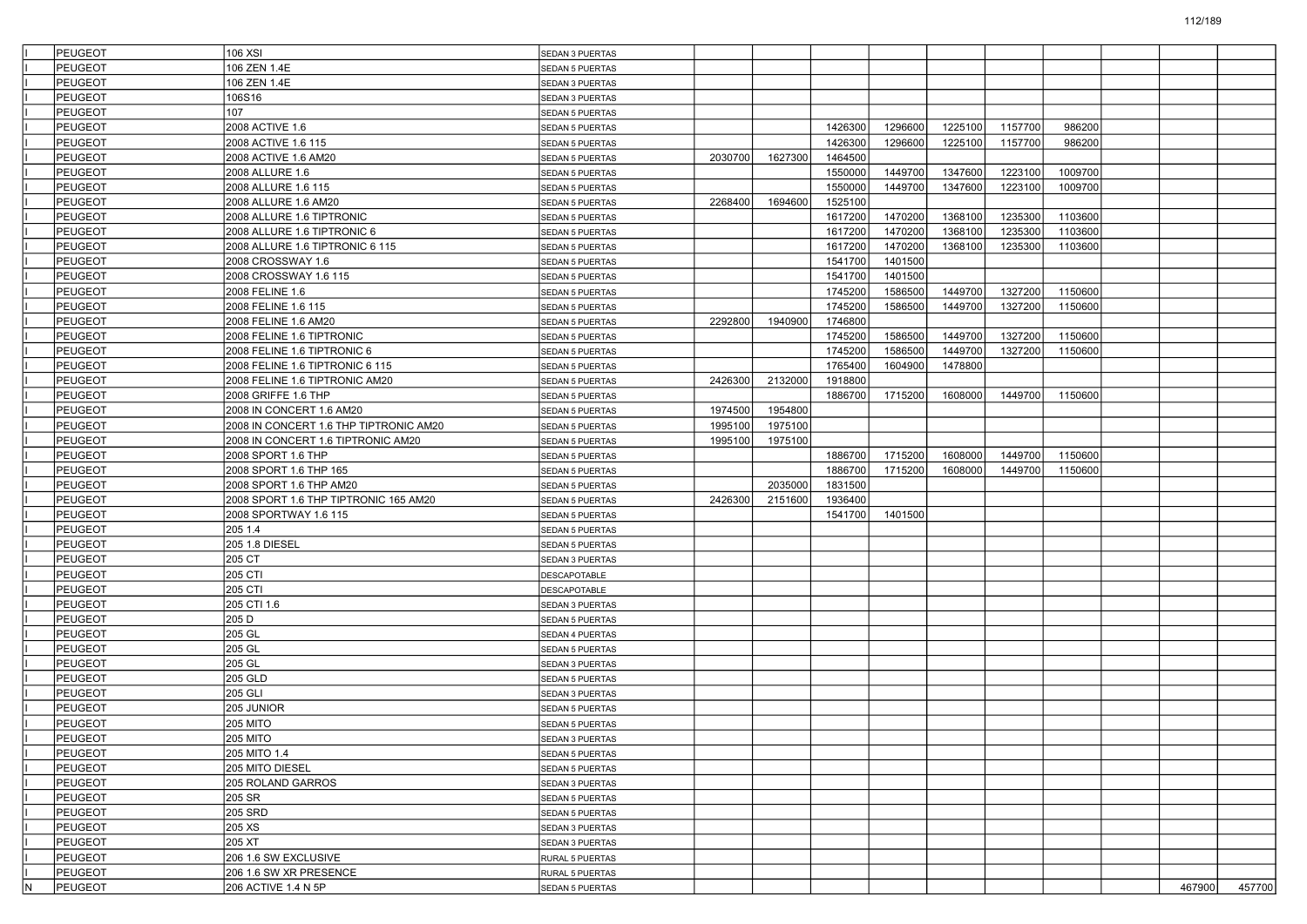|     | PEUGEOT            | 106 XSI                                | SEDAN 3 PUERTAS                    |         |         |         |         |         |         |         |        |        |
|-----|--------------------|----------------------------------------|------------------------------------|---------|---------|---------|---------|---------|---------|---------|--------|--------|
|     | <b>PEUGEOT</b>     | 106 ZEN 1.4E                           | <b>SEDAN 5 PUERTAS</b>             |         |         |         |         |         |         |         |        |        |
|     | PEUGEOT            | 106 ZEN 1.4E                           | SEDAN 3 PUERTAS                    |         |         |         |         |         |         |         |        |        |
|     | PEUGEOT            | 106S16                                 | SEDAN 3 PUERTAS                    |         |         |         |         |         |         |         |        |        |
|     | PEUGEOT            | 107                                    | SEDAN 5 PUERTAS                    |         |         |         |         |         |         |         |        |        |
|     | PEUGEOT            | 2008 ACTIVE 1.6                        | <b>SEDAN 5 PUERTAS</b>             |         |         | 1426300 | 1296600 | 1225100 | 1157700 | 986200  |        |        |
|     | PEUGEOT            | 2008 ACTIVE 1.6 115                    | <b>SEDAN 5 PUERTAS</b>             |         |         | 1426300 | 1296600 | 1225100 | 1157700 | 986200  |        |        |
|     | PEUGEOT            | 2008 ACTIVE 1.6 AM20                   | <b>SEDAN 5 PUERTAS</b>             | 2030700 | 1627300 | 1464500 |         |         |         |         |        |        |
|     | PEUGEOT            | 2008 ALLURE 1.6                        | SEDAN 5 PUERTAS                    |         |         | 1550000 | 1449700 | 1347600 | 1223100 | 1009700 |        |        |
|     | PEUGEOT            | 2008 ALLURE 1.6 115                    | SEDAN 5 PUERTAS                    |         |         | 1550000 | 1449700 | 1347600 | 1223100 | 1009700 |        |        |
|     | PEUGEOT            | 2008 ALLURE 1.6 AM20                   | SEDAN 5 PUERTAS                    | 2268400 | 1694600 | 1525100 |         |         |         |         |        |        |
|     | PEUGEOT            | 2008 ALLURE 1.6 TIPTRONIC              | <b>SEDAN 5 PUERTAS</b>             |         |         | 1617200 | 1470200 | 1368100 | 1235300 | 1103600 |        |        |
|     | PEUGEOT            | 2008 ALLURE 1.6 TIPTRONIC 6            | <b>SEDAN 5 PUERTAS</b>             |         |         | 1617200 | 1470200 | 1368100 | 1235300 | 1103600 |        |        |
|     | PEUGEOT            | 2008 ALLURE 1.6 TIPTRONIC 6 115        | SEDAN 5 PUERTAS                    |         |         | 1617200 | 1470200 | 1368100 | 1235300 | 1103600 |        |        |
|     | PEUGEOT            | 2008 CROSSWAY 1.6                      | SEDAN 5 PUERTAS                    |         |         | 1541700 | 1401500 |         |         |         |        |        |
|     | PEUGEOT            | 2008 CROSSWAY 1.6 115                  | SEDAN 5 PUERTAS                    |         |         | 1541700 | 1401500 |         |         |         |        |        |
|     | PEUGEOT            | 2008 FELINE 1.6                        | SEDAN 5 PUERTAS                    |         |         | 1745200 | 1586500 | 1449700 | 1327200 | 1150600 |        |        |
|     | PEUGEOT            | 2008 FELINE 1.6 115                    | <b>SEDAN 5 PUERTAS</b>             |         |         | 1745200 | 1586500 | 1449700 | 1327200 | 1150600 |        |        |
|     | PEUGEOT            | 2008 FELINE 1.6 AM20                   | SEDAN 5 PUERTAS                    | 2292800 | 1940900 | 1746800 |         |         |         |         |        |        |
|     | PEUGEOT            | 2008 FELINE 1.6 TIPTRONIC              | SEDAN 5 PUERTAS                    |         |         | 1745200 | 1586500 | 1449700 | 1327200 | 1150600 |        |        |
|     | PEUGEOT            | 2008 FELINE 1.6 TIPTRONIC 6            | SEDAN 5 PUERTAS                    |         |         | 1745200 | 1586500 | 1449700 | 1327200 | 1150600 |        |        |
|     | PEUGEOT            | 2008 FELINE 1.6 TIPTRONIC 6 115        | <b>SEDAN 5 PUERTAS</b>             |         |         | 1765400 | 1604900 | 1478800 |         |         |        |        |
|     | PEUGEOT            | 2008 FELINE 1.6 TIPTRONIC AM20         | SEDAN 5 PUERTAS                    | 2426300 | 2132000 | 1918800 |         |         |         |         |        |        |
|     | PEUGEOT            | 2008 GRIFFE 1.6 THP                    | SEDAN 5 PUERTAS                    |         |         | 1886700 | 1715200 | 1608000 | 1449700 | 1150600 |        |        |
|     | <b>PEUGEOT</b>     | 2008 IN CONCERT 1.6 AM20               | SEDAN 5 PUERTAS                    | 1974500 | 1954800 |         |         |         |         |         |        |        |
|     | PEUGEOT            | 2008 IN CONCERT 1.6 THP TIPTRONIC AM20 | SEDAN 5 PUERTAS                    | 1995100 | 1975100 |         |         |         |         |         |        |        |
|     | PEUGEOT            | 2008 IN CONCERT 1.6 TIPTRONIC AM20     | <b>SEDAN 5 PUERTAS</b>             | 1995100 | 1975100 |         |         |         |         |         |        |        |
|     | PEUGEOT            | 2008 SPORT 1.6 THP                     | SEDAN 5 PUERTAS                    |         |         | 1886700 | 1715200 | 1608000 | 1449700 | 1150600 |        |        |
|     | PEUGEOT            | 2008 SPORT 1.6 THP 165                 | SEDAN 5 PUERTAS                    |         |         | 1886700 | 1715200 | 1608000 | 1449700 | 1150600 |        |        |
|     | <b>PEUGEOT</b>     | 2008 SPORT 1.6 THP AM20                | SEDAN 5 PUERTAS                    |         | 2035000 | 1831500 |         |         |         |         |        |        |
|     | PEUGEOT            | 2008 SPORT 1.6 THP TIPTRONIC 165 AM20  | SEDAN 5 PUERTAS                    | 2426300 | 2151600 | 1936400 |         |         |         |         |        |        |
|     | PEUGEOT            | 2008 SPORTWAY 1.6 115                  | SEDAN 5 PUERTAS                    |         |         | 1541700 | 1401500 |         |         |         |        |        |
|     | PEUGEOT            | 205 1.4                                | SEDAN 5 PUERTAS                    |         |         |         |         |         |         |         |        |        |
|     | PEUGEOT            | 205 1.8 DIESEL                         | SEDAN 5 PUERTAS                    |         |         |         |         |         |         |         |        |        |
|     | <b>PEUGEOT</b>     | 205 CT                                 | SEDAN 3 PUERTAS                    |         |         |         |         |         |         |         |        |        |
|     | PEUGEOT            | 205 CTI                                | DESCAPOTABLE                       |         |         |         |         |         |         |         |        |        |
|     | PEUGEOT            | 205 CTI                                | DESCAPOTABLE                       |         |         |         |         |         |         |         |        |        |
|     | PEUGEOT            | 205 CTI 1.6                            | SEDAN 3 PUERTAS                    |         |         |         |         |         |         |         |        |        |
|     | PEUGEOT            | 205 D                                  | <b>SEDAN 5 PUERTAS</b>             |         |         |         |         |         |         |         |        |        |
|     | <b>PEUGEOT</b>     | 205 GL                                 | SEDAN 4 PUERTAS                    |         |         |         |         |         |         |         |        |        |
|     | PEUGEOT            | 205 GL                                 | <b>SEDAN 5 PUERTAS</b>             |         |         |         |         |         |         |         |        |        |
|     | PEUGEOT            | 205 GL                                 |                                    |         |         |         |         |         |         |         |        |        |
|     | PEUGEOT            | 205 GLD                                | SEDAN 3 PUERTAS<br>SEDAN 5 PUERTAS |         |         |         |         |         |         |         |        |        |
|     | PEUGEOT            | 205 GLI                                |                                    |         |         |         |         |         |         |         |        |        |
|     |                    |                                        | <b>SEDAN 3 PUERTAS</b>             |         |         |         |         |         |         |         |        |        |
|     | <b>PEUGEOT</b>     | 205 JUNIOR                             | SEDAN 5 PUERTAS                    |         |         |         |         |         |         |         |        |        |
|     | PEUGEOT<br>PEUGEOT | <b>205 MITO</b><br><b>205 MITO</b>     | <b>SEDAN 5 PUERTAS</b>             |         |         |         |         |         |         |         |        |        |
|     | <b>PEUGEOT</b>     |                                        | SEDAN 3 PUERTAS                    |         |         |         |         |         |         |         |        |        |
|     |                    | 205 MITO 1.4                           | SEDAN 5 PUERTAS                    |         |         |         |         |         |         |         |        |        |
|     | PEUGEOT            | 205 MITO DIESEL                        | SEDAN 5 PUERTAS                    |         |         |         |         |         |         |         |        |        |
|     | PEUGEOT            | 205 ROLAND GARROS                      | SEDAN 3 PUERTAS                    |         |         |         |         |         |         |         |        |        |
|     | PEUGEOT            | 205 SR                                 | SEDAN 5 PUERTAS                    |         |         |         |         |         |         |         |        |        |
|     | PEUGEOT            | 205 SRD                                | SEDAN 5 PUERTAS                    |         |         |         |         |         |         |         |        |        |
|     | <b>PEUGEOT</b>     | 205 XS                                 | SEDAN 3 PUERTAS                    |         |         |         |         |         |         |         |        |        |
|     | PEUGEOT            | 205 XT                                 | SEDAN 3 PUERTAS                    |         |         |         |         |         |         |         |        |        |
|     | PEUGEOT            | 206 1.6 SW EXCLUSIVE                   | RURAL 5 PUERTAS                    |         |         |         |         |         |         |         |        |        |
|     | PEUGEOT            | 206 1.6 SW XR PRESENCE                 | RURAL 5 PUERTAS                    |         |         |         |         |         |         |         |        |        |
| IN. | PEUGEOT            | 206 ACTIVE 1.4 N 5P                    | SEDAN 5 PUERTAS                    |         |         |         |         |         |         |         | 467900 | 457700 |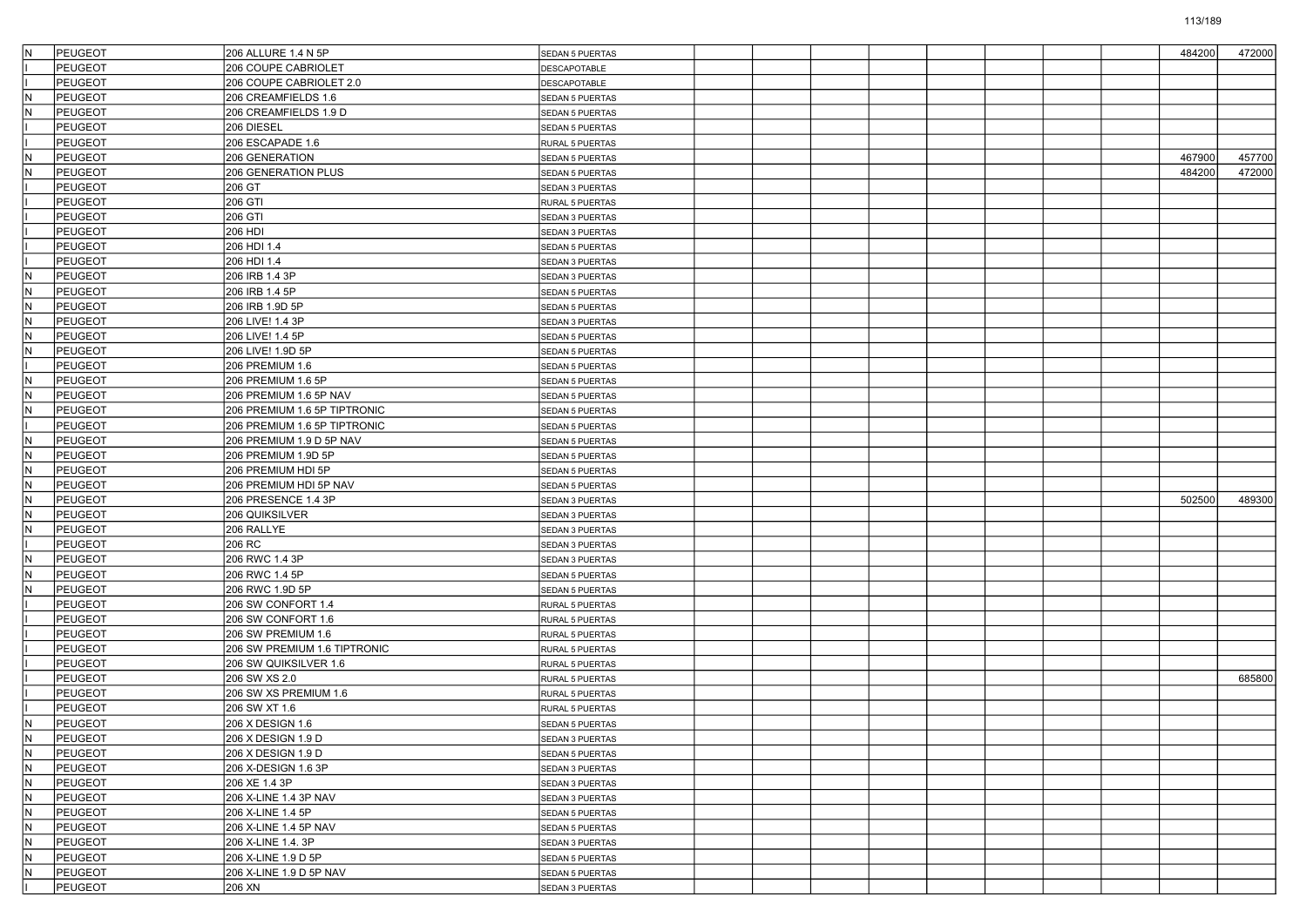| İN         | <b>PEUGEOT</b>            | 206 ALLURE 1.4 N 5P                  | SEDAN 5 PUERTAS                    |  |  |  | 484200 | 472000 |
|------------|---------------------------|--------------------------------------|------------------------------------|--|--|--|--------|--------|
|            | <b>PEUGEOT</b>            | 206 COUPE CABRIOLET                  | <b>DESCAPOTABLE</b>                |  |  |  |        |        |
|            | PEUGEOT                   | 206 COUPE CABRIOLET 2.0              | DESCAPOTABLE                       |  |  |  |        |        |
| İΝ         | PEUGEOT                   | 206 CREAMFIELDS 1.6                  | SEDAN 5 PUERTAS                    |  |  |  |        |        |
| ΙN         | <b>PEUGEOT</b>            | 206 CREAMFIELDS 1.9 D                | SEDAN 5 PUERTAS                    |  |  |  |        |        |
|            | PEUGEOT                   | 206 DIESEL                           | SEDAN 5 PUERTAS                    |  |  |  |        |        |
|            | <b>PEUGEOT</b>            | 206 ESCAPADE 1.6                     | RURAL 5 PUERTAS                    |  |  |  |        |        |
| ΙN         | PEUGEOT                   | 206 GENERATION                       | SEDAN 5 PUERTAS                    |  |  |  | 467900 | 457700 |
| ΙN         | PEUGEOT                   | 206 GENERATION PLUS                  | SEDAN 5 PUERTAS                    |  |  |  | 484200 | 472000 |
|            | <b>PEUGEOT</b>            | 206 GT                               | SEDAN 3 PUERTAS                    |  |  |  |        |        |
|            | <b>PEUGEOT</b>            | 206 GTI                              | RURAL 5 PUERTAS                    |  |  |  |        |        |
|            | <b>PEUGEOT</b>            | 206 GTI                              | <b>SEDAN 3 PUERTAS</b>             |  |  |  |        |        |
|            | PEUGEOT                   | 206 HDI                              | SEDAN 3 PUERTAS                    |  |  |  |        |        |
|            | <b>PEUGEOT</b>            | 206 HDI 1.4                          | SEDAN 5 PUERTAS                    |  |  |  |        |        |
|            | PEUGEOT                   | 206 HDI 1.4                          | SEDAN 3 PUERTAS                    |  |  |  |        |        |
| lΝ         | <b>PEUGEOT</b>            | 206 IRB 1.4 3P                       | SEDAN 3 PUERTAS                    |  |  |  |        |        |
| ΙN         | <b>PEUGEOT</b>            | 206 IRB 1.4 5P                       | <b>SEDAN 5 PUERTAS</b>             |  |  |  |        |        |
| ΙN         | PEUGEOT                   | 206 IRB 1.9D 5P                      | SEDAN 5 PUERTAS                    |  |  |  |        |        |
| IN.        | <b>PEUGEOT</b>            | 206 LIVE! 1.4 3P                     | SEDAN 3 PUERTAS                    |  |  |  |        |        |
| ΙN         | <b>PEUGEOT</b>            | 206 LIVE! 1.4 5P                     | SEDAN 5 PUERTAS                    |  |  |  |        |        |
| lΝ         | PEUGEOT                   | 206 LIVE! 1.9D 5P                    | <b>SEDAN 5 PUERTAS</b>             |  |  |  |        |        |
|            | <b>PEUGEOT</b>            | 206 PREMIUM 1.6                      | SEDAN 5 PUERTAS                    |  |  |  |        |        |
| IN.        | PEUGEOT                   | 206 PREMIUM 1.6 5P                   | SEDAN 5 PUERTAS                    |  |  |  |        |        |
| ΙN         | PEUGEOT                   | 206 PREMIUM 1.6 5P NAV               | SEDAN 5 PUERTAS                    |  |  |  |        |        |
| ΙN         | <b>PEUGEOT</b>            | 206 PREMIUM 1.6 5P TIPTRONIC         | SEDAN 5 PUERTAS                    |  |  |  |        |        |
|            | PEUGEOT                   | 206 PREMIUM 1.6 5P TIPTRONIC         | SEDAN 5 PUERTAS                    |  |  |  |        |        |
| ΙN         | <b>PEUGEOT</b>            | 206 PREMIUM 1.9 D 5P NAV             | SEDAN 5 PUERTAS                    |  |  |  |        |        |
| ΙN         | PEUGEOT                   | 206 PREMIUM 1.9D 5P                  | SEDAN 5 PUERTAS                    |  |  |  |        |        |
| ΙN         | PEUGEOT                   | 206 PREMIUM HDI 5P                   | SEDAN 5 PUERTAS                    |  |  |  |        |        |
| ΙN         | <b>PEUGEOT</b>            | 206 PREMIUM HDI 5P NAV               | SEDAN 5 PUERTAS                    |  |  |  |        |        |
| lN         | <b>PEUGEOT</b>            | 206 PRESENCE 1.4 3P                  | SEDAN 3 PUERTAS                    |  |  |  | 502500 | 489300 |
| ΙN         | PEUGEOT                   | 206 QUIKSILVER                       | <b>SEDAN 3 PUERTAS</b>             |  |  |  |        |        |
| ΙN         | PEUGEOT                   | 206 RALLYE                           | SEDAN 3 PUERTAS                    |  |  |  |        |        |
|            | <b>PEUGEOT</b>            | 206 RC                               | SEDAN 3 PUERTAS                    |  |  |  |        |        |
|            | <b>PEUGEOT</b>            | 206 RWC 1.4 3P                       | SEDAN 3 PUERTAS                    |  |  |  |        |        |
| lΝ         | <b>PEUGEOT</b>            | 206 RWC 1.4 5P                       | SEDAN 5 PUERTAS                    |  |  |  |        |        |
|            | <b>PEUGEOT</b>            | 206 RWC 1.9D 5P                      | SEDAN 5 PUERTAS                    |  |  |  |        |        |
|            | <b>PEUGEOT</b>            | 206 SW CONFORT 1.4                   | RURAL 5 PUERTAS                    |  |  |  |        |        |
|            | <b>PEUGEOT</b>            | 206 SW CONFORT 1.6                   | RURAL 5 PUERTAS                    |  |  |  |        |        |
|            | <b>PEUGEOT</b>            | 206 SW PREMIUM 1.6                   |                                    |  |  |  |        |        |
|            | <b>PEUGEOT</b>            | 206 SW PREMIUM 1.6 TIPTRONIC         | RURAL 5 PUERTAS<br>RURAL 5 PUERTAS |  |  |  |        |        |
|            | <b>PEUGEOT</b>            | 206 SW QUIKSILVER 1.6                | RURAL 5 PUERTAS                    |  |  |  |        |        |
|            | <b>PEUGEOT</b>            | 206 SW XS 2.0                        |                                    |  |  |  |        | 685800 |
|            | <b>PEUGEOT</b>            | 206 SW XS PREMIUM 1.6                | RURAL 5 PUERTAS                    |  |  |  |        |        |
|            | <b>PEUGEOT</b>            | 206 SW XT 1.6                        | RURAL 5 PUERTAS<br>RURAL 5 PUERTAS |  |  |  |        |        |
| lΝ         | <b>PEUGEOT</b>            | 206 X DESIGN 1.6                     |                                    |  |  |  |        |        |
|            | PEUGEOT                   | 206 X DESIGN 1.9 D                   | <b>SEDAN 5 PUERTAS</b>             |  |  |  |        |        |
| ĮΝ<br>IN.  | <b>PEUGEOT</b>            |                                      | <b>SEDAN 3 PUERTAS</b>             |  |  |  |        |        |
| IN.        |                           | 206 X DESIGN 1.9 D                   | SEDAN 5 PUERTAS                    |  |  |  |        |        |
|            | PEUGEOT<br><b>PEUGEOT</b> | 206 X-DESIGN 1.6 3P<br>206 XE 1.4 3P | SEDAN 3 PUERTAS                    |  |  |  |        |        |
| İN.<br>İN. |                           |                                      | SEDAN 3 PUERTAS                    |  |  |  |        |        |
|            | PEUGEOT                   | 206 X-LINE 1.4 3P NAV                | SEDAN 3 PUERTAS                    |  |  |  |        |        |
| IN.        | PEUGEOT                   | 206 X-LINE 1.4 5P                    | SEDAN 5 PUERTAS                    |  |  |  |        |        |
| İΝ         | PEUGEOT                   | 206 X-LINE 1.4 5P NAV                | SEDAN 5 PUERTAS                    |  |  |  |        |        |
| İN.        | PEUGEOT                   | 206 X-LINE 1.4. 3P                   | SEDAN 3 PUERTAS                    |  |  |  |        |        |
| İN.        | <b>PEUGEOT</b>            | 206 X-LINE 1.9 D 5P                  | SEDAN 5 PUERTAS                    |  |  |  |        |        |
| IN.        | PEUGEOT                   | 206 X-LINE 1.9 D 5P NAV              | SEDAN 5 PUERTAS                    |  |  |  |        |        |
|            | PEUGEOT                   | 206 XN                               | SEDAN 3 PUERTAS                    |  |  |  |        |        |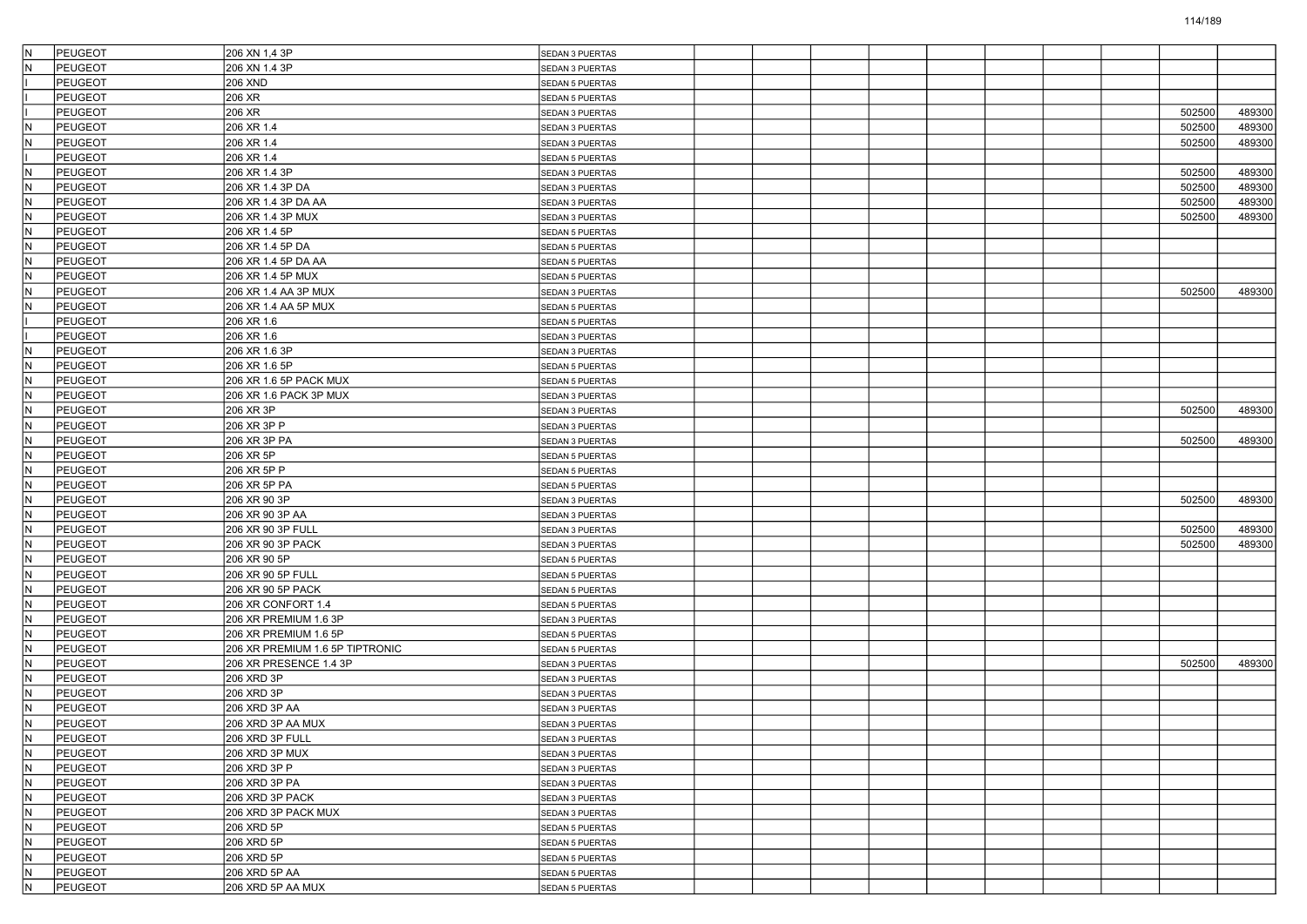| İΝ       | <b>PEUGEOT</b>            | 206 XN 1,4 3P                          | SEDAN 3 PUERTAS        |  |  |  |        |        |
|----------|---------------------------|----------------------------------------|------------------------|--|--|--|--------|--------|
|          | <b>PEUGEOT</b>            | 206 XN 1.4 3P                          | <b>SEDAN 3 PUERTAS</b> |  |  |  |        |        |
|          | <b>PEUGEOT</b>            | 206 XND                                | <b>SEDAN 5 PUERTAS</b> |  |  |  |        |        |
|          | PEUGEOT                   | 206 XR                                 | SEDAN 5 PUERTAS        |  |  |  |        |        |
|          | <b>PEUGEOT</b>            | 206 XR                                 | SEDAN 3 PUERTAS        |  |  |  | 502500 | 489300 |
| İΝ       | PEUGEOT                   | 206 XR 1.4                             | SEDAN 3 PUERTAS        |  |  |  | 502500 | 489300 |
|          | <b>PEUGEOT</b>            | 206 XR 1.4                             | SEDAN 3 PUERTAS        |  |  |  | 502500 | 489300 |
|          | PEUGEOT                   | 206 XR 1.4                             | SEDAN 5 PUERTAS        |  |  |  |        |        |
| İΝ       | PEUGEOT                   | 206 XR 1.4 3P                          | SEDAN 3 PUERTAS        |  |  |  | 502500 | 489300 |
| ΙN       | PEUGEOT                   | 206 XR 1.4 3P DA                       | SEDAN 3 PUERTAS        |  |  |  | 502500 | 489300 |
| İΝ       | PEUGEOT                   | 206 XR 1.4 3P DA AA                    | SEDAN 3 PUERTAS        |  |  |  | 502500 | 489300 |
|          | <b>PEUGEOT</b>            | 206 XR 1.4 3P MUX                      | SEDAN 3 PUERTAS        |  |  |  | 502500 | 489300 |
| ΙN       | <b>PEUGEOT</b>            | 206 XR 1.4 5P                          | SEDAN 5 PUERTAS        |  |  |  |        |        |
| ΙN       | PEUGEOT                   | 206 XR 1.4 5P DA                       | <b>SEDAN 5 PUERTAS</b> |  |  |  |        |        |
| ΙN       | <b>PEUGEOT</b>            | 206 XR 1.4 5P DA AA                    | SEDAN 5 PUERTAS        |  |  |  |        |        |
| İN.      | PEUGEOT                   | 206 XR 1.4 5P MUX                      | SEDAN 5 PUERTAS        |  |  |  |        |        |
|          | <b>PEUGEOT</b>            | 206 XR 1.4 AA 3P MUX                   | SEDAN 3 PUERTAS        |  |  |  | 502500 | 489300 |
| ΙN       | <b>PEUGEOT</b>            | 206 XR 1.4 AA 5P MUX                   | <b>SEDAN 5 PUERTAS</b> |  |  |  |        |        |
|          | PEUGEOT                   | 206 XR 1.6                             | SEDAN 5 PUERTAS        |  |  |  |        |        |
|          | <b>PEUGEOT</b>            | 206 XR 1.6                             | SEDAN 3 PUERTAS        |  |  |  |        |        |
| lΝ       | PEUGEOT                   | 206 XR 1.6 3P                          | SEDAN 3 PUERTAS        |  |  |  |        |        |
|          | <b>PEUGEOT</b>            | 206 XR 1.6 5P                          | SEDAN 5 PUERTAS        |  |  |  |        |        |
| ΙN       | PEUGEOT                   | 206 XR 1.6 5P PACK MUX                 | SEDAN 5 PUERTAS        |  |  |  |        |        |
| ΙN       | PEUGEOT                   | 206 XR 1.6 PACK 3P MUX                 | SEDAN 3 PUERTAS        |  |  |  |        |        |
| ΙN       | PEUGEOT                   | 206 XR 3P                              | SEDAN 3 PUERTAS        |  |  |  | 502500 | 489300 |
| İN.      | PEUGEOT                   | 206 XR 3P P                            | SEDAN 3 PUERTAS        |  |  |  |        |        |
|          | <b>PEUGEOT</b>            | 206 XR 3P PA                           | SEDAN 3 PUERTAS        |  |  |  | 502500 | 489300 |
| ΙN       | PEUGEOT                   | 206 XR 5P                              | SEDAN 5 PUERTAS        |  |  |  |        |        |
| ΙN       | PEUGEOT                   | 206 XR 5P P                            | SEDAN 5 PUERTAS        |  |  |  |        |        |
| ΙN       | PEUGEOT                   | 206 XR 5P PA                           | <b>SEDAN 5 PUERTAS</b> |  |  |  |        |        |
| İN.      | PEUGEOT                   | 206 XR 90 3P                           | SEDAN 3 PUERTAS        |  |  |  | 502500 | 489300 |
|          | <b>PEUGEOT</b>            | 206 XR 90 3P AA                        | SEDAN 3 PUERTAS        |  |  |  |        |        |
| ΙN       | <b>PEUGEOT</b>            | 206 XR 90 3P FULL                      | SEDAN 3 PUERTAS        |  |  |  | 502500 | 489300 |
| ΙN       | PEUGEOT                   |                                        |                        |  |  |  | 502500 | 489300 |
| ΙN       |                           | 206 XR 90 3P PACK                      | SEDAN 3 PUERTAS        |  |  |  |        |        |
| İN.      | <b>PEUGEOT</b><br>PEUGEOT | 206 XR 90 5P                           | SEDAN 5 PUERTAS        |  |  |  |        |        |
|          |                           | 206 XR 90 5P FULL<br>206 XR 90 5P PACK | SEDAN 5 PUERTAS        |  |  |  |        |        |
|          | <b>PEUGEOT</b>            |                                        | SEDAN 5 PUERTAS        |  |  |  |        |        |
| ΙN       | PEUGEOT                   | 206 XR CONFORT 1.4                     | <b>SEDAN 5 PUERTAS</b> |  |  |  |        |        |
| ΙN       | PEUGEOT                   | 206 XR PREMIUM 1.6 3P                  | SEDAN 3 PUERTAS        |  |  |  |        |        |
| ΙN<br>İΝ | <b>PEUGEOT</b>            | 206 XR PREMIUM 1.6 5P                  | <b>SEDAN 5 PUERTAS</b> |  |  |  |        |        |
|          | PEUGEOT                   | 206 XR PREMIUM 1.6 5P TIPTRONIC        | <b>SEDAN 5 PUERTAS</b> |  |  |  |        |        |
|          | <b>PEUGEOT</b>            | 206 XR PRESENCE 1.4 3P                 | SEDAN 3 PUERTAS        |  |  |  | 502500 | 489300 |
| ΙN       | PEUGEOT                   | 206 XRD 3P                             | SEDAN 3 PUERTAS        |  |  |  |        |        |
| ΙN       | PEUGEOT                   | 206 XRD 3P                             | SEDAN 3 PUERTAS        |  |  |  |        |        |
| ΙN       | PEUGEOT                   | 206 XRD 3P AA                          | SEDAN 3 PUERTAS        |  |  |  |        |        |
| IN.      | PEUGEOT                   | 206 XRD 3P AA MUX                      | SEDAN 3 PUERTAS        |  |  |  |        |        |
|          | PEUGEOT                   | 206 XRD 3P FULL                        | SEDAN 3 PUERTAS        |  |  |  |        |        |
| İN.      | PEUGEOT                   | 206 XRD 3P MUX                         | SEDAN 3 PUERTAS        |  |  |  |        |        |
| IN.      | PEUGEOT                   | 206 XRD 3P P                           | SEDAN 3 PUERTAS        |  |  |  |        |        |
| İN.      | PEUGEOT                   | 206 XRD 3P PA                          | SEDAN 3 PUERTAS        |  |  |  |        |        |
| İN.      | PEUGEOT                   | 206 XRD 3P PACK                        | SEDAN 3 PUERTAS        |  |  |  |        |        |
| IN.      | PEUGEOT                   | 206 XRD 3P PACK MUX                    | SEDAN 3 PUERTAS        |  |  |  |        |        |
| İN.      | PEUGEOT                   | 206 XRD 5P                             | <b>SEDAN 5 PUERTAS</b> |  |  |  |        |        |
| İN.      | PEUGEOT                   | 206 XRD 5P                             | SEDAN 5 PUERTAS        |  |  |  |        |        |
| IN.      | PEUGEOT                   | 206 XRD 5P                             | <b>SEDAN 5 PUERTAS</b> |  |  |  |        |        |
| IN.      | PEUGEOT                   | 206 XRD 5P AA                          | <b>SEDAN 5 PUERTAS</b> |  |  |  |        |        |
| IN.      | PEUGEOT                   | 206 XRD 5P AA MUX                      | SEDAN 5 PUERTAS        |  |  |  |        |        |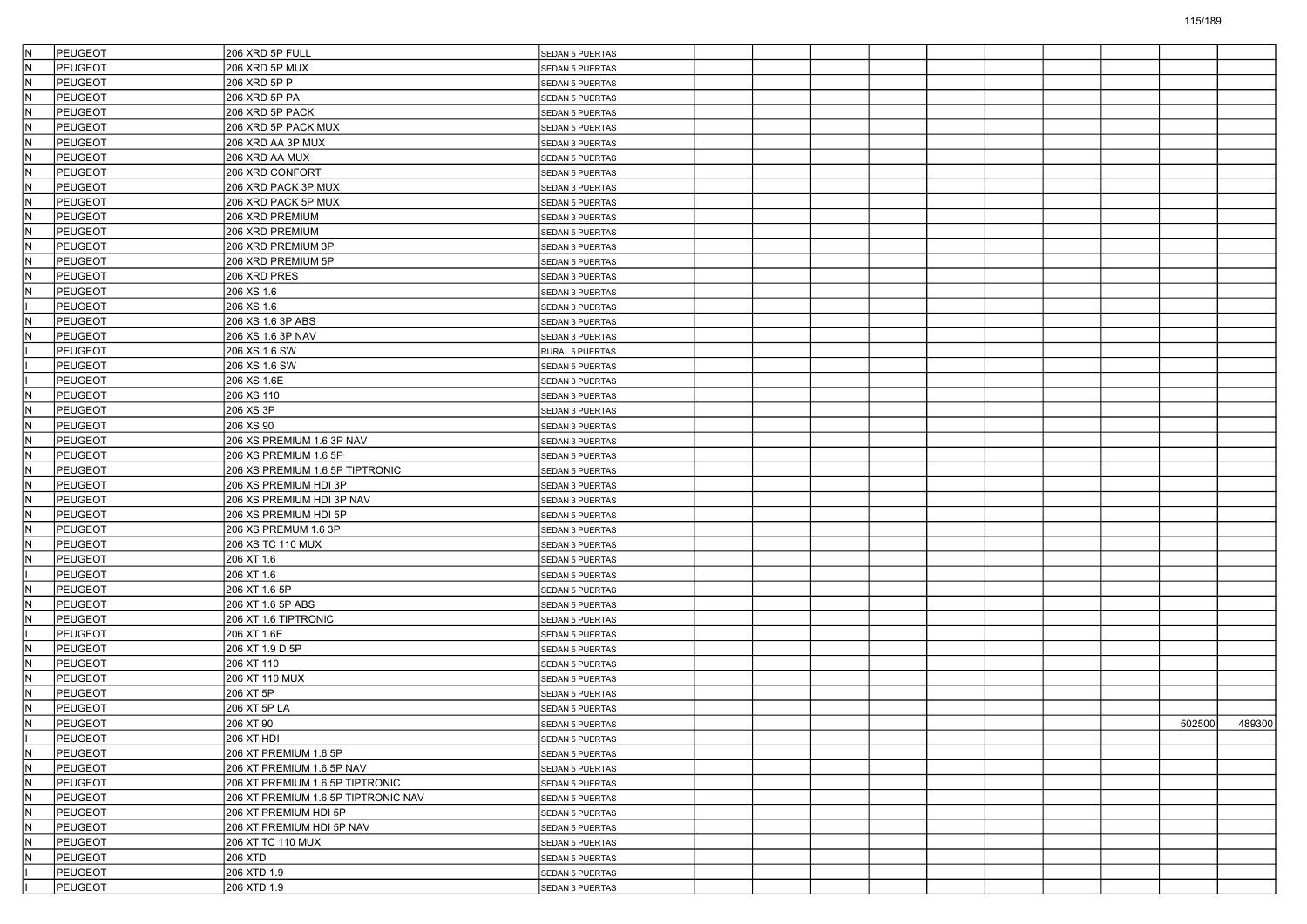| İΝ  | PEUGEOT        | 206 XRD 5P FULL                     | <b>SEDAN 5 PUERTAS</b> |  |  |  |  |        |        |
|-----|----------------|-------------------------------------|------------------------|--|--|--|--|--------|--------|
|     | <b>PEUGEOT</b> | 206 XRD 5P MUX                      | <b>SEDAN 5 PUERTAS</b> |  |  |  |  |        |        |
| ΙN  | PEUGEOT        | 206 XRD 5P P                        | SEDAN 5 PUERTAS        |  |  |  |  |        |        |
| IN. | PEUGEOT        | 206 XRD 5P PA                       | SEDAN 5 PUERTAS        |  |  |  |  |        |        |
| ΙN  | <b>PEUGEOT</b> | 206 XRD 5P PACK                     | SEDAN 5 PUERTAS        |  |  |  |  |        |        |
| İN. | PEUGEOT        | 206 XRD 5P PACK MUX                 | SEDAN 5 PUERTAS        |  |  |  |  |        |        |
| ΙN  | <b>PEUGEOT</b> | 206 XRD AA 3P MUX                   | SEDAN 3 PUERTAS        |  |  |  |  |        |        |
| ΙN  | <b>PEUGEOT</b> | 206 XRD AA MUX                      | SEDAN 5 PUERTAS        |  |  |  |  |        |        |
| ΙN  | PEUGEOT        | 206 XRD CONFORT                     | SEDAN 5 PUERTAS        |  |  |  |  |        |        |
| ΙN  | <b>PEUGEOT</b> | 206 XRD PACK 3P MUX                 | SEDAN 3 PUERTAS        |  |  |  |  |        |        |
| İN  | PEUGEOT        | 206 XRD PACK 5P MUX                 | SEDAN 5 PUERTAS        |  |  |  |  |        |        |
|     | <b>PEUGEOT</b> | 206 XRD PREMIUM                     | SEDAN 3 PUERTAS        |  |  |  |  |        |        |
| ΙN  | <b>PEUGEOT</b> | 206 XRD PREMIUM                     | SEDAN 5 PUERTAS        |  |  |  |  |        |        |
| ΙN  | PEUGEOT        | 206 XRD PREMIUM 3P                  | SEDAN 3 PUERTAS        |  |  |  |  |        |        |
| ΙN  | <b>PEUGEOT</b> | 206 XRD PREMIUM 5P                  | SEDAN 5 PUERTAS        |  |  |  |  |        |        |
| İN. | PEUGEOT        | 206 XRD PRES                        | SEDAN 3 PUERTAS        |  |  |  |  |        |        |
|     | <b>PEUGEOT</b> | 206 XS 1.6                          | SEDAN 3 PUERTAS        |  |  |  |  |        |        |
|     | <b>PEUGEOT</b> | 206 XS 1.6                          | SEDAN 3 PUERTAS        |  |  |  |  |        |        |
| IN. | <b>PEUGEOT</b> | 206 XS 1.6 3P ABS                   |                        |  |  |  |  |        |        |
| ΙN  | <b>PEUGEOT</b> | 206 XS 1.6 3P NAV                   | SEDAN 3 PUERTAS        |  |  |  |  |        |        |
|     | PEUGEOT        | 206 XS 1.6 SW                       | SEDAN 3 PUERTAS        |  |  |  |  |        |        |
|     |                | 206 XS 1.6 SW                       | RURAL 5 PUERTAS        |  |  |  |  |        |        |
|     | PEUGEOT        |                                     | SEDAN 5 PUERTAS        |  |  |  |  |        |        |
|     | PEUGEOT        | 206 XS 1.6E                         | SEDAN 3 PUERTAS        |  |  |  |  |        |        |
| İΝ  | PEUGEOT        | 206 XS 110                          | SEDAN 3 PUERTAS        |  |  |  |  |        |        |
| ΙN  | PEUGEOT        | 206 XS 3P                           | SEDAN 3 PUERTAS        |  |  |  |  |        |        |
| İΝ  | PEUGEOT        | 206 XS 90                           | SEDAN 3 PUERTAS        |  |  |  |  |        |        |
|     | <b>PEUGEOT</b> | 206 XS PREMIUM 1.6 3P NAV           | <b>SEDAN 3 PUERTAS</b> |  |  |  |  |        |        |
| ΙN  | <b>PEUGEOT</b> | 206 XS PREMIUM 1.6 5P               | SEDAN 5 PUERTAS        |  |  |  |  |        |        |
| ΙN  | PEUGEOT        | 206 XS PREMIUM 1.6 5P TIPTRONIC     | SEDAN 5 PUERTAS        |  |  |  |  |        |        |
| ΙN  | PEUGEOT        | 206 XS PREMIUM HDI 3P               | SEDAN 3 PUERTAS        |  |  |  |  |        |        |
| İN. | PEUGEOT        | 206 XS PREMIUM HDI 3P NAV           | SEDAN 3 PUERTAS        |  |  |  |  |        |        |
|     | <b>PEUGEOT</b> | 206 XS PREMIUM HDI 5P               | SEDAN 5 PUERTAS        |  |  |  |  |        |        |
| ΙN  | <b>PEUGEOT</b> | 206 XS PREMUM 1.6 3P                | SEDAN 3 PUERTAS        |  |  |  |  |        |        |
| ΙN  | <b>PEUGEOT</b> | 206 XS TC 110 MUX                   | SEDAN 3 PUERTAS        |  |  |  |  |        |        |
| ΙN  | PEUGEOT        | 206 XT 1.6                          | SEDAN 5 PUERTAS        |  |  |  |  |        |        |
|     | PEUGEOT        | 206 XT 1.6                          | SEDAN 5 PUERTAS        |  |  |  |  |        |        |
|     | <b>PEUGEOT</b> | 206 XT 1.6 5P                       | SEDAN 5 PUERTAS        |  |  |  |  |        |        |
| ΙN  | <b>PEUGEOT</b> | 206 XT 1.6 5P ABS                   | SEDAN 5 PUERTAS        |  |  |  |  |        |        |
| ΙN  | <b>PEUGEOT</b> | 206 XT 1.6 TIPTRONIC                | SEDAN 5 PUERTAS        |  |  |  |  |        |        |
|     | PEUGEOT        | 206 XT 1.6E                         | SEDAN 5 PUERTAS        |  |  |  |  |        |        |
| lΝ  | PEUGEOT        | 206 XT 1.9 D 5P                     | <b>SEDAN 5 PUERTAS</b> |  |  |  |  |        |        |
|     | <b>PEUGEOT</b> | 206 XT 110                          | <b>SEDAN 5 PUERTAS</b> |  |  |  |  |        |        |
| ΙN  | PEUGEOT        | 206 XT 110 MUX                      | SEDAN 5 PUERTAS        |  |  |  |  |        |        |
| ΙN  | PEUGEOT        | 206 XT 5P                           | SEDAN 5 PUERTAS        |  |  |  |  |        |        |
| N   | PEUGEOT        | 206 XT 5P LA                        | SEDAN 5 PUERTAS        |  |  |  |  |        |        |
| lΝ  | PEUGEOT        | 206 XT 90                           | SEDAN 5 PUERTAS        |  |  |  |  | 502500 | 489300 |
|     | PEUGEOT        | 206 XT HDI                          | <b>SEDAN 5 PUERTAS</b> |  |  |  |  |        |        |
| IN. | PEUGEOT        | 206 XT PREMIUM 1.6 5P               | SEDAN 5 PUERTAS        |  |  |  |  |        |        |
| IN. | PEUGEOT        | 206 XT PREMIUM 1.6 5P NAV           | SEDAN 5 PUERTAS        |  |  |  |  |        |        |
| İN. | PEUGEOT        | 206 XT PREMIUM 1.6 5P TIPTRONIC     | <b>SEDAN 5 PUERTAS</b> |  |  |  |  |        |        |
| İN. | PEUGEOT        | 206 XT PREMIUM 1.6 5P TIPTRONIC NAV | SEDAN 5 PUERTAS        |  |  |  |  |        |        |
| IN. | PEUGEOT        | 206 XT PREMIUM HDI 5P               | SEDAN 5 PUERTAS        |  |  |  |  |        |        |
| IN. | PEUGEOT        | 206 XT PREMIUM HDI 5P NAV           | <b>SEDAN 5 PUERTAS</b> |  |  |  |  |        |        |
| İN. | PEUGEOT        | 206 XT TC 110 MUX                   | SEDAN 5 PUERTAS        |  |  |  |  |        |        |
| lΝ  | PEUGEOT        | 206 XTD                             | <b>SEDAN 5 PUERTAS</b> |  |  |  |  |        |        |
|     | PEUGEOT        | 206 XTD 1.9                         | SEDAN 5 PUERTAS        |  |  |  |  |        |        |
|     | PEUGEOT        | 206 XTD 1.9                         | SEDAN 3 PUERTAS        |  |  |  |  |        |        |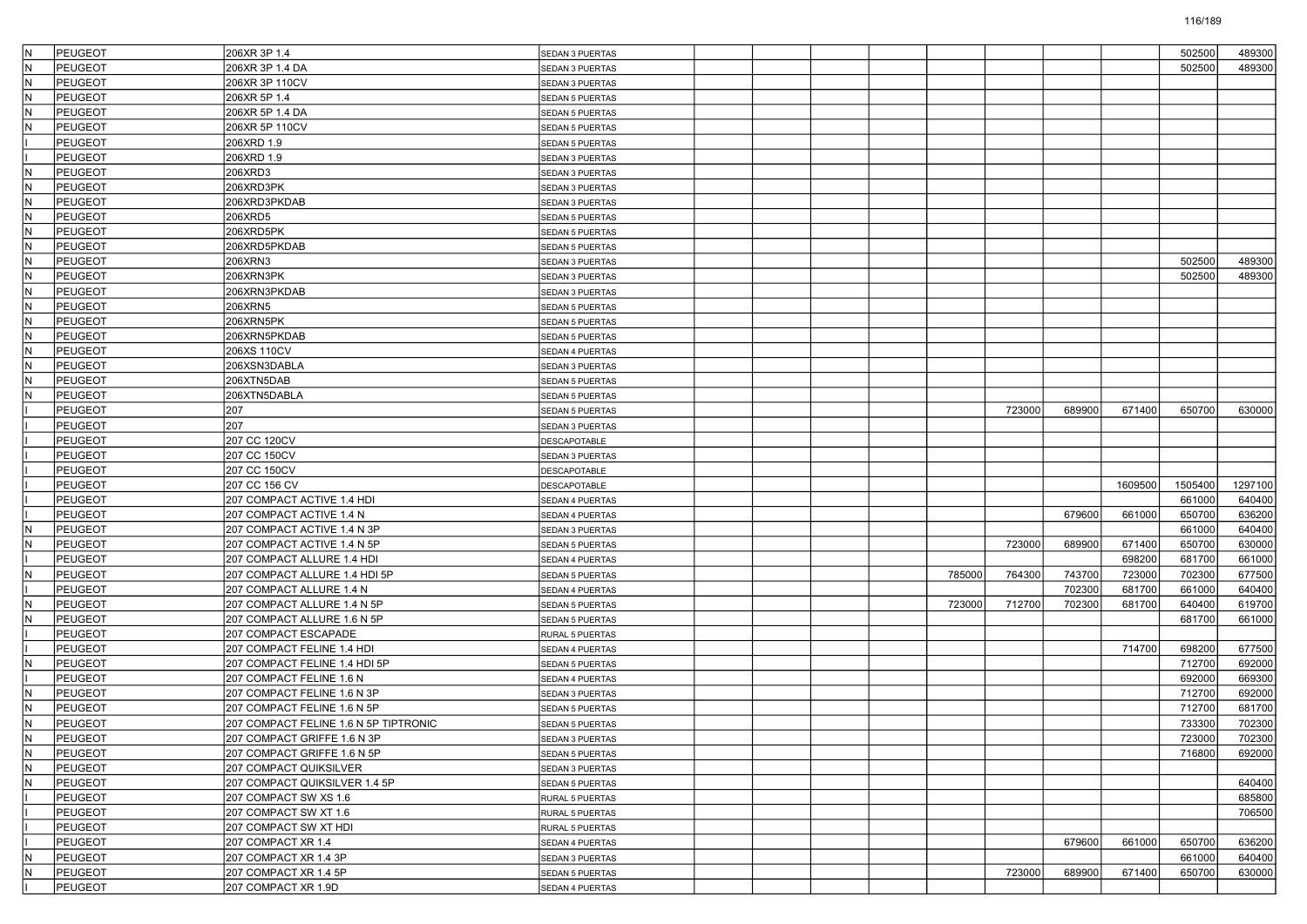| İΝ  | <b>PEUGEOT</b> | 206XR 3P 1.4                          | <b>SEDAN 3 PUERTAS</b> |  |  |        |        |        |         | 502500  | 489300  |
|-----|----------------|---------------------------------------|------------------------|--|--|--------|--------|--------|---------|---------|---------|
|     | PEUGEOT        | 206XR 3P 1.4 DA                       | <b>SEDAN 3 PUERTAS</b> |  |  |        |        |        |         | 502500  | 489300  |
| IN. | <b>PEUGEOT</b> | 206XR 3P 110CV                        | SEDAN 3 PUERTAS        |  |  |        |        |        |         |         |         |
| İΝ  | PEUGEOT        | 206XR 5P 1.4                          | SEDAN 5 PUERTAS        |  |  |        |        |        |         |         |         |
| N   | <b>PEUGEOT</b> | 206XR 5P 1.4 DA                       | SEDAN 5 PUERTAS        |  |  |        |        |        |         |         |         |
| İΝ  | <b>PEUGEOT</b> | 206XR 5P 110CV                        | SEDAN 5 PUERTAS        |  |  |        |        |        |         |         |         |
|     | PEUGEOT        | 206XRD 1.9                            | <b>SEDAN 5 PUERTAS</b> |  |  |        |        |        |         |         |         |
|     | PEUGEOT        | 206XRD 1.9                            | SEDAN 3 PUERTAS        |  |  |        |        |        |         |         |         |
| İΝ  | PEUGEOT        | 206XRD3                               | SEDAN 3 PUERTAS        |  |  |        |        |        |         |         |         |
| N   | PEUGEOT        | 206XRD3PK                             | SEDAN 3 PUERTAS        |  |  |        |        |        |         |         |         |
| IN. | <b>PEUGEOT</b> | 206XRD3PKDAB                          | SEDAN 3 PUERTAS        |  |  |        |        |        |         |         |         |
|     | PEUGEOT        | 206XRD5                               | SEDAN 5 PUERTAS        |  |  |        |        |        |         |         |         |
| N   | PEUGEOT        | 206XRD5PK                             | SEDAN 5 PUERTAS        |  |  |        |        |        |         |         |         |
| IN. | PEUGEOT        | 206XRD5PKDAB                          | SEDAN 5 PUERTAS        |  |  |        |        |        |         |         |         |
| N   | PEUGEOT        | 206XRN3                               | SEDAN 3 PUERTAS        |  |  |        |        |        |         | 502500  | 489300  |
| IN. | <b>PEUGEOT</b> | 206XRN3PK                             | SEDAN 3 PUERTAS        |  |  |        |        |        |         | 502500  | 489300  |
|     | PEUGEOT        | 206XRN3PKDAB                          | SEDAN 3 PUERTAS        |  |  |        |        |        |         |         |         |
| N   | PEUGEOT        | 206XRN5                               | SEDAN 5 PUERTAS        |  |  |        |        |        |         |         |         |
| İΝ  | PEUGEOT        | 206XRN5PK                             | SEDAN 5 PUERTAS        |  |  |        |        |        |         |         |         |
| N   | PEUGEOT        | 206XRN5PKDAB                          | SEDAN 5 PUERTAS        |  |  |        |        |        |         |         |         |
| İΝ  | <b>PEUGEOT</b> | 206XS 110CV                           | SEDAN 4 PUERTAS        |  |  |        |        |        |         |         |         |
|     | PEUGEOT        | 206XSN3DABLA                          | SEDAN 3 PUERTAS        |  |  |        |        |        |         |         |         |
| N   | PEUGEOT        | 206XTN5DAB                            | SEDAN 5 PUERTAS        |  |  |        |        |        |         |         |         |
| N   | PEUGEOT        | 206XTN5DABLA                          | SEDAN 5 PUERTAS        |  |  |        |        |        |         |         |         |
|     | PEUGEOT        | 207                                   | SEDAN 5 PUERTAS        |  |  |        | 723000 | 689900 | 671400  | 650700  | 630000  |
|     | <b>PEUGEOT</b> | 207                                   | SEDAN 3 PUERTAS        |  |  |        |        |        |         |         |         |
|     | PEUGEOT        | 207 CC 120CV                          | DESCAPOTABLE           |  |  |        |        |        |         |         |         |
|     | PEUGEOT        | 207 CC 150CV                          | SEDAN 3 PUERTAS        |  |  |        |        |        |         |         |         |
|     | PEUGEOT        | 207 CC 150CV                          | DESCAPOTABLE           |  |  |        |        |        |         |         |         |
|     | <b>PEUGEOT</b> | 207 CC 156 CV                         | DESCAPOTABLE           |  |  |        |        |        | 1609500 | 1505400 | 1297100 |
|     | <b>PEUGEOT</b> | 207 COMPACT ACTIVE 1.4 HDI            | SEDAN 4 PUERTAS        |  |  |        |        |        |         | 661000  | 640400  |
|     | PEUGEOT        | 207 COMPACT ACTIVE 1.4 N              | SEDAN 4 PUERTAS        |  |  |        |        | 679600 | 661000  | 650700  | 636200  |
| N   | PEUGEOT        | 207 COMPACT ACTIVE 1.4 N 3P           | SEDAN 3 PUERTAS        |  |  |        |        |        |         | 661000  | 640400  |
| N   | <b>PEUGEOT</b> | 207 COMPACT ACTIVE 1.4 N 5P           | SEDAN 5 PUERTAS        |  |  |        | 723000 | 689900 | 671400  | 650700  | 630000  |
|     | PEUGEOT        | 207 COMPACT ALLURE 1.4 HDI            | SEDAN 4 PUERTAS        |  |  |        |        |        | 698200  | 681700  | 661000  |
| N   | <b>PEUGEOT</b> | 207 COMPACT ALLURE 1.4 HDI 5P         | SEDAN 5 PUERTAS        |  |  | 785000 | 764300 | 743700 | 723000  | 702300  | 677500  |
|     | PEUGEOT        | 207 COMPACT ALLURE 1.4 N              | SEDAN 4 PUERTAS        |  |  |        |        | 702300 | 681700  | 661000  | 640400  |
| N   | PEUGEOT        | 207 COMPACT ALLURE 1.4 N 5P           | SEDAN 5 PUERTAS        |  |  | 723000 | 712700 | 702300 | 681700  | 640400  | 619700  |
| N   | <b>PEUGEOT</b> | 207 COMPACT ALLURE 1.6 N 5P           | SEDAN 5 PUERTAS        |  |  |        |        |        |         | 681700  | 661000  |
|     | PEUGEOT        | 207 COMPACT ESCAPADE                  | RURAL 5 PUERTAS        |  |  |        |        |        |         |         |         |
|     | <b>PEUGEOT</b> | 207 COMPACT FELINE 1.4 HDI            | SEDAN 4 PUERTAS        |  |  |        |        |        | 714700  | 698200  | 677500  |
|     | PEUGEOT        | 207 COMPACT FELINE 1.4 HDI 5P         | SEDAN 5 PUERTAS        |  |  |        |        |        |         | 712700  | 692000  |
|     | PEUGEOT        | 207 COMPACT FELINE 1.6 N              | SEDAN 4 PUERTAS        |  |  |        |        |        |         | 692000  | 669300  |
| İΝ  | PEUGEOT        | 207 COMPACT FELINE 1.6 N 3P           | SEDAN 3 PUERTAS        |  |  |        |        |        |         | 712700  | 692000  |
| N   | PEUGEOT        | 207 COMPACT FELINE 1.6 N 5P           | <b>SEDAN 5 PUERTAS</b> |  |  |        |        |        |         | 712700  | 681700  |
| IN. | PEUGEOT        | 207 COMPACT FELINE 1.6 N 5P TIPTRONIC | <b>SEDAN 5 PUERTAS</b> |  |  |        |        |        |         | 733300  | 702300  |
| l۸  | PEUGEOT        | 207 COMPACT GRIFFE 1.6 N 3P           | SEDAN 3 PUERTAS        |  |  |        |        |        |         | 723000  | 702300  |
| IN. | <b>PEUGEOT</b> | 207 COMPACT GRIFFE 1.6 N 5P           | SEDAN 5 PUERTAS        |  |  |        |        |        |         | 716800  | 692000  |
| IN. | PEUGEOT        | 207 COMPACT QUIKSILVER                | SEDAN 3 PUERTAS        |  |  |        |        |        |         |         |         |
| İΝ  | <b>PEUGEOT</b> | 207 COMPACT QUIKSILVER 1.4 5P         | <b>SEDAN 5 PUERTAS</b> |  |  |        |        |        |         |         | 640400  |
|     | <b>PEUGEOT</b> | 207 COMPACT SW XS 1.6                 | RURAL 5 PUERTAS        |  |  |        |        |        |         |         | 685800  |
|     | PEUGEOT        | 207 COMPACT SW XT 1.6                 | RURAL 5 PUERTAS        |  |  |        |        |        |         |         | 706500  |
|     | <b>PEUGEOT</b> | 207 COMPACT SW XT HDI                 | RURAL 5 PUERTAS        |  |  |        |        |        |         |         |         |
|     | PEUGEOT        | 207 COMPACT XR 1.4                    | SEDAN 4 PUERTAS        |  |  |        |        | 679600 | 661000  | 650700  | 636200  |
| N   | <b>PEUGEOT</b> | 207 COMPACT XR 1.4 3P                 | SEDAN 3 PUERTAS        |  |  |        |        |        |         | 661000  | 640400  |
| IN. | <b>PEUGEOT</b> | 207 COMPACT XR 1.4 5P                 | SEDAN 5 PUERTAS        |  |  |        | 723000 | 689900 | 671400  | 650700  | 630000  |
|     | PEUGEOT        | 207 COMPACT XR 1.9D                   | SEDAN 4 PUERTAS        |  |  |        |        |        |         |         |         |
|     |                |                                       |                        |  |  |        |        |        |         |         |         |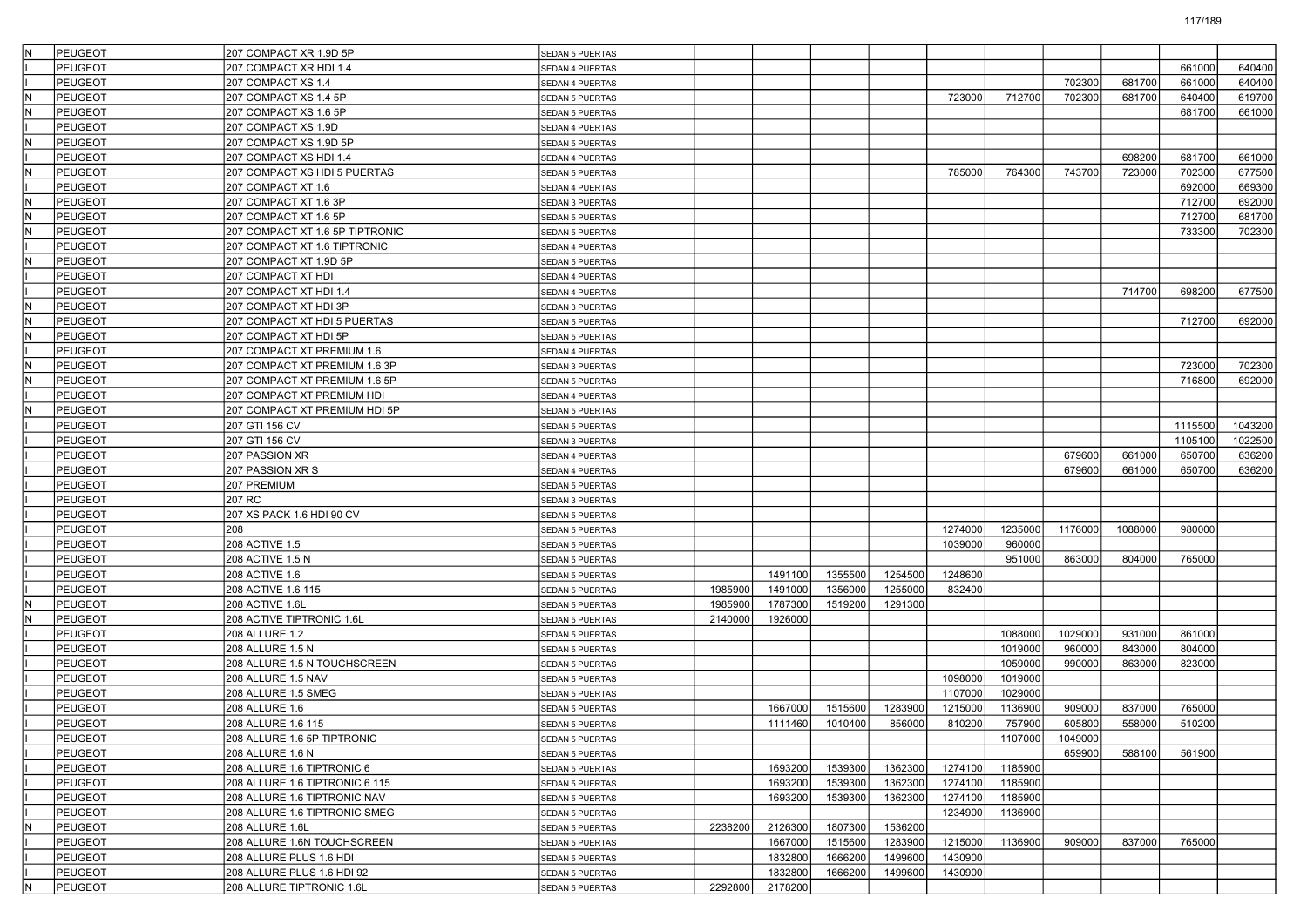| IΝ  | PEUGEOT        | 207 COMPACT XR 1.9D 5P          | <b>SEDAN 5 PUERTAS</b> |         |         |         |         |         |         |         |         |         |         |
|-----|----------------|---------------------------------|------------------------|---------|---------|---------|---------|---------|---------|---------|---------|---------|---------|
|     | <b>PEUGEOT</b> | 207 COMPACT XR HDI 1.4          | SEDAN 4 PUERTAS        |         |         |         |         |         |         |         |         | 661000  | 640400  |
|     | <b>PEUGEOT</b> | 207 COMPACT XS 1.4              | SEDAN 4 PUERTAS        |         |         |         |         |         |         | 702300  | 681700  | 661000  | 640400  |
|     | <b>PEUGEOT</b> | 207 COMPACT XS 1.4 5P           | SEDAN 5 PUERTAS        |         |         |         |         | 723000  | 712700  | 702300  | 681700  | 640400  | 619700  |
|     | <b>PEUGEOT</b> | 207 COMPACT XS 1.6 5P           | SEDAN 5 PUERTAS        |         |         |         |         |         |         |         |         | 681700  | 661000  |
|     | <b>PEUGEOT</b> | 207 COMPACT XS 1.9D             | SEDAN 4 PUERTAS        |         |         |         |         |         |         |         |         |         |         |
|     | PEUGEOT        | 207 COMPACT XS 1.9D 5P          | <b>SEDAN 5 PUERTAS</b> |         |         |         |         |         |         |         |         |         |         |
|     | <b>PEUGEOT</b> | 207 COMPACT XS HDI 1.4          | SEDAN 4 PUERTAS        |         |         |         |         |         |         |         | 698200  | 681700  | 661000  |
|     | <b>PEUGEOT</b> | 207 COMPACT XS HDI 5 PUERTAS    | SEDAN 5 PUERTAS        |         |         |         |         | 785000  | 764300  | 743700  | 723000  | 702300  | 677500  |
|     | <b>PEUGEOT</b> | 207 COMPACT XT 1.6              | SEDAN 4 PUERTAS        |         |         |         |         |         |         |         |         | 692000  | 669300  |
| İΝ  | <b>PEUGEOT</b> | 207 COMPACT XT 1.6 3P           | SEDAN 3 PUERTAS        |         |         |         |         |         |         |         |         | 712700  | 692000  |
|     | PEUGEOT        | 207 COMPACT XT 1.6 5P           | SEDAN 5 PUERTAS        |         |         |         |         |         |         |         |         | 712700  | 681700  |
|     | <b>PEUGEOT</b> | 207 COMPACT XT 1.6 5P TIPTRONIC | SEDAN 5 PUERTAS        |         |         |         |         |         |         |         |         | 733300  | 702300  |
|     | <b>PEUGEOT</b> | 207 COMPACT XT 1.6 TIPTRONIC    | SEDAN 4 PUERTAS        |         |         |         |         |         |         |         |         |         |         |
| ΙN  | <b>PEUGEOT</b> | 207 COMPACT XT 1.9D 5P          | SEDAN 5 PUERTAS        |         |         |         |         |         |         |         |         |         |         |
|     | <b>PEUGEOT</b> | 207 COMPACT XT HDI              | SEDAN 4 PUERTAS        |         |         |         |         |         |         |         |         |         |         |
|     | <b>PEUGEOT</b> | 207 COMPACT XT HDI 1.4          | SEDAN 4 PUERTAS        |         |         |         |         |         |         |         | 714700  | 698200  | 677500  |
| ΙN  | <b>PEUGEOT</b> | 207 COMPACT XT HDI 3P           | SEDAN 3 PUERTAS        |         |         |         |         |         |         |         |         |         |         |
|     | <b>PEUGEOT</b> | 207 COMPACT XT HDI 5 PUERTAS    | SEDAN 5 PUERTAS        |         |         |         |         |         |         |         |         | 712700  | 692000  |
|     | <b>PEUGEOT</b> | 207 COMPACT XT HDI 5P           | SEDAN 5 PUERTAS        |         |         |         |         |         |         |         |         |         |         |
|     | <b>PEUGEOT</b> | 207 COMPACT XT PREMIUM 1.6      | SEDAN 4 PUERTAS        |         |         |         |         |         |         |         |         |         |         |
|     | <b>PEUGEOT</b> | 207 COMPACT XT PREMIUM 1.6 3P   | SEDAN 3 PUERTAS        |         |         |         |         |         |         |         |         | 723000  | 702300  |
|     | <b>PEUGEOT</b> | 207 COMPACT XT PREMIUM 1.6 5P   | SEDAN 5 PUERTAS        |         |         |         |         |         |         |         |         | 716800  | 692000  |
|     | <b>PEUGEOT</b> | 207 COMPACT XT PREMIUM HDI      | SEDAN 4 PUERTAS        |         |         |         |         |         |         |         |         |         |         |
|     | <b>PEUGEOT</b> | 207 COMPACT XT PREMIUM HDI 5P   | SEDAN 5 PUERTAS        |         |         |         |         |         |         |         |         |         |         |
|     | <b>PEUGEOT</b> | 207 GTI 156 CV                  | SEDAN 5 PUERTAS        |         |         |         |         |         |         |         |         | 1115500 | 1043200 |
|     | <b>PEUGEOT</b> | 207 GTI 156 CV                  | SEDAN 3 PUERTAS        |         |         |         |         |         |         |         |         | 1105100 | 1022500 |
|     | <b>PEUGEOT</b> | 207 PASSION XR                  | SEDAN 4 PUERTAS        |         |         |         |         |         |         | 679600  | 661000  | 650700  | 636200  |
|     | <b>PEUGEOT</b> | 207 PASSION XR S                | SEDAN 4 PUERTAS        |         |         |         |         |         |         | 679600  | 661000  | 650700  | 636200  |
|     | <b>PEUGEOT</b> | 207 PREMIUM                     | SEDAN 5 PUERTAS        |         |         |         |         |         |         |         |         |         |         |
|     | <b>PEUGEOT</b> | 207 RC                          | SEDAN 3 PUERTAS        |         |         |         |         |         |         |         |         |         |         |
|     | <b>PEUGEOT</b> | 207 XS PACK 1.6 HDI 90 CV       | SEDAN 5 PUERTAS        |         |         |         |         |         |         |         |         |         |         |
|     | <b>PEUGEOT</b> | 208                             | SEDAN 5 PUERTAS        |         |         |         |         | 1274000 | 1235000 | 1176000 | 1088000 | 980000  |         |
|     | <b>PEUGEOT</b> | 208 ACTIVE 1.5                  | SEDAN 5 PUERTAS        |         |         |         |         | 1039000 | 960000  |         |         |         |         |
|     | <b>PEUGEOT</b> | 208 ACTIVE 1.5 N                | SEDAN 5 PUERTAS        |         |         |         |         |         | 951000  | 863000  | 804000  | 765000  |         |
|     | <b>PEUGEOT</b> | 208 ACTIVE 1.6                  | SEDAN 5 PUERTAS        |         | 1491100 | 1355500 | 1254500 | 1248600 |         |         |         |         |         |
|     | <b>PEUGEOT</b> | 208 ACTIVE 1.6 115              | SEDAN 5 PUERTAS        | 1985900 | 1491000 | 1356000 | 1255000 | 832400  |         |         |         |         |         |
|     | PEUGEOT        | <b>208 ACTIVE 1.6L</b>          | SEDAN 5 PUERTAS        | 1985900 | 1787300 | 1519200 | 1291300 |         |         |         |         |         |         |
|     | <b>PEUGEOT</b> | 208 ACTIVE TIPTRONIC 1.6L       | SEDAN 5 PUERTAS        | 2140000 | 1926000 |         |         |         |         |         |         |         |         |
|     | <b>PEUGEOT</b> | 208 ALLURE 1.2                  | SEDAN 5 PUERTAS        |         |         |         |         |         | 1088000 | 1029000 | 931000  | 861000  |         |
|     | <b>PEUGEOT</b> | 208 ALLURE 1.5 N                | <b>SEDAN 5 PUERTAS</b> |         |         |         |         |         | 1019000 | 960000  | 843000  | 804000  |         |
|     | <b>PEUGEOT</b> | 208 ALLURE 1.5 N TOUCHSCREEN    | SEDAN 5 PUERTAS        |         |         |         |         |         | 1059000 | 990000  | 863000  | 823000  |         |
|     | <b>PEUGEOT</b> | 208 ALLURE 1.5 NAV              | SEDAN 5 PUERTAS        |         |         |         |         | 1098000 | 1019000 |         |         |         |         |
|     | <b>PEUGEOT</b> | 208 ALLURE 1.5 SMEG             | SEDAN 5 PUERTAS        |         |         |         |         | 1107000 | 1029000 |         |         |         |         |
|     | <b>PEUGEOT</b> | 208 ALLURE 1.6                  | SEDAN 5 PUERTAS        |         | 1667000 | 1515600 | 1283900 | 1215000 | 1136900 | 909000  | 837000  | 765000  |         |
|     | <b>PEUGEOT</b> | 208 ALLURE 1.6 115              | SEDAN 5 PUERTAS        |         | 1111460 | 1010400 | 856000  | 810200  | 757900  | 605800  | 558000  | 510200  |         |
|     | PEUGEOT        | 208 ALLURE 1.6 5P TIPTRONIC     | SEDAN 5 PUERTAS        |         |         |         |         |         | 1107000 | 1049000 |         |         |         |
|     | <b>PEUGEOT</b> | 208 ALLURE 1.6 N                | <b>SEDAN 5 PUERTAS</b> |         |         |         |         |         |         | 659900  | 588100  | 561900  |         |
|     | <b>PEUGEOT</b> | 208 ALLURE 1.6 TIPTRONIC 6      | SEDAN 5 PUERTAS        |         | 1693200 | 1539300 | 1362300 | 1274100 | 1185900 |         |         |         |         |
|     | <b>PEUGEOT</b> | 208 ALLURE 1.6 TIPTRONIC 6 115  | <b>SEDAN 5 PUERTAS</b> |         | 1693200 | 1539300 | 1362300 | 1274100 | 1185900 |         |         |         |         |
|     | PEUGEOT        | 208 ALLURE 1.6 TIPTRONIC NAV    | SEDAN 5 PUERTAS        |         | 1693200 | 1539300 | 1362300 | 1274100 | 1185900 |         |         |         |         |
|     | PEUGEOT        | 208 ALLURE 1.6 TIPTRONIC SMEG   | SEDAN 5 PUERTAS        |         |         |         |         | 1234900 | 1136900 |         |         |         |         |
| lΝ  | PEUGEOT        | 208 ALLURE 1.6L                 | SEDAN 5 PUERTAS        | 2238200 | 2126300 | 1807300 | 1536200 |         |         |         |         |         |         |
|     | PEUGEOT        | 208 ALLURE 1.6N TOUCHSCREEN     | SEDAN 5 PUERTAS        |         | 1667000 | 1515600 | 1283900 | 1215000 | 1136900 | 909000  | 837000  | 765000  |         |
|     | PEUGEOT        | 208 ALLURE PLUS 1.6 HDI         | SEDAN 5 PUERTAS        |         | 1832800 | 1666200 | 1499600 | 1430900 |         |         |         |         |         |
|     | PEUGEOT        | 208 ALLURE PLUS 1.6 HDI 92      | SEDAN 5 PUERTAS        |         | 1832800 | 1666200 | 1499600 | 1430900 |         |         |         |         |         |
| IN. | PEUGEOT        | 208 ALLURE TIPTRONIC 1.6L       | SEDAN 5 PUERTAS        | 2292800 | 2178200 |         |         |         |         |         |         |         |         |
|     |                |                                 |                        |         |         |         |         |         |         |         |         |         |         |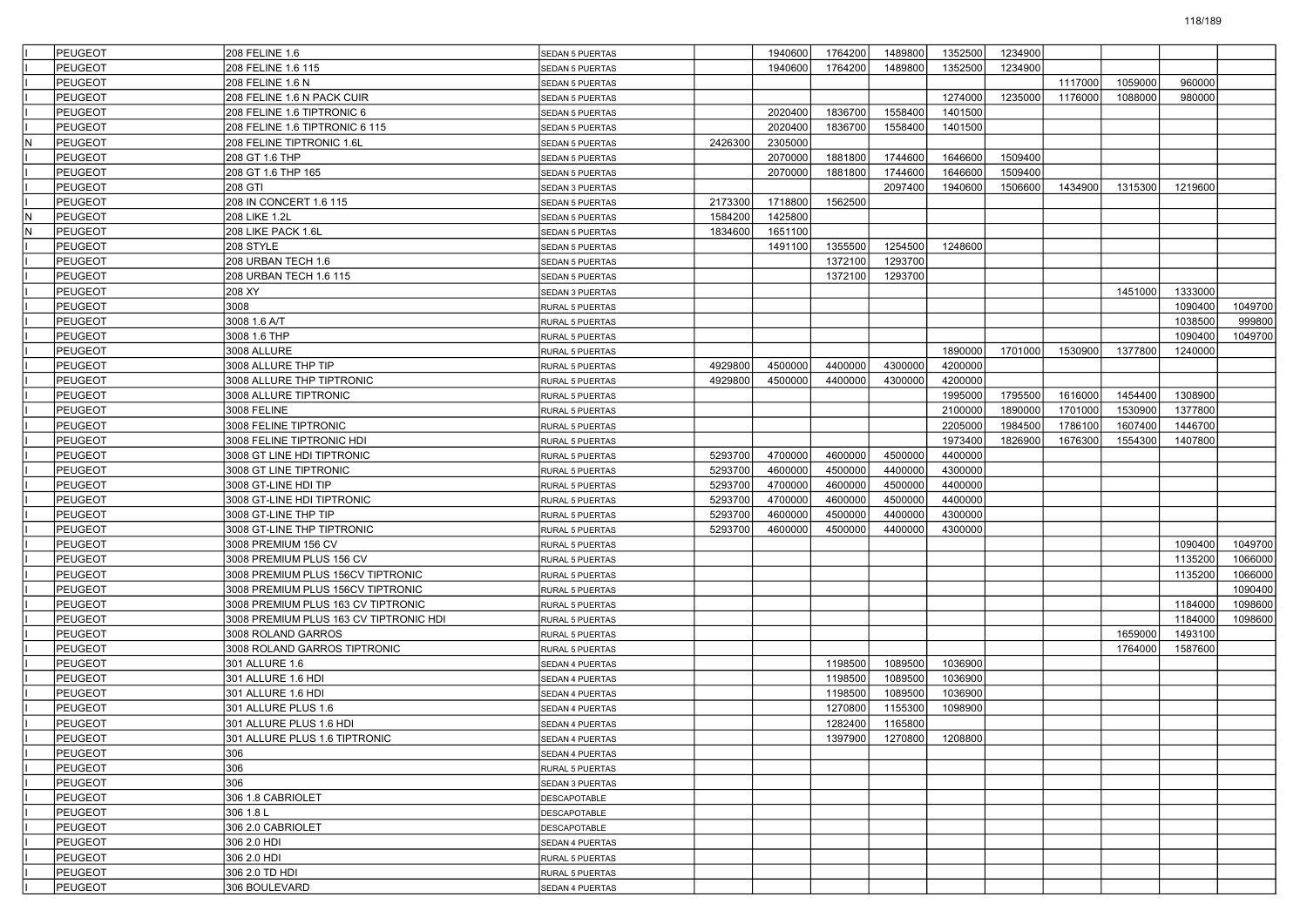|    | PEUGEOT        | 208 FELINE 1.6                         | <b>SEDAN 5 PUERTAS</b> |         | 1940600 | 1764200 | 1489800         | 1352500 | 1234900 |         |         |         |         |
|----|----------------|----------------------------------------|------------------------|---------|---------|---------|-----------------|---------|---------|---------|---------|---------|---------|
|    | <b>PEUGEOT</b> | 208 FELINE 1.6 115                     | SEDAN 5 PUERTAS        |         | 1940600 | 1764200 | 1489800         | 1352500 | 1234900 |         |         |         |         |
|    | PEUGEOT        | 208 FELINE 1.6 N                       | SEDAN 5 PUERTAS        |         |         |         |                 |         |         | 1117000 | 1059000 | 960000  |         |
|    | PEUGEOT        | 208 FELINE 1.6 N PACK CUIR             | SEDAN 5 PUERTAS        |         |         |         |                 | 1274000 | 1235000 | 1176000 | 1088000 | 980000  |         |
|    | <b>PEUGEOT</b> | 208 FELINE 1.6 TIPTRONIC 6             | SEDAN 5 PUERTAS        |         | 2020400 | 1836700 | 1558400         | 1401500 |         |         |         |         |         |
|    | <b>PEUGEOT</b> | 208 FELINE 1.6 TIPTRONIC 6 115         | SEDAN 5 PUERTAS        |         | 2020400 | 1836700 | 1558400         | 1401500 |         |         |         |         |         |
| N  | PEUGEOT        | 208 FELINE TIPTRONIC 1.6L              | SEDAN 5 PUERTAS        | 2426300 | 2305000 |         |                 |         |         |         |         |         |         |
|    | <b>PEUGEOT</b> | 208 GT 1.6 THP                         | SEDAN 5 PUERTAS        |         | 2070000 | 1881800 | 1744600         | 1646600 | 1509400 |         |         |         |         |
|    | PEUGEOT        | 208 GT 1.6 THP 165                     | SEDAN 5 PUERTAS        |         | 2070000 | 1881800 | 1744600         | 1646600 | 1509400 |         |         |         |         |
|    | <b>PEUGEOT</b> | 208 GTI                                | SEDAN 3 PUERTAS        |         |         |         | 2097400         | 1940600 | 1506600 | 1434900 | 1315300 | 1219600 |         |
|    | <b>PEUGEOT</b> | 208 IN CONCERT 1.6 115                 | SEDAN 5 PUERTAS        | 2173300 | 1718800 | 1562500 |                 |         |         |         |         |         |         |
| ΙN | <b>PEUGEOT</b> | 208 LIKE 1.2L                          | <b>SEDAN 5 PUERTAS</b> | 1584200 | 1425800 |         |                 |         |         |         |         |         |         |
| N  | PEUGEOT        | 208 LIKE PACK 1.6L                     | SEDAN 5 PUERTAS        | 1834600 | 1651100 |         |                 |         |         |         |         |         |         |
|    | PEUGEOT        | 208 STYLE                              | <b>SEDAN 5 PUERTAS</b> |         | 1491100 | 1355500 | 1254500         | 1248600 |         |         |         |         |         |
|    | <b>PEUGEOT</b> | 208 URBAN TECH 1.6                     | SEDAN 5 PUERTAS        |         |         | 1372100 | 1293700         |         |         |         |         |         |         |
|    | PEUGEOT        | 208 URBAN TECH 1.6 115                 | SEDAN 5 PUERTAS        |         |         | 1372100 | 1293700         |         |         |         |         |         |         |
|    | <b>PEUGEOT</b> | 208 XY                                 | SEDAN 3 PUERTAS        |         |         |         |                 |         |         |         | 1451000 | 1333000 |         |
|    | PEUGEOT        | 3008                                   | RURAL 5 PUERTAS        |         |         |         |                 |         |         |         |         | 1090400 | 1049700 |
|    | PEUGEOT        | 3008 1.6 A/T                           | RURAL 5 PUERTAS        |         |         |         |                 |         |         |         |         | 1038500 | 999800  |
|    | PEUGEOT        | 3008 1.6 THP                           | RURAL 5 PUERTAS        |         |         |         |                 |         |         |         |         | 1090400 | 1049700 |
|    | PEUGEOT        | 3008 ALLURE                            | RURAL 5 PUERTAS        |         |         |         |                 | 1890000 | 1701000 | 1530900 | 1377800 | 1240000 |         |
|    | <b>PEUGEOT</b> | 3008 ALLURE THP TIP                    | RURAL 5 PUERTAS        | 4929800 | 4500000 | 4400000 | 4300000         | 4200000 |         |         |         |         |         |
|    | PEUGEOT        | 3008 ALLURE THP TIPTRONIC              | RURAL 5 PUERTAS        | 4929800 | 4500000 | 4400000 | 4300000         | 4200000 |         |         |         |         |         |
|    | PEUGEOT        | 3008 ALLURE TIPTRONIC                  | RURAL 5 PUERTAS        |         |         |         |                 | 1995000 | 1795500 | 1616000 | 1454400 | 1308900 |         |
|    | PEUGEOT        | 3008 FELINE                            | RURAL 5 PUERTAS        |         |         |         |                 | 2100000 | 1890000 | 1701000 | 1530900 | 1377800 |         |
|    | PEUGEOT        | 3008 FELINE TIPTRONIC                  | RURAL 5 PUERTAS        |         |         |         |                 | 2205000 | 1984500 | 1786100 | 1607400 | 1446700 |         |
|    | <b>PEUGEOT</b> | 3008 FELINE TIPTRONIC HDI              | RURAL 5 PUERTAS        |         |         |         |                 | 1973400 | 1826900 | 1676300 | 1554300 | 1407800 |         |
|    | PEUGEOT        | 3008 GT LINE HDI TIPTRONIC             | RURAL 5 PUERTAS        | 5293700 | 4700000 | 4600000 | 4500000         | 4400000 |         |         |         |         |         |
|    | PEUGEOT        | 3008 GT LINE TIPTRONIC                 | RURAL 5 PUERTAS        | 5293700 | 4600000 | 4500000 | 4400000         | 4300000 |         |         |         |         |         |
|    | <b>PEUGEOT</b> | 3008 GT-LINE HDI TIP                   | RURAL 5 PUERTAS        | 5293700 | 4700000 | 4600000 | 4500000         | 4400000 |         |         |         |         |         |
|    | <b>PEUGEOT</b> | 3008 GT-LINE HDI TIPTRONIC             | RURAL 5 PUERTAS        | 5293700 | 4700000 | 4600000 | 4500000         | 4400000 |         |         |         |         |         |
|    | <b>PEUGEOT</b> | 3008 GT-LINE THP TIP                   | RURAL 5 PUERTAS        | 5293700 | 4600000 | 4500000 | 4400000         | 4300000 |         |         |         |         |         |
|    | PEUGEOT        | 3008 GT-LINE THP TIPTRONIC             | RURAL 5 PUERTAS        | 5293700 | 4600000 | 4500000 | 4400000         | 4300000 |         |         |         |         |         |
|    | PEUGEOT        | 3008 PREMIUM 156 CV                    | RURAL 5 PUERTAS        |         |         |         |                 |         |         |         |         | 1090400 | 1049700 |
|    | PEUGEOT        | 3008 PREMIUM PLUS 156 CV               | RURAL 5 PUERTAS        |         |         |         |                 |         |         |         |         | 1135200 | 1066000 |
|    | PEUGEOT        | 3008 PREMIUM PLUS 156CV TIPTRONIC      | RURAL 5 PUERTAS        |         |         |         |                 |         |         |         |         | 1135200 | 1066000 |
|    | <b>PEUGEOT</b> | 3008 PREMIUM PLUS 156CV TIPTRONIC      | RURAL 5 PUERTAS        |         |         |         |                 |         |         |         |         |         | 1090400 |
|    | PEUGEOT        | 3008 PREMIUM PLUS 163 CV TIPTRONIC     | RURAL 5 PUERTAS        |         |         |         |                 |         |         |         |         | 1184000 | 1098600 |
|    | PEUGEOT        | 3008 PREMIUM PLUS 163 CV TIPTRONIC HDI | RURAL 5 PUERTAS        |         |         |         |                 |         |         |         |         | 1184000 | 1098600 |
|    | PEUGEOT        | 3008 ROLAND GARROS                     | RURAL 5 PUERTAS        |         |         |         |                 |         |         |         | 1659000 | 1493100 |         |
|    | PEUGEOT        | 3008 ROLAND GARROS TIPTRONIC           | RURAL 5 PUERTAS        |         |         |         |                 |         |         |         | 1764000 | 1587600 |         |
|    | <b>PEUGEOT</b> | 301 ALLURE 1.6                         | SEDAN 4 PUERTAS        |         |         | 1198500 | 1089500         | 1036900 |         |         |         |         |         |
|    | PEUGEOT        | 301 ALLURE 1.6 HDI                     | SEDAN 4 PUERTAS        |         |         | 1198500 | 1089500         | 1036900 |         |         |         |         |         |
|    | PEUGEOT        | 301 ALLURE 1.6 HDI                     | SEDAN 4 PUERTAS        |         |         | 1198500 | 1089500         | 1036900 |         |         |         |         |         |
|    | <b>PEUGEOT</b> | 301 ALLURE PLUS 1.6                    | SEDAN 4 PUERTAS        |         |         | 1270800 | 1155300         | 1098900 |         |         |         |         |         |
|    | <b>PEUGEOT</b> | 301 ALLURE PLUS 1.6 HDI                | SEDAN 4 PUERTAS        |         |         | 1282400 | 1165800         |         |         |         |         |         |         |
|    | PEUGEOT        | 301 ALLURE PLUS 1.6 TIPTRONIC          | SEDAN 4 PUERTAS        |         |         |         | 1397900 1270800 | 1208800 |         |         |         |         |         |
|    | PEUGEOT        | 306                                    | SEDAN 4 PUERTAS        |         |         |         |                 |         |         |         |         |         |         |
|    | PEUGEOT        | 306                                    | RURAL 5 PUERTAS        |         |         |         |                 |         |         |         |         |         |         |
|    | PEUGEOT        | 306                                    | SEDAN 3 PUERTAS        |         |         |         |                 |         |         |         |         |         |         |
|    | PEUGEOT        | 306 1.8 CABRIOLET                      | <b>DESCAPOTABLE</b>    |         |         |         |                 |         |         |         |         |         |         |
|    | PEUGEOT        | 306 1.8 L                              | <b>DESCAPOTABLE</b>    |         |         |         |                 |         |         |         |         |         |         |
|    | PEUGEOT        | 306 2.0 CABRIOLET                      | <b>DESCAPOTABLE</b>    |         |         |         |                 |         |         |         |         |         |         |
|    | PEUGEOT        | 306 2.0 HDI                            | SEDAN 4 PUERTAS        |         |         |         |                 |         |         |         |         |         |         |
|    | PEUGEOT        | 306 2.0 HDI                            | RURAL 5 PUERTAS        |         |         |         |                 |         |         |         |         |         |         |
|    | PEUGEOT        | 306 2.0 TD HDI                         | RURAL 5 PUERTAS        |         |         |         |                 |         |         |         |         |         |         |
|    | PEUGEOT        | 306 BOULEVARD                          | SEDAN 4 PUERTAS        |         |         |         |                 |         |         |         |         |         |         |
|    |                |                                        |                        |         |         |         |                 |         |         |         |         |         |         |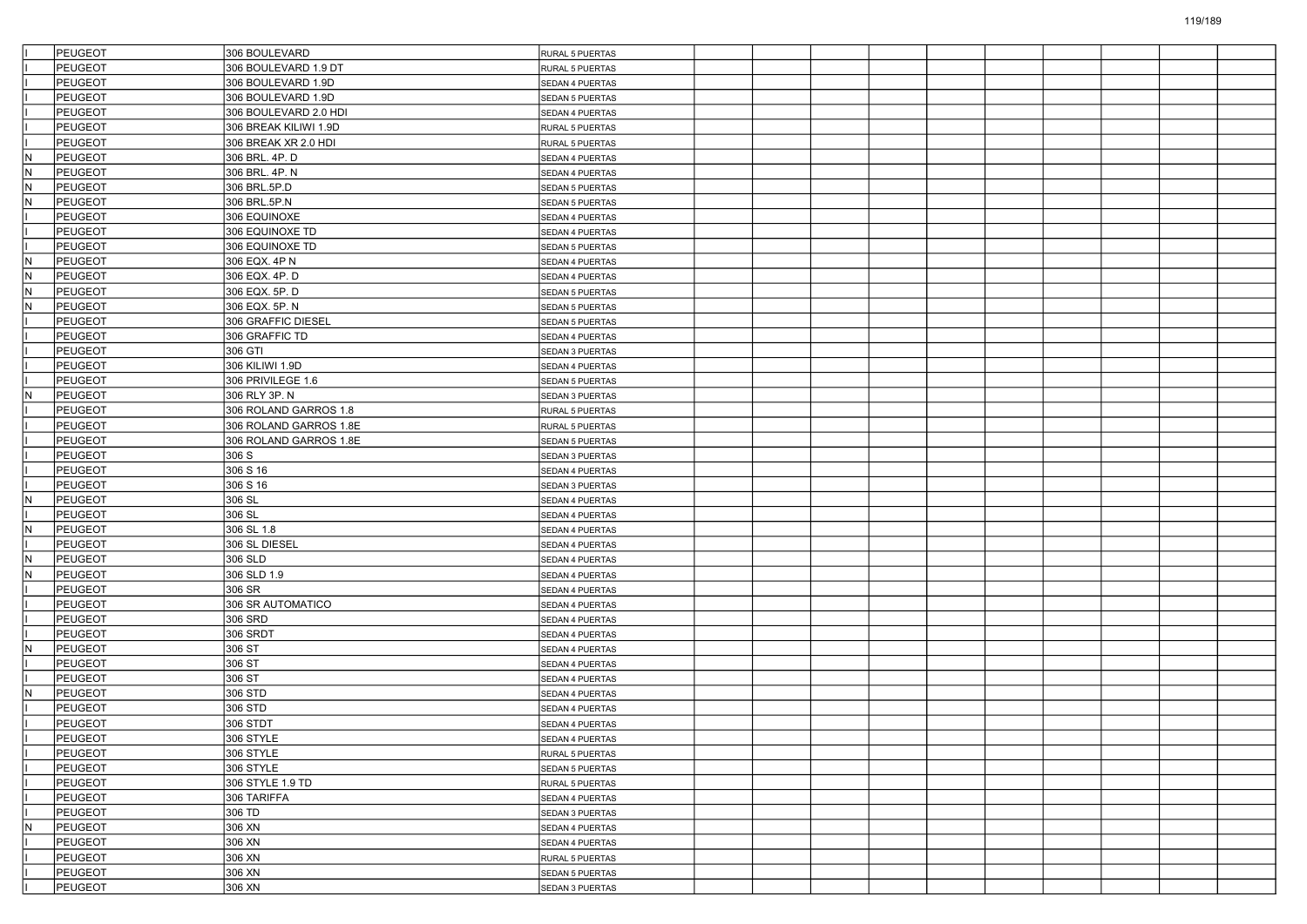|     | PEUGEOT        | 306 BOULEVARD          | RURAL 5 PUERTAS        |  |  |  |  |  |
|-----|----------------|------------------------|------------------------|--|--|--|--|--|
|     | <b>PEUGEOT</b> | 306 BOULEVARD 1.9 DT   | RURAL 5 PUERTAS        |  |  |  |  |  |
|     | PEUGEOT        | 306 BOULEVARD 1.9D     | SEDAN 4 PUERTAS        |  |  |  |  |  |
|     | PEUGEOT        | 306 BOULEVARD 1.9D     | SEDAN 5 PUERTAS        |  |  |  |  |  |
|     | PEUGEOT        | 306 BOULEVARD 2.0 HDI  | SEDAN 4 PUERTAS        |  |  |  |  |  |
|     | PEUGEOT        | 306 BREAK KILIWI 1.9D  | RURAL 5 PUERTAS        |  |  |  |  |  |
|     | PEUGEOT        | 306 BREAK XR 2.0 HDI   | RURAL 5 PUERTAS        |  |  |  |  |  |
| IN. | PEUGEOT        | 306 BRL. 4P. D         | SEDAN 4 PUERTAS        |  |  |  |  |  |
| IN. | PEUGEOT        | 306 BRL. 4P. N         | SEDAN 4 PUERTAS        |  |  |  |  |  |
| lN. | PEUGEOT        | 306 BRL.5P.D           | SEDAN 5 PUERTAS        |  |  |  |  |  |
| N.  | PEUGEOT        | 306 BRL.5P.N           | <b>SEDAN 5 PUERTAS</b> |  |  |  |  |  |
|     | <b>PEUGEOT</b> | 306 EQUINOXE           | SEDAN 4 PUERTAS        |  |  |  |  |  |
|     | PEUGEOT        | 306 EQUINOXE TD        | SEDAN 4 PUERTAS        |  |  |  |  |  |
|     | PEUGEOT        | 306 EQUINOXE TD        | <b>SEDAN 5 PUERTAS</b> |  |  |  |  |  |
| IN. | PEUGEOT        | 306 EQX. 4P N          | SEDAN 4 PUERTAS        |  |  |  |  |  |
| N.  | PEUGEOT        | 306 EQX. 4P. D         | SEDAN 4 PUERTAS        |  |  |  |  |  |
| IN. | PEUGEOT        | 306 EQX. 5P. D         | <b>SEDAN 5 PUERTAS</b> |  |  |  |  |  |
| IN. | PEUGEOT        | 306 EQX. 5P. N         | SEDAN 5 PUERTAS        |  |  |  |  |  |
|     | PEUGEOT        | 306 GRAFFIC DIESEL     | SEDAN 5 PUERTAS        |  |  |  |  |  |
|     | PEUGEOT        | 306 GRAFFIC TD         | SEDAN 4 PUERTAS        |  |  |  |  |  |
|     | PEUGEOT        | 306 GTI                | SEDAN 3 PUERTAS        |  |  |  |  |  |
|     | PEUGEOT        | 306 KILIWI 1.9D        |                        |  |  |  |  |  |
|     | PEUGEOT        | 306 PRIVILEGE 1.6      | SEDAN 4 PUERTAS        |  |  |  |  |  |
|     |                |                        | SEDAN 5 PUERTAS        |  |  |  |  |  |
| IN. | PEUGEOT        | 306 RLY 3P. N          | SEDAN 3 PUERTAS        |  |  |  |  |  |
|     | PEUGEOT        | 306 ROLAND GARROS 1.8  | RURAL 5 PUERTAS        |  |  |  |  |  |
|     | PEUGEOT        | 306 ROLAND GARROS 1.8E | RURAL 5 PUERTAS        |  |  |  |  |  |
|     | <b>PEUGEOT</b> | 306 ROLAND GARROS 1.8E | <b>SEDAN 5 PUERTAS</b> |  |  |  |  |  |
|     | PEUGEOT        | 306 S                  | SEDAN 3 PUERTAS        |  |  |  |  |  |
|     | PEUGEOT        | 306 S 16               | SEDAN 4 PUERTAS        |  |  |  |  |  |
|     | <b>PEUGEOT</b> | 306 S 16               | SEDAN 3 PUERTAS        |  |  |  |  |  |
| IN. | PEUGEOT        | 306 SL                 | SEDAN 4 PUERTAS        |  |  |  |  |  |
|     | <b>PEUGEOT</b> | 306 SL                 | SEDAN 4 PUERTAS        |  |  |  |  |  |
| IN. | PEUGEOT        | 306 SL 1.8             | SEDAN 4 PUERTAS        |  |  |  |  |  |
|     | PEUGEOT        | 306 SL DIESEL          | SEDAN 4 PUERTAS        |  |  |  |  |  |
| IN. | PEUGEOT        | 306 SLD                | SEDAN 4 PUERTAS        |  |  |  |  |  |
| N.  | PEUGEOT        | 306 SLD 1.9            | SEDAN 4 PUERTAS        |  |  |  |  |  |
|     | PEUGEOT        | 306 SR                 | SEDAN 4 PUERTAS        |  |  |  |  |  |
|     | PEUGEOT        | 306 SR AUTOMATICO      | SEDAN 4 PUERTAS        |  |  |  |  |  |
|     | PEUGEOT        | 306 SRD                | SEDAN 4 PUERTAS        |  |  |  |  |  |
|     | PEUGEOT        | 306 SRDT               | SEDAN 4 PUERTAS        |  |  |  |  |  |
| N.  | PEUGEOT        | 306 ST                 | SEDAN 4 PUERTAS        |  |  |  |  |  |
|     | PEUGEOT        | 306 ST                 | SEDAN 4 PUERTAS        |  |  |  |  |  |
|     | PEUGEOT        | 306 ST                 | SEDAN 4 PUERTAS        |  |  |  |  |  |
| IN. | PEUGEOT        | 306 STD                | SEDAN 4 PUERTAS        |  |  |  |  |  |
|     | PEUGEOT        | 306 STD                | SEDAN 4 PUERTAS        |  |  |  |  |  |
|     | PEUGEOT        | 306 STDT               | SEDAN 4 PUERTAS        |  |  |  |  |  |
|     | PEUGEOT        | 306 STYLE              | <b>SEDAN 4 PUERTAS</b> |  |  |  |  |  |
|     | PEUGEOT        | 306 STYLE              | RURAL 5 PUERTAS        |  |  |  |  |  |
|     | PEUGEOT        | 306 STYLE              | SEDAN 5 PUERTAS        |  |  |  |  |  |
|     | PEUGEOT        | 306 STYLE 1.9 TD       | RURAL 5 PUERTAS        |  |  |  |  |  |
|     | PEUGEOT        | 306 TARIFFA            | SEDAN 4 PUERTAS        |  |  |  |  |  |
|     | PEUGEOT        | 306 TD                 | SEDAN 3 PUERTAS        |  |  |  |  |  |
| IN. | PEUGEOT        | 306 XN                 | SEDAN 4 PUERTAS        |  |  |  |  |  |
|     | PEUGEOT        | 306 XN                 | SEDAN 4 PUERTAS        |  |  |  |  |  |
|     | PEUGEOT        | 306 XN                 | RURAL 5 PUERTAS        |  |  |  |  |  |
|     | PEUGEOT        | 306 XN                 | SEDAN 5 PUERTAS        |  |  |  |  |  |
|     | PEUGEOT        | 306 XN                 | SEDAN 3 PUERTAS        |  |  |  |  |  |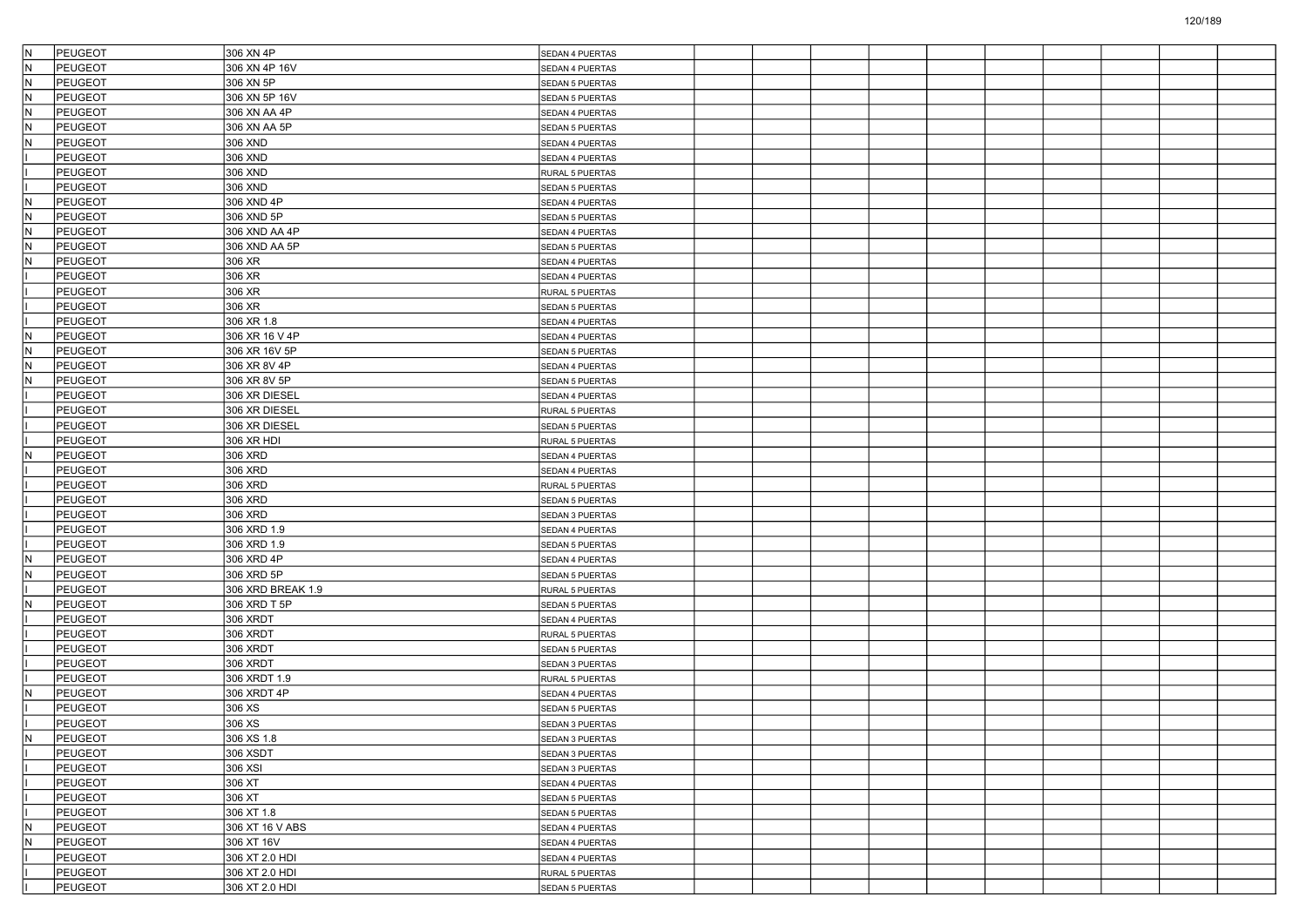| IN.<br><b>PEUGEOT</b>                     | 306 XN 4P         | SEDAN 4 PUERTAS        |  |  |  |  |  |
|-------------------------------------------|-------------------|------------------------|--|--|--|--|--|
| $\overline{\mathsf{N}}$<br><b>PEUGEOT</b> | 306 XN 4P 16V     | SEDAN 4 PUERTAS        |  |  |  |  |  |
| N<br>PEUGEOT                              | 306 XN 5P         | <b>SEDAN 5 PUERTAS</b> |  |  |  |  |  |
| $\mathbb N$<br>PEUGEOT                    | 306 XN 5P 16V     | SEDAN 5 PUERTAS        |  |  |  |  |  |
| N<br>PEUGEOT                              | 306 XN AA 4P      | SEDAN 4 PUERTAS        |  |  |  |  |  |
| N<br>PEUGEOT                              | 306 XN AA 5P      | SEDAN 5 PUERTAS        |  |  |  |  |  |
| $\mathsf{N}$<br><b>PEUGEOT</b>            | 306 XND           | SEDAN 4 PUERTAS        |  |  |  |  |  |
| PEUGEOT                                   | 306 XND           | SEDAN 4 PUERTAS        |  |  |  |  |  |
| PEUGEOT                                   | 306 XND           | RURAL 5 PUERTAS        |  |  |  |  |  |
| PEUGEOT                                   | 306 XND           | SEDAN 5 PUERTAS        |  |  |  |  |  |
| $\overline{\mathsf{N}}$<br><b>PEUGEOT</b> | 306 XND 4P        | SEDAN 4 PUERTAS        |  |  |  |  |  |
| $\mathsf{N}$<br>PEUGEOT                   | 306 XND 5P        | SEDAN 5 PUERTAS        |  |  |  |  |  |
| N<br>PEUGEOT                              | 306 XND AA 4P     | SEDAN 4 PUERTAS        |  |  |  |  |  |
| N<br>PEUGEOT                              | 306 XND AA 5P     | SEDAN 5 PUERTAS        |  |  |  |  |  |
| N<br>PEUGEOT                              | 306 XR            | SEDAN 4 PUERTAS        |  |  |  |  |  |
| PEUGEOT                                   | 306 XR            | SEDAN 4 PUERTAS        |  |  |  |  |  |
| PEUGEOT                                   | 306 XR            | RURAL 5 PUERTAS        |  |  |  |  |  |
| <b>PEUGEOT</b>                            | 306 XR            | SEDAN 5 PUERTAS        |  |  |  |  |  |
| PEUGEOT                                   | 306 XR 1.8        | SEDAN 4 PUERTAS        |  |  |  |  |  |
| N<br>PEUGEOT                              | 306 XR 16 V 4P    | SEDAN 4 PUERTAS        |  |  |  |  |  |
| $\overline{\mathsf{N}}$<br>PEUGEOT        | 306 XR 16V 5P     | SEDAN 5 PUERTAS        |  |  |  |  |  |
| $\mathsf{N}$<br><b>PEUGEOT</b>            | 306 XR 8V 4P      | SEDAN 4 PUERTAS        |  |  |  |  |  |
| N)<br>PEUGEOT                             | 306 XR 8V 5P      | <b>SEDAN 5 PUERTAS</b> |  |  |  |  |  |
| PEUGEOT                                   | 306 XR DIESEL     | SEDAN 4 PUERTAS        |  |  |  |  |  |
| PEUGEOT                                   | 306 XR DIESEL     | RURAL 5 PUERTAS        |  |  |  |  |  |
| PEUGEOT                                   | 306 XR DIESEL     | SEDAN 5 PUERTAS        |  |  |  |  |  |
| <b>PEUGEOT</b>                            | 306 XR HDI        | RURAL 5 PUERTAS        |  |  |  |  |  |
| N)<br><b>PEUGEOT</b>                      | 306 XRD           | SEDAN 4 PUERTAS        |  |  |  |  |  |
| PEUGEOT                                   | 306 XRD           | SEDAN 4 PUERTAS        |  |  |  |  |  |
| PEUGEOT                                   | 306 XRD           | RURAL 5 PUERTAS        |  |  |  |  |  |
| <b>PEUGEOT</b>                            | 306 XRD           | SEDAN 5 PUERTAS        |  |  |  |  |  |
| <b>PEUGEOT</b>                            | 306 XRD           | SEDAN 3 PUERTAS        |  |  |  |  |  |
| <b>PEUGEOT</b>                            | 306 XRD 1.9       | SEDAN 4 PUERTAS        |  |  |  |  |  |
| PEUGEOT                                   | 306 XRD 1.9       | SEDAN 5 PUERTAS        |  |  |  |  |  |
| $\overline{\mathsf{N}}$<br>PEUGEOT        | 306 XRD 4P        | SEDAN 4 PUERTAS        |  |  |  |  |  |
| $\overline{\mathsf{N}}$<br>PEUGEOT        | 306 XRD 5P        | SEDAN 5 PUERTAS        |  |  |  |  |  |
| <b>PEUGEOT</b>                            | 306 XRD BREAK 1.9 | RURAL 5 PUERTAS        |  |  |  |  |  |
| İΝ<br><b>PEUGEOT</b>                      | 306 XRD T 5P      | SEDAN 5 PUERTAS        |  |  |  |  |  |
| PEUGEOT                                   | 306 XRDT          | SEDAN 4 PUERTAS        |  |  |  |  |  |
| PEUGEOT                                   | 306 XRDT          | RURAL 5 PUERTAS        |  |  |  |  |  |
| PEUGEOT                                   | 306 XRDT          | SEDAN 5 PUERTAS        |  |  |  |  |  |
| <b>PEUGEOT</b>                            | 306 XRDT          | SEDAN 3 PUERTAS        |  |  |  |  |  |
| <b>PEUGEOT</b>                            | 306 XRDT 1.9      | RURAL 5 PUERTAS        |  |  |  |  |  |
| N<br>PEUGEOT                              | 306 XRDT 4P       | SEDAN 4 PUERTAS        |  |  |  |  |  |
| PEUGEOT                                   | 306 XS            | SEDAN 5 PUERTAS        |  |  |  |  |  |
| PEUGEOT                                   | 306 XS            | SEDAN 3 PUERTAS        |  |  |  |  |  |
| N<br>PEUGEOT                              | 306 XS 1.8        | SEDAN 3 PUERTAS        |  |  |  |  |  |
| <b>PEUGEOT</b>                            | 306 XSDT          | SEDAN 3 PUERTAS        |  |  |  |  |  |
| <b>PEUGEOT</b>                            | 306 XSI           | SEDAN 3 PUERTAS        |  |  |  |  |  |
| PEUGEOT                                   | 306 XT            | SEDAN 4 PUERTAS        |  |  |  |  |  |
| <b>PEUGEOT</b>                            | 306 XT            | SEDAN 5 PUERTAS        |  |  |  |  |  |
| PEUGEOT                                   | 306 XT 1.8        | SEDAN 5 PUERTAS        |  |  |  |  |  |
| IN.<br><b>PEUGEOT</b>                     | 306 XT 16 V ABS   | SEDAN 4 PUERTAS        |  |  |  |  |  |
| N<br><b>PEUGEOT</b>                       | 306 XT 16V        | SEDAN 4 PUERTAS        |  |  |  |  |  |
| PEUGEOT                                   | 306 XT 2.0 HDI    | SEDAN 4 PUERTAS        |  |  |  |  |  |
| PEUGEOT                                   | 306 XT 2.0 HDI    | RURAL 5 PUERTAS        |  |  |  |  |  |
| <b>PEUGEOT</b>                            | 306 XT 2.0 HDI    | SEDAN 5 PUERTAS        |  |  |  |  |  |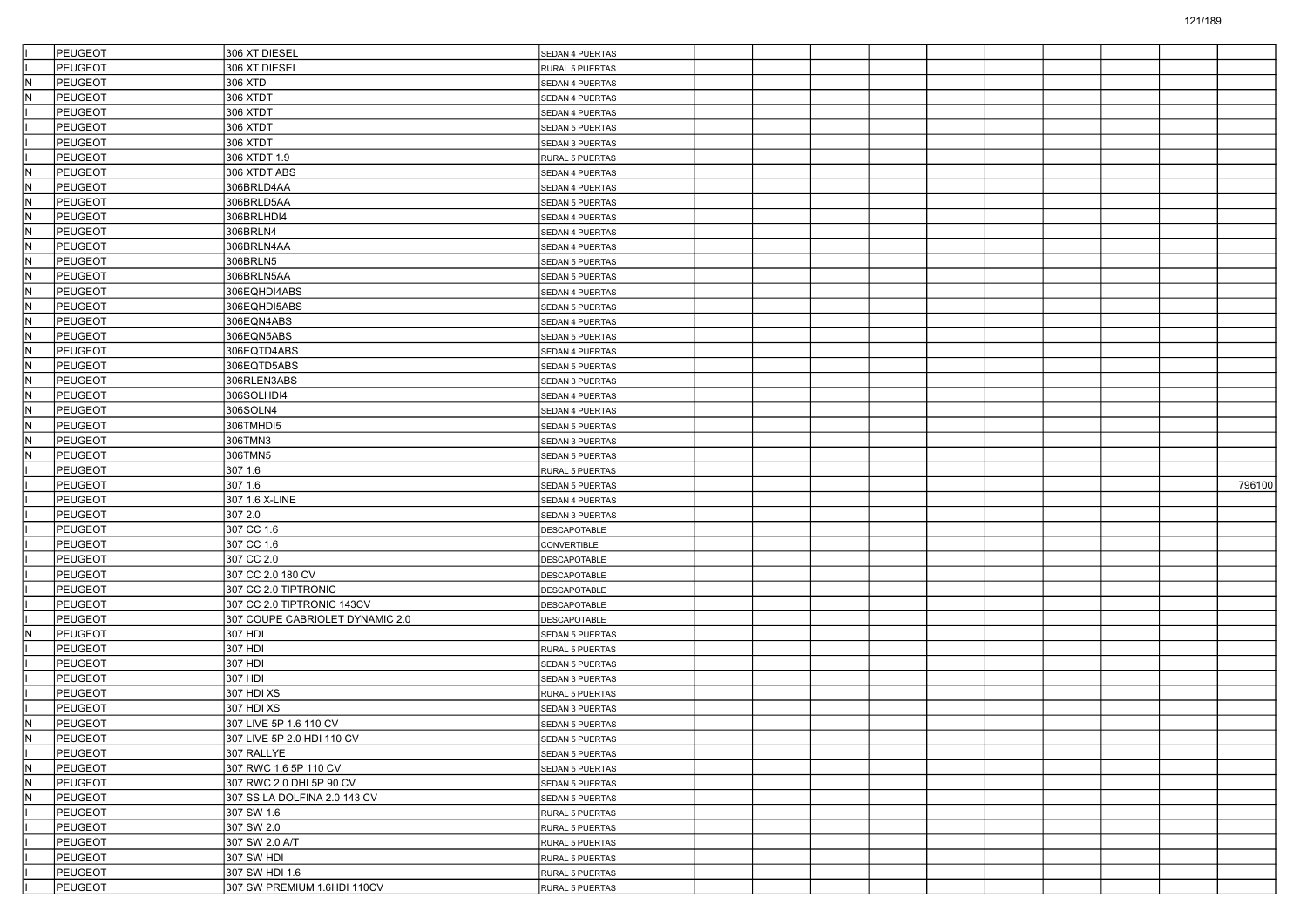|     | <b>PEUGEOT</b>            | 306 XT DIESEL                   | SEDAN 4 PUERTAS                    |  |  |  |  |        |
|-----|---------------------------|---------------------------------|------------------------------------|--|--|--|--|--------|
|     | PEUGEOT                   | 306 XT DIESEL                   | RURAL 5 PUERTAS                    |  |  |  |  |        |
| IN. | <b>PEUGEOT</b>            | 306 XTD                         | SEDAN 4 PUERTAS                    |  |  |  |  |        |
| İΝ  | <b>PEUGEOT</b>            | 306 XTDT                        | SEDAN 4 PUERTAS                    |  |  |  |  |        |
|     | <b>PEUGEOT</b>            | 306 XTDT                        | SEDAN 4 PUERTAS                    |  |  |  |  |        |
|     | <b>PEUGEOT</b>            | 306 XTDT                        | SEDAN 5 PUERTAS                    |  |  |  |  |        |
|     | PEUGEOT                   | 306 XTDT                        | SEDAN 3 PUERTAS                    |  |  |  |  |        |
|     | <b>PEUGEOT</b>            | 306 XTDT 1.9                    | RURAL 5 PUERTAS                    |  |  |  |  |        |
| IN. | <b>PEUGEOT</b>            | 306 XTDT ABS                    | SEDAN 4 PUERTAS                    |  |  |  |  |        |
| İΝ  | <b>PEUGEOT</b>            | 306BRLD4AA                      | SEDAN 4 PUERTAS                    |  |  |  |  |        |
| IN. | <b>PEUGEOT</b>            | 306BRLD5AA                      | SEDAN 5 PUERTAS                    |  |  |  |  |        |
| N   | PEUGEOT                   | 306BRLHDI4                      | SEDAN 4 PUERTAS                    |  |  |  |  |        |
| IN. | <b>PEUGEOT</b>            | 306BRLN4                        | SEDAN 4 PUERTAS                    |  |  |  |  |        |
| IN. | <b>PEUGEOT</b>            | 306BRLN4AA                      | SEDAN 4 PUERTAS                    |  |  |  |  |        |
| İΝ  | <b>PEUGEOT</b>            | 306BRLN5                        | SEDAN 5 PUERTAS                    |  |  |  |  |        |
| IN. | <b>PEUGEOT</b>            | 306BRLN5AA                      | SEDAN 5 PUERTAS                    |  |  |  |  |        |
| N   | PEUGEOT                   | 306EQHDI4ABS                    | SEDAN 4 PUERTAS                    |  |  |  |  |        |
| IN. | <b>PEUGEOT</b>            | 306EQHDI5ABS                    | SEDAN 5 PUERTAS                    |  |  |  |  |        |
| IN. | <b>PEUGEOT</b>            | 306EQN4ABS                      | SEDAN 4 PUERTAS                    |  |  |  |  |        |
| İΝ  | <b>PEUGEOT</b>            | 306EQN5ABS                      | SEDAN 5 PUERTAS                    |  |  |  |  |        |
| İN. | <b>PEUGEOT</b>            | 306EQTD4ABS                     | SEDAN 4 PUERTAS                    |  |  |  |  |        |
| N   | PEUGEOT                   | 306EQTD5ABS                     | SEDAN 5 PUERTAS                    |  |  |  |  |        |
| IN. | PEUGEOT                   | 306RLEN3ABS                     | SEDAN 3 PUERTAS                    |  |  |  |  |        |
| IN. | <b>PEUGEOT</b>            | 306SOLHDI4                      | SEDAN 4 PUERTAS                    |  |  |  |  |        |
| İΝ  | <b>PEUGEOT</b>            | 306SOLN4                        | SEDAN 4 PUERTAS                    |  |  |  |  |        |
| IN. | PEUGEOT                   | 306TMHDI5                       | SEDAN 5 PUERTAS                    |  |  |  |  |        |
| N   | PEUGEOT                   | 306TMN3                         | SEDAN 3 PUERTAS                    |  |  |  |  |        |
| N   | PEUGEOT                   | 306TMN5                         | <b>SEDAN 5 PUERTAS</b>             |  |  |  |  |        |
|     |                           |                                 |                                    |  |  |  |  |        |
|     |                           |                                 |                                    |  |  |  |  |        |
|     | PEUGEOT                   | 307 1.6<br>307 1.6              | RURAL 5 PUERTAS                    |  |  |  |  |        |
|     | PEUGEOT                   |                                 | SEDAN 5 PUERTAS                    |  |  |  |  | 796100 |
|     | PEUGEOT                   | 307 1.6 X-LINE                  | SEDAN 4 PUERTAS                    |  |  |  |  |        |
|     | PEUGEOT                   | 307 2.0                         | SEDAN 3 PUERTAS                    |  |  |  |  |        |
|     | PEUGEOT                   | 307 CC 1.6                      | DESCAPOTABLE                       |  |  |  |  |        |
|     | PEUGEOT                   | 307 CC 1.6                      | CONVERTIBLE                        |  |  |  |  |        |
|     | PEUGEOT                   | 307 CC 2.0                      | DESCAPOTABLE                       |  |  |  |  |        |
|     | PEUGEOT                   | 307 CC 2.0 180 CV               | DESCAPOTABLE                       |  |  |  |  |        |
|     | PEUGEOT                   | 307 CC 2.0 TIPTRONIC            | <b>DESCAPOTABLE</b>                |  |  |  |  |        |
|     | PEUGEOT                   | 307 CC 2.0 TIPTRONIC 143CV      | DESCAPOTABLE                       |  |  |  |  |        |
| N   | PEUGEOT                   | 307 COUPE CABRIOLET DYNAMIC 2.0 | DESCAPOTABLE                       |  |  |  |  |        |
|     | PEUGEOT                   | 307 HDI                         | SEDAN 5 PUERTAS                    |  |  |  |  |        |
|     | PEUGEOT                   | 307 HDI                         | RURAL 5 PUERTAS                    |  |  |  |  |        |
|     | PEUGEOT                   | 307 HDI                         | SEDAN 5 PUERTAS                    |  |  |  |  |        |
|     | PEUGEOT                   | 307 HDI                         | SEDAN 3 PUERTAS                    |  |  |  |  |        |
|     | <b>PEUGEOT</b>            | 307 HDI XS                      | RURAL 5 PUERTAS                    |  |  |  |  |        |
|     | PEUGEOT                   | 307 HDI XS                      | SEDAN 3 PUERTAS                    |  |  |  |  |        |
| IN. | PEUGEOT                   | 307 LIVE 5P 1.6 110 CV          | SEDAN 5 PUERTAS                    |  |  |  |  |        |
| N.  | PEUGEOT                   | 307 LIVE 5P 2.0 HDI 110 CV      | SEDAN 5 PUERTAS                    |  |  |  |  |        |
|     | <b>PEUGEOT</b>            | 307 RALLYE                      | SEDAN 5 PUERTAS                    |  |  |  |  |        |
| IN. | PEUGEOT                   | 307 RWC 1.6 5P 110 CV           | SEDAN 5 PUERTAS                    |  |  |  |  |        |
| IN. | PEUGEOT                   | 307 RWC 2.0 DHI 5P 90 CV        | SEDAN 5 PUERTAS                    |  |  |  |  |        |
| IN. | <b>PEUGEOT</b>            | 307 SS LA DOLFINA 2.0 143 CV    | SEDAN 5 PUERTAS                    |  |  |  |  |        |
|     | PEUGEOT                   | 307 SW 1.6                      | RURAL 5 PUERTAS                    |  |  |  |  |        |
|     | <b>PEUGEOT</b>            | 307 SW 2.0                      | RURAL 5 PUERTAS                    |  |  |  |  |        |
|     | PEUGEOT                   | 307 SW 2.0 A/T                  | RURAL 5 PUERTAS                    |  |  |  |  |        |
|     | PEUGEOT<br><b>PEUGEOT</b> | 307 SW HDI<br>307 SW HDI 1.6    | RURAL 5 PUERTAS<br>RURAL 5 PUERTAS |  |  |  |  |        |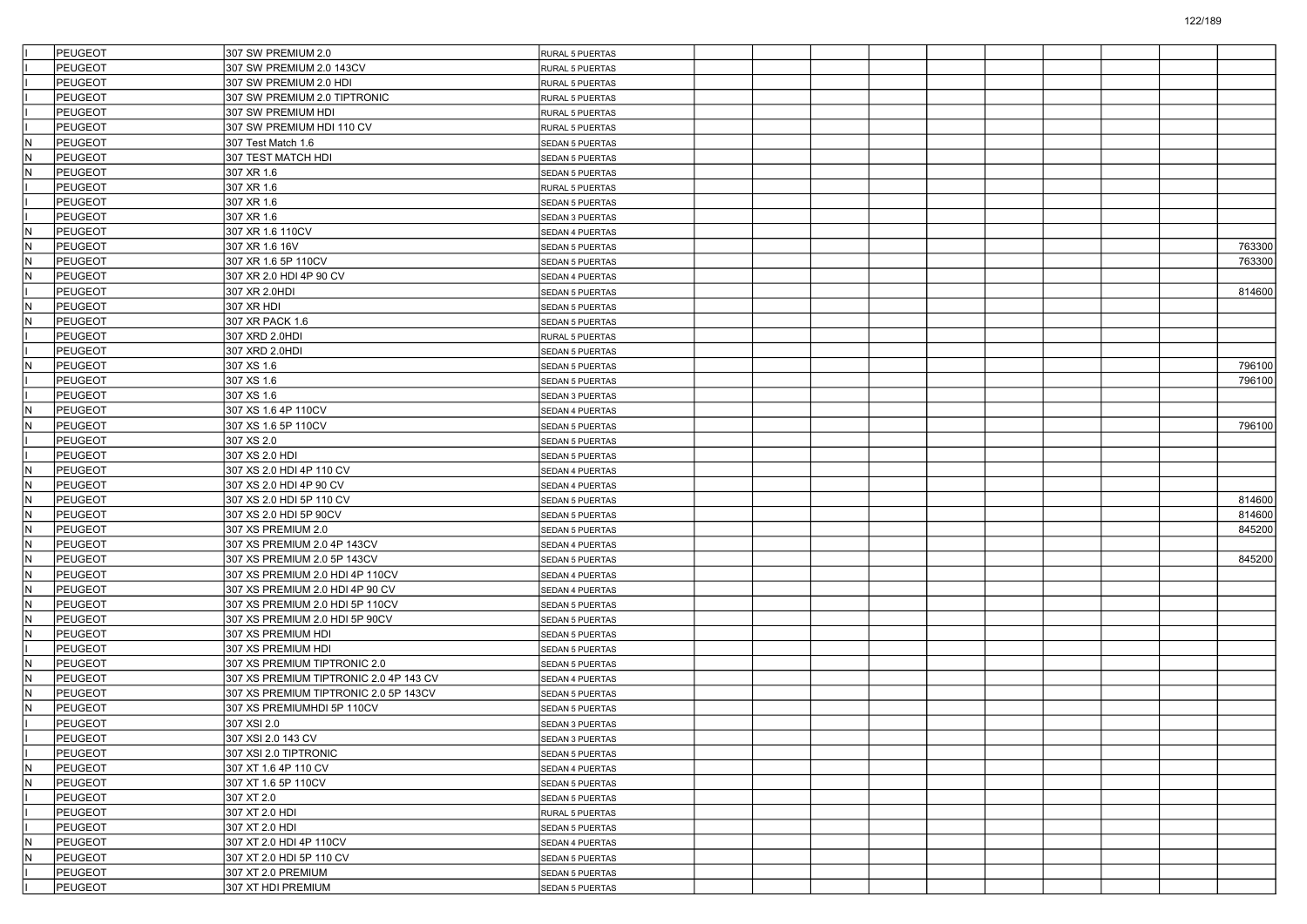|     | <b>PEUGEOT</b> | 307 SW PREMIUM 2.0                     | RURAL 5 PUERTAS        |  |  |  |  |        |
|-----|----------------|----------------------------------------|------------------------|--|--|--|--|--------|
|     | <b>PEUGEOT</b> | 307 SW PREMIUM 2.0 143CV               | RURAL 5 PUERTAS        |  |  |  |  |        |
|     | PEUGEOT        | 307 SW PREMIUM 2.0 HDI                 | RURAL 5 PUERTAS        |  |  |  |  |        |
|     | PEUGEOT        | 307 SW PREMIUM 2.0 TIPTRONIC           | RURAL 5 PUERTAS        |  |  |  |  |        |
|     | PEUGEOT        | 307 SW PREMIUM HDI                     | RURAL 5 PUERTAS        |  |  |  |  |        |
|     | PEUGEOT        | 307 SW PREMIUM HDI 110 CV              | RURAL 5 PUERTAS        |  |  |  |  |        |
| N.  | PEUGEOT        | 307 Test Match 1.6                     | SEDAN 5 PUERTAS        |  |  |  |  |        |
| lN. | PEUGEOT        | 307 TEST MATCH HDI                     | SEDAN 5 PUERTAS        |  |  |  |  |        |
| IN. | PEUGEOT        | 307 XR 1.6                             | SEDAN 5 PUERTAS        |  |  |  |  |        |
|     | PEUGEOT        | 307 XR 1.6                             | RURAL 5 PUERTAS        |  |  |  |  |        |
|     | <b>PEUGEOT</b> | 307 XR 1.6                             | <b>SEDAN 5 PUERTAS</b> |  |  |  |  |        |
|     | PEUGEOT        | 307 XR 1.6                             | SEDAN 3 PUERTAS        |  |  |  |  |        |
| IN. | PEUGEOT        | 307 XR 1.6 110CV                       | SEDAN 4 PUERTAS        |  |  |  |  |        |
| IN. | PEUGEOT        | 307 XR 1.6 16V                         | <b>SEDAN 5 PUERTAS</b> |  |  |  |  | 763300 |
| lN. | PEUGEOT        | 307 XR 1.6 5P 110CV                    | <b>SEDAN 5 PUERTAS</b> |  |  |  |  | 763300 |
| IN. | PEUGEOT        | 307 XR 2.0 HDI 4P 90 CV                | SEDAN 4 PUERTAS        |  |  |  |  |        |
|     | <b>PEUGEOT</b> | 307 XR 2.0HDI                          | SEDAN 5 PUERTAS        |  |  |  |  | 814600 |
| İΝ  | PEUGEOT        | 307 XR HDI                             | SEDAN 5 PUERTAS        |  |  |  |  |        |
| IN. | PEUGEOT        | 307 XR PACK 1.6                        | <b>SEDAN 5 PUERTAS</b> |  |  |  |  |        |
|     | PEUGEOT        | 307 XRD 2.0HDI                         | RURAL 5 PUERTAS        |  |  |  |  |        |
|     | PEUGEOT        | 307 XRD 2.0HDI                         | <b>SEDAN 5 PUERTAS</b> |  |  |  |  |        |
| N.  | PEUGEOT        | 307 XS 1.6                             | SEDAN 5 PUERTAS        |  |  |  |  | 796100 |
|     | PEUGEOT        | 307 XS 1.6                             | SEDAN 5 PUERTAS        |  |  |  |  | 796100 |
|     | PEUGEOT        | 307 XS 1.6                             | <b>SEDAN 3 PUERTAS</b> |  |  |  |  |        |
| IN. | PEUGEOT        | 307 XS 1.6 4P 110CV                    | SEDAN 4 PUERTAS        |  |  |  |  |        |
| IN. | PEUGEOT        | 307 XS 1.6 5P 110CV                    | <b>SEDAN 5 PUERTAS</b> |  |  |  |  | 796100 |
|     | <b>PEUGEOT</b> | 307 XS 2.0                             | SEDAN 5 PUERTAS        |  |  |  |  |        |
|     | PEUGEOT        | 307 XS 2.0 HDI                         | <b>SEDAN 5 PUERTAS</b> |  |  |  |  |        |
| IN. | PEUGEOT        | 307 XS 2.0 HDI 4P 110 CV               | <b>SEDAN 4 PUERTAS</b> |  |  |  |  |        |
| IN. | <b>PEUGEOT</b> | 307 XS 2.0 HDI 4P 90 CV                | SEDAN 4 PUERTAS        |  |  |  |  |        |
| IN. | PEUGEOT        | 307 XS 2.0 HDI 5P 110 CV               | <b>SEDAN 5 PUERTAS</b> |  |  |  |  | 814600 |
| N.  | PEUGEOT        | 307 XS 2.0 HDI 5P 90CV                 | SEDAN 5 PUERTAS        |  |  |  |  | 814600 |
| İΝ  | PEUGEOT        | 307 XS PREMIUM 2.0                     | <b>SEDAN 5 PUERTAS</b> |  |  |  |  | 845200 |
| IN. | <b>PEUGEOT</b> | 307 XS PREMIUM 2.0 4P 143CV            | SEDAN 4 PUERTAS        |  |  |  |  |        |
| IN. | <b>PEUGEOT</b> | 307 XS PREMIUM 2.0 5P 143CV            | <b>SEDAN 5 PUERTAS</b> |  |  |  |  | 845200 |
| IN. | <b>PEUGEOT</b> | 307 XS PREMIUM 2.0 HDI 4P 110CV        | SEDAN 4 PUERTAS        |  |  |  |  |        |
| N.  | PEUGEOT        | 307 XS PREMIUM 2.0 HDI 4P 90 CV        | SEDAN 4 PUERTAS        |  |  |  |  |        |
| lN. | PEUGEOT        | 307 XS PREMIUM 2.0 HDI 5P 110CV        | <b>SEDAN 5 PUERTAS</b> |  |  |  |  |        |
| IN. | <b>PEUGEOT</b> | 307 XS PREMIUM 2.0 HDI 5P 90CV         | <b>SEDAN 5 PUERTAS</b> |  |  |  |  |        |
| IN. | <b>PEUGEOT</b> | 307 XS PREMIUM HDI                     | SEDAN 5 PUERTAS        |  |  |  |  |        |
|     | <b>PEUGEOT</b> | 307 XS PREMIUM HDI                     | <b>SEDAN 5 PUERTAS</b> |  |  |  |  |        |
| IN. | <b>PEUGEOT</b> | 307 XS PREMIUM TIPTRONIC 2.0           | <b>SEDAN 5 PUERTAS</b> |  |  |  |  |        |
| lN. | PEUGEOT        | 307 XS PREMIUM TIPTRONIC 2.0 4P 143 CV | SEDAN 4 PUERTAS        |  |  |  |  |        |
| IN. | <b>PEUGEOT</b> | 307 XS PREMIUM TIPTRONIC 2.0 5P 143CV  | <b>SEDAN 5 PUERTAS</b> |  |  |  |  |        |
| N   | <b>PEUGEOT</b> | 307 XS PREMIUMHDI 5P 110CV             | SEDAN 5 PUERTAS        |  |  |  |  |        |
|     | <b>PEUGEOT</b> | 307 XSI 2.0                            | SEDAN 3 PUERTAS        |  |  |  |  |        |
|     | PEUGEOT        | 307 XSI 2.0 143 CV                     | SEDAN 3 PUERTAS        |  |  |  |  |        |
|     | PEUGEOT        | 307 XSI 2.0 TIPTRONIC                  | SEDAN 5 PUERTAS        |  |  |  |  |        |
| IN. | PEUGEOT        | 307 XT 1.6 4P 110 CV                   | SEDAN 4 PUERTAS        |  |  |  |  |        |
| IN. | PEUGEOT        | 307 XT 1.6 5P 110CV                    | SEDAN 5 PUERTAS        |  |  |  |  |        |
|     | PEUGEOT        | 307 XT 2.0                             | SEDAN 5 PUERTAS        |  |  |  |  |        |
|     | PEUGEOT        | 307 XT 2.0 HDI                         | RURAL 5 PUERTAS        |  |  |  |  |        |
|     | PEUGEOT        | 307 XT 2.0 HDI                         | SEDAN 5 PUERTAS        |  |  |  |  |        |
| IN. | PEUGEOT        | 307 XT 2.0 HDI 4P 110CV                | SEDAN 4 PUERTAS        |  |  |  |  |        |
| IN. | PEUGEOT        | 307 XT 2.0 HDI 5P 110 CV               | SEDAN 5 PUERTAS        |  |  |  |  |        |
|     | PEUGEOT        | 307 XT 2.0 PREMIUM                     | SEDAN 5 PUERTAS        |  |  |  |  |        |
|     | PEUGEOT        | 307 XT HDI PREMIUM                     | SEDAN 5 PUERTAS        |  |  |  |  |        |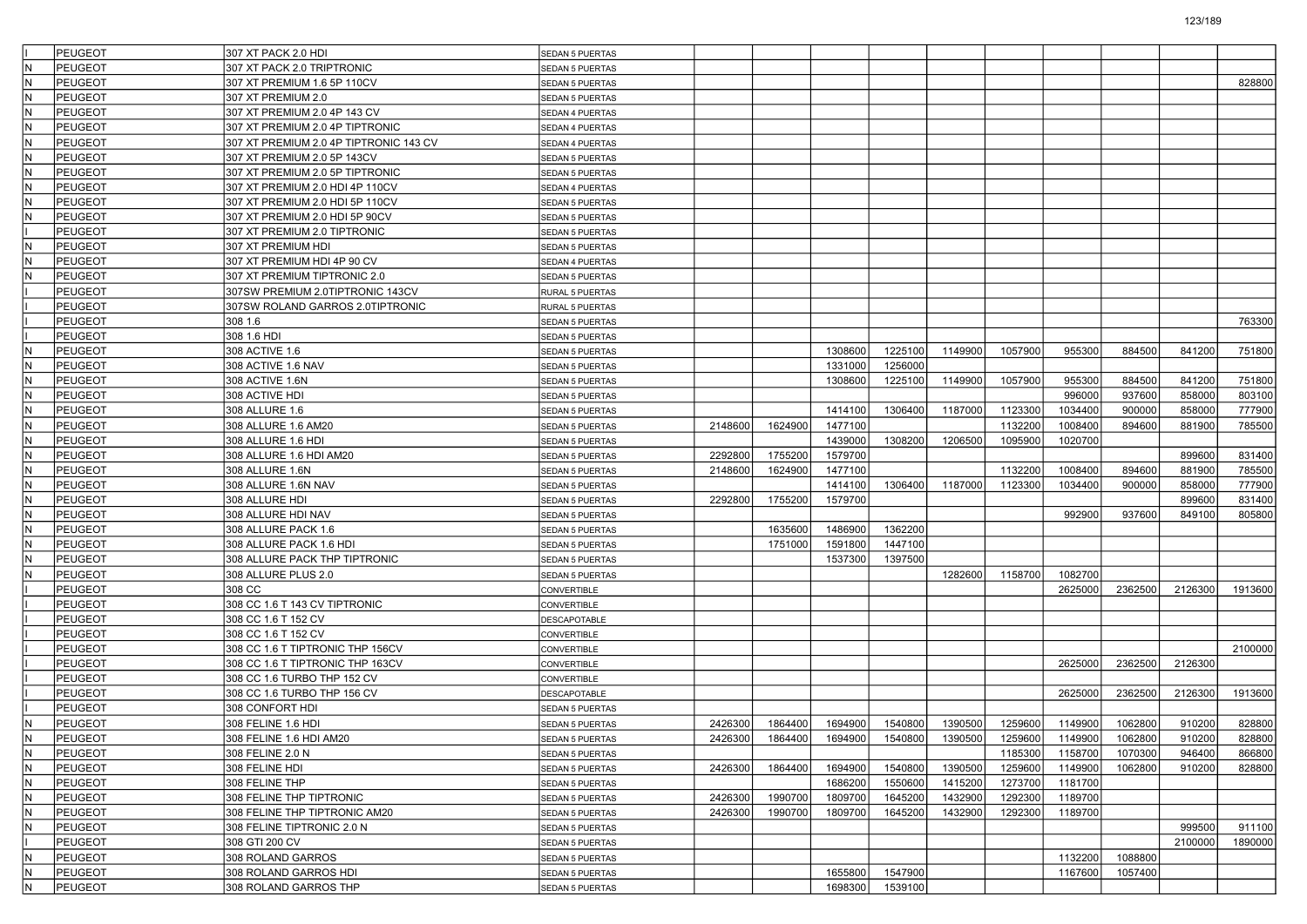| <b>PEUGEOT</b><br>307 XT PACK 2.0 HDI<br><b>SEDAN 5 PUERTAS</b><br><b>PEUGEOT</b><br>lN<br>307 XT PACK 2.0 TRIPTRONIC<br><b>SEDAN 5 PUERTAS</b><br>lN.<br>PEUGEOT<br>307 XT PREMIUM 1.6 5P 110CV<br>SEDAN 5 PUERTAS<br>PEUGEOT<br>IN.<br>307 XT PREMIUM 2.0<br>SEDAN 5 PUERTAS<br>N<br><b>PEUGEOT</b><br>307 XT PREMIUM 2.0 4P 143 CV<br>SEDAN 4 PUERTAS<br>lN.<br><b>PEUGEOT</b><br>307 XT PREMIUM 2.0 4P TIPTRONIC<br>SEDAN 4 PUERTAS<br>IN.<br><b>PEUGEOT</b><br>307 XT PREMIUM 2.0 4P TIPTRONIC 143 CV<br>SEDAN 4 PUERTAS<br>lN.<br><b>PEUGEOT</b><br>307 XT PREMIUM 2.0 5P 143CV<br>SEDAN 5 PUERTAS<br>İΝ<br><b>PEUGEOT</b><br>307 XT PREMIUM 2.0 5P TIPTRONIC<br>SEDAN 5 PUERTAS<br>N<br><b>PEUGEOT</b><br>307 XT PREMIUM 2.0 HDI 4P 110CV<br>SEDAN 4 PUERTAS<br>lΝ<br><b>PEUGEOT</b><br>307 XT PREMIUM 2.0 HDI 5P 110CV<br>SEDAN 5 PUERTAS<br>IN.<br><b>PEUGEOT</b><br>307 XT PREMIUM 2.0 HDI 5P 90CV<br>SEDAN 5 PUERTAS<br><b>PEUGEOT</b><br>307 XT PREMIUM 2.0 TIPTRONIC<br><b>SEDAN 5 PUERTAS</b><br>İΝ<br>PEUGEOT<br>307 XT PREMIUM HDI<br>SEDAN 5 PUERTAS<br>N<br>PEUGEOT<br>307 XT PREMIUM HDI 4P 90 CV<br>SEDAN 4 PUERTAS<br>lN.<br><b>PEUGEOT</b><br>307 XT PREMIUM TIPTRONIC 2.0<br>SEDAN 5 PUERTAS<br><b>PEUGEOT</b><br>307SW PREMIUM 2.0TIPTRONIC 143CV<br>RURAL 5 PUERTAS<br>PEUGEOT<br>307SW ROLAND GARROS 2.0TIPTRONIC<br>RURAL 5 PUERTAS<br>PEUGEOT<br>308 1.6<br>SEDAN 5 PUERTAS<br>PEUGEOT<br>308 1.6 HDI<br>SEDAN 5 PUERTAS<br>lN.<br><b>PEUGEOT</b><br>1057900<br>955300<br>884500<br>308 ACTIVE 1.6<br>1308600<br>1225100<br>1149900<br>841200<br>SEDAN 5 PUERTAS<br>IN.<br>PEUGEOT<br>308 ACTIVE 1.6 NAV<br>1331000<br>1256000<br>SEDAN 5 PUERTAS<br>PEUGEOT<br>1225100<br>1149900<br>1057900<br>955300<br>884500<br>841200<br>lΝ<br>308 ACTIVE 1.6N<br>1308600<br><b>SEDAN 5 PUERTAS</b><br>IN.<br>996000<br>937600<br>858000<br><b>PEUGEOT</b><br>308 ACTIVE HDI<br><b>SEDAN 5 PUERTAS</b><br>1414100<br>1187000<br>1123300<br>1034400<br>900000<br>858000<br>N<br><b>PEUGEOT</b><br>308 ALLURE 1.6<br>1306400<br><b>SEDAN 5 PUERTAS</b><br>lN.<br>2148600<br>1624900<br>1477100<br>1132200<br>1008400<br>881900<br><b>PEUGEOT</b><br>308 ALLURE 1.6 AM20<br>894600<br><b>SEDAN 5 PUERTAS</b><br>1439000<br>1020700<br>IN.<br><b>PEUGEOT</b><br>308 ALLURE 1.6 HDI<br>1308200<br>1206500<br>1095900<br>SEDAN 5 PUERTAS<br>lN.<br>PEUGEOT<br>2292800<br>1755200<br>1579700<br>899600<br>308 ALLURE 1.6 HDI AM20<br><b>SEDAN 5 PUERTAS</b><br>1624900<br>1477100<br>1132200<br>1008400<br>881900<br>IN.<br><b>PEUGEOT</b><br>308 ALLURE 1.6N<br>2148600<br>894600<br>SEDAN 5 PUERTAS<br>1123300<br>1034400<br>858000<br>lΝ<br><b>PEUGEOT</b><br>308 ALLURE 1.6N NAV<br>1414100<br>1306400<br>1187000<br>900000<br><b>SEDAN 5 PUERTAS</b><br>lN.<br>1755200<br><b>PEUGEOT</b><br>308 ALLURE HDI<br>2292800<br>1579700<br>899600<br><b>SEDAN 5 PUERTAS</b><br>lN<br><b>PEUGEOT</b><br>308 ALLURE HDI NAV<br>992900<br>937600<br>849100<br>SEDAN 5 PUERTAS<br>lN.<br><b>PEUGEOT</b><br>1635600<br>1486900<br>1362200<br>308 ALLURE PACK 1.6<br>SEDAN 5 PUERTAS<br>1447100<br>lΝ<br><b>PEUGEOT</b><br>308 ALLURE PACK 1.6 HDI<br>1751000<br>1591800<br>SEDAN 5 PUERTAS<br>N<br><b>PEUGEOT</b><br>308 ALLURE PACK THP TIPTRONIC<br>1537300<br>1397500<br><b>SEDAN 5 PUERTAS</b><br>lN.<br><b>PEUGEOT</b><br>308 ALLURE PLUS 2.0<br>1282600<br>1158700<br>1082700<br>SEDAN 5 PUERTAS<br>2362500<br><b>PEUGEOT</b><br>308 CC<br>2625000<br>2126300<br>CONVERTIBLE<br>308 CC 1.6 T 143 CV TIPTRONIC<br><b>PEUGEOT</b><br>CONVERTIBLE<br><b>PEUGEOT</b><br>308 CC 1.6 T 152 CV<br>DESCAPOTABLE<br><b>PEUGEOT</b><br>308 CC 1.6 T 152 CV<br>CONVERTIBLE<br><b>PEUGEOT</b><br>308 CC 1.6 T TIPTRONIC THP 156CV<br>CONVERTIBLE<br>PEUGEOT<br>2625000<br>2362500<br>2126300<br>308 CC 1.6 T TIPTRONIC THP 163CV<br>CONVERTIBLE<br>PEUGEOT<br>308 CC 1.6 TURBO THP 152 CV<br>CONVERTIBLE<br>2362500<br>2126300<br><b>PEUGEOT</b><br>308 CC 1.6 TURBO THP 156 CV<br>2625000<br>DESCAPOTABLE<br><b>PEUGEOT</b><br>308 CONFORT HDI<br><b>SEDAN 5 PUERTAS</b><br>IN.<br>PEUGEOT<br>2426300<br>1864400<br>1694900<br>1540800<br>1390500<br>1259600<br>1149900<br>1062800<br>910200<br>308 FELINE 1.6 HDI<br>SEDAN 5 PUERTAS<br>PEUGEOT<br>2426300<br>1864400<br>1694900<br>1540800<br>1149900<br>910200<br>308 FELINE 1.6 HDI AM20<br>1390500<br>1259600<br>1062800<br>ΙN<br><b>SEDAN 5 PUERTAS</b><br>IN.<br>PEUGEOT<br>1185300<br>1158700<br>1070300<br>308 FELINE 2.0 N<br>946400<br><b>SEDAN 5 PUERTAS</b><br>IN.<br>PEUGEOT<br>2426300<br>1694900<br>1540800<br>1390500<br>1259600<br>1149900<br>1062800<br>910200<br>308 FELINE HDI<br>1864400<br>SEDAN 5 PUERTAS<br>IN.<br>PEUGEOT<br>308 FELINE THP<br>1686200<br>1550600<br>1415200<br>1273700<br>1181700<br><b>SEDAN 5 PUERTAS</b><br>IN.<br>PEUGEOT<br>1990700<br>1809700<br>1645200<br>1432900<br>1292300<br>1189700<br>308 FELINE THP TIPTRONIC<br>2426300<br>SEDAN 5 PUERTAS<br>1990700<br>1645200<br>1432900<br>1189700<br>IN.<br>PEUGEOT<br>308 FELINE THP TIPTRONIC AM20<br>2426300<br>1809700<br>1292300<br>SEDAN 5 PUERTAS<br>İΝ<br>PEUGEOT<br>999500<br>308 FELINE TIPTRONIC 2.0 N<br>911100<br><b>SEDAN 5 PUERTAS</b><br>PEUGEOT<br>2100000<br>308 GTI 200 CV<br>SEDAN 5 PUERTAS<br>IN.<br>PEUGEOT<br>308 ROLAND GARROS<br>1132200<br>1088800<br><b>SEDAN 5 PUERTAS</b> |     |         |                       |                 |  |         |         |  |         |         |         |
|-------------------------------------------------------------------------------------------------------------------------------------------------------------------------------------------------------------------------------------------------------------------------------------------------------------------------------------------------------------------------------------------------------------------------------------------------------------------------------------------------------------------------------------------------------------------------------------------------------------------------------------------------------------------------------------------------------------------------------------------------------------------------------------------------------------------------------------------------------------------------------------------------------------------------------------------------------------------------------------------------------------------------------------------------------------------------------------------------------------------------------------------------------------------------------------------------------------------------------------------------------------------------------------------------------------------------------------------------------------------------------------------------------------------------------------------------------------------------------------------------------------------------------------------------------------------------------------------------------------------------------------------------------------------------------------------------------------------------------------------------------------------------------------------------------------------------------------------------------------------------------------------------------------------------------------------------------------------------------------------------------------------------------------------------------------------------------------------------------------------------------------------------------------------------------------------------------------------------------------------------------------------------------------------------------------------------------------------------------------------------------------------------------------------------------------------------------------------------------------------------------------------------------------------------------------------------------------------------------------------------------------------------------------------------------------------------------------------------------------------------------------------------------------------------------------------------------------------------------------------------------------------------------------------------------------------------------------------------------------------------------------------------------------------------------------------------------------------------------------------------------------------------------------------------------------------------------------------------------------------------------------------------------------------------------------------------------------------------------------------------------------------------------------------------------------------------------------------------------------------------------------------------------------------------------------------------------------------------------------------------------------------------------------------------------------------------------------------------------------------------------------------------------------------------------------------------------------------------------------------------------------------------------------------------------------------------------------------------------------------------------------------------------------------------------------------------------------------------------------------------------------------------------------------------------------------------------------------------------------------------------------------------------------------------------------------------------------------------------------------------------------------------------------------------------------------------------------------------------------------------------------------------------------------------------------------------------------------------------------------------------------------------------------------------------------------------------------------------------------------------------------------------------------------------------------------------------------------------------------------------------------------------------------------------------------------------------------------------------------------------------------------------------------------------------------------------------------------------------------------------------------------------------------------------------------------------------------------------------------------------------------------------------------------------------------------------------------------------------|-----|---------|-----------------------|-----------------|--|---------|---------|--|---------|---------|---------|
|                                                                                                                                                                                                                                                                                                                                                                                                                                                                                                                                                                                                                                                                                                                                                                                                                                                                                                                                                                                                                                                                                                                                                                                                                                                                                                                                                                                                                                                                                                                                                                                                                                                                                                                                                                                                                                                                                                                                                                                                                                                                                                                                                                                                                                                                                                                                                                                                                                                                                                                                                                                                                                                                                                                                                                                                                                                                                                                                                                                                                                                                                                                                                                                                                                                                                                                                                                                                                                                                                                                                                                                                                                                                                                                                                                                                                                                                                                                                                                                                                                                                                                                                                                                                                                                                                                                                                                                                                                                                                                                                                                                                                                                                                                                                                                                                                                                                                                                                                                                                                                                                                                                                                                                                                                                                                                                                                       |     |         |                       |                 |  |         |         |  |         |         |         |
|                                                                                                                                                                                                                                                                                                                                                                                                                                                                                                                                                                                                                                                                                                                                                                                                                                                                                                                                                                                                                                                                                                                                                                                                                                                                                                                                                                                                                                                                                                                                                                                                                                                                                                                                                                                                                                                                                                                                                                                                                                                                                                                                                                                                                                                                                                                                                                                                                                                                                                                                                                                                                                                                                                                                                                                                                                                                                                                                                                                                                                                                                                                                                                                                                                                                                                                                                                                                                                                                                                                                                                                                                                                                                                                                                                                                                                                                                                                                                                                                                                                                                                                                                                                                                                                                                                                                                                                                                                                                                                                                                                                                                                                                                                                                                                                                                                                                                                                                                                                                                                                                                                                                                                                                                                                                                                                                                       |     |         |                       |                 |  |         |         |  |         |         |         |
|                                                                                                                                                                                                                                                                                                                                                                                                                                                                                                                                                                                                                                                                                                                                                                                                                                                                                                                                                                                                                                                                                                                                                                                                                                                                                                                                                                                                                                                                                                                                                                                                                                                                                                                                                                                                                                                                                                                                                                                                                                                                                                                                                                                                                                                                                                                                                                                                                                                                                                                                                                                                                                                                                                                                                                                                                                                                                                                                                                                                                                                                                                                                                                                                                                                                                                                                                                                                                                                                                                                                                                                                                                                                                                                                                                                                                                                                                                                                                                                                                                                                                                                                                                                                                                                                                                                                                                                                                                                                                                                                                                                                                                                                                                                                                                                                                                                                                                                                                                                                                                                                                                                                                                                                                                                                                                                                                       |     |         |                       |                 |  |         |         |  |         |         | 828800  |
|                                                                                                                                                                                                                                                                                                                                                                                                                                                                                                                                                                                                                                                                                                                                                                                                                                                                                                                                                                                                                                                                                                                                                                                                                                                                                                                                                                                                                                                                                                                                                                                                                                                                                                                                                                                                                                                                                                                                                                                                                                                                                                                                                                                                                                                                                                                                                                                                                                                                                                                                                                                                                                                                                                                                                                                                                                                                                                                                                                                                                                                                                                                                                                                                                                                                                                                                                                                                                                                                                                                                                                                                                                                                                                                                                                                                                                                                                                                                                                                                                                                                                                                                                                                                                                                                                                                                                                                                                                                                                                                                                                                                                                                                                                                                                                                                                                                                                                                                                                                                                                                                                                                                                                                                                                                                                                                                                       |     |         |                       |                 |  |         |         |  |         |         |         |
|                                                                                                                                                                                                                                                                                                                                                                                                                                                                                                                                                                                                                                                                                                                                                                                                                                                                                                                                                                                                                                                                                                                                                                                                                                                                                                                                                                                                                                                                                                                                                                                                                                                                                                                                                                                                                                                                                                                                                                                                                                                                                                                                                                                                                                                                                                                                                                                                                                                                                                                                                                                                                                                                                                                                                                                                                                                                                                                                                                                                                                                                                                                                                                                                                                                                                                                                                                                                                                                                                                                                                                                                                                                                                                                                                                                                                                                                                                                                                                                                                                                                                                                                                                                                                                                                                                                                                                                                                                                                                                                                                                                                                                                                                                                                                                                                                                                                                                                                                                                                                                                                                                                                                                                                                                                                                                                                                       |     |         |                       |                 |  |         |         |  |         |         |         |
|                                                                                                                                                                                                                                                                                                                                                                                                                                                                                                                                                                                                                                                                                                                                                                                                                                                                                                                                                                                                                                                                                                                                                                                                                                                                                                                                                                                                                                                                                                                                                                                                                                                                                                                                                                                                                                                                                                                                                                                                                                                                                                                                                                                                                                                                                                                                                                                                                                                                                                                                                                                                                                                                                                                                                                                                                                                                                                                                                                                                                                                                                                                                                                                                                                                                                                                                                                                                                                                                                                                                                                                                                                                                                                                                                                                                                                                                                                                                                                                                                                                                                                                                                                                                                                                                                                                                                                                                                                                                                                                                                                                                                                                                                                                                                                                                                                                                                                                                                                                                                                                                                                                                                                                                                                                                                                                                                       |     |         |                       |                 |  |         |         |  |         |         |         |
|                                                                                                                                                                                                                                                                                                                                                                                                                                                                                                                                                                                                                                                                                                                                                                                                                                                                                                                                                                                                                                                                                                                                                                                                                                                                                                                                                                                                                                                                                                                                                                                                                                                                                                                                                                                                                                                                                                                                                                                                                                                                                                                                                                                                                                                                                                                                                                                                                                                                                                                                                                                                                                                                                                                                                                                                                                                                                                                                                                                                                                                                                                                                                                                                                                                                                                                                                                                                                                                                                                                                                                                                                                                                                                                                                                                                                                                                                                                                                                                                                                                                                                                                                                                                                                                                                                                                                                                                                                                                                                                                                                                                                                                                                                                                                                                                                                                                                                                                                                                                                                                                                                                                                                                                                                                                                                                                                       |     |         |                       |                 |  |         |         |  |         |         |         |
|                                                                                                                                                                                                                                                                                                                                                                                                                                                                                                                                                                                                                                                                                                                                                                                                                                                                                                                                                                                                                                                                                                                                                                                                                                                                                                                                                                                                                                                                                                                                                                                                                                                                                                                                                                                                                                                                                                                                                                                                                                                                                                                                                                                                                                                                                                                                                                                                                                                                                                                                                                                                                                                                                                                                                                                                                                                                                                                                                                                                                                                                                                                                                                                                                                                                                                                                                                                                                                                                                                                                                                                                                                                                                                                                                                                                                                                                                                                                                                                                                                                                                                                                                                                                                                                                                                                                                                                                                                                                                                                                                                                                                                                                                                                                                                                                                                                                                                                                                                                                                                                                                                                                                                                                                                                                                                                                                       |     |         |                       |                 |  |         |         |  |         |         |         |
|                                                                                                                                                                                                                                                                                                                                                                                                                                                                                                                                                                                                                                                                                                                                                                                                                                                                                                                                                                                                                                                                                                                                                                                                                                                                                                                                                                                                                                                                                                                                                                                                                                                                                                                                                                                                                                                                                                                                                                                                                                                                                                                                                                                                                                                                                                                                                                                                                                                                                                                                                                                                                                                                                                                                                                                                                                                                                                                                                                                                                                                                                                                                                                                                                                                                                                                                                                                                                                                                                                                                                                                                                                                                                                                                                                                                                                                                                                                                                                                                                                                                                                                                                                                                                                                                                                                                                                                                                                                                                                                                                                                                                                                                                                                                                                                                                                                                                                                                                                                                                                                                                                                                                                                                                                                                                                                                                       |     |         |                       |                 |  |         |         |  |         |         |         |
|                                                                                                                                                                                                                                                                                                                                                                                                                                                                                                                                                                                                                                                                                                                                                                                                                                                                                                                                                                                                                                                                                                                                                                                                                                                                                                                                                                                                                                                                                                                                                                                                                                                                                                                                                                                                                                                                                                                                                                                                                                                                                                                                                                                                                                                                                                                                                                                                                                                                                                                                                                                                                                                                                                                                                                                                                                                                                                                                                                                                                                                                                                                                                                                                                                                                                                                                                                                                                                                                                                                                                                                                                                                                                                                                                                                                                                                                                                                                                                                                                                                                                                                                                                                                                                                                                                                                                                                                                                                                                                                                                                                                                                                                                                                                                                                                                                                                                                                                                                                                                                                                                                                                                                                                                                                                                                                                                       |     |         |                       |                 |  |         |         |  |         |         |         |
|                                                                                                                                                                                                                                                                                                                                                                                                                                                                                                                                                                                                                                                                                                                                                                                                                                                                                                                                                                                                                                                                                                                                                                                                                                                                                                                                                                                                                                                                                                                                                                                                                                                                                                                                                                                                                                                                                                                                                                                                                                                                                                                                                                                                                                                                                                                                                                                                                                                                                                                                                                                                                                                                                                                                                                                                                                                                                                                                                                                                                                                                                                                                                                                                                                                                                                                                                                                                                                                                                                                                                                                                                                                                                                                                                                                                                                                                                                                                                                                                                                                                                                                                                                                                                                                                                                                                                                                                                                                                                                                                                                                                                                                                                                                                                                                                                                                                                                                                                                                                                                                                                                                                                                                                                                                                                                                                                       |     |         |                       |                 |  |         |         |  |         |         |         |
|                                                                                                                                                                                                                                                                                                                                                                                                                                                                                                                                                                                                                                                                                                                                                                                                                                                                                                                                                                                                                                                                                                                                                                                                                                                                                                                                                                                                                                                                                                                                                                                                                                                                                                                                                                                                                                                                                                                                                                                                                                                                                                                                                                                                                                                                                                                                                                                                                                                                                                                                                                                                                                                                                                                                                                                                                                                                                                                                                                                                                                                                                                                                                                                                                                                                                                                                                                                                                                                                                                                                                                                                                                                                                                                                                                                                                                                                                                                                                                                                                                                                                                                                                                                                                                                                                                                                                                                                                                                                                                                                                                                                                                                                                                                                                                                                                                                                                                                                                                                                                                                                                                                                                                                                                                                                                                                                                       |     |         |                       |                 |  |         |         |  |         |         |         |
|                                                                                                                                                                                                                                                                                                                                                                                                                                                                                                                                                                                                                                                                                                                                                                                                                                                                                                                                                                                                                                                                                                                                                                                                                                                                                                                                                                                                                                                                                                                                                                                                                                                                                                                                                                                                                                                                                                                                                                                                                                                                                                                                                                                                                                                                                                                                                                                                                                                                                                                                                                                                                                                                                                                                                                                                                                                                                                                                                                                                                                                                                                                                                                                                                                                                                                                                                                                                                                                                                                                                                                                                                                                                                                                                                                                                                                                                                                                                                                                                                                                                                                                                                                                                                                                                                                                                                                                                                                                                                                                                                                                                                                                                                                                                                                                                                                                                                                                                                                                                                                                                                                                                                                                                                                                                                                                                                       |     |         |                       |                 |  |         |         |  |         |         |         |
|                                                                                                                                                                                                                                                                                                                                                                                                                                                                                                                                                                                                                                                                                                                                                                                                                                                                                                                                                                                                                                                                                                                                                                                                                                                                                                                                                                                                                                                                                                                                                                                                                                                                                                                                                                                                                                                                                                                                                                                                                                                                                                                                                                                                                                                                                                                                                                                                                                                                                                                                                                                                                                                                                                                                                                                                                                                                                                                                                                                                                                                                                                                                                                                                                                                                                                                                                                                                                                                                                                                                                                                                                                                                                                                                                                                                                                                                                                                                                                                                                                                                                                                                                                                                                                                                                                                                                                                                                                                                                                                                                                                                                                                                                                                                                                                                                                                                                                                                                                                                                                                                                                                                                                                                                                                                                                                                                       |     |         |                       |                 |  |         |         |  |         |         |         |
|                                                                                                                                                                                                                                                                                                                                                                                                                                                                                                                                                                                                                                                                                                                                                                                                                                                                                                                                                                                                                                                                                                                                                                                                                                                                                                                                                                                                                                                                                                                                                                                                                                                                                                                                                                                                                                                                                                                                                                                                                                                                                                                                                                                                                                                                                                                                                                                                                                                                                                                                                                                                                                                                                                                                                                                                                                                                                                                                                                                                                                                                                                                                                                                                                                                                                                                                                                                                                                                                                                                                                                                                                                                                                                                                                                                                                                                                                                                                                                                                                                                                                                                                                                                                                                                                                                                                                                                                                                                                                                                                                                                                                                                                                                                                                                                                                                                                                                                                                                                                                                                                                                                                                                                                                                                                                                                                                       |     |         |                       |                 |  |         |         |  |         |         |         |
|                                                                                                                                                                                                                                                                                                                                                                                                                                                                                                                                                                                                                                                                                                                                                                                                                                                                                                                                                                                                                                                                                                                                                                                                                                                                                                                                                                                                                                                                                                                                                                                                                                                                                                                                                                                                                                                                                                                                                                                                                                                                                                                                                                                                                                                                                                                                                                                                                                                                                                                                                                                                                                                                                                                                                                                                                                                                                                                                                                                                                                                                                                                                                                                                                                                                                                                                                                                                                                                                                                                                                                                                                                                                                                                                                                                                                                                                                                                                                                                                                                                                                                                                                                                                                                                                                                                                                                                                                                                                                                                                                                                                                                                                                                                                                                                                                                                                                                                                                                                                                                                                                                                                                                                                                                                                                                                                                       |     |         |                       |                 |  |         |         |  |         |         |         |
|                                                                                                                                                                                                                                                                                                                                                                                                                                                                                                                                                                                                                                                                                                                                                                                                                                                                                                                                                                                                                                                                                                                                                                                                                                                                                                                                                                                                                                                                                                                                                                                                                                                                                                                                                                                                                                                                                                                                                                                                                                                                                                                                                                                                                                                                                                                                                                                                                                                                                                                                                                                                                                                                                                                                                                                                                                                                                                                                                                                                                                                                                                                                                                                                                                                                                                                                                                                                                                                                                                                                                                                                                                                                                                                                                                                                                                                                                                                                                                                                                                                                                                                                                                                                                                                                                                                                                                                                                                                                                                                                                                                                                                                                                                                                                                                                                                                                                                                                                                                                                                                                                                                                                                                                                                                                                                                                                       |     |         |                       |                 |  |         |         |  |         |         |         |
|                                                                                                                                                                                                                                                                                                                                                                                                                                                                                                                                                                                                                                                                                                                                                                                                                                                                                                                                                                                                                                                                                                                                                                                                                                                                                                                                                                                                                                                                                                                                                                                                                                                                                                                                                                                                                                                                                                                                                                                                                                                                                                                                                                                                                                                                                                                                                                                                                                                                                                                                                                                                                                                                                                                                                                                                                                                                                                                                                                                                                                                                                                                                                                                                                                                                                                                                                                                                                                                                                                                                                                                                                                                                                                                                                                                                                                                                                                                                                                                                                                                                                                                                                                                                                                                                                                                                                                                                                                                                                                                                                                                                                                                                                                                                                                                                                                                                                                                                                                                                                                                                                                                                                                                                                                                                                                                                                       |     |         |                       |                 |  |         |         |  |         |         |         |
|                                                                                                                                                                                                                                                                                                                                                                                                                                                                                                                                                                                                                                                                                                                                                                                                                                                                                                                                                                                                                                                                                                                                                                                                                                                                                                                                                                                                                                                                                                                                                                                                                                                                                                                                                                                                                                                                                                                                                                                                                                                                                                                                                                                                                                                                                                                                                                                                                                                                                                                                                                                                                                                                                                                                                                                                                                                                                                                                                                                                                                                                                                                                                                                                                                                                                                                                                                                                                                                                                                                                                                                                                                                                                                                                                                                                                                                                                                                                                                                                                                                                                                                                                                                                                                                                                                                                                                                                                                                                                                                                                                                                                                                                                                                                                                                                                                                                                                                                                                                                                                                                                                                                                                                                                                                                                                                                                       |     |         |                       |                 |  |         |         |  |         |         | 763300  |
|                                                                                                                                                                                                                                                                                                                                                                                                                                                                                                                                                                                                                                                                                                                                                                                                                                                                                                                                                                                                                                                                                                                                                                                                                                                                                                                                                                                                                                                                                                                                                                                                                                                                                                                                                                                                                                                                                                                                                                                                                                                                                                                                                                                                                                                                                                                                                                                                                                                                                                                                                                                                                                                                                                                                                                                                                                                                                                                                                                                                                                                                                                                                                                                                                                                                                                                                                                                                                                                                                                                                                                                                                                                                                                                                                                                                                                                                                                                                                                                                                                                                                                                                                                                                                                                                                                                                                                                                                                                                                                                                                                                                                                                                                                                                                                                                                                                                                                                                                                                                                                                                                                                                                                                                                                                                                                                                                       |     |         |                       |                 |  |         |         |  |         |         |         |
|                                                                                                                                                                                                                                                                                                                                                                                                                                                                                                                                                                                                                                                                                                                                                                                                                                                                                                                                                                                                                                                                                                                                                                                                                                                                                                                                                                                                                                                                                                                                                                                                                                                                                                                                                                                                                                                                                                                                                                                                                                                                                                                                                                                                                                                                                                                                                                                                                                                                                                                                                                                                                                                                                                                                                                                                                                                                                                                                                                                                                                                                                                                                                                                                                                                                                                                                                                                                                                                                                                                                                                                                                                                                                                                                                                                                                                                                                                                                                                                                                                                                                                                                                                                                                                                                                                                                                                                                                                                                                                                                                                                                                                                                                                                                                                                                                                                                                                                                                                                                                                                                                                                                                                                                                                                                                                                                                       |     |         |                       |                 |  |         |         |  |         |         | 751800  |
|                                                                                                                                                                                                                                                                                                                                                                                                                                                                                                                                                                                                                                                                                                                                                                                                                                                                                                                                                                                                                                                                                                                                                                                                                                                                                                                                                                                                                                                                                                                                                                                                                                                                                                                                                                                                                                                                                                                                                                                                                                                                                                                                                                                                                                                                                                                                                                                                                                                                                                                                                                                                                                                                                                                                                                                                                                                                                                                                                                                                                                                                                                                                                                                                                                                                                                                                                                                                                                                                                                                                                                                                                                                                                                                                                                                                                                                                                                                                                                                                                                                                                                                                                                                                                                                                                                                                                                                                                                                                                                                                                                                                                                                                                                                                                                                                                                                                                                                                                                                                                                                                                                                                                                                                                                                                                                                                                       |     |         |                       |                 |  |         |         |  |         |         |         |
|                                                                                                                                                                                                                                                                                                                                                                                                                                                                                                                                                                                                                                                                                                                                                                                                                                                                                                                                                                                                                                                                                                                                                                                                                                                                                                                                                                                                                                                                                                                                                                                                                                                                                                                                                                                                                                                                                                                                                                                                                                                                                                                                                                                                                                                                                                                                                                                                                                                                                                                                                                                                                                                                                                                                                                                                                                                                                                                                                                                                                                                                                                                                                                                                                                                                                                                                                                                                                                                                                                                                                                                                                                                                                                                                                                                                                                                                                                                                                                                                                                                                                                                                                                                                                                                                                                                                                                                                                                                                                                                                                                                                                                                                                                                                                                                                                                                                                                                                                                                                                                                                                                                                                                                                                                                                                                                                                       |     |         |                       |                 |  |         |         |  |         |         | 751800  |
|                                                                                                                                                                                                                                                                                                                                                                                                                                                                                                                                                                                                                                                                                                                                                                                                                                                                                                                                                                                                                                                                                                                                                                                                                                                                                                                                                                                                                                                                                                                                                                                                                                                                                                                                                                                                                                                                                                                                                                                                                                                                                                                                                                                                                                                                                                                                                                                                                                                                                                                                                                                                                                                                                                                                                                                                                                                                                                                                                                                                                                                                                                                                                                                                                                                                                                                                                                                                                                                                                                                                                                                                                                                                                                                                                                                                                                                                                                                                                                                                                                                                                                                                                                                                                                                                                                                                                                                                                                                                                                                                                                                                                                                                                                                                                                                                                                                                                                                                                                                                                                                                                                                                                                                                                                                                                                                                                       |     |         |                       |                 |  |         |         |  |         |         | 803100  |
|                                                                                                                                                                                                                                                                                                                                                                                                                                                                                                                                                                                                                                                                                                                                                                                                                                                                                                                                                                                                                                                                                                                                                                                                                                                                                                                                                                                                                                                                                                                                                                                                                                                                                                                                                                                                                                                                                                                                                                                                                                                                                                                                                                                                                                                                                                                                                                                                                                                                                                                                                                                                                                                                                                                                                                                                                                                                                                                                                                                                                                                                                                                                                                                                                                                                                                                                                                                                                                                                                                                                                                                                                                                                                                                                                                                                                                                                                                                                                                                                                                                                                                                                                                                                                                                                                                                                                                                                                                                                                                                                                                                                                                                                                                                                                                                                                                                                                                                                                                                                                                                                                                                                                                                                                                                                                                                                                       |     |         |                       |                 |  |         |         |  |         |         | 777900  |
|                                                                                                                                                                                                                                                                                                                                                                                                                                                                                                                                                                                                                                                                                                                                                                                                                                                                                                                                                                                                                                                                                                                                                                                                                                                                                                                                                                                                                                                                                                                                                                                                                                                                                                                                                                                                                                                                                                                                                                                                                                                                                                                                                                                                                                                                                                                                                                                                                                                                                                                                                                                                                                                                                                                                                                                                                                                                                                                                                                                                                                                                                                                                                                                                                                                                                                                                                                                                                                                                                                                                                                                                                                                                                                                                                                                                                                                                                                                                                                                                                                                                                                                                                                                                                                                                                                                                                                                                                                                                                                                                                                                                                                                                                                                                                                                                                                                                                                                                                                                                                                                                                                                                                                                                                                                                                                                                                       |     |         |                       |                 |  |         |         |  |         |         | 785500  |
|                                                                                                                                                                                                                                                                                                                                                                                                                                                                                                                                                                                                                                                                                                                                                                                                                                                                                                                                                                                                                                                                                                                                                                                                                                                                                                                                                                                                                                                                                                                                                                                                                                                                                                                                                                                                                                                                                                                                                                                                                                                                                                                                                                                                                                                                                                                                                                                                                                                                                                                                                                                                                                                                                                                                                                                                                                                                                                                                                                                                                                                                                                                                                                                                                                                                                                                                                                                                                                                                                                                                                                                                                                                                                                                                                                                                                                                                                                                                                                                                                                                                                                                                                                                                                                                                                                                                                                                                                                                                                                                                                                                                                                                                                                                                                                                                                                                                                                                                                                                                                                                                                                                                                                                                                                                                                                                                                       |     |         |                       |                 |  |         |         |  |         |         |         |
|                                                                                                                                                                                                                                                                                                                                                                                                                                                                                                                                                                                                                                                                                                                                                                                                                                                                                                                                                                                                                                                                                                                                                                                                                                                                                                                                                                                                                                                                                                                                                                                                                                                                                                                                                                                                                                                                                                                                                                                                                                                                                                                                                                                                                                                                                                                                                                                                                                                                                                                                                                                                                                                                                                                                                                                                                                                                                                                                                                                                                                                                                                                                                                                                                                                                                                                                                                                                                                                                                                                                                                                                                                                                                                                                                                                                                                                                                                                                                                                                                                                                                                                                                                                                                                                                                                                                                                                                                                                                                                                                                                                                                                                                                                                                                                                                                                                                                                                                                                                                                                                                                                                                                                                                                                                                                                                                                       |     |         |                       |                 |  |         |         |  |         |         | 831400  |
|                                                                                                                                                                                                                                                                                                                                                                                                                                                                                                                                                                                                                                                                                                                                                                                                                                                                                                                                                                                                                                                                                                                                                                                                                                                                                                                                                                                                                                                                                                                                                                                                                                                                                                                                                                                                                                                                                                                                                                                                                                                                                                                                                                                                                                                                                                                                                                                                                                                                                                                                                                                                                                                                                                                                                                                                                                                                                                                                                                                                                                                                                                                                                                                                                                                                                                                                                                                                                                                                                                                                                                                                                                                                                                                                                                                                                                                                                                                                                                                                                                                                                                                                                                                                                                                                                                                                                                                                                                                                                                                                                                                                                                                                                                                                                                                                                                                                                                                                                                                                                                                                                                                                                                                                                                                                                                                                                       |     |         |                       |                 |  |         |         |  |         |         | 785500  |
|                                                                                                                                                                                                                                                                                                                                                                                                                                                                                                                                                                                                                                                                                                                                                                                                                                                                                                                                                                                                                                                                                                                                                                                                                                                                                                                                                                                                                                                                                                                                                                                                                                                                                                                                                                                                                                                                                                                                                                                                                                                                                                                                                                                                                                                                                                                                                                                                                                                                                                                                                                                                                                                                                                                                                                                                                                                                                                                                                                                                                                                                                                                                                                                                                                                                                                                                                                                                                                                                                                                                                                                                                                                                                                                                                                                                                                                                                                                                                                                                                                                                                                                                                                                                                                                                                                                                                                                                                                                                                                                                                                                                                                                                                                                                                                                                                                                                                                                                                                                                                                                                                                                                                                                                                                                                                                                                                       |     |         |                       |                 |  |         |         |  |         |         | 777900  |
|                                                                                                                                                                                                                                                                                                                                                                                                                                                                                                                                                                                                                                                                                                                                                                                                                                                                                                                                                                                                                                                                                                                                                                                                                                                                                                                                                                                                                                                                                                                                                                                                                                                                                                                                                                                                                                                                                                                                                                                                                                                                                                                                                                                                                                                                                                                                                                                                                                                                                                                                                                                                                                                                                                                                                                                                                                                                                                                                                                                                                                                                                                                                                                                                                                                                                                                                                                                                                                                                                                                                                                                                                                                                                                                                                                                                                                                                                                                                                                                                                                                                                                                                                                                                                                                                                                                                                                                                                                                                                                                                                                                                                                                                                                                                                                                                                                                                                                                                                                                                                                                                                                                                                                                                                                                                                                                                                       |     |         |                       |                 |  |         |         |  |         |         | 831400  |
|                                                                                                                                                                                                                                                                                                                                                                                                                                                                                                                                                                                                                                                                                                                                                                                                                                                                                                                                                                                                                                                                                                                                                                                                                                                                                                                                                                                                                                                                                                                                                                                                                                                                                                                                                                                                                                                                                                                                                                                                                                                                                                                                                                                                                                                                                                                                                                                                                                                                                                                                                                                                                                                                                                                                                                                                                                                                                                                                                                                                                                                                                                                                                                                                                                                                                                                                                                                                                                                                                                                                                                                                                                                                                                                                                                                                                                                                                                                                                                                                                                                                                                                                                                                                                                                                                                                                                                                                                                                                                                                                                                                                                                                                                                                                                                                                                                                                                                                                                                                                                                                                                                                                                                                                                                                                                                                                                       |     |         |                       |                 |  |         |         |  |         |         | 805800  |
|                                                                                                                                                                                                                                                                                                                                                                                                                                                                                                                                                                                                                                                                                                                                                                                                                                                                                                                                                                                                                                                                                                                                                                                                                                                                                                                                                                                                                                                                                                                                                                                                                                                                                                                                                                                                                                                                                                                                                                                                                                                                                                                                                                                                                                                                                                                                                                                                                                                                                                                                                                                                                                                                                                                                                                                                                                                                                                                                                                                                                                                                                                                                                                                                                                                                                                                                                                                                                                                                                                                                                                                                                                                                                                                                                                                                                                                                                                                                                                                                                                                                                                                                                                                                                                                                                                                                                                                                                                                                                                                                                                                                                                                                                                                                                                                                                                                                                                                                                                                                                                                                                                                                                                                                                                                                                                                                                       |     |         |                       |                 |  |         |         |  |         |         |         |
|                                                                                                                                                                                                                                                                                                                                                                                                                                                                                                                                                                                                                                                                                                                                                                                                                                                                                                                                                                                                                                                                                                                                                                                                                                                                                                                                                                                                                                                                                                                                                                                                                                                                                                                                                                                                                                                                                                                                                                                                                                                                                                                                                                                                                                                                                                                                                                                                                                                                                                                                                                                                                                                                                                                                                                                                                                                                                                                                                                                                                                                                                                                                                                                                                                                                                                                                                                                                                                                                                                                                                                                                                                                                                                                                                                                                                                                                                                                                                                                                                                                                                                                                                                                                                                                                                                                                                                                                                                                                                                                                                                                                                                                                                                                                                                                                                                                                                                                                                                                                                                                                                                                                                                                                                                                                                                                                                       |     |         |                       |                 |  |         |         |  |         |         |         |
|                                                                                                                                                                                                                                                                                                                                                                                                                                                                                                                                                                                                                                                                                                                                                                                                                                                                                                                                                                                                                                                                                                                                                                                                                                                                                                                                                                                                                                                                                                                                                                                                                                                                                                                                                                                                                                                                                                                                                                                                                                                                                                                                                                                                                                                                                                                                                                                                                                                                                                                                                                                                                                                                                                                                                                                                                                                                                                                                                                                                                                                                                                                                                                                                                                                                                                                                                                                                                                                                                                                                                                                                                                                                                                                                                                                                                                                                                                                                                                                                                                                                                                                                                                                                                                                                                                                                                                                                                                                                                                                                                                                                                                                                                                                                                                                                                                                                                                                                                                                                                                                                                                                                                                                                                                                                                                                                                       |     |         |                       |                 |  |         |         |  |         |         |         |
|                                                                                                                                                                                                                                                                                                                                                                                                                                                                                                                                                                                                                                                                                                                                                                                                                                                                                                                                                                                                                                                                                                                                                                                                                                                                                                                                                                                                                                                                                                                                                                                                                                                                                                                                                                                                                                                                                                                                                                                                                                                                                                                                                                                                                                                                                                                                                                                                                                                                                                                                                                                                                                                                                                                                                                                                                                                                                                                                                                                                                                                                                                                                                                                                                                                                                                                                                                                                                                                                                                                                                                                                                                                                                                                                                                                                                                                                                                                                                                                                                                                                                                                                                                                                                                                                                                                                                                                                                                                                                                                                                                                                                                                                                                                                                                                                                                                                                                                                                                                                                                                                                                                                                                                                                                                                                                                                                       |     |         |                       |                 |  |         |         |  |         |         |         |
|                                                                                                                                                                                                                                                                                                                                                                                                                                                                                                                                                                                                                                                                                                                                                                                                                                                                                                                                                                                                                                                                                                                                                                                                                                                                                                                                                                                                                                                                                                                                                                                                                                                                                                                                                                                                                                                                                                                                                                                                                                                                                                                                                                                                                                                                                                                                                                                                                                                                                                                                                                                                                                                                                                                                                                                                                                                                                                                                                                                                                                                                                                                                                                                                                                                                                                                                                                                                                                                                                                                                                                                                                                                                                                                                                                                                                                                                                                                                                                                                                                                                                                                                                                                                                                                                                                                                                                                                                                                                                                                                                                                                                                                                                                                                                                                                                                                                                                                                                                                                                                                                                                                                                                                                                                                                                                                                                       |     |         |                       |                 |  |         |         |  |         |         | 1913600 |
|                                                                                                                                                                                                                                                                                                                                                                                                                                                                                                                                                                                                                                                                                                                                                                                                                                                                                                                                                                                                                                                                                                                                                                                                                                                                                                                                                                                                                                                                                                                                                                                                                                                                                                                                                                                                                                                                                                                                                                                                                                                                                                                                                                                                                                                                                                                                                                                                                                                                                                                                                                                                                                                                                                                                                                                                                                                                                                                                                                                                                                                                                                                                                                                                                                                                                                                                                                                                                                                                                                                                                                                                                                                                                                                                                                                                                                                                                                                                                                                                                                                                                                                                                                                                                                                                                                                                                                                                                                                                                                                                                                                                                                                                                                                                                                                                                                                                                                                                                                                                                                                                                                                                                                                                                                                                                                                                                       |     |         |                       |                 |  |         |         |  |         |         |         |
|                                                                                                                                                                                                                                                                                                                                                                                                                                                                                                                                                                                                                                                                                                                                                                                                                                                                                                                                                                                                                                                                                                                                                                                                                                                                                                                                                                                                                                                                                                                                                                                                                                                                                                                                                                                                                                                                                                                                                                                                                                                                                                                                                                                                                                                                                                                                                                                                                                                                                                                                                                                                                                                                                                                                                                                                                                                                                                                                                                                                                                                                                                                                                                                                                                                                                                                                                                                                                                                                                                                                                                                                                                                                                                                                                                                                                                                                                                                                                                                                                                                                                                                                                                                                                                                                                                                                                                                                                                                                                                                                                                                                                                                                                                                                                                                                                                                                                                                                                                                                                                                                                                                                                                                                                                                                                                                                                       |     |         |                       |                 |  |         |         |  |         |         |         |
|                                                                                                                                                                                                                                                                                                                                                                                                                                                                                                                                                                                                                                                                                                                                                                                                                                                                                                                                                                                                                                                                                                                                                                                                                                                                                                                                                                                                                                                                                                                                                                                                                                                                                                                                                                                                                                                                                                                                                                                                                                                                                                                                                                                                                                                                                                                                                                                                                                                                                                                                                                                                                                                                                                                                                                                                                                                                                                                                                                                                                                                                                                                                                                                                                                                                                                                                                                                                                                                                                                                                                                                                                                                                                                                                                                                                                                                                                                                                                                                                                                                                                                                                                                                                                                                                                                                                                                                                                                                                                                                                                                                                                                                                                                                                                                                                                                                                                                                                                                                                                                                                                                                                                                                                                                                                                                                                                       |     |         |                       |                 |  |         |         |  |         |         |         |
|                                                                                                                                                                                                                                                                                                                                                                                                                                                                                                                                                                                                                                                                                                                                                                                                                                                                                                                                                                                                                                                                                                                                                                                                                                                                                                                                                                                                                                                                                                                                                                                                                                                                                                                                                                                                                                                                                                                                                                                                                                                                                                                                                                                                                                                                                                                                                                                                                                                                                                                                                                                                                                                                                                                                                                                                                                                                                                                                                                                                                                                                                                                                                                                                                                                                                                                                                                                                                                                                                                                                                                                                                                                                                                                                                                                                                                                                                                                                                                                                                                                                                                                                                                                                                                                                                                                                                                                                                                                                                                                                                                                                                                                                                                                                                                                                                                                                                                                                                                                                                                                                                                                                                                                                                                                                                                                                                       |     |         |                       |                 |  |         |         |  |         |         | 2100000 |
|                                                                                                                                                                                                                                                                                                                                                                                                                                                                                                                                                                                                                                                                                                                                                                                                                                                                                                                                                                                                                                                                                                                                                                                                                                                                                                                                                                                                                                                                                                                                                                                                                                                                                                                                                                                                                                                                                                                                                                                                                                                                                                                                                                                                                                                                                                                                                                                                                                                                                                                                                                                                                                                                                                                                                                                                                                                                                                                                                                                                                                                                                                                                                                                                                                                                                                                                                                                                                                                                                                                                                                                                                                                                                                                                                                                                                                                                                                                                                                                                                                                                                                                                                                                                                                                                                                                                                                                                                                                                                                                                                                                                                                                                                                                                                                                                                                                                                                                                                                                                                                                                                                                                                                                                                                                                                                                                                       |     |         |                       |                 |  |         |         |  |         |         |         |
|                                                                                                                                                                                                                                                                                                                                                                                                                                                                                                                                                                                                                                                                                                                                                                                                                                                                                                                                                                                                                                                                                                                                                                                                                                                                                                                                                                                                                                                                                                                                                                                                                                                                                                                                                                                                                                                                                                                                                                                                                                                                                                                                                                                                                                                                                                                                                                                                                                                                                                                                                                                                                                                                                                                                                                                                                                                                                                                                                                                                                                                                                                                                                                                                                                                                                                                                                                                                                                                                                                                                                                                                                                                                                                                                                                                                                                                                                                                                                                                                                                                                                                                                                                                                                                                                                                                                                                                                                                                                                                                                                                                                                                                                                                                                                                                                                                                                                                                                                                                                                                                                                                                                                                                                                                                                                                                                                       |     |         |                       |                 |  |         |         |  |         |         |         |
|                                                                                                                                                                                                                                                                                                                                                                                                                                                                                                                                                                                                                                                                                                                                                                                                                                                                                                                                                                                                                                                                                                                                                                                                                                                                                                                                                                                                                                                                                                                                                                                                                                                                                                                                                                                                                                                                                                                                                                                                                                                                                                                                                                                                                                                                                                                                                                                                                                                                                                                                                                                                                                                                                                                                                                                                                                                                                                                                                                                                                                                                                                                                                                                                                                                                                                                                                                                                                                                                                                                                                                                                                                                                                                                                                                                                                                                                                                                                                                                                                                                                                                                                                                                                                                                                                                                                                                                                                                                                                                                                                                                                                                                                                                                                                                                                                                                                                                                                                                                                                                                                                                                                                                                                                                                                                                                                                       |     |         |                       |                 |  |         |         |  |         |         | 1913600 |
|                                                                                                                                                                                                                                                                                                                                                                                                                                                                                                                                                                                                                                                                                                                                                                                                                                                                                                                                                                                                                                                                                                                                                                                                                                                                                                                                                                                                                                                                                                                                                                                                                                                                                                                                                                                                                                                                                                                                                                                                                                                                                                                                                                                                                                                                                                                                                                                                                                                                                                                                                                                                                                                                                                                                                                                                                                                                                                                                                                                                                                                                                                                                                                                                                                                                                                                                                                                                                                                                                                                                                                                                                                                                                                                                                                                                                                                                                                                                                                                                                                                                                                                                                                                                                                                                                                                                                                                                                                                                                                                                                                                                                                                                                                                                                                                                                                                                                                                                                                                                                                                                                                                                                                                                                                                                                                                                                       |     |         |                       |                 |  |         |         |  |         |         |         |
|                                                                                                                                                                                                                                                                                                                                                                                                                                                                                                                                                                                                                                                                                                                                                                                                                                                                                                                                                                                                                                                                                                                                                                                                                                                                                                                                                                                                                                                                                                                                                                                                                                                                                                                                                                                                                                                                                                                                                                                                                                                                                                                                                                                                                                                                                                                                                                                                                                                                                                                                                                                                                                                                                                                                                                                                                                                                                                                                                                                                                                                                                                                                                                                                                                                                                                                                                                                                                                                                                                                                                                                                                                                                                                                                                                                                                                                                                                                                                                                                                                                                                                                                                                                                                                                                                                                                                                                                                                                                                                                                                                                                                                                                                                                                                                                                                                                                                                                                                                                                                                                                                                                                                                                                                                                                                                                                                       |     |         |                       |                 |  |         |         |  |         |         | 828800  |
|                                                                                                                                                                                                                                                                                                                                                                                                                                                                                                                                                                                                                                                                                                                                                                                                                                                                                                                                                                                                                                                                                                                                                                                                                                                                                                                                                                                                                                                                                                                                                                                                                                                                                                                                                                                                                                                                                                                                                                                                                                                                                                                                                                                                                                                                                                                                                                                                                                                                                                                                                                                                                                                                                                                                                                                                                                                                                                                                                                                                                                                                                                                                                                                                                                                                                                                                                                                                                                                                                                                                                                                                                                                                                                                                                                                                                                                                                                                                                                                                                                                                                                                                                                                                                                                                                                                                                                                                                                                                                                                                                                                                                                                                                                                                                                                                                                                                                                                                                                                                                                                                                                                                                                                                                                                                                                                                                       |     |         |                       |                 |  |         |         |  |         |         | 828800  |
|                                                                                                                                                                                                                                                                                                                                                                                                                                                                                                                                                                                                                                                                                                                                                                                                                                                                                                                                                                                                                                                                                                                                                                                                                                                                                                                                                                                                                                                                                                                                                                                                                                                                                                                                                                                                                                                                                                                                                                                                                                                                                                                                                                                                                                                                                                                                                                                                                                                                                                                                                                                                                                                                                                                                                                                                                                                                                                                                                                                                                                                                                                                                                                                                                                                                                                                                                                                                                                                                                                                                                                                                                                                                                                                                                                                                                                                                                                                                                                                                                                                                                                                                                                                                                                                                                                                                                                                                                                                                                                                                                                                                                                                                                                                                                                                                                                                                                                                                                                                                                                                                                                                                                                                                                                                                                                                                                       |     |         |                       |                 |  |         |         |  |         |         | 866800  |
|                                                                                                                                                                                                                                                                                                                                                                                                                                                                                                                                                                                                                                                                                                                                                                                                                                                                                                                                                                                                                                                                                                                                                                                                                                                                                                                                                                                                                                                                                                                                                                                                                                                                                                                                                                                                                                                                                                                                                                                                                                                                                                                                                                                                                                                                                                                                                                                                                                                                                                                                                                                                                                                                                                                                                                                                                                                                                                                                                                                                                                                                                                                                                                                                                                                                                                                                                                                                                                                                                                                                                                                                                                                                                                                                                                                                                                                                                                                                                                                                                                                                                                                                                                                                                                                                                                                                                                                                                                                                                                                                                                                                                                                                                                                                                                                                                                                                                                                                                                                                                                                                                                                                                                                                                                                                                                                                                       |     |         |                       |                 |  |         |         |  |         |         | 828800  |
|                                                                                                                                                                                                                                                                                                                                                                                                                                                                                                                                                                                                                                                                                                                                                                                                                                                                                                                                                                                                                                                                                                                                                                                                                                                                                                                                                                                                                                                                                                                                                                                                                                                                                                                                                                                                                                                                                                                                                                                                                                                                                                                                                                                                                                                                                                                                                                                                                                                                                                                                                                                                                                                                                                                                                                                                                                                                                                                                                                                                                                                                                                                                                                                                                                                                                                                                                                                                                                                                                                                                                                                                                                                                                                                                                                                                                                                                                                                                                                                                                                                                                                                                                                                                                                                                                                                                                                                                                                                                                                                                                                                                                                                                                                                                                                                                                                                                                                                                                                                                                                                                                                                                                                                                                                                                                                                                                       |     |         |                       |                 |  |         |         |  |         |         |         |
|                                                                                                                                                                                                                                                                                                                                                                                                                                                                                                                                                                                                                                                                                                                                                                                                                                                                                                                                                                                                                                                                                                                                                                                                                                                                                                                                                                                                                                                                                                                                                                                                                                                                                                                                                                                                                                                                                                                                                                                                                                                                                                                                                                                                                                                                                                                                                                                                                                                                                                                                                                                                                                                                                                                                                                                                                                                                                                                                                                                                                                                                                                                                                                                                                                                                                                                                                                                                                                                                                                                                                                                                                                                                                                                                                                                                                                                                                                                                                                                                                                                                                                                                                                                                                                                                                                                                                                                                                                                                                                                                                                                                                                                                                                                                                                                                                                                                                                                                                                                                                                                                                                                                                                                                                                                                                                                                                       |     |         |                       |                 |  |         |         |  |         |         |         |
|                                                                                                                                                                                                                                                                                                                                                                                                                                                                                                                                                                                                                                                                                                                                                                                                                                                                                                                                                                                                                                                                                                                                                                                                                                                                                                                                                                                                                                                                                                                                                                                                                                                                                                                                                                                                                                                                                                                                                                                                                                                                                                                                                                                                                                                                                                                                                                                                                                                                                                                                                                                                                                                                                                                                                                                                                                                                                                                                                                                                                                                                                                                                                                                                                                                                                                                                                                                                                                                                                                                                                                                                                                                                                                                                                                                                                                                                                                                                                                                                                                                                                                                                                                                                                                                                                                                                                                                                                                                                                                                                                                                                                                                                                                                                                                                                                                                                                                                                                                                                                                                                                                                                                                                                                                                                                                                                                       |     |         |                       |                 |  |         |         |  |         |         |         |
|                                                                                                                                                                                                                                                                                                                                                                                                                                                                                                                                                                                                                                                                                                                                                                                                                                                                                                                                                                                                                                                                                                                                                                                                                                                                                                                                                                                                                                                                                                                                                                                                                                                                                                                                                                                                                                                                                                                                                                                                                                                                                                                                                                                                                                                                                                                                                                                                                                                                                                                                                                                                                                                                                                                                                                                                                                                                                                                                                                                                                                                                                                                                                                                                                                                                                                                                                                                                                                                                                                                                                                                                                                                                                                                                                                                                                                                                                                                                                                                                                                                                                                                                                                                                                                                                                                                                                                                                                                                                                                                                                                                                                                                                                                                                                                                                                                                                                                                                                                                                                                                                                                                                                                                                                                                                                                                                                       |     |         |                       |                 |  |         |         |  |         |         |         |
|                                                                                                                                                                                                                                                                                                                                                                                                                                                                                                                                                                                                                                                                                                                                                                                                                                                                                                                                                                                                                                                                                                                                                                                                                                                                                                                                                                                                                                                                                                                                                                                                                                                                                                                                                                                                                                                                                                                                                                                                                                                                                                                                                                                                                                                                                                                                                                                                                                                                                                                                                                                                                                                                                                                                                                                                                                                                                                                                                                                                                                                                                                                                                                                                                                                                                                                                                                                                                                                                                                                                                                                                                                                                                                                                                                                                                                                                                                                                                                                                                                                                                                                                                                                                                                                                                                                                                                                                                                                                                                                                                                                                                                                                                                                                                                                                                                                                                                                                                                                                                                                                                                                                                                                                                                                                                                                                                       |     |         |                       |                 |  |         |         |  |         |         | 1890000 |
|                                                                                                                                                                                                                                                                                                                                                                                                                                                                                                                                                                                                                                                                                                                                                                                                                                                                                                                                                                                                                                                                                                                                                                                                                                                                                                                                                                                                                                                                                                                                                                                                                                                                                                                                                                                                                                                                                                                                                                                                                                                                                                                                                                                                                                                                                                                                                                                                                                                                                                                                                                                                                                                                                                                                                                                                                                                                                                                                                                                                                                                                                                                                                                                                                                                                                                                                                                                                                                                                                                                                                                                                                                                                                                                                                                                                                                                                                                                                                                                                                                                                                                                                                                                                                                                                                                                                                                                                                                                                                                                                                                                                                                                                                                                                                                                                                                                                                                                                                                                                                                                                                                                                                                                                                                                                                                                                                       |     |         |                       |                 |  |         |         |  |         |         |         |
| SEDAN 5 PUERTAS                                                                                                                                                                                                                                                                                                                                                                                                                                                                                                                                                                                                                                                                                                                                                                                                                                                                                                                                                                                                                                                                                                                                                                                                                                                                                                                                                                                                                                                                                                                                                                                                                                                                                                                                                                                                                                                                                                                                                                                                                                                                                                                                                                                                                                                                                                                                                                                                                                                                                                                                                                                                                                                                                                                                                                                                                                                                                                                                                                                                                                                                                                                                                                                                                                                                                                                                                                                                                                                                                                                                                                                                                                                                                                                                                                                                                                                                                                                                                                                                                                                                                                                                                                                                                                                                                                                                                                                                                                                                                                                                                                                                                                                                                                                                                                                                                                                                                                                                                                                                                                                                                                                                                                                                                                                                                                                                       | IN. | PEUGEOT | 308 ROLAND GARROS HDI |                 |  | 1655800 | 1547900 |  | 1167600 | 1057400 |         |
|                                                                                                                                                                                                                                                                                                                                                                                                                                                                                                                                                                                                                                                                                                                                                                                                                                                                                                                                                                                                                                                                                                                                                                                                                                                                                                                                                                                                                                                                                                                                                                                                                                                                                                                                                                                                                                                                                                                                                                                                                                                                                                                                                                                                                                                                                                                                                                                                                                                                                                                                                                                                                                                                                                                                                                                                                                                                                                                                                                                                                                                                                                                                                                                                                                                                                                                                                                                                                                                                                                                                                                                                                                                                                                                                                                                                                                                                                                                                                                                                                                                                                                                                                                                                                                                                                                                                                                                                                                                                                                                                                                                                                                                                                                                                                                                                                                                                                                                                                                                                                                                                                                                                                                                                                                                                                                                                                       | IN. | PEUGEOT | 308 ROLAND GARROS THP | SEDAN 5 PUERTAS |  | 1698300 | 1539100 |  |         |         |         |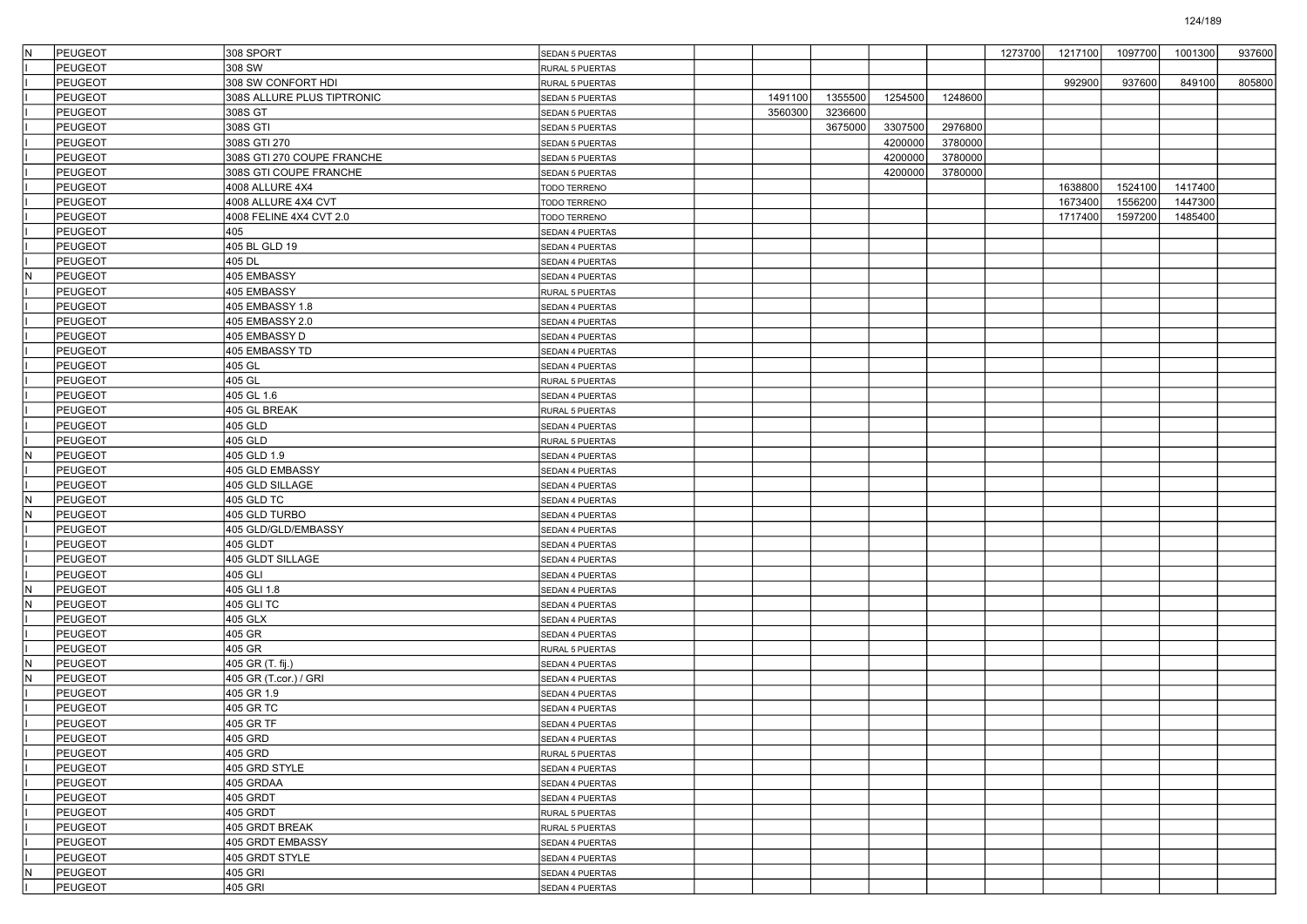| IN. | PEUGEOT        | 308 SPORT                  | SEDAN 5 PUERTAS        |         |         |         |         | 1273700 | 1217100 | 1097700 | 1001300 | 937600 |
|-----|----------------|----------------------------|------------------------|---------|---------|---------|---------|---------|---------|---------|---------|--------|
|     | PEUGEOT        | 308 SW                     | RURAL 5 PUERTAS        |         |         |         |         |         |         |         |         |        |
|     | <b>PEUGEOT</b> | 308 SW CONFORT HDI         | RURAL 5 PUERTAS        |         |         |         |         |         | 992900  | 937600  | 849100  | 805800 |
|     | PEUGEOT        | 308S ALLURE PLUS TIPTRONIC | <b>SEDAN 5 PUERTAS</b> | 1491100 | 1355500 | 1254500 | 1248600 |         |         |         |         |        |
|     | PEUGEOT        | 308S GT                    | SEDAN 5 PUERTAS        | 3560300 | 3236600 |         |         |         |         |         |         |        |
|     | PEUGEOT        | 308S GTI                   | SEDAN 5 PUERTAS        |         | 3675000 | 3307500 | 2976800 |         |         |         |         |        |
|     | PEUGEOT        | 308S GTI 270               | <b>SEDAN 5 PUERTAS</b> |         |         | 4200000 | 3780000 |         |         |         |         |        |
|     | PEUGEOT        | 308S GTI 270 COUPE FRANCHE | SEDAN 5 PUERTAS        |         |         | 4200000 | 3780000 |         |         |         |         |        |
|     | PEUGEOT        | 308S GTI COUPE FRANCHE     | SEDAN 5 PUERTAS        |         |         | 4200000 | 3780000 |         |         |         |         |        |
|     | PEUGEOT        | 4008 ALLURE 4X4            | TODO TERRENO           |         |         |         |         |         | 1638800 | 1524100 | 1417400 |        |
|     | PEUGEOT        | 4008 ALLURE 4X4 CVT        | TODO TERRENO           |         |         |         |         |         | 1673400 | 1556200 | 1447300 |        |
|     | <b>PEUGEOT</b> | 4008 FELINE 4X4 CVT 2.0    | TODO TERRENO           |         |         |         |         |         | 1717400 | 1597200 | 1485400 |        |
|     | PEUGEOT        | 405                        | SEDAN 4 PUERTAS        |         |         |         |         |         |         |         |         |        |
|     | PEUGEOT        | 405 BL GLD 19              | SEDAN 4 PUERTAS        |         |         |         |         |         |         |         |         |        |
|     | PEUGEOT        | 405 DL                     | SEDAN 4 PUERTAS        |         |         |         |         |         |         |         |         |        |
| N   | PEUGEOT        | 405 EMBASSY                | SEDAN 4 PUERTAS        |         |         |         |         |         |         |         |         |        |
|     | <b>PEUGEOT</b> | 405 EMBASSY                | RURAL 5 PUERTAS        |         |         |         |         |         |         |         |         |        |
|     | PEUGEOT        | 405 EMBASSY 1.8            | SEDAN 4 PUERTAS        |         |         |         |         |         |         |         |         |        |
|     | PEUGEOT        | 405 EMBASSY 2.0            | SEDAN 4 PUERTAS        |         |         |         |         |         |         |         |         |        |
|     | PEUGEOT        | 405 EMBASSY D              | SEDAN 4 PUERTAS        |         |         |         |         |         |         |         |         |        |
|     | PEUGEOT        | 405 EMBASSY TD             | SEDAN 4 PUERTAS        |         |         |         |         |         |         |         |         |        |
|     | <b>PEUGEOT</b> | 405 GL                     | SEDAN 4 PUERTAS        |         |         |         |         |         |         |         |         |        |
|     | PEUGEOT        | 405 GL                     | RURAL 5 PUERTAS        |         |         |         |         |         |         |         |         |        |
|     | PEUGEOT        | 405 GL 1.6                 | SEDAN 4 PUERTAS        |         |         |         |         |         |         |         |         |        |
|     | PEUGEOT        | 405 GL BREAK               | RURAL 5 PUERTAS        |         |         |         |         |         |         |         |         |        |
|     | PEUGEOT        | 405 GLD                    | SEDAN 4 PUERTAS        |         |         |         |         |         |         |         |         |        |
|     | <b>PEUGEOT</b> | 405 GLD                    | RURAL 5 PUERTAS        |         |         |         |         |         |         |         |         |        |
| IN. | PEUGEOT        | 405 GLD 1.9                | SEDAN 4 PUERTAS        |         |         |         |         |         |         |         |         |        |
|     | PEUGEOT        | 405 GLD EMBASSY            | SEDAN 4 PUERTAS        |         |         |         |         |         |         |         |         |        |
|     | <b>PEUGEOT</b> | 405 GLD SILLAGE            | SEDAN 4 PUERTAS        |         |         |         |         |         |         |         |         |        |
| N   | PEUGEOT        | 405 GLD TC                 | SEDAN 4 PUERTAS        |         |         |         |         |         |         |         |         |        |
| İN. | PEUGEOT        | 405 GLD TURBO              | SEDAN 4 PUERTAS        |         |         |         |         |         |         |         |         |        |
|     | PEUGEOT        | 405 GLD/GLD/EMBASSY        | SEDAN 4 PUERTAS        |         |         |         |         |         |         |         |         |        |
|     | PEUGEOT        | 405 GLDT                   | SEDAN 4 PUERTAS        |         |         |         |         |         |         |         |         |        |
|     | PEUGEOT        | 405 GLDT SILLAGE           | SEDAN 4 PUERTAS        |         |         |         |         |         |         |         |         |        |
|     | PEUGEOT        | 405 GLI                    | SEDAN 4 PUERTAS        |         |         |         |         |         |         |         |         |        |
| İN. | PEUGEOT        | 405 GLI 1.8                | SEDAN 4 PUERTAS        |         |         |         |         |         |         |         |         |        |
| IN. | PEUGEOT        | 405 GLI TC                 | SEDAN 4 PUERTAS        |         |         |         |         |         |         |         |         |        |
|     | <b>PEUGEOT</b> | 405 GLX                    | SEDAN 4 PUERTAS        |         |         |         |         |         |         |         |         |        |
|     | PEUGEOT        | 405 GR                     | SEDAN 4 PUERTAS        |         |         |         |         |         |         |         |         |        |
|     | PEUGEOT        | 405 GR                     | RURAL 5 PUERTAS        |         |         |         |         |         |         |         |         |        |
| IN. | PEUGEOT        | 405 GR (T. fij.)           | SEDAN 4 PUERTAS        |         |         |         |         |         |         |         |         |        |
| IN. | PEUGEOT        | 405 GR (T.cor.) / GRI      | SEDAN 4 PUERTAS        |         |         |         |         |         |         |         |         |        |
|     | <b>PEUGEOT</b> | 405 GR 1.9                 | SEDAN 4 PUERTAS        |         |         |         |         |         |         |         |         |        |
|     | <b>PEUGEOT</b> | 405 GR TC                  | SEDAN 4 PUERTAS        |         |         |         |         |         |         |         |         |        |
|     | PEUGEOT        | 405 GR TF                  | SEDAN 4 PUERTAS        |         |         |         |         |         |         |         |         |        |
|     | <b>PEUGEOT</b> | 405 GRD                    | SEDAN 4 PUERTAS        |         |         |         |         |         |         |         |         |        |
|     | PEUGEOT        | 405 GRD                    | RURAL 5 PUERTAS        |         |         |         |         |         |         |         |         |        |
|     | PEUGEOT        | 405 GRD STYLE              | SEDAN 4 PUERTAS        |         |         |         |         |         |         |         |         |        |
|     | PEUGEOT        | 405 GRDAA                  | SEDAN 4 PUERTAS        |         |         |         |         |         |         |         |         |        |
|     | PEUGEOT        | 405 GRDT                   | SEDAN 4 PUERTAS        |         |         |         |         |         |         |         |         |        |
|     | PEUGEOT        | 405 GRDT                   | RURAL 5 PUERTAS        |         |         |         |         |         |         |         |         |        |
|     | PEUGEOT        | 405 GRDT BREAK             | RURAL 5 PUERTAS        |         |         |         |         |         |         |         |         |        |
|     | PEUGEOT        | 405 GRDT EMBASSY           | SEDAN 4 PUERTAS        |         |         |         |         |         |         |         |         |        |
|     | PEUGEOT        | 405 GRDT STYLE             | SEDAN 4 PUERTAS        |         |         |         |         |         |         |         |         |        |
| İN. | PEUGEOT        | 405 GRI                    | SEDAN 4 PUERTAS        |         |         |         |         |         |         |         |         |        |
|     | PEUGEOT        | 405 GRI                    | SEDAN 4 PUERTAS        |         |         |         |         |         |         |         |         |        |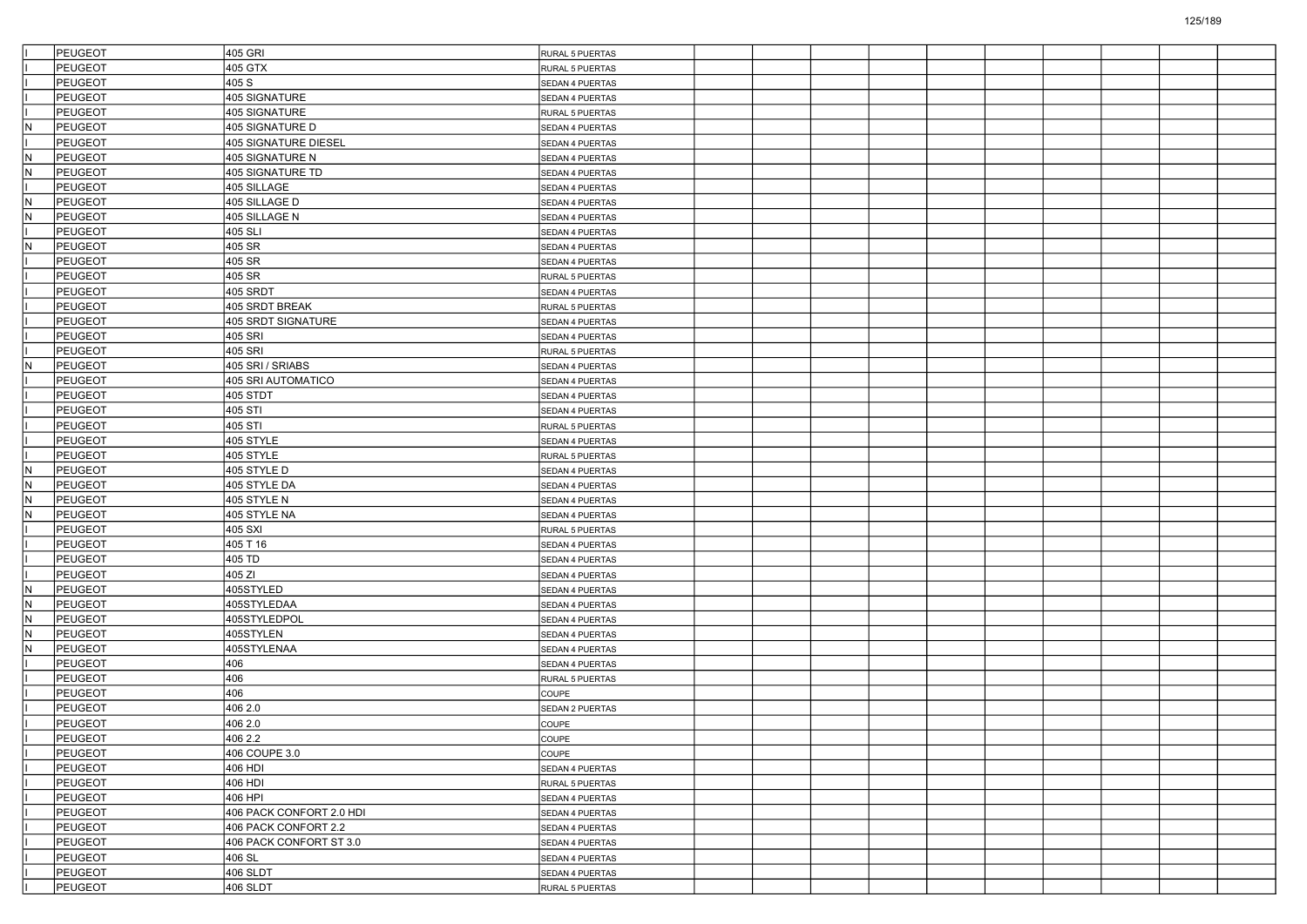|     | PEUGEOT        | 405 GRI                     | RURAL 5 PUERTAS |  |  |  |  |  |
|-----|----------------|-----------------------------|-----------------|--|--|--|--|--|
|     | PEUGEOT        | 405 GTX                     | RURAL 5 PUERTAS |  |  |  |  |  |
|     | <b>PEUGEOT</b> | 405 S                       | SEDAN 4 PUERTAS |  |  |  |  |  |
|     | PEUGEOT        | 405 SIGNATURE               | SEDAN 4 PUERTAS |  |  |  |  |  |
|     | PEUGEOT        | 405 SIGNATURE               | RURAL 5 PUERTAS |  |  |  |  |  |
| N   | PEUGEOT        | 405 SIGNATURE D             | SEDAN 4 PUERTAS |  |  |  |  |  |
|     | PEUGEOT        | <b>405 SIGNATURE DIESEL</b> | SEDAN 4 PUERTAS |  |  |  |  |  |
| İΝ  | PEUGEOT        | 405 SIGNATURE N             | SEDAN 4 PUERTAS |  |  |  |  |  |
| IN. | PEUGEOT        | 405 SIGNATURE TD            | SEDAN 4 PUERTAS |  |  |  |  |  |
|     | PEUGEOT        | 405 SILLAGE                 | SEDAN 4 PUERTAS |  |  |  |  |  |
| IN. | PEUGEOT        | 405 SILLAGE D               | SEDAN 4 PUERTAS |  |  |  |  |  |
| IN. | PEUGEOT        | 405 SILLAGE N               | SEDAN 4 PUERTAS |  |  |  |  |  |
|     | PEUGEOT        | 405 SLI                     | SEDAN 4 PUERTAS |  |  |  |  |  |
| IN. | PEUGEOT        | 405 SR                      | SEDAN 4 PUERTAS |  |  |  |  |  |
|     | PEUGEOT        | 405 SR                      | SEDAN 4 PUERTAS |  |  |  |  |  |
|     | PEUGEOT        | 405 SR                      | RURAL 5 PUERTAS |  |  |  |  |  |
|     | PEUGEOT        | 405 SRDT                    | SEDAN 4 PUERTAS |  |  |  |  |  |
|     | PEUGEOT        | 405 SRDT BREAK              | RURAL 5 PUERTAS |  |  |  |  |  |
|     | PEUGEOT        | 405 SRDT SIGNATURE          | SEDAN 4 PUERTAS |  |  |  |  |  |
|     | <b>PEUGEOT</b> | 405 SRI                     | SEDAN 4 PUERTAS |  |  |  |  |  |
|     | PEUGEOT        | 405 SRI                     | RURAL 5 PUERTAS |  |  |  |  |  |
| N   | <b>PEUGEOT</b> | 405 SRI / SRIABS            | SEDAN 4 PUERTAS |  |  |  |  |  |
|     | <b>PEUGEOT</b> | 405 SRI AUTOMATICO          | SEDAN 4 PUERTAS |  |  |  |  |  |
|     | <b>PEUGEOT</b> | 405 STDT                    | SEDAN 4 PUERTAS |  |  |  |  |  |
|     | PEUGEOT        | 405 STI                     | SEDAN 4 PUERTAS |  |  |  |  |  |
|     | PEUGEOT        | 405 STI                     | RURAL 5 PUERTAS |  |  |  |  |  |
|     | <b>PEUGEOT</b> | 405 STYLE                   | SEDAN 4 PUERTAS |  |  |  |  |  |
|     | <b>PEUGEOT</b> | 405 STYLE                   | RURAL 5 PUERTAS |  |  |  |  |  |
| IN. | <b>PEUGEOT</b> | 405 STYLE D                 | SEDAN 4 PUERTAS |  |  |  |  |  |
| İΝ  | <b>PEUGEOT</b> | 405 STYLE DA                |                 |  |  |  |  |  |
| IN. | <b>PEUGEOT</b> | 405 STYLE N                 | SEDAN 4 PUERTAS |  |  |  |  |  |
| IN. | <b>PEUGEOT</b> | 405 STYLE NA                | SEDAN 4 PUERTAS |  |  |  |  |  |
|     | <b>PEUGEOT</b> | 405 SXI                     | SEDAN 4 PUERTAS |  |  |  |  |  |
|     |                |                             | RURAL 5 PUERTAS |  |  |  |  |  |
|     | <b>PEUGEOT</b> | 405 T 16                    | SEDAN 4 PUERTAS |  |  |  |  |  |
|     | PEUGEOT        | 405 TD                      | SEDAN 4 PUERTAS |  |  |  |  |  |
|     | <b>PEUGEOT</b> | 405 ZI                      | SEDAN 4 PUERTAS |  |  |  |  |  |
| ΙN  | <b>PEUGEOT</b> | 405STYLED                   | SEDAN 4 PUERTAS |  |  |  |  |  |
| İΝ  | <b>PEUGEOT</b> | 405STYLEDAA                 | SEDAN 4 PUERTAS |  |  |  |  |  |
| IN. | <b>PEUGEOT</b> | 405STYLEDPOL                | SEDAN 4 PUERTAS |  |  |  |  |  |
| N   | PEUGEOT        | 405STYLEN                   | SEDAN 4 PUERTAS |  |  |  |  |  |
| N   | PEUGEOT        | 405STYLENAA                 | SEDAN 4 PUERTAS |  |  |  |  |  |
|     | <b>PEUGEOT</b> | 406                         | SEDAN 4 PUERTAS |  |  |  |  |  |
|     | <b>PEUGEOT</b> | 406                         | RURAL 5 PUERTAS |  |  |  |  |  |
|     | <b>PEUGEOT</b> | 406                         | COUPE           |  |  |  |  |  |
|     | PEUGEOT        | 406 2.0                     | SEDAN 2 PUERTAS |  |  |  |  |  |
|     | PEUGEOT        | 406 2.0                     | COUPE           |  |  |  |  |  |
|     | <b>PEUGEOT</b> | 406 2.2                     | COUPE           |  |  |  |  |  |
|     | PEUGEOT        | 406 COUPE 3.0               | COUPE           |  |  |  |  |  |
|     | PEUGEOT        | 406 HDI                     | SEDAN 4 PUERTAS |  |  |  |  |  |
|     | PEUGEOT        | 406 HDI                     | RURAL 5 PUERTAS |  |  |  |  |  |
|     | <b>PEUGEOT</b> | 406 HPI                     | SEDAN 4 PUERTAS |  |  |  |  |  |
|     | PEUGEOT        | 406 PACK CONFORT 2.0 HDI    | SEDAN 4 PUERTAS |  |  |  |  |  |
|     | PEUGEOT        | 406 PACK CONFORT 2.2        | SEDAN 4 PUERTAS |  |  |  |  |  |
|     | <b>PEUGEOT</b> | 406 PACK CONFORT ST 3.0     | SEDAN 4 PUERTAS |  |  |  |  |  |
|     | PEUGEOT        | 406 SL                      | SEDAN 4 PUERTAS |  |  |  |  |  |
|     | PEUGEOT        | $406$ SLDT                  | SEDAN 4 PUERTAS |  |  |  |  |  |
|     | <b>PEUGEOT</b> | 406 SLDT                    | RURAL 5 PUERTAS |  |  |  |  |  |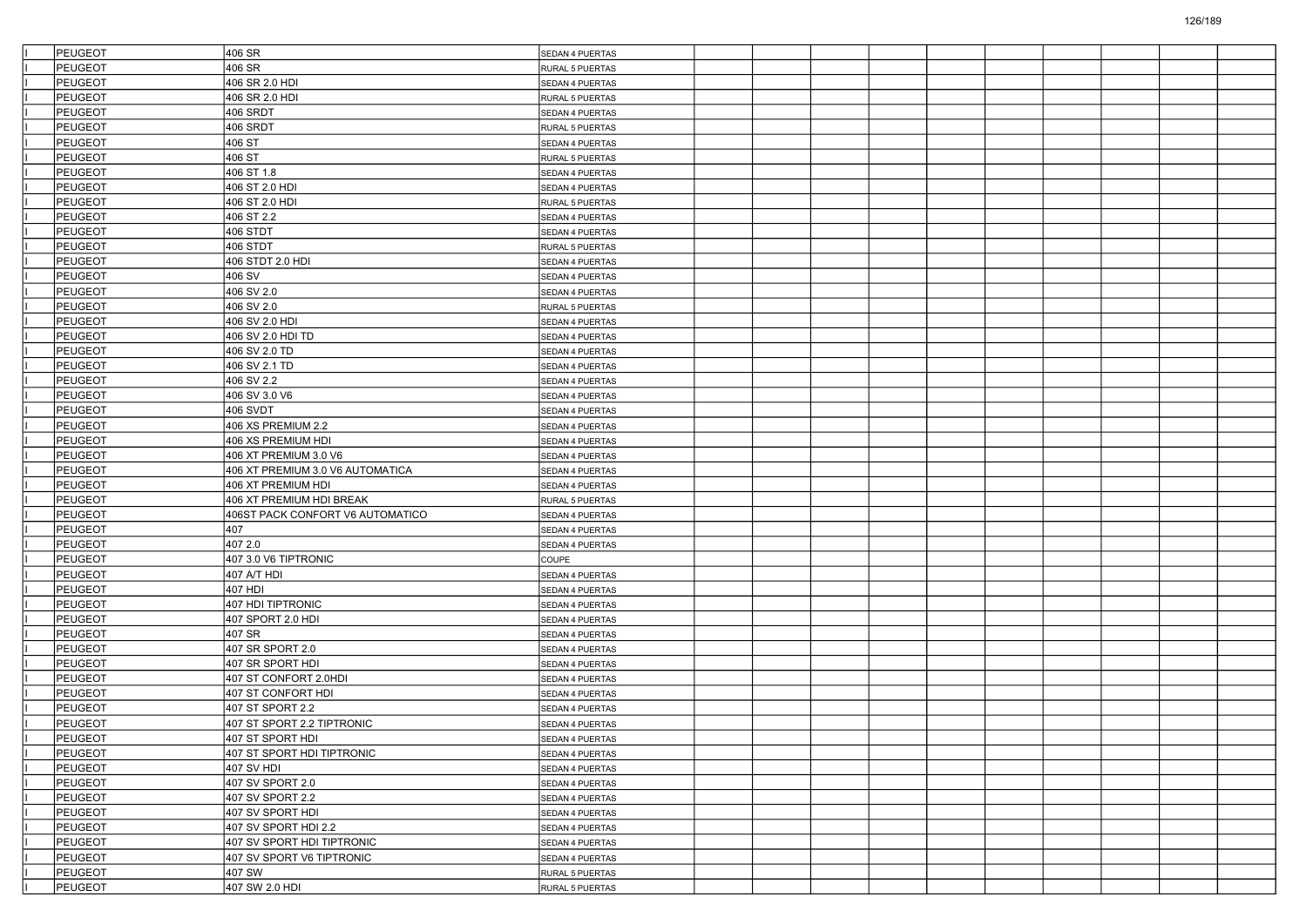| PEUGEOT        | 406 SR                           | SEDAN 4 PUERTAS        |  |  |  |  |  |
|----------------|----------------------------------|------------------------|--|--|--|--|--|
| PEUGEOT        | 406 SR                           | RURAL 5 PUERTAS        |  |  |  |  |  |
| PEUGEOT        | 406 SR 2.0 HDI                   | SEDAN 4 PUERTAS        |  |  |  |  |  |
| <b>PEUGEOT</b> | 406 SR 2.0 HDI                   | RURAL 5 PUERTAS        |  |  |  |  |  |
| PEUGEOT        | 406 SRDT                         | SEDAN 4 PUERTAS        |  |  |  |  |  |
| PEUGEOT        | 406 SRDT                         | RURAL 5 PUERTAS        |  |  |  |  |  |
| <b>PEUGEOT</b> | 406 ST                           | SEDAN 4 PUERTAS        |  |  |  |  |  |
| PEUGEOT        | 406 ST                           | RURAL 5 PUERTAS        |  |  |  |  |  |
| PEUGEOT        | 406 ST 1.8                       | SEDAN 4 PUERTAS        |  |  |  |  |  |
| <b>PEUGEOT</b> | 406 ST 2.0 HDI                   | SEDAN 4 PUERTAS        |  |  |  |  |  |
| <b>PEUGEOT</b> | 406 ST 2.0 HDI                   | RURAL 5 PUERTAS        |  |  |  |  |  |
| <b>PEUGEOT</b> | 406 ST 2.2                       | <b>SEDAN 4 PUERTAS</b> |  |  |  |  |  |
| PEUGEOT        | 406 STDT                         | SEDAN 4 PUERTAS        |  |  |  |  |  |
| <b>PEUGEOT</b> | 406 STDT                         | RURAL 5 PUERTAS        |  |  |  |  |  |
| <b>PEUGEOT</b> | 406 STDT 2.0 HDI                 | SEDAN 4 PUERTAS        |  |  |  |  |  |
| <b>PEUGEOT</b> | 406 SV                           | SEDAN 4 PUERTAS        |  |  |  |  |  |
| <b>PEUGEOT</b> | 406 SV 2.0                       | SEDAN 4 PUERTAS        |  |  |  |  |  |
| PEUGEOT        | 406 SV 2.0                       | RURAL 5 PUERTAS        |  |  |  |  |  |
| <b>PEUGEOT</b> | 406 SV 2.0 HDI                   | SEDAN 4 PUERTAS        |  |  |  |  |  |
| <b>PEUGEOT</b> | 406 SV 2.0 HDI TD                | SEDAN 4 PUERTAS        |  |  |  |  |  |
| <b>PEUGEOT</b> | 406 SV 2.0 TD                    | SEDAN 4 PUERTAS        |  |  |  |  |  |
| <b>PEUGEOT</b> | 406 SV 2.1 TD                    | SEDAN 4 PUERTAS        |  |  |  |  |  |
| PEUGEOT        | 406 SV 2.2                       | SEDAN 4 PUERTAS        |  |  |  |  |  |
| <b>PEUGEOT</b> | 406 SV 3.0 V6                    | SEDAN 4 PUERTAS        |  |  |  |  |  |
| <b>PEUGEOT</b> | 406 SVDT                         | SEDAN 4 PUERTAS        |  |  |  |  |  |
| <b>PEUGEOT</b> | 406 XS PREMIUM 2.2               | SEDAN 4 PUERTAS        |  |  |  |  |  |
| <b>PEUGEOT</b> | 406 XS PREMIUM HDI               | SEDAN 4 PUERTAS        |  |  |  |  |  |
| PEUGEOT        | 406 XT PREMIUM 3.0 V6            | SEDAN 4 PUERTAS        |  |  |  |  |  |
| PEUGEOT        | 406 XT PREMIUM 3.0 V6 AUTOMATICA | SEDAN 4 PUERTAS        |  |  |  |  |  |
| <b>PEUGEOT</b> | 406 XT PREMIUM HDI               | SEDAN 4 PUERTAS        |  |  |  |  |  |
| <b>PEUGEOT</b> | 406 XT PREMIUM HDI BREAK         | RURAL 5 PUERTAS        |  |  |  |  |  |
| PEUGEOT        | 406ST PACK CONFORT V6 AUTOMATICO | <b>SEDAN 4 PUERTAS</b> |  |  |  |  |  |
| PEUGEOT        | 407                              | SEDAN 4 PUERTAS        |  |  |  |  |  |
| <b>PEUGEOT</b> | 407 2.0                          | SEDAN 4 PUERTAS        |  |  |  |  |  |
| <b>PEUGEOT</b> | 407 3.0 V6 TIPTRONIC             | COUPE                  |  |  |  |  |  |
| <b>PEUGEOT</b> | 407 A/T HDI                      | SEDAN 4 PUERTAS        |  |  |  |  |  |
| <b>PEUGEOT</b> | 407 HDI                          | SEDAN 4 PUERTAS        |  |  |  |  |  |
| PEUGEOT        | 407 HDI TIPTRONIC                | SEDAN 4 PUERTAS        |  |  |  |  |  |
| <b>PEUGEOT</b> | 407 SPORT 2.0 HDI                | SEDAN 4 PUERTAS        |  |  |  |  |  |
| PEUGEOT        | 407 SR                           | SEDAN 4 PUERTAS        |  |  |  |  |  |
| <b>PEUGEOT</b> | 407 SR SPORT 2.0                 | SEDAN 4 PUERTAS        |  |  |  |  |  |
| <b>PEUGEOT</b> | 407 SR SPORT HDI                 | SEDAN 4 PUERTAS        |  |  |  |  |  |
| PEUGEOT        | 407 ST CONFORT 2.0HDI            | SEDAN 4 PUERTAS        |  |  |  |  |  |
| <b>PEUGEOT</b> | 407 ST CONFORT HDI               | SEDAN 4 PUERTAS        |  |  |  |  |  |
| <b>PEUGEOT</b> | 407 ST SPORT 2.2                 | SEDAN 4 PUERTAS        |  |  |  |  |  |
| <b>PEUGEOT</b> | 407 ST SPORT 2.2 TIPTRONIC       | SEDAN 4 PUERTAS        |  |  |  |  |  |
| <b>PEUGEOT</b> | 407 ST SPORT HDI                 | SEDAN 4 PUERTAS        |  |  |  |  |  |
| <b>PEUGEOT</b> | 407 ST SPORT HDI TIPTRONIC       | SEDAN 4 PUERTAS        |  |  |  |  |  |
| PEUGEOT        | 407 SV HDI                       | SEDAN 4 PUERTAS        |  |  |  |  |  |
| PEUGEOT        | 407 SV SPORT 2.0                 | SEDAN 4 PUERTAS        |  |  |  |  |  |
| PEUGEOT        | 407 SV SPORT 2.2                 | SEDAN 4 PUERTAS        |  |  |  |  |  |
| PEUGEOT        | 407 SV SPORT HDI                 | SEDAN 4 PUERTAS        |  |  |  |  |  |
| PEUGEOT        | 407 SV SPORT HDI 2.2             | SEDAN 4 PUERTAS        |  |  |  |  |  |
| PEUGEOT        | 407 SV SPORT HDI TIPTRONIC       | SEDAN 4 PUERTAS        |  |  |  |  |  |
| PEUGEOT        | 407 SV SPORT V6 TIPTRONIC        | SEDAN 4 PUERTAS        |  |  |  |  |  |
| PEUGEOT        | 407 SW                           | RURAL 5 PUERTAS        |  |  |  |  |  |
| PEUGEOT        | 407 SW 2.0 HDI                   | RURAL 5 PUERTAS        |  |  |  |  |  |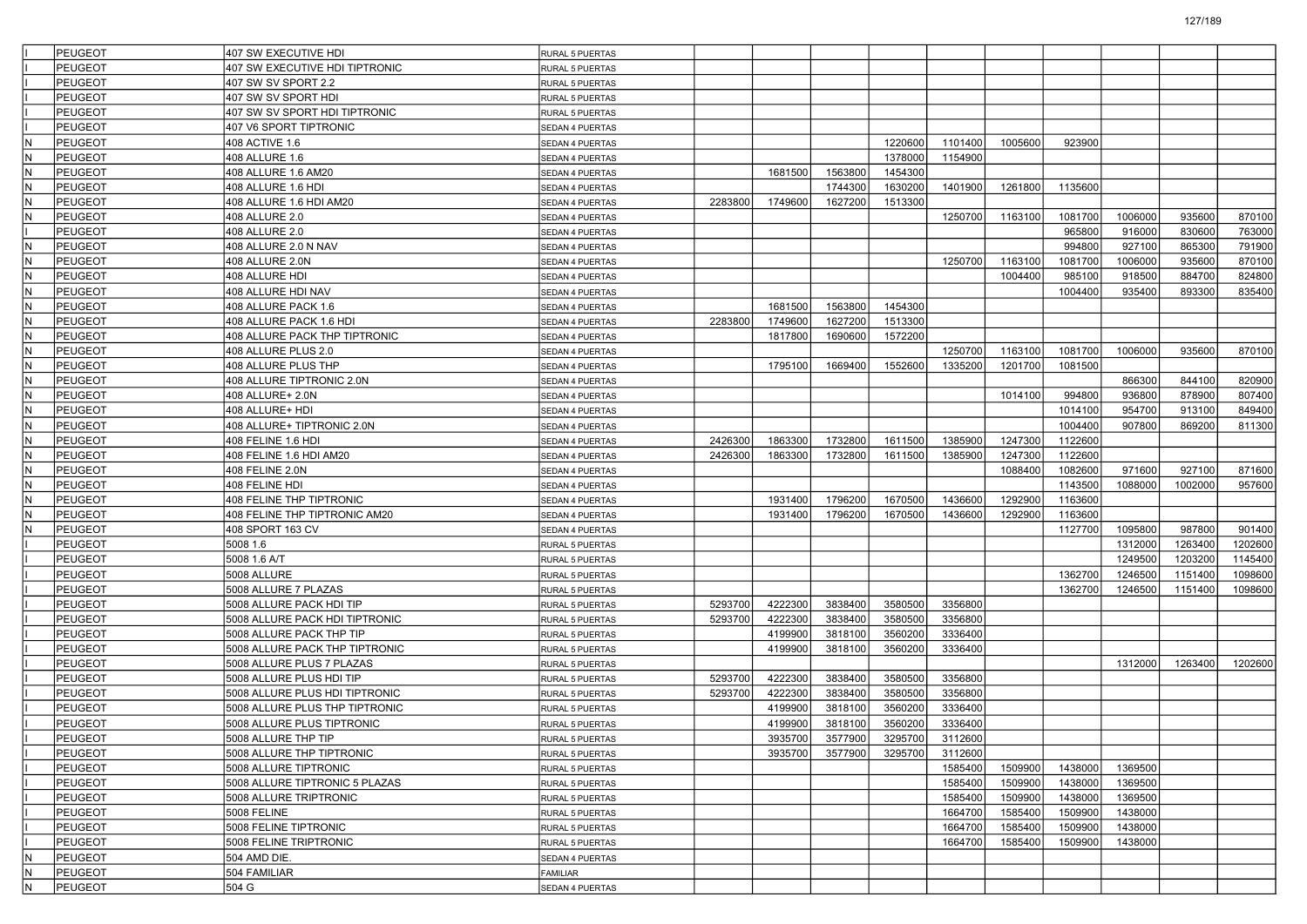|     | PEUGEOT        | 407 SW EXECUTIVE HDI            | RURAL 5 PUERTAS |         |         |         |                         |         |         |         |         |         |         |
|-----|----------------|---------------------------------|-----------------|---------|---------|---------|-------------------------|---------|---------|---------|---------|---------|---------|
|     | <b>PEUGEOT</b> | 407 SW EXECUTIVE HDI TIPTRONIC  | RURAL 5 PUERTAS |         |         |         |                         |         |         |         |         |         |         |
|     | <b>PEUGEOT</b> | 407 SW SV SPORT 2.2             | RURAL 5 PUERTAS |         |         |         |                         |         |         |         |         |         |         |
|     | PEUGEOT        | 407 SW SV SPORT HDI             | RURAL 5 PUERTAS |         |         |         |                         |         |         |         |         |         |         |
|     | PEUGEOT        | 407 SW SV SPORT HDI TIPTRONIC   | RURAL 5 PUERTAS |         |         |         |                         |         |         |         |         |         |         |
|     | PEUGEOT        | 407 V6 SPORT TIPTRONIC          | SEDAN 4 PUERTAS |         |         |         |                         |         |         |         |         |         |         |
| lN  | PEUGEOT        | 408 ACTIVE 1.6                  | SEDAN 4 PUERTAS |         |         |         | 1220600                 | 1101400 | 1005600 | 923900  |         |         |         |
| IN. | <b>PEUGEOT</b> | 408 ALLURE 1.6                  | SEDAN 4 PUERTAS |         |         |         | 1378000                 | 1154900 |         |         |         |         |         |
| IN. | PEUGEOT        | 408 ALLURE 1.6 AM20             | SEDAN 4 PUERTAS |         | 1681500 | 1563800 | 1454300                 |         |         |         |         |         |         |
| IN. | PEUGEOT        | 408 ALLURE 1.6 HDI              | SEDAN 4 PUERTAS |         |         | 1744300 | 1630200                 | 1401900 | 1261800 | 1135600 |         |         |         |
| İN. | PEUGEOT        | 408 ALLURE 1.6 HDI AM20         | SEDAN 4 PUERTAS | 2283800 | 1749600 | 1627200 | 1513300                 |         |         |         |         |         |         |
| IN. | PEUGEOT        | 408 ALLURE 2.0                  | SEDAN 4 PUERTAS |         |         |         |                         | 1250700 | 1163100 | 1081700 | 1006000 | 935600  | 870100  |
|     | <b>PEUGEOT</b> | 408 ALLURE 2.0                  | SEDAN 4 PUERTAS |         |         |         |                         |         |         | 965800  | 916000  | 830600  | 763000  |
| IN. | PEUGEOT        | 408 ALLURE 2.0 N NAV            | SEDAN 4 PUERTAS |         |         |         |                         |         |         | 994800  | 927100  | 865300  | 791900  |
| IN. | <b>PEUGEOT</b> | 408 ALLURE 2.0N                 | SEDAN 4 PUERTAS |         |         |         |                         | 1250700 | 1163100 | 1081700 | 1006000 | 935600  | 870100  |
| İN. | PEUGEOT        | 408 ALLURE HDI                  | SEDAN 4 PUERTAS |         |         |         |                         |         | 1004400 | 985100  | 918500  | 884700  | 824800  |
| lΝ  | PEUGEOT        | 408 ALLURE HDI NAV              | SEDAN 4 PUERTAS |         |         |         |                         |         |         | 1004400 | 935400  | 893300  | 835400  |
| IN. | <b>PEUGEOT</b> | 408 ALLURE PACK 1.6             | SEDAN 4 PUERTAS |         | 1681500 | 1563800 | 1454300                 |         |         |         |         |         |         |
| IN. | <b>PEUGEOT</b> | 408 ALLURE PACK 1.6 HDI         | SEDAN 4 PUERTAS | 2283800 | 1749600 | 1627200 | 1513300                 |         |         |         |         |         |         |
| lN. | PEUGEOT        | 408 ALLURE PACK THP TIPTRONIC   | SEDAN 4 PUERTAS |         | 1817800 | 1690600 | 1572200                 |         |         |         |         |         |         |
| İN. | PEUGEOT        | 408 ALLURE PLUS 2.0             | SEDAN 4 PUERTAS |         |         |         |                         | 1250700 | 1163100 | 1081700 | 1006000 | 935600  | 870100  |
| lΝ  | PEUGEOT        | 408 ALLURE PLUS THP             | SEDAN 4 PUERTAS |         | 1795100 | 1669400 | 1552600                 | 1335200 | 1201700 | 1081500 |         |         |         |
| IN. | PEUGEOT        | 408 ALLURE TIPTRONIC 2.0N       | SEDAN 4 PUERTAS |         |         |         |                         |         |         |         | 866300  | 844100  | 820900  |
| IN. | <b>PEUGEOT</b> | 408 ALLURE+ 2.0N                | SEDAN 4 PUERTAS |         |         |         |                         |         | 1014100 | 994800  | 936800  | 878900  | 807400  |
| lN. | PEUGEOT        | 408 ALLURE+ HDI                 | SEDAN 4 PUERTAS |         |         |         |                         |         |         | 1014100 | 954700  | 913100  | 849400  |
| İN. | PEUGEOT        | 408 ALLURE+ TIPTRONIC 2.0N      | SEDAN 4 PUERTAS |         |         |         |                         |         |         | 1004400 | 907800  | 869200  | 811300  |
| lΝ  | PEUGEOT        | 408 FELINE 1.6 HDI              | SEDAN 4 PUERTAS | 2426300 | 1863300 | 1732800 | 1611500                 | 1385900 | 1247300 | 1122600 |         |         |         |
| IN. | PEUGEOT        | 408 FELINE 1.6 HDI AM20         | SEDAN 4 PUERTAS | 2426300 | 1863300 | 1732800 | 1611500                 | 1385900 | 1247300 | 1122600 |         |         |         |
| IN. | PEUGEOT        | 408 FELINE 2.0N                 | SEDAN 4 PUERTAS |         |         |         |                         |         | 1088400 | 1082600 | 971600  | 927100  | 871600  |
| lN. | <b>PEUGEOT</b> | 408 FELINE HDI                  | SEDAN 4 PUERTAS |         |         |         |                         |         |         | 1143500 | 1088000 | 1002000 | 957600  |
| İN. | PEUGEOT        | <b>408 FELINE THP TIPTRONIC</b> |                 |         | 1931400 | 1796200 | 1670500                 | 1436600 | 1292900 | 1163600 |         |         |         |
| lΝ  | <b>PEUGEOT</b> | 408 FELINE THP TIPTRONIC AM20   | SEDAN 4 PUERTAS |         | 1931400 | 1796200 | 1670500                 | 1436600 | 1292900 | 1163600 |         |         |         |
| IN. |                |                                 | SEDAN 4 PUERTAS |         |         |         |                         |         |         |         | 1095800 | 987800  | 901400  |
|     | <b>PEUGEOT</b> | 408 SPORT 163 CV                | SEDAN 4 PUERTAS |         |         |         |                         |         |         | 1127700 |         |         |         |
|     | PEUGEOT        | 5008 1.6                        | RURAL 5 PUERTAS |         |         |         |                         |         |         |         | 1312000 | 1263400 | 1202600 |
|     | PEUGEOT        | 5008 1.6 A/T                    | RURAL 5 PUERTAS |         |         |         |                         |         |         |         | 1249500 | 1203200 | 1145400 |
|     | <b>PEUGEOT</b> | 5008 ALLURE                     | RURAL 5 PUERTAS |         |         |         |                         |         |         | 1362700 | 1246500 | 1151400 | 1098600 |
|     | PEUGEOT        | 5008 ALLURE 7 PLAZAS            | RURAL 5 PUERTAS |         |         |         |                         |         |         | 1362700 | 1246500 | 1151400 | 1098600 |
|     | <b>PEUGEOT</b> | 5008 ALLURE PACK HDI TIP        | RURAL 5 PUERTAS | 5293700 | 4222300 | 3838400 | 3580500                 | 3356800 |         |         |         |         |         |
|     | <b>PEUGEOT</b> | 5008 ALLURE PACK HDI TIPTRONIC  | RURAL 5 PUERTAS | 5293700 | 4222300 | 3838400 | 3580500                 | 3356800 |         |         |         |         |         |
|     | PEUGEOT        | 5008 ALLURE PACK THP TIP        | RURAL 5 PUERTAS |         | 4199900 | 3818100 | 3560200                 | 3336400 |         |         |         |         |         |
|     | PEUGEOT        | 5008 ALLURE PACK THP TIPTRONIC  | RURAL 5 PUERTAS |         | 4199900 | 3818100 | 3560200                 | 3336400 |         |         |         |         |         |
|     | PEUGEOT        | 5008 ALLURE PLUS 7 PLAZAS       | RURAL 5 PUERTAS |         |         |         |                         |         |         |         | 1312000 | 1263400 | 1202600 |
|     | <b>PEUGEOT</b> | 5008 ALLURE PLUS HDI TIP        | RURAL 5 PUERTAS | 5293700 | 4222300 | 3838400 | 3580500                 | 3356800 |         |         |         |         |         |
|     | PEUGEOT        | 5008 ALLURE PLUS HDI TIPTRONIC  | RURAL 5 PUERTAS | 5293700 | 4222300 | 3838400 | 3580500                 | 3356800 |         |         |         |         |         |
|     | PEUGEOT        | 5008 ALLURE PLUS THP TIPTRONIC  | RURAL 5 PUERTAS |         | 4199900 | 3818100 | 3560200                 | 3336400 |         |         |         |         |         |
|     | PEUGEOT        | 5008 ALLURE PLUS TIPTRONIC      | RURAL 5 PUERTAS |         | 4199900 | 3818100 | 3560200                 | 3336400 |         |         |         |         |         |
|     | PEUGEOT        | 5008 ALLURE THP TIP             | RURAL 5 PUERTAS |         |         |         | 3935700 3577900 3295700 | 3112600 |         |         |         |         |         |
|     | PEUGEOT        | 5008 ALLURE THP TIPTRONIC       | RURAL 5 PUERTAS |         | 3935700 | 3577900 | 3295700                 | 3112600 |         |         |         |         |         |
|     | <b>PEUGEOT</b> | 5008 ALLURE TIPTRONIC           | RURAL 5 PUERTAS |         |         |         |                         | 1585400 | 1509900 | 1438000 | 1369500 |         |         |
|     | PEUGEOT        | 5008 ALLURE TIPTRONIC 5 PLAZAS  | RURAL 5 PUERTAS |         |         |         |                         | 1585400 | 1509900 | 1438000 | 1369500 |         |         |
|     | <b>PEUGEOT</b> | 5008 ALLURE TRIPTRONIC          | RURAL 5 PUERTAS |         |         |         |                         | 1585400 | 1509900 | 1438000 | 1369500 |         |         |
|     | <b>PEUGEOT</b> | <b>5008 FELINE</b>              | RURAL 5 PUERTAS |         |         |         |                         | 1664700 | 1585400 | 1509900 | 1438000 |         |         |
|     | PEUGEOT        | 5008 FELINE TIPTRONIC           | RURAL 5 PUERTAS |         |         |         |                         | 1664700 | 1585400 | 1509900 | 1438000 |         |         |
|     | PEUGEOT        | 5008 FELINE TRIPTRONIC          | RURAL 5 PUERTAS |         |         |         |                         | 1664700 | 1585400 | 1509900 | 1438000 |         |         |
| IN. | PEUGEOT        | 504 AMD DIE.                    | SEDAN 4 PUERTAS |         |         |         |                         |         |         |         |         |         |         |
| N.  | <b>PEUGEOT</b> | 504 FAMILIAR                    | FAMILIAR        |         |         |         |                         |         |         |         |         |         |         |
| IN. | PEUGEOT        | 504 G                           | SEDAN 4 PUERTAS |         |         |         |                         |         |         |         |         |         |         |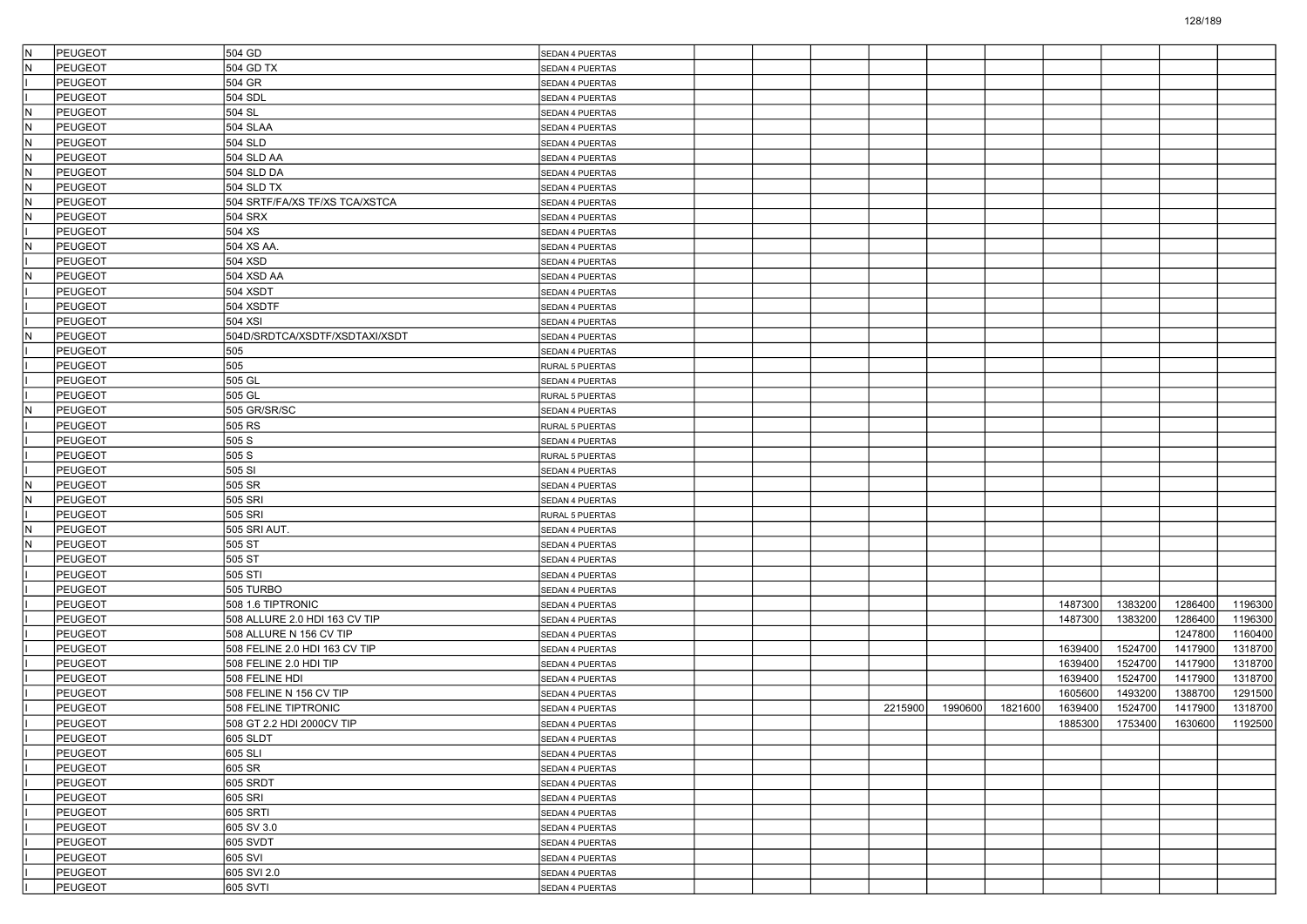| İΝ  | <b>PEUGEOT</b>     | 504 GD                         | <b>SEDAN 4 PUERTAS</b>             |  |         |         |         |         |         |         |         |
|-----|--------------------|--------------------------------|------------------------------------|--|---------|---------|---------|---------|---------|---------|---------|
|     | <b>PEUGEOT</b>     | 504 GD TX                      | SEDAN 4 PUERTAS                    |  |         |         |         |         |         |         |         |
|     | <b>PEUGEOT</b>     | 504 GR                         | SEDAN 4 PUERTAS                    |  |         |         |         |         |         |         |         |
|     | <b>PEUGEOT</b>     | 504 SDL                        | SEDAN 4 PUERTAS                    |  |         |         |         |         |         |         |         |
| ΙN  | <b>PEUGEOT</b>     | 504 SL                         | SEDAN 4 PUERTAS                    |  |         |         |         |         |         |         |         |
| İN. | <b>PEUGEOT</b>     | <b>504 SLAA</b>                | SEDAN 4 PUERTAS                    |  |         |         |         |         |         |         |         |
|     | PEUGEOT            | 504 SLD                        | SEDAN 4 PUERTAS                    |  |         |         |         |         |         |         |         |
| ΙN  | <b>PEUGEOT</b>     | 504 SLD AA                     | SEDAN 4 PUERTAS                    |  |         |         |         |         |         |         |         |
| IN. | <b>PEUGEOT</b>     | 504 SLD DA                     | SEDAN 4 PUERTAS                    |  |         |         |         |         |         |         |         |
| ΙN  | <b>PEUGEOT</b>     | <b>504 SLD TX</b>              | SEDAN 4 PUERTAS                    |  |         |         |         |         |         |         |         |
| İN  | <b>PEUGEOT</b>     | 504 SRTF/FA/XS TF/XS TCA/XSTCA | SEDAN 4 PUERTAS                    |  |         |         |         |         |         |         |         |
|     | PEUGEOT            | <b>504 SRX</b>                 | SEDAN 4 PUERTAS                    |  |         |         |         |         |         |         |         |
|     | <b>PEUGEOT</b>     | 504 XS                         | SEDAN 4 PUERTAS                    |  |         |         |         |         |         |         |         |
| lΝ  | <b>PEUGEOT</b>     | 504 XS AA.                     | SEDAN 4 PUERTAS                    |  |         |         |         |         |         |         |         |
|     | <b>PEUGEOT</b>     | 504 XSD                        | SEDAN 4 PUERTAS                    |  |         |         |         |         |         |         |         |
| ΙN  | <b>PEUGEOT</b>     | 504 XSD AA                     | SEDAN 4 PUERTAS                    |  |         |         |         |         |         |         |         |
|     | PEUGEOT            | 504 XSDT                       | SEDAN 4 PUERTAS                    |  |         |         |         |         |         |         |         |
|     | <b>PEUGEOT</b>     | 504 XSDTF                      | SEDAN 4 PUERTAS                    |  |         |         |         |         |         |         |         |
|     | <b>PEUGEOT</b>     | 504 XSI                        | SEDAN 4 PUERTAS                    |  |         |         |         |         |         |         |         |
| ΙN  | <b>PEUGEOT</b>     | 504D/SRDTCA/XSDTF/XSDTAXI/XSDT | SEDAN 4 PUERTAS                    |  |         |         |         |         |         |         |         |
|     | <b>PEUGEOT</b>     | 505                            | SEDAN 4 PUERTAS                    |  |         |         |         |         |         |         |         |
|     | PEUGEOT            | 505                            | RURAL 5 PUERTAS                    |  |         |         |         |         |         |         |         |
|     | <b>PEUGEOT</b>     | 505 GL                         | SEDAN 4 PUERTAS                    |  |         |         |         |         |         |         |         |
|     | <b>PEUGEOT</b>     | 505 GL                         | RURAL 5 PUERTAS                    |  |         |         |         |         |         |         |         |
| N   | <b>PEUGEOT</b>     | 505 GR/SR/SC                   | SEDAN 4 PUERTAS                    |  |         |         |         |         |         |         |         |
|     | <b>PEUGEOT</b>     | 505 RS                         | RURAL 5 PUERTAS                    |  |         |         |         |         |         |         |         |
|     | PEUGEOT            | 505 S                          | SEDAN 4 PUERTAS                    |  |         |         |         |         |         |         |         |
|     | <b>PEUGEOT</b>     | 505 S                          | RURAL 5 PUERTAS                    |  |         |         |         |         |         |         |         |
|     | <b>PEUGEOT</b>     | 505 SI                         | SEDAN 4 PUERTAS                    |  |         |         |         |         |         |         |         |
| ΙN  | <b>PEUGEOT</b>     | 505 SR                         | SEDAN 4 PUERTAS                    |  |         |         |         |         |         |         |         |
| lΝ  | <b>PEUGEOT</b>     | 505 SRI                        | SEDAN 4 PUERTAS                    |  |         |         |         |         |         |         |         |
|     | PEUGEOT            | 505 SRI                        | RURAL 5 PUERTAS                    |  |         |         |         |         |         |         |         |
| ΙN  | <b>PEUGEOT</b>     | 505 SRI AUT.                   | SEDAN 4 PUERTAS                    |  |         |         |         |         |         |         |         |
| ΙN  | <b>PEUGEOT</b>     | 505 ST                         | SEDAN 4 PUERTAS                    |  |         |         |         |         |         |         |         |
|     | PEUGEOT            | 505 ST                         | SEDAN 4 PUERTAS                    |  |         |         |         |         |         |         |         |
|     | <b>PEUGEOT</b>     | 505 STI                        | SEDAN 4 PUERTAS                    |  |         |         |         |         |         |         |         |
|     | <b>PEUGEOT</b>     | 505 TURBO                      | SEDAN 4 PUERTAS                    |  |         |         |         |         |         |         |         |
|     | <b>PEUGEOT</b>     | 508 1.6 TIPTRONIC              | SEDAN 4 PUERTAS                    |  |         |         |         | 1487300 | 1383200 | 1286400 | 1196300 |
|     | PEUGEOT            | 508 ALLURE 2.0 HDI 163 CV TIP  | SEDAN 4 PUERTAS                    |  |         |         |         | 1487300 | 1383200 | 1286400 | 1196300 |
|     | <b>PEUGEOT</b>     | 508 ALLURE N 156 CV TIP        | SEDAN 4 PUERTAS                    |  |         |         |         |         |         | 1247800 | 1160400 |
|     | <b>PEUGEOT</b>     | 508 FELINE 2.0 HDI 163 CV TIP  | SEDAN 4 PUERTAS                    |  |         |         |         | 1639400 | 1524700 | 1417900 | 1318700 |
|     | PEUGEOT            | 508 FELINE 2.0 HDI TIP         | SEDAN 4 PUERTAS                    |  |         |         |         | 1639400 | 1524700 | 1417900 | 1318700 |
|     | <b>PEUGEOT</b>     | 508 FELINE HDI                 | SEDAN 4 PUERTAS                    |  |         |         |         | 1639400 | 1524700 | 1417900 | 1318700 |
|     | <b>PEUGEOT</b>     | 508 FELINE N 156 CV TIP        |                                    |  |         |         |         | 1605600 | 1493200 | 1388700 | 1291500 |
|     | PEUGEOT            | 508 FELINE TIPTRONIC           | SEDAN 4 PUERTAS<br>SEDAN 4 PUERTAS |  | 2215900 | 1990600 | 1821600 | 1639400 | 1524700 | 1417900 | 1318700 |
|     | <b>PEUGEOT</b>     | 508 GT 2.2 HDI 2000CV TIP      | SEDAN 4 PUERTAS                    |  |         |         |         | 1885300 | 1753400 | 1630600 | 1192500 |
|     | PEUGEOT            | 605 SLDT                       | SEDAN 4 PUERTAS                    |  |         |         |         |         |         |         |         |
|     | PEUGEOT            | 605 SLI                        |                                    |  |         |         |         |         |         |         |         |
|     | PEUGEOT            | 605 SR                         | SEDAN 4 PUERTAS<br>SEDAN 4 PUERTAS |  |         |         |         |         |         |         |         |
|     | PEUGEOT            | 605 SRDT                       | SEDAN 4 PUERTAS                    |  |         |         |         |         |         |         |         |
|     | <b>PEUGEOT</b>     | 605 SRI                        | SEDAN 4 PUERTAS                    |  |         |         |         |         |         |         |         |
|     | PEUGEOT            | 605 SRTI                       |                                    |  |         |         |         |         |         |         |         |
|     |                    |                                | SEDAN 4 PUERTAS                    |  |         |         |         |         |         |         |         |
|     | PEUGEOT<br>PEUGEOT | 605 SV 3.0<br>605 SVDT         | SEDAN 4 PUERTAS                    |  |         |         |         |         |         |         |         |
|     | PEUGEOT            | 605 SVI                        | SEDAN 4 PUERTAS                    |  |         |         |         |         |         |         |         |
|     | PEUGEOT            | 605 SVI 2.0                    | SEDAN 4 PUERTAS                    |  |         |         |         |         |         |         |         |
|     | <b>PEUGEOT</b>     | 605 SVTI                       | SEDAN 4 PUERTAS                    |  |         |         |         |         |         |         |         |
|     |                    |                                | SEDAN 4 PUERTAS                    |  |         |         |         |         |         |         |         |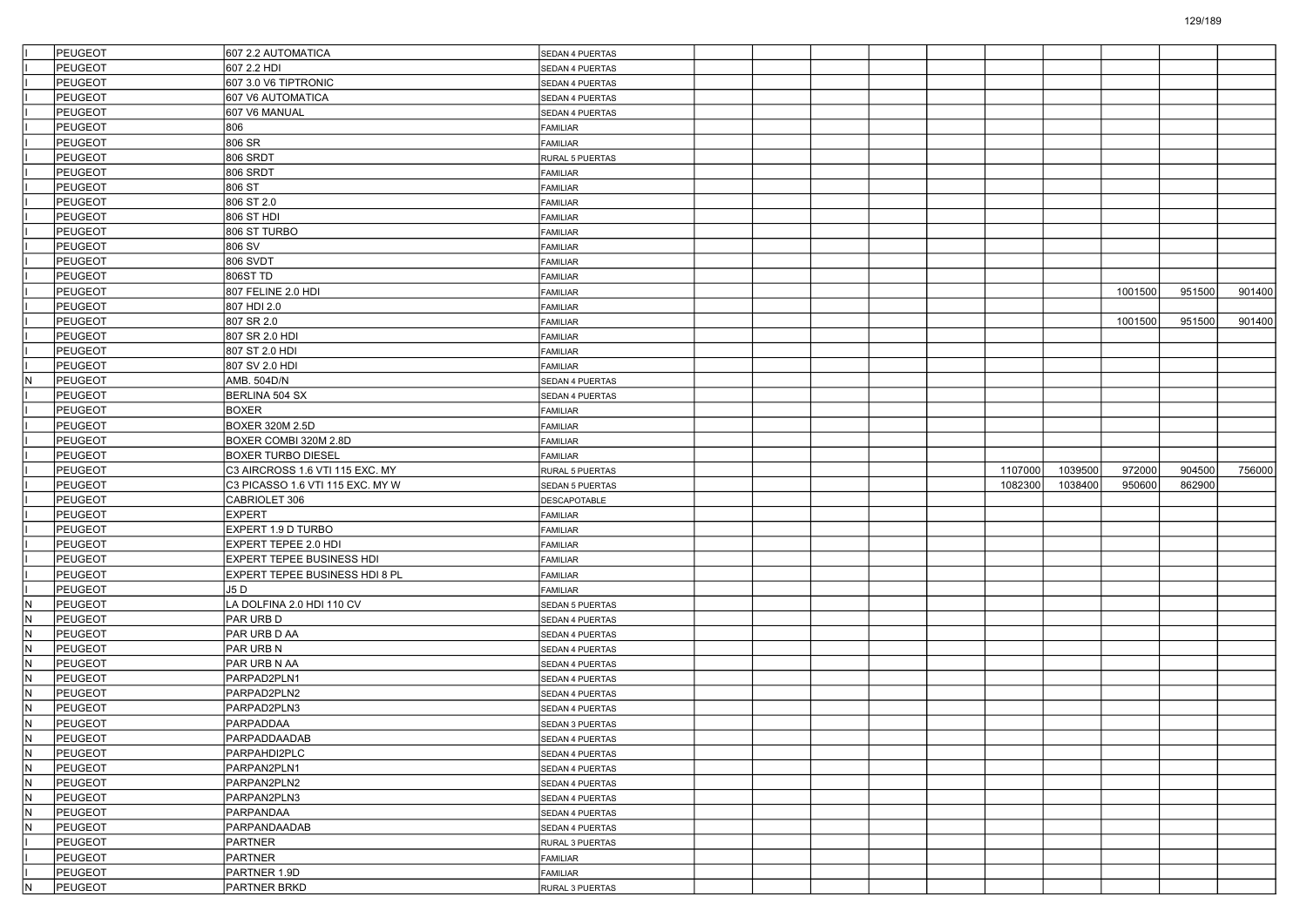|     | <b>PEUGEOT</b>     | 607 2.2 AUTOMATICA               | SEDAN 4 PUERTAS             |  |  |         |         |         |        |        |
|-----|--------------------|----------------------------------|-----------------------------|--|--|---------|---------|---------|--------|--------|
|     | <b>PEUGEOT</b>     | 607 2.2 HDI                      | SEDAN 4 PUERTAS             |  |  |         |         |         |        |        |
|     | <b>PEUGEOT</b>     | 607 3.0 V6 TIPTRONIC             | SEDAN 4 PUERTAS             |  |  |         |         |         |        |        |
|     | <b>PEUGEOT</b>     | 607 V6 AUTOMATICA                | SEDAN 4 PUERTAS             |  |  |         |         |         |        |        |
|     | <b>PEUGEOT</b>     | 607 V6 MANUAL                    | SEDAN 4 PUERTAS             |  |  |         |         |         |        |        |
|     | <b>PEUGEOT</b>     | 806                              | FAMILIAR                    |  |  |         |         |         |        |        |
|     | <b>PEUGEOT</b>     | 806 SR                           | FAMILIAR                    |  |  |         |         |         |        |        |
|     | <b>PEUGEOT</b>     | 806 SRDT                         | RURAL 5 PUERTAS             |  |  |         |         |         |        |        |
|     | <b>PEUGEOT</b>     | <b>806 SRDT</b>                  | FAMILIAR                    |  |  |         |         |         |        |        |
|     | <b>PEUGEOT</b>     | 806 ST                           | FAMILIAR                    |  |  |         |         |         |        |        |
|     | <b>PEUGEOT</b>     | 806 ST 2.0                       | FAMILIAR                    |  |  |         |         |         |        |        |
|     | <b>PEUGEOT</b>     | 806 ST HDI                       | FAMILIAR                    |  |  |         |         |         |        |        |
|     | <b>PEUGEOT</b>     | 806 ST TURBO                     | FAMILIAR                    |  |  |         |         |         |        |        |
|     | <b>PEUGEOT</b>     | 806 SV                           | FAMILIAR                    |  |  |         |         |         |        |        |
|     | <b>PEUGEOT</b>     | 806 SVDT                         | FAMILIAR                    |  |  |         |         |         |        |        |
|     | <b>PEUGEOT</b>     | 806ST TD                         | FAMILIAR                    |  |  |         |         |         |        |        |
|     | <b>PEUGEOT</b>     | 807 FELINE 2.0 HDI               | FAMILIAR                    |  |  |         |         | 1001500 | 951500 | 901400 |
|     | <b>PEUGEOT</b>     | 807 HDI 2.0                      | FAMILIAR                    |  |  |         |         |         |        |        |
|     | PEUGEOT            | 807 SR 2.0                       | FAMILIAR                    |  |  |         |         | 1001500 | 951500 | 901400 |
|     | <b>PEUGEOT</b>     | 807 SR 2.0 HDI                   | FAMILIAR                    |  |  |         |         |         |        |        |
|     | <b>PEUGEOT</b>     | 807 ST 2.0 HDI                   | FAMILIAR                    |  |  |         |         |         |        |        |
|     | <b>PEUGEOT</b>     | 807 SV 2.0 HDI                   | FAMILIAR                    |  |  |         |         |         |        |        |
| IN. | PEUGEOT            | AMB. 504D/N                      | SEDAN 4 PUERTAS             |  |  |         |         |         |        |        |
|     | PEUGEOT            | BERLINA 504 SX                   | SEDAN 4 PUERTAS             |  |  |         |         |         |        |        |
|     | <b>PEUGEOT</b>     | <b>BOXER</b>                     | FAMILIAR                    |  |  |         |         |         |        |        |
|     | <b>PEUGEOT</b>     | <b>BOXER 320M 2.5D</b>           | FAMILIAR                    |  |  |         |         |         |        |        |
|     | <b>PEUGEOT</b>     | BOXER COMBI 320M 2.8D            | FAMILIAR                    |  |  |         |         |         |        |        |
|     | <b>PEUGEOT</b>     | <b>BOXER TURBO DIESEL</b>        | FAMILIAR                    |  |  |         |         |         |        |        |
|     | <b>PEUGEOT</b>     | C3 AIRCROSS 1.6 VTI 115 EXC. MY  | RURAL 5 PUERTAS             |  |  | 1107000 | 1039500 | 972000  | 904500 | 756000 |
|     | PEUGEOT            | C3 PICASSO 1.6 VTI 115 EXC. MY W | SEDAN 5 PUERTAS             |  |  | 1082300 | 1038400 | 950600  | 862900 |        |
|     | <b>PEUGEOT</b>     | CABRIOLET 306                    | <b>DESCAPOTABLE</b>         |  |  |         |         |         |        |        |
|     | <b>PEUGEOT</b>     | <b>EXPERT</b>                    | FAMILIAR                    |  |  |         |         |         |        |        |
|     | <b>PEUGEOT</b>     | EXPERT 1.9 D TURBO               | FAMILIAR                    |  |  |         |         |         |        |        |
|     | PEUGEOT            | EXPERT TEPEE 2.0 HDI             | FAMILIAR                    |  |  |         |         |         |        |        |
|     | PEUGEOT            | <b>EXPERT TEPEE BUSINESS HDI</b> | FAMILIAR                    |  |  |         |         |         |        |        |
|     | <b>PEUGEOT</b>     | EXPERT TEPEE BUSINESS HDI 8 PL   | FAMILIAR                    |  |  |         |         |         |        |        |
|     | <b>PEUGEOT</b>     | J5 D                             | FAMILIAR                    |  |  |         |         |         |        |        |
| lN. | PEUGEOT            | LA DOLFINA 2.0 HDI 110 CV        | SEDAN 5 PUERTAS             |  |  |         |         |         |        |        |
| IN. | PEUGEOT            | PAR URB D                        | SEDAN 4 PUERTAS             |  |  |         |         |         |        |        |
| N   | PEUGEOT            | PAR URB D AA                     | SEDAN 4 PUERTAS             |  |  |         |         |         |        |        |
| IN. | PEUGEOT            | PAR URB N                        | SEDAN 4 PUERTAS             |  |  |         |         |         |        |        |
| IN. | PEUGEOT            |                                  |                             |  |  |         |         |         |        |        |
|     |                    |                                  |                             |  |  |         |         |         |        |        |
|     |                    | PAR URB N AA                     | SEDAN 4 PUERTAS             |  |  |         |         |         |        |        |
| lN. | PEUGEOT            | PARPAD2PLN1                      | SEDAN 4 PUERTAS             |  |  |         |         |         |        |        |
| IN. | PEUGEOT            | PARPAD2PLN2                      | SEDAN 4 PUERTAS             |  |  |         |         |         |        |        |
| N   | PEUGEOT            | PARPAD2PLN3                      | SEDAN 4 PUERTAS             |  |  |         |         |         |        |        |
| N   | PEUGEOT            | PARPADDAA                        | SEDAN 3 PUERTAS             |  |  |         |         |         |        |        |
| IN  | PEUGEOT            | PARPADDAADAB                     | <b>SEDAN 4 PUERTAS</b>      |  |  |         |         |         |        |        |
| IN. | PEUGEOT            | PARPAHDI2PLC                     | SEDAN 4 PUERTAS             |  |  |         |         |         |        |        |
| N   | PEUGEOT            | PARPAN2PLN1                      | SEDAN 4 PUERTAS             |  |  |         |         |         |        |        |
| IN. | PEUGEOT            | PARPAN2PLN2                      | SEDAN 4 PUERTAS             |  |  |         |         |         |        |        |
| N   | PEUGEOT            | PARPAN2PLN3                      | SEDAN 4 PUERTAS             |  |  |         |         |         |        |        |
| IN. | PEUGEOT            | PARPANDAA                        | SEDAN 4 PUERTAS             |  |  |         |         |         |        |        |
| IN. | PEUGEOT            | PARPANDAADAB                     | SEDAN 4 PUERTAS             |  |  |         |         |         |        |        |
|     | PEUGEOT            | PARTNER                          | RURAL 3 PUERTAS             |  |  |         |         |         |        |        |
|     | PEUGEOT            | PARTNER                          | FAMILIAR                    |  |  |         |         |         |        |        |
| IN. | PEUGEOT<br>PEUGEOT | PARTNER 1.9D<br>PARTNER BRKD     | FAMILIAR<br>RURAL 3 PUERTAS |  |  |         |         |         |        |        |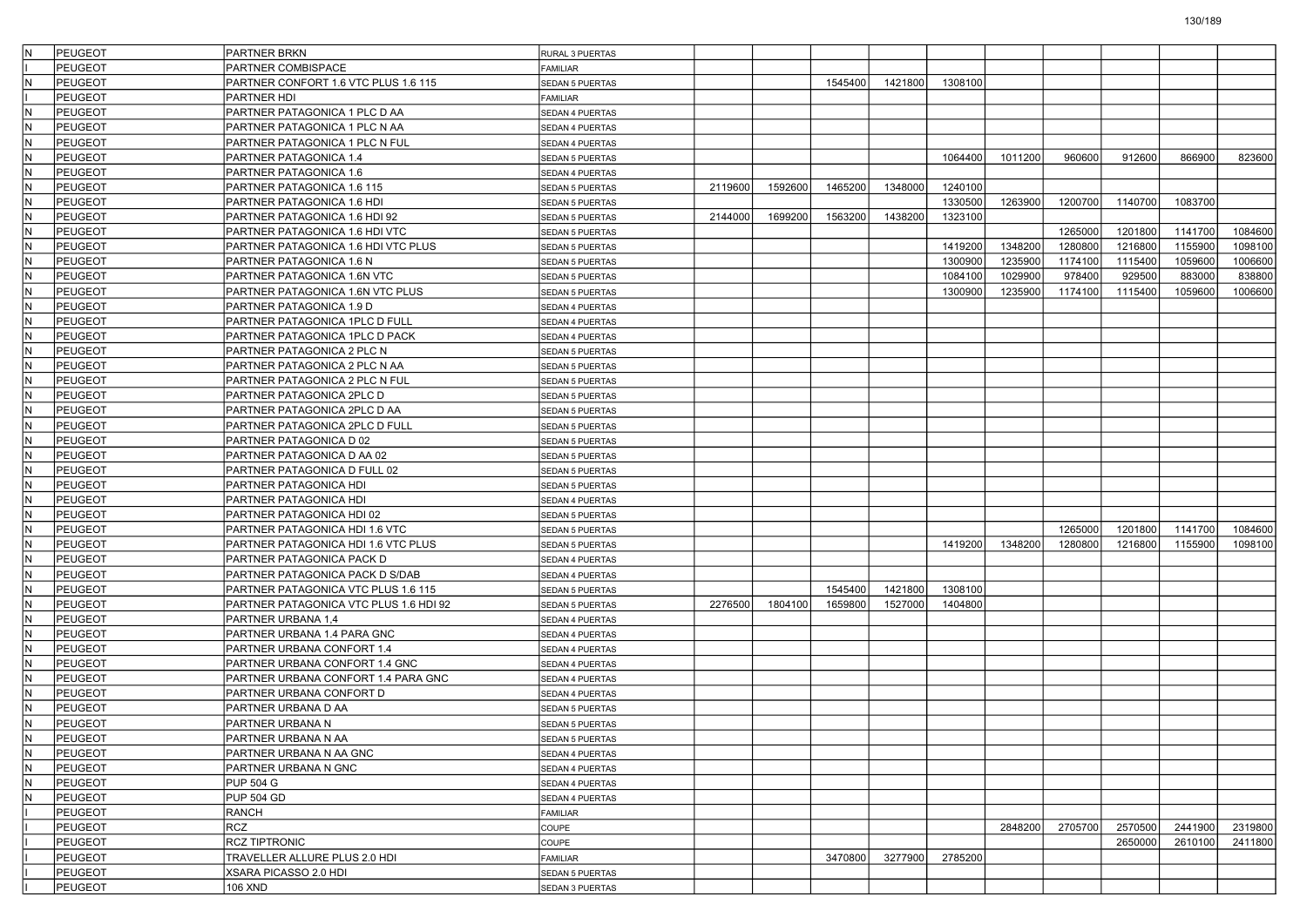| IN.                     | PEUGEOT        | <b>PARTNER BRKN</b>                    | RURAL 3 PUERTAS        |         |         |         |         |         |         |         |         |         |         |
|-------------------------|----------------|----------------------------------------|------------------------|---------|---------|---------|---------|---------|---------|---------|---------|---------|---------|
|                         | <b>PEUGEOT</b> | PARTNER COMBISPACE                     | AMILIAR                |         |         |         |         |         |         |         |         |         |         |
| IN.                     | PEUGEOT        | PARTNER CONFORT 1.6 VTC PLUS 1.6 115   | <b>SEDAN 5 PUERTAS</b> |         |         | 1545400 | 1421800 | 1308100 |         |         |         |         |         |
|                         | <b>PEUGEOT</b> | PARTNER HDI                            | FAMILIAR               |         |         |         |         |         |         |         |         |         |         |
| IN.                     | PEUGEOT        | PARTNER PATAGONICA 1 PLC D AA          | SEDAN 4 PUERTAS        |         |         |         |         |         |         |         |         |         |         |
| IN.                     | <b>PEUGEOT</b> | PARTNER PATAGONICA 1 PLC N AA          | SEDAN 4 PUERTAS        |         |         |         |         |         |         |         |         |         |         |
| IN.                     | <b>PEUGEOT</b> | PARTNER PATAGONICA 1 PLC N FUL         | SEDAN 4 PUERTAS        |         |         |         |         |         |         |         |         |         |         |
| İN.                     | <b>PEUGEOT</b> | PARTNER PATAGONICA 1.4                 | SEDAN 5 PUERTAS        |         |         |         |         | 1064400 | 1011200 | 960600  | 912600  | 866900  | 823600  |
| IN.                     | PEUGEOT        | PARTNER PATAGONICA 1.6                 | SEDAN 4 PUERTAS        |         |         |         |         |         |         |         |         |         |         |
| IN.                     | PEUGEOT        | PARTNER PATAGONICA 1.6 115             | SEDAN 5 PUERTAS        | 2119600 | 1592600 | 1465200 | 1348000 | 1240100 |         |         |         |         |         |
| İN.                     | <b>PEUGEOT</b> | PARTNER PATAGONICA 1.6 HDI             | SEDAN 5 PUERTAS        |         |         |         |         | 1330500 | 1263900 | 1200700 | 1140700 | 1083700 |         |
| IN.                     | <b>PEUGEOT</b> | PARTNER PATAGONICA 1.6 HDI 92          | SEDAN 5 PUERTAS        | 2144000 | 1699200 | 1563200 | 1438200 | 1323100 |         |         |         |         |         |
| lN.                     | PEUGEOT        | PARTNER PATAGONICA 1.6 HDI VTC         | <b>SEDAN 5 PUERTAS</b> |         |         |         |         |         |         | 1265000 | 1201800 | 1141700 | 1084600 |
| IN.                     | <b>PEUGEOT</b> | PARTNER PATAGONICA 1.6 HDI VTC PLUS    | <b>SEDAN 5 PUERTAS</b> |         |         |         |         | 1419200 | 1348200 | 1280800 | 1216800 | 1155900 | 1098100 |
| IN.                     | PEUGEOT        | PARTNER PATAGONICA 1.6 N               | SEDAN 5 PUERTAS        |         |         |         |         | 1300900 | 1235900 | 1174100 | 1115400 | 1059600 | 1006600 |
| İN.                     | PEUGEOT        | PARTNER PATAGONICA 1.6N VTC            | SEDAN 5 PUERTAS        |         |         |         |         | 1084100 | 1029900 | 978400  | 929500  | 883000  | 838800  |
| IN.                     | PEUGEOT        | PARTNER PATAGONICA 1.6N VTC PLUS       | SEDAN 5 PUERTAS        |         |         |         |         | 1300900 | 1235900 | 1174100 | 1115400 | 1059600 | 1006600 |
| IN.                     | PEUGEOT        | PARTNER PATAGONICA 1.9 D               | SEDAN 4 PUERTAS        |         |         |         |         |         |         |         |         |         |         |
| IN.                     | <b>PEUGEOT</b> | PARTNER PATAGONICA 1PLC D FULL         | SEDAN 4 PUERTAS        |         |         |         |         |         |         |         |         |         |         |
| IN.                     | PEUGEOT        | PARTNER PATAGONICA 1PLC D PACK         | SEDAN 4 PUERTAS        |         |         |         |         |         |         |         |         |         |         |
| İN.                     | <b>PEUGEOT</b> | PARTNER PATAGONICA 2 PLC N             | SEDAN 5 PUERTAS        |         |         |         |         |         |         |         |         |         |         |
| IN.                     | PEUGEOT        | PARTNER PATAGONICA 2 PLC N AA          | <b>SEDAN 5 PUERTAS</b> |         |         |         |         |         |         |         |         |         |         |
| IN.                     | <b>PEUGEOT</b> | PARTNER PATAGONICA 2 PLC N FUL         | SEDAN 5 PUERTAS        |         |         |         |         |         |         |         |         |         |         |
| IN.                     | PEUGEOT        | PARTNER PATAGONICA 2PLC D              | SEDAN 5 PUERTAS        |         |         |         |         |         |         |         |         |         |         |
| lN.                     | PEUGEOT        | PARTNER PATAGONICA 2PLC D AA           | <b>SEDAN 5 PUERTAS</b> |         |         |         |         |         |         |         |         |         |         |
| İN.                     | <b>PEUGEOT</b> | PARTNER PATAGONICA 2PLC D FULL         |                        |         |         |         |         |         |         |         |         |         |         |
| IN.                     | PEUGEOT        | PARTNER PATAGONICA D 02                | SEDAN 5 PUERTAS        |         |         |         |         |         |         |         |         |         |         |
| IN.                     |                |                                        | SEDAN 5 PUERTAS        |         |         |         |         |         |         |         |         |         |         |
|                         | <b>PEUGEOT</b> | PARTNER PATAGONICA D AA 02             | SEDAN 5 PUERTAS        |         |         |         |         |         |         |         |         |         |         |
| IN.                     | PEUGEOT        | PARTNER PATAGONICA D FULL 02           | SEDAN 5 PUERTAS        |         |         |         |         |         |         |         |         |         |         |
| lN.                     | <b>PEUGEOT</b> | PARTNER PATAGONICA HDI                 | <b>SEDAN 5 PUERTAS</b> |         |         |         |         |         |         |         |         |         |         |
| İN.                     | PEUGEOT        | PARTNER PATAGONICA HDI                 | SEDAN 4 PUERTAS        |         |         |         |         |         |         |         |         |         |         |
| IN.                     | PEUGEOT        | PARTNER PATAGONICA HDI 02              | SEDAN 5 PUERTAS        |         |         |         |         |         |         |         |         |         |         |
| IN.                     | <b>PEUGEOT</b> | PARTNER PATAGONICA HDI 1.6 VTC         | SEDAN 5 PUERTAS        |         |         |         |         |         |         | 1265000 | 1201800 | 1141700 | 1084600 |
| IN.                     | PEUGEOT        | PARTNER PATAGONICA HDI 1.6 VTC PLUS    | SEDAN 5 PUERTAS        |         |         |         |         | 1419200 | 1348200 | 1280800 | 1216800 | 1155900 | 1098100 |
| IN.                     | <b>PEUGEOT</b> | PARTNER PATAGONICA PACK D              | SEDAN 4 PUERTAS        |         |         |         |         |         |         |         |         |         |         |
| IN.                     | PEUGEOT        | PARTNER PATAGONICA PACK D S/DAB        | SEDAN 4 PUERTAS        |         |         |         |         |         |         |         |         |         |         |
| IN.                     | <b>PEUGEOT</b> | PARTNER PATAGONICA VTC PLUS 1.6 115    | <b>SEDAN 5 PUERTAS</b> |         |         | 1545400 | 1421800 | 1308100 |         |         |         |         |         |
| IN.                     | <b>PEUGEOT</b> | PARTNER PATAGONICA VTC PLUS 1.6 HDI 92 | SEDAN 5 PUERTAS        | 2276500 | 1804100 | 1659800 | 1527000 | 1404800 |         |         |         |         |         |
| IN.                     | PEUGEOT        | PARTNER URBANA 1,4                     | SEDAN 4 PUERTAS        |         |         |         |         |         |         |         |         |         |         |
| IN.                     | <b>PEUGEOT</b> | PARTNER URBANA 1.4 PARA GNC            | SEDAN 4 PUERTAS        |         |         |         |         |         |         |         |         |         |         |
| IN.                     | <b>PEUGEOT</b> | PARTNER URBANA CONFORT 1.4             | SEDAN 4 PUERTAS        |         |         |         |         |         |         |         |         |         |         |
| IN.                     | <b>PEUGEOT</b> | PARTNER URBANA CONFORT 1.4 GNC         | SEDAN 4 PUERTAS        |         |         |         |         |         |         |         |         |         |         |
| IN.                     | PEUGEOT        | PARTNER URBANA CONFORT 1.4 PARA GNC    | SEDAN 4 PUERTAS        |         |         |         |         |         |         |         |         |         |         |
| IN.                     | <b>PEUGEOT</b> | PARTNER URBANA CONFORT D               | SEDAN 4 PUERTAS        |         |         |         |         |         |         |         |         |         |         |
| IN.                     | <b>PEUGEOT</b> | PARTNER URBANA D AA                    | <b>SEDAN 5 PUERTAS</b> |         |         |         |         |         |         |         |         |         |         |
| İN.                     | PEUGEOT        | PARTNER URBANA N                       | <b>SEDAN 5 PUERTAS</b> |         |         |         |         |         |         |         |         |         |         |
| N                       | PEUGEOT        | PARTNER URBANA N AA                    | <b>SEDAN 5 PUERTAS</b> |         |         |         |         |         |         |         |         |         |         |
| İм                      | PEUGEOT        | PARTNER URBANA N AA GNC                | SEDAN 4 PUERTAS        |         |         |         |         |         |         |         |         |         |         |
| IN.                     | <b>PEUGEOT</b> | PARTNER URBANA N GNC                   | SEDAN 4 PUERTAS        |         |         |         |         |         |         |         |         |         |         |
| İм                      | <b>PEUGEOT</b> | <b>PUP 504 G</b>                       | SEDAN 4 PUERTAS        |         |         |         |         |         |         |         |         |         |         |
| $\overline{\mathsf{N}}$ | <b>PEUGEOT</b> | <b>PUP 504 GD</b>                      | SEDAN 4 PUERTAS        |         |         |         |         |         |         |         |         |         |         |
|                         | PEUGEOT        | RANCH                                  | FAMILIAR               |         |         |         |         |         |         |         |         |         |         |
|                         | PEUGEOT        | RCZ                                    | COUPE                  |         |         |         |         |         | 2848200 | 2705700 | 2570500 | 2441900 | 2319800 |
|                         | PEUGEOT        | <b>RCZ TIPTRONIC</b>                   | COUPE                  |         |         |         |         |         |         |         | 2650000 | 2610100 | 2411800 |
|                         | PEUGEOT        | TRAVELLER ALLURE PLUS 2.0 HDI          | FAMILIAR               |         |         | 3470800 | 3277900 | 2785200 |         |         |         |         |         |
|                         | <b>PEUGEOT</b> | XSARA PICASSO 2.0 HDI                  | SEDAN 5 PUERTAS        |         |         |         |         |         |         |         |         |         |         |
|                         | PEUGEOT        | 106 XND                                | SEDAN 3 PUERTAS        |         |         |         |         |         |         |         |         |         |         |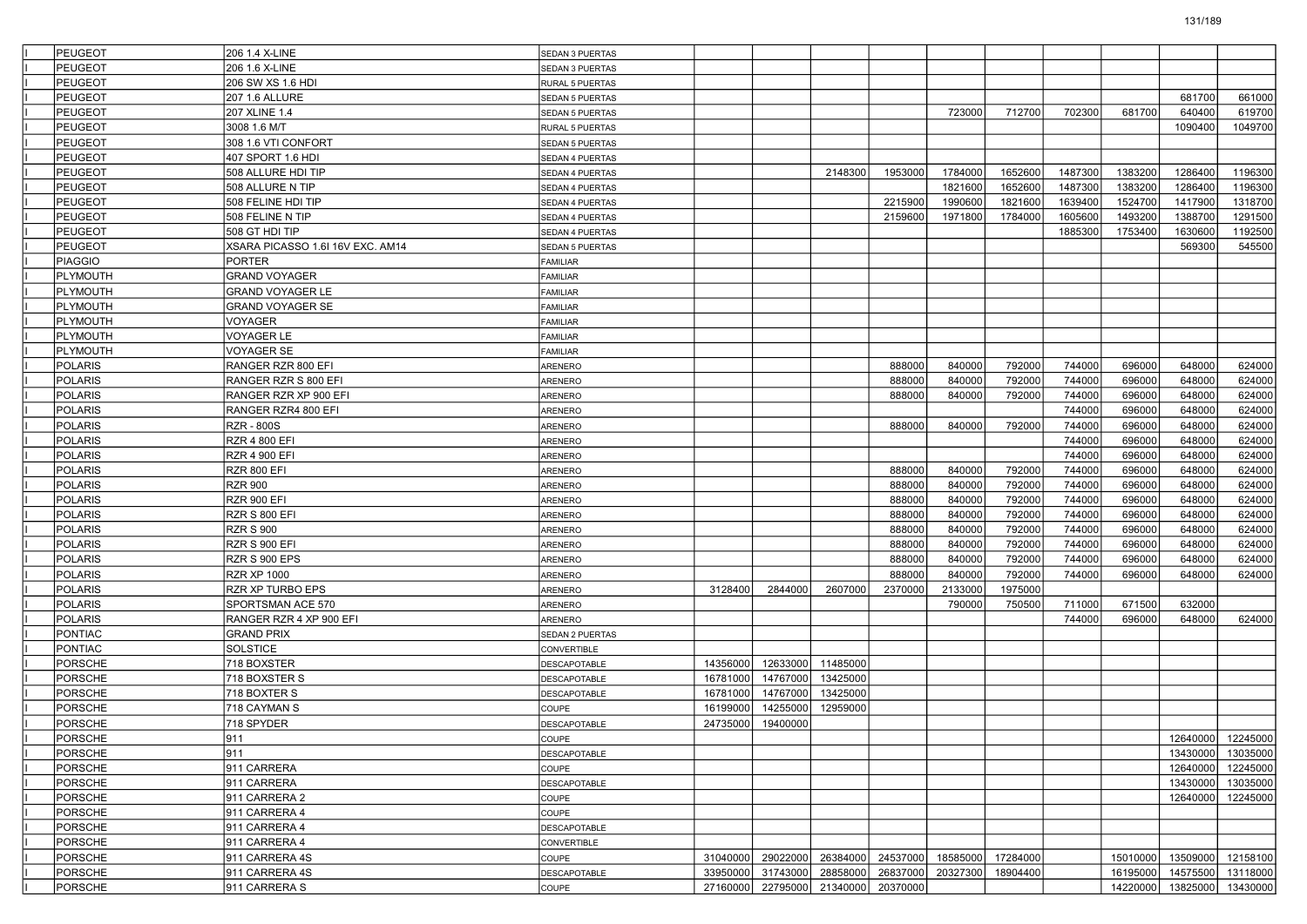| <b>PEUGEOT</b>                   | 206 1.4 X-LINE                               | SEDAN 3 PUERTAS              |                      |                                     |          |                  |                                              |                   |         |                  |                            |                   |
|----------------------------------|----------------------------------------------|------------------------------|----------------------|-------------------------------------|----------|------------------|----------------------------------------------|-------------------|---------|------------------|----------------------------|-------------------|
| PEUGEOT                          | 206 1.6 X-LINE                               | SEDAN 3 PUERTAS              |                      |                                     |          |                  |                                              |                   |         |                  |                            |                   |
| PEUGEOT                          | 206 SW XS 1.6 HDI                            | RURAL 5 PUERTAS              |                      |                                     |          |                  |                                              |                   |         |                  |                            |                   |
| PEUGEOT                          | 207 1.6 ALLURE                               | <b>SEDAN 5 PUERTAS</b>       |                      |                                     |          |                  |                                              |                   |         |                  | 681700                     | 661000            |
| PEUGEOT                          | 207 XLINE 1.4                                | SEDAN 5 PUERTAS              |                      |                                     |          |                  | 723000                                       | 712700            | 702300  | 681700           | 640400                     | 619700            |
| PEUGEOT                          | 3008 1.6 M/T                                 | RURAL 5 PUERTAS              |                      |                                     |          |                  |                                              |                   |         |                  | 1090400                    | 1049700           |
| PEUGEOT                          | 308 1.6 VTI CONFORT                          | SEDAN 5 PUERTAS              |                      |                                     |          |                  |                                              |                   |         |                  |                            |                   |
| PEUGEOT                          | 407 SPORT 1.6 HDI                            | SEDAN 4 PUERTAS              |                      |                                     |          |                  |                                              |                   |         |                  |                            |                   |
| PEUGEOT                          | 508 ALLURE HDI TIP                           | SEDAN 4 PUERTAS              |                      |                                     | 2148300  | 1953000          | 1784000                                      | 1652600           | 1487300 | 1383200          | 1286400                    | 1196300           |
| PEUGEOT                          | 508 ALLURE N TIP                             | SEDAN 4 PUERTAS              |                      |                                     |          |                  | 1821600                                      | 1652600           | 1487300 | 1383200          | 1286400                    | 1196300           |
| PEUGEOT                          | 508 FELINE HDI TIP                           | SEDAN 4 PUERTAS              |                      |                                     |          | 2215900          | 1990600                                      | 1821600           | 1639400 | 1524700          | 1417900                    | 1318700           |
| PEUGEOT                          | 508 FELINE N TIP                             | SEDAN 4 PUERTAS              |                      |                                     |          | 2159600          | 1971800                                      | 1784000           | 1605600 | 1493200          | 1388700                    | 1291500           |
| PEUGEOT                          | 508 GT HDI TIP                               | SEDAN 4 PUERTAS              |                      |                                     |          |                  |                                              |                   | 1885300 | 1753400          | 1630600                    | 1192500           |
| <b>PEUGEOT</b>                   | XSARA PICASSO 1.6I 16V EXC. AM14             | SEDAN 5 PUERTAS              |                      |                                     |          |                  |                                              |                   |         |                  | 569300                     | 545500            |
| <b>PIAGGIO</b>                   | <b>PORTER</b>                                | <b>FAMILIAR</b>              |                      |                                     |          |                  |                                              |                   |         |                  |                            |                   |
| PLYMOUTH                         | <b>GRAND VOYAGER</b>                         | <b>FAMILIAR</b>              |                      |                                     |          |                  |                                              |                   |         |                  |                            |                   |
| PLYMOUTH                         | <b>GRAND VOYAGER LE</b>                      | <b>FAMILIAR</b>              |                      |                                     |          |                  |                                              |                   |         |                  |                            |                   |
| PLYMOUTH                         | <b>GRAND VOYAGER SE</b>                      | <b>FAMILIAR</b>              |                      |                                     |          |                  |                                              |                   |         |                  |                            |                   |
| PLYMOUTH                         | VOYAGER                                      | <b>FAMILIAR</b>              |                      |                                     |          |                  |                                              |                   |         |                  |                            |                   |
| PLYMOUTH                         | <b>VOYAGER LE</b>                            | <b>FAMILIAR</b>              |                      |                                     |          |                  |                                              |                   |         |                  |                            |                   |
| PLYMOUTH                         | <b>VOYAGER SE</b>                            | <b>FAMILIAR</b>              |                      |                                     |          |                  |                                              |                   |         |                  |                            |                   |
| <b>POLARIS</b>                   | RANGER RZR 800 EFI                           | ARENERO                      |                      |                                     |          | 888000           | 840000                                       | 792000            | 744000  | 696000           | 648000                     | 624000            |
| POLARIS                          | RANGER RZR S 800 EFI                         | ARENERO                      |                      |                                     |          | 888000           | 840000                                       | 792000            | 744000  | 696000           | 648000                     | 624000            |
| POLARIS                          | RANGER RZR XP 900 EFI                        | ARENERO                      |                      |                                     |          | 888000           | 840000                                       | 792000            | 744000  | 696000           | 648000                     | 624000            |
| <b>POLARIS</b>                   | RANGER RZR4 800 EFI                          | ARENERO                      |                      |                                     |          |                  |                                              |                   | 744000  | 696000           | 648000                     | 624000            |
| POLARIS                          | <b>RZR - 800S</b>                            | ARENERO                      |                      |                                     |          | 888000           | 840000                                       | 792000            | 744000  | 696000           | 648000                     | 624000            |
| <b>POLARIS</b>                   | <b>RZR 4 800 EFI</b>                         | ARENERO                      |                      |                                     |          |                  |                                              |                   | 744000  | 696000           | 648000                     | 624000            |
| <b>POLARIS</b>                   | <b>RZR 4 900 EFI</b>                         | ARENERO                      |                      |                                     |          |                  |                                              |                   | 744000  | 696000           | 648000                     | 624000            |
| POLARIS                          | RZR 800 EFI                                  | ARENERO                      |                      |                                     |          | 888000           | 840000                                       | 792000            | 744000  | 696000           | 648000                     | 624000            |
| <b>POLARIS</b>                   | <b>RZR 900</b>                               | ARENERO                      |                      |                                     |          | 888000           | 840000                                       | 792000            | 744000  | 696000           | 648000                     | 624000            |
| POLARIS                          | <b>RZR 900 EFI</b>                           | ARENERO                      |                      |                                     |          | 888000           | 840000                                       | 792000            | 744000  | 696000           | 648000                     | 624000            |
| <b>POLARIS</b><br><b>POLARIS</b> | <b>RZR S 800 EFI</b>                         | ARENERO                      |                      |                                     |          | 888000<br>888000 | 840000<br>840000                             | 792000            | 744000  | 696000<br>696000 | 648000<br>648000           | 624000            |
|                                  | <b>RZR S 900</b>                             | ARENERO                      |                      |                                     |          |                  |                                              | 792000            | 744000  |                  |                            | 624000            |
| POLARIS                          | RZR S 900 EFI                                | ARENERO                      |                      |                                     |          | 888000           | 840000                                       | 792000            | 744000  | 696000           | 648000                     | 624000            |
| <b>POLARIS</b>                   | RZR S 900 EPS                                | ARENERO                      |                      |                                     |          | 888000           | 840000                                       | 792000            | 744000  | 696000           | 648000                     | 624000            |
| POLARIS<br><b>POLARIS</b>        | <b>RZR XP 1000</b><br>RZR XP TURBO EPS       | ARENERO                      |                      |                                     | 2607000  | 888000           | 840000                                       | 792000            | 744000  | 696000           | 648000                     | 624000            |
| POLARIS                          | SPORTSMAN ACE 570                            | ARENERO                      | 3128400              | 2844000                             |          | 2370000          | 2133000<br>790000                            | 1975000<br>750500 | 711000  | 671500           | 632000                     |                   |
|                                  |                                              | ARENERO                      |                      |                                     |          |                  |                                              |                   |         | 696000           | 648000                     | 624000            |
| POLARIS<br>PONTIAC               | RANGER RZR 4 XP 900 EFI<br><b>GRAND PRIX</b> | ARENERO                      |                      |                                     |          |                  |                                              |                   | 744000  |                  |                            |                   |
| PONTIAC                          | <b>SOLSTICE</b>                              | SEDAN 2 PUERTAS              |                      |                                     |          |                  |                                              |                   |         |                  |                            |                   |
| PORSCHE                          | 718 BOXSTER                                  | CONVERTIBLE<br>DESCAPOTABLE  | 14356000             | 12633000                            | 11485000 |                  |                                              |                   |         |                  |                            |                   |
| PORSCHE                          | 718 BOXSTER S                                | DESCAPOTABLE                 | 16781000             | 14767000                            | 13425000 |                  |                                              |                   |         |                  |                            |                   |
| PORSCHE                          | 718 BOXTER S                                 |                              | 16781000             | 14767000                            | 13425000 |                  |                                              |                   |         |                  |                            |                   |
| PORSCHE                          |                                              | DESCAPOTABLE<br>COUPE        |                      | 14255000                            | 12959000 |                  |                                              |                   |         |                  |                            |                   |
| <b>PORSCHE</b>                   | 718 CAYMAN S<br>718 SPYDER                   |                              | 16199000<br>24735000 | 19400000                            |          |                  |                                              |                   |         |                  |                            |                   |
| PORSCHE                          | 911                                          | DESCAPOTABLE<br>COUPE        |                      |                                     |          |                  |                                              |                   |         |                  |                            | 12640000 12245000 |
| PORSCHE                          | 911                                          | <b>DESCAPOTABLE</b>          |                      |                                     |          |                  |                                              |                   |         |                  |                            | 13430000 13035000 |
| PORSCHE                          | 911 CARRERA                                  |                              |                      |                                     |          |                  |                                              |                   |         |                  | 12640000                   | 12245000          |
| <b>PORSCHE</b>                   | 911 CARRERA                                  | COUPE<br><b>DESCAPOTABLE</b> |                      |                                     |          |                  |                                              |                   |         |                  |                            | 13430000 13035000 |
| PORSCHE                          | 911 CARRERA 2                                | COUPE                        |                      |                                     |          |                  |                                              |                   |         |                  | 12640000                   | 12245000          |
| PORSCHE                          | 911 CARRERA 4                                | COUPE                        |                      |                                     |          |                  |                                              |                   |         |                  |                            |                   |
| PORSCHE                          | 911 CARRERA 4                                |                              |                      |                                     |          |                  |                                              |                   |         |                  |                            |                   |
| <b>PORSCHE</b>                   | 911 CARRERA 4                                | DESCAPOTABLE                 |                      |                                     |          |                  |                                              |                   |         |                  |                            |                   |
| <b>PORSCHE</b>                   | 911 CARRERA 4S                               | CONVERTIBLE                  |                      |                                     |          |                  | 31040000 29022000 26384000 24537000 18585000 | 17284000          |         |                  | 15010000 13509000 12158100 |                   |
| PORSCHE                          | 911 CARRERA 4S                               | COUPE<br><b>DESCAPOTABLE</b> | 33950000             |                                     |          |                  | 31743000 28858000 26837000 20327300          | 18904400          |         |                  | 16195000 14575500 13118000 |                   |
| PORSCHE                          | 911 CARRERA S                                | COUPE                        |                      | 27160000 22795000 21340000 20370000 |          |                  |                                              |                   |         |                  | 14220000 13825000 13430000 |                   |
|                                  |                                              |                              |                      |                                     |          |                  |                                              |                   |         |                  |                            |                   |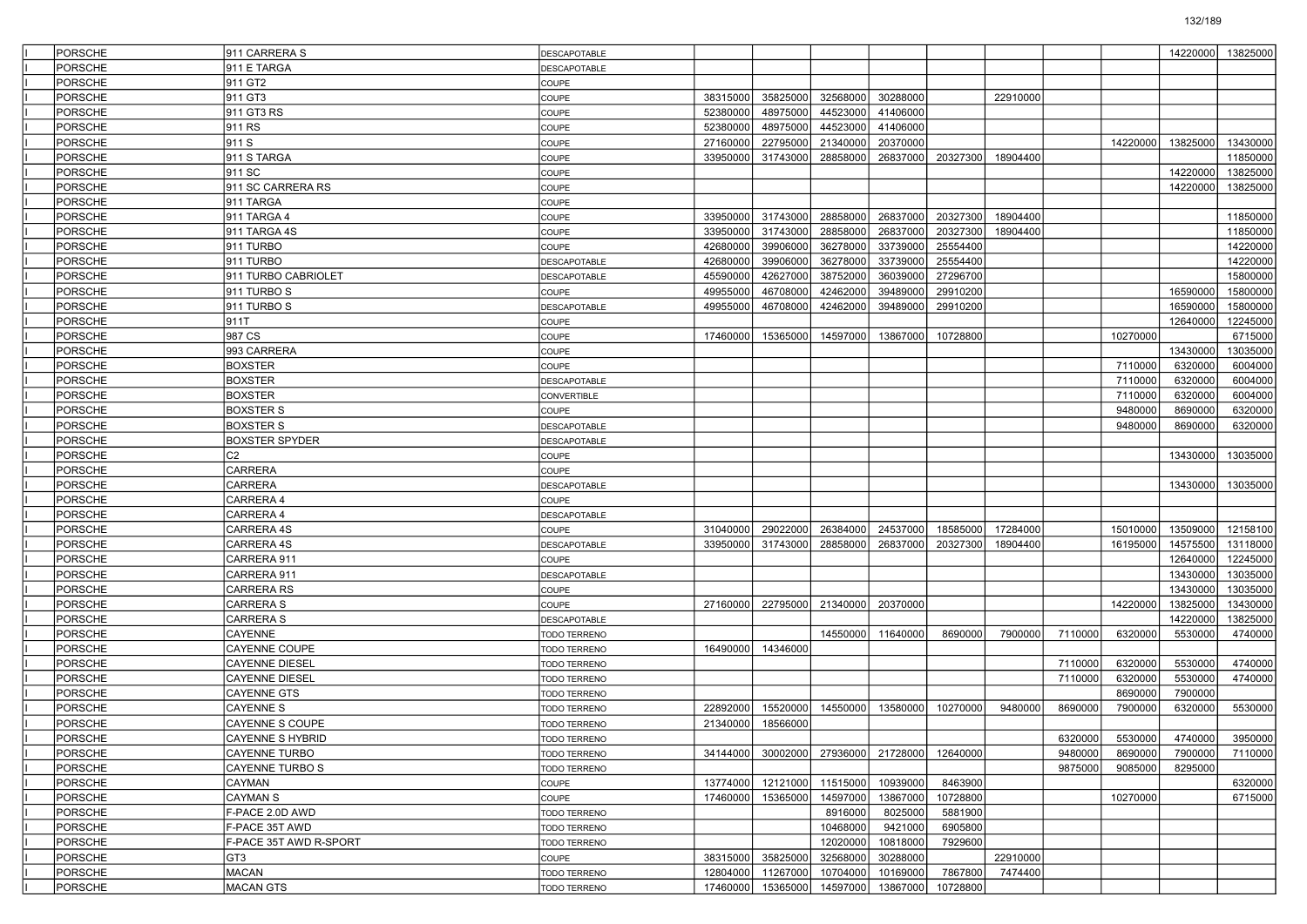| PORSCHE        | 911 CARRERA S          | DESCAPOTABLE        |          |          |          |                   |          |          |         |          | 14220000 | 13825000 |
|----------------|------------------------|---------------------|----------|----------|----------|-------------------|----------|----------|---------|----------|----------|----------|
| PORSCHE        | 911 E TARGA            | DESCAPOTABLE        |          |          |          |                   |          |          |         |          |          |          |
| PORSCHE        | 911 GT2                | COUPE               |          |          |          |                   |          |          |         |          |          |          |
| PORSCHE        | 911 GT3                | COUPE               | 38315000 | 35825000 | 32568000 | 30288000          |          | 22910000 |         |          |          |          |
| PORSCHE        | 911 GT3 RS             | COUPE               | 52380000 | 48975000 | 44523000 | 41406000          |          |          |         |          |          |          |
| PORSCHE        | 911 RS                 | COUPE               | 52380000 | 48975000 | 44523000 | 41406000          |          |          |         |          |          |          |
| PORSCHE        | 911 S                  | COUPE               | 27160000 | 22795000 | 21340000 | 20370000          |          |          |         | 14220000 | 13825000 | 13430000 |
| PORSCHE        | 911 S TARGA            | COUPE               | 33950000 | 31743000 | 28858000 | 26837000          | 20327300 | 18904400 |         |          |          | 11850000 |
| PORSCHE        | 911 SC                 | COUPE               |          |          |          |                   |          |          |         |          | 14220000 | 13825000 |
| PORSCHE        | 911 SC CARRERA RS      | COUPE               |          |          |          |                   |          |          |         |          | 14220000 | 13825000 |
| PORSCHE        | 911 TARGA              | COUPE               |          |          |          |                   |          |          |         |          |          |          |
| PORSCHE        | 911 TARGA 4            | COUPE               | 33950000 | 31743000 | 28858000 | 26837000          | 20327300 | 18904400 |         |          |          | 11850000 |
| PORSCHE        | 911 TARGA 4S           | COUPE               | 33950000 | 31743000 | 28858000 | 26837000          | 20327300 | 18904400 |         |          |          | 11850000 |
| PORSCHE        | 911 TURBO              | COUPE               | 42680000 | 39906000 | 36278000 | 33739000          | 25554400 |          |         |          |          | 14220000 |
| PORSCHE        | 911 TURBO              | DESCAPOTABLE        | 42680000 | 39906000 | 36278000 | 33739000          | 25554400 |          |         |          |          | 14220000 |
| PORSCHE        | 911 TURBO CABRIOLET    | DESCAPOTABLE        | 45590000 | 42627000 | 38752000 | 36039000          | 27296700 |          |         |          |          | 15800000 |
| PORSCHE        | 911 TURBO S            | COUPE               | 49955000 | 46708000 | 42462000 | 39489000          | 29910200 |          |         |          | 16590000 | 15800000 |
| PORSCHE        | 911 TURBO S            | DESCAPOTABLE        | 49955000 | 46708000 | 42462000 | 39489000          | 29910200 |          |         |          | 16590000 | 15800000 |
| PORSCHE        | 911T                   | COUPE               |          |          |          |                   |          |          |         |          | 12640000 | 12245000 |
| PORSCHE        | 987 CS                 | COUPE               | 17460000 | 15365000 | 14597000 | 13867000          | 10728800 |          |         | 10270000 |          | 6715000  |
| PORSCHE        | 993 CARRERA            | COUPE               |          |          |          |                   |          |          |         |          | 13430000 | 13035000 |
| PORSCHE        | <b>BOXSTER</b>         | COUPE               |          |          |          |                   |          |          |         | 7110000  | 6320000  | 6004000  |
| PORSCHE        | <b>BOXSTER</b>         | <b>DESCAPOTABLE</b> |          |          |          |                   |          |          |         | 7110000  | 6320000  | 6004000  |
| PORSCHE        | <b>BOXSTER</b>         | CONVERTIBLE         |          |          |          |                   |          |          |         | 7110000  | 6320000  | 6004000  |
| PORSCHE        | <b>BOXSTER S</b>       | COUPE               |          |          |          |                   |          |          |         | 9480000  | 8690000  | 6320000  |
| PORSCHE        | <b>BOXSTER S</b>       | DESCAPOTABLE        |          |          |          |                   |          |          |         | 9480000  | 8690000  | 6320000  |
| PORSCHE        | <b>BOXSTER SPYDER</b>  | DESCAPOTABLE        |          |          |          |                   |          |          |         |          |          |          |
| PORSCHE        | C <sub>2</sub>         | COUPE               |          |          |          |                   |          |          |         |          | 13430000 | 13035000 |
| PORSCHE        | CARRERA                | COUPE               |          |          |          |                   |          |          |         |          |          |          |
| PORSCHE        | CARRERA                | <b>DESCAPOTABLE</b> |          |          |          |                   |          |          |         |          | 13430000 | 13035000 |
| PORSCHE        | CARRERA 4              | COUPE               |          |          |          |                   |          |          |         |          |          |          |
| PORSCHE        | CARRERA 4              |                     |          |          |          |                   |          |          |         |          |          |          |
| PORSCHE        |                        | DESCAPOTABLE        | 31040000 | 29022000 | 26384000 | 24537000          | 18585000 | 17284000 |         | 15010000 | 13509000 |          |
|                | CARRERA 4S             | COUPE               |          |          |          |                   |          |          |         |          |          | 12158100 |
| PORSCHE        | CARRERA 4S             | DESCAPOTABLE        | 33950000 | 31743000 | 28858000 | 26837000          | 20327300 | 18904400 |         | 16195000 | 14575500 | 13118000 |
| PORSCHE        | CARRERA 911            | COUPE               |          |          |          |                   |          |          |         |          | 12640000 | 12245000 |
| PORSCHE        | CARRERA 911            | DESCAPOTABLE        |          |          |          |                   |          |          |         |          | 13430000 | 13035000 |
| PORSCHE        | CARRERA RS             | COUPE               |          |          |          |                   |          |          |         |          | 13430000 | 13035000 |
| PORSCHE        | <b>CARRERA S</b>       | COUPE               | 27160000 | 22795000 | 21340000 | 20370000          |          |          |         | 14220000 | 13825000 | 13430000 |
| PORSCHE        | <b>CARRERA S</b>       | DESCAPOTABLE        |          |          |          |                   |          |          |         |          | 14220000 | 13825000 |
| PORSCHE        | CAYENNE                | TODO TERRENO        |          |          | 14550000 | 11640000          | 8690000  | 7900000  | 7110000 | 6320000  | 5530000  | 4740000  |
| PORSCHE        | <b>CAYENNE COUPE</b>   | TODO TERRENO        | 16490000 | 14346000 |          |                   |          |          |         |          |          |          |
| PORSCHE        | <b>CAYENNE DIESEL</b>  | TODO TERRENO        |          |          |          |                   |          |          | 7110000 | 6320000  | 5530000  | 4740000  |
| PORSCHE        | <b>CAYENNE DIESEL</b>  | TODO TERRENO        |          |          |          |                   |          |          | 7110000 | 6320000  | 5530000  | 4740000  |
| PORSCHE        | <b>CAYENNE GTS</b>     | TODO TERRENO        |          |          |          |                   |          |          |         | 8690000  | 7900000  |          |
| PORSCHE        | <b>CAYENNE S</b>       | TODO TERRENO        | 22892000 | 15520000 | 14550000 | 13580000          | 10270000 | 9480000  | 8690000 | 7900000  | 6320000  | 5530000  |
| PORSCHE        | <b>CAYENNE S COUPE</b> | TODO TERRENO        | 21340000 | 18566000 |          |                   |          |          |         |          |          |          |
| PORSCHE        | CAYENNE S HYBRID       | TODO TERRENO        |          |          |          |                   |          |          | 6320000 | 5530000  | 4740000  | 3950000  |
| PORSCHE        | <b>CAYENNE TURBO</b>   | TODO TERRENO        | 34144000 | 30002000 |          | 27936000 21728000 | 12640000 |          | 9480000 | 8690000  | 7900000  | 7110000  |
| PORSCHE        | <b>CAYENNE TURBO S</b> | TODO TERRENO        |          |          |          |                   |          |          | 9875000 | 9085000  | 8295000  |          |
| PORSCHE        | CAYMAN                 | COUPE               | 13774000 | 12121000 | 11515000 | 10939000          | 8463900  |          |         |          |          | 6320000  |
| PORSCHE        | CAYMAN S               | COUPE               | 17460000 | 15365000 | 14597000 | 13867000          | 10728800 |          |         | 10270000 |          | 6715000  |
| PORSCHE        | F-PACE 2.0D AWD        | TODO TERRENO        |          |          | 8916000  | 8025000           | 5881900  |          |         |          |          |          |
| PORSCHE        | F-PACE 35T AWD         | TODO TERRENO        |          |          | 10468000 | 9421000           | 6905800  |          |         |          |          |          |
| PORSCHE        | F-PACE 35T AWD R-SPORT | <b>TODO TERRENO</b> |          |          | 12020000 | 10818000          | 7929600  |          |         |          |          |          |
| <b>PORSCHE</b> | GT3                    | COUPE               | 38315000 | 35825000 | 32568000 | 30288000          |          | 22910000 |         |          |          |          |
| <b>PORSCHE</b> | <b>MACAN</b>           | TODO TERRENO        | 12804000 | 11267000 | 10704000 | 10169000          | 7867800  | 7474400  |         |          |          |          |
| <b>PORSCHE</b> | <b>MACAN GTS</b>       | TODO TERRENO        | 17460000 | 15365000 | 14597000 | 13867000          | 10728800 |          |         |          |          |          |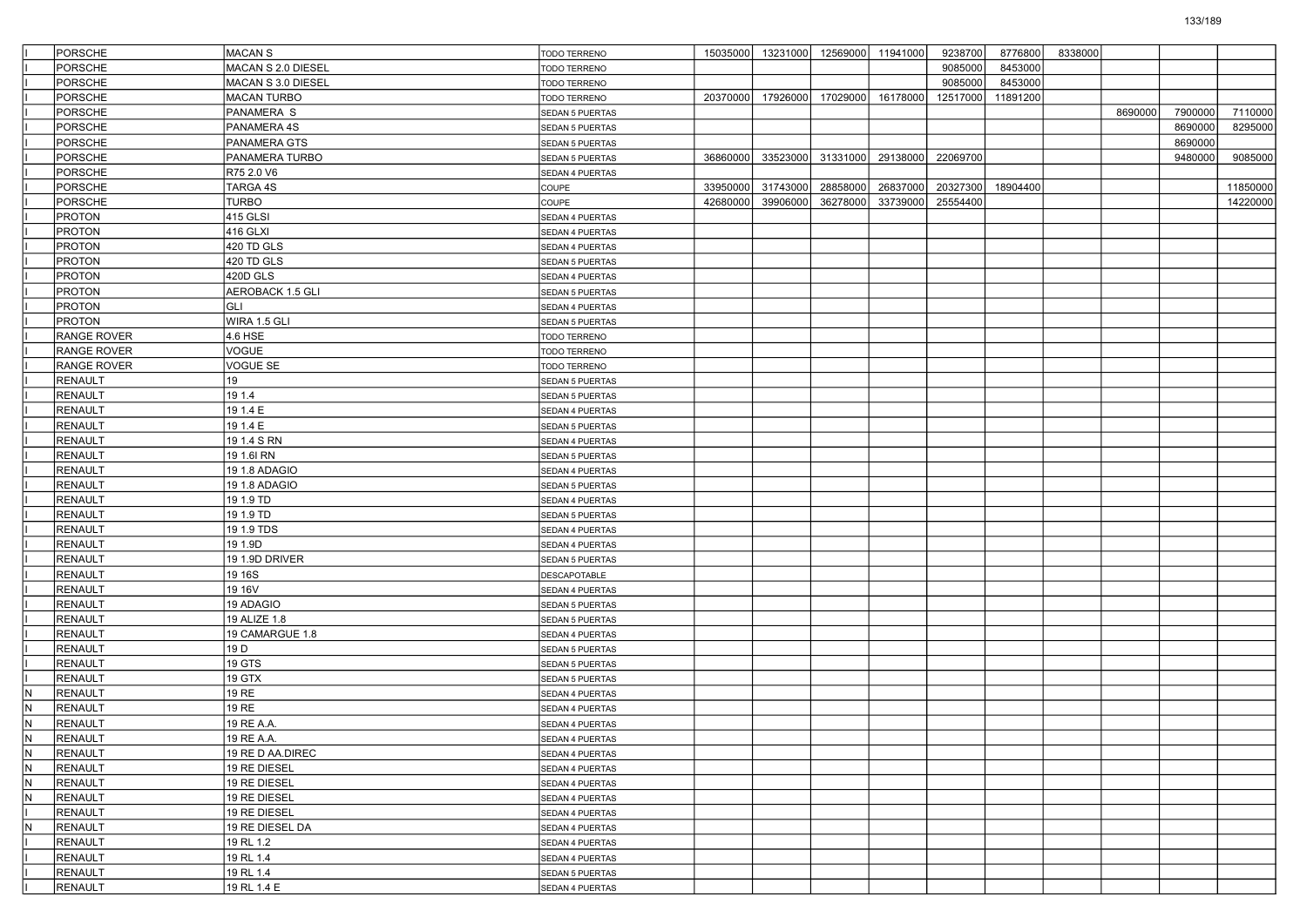|     | <b>PORSCHE</b>     | <b>MACAN S</b>     | TODO TERRENO           |          |          | 15035000 13231000 12569000 11941000 |                   | 9238700  | 8776800  | 8338000 |         |         |          |
|-----|--------------------|--------------------|------------------------|----------|----------|-------------------------------------|-------------------|----------|----------|---------|---------|---------|----------|
|     | <b>PORSCHE</b>     | MACAN S 2.0 DIESEL | <b>TODO TERRENO</b>    |          |          |                                     |                   | 9085000  | 8453000  |         |         |         |          |
|     | <b>PORSCHE</b>     | MACAN S 3.0 DIESEL | TODO TERRENO           |          |          |                                     |                   | 9085000  | 8453000  |         |         |         |          |
|     | <b>PORSCHE</b>     | <b>MACAN TURBO</b> | TODO TERRENO           | 20370000 | 17926000 | 17029000                            | 16178000          | 12517000 | 11891200 |         |         |         |          |
|     | <b>PORSCHE</b>     | PANAMERA S         | SEDAN 5 PUERTAS        |          |          |                                     |                   |          |          |         | 8690000 | 7900000 | 7110000  |
|     | <b>PORSCHE</b>     | PANAMERA 4S        | SEDAN 5 PUERTAS        |          |          |                                     |                   |          |          |         |         | 8690000 | 8295000  |
|     | <b>PORSCHE</b>     | PANAMERA GTS       | <b>SEDAN 5 PUERTAS</b> |          |          |                                     |                   |          |          |         |         | 8690000 |          |
|     | <b>PORSCHE</b>     | PANAMERA TURBO     | SEDAN 5 PUERTAS        | 36860000 | 33523000 |                                     | 31331000 29138000 | 22069700 |          |         |         | 9480000 | 9085000  |
|     | <b>PORSCHE</b>     | R75 2.0 V6         | SEDAN 4 PUERTAS        |          |          |                                     |                   |          |          |         |         |         |          |
|     | <b>PORSCHE</b>     | TARGA 4S           | COUPE                  | 33950000 | 31743000 | 28858000                            | 26837000          | 20327300 | 18904400 |         |         |         | 11850000 |
|     | <b>PORSCHE</b>     | <b>TURBO</b>       | COUPE                  | 42680000 | 39906000 | 36278000                            | 33739000          | 25554400 |          |         |         |         | 14220000 |
|     | <b>PROTON</b>      | 415 GLSI           | SEDAN 4 PUERTAS        |          |          |                                     |                   |          |          |         |         |         |          |
|     | <b>PROTON</b>      | 416 GLXI           | SEDAN 4 PUERTAS        |          |          |                                     |                   |          |          |         |         |         |          |
|     | <b>PROTON</b>      | 420 TD GLS         | SEDAN 4 PUERTAS        |          |          |                                     |                   |          |          |         |         |         |          |
|     | <b>PROTON</b>      | 420 TD GLS         | SEDAN 5 PUERTAS        |          |          |                                     |                   |          |          |         |         |         |          |
|     | <b>PROTON</b>      | 420D GLS           | SEDAN 4 PUERTAS        |          |          |                                     |                   |          |          |         |         |         |          |
|     | <b>PROTON</b>      | AEROBACK 1.5 GLI   | SEDAN 5 PUERTAS        |          |          |                                     |                   |          |          |         |         |         |          |
|     | <b>PROTON</b>      | <b>GLI</b>         | SEDAN 4 PUERTAS        |          |          |                                     |                   |          |          |         |         |         |          |
|     | <b>PROTON</b>      | WIRA 1.5 GLI       | SEDAN 5 PUERTAS        |          |          |                                     |                   |          |          |         |         |         |          |
|     | RANGE ROVER        | 4.6 HSE            | TODO TERRENO           |          |          |                                     |                   |          |          |         |         |         |          |
|     | <b>RANGE ROVER</b> | VOGUE              | <b>TODO TERRENO</b>    |          |          |                                     |                   |          |          |         |         |         |          |
|     | <b>RANGE ROVER</b> | VOGUE SE           | <b>TODO TERRENO</b>    |          |          |                                     |                   |          |          |         |         |         |          |
|     | <b>RENAULT</b>     | 19                 | SEDAN 5 PUERTAS        |          |          |                                     |                   |          |          |         |         |         |          |
|     | <b>RENAULT</b>     | 19 1.4             | SEDAN 5 PUERTAS        |          |          |                                     |                   |          |          |         |         |         |          |
|     | <b>RENAULT</b>     | 19 1.4 E           | SEDAN 4 PUERTAS        |          |          |                                     |                   |          |          |         |         |         |          |
|     | <b>RENAULT</b>     | 19 1.4 E           | SEDAN 5 PUERTAS        |          |          |                                     |                   |          |          |         |         |         |          |
|     | <b>RENAULT</b>     | 19 1.4 S RN        | SEDAN 4 PUERTAS        |          |          |                                     |                   |          |          |         |         |         |          |
|     | <b>RENAULT</b>     | 19 1.6I RN         | SEDAN 5 PUERTAS        |          |          |                                     |                   |          |          |         |         |         |          |
|     | <b>RENAULT</b>     | 19 1.8 ADAGIO      | SEDAN 4 PUERTAS        |          |          |                                     |                   |          |          |         |         |         |          |
|     | <b>RENAULT</b>     | 19 1.8 ADAGIO      | SEDAN 5 PUERTAS        |          |          |                                     |                   |          |          |         |         |         |          |
|     | <b>RENAULT</b>     | 19 1.9 TD          | SEDAN 4 PUERTAS        |          |          |                                     |                   |          |          |         |         |         |          |
|     | <b>RENAULT</b>     | 19 1.9 TD          | SEDAN 5 PUERTAS        |          |          |                                     |                   |          |          |         |         |         |          |
|     | <b>RENAULT</b>     | 19 1.9 TDS         | SEDAN 4 PUERTAS        |          |          |                                     |                   |          |          |         |         |         |          |
|     | <b>RENAULT</b>     | 19 1.9D            | SEDAN 4 PUERTAS        |          |          |                                     |                   |          |          |         |         |         |          |
|     | <b>RENAULT</b>     | 19 1.9D DRIVER     | SEDAN 5 PUERTAS        |          |          |                                     |                   |          |          |         |         |         |          |
|     | <b>RENAULT</b>     | 19 16S             | DESCAPOTABLE           |          |          |                                     |                   |          |          |         |         |         |          |
|     | <b>RENAULT</b>     | 19 16V             | SEDAN 4 PUERTAS        |          |          |                                     |                   |          |          |         |         |         |          |
|     | <b>RENAULT</b>     | 19 ADAGIO          | SEDAN 5 PUERTAS        |          |          |                                     |                   |          |          |         |         |         |          |
|     | <b>RENAULT</b>     | 19 ALIZE 1.8       | SEDAN 5 PUERTAS        |          |          |                                     |                   |          |          |         |         |         |          |
|     | <b>RENAULT</b>     | 19 CAMARGUE 1.8    | SEDAN 4 PUERTAS        |          |          |                                     |                   |          |          |         |         |         |          |
|     | <b>RENAULT</b>     | 19 <sub>D</sub>    | SEDAN 5 PUERTAS        |          |          |                                     |                   |          |          |         |         |         |          |
|     | <b>RENAULT</b>     | 19 GTS             | SEDAN 5 PUERTAS        |          |          |                                     |                   |          |          |         |         |         |          |
|     | <b>RENAULT</b>     | 19 GTX             | SEDAN 5 PUERTAS        |          |          |                                     |                   |          |          |         |         |         |          |
| IN. | <b>RENAULT</b>     | 19 RE              | SEDAN 4 PUERTAS        |          |          |                                     |                   |          |          |         |         |         |          |
| IN. | <b>RENAULT</b>     | <b>19 RE</b>       | SEDAN 4 PUERTAS        |          |          |                                     |                   |          |          |         |         |         |          |
| N   | <b>RENAULT</b>     | 19 RE A.A.         | SEDAN 4 PUERTAS        |          |          |                                     |                   |          |          |         |         |         |          |
| IN. | RENAULT            | 19 RE A.A.         | SEDAN 4 PUERTAS        |          |          |                                     |                   |          |          |         |         |         |          |
| IN. | RENAULT            | 19 RE D AA.DIREC   | SEDAN 4 PUERTAS        |          |          |                                     |                   |          |          |         |         |         |          |
| IN. | RENAULT            | 19 RE DIESEL       | SEDAN 4 PUERTAS        |          |          |                                     |                   |          |          |         |         |         |          |
| IN. | RENAULT            | 19 RE DIESEL       | SEDAN 4 PUERTAS        |          |          |                                     |                   |          |          |         |         |         |          |
| lм. | <b>RENAULT</b>     | 19 RE DIESEL       | SEDAN 4 PUERTAS        |          |          |                                     |                   |          |          |         |         |         |          |
|     | RENAULT            | 19 RE DIESEL       | SEDAN 4 PUERTAS        |          |          |                                     |                   |          |          |         |         |         |          |
| IN. | RENAULT            | 19 RE DIESEL DA    | SEDAN 4 PUERTAS        |          |          |                                     |                   |          |          |         |         |         |          |
|     | <b>RENAULT</b>     | 19 RL 1.2          | SEDAN 4 PUERTAS        |          |          |                                     |                   |          |          |         |         |         |          |
|     | <b>RENAULT</b>     | 19 RL 1.4          | SEDAN 4 PUERTAS        |          |          |                                     |                   |          |          |         |         |         |          |
|     | <b>RENAULT</b>     | 19 RL 1.4          | <b>SEDAN 5 PUERTAS</b> |          |          |                                     |                   |          |          |         |         |         |          |
|     | <b>RENAULT</b>     | 19 RL 1.4 E        | SEDAN 4 PUERTAS        |          |          |                                     |                   |          |          |         |         |         |          |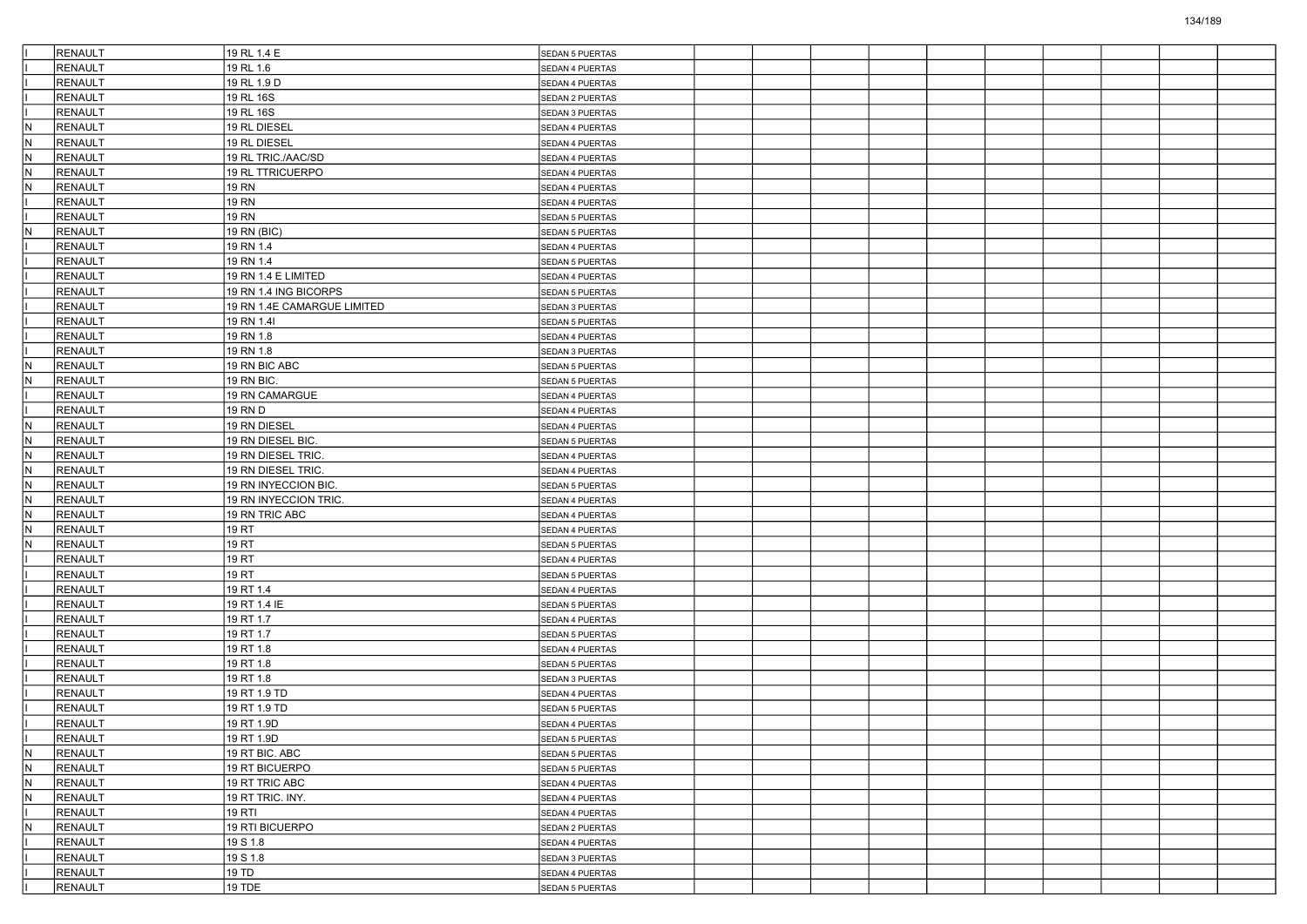|     | <b>RENAULT</b>     | 19 RL 1.4 E                 | <b>SEDAN 5 PUERTAS</b>             |  |  |  |  |  |
|-----|--------------------|-----------------------------|------------------------------------|--|--|--|--|--|
|     | <b>RENAULT</b>     | 19 RL 1.6                   | SEDAN 4 PUERTAS                    |  |  |  |  |  |
|     | <b>RENAULT</b>     | 19 RL 1.9 D                 | SEDAN 4 PUERTAS                    |  |  |  |  |  |
|     | RENAULT            | 19 RL 16S                   | SEDAN 2 PUERTAS                    |  |  |  |  |  |
|     | <b>RENAULT</b>     | 19 RL 16S                   | SEDAN 3 PUERTAS                    |  |  |  |  |  |
| IN. | <b>RENAULT</b>     | 19 RL DIESEL                | SEDAN 4 PUERTAS                    |  |  |  |  |  |
| N.  | <b>RENAULT</b>     | 19 RL DIESEL                | SEDAN 4 PUERTAS                    |  |  |  |  |  |
| IN. | <b>RENAULT</b>     | 19 RL TRIC./AAC/SD          | SEDAN 4 PUERTAS                    |  |  |  |  |  |
| IN. | <b>RENAULT</b>     | 19 RL TTRICUERPO            | SEDAN 4 PUERTAS                    |  |  |  |  |  |
| IN. | <b>RENAULT</b>     | <b>19 RN</b>                | SEDAN 4 PUERTAS                    |  |  |  |  |  |
|     | <b>RENAULT</b>     | <b>19 RN</b>                | SEDAN 4 PUERTAS                    |  |  |  |  |  |
|     | <b>RENAULT</b>     | <b>19 RN</b>                | <b>SEDAN 5 PUERTAS</b>             |  |  |  |  |  |
| IN. | RENAULT            | 19 RN (BIC)                 | SEDAN 5 PUERTAS                    |  |  |  |  |  |
|     | <b>RENAULT</b>     | 19 RN 1.4                   | SEDAN 4 PUERTAS                    |  |  |  |  |  |
|     | RENAULT            | 19 RN 1.4                   | SEDAN 5 PUERTAS                    |  |  |  |  |  |
|     | RENAULT            | 19 RN 1.4 E LIMITED         | SEDAN 4 PUERTAS                    |  |  |  |  |  |
|     | <b>RENAULT</b>     | 19 RN 1.4 ING BICORPS       | SEDAN 5 PUERTAS                    |  |  |  |  |  |
|     | RENAULT            | 19 RN 1.4E CAMARGUE LIMITED | SEDAN 3 PUERTAS                    |  |  |  |  |  |
|     | RENAULT            | 19 RN 1.4I                  | SEDAN 5 PUERTAS                    |  |  |  |  |  |
|     | RENAULT            | 19 RN 1.8                   | SEDAN 4 PUERTAS                    |  |  |  |  |  |
|     | RENAULT            | 19 RN 1.8                   | SEDAN 3 PUERTAS                    |  |  |  |  |  |
| N.  | <b>RENAULT</b>     | 19 RN BIC ABC               | SEDAN 5 PUERTAS                    |  |  |  |  |  |
| IN. | RENAULT            | 19 RN BIC.                  | SEDAN 5 PUERTAS                    |  |  |  |  |  |
|     | <b>RENAULT</b>     | 19 RN CAMARGUE              | SEDAN 4 PUERTAS                    |  |  |  |  |  |
|     | <b>RENAULT</b>     | 19 RN D                     | SEDAN 4 PUERTAS                    |  |  |  |  |  |
| IN. | RENAULT            | 19 RN DIESEL                | SEDAN 4 PUERTAS                    |  |  |  |  |  |
| N.  | <b>RENAULT</b>     | 19 RN DIESEL BIC.           | SEDAN 5 PUERTAS                    |  |  |  |  |  |
| IN. | <b>RENAULT</b>     | 19 RN DIESEL TRIC.          | SEDAN 4 PUERTAS                    |  |  |  |  |  |
| N.  | <b>RENAULT</b>     | 19 RN DIESEL TRIC.          | SEDAN 4 PUERTAS                    |  |  |  |  |  |
| IN. | <b>RENAULT</b>     | 19 RN INYECCION BIC.        | SEDAN 5 PUERTAS                    |  |  |  |  |  |
| IN. | <b>RENAULT</b>     | 19 RN INYECCION TRIC.       | SEDAN 4 PUERTAS                    |  |  |  |  |  |
| N.  | <b>RENAULT</b>     | 19 RN TRIC ABC              | SEDAN 4 PUERTAS                    |  |  |  |  |  |
| IN. | <b>RENAULT</b>     | 19 RT                       | SEDAN 4 PUERTAS                    |  |  |  |  |  |
| IN. | <b>RENAULT</b>     | 19 RT                       | SEDAN 5 PUERTAS                    |  |  |  |  |  |
|     | <b>RENAULT</b>     | 19 RT                       | SEDAN 4 PUERTAS                    |  |  |  |  |  |
|     | <b>RENAULT</b>     | 19 RT                       | SEDAN 5 PUERTAS                    |  |  |  |  |  |
|     | <b>RENAULT</b>     | 19 RT 1.4                   | SEDAN 4 PUERTAS                    |  |  |  |  |  |
|     | <b>RENAULT</b>     | 19 RT 1.4 IE                | SEDAN 5 PUERTAS                    |  |  |  |  |  |
|     | <b>RENAULT</b>     | 19 RT 1.7                   | SEDAN 4 PUERTAS                    |  |  |  |  |  |
|     | <b>RENAULT</b>     | 19 RT 1.7                   | SEDAN 5 PUERTAS                    |  |  |  |  |  |
|     | <b>RENAULT</b>     | 19 RT 1.8                   | SEDAN 4 PUERTAS                    |  |  |  |  |  |
|     | <b>RENAULT</b>     | 19 RT 1.8                   | SEDAN 5 PUERTAS                    |  |  |  |  |  |
|     | <b>RENAULT</b>     | 19 RT 1.8                   | SEDAN 3 PUERTAS                    |  |  |  |  |  |
|     | <b>RENAULT</b>     | 19 RT 1.9 TD                | SEDAN 4 PUERTAS                    |  |  |  |  |  |
|     | <b>RENAULT</b>     | 19 RT 1.9 TD                | <b>SEDAN 5 PUERTAS</b>             |  |  |  |  |  |
|     | <b>RENAULT</b>     | 19 RT 1.9D                  | SEDAN 4 PUERTAS                    |  |  |  |  |  |
|     | RENAULT            | 19 RT 1.9D                  |                                    |  |  |  |  |  |
| IN. | RENAULT            | 19 RT BIC. ABC              | SEDAN 5 PUERTAS<br>SEDAN 5 PUERTAS |  |  |  |  |  |
| N   | RENAULT            | 19 RT BICUERPO              | <b>SEDAN 5 PUERTAS</b>             |  |  |  |  |  |
| N.  | RENAULT            | 19 RT TRIC ABC              |                                    |  |  |  |  |  |
| N   | RENAULT            | 19 RT TRIC. INY.            | SEDAN 4 PUERTAS<br>SEDAN 4 PUERTAS |  |  |  |  |  |
|     | RENAULT            |                             |                                    |  |  |  |  |  |
| IN. |                    | 19 RTI<br>19 RTI BICUERPO   | SEDAN 4 PUERTAS                    |  |  |  |  |  |
|     | RENAULT<br>RENAULT |                             | SEDAN 2 PUERTAS                    |  |  |  |  |  |
|     | RENAULT            | 19 S 1.8                    | SEDAN 4 PUERTAS                    |  |  |  |  |  |
|     | RENAULT            | 19 S 1.8<br>19 TD           | SEDAN 3 PUERTAS                    |  |  |  |  |  |
|     |                    |                             | SEDAN 4 PUERTAS                    |  |  |  |  |  |
|     | <b>RENAULT</b>     | 19 TDE                      | <b>SEDAN 5 PUERTAS</b>             |  |  |  |  |  |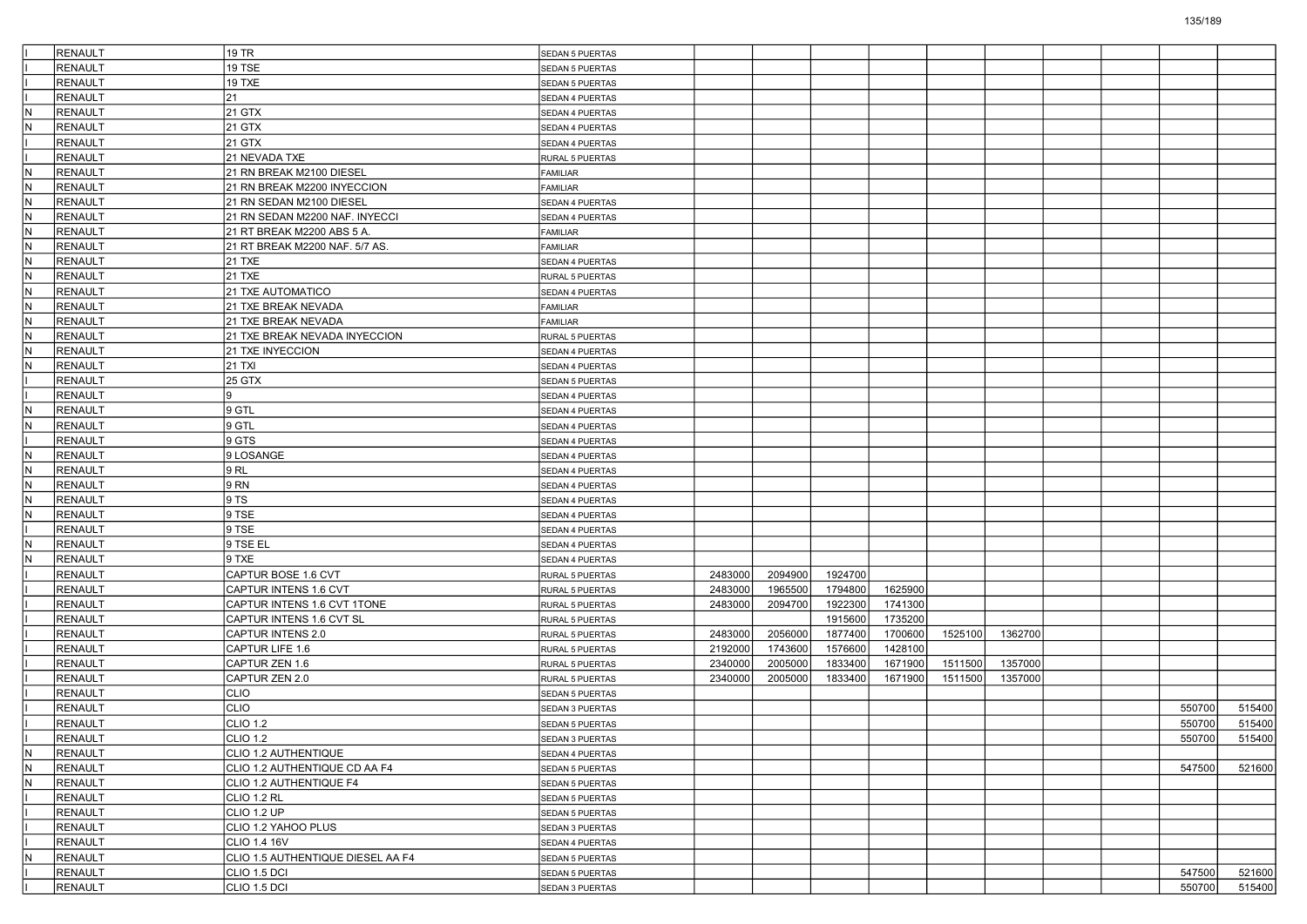|                         | <b>RENAULT</b>            | 19 TR                             | SEDAN 5 PUERTAS        |         |         |         |         |         |         |  |        |        |
|-------------------------|---------------------------|-----------------------------------|------------------------|---------|---------|---------|---------|---------|---------|--|--------|--------|
|                         | <b>RENAULT</b>            | 19 TSE                            | <b>SEDAN 5 PUERTAS</b> |         |         |         |         |         |         |  |        |        |
|                         | <b>RENAULT</b>            | 19 TXE                            | SEDAN 5 PUERTAS        |         |         |         |         |         |         |  |        |        |
|                         | RENAULT                   | 21                                | SEDAN 4 PUERTAS        |         |         |         |         |         |         |  |        |        |
| IN.                     | RENAULT                   | 21 GTX                            | SEDAN 4 PUERTAS        |         |         |         |         |         |         |  |        |        |
| N)                      | <b>RENAULT</b>            | 21 GTX                            | SEDAN 4 PUERTAS        |         |         |         |         |         |         |  |        |        |
|                         | <b>RENAULT</b>            | 21 GTX                            | SEDAN 4 PUERTAS        |         |         |         |         |         |         |  |        |        |
|                         | <b>RENAULT</b>            | 21 NEVADA TXE                     | RURAL 5 PUERTAS        |         |         |         |         |         |         |  |        |        |
| IN.                     | RENAULT                   | 21 RN BREAK M2100 DIESEL          | <b>FAMILIAR</b>        |         |         |         |         |         |         |  |        |        |
| IN.                     | RENAULT                   | 21 RN BREAK M2200 INYECCION       | <b>FAMILIAR</b>        |         |         |         |         |         |         |  |        |        |
| N)                      | <b>RENAULT</b>            | 21 RN SEDAN M2100 DIESEL          | SEDAN 4 PUERTAS        |         |         |         |         |         |         |  |        |        |
| IN.                     | <b>RENAULT</b>            | 21 RN SEDAN M2200 NAF. INYECCI    | SEDAN 4 PUERTAS        |         |         |         |         |         |         |  |        |        |
| IN.                     | <b>RENAULT</b>            | 21 RT BREAK M2200 ABS 5 A.        | <b>FAMILIAR</b>        |         |         |         |         |         |         |  |        |        |
| IN.                     | RENAULT                   | 21 RT BREAK M2200 NAF. 5/7 AS.    | <b>FAMILIAR</b>        |         |         |         |         |         |         |  |        |        |
| IN.                     | RENAULT                   | <b>21 TXE</b>                     | SEDAN 4 PUERTAS        |         |         |         |         |         |         |  |        |        |
| N)                      | <b>RENAULT</b>            | 21 TXE                            | RURAL 5 PUERTAS        |         |         |         |         |         |         |  |        |        |
| IN.                     | <b>RENAULT</b>            | 21 TXE AUTOMATICO                 | SEDAN 4 PUERTAS        |         |         |         |         |         |         |  |        |        |
| IN.                     | RENAULT                   | 21 TXE BREAK NEVADA               | <b>FAMILIAR</b>        |         |         |         |         |         |         |  |        |        |
| N.                      | RENAULT                   | 21 TXE BREAK NEVADA               | <b>FAMILIAR</b>        |         |         |         |         |         |         |  |        |        |
| IN.                     | RENAULT                   | 21 TXE BREAK NEVADA INYECCION     | RURAL 5 PUERTAS        |         |         |         |         |         |         |  |        |        |
| N)                      | RENAULT                   | 21 TXE INYECCION                  | SEDAN 4 PUERTAS        |         |         |         |         |         |         |  |        |        |
| IN.                     | <b>RENAULT</b>            | 21 TXI                            | SEDAN 4 PUERTAS        |         |         |         |         |         |         |  |        |        |
|                         | RENAULT                   | 25 GTX                            | SEDAN 5 PUERTAS        |         |         |         |         |         |         |  |        |        |
|                         | RENAULT                   |                                   | SEDAN 4 PUERTAS        |         |         |         |         |         |         |  |        |        |
| IN.                     | RENAULT                   | 9 GTL                             |                        |         |         |         |         |         |         |  |        |        |
| N)                      | RENAULT                   | 9 GTL                             | SEDAN 4 PUERTAS        |         |         |         |         |         |         |  |        |        |
|                         |                           | 9 GTS                             | SEDAN 4 PUERTAS        |         |         |         |         |         |         |  |        |        |
| İN.                     | <b>RENAULT</b><br>RENAULT |                                   | SEDAN 4 PUERTAS        |         |         |         |         |         |         |  |        |        |
|                         |                           | 9 LOSANGE                         | SEDAN 4 PUERTAS        |         |         |         |         |         |         |  |        |        |
| IN.                     | RENAULT                   | 9RL                               | SEDAN 4 PUERTAS        |         |         |         |         |         |         |  |        |        |
| IN.                     | <b>RENAULT</b>            | 9 RN                              | SEDAN 4 PUERTAS        |         |         |         |         |         |         |  |        |        |
| N)                      | <b>RENAULT</b>            | 9 TS                              | SEDAN 4 PUERTAS        |         |         |         |         |         |         |  |        |        |
| IN.                     | <b>RENAULT</b>            | 9 TSE                             | SEDAN 4 PUERTAS        |         |         |         |         |         |         |  |        |        |
|                         | RENAULT                   | 9 TSE                             | SEDAN 4 PUERTAS        |         |         |         |         |         |         |  |        |        |
| IN.                     | RENAULT                   | 9 TSE EL                          | SEDAN 4 PUERTAS        |         |         |         |         |         |         |  |        |        |
| IN.                     | <b>RENAULT</b>            | 9 TXE                             | SEDAN 4 PUERTAS        |         |         |         |         |         |         |  |        |        |
|                         | <b>RENAULT</b>            | CAPTUR BOSE 1.6 CVT               | RURAL 5 PUERTAS        | 2483000 | 2094900 | 1924700 |         |         |         |  |        |        |
|                         | <b>RENAULT</b>            | CAPTUR INTENS 1.6 CVT             | RURAL 5 PUERTAS        | 2483000 | 1965500 | 1794800 | 1625900 |         |         |  |        |        |
|                         | RENAULT                   | CAPTUR INTENS 1.6 CVT 1TONE       | RURAL 5 PUERTAS        | 2483000 | 2094700 | 1922300 | 1741300 |         |         |  |        |        |
|                         | RENAULT                   | CAPTUR INTENS 1.6 CVT SL          | RURAL 5 PUERTAS        |         |         | 1915600 | 1735200 |         |         |  |        |        |
|                         | RENAULT                   | CAPTUR INTENS 2.0                 | RURAL 5 PUERTAS        | 2483000 | 2056000 | 1877400 | 1700600 | 1525100 | 1362700 |  |        |        |
|                         | <b>RENAULT</b>            | CAPTUR LIFE 1.6                   | RURAL 5 PUERTAS        | 2192000 | 1743600 | 1576600 | 1428100 |         |         |  |        |        |
|                         | RENAULT                   | CAPTUR ZEN 1.6                    | RURAL 5 PUERTAS        | 2340000 | 2005000 | 1833400 | 1671900 | 1511500 | 1357000 |  |        |        |
|                         | RENAULT                   | CAPTUR ZEN 2.0                    | RURAL 5 PUERTAS        | 2340000 | 2005000 | 1833400 | 1671900 | 1511500 | 1357000 |  |        |        |
|                         | <b>RENAULT</b>            | <b>CLIO</b>                       | SEDAN 5 PUERTAS        |         |         |         |         |         |         |  |        |        |
|                         | <b>RENAULT</b>            | <b>CLIO</b>                       | <b>SEDAN 3 PUERTAS</b> |         |         |         |         |         |         |  | 550700 | 515400 |
|                         | <b>RENAULT</b>            | <b>CLIO 1.2</b>                   | <b>SEDAN 5 PUERTAS</b> |         |         |         |         |         |         |  | 550700 | 515400 |
|                         | RENAULT                   | CLIO 1.2                          | SEDAN 3 PUERTAS        |         |         |         |         |         |         |  | 550700 | 515400 |
| $\overline{\mathsf{N}}$ | RENAULT                   | CLIO 1.2 AUTHENTIQUE              | SEDAN 4 PUERTAS        |         |         |         |         |         |         |  |        |        |
| $\overline{N}$          | RENAULT                   | CLIO 1.2 AUTHENTIQUE CD AA F4     | SEDAN 5 PUERTAS        |         |         |         |         |         |         |  | 547500 | 521600 |
| $\overline{\mathsf{N}}$ | RENAULT                   | CLIO 1.2 AUTHENTIQUE F4           | SEDAN 5 PUERTAS        |         |         |         |         |         |         |  |        |        |
|                         | RENAULT                   | CLIO 1.2 RL                       | SEDAN 5 PUERTAS        |         |         |         |         |         |         |  |        |        |
|                         | <b>RENAULT</b>            | CLIO 1.2 UP                       | SEDAN 5 PUERTAS        |         |         |         |         |         |         |  |        |        |
|                         | RENAULT                   | CLIO 1.2 YAHOO PLUS               | SEDAN 3 PUERTAS        |         |         |         |         |         |         |  |        |        |
|                         | RENAULT                   | CLIO 1.4 16V                      | SEDAN 4 PUERTAS        |         |         |         |         |         |         |  |        |        |
| $\overline{\mathsf{N}}$ | RENAULT                   | CLIO 1.5 AUTHENTIQUE DIESEL AA F4 | SEDAN 5 PUERTAS        |         |         |         |         |         |         |  |        |        |
|                         | RENAULT                   | CLIO 1.5 DCI                      | <b>SEDAN 5 PUERTAS</b> |         |         |         |         |         |         |  | 547500 | 521600 |
|                         | RENAULT                   | CLIO 1.5 DCI                      | SEDAN 3 PUERTAS        |         |         |         |         |         |         |  | 550700 | 515400 |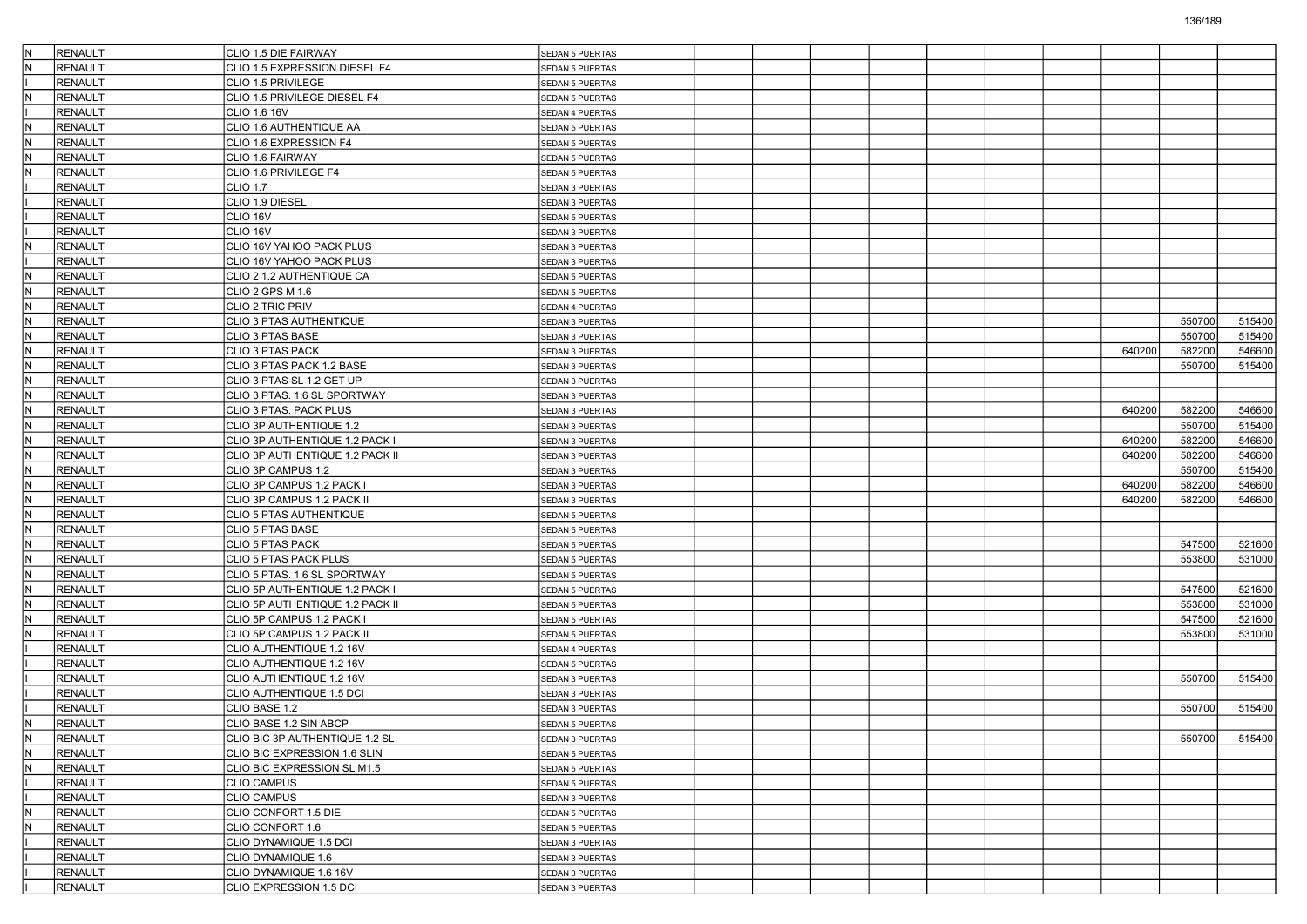| IN.          | RENAULT        | CLIO 1.5 DIE FAIRWAY                                    | <b>SEDAN 5 PUERTAS</b> |  |  |  |        |        |        |
|--------------|----------------|---------------------------------------------------------|------------------------|--|--|--|--------|--------|--------|
| IN.          | RENAULT        | CLIO 1.5 EXPRESSION DIESEL F4                           | <b>SEDAN 5 PUERTAS</b> |  |  |  |        |        |        |
|              | <b>RENAULT</b> | CLIO 1.5 PRIVILEGE                                      | <b>SEDAN 5 PUERTAS</b> |  |  |  |        |        |        |
| İN.          | <b>RENAULT</b> | CLIO 1.5 PRIVILEGE DIESEL F4                            | SEDAN 5 PUERTAS        |  |  |  |        |        |        |
|              | <b>RENAULT</b> | CLIO 1.6 16V                                            | SEDAN 4 PUERTAS        |  |  |  |        |        |        |
| İN.          | RENAULT        | CLIO 1.6 AUTHENTIQUE AA                                 | <b>SEDAN 5 PUERTAS</b> |  |  |  |        |        |        |
| IN.          | RENAULT        | CLIO 1.6 EXPRESSION F4                                  | <b>SEDAN 5 PUERTAS</b> |  |  |  |        |        |        |
| IN.          | <b>RENAULT</b> | CLIO 1.6 FAIRWAY                                        | <b>SEDAN 5 PUERTAS</b> |  |  |  |        |        |        |
| İN.          | <b>RENAULT</b> | CLIO 1.6 PRIVILEGE F4                                   | SEDAN 5 PUERTAS        |  |  |  |        |        |        |
|              | <b>RENAULT</b> | <b>CLIO 1.7</b>                                         | SEDAN 3 PUERTAS        |  |  |  |        |        |        |
|              | RENAULT        | CLIO 1.9 DIESEL                                         | SEDAN 3 PUERTAS        |  |  |  |        |        |        |
|              | <b>RENAULT</b> | CLIO 16V                                                | <b>SEDAN 5 PUERTAS</b> |  |  |  |        |        |        |
|              | <b>RENAULT</b> | CLIO 16V                                                | SEDAN 3 PUERTAS        |  |  |  |        |        |        |
| İN.          | <b>RENAULT</b> | CLIO 16V YAHOO PACK PLUS                                | SEDAN 3 PUERTAS        |  |  |  |        |        |        |
|              | <b>RENAULT</b> | CLIO 16V YAHOO PACK PLUS                                | SEDAN 3 PUERTAS        |  |  |  |        |        |        |
| İN.          | RENAULT        | CLIO 2 1.2 AUTHENTIQUE CA                               | SEDAN 5 PUERTAS        |  |  |  |        |        |        |
| $\mathsf{N}$ | RENAULT        | CLIO 2 GPS M 1.6                                        | <b>SEDAN 5 PUERTAS</b> |  |  |  |        |        |        |
| IN.          | <b>RENAULT</b> | CLIO 2 TRIC PRIV                                        | SEDAN 4 PUERTAS        |  |  |  |        |        |        |
| IN.          | RENAULT        | CLIO 3 PTAS AUTHENTIQUE                                 | SEDAN 3 PUERTAS        |  |  |  |        | 550700 | 515400 |
| N            | <b>RENAULT</b> | CLIO 3 PTAS BASE                                        | SEDAN 3 PUERTAS        |  |  |  |        | 550700 | 515400 |
| İN.          | RENAULT        | <b>CLIO 3 PTAS PACK</b>                                 | SEDAN 3 PUERTAS        |  |  |  | 640200 | 582200 | 546600 |
| IN.          | <b>RENAULT</b> | CLIO 3 PTAS PACK 1.2 BASE                               | <b>SEDAN 3 PUERTAS</b> |  |  |  |        | 550700 | 515400 |
| IN.          | <b>RENAULT</b> | CLIO 3 PTAS SL 1.2 GET UP                               | SEDAN 3 PUERTAS        |  |  |  |        |        |        |
| IN.          | RENAULT        | CLIO 3 PTAS. 1.6 SL SPORTWAY                            | SEDAN 3 PUERTAS        |  |  |  |        |        |        |
| $\mathsf{N}$ | <b>RENAULT</b> | CLIO 3 PTAS. PACK PLUS                                  | SEDAN 3 PUERTAS        |  |  |  | 640200 | 582200 | 546600 |
| İN.          | RENAULT        | CLIO 3P AUTHENTIQUE 1.2                                 | SEDAN 3 PUERTAS        |  |  |  |        | 550700 | 515400 |
| IN.          | <b>RENAULT</b> | CLIO 3P AUTHENTIQUE 1.2 PACK I                          | <b>SEDAN 3 PUERTAS</b> |  |  |  | 640200 | 582200 | 546600 |
| IN.          | <b>RENAULT</b> | CLIO 3P AUTHENTIQUE 1.2 PACK II                         | SEDAN 3 PUERTAS        |  |  |  | 640200 | 582200 | 546600 |
| IN.          | <b>RENAULT</b> | CLIO 3P CAMPUS 1.2                                      |                        |  |  |  |        | 550700 | 515400 |
| $\mathsf{N}$ | <b>RENAULT</b> |                                                         | SEDAN 3 PUERTAS        |  |  |  | 640200 | 582200 | 546600 |
| İN.          | RENAULT        | CLIO 3P CAMPUS 1.2 PACK I<br>CLIO 3P CAMPUS 1.2 PACK II | SEDAN 3 PUERTAS        |  |  |  | 640200 | 582200 | 546600 |
| IN.          | <b>RENAULT</b> | CLIO 5 PTAS AUTHENTIQUE                                 | SEDAN 3 PUERTAS        |  |  |  |        |        |        |
| IN.          | <b>RENAULT</b> |                                                         | <b>SEDAN 5 PUERTAS</b> |  |  |  |        |        |        |
|              |                | CLIO 5 PTAS BASE                                        | SEDAN 5 PUERTAS        |  |  |  |        |        |        |
| IN.          | <b>RENAULT</b> | CLIO 5 PTAS PACK                                        | SEDAN 5 PUERTAS        |  |  |  |        | 547500 | 521600 |
| $\mathsf{N}$ | <b>RENAULT</b> | CLIO 5 PTAS PACK PLUS                                   | <b>SEDAN 5 PUERTAS</b> |  |  |  |        | 553800 | 531000 |
| IN.          | RENAULT        | CLIO 5 PTAS. 1.6 SL SPORTWAY                            | SEDAN 5 PUERTAS        |  |  |  |        |        |        |
| IN.          | <b>RENAULT</b> | CLIO 5P AUTHENTIQUE 1.2 PACK I                          | <b>SEDAN 5 PUERTAS</b> |  |  |  |        | 547500 | 521600 |
| IN.          | <b>RENAULT</b> | CLIO 5P AUTHENTIQUE 1.2 PACK II                         | SEDAN 5 PUERTAS        |  |  |  |        | 553800 | 531000 |
| IN.          | <b>RENAULT</b> | CLIO 5P CAMPUS 1.2 PACK I                               | SEDAN 5 PUERTAS        |  |  |  |        | 547500 | 521600 |
| N            | RENAULT        | CLIO 5P CAMPUS 1.2 PACK II                              | <b>SEDAN 5 PUERTAS</b> |  |  |  |        | 553800 | 531000 |
|              | RENAULT        | CLIO AUTHENTIQUE 1.2 16V                                | SEDAN 4 PUERTAS        |  |  |  |        |        |        |
|              | <b>RENAULT</b> | CLIO AUTHENTIQUE 1.2 16V                                | SEDAN 5 PUERTAS        |  |  |  |        |        |        |
|              | <b>RENAULT</b> | CLIO AUTHENTIQUE 1.2 16V                                | SEDAN 3 PUERTAS        |  |  |  |        | 550700 | 515400 |
|              | <b>RENAULT</b> | CLIO AUTHENTIQUE 1.5 DCI                                | <b>SEDAN 3 PUERTAS</b> |  |  |  |        |        |        |
|              | <b>RENAULT</b> | CLIO BASE 1.2                                           | <b>SEDAN 3 PUERTAS</b> |  |  |  |        | 550700 | 515400 |
| IN.          | RENAULT        | CLIO BASE 1.2 SIN ABCP                                  | <b>SEDAN 5 PUERTAS</b> |  |  |  |        |        |        |
| IN.          | RENAULT        | CLIO BIC 3P AUTHENTIQUE 1.2 SL                          | SEDAN 3 PUERTAS        |  |  |  |        | 550700 | 515400 |
| IN.          | <b>RENAULT</b> | CLIO BIC EXPRESSION 1.6 SLIN                            | <b>SEDAN 5 PUERTAS</b> |  |  |  |        |        |        |
| IN.          | <b>RENAULT</b> | CLIO BIC EXPRESSION SL M1.5                             | SEDAN 5 PUERTAS        |  |  |  |        |        |        |
|              | <b>RENAULT</b> | <b>CLIO CAMPUS</b>                                      | SEDAN 5 PUERTAS        |  |  |  |        |        |        |
|              | <b>RENAULT</b> | <b>CLIO CAMPUS</b>                                      | SEDAN 3 PUERTAS        |  |  |  |        |        |        |
| IN.          | <b>RENAULT</b> | CLIO CONFORT 1.5 DIE                                    | SEDAN 5 PUERTAS        |  |  |  |        |        |        |
| IN.          | RENAULT        | CLIO CONFORT 1.6                                        | SEDAN 5 PUERTAS        |  |  |  |        |        |        |
|              | <b>RENAULT</b> | CLIO DYNAMIQUE 1.5 DCI                                  | SEDAN 3 PUERTAS        |  |  |  |        |        |        |
|              | <b>RENAULT</b> | CLIO DYNAMIQUE 1.6                                      | SEDAN 3 PUERTAS        |  |  |  |        |        |        |
|              | <b>RENAULT</b> | CLIO DYNAMIQUE 1.6 16V                                  | SEDAN 3 PUERTAS        |  |  |  |        |        |        |
|              | RENAULT        | CLIO EXPRESSION 1.5 DCI                                 | SEDAN 3 PUERTAS        |  |  |  |        |        |        |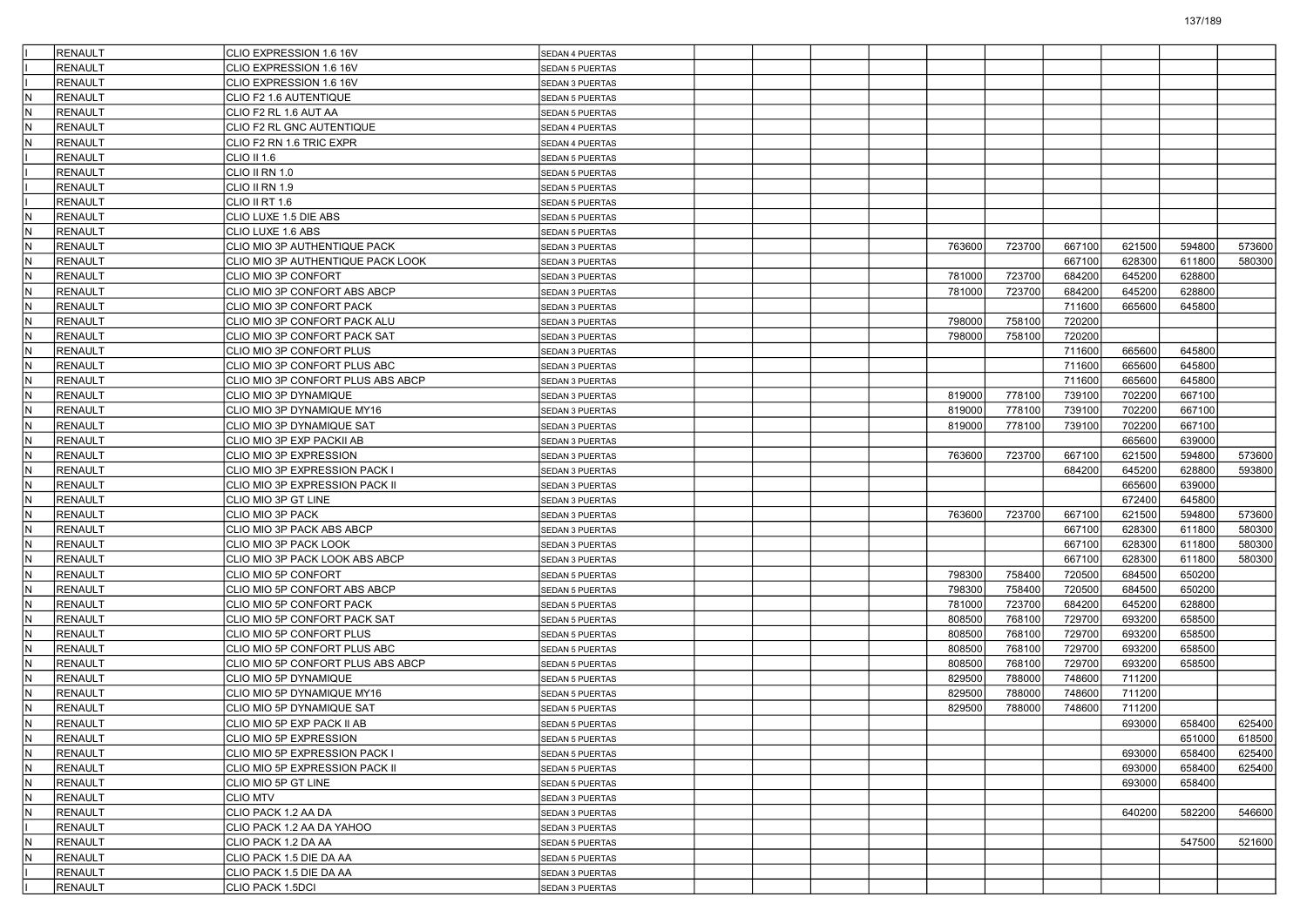|              | <b>RENAULT</b> | CLIO EXPRESSION 1.6 16V           | <b>SEDAN 4 PUERTAS</b> |  |        |        |        |        |        |        |
|--------------|----------------|-----------------------------------|------------------------|--|--------|--------|--------|--------|--------|--------|
|              | <b>RENAULT</b> | CLIO EXPRESSION 1.6 16V           | <b>SEDAN 5 PUERTAS</b> |  |        |        |        |        |        |        |
|              | <b>RENAULT</b> | CLIO EXPRESSION 1.6 16V           | SEDAN 3 PUERTAS        |  |        |        |        |        |        |        |
| IN.          | RENAULT        | CLIO F2 1.6 AUTENTIQUE            | SEDAN 5 PUERTAS        |  |        |        |        |        |        |        |
| N            | <b>RENAULT</b> | CLIO F2 RL 1.6 AUT AA             | SEDAN 5 PUERTAS        |  |        |        |        |        |        |        |
| IN.          | RENAULT        | CLIO F2 RL GNC AUTENTIQUE         | SEDAN 4 PUERTAS        |  |        |        |        |        |        |        |
| $\mathsf{N}$ | <b>RENAULT</b> | CLIO F2 RN 1.6 TRIC EXPR          | SEDAN 4 PUERTAS        |  |        |        |        |        |        |        |
|              | <b>RENAULT</b> | CLIO II 1.6                       | SEDAN 5 PUERTAS        |  |        |        |        |        |        |        |
|              | <b>RENAULT</b> | CLIO II RN 1.0                    | SEDAN 5 PUERTAS        |  |        |        |        |        |        |        |
|              | <b>RENAULT</b> | CLIO II RN 1.9                    | SEDAN 5 PUERTAS        |  |        |        |        |        |        |        |
|              | RENAULT        | CLIO II RT 1.6                    | SEDAN 5 PUERTAS        |  |        |        |        |        |        |        |
| $\mathsf{N}$ | RENAULT        | CLIO LUXE 1.5 DIE ABS             | SEDAN 5 PUERTAS        |  |        |        |        |        |        |        |
| IN.          | <b>RENAULT</b> | CLIO LUXE 1.6 ABS                 | SEDAN 5 PUERTAS        |  |        |        |        |        |        |        |
| IN.          | RENAULT        | CLIO MIO 3P AUTHENTIQUE PACK      | SEDAN 3 PUERTAS        |  | 763600 | 723700 | 667100 | 621500 | 594800 | 573600 |
| N            | <b>RENAULT</b> | CLIO MIO 3P AUTHENTIQUE PACK LOOK | SEDAN 3 PUERTAS        |  |        |        | 667100 | 628300 | 611800 | 580300 |
| IN.          | RENAULT        | CLIO MIO 3P CONFORT               | SEDAN 3 PUERTAS        |  | 781000 | 723700 | 684200 | 645200 | 628800 |        |
| $\mathsf{N}$ | <b>RENAULT</b> | CLIO MIO 3P CONFORT ABS ABCP      | SEDAN 3 PUERTAS        |  | 781000 | 723700 | 684200 | 645200 | 628800 |        |
| IN.          | <b>RENAULT</b> | CLIO MIO 3P CONFORT PACK          | SEDAN 3 PUERTAS        |  |        |        | 711600 | 665600 | 645800 |        |
| IN.          | <b>RENAULT</b> | CLIO MIO 3P CONFORT PACK ALU      | SEDAN 3 PUERTAS        |  | 798000 | 758100 | 720200 |        |        |        |
| N            | <b>RENAULT</b> | CLIO MIO 3P CONFORT PACK SAT      | SEDAN 3 PUERTAS        |  | 798000 | 758100 | 720200 |        |        |        |
| IN.          | RENAULT        | CLIO MIO 3P CONFORT PLUS          | SEDAN 3 PUERTAS        |  |        |        | 711600 | 665600 | 645800 |        |
| $\mathsf{N}$ | RENAULT        | CLIO MIO 3P CONFORT PLUS ABC      | <b>SEDAN 3 PUERTAS</b> |  |        |        | 711600 | 665600 | 645800 |        |
| IN.          | <b>RENAULT</b> | CLIO MIO 3P CONFORT PLUS ABS ABCP | SEDAN 3 PUERTAS        |  |        |        | 711600 | 665600 | 645800 |        |
| IN.          | <b>RENAULT</b> | CLIO MIO 3P DYNAMIQUE             | SEDAN 3 PUERTAS        |  | 819000 | 778100 | 739100 | 702200 | 667100 |        |
| N            | <b>RENAULT</b> | CLIO MIO 3P DYNAMIQUE MY16        | SEDAN 3 PUERTAS        |  | 819000 | 778100 | 739100 | 702200 | 667100 |        |
| IN.          | RENAULT        | CLIO MIO 3P DYNAMIQUE SAT         | SEDAN 3 PUERTAS        |  | 819000 | 778100 | 739100 | 702200 | 667100 |        |
| $\mathsf{N}$ | <b>RENAULT</b> | CLIO MIO 3P EXP PACKII AB         | <b>SEDAN 3 PUERTAS</b> |  |        |        |        | 665600 | 639000 |        |
| IN.          | <b>RENAULT</b> | CLIO MIO 3P EXPRESSION            |                        |  | 763600 | 723700 | 667100 | 621500 | 594800 | 573600 |
| IN.          | <b>RENAULT</b> |                                   | SEDAN 3 PUERTAS        |  |        |        | 684200 | 645200 | 628800 | 593800 |
| N            |                | CLIO MIO 3P EXPRESSION PACK I     | SEDAN 3 PUERTAS        |  |        |        |        | 665600 | 639000 |        |
| IN.          | <b>RENAULT</b> | CLIO MIO 3P EXPRESSION PACK II    | SEDAN 3 PUERTAS        |  |        |        |        |        |        |        |
|              | RENAULT        | CLIO MIO 3P GT LINE               | SEDAN 3 PUERTAS        |  |        |        |        | 672400 | 645800 |        |
| $\mathsf{N}$ | <b>RENAULT</b> | CLIO MIO 3P PACK                  | SEDAN 3 PUERTAS        |  | 763600 | 723700 | 667100 | 621500 | 594800 | 573600 |
| IN.          | <b>RENAULT</b> | CLIO MIO 3P PACK ABS ABCP         | SEDAN 3 PUERTAS        |  |        |        | 667100 | 628300 | 611800 | 580300 |
| IN.          | <b>RENAULT</b> | CLIO MIO 3P PACK LOOK             | SEDAN 3 PUERTAS        |  |        |        | 667100 | 628300 | 611800 | 580300 |
| N            | <b>RENAULT</b> | CLIO MIO 3P PACK LOOK ABS ABCP    | SEDAN 3 PUERTAS        |  |        |        | 667100 | 628300 | 611800 | 580300 |
| İN.          | RENAULT        | CLIO MIO 5P CONFORT               | SEDAN 5 PUERTAS        |  | 798300 | 758400 | 720500 | 684500 | 650200 |        |
| $\mathsf{N}$ | <b>RENAULT</b> | CLIO MIO 5P CONFORT ABS ABCP      | SEDAN 5 PUERTAS        |  | 798300 | 758400 | 720500 | 684500 | 650200 |        |
| IN.          | <b>RENAULT</b> | CLIO MIO 5P CONFORT PACK          | SEDAN 5 PUERTAS        |  | 781000 | 723700 | 684200 | 645200 | 628800 |        |
| IN.          | <b>RENAULT</b> | CLIO MIO 5P CONFORT PACK SAT      | SEDAN 5 PUERTAS        |  | 808500 | 768100 | 729700 | 693200 | 658500 |        |
| N            | <b>RENAULT</b> | CLIO MIO 5P CONFORT PLUS          | <b>SEDAN 5 PUERTAS</b> |  | 808500 | 768100 | 729700 | 693200 | 658500 |        |
| IN.          | <b>RENAULT</b> | CLIO MIO 5P CONFORT PLUS ABC      | SEDAN 5 PUERTAS        |  | 808500 | 768100 | 729700 | 693200 | 658500 |        |
| $\mathsf{N}$ | <b>RENAULT</b> | CLIO MIO 5P CONFORT PLUS ABS ABCP | SEDAN 5 PUERTAS        |  | 808500 | 768100 | 729700 | 693200 | 658500 |        |
| IN.          | <b>RENAULT</b> | CLIO MIO 5P DYNAMIQUE             | SEDAN 5 PUERTAS        |  | 829500 | 788000 | 748600 | 711200 |        |        |
| IN.          | <b>RENAULT</b> | CLIO MIO 5P DYNAMIQUE MY16        | SEDAN 5 PUERTAS        |  | 829500 | 788000 | 748600 | 711200 |        |        |
| N            | <b>RENAULT</b> | CLIO MIO 5P DYNAMIQUE SAT         | SEDAN 5 PUERTAS        |  | 829500 | 788000 | 748600 | 711200 |        |        |
| İN.          | RENAULT        | CLIO MIO 5P EXP PACK II AB        | <b>SEDAN 5 PUERTAS</b> |  |        |        |        | 693000 | 658400 | 625400 |
| IN.          | RENAULT        | CLIO MIO 5P EXPRESSION            | SEDAN 5 PUERTAS        |  |        |        |        |        | 651000 | 618500 |
| IN.          | <b>RENAULT</b> | CLIO MIO 5P EXPRESSION PACK I     | SEDAN 5 PUERTAS        |  |        |        |        | 693000 | 658400 | 625400 |
| IN.          | <b>RENAULT</b> | CLIO MIO 5P EXPRESSION PACK II    | SEDAN 5 PUERTAS        |  |        |        |        | 693000 | 658400 | 625400 |
| İN.          | <b>RENAULT</b> | CLIO MIO 5P GT LINE               | SEDAN 5 PUERTAS        |  |        |        |        | 693000 | 658400 |        |
| IN.          | <b>RENAULT</b> | <b>CLIO MTV</b>                   | SEDAN 3 PUERTAS        |  |        |        |        |        |        |        |
| IN.          | <b>RENAULT</b> | CLIO PACK 1.2 AA DA               | SEDAN 3 PUERTAS        |  |        |        |        | 640200 | 582200 | 546600 |
|              | RENAULT        | CLIO PACK 1.2 AA DA YAHOO         | SEDAN 3 PUERTAS        |  |        |        |        |        |        |        |
| IN.          | <b>RENAULT</b> | CLIO PACK 1.2 DA AA               | SEDAN 5 PUERTAS        |  |        |        |        |        | 547500 | 521600 |
| İN.          | <b>RENAULT</b> | CLIO PACK 1.5 DIE DA AA           | SEDAN 5 PUERTAS        |  |        |        |        |        |        |        |
|              | <b>RENAULT</b> | CLIO PACK 1.5 DIE DA AA           | SEDAN 3 PUERTAS        |  |        |        |        |        |        |        |
|              | RENAULT        | CLIO PACK 1.5DCI                  | SEDAN 3 PUERTAS        |  |        |        |        |        |        |        |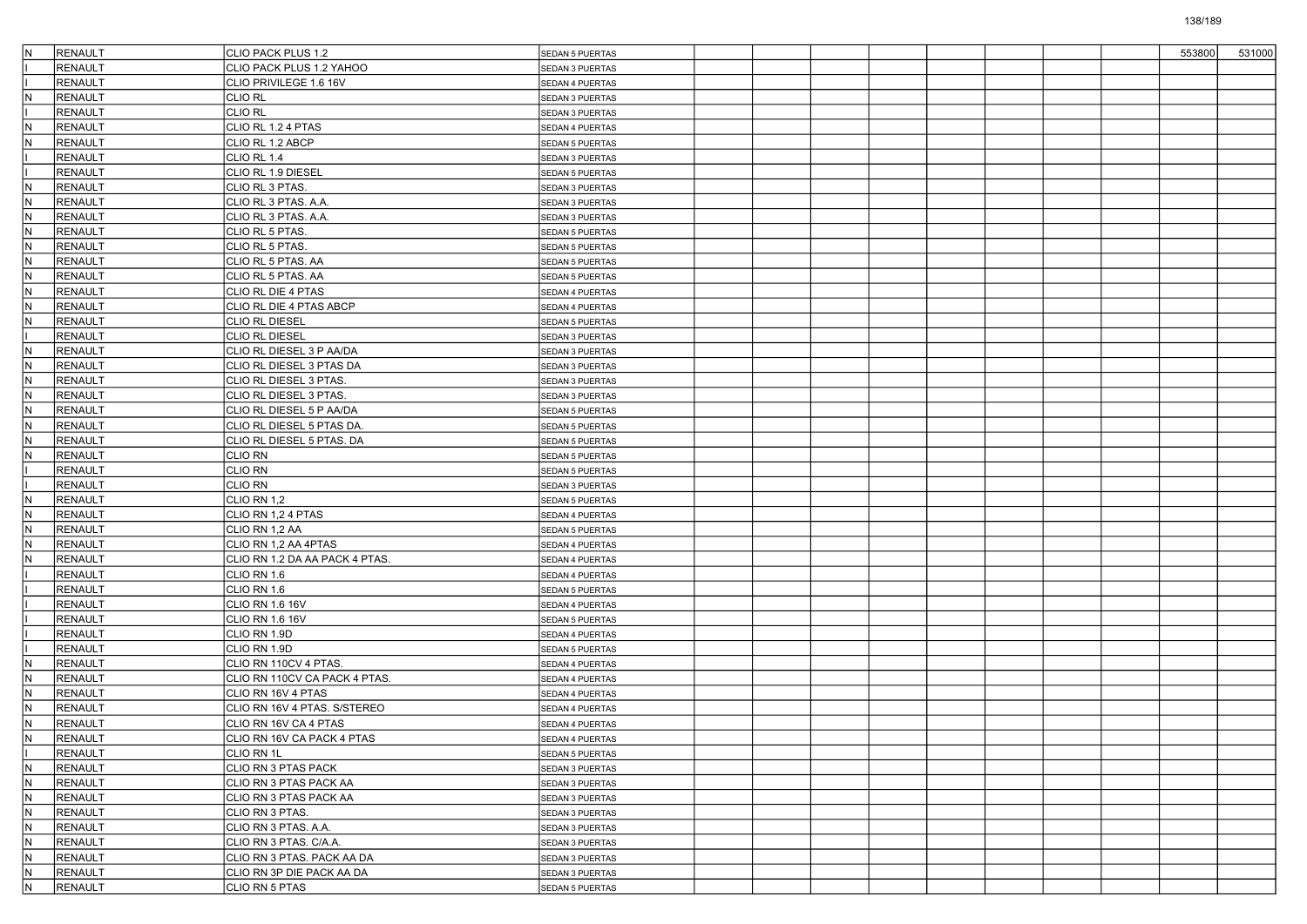| IN. | <b>RENAULT</b> | CLIO PACK PLUS 1.2             | SEDAN 5 PUERTAS        |  |  |  |  | 553800 | 531000 |
|-----|----------------|--------------------------------|------------------------|--|--|--|--|--------|--------|
|     | <b>RENAULT</b> | CLIO PACK PLUS 1.2 YAHOO       | SEDAN 3 PUERTAS        |  |  |  |  |        |        |
|     | <b>RENAULT</b> | CLIO PRIVILEGE 1.6 16V         | SEDAN 4 PUERTAS        |  |  |  |  |        |        |
| N   | <b>RENAULT</b> | <b>CLIO RL</b>                 | SEDAN 3 PUERTAS        |  |  |  |  |        |        |
|     | <b>RENAULT</b> | <b>CLIO RL</b>                 | SEDAN 3 PUERTAS        |  |  |  |  |        |        |
| IN. | <b>RENAULT</b> | CLIO RL 1.2 4 PTAS             | SEDAN 4 PUERTAS        |  |  |  |  |        |        |
| N   | <b>RENAULT</b> | CLIO RL 1.2 ABCP               | SEDAN 5 PUERTAS        |  |  |  |  |        |        |
|     | <b>RENAULT</b> | CLIO RL 1.4                    | SEDAN 3 PUERTAS        |  |  |  |  |        |        |
|     | <b>RENAULT</b> | CLIO RL 1.9 DIESEL             | SEDAN 5 PUERTAS        |  |  |  |  |        |        |
| N   | <b>RENAULT</b> | CLIO RL 3 PTAS.                | SEDAN 3 PUERTAS        |  |  |  |  |        |        |
| IN. | <b>RENAULT</b> | CLIO RL 3 PTAS. A.A.           | SEDAN 3 PUERTAS        |  |  |  |  |        |        |
| N   | <b>RENAULT</b> | CLIO RL 3 PTAS. A.A.           | SEDAN 3 PUERTAS        |  |  |  |  |        |        |
| IN. | <b>RENAULT</b> | CLIO RL 5 PTAS.                | SEDAN 5 PUERTAS        |  |  |  |  |        |        |
| IN. | <b>RENAULT</b> | CLIO RL 5 PTAS.                | SEDAN 5 PUERTAS        |  |  |  |  |        |        |
| N   | <b>RENAULT</b> | CLIO RL 5 PTAS. AA             | SEDAN 5 PUERTAS        |  |  |  |  |        |        |
| IN. | <b>RENAULT</b> | CLIO RL 5 PTAS. AA             | SEDAN 5 PUERTAS        |  |  |  |  |        |        |
| N   | <b>RENAULT</b> | CLIO RL DIE 4 PTAS             | SEDAN 4 PUERTAS        |  |  |  |  |        |        |
| N   | <b>RENAULT</b> | CLIO RL DIE 4 PTAS ABCP        | SEDAN 4 PUERTAS        |  |  |  |  |        |        |
| IN. | <b>RENAULT</b> | <b>CLIO RL DIESEL</b>          | SEDAN 5 PUERTAS        |  |  |  |  |        |        |
|     | <b>RENAULT</b> | <b>CLIO RL DIESEL</b>          | SEDAN 3 PUERTAS        |  |  |  |  |        |        |
| IN. | <b>RENAULT</b> | CLIO RL DIESEL 3 P AA/DA       | SEDAN 3 PUERTAS        |  |  |  |  |        |        |
| N   | <b>RENAULT</b> | CLIO RL DIESEL 3 PTAS DA       | SEDAN 3 PUERTAS        |  |  |  |  |        |        |
| IN. | <b>RENAULT</b> | CLIO RL DIESEL 3 PTAS.         | SEDAN 3 PUERTAS        |  |  |  |  |        |        |
| IN. | <b>RENAULT</b> | CLIO RL DIESEL 3 PTAS.         | SEDAN 3 PUERTAS        |  |  |  |  |        |        |
| N   | <b>RENAULT</b> | CLIO RL DIESEL 5 P AA/DA       | SEDAN 5 PUERTAS        |  |  |  |  |        |        |
| IN. | <b>RENAULT</b> | CLIO RL DIESEL 5 PTAS DA.      | <b>SEDAN 5 PUERTAS</b> |  |  |  |  |        |        |
| N   | <b>RENAULT</b> | CLIO RL DIESEL 5 PTAS. DA      | SEDAN 5 PUERTAS        |  |  |  |  |        |        |
| N   | <b>RENAULT</b> | <b>CLIO RN</b>                 | SEDAN 5 PUERTAS        |  |  |  |  |        |        |
|     | <b>RENAULT</b> | <b>CLIO RN</b>                 | <b>SEDAN 5 PUERTAS</b> |  |  |  |  |        |        |
|     | <b>RENAULT</b> | <b>CLIO RN</b>                 | SEDAN 3 PUERTAS        |  |  |  |  |        |        |
| IN. | <b>RENAULT</b> | CLIO RN 1,2                    | SEDAN 5 PUERTAS        |  |  |  |  |        |        |
| N   | <b>RENAULT</b> | CLIO RN 1,2 4 PTAS             | SEDAN 4 PUERTAS        |  |  |  |  |        |        |
| N   | <b>RENAULT</b> | CLIO RN 1,2 AA                 | SEDAN 5 PUERTAS        |  |  |  |  |        |        |
| IN. | <b>RENAULT</b> | CLIO RN 1,2 AA 4PTAS           | SEDAN 4 PUERTAS        |  |  |  |  |        |        |
| N   | <b>RENAULT</b> | CLIO RN 1.2 DA AA PACK 4 PTAS. | SEDAN 4 PUERTAS        |  |  |  |  |        |        |
|     | <b>RENAULT</b> | CLIO RN 1.6                    | SEDAN 4 PUERTAS        |  |  |  |  |        |        |
|     | <b>RENAULT</b> | CLIO RN 1.6                    | SEDAN 5 PUERTAS        |  |  |  |  |        |        |
|     | <b>RENAULT</b> | <b>CLIO RN 1.6 16V</b>         | SEDAN 4 PUERTAS        |  |  |  |  |        |        |
|     | <b>RENAULT</b> | <b>CLIO RN 1.6 16V</b>         | SEDAN 5 PUERTAS        |  |  |  |  |        |        |
|     | <b>RENAULT</b> | CLIO RN 1.9D                   | SEDAN 4 PUERTAS        |  |  |  |  |        |        |
|     | <b>RENAULT</b> | CLIO RN 1.9D                   | <b>SEDAN 5 PUERTAS</b> |  |  |  |  |        |        |
| N   | <b>RENAULT</b> | CLIO RN 110CV 4 PTAS.          | SEDAN 4 PUERTAS        |  |  |  |  |        |        |
| N   | <b>RENAULT</b> | CLIO RN 110CV CA PACK 4 PTAS.  | SEDAN 4 PUERTAS        |  |  |  |  |        |        |
| IN. | <b>RENAULT</b> | CLIO RN 16V 4 PTAS             | SEDAN 4 PUERTAS        |  |  |  |  |        |        |
| N   | <b>RENAULT</b> | CLIO RN 16V 4 PTAS. S/STEREO   | SEDAN 4 PUERTAS        |  |  |  |  |        |        |
| l۸  | <b>RENAULT</b> | CLIO RN 16V CA 4 PTAS          | SEDAN 4 PUERTAS        |  |  |  |  |        |        |
|     | RENAULT        | CLIO RN 16V CA PACK 4 PTAS     |                        |  |  |  |  |        |        |
| IN. | <b>RENAULT</b> | CLIO RN 1L                     | SEDAN 4 PUERTAS        |  |  |  |  |        |        |
| IN. | <b>RENAULT</b> | CLIO RN 3 PTAS PACK            | SEDAN 5 PUERTAS        |  |  |  |  |        |        |
| İN. | RENAULT        | CLIO RN 3 PTAS PACK AA         | SEDAN 3 PUERTAS        |  |  |  |  |        |        |
| IN. |                | CLIO RN 3 PTAS PACK AA         | SEDAN 3 PUERTAS        |  |  |  |  |        |        |
|     | <b>RENAULT</b> |                                | SEDAN 3 PUERTAS        |  |  |  |  |        |        |
| IN. | <b>RENAULT</b> | CLIO RN 3 PTAS.                | SEDAN 3 PUERTAS        |  |  |  |  |        |        |
| İΝ  | <b>RENAULT</b> | CLIO RN 3 PTAS. A.A.           | SEDAN 3 PUERTAS        |  |  |  |  |        |        |
| IN. | RENAULT        | CLIO RN 3 PTAS. C/A.A.         | SEDAN 3 PUERTAS        |  |  |  |  |        |        |
| İN. | RENAULT        | CLIO RN 3 PTAS. PACK AA DA     | SEDAN 3 PUERTAS        |  |  |  |  |        |        |
| IN. | <b>RENAULT</b> | CLIO RN 3P DIE PACK AA DA      | SEDAN 3 PUERTAS        |  |  |  |  |        |        |
| N.  | RENAULT        | CLIO RN 5 PTAS                 | SEDAN 5 PUERTAS        |  |  |  |  |        |        |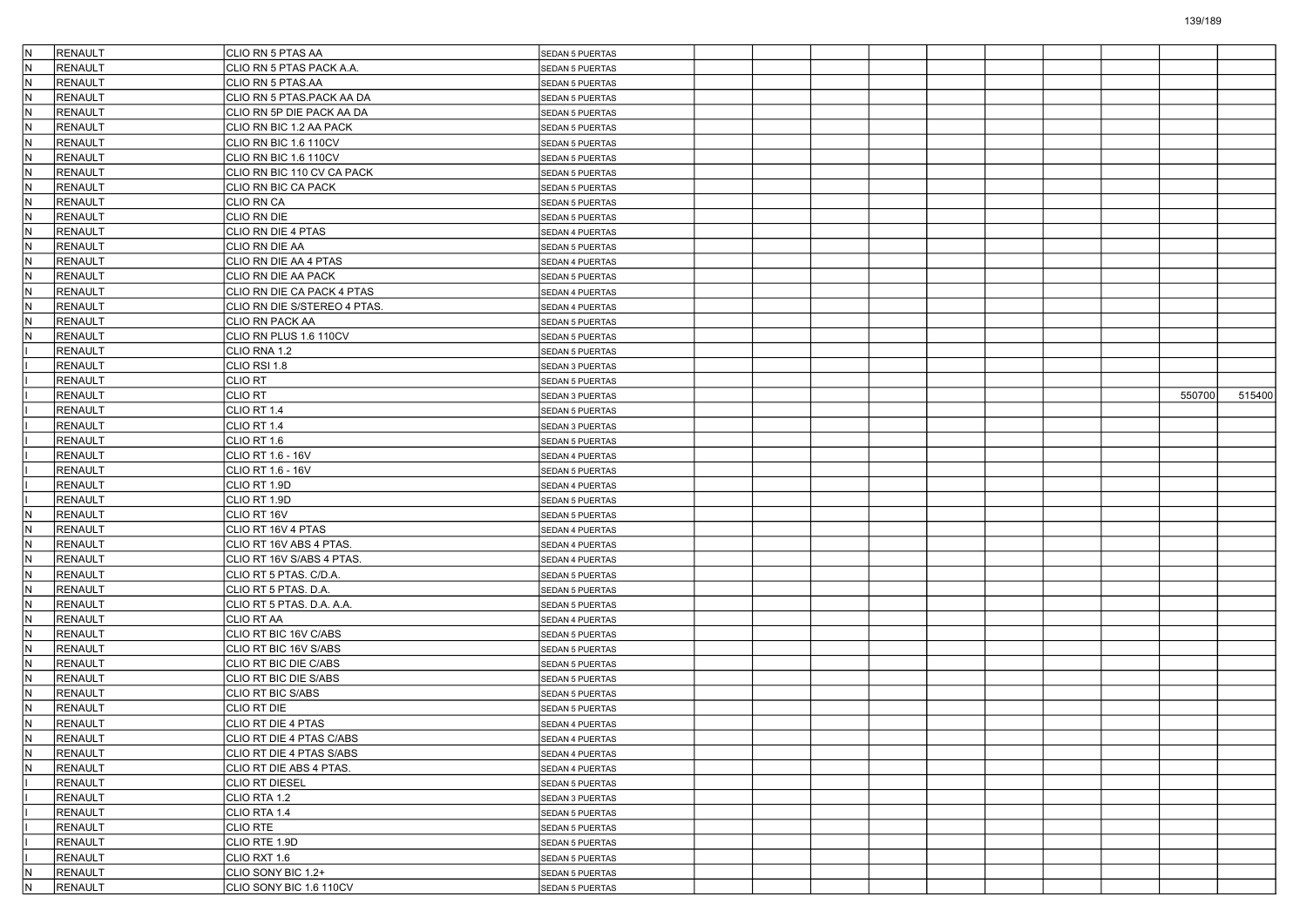| IN.       | RENAULT                   | CLIO RN 5 PTAS AA                                   | <b>SEDAN 5 PUERTAS</b> |  |  |  |  |        |        |
|-----------|---------------------------|-----------------------------------------------------|------------------------|--|--|--|--|--------|--------|
| IN.       | RENAULT                   | CLIO RN 5 PTAS PACK A.A.                            | <b>SEDAN 5 PUERTAS</b> |  |  |  |  |        |        |
| İN.       | <b>RENAULT</b>            | CLIO RN 5 PTAS.AA                                   | <b>SEDAN 5 PUERTAS</b> |  |  |  |  |        |        |
| IN.       | <b>RENAULT</b>            | CLIO RN 5 PTAS.PACK AA DA                           | <b>SEDAN 5 PUERTAS</b> |  |  |  |  |        |        |
| İN.       | <b>RENAULT</b>            | CLIO RN 5P DIE PACK AA DA                           | <b>SEDAN 5 PUERTAS</b> |  |  |  |  |        |        |
| IN.       | <b>RENAULT</b>            | CLIO RN BIC 1.2 AA PACK                             | <b>SEDAN 5 PUERTAS</b> |  |  |  |  |        |        |
| IN.       | <b>RENAULT</b>            | CLIO RN BIC 1.6 110CV                               | <b>SEDAN 5 PUERTAS</b> |  |  |  |  |        |        |
| İN.       | <b>RENAULT</b>            | CLIO RN BIC 1.6 110CV                               | SEDAN 5 PUERTAS        |  |  |  |  |        |        |
| IN.       | <b>RENAULT</b>            | CLIO RN BIC 110 CV CA PACK                          | <b>SEDAN 5 PUERTAS</b> |  |  |  |  |        |        |
| İN.       | RENAULT                   | CLIO RN BIC CA PACK                                 | <b>SEDAN 5 PUERTAS</b> |  |  |  |  |        |        |
| IN.       | <b>RENAULT</b>            | CLIO RN CA                                          | <b>SEDAN 5 PUERTAS</b> |  |  |  |  |        |        |
| IN.       | <b>RENAULT</b>            | CLIO RN DIE                                         | SEDAN 5 PUERTAS        |  |  |  |  |        |        |
| IN.       | <b>RENAULT</b>            | CLIO RN DIE 4 PTAS                                  | SEDAN 4 PUERTAS        |  |  |  |  |        |        |
| IN.       | <b>RENAULT</b>            | CLIO RN DIE AA                                      | <b>SEDAN 5 PUERTAS</b> |  |  |  |  |        |        |
| İN.       | RENAULT                   | CLIO RN DIE AA 4 PTAS                               | SEDAN 4 PUERTAS        |  |  |  |  |        |        |
| IN.       | <b>RENAULT</b>            | CLIO RN DIE AA PACK                                 | <b>SEDAN 5 PUERTAS</b> |  |  |  |  |        |        |
| M,        | <b>RENAULT</b>            | CLIO RN DIE CA PACK 4 PTAS                          | SEDAN 4 PUERTAS        |  |  |  |  |        |        |
| IN.       | <b>RENAULT</b>            | CLIO RN DIE S/STEREO 4 PTAS.                        | SEDAN 4 PUERTAS        |  |  |  |  |        |        |
| IN.       | <b>RENAULT</b>            | CLIO RN PACK AA                                     | <b>SEDAN 5 PUERTAS</b> |  |  |  |  |        |        |
| N         | RENAULT                   | CLIO RN PLUS 1.6 110CV                              | <b>SEDAN 5 PUERTAS</b> |  |  |  |  |        |        |
|           | <b>RENAULT</b>            | CLIO RNA 1.2                                        | <b>SEDAN 5 PUERTAS</b> |  |  |  |  |        |        |
|           | <b>RENAULT</b>            | CLIO RSI 1.8                                        | SEDAN 3 PUERTAS        |  |  |  |  |        |        |
|           | <b>RENAULT</b>            | CLIO RT                                             | SEDAN 5 PUERTAS        |  |  |  |  |        |        |
|           | RENAULT                   | <b>CLIO RT</b>                                      | SEDAN 3 PUERTAS        |  |  |  |  | 550700 | 515400 |
|           | <b>RENAULT</b>            | CLIO RT 1.4                                         | <b>SEDAN 5 PUERTAS</b> |  |  |  |  |        |        |
|           | <b>RENAULT</b>            | CLIO RT 1.4                                         | SEDAN 3 PUERTAS        |  |  |  |  |        |        |
|           | RENAULT                   | CLIO RT 1.6                                         | SEDAN 5 PUERTAS        |  |  |  |  |        |        |
|           | <b>RENAULT</b>            | CLIO RT 1.6 - 16V                                   | SEDAN 4 PUERTAS        |  |  |  |  |        |        |
|           | RENAULT                   | CLIO RT 1.6 - 16V                                   | <b>SEDAN 5 PUERTAS</b> |  |  |  |  |        |        |
|           | <b>RENAULT</b>            | CLIO RT 1.9D                                        | SEDAN 4 PUERTAS        |  |  |  |  |        |        |
|           | RENAULT                   | CLIO RT 1.9D                                        | <b>SEDAN 5 PUERTAS</b> |  |  |  |  |        |        |
| M,        | RENAULT                   | CLIO RT 16V                                         | SEDAN 5 PUERTAS        |  |  |  |  |        |        |
| IN.       | <b>RENAULT</b>            | CLIO RT 16V 4 PTAS                                  | SEDAN 4 PUERTAS        |  |  |  |  |        |        |
| IN.       | <b>RENAULT</b>            | CLIO RT 16V ABS 4 PTAS.                             | SEDAN 4 PUERTAS        |  |  |  |  |        |        |
| İN.       | <b>RENAULT</b>            |                                                     |                        |  |  |  |  |        |        |
| IN.       | RENAULT                   | CLIO RT 16V S/ABS 4 PTAS.<br>CLIO RT 5 PTAS. C/D.A. | SEDAN 4 PUERTAS        |  |  |  |  |        |        |
|           | RENAULT                   |                                                     | <b>SEDAN 5 PUERTAS</b> |  |  |  |  |        |        |
| M,<br>IN. | <b>RENAULT</b>            | CLIO RT 5 PTAS. D.A.                                | SEDAN 5 PUERTAS        |  |  |  |  |        |        |
|           |                           | CLIO RT 5 PTAS. D.A. A.A.                           | SEDAN 5 PUERTAS        |  |  |  |  |        |        |
| IN.       | <b>RENAULT</b>            | CLIO RT AA                                          | SEDAN 4 PUERTAS        |  |  |  |  |        |        |
| İN.       | <b>RENAULT</b><br>RENAULT | CLIO RT BIC 16V C/ABS<br>CLIO RT BIC 16V S/ABS      | <b>SEDAN 5 PUERTAS</b> |  |  |  |  |        |        |
| IN.       |                           |                                                     | <b>SEDAN 5 PUERTAS</b> |  |  |  |  |        |        |
| M,        | <b>RENAULT</b>            | CLIO RT BIC DIE C/ABS                               | <b>SEDAN 5 PUERTAS</b> |  |  |  |  |        |        |
| IN.       | <b>RENAULT</b>            | CLIO RT BIC DIE S/ABS                               | SEDAN 5 PUERTAS        |  |  |  |  |        |        |
| M,        | <b>RENAULT</b>            | CLIO RT BIC S/ABS                                   | <b>SEDAN 5 PUERTAS</b> |  |  |  |  |        |        |
| N         | <b>RENAULT</b>            | CLIO RT DIE                                         | <b>SEDAN 5 PUERTAS</b> |  |  |  |  |        |        |
| IN.       | RENAULT                   | CLIO RT DIE 4 PTAS                                  | SEDAN 4 PUERTAS        |  |  |  |  |        |        |
| IN.       | RENAULT                   | CLIO RT DIE 4 PTAS C/ABS                            | SEDAN 4 PUERTAS        |  |  |  |  |        |        |
| IN.       | RENAULT                   | CLIO RT DIE 4 PTAS S/ABS                            | SEDAN 4 PUERTAS        |  |  |  |  |        |        |
| IN.       | RENAULT                   | CLIO RT DIE ABS 4 PTAS.                             | SEDAN 4 PUERTAS        |  |  |  |  |        |        |
|           | RENAULT                   | <b>CLIO RT DIESEL</b>                               | <b>SEDAN 5 PUERTAS</b> |  |  |  |  |        |        |
|           | RENAULT                   | CLIO RTA 1.2                                        | SEDAN 3 PUERTAS        |  |  |  |  |        |        |
|           | RENAULT                   | CLIO RTA 1.4                                        | <b>SEDAN 5 PUERTAS</b> |  |  |  |  |        |        |
|           | RENAULT                   | <b>CLIO RTE</b>                                     | SEDAN 5 PUERTAS        |  |  |  |  |        |        |
|           | RENAULT                   | CLIO RTE 1.9D                                       | SEDAN 5 PUERTAS        |  |  |  |  |        |        |
|           | RENAULT                   | CLIO RXT 1.6                                        | <b>SEDAN 5 PUERTAS</b> |  |  |  |  |        |        |
| IN.       | RENAULT                   | CLIO SONY BIC 1.2+                                  | <b>SEDAN 5 PUERTAS</b> |  |  |  |  |        |        |
| IN.       | RENAULT                   | CLIO SONY BIC 1.6 110CV                             | SEDAN 5 PUERTAS        |  |  |  |  |        |        |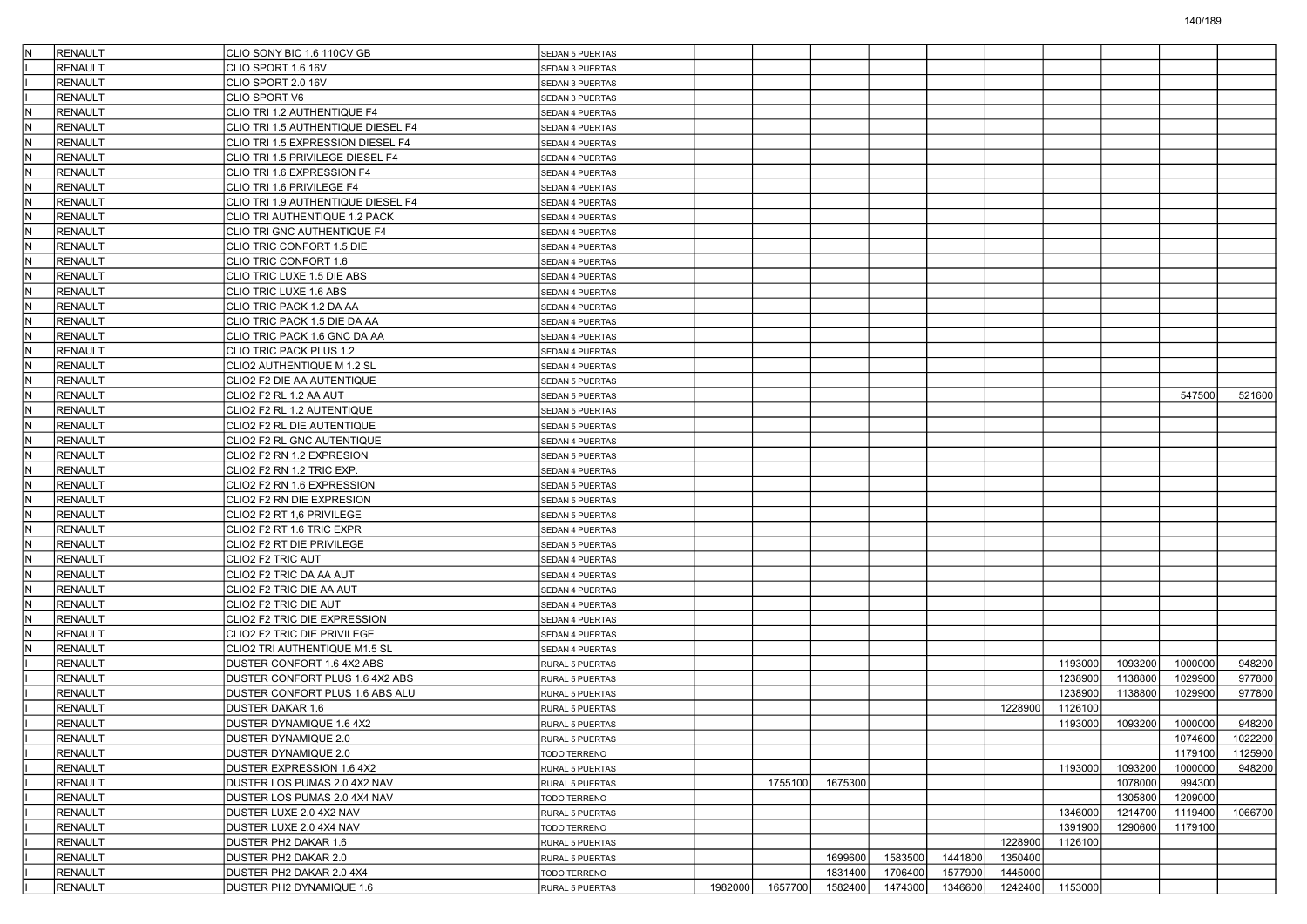| IN. | RENAULT        | CLIO SONY BIC 1.6 110CV GB         | <b>SEDAN 5 PUERTAS</b> |         |         |         |         |         |         |         |         |         |         |
|-----|----------------|------------------------------------|------------------------|---------|---------|---------|---------|---------|---------|---------|---------|---------|---------|
|     | <b>RENAULT</b> | CLIO SPORT 1.6 16V                 | <b>SEDAN 3 PUERTAS</b> |         |         |         |         |         |         |         |         |         |         |
|     | <b>RENAULT</b> | CLIO SPORT 2.0 16V                 | <b>SEDAN 3 PUERTAS</b> |         |         |         |         |         |         |         |         |         |         |
|     | <b>RENAULT</b> | CLIO SPORT V6                      | SEDAN 3 PUERTAS        |         |         |         |         |         |         |         |         |         |         |
| lN. | RENAULT        | CLIO TRI 1.2 AUTHENTIQUE F4        | SEDAN 4 PUERTAS        |         |         |         |         |         |         |         |         |         |         |
| IN. | RENAULT        | CLIO TRI 1.5 AUTHENTIQUE DIESEL F4 | SEDAN 4 PUERTAS        |         |         |         |         |         |         |         |         |         |         |
| lN  | <b>RENAULT</b> | CLIO TRI 1.5 EXPRESSION DIESEL F4  | SEDAN 4 PUERTAS        |         |         |         |         |         |         |         |         |         |         |
| IN. | <b>RENAULT</b> | CLIO TRI 1.5 PRIVILEGE DIESEL F4   | SEDAN 4 PUERTAS        |         |         |         |         |         |         |         |         |         |         |
| IN. | <b>RENAULT</b> | CLIO TRI 1.6 EXPRESSION F4         | SEDAN 4 PUERTAS        |         |         |         |         |         |         |         |         |         |         |
| lN. | <b>RENAULT</b> | CLIO TRI 1.6 PRIVILEGE F4          | SEDAN 4 PUERTAS        |         |         |         |         |         |         |         |         |         |         |
| IN. | RENAULT        | CLIO TRI 1.9 AUTHENTIQUE DIESEL F4 | SEDAN 4 PUERTAS        |         |         |         |         |         |         |         |         |         |         |
| lN  | <b>RENAULT</b> | CLIO TRI AUTHENTIQUE 1.2 PACK      | SEDAN 4 PUERTAS        |         |         |         |         |         |         |         |         |         |         |
| IN. | <b>RENAULT</b> | CLIO TRI GNC AUTHENTIQUE F4        | SEDAN 4 PUERTAS        |         |         |         |         |         |         |         |         |         |         |
| IN. | <b>RENAULT</b> | CLIO TRIC CONFORT 1.5 DIE          | SEDAN 4 PUERTAS        |         |         |         |         |         |         |         |         |         |         |
| lN. | <b>RENAULT</b> | CLIO TRIC CONFORT 1.6              | SEDAN 4 PUERTAS        |         |         |         |         |         |         |         |         |         |         |
| IN. | RENAULT        | CLIO TRIC LUXE 1.5 DIE ABS         | SEDAN 4 PUERTAS        |         |         |         |         |         |         |         |         |         |         |
| lN  | <b>RENAULT</b> | CLIO TRIC LUXE 1.6 ABS             | SEDAN 4 PUERTAS        |         |         |         |         |         |         |         |         |         |         |
| IN. | <b>RENAULT</b> | CLIO TRIC PACK 1.2 DA AA           | SEDAN 4 PUERTAS        |         |         |         |         |         |         |         |         |         |         |
| IN. | <b>RENAULT</b> | CLIO TRIC PACK 1.5 DIE DA AA       | SEDAN 4 PUERTAS        |         |         |         |         |         |         |         |         |         |         |
| lN. | <b>RENAULT</b> | CLIO TRIC PACK 1.6 GNC DA AA       | SEDAN 4 PUERTAS        |         |         |         |         |         |         |         |         |         |         |
| IN. | RENAULT        | CLIO TRIC PACK PLUS 1.2            | SEDAN 4 PUERTAS        |         |         |         |         |         |         |         |         |         |         |
| lN  | <b>RENAULT</b> | CLIO2 AUTHENTIQUE M 1.2 SL         | SEDAN 4 PUERTAS        |         |         |         |         |         |         |         |         |         |         |
| IN. | <b>RENAULT</b> | CLIO2 F2 DIE AA AUTENTIQUE         | SEDAN 5 PUERTAS        |         |         |         |         |         |         |         |         |         |         |
| IN. | <b>RENAULT</b> | CLIO2 F2 RL 1.2 AA AUT             | SEDAN 5 PUERTAS        |         |         |         |         |         |         |         |         | 547500  | 521600  |
| lΝ  | <b>RENAULT</b> | CLIO2 F2 RL 1.2 AUTENTIQUE         | <b>SEDAN 5 PUERTAS</b> |         |         |         |         |         |         |         |         |         |         |
| IN. | RENAULT        | CLIO2 F2 RL DIE AUTENTIQUE         | SEDAN 5 PUERTAS        |         |         |         |         |         |         |         |         |         |         |
| lN  | <b>RENAULT</b> | CLIO2 F2 RL GNC AUTENTIQUE         | SEDAN 4 PUERTAS        |         |         |         |         |         |         |         |         |         |         |
| IN. | <b>RENAULT</b> | CLIO2 F2 RN 1.2 EXPRESION          | SEDAN 5 PUERTAS        |         |         |         |         |         |         |         |         |         |         |
| IN. | <b>RENAULT</b> | CLIO2 F2 RN 1.2 TRIC EXP.          | SEDAN 4 PUERTAS        |         |         |         |         |         |         |         |         |         |         |
| lΝ  | <b>RENAULT</b> | CLIO2 F2 RN 1.6 EXPRESSION         | <b>SEDAN 5 PUERTAS</b> |         |         |         |         |         |         |         |         |         |         |
| IN. | RENAULT        | CLIO2 F2 RN DIE EXPRESION          | SEDAN 5 PUERTAS        |         |         |         |         |         |         |         |         |         |         |
| lN  | <b>RENAULT</b> | CLIO2 F2 RT 1,6 PRIVILEGE          | SEDAN 5 PUERTAS        |         |         |         |         |         |         |         |         |         |         |
| IN. | <b>RENAULT</b> | CLIO2 F2 RT 1.6 TRIC EXPR          | SEDAN 4 PUERTAS        |         |         |         |         |         |         |         |         |         |         |
| IN. | <b>RENAULT</b> | CLIO2 F2 RT DIE PRIVILEGE          | SEDAN 5 PUERTAS        |         |         |         |         |         |         |         |         |         |         |
| lΝ  | <b>RENAULT</b> | CLIO2 F2 TRIC AUT                  | SEDAN 4 PUERTAS        |         |         |         |         |         |         |         |         |         |         |
| lN. | <b>RENAULT</b> | CLIO2 F2 TRIC DA AA AUT            | SEDAN 4 PUERTAS        |         |         |         |         |         |         |         |         |         |         |
| lN  | <b>RENAULT</b> | CLIO2 F2 TRIC DIE AA AUT           | SEDAN 4 PUERTAS        |         |         |         |         |         |         |         |         |         |         |
| IN. | <b>RENAULT</b> | CLIO2 F2 TRIC DIE AUT              | SEDAN 4 PUERTAS        |         |         |         |         |         |         |         |         |         |         |
| IN. | <b>RENAULT</b> | CLIO2 F2 TRIC DIE EXPRESSION       | SEDAN 4 PUERTAS        |         |         |         |         |         |         |         |         |         |         |
| N   | <b>RENAULT</b> | CLIO2 F2 TRIC DIE PRIVILEGE        | SEDAN 4 PUERTAS        |         |         |         |         |         |         |         |         |         |         |
| lN. | <b>RENAULT</b> | CLIO2 TRI AUTHENTIQUE M1.5 SL      | SEDAN 4 PUERTAS        |         |         |         |         |         |         |         |         |         |         |
|     | <b>RENAULT</b> | DUSTER CONFORT 1.6 4X2 ABS         | RURAL 5 PUERTAS        |         |         |         |         |         |         | 1193000 | 1093200 | 1000000 | 948200  |
|     | <b>RENAULT</b> | DUSTER CONFORT PLUS 1.6 4X2 ABS    | RURAL 5 PUERTAS        |         |         |         |         |         |         | 1238900 | 1138800 | 1029900 | 977800  |
|     | <b>RENAULT</b> | DUSTER CONFORT PLUS 1.6 ABS ALU    | RURAL 5 PUERTAS        |         |         |         |         |         |         | 1238900 | 1138800 | 1029900 | 977800  |
|     | <b>RENAULT</b> | <b>DUSTER DAKAR 1.6</b>            | RURAL 5 PUERTAS        |         |         |         |         |         | 1228900 | 1126100 |         |         |         |
|     | RENAULT        | DUSTER DYNAMIQUE 1.6 4X2           | RURAL 5 PUERTAS        |         |         |         |         |         |         | 1193000 | 1093200 | 1000000 | 948200  |
|     | RENAULT        | DUSTER DYNAMIQUE 2.0               | RURAL 5 PUERTAS        |         |         |         |         |         |         |         |         | 1074600 | 1022200 |
|     | <b>RENAULT</b> | DUSTER DYNAMIQUE 2.0               | TODO TERRENO           |         |         |         |         |         |         |         |         | 1179100 | 1125900 |
|     | RENAULT        | DUSTER EXPRESSION 1.6 4X2          | RURAL 5 PUERTAS        |         |         |         |         |         |         | 1193000 | 1093200 | 1000000 | 948200  |
|     | RENAULT        | DUSTER LOS PUMAS 2.0 4X2 NAV       | RURAL 5 PUERTAS        |         | 1755100 | 1675300 |         |         |         |         | 1078000 | 994300  |         |
|     | RENAULT        | DUSTER LOS PUMAS 2.0 4X4 NAV       | TODO TERRENO           |         |         |         |         |         |         |         | 1305800 | 1209000 |         |
|     | RENAULT        | DUSTER LUXE 2.0 4X2 NAV            | RURAL 5 PUERTAS        |         |         |         |         |         |         | 1346000 | 1214700 | 1119400 | 1066700 |
|     | RENAULT        | DUSTER LUXE 2.0 4X4 NAV            | TODO TERRENO           |         |         |         |         |         |         | 1391900 | 1290600 | 1179100 |         |
|     | RENAULT        | DUSTER PH2 DAKAR 1.6               | RURAL 5 PUERTAS        |         |         |         |         |         | 1228900 | 1126100 |         |         |         |
|     | RENAULT        | DUSTER PH2 DAKAR 2.0               | RURAL 5 PUERTAS        |         |         | 1699600 | 1583500 | 1441800 | 1350400 |         |         |         |         |
|     | RENAULT        | DUSTER PH2 DAKAR 2.0 4X4           | TODO TERRENO           |         |         | 1831400 | 1706400 | 1577900 | 1445000 |         |         |         |         |
|     | RENAULT        | DUSTER PH2 DYNAMIQUE 1.6           | RURAL 5 PUERTAS        | 1982000 | 1657700 | 1582400 | 1474300 | 1346600 | 1242400 | 1153000 |         |         |         |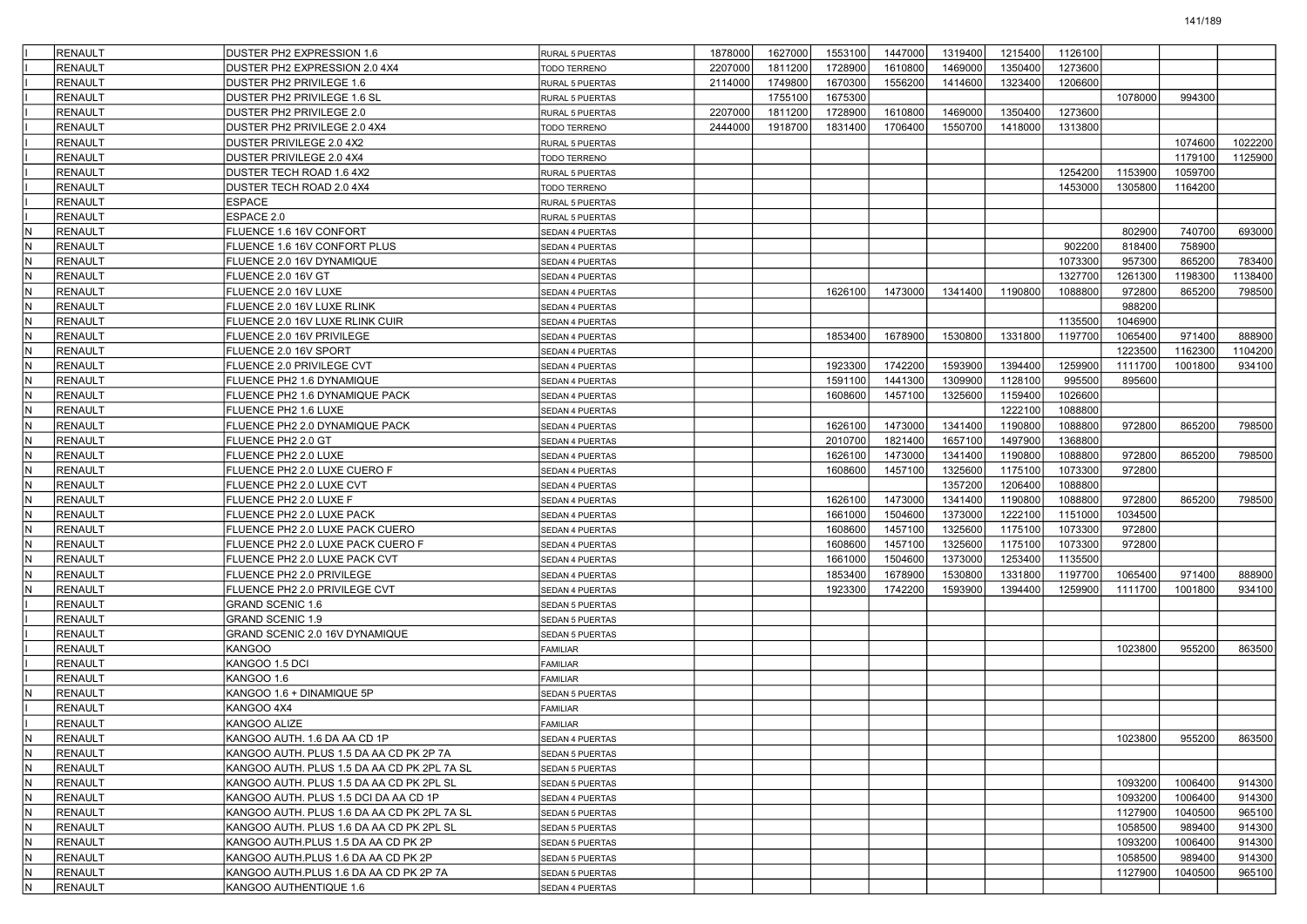|            | <b>RENAULT</b> | DUSTER PH2 EXPRESSION 1.6                                                              | <b>RURAL 5 PUERTAS</b> | 1878000 | 1627000 | 1553100 | 1447000 | 1319400 | 1215400 | 1126100 |         |                    |         |
|------------|----------------|----------------------------------------------------------------------------------------|------------------------|---------|---------|---------|---------|---------|---------|---------|---------|--------------------|---------|
|            | <b>RENAULT</b> | DUSTER PH2 EXPRESSION 2.0 4X4                                                          | <b>TODO TERRENO</b>    | 2207000 | 1811200 | 1728900 | 1610800 | 1469000 | 1350400 | 1273600 |         |                    |         |
|            | <b>RENAULT</b> | DUSTER PH2 PRIVILEGE 1.6                                                               | RURAL 5 PUERTAS        | 2114000 | 1749800 | 1670300 | 1556200 | 1414600 | 1323400 | 1206600 |         |                    |         |
|            | <b>RENAULT</b> | DUSTER PH2 PRIVILEGE 1.6 SL                                                            | RURAL 5 PUERTAS        |         | 1755100 | 1675300 |         |         |         |         | 1078000 | 994300             |         |
|            | <b>RENAULT</b> | DUSTER PH2 PRIVILEGE 2.0                                                               | <b>RURAL 5 PUERTAS</b> | 2207000 | 1811200 | 1728900 | 1610800 | 1469000 | 1350400 | 1273600 |         |                    |         |
|            | <b>RENAULT</b> | DUSTER PH2 PRIVILEGE 2.0 4X4                                                           | <b>TODO TERRENO</b>    | 2444000 | 1918700 | 1831400 | 1706400 | 1550700 | 1418000 | 1313800 |         |                    |         |
|            | <b>RENAULT</b> | DUSTER PRIVILEGE 2.0 4X2                                                               | RURAL 5 PUERTAS        |         |         |         |         |         |         |         |         | 1074600            | 1022200 |
|            | <b>RENAULT</b> | DUSTER PRIVILEGE 2.0 4X4                                                               | TODO TERRENO           |         |         |         |         |         |         |         |         | 1179100            | 1125900 |
|            | <b>RENAULT</b> | DUSTER TECH ROAD 1.6 4X2                                                               | RURAL 5 PUERTAS        |         |         |         |         |         |         | 1254200 | 1153900 | 1059700            |         |
|            | <b>RENAULT</b> | DUSTER TECH ROAD 2.0 4X4                                                               | TODO TERRENO           |         |         |         |         |         |         | 1453000 | 1305800 | 1164200            |         |
|            | <b>RENAULT</b> | <b>ESPACE</b>                                                                          | RURAL 5 PUERTAS        |         |         |         |         |         |         |         |         |                    |         |
|            | <b>RENAULT</b> | ESPACE 2.0                                                                             | RURAL 5 PUERTAS        |         |         |         |         |         |         |         |         |                    |         |
| N          | <b>RENAULT</b> | FLUENCE 1.6 16V CONFORT                                                                | <b>SEDAN 4 PUERTAS</b> |         |         |         |         |         |         |         | 802900  | 740700             | 693000  |
| IN.        | <b>RENAULT</b> | FLUENCE 1.6 16V CONFORT PLUS                                                           | <b>SEDAN 4 PUERTAS</b> |         |         |         |         |         |         | 902200  | 818400  | 758900             |         |
| N          | <b>RENAULT</b> | FLUENCE 2.0 16V DYNAMIQUE                                                              | <b>SEDAN 4 PUERTAS</b> |         |         |         |         |         |         | 1073300 | 957300  | 865200             | 783400  |
| N          | <b>RENAULT</b> | FLUENCE 2.0 16V GT                                                                     | <b>SEDAN 4 PUERTAS</b> |         |         |         |         |         |         | 1327700 | 1261300 | 1198300            | 1138400 |
| IN.        | <b>RENAULT</b> | FLUENCE 2.0 16V LUXE                                                                   | <b>SEDAN 4 PUERTAS</b> |         |         | 1626100 | 1473000 | 1341400 | 1190800 | 1088800 | 972800  | 865200             | 798500  |
| N          | <b>RENAULT</b> | FLUENCE 2.0 16V LUXE RLINK                                                             | <b>SEDAN 4 PUERTAS</b> |         |         |         |         |         |         |         | 988200  |                    |         |
| IN.        | <b>RENAULT</b> | FLUENCE 2.0 16V LUXE RLINK CUIR                                                        | <b>SEDAN 4 PUERTAS</b> |         |         |         |         |         |         | 1135500 | 1046900 |                    |         |
| N          | <b>RENAULT</b> | FLUENCE 2.0 16V PRIVILEGE                                                              | <b>SEDAN 4 PUERTAS</b> |         |         | 1853400 | 1678900 | 1530800 | 1331800 | 1197700 | 1065400 | 971400             | 888900  |
| N          | <b>RENAULT</b> | FLUENCE 2.0 16V SPORT                                                                  | SEDAN 4 PUERTAS        |         |         |         |         |         |         |         | 1223500 | 1162300            | 1104200 |
| IN.        | <b>RENAULT</b> | FLUENCE 2.0 PRIVILEGE CVT                                                              | <b>SEDAN 4 PUERTAS</b> |         |         | 1923300 | 1742200 | 1593900 | 1394400 | 1259900 | 1111700 | 1001800            | 934100  |
| N          | <b>RENAULT</b> | FLUENCE PH2 1.6 DYNAMIQUE                                                              | <b>SEDAN 4 PUERTAS</b> |         |         | 1591100 | 1441300 | 1309900 | 1128100 | 995500  | 895600  |                    |         |
| IN.        | <b>RENAULT</b> | FLUENCE PH2 1.6 DYNAMIQUE PACK                                                         | <b>SEDAN 4 PUERTAS</b> |         |         | 1608600 | 1457100 | 1325600 | 1159400 | 1026600 |         |                    |         |
| N          | <b>RENAULT</b> | FLUENCE PH2 1.6 LUXE                                                                   | <b>SEDAN 4 PUERTAS</b> |         |         |         |         |         | 1222100 | 1088800 |         |                    |         |
| N          | <b>RENAULT</b> | FLUENCE PH2 2.0 DYNAMIQUE PACK                                                         | SEDAN 4 PUERTAS        |         |         | 1626100 | 1473000 | 1341400 | 1190800 | 1088800 | 972800  | 865200             | 798500  |
| IN.        | <b>RENAULT</b> | FLUENCE PH2 2.0 GT                                                                     | <b>SEDAN 4 PUERTAS</b> |         |         | 2010700 | 1821400 | 1657100 | 1497900 | 1368800 |         |                    |         |
| N          | <b>RENAULT</b> | FLUENCE PH2 2.0 LUXE                                                                   | <b>SEDAN 4 PUERTAS</b> |         |         | 1626100 | 1473000 | 1341400 | 1190800 | 1088800 | 972800  | 865200             | 798500  |
| IN.        | <b>RENAULT</b> | FLUENCE PH2 2.0 LUXE CUERO F                                                           | SEDAN 4 PUERTAS        |         |         | 1608600 | 1457100 | 1325600 | 1175100 | 1073300 | 972800  |                    |         |
| N          | <b>RENAULT</b> | FLUENCE PH2 2.0 LUXE CVT                                                               | <b>SEDAN 4 PUERTAS</b> |         |         |         |         | 1357200 | 1206400 | 1088800 |         |                    |         |
| N          | <b>RENAULT</b> | FLUENCE PH2 2.0 LUXE F                                                                 | SEDAN 4 PUERTAS        |         |         | 1626100 | 1473000 | 1341400 | 1190800 | 1088800 | 972800  | 865200             | 798500  |
| IN.        | <b>RENAULT</b> | FLUENCE PH2 2.0 LUXE PACK                                                              | <b>SEDAN 4 PUERTAS</b> |         |         | 1661000 | 1504600 | 1373000 | 1222100 | 1151000 | 1034500 |                    |         |
| N          | <b>RENAULT</b> | FLUENCE PH2 2.0 LUXE PACK CUERO                                                        | <b>SEDAN 4 PUERTAS</b> |         |         | 1608600 | 1457100 | 1325600 | 1175100 | 1073300 | 972800  |                    |         |
| IN.        | <b>RENAULT</b> | FLUENCE PH2 2.0 LUXE PACK CUERO F                                                      | SEDAN 4 PUERTAS        |         |         | 1608600 | 1457100 | 1325600 | 1175100 | 1073300 | 972800  |                    |         |
| N          | <b>RENAULT</b> | FLUENCE PH2 2.0 LUXE PACK CVT                                                          | <b>SEDAN 4 PUERTAS</b> |         |         | 1661000 | 1504600 | 1373000 | 1253400 | 1135500 |         |                    |         |
| N          | <b>RENAULT</b> | FLUENCE PH2 2.0 PRIVILEGE                                                              | <b>SEDAN 4 PUERTAS</b> |         |         | 1853400 | 1678900 | 1530800 | 1331800 | 1197700 | 1065400 | 971400             | 888900  |
| N          | <b>RENAULT</b> | FLUENCE PH2 2.0 PRIVILEGE CVT                                                          | <b>SEDAN 4 PUERTAS</b> |         |         | 1923300 | 1742200 | 1593900 | 1394400 | 1259900 | 1111700 | 1001800            | 934100  |
|            | <b>RENAULT</b> | <b>GRAND SCENIC 1.6</b>                                                                | <b>SEDAN 5 PUERTAS</b> |         |         |         |         |         |         |         |         |                    |         |
|            | <b>RENAULT</b> | <b>GRAND SCENIC 1.9</b>                                                                | SEDAN 5 PUERTAS        |         |         |         |         |         |         |         |         |                    |         |
|            | <b>RENAULT</b> | GRAND SCENIC 2.0 16V DYNAMIQUE                                                         | <b>SEDAN 5 PUERTAS</b> |         |         |         |         |         |         |         |         |                    |         |
|            | <b>RENAULT</b> | <b>KANGOO</b>                                                                          | FAMILIAR               |         |         |         |         |         |         |         | 1023800 | 955200             | 863500  |
|            | <b>RENAULT</b> | KANGOO 1.5 DCI                                                                         | FAMILIAR               |         |         |         |         |         |         |         |         |                    |         |
|            | <b>RENAULT</b> | KANGOO 1.6                                                                             | FAMILIAR               |         |         |         |         |         |         |         |         |                    |         |
| N          | <b>RENAULT</b> | KANGOO 1.6 + DINAMIQUE 5P                                                              | SEDAN 5 PUERTAS        |         |         |         |         |         |         |         |         |                    |         |
|            | <b>RENAULT</b> | KANGOO 4X4                                                                             | FAMILIAR               |         |         |         |         |         |         |         |         |                    |         |
|            | <b>RENAULT</b> | KANGOO ALIZE                                                                           | <b>FAMILIAR</b>        |         |         |         |         |         |         |         |         |                    |         |
|            | RENAULT        | KANGOO AUTH. 1.6 DA AA CD 1P                                                           |                        |         |         |         |         |         |         |         |         |                    |         |
| IN         |                |                                                                                        | <b>SEDAN 4 PUERTAS</b> |         |         |         |         |         |         |         | 1023800 | 955200             | 863500  |
| lN.<br>IN. | RENAULT        | KANGOO AUTH. PLUS 1.5 DA AA CD PK 2P 7A<br>KANGOO AUTH. PLUS 1.5 DA AA CD PK 2PL 7A SL | SEDAN 5 PUERTAS        |         |         |         |         |         |         |         |         |                    |         |
| IN.        | <b>RENAULT</b> |                                                                                        | SEDAN 5 PUERTAS        |         |         |         |         |         |         |         |         |                    |         |
| N          | RENAULT        | KANGOO AUTH. PLUS 1.5 DA AA CD PK 2PL SL                                               | SEDAN 5 PUERTAS        |         |         |         |         |         |         |         | 1093200 | 1006400<br>1006400 | 914300  |
|            | RENAULT        | KANGOO AUTH. PLUS 1.5 DCI DA AA CD 1P                                                  | SEDAN 4 PUERTAS        |         |         |         |         |         |         |         | 1093200 |                    | 914300  |
| IN.        | RENAULT        | KANGOO AUTH. PLUS 1.6 DA AA CD PK 2PL 7A SL                                            | SEDAN 5 PUERTAS        |         |         |         |         |         |         |         | 1127900 | 1040500            | 965100  |
| IN.<br>IN. | RENAULT        | KANGOO AUTH. PLUS 1.6 DA AA CD PK 2PL SL                                               | SEDAN 5 PUERTAS        |         |         |         |         |         |         |         | 1058500 | 989400             | 914300  |
|            | RENAULT        | KANGOO AUTH.PLUS 1.5 DA AA CD PK 2P                                                    | SEDAN 5 PUERTAS        |         |         |         |         |         |         |         | 1093200 | 1006400            | 914300  |
| IN.        | RENAULT        | KANGOO AUTH.PLUS 1.6 DA AA CD PK 2P                                                    | SEDAN 5 PUERTAS        |         |         |         |         |         |         |         | 1058500 | 989400             | 914300  |
| IN.        | RENAULT        | KANGOO AUTH.PLUS 1.6 DA AA CD PK 2P 7A                                                 | SEDAN 5 PUERTAS        |         |         |         |         |         |         |         | 1127900 | 1040500            | 965100  |
| IN.        | RENAULT        | KANGOO AUTHENTIQUE 1.6                                                                 | SEDAN 4 PUERTAS        |         |         |         |         |         |         |         |         |                    |         |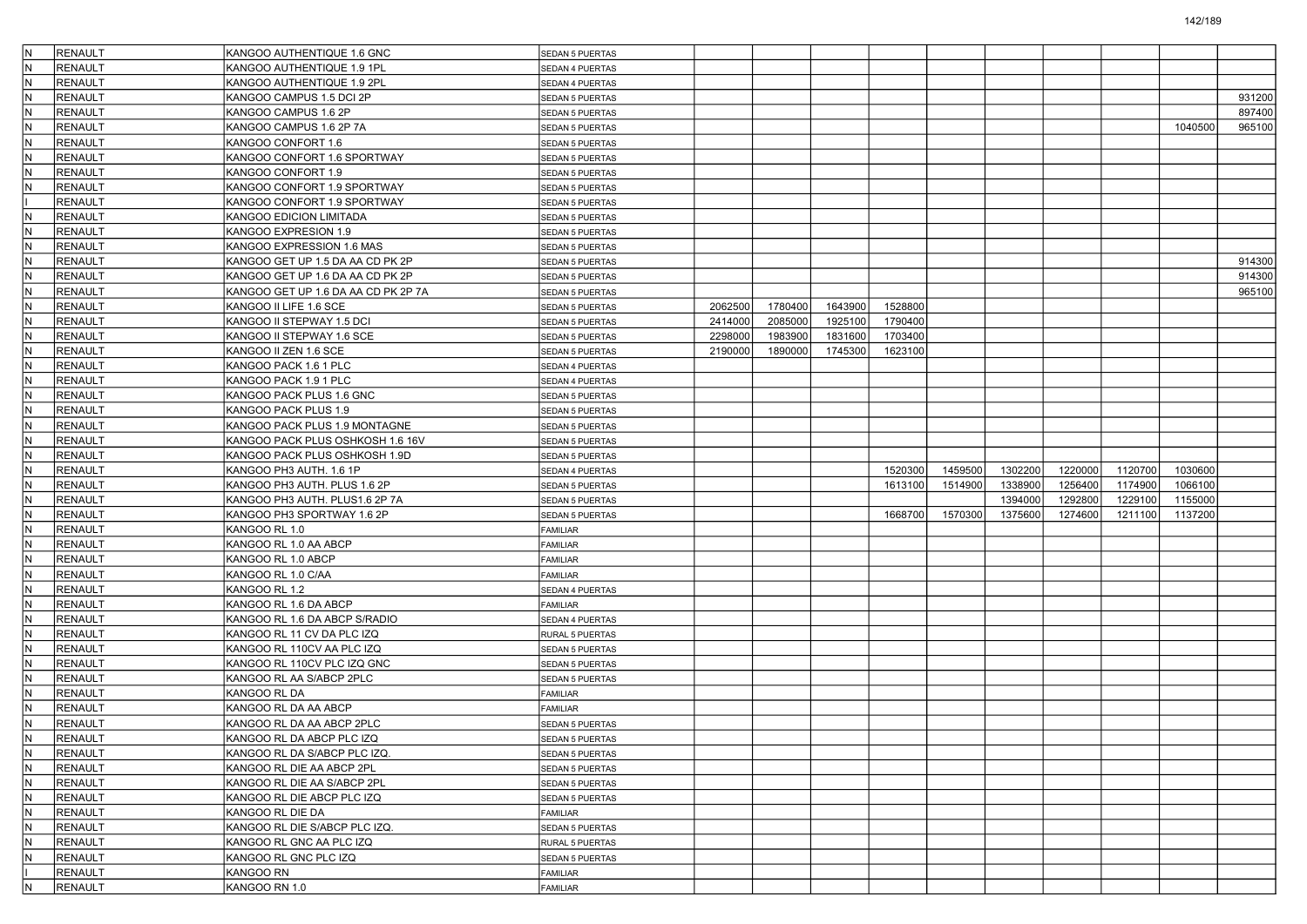| IN. | RENAULT        | KANGOO AUTHENTIQUE 1.6 GNC          | <b>SEDAN 5 PUERTAS</b> |         |         |         |         |         |         |         |         |         |        |
|-----|----------------|-------------------------------------|------------------------|---------|---------|---------|---------|---------|---------|---------|---------|---------|--------|
| lΝ  | <b>RENAULT</b> | KANGOO AUTHENTIQUE 1.9 1PL          | <b>SEDAN 4 PUERTAS</b> |         |         |         |         |         |         |         |         |         |        |
| IN. | <b>RENAULT</b> | KANGOO AUTHENTIQUE 1.9 2PL          | SEDAN 4 PUERTAS        |         |         |         |         |         |         |         |         |         |        |
| IN. | <b>RENAULT</b> | KANGOO CAMPUS 1.5 DCI 2P            | SEDAN 5 PUERTAS        |         |         |         |         |         |         |         |         |         | 931200 |
| IN. | <b>RENAULT</b> | KANGOO CAMPUS 1.6 2P                | <b>SEDAN 5 PUERTAS</b> |         |         |         |         |         |         |         |         |         | 897400 |
| IN. | RENAULT        | KANGOO CAMPUS 1.6 2P 7A             | SEDAN 5 PUERTAS        |         |         |         |         |         |         |         |         | 1040500 | 965100 |
| lN  | <b>RENAULT</b> | KANGOO CONFORT 1.6                  | <b>SEDAN 5 PUERTAS</b> |         |         |         |         |         |         |         |         |         |        |
| IN. | <b>RENAULT</b> | KANGOO CONFORT 1.6 SPORTWAY         | <b>SEDAN 5 PUERTAS</b> |         |         |         |         |         |         |         |         |         |        |
| IN. | <b>RENAULT</b> | KANGOO CONFORT 1.9                  | SEDAN 5 PUERTAS        |         |         |         |         |         |         |         |         |         |        |
| lN. | <b>RENAULT</b> | KANGOO CONFORT 1.9 SPORTWAY         | <b>SEDAN 5 PUERTAS</b> |         |         |         |         |         |         |         |         |         |        |
|     | <b>RENAULT</b> | KANGOO CONFORT 1.9 SPORTWAY         | SEDAN 5 PUERTAS        |         |         |         |         |         |         |         |         |         |        |
| lN  | <b>RENAULT</b> | KANGOO EDICION LIMITADA             | <b>SEDAN 5 PUERTAS</b> |         |         |         |         |         |         |         |         |         |        |
| IN. | <b>RENAULT</b> | KANGOO EXPRESION 1.9                | <b>SEDAN 5 PUERTAS</b> |         |         |         |         |         |         |         |         |         |        |
| IN. | <b>RENAULT</b> | KANGOO EXPRESSION 1.6 MAS           | SEDAN 5 PUERTAS        |         |         |         |         |         |         |         |         |         |        |
| lN. | <b>RENAULT</b> | KANGOO GET UP 1.5 DA AA CD PK 2P    | <b>SEDAN 5 PUERTAS</b> |         |         |         |         |         |         |         |         |         | 914300 |
| IN. | <b>RENAULT</b> | KANGOO GET UP 1.6 DA AA CD PK 2P    | SEDAN 5 PUERTAS        |         |         |         |         |         |         |         |         |         | 914300 |
| lN  | <b>RENAULT</b> | KANGOO GET UP 1.6 DA AA CD PK 2P 7A | SEDAN 5 PUERTAS        |         |         |         |         |         |         |         |         |         | 965100 |
| IN. | <b>RENAULT</b> | KANGOO II LIFE 1.6 SCE              | SEDAN 5 PUERTAS        | 2062500 | 1780400 | 1643900 | 1528800 |         |         |         |         |         |        |
| IN. | <b>RENAULT</b> | KANGOO II STEPWAY 1.5 DCI           | SEDAN 5 PUERTAS        | 2414000 | 2085000 | 1925100 | 1790400 |         |         |         |         |         |        |
| lN. | <b>RENAULT</b> | KANGOO II STEPWAY 1.6 SCE           | SEDAN 5 PUERTAS        | 2298000 | 1983900 | 1831600 | 1703400 |         |         |         |         |         |        |
| IN. | <b>RENAULT</b> | KANGOO II ZEN 1.6 SCE               | SEDAN 5 PUERTAS        | 2190000 | 1890000 | 1745300 | 1623100 |         |         |         |         |         |        |
| lN  | <b>RENAULT</b> | KANGOO PACK 1.6 1 PLC               | SEDAN 4 PUERTAS        |         |         |         |         |         |         |         |         |         |        |
| IN. | <b>RENAULT</b> | KANGOO PACK 1.9 1 PLC               | SEDAN 4 PUERTAS        |         |         |         |         |         |         |         |         |         |        |
| IN. | <b>RENAULT</b> | KANGOO PACK PLUS 1.6 GNC            | SEDAN 5 PUERTAS        |         |         |         |         |         |         |         |         |         |        |
| N   | <b>RENAULT</b> | KANGOO PACK PLUS 1.9                | <b>SEDAN 5 PUERTAS</b> |         |         |         |         |         |         |         |         |         |        |
| IN. | RENAULT        | KANGOO PACK PLUS 1.9 MONTAGNE       | <b>SEDAN 5 PUERTAS</b> |         |         |         |         |         |         |         |         |         |        |
| lN  | <b>RENAULT</b> | KANGOO PACK PLUS OSHKOSH 1.6 16V    | <b>SEDAN 5 PUERTAS</b> |         |         |         |         |         |         |         |         |         |        |
| IN. | <b>RENAULT</b> | KANGOO PACK PLUS OSHKOSH 1.9D       | SEDAN 5 PUERTAS        |         |         |         |         |         |         |         |         |         |        |
|     |                |                                     |                        |         |         |         |         |         |         |         |         |         |        |
|     |                |                                     |                        |         |         |         |         |         |         |         |         |         |        |
| IN. | <b>RENAULT</b> | KANGOO PH3 AUTH. 1.6 1P             | SEDAN 4 PUERTAS        |         |         |         | 1520300 | 1459500 | 1302200 | 1220000 | 1120700 | 1030600 |        |
| N   | <b>RENAULT</b> | KANGOO PH3 AUTH. PLUS 1.6 2P        | <b>SEDAN 5 PUERTAS</b> |         |         |         | 1613100 | 1514900 | 1338900 | 1256400 | 1174900 | 1066100 |        |
| IN. | RENAULT        | KANGOO PH3 AUTH. PLUS1.6 2P 7A      | SEDAN 5 PUERTAS        |         |         |         |         |         | 1394000 | 1292800 | 1229100 | 1155000 |        |
| lN  | <b>RENAULT</b> | KANGOO PH3 SPORTWAY 1.6 2P          | <b>SEDAN 5 PUERTAS</b> |         |         |         | 1668700 | 1570300 | 1375600 | 1274600 | 1211100 | 1137200 |        |
| IN. | <b>RENAULT</b> | KANGOO RL 1.0                       | <b>FAMILIAR</b>        |         |         |         |         |         |         |         |         |         |        |
| IN. | <b>RENAULT</b> | KANGOO RL 1.0 AA ABCP               | FAMILIAR               |         |         |         |         |         |         |         |         |         |        |
| N   | <b>RENAULT</b> | KANGOO RL 1.0 ABCP                  | <b>FAMILIAR</b>        |         |         |         |         |         |         |         |         |         |        |
| IN. | <b>RENAULT</b> | KANGOO RL 1.0 C/AA                  | FAMILIAR               |         |         |         |         |         |         |         |         |         |        |
| lN  | <b>RENAULT</b> | KANGOO RL 1.2                       | <b>SEDAN 4 PUERTAS</b> |         |         |         |         |         |         |         |         |         |        |
| IN. | <b>RENAULT</b> | KANGOO RL 1.6 DA ABCP               | <b>FAMILIAR</b>        |         |         |         |         |         |         |         |         |         |        |
| IN. | <b>RENAULT</b> | KANGOO RL 1.6 DA ABCP S/RADIO       | SEDAN 4 PUERTAS        |         |         |         |         |         |         |         |         |         |        |
| N   | <b>RENAULT</b> | KANGOO RL 11 CV DA PLC IZQ          | RURAL 5 PUERTAS        |         |         |         |         |         |         |         |         |         |        |
| IN. | <b>RENAULT</b> | KANGOO RL 110CV AA PLC IZQ          | <b>SEDAN 5 PUERTAS</b> |         |         |         |         |         |         |         |         |         |        |
| lN  | <b>RENAULT</b> | KANGOO RL 110CV PLC IZQ GNC         | SEDAN 5 PUERTAS        |         |         |         |         |         |         |         |         |         |        |
| IN. | <b>RENAULT</b> | KANGOO RL AA S/ABCP 2PLC            | SEDAN 5 PUERTAS        |         |         |         |         |         |         |         |         |         |        |
| IN. | <b>RENAULT</b> | KANGOO RL DA                        | <b>FAMILIAR</b>        |         |         |         |         |         |         |         |         |         |        |
| N   | <b>RENAULT</b> | KANGOO RL DA AA ABCP                | <b>FAMILIAR</b>        |         |         |         |         |         |         |         |         |         |        |
| IN. | <b>RENAULT</b> | KANGOO RL DA AA ABCP 2PLC           | SEDAN 5 PUERTAS        |         |         |         |         |         |         |         |         |         |        |
|     | RENAULT        | KANGOO RL DA ABCP PLC IZQ           | SEDAN 5 PUERTAS        |         |         |         |         |         |         |         |         |         |        |
| IN. | RENAULT        | KANGOO RL DA S/ABCP PLC IZQ.        | <b>SEDAN 5 PUERTAS</b> |         |         |         |         |         |         |         |         |         |        |
| N   | RENAULT        | KANGOO RL DIE AA ABCP 2PL           | SEDAN 5 PUERTAS        |         |         |         |         |         |         |         |         |         |        |
| IN. | RENAULT        | KANGOO RL DIE AA S/ABCP 2PL         | <b>SEDAN 5 PUERTAS</b> |         |         |         |         |         |         |         |         |         |        |
| N.  | RENAULT        | KANGOO RL DIE ABCP PLC IZQ          | <b>SEDAN 5 PUERTAS</b> |         |         |         |         |         |         |         |         |         |        |
| IN. | RENAULT        | KANGOO RL DIE DA                    | FAMILIAR               |         |         |         |         |         |         |         |         |         |        |
| IN. | RENAULT        | KANGOO RL DIE S/ABCP PLC IZQ.       | SEDAN 5 PUERTAS        |         |         |         |         |         |         |         |         |         |        |
| N   | RENAULT        | KANGOO RL GNC AA PLC IZQ            | RURAL 5 PUERTAS        |         |         |         |         |         |         |         |         |         |        |
| IN. | RENAULT        | KANGOO RL GNC PLC IZQ               | <b>SEDAN 5 PUERTAS</b> |         |         |         |         |         |         |         |         |         |        |
|     | RENAULT        | KANGOO RN                           | FAMILIAR               |         |         |         |         |         |         |         |         |         |        |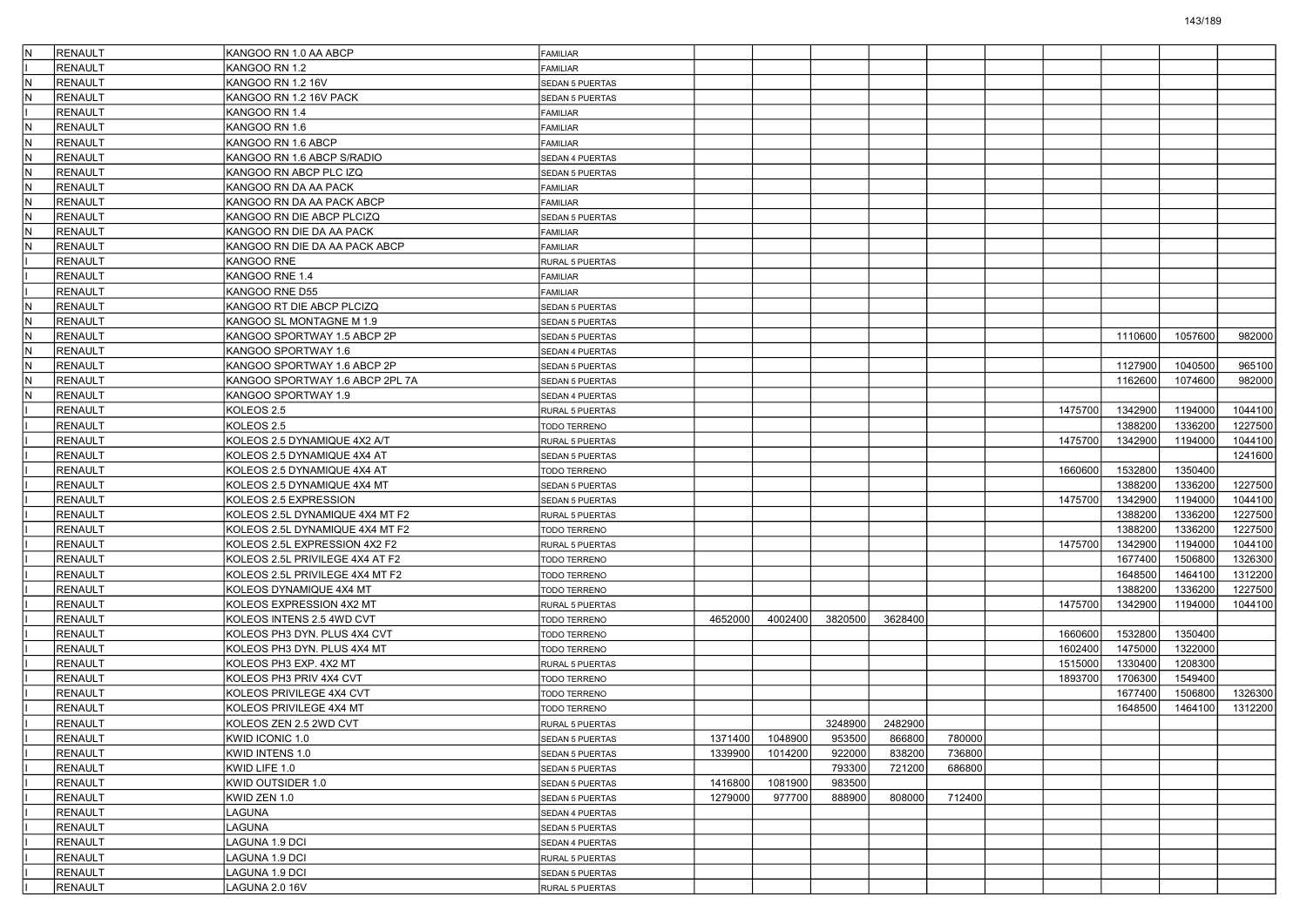| IN.          | RENAULT        | KANGOO RN 1.0 AA ABCP           | <b>FAMILIAR</b>        |         |         |         |         |        |         |         |         |         |
|--------------|----------------|---------------------------------|------------------------|---------|---------|---------|---------|--------|---------|---------|---------|---------|
|              | <b>RENAULT</b> | KANGOO RN 1.2                   | <b>FAMILIAR</b>        |         |         |         |         |        |         |         |         |         |
| M,           | RENAULT        | KANGOO RN 1.2 16V               | <b>SEDAN 5 PUERTAS</b> |         |         |         |         |        |         |         |         |         |
| IN.          | RENAULT        | KANGOO RN 1.2 16V PACK          | SEDAN 5 PUERTAS        |         |         |         |         |        |         |         |         |         |
|              | <b>RENAULT</b> | KANGOO RN 1.4                   | FAMILIAR               |         |         |         |         |        |         |         |         |         |
| IN.          | <b>RENAULT</b> | KANGOO RN 1.6                   | FAMILIAR               |         |         |         |         |        |         |         |         |         |
| IN.          | RENAULT        | KANGOO RN 1.6 ABCP              | <b>FAMILIAR</b>        |         |         |         |         |        |         |         |         |         |
| IN.          | <b>RENAULT</b> | KANGOO RN 1.6 ABCP S/RADIO      | SEDAN 4 PUERTAS        |         |         |         |         |        |         |         |         |         |
| IN.          | RENAULT        | KANGOO RN ABCP PLC IZQ          | SEDAN 5 PUERTAS        |         |         |         |         |        |         |         |         |         |
| N            | <b>RENAULT</b> | KANGOO RN DA AA PACK            | FAMILIAR               |         |         |         |         |        |         |         |         |         |
| IN.          | <b>RENAULT</b> | KANGOO RN DA AA PACK ABCP       | FAMILIAR               |         |         |         |         |        |         |         |         |         |
| $\mathsf{N}$ | <b>RENAULT</b> | KANGOO RN DIE ABCP PLCIZQ       | <b>SEDAN 5 PUERTAS</b> |         |         |         |         |        |         |         |         |         |
| M,           | <b>RENAULT</b> | KANGOO RN DIE DA AA PACK        | <b>FAMILIAR</b>        |         |         |         |         |        |         |         |         |         |
| IN.          | RENAULT        | KANGOO RN DIE DA AA PACK ABCP   | <b>FAMILIAR</b>        |         |         |         |         |        |         |         |         |         |
|              | <b>RENAULT</b> | KANGOO RNE                      | RURAL 5 PUERTAS        |         |         |         |         |        |         |         |         |         |
|              | <b>RENAULT</b> | KANGOO RNE 1.4                  | <b>FAMILIAR</b>        |         |         |         |         |        |         |         |         |         |
|              | <b>RENAULT</b> | KANGOO RNE D55                  | <b>FAMILIAR</b>        |         |         |         |         |        |         |         |         |         |
| IN.          | RENAULT        | KANGOO RT DIE ABCP PLCIZQ       | <b>SEDAN 5 PUERTAS</b> |         |         |         |         |        |         |         |         |         |
| IN.          | RENAULT        | KANGOO SL MONTAGNE M 1.9        | SEDAN 5 PUERTAS        |         |         |         |         |        |         |         |         |         |
| N            | <b>RENAULT</b> | KANGOO SPORTWAY 1.5 ABCP 2P     | <b>SEDAN 5 PUERTAS</b> |         |         |         |         |        |         | 1110600 | 1057600 | 982000  |
| IN.          | <b>RENAULT</b> | KANGOO SPORTWAY 1.6             | SEDAN 4 PUERTAS        |         |         |         |         |        |         |         |         |         |
| $\mathsf{N}$ | <b>RENAULT</b> | KANGOO SPORTWAY 1.6 ABCP 2P     | <b>SEDAN 5 PUERTAS</b> |         |         |         |         |        |         | 1127900 | 1040500 | 965100  |
| IN.          | <b>RENAULT</b> | KANGOO SPORTWAY 1.6 ABCP 2PL 7A | SEDAN 5 PUERTAS        |         |         |         |         |        |         | 1162600 | 1074600 | 982000  |
| IN.          | RENAULT        | KANGOO SPORTWAY 1.9             | SEDAN 4 PUERTAS        |         |         |         |         |        |         |         |         |         |
|              | <b>RENAULT</b> | KOLEOS 2.5                      | RURAL 5 PUERTAS        |         |         |         |         |        | 1475700 | 1342900 | 1194000 | 1044100 |
|              | <b>RENAULT</b> | KOLEOS 2.5                      | TODO TERRENO           |         |         |         |         |        |         | 1388200 | 1336200 | 1227500 |
|              | <b>RENAULT</b> | KOLEOS 2.5 DYNAMIQUE 4X2 A/T    | RURAL 5 PUERTAS        |         |         |         |         |        | 1475700 | 1342900 | 1194000 | 1044100 |
|              | <b>RENAULT</b> | KOLEOS 2.5 DYNAMIQUE 4X4 AT     | <b>SEDAN 5 PUERTAS</b> |         |         |         |         |        |         |         |         | 1241600 |
|              | <b>RENAULT</b> | KOLEOS 2.5 DYNAMIQUE 4X4 AT     | TODO TERRENO           |         |         |         |         |        | 1660600 | 1532800 | 1350400 |         |
|              | <b>RENAULT</b> | KOLEOS 2.5 DYNAMIQUE 4X4 MT     | <b>SEDAN 5 PUERTAS</b> |         |         |         |         |        |         | 1388200 | 1336200 | 1227500 |
|              | RENAULT        | KOLEOS 2.5 EXPRESSION           | SEDAN 5 PUERTAS        |         |         |         |         |        | 1475700 | 1342900 | 1194000 | 1044100 |
|              | <b>RENAULT</b> | KOLEOS 2.5L DYNAMIQUE 4X4 MT F2 | RURAL 5 PUERTAS        |         |         |         |         |        |         | 1388200 | 1336200 | 1227500 |
|              | <b>RENAULT</b> | KOLEOS 2.5L DYNAMIQUE 4X4 MT F2 | TODO TERRENO           |         |         |         |         |        |         | 1388200 | 1336200 | 1227500 |
|              | <b>RENAULT</b> | KOLEOS 2.5L EXPRESSION 4X2 F2   | RURAL 5 PUERTAS        |         |         |         |         |        | 1475700 | 1342900 | 1194000 | 1044100 |
|              | <b>RENAULT</b> | KOLEOS 2.5L PRIVILEGE 4X4 AT F2 | TODO TERRENO           |         |         |         |         |        |         | 1677400 | 1506800 | 1326300 |
|              | RENAULT        | KOLEOS 2.5L PRIVILEGE 4X4 MT F2 | TODO TERRENO           |         |         |         |         |        |         | 1648500 | 1464100 | 1312200 |
|              | <b>RENAULT</b> | KOLEOS DYNAMIQUE 4X4 MT         | TODO TERRENO           |         |         |         |         |        |         | 1388200 | 1336200 | 1227500 |
|              | <b>RENAULT</b> | KOLEOS EXPRESSION 4X2 MT        | RURAL 5 PUERTAS        |         |         |         |         |        | 1475700 | 1342900 | 1194000 | 1044100 |
|              | <b>RENAULT</b> | KOLEOS INTENS 2.5 4WD CVT       | TODO TERRENO           | 4652000 | 4002400 | 3820500 | 3628400 |        |         |         |         |         |
|              | <b>RENAULT</b> | KOLEOS PH3 DYN. PLUS 4X4 CVT    | TODO TERRENO           |         |         |         |         |        | 1660600 | 1532800 | 1350400 |         |
|              | RENAULT        | KOLEOS PH3 DYN. PLUS 4X4 MT     | TODO TERRENO           |         |         |         |         |        | 1602400 | 1475000 | 1322000 |         |
|              | <b>RENAULT</b> | KOLEOS PH3 EXP. 4X2 MT          | RURAL 5 PUERTAS        |         |         |         |         |        | 1515000 | 1330400 | 1208300 |         |
|              | <b>RENAULT</b> | KOLEOS PH3 PRIV 4X4 CVT         | TODO TERRENO           |         |         |         |         |        | 1893700 | 1706300 | 1549400 |         |
|              | <b>RENAULT</b> | KOLEOS PRIVILEGE 4X4 CVT        | TODO TERRENO           |         |         |         |         |        |         | 1677400 | 1506800 | 1326300 |
|              | <b>RENAULT</b> | KOLEOS PRIVILEGE 4X4 MT         | TODO TERRENO           |         |         |         |         |        |         | 1648500 | 1464100 | 1312200 |
|              | RENAULT        | KOLEOS ZEN 2.5 2WD CVT          | <b>RURAL 5 PUERTAS</b> |         |         | 3248900 | 2482900 |        |         |         |         |         |
|              | RENAULT        | KWID ICONIC 1.0                 | <b>SEDAN 5 PUERTAS</b> | 1371400 | 1048900 | 953500  | 866800  | 780000 |         |         |         |         |
|              | <b>RENAULT</b> | KWID INTENS 1.0                 | SEDAN 5 PUERTAS        | 1339900 | 1014200 | 922000  | 838200  | 736800 |         |         |         |         |
|              | RENAULT        | KWID LIFE 1.0                   | SEDAN 5 PUERTAS        |         |         | 793300  | 721200  | 686800 |         |         |         |         |
|              | RENAULT        | KWID OUTSIDER 1.0               | <b>SEDAN 5 PUERTAS</b> | 1416800 | 1081900 | 983500  |         |        |         |         |         |         |
|              | <b>RENAULT</b> | KWID ZEN 1.0                    | <b>SEDAN 5 PUERTAS</b> | 1279000 | 977700  | 888900  | 808000  | 712400 |         |         |         |         |
|              | RENAULT        | LAGUNA                          | SEDAN 4 PUERTAS        |         |         |         |         |        |         |         |         |         |
|              | RENAULT        | LAGUNA                          | <b>SEDAN 5 PUERTAS</b> |         |         |         |         |        |         |         |         |         |
|              | <b>RENAULT</b> | AGUNA 1.9 DCI                   | SEDAN 4 PUERTAS        |         |         |         |         |        |         |         |         |         |
|              | RENAULT        | AGUNA 1.9 DCI                   | RURAL 5 PUERTAS        |         |         |         |         |        |         |         |         |         |
|              | RENAULT        | LAGUNA 1.9 DCI                  | SEDAN 5 PUERTAS        |         |         |         |         |        |         |         |         |         |
|              | <b>RENAULT</b> | LAGUNA 2.0 16V                  | RURAL 5 PUERTAS        |         |         |         |         |        |         |         |         |         |
|              |                |                                 |                        |         |         |         |         |        |         |         |         |         |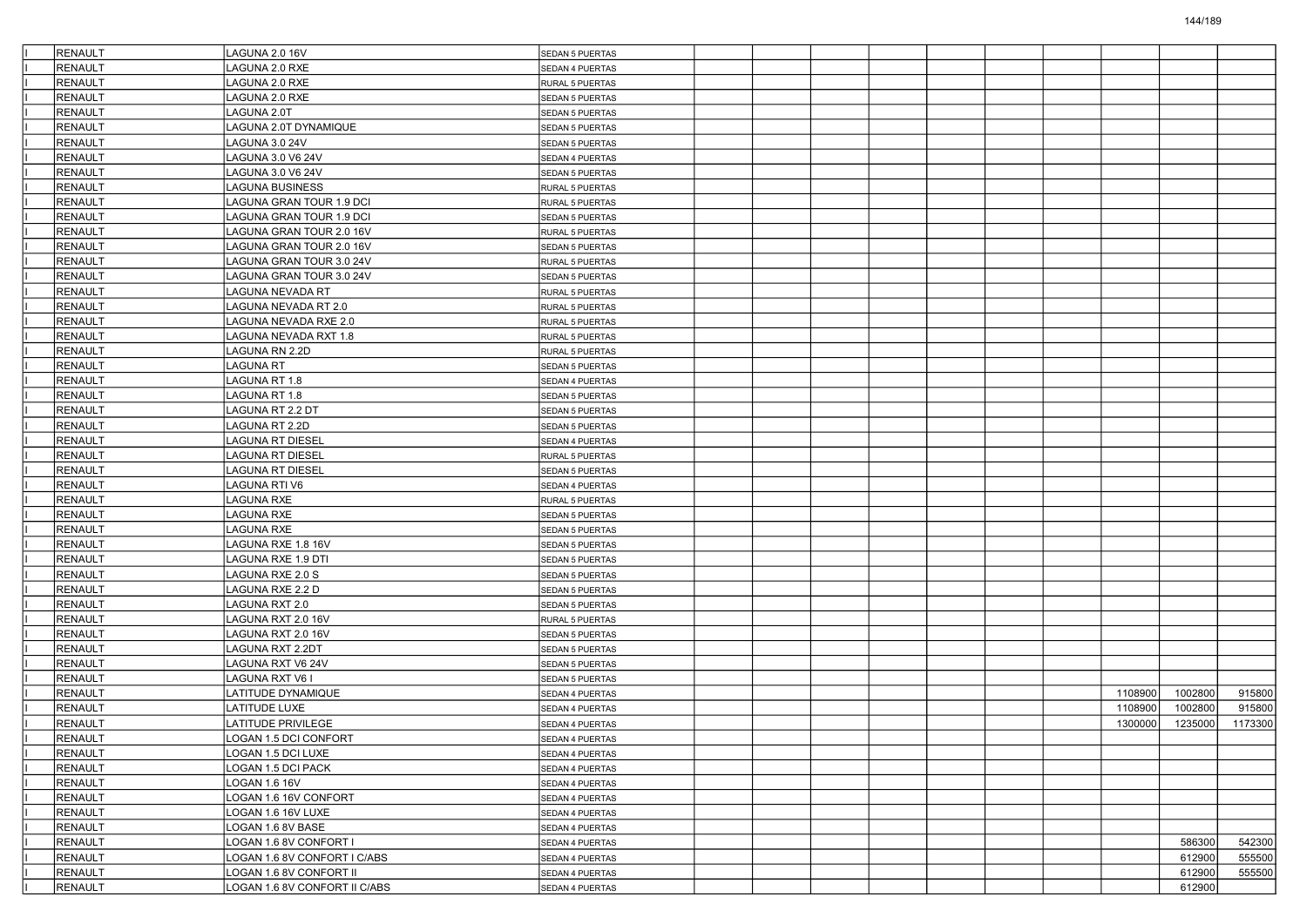| RENAULT                   | LAGUNA 2.0 16V                                                | <b>SEDAN 5 PUERTAS</b>             |  |  |  |         |                  |                  |
|---------------------------|---------------------------------------------------------------|------------------------------------|--|--|--|---------|------------------|------------------|
| <b>RENAULT</b>            | AGUNA 2.0 RXE                                                 | SEDAN 4 PUERTAS                    |  |  |  |         |                  |                  |
| <b>RENAULT</b>            | AGUNA 2.0 RXE                                                 | RURAL 5 PUERTAS                    |  |  |  |         |                  |                  |
| RENAULT                   | LAGUNA 2.0 RXE                                                | <b>SEDAN 5 PUERTAS</b>             |  |  |  |         |                  |                  |
| RENAULT                   | LAGUNA 2.0T                                                   | <b>SEDAN 5 PUERTAS</b>             |  |  |  |         |                  |                  |
| RENAULT                   | LAGUNA 2.0T DYNAMIQUE                                         | <b>SEDAN 5 PUERTAS</b>             |  |  |  |         |                  |                  |
| <b>RENAULT</b>            | AGUNA 3.0 24V                                                 | <b>SEDAN 5 PUERTAS</b>             |  |  |  |         |                  |                  |
| <b>RENAULT</b>            | <b>AGUNA 3.0 V6 24V</b>                                       | SEDAN 4 PUERTAS                    |  |  |  |         |                  |                  |
| <b>RENAULT</b>            | LAGUNA 3.0 V6 24V                                             | <b>SEDAN 5 PUERTAS</b>             |  |  |  |         |                  |                  |
| RENAULT                   | <b>AGUNA BUSINESS</b>                                         | RURAL 5 PUERTAS                    |  |  |  |         |                  |                  |
| RENAULT                   | LAGUNA GRAN TOUR 1.9 DCI                                      | RURAL 5 PUERTAS                    |  |  |  |         |                  |                  |
| <b>RENAULT</b>            | AGUNA GRAN TOUR 1.9 DCI                                       | <b>SEDAN 5 PUERTAS</b>             |  |  |  |         |                  |                  |
| <b>RENAULT</b>            | <b>AGUNA GRAN TOUR 2.0 16V</b>                                | RURAL 5 PUERTAS                    |  |  |  |         |                  |                  |
| <b>RENAULT</b>            | <b>AGUNA GRAN TOUR 2.0 16V</b>                                | SEDAN 5 PUERTAS                    |  |  |  |         |                  |                  |
| RENAULT                   | AGUNA GRAN TOUR 3.0 24V                                       | RURAL 5 PUERTAS                    |  |  |  |         |                  |                  |
| <b>RENAULT</b>            | LAGUNA GRAN TOUR 3.0 24V                                      | <b>SEDAN 5 PUERTAS</b>             |  |  |  |         |                  |                  |
| <b>RENAULT</b>            | AGUNA NEVADA RT.                                              | RURAL 5 PUERTAS                    |  |  |  |         |                  |                  |
| <b>RENAULT</b>            | AGUNA NEVADA RT 2.0                                           | RURAL 5 PUERTAS                    |  |  |  |         |                  |                  |
| <b>RENAULT</b>            | AGUNA NEVADA RXE 2.0                                          | RURAL 5 PUERTAS                    |  |  |  |         |                  |                  |
| RENAULT                   | AGUNA NEVADA RXT 1.8                                          | RURAL 5 PUERTAS                    |  |  |  |         |                  |                  |
| <b>RENAULT</b>            | LAGUNA RN 2.2D                                                | RURAL 5 PUERTAS                    |  |  |  |         |                  |                  |
| <b>RENAULT</b>            | AGUNA RT.                                                     | SEDAN 5 PUERTAS                    |  |  |  |         |                  |                  |
| <b>RENAULT</b>            | AGUNA RT 1.8                                                  | SEDAN 4 PUERTAS                    |  |  |  |         |                  |                  |
| RENAULT                   | AGUNA RT 1.8                                                  | <b>SEDAN 5 PUERTAS</b>             |  |  |  |         |                  |                  |
| RENAULT                   | AGUNA RT 2.2 DT                                               | <b>SEDAN 5 PUERTAS</b>             |  |  |  |         |                  |                  |
| RENAULT                   | LAGUNA RT 2.2D                                                | <b>SEDAN 5 PUERTAS</b>             |  |  |  |         |                  |                  |
| <b>RENAULT</b>            | AGUNA RT DIESEL                                               | SEDAN 4 PUERTAS                    |  |  |  |         |                  |                  |
| <b>RENAULT</b>            | AGUNA RT DIESEL                                               | RURAL 5 PUERTAS                    |  |  |  |         |                  |                  |
| RENAULT                   | AGUNA RT DIESEL                                               | SEDAN 5 PUERTAS                    |  |  |  |         |                  |                  |
| RENAULT                   | <b>AGUNA RTI V6</b>                                           | SEDAN 4 PUERTAS                    |  |  |  |         |                  |                  |
| RENAULT                   | LAGUNA RXE                                                    | RURAL 5 PUERTAS                    |  |  |  |         |                  |                  |
| <b>RENAULT</b>            | AGUNA RXE                                                     | SEDAN 5 PUERTAS                    |  |  |  |         |                  |                  |
| <b>RENAULT</b>            | <b>AGUNA RXE</b>                                              | SEDAN 5 PUERTAS                    |  |  |  |         |                  |                  |
| RENAULT                   | LAGUNA RXE 1.8 16V                                            | SEDAN 5 PUERTAS                    |  |  |  |         |                  |                  |
| RENAULT                   | AGUNA RXE 1.9 DTI                                             | <b>SEDAN 5 PUERTAS</b>             |  |  |  |         |                  |                  |
| RENAULT                   | LAGUNA RXE 2.0 S                                              | <b>SEDAN 5 PUERTAS</b>             |  |  |  |         |                  |                  |
| <b>RENAULT</b>            | AGUNA RXE 2.2 D                                               | SEDAN 5 PUERTAS                    |  |  |  |         |                  |                  |
| <b>RENAULT</b>            | LAGUNA RXT 2.0                                                | SEDAN 5 PUERTAS                    |  |  |  |         |                  |                  |
| RENAULT                   | -AGUNA RXT 2.0 16V                                            | RURAL 5 PUERTAS                    |  |  |  |         |                  |                  |
| RENAULT                   | AGUNA RXT 2.0 16V                                             | <b>SEDAN 5 PUERTAS</b>             |  |  |  |         |                  |                  |
| RENAULT                   | LAGUNA RXT 2.2DT                                              | SEDAN 5 PUERTAS                    |  |  |  |         |                  |                  |
| <b>RENAULT</b>            | AGUNA RXT V6 24V                                              | SEDAN 5 PUERTAS                    |  |  |  |         |                  |                  |
| <b>RENAULT</b>            | LAGUNA RXT V6 I                                               | SEDAN 5 PUERTAS                    |  |  |  |         |                  |                  |
| RENAULT                   | LATITUDE DYNAMIQUE                                            | SEDAN 4 PUERTAS                    |  |  |  | 1108900 | 1002800          | 915800           |
| <b>RENAULT</b>            | <b>ATITUDE LUXE</b>                                           | SEDAN 4 PUERTAS                    |  |  |  | 1108900 | 1002800          | 915800           |
| <b>RENAULT</b><br>RENAULT | LATITUDE PRIVILEGE                                            | SEDAN 4 PUERTAS                    |  |  |  | 1300000 | 1235000          | 1173300          |
|                           | <b>LOGAN 1.5 DCI CONFORT</b>                                  | SEDAN 4 PUERTAS                    |  |  |  |         |                  |                  |
| RENAULT                   | OGAN 1.5 DCI LUXE                                             | SEDAN 4 PUERTAS                    |  |  |  |         |                  |                  |
| RENAULT<br>RENAULT        | OGAN 1.5 DCI PACK                                             | SEDAN 4 PUERTAS                    |  |  |  |         |                  |                  |
| RENAULT                   | OGAN 1.6 16V                                                  | SEDAN 4 PUERTAS                    |  |  |  |         |                  |                  |
|                           | LOGAN 1.6 16V CONFORT                                         | SEDAN 4 PUERTAS                    |  |  |  |         |                  |                  |
| RENAULT                   | OGAN 1.6 16V LUXE                                             | SEDAN 4 PUERTAS                    |  |  |  |         |                  |                  |
| RENAULT<br>RENAULT        | OGAN 1.6 8V BASE                                              | SEDAN 4 PUERTAS                    |  |  |  |         |                  |                  |
| RENAULT                   | <b>LOGAN 1.6 8V CONFORT I</b><br>LOGAN 1.6 8V CONFORT I C/ABS | SEDAN 4 PUERTAS                    |  |  |  |         | 586300<br>612900 | 542300<br>555500 |
| RENAULT                   | <b>LOGAN 1.6 8V CONFORT II</b>                                | SEDAN 4 PUERTAS<br>SEDAN 4 PUERTAS |  |  |  |         | 612900           | 555500           |
| RENAULT                   | LOGAN 1.6 8V CONFORT II C/ABS                                 | SEDAN 4 PUERTAS                    |  |  |  |         | 612900           |                  |
|                           |                                                               |                                    |  |  |  |         |                  |                  |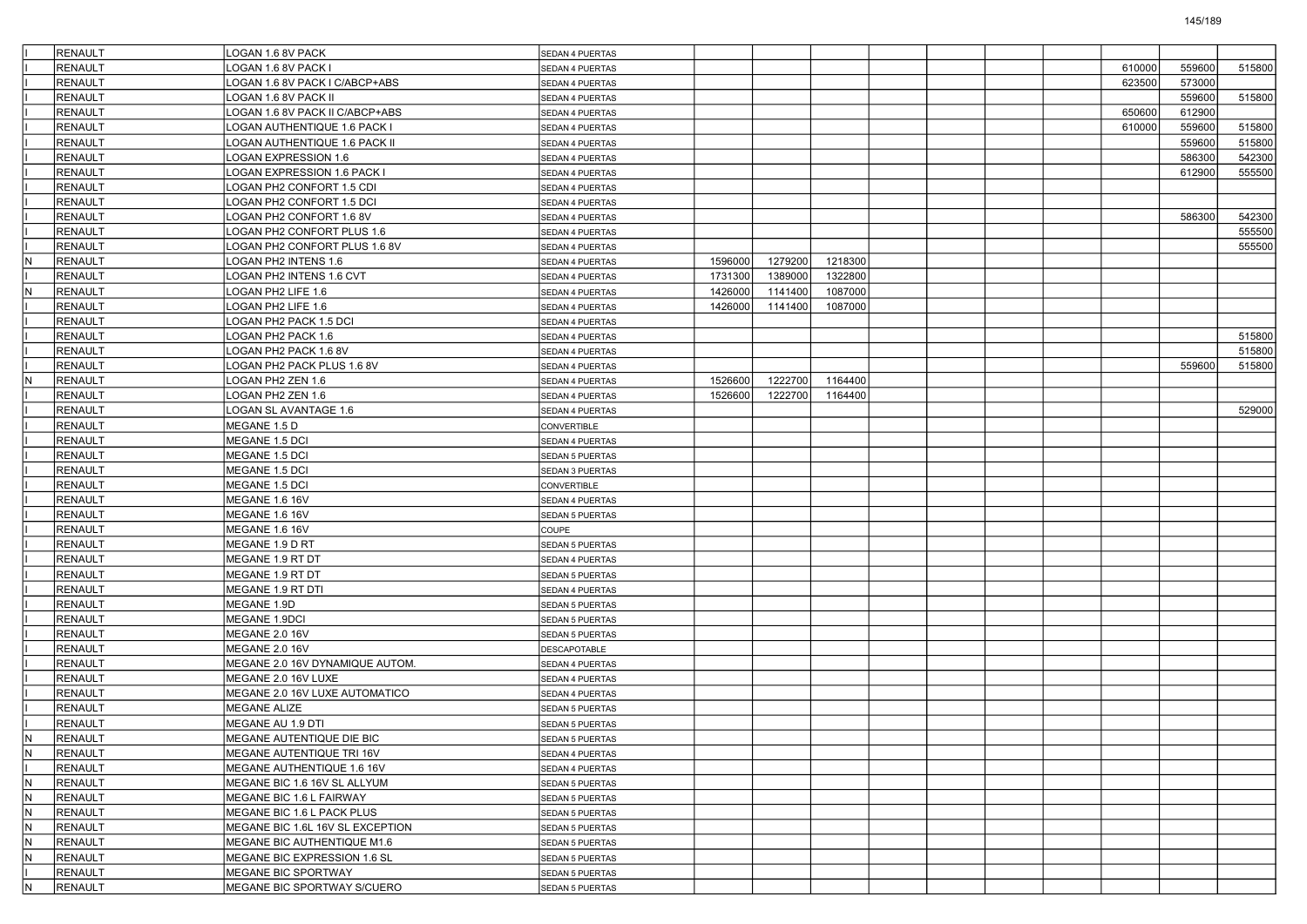|              | RENAULT        | LOGAN 1.6 8V PACK                | <b>SEDAN 4 PUERTAS</b> |         |         |         |  |  |        |        |        |
|--------------|----------------|----------------------------------|------------------------|---------|---------|---------|--|--|--------|--------|--------|
|              | <b>RENAULT</b> | LOGAN 1.6 8V PACK I              | SEDAN 4 PUERTAS        |         |         |         |  |  | 610000 | 559600 | 515800 |
|              | <b>RENAULT</b> | LOGAN 1.6 8V PACK I C/ABCP+ABS   | SEDAN 4 PUERTAS        |         |         |         |  |  | 623500 | 573000 |        |
|              | <b>RENAULT</b> | -OGAN 1.6 8V PACK II             | SEDAN 4 PUERTAS        |         |         |         |  |  |        | 559600 | 515800 |
|              | <b>RENAULT</b> | LOGAN 1.6 8V PACK II C/ABCP+ABS  | SEDAN 4 PUERTAS        |         |         |         |  |  | 650600 | 612900 |        |
|              | RENAULT        | LOGAN AUTHENTIQUE 1.6 PACK I     | SEDAN 4 PUERTAS        |         |         |         |  |  | 610000 | 559600 | 515800 |
|              | <b>RENAULT</b> | LOGAN AUTHENTIQUE 1.6 PACK II    | SEDAN 4 PUERTAS        |         |         |         |  |  |        | 559600 | 515800 |
|              | <b>RENAULT</b> | LOGAN EXPRESSION 1.6             | SEDAN 4 PUERTAS        |         |         |         |  |  |        | 586300 | 542300 |
|              | <b>RENAULT</b> | OGAN EXPRESSION 1.6 PACK I       | SEDAN 4 PUERTAS        |         |         |         |  |  |        | 612900 | 555500 |
|              | <b>RENAULT</b> | LOGAN PH2 CONFORT 1.5 CDI        | SEDAN 4 PUERTAS        |         |         |         |  |  |        |        |        |
|              | RENAULT        | LOGAN PH2 CONFORT 1.5 DCI        | SEDAN 4 PUERTAS        |         |         |         |  |  |        |        |        |
|              | <b>RENAULT</b> | LOGAN PH2 CONFORT 1.6 8V         | SEDAN 4 PUERTAS        |         |         |         |  |  |        | 586300 | 542300 |
|              | <b>RENAULT</b> | LOGAN PH2 CONFORT PLUS 1.6       | SEDAN 4 PUERTAS        |         |         |         |  |  |        |        | 555500 |
|              | <b>RENAULT</b> | OGAN PH2 CONFORT PLUS 1.6 8V     | SEDAN 4 PUERTAS        |         |         |         |  |  |        |        | 555500 |
| N            | RENAULT        | LOGAN PH2 INTENS 1.6             | SEDAN 4 PUERTAS        | 1596000 | 1279200 | 1218300 |  |  |        |        |        |
|              | RENAULT        | LOGAN PH2 INTENS 1.6 CVT         | SEDAN 4 PUERTAS        | 1731300 | 1389000 | 1322800 |  |  |        |        |        |
| $\mathsf{N}$ | RENAULT        | LOGAN PH2 LIFE 1.6               | SEDAN 4 PUERTAS        | 1426000 | 1141400 | 1087000 |  |  |        |        |        |
|              | <b>RENAULT</b> | LOGAN PH2 LIFE 1.6               | SEDAN 4 PUERTAS        | 1426000 | 1141400 | 1087000 |  |  |        |        |        |
|              | <b>RENAULT</b> | OGAN PH2 PACK 1.5 DCI            | SEDAN 4 PUERTAS        |         |         |         |  |  |        |        |        |
|              | <b>RENAULT</b> | LOGAN PH2 PACK 1.6               | SEDAN 4 PUERTAS        |         |         |         |  |  |        |        | 515800 |
|              | RENAULT        | LOGAN PH2 PACK 1.6 8V            | <b>SEDAN 4 PUERTAS</b> |         |         |         |  |  |        |        | 515800 |
|              | RENAULT        | LOGAN PH2 PACK PLUS 1.6 8V       | SEDAN 4 PUERTAS        |         |         |         |  |  |        | 559600 | 515800 |
| IN.          | RENAULT        | LOGAN PH2 ZEN 1.6                | SEDAN 4 PUERTAS        | 1526600 | 1222700 | 1164400 |  |  |        |        |        |
|              | <b>RENAULT</b> | OGAN PH2 ZEN 1.6                 | SEDAN 4 PUERTAS        | 1526600 | 1222700 | 1164400 |  |  |        |        |        |
|              | <b>RENAULT</b> | LOGAN SL AVANTAGE 1.6            | <b>SEDAN 4 PUERTAS</b> |         |         |         |  |  |        |        | 529000 |
|              | RENAULT        | MEGANE 1.5 D                     | CONVERTIBLE            |         |         |         |  |  |        |        |        |
|              | RENAULT        | MEGANE 1.5 DCI                   | SEDAN 4 PUERTAS        |         |         |         |  |  |        |        |        |
|              | <b>RENAULT</b> | MEGANE 1.5 DCI                   | SEDAN 5 PUERTAS        |         |         |         |  |  |        |        |        |
|              | <b>RENAULT</b> | MEGANE 1.5 DCI                   | SEDAN 3 PUERTAS        |         |         |         |  |  |        |        |        |
|              | <b>RENAULT</b> | MEGANE 1.5 DCI                   | CONVERTIBLE            |         |         |         |  |  |        |        |        |
|              | RENAULT        | <b>MEGANE 1.6 16V</b>            | SEDAN 4 PUERTAS        |         |         |         |  |  |        |        |        |
|              | <b>RENAULT</b> | <b>MEGANE 1.6 16V</b>            | SEDAN 5 PUERTAS        |         |         |         |  |  |        |        |        |
|              | <b>RENAULT</b> | <b>MEGANE 1.6 16V</b>            | COUPE                  |         |         |         |  |  |        |        |        |
|              | <b>RENAULT</b> | MEGANE 1.9 D RT                  | SEDAN 5 PUERTAS        |         |         |         |  |  |        |        |        |
|              | <b>RENAULT</b> | MEGANE 1.9 RT DT                 | SEDAN 4 PUERTAS        |         |         |         |  |  |        |        |        |
|              | RENAULT        | MEGANE 1.9 RT DT                 | SEDAN 5 PUERTAS        |         |         |         |  |  |        |        |        |
|              | <b>RENAULT</b> | MEGANE 1.9 RT DTI                | SEDAN 4 PUERTAS        |         |         |         |  |  |        |        |        |
|              | <b>RENAULT</b> | MEGANE 1.9D                      | SEDAN 5 PUERTAS        |         |         |         |  |  |        |        |        |
|              | <b>RENAULT</b> | MEGANE 1.9DCI                    | SEDAN 5 PUERTAS        |         |         |         |  |  |        |        |        |
|              | <b>RENAULT</b> | <b>MEGANE 2.0 16V</b>            | SEDAN 5 PUERTAS        |         |         |         |  |  |        |        |        |
|              | RENAULT        | <b>MEGANE 2.0 16V</b>            | <b>DESCAPOTABLE</b>    |         |         |         |  |  |        |        |        |
|              | <b>RENAULT</b> | MEGANE 2.0 16V DYNAMIQUE AUTOM.  | SEDAN 4 PUERTAS        |         |         |         |  |  |        |        |        |
|              | <b>RENAULT</b> | MEGANE 2.0 16V LUXE              | SEDAN 4 PUERTAS        |         |         |         |  |  |        |        |        |
|              | <b>RENAULT</b> | MEGANE 2.0 16V LUXE AUTOMATICO   | SEDAN 4 PUERTAS        |         |         |         |  |  |        |        |        |
|              | <b>RENAULT</b> | MEGANE ALIZE                     | SEDAN 5 PUERTAS        |         |         |         |  |  |        |        |        |
|              | RENAULT        | MEGANE AU 1.9 DTI                | SEDAN 5 PUERTAS        |         |         |         |  |  |        |        |        |
| N.           | RENAULT        | MEGANE AUTENTIQUE DIE BIC        | SEDAN 5 PUERTAS        |         |         |         |  |  |        |        |        |
| IN.          | RENAULT        | MEGANE AUTENTIQUE TRI 16V        | SEDAN 4 PUERTAS        |         |         |         |  |  |        |        |        |
|              | <b>RENAULT</b> | MEGANE AUTHENTIQUE 1.6 16V       | SEDAN 4 PUERTAS        |         |         |         |  |  |        |        |        |
| İN.          | <b>RENAULT</b> | MEGANE BIC 1.6 16V SL ALLYUM     | SEDAN 5 PUERTAS        |         |         |         |  |  |        |        |        |
| IN.          | RENAULT        | MEGANE BIC 1.6 L FAIRWAY         | SEDAN 5 PUERTAS        |         |         |         |  |  |        |        |        |
| IN.          | <b>RENAULT</b> | MEGANE BIC 1.6 L PACK PLUS       | SEDAN 5 PUERTAS        |         |         |         |  |  |        |        |        |
| IN.          | RENAULT        | MEGANE BIC 1.6L 16V SL EXCEPTION | SEDAN 5 PUERTAS        |         |         |         |  |  |        |        |        |
| IN.          | <b>RENAULT</b> | MEGANE BIC AUTHENTIQUE M1.6      | <b>SEDAN 5 PUERTAS</b> |         |         |         |  |  |        |        |        |
| İN.          | RENAULT        | MEGANE BIC EXPRESSION 1.6 SL     | SEDAN 5 PUERTAS        |         |         |         |  |  |        |        |        |
|              | <b>RENAULT</b> | MEGANE BIC SPORTWAY              | SEDAN 5 PUERTAS        |         |         |         |  |  |        |        |        |
| IN.          | RENAULT        | MEGANE BIC SPORTWAY S/CUERO      | SEDAN 5 PUERTAS        |         |         |         |  |  |        |        |        |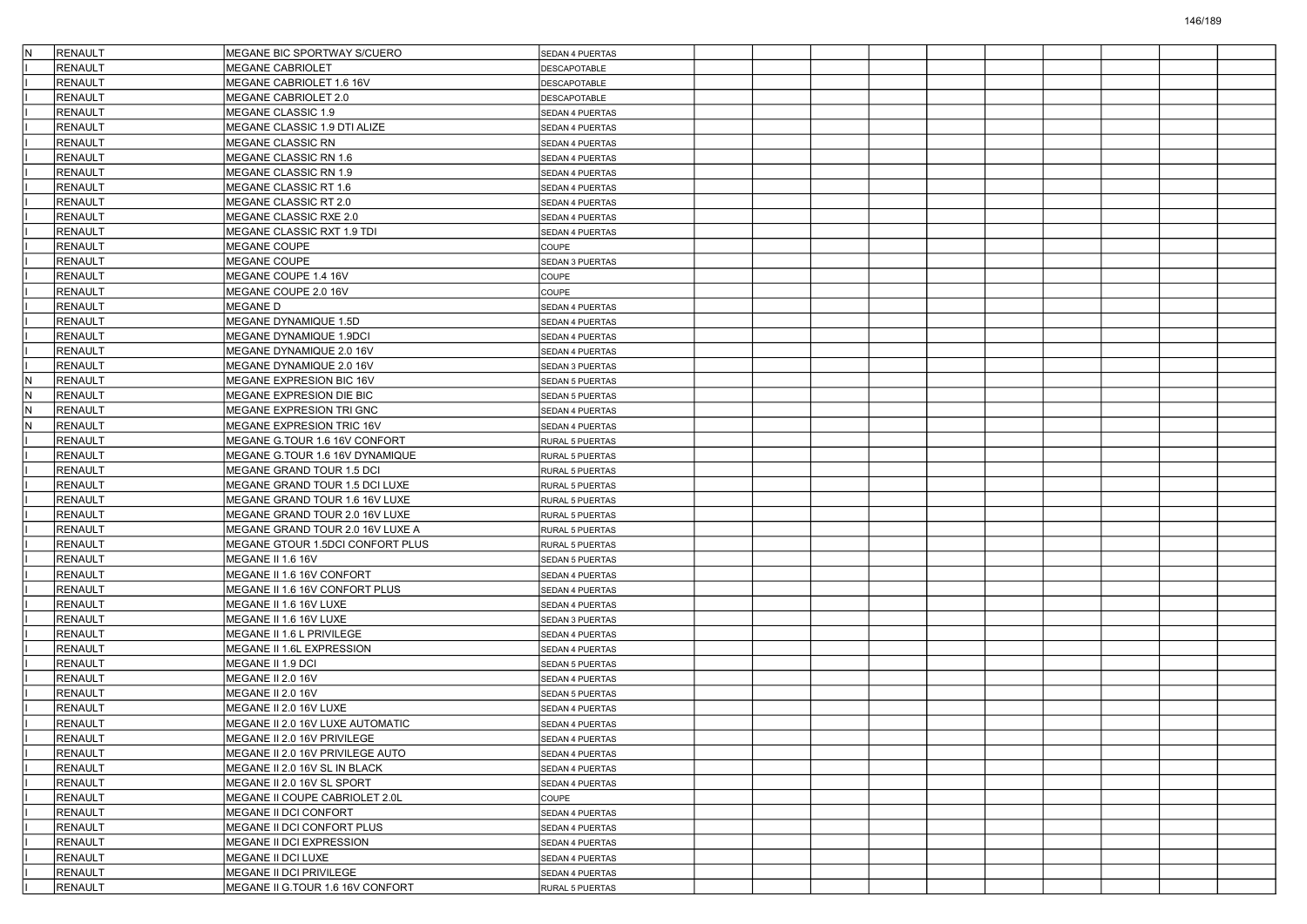|    | <b>RENAULT</b> | MEGANE BIC SPORTWAY S/CUERO      | <b>SEDAN 4 PUERTAS</b> |  |  |  |  |  |
|----|----------------|----------------------------------|------------------------|--|--|--|--|--|
|    | <b>RENAULT</b> | <b>MEGANE CABRIOLET</b>          | DESCAPOTABLE           |  |  |  |  |  |
|    | RENAULT        | MEGANE CABRIOLET 1.6 16V         | DESCAPOTABLE           |  |  |  |  |  |
|    | RENAULT        | MEGANE CABRIOLET 2.0             | <b>DESCAPOTABLE</b>    |  |  |  |  |  |
|    | <b>RENAULT</b> | MEGANE CLASSIC 1.9               | SEDAN 4 PUERTAS        |  |  |  |  |  |
|    | <b>RENAULT</b> | MEGANE CLASSIC 1.9 DTI ALIZE     | SEDAN 4 PUERTAS        |  |  |  |  |  |
|    | <b>RENAULT</b> | MEGANE CLASSIC RN                | SEDAN 4 PUERTAS        |  |  |  |  |  |
|    | RENAULT        | MEGANE CLASSIC RN 1.6            | SEDAN 4 PUERTAS        |  |  |  |  |  |
|    | RENAULT        | MEGANE CLASSIC RN 1.9            | SEDAN 4 PUERTAS        |  |  |  |  |  |
|    | <b>RENAULT</b> | MEGANE CLASSIC RT 1.6            | SEDAN 4 PUERTAS        |  |  |  |  |  |
|    | <b>RENAULT</b> | MEGANE CLASSIC RT 2.0            | SEDAN 4 PUERTAS        |  |  |  |  |  |
|    | <b>RENAULT</b> | MEGANE CLASSIC RXE 2.0           | SEDAN 4 PUERTAS        |  |  |  |  |  |
|    | <b>RENAULT</b> | MEGANE CLASSIC RXT 1.9 TDI       | SEDAN 4 PUERTAS        |  |  |  |  |  |
|    | RENAULT        | <b>MEGANE COUPE</b>              | COUPE                  |  |  |  |  |  |
|    | <b>RENAULT</b> | MEGANE COUPE                     | SEDAN 3 PUERTAS        |  |  |  |  |  |
|    | <b>RENAULT</b> | MEGANE COUPE 1.4 16V             | COUPE                  |  |  |  |  |  |
|    | <b>RENAULT</b> | MEGANE COUPE 2.0 16V             | COUPE                  |  |  |  |  |  |
|    | <b>RENAULT</b> | <b>MEGANED</b>                   | SEDAN 4 PUERTAS        |  |  |  |  |  |
|    | <b>RENAULT</b> | MEGANE DYNAMIQUE 1.5D            | SEDAN 4 PUERTAS        |  |  |  |  |  |
|    | <b>RENAULT</b> | MEGANE DYNAMIQUE 1.9DCI          | SEDAN 4 PUERTAS        |  |  |  |  |  |
|    | <b>RENAULT</b> | MEGANE DYNAMIQUE 2.0 16V         | SEDAN 4 PUERTAS        |  |  |  |  |  |
|    | <b>RENAULT</b> | MEGANE DYNAMIQUE 2.0 16V         | SEDAN 3 PUERTAS        |  |  |  |  |  |
| ΙN | <b>RENAULT</b> | MEGANE EXPRESION BIC 16V         | SEDAN 5 PUERTAS        |  |  |  |  |  |
| ΙN | <b>RENAULT</b> | MEGANE EXPRESION DIE BIC         | SEDAN 5 PUERTAS        |  |  |  |  |  |
| ΙN | <b>RENAULT</b> | MEGANE EXPRESION TRI GNC         | SEDAN 4 PUERTAS        |  |  |  |  |  |
| ΙN | <b>RENAULT</b> | MEGANE EXPRESION TRIC 16V        | SEDAN 4 PUERTAS        |  |  |  |  |  |
|    | <b>RENAULT</b> | MEGANE G.TOUR 1.6 16V CONFORT    | RURAL 5 PUERTAS        |  |  |  |  |  |
|    | RENAULT        | MEGANE G.TOUR 1.6 16V DYNAMIQUE  | RURAL 5 PUERTAS        |  |  |  |  |  |
|    | RENAULT        | MEGANE GRAND TOUR 1.5 DCI        | RURAL 5 PUERTAS        |  |  |  |  |  |
|    | <b>RENAULT</b> | MEGANE GRAND TOUR 1.5 DCI LUXE   | RURAL 5 PUERTAS        |  |  |  |  |  |
|    | <b>RENAULT</b> | MEGANE GRAND TOUR 1.6 16V LUXE   | <b>RURAL 5 PUERTAS</b> |  |  |  |  |  |
|    | <b>RENAULT</b> | MEGANE GRAND TOUR 2.0 16V LUXE   | RURAL 5 PUERTAS        |  |  |  |  |  |
|    | <b>RENAULT</b> | MEGANE GRAND TOUR 2.0 16V LUXE A | RURAL 5 PUERTAS        |  |  |  |  |  |
|    | <b>RENAULT</b> | MEGANE GTOUR 1.5DCI CONFORT PLUS | RURAL 5 PUERTAS        |  |  |  |  |  |
|    | <b>RENAULT</b> | MEGANE II 1.6 16V                | <b>SEDAN 5 PUERTAS</b> |  |  |  |  |  |
|    | <b>RENAULT</b> | MEGANE II 1.6 16V CONFORT        | SEDAN 4 PUERTAS        |  |  |  |  |  |
|    | <b>RENAULT</b> | MEGANE II 1.6 16V CONFORT PLUS   | SEDAN 4 PUERTAS        |  |  |  |  |  |
|    | <b>RENAULT</b> | MEGANE II 1.6 16V LUXE           | SEDAN 4 PUERTAS        |  |  |  |  |  |
|    | <b>RENAULT</b> | MEGANE II 1.6 16V LUXE           | SEDAN 3 PUERTAS        |  |  |  |  |  |
|    | <b>RENAULT</b> | MEGANE II 1.6 L PRIVILEGE        | SEDAN 4 PUERTAS        |  |  |  |  |  |
|    | <b>RENAULT</b> | MEGANE II 1.6L EXPRESSION        | SEDAN 4 PUERTAS        |  |  |  |  |  |
|    | <b>RENAULT</b> | MEGANE II 1.9 DCI                | <b>SEDAN 5 PUERTAS</b> |  |  |  |  |  |
|    | RENAULT        | MEGANE II 2.0 16V                | SEDAN 4 PUERTAS        |  |  |  |  |  |
|    | RENAULT        | MEGANE II 2.0 16V                | SEDAN 5 PUERTAS        |  |  |  |  |  |
|    | <b>RENAULT</b> | MEGANE II 2.0 16V LUXE           | SEDAN 4 PUERTAS        |  |  |  |  |  |
|    | <b>RENAULT</b> | MEGANE II 2.0 16V LUXE AUTOMATIC | SEDAN 4 PUERTAS        |  |  |  |  |  |
|    | RENAULT        | MEGANE II 2.0 16V PRIVILEGE      | <b>SEDAN 4 PUERTAS</b> |  |  |  |  |  |
|    | <b>RENAULT</b> | MEGANE II 2.0 16V PRIVILEGE AUTO | SEDAN 4 PUERTAS        |  |  |  |  |  |
|    | <b>RENAULT</b> | MEGANE II 2.0 16V SL IN BLACK    | SEDAN 4 PUERTAS        |  |  |  |  |  |
|    | <b>RENAULT</b> | MEGANE II 2.0 16V SL SPORT       | SEDAN 4 PUERTAS        |  |  |  |  |  |
|    | RENAULT        | MEGANE II COUPE CABRIOLET 2.0L   | COUPE                  |  |  |  |  |  |
|    | <b>RENAULT</b> | MEGANE II DCI CONFORT            | SEDAN 4 PUERTAS        |  |  |  |  |  |
|    | <b>RENAULT</b> | MEGANE II DCI CONFORT PLUS       | SEDAN 4 PUERTAS        |  |  |  |  |  |
|    | <b>RENAULT</b> | MEGANE II DCI EXPRESSION         | SEDAN 4 PUERTAS        |  |  |  |  |  |
|    | <b>RENAULT</b> | MEGANE II DCI LUXE               | SEDAN 4 PUERTAS        |  |  |  |  |  |
|    | RENAULT        | MEGANE II DCI PRIVILEGE          | SEDAN 4 PUERTAS        |  |  |  |  |  |
|    | RENAULT        | MEGANE II G.TOUR 1.6 16V CONFORT | RURAL 5 PUERTAS        |  |  |  |  |  |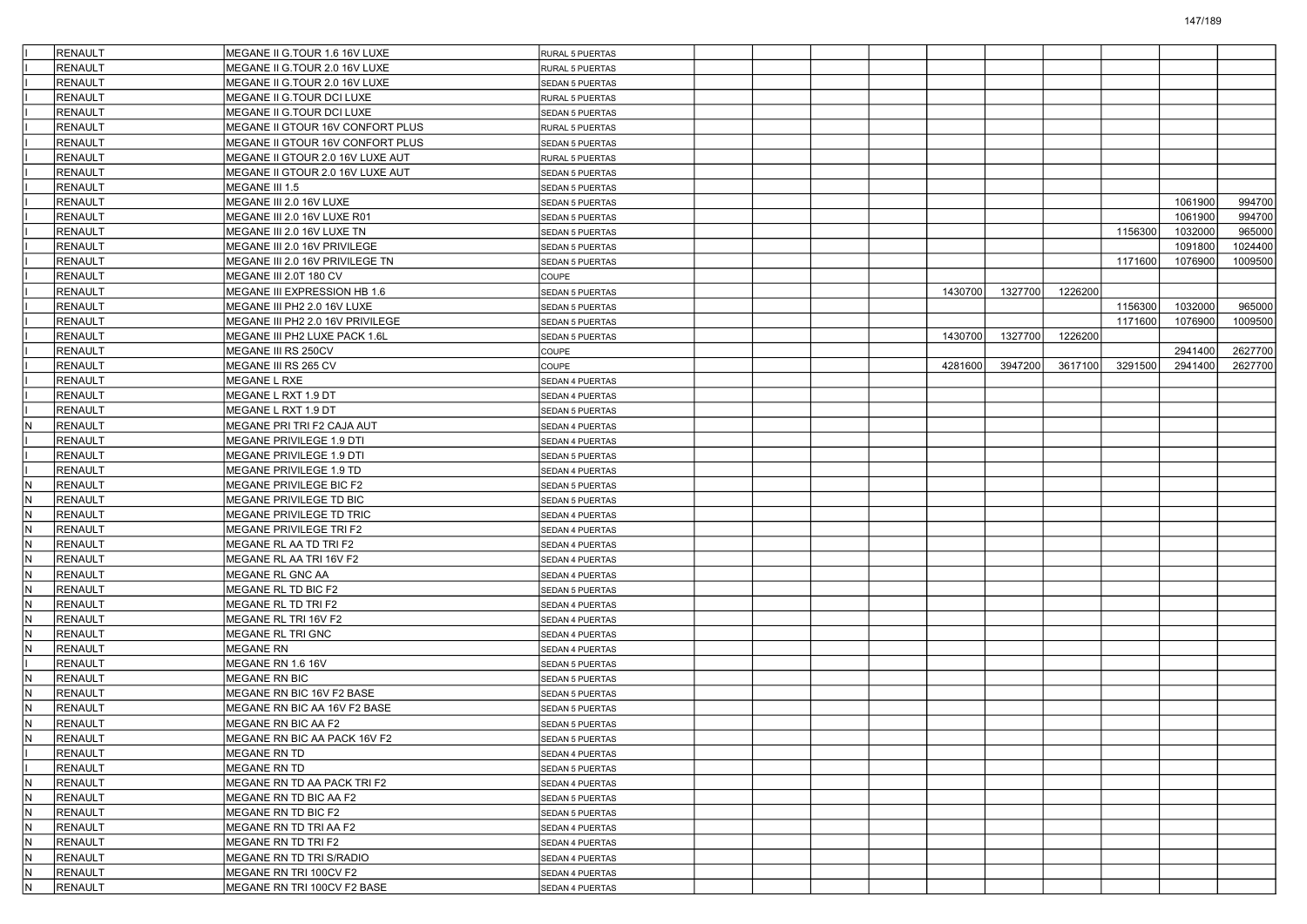|            | RENAULT        | MEGANE II G.TOUR 1.6 16V LUXE               | RURAL 5 PUERTAS                    |  |         |         |         |         |         |         |
|------------|----------------|---------------------------------------------|------------------------------------|--|---------|---------|---------|---------|---------|---------|
|            | <b>RENAULT</b> | MEGANE II G.TOUR 2.0 16V LUXE               | RURAL 5 PUERTAS                    |  |         |         |         |         |         |         |
|            | RENAULT        | MEGANE II G.TOUR 2.0 16V LUXE               | <b>SEDAN 5 PUERTAS</b>             |  |         |         |         |         |         |         |
|            | <b>RENAULT</b> | MEGANE II G.TOUR DCI LUXE                   | RURAL 5 PUERTAS                    |  |         |         |         |         |         |         |
|            | <b>RENAULT</b> | MEGANE II G.TOUR DCI LUXE                   | SEDAN 5 PUERTAS                    |  |         |         |         |         |         |         |
|            | RENAULT        | MEGANE II GTOUR 16V CONFORT PLUS            | RURAL 5 PUERTAS                    |  |         |         |         |         |         |         |
|            | RENAULT        | MEGANE II GTOUR 16V CONFORT PLUS            | <b>SEDAN 5 PUERTAS</b>             |  |         |         |         |         |         |         |
|            | RENAULT        | MEGANE II GTOUR 2.0 16V LUXE AUT            | RURAL 5 PUERTAS                    |  |         |         |         |         |         |         |
|            | <b>RENAULT</b> | MEGANE II GTOUR 2.0 16V LUXE AUT            | SEDAN 5 PUERTAS                    |  |         |         |         |         |         |         |
|            | <b>RENAULT</b> | MEGANE III 1.5                              | SEDAN 5 PUERTAS                    |  |         |         |         |         |         |         |
|            | RENAULT        | MEGANE III 2.0 16V LUXE                     | SEDAN 5 PUERTAS                    |  |         |         |         |         | 1061900 | 994700  |
|            | RENAULT        | MEGANE III 2.0 16V LUXE R01                 | <b>SEDAN 5 PUERTAS</b>             |  |         |         |         |         | 1061900 | 994700  |
|            | RENAULT        | MEGANE III 2.0 16V LUXE TN                  | <b>SEDAN 5 PUERTAS</b>             |  |         |         |         | 1156300 | 1032000 | 965000  |
|            | <b>RENAULT</b> | MEGANE III 2.0 16V PRIVILEGE                | SEDAN 5 PUERTAS                    |  |         |         |         |         | 1091800 | 1024400 |
|            | <b>RENAULT</b> | MEGANE III 2.0 16V PRIVILEGE TN             | <b>SEDAN 5 PUERTAS</b>             |  |         |         |         | 1171600 | 1076900 | 1009500 |
|            | RENAULT        | MEGANE III 2.0T 180 CV                      | COUPE                              |  |         |         |         |         |         |         |
|            | RENAULT        | MEGANE III EXPRESSION HB 1.6                | <b>SEDAN 5 PUERTAS</b>             |  | 1430700 | 1327700 | 1226200 |         |         |         |
|            | RENAULT        | MEGANE III PH2 2.0 16V LUXE                 | SEDAN 5 PUERTAS                    |  |         |         |         | 1156300 | 1032000 | 965000  |
|            | <b>RENAULT</b> | MEGANE III PH2 2.0 16V PRIVILEGE            | <b>SEDAN 5 PUERTAS</b>             |  |         |         |         | 1171600 | 1076900 | 1009500 |
|            | <b>RENAULT</b> | MEGANE III PH2 LUXE PACK 1.6L               | SEDAN 5 PUERTAS                    |  | 1430700 | 1327700 | 1226200 |         |         |         |
|            | RENAULT        | MEGANE III RS 250CV                         | COUPE                              |  |         |         |         |         | 2941400 | 2627700 |
|            | RENAULT        | MEGANE III RS 265 CV                        | COUPE                              |  | 4281600 | 3947200 | 3617100 | 3291500 | 2941400 | 2627700 |
|            | RENAULT        | MEGANE L RXE                                | SEDAN 4 PUERTAS                    |  |         |         |         |         |         |         |
|            | <b>RENAULT</b> | MEGANE L RXT 1.9 DT                         | SEDAN 4 PUERTAS                    |  |         |         |         |         |         |         |
|            | <b>RENAULT</b> | MEGANE L RXT 1.9 DT                         | SEDAN 5 PUERTAS                    |  |         |         |         |         |         |         |
| IN.        | RENAULT        | MEGANE PRI TRI F2 CAJA AUT                  | SEDAN 4 PUERTAS                    |  |         |         |         |         |         |         |
|            | RENAULT        | MEGANE PRIVILEGE 1.9 DTI                    | SEDAN 4 PUERTAS                    |  |         |         |         |         |         |         |
|            | RENAULT        | MEGANE PRIVILEGE 1.9 DTI                    | SEDAN 5 PUERTAS                    |  |         |         |         |         |         |         |
|            | <b>RENAULT</b> | MEGANE PRIVILEGE 1.9 TD                     | SEDAN 4 PUERTAS                    |  |         |         |         |         |         |         |
| lN.        | <b>RENAULT</b> | MEGANE PRIVILEGE BIC F2                     |                                    |  |         |         |         |         |         |         |
| IN.        | RENAULT        | MEGANE PRIVILEGE TD BIC                     | SEDAN 5 PUERTAS                    |  |         |         |         |         |         |         |
| N          | RENAULT        | MEGANE PRIVILEGE TD TRIC                    | SEDAN 5 PUERTAS                    |  |         |         |         |         |         |         |
| N.         | <b>RENAULT</b> | MEGANE PRIVILEGE TRI F2                     | SEDAN 4 PUERTAS<br>SEDAN 4 PUERTAS |  |         |         |         |         |         |         |
| lN         | <b>RENAULT</b> | MEGANE RL AA TD TRI F2                      |                                    |  |         |         |         |         |         |         |
| lN.        | <b>RENAULT</b> |                                             | SEDAN 4 PUERTAS                    |  |         |         |         |         |         |         |
| IN.        | RENAULT        | MEGANE RL AA TRI 16V F2<br>MEGANE RL GNC AA | SEDAN 4 PUERTAS                    |  |         |         |         |         |         |         |
| N          | RENAULT        |                                             | SEDAN 4 PUERTAS                    |  |         |         |         |         |         |         |
| IN.        | <b>RENAULT</b> | MEGANE RL TD BIC F2<br>MEGANE RL TD TRI F2  | SEDAN 5 PUERTAS                    |  |         |         |         |         |         |         |
|            |                |                                             | SEDAN 4 PUERTAS                    |  |         |         |         |         |         |         |
| lN         | <b>RENAULT</b> | MEGANE RL TRI 16V F2                        | SEDAN 4 PUERTAS                    |  |         |         |         |         |         |         |
| lN.<br>IN. | <b>RENAULT</b> | MEGANE RL TRI GNC                           | SEDAN 4 PUERTAS                    |  |         |         |         |         |         |         |
|            | RENAULT        | MEGANE RN                                   | SEDAN 4 PUERTAS                    |  |         |         |         |         |         |         |
| IN.        | <b>RENAULT</b> | MEGANE RN 1.6 16V                           | SEDAN 5 PUERTAS                    |  |         |         |         |         |         |         |
|            | RENAULT        | MEGANE RN BIC                               | <b>SEDAN 5 PUERTAS</b>             |  |         |         |         |         |         |         |
| lN         | <b>RENAULT</b> | MEGANE RN BIC 16V F2 BASE                   | <b>SEDAN 5 PUERTAS</b>             |  |         |         |         |         |         |         |
| lN.        | <b>RENAULT</b> | MEGANE RN BIC AA 16V F2 BASE                | SEDAN 5 PUERTAS                    |  |         |         |         |         |         |         |
| IN.        | RENAULT        | MEGANE RN BIC AA F2                         | <b>SEDAN 5 PUERTAS</b>             |  |         |         |         |         |         |         |
| N          | <b>RENAULT</b> | MEGANE RN BIC AA PACK 16V F2                | <b>SEDAN 5 PUERTAS</b>             |  |         |         |         |         |         |         |
|            | RENAULT        | MEGANE RN TD                                | SEDAN 4 PUERTAS                    |  |         |         |         |         |         |         |
|            | RENAULT        | MEGANE RN TD                                | SEDAN 5 PUERTAS                    |  |         |         |         |         |         |         |
| IN.        | RENAULT        | MEGANE RN TD AA PACK TRI F2                 | SEDAN 4 PUERTAS                    |  |         |         |         |         |         |         |
| N          | <b>RENAULT</b> | MEGANE RN TD BIC AA F2                      | SEDAN 5 PUERTAS                    |  |         |         |         |         |         |         |
| IN.        | RENAULT        | MEGANE RN TD BIC F2                         | SEDAN 5 PUERTAS                    |  |         |         |         |         |         |         |
| IN.        | RENAULT        | MEGANE RN TD TRI AA F2                      | SEDAN 4 PUERTAS                    |  |         |         |         |         |         |         |
| N.         | RENAULT        | MEGANE RN TD TRI F2                         | SEDAN 4 PUERTAS                    |  |         |         |         |         |         |         |
| IN.        | RENAULT        | MEGANE RN TD TRI S/RADIO                    | SEDAN 4 PUERTAS                    |  |         |         |         |         |         |         |
| IN.        | RENAULT        | MEGANE RN TRI 100CV F2                      | SEDAN 4 PUERTAS                    |  |         |         |         |         |         |         |
| IN.        | <b>RENAULT</b> | MEGANE RN TRI 100CV F2 BASE                 | SEDAN 4 PUERTAS                    |  |         |         |         |         |         |         |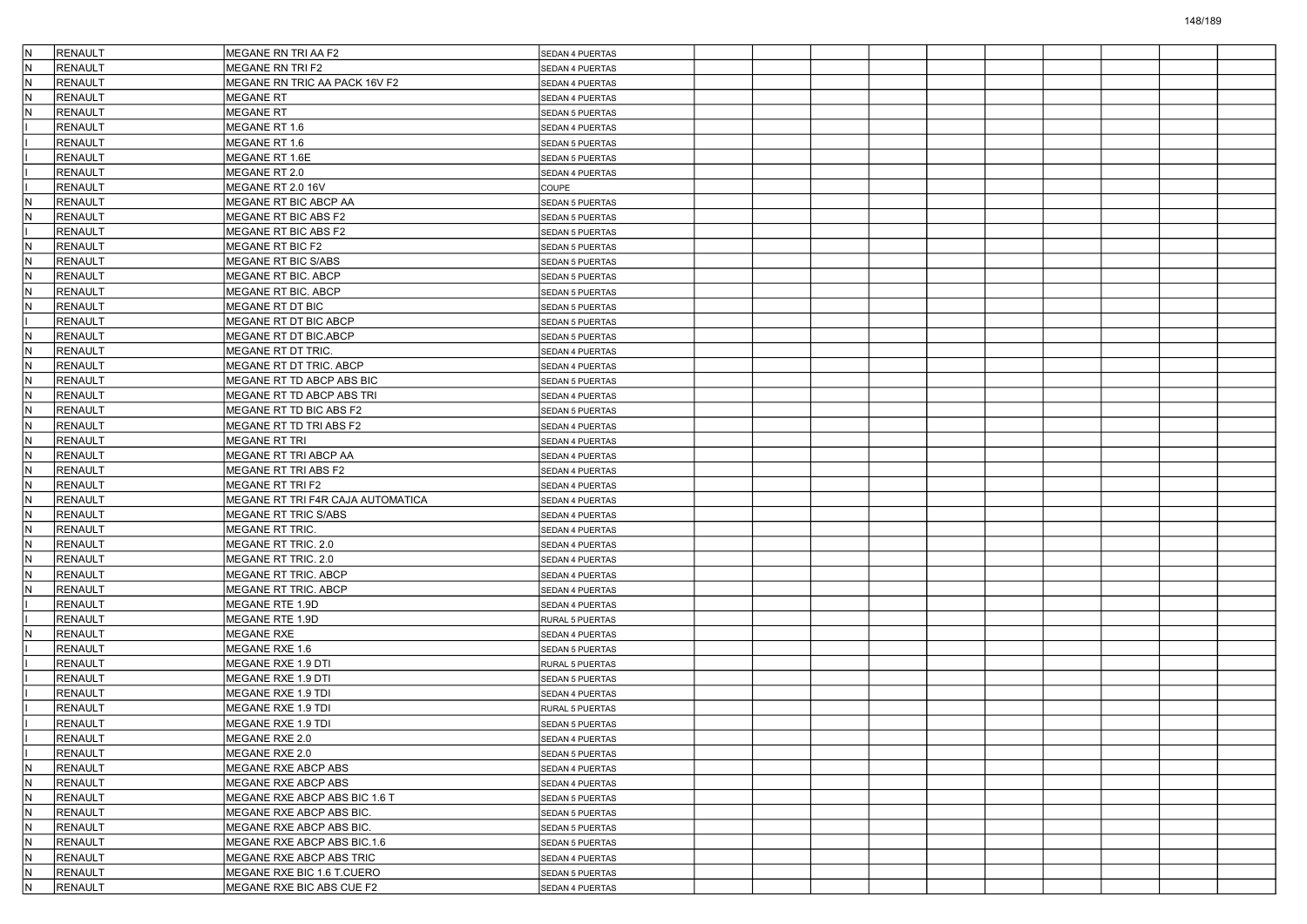| N   | RENAULT        | MEGANE RN TRI AA F2               | SEDAN 4 PUERTAS        |  |  |  |  |  |
|-----|----------------|-----------------------------------|------------------------|--|--|--|--|--|
| İN. | <b>RENAULT</b> | MEGANE RN TRI F2                  | SEDAN 4 PUERTAS        |  |  |  |  |  |
| IN. | RENAULT        | MEGANE RN TRIC AA PACK 16V F2     | SEDAN 4 PUERTAS        |  |  |  |  |  |
| IN. | RENAULT        | <b>MEGANE RT</b>                  | SEDAN 4 PUERTAS        |  |  |  |  |  |
| IN. | <b>RENAULT</b> | <b>MEGANE RT</b>                  | SEDAN 5 PUERTAS        |  |  |  |  |  |
|     | <b>RENAULT</b> | MEGANE RT 1.6                     | SEDAN 4 PUERTAS        |  |  |  |  |  |
|     | <b>RENAULT</b> | MEGANE RT 1.6                     | <b>SEDAN 5 PUERTAS</b> |  |  |  |  |  |
|     | RENAULT        | MEGANE RT 1.6E                    | SEDAN 5 PUERTAS        |  |  |  |  |  |
|     | RENAULT        | MEGANE RT 2.0                     | SEDAN 4 PUERTAS        |  |  |  |  |  |
|     | <b>RENAULT</b> | MEGANE RT 2.0 16V                 | COUPE                  |  |  |  |  |  |
| N.  | RENAULT        | MEGANE RT BIC ABCP AA             | <b>SEDAN 5 PUERTAS</b> |  |  |  |  |  |
| IN. | <b>RENAULT</b> | MEGANE RT BIC ABS F2              | <b>SEDAN 5 PUERTAS</b> |  |  |  |  |  |
|     | <b>RENAULT</b> | MEGANE RT BIC ABS F2              | SEDAN 5 PUERTAS        |  |  |  |  |  |
| IN. | RENAULT        | MEGANE RT BIC F2                  | SEDAN 5 PUERTAS        |  |  |  |  |  |
| lN. | <b>RENAULT</b> | MEGANE RT BIC S/ABS               | SEDAN 5 PUERTAS        |  |  |  |  |  |
| N.  | <b>RENAULT</b> | MEGANE RT BIC. ABCP               | <b>SEDAN 5 PUERTAS</b> |  |  |  |  |  |
| IN. | <b>RENAULT</b> | MEGANE RT BIC. ABCP               | SEDAN 5 PUERTAS        |  |  |  |  |  |
| IN. | RENAULT        | MEGANE RT DT BIC                  | SEDAN 5 PUERTAS        |  |  |  |  |  |
|     | RENAULT        | MEGANE RT DT BIC ABCP             | SEDAN 5 PUERTAS        |  |  |  |  |  |
| lN. | <b>RENAULT</b> | MEGANE RT DT BIC.ABCP             | SEDAN 5 PUERTAS        |  |  |  |  |  |
| N.  | <b>RENAULT</b> | MEGANE RT DT TRIC.                | SEDAN 4 PUERTAS        |  |  |  |  |  |
| IN. | <b>RENAULT</b> | MEGANE RT DT TRIC. ABCP           | SEDAN 4 PUERTAS        |  |  |  |  |  |
| IN. | <b>RENAULT</b> | MEGANE RT TD ABCP ABS BIC         | SEDAN 5 PUERTAS        |  |  |  |  |  |
| IN. | RENAULT        | MEGANE RT TD ABCP ABS TRI         | SEDAN 4 PUERTAS        |  |  |  |  |  |
| lN. | <b>RENAULT</b> | MEGANE RT TD BIC ABS F2           | <b>SEDAN 5 PUERTAS</b> |  |  |  |  |  |
| N.  | RENAULT        | MEGANE RT TD TRI ABS F2           | SEDAN 4 PUERTAS        |  |  |  |  |  |
| IN. | <b>RENAULT</b> | MEGANE RT TRI                     | SEDAN 4 PUERTAS        |  |  |  |  |  |
| IN. | <b>RENAULT</b> | MEGANE RT TRI ABCP AA             | SEDAN 4 PUERTAS        |  |  |  |  |  |
| IN. | RENAULT        | MEGANE RT TRI ABS F2              | SEDAN 4 PUERTAS        |  |  |  |  |  |
| lN. | <b>RENAULT</b> | MEGANE RT TRI F2                  | SEDAN 4 PUERTAS        |  |  |  |  |  |
| N.  | RENAULT        | MEGANE RT TRI F4R CAJA AUTOMATICA | SEDAN 4 PUERTAS        |  |  |  |  |  |
| IN. | <b>RENAULT</b> | MEGANE RT TRIC S/ABS              |                        |  |  |  |  |  |
| IN. | <b>RENAULT</b> | MEGANE RT TRIC.                   | SEDAN 4 PUERTAS        |  |  |  |  |  |
| IN. |                |                                   | SEDAN 4 PUERTAS        |  |  |  |  |  |
| lN. | RENAULT        | MEGANE RT TRIC. 2.0               | SEDAN 4 PUERTAS        |  |  |  |  |  |
| N.  | RENAULT        | MEGANE RT TRIC. 2.0               | SEDAN 4 PUERTAS        |  |  |  |  |  |
|     | RENAULT        | MEGANE RT TRIC. ABCP              | SEDAN 4 PUERTAS        |  |  |  |  |  |
| IN. | <b>RENAULT</b> | MEGANE RT TRIC. ABCP              | SEDAN 4 PUERTAS        |  |  |  |  |  |
|     | <b>RENAULT</b> | MEGANE RTE 1.9D                   | SEDAN 4 PUERTAS        |  |  |  |  |  |
|     | RENAULT        | MEGANE RTE 1.9D                   | RURAL 5 PUERTAS        |  |  |  |  |  |
| N   | RENAULT        | <b>MEGANE RXE</b>                 | SEDAN 4 PUERTAS        |  |  |  |  |  |
|     | RENAULT        | MEGANE RXE 1.6                    | <b>SEDAN 5 PUERTAS</b> |  |  |  |  |  |
|     | <b>RENAULT</b> | MEGANE RXE 1.9 DTI                | RURAL 5 PUERTAS        |  |  |  |  |  |
|     | <b>RENAULT</b> | MEGANE RXE 1.9 DTI                | SEDAN 5 PUERTAS        |  |  |  |  |  |
|     | RENAULT        | MEGANE RXE 1.9 TDI                | SEDAN 4 PUERTAS        |  |  |  |  |  |
|     | RENAULT        | MEGANE RXE 1.9 TDI                | RURAL 5 PUERTAS        |  |  |  |  |  |
|     | RENAULT        | MEGANE RXE 1.9 TDI                | <b>SEDAN 5 PUERTAS</b> |  |  |  |  |  |
|     | RENAULT        | MEGANE RXE 2.0                    | <b>SEDAN 4 PUERTAS</b> |  |  |  |  |  |
|     | RENAULT        | MEGANE RXE 2.0                    | SEDAN 5 PUERTAS        |  |  |  |  |  |
| İΝ. | <b>RENAULT</b> | MEGANE RXE ABCP ABS               | SEDAN 4 PUERTAS        |  |  |  |  |  |
| IN. | RENAULT        | MEGANE RXE ABCP ABS               | SEDAN 4 PUERTAS        |  |  |  |  |  |
| N   | RENAULT        | MEGANE RXE ABCP ABS BIC 1.6 T     | <b>SEDAN 5 PUERTAS</b> |  |  |  |  |  |
| N.  | RENAULT        | MEGANE RXE ABCP ABS BIC.          | SEDAN 5 PUERTAS        |  |  |  |  |  |
| IN. | RENAULT        | MEGANE RXE ABCP ABS BIC.          | SEDAN 5 PUERTAS        |  |  |  |  |  |
| IN. | RENAULT        | MEGANE RXE ABCP ABS BIC.1.6       | SEDAN 5 PUERTAS        |  |  |  |  |  |
| IN. | RENAULT        | MEGANE RXE ABCP ABS TRIC          | SEDAN 4 PUERTAS        |  |  |  |  |  |
| IN. | RENAULT        | MEGANE RXE BIC 1.6 T.CUERO        | SEDAN 5 PUERTAS        |  |  |  |  |  |
| İΝ. | <b>RENAULT</b> | MEGANE RXE BIC ABS CUE F2         | SEDAN 4 PUERTAS        |  |  |  |  |  |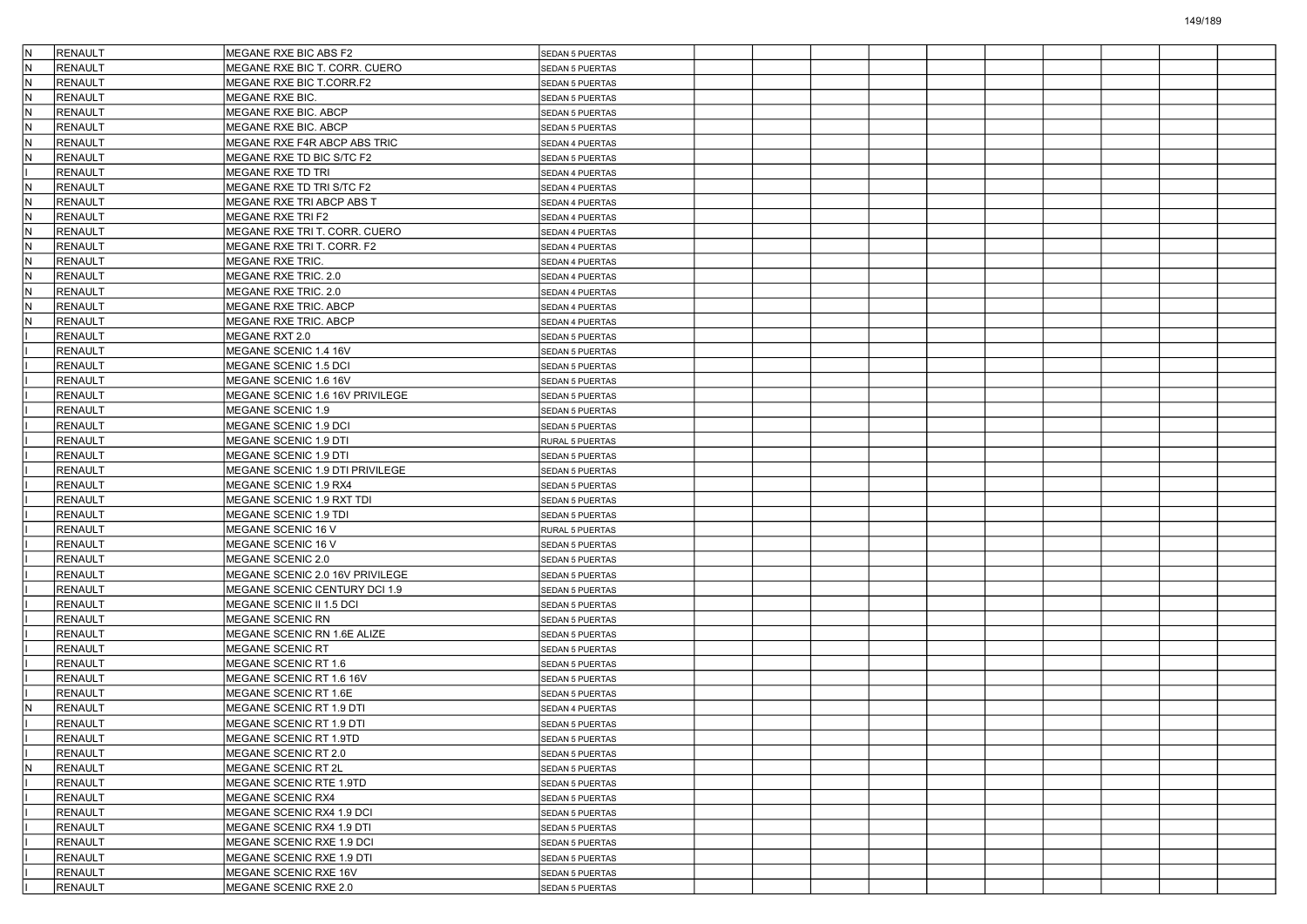| İΝ  | <b>RENAULT</b> | MEGANE RXE BIC ABS F2           | <b>SEDAN 5 PUERTAS</b> |  |  |  |  |  |
|-----|----------------|---------------------------------|------------------------|--|--|--|--|--|
| N   | RENAULT        | MEGANE RXE BIC T. CORR. CUERO   | <b>SEDAN 5 PUERTAS</b> |  |  |  |  |  |
| IN. | <b>RENAULT</b> | MEGANE RXE BIC T.CORR.F2        | <b>SEDAN 5 PUERTAS</b> |  |  |  |  |  |
| IN. | <b>RENAULT</b> | MEGANE RXE BIC.                 | SEDAN 5 PUERTAS        |  |  |  |  |  |
| N   | <b>RENAULT</b> | MEGANE RXE BIC. ABCP            | SEDAN 5 PUERTAS        |  |  |  |  |  |
| IN. | <b>RENAULT</b> | MEGANE RXE BIC. ABCP            | SEDAN 5 PUERTAS        |  |  |  |  |  |
| N   | <b>RENAULT</b> | MEGANE RXE F4R ABCP ABS TRIC    | SEDAN 4 PUERTAS        |  |  |  |  |  |
| N   | <b>RENAULT</b> | MEGANE RXE TD BIC S/TC F2       | <b>SEDAN 5 PUERTAS</b> |  |  |  |  |  |
|     | <b>RENAULT</b> | MEGANE RXE TD TRI               | SEDAN 4 PUERTAS        |  |  |  |  |  |
| N   | <b>RENAULT</b> | MEGANE RXE TD TRI S/TC F2       | SEDAN 4 PUERTAS        |  |  |  |  |  |
| IN. | <b>RENAULT</b> | MEGANE RXE TRI ABCP ABS T       | SEDAN 4 PUERTAS        |  |  |  |  |  |
| N   | <b>RENAULT</b> | MEGANE RXE TRI F2               | SEDAN 4 PUERTAS        |  |  |  |  |  |
| N   | <b>RENAULT</b> | MEGANE RXE TRI T. CORR. CUERO   | SEDAN 4 PUERTAS        |  |  |  |  |  |
| IN. | <b>RENAULT</b> | MEGANE RXE TRI T. CORR. F2      | SEDAN 4 PUERTAS        |  |  |  |  |  |
| N   | <b>RENAULT</b> | MEGANE RXE TRIC.                | SEDAN 4 PUERTAS        |  |  |  |  |  |
| IN. | <b>RENAULT</b> | MEGANE RXE TRIC. 2.0            | SEDAN 4 PUERTAS        |  |  |  |  |  |
| N   | <b>RENAULT</b> | MEGANE RXE TRIC. 2.0            | SEDAN 4 PUERTAS        |  |  |  |  |  |
| N   | <b>RENAULT</b> | MEGANE RXE TRIC. ABCP           | SEDAN 4 PUERTAS        |  |  |  |  |  |
| N   | <b>RENAULT</b> | MEGANE RXE TRIC. ABCP           | SEDAN 4 PUERTAS        |  |  |  |  |  |
|     | <b>RENAULT</b> | MEGANE RXT 2.0                  | SEDAN 5 PUERTAS        |  |  |  |  |  |
|     | <b>RENAULT</b> | MEGANE SCENIC 1.4 16V           | <b>SEDAN 5 PUERTAS</b> |  |  |  |  |  |
|     | <b>RENAULT</b> | MEGANE SCENIC 1.5 DCI           | SEDAN 5 PUERTAS        |  |  |  |  |  |
|     | <b>RENAULT</b> | MEGANE SCENIC 1.6 16V           | SEDAN 5 PUERTAS        |  |  |  |  |  |
|     | <b>RENAULT</b> | MEGANE SCENIC 1.6 16V PRIVILEGE | SEDAN 5 PUERTAS        |  |  |  |  |  |
|     | <b>RENAULT</b> | MEGANE SCENIC 1.9               | <b>SEDAN 5 PUERTAS</b> |  |  |  |  |  |
|     | <b>RENAULT</b> | MEGANE SCENIC 1.9 DCI           | SEDAN 5 PUERTAS        |  |  |  |  |  |
|     | <b>RENAULT</b> | MEGANE SCENIC 1.9 DTI           | RURAL 5 PUERTAS        |  |  |  |  |  |
|     | <b>RENAULT</b> | MEGANE SCENIC 1.9 DTI           | SEDAN 5 PUERTAS        |  |  |  |  |  |
|     | <b>RENAULT</b> | MEGANE SCENIC 1.9 DTI PRIVILEGE | SEDAN 5 PUERTAS        |  |  |  |  |  |
|     | <b>RENAULT</b> | MEGANE SCENIC 1.9 RX4           | <b>SEDAN 5 PUERTAS</b> |  |  |  |  |  |
|     | <b>RENAULT</b> | MEGANE SCENIC 1.9 RXT TDI       | SEDAN 5 PUERTAS        |  |  |  |  |  |
|     | <b>RENAULT</b> | MEGANE SCENIC 1.9 TDI           | SEDAN 5 PUERTAS        |  |  |  |  |  |
|     | <b>RENAULT</b> | MEGANE SCENIC 16 V              | RURAL 5 PUERTAS        |  |  |  |  |  |
|     | <b>RENAULT</b> | MEGANE SCENIC 16 V              | SEDAN 5 PUERTAS        |  |  |  |  |  |
|     | <b>RENAULT</b> | MEGANE SCENIC 2.0               | <b>SEDAN 5 PUERTAS</b> |  |  |  |  |  |
|     | <b>RENAULT</b> | MEGANE SCENIC 2.0 16V PRIVILEGE | SEDAN 5 PUERTAS        |  |  |  |  |  |
|     | RENAULT        | MEGANE SCENIC CENTURY DCI 1.9   | <b>SEDAN 5 PUERTAS</b> |  |  |  |  |  |
|     | <b>RENAULT</b> | MEGANE SCENIC II 1.5 DCI        | SEDAN 5 PUERTAS        |  |  |  |  |  |
|     | <b>RENAULT</b> | MEGANE SCENIC RN                | SEDAN 5 PUERTAS        |  |  |  |  |  |
|     | <b>RENAULT</b> | MEGANE SCENIC RN 1.6E ALIZE     | <b>SEDAN 5 PUERTAS</b> |  |  |  |  |  |
|     | <b>RENAULT</b> | MEGANE SCENIC RT                | SEDAN 5 PUERTAS        |  |  |  |  |  |
|     | RENAULT        | MEGANE SCENIC RT 1.6            | SEDAN 5 PUERTAS        |  |  |  |  |  |
|     | <b>RENAULT</b> | MEGANE SCENIC RT 1.6 16V        | SEDAN 5 PUERTAS        |  |  |  |  |  |
|     | <b>RENAULT</b> | MEGANE SCENIC RT 1.6E           | SEDAN 5 PUERTAS        |  |  |  |  |  |
|     | <b>RENAULT</b> | MEGANE SCENIC RT 1.9 DTI        | SEDAN 4 PUERTAS        |  |  |  |  |  |
|     | <b>RENAULT</b> | MEGANE SCENIC RT 1.9 DTI        | SEDAN 5 PUERTAS        |  |  |  |  |  |
|     | <b>RENAULT</b> | MEGANE SCENIC RT 1.9TD          | <b>SEDAN 5 PUERTAS</b> |  |  |  |  |  |
|     | <b>RENAULT</b> | MEGANE SCENIC RT 2.0            | SEDAN 5 PUERTAS        |  |  |  |  |  |
| IN. | RENAULT        | MEGANE SCENIC RT 2L             | SEDAN 5 PUERTAS        |  |  |  |  |  |
|     | <b>RENAULT</b> | MEGANE SCENIC RTE 1.9TD         | <b>SEDAN 5 PUERTAS</b> |  |  |  |  |  |
|     | RENAULT        | MEGANE SCENIC RX4               | SEDAN 5 PUERTAS        |  |  |  |  |  |
|     | <b>RENAULT</b> | MEGANE SCENIC RX4 1.9 DCI       | <b>SEDAN 5 PUERTAS</b> |  |  |  |  |  |
|     | <b>RENAULT</b> | MEGANE SCENIC RX4 1.9 DTI       | SEDAN 5 PUERTAS        |  |  |  |  |  |
|     | <b>RENAULT</b> | MEGANE SCENIC RXE 1.9 DCI       | SEDAN 5 PUERTAS        |  |  |  |  |  |
|     | <b>RENAULT</b> | MEGANE SCENIC RXE 1.9 DTI       | <b>SEDAN 5 PUERTAS</b> |  |  |  |  |  |
|     | RENAULT        | MEGANE SCENIC RXE 16V           | SEDAN 5 PUERTAS        |  |  |  |  |  |
|     | RENAULT        | MEGANE SCENIC RXE 2.0           | SEDAN 5 PUERTAS        |  |  |  |  |  |
|     |                |                                 |                        |  |  |  |  |  |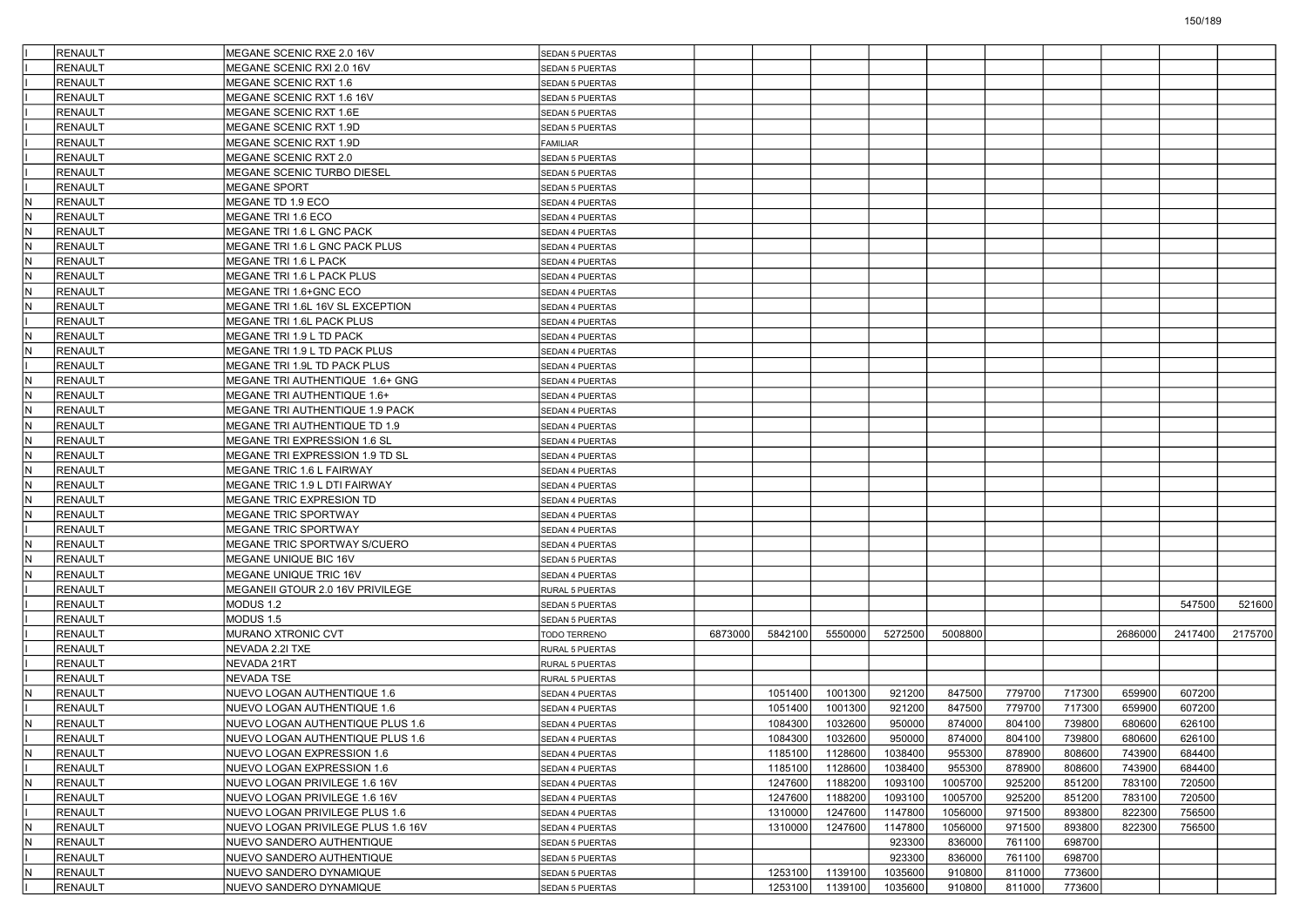|     | <b>RENAULT</b> | MEGANE SCENIC RXE 2.0 16V          | SEDAN 5 PUERTAS        |         |         |         |         |         |        |        |         |         |         |
|-----|----------------|------------------------------------|------------------------|---------|---------|---------|---------|---------|--------|--------|---------|---------|---------|
|     | <b>RENAULT</b> | MEGANE SCENIC RXI 2.0 16V          | <b>SEDAN 5 PUERTAS</b> |         |         |         |         |         |        |        |         |         |         |
|     | <b>RENAULT</b> | MEGANE SCENIC RXT 1.6              | SEDAN 5 PUERTAS        |         |         |         |         |         |        |        |         |         |         |
|     | <b>RENAULT</b> | MEGANE SCENIC RXT 1.6 16V          | SEDAN 5 PUERTAS        |         |         |         |         |         |        |        |         |         |         |
|     | <b>RENAULT</b> | MEGANE SCENIC RXT 1.6E             | SEDAN 5 PUERTAS        |         |         |         |         |         |        |        |         |         |         |
|     | <b>RENAULT</b> | MEGANE SCENIC RXT 1.9D             | SEDAN 5 PUERTAS        |         |         |         |         |         |        |        |         |         |         |
|     | <b>RENAULT</b> | MEGANE SCENIC RXT 1.9D             | FAMILIAR               |         |         |         |         |         |        |        |         |         |         |
|     | <b>RENAULT</b> | MEGANE SCENIC RXT 2.0              | SEDAN 5 PUERTAS        |         |         |         |         |         |        |        |         |         |         |
|     | <b>RENAULT</b> | MEGANE SCENIC TURBO DIESEL         | SEDAN 5 PUERTAS        |         |         |         |         |         |        |        |         |         |         |
|     | <b>RENAULT</b> | <b>MEGANE SPORT</b>                | SEDAN 5 PUERTAS        |         |         |         |         |         |        |        |         |         |         |
| İΝ  | <b>RENAULT</b> | MEGANE TD 1.9 ECO                  | SEDAN 4 PUERTAS        |         |         |         |         |         |        |        |         |         |         |
| N   | <b>RENAULT</b> | MEGANE TRI 1.6 ECO                 | SEDAN 4 PUERTAS        |         |         |         |         |         |        |        |         |         |         |
| lN  | <b>RENAULT</b> | MEGANE TRI 1.6 L GNC PACK          | SEDAN 4 PUERTAS        |         |         |         |         |         |        |        |         |         |         |
| IN. | <b>RENAULT</b> | MEGANE TRI 1.6 L GNC PACK PLUS     | SEDAN 4 PUERTAS        |         |         |         |         |         |        |        |         |         |         |
| lN. | <b>RENAULT</b> | MEGANE TRI 1.6 L PACK              | SEDAN 4 PUERTAS        |         |         |         |         |         |        |        |         |         |         |
| lN  | <b>RENAULT</b> | MEGANE TRI 1.6 L PACK PLUS         | SEDAN 4 PUERTAS        |         |         |         |         |         |        |        |         |         |         |
| N   | <b>RENAULT</b> | MEGANE TRI 1.6+GNC ECO             | SEDAN 4 PUERTAS        |         |         |         |         |         |        |        |         |         |         |
| lN  | <b>RENAULT</b> | MEGANE TRI 1.6L 16V SL EXCEPTION   | SEDAN 4 PUERTAS        |         |         |         |         |         |        |        |         |         |         |
|     | <b>RENAULT</b> | MEGANE TRI 1.6L PACK PLUS          | SEDAN 4 PUERTAS        |         |         |         |         |         |        |        |         |         |         |
| lN. | <b>RENAULT</b> | MEGANE TRI 1.9 L TD PACK           | SEDAN 4 PUERTAS        |         |         |         |         |         |        |        |         |         |         |
| IN. | <b>RENAULT</b> | MEGANE TRI 1.9 L TD PACK PLUS      | SEDAN 4 PUERTAS        |         |         |         |         |         |        |        |         |         |         |
|     | <b>RENAULT</b> | MEGANE TRI 1.9L TD PACK PLUS       | SEDAN 4 PUERTAS        |         |         |         |         |         |        |        |         |         |         |
| IN. | <b>RENAULT</b> | MEGANE TRI AUTHENTIQUE 1.6+ GNG    | SEDAN 4 PUERTAS        |         |         |         |         |         |        |        |         |         |         |
| IN. | <b>RENAULT</b> | MEGANE TRI AUTHENTIQUE 1.6+        | SEDAN 4 PUERTAS        |         |         |         |         |         |        |        |         |         |         |
| lΝ  | <b>RENAULT</b> | MEGANE TRI AUTHENTIQUE 1.9 PACK    | SEDAN 4 PUERTAS        |         |         |         |         |         |        |        |         |         |         |
| İN. | <b>RENAULT</b> | MEGANE TRI AUTHENTIQUE TD 1.9      | SEDAN 4 PUERTAS        |         |         |         |         |         |        |        |         |         |         |
| lΝ  | <b>RENAULT</b> | MEGANE TRI EXPRESSION 1.6 SL       | SEDAN 4 PUERTAS        |         |         |         |         |         |        |        |         |         |         |
| IN. | <b>RENAULT</b> | MEGANE TRI EXPRESSION 1.9 TD SL    | SEDAN 4 PUERTAS        |         |         |         |         |         |        |        |         |         |         |
| IN. | <b>RENAULT</b> | <b>MEGANE TRIC 1.6 L FAIRWAY</b>   | SEDAN 4 PUERTAS        |         |         |         |         |         |        |        |         |         |         |
| lΝ  | <b>RENAULT</b> | MEGANE TRIC 1.9 L DTI FAIRWAY      | SEDAN 4 PUERTAS        |         |         |         |         |         |        |        |         |         |         |
| lN  | <b>RENAULT</b> | MEGANE TRIC EXPRESION TD           | SEDAN 4 PUERTAS        |         |         |         |         |         |        |        |         |         |         |
| N   | <b>RENAULT</b> | MEGANE TRIC SPORTWAY               | SEDAN 4 PUERTAS        |         |         |         |         |         |        |        |         |         |         |
|     | <b>RENAULT</b> | MEGANE TRIC SPORTWAY               | SEDAN 4 PUERTAS        |         |         |         |         |         |        |        |         |         |         |
| IN. | <b>RENAULT</b> | MEGANE TRIC SPORTWAY S/CUERO       | SEDAN 4 PUERTAS        |         |         |         |         |         |        |        |         |         |         |
| lΝ  | <b>RENAULT</b> | MEGANE UNIQUE BIC 16V              | <b>SEDAN 5 PUERTAS</b> |         |         |         |         |         |        |        |         |         |         |
| lΝ  | <b>RENAULT</b> | MEGANE UNIQUE TRIC 16V             | SEDAN 4 PUERTAS        |         |         |         |         |         |        |        |         |         |         |
|     | <b>RENAULT</b> | MEGANEII GTOUR 2.0 16V PRIVILEGE   | RURAL 5 PUERTAS        |         |         |         |         |         |        |        |         |         |         |
|     | <b>RENAULT</b> | MODUS 1.2                          | SEDAN 5 PUERTAS        |         |         |         |         |         |        |        |         | 547500  | 521600  |
|     | <b>RENAULT</b> | MODUS 1.5                          | SEDAN 5 PUERTAS        |         |         |         |         |         |        |        |         |         |         |
|     | <b>RENAULT</b> | MURANO XTRONIC CVT                 | TODO TERRENO           | 6873000 | 5842100 | 5550000 | 5272500 | 5008800 |        |        | 2686000 | 2417400 | 2175700 |
|     | <b>RENAULT</b> | NEVADA 2.2I TXE                    | <b>RURAL 5 PUERTAS</b> |         |         |         |         |         |        |        |         |         |         |
|     | <b>RENAULT</b> | NEVADA 21RT                        | RURAL 5 PUERTAS        |         |         |         |         |         |        |        |         |         |         |
|     | <b>RENAULT</b> | NEVADA TSE                         | RURAL 5 PUERTAS        |         |         |         |         |         |        |        |         |         |         |
| IN. | <b>RENAULT</b> | NUEVO LOGAN AUTHENTIQUE 1.6        | SEDAN 4 PUERTAS        |         | 1051400 | 1001300 | 921200  | 847500  | 779700 | 717300 | 659900  | 607200  |         |
|     | <b>RENAULT</b> | NUEVO LOGAN AUTHENTIQUE 1.6        | SEDAN 4 PUERTAS        |         | 1051400 | 1001300 | 921200  | 847500  | 779700 | 717300 | 659900  | 607200  |         |
| IN. | <b>RENAULT</b> | NUEVO LOGAN AUTHENTIQUE PLUS 1.6   | SEDAN 4 PUERTAS        |         | 1084300 | 1032600 | 950000  | 874000  | 804100 | 739800 | 680600  | 626100  |         |
|     | RENAULT        | NUEVO LOGAN AUTHENTIQUE PLUS 1.6   | SEDAN 4 PUERTAS        |         | 1084300 | 1032600 | 950000  | 874000  | 804100 | 739800 | 680600  | 626100  |         |
| IN. | <b>RENAULT</b> | NUEVO LOGAN EXPRESSION 1.6         | SEDAN 4 PUERTAS        |         | 1185100 | 1128600 | 1038400 | 955300  | 878900 | 808600 | 743900  | 684400  |         |
|     | RENAULT        | NUEVO LOGAN EXPRESSION 1.6         | SEDAN 4 PUERTAS        |         | 1185100 | 1128600 | 1038400 | 955300  | 878900 | 808600 | 743900  | 684400  |         |
| lN. | RENAULT        | NUEVO LOGAN PRIVILEGE 1.6 16V      | SEDAN 4 PUERTAS        |         | 1247600 | 1188200 | 1093100 | 1005700 | 925200 | 851200 | 783100  | 720500  |         |
|     | RENAULT        | NUEVO LOGAN PRIVILEGE 1.6 16V      | SEDAN 4 PUERTAS        |         | 1247600 | 1188200 | 1093100 | 1005700 | 925200 | 851200 | 783100  | 720500  |         |
|     | RENAULT        | NUEVO LOGAN PRIVILEGE PLUS 1.6     | SEDAN 4 PUERTAS        |         | 1310000 | 1247600 | 1147800 | 1056000 | 971500 | 893800 | 822300  | 756500  |         |
| IN. | RENAULT        | NUEVO LOGAN PRIVILEGE PLUS 1.6 16V | SEDAN 4 PUERTAS        |         | 1310000 | 1247600 | 1147800 | 1056000 | 971500 | 893800 | 822300  | 756500  |         |
| IN. | RENAULT        | NUEVO SANDERO AUTHENTIQUE          | SEDAN 5 PUERTAS        |         |         |         | 923300  | 836000  | 761100 | 698700 |         |         |         |
|     | RENAULT        | NUEVO SANDERO AUTHENTIQUE          | SEDAN 5 PUERTAS        |         |         |         | 923300  | 836000  | 761100 | 698700 |         |         |         |
| IN. | RENAULT        | NUEVO SANDERO DYNAMIQUE            | <b>SEDAN 5 PUERTAS</b> |         | 1253100 | 1139100 | 1035600 | 910800  | 811000 | 773600 |         |         |         |
|     | <b>RENAULT</b> | NUEVO SANDERO DYNAMIQUE            | <b>SEDAN 5 PUERTAS</b> |         | 1253100 | 1139100 | 1035600 | 910800  | 811000 | 773600 |         |         |         |
|     |                |                                    |                        |         |         |         |         |         |        |        |         |         |         |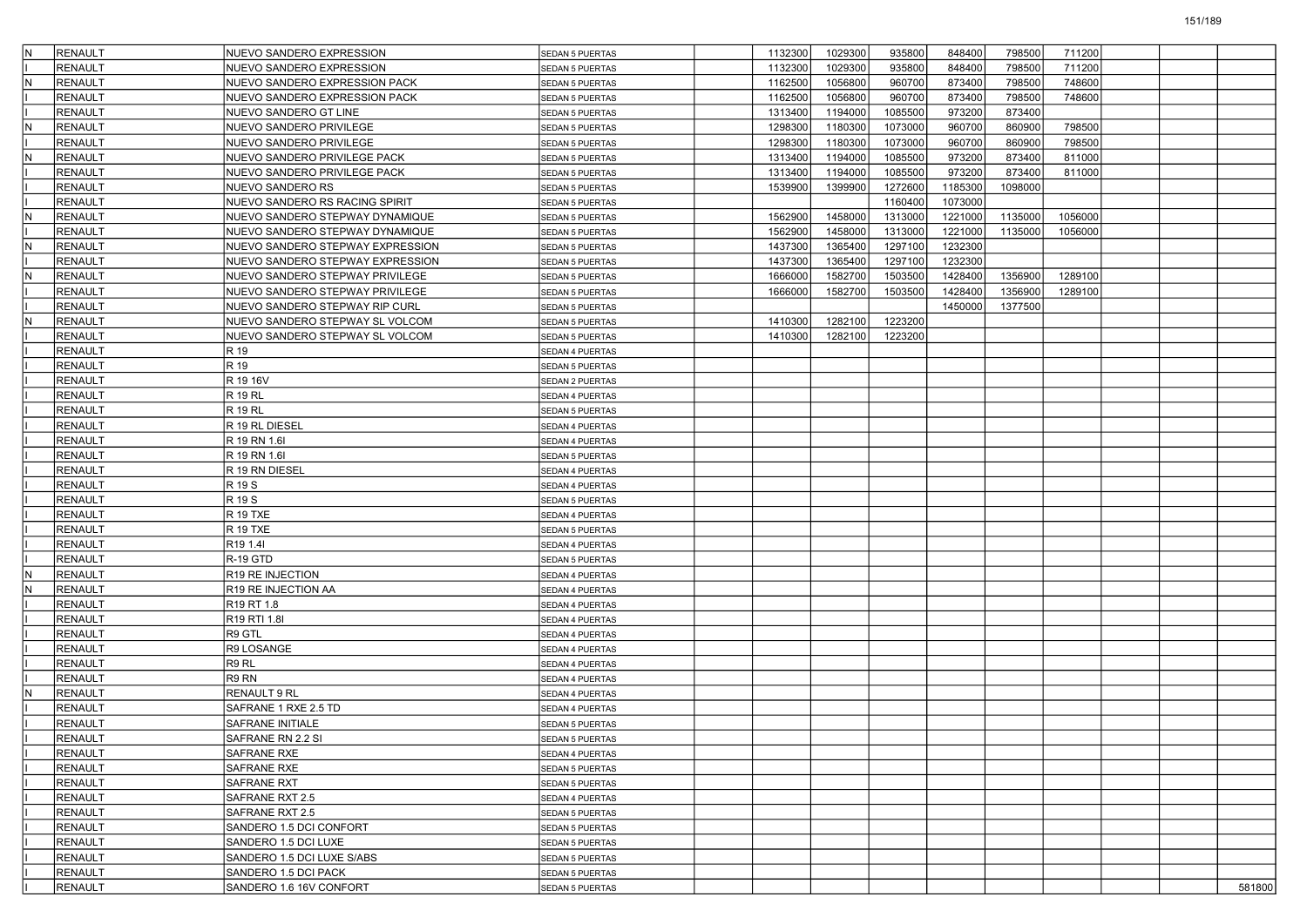|   | RENAULT        | NUEVO SANDERO EXPRESSION              | SEDAN 5 PUERTAS        | 1132300 | 1029300 | 935800  | 848400  | 798500  | 711200  |  |        |
|---|----------------|---------------------------------------|------------------------|---------|---------|---------|---------|---------|---------|--|--------|
|   | RENAULT        | NUEVO SANDERO EXPRESSION              | SEDAN 5 PUERTAS        | 1132300 | 1029300 | 935800  | 848400  | 798500  | 711200  |  |        |
| N | <b>RENAULT</b> | NUEVO SANDERO EXPRESSION PACK         | SEDAN 5 PUERTAS        | 1162500 | 1056800 | 960700  | 873400  | 798500  | 748600  |  |        |
|   | <b>RENAULT</b> | NUEVO SANDERO EXPRESSION PACK         | <b>SEDAN 5 PUERTAS</b> | 1162500 | 1056800 | 960700  | 873400  | 798500  | 748600  |  |        |
|   | <b>RENAULT</b> | NUEVO SANDERO GT LINE                 | SEDAN 5 PUERTAS        | 1313400 | 1194000 | 1085500 | 973200  | 873400  |         |  |        |
|   | RENAULT        | NUEVO SANDERO PRIVILEGE               | <b>SEDAN 5 PUERTAS</b> | 1298300 | 1180300 | 1073000 | 960700  | 860900  | 798500  |  |        |
|   | RENAULT        | NUEVO SANDERO PRIVILEGE               | SEDAN 5 PUERTAS        | 1298300 | 1180300 | 1073000 | 960700  | 860900  | 798500  |  |        |
| N | <b>RENAULT</b> | NUEVO SANDERO PRIVILEGE PACK          | <b>SEDAN 5 PUERTAS</b> | 1313400 | 1194000 | 1085500 | 973200  | 873400  | 811000  |  |        |
|   | <b>RENAULT</b> | NUEVO SANDERO PRIVILEGE PACK          | SEDAN 5 PUERTAS        | 1313400 | 1194000 | 1085500 | 973200  | 873400  | 811000  |  |        |
|   | <b>RENAULT</b> | NUEVO SANDERO RS                      | SEDAN 5 PUERTAS        | 1539900 | 1399900 | 1272600 | 1185300 | 1098000 |         |  |        |
|   | RENAULT        | NUEVO SANDERO RS RACING SPIRIT        | SEDAN 5 PUERTAS        |         |         | 1160400 | 1073000 |         |         |  |        |
| N | <b>RENAULT</b> | NUEVO SANDERO STEPWAY DYNAMIQUE       | SEDAN 5 PUERTAS        | 1562900 | 1458000 | 1313000 | 1221000 | 1135000 | 1056000 |  |        |
|   | <b>RENAULT</b> | NUEVO SANDERO STEPWAY DYNAMIQUE       | SEDAN 5 PUERTAS        | 1562900 | 1458000 | 1313000 | 1221000 | 1135000 | 1056000 |  |        |
| N | <b>RENAULT</b> | NUEVO SANDERO STEPWAY EXPRESSION      | SEDAN 5 PUERTAS        | 1437300 | 1365400 | 1297100 | 1232300 |         |         |  |        |
|   | <b>RENAULT</b> | NUEVO SANDERO STEPWAY EXPRESSION      | SEDAN 5 PUERTAS        | 1437300 | 1365400 | 1297100 | 1232300 |         |         |  |        |
|   | RENAULT        | NUEVO SANDERO STEPWAY PRIVILEGE       | SEDAN 5 PUERTAS        | 1666000 | 1582700 | 1503500 | 1428400 | 1356900 | 1289100 |  |        |
|   | <b>RENAULT</b> | NUEVO SANDERO STEPWAY PRIVILEGE       | SEDAN 5 PUERTAS        | 1666000 | 1582700 | 1503500 | 1428400 | 1356900 | 1289100 |  |        |
|   | <b>RENAULT</b> | NUEVO SANDERO STEPWAY RIP CURL        | SEDAN 5 PUERTAS        |         |         |         | 1450000 | 1377500 |         |  |        |
| N | <b>RENAULT</b> | NUEVO SANDERO STEPWAY SL VOLCOM       | SEDAN 5 PUERTAS        | 1410300 | 1282100 | 1223200 |         |         |         |  |        |
|   | <b>RENAULT</b> | NUEVO SANDERO STEPWAY SL VOLCOM       | SEDAN 5 PUERTAS        | 1410300 | 1282100 | 1223200 |         |         |         |  |        |
|   | RENAULT        | R 19                                  | SEDAN 4 PUERTAS        |         |         |         |         |         |         |  |        |
|   | <b>RENAULT</b> | R 19                                  | SEDAN 5 PUERTAS        |         |         |         |         |         |         |  |        |
|   | <b>RENAULT</b> | R 19 16V                              | <b>SEDAN 2 PUERTAS</b> |         |         |         |         |         |         |  |        |
|   | <b>RENAULT</b> | <b>R 19 RL</b>                        | SEDAN 4 PUERTAS        |         |         |         |         |         |         |  |        |
|   | <b>RENAULT</b> | <b>R 19 RL</b>                        | SEDAN 5 PUERTAS        |         |         |         |         |         |         |  |        |
|   | RENAULT        | R 19 RL DIESEL                        | SEDAN 4 PUERTAS        |         |         |         |         |         |         |  |        |
|   | <b>RENAULT</b> | R 19 RN 1.6I                          | SEDAN 4 PUERTAS        |         |         |         |         |         |         |  |        |
|   | <b>RENAULT</b> | R 19 RN 1.6I                          | <b>SEDAN 5 PUERTAS</b> |         |         |         |         |         |         |  |        |
|   | <b>RENAULT</b> | R 19 RN DIESEL                        | SEDAN 4 PUERTAS        |         |         |         |         |         |         |  |        |
|   | <b>RENAULT</b> | R 19 S                                | SEDAN 4 PUERTAS        |         |         |         |         |         |         |  |        |
|   | RENAULT        | R 19 S                                | SEDAN 5 PUERTAS        |         |         |         |         |         |         |  |        |
|   | <b>RENAULT</b> | <b>R 19 TXE</b>                       | SEDAN 4 PUERTAS        |         |         |         |         |         |         |  |        |
|   | <b>RENAULT</b> | <b>R 19 TXE</b>                       | <b>SEDAN 5 PUERTAS</b> |         |         |         |         |         |         |  |        |
|   | <b>RENAULT</b> | R <sub>19</sub> 1.4I                  | SEDAN 4 PUERTAS        |         |         |         |         |         |         |  |        |
|   | <b>RENAULT</b> | R-19 GTD                              | SEDAN 5 PUERTAS        |         |         |         |         |         |         |  |        |
| N | RENAULT        | R19 RE INJECTION                      | SEDAN 4 PUERTAS        |         |         |         |         |         |         |  |        |
| N | <b>RENAULT</b> | R19 RE INJECTION AA                   | SEDAN 4 PUERTAS        |         |         |         |         |         |         |  |        |
|   | <b>RENAULT</b> | R <sub>19</sub> RT 1.8                | <b>SEDAN 4 PUERTAS</b> |         |         |         |         |         |         |  |        |
|   | <b>RENAULT</b> | R <sub>19</sub> R <sub>T</sub> I 1.8I | SEDAN 4 PUERTAS        |         |         |         |         |         |         |  |        |
|   | <b>RENAULT</b> | R9 GTL                                | SEDAN 4 PUERTAS        |         |         |         |         |         |         |  |        |
|   | RENAULT        | R9 LOSANGE                            | SEDAN 4 PUERTAS        |         |         |         |         |         |         |  |        |
|   | <b>RENAULT</b> | R9 RL                                 | SEDAN 4 PUERTAS        |         |         |         |         |         |         |  |        |
|   | <b>RENAULT</b> | R9 RN                                 | <b>SEDAN 4 PUERTAS</b> |         |         |         |         |         |         |  |        |
| N | <b>RENAULT</b> | <b>RENAULT 9 RL</b>                   | SEDAN 4 PUERTAS        |         |         |         |         |         |         |  |        |
|   | RENAULT        | SAFRANE 1 RXE 2.5 TD                  | SEDAN 4 PUERTAS        |         |         |         |         |         |         |  |        |
|   | RENAULT        | <b>SAFRANE INITIALE</b>               | <b>SEDAN 5 PUERTAS</b> |         |         |         |         |         |         |  |        |
|   | RENAULT        | SAFRANE RN 2.2 SI                     | SEDAN 5 PUERTAS        |         |         |         |         |         |         |  |        |
|   | <b>RENAULT</b> | <b>SAFRANE RXE</b>                    | SEDAN 4 PUERTAS        |         |         |         |         |         |         |  |        |
|   | RENAULT        | <b>SAFRANE RXE</b>                    | SEDAN 5 PUERTAS        |         |         |         |         |         |         |  |        |
|   | <b>RENAULT</b> | <b>SAFRANE RXT</b>                    | SEDAN 5 PUERTAS        |         |         |         |         |         |         |  |        |
|   | <b>RENAULT</b> | SAFRANE RXT 2.5                       | SEDAN 4 PUERTAS        |         |         |         |         |         |         |  |        |
|   | <b>RENAULT</b> | SAFRANE RXT 2.5                       | <b>SEDAN 5 PUERTAS</b> |         |         |         |         |         |         |  |        |
|   | <b>RENAULT</b> | SANDERO 1.5 DCI CONFORT               | SEDAN 5 PUERTAS        |         |         |         |         |         |         |  |        |
|   | RENAULT        | SANDERO 1.5 DCI LUXE                  | SEDAN 5 PUERTAS        |         |         |         |         |         |         |  |        |
|   | <b>RENAULT</b> | SANDERO 1.5 DCI LUXE S/ABS            | SEDAN 5 PUERTAS        |         |         |         |         |         |         |  |        |
|   | <b>RENAULT</b> | SANDERO 1.5 DCI PACK                  | SEDAN 5 PUERTAS        |         |         |         |         |         |         |  |        |
|   | <b>RENAULT</b> | SANDERO 1.6 16V CONFORT               | SEDAN 5 PUERTAS        |         |         |         |         |         |         |  | 581800 |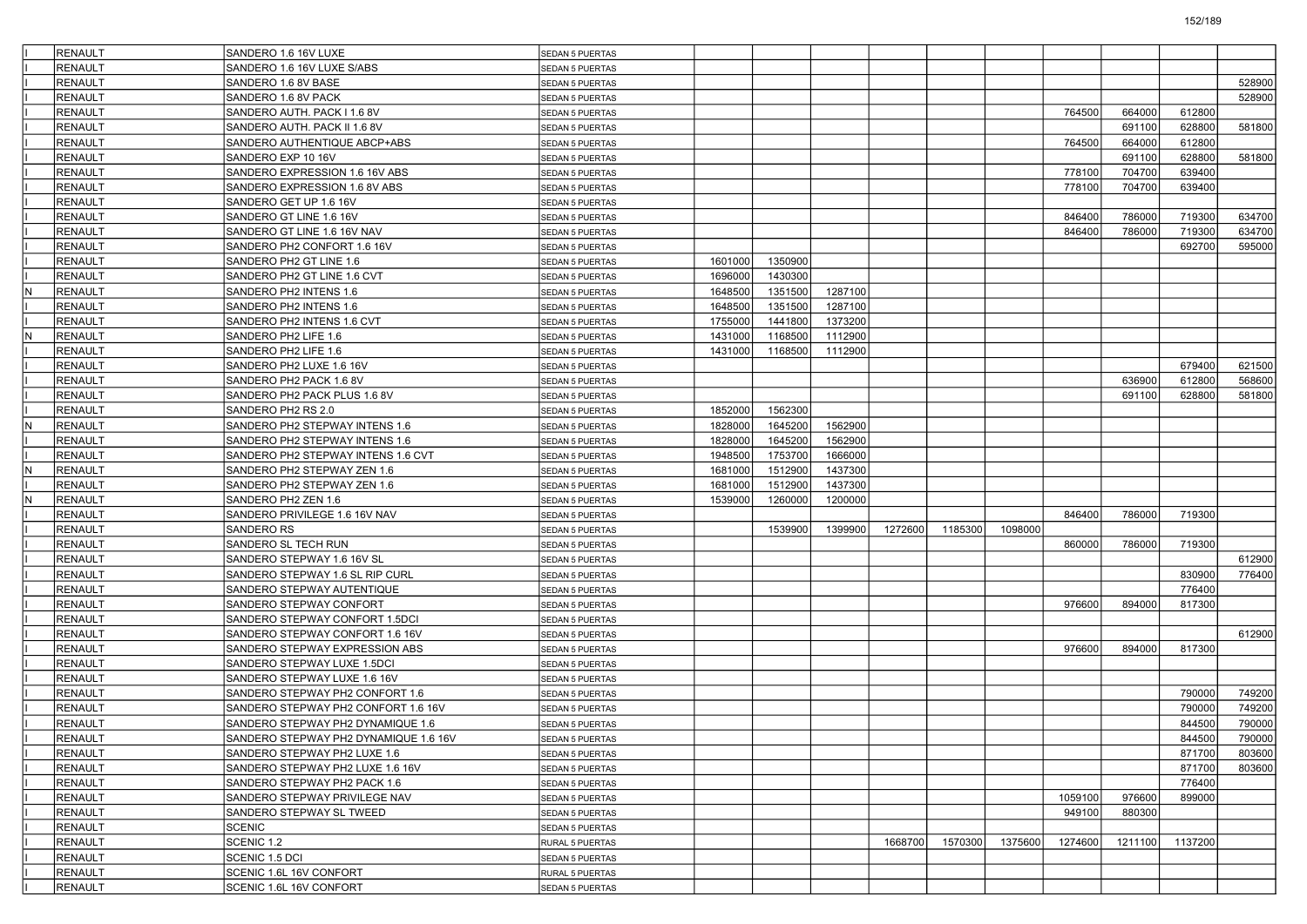|     | <b>RENAULT</b> | SANDERO 1.6 16V LUXE                  | SEDAN 5 PUERTAS        |         |         |         |         |         |         |         |         |         |        |
|-----|----------------|---------------------------------------|------------------------|---------|---------|---------|---------|---------|---------|---------|---------|---------|--------|
|     | <b>RENAULT</b> | SANDERO 1.6 16V LUXE S/ABS            | <b>SEDAN 5 PUERTAS</b> |         |         |         |         |         |         |         |         |         |        |
|     | <b>RENAULT</b> | SANDERO 1.6 8V BASE                   | SEDAN 5 PUERTAS        |         |         |         |         |         |         |         |         |         | 528900 |
|     | <b>RENAULT</b> | SANDERO 1.6 8V PACK                   | <b>SEDAN 5 PUERTAS</b> |         |         |         |         |         |         |         |         |         | 528900 |
|     | <b>RENAULT</b> | SANDERO AUTH. PACK I 1.6 8V           | SEDAN 5 PUERTAS        |         |         |         |         |         |         | 764500  | 664000  | 612800  |        |
|     | <b>RENAULT</b> | SANDERO AUTH. PACK II 1.6 8V          | <b>SEDAN 5 PUERTAS</b> |         |         |         |         |         |         |         | 691100  | 628800  | 581800 |
|     | <b>RENAULT</b> | SANDERO AUTHENTIQUE ABCP+ABS          | <b>SEDAN 5 PUERTAS</b> |         |         |         |         |         |         | 764500  | 664000  | 612800  |        |
|     | <b>RENAULT</b> | SANDERO EXP 10 16V                    | SEDAN 5 PUERTAS        |         |         |         |         |         |         |         | 691100  | 628800  | 581800 |
|     | <b>RENAULT</b> | SANDERO EXPRESSION 1.6 16V ABS        | SEDAN 5 PUERTAS        |         |         |         |         |         |         | 778100  | 704700  | 639400  |        |
|     | <b>RENAULT</b> | SANDERO EXPRESSION 1.6 8V ABS         | SEDAN 5 PUERTAS        |         |         |         |         |         |         | 778100  | 704700  | 639400  |        |
|     | <b>RENAULT</b> | SANDERO GET UP 1.6 16V                | <b>SEDAN 5 PUERTAS</b> |         |         |         |         |         |         |         |         |         |        |
|     | <b>RENAULT</b> | SANDERO GT LINE 1.6 16V               | <b>SEDAN 5 PUERTAS</b> |         |         |         |         |         |         | 846400  | 786000  | 719300  | 634700 |
|     | <b>RENAULT</b> | SANDERO GT LINE 1.6 16V NAV           | SEDAN 5 PUERTAS        |         |         |         |         |         |         | 846400  | 786000  | 719300  | 634700 |
|     | <b>RENAULT</b> | SANDERO PH2 CONFORT 1.6 16V           | <b>SEDAN 5 PUERTAS</b> |         |         |         |         |         |         |         |         | 692700  | 595000 |
|     | <b>RENAULT</b> | SANDERO PH2 GT LINE 1.6               | SEDAN 5 PUERTAS        | 1601000 | 1350900 |         |         |         |         |         |         |         |        |
|     | RENAULT        | SANDERO PH2 GT LINE 1.6 CVT           | SEDAN 5 PUERTAS        | 1696000 | 1430300 |         |         |         |         |         |         |         |        |
| N   | <b>RENAULT</b> | SANDERO PH2 INTENS 1.6                | <b>SEDAN 5 PUERTAS</b> | 1648500 | 1351500 | 1287100 |         |         |         |         |         |         |        |
|     | <b>RENAULT</b> | SANDERO PH2 INTENS 1.6                | SEDAN 5 PUERTAS        | 1648500 | 1351500 | 1287100 |         |         |         |         |         |         |        |
|     | <b>RENAULT</b> | SANDERO PH2 INTENS 1.6 CVT            | SEDAN 5 PUERTAS        | 1755000 | 1441800 | 1373200 |         |         |         |         |         |         |        |
| N   | <b>RENAULT</b> | SANDERO PH2 LIFE 1.6                  | SEDAN 5 PUERTAS        | 1431000 | 1168500 | 1112900 |         |         |         |         |         |         |        |
|     | <b>RENAULT</b> | SANDERO PH2 LIFE 1.6                  | <b>SEDAN 5 PUERTAS</b> | 1431000 | 1168500 | 1112900 |         |         |         |         |         |         |        |
|     | <b>RENAULT</b> | SANDERO PH2 LUXE 1.6 16V              | <b>SEDAN 5 PUERTAS</b> |         |         |         |         |         |         |         |         | 679400  | 621500 |
|     | <b>RENAULT</b> | SANDERO PH2 PACK 1.6 8V               | <b>SEDAN 5 PUERTAS</b> |         |         |         |         |         |         |         | 636900  | 612800  | 568600 |
|     | <b>RENAULT</b> | SANDERO PH2 PACK PLUS 1.6 8V          | SEDAN 5 PUERTAS        |         |         |         |         |         |         |         | 691100  | 628800  | 581800 |
|     | <b>RENAULT</b> | SANDERO PH2 RS 2.0                    | <b>SEDAN 5 PUERTAS</b> | 1852000 | 1562300 |         |         |         |         |         |         |         |        |
| N   | RENAULT        | SANDERO PH2 STEPWAY INTENS 1.6        | SEDAN 5 PUERTAS        | 1828000 | 1645200 | 1562900 |         |         |         |         |         |         |        |
|     | <b>RENAULT</b> | SANDERO PH2 STEPWAY INTENS 1.6        | <b>SEDAN 5 PUERTAS</b> | 1828000 | 1645200 | 1562900 |         |         |         |         |         |         |        |
|     | <b>RENAULT</b> | SANDERO PH2 STEPWAY INTENS 1.6 CVT    | <b>SEDAN 5 PUERTAS</b> | 1948500 | 1753700 | 1666000 |         |         |         |         |         |         |        |
| IN. | RENAULT        | SANDERO PH2 STEPWAY ZEN 1.6           | SEDAN 5 PUERTAS        | 1681000 | 1512900 | 1437300 |         |         |         |         |         |         |        |
|     | <b>RENAULT</b> | SANDERO PH2 STEPWAY ZEN 1.6           | <b>SEDAN 5 PUERTAS</b> | 1681000 | 1512900 | 1437300 |         |         |         |         |         |         |        |
| N   | RENAULT        | SANDERO PH2 ZEN 1.6                   | SEDAN 5 PUERTAS        | 1539000 | 1260000 | 1200000 |         |         |         |         |         |         |        |
|     | <b>RENAULT</b> | SANDERO PRIVILEGE 1.6 16V NAV         | <b>SEDAN 5 PUERTAS</b> |         |         |         |         |         |         | 846400  | 786000  | 719300  |        |
|     | <b>RENAULT</b> | SANDERO RS                            | <b>SEDAN 5 PUERTAS</b> |         | 1539900 | 1399900 | 1272600 | 1185300 | 1098000 |         |         |         |        |
|     | <b>RENAULT</b> | SANDERO SL TECH RUN                   | SEDAN 5 PUERTAS        |         |         |         |         |         |         | 860000  | 786000  | 719300  |        |
|     | <b>RENAULT</b> | SANDERO STEPWAY 1.6 16V SL            | <b>SEDAN 5 PUERTAS</b> |         |         |         |         |         |         |         |         |         | 612900 |
|     | <b>RENAULT</b> | SANDERO STEPWAY 1.6 SL RIP CURL       | SEDAN 5 PUERTAS        |         |         |         |         |         |         |         |         | 830900  | 776400 |
|     | <b>RENAULT</b> | SANDERO STEPWAY AUTENTIQUE            | <b>SEDAN 5 PUERTAS</b> |         |         |         |         |         |         |         |         | 776400  |        |
|     | <b>RENAULT</b> | SANDERO STEPWAY CONFORT               | <b>SEDAN 5 PUERTAS</b> |         |         |         |         |         |         | 976600  | 894000  | 817300  |        |
|     | <b>RENAULT</b> | SANDERO STEPWAY CONFORT 1.5DCI        | SEDAN 5 PUERTAS        |         |         |         |         |         |         |         |         |         |        |
|     | <b>RENAULT</b> | SANDERO STEPWAY CONFORT 1.6 16V       | <b>SEDAN 5 PUERTAS</b> |         |         |         |         |         |         |         |         |         | 612900 |
|     | <b>RENAULT</b> | SANDERO STEPWAY EXPRESSION ABS        | SEDAN 5 PUERTAS        |         |         |         |         |         |         | 976600  | 894000  | 817300  |        |
|     | <b>RENAULT</b> | SANDERO STEPWAY LUXE 1.5DCI           | <b>SEDAN 5 PUERTAS</b> |         |         |         |         |         |         |         |         |         |        |
|     | <b>RENAULT</b> | SANDERO STEPWAY LUXE 1.6 16V          | <b>SEDAN 5 PUERTAS</b> |         |         |         |         |         |         |         |         |         |        |
|     | <b>RENAULT</b> | SANDERO STEPWAY PH2 CONFORT 1.6       | SEDAN 5 PUERTAS        |         |         |         |         |         |         |         |         | 790000  | 749200 |
|     | <b>RENAULT</b> | SANDERO STEPWAY PH2 CONFORT 1.6 16V   | <b>SEDAN 5 PUERTAS</b> |         |         |         |         |         |         |         |         | 790000  | 749200 |
|     | <b>RENAULT</b> | SANDERO STEPWAY PH2 DYNAMIQUE 1.6     | SEDAN 5 PUERTAS        |         |         |         |         |         |         |         |         | 844500  | 790000 |
|     | RENAULT        | SANDERO STEPWAY PH2 DYNAMIQUE 1.6 16V | SEDAN 5 PUERTAS        |         |         |         |         |         |         |         |         | 844500  | 790000 |
|     | <b>RENAULT</b> | SANDERO STEPWAY PH2 LUXE 1.6          | SEDAN 5 PUERTAS        |         |         |         |         |         |         |         |         | 871700  | 803600 |
|     | <b>RENAULT</b> | SANDERO STEPWAY PH2 LUXE 1.6 16V      | <b>SEDAN 5 PUERTAS</b> |         |         |         |         |         |         |         |         | 871700  | 803600 |
|     | RENAULT        | SANDERO STEPWAY PH2 PACK 1.6          | SEDAN 5 PUERTAS        |         |         |         |         |         |         |         |         | 776400  |        |
|     | <b>RENAULT</b> | SANDERO STEPWAY PRIVILEGE NAV         | SEDAN 5 PUERTAS        |         |         |         |         |         |         | 1059100 | 976600  | 899000  |        |
|     | RENAULT        | SANDERO STEPWAY SL TWEED              | SEDAN 5 PUERTAS        |         |         |         |         |         |         | 949100  | 880300  |         |        |
|     | RENAULT        | SCENIC                                | SEDAN 5 PUERTAS        |         |         |         |         |         |         |         |         |         |        |
|     | <b>RENAULT</b> | SCENIC 1.2                            | RURAL 5 PUERTAS        |         |         |         | 1668700 | 1570300 | 1375600 | 1274600 | 1211100 | 1137200 |        |
|     | RENAULT        | SCENIC 1.5 DCI                        | <b>SEDAN 5 PUERTAS</b> |         |         |         |         |         |         |         |         |         |        |
|     | <b>RENAULT</b> | SCENIC 1.6L 16V CONFORT               | RURAL 5 PUERTAS        |         |         |         |         |         |         |         |         |         |        |
|     | <b>RENAULT</b> | SCENIC 1.6L 16V CONFORT               | <b>SEDAN 5 PUERTAS</b> |         |         |         |         |         |         |         |         |         |        |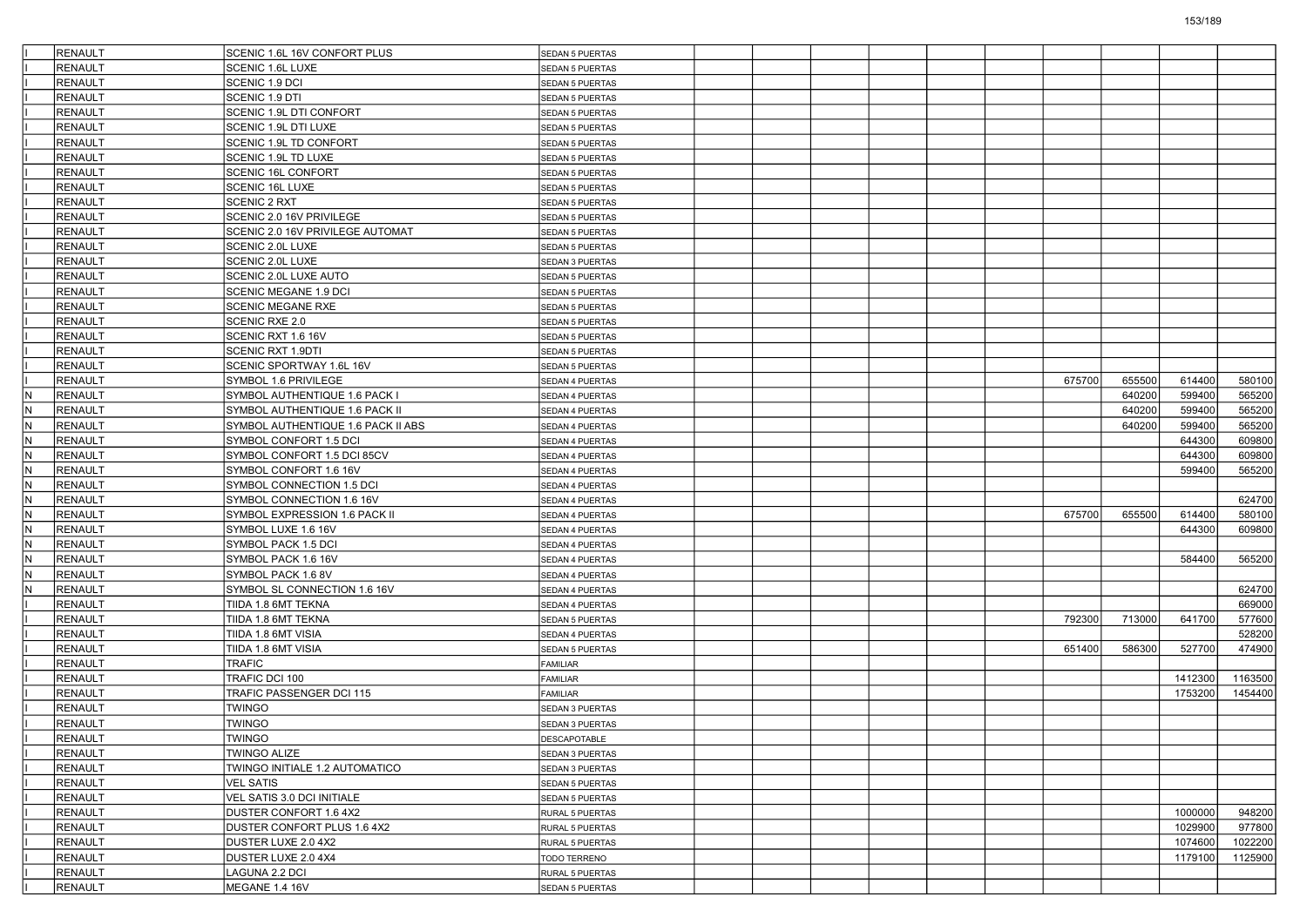|     | <b>RENAULT</b> | SCENIC 1.6L 16V CONFORT PLUS       | SEDAN 5 PUERTAS        |  |  |  |        |        |         |         |
|-----|----------------|------------------------------------|------------------------|--|--|--|--------|--------|---------|---------|
|     | <b>RENAULT</b> | SCENIC 1.6L LUXE                   | <b>SEDAN 5 PUERTAS</b> |  |  |  |        |        |         |         |
|     | <b>RENAULT</b> | SCENIC 1.9 DCI                     | <b>SEDAN 5 PUERTAS</b> |  |  |  |        |        |         |         |
|     | <b>RENAULT</b> | SCENIC 1.9 DTI                     | SEDAN 5 PUERTAS        |  |  |  |        |        |         |         |
|     | <b>RENAULT</b> | SCENIC 1.9L DTI CONFORT            | SEDAN 5 PUERTAS        |  |  |  |        |        |         |         |
|     | <b>RENAULT</b> | SCENIC 1.9L DTI LUXE               | SEDAN 5 PUERTAS        |  |  |  |        |        |         |         |
|     | <b>RENAULT</b> | SCENIC 1.9L TD CONFORT             | SEDAN 5 PUERTAS        |  |  |  |        |        |         |         |
|     | <b>RENAULT</b> | SCENIC 1.9L TD LUXE                | SEDAN 5 PUERTAS        |  |  |  |        |        |         |         |
|     | <b>RENAULT</b> | SCENIC 16L CONFORT                 | SEDAN 5 PUERTAS        |  |  |  |        |        |         |         |
|     | <b>RENAULT</b> | SCENIC 16L LUXE                    | SEDAN 5 PUERTAS        |  |  |  |        |        |         |         |
|     | <b>RENAULT</b> | <b>SCENIC 2 RXT</b>                | SEDAN 5 PUERTAS        |  |  |  |        |        |         |         |
|     | <b>RENAULT</b> | SCENIC 2.0 16V PRIVILEGE           | SEDAN 5 PUERTAS        |  |  |  |        |        |         |         |
|     | <b>RENAULT</b> | SCENIC 2.0 16V PRIVILEGE AUTOMAT   | <b>SEDAN 5 PUERTAS</b> |  |  |  |        |        |         |         |
|     | <b>RENAULT</b> | SCENIC 2.0L LUXE                   | SEDAN 5 PUERTAS        |  |  |  |        |        |         |         |
|     | <b>RENAULT</b> | SCENIC 2.0L LUXE                   | SEDAN 3 PUERTAS        |  |  |  |        |        |         |         |
|     | <b>RENAULT</b> | SCENIC 2.0L LUXE AUTO              | SEDAN 5 PUERTAS        |  |  |  |        |        |         |         |
|     | <b>RENAULT</b> | <b>SCENIC MEGANE 1.9 DCI</b>       | SEDAN 5 PUERTAS        |  |  |  |        |        |         |         |
|     | <b>RENAULT</b> | <b>SCENIC MEGANE RXE</b>           | SEDAN 5 PUERTAS        |  |  |  |        |        |         |         |
|     | <b>RENAULT</b> | SCENIC RXE 2.0                     | SEDAN 5 PUERTAS        |  |  |  |        |        |         |         |
|     | <b>RENAULT</b> | SCENIC RXT 1.6 16V                 | SEDAN 5 PUERTAS        |  |  |  |        |        |         |         |
|     | <b>RENAULT</b> | <b>SCENIC RXT 1.9DTI</b>           | SEDAN 5 PUERTAS        |  |  |  |        |        |         |         |
|     | <b>RENAULT</b> | SCENIC SPORTWAY 1.6L 16V           | SEDAN 5 PUERTAS        |  |  |  |        |        |         |         |
|     | <b>RENAULT</b> | SYMBOL 1.6 PRIVILEGE               | SEDAN 4 PUERTAS        |  |  |  | 675700 | 655500 | 614400  | 580100  |
| IN. | <b>RENAULT</b> | SYMBOL AUTHENTIQUE 1.6 PACK I      | SEDAN 4 PUERTAS        |  |  |  |        | 640200 | 599400  | 565200  |
| lN. | <b>RENAULT</b> | SYMBOL AUTHENTIQUE 1.6 PACK II     | SEDAN 4 PUERTAS        |  |  |  |        | 640200 | 599400  | 565200  |
| IN. | RENAULT        | SYMBOL AUTHENTIQUE 1.6 PACK II ABS | SEDAN 4 PUERTAS        |  |  |  |        | 640200 | 599400  | 565200  |
| N   | <b>RENAULT</b> | SYMBOL CONFORT 1.5 DCI             | SEDAN 4 PUERTAS        |  |  |  |        |        | 644300  | 609800  |
| IN. | <b>RENAULT</b> | SYMBOL CONFORT 1.5 DCI 85CV        | SEDAN 4 PUERTAS        |  |  |  |        |        | 644300  | 609800  |
| IN. | <b>RENAULT</b> | SYMBOL CONFORT 1.6 16V             | SEDAN 4 PUERTAS        |  |  |  |        |        | 599400  | 565200  |
| lN. | <b>RENAULT</b> | SYMBOL CONNECTION 1.5 DCI          | SEDAN 4 PUERTAS        |  |  |  |        |        |         |         |
| IN. | RENAULT        | SYMBOL CONNECTION 1.6 16V          | SEDAN 4 PUERTAS        |  |  |  |        |        |         | 624700  |
| N   | <b>RENAULT</b> | SYMBOL EXPRESSION 1.6 PACK II      | SEDAN 4 PUERTAS        |  |  |  | 675700 | 655500 | 614400  | 580100  |
| IN. | <b>RENAULT</b> | SYMBOL LUXE 1.6 16V                | SEDAN 4 PUERTAS        |  |  |  |        |        | 644300  | 609800  |
| IN. | <b>RENAULT</b> | SYMBOL PACK 1.5 DCI                |                        |  |  |  |        |        |         |         |
| lN. | <b>RENAULT</b> | SYMBOL PACK 1.6 16V                | SEDAN 4 PUERTAS        |  |  |  |        |        | 584400  | 565200  |
| IN. | RENAULT        | SYMBOL PACK 1.6 8V                 | SEDAN 4 PUERTAS        |  |  |  |        |        |         |         |
| N   | RENAULT        |                                    | SEDAN 4 PUERTAS        |  |  |  |        |        |         | 624700  |
|     |                | SYMBOL SL CONNECTION 1.6 16V       | SEDAN 4 PUERTAS        |  |  |  |        |        |         | 669000  |
|     | <b>RENAULT</b> | TIIDA 1.8 6MT TEKNA                | SEDAN 4 PUERTAS        |  |  |  |        |        |         |         |
|     | <b>RENAULT</b> | TIIDA 1.8 6MT TEKNA                | SEDAN 5 PUERTAS        |  |  |  | 792300 | 713000 | 641700  | 577600  |
|     | <b>RENAULT</b> | TIIDA 1.8 6MT VISIA                | SEDAN 4 PUERTAS        |  |  |  |        |        |         | 528200  |
|     | <b>RENAULT</b> | TIIDA 1.8 6MT VISIA                | SEDAN 5 PUERTAS        |  |  |  | 651400 | 586300 | 527700  | 474900  |
|     | <b>RENAULT</b> | <b>TRAFIC</b>                      | FAMILIAR               |  |  |  |        |        |         |         |
|     | <b>RENAULT</b> | TRAFIC DCI 100                     | FAMILIAR               |  |  |  |        |        | 1412300 | 1163500 |
|     | <b>RENAULT</b> | TRAFIC PASSENGER DCI 115           | FAMILIAR               |  |  |  |        |        | 1753200 | 1454400 |
|     | <b>RENAULT</b> | <b>TWINGO</b>                      | SEDAN 3 PUERTAS        |  |  |  |        |        |         |         |
|     | <b>RENAULT</b> | <b>TWINGO</b>                      | SEDAN 3 PUERTAS        |  |  |  |        |        |         |         |
|     | RENAULT        | <b>TWINGO</b>                      | DESCAPOTABLE           |  |  |  |        |        |         |         |
|     | <b>RENAULT</b> | <b>TWINGO ALIZE</b>                | SEDAN 3 PUERTAS        |  |  |  |        |        |         |         |
|     | <b>RENAULT</b> | TWINGO INITIALE 1.2 AUTOMATICO     | SEDAN 3 PUERTAS        |  |  |  |        |        |         |         |
|     | <b>RENAULT</b> | <b>VEL SATIS</b>                   | SEDAN 5 PUERTAS        |  |  |  |        |        |         |         |
|     | RENAULT        | VEL SATIS 3.0 DCI INITIALE         | SEDAN 5 PUERTAS        |  |  |  |        |        |         |         |
|     | RENAULT        | DUSTER CONFORT 1.6 4X2             | RURAL 5 PUERTAS        |  |  |  |        |        | 1000000 | 948200  |
|     | <b>RENAULT</b> | DUSTER CONFORT PLUS 1.6 4X2        | RURAL 5 PUERTAS        |  |  |  |        |        | 1029900 | 977800  |
|     | RENAULT        | DUSTER LUXE 2.0 4X2                | RURAL 5 PUERTAS        |  |  |  |        |        | 1074600 | 1022200 |
|     | <b>RENAULT</b> | DUSTER LUXE 2.0 4X4                | TODO TERRENO           |  |  |  |        |        | 1179100 | 1125900 |
|     | RENAULT        | LAGUNA 2.2 DCI                     | RURAL 5 PUERTAS        |  |  |  |        |        |         |         |
|     | <b>RENAULT</b> | MEGANE 1.4 16V                     | SEDAN 5 PUERTAS        |  |  |  |        |        |         |         |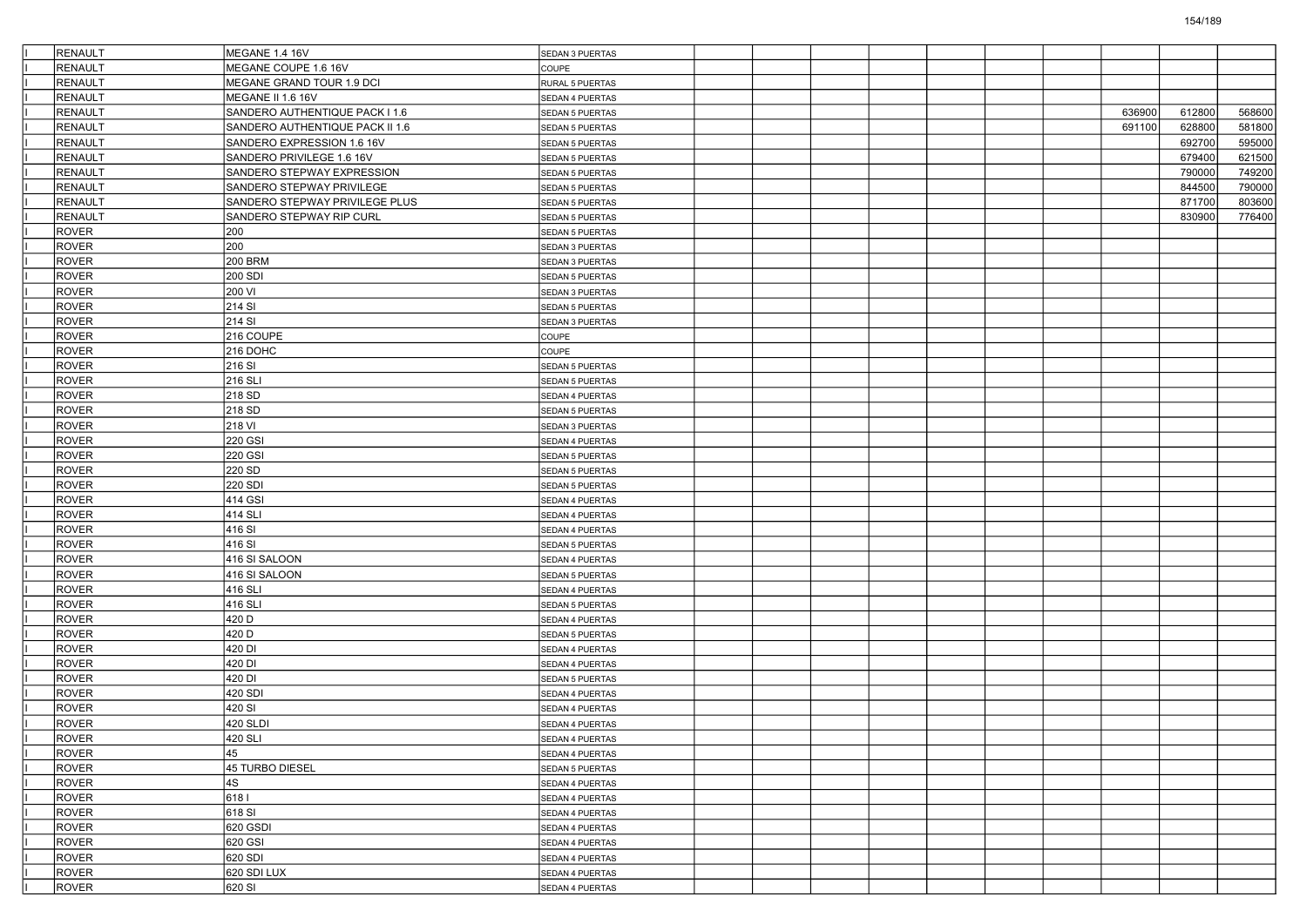| RENAULT                      | MEGANE 1.4 16V                  | SEDAN 3 PUERTAS        |  |  |  |        |        |        |
|------------------------------|---------------------------------|------------------------|--|--|--|--------|--------|--------|
| <b>RENAULT</b>               | MEGANE COUPE 1.6 16V            | COUPE                  |  |  |  |        |        |        |
| <b>RENAULT</b>               | MEGANE GRAND TOUR 1.9 DCI       | RURAL 5 PUERTAS        |  |  |  |        |        |        |
| <b>RENAULT</b>               | MEGANE II 1.6 16V               | SEDAN 4 PUERTAS        |  |  |  |        |        |        |
| <b>RENAULT</b>               | SANDERO AUTHENTIQUE PACK I 1.6  | SEDAN 5 PUERTAS        |  |  |  | 636900 | 612800 | 568600 |
| RENAULT                      | SANDERO AUTHENTIQUE PACK II 1.6 | SEDAN 5 PUERTAS        |  |  |  | 691100 | 628800 | 581800 |
| RENAULT                      | SANDERO EXPRESSION 1.6 16V      | <b>SEDAN 5 PUERTAS</b> |  |  |  |        | 692700 | 595000 |
| <b>RENAULT</b>               | SANDERO PRIVILEGE 1.6 16V       | SEDAN 5 PUERTAS        |  |  |  |        | 679400 | 621500 |
| <b>RENAULT</b>               | SANDERO STEPWAY EXPRESSION      | SEDAN 5 PUERTAS        |  |  |  |        | 790000 | 749200 |
| <b>RENAULT</b>               | SANDERO STEPWAY PRIVILEGE       | SEDAN 5 PUERTAS        |  |  |  |        | 844500 | 790000 |
| RENAULT                      | SANDERO STEPWAY PRIVILEGE PLUS  | SEDAN 5 PUERTAS        |  |  |  |        | 871700 | 803600 |
| RENAULT                      | SANDERO STEPWAY RIP CURL        | <b>SEDAN 5 PUERTAS</b> |  |  |  |        | 830900 | 776400 |
| <b>ROVER</b>                 | 200                             | <b>SEDAN 5 PUERTAS</b> |  |  |  |        |        |        |
| <b>ROVER</b>                 | 200                             | SEDAN 3 PUERTAS        |  |  |  |        |        |        |
| <b>ROVER</b>                 | <b>200 BRM</b>                  | SEDAN 3 PUERTAS        |  |  |  |        |        |        |
| <b>ROVER</b>                 | 200 SDI                         | SEDAN 5 PUERTAS        |  |  |  |        |        |        |
| <b>ROVER</b>                 | 200 VI                          | SEDAN 3 PUERTAS        |  |  |  |        |        |        |
| <b>ROVER</b>                 | 214 SI                          | SEDAN 5 PUERTAS        |  |  |  |        |        |        |
| <b>ROVER</b>                 | 214 SI                          | SEDAN 3 PUERTAS        |  |  |  |        |        |        |
| <b>ROVER</b>                 | 216 COUPE                       | COUPE                  |  |  |  |        |        |        |
| <b>ROVER</b>                 | 216 DOHC                        | COUPE                  |  |  |  |        |        |        |
| <b>ROVER</b>                 | 216 SI                          | <b>SEDAN 5 PUERTAS</b> |  |  |  |        |        |        |
| <b>ROVER</b>                 | 216 SLI                         | SEDAN 5 PUERTAS        |  |  |  |        |        |        |
| <b>ROVER</b>                 | 218 SD                          | SEDAN 4 PUERTAS        |  |  |  |        |        |        |
| <b>ROVER</b>                 | 218 SD                          | <b>SEDAN 5 PUERTAS</b> |  |  |  |        |        |        |
| <b>ROVER</b>                 | 218 VI                          | SEDAN 3 PUERTAS        |  |  |  |        |        |        |
| <b>ROVER</b>                 | <b>220 GSI</b>                  | SEDAN 4 PUERTAS        |  |  |  |        |        |        |
| <b>ROVER</b>                 | <b>220 GSI</b>                  | SEDAN 5 PUERTAS        |  |  |  |        |        |        |
| <b>ROVER</b>                 | 220 SD                          | SEDAN 5 PUERTAS        |  |  |  |        |        |        |
| <b>ROVER</b>                 | 220 SDI                         | SEDAN 5 PUERTAS        |  |  |  |        |        |        |
| <b>ROVER</b>                 | 414 GSI                         | SEDAN 4 PUERTAS        |  |  |  |        |        |        |
| <b>ROVER</b>                 | 414 SLI                         | SEDAN 4 PUERTAS        |  |  |  |        |        |        |
| <b>ROVER</b>                 | 416 SI                          | SEDAN 4 PUERTAS        |  |  |  |        |        |        |
| <b>ROVER</b>                 | 416 SI                          |                        |  |  |  |        |        |        |
|                              |                                 | SEDAN 5 PUERTAS        |  |  |  |        |        |        |
| <b>ROVER</b>                 | 416 SI SALOON                   | SEDAN 4 PUERTAS        |  |  |  |        |        |        |
| <b>ROVER</b><br><b>ROVER</b> | 416 SI SALOON                   | SEDAN 5 PUERTAS        |  |  |  |        |        |        |
|                              | 416 SLI                         | SEDAN 4 PUERTAS        |  |  |  |        |        |        |
| <b>ROVER</b>                 | 416 SLI                         | <b>SEDAN 5 PUERTAS</b> |  |  |  |        |        |        |
| <b>ROVER</b>                 | 420 D                           | SEDAN 4 PUERTAS        |  |  |  |        |        |        |
| <b>ROVER</b>                 | 420 D                           | SEDAN 5 PUERTAS        |  |  |  |        |        |        |
| <b>ROVER</b>                 | 420 DI                          | SEDAN 4 PUERTAS        |  |  |  |        |        |        |
| <b>ROVER</b>                 | 420 DI                          | SEDAN 4 PUERTAS        |  |  |  |        |        |        |
| <b>ROVER</b>                 | 420 DI                          | <b>SEDAN 5 PUERTAS</b> |  |  |  |        |        |        |
| <b>ROVER</b>                 | 420 SDI                         | SEDAN 4 PUERTAS        |  |  |  |        |        |        |
| <b>ROVER</b>                 | 420 SI                          | SEDAN 4 PUERTAS        |  |  |  |        |        |        |
| <b>ROVER</b>                 | 420 SLDI                        | SEDAN 4 PUERTAS        |  |  |  |        |        |        |
| <b>ROVER</b>                 | 420 SLI                         | SEDAN 4 PUERTAS        |  |  |  |        |        |        |
| ROVER                        | 45                              | SEDAN 4 PUERTAS        |  |  |  |        |        |        |
| ROVER                        | 45 TURBO DIESEL                 | SEDAN 5 PUERTAS        |  |  |  |        |        |        |
| ROVER                        | 4S                              | SEDAN 4 PUERTAS        |  |  |  |        |        |        |
| <b>ROVER</b>                 | 6181                            | SEDAN 4 PUERTAS        |  |  |  |        |        |        |
| <b>ROVER</b>                 | 618 SI                          | SEDAN 4 PUERTAS        |  |  |  |        |        |        |
| <b>ROVER</b>                 | 620 GSDI                        | SEDAN 4 PUERTAS        |  |  |  |        |        |        |
| ROVER                        | 620 GSI                         | SEDAN 4 PUERTAS        |  |  |  |        |        |        |
| ROVER                        | $620$ SDI                       | SEDAN 4 PUERTAS        |  |  |  |        |        |        |
| ROVER                        | 620 SDI LUX                     | SEDAN 4 PUERTAS        |  |  |  |        |        |        |
| ROVER                        | 620 SI                          | SEDAN 4 PUERTAS        |  |  |  |        |        |        |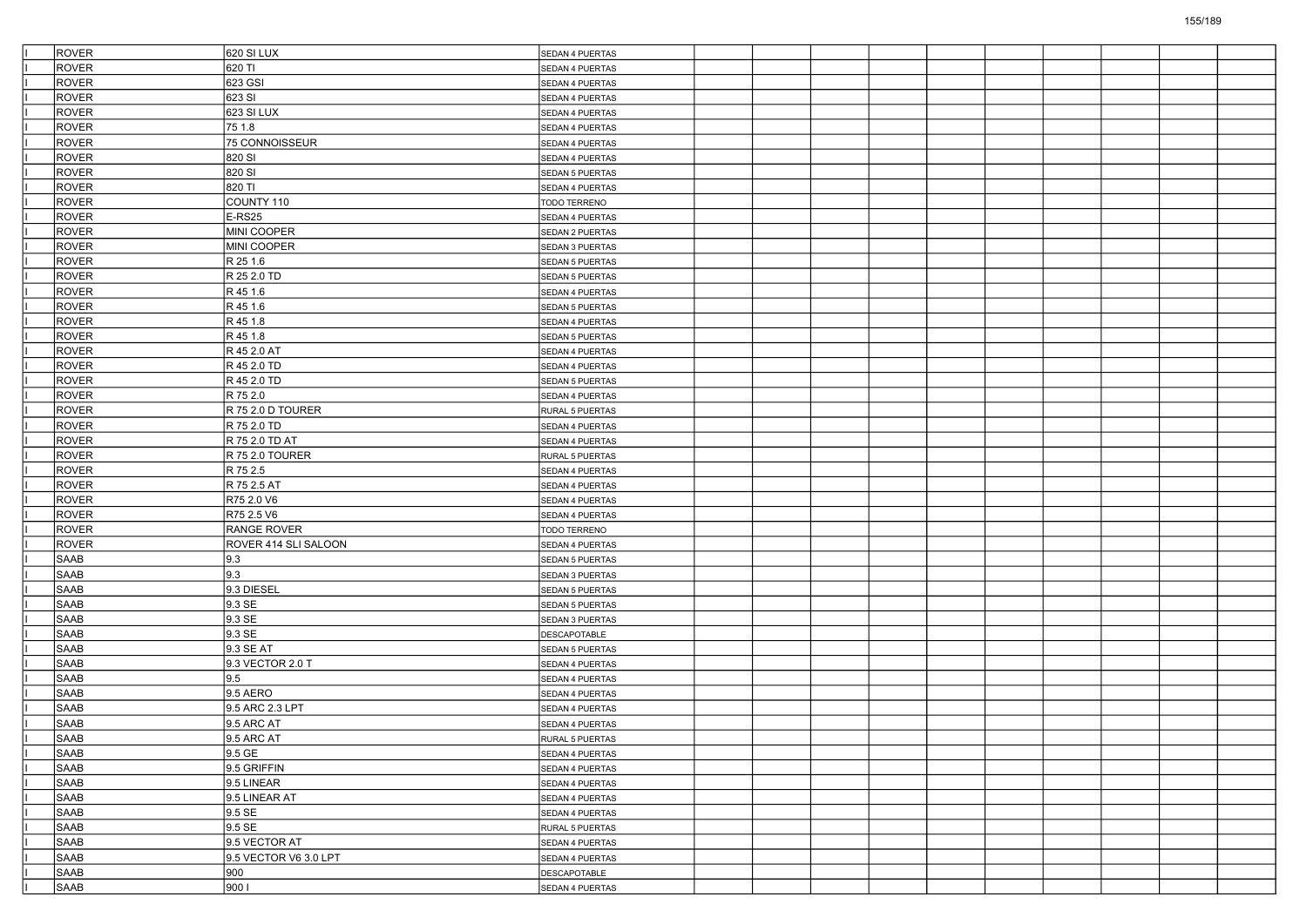| <b>ROVER</b> | 620 SI LUX            | SEDAN 4 PUERTAS        |  |  |  |  |  |
|--------------|-----------------------|------------------------|--|--|--|--|--|
| <b>ROVER</b> | 620 TI                | SEDAN 4 PUERTAS        |  |  |  |  |  |
| <b>ROVER</b> | 623 GSI               | SEDAN 4 PUERTAS        |  |  |  |  |  |
| <b>ROVER</b> | 623 SI                | SEDAN 4 PUERTAS        |  |  |  |  |  |
| <b>ROVER</b> | 623 SI LUX            | SEDAN 4 PUERTAS        |  |  |  |  |  |
| <b>ROVER</b> | 75 1.8                | SEDAN 4 PUERTAS        |  |  |  |  |  |
| <b>ROVER</b> | 75 CONNOISSEUR        | SEDAN 4 PUERTAS        |  |  |  |  |  |
| <b>ROVER</b> | 820 SI                | SEDAN 4 PUERTAS        |  |  |  |  |  |
| <b>ROVER</b> | 820 SI                | SEDAN 5 PUERTAS        |  |  |  |  |  |
| <b>ROVER</b> | 820 TI                | SEDAN 4 PUERTAS        |  |  |  |  |  |
| ROVER        | COUNTY 110            | TODO TERRENO           |  |  |  |  |  |
| <b>ROVER</b> | E-RS25                | SEDAN 4 PUERTAS        |  |  |  |  |  |
| <b>ROVER</b> | MINI COOPER           | SEDAN 2 PUERTAS        |  |  |  |  |  |
| <b>ROVER</b> | MINI COOPER           | SEDAN 3 PUERTAS        |  |  |  |  |  |
| <b>ROVER</b> | R 25 1.6              | <b>SEDAN 5 PUERTAS</b> |  |  |  |  |  |
| <b>ROVER</b> | R 25 2.0 TD           | SEDAN 5 PUERTAS        |  |  |  |  |  |
| <b>ROVER</b> | R 45 1.6              | SEDAN 4 PUERTAS        |  |  |  |  |  |
| <b>ROVER</b> | R 45 1.6              | SEDAN 5 PUERTAS        |  |  |  |  |  |
| <b>ROVER</b> | R 45 1.8              | SEDAN 4 PUERTAS        |  |  |  |  |  |
| <b>ROVER</b> | R 45 1.8              | SEDAN 5 PUERTAS        |  |  |  |  |  |
| <b>ROVER</b> | R 45 2.0 AT           | SEDAN 4 PUERTAS        |  |  |  |  |  |
| <b>ROVER</b> | R 45 2.0 TD           | SEDAN 4 PUERTAS        |  |  |  |  |  |
| <b>ROVER</b> | R 45 2.0 TD           | SEDAN 5 PUERTAS        |  |  |  |  |  |
| <b>ROVER</b> | R 75 2.0              | SEDAN 4 PUERTAS        |  |  |  |  |  |
| <b>ROVER</b> | R 75 2.0 D TOURER     | RURAL 5 PUERTAS        |  |  |  |  |  |
| <b>ROVER</b> | R 75 2.0 TD           |                        |  |  |  |  |  |
| <b>ROVER</b> | R 75 2.0 TD AT        | SEDAN 4 PUERTAS        |  |  |  |  |  |
| <b>ROVER</b> | R 75 2.0 TOURER       | SEDAN 4 PUERTAS        |  |  |  |  |  |
|              |                       | RURAL 5 PUERTAS        |  |  |  |  |  |
| <b>ROVER</b> | R 75 2.5              | SEDAN 4 PUERTAS        |  |  |  |  |  |
| <b>ROVER</b> | R 75 2.5 AT           | SEDAN 4 PUERTAS        |  |  |  |  |  |
| <b>ROVER</b> | R75 2.0 V6            | SEDAN 4 PUERTAS        |  |  |  |  |  |
| <b>ROVER</b> | R75 2.5 V6            | SEDAN 4 PUERTAS        |  |  |  |  |  |
| <b>ROVER</b> | RANGE ROVER           | TODO TERRENO           |  |  |  |  |  |
| <b>ROVER</b> | ROVER 414 SLI SALOON  | SEDAN 4 PUERTAS        |  |  |  |  |  |
| <b>SAAB</b>  | 9.3                   | SEDAN 5 PUERTAS        |  |  |  |  |  |
| <b>SAAB</b>  | 9.3                   | SEDAN 3 PUERTAS        |  |  |  |  |  |
| SAAB         | 9.3 DIESEL            | SEDAN 5 PUERTAS        |  |  |  |  |  |
| <b>SAAB</b>  | 9.3 SE                | SEDAN 5 PUERTAS        |  |  |  |  |  |
| <b>SAAB</b>  | 9.3 SE                | SEDAN 3 PUERTAS        |  |  |  |  |  |
| <b>SAAB</b>  | 9.3 SE                | <b>DESCAPOTABLE</b>    |  |  |  |  |  |
| <b>SAAB</b>  | 9.3 SE AT             | SEDAN 5 PUERTAS        |  |  |  |  |  |
| SAAB         | 9.3 VECTOR 2.0 T      | SEDAN 4 PUERTAS        |  |  |  |  |  |
| <b>SAAB</b>  | 9.5                   | SEDAN 4 PUERTAS        |  |  |  |  |  |
| <b>SAAB</b>  | 9.5 AERO              | SEDAN 4 PUERTAS        |  |  |  |  |  |
| <b>SAAB</b>  | 9.5 ARC 2.3 LPT       | SEDAN 4 PUERTAS        |  |  |  |  |  |
| <b>SAAB</b>  | 9.5 ARC AT            | SEDAN 4 PUERTAS        |  |  |  |  |  |
| SAAB         | 9.5 ARC AT            | RURAL 5 PUERTAS        |  |  |  |  |  |
| <b>SAAB</b>  | 9.5 GE                | SEDAN 4 PUERTAS        |  |  |  |  |  |
| SAAB         | 9.5 GRIFFIN           | SEDAN 4 PUERTAS        |  |  |  |  |  |
| SAAB         | 9.5 LINEAR            | SEDAN 4 PUERTAS        |  |  |  |  |  |
| SAAB         | 9.5 LINEAR AT         | SEDAN 4 PUERTAS        |  |  |  |  |  |
| SAAB         | 9.5 SE                | SEDAN 4 PUERTAS        |  |  |  |  |  |
| <b>SAAB</b>  | 9.5 SE                | RURAL 5 PUERTAS        |  |  |  |  |  |
| SAAB         | 9.5 VECTOR AT         | SEDAN 4 PUERTAS        |  |  |  |  |  |
| SAAB         | 9.5 VECTOR V6 3.0 LPT | SEDAN 4 PUERTAS        |  |  |  |  |  |
| SAAB         | 900                   | <b>DESCAPOTABLE</b>    |  |  |  |  |  |
| SAAB         | 9001                  | SEDAN 4 PUERTAS        |  |  |  |  |  |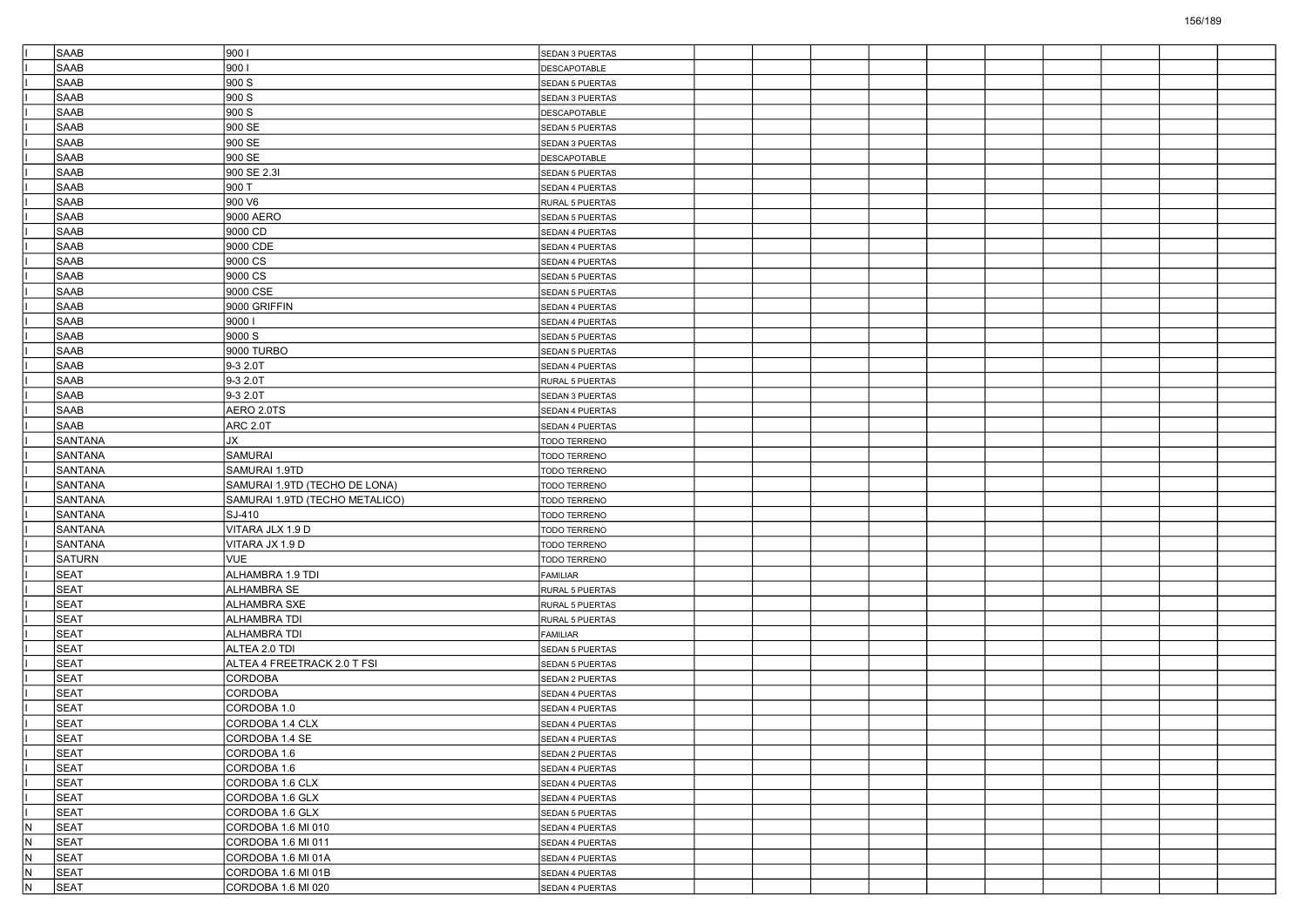|     | <b>SAAB</b>    | 9001                           | SEDAN 3 PUERTAS        |  |  |  |  |  |
|-----|----------------|--------------------------------|------------------------|--|--|--|--|--|
|     | SAAB           | 900                            | DESCAPOTABLE           |  |  |  |  |  |
|     | SAAB           | 900 S                          | <b>SEDAN 5 PUERTAS</b> |  |  |  |  |  |
|     | <b>SAAB</b>    | 900 S                          | SEDAN 3 PUERTAS        |  |  |  |  |  |
|     | <b>SAAB</b>    | 900 S                          | DESCAPOTABLE           |  |  |  |  |  |
|     | <b>SAAB</b>    | 900 SE                         | SEDAN 5 PUERTAS        |  |  |  |  |  |
|     | <b>SAAB</b>    | 900 SE                         | SEDAN 3 PUERTAS        |  |  |  |  |  |
|     | <b>SAAB</b>    | 900 SE                         | DESCAPOTABLE           |  |  |  |  |  |
|     | <b>SAAB</b>    | 900 SE 2.3I                    | SEDAN 5 PUERTAS        |  |  |  |  |  |
|     | <b>SAAB</b>    | 900 T                          | SEDAN 4 PUERTAS        |  |  |  |  |  |
|     | <b>SAAB</b>    | 900 V6                         | RURAL 5 PUERTAS        |  |  |  |  |  |
|     | <b>SAAB</b>    | 9000 AERO                      | <b>SEDAN 5 PUERTAS</b> |  |  |  |  |  |
|     | <b>SAAB</b>    | 9000 CD                        | SEDAN 4 PUERTAS        |  |  |  |  |  |
|     | <b>SAAB</b>    | 9000 CDE                       | SEDAN 4 PUERTAS        |  |  |  |  |  |
|     | <b>SAAB</b>    | 9000 CS                        | SEDAN 4 PUERTAS        |  |  |  |  |  |
|     | <b>SAAB</b>    | 9000 CS                        | SEDAN 5 PUERTAS        |  |  |  |  |  |
|     | <b>SAAB</b>    | 9000 CSE                       | <b>SEDAN 5 PUERTAS</b> |  |  |  |  |  |
|     | <b>SAAB</b>    | 9000 GRIFFIN                   | SEDAN 4 PUERTAS        |  |  |  |  |  |
|     | <b>SAAB</b>    | 90001                          | SEDAN 4 PUERTAS        |  |  |  |  |  |
|     | <b>SAAB</b>    | 9000 S                         | SEDAN 5 PUERTAS        |  |  |  |  |  |
|     | <b>SAAB</b>    | 9000 TURBO                     | SEDAN 5 PUERTAS        |  |  |  |  |  |
|     | <b>SAAB</b>    | 9-3 2.0T                       | SEDAN 4 PUERTAS        |  |  |  |  |  |
|     | <b>SAAB</b>    | 9-3 2.0T                       | RURAL 5 PUERTAS        |  |  |  |  |  |
|     | <b>SAAB</b>    | 9-3 2.0T                       | SEDAN 3 PUERTAS        |  |  |  |  |  |
|     | <b>SAAB</b>    | AERO 2.0TS                     | SEDAN 4 PUERTAS        |  |  |  |  |  |
|     | <b>SAAB</b>    | <b>ARC 2.0T</b>                | SEDAN 4 PUERTAS        |  |  |  |  |  |
|     | <b>SANTANA</b> | JХ                             | <b>TODO TERRENO</b>    |  |  |  |  |  |
|     | SANTANA        | <b>SAMURAI</b>                 | TODO TERRENO           |  |  |  |  |  |
|     | <b>SANTANA</b> | SAMURAI 1.9TD                  | TODO TERRENO           |  |  |  |  |  |
|     | <b>SANTANA</b> | SAMURAI 1.9TD (TECHO DE LONA)  | <b>TODO TERRENO</b>    |  |  |  |  |  |
|     | <b>SANTANA</b> | SAMURAI 1.9TD (TECHO METALICO) | TODO TERRENO           |  |  |  |  |  |
|     | <b>SANTANA</b> | SJ-410                         | <b>TODO TERRENO</b>    |  |  |  |  |  |
|     | SANTANA        | VITARA JLX 1.9 D               | TODO TERRENO           |  |  |  |  |  |
|     | <b>SANTANA</b> | VITARA JX 1.9 D                | TODO TERRENO           |  |  |  |  |  |
|     | <b>SATURN</b>  | <b>VUE</b>                     | TODO TERRENO           |  |  |  |  |  |
|     | <b>SEAT</b>    | ALHAMBRA 1.9 TDI               | <b>FAMILIAR</b>        |  |  |  |  |  |
|     | SEAT           | ALHAMBRA SE                    | RURAL 5 PUERTAS        |  |  |  |  |  |
|     | <b>SEAT</b>    | <b>ALHAMBRA SXE</b>            | RURAL 5 PUERTAS        |  |  |  |  |  |
|     | SEAT           | <b>ALHAMBRA TDI</b>            | RURAL 5 PUERTAS        |  |  |  |  |  |
|     | <b>SEAT</b>    | ALHAMBRA TDI                   | FAMILIAR               |  |  |  |  |  |
|     | SEAT           | ALTEA 2.0 TDI                  | <b>SEDAN 5 PUERTAS</b> |  |  |  |  |  |
|     | SEAT           | ALTEA 4 FREETRACK 2.0 T FSI    | <b>SEDAN 5 PUERTAS</b> |  |  |  |  |  |
|     | <b>SEAT</b>    | <b>CORDOBA</b>                 | SEDAN 2 PUERTAS        |  |  |  |  |  |
|     | SEAT           | CORDOBA                        | SEDAN 4 PUERTAS        |  |  |  |  |  |
|     | <b>SEAT</b>    | CORDOBA 1.0                    | SEDAN 4 PUERTAS        |  |  |  |  |  |
|     | SEAT           | CORDOBA 1.4 CLX                | SEDAN 4 PUERTAS        |  |  |  |  |  |
|     | <b>SEAT</b>    | CORDOBA 1.4 SE                 | SEDAN 4 PUERTAS        |  |  |  |  |  |
|     | <b>SEAT</b>    | CORDOBA 1.6                    | SEDAN 2 PUERTAS        |  |  |  |  |  |
|     | <b>SEAT</b>    | CORDOBA 1.6                    | SEDAN 4 PUERTAS        |  |  |  |  |  |
|     | SEAT           | CORDOBA 1.6 CLX                | SEDAN 4 PUERTAS        |  |  |  |  |  |
|     | SEAT           | CORDOBA 1.6 GLX                | SEDAN 4 PUERTAS        |  |  |  |  |  |
|     | <b>SEAT</b>    | CORDOBA 1.6 GLX                | SEDAN 5 PUERTAS        |  |  |  |  |  |
| IN. | <b>SEAT</b>    | CORDOBA 1.6 MI 010             | SEDAN 4 PUERTAS        |  |  |  |  |  |
| IN. | <b>SEAT</b>    | CORDOBA 1.6 MI 011             | SEDAN 4 PUERTAS        |  |  |  |  |  |
| IN. | SEAT           | CORDOBA 1.6 MI 01A             | SEDAN 4 PUERTAS        |  |  |  |  |  |
| N.  | <b>SEAT</b>    | CORDOBA 1.6 MI 01B             | SEDAN 4 PUERTAS        |  |  |  |  |  |
| IN. | SEAT           | CORDOBA 1.6 MI 020             | SEDAN 4 PUERTAS        |  |  |  |  |  |
|     |                |                                |                        |  |  |  |  |  |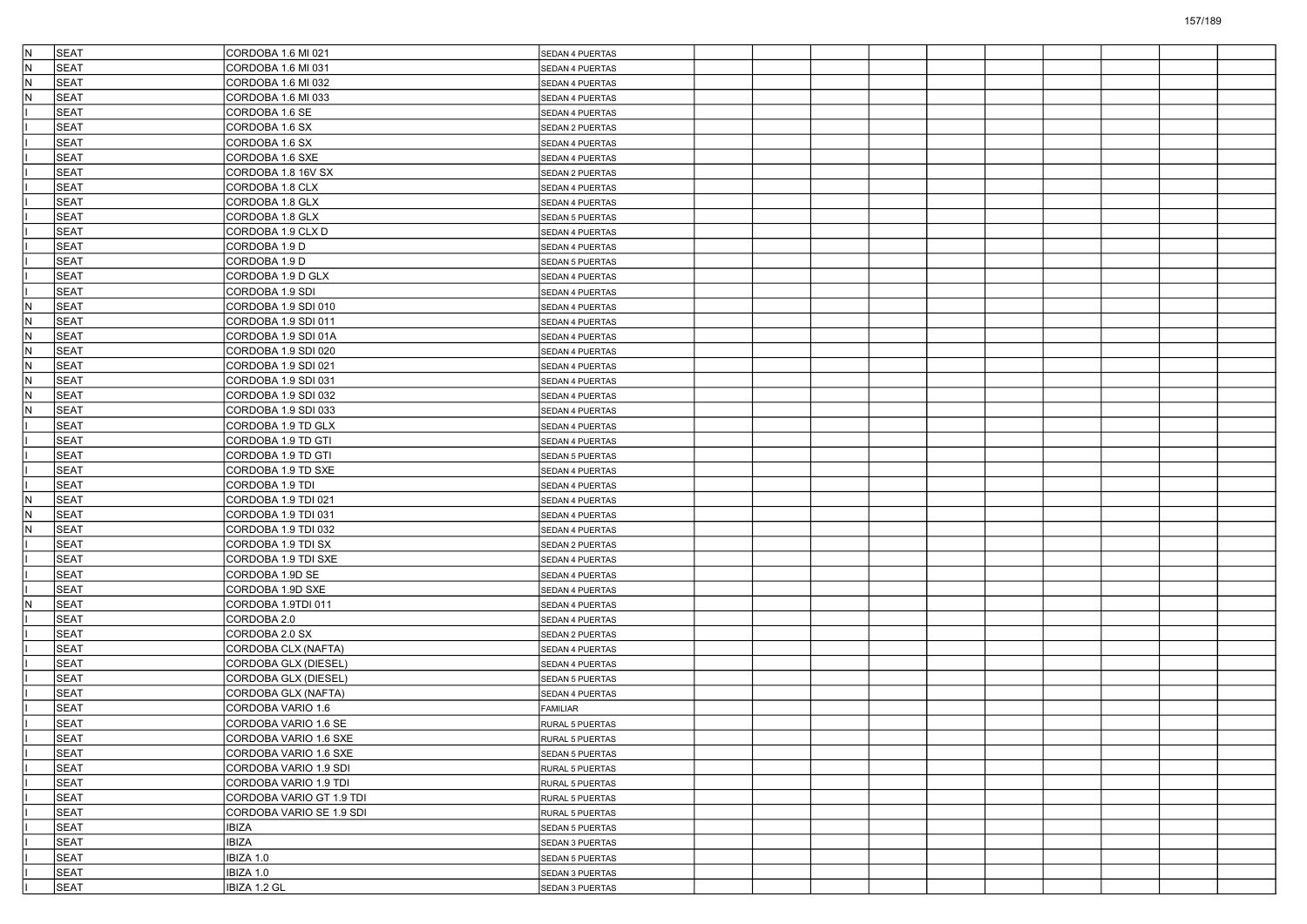| IN. | <b>SEAT</b> | CORDOBA 1.6 MI 021                           | SEDAN 4 PUERTAS                    |  |  |  |  |  |
|-----|-------------|----------------------------------------------|------------------------------------|--|--|--|--|--|
| lN. | <b>SEAT</b> | CORDOBA 1.6 MI 031                           | SEDAN 4 PUERTAS                    |  |  |  |  |  |
| IN. | <b>SEAT</b> | CORDOBA 1.6 MI 032                           | SEDAN 4 PUERTAS                    |  |  |  |  |  |
| IN. | <b>SEAT</b> | CORDOBA 1.6 MI 033                           | SEDAN 4 PUERTAS                    |  |  |  |  |  |
|     | <b>SEAT</b> | CORDOBA 1.6 SE                               | SEDAN 4 PUERTAS                    |  |  |  |  |  |
|     | <b>SEAT</b> | CORDOBA 1.6 SX                               | <b>SEDAN 2 PUERTAS</b>             |  |  |  |  |  |
|     | <b>SEAT</b> | CORDOBA 1.6 SX                               | SEDAN 4 PUERTAS                    |  |  |  |  |  |
|     | <b>SEAT</b> | CORDOBA 1.6 SXE                              | SEDAN 4 PUERTAS                    |  |  |  |  |  |
|     | <b>SEAT</b> | CORDOBA 1.8 16V SX                           | SEDAN 2 PUERTAS                    |  |  |  |  |  |
|     | <b>SEAT</b> | CORDOBA 1.8 CLX                              | SEDAN 4 PUERTAS                    |  |  |  |  |  |
|     | <b>SEAT</b> | CORDOBA 1.8 GLX                              | SEDAN 4 PUERTAS                    |  |  |  |  |  |
|     | <b>SEAT</b> | CORDOBA 1.8 GLX                              | SEDAN 5 PUERTAS                    |  |  |  |  |  |
|     | <b>SEAT</b> | CORDOBA 1.9 CLX D                            | SEDAN 4 PUERTAS                    |  |  |  |  |  |
|     | <b>SEAT</b> | CORDOBA 1.9 D                                | SEDAN 4 PUERTAS                    |  |  |  |  |  |
|     | <b>SEAT</b> | CORDOBA 1.9 D                                | SEDAN 5 PUERTAS                    |  |  |  |  |  |
|     | <b>SEAT</b> | CORDOBA 1.9 D GLX                            | SEDAN 4 PUERTAS                    |  |  |  |  |  |
|     | <b>SEAT</b> | CORDOBA 1.9 SDI                              | SEDAN 4 PUERTAS                    |  |  |  |  |  |
| IN. | <b>SEAT</b> | CORDOBA 1.9 SDI 010                          | SEDAN 4 PUERTAS                    |  |  |  |  |  |
| IN. | <b>SEAT</b> | CORDOBA 1.9 SDI 011                          | SEDAN 4 PUERTAS                    |  |  |  |  |  |
| lN. | <b>SEAT</b> | CORDOBA 1.9 SDI 01A                          | SEDAN 4 PUERTAS                    |  |  |  |  |  |
| IN. | <b>SEAT</b> | CORDOBA 1.9 SDI 020                          | SEDAN 4 PUERTAS                    |  |  |  |  |  |
| IN. | <b>SEAT</b> | CORDOBA 1.9 SDI 021                          | SEDAN 4 PUERTAS                    |  |  |  |  |  |
| IN. | <b>SEAT</b> | CORDOBA 1.9 SDI 031                          | SEDAN 4 PUERTAS                    |  |  |  |  |  |
| IN. | <b>SEAT</b> | CORDOBA 1.9 SDI 032                          | SEDAN 4 PUERTAS                    |  |  |  |  |  |
| IN. | <b>SEAT</b> | CORDOBA 1.9 SDI 033                          | SEDAN 4 PUERTAS                    |  |  |  |  |  |
|     | <b>SEAT</b> | CORDOBA 1.9 TD GLX                           | SEDAN 4 PUERTAS                    |  |  |  |  |  |
|     | <b>SEAT</b> | CORDOBA 1.9 TD GTI                           | SEDAN 4 PUERTAS                    |  |  |  |  |  |
|     | <b>SEAT</b> | CORDOBA 1.9 TD GTI                           | SEDAN 5 PUERTAS                    |  |  |  |  |  |
|     | <b>SEAT</b> | CORDOBA 1.9 TD SXE                           | SEDAN 4 PUERTAS                    |  |  |  |  |  |
|     | <b>SEAT</b> | CORDOBA 1.9 TDI                              | SEDAN 4 PUERTAS                    |  |  |  |  |  |
| IN. | <b>SEAT</b> | CORDOBA 1.9 TDI 021                          | SEDAN 4 PUERTAS                    |  |  |  |  |  |
| IN. | <b>SEAT</b> | CORDOBA 1.9 TDI 031                          | SEDAN 4 PUERTAS                    |  |  |  |  |  |
| IN. | <b>SEAT</b> | CORDOBA 1.9 TDI 032                          | SEDAN 4 PUERTAS                    |  |  |  |  |  |
|     | <b>SEAT</b> | CORDOBA 1.9 TDI SX                           | SEDAN 2 PUERTAS                    |  |  |  |  |  |
|     | <b>SEAT</b> | CORDOBA 1.9 TDI SXE                          |                                    |  |  |  |  |  |
|     | <b>SEAT</b> | CORDOBA 1.9D SE                              | SEDAN 4 PUERTAS<br>SEDAN 4 PUERTAS |  |  |  |  |  |
|     | <b>SEAT</b> |                                              |                                    |  |  |  |  |  |
| IN. | <b>SEAT</b> | CORDOBA 1.9D SXE                             | SEDAN 4 PUERTAS                    |  |  |  |  |  |
|     | <b>SEAT</b> | CORDOBA 1.9TDI 011                           | SEDAN 4 PUERTAS                    |  |  |  |  |  |
|     | <b>SEAT</b> | CORDOBA 2.0                                  | SEDAN 4 PUERTAS                    |  |  |  |  |  |
|     | <b>SEAT</b> | CORDOBA 2.0 SX                               | SEDAN 2 PUERTAS                    |  |  |  |  |  |
|     | <b>SEAT</b> | CORDOBA CLX (NAFTA)                          | SEDAN 4 PUERTAS                    |  |  |  |  |  |
|     | <b>SEAT</b> | CORDOBA GLX (DIESEL)<br>CORDOBA GLX (DIESEL) | SEDAN 4 PUERTAS<br>SEDAN 5 PUERTAS |  |  |  |  |  |
|     |             |                                              |                                    |  |  |  |  |  |
|     | <b>SEAT</b> | CORDOBA GLX (NAFTA)                          | SEDAN 4 PUERTAS                    |  |  |  |  |  |
|     | <b>SEAT</b> | CORDOBA VARIO 1.6                            | <b>FAMILIAR</b>                    |  |  |  |  |  |
|     | <b>SEAT</b> | CORDOBA VARIO 1.6 SE                         | RURAL 5 PUERTAS                    |  |  |  |  |  |
|     | <b>SEAT</b> | CORDOBA VARIO 1.6 SXE                        | RURAL 5 PUERTAS                    |  |  |  |  |  |
|     | <b>SEAT</b> | CORDOBA VARIO 1.6 SXE                        | SEDAN 5 PUERTAS                    |  |  |  |  |  |
|     | <b>SEAT</b> | CORDOBA VARIO 1.9 SDI                        | RURAL 5 PUERTAS                    |  |  |  |  |  |
|     | SEAT        | CORDOBA VARIO 1.9 TDI                        | RURAL 5 PUERTAS                    |  |  |  |  |  |
|     | <b>SEAT</b> | CORDOBA VARIO GT 1.9 TDI                     | RURAL 5 PUERTAS                    |  |  |  |  |  |
|     | <b>SEAT</b> | CORDOBA VARIO SE 1.9 SDI                     | RURAL 5 PUERTAS                    |  |  |  |  |  |
|     | <b>SEAT</b> | <b>IBIZA</b>                                 | SEDAN 5 PUERTAS                    |  |  |  |  |  |
|     | <b>SEAT</b> | IBIZA                                        | SEDAN 3 PUERTAS                    |  |  |  |  |  |
|     | <b>SEAT</b> | IBIZA 1.0                                    | SEDAN 5 PUERTAS                    |  |  |  |  |  |
|     | <b>SEAT</b> | <b>IBIZA 1.0</b>                             | SEDAN 3 PUERTAS                    |  |  |  |  |  |
|     | SEAT        | IBIZA 1.2 GL                                 | SEDAN 3 PUERTAS                    |  |  |  |  |  |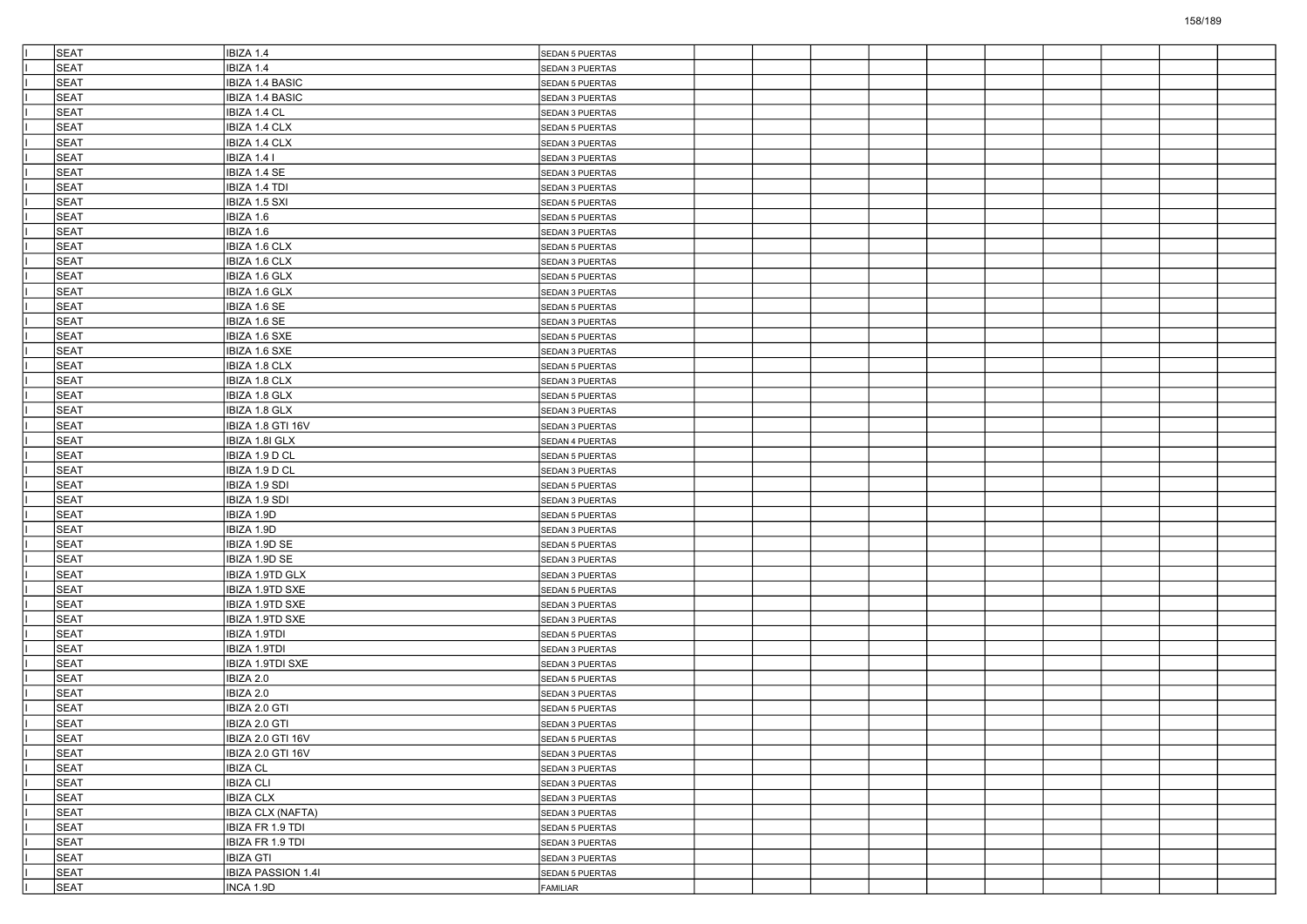| <b>SEAT</b> | IBIZA 1.4                 | SEDAN 5 PUERTAS        |  |  |  |  |  |
|-------------|---------------------------|------------------------|--|--|--|--|--|
| <b>SEAT</b> | IBIZA 1.4                 | SEDAN 3 PUERTAS        |  |  |  |  |  |
| <b>SEAT</b> | <b>IBIZA 1.4 BASIC</b>    | SEDAN 5 PUERTAS        |  |  |  |  |  |
| <b>SEAT</b> | IBIZA 1.4 BASIC           | SEDAN 3 PUERTAS        |  |  |  |  |  |
| <b>SEAT</b> | IBIZA 1.4 CL              | SEDAN 3 PUERTAS        |  |  |  |  |  |
| <b>SEAT</b> | IBIZA 1.4 CLX             | SEDAN 5 PUERTAS        |  |  |  |  |  |
| <b>SEAT</b> | IBIZA 1.4 CLX             | SEDAN 3 PUERTAS        |  |  |  |  |  |
| <b>SEAT</b> | IBIZA 1.4 I               | SEDAN 3 PUERTAS        |  |  |  |  |  |
| <b>SEAT</b> | IBIZA 1.4 SE              | SEDAN 3 PUERTAS        |  |  |  |  |  |
| <b>SEAT</b> | IBIZA 1.4 TDI             | SEDAN 3 PUERTAS        |  |  |  |  |  |
| <b>SEAT</b> | IBIZA 1.5 SXI             | SEDAN 5 PUERTAS        |  |  |  |  |  |
| <b>SEAT</b> | IBIZA 1.6                 | <b>SEDAN 5 PUERTAS</b> |  |  |  |  |  |
| <b>SEAT</b> | IBIZA 1.6                 | SEDAN 3 PUERTAS        |  |  |  |  |  |
| <b>SEAT</b> | IBIZA 1.6 CLX             | SEDAN 5 PUERTAS        |  |  |  |  |  |
| <b>SEAT</b> | IBIZA 1.6 CLX             | SEDAN 3 PUERTAS        |  |  |  |  |  |
| <b>SEAT</b> | IBIZA 1.6 GLX             | SEDAN 5 PUERTAS        |  |  |  |  |  |
| <b>SEAT</b> | IBIZA 1.6 GLX             | SEDAN 3 PUERTAS        |  |  |  |  |  |
| <b>SEAT</b> | IBIZA 1.6 SE              | SEDAN 5 PUERTAS        |  |  |  |  |  |
| <b>SEAT</b> | IBIZA 1.6 SE              | SEDAN 3 PUERTAS        |  |  |  |  |  |
| <b>SEAT</b> | IBIZA 1.6 SXE             | SEDAN 5 PUERTAS        |  |  |  |  |  |
| <b>SEAT</b> | IBIZA 1.6 SXE             | SEDAN 3 PUERTAS        |  |  |  |  |  |
| <b>SEAT</b> | <b>IBIZA 1.8 CLX</b>      | SEDAN 5 PUERTAS        |  |  |  |  |  |
| <b>SEAT</b> | IBIZA 1.8 CLX             | SEDAN 3 PUERTAS        |  |  |  |  |  |
| <b>SEAT</b> | IBIZA 1.8 GLX             | SEDAN 5 PUERTAS        |  |  |  |  |  |
| <b>SEAT</b> | IBIZA 1.8 GLX             | SEDAN 3 PUERTAS        |  |  |  |  |  |
| <b>SEAT</b> | IBIZA 1.8 GTI 16V         | SEDAN 3 PUERTAS        |  |  |  |  |  |
| <b>SEAT</b> | IBIZA 1.8I GLX            | SEDAN 4 PUERTAS        |  |  |  |  |  |
| <b>SEAT</b> | IBIZA 1.9 D CL            | SEDAN 5 PUERTAS        |  |  |  |  |  |
| <b>SEAT</b> | IBIZA 1.9 D CL            | SEDAN 3 PUERTAS        |  |  |  |  |  |
| <b>SEAT</b> | IBIZA 1.9 SDI             | SEDAN 5 PUERTAS        |  |  |  |  |  |
| <b>SEAT</b> | IBIZA 1.9 SDI             | SEDAN 3 PUERTAS        |  |  |  |  |  |
| <b>SEAT</b> | IBIZA 1.9D                | SEDAN 5 PUERTAS        |  |  |  |  |  |
| <b>SEAT</b> | IBIZA 1.9D                | SEDAN 3 PUERTAS        |  |  |  |  |  |
| <b>SEAT</b> | IBIZA 1.9D SE             | SEDAN 5 PUERTAS        |  |  |  |  |  |
| <b>SEAT</b> | IBIZA 1.9D SE             | SEDAN 3 PUERTAS        |  |  |  |  |  |
| <b>SEAT</b> | IBIZA 1.9TD GLX           | SEDAN 3 PUERTAS        |  |  |  |  |  |
| <b>SEAT</b> | IBIZA 1.9TD SXE           | SEDAN 5 PUERTAS        |  |  |  |  |  |
| <b>SEAT</b> | IBIZA 1.9TD SXE           | SEDAN 3 PUERTAS        |  |  |  |  |  |
| <b>SEAT</b> | IBIZA 1.9TD SXE           | SEDAN 3 PUERTAS        |  |  |  |  |  |
| <b>SEAT</b> | IBIZA 1.9TDI              | SEDAN 5 PUERTAS        |  |  |  |  |  |
| <b>SEAT</b> | IBIZA 1.9TDI              | SEDAN 3 PUERTAS        |  |  |  |  |  |
| <b>SEAT</b> | <b>IBIZA 1.9TDI SXE</b>   | SEDAN 3 PUERTAS        |  |  |  |  |  |
| <b>SEAT</b> | IBIZA 2.0                 | SEDAN 5 PUERTAS        |  |  |  |  |  |
| <b>SEAT</b> | IBIZA 2.0                 | SEDAN 3 PUERTAS        |  |  |  |  |  |
| <b>SEAT</b> | IBIZA 2.0 GTI             | SEDAN 5 PUERTAS        |  |  |  |  |  |
| <b>SEAT</b> | IBIZA 2.0 GTI             | SEDAN 3 PUERTAS        |  |  |  |  |  |
| SEAT        | IBIZA 2.0 GTI 16V         | <b>SEDAN 5 PUERTAS</b> |  |  |  |  |  |
| <b>SEAT</b> | IBIZA 2.0 GTI 16V         | SEDAN 3 PUERTAS        |  |  |  |  |  |
| <b>SEAT</b> | <b>IBIZA CL</b>           | SEDAN 3 PUERTAS        |  |  |  |  |  |
| SEAT        | <b>IBIZA CLI</b>          | SEDAN 3 PUERTAS        |  |  |  |  |  |
| <b>SEAT</b> | <b>IBIZA CLX</b>          | SEDAN 3 PUERTAS        |  |  |  |  |  |
| <b>SEAT</b> | <b>IBIZA CLX (NAFTA)</b>  | SEDAN 3 PUERTAS        |  |  |  |  |  |
| <b>SEAT</b> | IBIZA FR 1.9 TDI          | SEDAN 5 PUERTAS        |  |  |  |  |  |
| <b>SEAT</b> | IBIZA FR 1.9 TDI          | SEDAN 3 PUERTAS        |  |  |  |  |  |
| SEAT        | <b>IBIZA GTI</b>          | SEDAN 3 PUERTAS        |  |  |  |  |  |
| <b>SEAT</b> | <b>IBIZA PASSION 1.4I</b> | <b>SEDAN 5 PUERTAS</b> |  |  |  |  |  |
| SEAT        | INCA 1.9D                 | FAMILIAR               |  |  |  |  |  |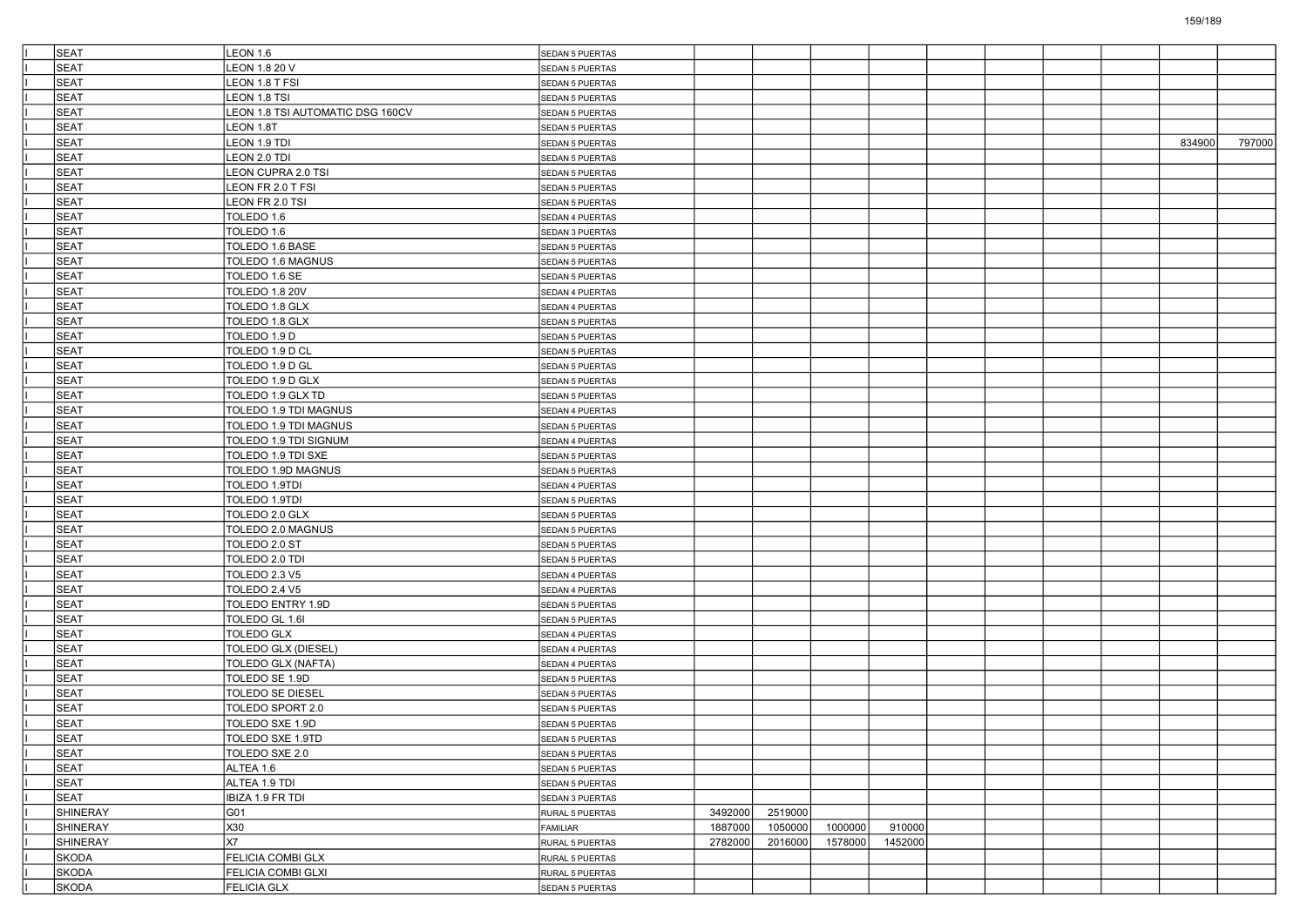| <b>SEAT</b>  | <b>LEON 1.6</b>                  | SEDAN 5 PUERTAS        |         |         |         |         |  |  |        |        |
|--------------|----------------------------------|------------------------|---------|---------|---------|---------|--|--|--------|--------|
| SEAT         | LEON 1.8 20 V                    | SEDAN 5 PUERTAS        |         |         |         |         |  |  |        |        |
| SEAT         | LEON 1.8 T FSI                   | SEDAN 5 PUERTAS        |         |         |         |         |  |  |        |        |
| SEAT         | LEON 1.8 TSI                     | SEDAN 5 PUERTAS        |         |         |         |         |  |  |        |        |
| SEAT         | LEON 1.8 TSI AUTOMATIC DSG 160CV | SEDAN 5 PUERTAS        |         |         |         |         |  |  |        |        |
| SEAT         | LEON 1.8T                        | SEDAN 5 PUERTAS        |         |         |         |         |  |  |        |        |
| SEAT         | LEON 1.9 TDI                     | SEDAN 5 PUERTAS        |         |         |         |         |  |  | 834900 | 797000 |
| SEAT         | LEON 2.0 TDI                     | SEDAN 5 PUERTAS        |         |         |         |         |  |  |        |        |
| <b>SEAT</b>  | LEON CUPRA 2.0 TSI               | SEDAN 5 PUERTAS        |         |         |         |         |  |  |        |        |
| SEAT         | LEON FR 2.0 T FSI                | SEDAN 5 PUERTAS        |         |         |         |         |  |  |        |        |
| SEAT         | LEON FR 2.0 TSI                  | SEDAN 5 PUERTAS        |         |         |         |         |  |  |        |        |
| SEAT         | TOLEDO 1.6                       | SEDAN 4 PUERTAS        |         |         |         |         |  |  |        |        |
| SEAT         | TOLEDO 1.6                       | SEDAN 3 PUERTAS        |         |         |         |         |  |  |        |        |
| <b>SEAT</b>  | TOLEDO 1.6 BASE                  | <b>SEDAN 5 PUERTAS</b> |         |         |         |         |  |  |        |        |
| SEAT         | TOLEDO 1.6 MAGNUS                | SEDAN 5 PUERTAS        |         |         |         |         |  |  |        |        |
| <b>SEAT</b>  | TOLEDO 1.6 SE                    | SEDAN 5 PUERTAS        |         |         |         |         |  |  |        |        |
| SEAT         | TOLEDO 1.8 20V                   | SEDAN 4 PUERTAS        |         |         |         |         |  |  |        |        |
| SEAT         | TOLEDO 1.8 GLX                   | SEDAN 4 PUERTAS        |         |         |         |         |  |  |        |        |
| SEAT         | TOLEDO 1.8 GLX                   | <b>SEDAN 5 PUERTAS</b> |         |         |         |         |  |  |        |        |
| SEAT         | TOLEDO 1.9 D                     | SEDAN 5 PUERTAS        |         |         |         |         |  |  |        |        |
| SEAT         | TOLEDO 1.9 D CL                  | SEDAN 5 PUERTAS        |         |         |         |         |  |  |        |        |
| SEAT         | TOLEDO 1.9 D GL                  | <b>SEDAN 5 PUERTAS</b> |         |         |         |         |  |  |        |        |
| SEAT         | TOLEDO 1.9 D GLX                 | SEDAN 5 PUERTAS        |         |         |         |         |  |  |        |        |
| SEAT         | TOLEDO 1.9 GLX TD                | SEDAN 5 PUERTAS        |         |         |         |         |  |  |        |        |
| SEAT         | TOLEDO 1.9 TDI MAGNUS            | SEDAN 4 PUERTAS        |         |         |         |         |  |  |        |        |
| SEAT         | TOLEDO 1.9 TDI MAGNUS            | SEDAN 5 PUERTAS        |         |         |         |         |  |  |        |        |
| SEAT         | TOLEDO 1.9 TDI SIGNUM            | SEDAN 4 PUERTAS        |         |         |         |         |  |  |        |        |
| SEAT         | TOLEDO 1.9 TDI SXE               | SEDAN 5 PUERTAS        |         |         |         |         |  |  |        |        |
| SEAT         | TOLEDO 1.9D MAGNUS               | SEDAN 5 PUERTAS        |         |         |         |         |  |  |        |        |
| SEAT         |                                  |                        |         |         |         |         |  |  |        |        |
| SEAT         | TOLEDO 1.9TDI<br>TOLEDO 1.9TDI   | SEDAN 4 PUERTAS        |         |         |         |         |  |  |        |        |
| SEAT         |                                  | SEDAN 5 PUERTAS        |         |         |         |         |  |  |        |        |
| SEAT         | TOLEDO 2.0 GLX                   | <b>SEDAN 5 PUERTAS</b> |         |         |         |         |  |  |        |        |
|              | TOLEDO 2.0 MAGNUS                | SEDAN 5 PUERTAS        |         |         |         |         |  |  |        |        |
| SEAT         | TOLEDO 2.0 ST                    | SEDAN 5 PUERTAS        |         |         |         |         |  |  |        |        |
| SEAT         | TOLEDO 2.0 TDI                   | SEDAN 5 PUERTAS        |         |         |         |         |  |  |        |        |
| SEAT         | TOLEDO 2.3 V5                    | SEDAN 4 PUERTAS        |         |         |         |         |  |  |        |        |
| SEAT         | <b>TOLEDO 2.4 V5</b>             | SEDAN 4 PUERTAS        |         |         |         |         |  |  |        |        |
| SEAT         | TOLEDO ENTRY 1.9D                | SEDAN 5 PUERTAS        |         |         |         |         |  |  |        |        |
| SEAT         | TOLEDO GL 1.61                   | SEDAN 5 PUERTAS        |         |         |         |         |  |  |        |        |
| SEAT         | <b>TOLEDO GLX</b>                | SEDAN 4 PUERTAS        |         |         |         |         |  |  |        |        |
| <b>SEAT</b>  | TOLEDO GLX (DIESEL)              | SEDAN 4 PUERTAS        |         |         |         |         |  |  |        |        |
| SEAT         | TOLEDO GLX (NAFTA)               | SEDAN 4 PUERTAS        |         |         |         |         |  |  |        |        |
| SEAT         | TOLEDO SE 1.9D                   | SEDAN 5 PUERTAS        |         |         |         |         |  |  |        |        |
| <b>SEAT</b>  | TOLEDO SE DIESEL                 | SEDAN 5 PUERTAS        |         |         |         |         |  |  |        |        |
| SEAT         | TOLEDO SPORT 2.0                 | SEDAN 5 PUERTAS        |         |         |         |         |  |  |        |        |
| <b>SEAT</b>  | TOLEDO SXE 1.9D                  | <b>SEDAN 5 PUERTAS</b> |         |         |         |         |  |  |        |        |
| SEAT         | TOLEDO SXE 1.9TD                 | SEDAN 5 PUERTAS        |         |         |         |         |  |  |        |        |
| <b>SEAT</b>  | TOLEDO SXE 2.0                   | SEDAN 5 PUERTAS        |         |         |         |         |  |  |        |        |
| <b>SEAT</b>  | ALTEA 1.6                        | SEDAN 5 PUERTAS        |         |         |         |         |  |  |        |        |
| SEAT         | ALTEA 1.9 TDI                    | SEDAN 5 PUERTAS        |         |         |         |         |  |  |        |        |
| SEAT         | IBIZA 1.9 FR TDI                 | SEDAN 3 PUERTAS        |         |         |         |         |  |  |        |        |
| SHINERAY     | G01                              | RURAL 5 PUERTAS        | 3492000 | 2519000 |         |         |  |  |        |        |
| SHINERAY     | X30                              | FAMILIAR               | 1887000 | 1050000 | 1000000 | 910000  |  |  |        |        |
| SHINERAY     | X7                               | RURAL 5 PUERTAS        | 2782000 | 2016000 | 1578000 | 1452000 |  |  |        |        |
| <b>SKODA</b> | FELICIA COMBI GLX                | RURAL 5 PUERTAS        |         |         |         |         |  |  |        |        |
| SKODA        | FELICIA COMBI GLXI               | RURAL 5 PUERTAS        |         |         |         |         |  |  |        |        |
| SKODA        | <b>FELICIA GLX</b>               | SEDAN 5 PUERTAS        |         |         |         |         |  |  |        |        |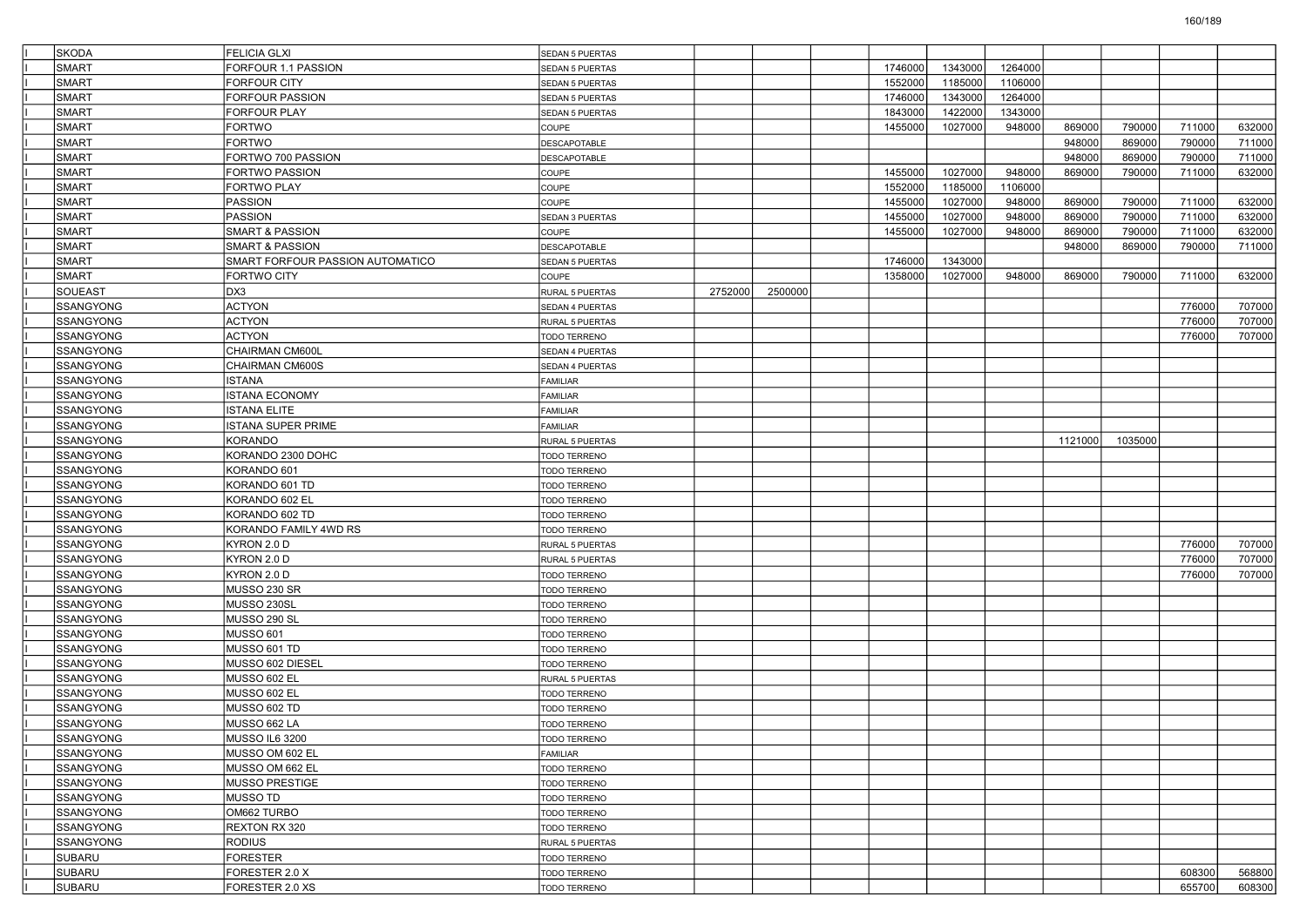| <b>SKODA</b>     | FELICIA GLXI                     | <b>SEDAN 5 PUERTAS</b> |         |         |         |         |         |         |         |        |        |
|------------------|----------------------------------|------------------------|---------|---------|---------|---------|---------|---------|---------|--------|--------|
| <b>SMART</b>     | ORFOUR 1.1 PASSION               | <b>SEDAN 5 PUERTAS</b> |         |         | 1746000 | 1343000 | 1264000 |         |         |        |        |
| SMART            | FORFOUR CITY                     | <b>SEDAN 5 PUERTAS</b> |         |         | 1552000 | 1185000 | 1106000 |         |         |        |        |
| SMART            | FORFOUR PASSION                  | SEDAN 5 PUERTAS        |         |         | 1746000 | 1343000 | 1264000 |         |         |        |        |
| SMART            | FORFOUR PLAY                     | SEDAN 5 PUERTAS        |         |         | 1843000 | 1422000 | 1343000 |         |         |        |        |
| SMART            | FORTWO                           | COUPE                  |         |         | 1455000 | 1027000 | 948000  | 869000  | 790000  | 711000 | 632000 |
| <b>SMART</b>     | FORTWO                           | <b>DESCAPOTABLE</b>    |         |         |         |         |         | 948000  | 869000  | 790000 | 711000 |
| SMART            | FORTWO 700 PASSION               | DESCAPOTABLE           |         |         |         |         |         | 948000  | 869000  | 790000 | 711000 |
| <b>SMART</b>     | FORTWO PASSION                   | COUPE                  |         |         | 1455000 | 1027000 | 948000  | 869000  | 790000  | 711000 | 632000 |
| SMART            | FORTWO PLAY                      | COUPE                  |         |         | 1552000 | 1185000 | 1106000 |         |         |        |        |
| SMART            | PASSION                          | COUPE                  |         |         | 1455000 | 1027000 | 948000  | 869000  | 790000  | 711000 | 632000 |
| <b>SMART</b>     | PASSION                          | SEDAN 3 PUERTAS        |         |         | 1455000 | 1027000 | 948000  | 869000  | 790000  | 711000 | 632000 |
| <b>SMART</b>     | <b>SMART &amp; PASSION</b>       | COUPE                  |         |         | 1455000 | 1027000 | 948000  | 869000  | 790000  | 711000 | 632000 |
| <b>SMART</b>     | SMART & PASSION                  | DESCAPOTABLE           |         |         |         |         |         | 948000  | 869000  | 790000 | 711000 |
| SMART            | SMART FORFOUR PASSION AUTOMATICO | <b>SEDAN 5 PUERTAS</b> |         |         | 1746000 | 1343000 |         |         |         |        |        |
| SMART            | FORTWO CITY                      | COUPE                  |         |         | 1358000 | 1027000 | 948000  | 869000  | 790000  | 711000 | 632000 |
| <b>SOUEAST</b>   | DX3                              | RURAL 5 PUERTAS        | 2752000 | 2500000 |         |         |         |         |         |        |        |
| <b>SSANGYONG</b> | <b>ACTYON</b>                    | SEDAN 4 PUERTAS        |         |         |         |         |         |         |         | 776000 | 707000 |
| <b>SSANGYONG</b> | <b>ACTYON</b>                    | RURAL 5 PUERTAS        |         |         |         |         |         |         |         | 776000 | 707000 |
| <b>SSANGYONG</b> | <b>ACTYON</b>                    | TODO TERRENO           |         |         |         |         |         |         |         | 776000 | 707000 |
| SSANGYONG        | CHAIRMAN CM600L                  | SEDAN 4 PUERTAS        |         |         |         |         |         |         |         |        |        |
| <b>SSANGYONG</b> | CHAIRMAN CM600S                  | SEDAN 4 PUERTAS        |         |         |         |         |         |         |         |        |        |
| <b>SSANGYONG</b> | ISTANA                           | FAMILIAR               |         |         |         |         |         |         |         |        |        |
| <b>SSANGYONG</b> | <b>ISTANA ECONOMY</b>            | FAMILIAR               |         |         |         |         |         |         |         |        |        |
| <b>SSANGYONG</b> | ISTANA ELITE                     | FAMILIAR               |         |         |         |         |         |         |         |        |        |
| SSANGYONG        | <b>ISTANA SUPER PRIME</b>        | FAMILIAR               |         |         |         |         |         |         |         |        |        |
| <b>SSANGYONG</b> | <b>KORANDO</b>                   | RURAL 5 PUERTAS        |         |         |         |         |         | 1121000 | 1035000 |        |        |
| <b>SSANGYONG</b> | KORANDO 2300 DOHC                | TODO TERRENO           |         |         |         |         |         |         |         |        |        |
| <b>SSANGYONG</b> | KORANDO 601                      | TODO TERRENO           |         |         |         |         |         |         |         |        |        |
| <b>SSANGYONG</b> | KORANDO 601 TD                   | TODO TERRENO           |         |         |         |         |         |         |         |        |        |
| SSANGYONG        | KORANDO 602 EL                   | TODO TERRENO           |         |         |         |         |         |         |         |        |        |
| <b>SSANGYONG</b> | KORANDO 602 TD                   | TODO TERRENO           |         |         |         |         |         |         |         |        |        |
| <b>SSANGYONG</b> | KORANDO FAMILY 4WD RS            | TODO TERRENO           |         |         |         |         |         |         |         |        |        |
| <b>SSANGYONG</b> | KYRON 2.0 D                      | RURAL 5 PUERTAS        |         |         |         |         |         |         |         | 776000 | 707000 |
| <b>SSANGYONG</b> | KYRON 2.0 D                      | RURAL 5 PUERTAS        |         |         |         |         |         |         |         | 776000 | 707000 |
| SSANGYONG        | KYRON 2.0 D                      | TODO TERRENO           |         |         |         |         |         |         |         | 776000 | 707000 |
| <b>SSANGYONG</b> | MUSSO 230 SR                     | TODO TERRENO           |         |         |         |         |         |         |         |        |        |
| <b>SSANGYONG</b> | MUSSO 230SL                      | TODO TERRENO           |         |         |         |         |         |         |         |        |        |
| <b>SSANGYONG</b> | MUSSO 290 SL                     | TODO TERRENO           |         |         |         |         |         |         |         |        |        |
| <b>SSANGYONG</b> | <b>MUSSO 601</b>                 | TODO TERRENO           |         |         |         |         |         |         |         |        |        |
| <b>SSANGYONG</b> | MUSSO 601 TD                     | TODO TERRENO           |         |         |         |         |         |         |         |        |        |
| <b>SSANGYONG</b> | MUSSO 602 DIESEL                 | TODO TERRENO           |         |         |         |         |         |         |         |        |        |
| <b>SSANGYONG</b> | MUSSO 602 EL                     | RURAL 5 PUERTAS        |         |         |         |         |         |         |         |        |        |
| <b>SSANGYONG</b> | MUSSO 602 EL                     | <b>TODO TERRENO</b>    |         |         |         |         |         |         |         |        |        |
| <b>SSANGYONG</b> | <b>MUSSO 602 TD</b>              | TODO TERRENO           |         |         |         |         |         |         |         |        |        |
| <b>SSANGYONG</b> | MUSSO 662 LA                     | <b>TODO TERRENO</b>    |         |         |         |         |         |         |         |        |        |
| SSANGYONG        | <b>MUSSO IL6 3200</b>            | TODO TERRENO           |         |         |         |         |         |         |         |        |        |
| <b>SSANGYONG</b> | MUSSO OM 602 EL                  | <b>FAMILIAR</b>        |         |         |         |         |         |         |         |        |        |
| SSANGYONG        | MUSSO OM 662 EL                  | TODO TERRENO           |         |         |         |         |         |         |         |        |        |
| SSANGYONG        | <b>MUSSO PRESTIGE</b>            | TODO TERRENO           |         |         |         |         |         |         |         |        |        |
| SSANGYONG        | MUSSO TD                         | <b>TODO TERRENO</b>    |         |         |         |         |         |         |         |        |        |
| SSANGYONG        | OM662 TURBO                      | TODO TERRENO           |         |         |         |         |         |         |         |        |        |
| SSANGYONG        | REXTON RX 320                    | TODO TERRENO           |         |         |         |         |         |         |         |        |        |
| <b>SSANGYONG</b> | RODIUS                           | RURAL 5 PUERTAS        |         |         |         |         |         |         |         |        |        |
| SUBARU           | <b>FORESTER</b>                  | TODO TERRENO           |         |         |         |         |         |         |         |        |        |
| SUBARU           | FORESTER 2.0 X                   | TODO TERRENO           |         |         |         |         |         |         |         | 608300 | 568800 |
| SUBARU           | FORESTER 2.0 XS                  | TODO TERRENO           |         |         |         |         |         |         |         | 655700 | 608300 |
|                  |                                  |                        |         |         |         |         |         |         |         |        |        |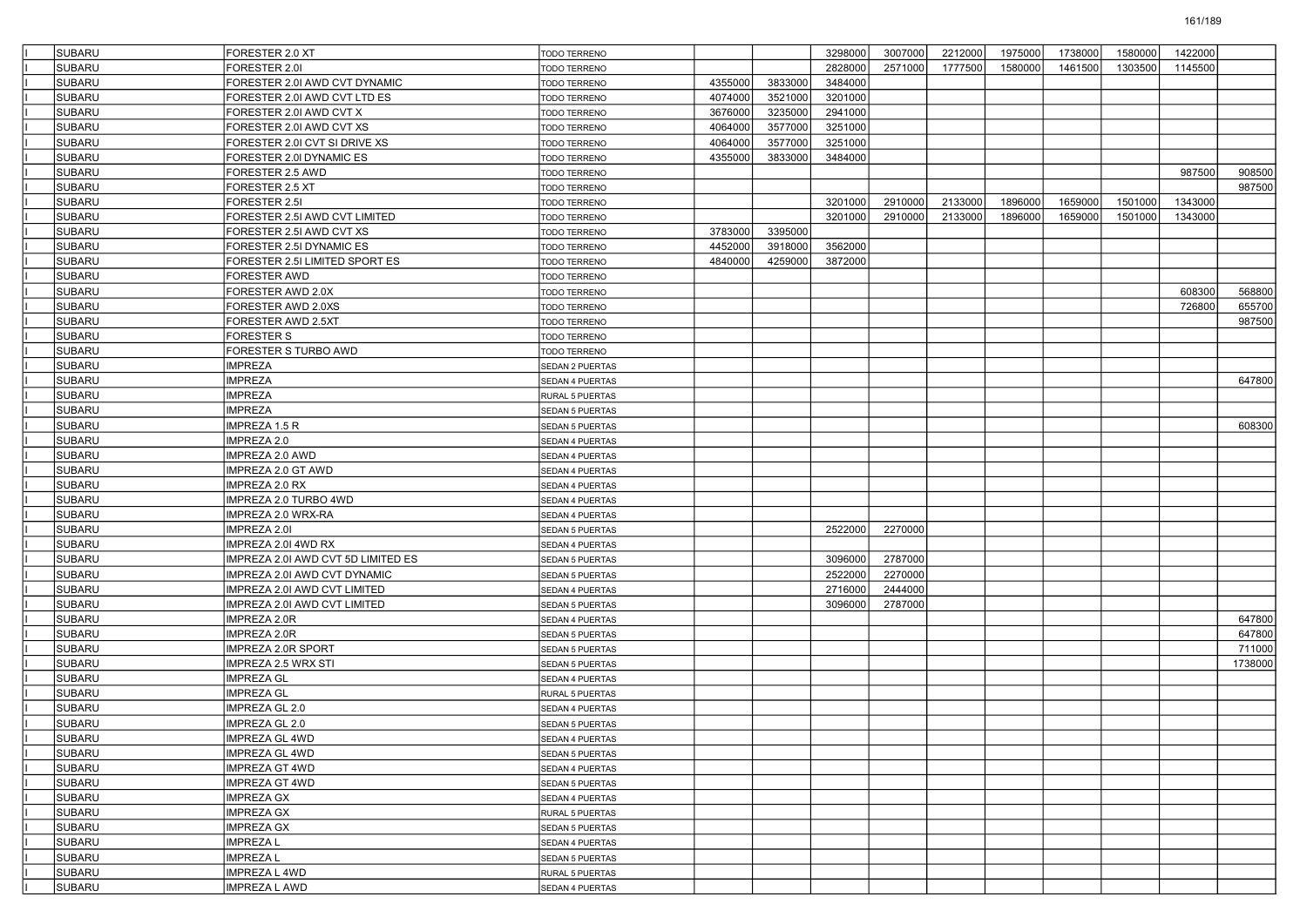| <b>SUBARU</b> | FORESTER 2.0 XT                    | <b>TODO TERRENO</b>    |         |         | 3298000 | 3007000 | 2212000 | 1975000 | 1738000 | 1580000 | 1422000 |         |
|---------------|------------------------------------|------------------------|---------|---------|---------|---------|---------|---------|---------|---------|---------|---------|
| <b>SUBARU</b> | FORESTER 2.01                      | TODO TERRENO           |         |         | 2828000 | 2571000 | 1777500 | 1580000 | 1461500 | 1303500 | 1145500 |         |
| <b>SUBARU</b> | FORESTER 2.0I AWD CVT DYNAMIC      | <b>TODO TERRENO</b>    | 4355000 | 3833000 | 3484000 |         |         |         |         |         |         |         |
| <b>SUBARU</b> | FORESTER 2.0I AWD CVT LTD ES       | <b>TODO TERRENO</b>    | 4074000 | 3521000 | 3201000 |         |         |         |         |         |         |         |
| SUBARU        | FORESTER 2.0I AWD CVT X            | TODO TERRENO           | 3676000 | 3235000 | 2941000 |         |         |         |         |         |         |         |
| <b>SUBARU</b> | FORESTER 2.0I AWD CVT XS           | <b>TODO TERRENO</b>    | 4064000 | 3577000 | 3251000 |         |         |         |         |         |         |         |
| <b>SUBARU</b> | FORESTER 2.01 CVT SI DRIVE XS      | TODO TERRENO           | 4064000 | 3577000 | 3251000 |         |         |         |         |         |         |         |
| <b>SUBARU</b> | FORESTER 2.0I DYNAMIC ES           | TODO TERRENO           | 4355000 | 3833000 | 3484000 |         |         |         |         |         |         |         |
| <b>SUBARU</b> | FORESTER 2.5 AWD                   | TODO TERRENO           |         |         |         |         |         |         |         |         | 987500  | 908500  |
| SUBARU        | FORESTER 2.5 XT                    | TODO TERRENO           |         |         |         |         |         |         |         |         |         | 987500  |
| <b>SUBARU</b> | FORESTER 2.5I                      | TODO TERRENO           |         |         | 3201000 | 2910000 | 2133000 | 1896000 | 1659000 | 1501000 | 1343000 |         |
| <b>SUBARU</b> | FORESTER 2.5I AWD CVT LIMITED      | TODO TERRENO           |         |         | 3201000 | 2910000 | 2133000 | 1896000 | 1659000 | 1501000 | 1343000 |         |
| <b>SUBARU</b> | FORESTER 2.5I AWD CVT XS           | TODO TERRENO           | 3783000 | 3395000 |         |         |         |         |         |         |         |         |
| <b>SUBARU</b> | FORESTER 2.5I DYNAMIC ES           | TODO TERRENO           | 4452000 | 3918000 | 3562000 |         |         |         |         |         |         |         |
| SUBARU        | FORESTER 2.5I LIMITED SPORT ES     | <b>TODO TERRENO</b>    | 4840000 | 4259000 | 3872000 |         |         |         |         |         |         |         |
| <b>SUBARU</b> | <b>FORESTER AWD</b>                | TODO TERRENO           |         |         |         |         |         |         |         |         |         |         |
| <b>SUBARU</b> | FORESTER AWD 2.0X                  | TODO TERRENO           |         |         |         |         |         |         |         |         | 608300  | 568800  |
| <b>SUBARU</b> | FORESTER AWD 2.0XS                 | TODO TERRENO           |         |         |         |         |         |         |         |         | 726800  | 655700  |
| <b>SUBARU</b> | FORESTER AWD 2.5XT                 | TODO TERRENO           |         |         |         |         |         |         |         |         |         | 987500  |
| <b>SUBARU</b> | <b>FORESTER S</b>                  | TODO TERRENO           |         |         |         |         |         |         |         |         |         |         |
| <b>SUBARU</b> | FORESTER S TURBO AWD               | TODO TERRENO           |         |         |         |         |         |         |         |         |         |         |
| <b>SUBARU</b> | <b>IMPREZA</b>                     | <b>SEDAN 2 PUERTAS</b> |         |         |         |         |         |         |         |         |         |         |
| <b>SUBARU</b> | <b>IMPREZA</b>                     | SEDAN 4 PUERTAS        |         |         |         |         |         |         |         |         |         | 647800  |
| <b>SUBARU</b> | <b>IMPREZA</b>                     | RURAL 5 PUERTAS        |         |         |         |         |         |         |         |         |         |         |
| <b>SUBARU</b> | <b>IMPREZA</b>                     | <b>SEDAN 5 PUERTAS</b> |         |         |         |         |         |         |         |         |         |         |
| <b>SUBARU</b> | IMPREZA 1.5 R                      | SEDAN 5 PUERTAS        |         |         |         |         |         |         |         |         |         | 608300  |
| <b>SUBARU</b> | IMPREZA 2.0                        | <b>SEDAN 4 PUERTAS</b> |         |         |         |         |         |         |         |         |         |         |
| <b>SUBARU</b> | IMPREZA 2.0 AWD                    | SEDAN 4 PUERTAS        |         |         |         |         |         |         |         |         |         |         |
| <b>SUBARU</b> | IMPREZA 2.0 GT AWD                 | SEDAN 4 PUERTAS        |         |         |         |         |         |         |         |         |         |         |
| <b>SUBARU</b> | <b>IMPREZA 2.0 RX</b>              | <b>SEDAN 4 PUERTAS</b> |         |         |         |         |         |         |         |         |         |         |
| <b>SUBARU</b> | IMPREZA 2.0 TURBO 4WD              | SEDAN 4 PUERTAS        |         |         |         |         |         |         |         |         |         |         |
| <b>SUBARU</b> | IMPREZA 2.0 WRX-RA                 | <b>SEDAN 4 PUERTAS</b> |         |         |         |         |         |         |         |         |         |         |
| <b>SUBARU</b> | IMPREZA 2.01                       | <b>SEDAN 5 PUERTAS</b> |         |         | 2522000 | 2270000 |         |         |         |         |         |         |
| <b>SUBARU</b> | IMPREZA 2.0I 4WD RX                | SEDAN 4 PUERTAS        |         |         |         |         |         |         |         |         |         |         |
| <b>SUBARU</b> | IMPREZA 2.0I AWD CVT 5D LIMITED ES | <b>SEDAN 5 PUERTAS</b> |         |         | 3096000 | 2787000 |         |         |         |         |         |         |
| <b>SUBARU</b> | IMPREZA 2.0I AWD CVT DYNAMIC       | <b>SEDAN 5 PUERTAS</b> |         |         | 2522000 | 2270000 |         |         |         |         |         |         |
| <b>SUBARU</b> | IMPREZA 2.0I AWD CVT LIMITED       | <b>SEDAN 4 PUERTAS</b> |         |         | 2716000 | 2444000 |         |         |         |         |         |         |
| <b>SUBARU</b> | IMPREZA 2.0I AWD CVT LIMITED       | <b>SEDAN 5 PUERTAS</b> |         |         | 3096000 | 2787000 |         |         |         |         |         |         |
| <b>SUBARU</b> | IMPREZA 2.0R                       | SEDAN 4 PUERTAS        |         |         |         |         |         |         |         |         |         | 647800  |
| <b>SUBARU</b> | IMPREZA 2.0R                       | <b>SEDAN 5 PUERTAS</b> |         |         |         |         |         |         |         |         |         | 647800  |
| <b>SUBARU</b> | IMPREZA 2.0R SPORT                 | <b>SEDAN 5 PUERTAS</b> |         |         |         |         |         |         |         |         |         | 711000  |
| <b>SUBARU</b> | IMPREZA 2.5 WRX STI                | <b>SEDAN 5 PUERTAS</b> |         |         |         |         |         |         |         |         |         | 1738000 |
| <b>SUBARU</b> | <b>IMPREZA GL</b>                  | SEDAN 4 PUERTAS        |         |         |         |         |         |         |         |         |         |         |
| <b>SUBARU</b> | <b>IMPREZA GL</b>                  | RURAL 5 PUERTAS        |         |         |         |         |         |         |         |         |         |         |
| <b>SUBARU</b> | IMPREZA GL 2.0                     | <b>SEDAN 4 PUERTAS</b> |         |         |         |         |         |         |         |         |         |         |
| <b>SUBARU</b> | IMPREZA GL 2.0                     | SEDAN 5 PUERTAS        |         |         |         |         |         |         |         |         |         |         |
| SUBARU        | <b>IMPREZA GL 4WD</b>              | <b>SEDAN 4 PUERTAS</b> |         |         |         |         |         |         |         |         |         |         |
| <b>SUBARU</b> | IMPREZA GL 4WD                     | SEDAN 5 PUERTAS        |         |         |         |         |         |         |         |         |         |         |
| <b>SUBARU</b> | <b>IMPREZA GT 4WD</b>              | SEDAN 4 PUERTAS        |         |         |         |         |         |         |         |         |         |         |
| <b>SUBARU</b> | IMPREZA GT 4WD                     | SEDAN 5 PUERTAS        |         |         |         |         |         |         |         |         |         |         |
| SUBARU        | <b>IMPREZA GX</b>                  | SEDAN 4 PUERTAS        |         |         |         |         |         |         |         |         |         |         |
| SUBARU        | <b>IMPREZA GX</b>                  | RURAL 5 PUERTAS        |         |         |         |         |         |         |         |         |         |         |
| <b>SUBARU</b> | <b>IMPREZA GX</b>                  | SEDAN 5 PUERTAS        |         |         |         |         |         |         |         |         |         |         |
| SUBARU        | <b>IMPREZAL</b>                    | SEDAN 4 PUERTAS        |         |         |         |         |         |         |         |         |         |         |
| <b>SUBARU</b> | <b>IMPREZAL</b>                    | SEDAN 5 PUERTAS        |         |         |         |         |         |         |         |         |         |         |
| SUBARU        | IMPREZA L 4WD                      | RURAL 5 PUERTAS        |         |         |         |         |         |         |         |         |         |         |
| SUBARU        | <b>IMPREZA L AWD</b>               | SEDAN 4 PUERTAS        |         |         |         |         |         |         |         |         |         |         |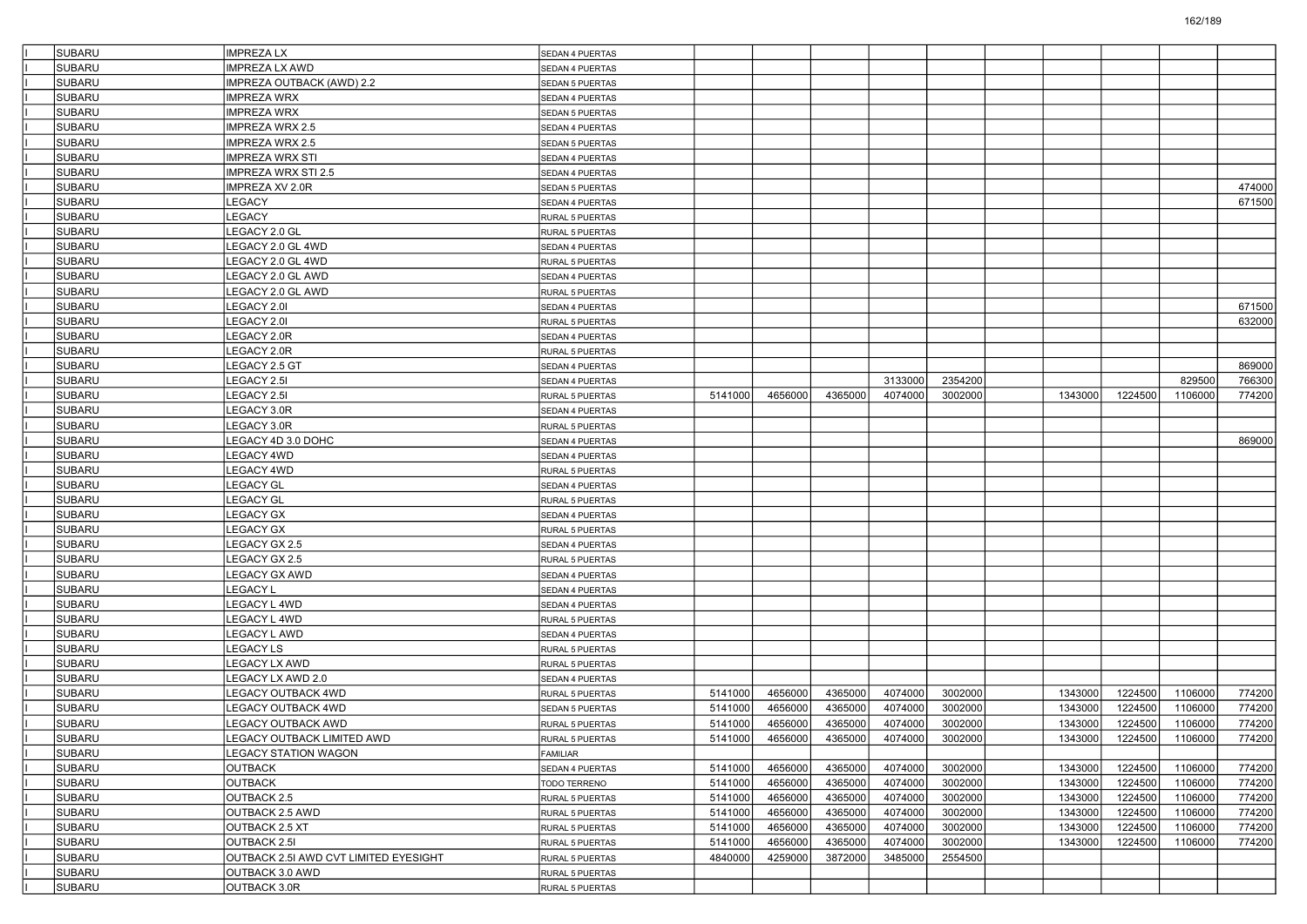| <b>SUBARU</b> | <b>IMPREZALX</b>                      | <b>SEDAN 4 PUERTAS</b>             |         |         |         |         |         |         |         |         |        |
|---------------|---------------------------------------|------------------------------------|---------|---------|---------|---------|---------|---------|---------|---------|--------|
| <b>SUBARU</b> | <b>IMPREZA LX AWD</b>                 | <b>SEDAN 4 PUERTAS</b>             |         |         |         |         |         |         |         |         |        |
| <b>SUBARU</b> | IMPREZA OUTBACK (AWD) 2.2             | SEDAN 5 PUERTAS                    |         |         |         |         |         |         |         |         |        |
| <b>SUBARU</b> | <b>IMPREZA WRX</b>                    | <b>SEDAN 4 PUERTAS</b>             |         |         |         |         |         |         |         |         |        |
| <b>SUBARU</b> | <b>IMPREZA WRX</b>                    | <b>SEDAN 5 PUERTAS</b>             |         |         |         |         |         |         |         |         |        |
| <b>SUBARU</b> | IMPREZA WRX 2.5                       | SEDAN 4 PUERTAS                    |         |         |         |         |         |         |         |         |        |
| <b>SUBARU</b> | <b>IMPREZA WRX 2.5</b>                | SEDAN 5 PUERTAS                    |         |         |         |         |         |         |         |         |        |
| <b>SUBARU</b> | <b>IMPREZA WRX STI</b>                | SEDAN 4 PUERTAS                    |         |         |         |         |         |         |         |         |        |
| <b>SUBARU</b> | <b>IMPREZA WRX STI 2.5</b>            | <b>SEDAN 4 PUERTAS</b>             |         |         |         |         |         |         |         |         |        |
| <b>SUBARU</b> | IMPREZA XV 2.0R                       | <b>SEDAN 5 PUERTAS</b>             |         |         |         |         |         |         |         |         | 474000 |
| <b>SUBARU</b> | LEGACY                                | SEDAN 4 PUERTAS                    |         |         |         |         |         |         |         |         | 671500 |
| <b>SUBARU</b> | LEGACY                                | <b>RURAL 5 PUERTAS</b>             |         |         |         |         |         |         |         |         |        |
| <b>SUBARU</b> | LEGACY 2.0 GL                         | RURAL 5 PUERTAS                    |         |         |         |         |         |         |         |         |        |
| <b>SUBARU</b> | LEGACY 2.0 GL 4WD                     | <b>SEDAN 4 PUERTAS</b>             |         |         |         |         |         |         |         |         |        |
| <b>SUBARU</b> | LEGACY 2.0 GL 4WD                     | RURAL 5 PUERTAS                    |         |         |         |         |         |         |         |         |        |
| <b>SUBARU</b> | LEGACY 2.0 GL AWD                     | SEDAN 4 PUERTAS                    |         |         |         |         |         |         |         |         |        |
| <b>SUBARU</b> | LEGACY 2.0 GL AWD                     | <b>RURAL 5 PUERTAS</b>             |         |         |         |         |         |         |         |         |        |
| <b>SUBARU</b> | LEGACY 2.0I                           | SEDAN 4 PUERTAS                    |         |         |         |         |         |         |         |         | 671500 |
| <b>SUBARU</b> | LEGACY 2.0I                           | <b>RURAL 5 PUERTAS</b>             |         |         |         |         |         |         |         |         | 632000 |
| <b>SUBARU</b> | LEGACY 2.0R                           | <b>SEDAN 4 PUERTAS</b>             |         |         |         |         |         |         |         |         |        |
| <b>SUBARU</b> | LEGACY 2.0R                           | RURAL 5 PUERTAS                    |         |         |         |         |         |         |         |         |        |
| <b>SUBARU</b> | <b>EGACY 2.5 GT</b>                   | <b>SEDAN 4 PUERTAS</b>             |         |         |         |         |         |         |         |         | 869000 |
| <b>SUBARU</b> | LEGACY 2.5I                           | <b>SEDAN 4 PUERTAS</b>             |         |         |         | 3133000 | 2354200 |         |         | 829500  | 766300 |
| <b>SUBARU</b> | <b>EGACY 2.5I</b>                     | <b>RURAL 5 PUERTAS</b>             | 5141000 | 4656000 | 4365000 | 4074000 | 3002000 | 1343000 | 1224500 | 1106000 | 774200 |
| <b>SUBARU</b> | LEGACY 3.0R                           | <b>SEDAN 4 PUERTAS</b>             |         |         |         |         |         |         |         |         |        |
| <b>SUBARU</b> | LEGACY 3.0R                           | <b>RURAL 5 PUERTAS</b>             |         |         |         |         |         |         |         |         |        |
| <b>SUBARU</b> | LEGACY 4D 3.0 DOHC                    | <b>SEDAN 4 PUERTAS</b>             |         |         |         |         |         |         |         |         | 869000 |
| <b>SUBARU</b> | LEGACY 4WD                            | <b>SEDAN 4 PUERTAS</b>             |         |         |         |         |         |         |         |         |        |
| <b>SUBARU</b> | EGACY 4WD                             | RURAL 5 PUERTAS                    |         |         |         |         |         |         |         |         |        |
| <b>SUBARU</b> | <b>LEGACY GL</b>                      | <b>SEDAN 4 PUERTAS</b>             |         |         |         |         |         |         |         |         |        |
| <b>SUBARU</b> | LEGACY GL                             | RURAL 5 PUERTAS                    |         |         |         |         |         |         |         |         |        |
| <b>SUBARU</b> | LEGACY GX                             | <b>SEDAN 4 PUERTAS</b>             |         |         |         |         |         |         |         |         |        |
| <b>SUBARU</b> | LEGACY GX                             | <b>RURAL 5 PUERTAS</b>             |         |         |         |         |         |         |         |         |        |
| <b>SUBARU</b> | LEGACY GX 2.5                         | <b>SEDAN 4 PUERTAS</b>             |         |         |         |         |         |         |         |         |        |
| <b>SUBARU</b> | LEGACY GX 2.5                         | RURAL 5 PUERTAS                    |         |         |         |         |         |         |         |         |        |
| <b>SUBARU</b> | LEGACY GX AWD                         | <b>SEDAN 4 PUERTAS</b>             |         |         |         |         |         |         |         |         |        |
| <b>SUBARU</b> | LEGACY L                              | <b>SEDAN 4 PUERTAS</b>             |         |         |         |         |         |         |         |         |        |
| <b>SUBARU</b> | LEGACY L 4WD                          | SEDAN 4 PUERTAS                    |         |         |         |         |         |         |         |         |        |
| <b>SUBARU</b> | EGACY L 4WD                           | <b>RURAL 5 PUERTAS</b>             |         |         |         |         |         |         |         |         |        |
| <b>SUBARU</b> | LEGACY L AWD                          | <b>SEDAN 4 PUERTAS</b>             |         |         |         |         |         |         |         |         |        |
| <b>SUBARU</b> | LEGACY LS                             | RURAL 5 PUERTAS                    |         |         |         |         |         |         |         |         |        |
| <b>SUBARU</b> | LEGACY LX AWD                         | <b>RURAL 5 PUERTAS</b>             |         |         |         |         |         |         |         |         |        |
| <b>SUBARU</b> | LEGACY LX AWD 2.0                     | SEDAN 4 PUERTAS                    |         |         |         |         |         |         |         |         |        |
| <b>SUBARU</b> | LEGACY OUTBACK 4WD                    | RURAL 5 PUERTAS                    | 5141000 | 4656000 | 4365000 | 4074000 | 3002000 | 1343000 | 1224500 | 1106000 | 774200 |
| <b>SUBARU</b> | LEGACY OUTBACK 4WD                    | <b>SEDAN 5 PUERTAS</b>             | 5141000 | 4656000 | 4365000 | 4074000 | 3002000 | 1343000 | 1224500 | 1106000 | 774200 |
| <b>SUBARU</b> | <b>LEGACY OUTBACK AWD</b>             | <b>RURAL 5 PUERTAS</b>             | 5141000 | 4656000 | 4365000 | 4074000 | 3002000 | 1343000 | 1224500 | 1106000 | 774200 |
| <b>SUBARU</b> | LEGACY OUTBACK LIMITED AWD            |                                    | 5141000 | 4656000 | 4365000 | 4074000 | 3002000 | 1343000 | 1224500 | 1106000 | 774200 |
| SUBARU        | <b>LEGACY STATION WAGON</b>           | <b>RURAL 5 PUERTAS</b><br>FAMILIAR |         |         |         |         |         |         |         |         |        |
| <b>SUBARU</b> | <b>OUTBACK</b>                        | SEDAN 4 PUERTAS                    | 5141000 | 4656000 | 4365000 | 4074000 | 3002000 | 1343000 | 1224500 | 1106000 | 774200 |
| <b>SUBARU</b> | <b>OUTBACK</b>                        | TODO TERRENO                       | 5141000 | 4656000 | 4365000 | 4074000 | 3002000 | 1343000 | 1224500 | 1106000 | 774200 |
| SUBARU        | OUTBACK 2.5                           | RURAL 5 PUERTAS                    | 5141000 | 4656000 | 4365000 | 4074000 | 3002000 | 1343000 | 1224500 | 1106000 | 774200 |
| SUBARU        | OUTBACK 2.5 AWD                       | RURAL 5 PUERTAS                    | 5141000 | 4656000 | 4365000 | 4074000 | 3002000 | 1343000 | 1224500 | 1106000 | 774200 |
| SUBARU        | OUTBACK 2.5 XT                        | RURAL 5 PUERTAS                    | 5141000 | 4656000 | 4365000 | 4074000 | 3002000 | 1343000 | 1224500 | 1106000 | 774200 |
| SUBARU        | OUTBACK 2.5I                          | RURAL 5 PUERTAS                    | 5141000 | 4656000 | 4365000 | 4074000 | 3002000 | 1343000 | 1224500 | 1106000 | 774200 |
| <b>SUBARU</b> | OUTBACK 2.5I AWD CVT LIMITED EYESIGHT | RURAL 5 PUERTAS                    | 4840000 | 4259000 | 3872000 | 3485000 | 2554500 |         |         |         |        |
| SUBARU        | OUTBACK 3.0 AWD                       | RURAL 5 PUERTAS                    |         |         |         |         |         |         |         |         |        |
| SUBARU        | OUTBACK 3.0R                          | RURAL 5 PUERTAS                    |         |         |         |         |         |         |         |         |        |
|               |                                       |                                    |         |         |         |         |         |         |         |         |        |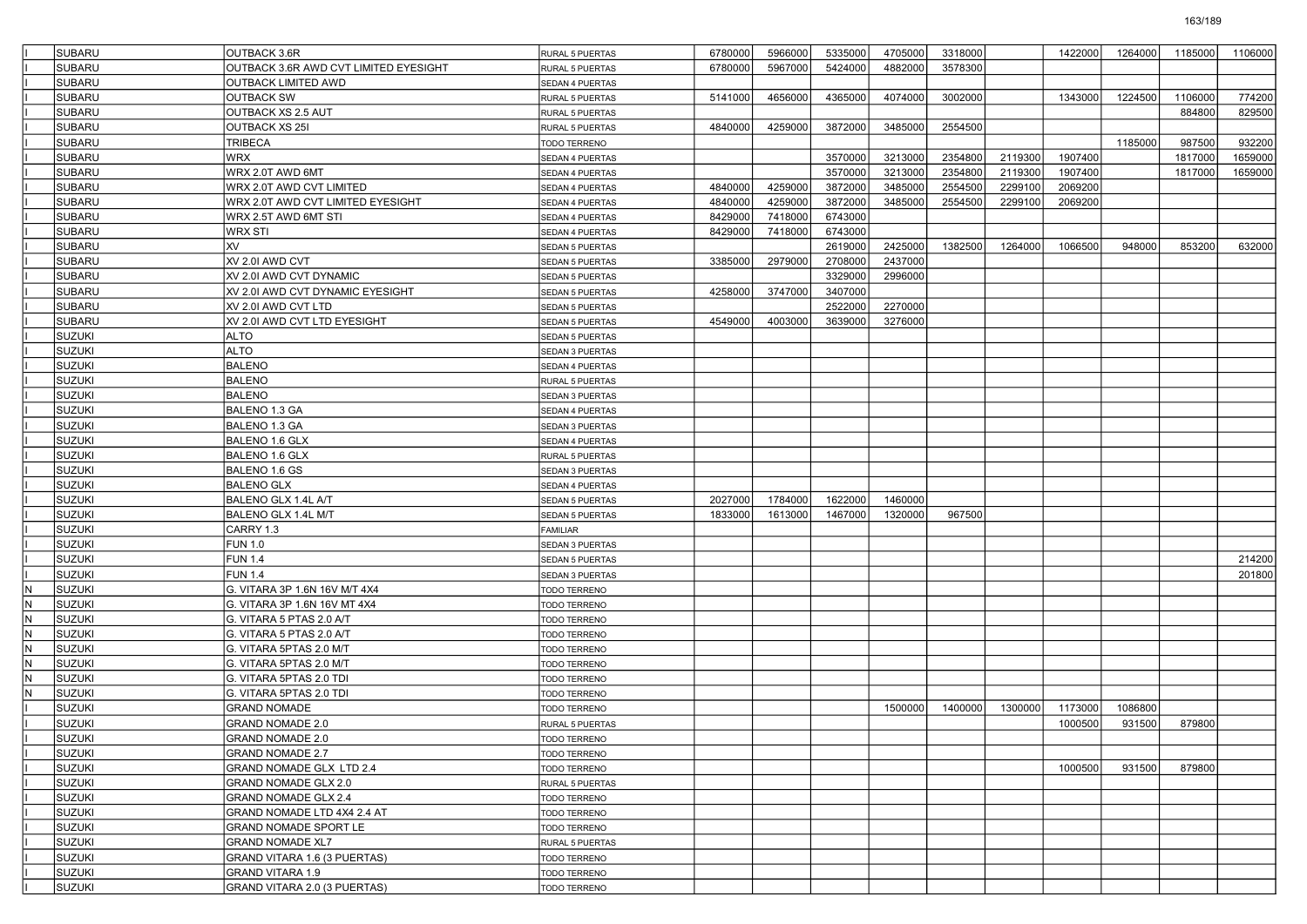| 5967000<br>5424000<br>4882000<br>3578300<br><b>SUBARU</b><br>OUTBACK 3.6R AWD CVT LIMITED EYESIGHT<br>6780000<br><b>RURAL 5 PUERTAS</b><br><b>SUBARU</b><br>OUTBACK LIMITED AWD<br>SEDAN 4 PUERTAS<br><b>SUBARU</b><br>3002000<br><b>OUTBACK SW</b><br>5141000<br>4656000<br>4365000<br>4074000<br>1343000<br>RURAL 5 PUERTAS<br><b>SUBARU</b><br>OUTBACK XS 2.5 AUT<br>RURAL 5 PUERTAS<br><b>SUBARU</b><br><b>OUTBACK XS 25I</b><br>4259000<br>3872000<br>3485000<br>2554500<br>4840000<br>RURAL 5 PUERTAS<br><b>SUBARU</b><br><b>TRIBECA</b><br><b>TODO TERRENO</b><br><b>SUBARU</b><br>3570000<br>1907400<br>WRX<br>3213000<br>2354800<br>2119300<br>SEDAN 4 PUERTAS<br>3570000<br>3213000<br>2354800<br>2119300<br>1907400<br><b>SUBARU</b><br>WRX 2.0T AWD 6MT<br>SEDAN 4 PUERTAS<br><b>SUBARU</b><br>4840000<br>4259000<br>3872000<br>3485000<br>2554500<br>2069200<br>WRX 2.0T AWD CVT LIMITED<br>2299100<br>SEDAN 4 PUERTAS<br><b>SUBARU</b><br>3872000<br>3485000<br>2554500<br>2069200<br>WRX 2.0T AWD CVT LIMITED EYESIGHT<br>4840000<br>4259000<br>2299100<br>SEDAN 4 PUERTAS<br><b>SUBARU</b><br>7418000<br>6743000<br>WRX 2.5T AWD 6MT STI<br>8429000<br>SEDAN 4 PUERTAS<br><b>SUBARU</b><br>7418000<br>6743000<br>8429000<br>WRX STI<br>SEDAN 4 PUERTAS<br><b>SUBARU</b><br>XV<br>2619000<br>2425000<br>1382500<br>1264000<br>1066500<br>SEDAN 5 PUERTAS<br><b>SUBARU</b><br>2437000<br>XV 2.0I AWD CVT<br>3385000<br>2979000<br>2708000<br>SEDAN 5 PUERTAS<br><b>SUBARU</b><br>2996000<br>XV 2.0I AWD CVT DYNAMIC<br>3329000<br>SEDAN 5 PUERTAS<br><b>SUBARU</b><br>3747000<br>3407000<br>XV 2.0I AWD CVT DYNAMIC EYESIGHT<br>4258000<br>SEDAN 5 PUERTAS<br><b>SUBARU</b><br>2522000<br>2270000<br>XV 2.0I AWD CVT LTD<br>SEDAN 5 PUERTAS<br><b>SUBARU</b><br>4003000<br>3639000<br>3276000<br>XV 2.0I AWD CVT LTD EYESIGHT<br>4549000<br>SEDAN 5 PUERTAS<br><b>SUZUKI</b><br>ALTO<br>SEDAN 5 PUERTAS<br>SUZUKI<br><b>ALTO</b><br>SEDAN 3 PUERTAS<br><b>SUZUKI</b><br><b>BALENO</b><br>SEDAN 4 PUERTAS<br><b>SUZUKI</b><br><b>BALENO</b><br>RURAL 5 PUERTAS<br><b>SUZUKI</b><br><b>BALENO</b><br>SEDAN 3 PUERTAS<br><b>SUZUKI</b><br>BALENO 1.3 GA<br>SEDAN 4 PUERTAS<br><b>SUZUKI</b><br>BALENO 1.3 GA<br><b>SEDAN 3 PUERTAS</b><br><b>SUZUKI</b><br>BALENO 1.6 GLX<br>SEDAN 4 PUERTAS<br><b>SUZUKI</b><br>BALENO 1.6 GLX<br>RURAL 5 PUERTAS<br><b>SUZUKI</b><br>BALENO 1.6 GS<br>SEDAN 3 PUERTAS<br><b>SUZUKI</b><br><b>BALENO GLX</b><br>SEDAN 4 PUERTAS<br><b>SUZUKI</b><br>1622000<br>BALENO GLX 1.4L A/T<br>2027000<br>1784000<br>1460000<br>SEDAN 5 PUERTAS<br><b>SUZUKI</b><br>1613000<br>967500<br>BALENO GLX 1.4L M/T<br>1833000<br>1467000<br>1320000<br>SEDAN 5 PUERTAS<br><b>SUZUKI</b><br>CARRY 1.3<br><b>FAMILIAR</b><br><b>SUZUKI</b><br><b>FUN 1.0</b><br>SEDAN 3 PUERTAS<br>SUZUKI<br><b>FUN 1.4</b><br>SEDAN 5 PUERTAS<br>SUZUKI<br><b>FUN 1.4</b><br>SEDAN 3 PUERTAS<br><b>SUZUKI</b><br>IN.<br>G. VITARA 3P 1.6N 16V M/T 4X4<br>TODO TERRENO<br>İN.<br><b>SUZUKI</b><br>G. VITARA 3P 1.6N 16V MT 4X4<br>TODO TERRENO<br><b>SUZUKI</b><br>N<br>G. VITARA 5 PTAS 2.0 A/T<br><b>TODO TERRENO</b><br>SUZUKI<br>İN.<br>G. VITARA 5 PTAS 2.0 A/T<br>TODO TERRENO<br>SUZUKI<br>$\mathsf{N}$<br>G. VITARA 5PTAS 2.0 M/T<br>TODO TERRENO<br><b>SUZUKI</b><br>IN.<br>G. VITARA 5PTAS 2.0 M/T<br><b>TODO TERRENO</b><br>İN.<br><b>SUZUKI</b><br>G. VITARA 5PTAS 2.0 TDI<br><b>TODO TERRENO</b><br><b>SUZUKI</b><br>N<br>G. VITARA 5PTAS 2.0 TDI<br>TODO TERRENO<br>SUZUKI<br><b>GRAND NOMADE</b><br>1500000<br>1400000<br>1300000<br>1173000<br>TODO TERRENO<br>SUZUKI<br><b>GRAND NOMADE 2.0</b><br>1000500<br>RURAL 5 PUERTAS<br><b>SUZUKI</b><br><b>GRAND NOMADE 2.0</b><br><b>TODO TERRENO</b><br>SUZUKI<br><b>GRAND NOMADE 2.7</b><br>TODO TERRENO<br><b>SUZUKI</b><br>1000500<br>GRAND NOMADE GLX LTD 2.4<br>TODO TERRENO<br>SUZUKI<br>GRAND NOMADE GLX 2.0<br>RURAL 5 PUERTAS<br><b>SUZUKI</b><br><b>GRAND NOMADE GLX 2.4</b><br>TODO TERRENO<br>SUZUKI<br>GRAND NOMADE LTD 4X4 2.4 AT<br>TODO TERRENO<br>SUZUKI<br><b>GRAND NOMADE SPORT LE</b><br>TODO TERRENO<br>SUZUKI<br><b>GRAND NOMADE XL7</b><br>RURAL 5 PUERTAS<br>SUZUKI<br>GRAND VITARA 1.6 (3 PUERTAS)<br>TODO TERRENO<br><b>SUZUKI</b><br><b>GRAND VITARA 1.9</b><br>TODO TERRENO | <b>SUBARU</b> | OUTBACK 3.6R                 | RURAL 5 PUERTAS | 6780000 | 5966000 | 5335000 | 4705000 | 3318000 | 1422000 | 1264000 | 1185000 | 1106000 |
|---------------------------------------------------------------------------------------------------------------------------------------------------------------------------------------------------------------------------------------------------------------------------------------------------------------------------------------------------------------------------------------------------------------------------------------------------------------------------------------------------------------------------------------------------------------------------------------------------------------------------------------------------------------------------------------------------------------------------------------------------------------------------------------------------------------------------------------------------------------------------------------------------------------------------------------------------------------------------------------------------------------------------------------------------------------------------------------------------------------------------------------------------------------------------------------------------------------------------------------------------------------------------------------------------------------------------------------------------------------------------------------------------------------------------------------------------------------------------------------------------------------------------------------------------------------------------------------------------------------------------------------------------------------------------------------------------------------------------------------------------------------------------------------------------------------------------------------------------------------------------------------------------------------------------------------------------------------------------------------------------------------------------------------------------------------------------------------------------------------------------------------------------------------------------------------------------------------------------------------------------------------------------------------------------------------------------------------------------------------------------------------------------------------------------------------------------------------------------------------------------------------------------------------------------------------------------------------------------------------------------------------------------------------------------------------------------------------------------------------------------------------------------------------------------------------------------------------------------------------------------------------------------------------------------------------------------------------------------------------------------------------------------------------------------------------------------------------------------------------------------------------------------------------------------------------------------------------------------------------------------------------------------------------------------------------------------------------------------------------------------------------------------------------------------------------------------------------------------------------------------------------------------------------------------------------------------------------------------------------------------------------------------------------------------------------------------------------------------------------------------------------------------------------------------------------------------------------------------------------------------------------------------------------------------------------------------------------------------------------------------------------------------------------------------------------------------------------------------------------------------------------------------------------------------------------------------------------------------------------------------------------------------------|---------------|------------------------------|-----------------|---------|---------|---------|---------|---------|---------|---------|---------|---------|
|                                                                                                                                                                                                                                                                                                                                                                                                                                                                                                                                                                                                                                                                                                                                                                                                                                                                                                                                                                                                                                                                                                                                                                                                                                                                                                                                                                                                                                                                                                                                                                                                                                                                                                                                                                                                                                                                                                                                                                                                                                                                                                                                                                                                                                                                                                                                                                                                                                                                                                                                                                                                                                                                                                                                                                                                                                                                                                                                                                                                                                                                                                                                                                                                                                                                                                                                                                                                                                                                                                                                                                                                                                                                                                                                                                                                                                                                                                                                                                                                                                                                                                                                                                                                                                                                                 |               |                              |                 |         |         |         |         |         |         |         |         |         |
|                                                                                                                                                                                                                                                                                                                                                                                                                                                                                                                                                                                                                                                                                                                                                                                                                                                                                                                                                                                                                                                                                                                                                                                                                                                                                                                                                                                                                                                                                                                                                                                                                                                                                                                                                                                                                                                                                                                                                                                                                                                                                                                                                                                                                                                                                                                                                                                                                                                                                                                                                                                                                                                                                                                                                                                                                                                                                                                                                                                                                                                                                                                                                                                                                                                                                                                                                                                                                                                                                                                                                                                                                                                                                                                                                                                                                                                                                                                                                                                                                                                                                                                                                                                                                                                                                 |               |                              |                 |         |         |         |         |         |         |         |         |         |
|                                                                                                                                                                                                                                                                                                                                                                                                                                                                                                                                                                                                                                                                                                                                                                                                                                                                                                                                                                                                                                                                                                                                                                                                                                                                                                                                                                                                                                                                                                                                                                                                                                                                                                                                                                                                                                                                                                                                                                                                                                                                                                                                                                                                                                                                                                                                                                                                                                                                                                                                                                                                                                                                                                                                                                                                                                                                                                                                                                                                                                                                                                                                                                                                                                                                                                                                                                                                                                                                                                                                                                                                                                                                                                                                                                                                                                                                                                                                                                                                                                                                                                                                                                                                                                                                                 |               |                              |                 |         |         |         |         |         |         | 1224500 | 1106000 | 774200  |
|                                                                                                                                                                                                                                                                                                                                                                                                                                                                                                                                                                                                                                                                                                                                                                                                                                                                                                                                                                                                                                                                                                                                                                                                                                                                                                                                                                                                                                                                                                                                                                                                                                                                                                                                                                                                                                                                                                                                                                                                                                                                                                                                                                                                                                                                                                                                                                                                                                                                                                                                                                                                                                                                                                                                                                                                                                                                                                                                                                                                                                                                                                                                                                                                                                                                                                                                                                                                                                                                                                                                                                                                                                                                                                                                                                                                                                                                                                                                                                                                                                                                                                                                                                                                                                                                                 |               |                              |                 |         |         |         |         |         |         |         | 884800  | 829500  |
|                                                                                                                                                                                                                                                                                                                                                                                                                                                                                                                                                                                                                                                                                                                                                                                                                                                                                                                                                                                                                                                                                                                                                                                                                                                                                                                                                                                                                                                                                                                                                                                                                                                                                                                                                                                                                                                                                                                                                                                                                                                                                                                                                                                                                                                                                                                                                                                                                                                                                                                                                                                                                                                                                                                                                                                                                                                                                                                                                                                                                                                                                                                                                                                                                                                                                                                                                                                                                                                                                                                                                                                                                                                                                                                                                                                                                                                                                                                                                                                                                                                                                                                                                                                                                                                                                 |               |                              |                 |         |         |         |         |         |         |         |         |         |
|                                                                                                                                                                                                                                                                                                                                                                                                                                                                                                                                                                                                                                                                                                                                                                                                                                                                                                                                                                                                                                                                                                                                                                                                                                                                                                                                                                                                                                                                                                                                                                                                                                                                                                                                                                                                                                                                                                                                                                                                                                                                                                                                                                                                                                                                                                                                                                                                                                                                                                                                                                                                                                                                                                                                                                                                                                                                                                                                                                                                                                                                                                                                                                                                                                                                                                                                                                                                                                                                                                                                                                                                                                                                                                                                                                                                                                                                                                                                                                                                                                                                                                                                                                                                                                                                                 |               |                              |                 |         |         |         |         |         |         | 1185000 | 987500  | 932200  |
|                                                                                                                                                                                                                                                                                                                                                                                                                                                                                                                                                                                                                                                                                                                                                                                                                                                                                                                                                                                                                                                                                                                                                                                                                                                                                                                                                                                                                                                                                                                                                                                                                                                                                                                                                                                                                                                                                                                                                                                                                                                                                                                                                                                                                                                                                                                                                                                                                                                                                                                                                                                                                                                                                                                                                                                                                                                                                                                                                                                                                                                                                                                                                                                                                                                                                                                                                                                                                                                                                                                                                                                                                                                                                                                                                                                                                                                                                                                                                                                                                                                                                                                                                                                                                                                                                 |               |                              |                 |         |         |         |         |         |         |         | 1817000 | 1659000 |
|                                                                                                                                                                                                                                                                                                                                                                                                                                                                                                                                                                                                                                                                                                                                                                                                                                                                                                                                                                                                                                                                                                                                                                                                                                                                                                                                                                                                                                                                                                                                                                                                                                                                                                                                                                                                                                                                                                                                                                                                                                                                                                                                                                                                                                                                                                                                                                                                                                                                                                                                                                                                                                                                                                                                                                                                                                                                                                                                                                                                                                                                                                                                                                                                                                                                                                                                                                                                                                                                                                                                                                                                                                                                                                                                                                                                                                                                                                                                                                                                                                                                                                                                                                                                                                                                                 |               |                              |                 |         |         |         |         |         |         |         | 1817000 | 1659000 |
|                                                                                                                                                                                                                                                                                                                                                                                                                                                                                                                                                                                                                                                                                                                                                                                                                                                                                                                                                                                                                                                                                                                                                                                                                                                                                                                                                                                                                                                                                                                                                                                                                                                                                                                                                                                                                                                                                                                                                                                                                                                                                                                                                                                                                                                                                                                                                                                                                                                                                                                                                                                                                                                                                                                                                                                                                                                                                                                                                                                                                                                                                                                                                                                                                                                                                                                                                                                                                                                                                                                                                                                                                                                                                                                                                                                                                                                                                                                                                                                                                                                                                                                                                                                                                                                                                 |               |                              |                 |         |         |         |         |         |         |         |         |         |
|                                                                                                                                                                                                                                                                                                                                                                                                                                                                                                                                                                                                                                                                                                                                                                                                                                                                                                                                                                                                                                                                                                                                                                                                                                                                                                                                                                                                                                                                                                                                                                                                                                                                                                                                                                                                                                                                                                                                                                                                                                                                                                                                                                                                                                                                                                                                                                                                                                                                                                                                                                                                                                                                                                                                                                                                                                                                                                                                                                                                                                                                                                                                                                                                                                                                                                                                                                                                                                                                                                                                                                                                                                                                                                                                                                                                                                                                                                                                                                                                                                                                                                                                                                                                                                                                                 |               |                              |                 |         |         |         |         |         |         |         |         |         |
|                                                                                                                                                                                                                                                                                                                                                                                                                                                                                                                                                                                                                                                                                                                                                                                                                                                                                                                                                                                                                                                                                                                                                                                                                                                                                                                                                                                                                                                                                                                                                                                                                                                                                                                                                                                                                                                                                                                                                                                                                                                                                                                                                                                                                                                                                                                                                                                                                                                                                                                                                                                                                                                                                                                                                                                                                                                                                                                                                                                                                                                                                                                                                                                                                                                                                                                                                                                                                                                                                                                                                                                                                                                                                                                                                                                                                                                                                                                                                                                                                                                                                                                                                                                                                                                                                 |               |                              |                 |         |         |         |         |         |         |         |         |         |
|                                                                                                                                                                                                                                                                                                                                                                                                                                                                                                                                                                                                                                                                                                                                                                                                                                                                                                                                                                                                                                                                                                                                                                                                                                                                                                                                                                                                                                                                                                                                                                                                                                                                                                                                                                                                                                                                                                                                                                                                                                                                                                                                                                                                                                                                                                                                                                                                                                                                                                                                                                                                                                                                                                                                                                                                                                                                                                                                                                                                                                                                                                                                                                                                                                                                                                                                                                                                                                                                                                                                                                                                                                                                                                                                                                                                                                                                                                                                                                                                                                                                                                                                                                                                                                                                                 |               |                              |                 |         |         |         |         |         |         |         |         |         |
|                                                                                                                                                                                                                                                                                                                                                                                                                                                                                                                                                                                                                                                                                                                                                                                                                                                                                                                                                                                                                                                                                                                                                                                                                                                                                                                                                                                                                                                                                                                                                                                                                                                                                                                                                                                                                                                                                                                                                                                                                                                                                                                                                                                                                                                                                                                                                                                                                                                                                                                                                                                                                                                                                                                                                                                                                                                                                                                                                                                                                                                                                                                                                                                                                                                                                                                                                                                                                                                                                                                                                                                                                                                                                                                                                                                                                                                                                                                                                                                                                                                                                                                                                                                                                                                                                 |               |                              |                 |         |         |         |         |         |         | 948000  | 853200  | 632000  |
|                                                                                                                                                                                                                                                                                                                                                                                                                                                                                                                                                                                                                                                                                                                                                                                                                                                                                                                                                                                                                                                                                                                                                                                                                                                                                                                                                                                                                                                                                                                                                                                                                                                                                                                                                                                                                                                                                                                                                                                                                                                                                                                                                                                                                                                                                                                                                                                                                                                                                                                                                                                                                                                                                                                                                                                                                                                                                                                                                                                                                                                                                                                                                                                                                                                                                                                                                                                                                                                                                                                                                                                                                                                                                                                                                                                                                                                                                                                                                                                                                                                                                                                                                                                                                                                                                 |               |                              |                 |         |         |         |         |         |         |         |         |         |
|                                                                                                                                                                                                                                                                                                                                                                                                                                                                                                                                                                                                                                                                                                                                                                                                                                                                                                                                                                                                                                                                                                                                                                                                                                                                                                                                                                                                                                                                                                                                                                                                                                                                                                                                                                                                                                                                                                                                                                                                                                                                                                                                                                                                                                                                                                                                                                                                                                                                                                                                                                                                                                                                                                                                                                                                                                                                                                                                                                                                                                                                                                                                                                                                                                                                                                                                                                                                                                                                                                                                                                                                                                                                                                                                                                                                                                                                                                                                                                                                                                                                                                                                                                                                                                                                                 |               |                              |                 |         |         |         |         |         |         |         |         |         |
|                                                                                                                                                                                                                                                                                                                                                                                                                                                                                                                                                                                                                                                                                                                                                                                                                                                                                                                                                                                                                                                                                                                                                                                                                                                                                                                                                                                                                                                                                                                                                                                                                                                                                                                                                                                                                                                                                                                                                                                                                                                                                                                                                                                                                                                                                                                                                                                                                                                                                                                                                                                                                                                                                                                                                                                                                                                                                                                                                                                                                                                                                                                                                                                                                                                                                                                                                                                                                                                                                                                                                                                                                                                                                                                                                                                                                                                                                                                                                                                                                                                                                                                                                                                                                                                                                 |               |                              |                 |         |         |         |         |         |         |         |         |         |
|                                                                                                                                                                                                                                                                                                                                                                                                                                                                                                                                                                                                                                                                                                                                                                                                                                                                                                                                                                                                                                                                                                                                                                                                                                                                                                                                                                                                                                                                                                                                                                                                                                                                                                                                                                                                                                                                                                                                                                                                                                                                                                                                                                                                                                                                                                                                                                                                                                                                                                                                                                                                                                                                                                                                                                                                                                                                                                                                                                                                                                                                                                                                                                                                                                                                                                                                                                                                                                                                                                                                                                                                                                                                                                                                                                                                                                                                                                                                                                                                                                                                                                                                                                                                                                                                                 |               |                              |                 |         |         |         |         |         |         |         |         |         |
|                                                                                                                                                                                                                                                                                                                                                                                                                                                                                                                                                                                                                                                                                                                                                                                                                                                                                                                                                                                                                                                                                                                                                                                                                                                                                                                                                                                                                                                                                                                                                                                                                                                                                                                                                                                                                                                                                                                                                                                                                                                                                                                                                                                                                                                                                                                                                                                                                                                                                                                                                                                                                                                                                                                                                                                                                                                                                                                                                                                                                                                                                                                                                                                                                                                                                                                                                                                                                                                                                                                                                                                                                                                                                                                                                                                                                                                                                                                                                                                                                                                                                                                                                                                                                                                                                 |               |                              |                 |         |         |         |         |         |         |         |         |         |
|                                                                                                                                                                                                                                                                                                                                                                                                                                                                                                                                                                                                                                                                                                                                                                                                                                                                                                                                                                                                                                                                                                                                                                                                                                                                                                                                                                                                                                                                                                                                                                                                                                                                                                                                                                                                                                                                                                                                                                                                                                                                                                                                                                                                                                                                                                                                                                                                                                                                                                                                                                                                                                                                                                                                                                                                                                                                                                                                                                                                                                                                                                                                                                                                                                                                                                                                                                                                                                                                                                                                                                                                                                                                                                                                                                                                                                                                                                                                                                                                                                                                                                                                                                                                                                                                                 |               |                              |                 |         |         |         |         |         |         |         |         |         |
|                                                                                                                                                                                                                                                                                                                                                                                                                                                                                                                                                                                                                                                                                                                                                                                                                                                                                                                                                                                                                                                                                                                                                                                                                                                                                                                                                                                                                                                                                                                                                                                                                                                                                                                                                                                                                                                                                                                                                                                                                                                                                                                                                                                                                                                                                                                                                                                                                                                                                                                                                                                                                                                                                                                                                                                                                                                                                                                                                                                                                                                                                                                                                                                                                                                                                                                                                                                                                                                                                                                                                                                                                                                                                                                                                                                                                                                                                                                                                                                                                                                                                                                                                                                                                                                                                 |               |                              |                 |         |         |         |         |         |         |         |         |         |
|                                                                                                                                                                                                                                                                                                                                                                                                                                                                                                                                                                                                                                                                                                                                                                                                                                                                                                                                                                                                                                                                                                                                                                                                                                                                                                                                                                                                                                                                                                                                                                                                                                                                                                                                                                                                                                                                                                                                                                                                                                                                                                                                                                                                                                                                                                                                                                                                                                                                                                                                                                                                                                                                                                                                                                                                                                                                                                                                                                                                                                                                                                                                                                                                                                                                                                                                                                                                                                                                                                                                                                                                                                                                                                                                                                                                                                                                                                                                                                                                                                                                                                                                                                                                                                                                                 |               |                              |                 |         |         |         |         |         |         |         |         |         |
|                                                                                                                                                                                                                                                                                                                                                                                                                                                                                                                                                                                                                                                                                                                                                                                                                                                                                                                                                                                                                                                                                                                                                                                                                                                                                                                                                                                                                                                                                                                                                                                                                                                                                                                                                                                                                                                                                                                                                                                                                                                                                                                                                                                                                                                                                                                                                                                                                                                                                                                                                                                                                                                                                                                                                                                                                                                                                                                                                                                                                                                                                                                                                                                                                                                                                                                                                                                                                                                                                                                                                                                                                                                                                                                                                                                                                                                                                                                                                                                                                                                                                                                                                                                                                                                                                 |               |                              |                 |         |         |         |         |         |         |         |         |         |
|                                                                                                                                                                                                                                                                                                                                                                                                                                                                                                                                                                                                                                                                                                                                                                                                                                                                                                                                                                                                                                                                                                                                                                                                                                                                                                                                                                                                                                                                                                                                                                                                                                                                                                                                                                                                                                                                                                                                                                                                                                                                                                                                                                                                                                                                                                                                                                                                                                                                                                                                                                                                                                                                                                                                                                                                                                                                                                                                                                                                                                                                                                                                                                                                                                                                                                                                                                                                                                                                                                                                                                                                                                                                                                                                                                                                                                                                                                                                                                                                                                                                                                                                                                                                                                                                                 |               |                              |                 |         |         |         |         |         |         |         |         |         |
|                                                                                                                                                                                                                                                                                                                                                                                                                                                                                                                                                                                                                                                                                                                                                                                                                                                                                                                                                                                                                                                                                                                                                                                                                                                                                                                                                                                                                                                                                                                                                                                                                                                                                                                                                                                                                                                                                                                                                                                                                                                                                                                                                                                                                                                                                                                                                                                                                                                                                                                                                                                                                                                                                                                                                                                                                                                                                                                                                                                                                                                                                                                                                                                                                                                                                                                                                                                                                                                                                                                                                                                                                                                                                                                                                                                                                                                                                                                                                                                                                                                                                                                                                                                                                                                                                 |               |                              |                 |         |         |         |         |         |         |         |         |         |
|                                                                                                                                                                                                                                                                                                                                                                                                                                                                                                                                                                                                                                                                                                                                                                                                                                                                                                                                                                                                                                                                                                                                                                                                                                                                                                                                                                                                                                                                                                                                                                                                                                                                                                                                                                                                                                                                                                                                                                                                                                                                                                                                                                                                                                                                                                                                                                                                                                                                                                                                                                                                                                                                                                                                                                                                                                                                                                                                                                                                                                                                                                                                                                                                                                                                                                                                                                                                                                                                                                                                                                                                                                                                                                                                                                                                                                                                                                                                                                                                                                                                                                                                                                                                                                                                                 |               |                              |                 |         |         |         |         |         |         |         |         |         |
|                                                                                                                                                                                                                                                                                                                                                                                                                                                                                                                                                                                                                                                                                                                                                                                                                                                                                                                                                                                                                                                                                                                                                                                                                                                                                                                                                                                                                                                                                                                                                                                                                                                                                                                                                                                                                                                                                                                                                                                                                                                                                                                                                                                                                                                                                                                                                                                                                                                                                                                                                                                                                                                                                                                                                                                                                                                                                                                                                                                                                                                                                                                                                                                                                                                                                                                                                                                                                                                                                                                                                                                                                                                                                                                                                                                                                                                                                                                                                                                                                                                                                                                                                                                                                                                                                 |               |                              |                 |         |         |         |         |         |         |         |         |         |
|                                                                                                                                                                                                                                                                                                                                                                                                                                                                                                                                                                                                                                                                                                                                                                                                                                                                                                                                                                                                                                                                                                                                                                                                                                                                                                                                                                                                                                                                                                                                                                                                                                                                                                                                                                                                                                                                                                                                                                                                                                                                                                                                                                                                                                                                                                                                                                                                                                                                                                                                                                                                                                                                                                                                                                                                                                                                                                                                                                                                                                                                                                                                                                                                                                                                                                                                                                                                                                                                                                                                                                                                                                                                                                                                                                                                                                                                                                                                                                                                                                                                                                                                                                                                                                                                                 |               |                              |                 |         |         |         |         |         |         |         |         |         |
|                                                                                                                                                                                                                                                                                                                                                                                                                                                                                                                                                                                                                                                                                                                                                                                                                                                                                                                                                                                                                                                                                                                                                                                                                                                                                                                                                                                                                                                                                                                                                                                                                                                                                                                                                                                                                                                                                                                                                                                                                                                                                                                                                                                                                                                                                                                                                                                                                                                                                                                                                                                                                                                                                                                                                                                                                                                                                                                                                                                                                                                                                                                                                                                                                                                                                                                                                                                                                                                                                                                                                                                                                                                                                                                                                                                                                                                                                                                                                                                                                                                                                                                                                                                                                                                                                 |               |                              |                 |         |         |         |         |         |         |         |         |         |
|                                                                                                                                                                                                                                                                                                                                                                                                                                                                                                                                                                                                                                                                                                                                                                                                                                                                                                                                                                                                                                                                                                                                                                                                                                                                                                                                                                                                                                                                                                                                                                                                                                                                                                                                                                                                                                                                                                                                                                                                                                                                                                                                                                                                                                                                                                                                                                                                                                                                                                                                                                                                                                                                                                                                                                                                                                                                                                                                                                                                                                                                                                                                                                                                                                                                                                                                                                                                                                                                                                                                                                                                                                                                                                                                                                                                                                                                                                                                                                                                                                                                                                                                                                                                                                                                                 |               |                              |                 |         |         |         |         |         |         |         |         |         |
|                                                                                                                                                                                                                                                                                                                                                                                                                                                                                                                                                                                                                                                                                                                                                                                                                                                                                                                                                                                                                                                                                                                                                                                                                                                                                                                                                                                                                                                                                                                                                                                                                                                                                                                                                                                                                                                                                                                                                                                                                                                                                                                                                                                                                                                                                                                                                                                                                                                                                                                                                                                                                                                                                                                                                                                                                                                                                                                                                                                                                                                                                                                                                                                                                                                                                                                                                                                                                                                                                                                                                                                                                                                                                                                                                                                                                                                                                                                                                                                                                                                                                                                                                                                                                                                                                 |               |                              |                 |         |         |         |         |         |         |         |         |         |
|                                                                                                                                                                                                                                                                                                                                                                                                                                                                                                                                                                                                                                                                                                                                                                                                                                                                                                                                                                                                                                                                                                                                                                                                                                                                                                                                                                                                                                                                                                                                                                                                                                                                                                                                                                                                                                                                                                                                                                                                                                                                                                                                                                                                                                                                                                                                                                                                                                                                                                                                                                                                                                                                                                                                                                                                                                                                                                                                                                                                                                                                                                                                                                                                                                                                                                                                                                                                                                                                                                                                                                                                                                                                                                                                                                                                                                                                                                                                                                                                                                                                                                                                                                                                                                                                                 |               |                              |                 |         |         |         |         |         |         |         |         |         |
|                                                                                                                                                                                                                                                                                                                                                                                                                                                                                                                                                                                                                                                                                                                                                                                                                                                                                                                                                                                                                                                                                                                                                                                                                                                                                                                                                                                                                                                                                                                                                                                                                                                                                                                                                                                                                                                                                                                                                                                                                                                                                                                                                                                                                                                                                                                                                                                                                                                                                                                                                                                                                                                                                                                                                                                                                                                                                                                                                                                                                                                                                                                                                                                                                                                                                                                                                                                                                                                                                                                                                                                                                                                                                                                                                                                                                                                                                                                                                                                                                                                                                                                                                                                                                                                                                 |               |                              |                 |         |         |         |         |         |         |         |         |         |
|                                                                                                                                                                                                                                                                                                                                                                                                                                                                                                                                                                                                                                                                                                                                                                                                                                                                                                                                                                                                                                                                                                                                                                                                                                                                                                                                                                                                                                                                                                                                                                                                                                                                                                                                                                                                                                                                                                                                                                                                                                                                                                                                                                                                                                                                                                                                                                                                                                                                                                                                                                                                                                                                                                                                                                                                                                                                                                                                                                                                                                                                                                                                                                                                                                                                                                                                                                                                                                                                                                                                                                                                                                                                                                                                                                                                                                                                                                                                                                                                                                                                                                                                                                                                                                                                                 |               |                              |                 |         |         |         |         |         |         |         |         |         |
|                                                                                                                                                                                                                                                                                                                                                                                                                                                                                                                                                                                                                                                                                                                                                                                                                                                                                                                                                                                                                                                                                                                                                                                                                                                                                                                                                                                                                                                                                                                                                                                                                                                                                                                                                                                                                                                                                                                                                                                                                                                                                                                                                                                                                                                                                                                                                                                                                                                                                                                                                                                                                                                                                                                                                                                                                                                                                                                                                                                                                                                                                                                                                                                                                                                                                                                                                                                                                                                                                                                                                                                                                                                                                                                                                                                                                                                                                                                                                                                                                                                                                                                                                                                                                                                                                 |               |                              |                 |         |         |         |         |         |         |         |         | 214200  |
|                                                                                                                                                                                                                                                                                                                                                                                                                                                                                                                                                                                                                                                                                                                                                                                                                                                                                                                                                                                                                                                                                                                                                                                                                                                                                                                                                                                                                                                                                                                                                                                                                                                                                                                                                                                                                                                                                                                                                                                                                                                                                                                                                                                                                                                                                                                                                                                                                                                                                                                                                                                                                                                                                                                                                                                                                                                                                                                                                                                                                                                                                                                                                                                                                                                                                                                                                                                                                                                                                                                                                                                                                                                                                                                                                                                                                                                                                                                                                                                                                                                                                                                                                                                                                                                                                 |               |                              |                 |         |         |         |         |         |         |         |         | 201800  |
|                                                                                                                                                                                                                                                                                                                                                                                                                                                                                                                                                                                                                                                                                                                                                                                                                                                                                                                                                                                                                                                                                                                                                                                                                                                                                                                                                                                                                                                                                                                                                                                                                                                                                                                                                                                                                                                                                                                                                                                                                                                                                                                                                                                                                                                                                                                                                                                                                                                                                                                                                                                                                                                                                                                                                                                                                                                                                                                                                                                                                                                                                                                                                                                                                                                                                                                                                                                                                                                                                                                                                                                                                                                                                                                                                                                                                                                                                                                                                                                                                                                                                                                                                                                                                                                                                 |               |                              |                 |         |         |         |         |         |         |         |         |         |
|                                                                                                                                                                                                                                                                                                                                                                                                                                                                                                                                                                                                                                                                                                                                                                                                                                                                                                                                                                                                                                                                                                                                                                                                                                                                                                                                                                                                                                                                                                                                                                                                                                                                                                                                                                                                                                                                                                                                                                                                                                                                                                                                                                                                                                                                                                                                                                                                                                                                                                                                                                                                                                                                                                                                                                                                                                                                                                                                                                                                                                                                                                                                                                                                                                                                                                                                                                                                                                                                                                                                                                                                                                                                                                                                                                                                                                                                                                                                                                                                                                                                                                                                                                                                                                                                                 |               |                              |                 |         |         |         |         |         |         |         |         |         |
|                                                                                                                                                                                                                                                                                                                                                                                                                                                                                                                                                                                                                                                                                                                                                                                                                                                                                                                                                                                                                                                                                                                                                                                                                                                                                                                                                                                                                                                                                                                                                                                                                                                                                                                                                                                                                                                                                                                                                                                                                                                                                                                                                                                                                                                                                                                                                                                                                                                                                                                                                                                                                                                                                                                                                                                                                                                                                                                                                                                                                                                                                                                                                                                                                                                                                                                                                                                                                                                                                                                                                                                                                                                                                                                                                                                                                                                                                                                                                                                                                                                                                                                                                                                                                                                                                 |               |                              |                 |         |         |         |         |         |         |         |         |         |
|                                                                                                                                                                                                                                                                                                                                                                                                                                                                                                                                                                                                                                                                                                                                                                                                                                                                                                                                                                                                                                                                                                                                                                                                                                                                                                                                                                                                                                                                                                                                                                                                                                                                                                                                                                                                                                                                                                                                                                                                                                                                                                                                                                                                                                                                                                                                                                                                                                                                                                                                                                                                                                                                                                                                                                                                                                                                                                                                                                                                                                                                                                                                                                                                                                                                                                                                                                                                                                                                                                                                                                                                                                                                                                                                                                                                                                                                                                                                                                                                                                                                                                                                                                                                                                                                                 |               |                              |                 |         |         |         |         |         |         |         |         |         |
|                                                                                                                                                                                                                                                                                                                                                                                                                                                                                                                                                                                                                                                                                                                                                                                                                                                                                                                                                                                                                                                                                                                                                                                                                                                                                                                                                                                                                                                                                                                                                                                                                                                                                                                                                                                                                                                                                                                                                                                                                                                                                                                                                                                                                                                                                                                                                                                                                                                                                                                                                                                                                                                                                                                                                                                                                                                                                                                                                                                                                                                                                                                                                                                                                                                                                                                                                                                                                                                                                                                                                                                                                                                                                                                                                                                                                                                                                                                                                                                                                                                                                                                                                                                                                                                                                 |               |                              |                 |         |         |         |         |         |         |         |         |         |
|                                                                                                                                                                                                                                                                                                                                                                                                                                                                                                                                                                                                                                                                                                                                                                                                                                                                                                                                                                                                                                                                                                                                                                                                                                                                                                                                                                                                                                                                                                                                                                                                                                                                                                                                                                                                                                                                                                                                                                                                                                                                                                                                                                                                                                                                                                                                                                                                                                                                                                                                                                                                                                                                                                                                                                                                                                                                                                                                                                                                                                                                                                                                                                                                                                                                                                                                                                                                                                                                                                                                                                                                                                                                                                                                                                                                                                                                                                                                                                                                                                                                                                                                                                                                                                                                                 |               |                              |                 |         |         |         |         |         |         |         |         |         |
|                                                                                                                                                                                                                                                                                                                                                                                                                                                                                                                                                                                                                                                                                                                                                                                                                                                                                                                                                                                                                                                                                                                                                                                                                                                                                                                                                                                                                                                                                                                                                                                                                                                                                                                                                                                                                                                                                                                                                                                                                                                                                                                                                                                                                                                                                                                                                                                                                                                                                                                                                                                                                                                                                                                                                                                                                                                                                                                                                                                                                                                                                                                                                                                                                                                                                                                                                                                                                                                                                                                                                                                                                                                                                                                                                                                                                                                                                                                                                                                                                                                                                                                                                                                                                                                                                 |               |                              |                 |         |         |         |         |         |         |         |         |         |
|                                                                                                                                                                                                                                                                                                                                                                                                                                                                                                                                                                                                                                                                                                                                                                                                                                                                                                                                                                                                                                                                                                                                                                                                                                                                                                                                                                                                                                                                                                                                                                                                                                                                                                                                                                                                                                                                                                                                                                                                                                                                                                                                                                                                                                                                                                                                                                                                                                                                                                                                                                                                                                                                                                                                                                                                                                                                                                                                                                                                                                                                                                                                                                                                                                                                                                                                                                                                                                                                                                                                                                                                                                                                                                                                                                                                                                                                                                                                                                                                                                                                                                                                                                                                                                                                                 |               |                              |                 |         |         |         |         |         |         |         |         |         |
|                                                                                                                                                                                                                                                                                                                                                                                                                                                                                                                                                                                                                                                                                                                                                                                                                                                                                                                                                                                                                                                                                                                                                                                                                                                                                                                                                                                                                                                                                                                                                                                                                                                                                                                                                                                                                                                                                                                                                                                                                                                                                                                                                                                                                                                                                                                                                                                                                                                                                                                                                                                                                                                                                                                                                                                                                                                                                                                                                                                                                                                                                                                                                                                                                                                                                                                                                                                                                                                                                                                                                                                                                                                                                                                                                                                                                                                                                                                                                                                                                                                                                                                                                                                                                                                                                 |               |                              |                 |         |         |         |         |         |         | 1086800 |         |         |
|                                                                                                                                                                                                                                                                                                                                                                                                                                                                                                                                                                                                                                                                                                                                                                                                                                                                                                                                                                                                                                                                                                                                                                                                                                                                                                                                                                                                                                                                                                                                                                                                                                                                                                                                                                                                                                                                                                                                                                                                                                                                                                                                                                                                                                                                                                                                                                                                                                                                                                                                                                                                                                                                                                                                                                                                                                                                                                                                                                                                                                                                                                                                                                                                                                                                                                                                                                                                                                                                                                                                                                                                                                                                                                                                                                                                                                                                                                                                                                                                                                                                                                                                                                                                                                                                                 |               |                              |                 |         |         |         |         |         |         | 931500  | 879800  |         |
|                                                                                                                                                                                                                                                                                                                                                                                                                                                                                                                                                                                                                                                                                                                                                                                                                                                                                                                                                                                                                                                                                                                                                                                                                                                                                                                                                                                                                                                                                                                                                                                                                                                                                                                                                                                                                                                                                                                                                                                                                                                                                                                                                                                                                                                                                                                                                                                                                                                                                                                                                                                                                                                                                                                                                                                                                                                                                                                                                                                                                                                                                                                                                                                                                                                                                                                                                                                                                                                                                                                                                                                                                                                                                                                                                                                                                                                                                                                                                                                                                                                                                                                                                                                                                                                                                 |               |                              |                 |         |         |         |         |         |         |         |         |         |
|                                                                                                                                                                                                                                                                                                                                                                                                                                                                                                                                                                                                                                                                                                                                                                                                                                                                                                                                                                                                                                                                                                                                                                                                                                                                                                                                                                                                                                                                                                                                                                                                                                                                                                                                                                                                                                                                                                                                                                                                                                                                                                                                                                                                                                                                                                                                                                                                                                                                                                                                                                                                                                                                                                                                                                                                                                                                                                                                                                                                                                                                                                                                                                                                                                                                                                                                                                                                                                                                                                                                                                                                                                                                                                                                                                                                                                                                                                                                                                                                                                                                                                                                                                                                                                                                                 |               |                              |                 |         |         |         |         |         |         |         |         |         |
|                                                                                                                                                                                                                                                                                                                                                                                                                                                                                                                                                                                                                                                                                                                                                                                                                                                                                                                                                                                                                                                                                                                                                                                                                                                                                                                                                                                                                                                                                                                                                                                                                                                                                                                                                                                                                                                                                                                                                                                                                                                                                                                                                                                                                                                                                                                                                                                                                                                                                                                                                                                                                                                                                                                                                                                                                                                                                                                                                                                                                                                                                                                                                                                                                                                                                                                                                                                                                                                                                                                                                                                                                                                                                                                                                                                                                                                                                                                                                                                                                                                                                                                                                                                                                                                                                 |               |                              |                 |         |         |         |         |         |         | 931500  | 879800  |         |
|                                                                                                                                                                                                                                                                                                                                                                                                                                                                                                                                                                                                                                                                                                                                                                                                                                                                                                                                                                                                                                                                                                                                                                                                                                                                                                                                                                                                                                                                                                                                                                                                                                                                                                                                                                                                                                                                                                                                                                                                                                                                                                                                                                                                                                                                                                                                                                                                                                                                                                                                                                                                                                                                                                                                                                                                                                                                                                                                                                                                                                                                                                                                                                                                                                                                                                                                                                                                                                                                                                                                                                                                                                                                                                                                                                                                                                                                                                                                                                                                                                                                                                                                                                                                                                                                                 |               |                              |                 |         |         |         |         |         |         |         |         |         |
|                                                                                                                                                                                                                                                                                                                                                                                                                                                                                                                                                                                                                                                                                                                                                                                                                                                                                                                                                                                                                                                                                                                                                                                                                                                                                                                                                                                                                                                                                                                                                                                                                                                                                                                                                                                                                                                                                                                                                                                                                                                                                                                                                                                                                                                                                                                                                                                                                                                                                                                                                                                                                                                                                                                                                                                                                                                                                                                                                                                                                                                                                                                                                                                                                                                                                                                                                                                                                                                                                                                                                                                                                                                                                                                                                                                                                                                                                                                                                                                                                                                                                                                                                                                                                                                                                 |               |                              |                 |         |         |         |         |         |         |         |         |         |
|                                                                                                                                                                                                                                                                                                                                                                                                                                                                                                                                                                                                                                                                                                                                                                                                                                                                                                                                                                                                                                                                                                                                                                                                                                                                                                                                                                                                                                                                                                                                                                                                                                                                                                                                                                                                                                                                                                                                                                                                                                                                                                                                                                                                                                                                                                                                                                                                                                                                                                                                                                                                                                                                                                                                                                                                                                                                                                                                                                                                                                                                                                                                                                                                                                                                                                                                                                                                                                                                                                                                                                                                                                                                                                                                                                                                                                                                                                                                                                                                                                                                                                                                                                                                                                                                                 |               |                              |                 |         |         |         |         |         |         |         |         |         |
|                                                                                                                                                                                                                                                                                                                                                                                                                                                                                                                                                                                                                                                                                                                                                                                                                                                                                                                                                                                                                                                                                                                                                                                                                                                                                                                                                                                                                                                                                                                                                                                                                                                                                                                                                                                                                                                                                                                                                                                                                                                                                                                                                                                                                                                                                                                                                                                                                                                                                                                                                                                                                                                                                                                                                                                                                                                                                                                                                                                                                                                                                                                                                                                                                                                                                                                                                                                                                                                                                                                                                                                                                                                                                                                                                                                                                                                                                                                                                                                                                                                                                                                                                                                                                                                                                 |               |                              |                 |         |         |         |         |         |         |         |         |         |
|                                                                                                                                                                                                                                                                                                                                                                                                                                                                                                                                                                                                                                                                                                                                                                                                                                                                                                                                                                                                                                                                                                                                                                                                                                                                                                                                                                                                                                                                                                                                                                                                                                                                                                                                                                                                                                                                                                                                                                                                                                                                                                                                                                                                                                                                                                                                                                                                                                                                                                                                                                                                                                                                                                                                                                                                                                                                                                                                                                                                                                                                                                                                                                                                                                                                                                                                                                                                                                                                                                                                                                                                                                                                                                                                                                                                                                                                                                                                                                                                                                                                                                                                                                                                                                                                                 |               |                              |                 |         |         |         |         |         |         |         |         |         |
|                                                                                                                                                                                                                                                                                                                                                                                                                                                                                                                                                                                                                                                                                                                                                                                                                                                                                                                                                                                                                                                                                                                                                                                                                                                                                                                                                                                                                                                                                                                                                                                                                                                                                                                                                                                                                                                                                                                                                                                                                                                                                                                                                                                                                                                                                                                                                                                                                                                                                                                                                                                                                                                                                                                                                                                                                                                                                                                                                                                                                                                                                                                                                                                                                                                                                                                                                                                                                                                                                                                                                                                                                                                                                                                                                                                                                                                                                                                                                                                                                                                                                                                                                                                                                                                                                 |               |                              |                 |         |         |         |         |         |         |         |         |         |
|                                                                                                                                                                                                                                                                                                                                                                                                                                                                                                                                                                                                                                                                                                                                                                                                                                                                                                                                                                                                                                                                                                                                                                                                                                                                                                                                                                                                                                                                                                                                                                                                                                                                                                                                                                                                                                                                                                                                                                                                                                                                                                                                                                                                                                                                                                                                                                                                                                                                                                                                                                                                                                                                                                                                                                                                                                                                                                                                                                                                                                                                                                                                                                                                                                                                                                                                                                                                                                                                                                                                                                                                                                                                                                                                                                                                                                                                                                                                                                                                                                                                                                                                                                                                                                                                                 |               |                              |                 |         |         |         |         |         |         |         |         |         |
|                                                                                                                                                                                                                                                                                                                                                                                                                                                                                                                                                                                                                                                                                                                                                                                                                                                                                                                                                                                                                                                                                                                                                                                                                                                                                                                                                                                                                                                                                                                                                                                                                                                                                                                                                                                                                                                                                                                                                                                                                                                                                                                                                                                                                                                                                                                                                                                                                                                                                                                                                                                                                                                                                                                                                                                                                                                                                                                                                                                                                                                                                                                                                                                                                                                                                                                                                                                                                                                                                                                                                                                                                                                                                                                                                                                                                                                                                                                                                                                                                                                                                                                                                                                                                                                                                 | SUZUKI        | GRAND VITARA 2.0 (3 PUERTAS) | TODO TERRENO    |         |         |         |         |         |         |         |         |         |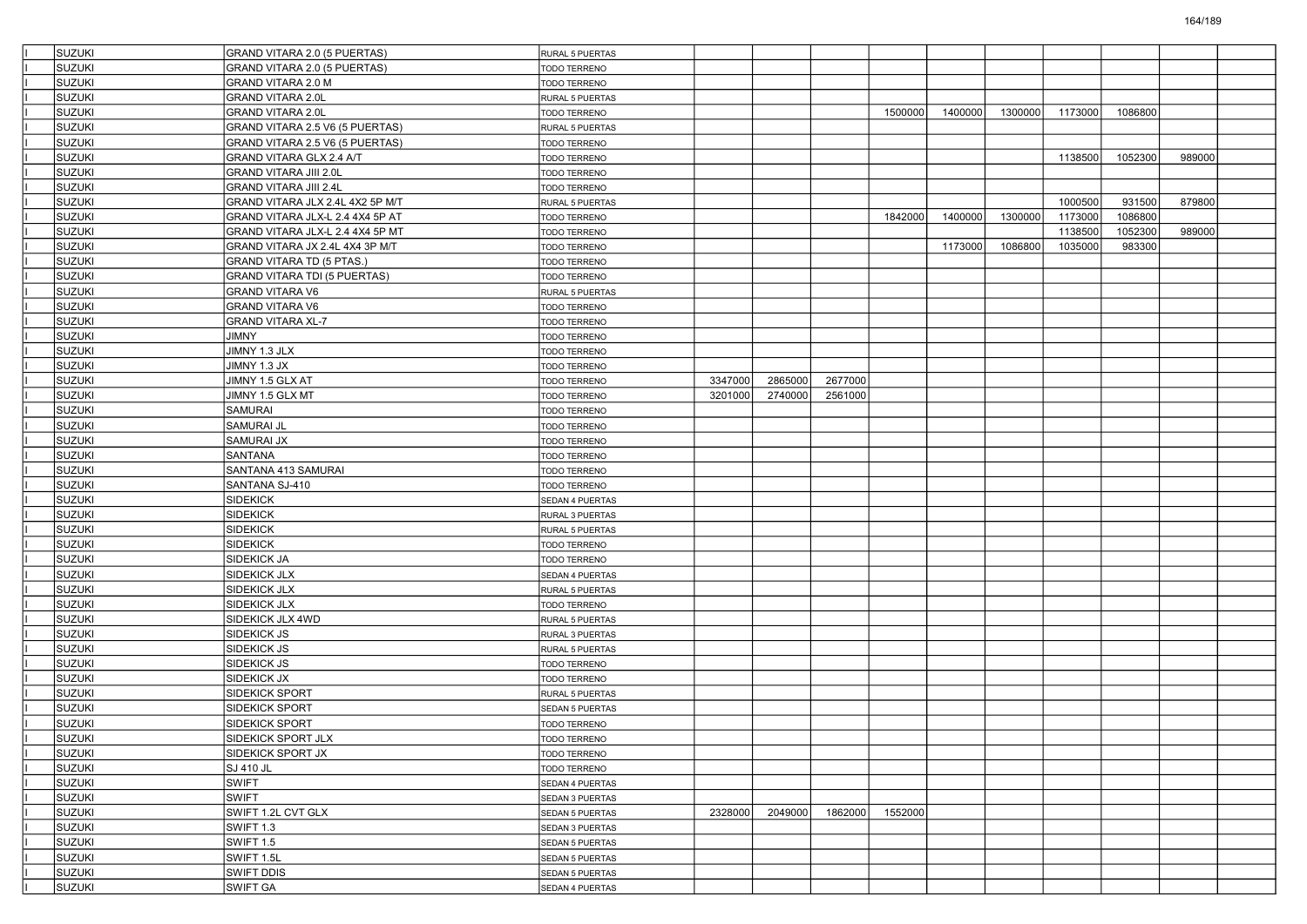| <b>SUZUKI</b> | GRAND VITARA 2.0 (5 PUERTAS)        | RURAL 5 PUERTAS        |         |         |         |         |         |         |         |         |        |  |
|---------------|-------------------------------------|------------------------|---------|---------|---------|---------|---------|---------|---------|---------|--------|--|
| <b>SUZUKI</b> | GRAND VITARA 2.0 (5 PUERTAS)        | TODO TERRENO           |         |         |         |         |         |         |         |         |        |  |
| SUZUKI        | GRAND VITARA 2.0 M                  | TODO TERRENO           |         |         |         |         |         |         |         |         |        |  |
| SUZUKI        | <b>GRAND VITARA 2.0L</b>            | RURAL 5 PUERTAS        |         |         |         |         |         |         |         |         |        |  |
| <b>SUZUKI</b> | <b>GRAND VITARA 2.0L</b>            | TODO TERRENO           |         |         |         | 1500000 | 1400000 | 1300000 | 1173000 | 1086800 |        |  |
| SUZUKI        | GRAND VITARA 2.5 V6 (5 PUERTAS)     | RURAL 5 PUERTAS        |         |         |         |         |         |         |         |         |        |  |
| SUZUKI        | GRAND VITARA 2.5 V6 (5 PUERTAS)     | TODO TERRENO           |         |         |         |         |         |         |         |         |        |  |
| <b>SUZUKI</b> | GRAND VITARA GLX 2.4 A/T            | TODO TERRENO           |         |         |         |         |         |         | 1138500 | 1052300 | 989000 |  |
| SUZUKI        | GRAND VITARA JIII 2.0L              | TODO TERRENO           |         |         |         |         |         |         |         |         |        |  |
| <b>SUZUKI</b> | GRAND VITARA JIII 2.4L              | TODO TERRENO           |         |         |         |         |         |         |         |         |        |  |
| SUZUKI        | GRAND VITARA JLX 2.4L 4X2 5P M/T    | RURAL 5 PUERTAS        |         |         |         |         |         |         | 1000500 | 931500  | 879800 |  |
| SUZUKI        | GRAND VITARA JLX-L 2.4 4X4 5P AT    | TODO TERRENO           |         |         |         | 1842000 | 1400000 | 1300000 | 1173000 | 1086800 |        |  |
| <b>SUZUKI</b> | GRAND VITARA JLX-L 2.4 4X4 5P MT    | TODO TERRENO           |         |         |         |         |         |         | 1138500 | 1052300 | 989000 |  |
| SUZUKI        | GRAND VITARA JX 2.4L 4X4 3P M/T     | TODO TERRENO           |         |         |         |         | 1173000 | 1086800 | 1035000 | 983300  |        |  |
| <b>SUZUKI</b> | GRAND VITARA TD (5 PTAS.)           | TODO TERRENO           |         |         |         |         |         |         |         |         |        |  |
| SUZUKI        | <b>GRAND VITARA TDI (5 PUERTAS)</b> | TODO TERRENO           |         |         |         |         |         |         |         |         |        |  |
| SUZUKI        | GRAND VITARA V6                     | RURAL 5 PUERTAS        |         |         |         |         |         |         |         |         |        |  |
| <b>SUZUKI</b> | GRAND VITARA V6                     | TODO TERRENO           |         |         |         |         |         |         |         |         |        |  |
| SUZUKI        | <b>GRAND VITARA XL-7</b>            | TODO TERRENO           |         |         |         |         |         |         |         |         |        |  |
| <b>SUZUKI</b> | JIMNY                               | TODO TERRENO           |         |         |         |         |         |         |         |         |        |  |
| SUZUKI        | JIMNY 1.3 JLX                       | TODO TERRENO           |         |         |         |         |         |         |         |         |        |  |
| SUZUKI        | JIMNY 1.3 JX                        | TODO TERRENO           |         |         |         |         |         |         |         |         |        |  |
| <b>SUZUKI</b> | JIMNY 1.5 GLX AT                    | TODO TERRENO           | 3347000 | 2865000 | 2677000 |         |         |         |         |         |        |  |
| SUZUKI        | JIMNY 1.5 GLX MT                    | TODO TERRENO           | 3201000 | 2740000 | 2561000 |         |         |         |         |         |        |  |
| <b>SUZUKI</b> | SAMURAI                             | TODO TERRENO           |         |         |         |         |         |         |         |         |        |  |
| SUZUKI        | SAMURAI JL                          | TODO TERRENO           |         |         |         |         |         |         |         |         |        |  |
| <b>SUZUKI</b> | SAMURAI JX                          | TODO TERRENO           |         |         |         |         |         |         |         |         |        |  |
| <b>SUZUKI</b> | SANTANA                             | TODO TERRENO           |         |         |         |         |         |         |         |         |        |  |
| SUZUKI        | SANTANA 413 SAMURAI                 | TODO TERRENO           |         |         |         |         |         |         |         |         |        |  |
| <b>SUZUKI</b> | SANTANA SJ-410                      | TODO TERRENO           |         |         |         |         |         |         |         |         |        |  |
| SUZUKI        | <b>SIDEKICK</b>                     | SEDAN 4 PUERTAS        |         |         |         |         |         |         |         |         |        |  |
| <b>SUZUKI</b> | SIDEKICK                            | RURAL 3 PUERTAS        |         |         |         |         |         |         |         |         |        |  |
| <b>SUZUKI</b> | SIDEKICK                            | RURAL 5 PUERTAS        |         |         |         |         |         |         |         |         |        |  |
| SUZUKI        | SIDEKICK                            | TODO TERRENO           |         |         |         |         |         |         |         |         |        |  |
| <b>SUZUKI</b> | SIDEKICK JA                         | TODO TERRENO           |         |         |         |         |         |         |         |         |        |  |
| SUZUKI        | SIDEKICK JLX                        | SEDAN 4 PUERTAS        |         |         |         |         |         |         |         |         |        |  |
| <b>SUZUKI</b> | SIDEKICK JLX                        | RURAL 5 PUERTAS        |         |         |         |         |         |         |         |         |        |  |
| <b>SUZUKI</b> | SIDEKICK JLX                        | TODO TERRENO           |         |         |         |         |         |         |         |         |        |  |
| SUZUKI        | SIDEKICK JLX 4WD                    | RURAL 5 PUERTAS        |         |         |         |         |         |         |         |         |        |  |
| <b>SUZUKI</b> | SIDEKICK JS                         | RURAL 3 PUERTAS        |         |         |         |         |         |         |         |         |        |  |
| SUZUKI        | SIDEKICK JS                         | RURAL 5 PUERTAS        |         |         |         |         |         |         |         |         |        |  |
| SUZUKI        | SIDEKICK JS                         | TODO TERRENO           |         |         |         |         |         |         |         |         |        |  |
| <b>SUZUKI</b> | SIDEKICK JX                         | TODO TERRENO           |         |         |         |         |         |         |         |         |        |  |
| SUZUKI        | SIDEKICK SPORT                      | RURAL 5 PUERTAS        |         |         |         |         |         |         |         |         |        |  |
| SUZUKI        | SIDEKICK SPORT                      | SEDAN 5 PUERTAS        |         |         |         |         |         |         |         |         |        |  |
| SUZUKI        | SIDEKICK SPORT                      | TODO TERRENO           |         |         |         |         |         |         |         |         |        |  |
| <b>SUZUKI</b> | <b>SIDEKICK SPORT JLX</b>           | <b>TODO TERRENO</b>    |         |         |         |         |         |         |         |         |        |  |
| <b>SUZUKI</b> | SIDEKICK SPORT JX                   | TODO TERRENO           |         |         |         |         |         |         |         |         |        |  |
| SUZUKI        | SJ 410 JL                           | TODO TERRENO           |         |         |         |         |         |         |         |         |        |  |
| SUZUKI        | <b>SWIFT</b>                        | SEDAN 4 PUERTAS        |         |         |         |         |         |         |         |         |        |  |
| <b>SUZUKI</b> | <b>SWIFT</b>                        | SEDAN 3 PUERTAS        |         |         |         |         |         |         |         |         |        |  |
| <b>SUZUKI</b> | SWIFT 1.2L CVT GLX                  |                        | 2328000 | 2049000 | 1862000 | 1552000 |         |         |         |         |        |  |
| <b>SUZUKI</b> |                                     | SEDAN 5 PUERTAS        |         |         |         |         |         |         |         |         |        |  |
| SUZUKI        | SWIFT 1.3                           | SEDAN 3 PUERTAS        |         |         |         |         |         |         |         |         |        |  |
|               | <b>SWIFT 1.5</b>                    | <b>SEDAN 5 PUERTAS</b> |         |         |         |         |         |         |         |         |        |  |
| SUZUKI        | SWIFT 1.5L                          | SEDAN 5 PUERTAS        |         |         |         |         |         |         |         |         |        |  |
| <b>SUZUKI</b> | SWIFT DDIS                          | SEDAN 5 PUERTAS        |         |         |         |         |         |         |         |         |        |  |
| <b>SUZUKI</b> | SWIFT GA                            | SEDAN 4 PUERTAS        |         |         |         |         |         |         |         |         |        |  |

164/189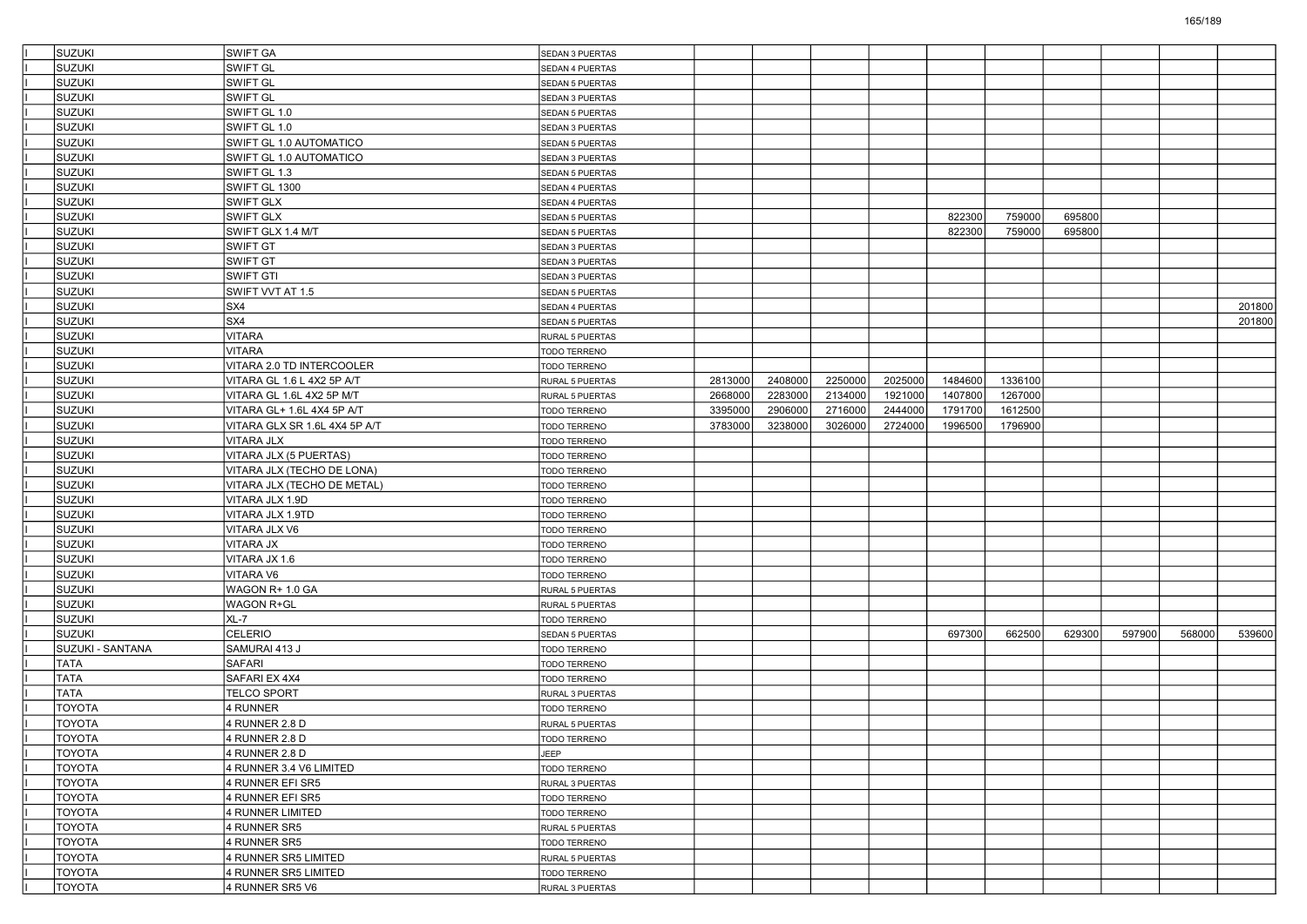| <b>SUZUKI</b>    | <b>SWIFT GA</b>               | SEDAN 3 PUERTAS        |         |         |         |         |         |         |        |        |        |        |
|------------------|-------------------------------|------------------------|---------|---------|---------|---------|---------|---------|--------|--------|--------|--------|
| <b>SUZUKI</b>    | SWIFT GL                      | SEDAN 4 PUERTAS        |         |         |         |         |         |         |        |        |        |        |
| <b>SUZUKI</b>    | <b>SWIFT GL</b>               | SEDAN 5 PUERTAS        |         |         |         |         |         |         |        |        |        |        |
| <b>SUZUKI</b>    | <b>SWIFT GL</b>               | SEDAN 3 PUERTAS        |         |         |         |         |         |         |        |        |        |        |
| <b>SUZUKI</b>    | SWIFT GL 1.0                  | SEDAN 5 PUERTAS        |         |         |         |         |         |         |        |        |        |        |
| <b>SUZUKI</b>    | SWIFT GL 1.0                  | SEDAN 3 PUERTAS        |         |         |         |         |         |         |        |        |        |        |
| <b>SUZUKI</b>    | SWIFT GL 1.0 AUTOMATICO       | SEDAN 5 PUERTAS        |         |         |         |         |         |         |        |        |        |        |
| <b>SUZUKI</b>    | SWIFT GL 1.0 AUTOMATICO       | SEDAN 3 PUERTAS        |         |         |         |         |         |         |        |        |        |        |
| <b>SUZUKI</b>    | SWIFT GL 1.3                  | SEDAN 5 PUERTAS        |         |         |         |         |         |         |        |        |        |        |
| <b>SUZUKI</b>    | SWIFT GL 1300                 | SEDAN 4 PUERTAS        |         |         |         |         |         |         |        |        |        |        |
| <b>SUZUKI</b>    | SWIFT GLX                     | SEDAN 4 PUERTAS        |         |         |         |         |         |         |        |        |        |        |
| <b>SUZUKI</b>    | <b>SWIFT GLX</b>              | <b>SEDAN 5 PUERTAS</b> |         |         |         |         | 822300  | 759000  | 695800 |        |        |        |
| <b>SUZUKI</b>    | SWIFT GLX 1.4 M/T             | <b>SEDAN 5 PUERTAS</b> |         |         |         |         | 822300  | 759000  | 695800 |        |        |        |
| <b>SUZUKI</b>    | <b>SWIFT GT</b>               | SEDAN 3 PUERTAS        |         |         |         |         |         |         |        |        |        |        |
| <b>SUZUKI</b>    | <b>SWIFT GT</b>               | SEDAN 3 PUERTAS        |         |         |         |         |         |         |        |        |        |        |
| <b>SUZUKI</b>    | <b>SWIFT GTI</b>              | SEDAN 3 PUERTAS        |         |         |         |         |         |         |        |        |        |        |
| <b>SUZUKI</b>    | SWIFT VVT AT 1.5              | <b>SEDAN 5 PUERTAS</b> |         |         |         |         |         |         |        |        |        |        |
| <b>SUZUKI</b>    | SX4                           | SEDAN 4 PUERTAS        |         |         |         |         |         |         |        |        |        | 201800 |
| <b>SUZUKI</b>    | SX4                           | SEDAN 5 PUERTAS        |         |         |         |         |         |         |        |        |        | 201800 |
| <b>SUZUKI</b>    | <b>VITARA</b>                 | RURAL 5 PUERTAS        |         |         |         |         |         |         |        |        |        |        |
| <b>SUZUKI</b>    | <b>VITARA</b>                 | <b>TODO TERRENO</b>    |         |         |         |         |         |         |        |        |        |        |
| <b>SUZUKI</b>    | VITARA 2.0 TD INTERCOOLER     | TODO TERRENO           |         |         |         |         |         |         |        |        |        |        |
| <b>SUZUKI</b>    | VITARA GL 1.6 L 4X2 5P A/T    | RURAL 5 PUERTAS        | 2813000 | 2408000 | 2250000 | 2025000 | 1484600 | 1336100 |        |        |        |        |
| <b>SUZUKI</b>    | VITARA GL 1.6L 4X2 5P M/T     | RURAL 5 PUERTAS        | 2668000 | 2283000 | 2134000 | 1921000 | 1407800 | 1267000 |        |        |        |        |
| <b>SUZUKI</b>    | VITARA GL+ 1.6L 4X4 5P A/T    | TODO TERRENO           | 3395000 | 2906000 | 2716000 | 2444000 | 1791700 | 1612500 |        |        |        |        |
| <b>SUZUKI</b>    | VITARA GLX SR 1.6L 4X4 5P A/T | <b>TODO TERRENO</b>    | 3783000 | 3238000 | 3026000 | 2724000 | 1996500 | 1796900 |        |        |        |        |
| <b>SUZUKI</b>    | VITARA JLX                    | <b>TODO TERRENO</b>    |         |         |         |         |         |         |        |        |        |        |
| <b>SUZUKI</b>    | VITARA JLX (5 PUERTAS)        | <b>TODO TERRENO</b>    |         |         |         |         |         |         |        |        |        |        |
| <b>SUZUKI</b>    | VITARA JLX (TECHO DE LONA)    | TODO TERRENO           |         |         |         |         |         |         |        |        |        |        |
| <b>SUZUKI</b>    | VITARA JLX (TECHO DE METAL)   | <b>TODO TERRENO</b>    |         |         |         |         |         |         |        |        |        |        |
| <b>SUZUKI</b>    | VITARA JLX 1.9D               | <b>TODO TERRENO</b>    |         |         |         |         |         |         |        |        |        |        |
| <b>SUZUKI</b>    | VITARA JLX 1.9TD              | <b>TODO TERRENO</b>    |         |         |         |         |         |         |        |        |        |        |
| <b>SUZUKI</b>    | VITARA JLX V6                 | <b>TODO TERRENO</b>    |         |         |         |         |         |         |        |        |        |        |
| <b>SUZUKI</b>    | VITARA JX                     | TODO TERRENO           |         |         |         |         |         |         |        |        |        |        |
| <b>SUZUKI</b>    | VITARA JX 1.6                 | <b>TODO TERRENO</b>    |         |         |         |         |         |         |        |        |        |        |
| <b>SUZUKI</b>    | <b>VITARA V6</b>              | TODO TERRENO           |         |         |         |         |         |         |        |        |        |        |
| <b>SUZUKI</b>    | WAGON R+ 1.0 GA               | RURAL 5 PUERTAS        |         |         |         |         |         |         |        |        |        |        |
| <b>SUZUKI</b>    | <b>WAGON R+GL</b>             | RURAL 5 PUERTAS        |         |         |         |         |         |         |        |        |        |        |
| <b>SUZUKI</b>    | XL-7                          | TODO TERRENO           |         |         |         |         |         |         |        |        |        |        |
| <b>SUZUKI</b>    | <b>CELERIO</b>                | SEDAN 5 PUERTAS        |         |         |         |         | 697300  | 662500  | 629300 | 597900 | 568000 | 539600 |
| SUZUKI - SANTANA | SAMURAI 413 J                 | TODO TERRENO           |         |         |         |         |         |         |        |        |        |        |
| <b>TATA</b>      | <b>SAFARI</b>                 | <b>TODO TERRENO</b>    |         |         |         |         |         |         |        |        |        |        |
| <b>TATA</b>      | SAFARI EX 4X4                 | <b>TODO TERRENO</b>    |         |         |         |         |         |         |        |        |        |        |
| <b>TATA</b>      | <b>TELCO SPORT</b>            | RURAL 3 PUERTAS        |         |         |         |         |         |         |        |        |        |        |
| <b>TOYOTA</b>    | 4 RUNNER                      | <b>TODO TERRENO</b>    |         |         |         |         |         |         |        |        |        |        |
| <b>TOYOTA</b>    | 4 RUNNER 2.8 D                | RURAL 5 PUERTAS        |         |         |         |         |         |         |        |        |        |        |
| <b>TOYOTA</b>    | 4 RUNNER 2.8 D                | TODO TERRENO           |         |         |         |         |         |         |        |        |        |        |
| <b>TOYOTA</b>    | 4 RUNNER 2.8 D                | JEEP                   |         |         |         |         |         |         |        |        |        |        |
| <b>TOYOTA</b>    | 4 RUNNER 3.4 V6 LIMITED       | TODO TERRENO           |         |         |         |         |         |         |        |        |        |        |
| <b>TOYOTA</b>    | 4 RUNNER EFI SR5              | RURAL 3 PUERTAS        |         |         |         |         |         |         |        |        |        |        |
| <b>TOYOTA</b>    | 4 RUNNER EFI SR5              | TODO TERRENO           |         |         |         |         |         |         |        |        |        |        |
| <b>TOYOTA</b>    | 4 RUNNER LIMITED              | TODO TERRENO           |         |         |         |         |         |         |        |        |        |        |
| <b>TOYOTA</b>    | 4 RUNNER SR5                  | RURAL 5 PUERTAS        |         |         |         |         |         |         |        |        |        |        |
| <b>TOYOTA</b>    | 4 RUNNER SR5                  | TODO TERRENO           |         |         |         |         |         |         |        |        |        |        |
| <b>TOYOTA</b>    | 4 RUNNER SR5 LIMITED          | RURAL 5 PUERTAS        |         |         |         |         |         |         |        |        |        |        |
| <b>TOYOTA</b>    | 4 RUNNER SR5 LIMITED          | TODO TERRENO           |         |         |         |         |         |         |        |        |        |        |
| <b>TOYOTA</b>    | 4 RUNNER SR5 V6               | RURAL 3 PUERTAS        |         |         |         |         |         |         |        |        |        |        |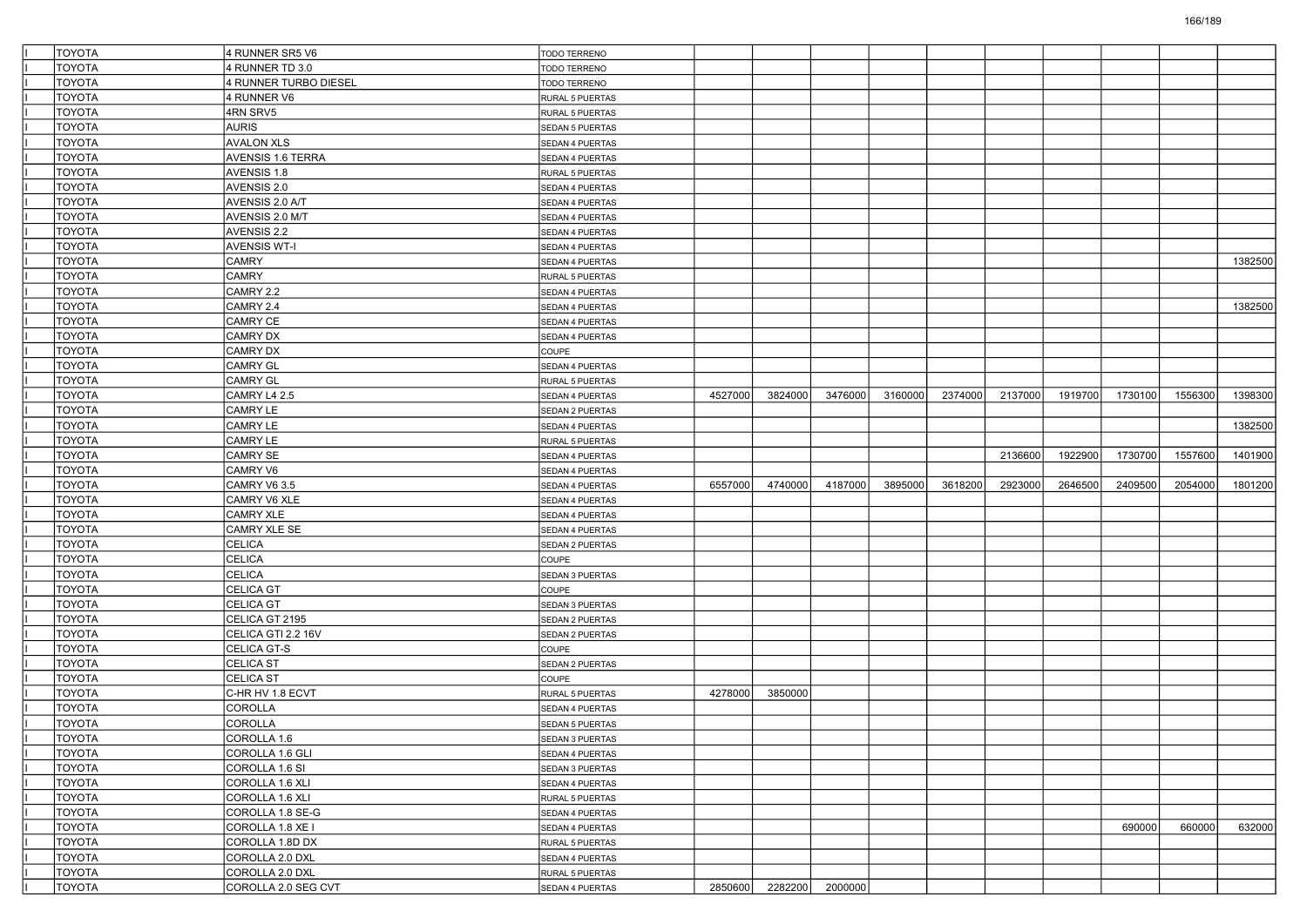| <b>TOYOTA</b>                  | 4 RUNNER SR5 V6                        | TODO TERRENO           |         |         |         |         |         |         |         |         |         |         |
|--------------------------------|----------------------------------------|------------------------|---------|---------|---------|---------|---------|---------|---------|---------|---------|---------|
| <b>TOYOTA</b>                  | 4 RUNNER TD 3.0                        | TODO TERRENO           |         |         |         |         |         |         |         |         |         |         |
| <b>TOYOTA</b>                  | 4 RUNNER TURBO DIESEL                  | TODO TERRENO           |         |         |         |         |         |         |         |         |         |         |
| <b>TOYOTA</b>                  | 4 RUNNER V6                            | RURAL 5 PUERTAS        |         |         |         |         |         |         |         |         |         |         |
| <b>TOYOTA</b>                  | 4RN SRV5                               | RURAL 5 PUERTAS        |         |         |         |         |         |         |         |         |         |         |
| <b>TOYOTA</b>                  | <b>AURIS</b>                           | SEDAN 5 PUERTAS        |         |         |         |         |         |         |         |         |         |         |
| <b>TOYOTA</b>                  | <b>AVALON XLS</b>                      | SEDAN 4 PUERTAS        |         |         |         |         |         |         |         |         |         |         |
| <b>TOYOTA</b>                  | AVENSIS 1.6 TERRA                      | SEDAN 4 PUERTAS        |         |         |         |         |         |         |         |         |         |         |
| <b>TOYOTA</b>                  | AVENSIS 1.8                            | RURAL 5 PUERTAS        |         |         |         |         |         |         |         |         |         |         |
| <b>TOYOTA</b>                  | AVENSIS 2.0                            | SEDAN 4 PUERTAS        |         |         |         |         |         |         |         |         |         |         |
| <b>TOYOTA</b>                  | AVENSIS 2.0 A/T                        | SEDAN 4 PUERTAS        |         |         |         |         |         |         |         |         |         |         |
| <b>TOYOTA</b>                  | AVENSIS 2.0 M/T                        | SEDAN 4 PUERTAS        |         |         |         |         |         |         |         |         |         |         |
| <b>TOYOTA</b>                  | AVENSIS 2.2                            | SEDAN 4 PUERTAS        |         |         |         |         |         |         |         |         |         |         |
| <b>TOYOTA</b>                  | <b>AVENSIS WT-I</b>                    | SEDAN 4 PUERTAS        |         |         |         |         |         |         |         |         |         |         |
| <b>TOYOTA</b>                  | <b>CAMRY</b>                           | SEDAN 4 PUERTAS        |         |         |         |         |         |         |         |         |         | 1382500 |
| <b>TOYOTA</b>                  | <b>CAMRY</b>                           | RURAL 5 PUERTAS        |         |         |         |         |         |         |         |         |         |         |
| <b>TOYOTA</b>                  | CAMRY 2.2                              | SEDAN 4 PUERTAS        |         |         |         |         |         |         |         |         |         |         |
| <b>TOYOTA</b>                  | CAMRY 2.4                              | SEDAN 4 PUERTAS        |         |         |         |         |         |         |         |         |         | 1382500 |
| <b>TOYOTA</b>                  | <b>CAMRY CE</b>                        | SEDAN 4 PUERTAS        |         |         |         |         |         |         |         |         |         |         |
| <b>TOYOTA</b>                  | <b>CAMRY DX</b>                        | SEDAN 4 PUERTAS        |         |         |         |         |         |         |         |         |         |         |
| <b>TOYOTA</b>                  | CAMRY DX                               | COUPE                  |         |         |         |         |         |         |         |         |         |         |
| <b>TOYOTA</b>                  | <b>CAMRY GL</b>                        | SEDAN 4 PUERTAS        |         |         |         |         |         |         |         |         |         |         |
| <b>TOYOTA</b>                  | <b>CAMRY GL</b>                        | RURAL 5 PUERTAS        |         |         |         |         |         |         |         |         |         |         |
| <b>TOYOTA</b>                  | CAMRY L4 2.5                           | <b>SEDAN 4 PUERTAS</b> | 4527000 | 3824000 | 3476000 | 3160000 | 2374000 | 2137000 | 1919700 | 1730100 | 1556300 | 1398300 |
| <b>TOYOTA</b>                  | <b>CAMRY LE</b>                        | SEDAN 2 PUERTAS        |         |         |         |         |         |         |         |         |         |         |
| <b>TOYOTA</b>                  | CAMRY LE                               | SEDAN 4 PUERTAS        |         |         |         |         |         |         |         |         |         | 1382500 |
| <b>TOYOTA</b>                  | <b>CAMRY LE</b>                        | RURAL 5 PUERTAS        |         |         |         |         |         |         |         |         |         |         |
| <b>TOYOTA</b>                  | <b>CAMRY SE</b>                        | SEDAN 4 PUERTAS        |         |         |         |         |         | 2136600 | 1922900 | 1730700 | 1557600 | 1401900 |
| <b>TOYOTA</b>                  | CAMRY V6                               | SEDAN 4 PUERTAS        |         |         |         |         |         |         |         |         |         |         |
|                                |                                        |                        |         |         |         |         |         |         |         |         |         |         |
|                                |                                        |                        |         |         |         |         |         |         |         |         |         |         |
| <b>TOYOTA</b>                  | CAMRY V6 3.5                           | SEDAN 4 PUERTAS        | 6557000 | 4740000 | 4187000 | 3895000 | 3618200 | 2923000 | 2646500 | 2409500 | 2054000 | 1801200 |
| <b>TOYOTA</b>                  | CAMRY V6 XLE                           | SEDAN 4 PUERTAS        |         |         |         |         |         |         |         |         |         |         |
| <b>TOYOTA</b>                  | <b>CAMRY XLE</b>                       | SEDAN 4 PUERTAS        |         |         |         |         |         |         |         |         |         |         |
| <b>TOYOTA</b>                  | CAMRY XLE SE                           | SEDAN 4 PUERTAS        |         |         |         |         |         |         |         |         |         |         |
| <b>TOYOTA</b>                  | <b>CELICA</b>                          | SEDAN 2 PUERTAS        |         |         |         |         |         |         |         |         |         |         |
| <b>TOYOTA</b>                  | <b>CELICA</b>                          | <b>COUPE</b>           |         |         |         |         |         |         |         |         |         |         |
| <b>TOYOTA</b>                  | <b>CELICA</b>                          | SEDAN 3 PUERTAS        |         |         |         |         |         |         |         |         |         |         |
| <b>TOYOTA</b>                  | <b>CELICA GT</b>                       | COUPE                  |         |         |         |         |         |         |         |         |         |         |
| <b>TOYOTA</b>                  | <b>CELICA GT</b>                       | SEDAN 3 PUERTAS        |         |         |         |         |         |         |         |         |         |         |
| <b>TOYOTA</b>                  | CELICA GT 2195                         | SEDAN 2 PUERTAS        |         |         |         |         |         |         |         |         |         |         |
| <b>TOYOTA</b>                  | CELICA GTI 2.2 16V                     | SEDAN 2 PUERTAS        |         |         |         |         |         |         |         |         |         |         |
| <b>TOYOTA</b>                  | CELICA GT-S                            | <b>COUPE</b>           |         |         |         |         |         |         |         |         |         |         |
| <b>TOYOTA</b>                  | <b>CELICA ST</b>                       | SEDAN 2 PUERTAS        |         |         |         |         |         |         |         |         |         |         |
| <b>TOYOTA</b>                  | <b>CELICA ST</b>                       | COUPE                  |         |         |         |         |         |         |         |         |         |         |
| <b>TOYOTA</b>                  | C-HR HV 1.8 ECVT                       | RURAL 5 PUERTAS        | 4278000 | 3850000 |         |         |         |         |         |         |         |         |
| <b>TOYOTA</b>                  | <b>COROLLA</b>                         | SEDAN 4 PUERTAS        |         |         |         |         |         |         |         |         |         |         |
| <b>TOYOTA</b>                  | <b>COROLLA</b>                         | <b>SEDAN 5 PUERTAS</b> |         |         |         |         |         |         |         |         |         |         |
| <b>TOYOTA</b>                  | COROLLA 1.6                            | SEDAN 3 PUERTAS        |         |         |         |         |         |         |         |         |         |         |
| TOYOTA                         | COROLLA 1.6 GLI                        | SEDAN 4 PUERTAS        |         |         |         |         |         |         |         |         |         |         |
| <b>TOYOTA</b>                  | COROLLA 1.6 SI                         | SEDAN 3 PUERTAS        |         |         |         |         |         |         |         |         |         |         |
| <b>TOYOTA</b>                  | COROLLA 1.6 XLI                        | SEDAN 4 PUERTAS        |         |         |         |         |         |         |         |         |         |         |
| <b>TOYOTA</b>                  | COROLLA 1.6 XLI                        | RURAL 5 PUERTAS        |         |         |         |         |         |         |         |         |         |         |
| <b>TOYOTA</b>                  | COROLLA 1.8 SE-G                       | SEDAN 4 PUERTAS        |         |         |         |         |         |         |         |         |         |         |
| TOYOTA                         | COROLLA 1.8 XE I                       | SEDAN 4 PUERTAS        |         |         |         |         |         |         |         | 690000  | 660000  | 632000  |
| TOYOTA                         | COROLLA 1.8D DX                        | RURAL 5 PUERTAS        |         |         |         |         |         |         |         |         |         |         |
| <b>TOYOTA</b>                  | COROLLA 2.0 DXL                        | SEDAN 4 PUERTAS        |         |         |         |         |         |         |         |         |         |         |
| <b>TOYOTA</b><br><b>TOYOTA</b> | COROLLA 2.0 DXL<br>COROLLA 2.0 SEG CVT | RURAL 5 PUERTAS        | 2850600 | 2282200 | 2000000 |         |         |         |         |         |         |         |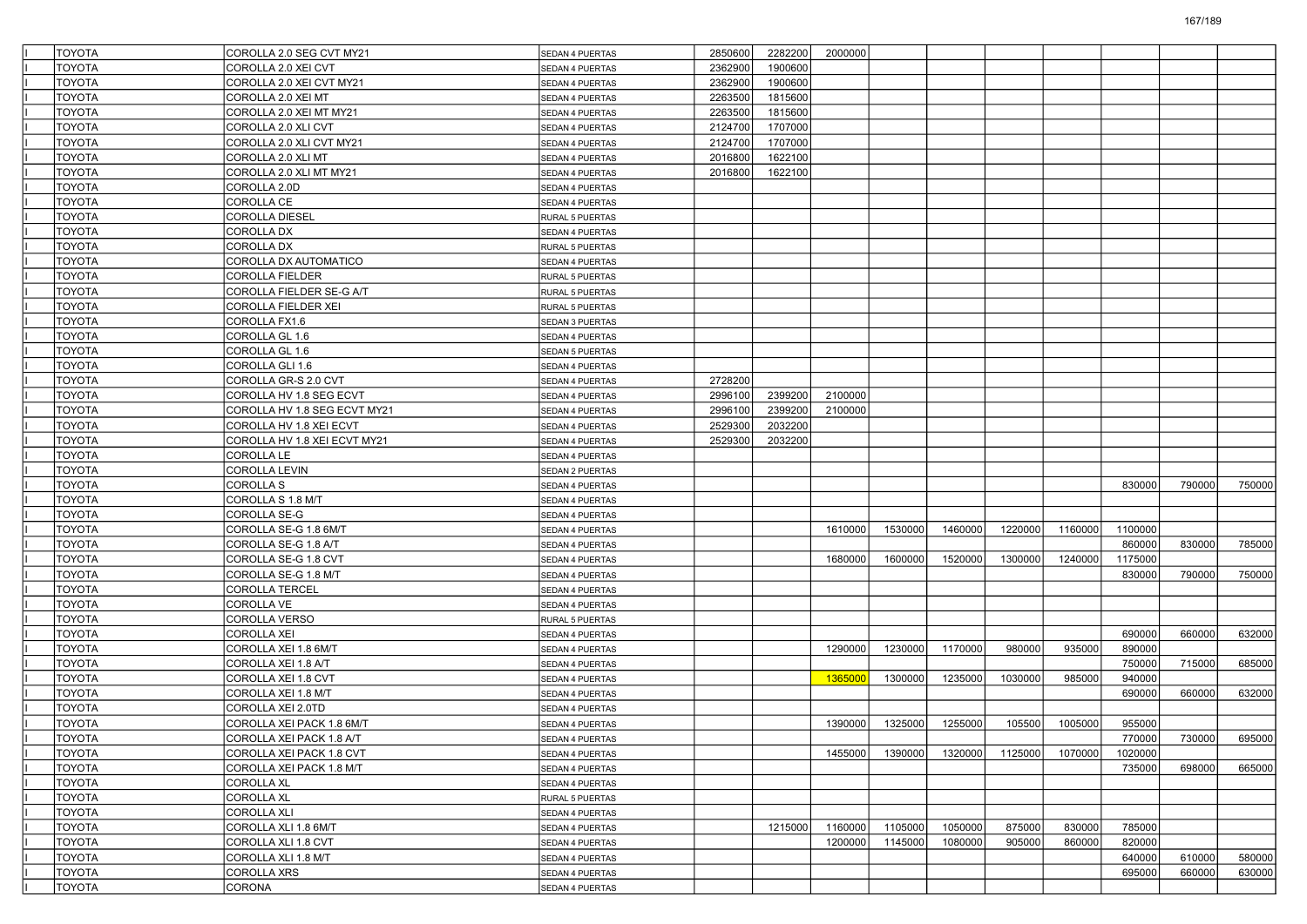| <b>TOYOTA</b> | COROLLA 2.0 SEG CVT MY21     | SEDAN 4 PUERTAS        | 2850600 | 2282200 | 2000000 |         |         |         |         |         |        |        |
|---------------|------------------------------|------------------------|---------|---------|---------|---------|---------|---------|---------|---------|--------|--------|
| <b>TOYOTA</b> | COROLLA 2.0 XEI CVT          | <b>SEDAN 4 PUERTAS</b> | 2362900 | 1900600 |         |         |         |         |         |         |        |        |
| <b>TOYOTA</b> | COROLLA 2.0 XEI CVT MY21     | SEDAN 4 PUERTAS        | 2362900 | 1900600 |         |         |         |         |         |         |        |        |
| <b>TOYOTA</b> | COROLLA 2.0 XEI MT           | <b>SEDAN 4 PUERTAS</b> | 2263500 | 1815600 |         |         |         |         |         |         |        |        |
| <b>TOYOTA</b> | COROLLA 2.0 XEI MT MY21      | SEDAN 4 PUERTAS        | 2263500 | 1815600 |         |         |         |         |         |         |        |        |
| TOYOTA        | COROLLA 2.0 XLI CVT          | SEDAN 4 PUERTAS        | 2124700 | 1707000 |         |         |         |         |         |         |        |        |
| <b>TOYOTA</b> | COROLLA 2.0 XLI CVT MY21     | <b>SEDAN 4 PUERTAS</b> | 2124700 | 1707000 |         |         |         |         |         |         |        |        |
| <b>TOYOTA</b> | COROLLA 2.0 XLI MT           | <b>SEDAN 4 PUERTAS</b> | 2016800 | 1622100 |         |         |         |         |         |         |        |        |
| <b>TOYOTA</b> | COROLLA 2.0 XLI MT MY21      | <b>SEDAN 4 PUERTAS</b> | 2016800 | 1622100 |         |         |         |         |         |         |        |        |
| <b>TOYOTA</b> | COROLLA 2.0D                 | SEDAN 4 PUERTAS        |         |         |         |         |         |         |         |         |        |        |
| TOYOTA        | COROLLA CE                   | SEDAN 4 PUERTAS        |         |         |         |         |         |         |         |         |        |        |
| TOYOTA        | COROLLA DIESEL               | RURAL 5 PUERTAS        |         |         |         |         |         |         |         |         |        |        |
| <b>TOYOTA</b> | <b>COROLLA DX</b>            | <b>SEDAN 4 PUERTAS</b> |         |         |         |         |         |         |         |         |        |        |
| <b>TOYOTA</b> | <b>COROLLA DX</b>            | RURAL 5 PUERTAS        |         |         |         |         |         |         |         |         |        |        |
| <b>TOYOTA</b> | COROLLA DX AUTOMATICO        | SEDAN 4 PUERTAS        |         |         |         |         |         |         |         |         |        |        |
| <b>TOYOTA</b> | COROLLA FIELDER              | RURAL 5 PUERTAS        |         |         |         |         |         |         |         |         |        |        |
| TOYOTA        | COROLLA FIELDER SE-G A/T     |                        |         |         |         |         |         |         |         |         |        |        |
| <b>TOYOTA</b> | <b>COROLLA FIELDER XEI</b>   | RURAL 5 PUERTAS        |         |         |         |         |         |         |         |         |        |        |
| <b>TOYOTA</b> |                              | RURAL 5 PUERTAS        |         |         |         |         |         |         |         |         |        |        |
| <b>TOYOTA</b> | COROLLA FX1.6                | <b>SEDAN 3 PUERTAS</b> |         |         |         |         |         |         |         |         |        |        |
|               | COROLLA GL 1.6               | SEDAN 4 PUERTAS        |         |         |         |         |         |         |         |         |        |        |
| <b>TOYOTA</b> | COROLLA GL 1.6               | <b>SEDAN 5 PUERTAS</b> |         |         |         |         |         |         |         |         |        |        |
| TOYOTA        | COROLLA GLI 1.6              | <b>SEDAN 4 PUERTAS</b> |         |         |         |         |         |         |         |         |        |        |
| <b>TOYOTA</b> | COROLLA GR-S 2.0 CVT         | <b>SEDAN 4 PUERTAS</b> | 2728200 |         |         |         |         |         |         |         |        |        |
| <b>TOYOTA</b> | COROLLA HV 1.8 SEG ECVT      | <b>SEDAN 4 PUERTAS</b> | 2996100 | 2399200 | 2100000 |         |         |         |         |         |        |        |
| <b>TOYOTA</b> | COROLLA HV 1.8 SEG ECVT MY21 | SEDAN 4 PUERTAS        | 2996100 | 2399200 | 2100000 |         |         |         |         |         |        |        |
| <b>TOYOTA</b> | COROLLA HV 1.8 XEI ECVT      | SEDAN 4 PUERTAS        | 2529300 | 2032200 |         |         |         |         |         |         |        |        |
| <b>TOYOTA</b> | COROLLA HV 1.8 XEI ECVT MY21 | <b>SEDAN 4 PUERTAS</b> | 2529300 | 2032200 |         |         |         |         |         |         |        |        |
| <b>TOYOTA</b> | COROLLA LE                   | <b>SEDAN 4 PUERTAS</b> |         |         |         |         |         |         |         |         |        |        |
| <b>TOYOTA</b> | <b>COROLLA LEVIN</b>         | <b>SEDAN 2 PUERTAS</b> |         |         |         |         |         |         |         |         |        |        |
| <b>TOYOTA</b> | COROLLA S                    | SEDAN 4 PUERTAS        |         |         |         |         |         |         |         | 830000  | 790000 | 750000 |
| <b>TOYOTA</b> | COROLLA S 1.8 M/T            | SEDAN 4 PUERTAS        |         |         |         |         |         |         |         |         |        |        |
| <b>TOYOTA</b> | COROLLA SE-G                 | SEDAN 4 PUERTAS        |         |         |         |         |         |         |         |         |        |        |
| <b>TOYOTA</b> | COROLLA SE-G 1.8 6M/T        | <b>SEDAN 4 PUERTAS</b> |         |         | 1610000 | 1530000 | 1460000 | 1220000 | 1160000 | 1100000 |        |        |
| <b>TOYOTA</b> | COROLLA SE-G 1.8 A/T         | <b>SEDAN 4 PUERTAS</b> |         |         |         |         |         |         |         | 860000  | 830000 | 785000 |
| <b>TOYOTA</b> | COROLLA SE-G 1.8 CVT         | SEDAN 4 PUERTAS        |         |         | 1680000 | 1600000 | 1520000 | 1300000 | 1240000 | 1175000 |        |        |
| <b>TOYOTA</b> | COROLLA SE-G 1.8 M/T         | SEDAN 4 PUERTAS        |         |         |         |         |         |         |         | 830000  | 790000 | 750000 |
| <b>TOYOTA</b> | COROLLA TERCEL               | SEDAN 4 PUERTAS        |         |         |         |         |         |         |         |         |        |        |
| <b>TOYOTA</b> | COROLLA VE                   | <b>SEDAN 4 PUERTAS</b> |         |         |         |         |         |         |         |         |        |        |
| <b>TOYOTA</b> | <b>COROLLA VERSO</b>         | <b>RURAL 5 PUERTAS</b> |         |         |         |         |         |         |         |         |        |        |
| <b>TOYOTA</b> | COROLLA XEI                  | SEDAN 4 PUERTAS        |         |         |         |         |         |         |         | 690000  | 660000 | 632000 |
| <b>TOYOTA</b> | COROLLA XEI 1.8 6M/T         | <b>SEDAN 4 PUERTAS</b> |         |         | 1290000 | 1230000 | 1170000 | 980000  | 935000  | 890000  |        |        |
| <b>TOYOTA</b> | COROLLA XEI 1.8 A/T          | SEDAN 4 PUERTAS        |         |         |         |         |         |         |         | 750000  | 715000 | 685000 |
| <b>TOYOTA</b> | COROLLA XEI 1.8 CVT          | <b>SEDAN 4 PUERTAS</b> |         |         | 1365000 | 1300000 | 1235000 | 1030000 | 985000  | 940000  |        |        |
| <b>TOYOTA</b> | COROLLA XEI 1.8 M/T          | SEDAN 4 PUERTAS        |         |         |         |         |         |         |         | 690000  | 660000 | 632000 |
| <b>TOYOTA</b> | COROLLA XEI 2.0TD            | SEDAN 4 PUERTAS        |         |         |         |         |         |         |         |         |        |        |
| <b>TOYOTA</b> | COROLLA XEI PACK 1.8 6M/T    | SEDAN 4 PUERTAS        |         |         | 1390000 | 1325000 | 1255000 | 105500  | 1005000 | 955000  |        |        |
| <b>TOYOTA</b> | COROLLA XEI PACK 1.8 A/T     | SEDAN 4 PUERTAS        |         |         |         |         |         |         |         | 770000  | 730000 | 695000 |
| <b>TOYOTA</b> | COROLLA XEI PACK 1.8 CVT     | SEDAN 4 PUERTAS        |         |         | 1455000 | 1390000 | 1320000 | 1125000 | 1070000 | 1020000 |        |        |
| <b>TOYOTA</b> | COROLLA XEI PACK 1.8 M/T     | SEDAN 4 PUERTAS        |         |         |         |         |         |         |         | 735000  | 698000 | 665000 |
| <b>TOYOTA</b> | COROLLA XL                   | SEDAN 4 PUERTAS        |         |         |         |         |         |         |         |         |        |        |
| <b>TOYOTA</b> | <b>COROLLA XL</b>            | RURAL 5 PUERTAS        |         |         |         |         |         |         |         |         |        |        |
| <b>TOYOTA</b> | COROLLA XLI                  | SEDAN 4 PUERTAS        |         |         |         |         |         |         |         |         |        |        |
| <b>TOYOTA</b> | COROLLA XLI 1.8 6M/T         | SEDAN 4 PUERTAS        |         | 1215000 | 1160000 | 1105000 | 1050000 | 875000  | 830000  | 785000  |        |        |
| <b>TOYOTA</b> | COROLLA XLI 1.8 CVT          | SEDAN 4 PUERTAS        |         |         | 1200000 | 1145000 | 1080000 | 905000  | 860000  | 820000  |        |        |
| <b>TOYOTA</b> | COROLLA XLI 1.8 M/T          | SEDAN 4 PUERTAS        |         |         |         |         |         |         |         | 640000  | 610000 | 580000 |
| <b>TOYOTA</b> | <b>COROLLA XRS</b>           | SEDAN 4 PUERTAS        |         |         |         |         |         |         |         | 695000  | 660000 | 630000 |
| <b>TOYOTA</b> | CORONA                       | SEDAN 4 PUERTAS        |         |         |         |         |         |         |         |         |        |        |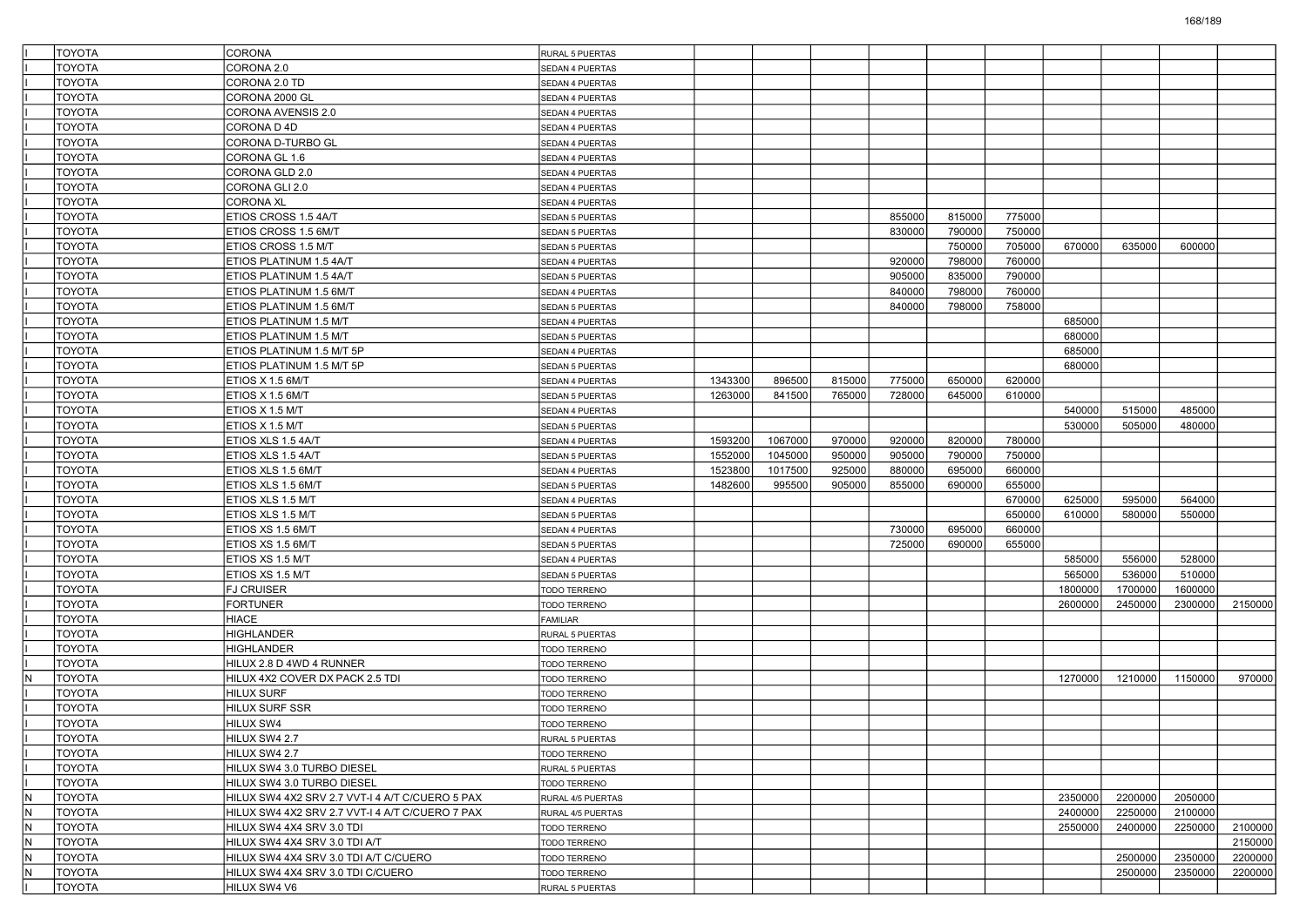| <b>TOYOTA</b>        | CORONA                                          | <b>RURAL 5 PUERTAS</b> |         |         |        |        |        |        |         |         |         |         |
|----------------------|-------------------------------------------------|------------------------|---------|---------|--------|--------|--------|--------|---------|---------|---------|---------|
| <b>TOYOTA</b>        | CORONA 2.0                                      | SEDAN 4 PUERTAS        |         |         |        |        |        |        |         |         |         |         |
| TOYOTA               | CORONA 2.0 TD                                   | SEDAN 4 PUERTAS        |         |         |        |        |        |        |         |         |         |         |
| <b>TOYOTA</b>        | CORONA 2000 GL                                  | <b>SEDAN 4 PUERTAS</b> |         |         |        |        |        |        |         |         |         |         |
| TOYOTA               | CORONA AVENSIS 2.0                              | SEDAN 4 PUERTAS        |         |         |        |        |        |        |         |         |         |         |
| <b>TOYOTA</b>        | CORONA D 4D                                     | SEDAN 4 PUERTAS        |         |         |        |        |        |        |         |         |         |         |
| <b>TOYOTA</b>        | CORONA D-TURBO GL                               | <b>SEDAN 4 PUERTAS</b> |         |         |        |        |        |        |         |         |         |         |
| TOYOTA               | CORONA GL 1.6                                   | SEDAN 4 PUERTAS        |         |         |        |        |        |        |         |         |         |         |
| <b>TOYOTA</b>        | CORONA GLD 2.0                                  | <b>SEDAN 4 PUERTAS</b> |         |         |        |        |        |        |         |         |         |         |
| TOYOTA               | CORONA GLI 2.0                                  | SEDAN 4 PUERTAS        |         |         |        |        |        |        |         |         |         |         |
| <b>TOYOTA</b>        | <b>CORONA XL</b>                                | SEDAN 4 PUERTAS        |         |         |        |        |        |        |         |         |         |         |
| <b>TOYOTA</b>        | ETIOS CROSS 1.5 4A/T                            | <b>SEDAN 5 PUERTAS</b> |         |         |        | 855000 | 815000 | 775000 |         |         |         |         |
| TOYOTA               | ETIOS CROSS 1.5 6M/T                            | <b>SEDAN 5 PUERTAS</b> |         |         |        | 830000 | 790000 | 750000 |         |         |         |         |
| <b>TOYOTA</b>        | ETIOS CROSS 1.5 M/T                             | <b>SEDAN 5 PUERTAS</b> |         |         |        |        | 750000 | 705000 | 670000  | 635000  | 600000  |         |
| TOYOTA               | ETIOS PLATINUM 1.5 4A/T                         | SEDAN 4 PUERTAS        |         |         |        | 920000 | 798000 | 760000 |         |         |         |         |
| <b>TOYOTA</b>        | ETIOS PLATINUM 1.5 4A/T                         | <b>SEDAN 5 PUERTAS</b> |         |         |        | 905000 | 835000 | 790000 |         |         |         |         |
| <b>TOYOTA</b>        | ETIOS PLATINUM 1.5 6M/T                         | SEDAN 4 PUERTAS        |         |         |        | 840000 | 798000 | 760000 |         |         |         |         |
| TOYOTA               | ETIOS PLATINUM 1.5 6M/T                         | <b>SEDAN 5 PUERTAS</b> |         |         |        | 840000 | 798000 | 758000 |         |         |         |         |
| <b>TOYOTA</b>        | ETIOS PLATINUM 1.5 M/T                          | <b>SEDAN 4 PUERTAS</b> |         |         |        |        |        |        | 685000  |         |         |         |
| TOYOTA               | ETIOS PLATINUM 1.5 M/T                          | SEDAN 5 PUERTAS        |         |         |        |        |        |        | 680000  |         |         |         |
| <b>TOYOTA</b>        | ETIOS PLATINUM 1.5 M/T 5P                       | <b>SEDAN 4 PUERTAS</b> |         |         |        |        |        |        | 685000  |         |         |         |
| <b>TOYOTA</b>        | ETIOS PLATINUM 1.5 M/T 5P                       | SEDAN 5 PUERTAS        |         |         |        |        |        |        | 680000  |         |         |         |
| TOYOTA               | ETIOS X 1.5 6M/T                                | <b>SEDAN 4 PUERTAS</b> | 1343300 | 896500  | 815000 | 775000 | 650000 | 620000 |         |         |         |         |
| <b>TOYOTA</b>        | ETIOS X 1.5 6M/T                                | <b>SEDAN 5 PUERTAS</b> | 1263000 | 841500  | 765000 | 728000 | 645000 | 610000 |         |         |         |         |
| TOYOTA               | ETIOS X 1.5 M/T                                 | SEDAN 4 PUERTAS        |         |         |        |        |        |        | 540000  | 515000  | 485000  |         |
| <b>TOYOTA</b>        | ETIOS X 1.5 M/T                                 | <b>SEDAN 5 PUERTAS</b> |         |         |        |        |        |        | 530000  | 505000  | 480000  |         |
| <b>TOYOTA</b>        | ETIOS XLS 1.5 4A/T                              | <b>SEDAN 4 PUERTAS</b> | 1593200 | 1067000 | 970000 | 920000 | 820000 | 780000 |         |         |         |         |
| TOYOTA               | ETIOS XLS 1.5 4A/T                              | <b>SEDAN 5 PUERTAS</b> | 1552000 | 1045000 | 950000 | 905000 | 790000 | 750000 |         |         |         |         |
| <b>TOYOTA</b>        | ETIOS XLS 1.5 6M/T                              | <b>SEDAN 4 PUERTAS</b> | 1523800 | 1017500 | 925000 | 880000 | 695000 | 660000 |         |         |         |         |
| TOYOTA               | ETIOS XLS 1.5 6M/T                              | SEDAN 5 PUERTAS        | 1482600 | 995500  | 905000 | 855000 | 690000 | 655000 |         |         |         |         |
| <b>TOYOTA</b>        | ETIOS XLS 1.5 M/T                               | <b>SEDAN 4 PUERTAS</b> |         |         |        |        |        | 670000 | 625000  | 595000  | 564000  |         |
| <b>TOYOTA</b>        | ETIOS XLS 1.5 M/T                               | <b>SEDAN 5 PUERTAS</b> |         |         |        |        |        | 650000 | 610000  | 580000  | 550000  |         |
| TOYOTA               | ETIOS XS 1.5 6M/T                               | <b>SEDAN 4 PUERTAS</b> |         |         |        | 730000 | 695000 | 660000 |         |         |         |         |
| <b>TOYOTA</b>        | ETIOS XS 1.5 6M/T                               |                        |         |         |        | 725000 | 690000 | 655000 |         |         |         |         |
| <b>TOYOTA</b>        | ETIOS XS 1.5 M/T                                | <b>SEDAN 5 PUERTAS</b> |         |         |        |        |        |        | 585000  | 556000  | 528000  |         |
| <b>TOYOTA</b>        | ETIOS XS 1.5 M/T                                | SEDAN 4 PUERTAS        |         |         |        |        |        |        | 565000  | 536000  | 510000  |         |
| <b>TOYOTA</b>        |                                                 | <b>SEDAN 5 PUERTAS</b> |         |         |        |        |        |        | 1800000 | 1700000 | 1600000 |         |
| TOYOTA               | <b>FJ CRUISER</b><br><b>FORTUNER</b>            | TODO TERRENO           |         |         |        |        |        |        | 2600000 | 2450000 | 2300000 | 2150000 |
|                      |                                                 | <b>TODO TERRENO</b>    |         |         |        |        |        |        |         |         |         |         |
| <b>TOYOTA</b>        | <b>HIACE</b>                                    | FAMILIAR               |         |         |        |        |        |        |         |         |         |         |
| TOYOTA               | <b>HIGHLANDER</b><br><b>HIGHLANDER</b>          | RURAL 5 PUERTAS        |         |         |        |        |        |        |         |         |         |         |
| <b>TOYOTA</b>        |                                                 | TODO TERRENO           |         |         |        |        |        |        |         |         |         |         |
| <b>TOYOTA</b><br>N   | HILUX 2.8 D 4WD 4 RUNNER                        | TODO TERRENO           |         |         |        |        |        |        | 1270000 |         |         |         |
| TOYOTA               | HILUX 4X2 COVER DX PACK 2.5 TDI                 | <b>TODO TERRENO</b>    |         |         |        |        |        |        |         | 1210000 | 1150000 | 970000  |
| <b>TOYOTA</b>        | <b>HILUX SURF</b>                               | <b>TODO TERRENO</b>    |         |         |        |        |        |        |         |         |         |         |
| TOYOTA               | <b>HILUX SURF SSR</b>                           | <b>TODO TERRENO</b>    |         |         |        |        |        |        |         |         |         |         |
| <b>TOYOTA</b>        | HILUX SW4                                       | <b>TODO TERRENO</b>    |         |         |        |        |        |        |         |         |         |         |
| <b>TOYOTA</b>        | HILUX SW4 2.7                                   | RURAL 5 PUERTAS        |         |         |        |        |        |        |         |         |         |         |
| <b>TOYOTA</b>        | HILUX SW4 2.7                                   | TODO TERRENO           |         |         |        |        |        |        |         |         |         |         |
| TOYOTA               | HILUX SW4 3.0 TURBO DIESEL                      | RURAL 5 PUERTAS        |         |         |        |        |        |        |         |         |         |         |
| <b>TOYOTA</b>        | HILUX SW4 3.0 TURBO DIESEL                      | TODO TERRENO           |         |         |        |        |        |        |         |         |         |         |
| IN.<br><b>TOYOTA</b> | HILUX SW4 4X2 SRV 2.7 VVT-I 4 A/T C/CUERO 5 PAX | RURAL 4/5 PUERTAS      |         |         |        |        |        |        | 2350000 | 2200000 | 2050000 |         |
| N.<br><b>TOYOTA</b>  | HILUX SW4 4X2 SRV 2.7 VVT-I 4 A/T C/CUERO 7 PAX | RURAL 4/5 PUERTAS      |         |         |        |        |        |        | 2400000 | 2250000 | 2100000 |         |
| IN.<br><b>TOYOTA</b> | HILUX SW4 4X4 SRV 3.0 TDI                       | TODO TERRENO           |         |         |        |        |        |        | 2550000 | 2400000 | 2250000 | 2100000 |
| IN.<br><b>TOYOTA</b> | HILUX SW4 4X4 SRV 3.0 TDI A/T                   | TODO TERRENO           |         |         |        |        |        |        |         |         |         | 2150000 |
| IN.<br><b>TOYOTA</b> | HILUX SW4 4X4 SRV 3.0 TDI A/T C/CUERO           | TODO TERRENO           |         |         |        |        |        |        |         | 2500000 | 2350000 | 2200000 |
| IN.<br><b>TOYOTA</b> | HILUX SW4 4X4 SRV 3.0 TDI C/CUERO               | TODO TERRENO           |         |         |        |        |        |        |         | 2500000 | 2350000 | 2200000 |
| TOYOTA               | HILUX SW4 V6                                    | RURAL 5 PUERTAS        |         |         |        |        |        |        |         |         |         |         |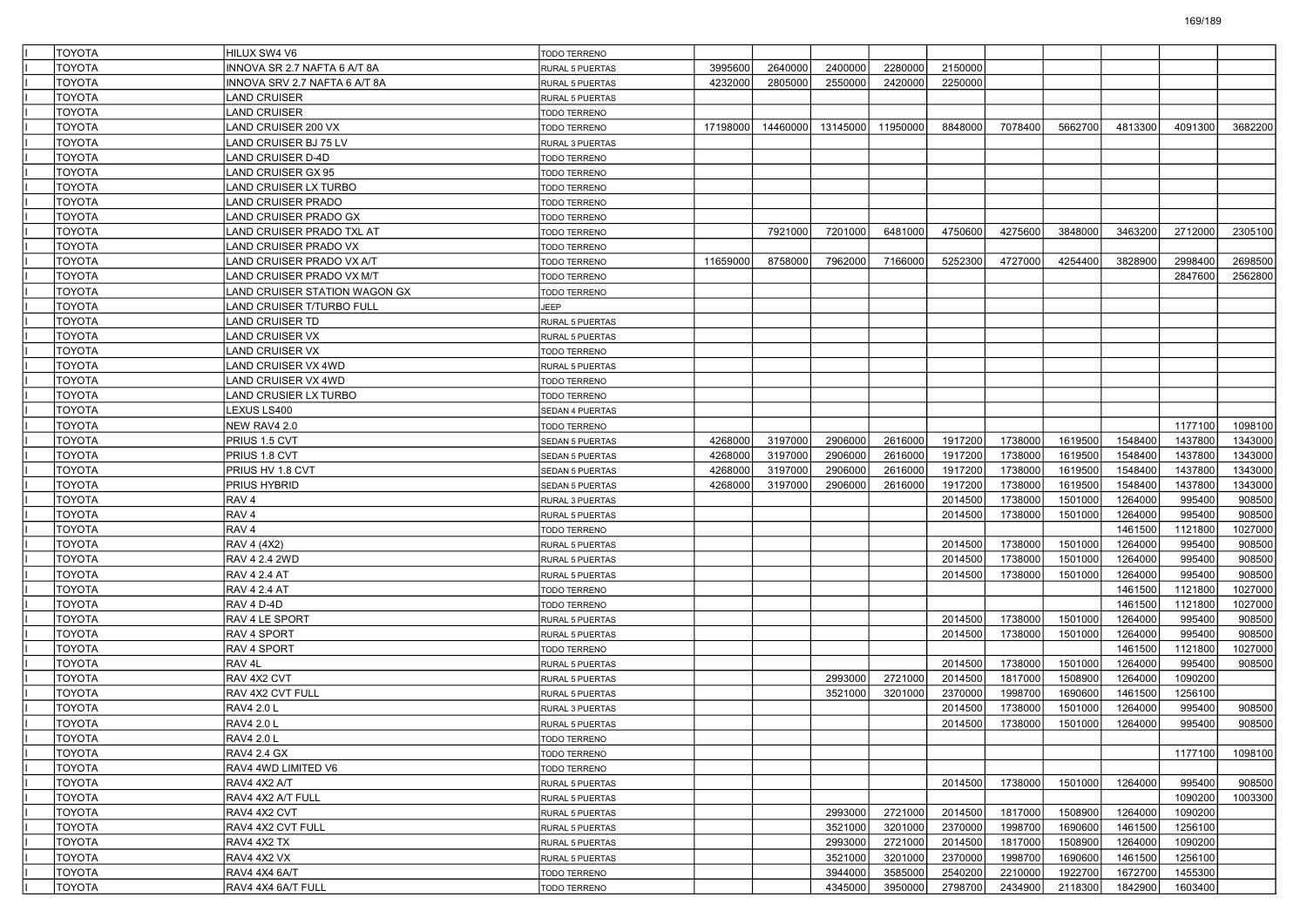| TOYOTA        | HILUX SW4 V6                  | <b>TODO TERRENO</b>          |          |          |          |          |         |         |         |         |         |         |
|---------------|-------------------------------|------------------------------|----------|----------|----------|----------|---------|---------|---------|---------|---------|---------|
| <b>TOYOTA</b> | INNOVA SR 2.7 NAFTA 6 A/T 8A  | RURAL 5 PUERTAS              | 3995600  | 2640000  | 2400000  | 2280000  | 2150000 |         |         |         |         |         |
| <b>TOYOTA</b> | INNOVA SRV 2.7 NAFTA 6 A/T 8A | RURAL 5 PUERTAS              | 4232000  | 2805000  | 2550000  | 2420000  | 2250000 |         |         |         |         |         |
| TOYOTA        | LAND CRUISER                  | RURAL 5 PUERTAS              |          |          |          |          |         |         |         |         |         |         |
| TOYOTA        | <b>LAND CRUISER</b>           | TODO TERRENO                 |          |          |          |          |         |         |         |         |         |         |
| <b>TOYOTA</b> | LAND CRUISER 200 VX           | TODO TERRENO                 | 17198000 | 14460000 | 13145000 | 11950000 | 8848000 | 7078400 | 5662700 | 4813300 | 4091300 | 3682200 |
| <b>TOYOTA</b> | LAND CRUISER BJ 75 LV         | RURAL 3 PUERTAS              |          |          |          |          |         |         |         |         |         |         |
| <b>TOYOTA</b> | LAND CRUISER D-4D             | TODO TERRENO                 |          |          |          |          |         |         |         |         |         |         |
| TOYOTA        | LAND CRUISER GX 95            | TODO TERRENO                 |          |          |          |          |         |         |         |         |         |         |
| TOYOTA        | LAND CRUISER LX TURBO         | TODO TERRENO                 |          |          |          |          |         |         |         |         |         |         |
| TOYOTA        | LAND CRUISER PRADO            | TODO TERRENO                 |          |          |          |          |         |         |         |         |         |         |
| <b>TOYOTA</b> | LAND CRUISER PRADO GX         | TODO TERRENO                 |          |          |          |          |         |         |         |         |         |         |
| <b>TOYOTA</b> | LAND CRUISER PRADO TXL AT     | <b>TODO TERRENO</b>          |          | 7921000  | 7201000  | 6481000  | 4750600 | 4275600 | 3848000 | 3463200 | 2712000 | 2305100 |
| TOYOTA        | LAND CRUISER PRADO VX         | TODO TERRENO                 |          |          |          |          |         |         |         |         |         |         |
| <b>TOYOTA</b> | LAND CRUISER PRADO VX A/T     | TODO TERRENO                 | 11659000 | 8758000  | 7962000  | 7166000  | 5252300 | 4727000 | 4254400 | 3828900 | 2998400 | 2698500 |
| <b>TOYOTA</b> | LAND CRUISER PRADO VX M/T     | TODO TERRENO                 |          |          |          |          |         |         |         |         | 2847600 | 2562800 |
| <b>TOYOTA</b> | LAND CRUISER STATION WAGON GX | <b>TODO TERRENO</b>          |          |          |          |          |         |         |         |         |         |         |
| <b>TOYOTA</b> | LAND CRUISER T/TURBO FULL     | <b>JEEP</b>                  |          |          |          |          |         |         |         |         |         |         |
| TOYOTA        | LAND CRUISER TD               | RURAL 5 PUERTAS              |          |          |          |          |         |         |         |         |         |         |
| TOYOTA        | <b>LAND CRUISER VX</b>        | RURAL 5 PUERTAS              |          |          |          |          |         |         |         |         |         |         |
| <b>TOYOTA</b> | <b>LAND CRUISER VX</b>        | TODO TERRENO                 |          |          |          |          |         |         |         |         |         |         |
| <b>TOYOTA</b> | LAND CRUISER VX 4WD           | RURAL 5 PUERTAS              |          |          |          |          |         |         |         |         |         |         |
| <b>TOYOTA</b> | LAND CRUISER VX 4WD           | TODO TERRENO                 |          |          |          |          |         |         |         |         |         |         |
| TOYOTA        | LAND CRUSIER LX TURBO         | TODO TERRENO                 |          |          |          |          |         |         |         |         |         |         |
| <b>TOYOTA</b> | LEXUS LS400                   | SEDAN 4 PUERTAS              |          |          |          |          |         |         |         |         |         |         |
| TOYOTA        | NEW RAV4 2.0                  | TODO TERRENO                 |          |          |          |          |         |         |         |         | 1177100 | 1098100 |
| <b>TOYOTA</b> | PRIUS 1.5 CVT                 | <b>SEDAN 5 PUERTAS</b>       | 4268000  | 3197000  | 2906000  | 2616000  | 1917200 | 1738000 | 1619500 | 1548400 | 1437800 | 1343000 |
| TOYOTA        | PRIUS 1.8 CVT                 | <b>SEDAN 5 PUERTAS</b>       | 4268000  | 3197000  | 2906000  | 2616000  | 1917200 | 1738000 | 1619500 | 1548400 | 1437800 | 1343000 |
| TOYOTA        | PRIUS HV 1.8 CVT              | <b>SEDAN 5 PUERTAS</b>       | 4268000  | 3197000  | 2906000  | 2616000  | 1917200 | 1738000 | 1619500 | 1548400 | 1437800 | 1343000 |
| <b>TOYOTA</b> | PRIUS HYBRID                  | SEDAN 5 PUERTAS              | 4268000  | 3197000  | 2906000  | 2616000  | 1917200 | 1738000 | 1619500 | 1548400 | 1437800 | 1343000 |
| <b>TOYOTA</b> | RAV <sub>4</sub>              | RURAL 3 PUERTAS              |          |          |          |          | 2014500 | 1738000 | 1501000 | 1264000 | 995400  | 908500  |
| <b>TOYOTA</b> | RAV <sub>4</sub>              | RURAL 5 PUERTAS              |          |          |          |          | 2014500 | 1738000 | 1501000 | 1264000 | 995400  | 908500  |
| <b>TOYOTA</b> | RAV <sub>4</sub>              | TODO TERRENO                 |          |          |          |          |         |         |         | 1461500 | 1121800 | 1027000 |
| TOYOTA        | RAV 4 (4X2)                   | RURAL 5 PUERTAS              |          |          |          |          | 2014500 | 1738000 | 1501000 | 1264000 | 995400  | 908500  |
| <b>TOYOTA</b> | RAV 4 2.4 2WD                 | RURAL 5 PUERTAS              |          |          |          |          | 2014500 | 1738000 | 1501000 | 1264000 | 995400  | 908500  |
| <b>TOYOTA</b> | <b>RAV 4 2.4 AT</b>           | RURAL 5 PUERTAS              |          |          |          |          | 2014500 | 1738000 | 1501000 | 1264000 | 995400  | 908500  |
| <b>TOYOTA</b> | <b>RAV 4 2.4 AT</b>           |                              |          |          |          |          |         |         |         | 1461500 | 1121800 | 1027000 |
| <b>TOYOTA</b> | RAV 4 D-4D                    | TODO TERRENO<br>TODO TERRENO |          |          |          |          |         |         |         | 1461500 | 1121800 | 1027000 |
|               | RAV 4 LE SPORT                |                              |          |          |          |          |         | 1738000 | 1501000 | 1264000 | 995400  | 908500  |
| TOYOTA        |                               | RURAL 5 PUERTAS              |          |          |          |          | 2014500 |         |         |         |         |         |
| <b>TOYOTA</b> | RAV 4 SPORT                   | RURAL 5 PUERTAS              |          |          |          |          | 2014500 | 1738000 | 1501000 | 1264000 | 995400  | 908500  |
| <b>TOYOTA</b> | RAV 4 SPORT                   | TODO TERRENO                 |          |          |          |          |         |         |         | 1461500 | 1121800 | 1027000 |
| <b>TOYOTA</b> | RAV <sub>4L</sub>             | RURAL 5 PUERTAS              |          |          |          |          | 2014500 | 1738000 | 1501000 | 1264000 | 995400  | 908500  |
| <b>TOYOTA</b> | RAV 4X2 CVT                   | RURAL 5 PUERTAS              |          |          | 2993000  | 2721000  | 2014500 | 1817000 | 1508900 | 1264000 | 1090200 |         |
| TOYOTA        | RAV 4X2 CVT FULL              | RURAL 5 PUERTAS              |          |          | 3521000  | 3201000  | 2370000 | 1998700 | 1690600 | 1461500 | 1256100 |         |
| <b>TOYOTA</b> | RAV4 2.0 L                    | RURAL 3 PUERTAS              |          |          |          |          | 2014500 | 1738000 | 1501000 | 1264000 | 995400  | 908500  |
| <b>TOYOTA</b> | RAV4 2.0 L                    | RURAL 5 PUERTAS              |          |          |          |          | 2014500 | 1738000 | 1501000 | 1264000 | 995400  | 908500  |
| <b>TOYOTA</b> | <b>RAV4 2.0 L</b>             | TODO TERRENO                 |          |          |          |          |         |         |         |         |         |         |
| TOYOTA        | <b>RAV4 2.4 GX</b>            | TODO TERRENO                 |          |          |          |          |         |         |         |         | 1177100 | 1098100 |
| TOYOTA        | RAV4 4WD LIMITED V6           | TODO TERRENO                 |          |          |          |          |         |         |         |         |         |         |
| <b>TOYOTA</b> | RAV4 4X2 A/T                  | RURAL 5 PUERTAS              |          |          |          |          | 2014500 | 1738000 | 1501000 | 1264000 | 995400  | 908500  |
| <b>TOYOTA</b> | RAV4 4X2 A/T FULL             | RURAL 5 PUERTAS              |          |          |          |          |         |         |         |         | 1090200 | 1003300 |
| <b>TOYOTA</b> | RAV4 4X2 CVT                  | RURAL 5 PUERTAS              |          |          | 2993000  | 2721000  | 2014500 | 1817000 | 1508900 | 1264000 | 1090200 |         |
| TOYOTA        | RAV4 4X2 CVT FULL             | RURAL 5 PUERTAS              |          |          | 3521000  | 3201000  | 2370000 | 1998700 | 1690600 | 1461500 | 1256100 |         |
| TOYOTA        | RAV4 4X2 TX                   | RURAL 5 PUERTAS              |          |          | 2993000  | 2721000  | 2014500 | 1817000 | 1508900 | 1264000 | 1090200 |         |
| <b>TOYOTA</b> | RAV4 4X2 VX                   | RURAL 5 PUERTAS              |          |          | 3521000  | 3201000  | 2370000 | 1998700 | 1690600 | 1461500 | 1256100 |         |
| <b>TOYOTA</b> | RAV4 4X4 6A/T                 | TODO TERRENO                 |          |          | 3944000  | 3585000  | 2540200 | 2210000 | 1922700 | 1672700 | 1455300 |         |
| <b>TOYOTA</b> | RAV4 4X4 6A/T FULL            | TODO TERRENO                 |          |          | 4345000  | 3950000  | 2798700 | 2434900 | 2118300 | 1842900 | 1603400 |         |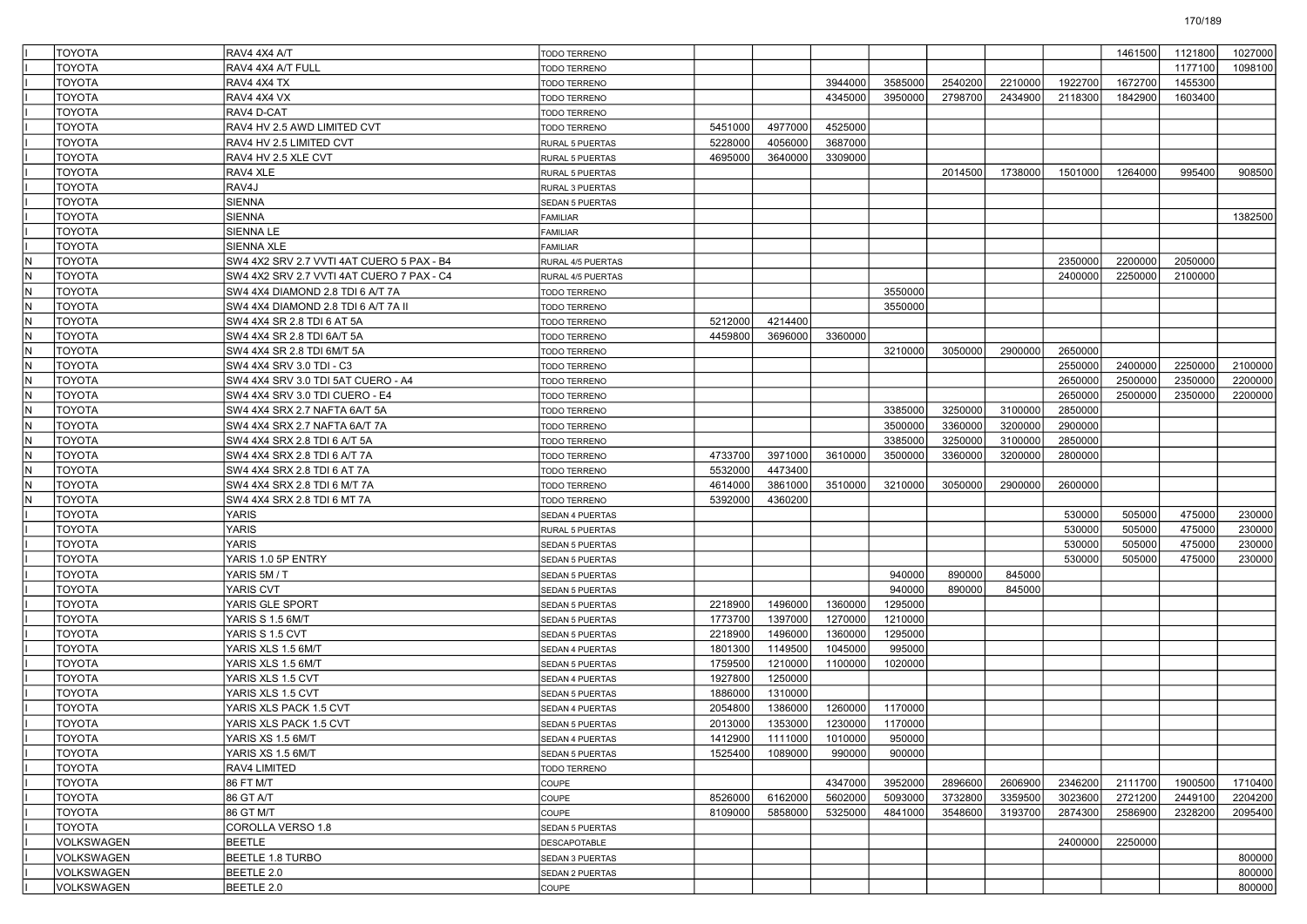|     | <b>TOYOTA</b>                  | RAV4 4X4 A/T                              | <b>TODO TERRENO</b>    |                    |                    |                    |                   |         |         |         | 1461500 | 1121800 | 1027000 |
|-----|--------------------------------|-------------------------------------------|------------------------|--------------------|--------------------|--------------------|-------------------|---------|---------|---------|---------|---------|---------|
|     | <b>TOYOTA</b>                  | RAV4 4X4 A/T FULL                         | <b>TODO TERRENO</b>    |                    |                    |                    |                   |         |         |         |         | 1177100 | 1098100 |
|     | <b>TOYOTA</b>                  | RAV4 4X4 TX                               | <b>TODO TERRENO</b>    |                    |                    | 3944000            | 3585000           | 2540200 | 2210000 | 1922700 | 1672700 | 1455300 |         |
|     | <b>TOYOTA</b>                  | RAV4 4X4 VX                               | <b>TODO TERRENO</b>    |                    |                    | 4345000            | 3950000           | 2798700 | 2434900 | 2118300 | 1842900 | 1603400 |         |
|     | <b>TOYOTA</b>                  | RAV4 D-CAT                                | <b>TODO TERRENO</b>    |                    |                    |                    |                   |         |         |         |         |         |         |
|     | <b>TOYOTA</b>                  | RAV4 HV 2.5 AWD LIMITED CVT               | <b>TODO TERRENO</b>    | 5451000            | 4977000            | 4525000            |                   |         |         |         |         |         |         |
|     | <b>TOYOTA</b>                  | RAV4 HV 2.5 LIMITED CVT                   | <b>RURAL 5 PUERTAS</b> | 5228000            | 4056000            | 3687000            |                   |         |         |         |         |         |         |
|     | <b>TOYOTA</b>                  | RAV4 HV 2.5 XLE CVT                       | <b>RURAL 5 PUERTAS</b> | 4695000            | 3640000            | 3309000            |                   |         |         |         |         |         |         |
|     | <b>TOYOTA</b>                  | RAV4 XLE                                  | RURAL 5 PUERTAS        |                    |                    |                    |                   | 2014500 | 1738000 | 1501000 | 1264000 | 995400  | 908500  |
|     | <b>TOYOTA</b>                  | RAV4J                                     | RURAL 3 PUERTAS        |                    |                    |                    |                   |         |         |         |         |         |         |
|     | <b>TOYOTA</b>                  | SIENNA                                    | <b>SEDAN 5 PUERTAS</b> |                    |                    |                    |                   |         |         |         |         |         |         |
|     | <b>TOYOTA</b>                  | SIENNA                                    | FAMILIAR               |                    |                    |                    |                   |         |         |         |         |         | 1382500 |
|     | <b>TOYOTA</b>                  | SIENNA LE                                 | FAMILIAR               |                    |                    |                    |                   |         |         |         |         |         |         |
|     | <b>TOYOTA</b>                  | SIENNA XLE                                | FAMILIAR               |                    |                    |                    |                   |         |         |         |         |         |         |
| N   | <b>TOYOTA</b>                  | SW4 4X2 SRV 2.7 VVTI 4AT CUERO 5 PAX - B4 | RURAL 4/5 PUERTAS      |                    |                    |                    |                   |         |         | 2350000 | 2200000 | 2050000 |         |
| İN. | <b>TOYOTA</b>                  | SW4 4X2 SRV 2.7 VVTI 4AT CUERO 7 PAX - C4 | RURAL 4/5 PUERTAS      |                    |                    |                    |                   |         |         | 2400000 | 2250000 | 2100000 |         |
| IN. | <b>TOYOTA</b>                  | SW4 4X4 DIAMOND 2.8 TDI 6 A/T 7A          | <b>TODO TERRENO</b>    |                    |                    |                    | 3550000           |         |         |         |         |         |         |
| IN. | <b>TOYOTA</b>                  | SW4 4X4 DIAMOND 2.8 TDI 6 A/T 7A II       | <b>TODO TERRENO</b>    |                    |                    |                    | 3550000           |         |         |         |         |         |         |
| İN. | <b>TOYOTA</b>                  | SW4 4X4 SR 2.8 TDI 6 AT 5A                | <b>TODO TERRENO</b>    | 5212000            | 4214400            |                    |                   |         |         |         |         |         |         |
| N   | <b>TOYOTA</b>                  | SW4 4X4 SR 2.8 TDI 6A/T 5A                | <b>TODO TERRENO</b>    | 4459800            | 3696000            | 3360000            |                   |         |         |         |         |         |         |
| İN. | <b>TOYOTA</b>                  | SW4 4X4 SR 2.8 TDI 6M/T 5A                | <b>TODO TERRENO</b>    |                    |                    |                    | 3210000           | 3050000 | 2900000 | 2650000 |         |         |         |
| IN. | <b>TOYOTA</b>                  | SW4 4X4 SRV 3.0 TDI - C3                  | <b>TODO TERRENO</b>    |                    |                    |                    |                   |         |         | 2550000 | 2400000 | 2250000 | 2100000 |
| IN. | <b>TOYOTA</b>                  | SW4 4X4 SRV 3.0 TDI 5AT CUERO - A4        | <b>TODO TERRENO</b>    |                    |                    |                    |                   |         |         | 2650000 | 2500000 | 2350000 | 2200000 |
| İN. | <b>TOYOTA</b>                  | SW4 4X4 SRV 3.0 TDI CUERO - E4            | <b>TODO TERRENO</b>    |                    |                    |                    |                   |         |         | 2650000 | 2500000 | 2350000 | 2200000 |
| N   | <b>TOYOTA</b>                  | SW4 4X4 SRX 2.7 NAFTA 6A/T 5A             | <b>TODO TERRENO</b>    |                    |                    |                    | 3385000           | 3250000 | 3100000 | 2850000 |         |         |         |
| İN. | <b>TOYOTA</b>                  | SW4 4X4 SRX 2.7 NAFTA 6A/T 7A             | <b>TODO TERRENO</b>    |                    |                    |                    | 3500000           | 3360000 | 3200000 | 2900000 |         |         |         |
| IN. | <b>TOYOTA</b>                  | SW4 4X4 SRX 2.8 TDI 6 A/T 5A              | <b>TODO TERRENO</b>    |                    |                    |                    | 3385000           | 3250000 | 3100000 | 2850000 |         |         |         |
| IN. | <b>TOYOTA</b>                  | SW4 4X4 SRX 2.8 TDI 6 A/T 7A              | <b>TODO TERRENO</b>    | 4733700            | 3971000            | 3610000            | 3500000           | 3360000 | 3200000 | 2800000 |         |         |         |
| İN. | <b>TOYOTA</b>                  | SW4 4X4 SRX 2.8 TDI 6 AT 7A               | <b>TODO TERRENO</b>    | 5532000            | 4473400            |                    |                   |         |         |         |         |         |         |
| N   | <b>TOYOTA</b>                  | SW4 4X4 SRX 2.8 TDI 6 M/T 7A              | <b>TODO TERRENO</b>    | 4614000            | 3861000            | 3510000            | 3210000           | 3050000 | 2900000 | 2600000 |         |         |         |
| İN. | <b>TOYOTA</b>                  | SW4 4X4 SRX 2.8 TDI 6 MT 7A               | <b>TODO TERRENO</b>    | 5392000            | 4360200            |                    |                   |         |         |         |         |         |         |
|     | <b>TOYOTA</b>                  | YARIS                                     | SEDAN 4 PUERTAS        |                    |                    |                    |                   |         |         | 530000  | 505000  | 475000  | 230000  |
|     | <b>TOYOTA</b>                  | YARIS                                     | <b>RURAL 5 PUERTAS</b> |                    |                    |                    |                   |         |         | 530000  | 505000  | 475000  | 230000  |
|     | <b>TOYOTA</b>                  | YARIS                                     | <b>SEDAN 5 PUERTAS</b> |                    |                    |                    |                   |         |         | 530000  | 505000  | 475000  | 230000  |
|     | <b>TOYOTA</b>                  | YARIS 1.0 5P ENTRY                        | <b>SEDAN 5 PUERTAS</b> |                    |                    |                    |                   |         |         | 530000  | 505000  | 475000  | 230000  |
|     | <b>TOYOTA</b>                  | YARIS 5M / T                              | <b>SEDAN 5 PUERTAS</b> |                    |                    |                    | 940000            | 890000  | 845000  |         |         |         |         |
|     | <b>TOYOTA</b>                  | YARIS CVT                                 | <b>SEDAN 5 PUERTAS</b> |                    |                    |                    | 940000            | 890000  | 845000  |         |         |         |         |
|     | <b>TOYOTA</b>                  | YARIS GLE SPORT                           | <b>SEDAN 5 PUERTAS</b> | 2218900            | 1496000            | 1360000            | 1295000           |         |         |         |         |         |         |
|     | <b>TOYOTA</b>                  | YARIS S 1.5 6M/T                          |                        | 1773700            | 1397000            | 1270000            | 1210000           |         |         |         |         |         |         |
|     | <b>TOYOTA</b>                  | YARIS S 1.5 CVT                           | <b>SEDAN 5 PUERTAS</b> | 2218900            | 1496000            | 1360000            | 1295000           |         |         |         |         |         |         |
|     |                                | YARIS XLS 1.5 6M/T                        | <b>SEDAN 5 PUERTAS</b> |                    |                    |                    |                   |         |         |         |         |         |         |
|     | <b>TOYOTA</b><br><b>TOYOTA</b> |                                           | <b>SEDAN 4 PUERTAS</b> | 1801300<br>1759500 | 1149500<br>1210000 | 1045000<br>1100000 | 995000<br>1020000 |         |         |         |         |         |         |
|     | <b>TOYOTA</b>                  | YARIS XLS 1.5 6M/T                        | <b>SEDAN 5 PUERTAS</b> | 1927800            | 1250000            |                    |                   |         |         |         |         |         |         |
|     |                                | YARIS XLS 1.5 CVT                         | SEDAN 4 PUERTAS        |                    |                    |                    |                   |         |         |         |         |         |         |
|     | <b>TOYOTA</b>                  | YARIS XLS 1.5 CVT                         | <b>SEDAN 5 PUERTAS</b> | 1886000            | 1310000            |                    |                   |         |         |         |         |         |         |
|     | <b>TOYOTA</b>                  | YARIS XLS PACK 1.5 CVT                    | <b>SEDAN 4 PUERTAS</b> | 2054800            | 1386000            | 1260000            | 1170000           |         |         |         |         |         |         |
|     | <b>TOYOTA</b>                  | YARIS XLS PACK 1.5 CVT                    | <b>SEDAN 5 PUERTAS</b> | 2013000            | 1353000            | 1230000            | 1170000           |         |         |         |         |         |         |
|     | <b>TOYOTA</b>                  | YARIS XS 1.5 6M/T                         | SEDAN 4 PUERTAS        | 1412900            | 1111000            | 1010000            | 950000            |         |         |         |         |         |         |
|     | <b>TOYOTA</b>                  | YARIS XS 1.5 6M/T                         | SEDAN 5 PUERTAS        | 1525400            | 1089000            | 990000             | 900000            |         |         |         |         |         |         |
|     | <b>TOYOTA</b>                  | RAV4 LIMITED                              | TODO TERRENO           |                    |                    |                    |                   |         |         |         |         |         |         |
|     | <b>TOYOTA</b>                  | 86 FT M/T                                 | COUPE                  |                    |                    | 4347000            | 3952000           | 2896600 | 2606900 | 2346200 | 2111700 | 1900500 | 1710400 |
|     | <b>TOYOTA</b>                  | 86 GT A/T                                 | COUPE                  | 8526000            | 6162000            | 5602000            | 5093000           | 3732800 | 3359500 | 3023600 | 2721200 | 2449100 | 2204200 |
|     | <b>TOYOTA</b>                  | 86 GT M/T                                 | COUPE                  | 8109000            | 5858000            | 5325000            | 4841000           | 3548600 | 3193700 | 2874300 | 2586900 | 2328200 | 2095400 |
|     | TOYOTA                         | COROLLA VERSO 1.8                         | SEDAN 5 PUERTAS        |                    |                    |                    |                   |         |         |         |         |         |         |
|     | VOLKSWAGEN                     | BEETLE                                    | <b>DESCAPOTABLE</b>    |                    |                    |                    |                   |         |         | 2400000 | 2250000 |         |         |
|     | <b>VOLKSWAGEN</b>              | BEETLE 1.8 TURBO                          | SEDAN 3 PUERTAS        |                    |                    |                    |                   |         |         |         |         |         | 800000  |
|     | VOLKSWAGEN                     | BEETLE 2.0                                | SEDAN 2 PUERTAS        |                    |                    |                    |                   |         |         |         |         |         | 800000  |
|     | VOLKSWAGEN                     | BEETLE 2.0                                | COUPE                  |                    |                    |                    |                   |         |         |         |         |         | 800000  |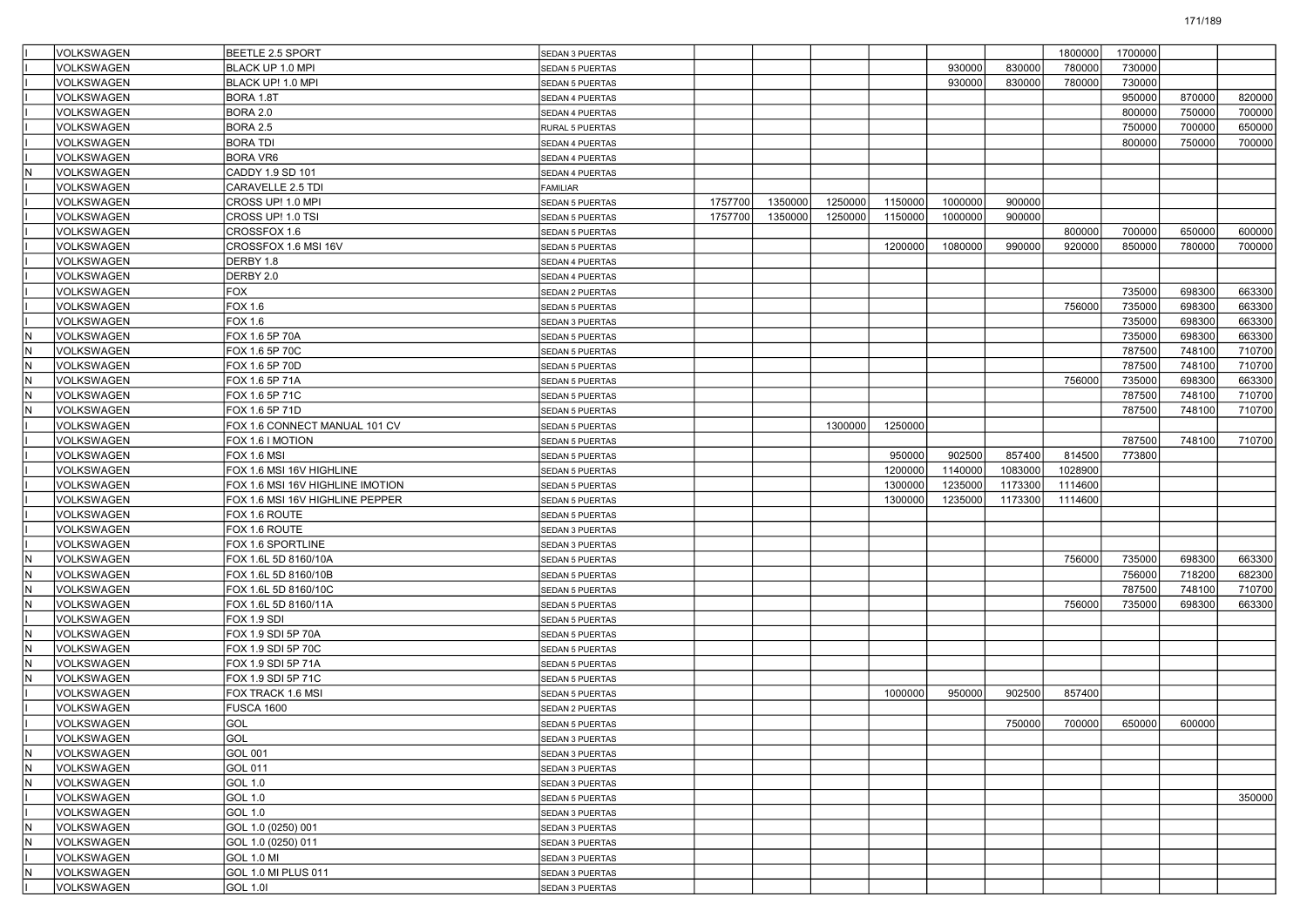|     | VOLKSWAGEN        | <b>BEETLE 2.5 SPORT</b>          | SEDAN 3 PUERTAS        |         |         |         |         |         |         | 1800000 | 1700000 |        |        |
|-----|-------------------|----------------------------------|------------------------|---------|---------|---------|---------|---------|---------|---------|---------|--------|--------|
|     | VOLKSWAGEN        | BLACK UP 1.0 MPI                 | SEDAN 5 PUERTAS        |         |         |         |         | 930000  | 830000  | 780000  | 730000  |        |        |
|     | <b>VOLKSWAGEN</b> | BLACK UP! 1.0 MPI                | SEDAN 5 PUERTAS        |         |         |         |         | 930000  | 830000  | 780000  | 730000  |        |        |
|     | <b>VOLKSWAGEN</b> | BORA 1.8T                        | SEDAN 4 PUERTAS        |         |         |         |         |         |         |         | 950000  | 870000 | 820000 |
|     | <b>VOLKSWAGEN</b> | BORA 2.0                         | SEDAN 4 PUERTAS        |         |         |         |         |         |         |         | 800000  | 750000 | 700000 |
|     | VOLKSWAGEN        | BORA 2.5                         | RURAL 5 PUERTAS        |         |         |         |         |         |         |         | 750000  | 700000 | 650000 |
|     | <b>VOLKSWAGEN</b> | <b>BORA TDI</b>                  | SEDAN 4 PUERTAS        |         |         |         |         |         |         |         | 800000  | 750000 | 700000 |
|     | VOLKSWAGEN        | <b>BORA VR6</b>                  | SEDAN 4 PUERTAS        |         |         |         |         |         |         |         |         |        |        |
|     | VOLKSWAGEN        | CADDY 1.9 SD 101                 | SEDAN 4 PUERTAS        |         |         |         |         |         |         |         |         |        |        |
|     | VOLKSWAGEN        | CARAVELLE 2.5 TDI                | FAMILIAR               |         |         |         |         |         |         |         |         |        |        |
|     | VOLKSWAGEN        | CROSS UP! 1.0 MPI                | SEDAN 5 PUERTAS        | 1757700 | 1350000 | 1250000 | 1150000 | 1000000 | 900000  |         |         |        |        |
|     | <b>VOLKSWAGEN</b> | CROSS UP! 1.0 TSI                | SEDAN 5 PUERTAS        | 1757700 | 1350000 | 1250000 | 1150000 | 1000000 | 900000  |         |         |        |        |
|     | VOLKSWAGEN        | CROSSFOX 1.6                     | SEDAN 5 PUERTAS        |         |         |         |         |         |         | 800000  | 700000  | 650000 | 600000 |
|     | VOLKSWAGEN        | CROSSFOX 1.6 MSI 16V             | SEDAN 5 PUERTAS        |         |         |         | 1200000 | 1080000 | 990000  | 920000  | 850000  | 780000 | 700000 |
|     | VOLKSWAGEN        | DERBY 1.8                        | SEDAN 4 PUERTAS        |         |         |         |         |         |         |         |         |        |        |
|     | VOLKSWAGEN        | DERBY 2.0                        | SEDAN 4 PUERTAS        |         |         |         |         |         |         |         |         |        |        |
|     | <b>VOLKSWAGEN</b> | FOX                              | SEDAN 2 PUERTAS        |         |         |         |         |         |         |         | 735000  | 698300 | 663300 |
|     | VOLKSWAGEN        | FOX 1.6                          | SEDAN 5 PUERTAS        |         |         |         |         |         |         | 756000  | 735000  | 698300 | 663300 |
|     | VOLKSWAGEN        | FOX 1.6                          | SEDAN 3 PUERTAS        |         |         |         |         |         |         |         | 735000  | 698300 | 663300 |
| ΙN  | VOLKSWAGEN        | FOX 1.6 5P 70A                   | SEDAN 5 PUERTAS        |         |         |         |         |         |         |         | 735000  | 698300 | 663300 |
| İΝ  | VOLKSWAGEN        | FOX 1.6 5P 70C                   | SEDAN 5 PUERTAS        |         |         |         |         |         |         |         | 787500  | 748100 | 710700 |
|     | <b>VOLKSWAGEN</b> | FOX 1.6 5P 70D                   | SEDAN 5 PUERTAS        |         |         |         |         |         |         |         | 787500  | 748100 | 710700 |
| I٨  | VOLKSWAGEN        | FOX 1.6 5P 71A                   | SEDAN 5 PUERTAS        |         |         |         |         |         |         | 756000  | 735000  | 698300 | 663300 |
|     | VOLKSWAGEN        | FOX 1.6 5P 71C                   | SEDAN 5 PUERTAS        |         |         |         |         |         |         |         | 787500  | 748100 | 710700 |
|     | VOLKSWAGEN        | FOX 1.6 5P 71D                   | SEDAN 5 PUERTAS        |         |         |         |         |         |         |         | 787500  | 748100 | 710700 |
|     | VOLKSWAGEN        | FOX 1.6 CONNECT MANUAL 101 CV    | SEDAN 5 PUERTAS        |         |         | 1300000 | 1250000 |         |         |         |         |        |        |
|     | <b>VOLKSWAGEN</b> | FOX 1.6 I MOTION                 | <b>SEDAN 5 PUERTAS</b> |         |         |         |         |         |         |         | 787500  | 748100 | 710700 |
|     | <b>VOLKSWAGEN</b> | FOX 1.6 MSI                      | SEDAN 5 PUERTAS        |         |         |         | 950000  | 902500  | 857400  | 814500  | 773800  |        |        |
|     | VOLKSWAGEN        | FOX 1.6 MSI 16V HIGHLINE         | SEDAN 5 PUERTAS        |         |         |         | 1200000 | 1140000 | 1083000 | 1028900 |         |        |        |
|     | <b>VOLKSWAGEN</b> | FOX 1.6 MSI 16V HIGHLINE IMOTION | SEDAN 5 PUERTAS        |         |         |         | 1300000 | 1235000 | 1173300 | 1114600 |         |        |        |
|     | VOLKSWAGEN        | FOX 1.6 MSI 16V HIGHLINE PEPPER  | SEDAN 5 PUERTAS        |         |         |         | 1300000 | 1235000 | 1173300 | 1114600 |         |        |        |
|     | <b>VOLKSWAGEN</b> | FOX 1.6 ROUTE                    | SEDAN 5 PUERTAS        |         |         |         |         |         |         |         |         |        |        |
|     | <b>VOLKSWAGEN</b> | FOX 1.6 ROUTE                    | SEDAN 3 PUERTAS        |         |         |         |         |         |         |         |         |        |        |
|     | VOLKSWAGEN        | FOX 1.6 SPORTLINE                | SEDAN 3 PUERTAS        |         |         |         |         |         |         |         |         |        |        |
| ΙN  | <b>VOLKSWAGEN</b> | FOX 1.6L 5D 8160/10A             | SEDAN 5 PUERTAS        |         |         |         |         |         |         | 756000  | 735000  | 698300 | 663300 |
| İΝ  | VOLKSWAGEN        | FOX 1.6L 5D 8160/10B             | SEDAN 5 PUERTAS        |         |         |         |         |         |         |         | 756000  | 718200 | 682300 |
|     | <b>VOLKSWAGEN</b> | FOX 1.6L 5D 8160/10C             | SEDAN 5 PUERTAS        |         |         |         |         |         |         |         | 787500  | 748100 | 710700 |
| ΙN  | <b>VOLKSWAGEN</b> | FOX 1.6L 5D 8160/11A             | SEDAN 5 PUERTAS        |         |         |         |         |         |         | 756000  | 735000  | 698300 | 663300 |
|     | VOLKSWAGEN        | FOX 1.9 SDI                      | SEDAN 5 PUERTAS        |         |         |         |         |         |         |         |         |        |        |
| ΙN  | <b>VOLKSWAGEN</b> | FOX 1.9 SDI 5P 70A               | SEDAN 5 PUERTAS        |         |         |         |         |         |         |         |         |        |        |
| İΝ  | VOLKSWAGEN        | FOX 1.9 SDI 5P 70C               | SEDAN 5 PUERTAS        |         |         |         |         |         |         |         |         |        |        |
|     | <b>VOLKSWAGEN</b> | FOX 1.9 SDI 5P 71A               | SEDAN 5 PUERTAS        |         |         |         |         |         |         |         |         |        |        |
|     | VOLKSWAGEN        | FOX 1.9 SDI 5P 71C               | SEDAN 5 PUERTAS        |         |         |         |         |         |         |         |         |        |        |
|     | VOLKSWAGEN        | FOX TRACK 1.6 MSI                | SEDAN 5 PUERTAS        |         |         |         | 1000000 | 950000  | 902500  | 857400  |         |        |        |
|     | VOLKSWAGEN        | <b>FUSCA 1600</b>                | SEDAN 2 PUERTAS        |         |         |         |         |         |         |         |         |        |        |
|     | VOLKSWAGEN        | GOL                              | SEDAN 5 PUERTAS        |         |         |         |         |         | 750000  | 700000  | 650000  | 600000 |        |
|     | VOLKSWAGEN        | GOL                              | SEDAN 3 PUERTAS        |         |         |         |         |         |         |         |         |        |        |
| İN. | VOLKSWAGEN        | GOL 001                          | SEDAN 3 PUERTAS        |         |         |         |         |         |         |         |         |        |        |
| İN. | VOLKSWAGEN        | GOL 011                          | SEDAN 3 PUERTAS        |         |         |         |         |         |         |         |         |        |        |
| IN. | VOLKSWAGEN        | GOL 1.0                          | SEDAN 3 PUERTAS        |         |         |         |         |         |         |         |         |        |        |
|     | VOLKSWAGEN        | GOL 1.0                          | SEDAN 5 PUERTAS        |         |         |         |         |         |         |         |         |        | 350000 |
|     | VOLKSWAGEN        | GOL 1.0                          | SEDAN 3 PUERTAS        |         |         |         |         |         |         |         |         |        |        |
| İN  | VOLKSWAGEN        | GOL 1.0 (0250) 001               | SEDAN 3 PUERTAS        |         |         |         |         |         |         |         |         |        |        |
| İN. | VOLKSWAGEN        | GOL 1.0 (0250) 011               | SEDAN 3 PUERTAS        |         |         |         |         |         |         |         |         |        |        |
|     | VOLKSWAGEN        | <b>GOL 1.0 MI</b>                | SEDAN 3 PUERTAS        |         |         |         |         |         |         |         |         |        |        |
| İN. | VOLKSWAGEN        | GOL 1.0 MI PLUS 011              | SEDAN 3 PUERTAS        |         |         |         |         |         |         |         |         |        |        |
|     | VOLKSWAGEN        | GOL 1.01                         | SEDAN 3 PUERTAS        |         |         |         |         |         |         |         |         |        |        |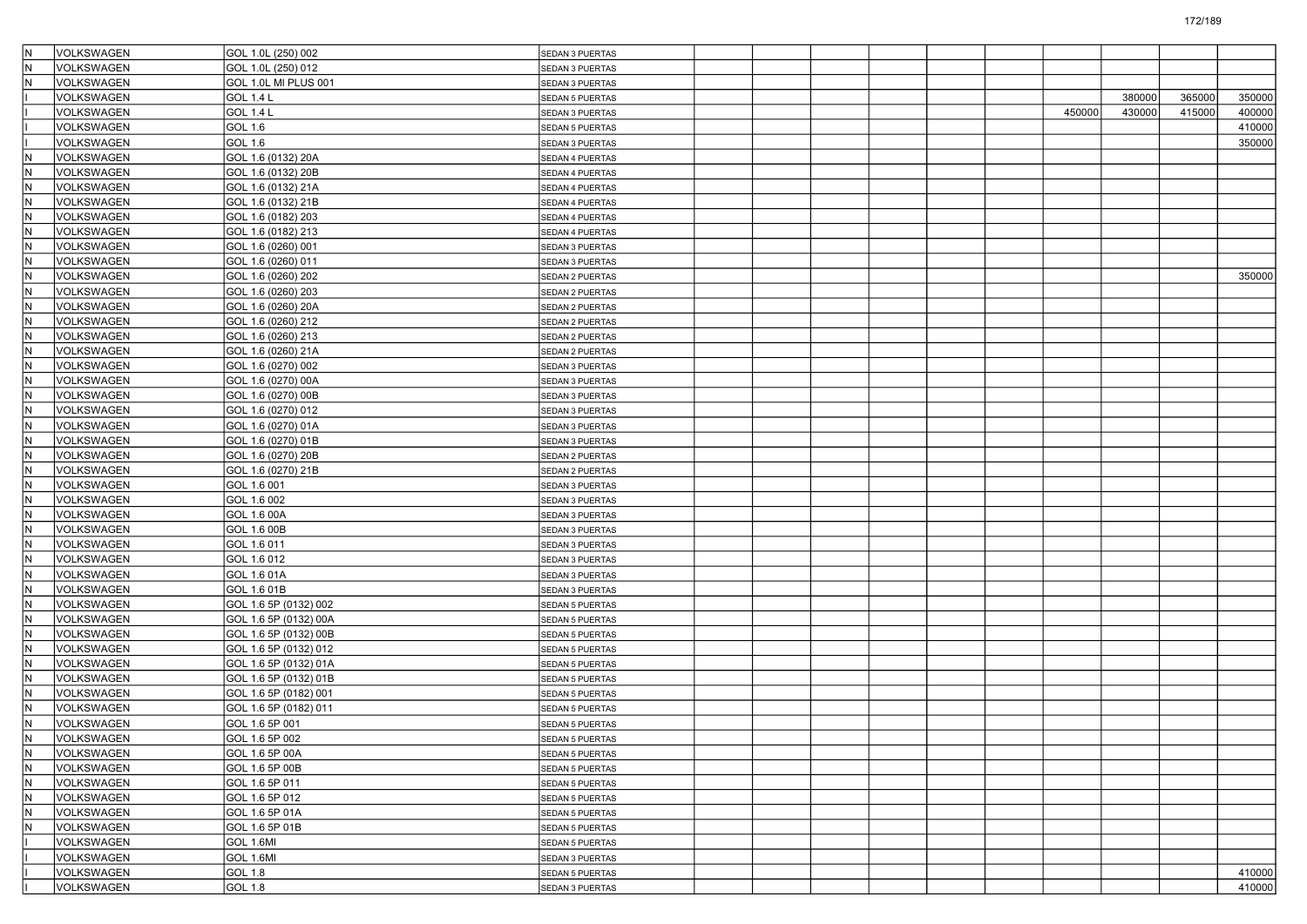| IN.                      | VOLKSWAGEN        | GOL 1.0L (250) 002    | <b>SEDAN 3 PUERTAS</b> |  |  |  |        |        |        |        |
|--------------------------|-------------------|-----------------------|------------------------|--|--|--|--------|--------|--------|--------|
| N)                       | <b>VOLKSWAGEN</b> | GOL 1.0L (250) 012    | SEDAN 3 PUERTAS        |  |  |  |        |        |        |        |
| N                        | VOLKSWAGEN        | GOL 1.0L MI PLUS 001  | SEDAN 3 PUERTAS        |  |  |  |        |        |        |        |
|                          | VOLKSWAGEN        | <b>GOL 1.4 L</b>      | SEDAN 5 PUERTAS        |  |  |  |        | 380000 | 365000 | 350000 |
|                          | VOLKSWAGEN        | <b>GOL 1.4 L</b>      | SEDAN 3 PUERTAS        |  |  |  | 450000 | 430000 | 415000 | 400000 |
|                          | VOLKSWAGEN        | GOL 1.6               | SEDAN 5 PUERTAS        |  |  |  |        |        |        | 410000 |
|                          | <b>VOLKSWAGEN</b> | GOL 1.6               | SEDAN 3 PUERTAS        |  |  |  |        |        |        | 350000 |
| N                        | VOLKSWAGEN        | GOL 1.6 (0132) 20A    | SEDAN 4 PUERTAS        |  |  |  |        |        |        |        |
| $\overline{\mathsf{N}}$  | VOLKSWAGEN        | GOL 1.6 (0132) 20B    | SEDAN 4 PUERTAS        |  |  |  |        |        |        |        |
| N                        | VOLKSWAGEN        | GOL 1.6 (0132) 21A    | SEDAN 4 PUERTAS        |  |  |  |        |        |        |        |
| $\overline{\mathsf{N}}$  | VOLKSWAGEN        | GOL 1.6 (0132) 21B    | SEDAN 4 PUERTAS        |  |  |  |        |        |        |        |
| N                        | VOLKSWAGEN        | GOL 1.6 (0182) 203    | SEDAN 4 PUERTAS        |  |  |  |        |        |        |        |
| N)                       | VOLKSWAGEN        | GOL 1.6 (0182) 213    | SEDAN 4 PUERTAS        |  |  |  |        |        |        |        |
| $\overline{\mathsf{N}}$  | VOLKSWAGEN        | GOL 1.6 (0260) 001    | SEDAN 3 PUERTAS        |  |  |  |        |        |        |        |
| ℼ                        | VOLKSWAGEN        | GOL 1.6 (0260) 011    | SEDAN 3 PUERTAS        |  |  |  |        |        |        |        |
| $\overline{\mathsf{N}}$  | VOLKSWAGEN        | GOL 1.6 (0260) 202    | SEDAN 2 PUERTAS        |  |  |  |        |        |        | 350000 |
| $\overline{\mathsf{N}}$  | <b>VOLKSWAGEN</b> | GOL 1.6 (0260) 203    | SEDAN 2 PUERTAS        |  |  |  |        |        |        |        |
| N                        | VOLKSWAGEN        | GOL 1.6 (0260) 20A    | SEDAN 2 PUERTAS        |  |  |  |        |        |        |        |
| $\overline{\mathsf{N}}$  | VOLKSWAGEN        | GOL 1.6 (0260) 212    | SEDAN 2 PUERTAS        |  |  |  |        |        |        |        |
| $\overline{\mathsf{N}}$  | VOLKSWAGEN        | GOL 1.6 (0260) 213    | SEDAN 2 PUERTAS        |  |  |  |        |        |        |        |
| $\overline{\mathsf{N}}$  | VOLKSWAGEN        | GOL 1.6 (0260) 21A    | SEDAN 2 PUERTAS        |  |  |  |        |        |        |        |
| ℝ                        | <b>VOLKSWAGEN</b> | GOL 1.6 (0270) 002    | SEDAN 3 PUERTAS        |  |  |  |        |        |        |        |
| N                        | VOLKSWAGEN        | GOL 1.6 (0270) 00A    | SEDAN 3 PUERTAS        |  |  |  |        |        |        |        |
| $\overline{\mathsf{N}}$  | VOLKSWAGEN        | GOL 1.6 (0270) 00B    | SEDAN 3 PUERTAS        |  |  |  |        |        |        |        |
| N                        | VOLKSWAGEN        | GOL 1.6 (0270) 012    | SEDAN 3 PUERTAS        |  |  |  |        |        |        |        |
| $\overline{\mathsf{N}}$  | VOLKSWAGEN        | GOL 1.6 (0270) 01A    | SEDAN 3 PUERTAS        |  |  |  |        |        |        |        |
| ℕ                        | VOLKSWAGEN        | GOL 1.6 (0270) 01B    | SEDAN 3 PUERTAS        |  |  |  |        |        |        |        |
| N                        | VOLKSWAGEN        | GOL 1.6 (0270) 20B    | SEDAN 2 PUERTAS        |  |  |  |        |        |        |        |
| $\overline{\mathsf{N}}$  | VOLKSWAGEN        | GOL 1.6 (0270) 21B    | SEDAN 2 PUERTAS        |  |  |  |        |        |        |        |
| ℼ                        | VOLKSWAGEN        | GOL 1.6 001           | SEDAN 3 PUERTAS        |  |  |  |        |        |        |        |
| $\overline{\mathbb{N}}$  | VOLKSWAGEN        | GOL 1.6 002           | SEDAN 3 PUERTAS        |  |  |  |        |        |        |        |
| ℝ                        | <b>VOLKSWAGEN</b> | GOL 1.6 00A           |                        |  |  |  |        |        |        |        |
| N                        | VOLKSWAGEN        | GOL 1.6 00B           | SEDAN 3 PUERTAS        |  |  |  |        |        |        |        |
| $\overline{\mathsf{N}}$  | VOLKSWAGEN        |                       | SEDAN 3 PUERTAS        |  |  |  |        |        |        |        |
| ℼ                        |                   | GOL 1.6 011           | SEDAN 3 PUERTAS        |  |  |  |        |        |        |        |
| $\overline{\mathbb{N}}$  | VOLKSWAGEN        | GOL 1.6 012           | SEDAN 3 PUERTAS        |  |  |  |        |        |        |        |
| $\overline{\mathsf{N}}$  | VOLKSWAGEN        | GOL 1.6 01A           | SEDAN 3 PUERTAS        |  |  |  |        |        |        |        |
| N                        | <b>VOLKSWAGEN</b> | GOL 1.6 01B           | SEDAN 3 PUERTAS        |  |  |  |        |        |        |        |
|                          | VOLKSWAGEN        | GOL 1.6 5P (0132) 002 | SEDAN 5 PUERTAS        |  |  |  |        |        |        |        |
| $\overline{\mathsf{N}}$  | VOLKSWAGEN        | GOL 1.6 5P (0132) 00A | SEDAN 5 PUERTAS        |  |  |  |        |        |        |        |
| $\overline{\mathsf{N}}$  | VOLKSWAGEN        | GOL 1.6 5P (0132) 00B | SEDAN 5 PUERTAS        |  |  |  |        |        |        |        |
| $\overline{\mathsf{N}}$  | VOLKSWAGEN        | GOL 1.6 5P (0132) 012 | SEDAN 5 PUERTAS        |  |  |  |        |        |        |        |
| N                        | VOLKSWAGEN        | GOL 1.6 5P (0132) 01A | <b>SEDAN 5 PUERTAS</b> |  |  |  |        |        |        |        |
| N)                       | VOLKSWAGEN        | GOL 1.6 5P (0132) 01B | <b>SEDAN 5 PUERTAS</b> |  |  |  |        |        |        |        |
| $\mathsf{N}$             | VOLKSWAGEN        | GOL 1.6 5P (0182) 001 | SEDAN 5 PUERTAS        |  |  |  |        |        |        |        |
| ١N                       | VOLKSWAGEN        | GOL 1.6 5P (0182) 011 | <b>SEDAN 5 PUERTAS</b> |  |  |  |        |        |        |        |
| $\overline{\mathsf{N}}$  | VOLKSWAGEN        | GOL 1.6 5P 001        | <b>SEDAN 5 PUERTAS</b> |  |  |  |        |        |        |        |
| $\overline{\phantom{a}}$ | VOLKSWAGEN        | GOL 1.6 5P 002        | <b>SEDAN 5 PUERTAS</b> |  |  |  |        |        |        |        |
| IN.                      | <b>VOLKSWAGEN</b> | GOL 1.6 5P 00A        | SEDAN 5 PUERTAS        |  |  |  |        |        |        |        |
| IN.                      | VOLKSWAGEN        | GOL 1.6 5P 00B        | SEDAN 5 PUERTAS        |  |  |  |        |        |        |        |
| IN.                      | VOLKSWAGEN        | GOL 1.6 5P 011        | <b>SEDAN 5 PUERTAS</b> |  |  |  |        |        |        |        |
| N                        | VOLKSWAGEN        | GOL 1.6 5P 012        | SEDAN 5 PUERTAS        |  |  |  |        |        |        |        |
| IN.                      | VOLKSWAGEN        | GOL 1.6 5P 01A        | SEDAN 5 PUERTAS        |  |  |  |        |        |        |        |
| IN.                      | <b>VOLKSWAGEN</b> | GOL 1.6 5P 01B        | SEDAN 5 PUERTAS        |  |  |  |        |        |        |        |
|                          | VOLKSWAGEN        | GOL 1.6MI             | SEDAN 5 PUERTAS        |  |  |  |        |        |        |        |
|                          | VOLKSWAGEN        | GOL 1.6MI             | SEDAN 3 PUERTAS        |  |  |  |        |        |        |        |
|                          | VOLKSWAGEN        | <b>GOL 1.8</b>        | SEDAN 5 PUERTAS        |  |  |  |        |        |        | 410000 |
|                          | VOLKSWAGEN        | GOL 1.8               | SEDAN 3 PUERTAS        |  |  |  |        |        |        | 410000 |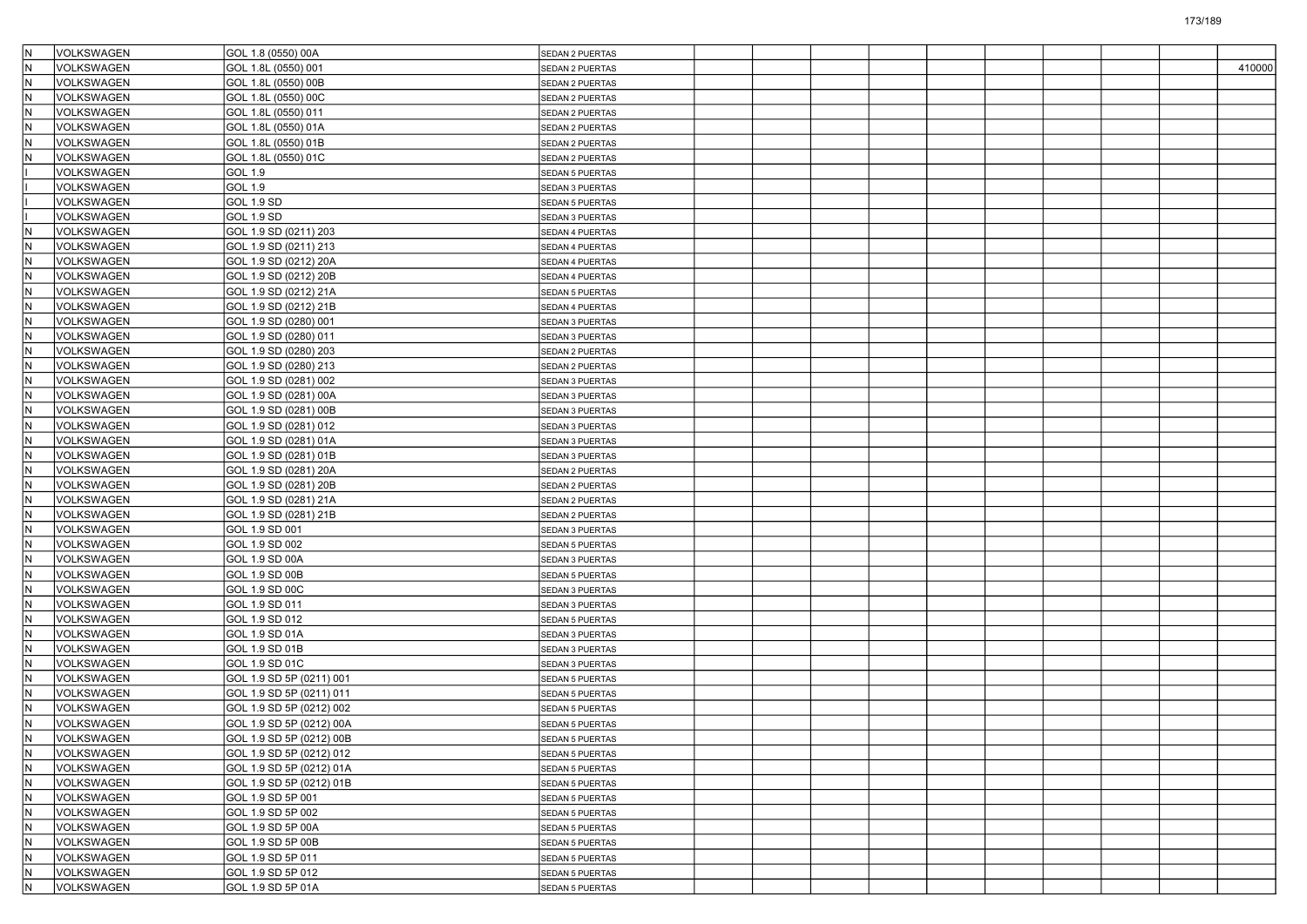| IN.                      | VOLKSWAGEN        | GOL 1.8 (0550) 00A       | SEDAN 2 PUERTAS        |  |  |  |  |        |
|--------------------------|-------------------|--------------------------|------------------------|--|--|--|--|--------|
| N)                       | <b>VOLKSWAGEN</b> | GOL 1.8L (0550) 001      | <b>SEDAN 2 PUERTAS</b> |  |  |  |  | 410000 |
| N                        | VOLKSWAGEN        | GOL 1.8L (0550) 00B      | SEDAN 2 PUERTAS        |  |  |  |  |        |
| $\overline{\mathsf{N}}$  | VOLKSWAGEN        | GOL 1.8L (0550) 00C      | SEDAN 2 PUERTAS        |  |  |  |  |        |
| $\overline{\mathsf{N}}$  | VOLKSWAGEN        | GOL 1.8L (0550) 011      | SEDAN 2 PUERTAS        |  |  |  |  |        |
| $\overline{\mathsf{N}}$  | VOLKSWAGEN        | GOL 1.8L (0550) 01A      | SEDAN 2 PUERTAS        |  |  |  |  |        |
| N                        | VOLKSWAGEN        | GOL 1.8L (0550) 01B      | SEDAN 2 PUERTAS        |  |  |  |  |        |
| N                        | VOLKSWAGEN        | GOL 1.8L (0550) 01C      | SEDAN 2 PUERTAS        |  |  |  |  |        |
|                          | VOLKSWAGEN        | GOL 1.9                  | <b>SEDAN 5 PUERTAS</b> |  |  |  |  |        |
|                          | VOLKSWAGEN        | <b>GOL 1.9</b>           | SEDAN 3 PUERTAS        |  |  |  |  |        |
|                          | VOLKSWAGEN        | <b>GOL 1.9 SD</b>        | <b>SEDAN 5 PUERTAS</b> |  |  |  |  |        |
|                          | <b>VOLKSWAGEN</b> | GOL 1.9 SD               | SEDAN 3 PUERTAS        |  |  |  |  |        |
| $\overline{\mathsf{N}}$  | VOLKSWAGEN        | GOL 1.9 SD (0211) 203    | <b>SEDAN 4 PUERTAS</b> |  |  |  |  |        |
| $\mathsf{N}$             | VOLKSWAGEN        | GOL 1.9 SD (0211) 213    | SEDAN 4 PUERTAS        |  |  |  |  |        |
| ℼ                        | VOLKSWAGEN        | GOL 1.9 SD (0212) 20A    | SEDAN 4 PUERTAS        |  |  |  |  |        |
| $\overline{\mathsf{N}}$  | VOLKSWAGEN        | GOL 1.9 SD (0212) 20B    | SEDAN 4 PUERTAS        |  |  |  |  |        |
| $\overline{\phantom{a}}$ | <b>VOLKSWAGEN</b> | GOL 1.9 SD (0212) 21A    | <b>SEDAN 5 PUERTAS</b> |  |  |  |  |        |
| N                        | VOLKSWAGEN        | GOL 1.9 SD (0212) 21B    | SEDAN 4 PUERTAS        |  |  |  |  |        |
| $\overline{\mathsf{N}}$  | VOLKSWAGEN        | GOL 1.9 SD (0280) 001    | SEDAN 3 PUERTAS        |  |  |  |  |        |
| ℼ                        | VOLKSWAGEN        | GOL 1.9 SD (0280) 011    | SEDAN 3 PUERTAS        |  |  |  |  |        |
| $\overline{\mathsf{N}}$  | VOLKSWAGEN        | GOL 1.9 SD (0280) 203    | SEDAN 2 PUERTAS        |  |  |  |  |        |
| $\overline{\phantom{a}}$ | <b>VOLKSWAGEN</b> | GOL 1.9 SD (0280) 213    | <b>SEDAN 2 PUERTAS</b> |  |  |  |  |        |
| N                        | VOLKSWAGEN        | GOL 1.9 SD (0281) 002    | SEDAN 3 PUERTAS        |  |  |  |  |        |
| $\overline{\mathsf{N}}$  | VOLKSWAGEN        | GOL 1.9 SD (0281) 00A    | SEDAN 3 PUERTAS        |  |  |  |  |        |
| N                        | <b>VOLKSWAGEN</b> | GOL 1.9 SD (0281) 00B    | SEDAN 3 PUERTAS        |  |  |  |  |        |
| $\overline{\mathsf{N}}$  | VOLKSWAGEN        | GOL 1.9 SD (0281) 012    | SEDAN 3 PUERTAS        |  |  |  |  |        |
| $\overline{\mathsf{N}}$  | VOLKSWAGEN        | GOL 1.9 SD (0281) 01A    | SEDAN 3 PUERTAS        |  |  |  |  |        |
| N                        | VOLKSWAGEN        | GOL 1.9 SD (0281) 01B    | <b>SEDAN 3 PUERTAS</b> |  |  |  |  |        |
| $\overline{\mathsf{N}}$  | VOLKSWAGEN        | GOL 1.9 SD (0281) 20A    | SEDAN 2 PUERTAS        |  |  |  |  |        |
| $\overline{\mathsf{N}}$  | VOLKSWAGEN        | GOL 1.9 SD (0281) 20B    | SEDAN 2 PUERTAS        |  |  |  |  |        |
| $\overline{\mathbb{N}}$  | VOLKSWAGEN        | GOL 1.9 SD (0281) 21A    | SEDAN 2 PUERTAS        |  |  |  |  |        |
| $\overline{\phantom{a}}$ | VOLKSWAGEN        | GOL 1.9 SD (0281) 21B    | SEDAN 2 PUERTAS        |  |  |  |  |        |
| N                        | VOLKSWAGEN        | GOL 1.9 SD 001           | SEDAN 3 PUERTAS        |  |  |  |  |        |
| $\overline{\mathsf{N}}$  | VOLKSWAGEN        | GOL 1.9 SD 002           | SEDAN 5 PUERTAS        |  |  |  |  |        |
| $\overline{\mathsf{N}}$  | VOLKSWAGEN        | GOL 1.9 SD 00A           | SEDAN 3 PUERTAS        |  |  |  |  |        |
| $\overline{\mathbb{N}}$  | VOLKSWAGEN        | GOL 1.9 SD 00B           | SEDAN 5 PUERTAS        |  |  |  |  |        |
| $\overline{\phantom{a}}$ | <b>VOLKSWAGEN</b> | GOL 1.9 SD 00C           | <b>SEDAN 3 PUERTAS</b> |  |  |  |  |        |
| N                        | VOLKSWAGEN        | GOL 1.9 SD 011           | SEDAN 3 PUERTAS        |  |  |  |  |        |
| $\overline{\mathsf{N}}$  | VOLKSWAGEN        | GOL 1.9 SD 012           | SEDAN 5 PUERTAS        |  |  |  |  |        |
| ١N                       | VOLKSWAGEN        | GOL 1.9 SD 01A           | SEDAN 3 PUERTAS        |  |  |  |  |        |
| $\overline{\mathsf{N}}$  | VOLKSWAGEN        | GOL 1.9 SD 01B           | SEDAN 3 PUERTAS        |  |  |  |  |        |
| N                        | VOLKSWAGEN        | GOL 1.9 SD 01C           | <b>SEDAN 3 PUERTAS</b> |  |  |  |  |        |
| N)                       | VOLKSWAGEN        | GOL 1.9 SD 5P (0211) 001 | <b>SEDAN 5 PUERTAS</b> |  |  |  |  |        |
| $\mathsf{N}$             | VOLKSWAGEN        | GOL 1.9 SD 5P (0211) 011 | <b>SEDAN 5 PUERTAS</b> |  |  |  |  |        |
| ١N                       | VOLKSWAGEN        | GOL 1.9 SD 5P (0212) 002 | SEDAN 5 PUERTAS        |  |  |  |  |        |
| $\overline{\mathsf{N}}$  | VOLKSWAGEN        | GOL 1.9 SD 5P (0212) 00A | SEDAN 5 PUERTAS        |  |  |  |  |        |
| $\overline{\mathsf{N}}$  | VOLKSWAGEN        | GOL 1.9 SD 5P (0212) 00B | <b>SEDAN 5 PUERTAS</b> |  |  |  |  |        |
| IN.                      | VOLKSWAGEN        | GOL 1.9 SD 5P (0212) 012 | <b>SEDAN 5 PUERTAS</b> |  |  |  |  |        |
| IN.                      | VOLKSWAGEN        | GOL 1.9 SD 5P (0212) 01A | SEDAN 5 PUERTAS        |  |  |  |  |        |
| İN.                      | VOLKSWAGEN        | GOL 1.9 SD 5P (0212) 01B | SEDAN 5 PUERTAS        |  |  |  |  |        |
| N                        | VOLKSWAGEN        | GOL 1.9 SD 5P 001        | SEDAN 5 PUERTAS        |  |  |  |  |        |
| IN.                      | VOLKSWAGEN        | GOL 1.9 SD 5P 002        | SEDAN 5 PUERTAS        |  |  |  |  |        |
| IN.                      | <b>VOLKSWAGEN</b> | GOL 1.9 SD 5P 00A        | SEDAN 5 PUERTAS        |  |  |  |  |        |
| N                        | VOLKSWAGEN        | GOL 1.9 SD 5P 00B        | SEDAN 5 PUERTAS        |  |  |  |  |        |
| l٧                       | VOLKSWAGEN        | GOL 1.9 SD 5P 011        | SEDAN 5 PUERTAS        |  |  |  |  |        |
| N                        | VOLKSWAGEN        | GOL 1.9 SD 5P 012        | SEDAN 5 PUERTAS        |  |  |  |  |        |
| $\overline{N}$           | VOLKSWAGEN        | GOL 1.9 SD 5P 01A        | <b>SEDAN 5 PUERTAS</b> |  |  |  |  |        |
|                          |                   |                          |                        |  |  |  |  |        |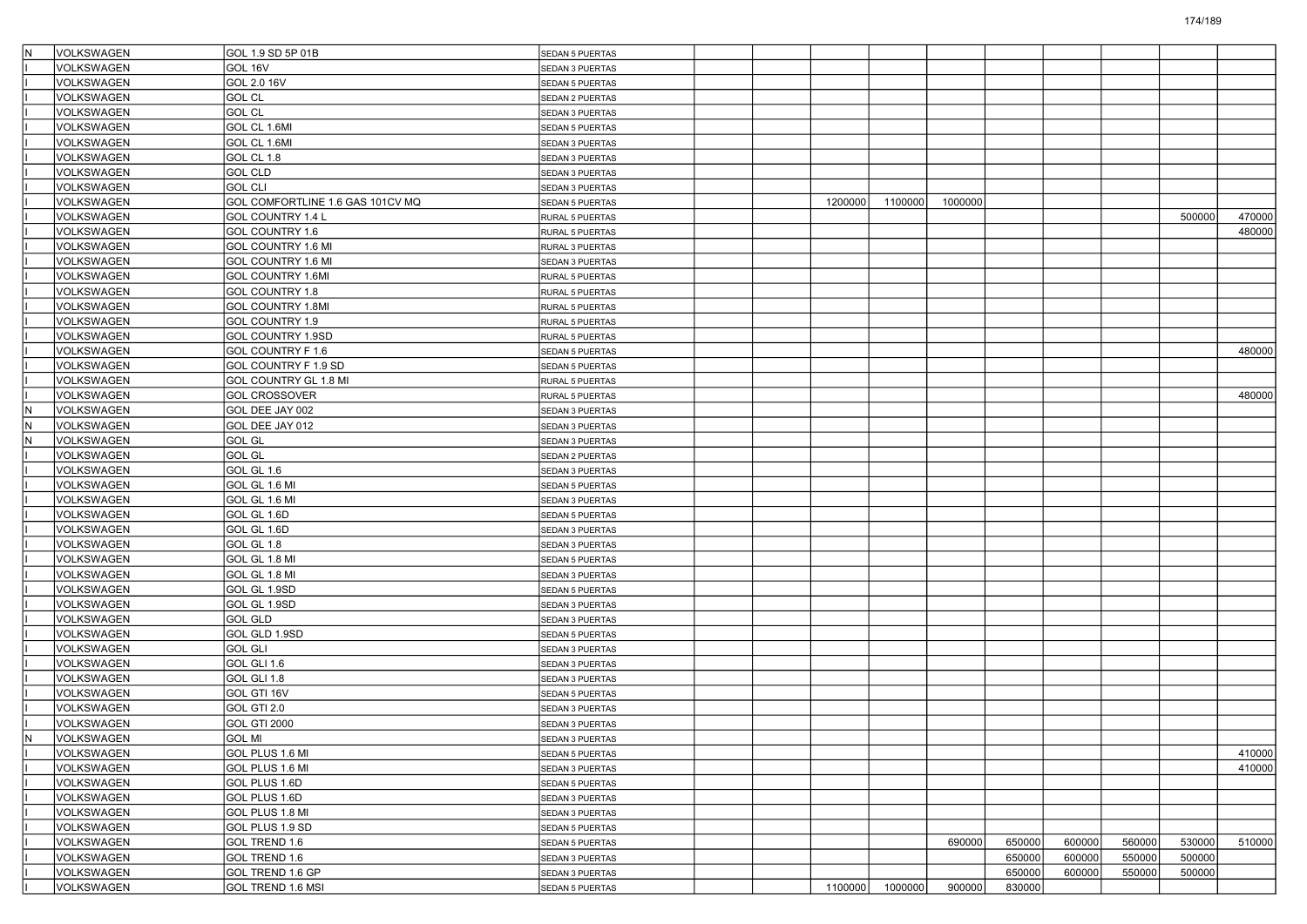| İΝ | VOLKSWAGEN               | GOL 1.9 SD 5P 01B                | <b>SEDAN 5 PUERTAS</b>                    |         |         |         |                  |        |        |        |        |
|----|--------------------------|----------------------------------|-------------------------------------------|---------|---------|---------|------------------|--------|--------|--------|--------|
|    | <b>VOLKSWAGEN</b>        | GOL 16V                          | <b>SEDAN 3 PUERTAS</b>                    |         |         |         |                  |        |        |        |        |
|    | VOLKSWAGEN               | GOL 2.0 16V                      | <b>SEDAN 5 PUERTAS</b>                    |         |         |         |                  |        |        |        |        |
|    | VOLKSWAGEN               | <b>GOL CL</b>                    | SEDAN 2 PUERTAS                           |         |         |         |                  |        |        |        |        |
|    | VOLKSWAGEN               | <b>GOL CL</b>                    | SEDAN 3 PUERTAS                           |         |         |         |                  |        |        |        |        |
|    | VOLKSWAGEN               | GOL CL 1.6MI                     | SEDAN 5 PUERTAS                           |         |         |         |                  |        |        |        |        |
|    | VOLKSWAGEN               | GOL CL 1.6MI                     | SEDAN 3 PUERTAS                           |         |         |         |                  |        |        |        |        |
|    | VOLKSWAGEN               | GOL CL 1.8                       | SEDAN 3 PUERTAS                           |         |         |         |                  |        |        |        |        |
|    | VOLKSWAGEN               | <b>GOL CLD</b>                   | SEDAN 3 PUERTAS                           |         |         |         |                  |        |        |        |        |
|    | VOLKSWAGEN               | <b>GOL CLI</b>                   | SEDAN 3 PUERTAS                           |         |         |         |                  |        |        |        |        |
|    | VOLKSWAGEN               | GOL COMFORTLINE 1.6 GAS 101CV MQ | SEDAN 5 PUERTAS                           | 1200000 | 1100000 | 1000000 |                  |        |        |        |        |
|    | VOLKSWAGEN               | GOL COUNTRY 1.4 L                | RURAL 5 PUERTAS                           |         |         |         |                  |        |        | 500000 | 470000 |
|    | VOLKSWAGEN               | GOL COUNTRY 1.6                  | RURAL 5 PUERTAS                           |         |         |         |                  |        |        |        | 480000 |
|    | VOLKSWAGEN               | GOL COUNTRY 1.6 MI               | RURAL 3 PUERTAS                           |         |         |         |                  |        |        |        |        |
|    | VOLKSWAGEN               | GOL COUNTRY 1.6 MI               | SEDAN 3 PUERTAS                           |         |         |         |                  |        |        |        |        |
|    | VOLKSWAGEN               | GOL COUNTRY 1.6MI                | RURAL 5 PUERTAS                           |         |         |         |                  |        |        |        |        |
|    | VOLKSWAGEN               | GOL COUNTRY 1.8                  | RURAL 5 PUERTAS                           |         |         |         |                  |        |        |        |        |
|    | VOLKSWAGEN               | GOL COUNTRY 1.8MI                | RURAL 5 PUERTAS                           |         |         |         |                  |        |        |        |        |
|    | VOLKSWAGEN               | GOL COUNTRY 1.9                  | RURAL 5 PUERTAS                           |         |         |         |                  |        |        |        |        |
|    | VOLKSWAGEN               | GOL COUNTRY 1.9SD                | RURAL 5 PUERTAS                           |         |         |         |                  |        |        |        |        |
|    | VOLKSWAGEN               | GOL COUNTRY F 1.6                | SEDAN 5 PUERTAS                           |         |         |         |                  |        |        |        | 480000 |
|    | VOLKSWAGEN               | GOL COUNTRY F 1.9 SD             | SEDAN 5 PUERTAS                           |         |         |         |                  |        |        |        |        |
|    | VOLKSWAGEN               | GOL COUNTRY GL 1.8 MI            | RURAL 5 PUERTAS                           |         |         |         |                  |        |        |        |        |
|    | <b>VOLKSWAGEN</b>        | <b>GOL CROSSOVER</b>             | RURAL 5 PUERTAS                           |         |         |         |                  |        |        |        | 480000 |
| ΙN | VOLKSWAGEN               | GOL DEE JAY 002                  | SEDAN 3 PUERTAS                           |         |         |         |                  |        |        |        |        |
| İN | VOLKSWAGEN               | GOL DEE JAY 012                  | SEDAN 3 PUERTAS                           |         |         |         |                  |        |        |        |        |
| lN | VOLKSWAGEN               | <b>GOL GL</b>                    | SEDAN 3 PUERTAS                           |         |         |         |                  |        |        |        |        |
|    | VOLKSWAGEN               | <b>GOL GL</b>                    | SEDAN 2 PUERTAS                           |         |         |         |                  |        |        |        |        |
|    | VOLKSWAGEN               | GOL GL 1.6                       | SEDAN 3 PUERTAS                           |         |         |         |                  |        |        |        |        |
|    | VOLKSWAGEN               | GOL GL 1.6 MI                    | SEDAN 5 PUERTAS                           |         |         |         |                  |        |        |        |        |
|    | VOLKSWAGEN               | GOL GL 1.6 MI                    | SEDAN 3 PUERTAS                           |         |         |         |                  |        |        |        |        |
|    | <b>VOLKSWAGEN</b>        | GOL GL 1.6D                      | SEDAN 5 PUERTAS                           |         |         |         |                  |        |        |        |        |
|    | VOLKSWAGEN               | GOL GL 1.6D                      | SEDAN 3 PUERTAS                           |         |         |         |                  |        |        |        |        |
|    | VOLKSWAGEN               | GOL GL 1.8                       | SEDAN 3 PUERTAS                           |         |         |         |                  |        |        |        |        |
|    | VOLKSWAGEN               | GOL GL 1.8 MI                    | SEDAN 5 PUERTAS                           |         |         |         |                  |        |        |        |        |
|    | VOLKSWAGEN               | GOL GL 1.8 MI                    | SEDAN 3 PUERTAS                           |         |         |         |                  |        |        |        |        |
|    | VOLKSWAGEN               | GOL GL 1.9SD                     | SEDAN 5 PUERTAS                           |         |         |         |                  |        |        |        |        |
|    | VOLKSWAGEN               | GOL GL 1.9SD                     | SEDAN 3 PUERTAS                           |         |         |         |                  |        |        |        |        |
|    | VOLKSWAGEN               | <b>GOL GLD</b>                   | SEDAN 3 PUERTAS                           |         |         |         |                  |        |        |        |        |
|    | VOLKSWAGEN               | GOL GLD 1.9SD                    | SEDAN 5 PUERTAS                           |         |         |         |                  |        |        |        |        |
|    | VOLKSWAGEN               | <b>GOL GLI</b>                   | SEDAN 3 PUERTAS                           |         |         |         |                  |        |        |        |        |
|    | VOLKSWAGEN               | GOL GLI 1.6                      | SEDAN 3 PUERTAS                           |         |         |         |                  |        |        |        |        |
|    | VOLKSWAGEN               | GOL GLI 1.8                      | SEDAN 3 PUERTAS                           |         |         |         |                  |        |        |        |        |
|    | VOLKSWAGEN               | GOL GTI 16V                      | <b>SEDAN 5 PUERTAS</b>                    |         |         |         |                  |        |        |        |        |
|    | VOLKSWAGEN               | GOL GTI 2.0                      | SEDAN 3 PUERTAS                           |         |         |         |                  |        |        |        |        |
|    | <b>VOLKSWAGEN</b>        | GOL GTI 2000                     | SEDAN 3 PUERTAS                           |         |         |         |                  |        |        |        |        |
|    | VOLKSWAGEN               | <b>GOL MI</b>                    |                                           |         |         |         |                  |        |        |        |        |
|    | VOLKSWAGEN               | GOL PLUS 1.6 MI                  | SEDAN 3 PUERTAS<br><b>SEDAN 5 PUERTAS</b> |         |         |         |                  |        |        |        | 410000 |
|    | VOLKSWAGEN               | GOL PLUS 1.6 MI                  |                                           |         |         |         |                  |        |        |        | 410000 |
|    | <b>VOLKSWAGEN</b>        | GOL PLUS 1.6D                    | SEDAN 3 PUERTAS<br><b>SEDAN 5 PUERTAS</b> |         |         |         |                  |        |        |        |        |
|    | VOLKSWAGEN               |                                  |                                           |         |         |         |                  |        |        |        |        |
|    | VOLKSWAGEN               | GOL PLUS 1.6D                    | SEDAN 3 PUERTAS                           |         |         |         |                  |        |        |        |        |
|    |                          | GOL PLUS 1.8 MI                  | SEDAN 3 PUERTAS                           |         |         |         |                  |        |        |        |        |
|    | VOLKSWAGEN<br>VOLKSWAGEN | GOL PLUS 1.9 SD                  | <b>SEDAN 5 PUERTAS</b>                    |         |         |         |                  | 600000 |        |        |        |
|    |                          | GOL TREND 1.6                    | <b>SEDAN 5 PUERTAS</b>                    |         |         | 690000  | 650000           |        | 560000 | 530000 | 510000 |
|    | VOLKSWAGEN               | GOL TREND 1.6                    | SEDAN 3 PUERTAS                           |         |         |         | 650000           | 600000 | 550000 | 500000 |        |
|    | VOLKSWAGEN               | GOL TREND 1.6 GP                 | SEDAN 3 PUERTAS                           |         |         |         | 650000<br>830000 | 600000 | 550000 | 500000 |        |
|    | VOLKSWAGEN               | GOL TREND 1.6 MSI                | <b>SEDAN 5 PUERTAS</b>                    | 1100000 | 1000000 | 900000  |                  |        |        |        |        |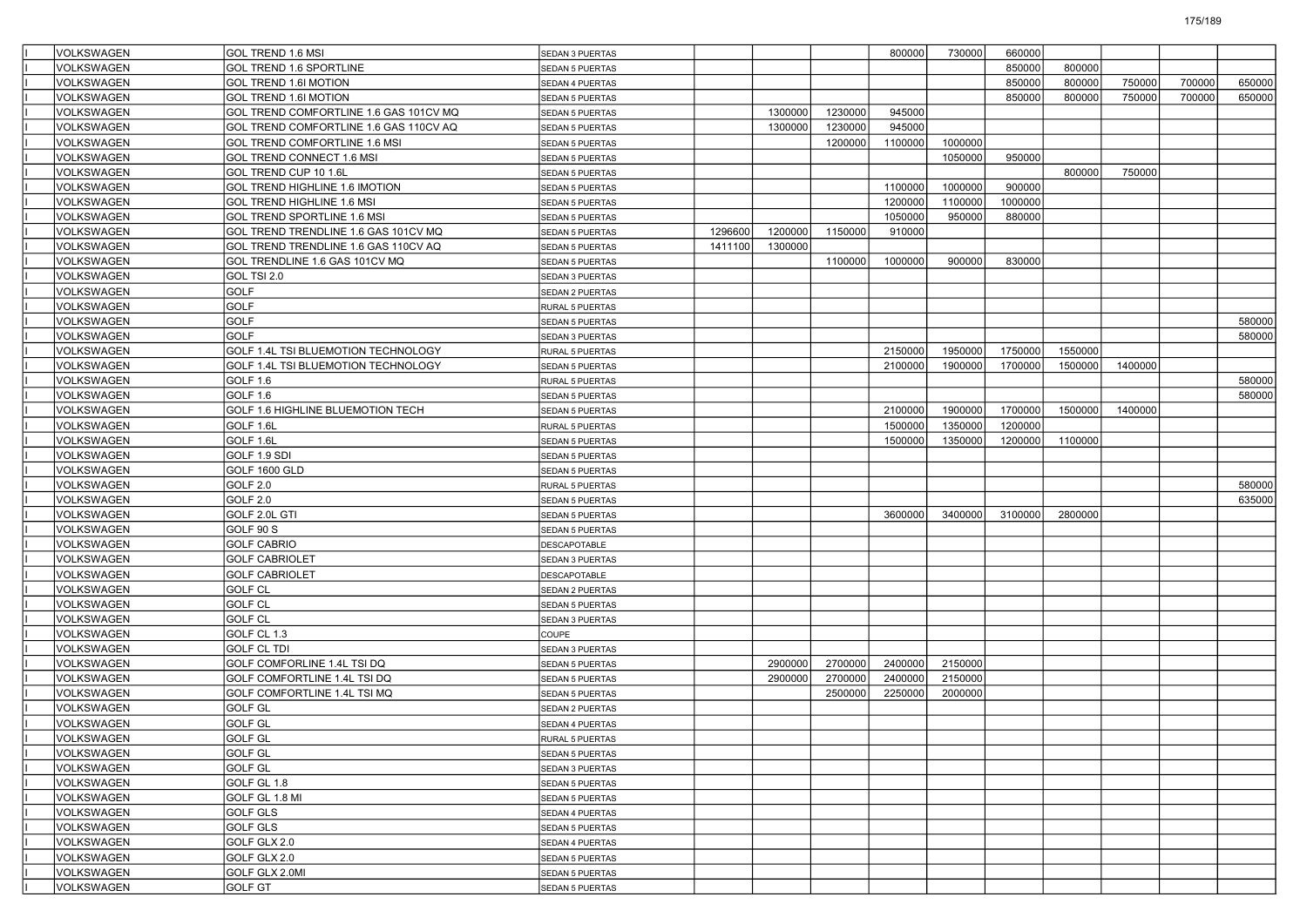| VOLKSWAGEN        | GOL TREND 1.6 MSI                      | SEDAN 3 PUERTAS        |         |         |         | 800000  | 730000  | 660000  |         |         |        |        |
|-------------------|----------------------------------------|------------------------|---------|---------|---------|---------|---------|---------|---------|---------|--------|--------|
| <b>VOLKSWAGEN</b> | <b>GOL TREND 1.6 SPORTLINE</b>         | SEDAN 5 PUERTAS        |         |         |         |         |         | 850000  | 800000  |         |        |        |
| <b>VOLKSWAGEN</b> | GOL TREND 1.6I MOTION                  | SEDAN 4 PUERTAS        |         |         |         |         |         | 850000  | 800000  | 750000  | 700000 | 650000 |
| <b>VOLKSWAGEN</b> | GOL TREND 1.6I MOTION                  | SEDAN 5 PUERTAS        |         |         |         |         |         | 850000  | 800000  | 750000  | 700000 | 650000 |
| VOLKSWAGEN        | GOL TREND COMFORTLINE 1.6 GAS 101CV MQ | <b>SEDAN 5 PUERTAS</b> |         | 1300000 | 1230000 | 945000  |         |         |         |         |        |        |
| VOLKSWAGEN        | GOL TREND COMFORTLINE 1.6 GAS 110CV AQ | <b>SEDAN 5 PUERTAS</b> |         | 1300000 | 1230000 | 945000  |         |         |         |         |        |        |
| <b>VOLKSWAGEN</b> | <b>GOL TREND COMFORTLINE 1.6 MSI</b>   | SEDAN 5 PUERTAS        |         |         | 1200000 | 1100000 | 1000000 |         |         |         |        |        |
| VOLKSWAGEN        | GOL TREND CONNECT 1.6 MSI              | <b>SEDAN 5 PUERTAS</b> |         |         |         |         | 1050000 | 950000  |         |         |        |        |
| VOLKSWAGEN        | GOL TREND CUP 10 1.6L                  | SEDAN 5 PUERTAS        |         |         |         |         |         |         | 800000  | 750000  |        |        |
| VOLKSWAGEN        | GOL TREND HIGHLINE 1.6 IMOTION         | <b>SEDAN 5 PUERTAS</b> |         |         |         | 1100000 | 1000000 | 900000  |         |         |        |        |
| VOLKSWAGEN        | GOL TREND HIGHLINE 1.6 MSI             | <b>SEDAN 5 PUERTAS</b> |         |         |         | 1200000 | 1100000 | 1000000 |         |         |        |        |
| <b>VOLKSWAGEN</b> | <b>IGOL TREND SPORTLINE 1.6 MSI</b>    | <b>SEDAN 5 PUERTAS</b> |         |         |         | 1050000 | 950000  | 880000  |         |         |        |        |
| VOLKSWAGEN        | GOL TREND TRENDLINE 1.6 GAS 101CV MQ   | SEDAN 5 PUERTAS        | 1296600 | 1200000 | 1150000 | 910000  |         |         |         |         |        |        |
| VOLKSWAGEN        | GOL TREND TRENDLINE 1.6 GAS 110CV AQ   | SEDAN 5 PUERTAS        | 1411100 | 1300000 |         |         |         |         |         |         |        |        |
| VOLKSWAGEN        | GOL TRENDLINE 1.6 GAS 101CV MQ         | <b>SEDAN 5 PUERTAS</b> |         |         | 1100000 | 1000000 | 900000  | 830000  |         |         |        |        |
| VOLKSWAGEN        | GOL TSI 2.0                            | SEDAN 3 PUERTAS        |         |         |         |         |         |         |         |         |        |        |
| <b>VOLKSWAGEN</b> | GOLF                                   | SEDAN 2 PUERTAS        |         |         |         |         |         |         |         |         |        |        |
| <b>VOLKSWAGEN</b> | GOLF                                   | RURAL 5 PUERTAS        |         |         |         |         |         |         |         |         |        |        |
| VOLKSWAGEN        | <b>GOLF</b>                            | SEDAN 5 PUERTAS        |         |         |         |         |         |         |         |         |        | 580000 |
| VOLKSWAGEN        | <b>GOLF</b>                            | SEDAN 3 PUERTAS        |         |         |         |         |         |         |         |         |        | 580000 |
| VOLKSWAGEN        | GOLF 1.4L TSI BLUEMOTION TECHNOLOGY    | RURAL 5 PUERTAS        |         |         |         | 2150000 | 1950000 | 1750000 | 1550000 |         |        |        |
| <b>VOLKSWAGEN</b> | GOLF 1.4L TSI BLUEMOTION TECHNOLOGY    | <b>SEDAN 5 PUERTAS</b> |         |         |         | 2100000 | 1900000 | 1700000 | 1500000 | 1400000 |        |        |
| VOLKSWAGEN        | GOLF 1.6                               | RURAL 5 PUERTAS        |         |         |         |         |         |         |         |         |        | 580000 |
| VOLKSWAGEN        | GOLF 1.6                               | SEDAN 5 PUERTAS        |         |         |         |         |         |         |         |         |        | 580000 |
| VOLKSWAGEN        | GOLF 1.6 HIGHLINE BLUEMOTION TECH      | <b>SEDAN 5 PUERTAS</b> |         |         |         | 2100000 | 1900000 | 1700000 | 1500000 | 1400000 |        |        |
| VOLKSWAGEN        | GOLF 1.6L                              | RURAL 5 PUERTAS        |         |         |         | 1500000 | 1350000 | 1200000 |         |         |        |        |
| <b>VOLKSWAGEN</b> | GOLF 1.6L                              | SEDAN 5 PUERTAS        |         |         |         | 1500000 | 1350000 | 1200000 | 1100000 |         |        |        |
| <b>VOLKSWAGEN</b> | GOLF 1.9 SDI                           | <b>SEDAN 5 PUERTAS</b> |         |         |         |         |         |         |         |         |        |        |
| VOLKSWAGEN        | GOLF 1600 GLD                          | SEDAN 5 PUERTAS        |         |         |         |         |         |         |         |         |        |        |
| VOLKSWAGEN        | GOLF 2.0                               | RURAL 5 PUERTAS        |         |         |         |         |         |         |         |         |        | 580000 |
| VOLKSWAGEN        | GOLF 2.0                               | SEDAN 5 PUERTAS        |         |         |         |         |         |         |         |         |        | 635000 |
| <b>VOLKSWAGEN</b> | GOLF 2.0L GTI                          | SEDAN 5 PUERTAS        |         |         |         | 3600000 | 3400000 | 3100000 | 2800000 |         |        |        |
| VOLKSWAGEN        | GOLF 90 S                              | <b>SEDAN 5 PUERTAS</b> |         |         |         |         |         |         |         |         |        |        |
| VOLKSWAGEN        | <b>GOLF CABRIO</b>                     | DESCAPOTABLE           |         |         |         |         |         |         |         |         |        |        |
| VOLKSWAGEN        | <b>GOLF CABRIOLET</b>                  | SEDAN 3 PUERTAS        |         |         |         |         |         |         |         |         |        |        |
| VOLKSWAGEN        | <b>GOLF CABRIOLET</b>                  | DESCAPOTABLE           |         |         |         |         |         |         |         |         |        |        |
| <b>VOLKSWAGEN</b> | <b>GOLF CL</b>                         | SEDAN 2 PUERTAS        |         |         |         |         |         |         |         |         |        |        |
| VOLKSWAGEN        | <b>GOLF CL</b>                         | SEDAN 5 PUERTAS        |         |         |         |         |         |         |         |         |        |        |
| VOLKSWAGEN        | <b>GOLF CL</b>                         | SEDAN 3 PUERTAS        |         |         |         |         |         |         |         |         |        |        |
| VOLKSWAGEN        | GOLF CL 1.3                            | COUPE                  |         |         |         |         |         |         |         |         |        |        |
| <b>VOLKSWAGEN</b> | <b>GOLF CL TDI</b>                     | SEDAN 3 PUERTAS        |         |         |         |         |         |         |         |         |        |        |
| <b>VOLKSWAGEN</b> | GOLF COMFORLINE 1.4L TSI DQ            | SEDAN 5 PUERTAS        |         | 2900000 | 2700000 | 2400000 | 2150000 |         |         |         |        |        |
| <b>VOLKSWAGEN</b> | GOLF COMFORTLINE 1.4L TSI DQ           | SEDAN 5 PUERTAS        |         | 2900000 | 2700000 | 2400000 | 2150000 |         |         |         |        |        |
| VOLKSWAGEN        | GOLF COMFORTLINE 1.4L TSI MQ           | SEDAN 5 PUERTAS        |         |         | 2500000 | 2250000 | 2000000 |         |         |         |        |        |
| VOLKSWAGEN        | <b>GOLF GL</b>                         | SEDAN 2 PUERTAS        |         |         |         |         |         |         |         |         |        |        |
| VOLKSWAGEN        | <b>GOLF GL</b>                         | SEDAN 4 PUERTAS        |         |         |         |         |         |         |         |         |        |        |
| VOLKSWAGEN        | <b>GOLF GL</b>                         | RURAL 5 PUERTAS        |         |         |         |         |         |         |         |         |        |        |
| <b>VOLKSWAGEN</b> | <b>GOLF GL</b>                         | SEDAN 5 PUERTAS        |         |         |         |         |         |         |         |         |        |        |
| VOLKSWAGEN        | <b>GOLF GL</b>                         | SEDAN 3 PUERTAS        |         |         |         |         |         |         |         |         |        |        |
| VOLKSWAGEN        | GOLF GL 1.8                            | SEDAN 5 PUERTAS        |         |         |         |         |         |         |         |         |        |        |
| VOLKSWAGEN        | GOLF GL 1.8 MI                         | <b>SEDAN 5 PUERTAS</b> |         |         |         |         |         |         |         |         |        |        |
| VOLKSWAGEN        | <b>GOLF GLS</b>                        | SEDAN 4 PUERTAS        |         |         |         |         |         |         |         |         |        |        |
| VOLKSWAGEN        | <b>GOLF GLS</b>                        | SEDAN 5 PUERTAS        |         |         |         |         |         |         |         |         |        |        |
| VOLKSWAGEN        | GOLF GLX 2.0                           | SEDAN 4 PUERTAS        |         |         |         |         |         |         |         |         |        |        |
| VOLKSWAGEN        | GOLF GLX 2.0                           | SEDAN 5 PUERTAS        |         |         |         |         |         |         |         |         |        |        |
| VOLKSWAGEN        | GOLF GLX 2.0MI                         | <b>SEDAN 5 PUERTAS</b> |         |         |         |         |         |         |         |         |        |        |
| VOLKSWAGEN        | <b>GOLF GT</b>                         | SEDAN 5 PUERTAS        |         |         |         |         |         |         |         |         |        |        |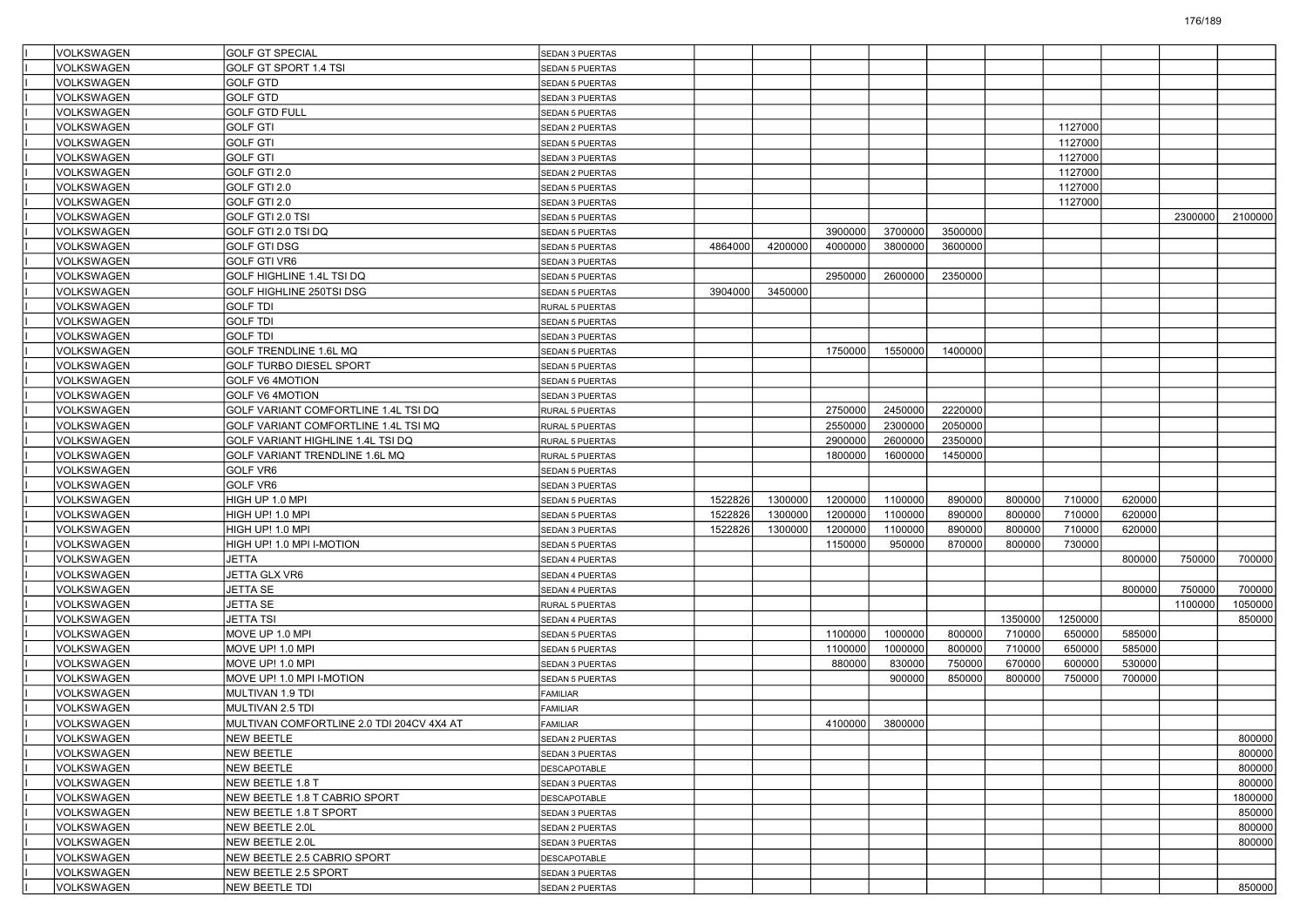| VOLKSWAGEN        | <b>GOLF GT SPECIAL</b>                    | SEDAN 3 PUERTAS        |         |         |         |         |         |         |         |        |         |         |
|-------------------|-------------------------------------------|------------------------|---------|---------|---------|---------|---------|---------|---------|--------|---------|---------|
| VOLKSWAGEN        | GOLF GT SPORT 1.4 TSI                     | <b>SEDAN 5 PUERTAS</b> |         |         |         |         |         |         |         |        |         |         |
| VOLKSWAGEN        | <b>GOLF GTD</b>                           | SEDAN 5 PUERTAS        |         |         |         |         |         |         |         |        |         |         |
| VOLKSWAGEN        | <b>GOLF GTD</b>                           | SEDAN 3 PUERTAS        |         |         |         |         |         |         |         |        |         |         |
| VOLKSWAGEN        | <b>GOLF GTD FULL</b>                      | <b>SEDAN 5 PUERTAS</b> |         |         |         |         |         |         |         |        |         |         |
| VOLKSWAGEN        | <b>GOLF GTI</b>                           | SEDAN 2 PUERTAS        |         |         |         |         |         |         | 1127000 |        |         |         |
| VOLKSWAGEN        | <b>GOLF GTI</b>                           | <b>SEDAN 5 PUERTAS</b> |         |         |         |         |         |         | 1127000 |        |         |         |
| VOLKSWAGEN        | <b>GOLF GTI</b>                           | SEDAN 3 PUERTAS        |         |         |         |         |         |         | 1127000 |        |         |         |
| VOLKSWAGEN        | GOLF GTI 2.0                              | SEDAN 2 PUERTAS        |         |         |         |         |         |         | 1127000 |        |         |         |
| VOLKSWAGEN        | GOLF GTI 2.0                              | <b>SEDAN 5 PUERTAS</b> |         |         |         |         |         |         | 1127000 |        |         |         |
| VOLKSWAGEN        | GOLF GTI 2.0                              | SEDAN 3 PUERTAS        |         |         |         |         |         |         | 1127000 |        |         |         |
| <b>VOLKSWAGEN</b> | GOLF GTI 2.0 TSI                          | <b>SEDAN 5 PUERTAS</b> |         |         |         |         |         |         |         |        | 2300000 | 2100000 |
| VOLKSWAGEN        | GOLF GTI 2.0 TSI DQ                       | SEDAN 5 PUERTAS        |         |         | 3900000 | 3700000 | 3500000 |         |         |        |         |         |
| VOLKSWAGEN        | <b>GOLF GTI DSG</b>                       | <b>SEDAN 5 PUERTAS</b> | 4864000 | 4200000 | 4000000 | 3800000 | 3600000 |         |         |        |         |         |
| VOLKSWAGEN        | <b>GOLF GTI VR6</b>                       | SEDAN 3 PUERTAS        |         |         |         |         |         |         |         |        |         |         |
| VOLKSWAGEN        | GOLF HIGHLINE 1.4L TSI DQ                 | SEDAN 5 PUERTAS        |         |         | 2950000 | 2600000 | 2350000 |         |         |        |         |         |
| VOLKSWAGEN        | GOLF HIGHLINE 250TSI DSG                  | <b>SEDAN 5 PUERTAS</b> | 3904000 | 3450000 |         |         |         |         |         |        |         |         |
| VOLKSWAGEN        | <b>GOLF TDI</b>                           | RURAL 5 PUERTAS        |         |         |         |         |         |         |         |        |         |         |
| VOLKSWAGEN        | <b>GOLF TDI</b>                           | SEDAN 5 PUERTAS        |         |         |         |         |         |         |         |        |         |         |
| VOLKSWAGEN        | <b>GOLF TDI</b>                           | SEDAN 3 PUERTAS        |         |         |         |         |         |         |         |        |         |         |
| VOLKSWAGEN        | GOLF TRENDLINE 1.6L MQ                    | SEDAN 5 PUERTAS        |         |         | 1750000 | 1550000 | 1400000 |         |         |        |         |         |
| VOLKSWAGEN        | <b>GOLF TURBO DIESEL SPORT</b>            | <b>SEDAN 5 PUERTAS</b> |         |         |         |         |         |         |         |        |         |         |
| VOLKSWAGEN        | GOLF V6 4MOTION                           | SEDAN 5 PUERTAS        |         |         |         |         |         |         |         |        |         |         |
| VOLKSWAGEN        | <b>GOLF V6 4MOTION</b>                    | SEDAN 3 PUERTAS        |         |         |         |         |         |         |         |        |         |         |
| VOLKSWAGEN        | GOLF VARIANT COMFORTLINE 1.4L TSI DQ      | RURAL 5 PUERTAS        |         |         | 2750000 | 2450000 | 2220000 |         |         |        |         |         |
| VOLKSWAGEN        | GOLF VARIANT COMFORTLINE 1.4L TSI MQ      | RURAL 5 PUERTAS        |         |         | 2550000 | 2300000 | 2050000 |         |         |        |         |         |
| VOLKSWAGEN        | GOLF VARIANT HIGHLINE 1.4L TSI DQ         | RURAL 5 PUERTAS        |         |         | 2900000 | 2600000 | 2350000 |         |         |        |         |         |
| VOLKSWAGEN        | GOLF VARIANT TRENDLINE 1.6L MQ            | RURAL 5 PUERTAS        |         |         | 1800000 | 1600000 | 1450000 |         |         |        |         |         |
| VOLKSWAGEN        | GOLF VR6                                  | SEDAN 5 PUERTAS        |         |         |         |         |         |         |         |        |         |         |
| VOLKSWAGEN        | GOLF VR6                                  | SEDAN 3 PUERTAS        |         |         |         |         |         |         |         |        |         |         |
| VOLKSWAGEN        | HIGH UP 1.0 MPI                           | SEDAN 5 PUERTAS        | 1522826 | 1300000 | 1200000 | 1100000 | 890000  | 800000  | 710000  | 620000 |         |         |
| VOLKSWAGEN        | HIGH UP! 1.0 MPI                          | <b>SEDAN 5 PUERTAS</b> | 1522826 | 1300000 | 1200000 | 1100000 | 890000  | 800000  | 710000  | 620000 |         |         |
| VOLKSWAGEN        | HIGH UP! 1.0 MPI                          | SEDAN 3 PUERTAS        | 1522826 | 1300000 | 1200000 | 1100000 | 890000  | 800000  | 710000  | 620000 |         |         |
| VOLKSWAGEN        | HIGH UP! 1.0 MPI I-MOTION                 | <b>SEDAN 5 PUERTAS</b> |         |         | 1150000 | 950000  | 870000  | 800000  | 730000  |        |         |         |
| VOLKSWAGEN        | JETTA                                     | SEDAN 4 PUERTAS        |         |         |         |         |         |         |         | 800000 | 750000  | 700000  |
| VOLKSWAGEN        | JETTA GLX VR6                             | SEDAN 4 PUERTAS        |         |         |         |         |         |         |         |        |         |         |
| VOLKSWAGEN        | <b>JETTA SE</b>                           | SEDAN 4 PUERTAS        |         |         |         |         |         |         |         | 800000 | 750000  | 700000  |
| VOLKSWAGEN        | JETTA SE                                  | RURAL 5 PUERTAS        |         |         |         |         |         |         |         |        | 1100000 | 1050000 |
| VOLKSWAGEN        | JETTA TSI                                 | SEDAN 4 PUERTAS        |         |         |         |         |         | 1350000 | 1250000 |        |         | 850000  |
| VOLKSWAGEN        | MOVE UP 1.0 MPI                           | <b>SEDAN 5 PUERTAS</b> |         |         | 1100000 | 1000000 | 800000  | 710000  | 650000  | 585000 |         |         |
| VOLKSWAGEN        | MOVE UP! 1.0 MPI                          | SEDAN 5 PUERTAS        |         |         | 1100000 | 1000000 | 800000  | 710000  | 650000  | 585000 |         |         |
| VOLKSWAGEN        | MOVE UP! 1.0 MPI                          | SEDAN 3 PUERTAS        |         |         | 880000  | 830000  | 750000  | 670000  | 600000  | 530000 |         |         |
| VOLKSWAGEN        | MOVE UP! 1.0 MPI I-MOTION                 | SEDAN 5 PUERTAS        |         |         |         | 900000  | 850000  | 800000  | 750000  | 700000 |         |         |
| VOLKSWAGEN        | MULTIVAN 1.9 TDI                          | FAMILIAR               |         |         |         |         |         |         |         |        |         |         |
| <b>VOLKSWAGEN</b> | MULTIVAN 2.5 TDI                          | <b>FAMILIAR</b>        |         |         |         |         |         |         |         |        |         |         |
| VOLKSWAGEN        | MULTIVAN COMFORTLINE 2.0 TDI 204CV 4X4 AT | <b>FAMILIAR</b>        |         |         | 4100000 | 3800000 |         |         |         |        |         |         |
| VOLKSWAGEN        | NEW BEETLE                                | SEDAN 2 PUERTAS        |         |         |         |         |         |         |         |        |         | 800000  |
| VOLKSWAGEN        | <b>NEW BEETLE</b>                         | SEDAN 3 PUERTAS        |         |         |         |         |         |         |         |        |         | 800000  |
| VOLKSWAGEN        | <b>NEW BEETLE</b>                         | DESCAPOTABLE           |         |         |         |         |         |         |         |        |         | 800000  |
| VOLKSWAGEN        | NEW BEETLE 1.8 T                          | SEDAN 3 PUERTAS        |         |         |         |         |         |         |         |        |         | 800000  |
| VOLKSWAGEN        | NEW BEETLE 1.8 T CABRIO SPORT             | DESCAPOTABLE           |         |         |         |         |         |         |         |        |         | 1800000 |
| VOLKSWAGEN        | NEW BEETLE 1.8 T SPORT                    | SEDAN 3 PUERTAS        |         |         |         |         |         |         |         |        |         | 850000  |
| VOLKSWAGEN        | NEW BEETLE 2.0L                           | SEDAN 2 PUERTAS        |         |         |         |         |         |         |         |        |         | 800000  |
| VOLKSWAGEN        | NEW BEETLE 2.0L                           | SEDAN 3 PUERTAS        |         |         |         |         |         |         |         |        |         | 800000  |
| VOLKSWAGEN        | NEW BEETLE 2.5 CABRIO SPORT               | DESCAPOTABLE           |         |         |         |         |         |         |         |        |         |         |
| VOLKSWAGEN        | NEW BEETLE 2.5 SPORT                      | SEDAN 3 PUERTAS        |         |         |         |         |         |         |         |        |         |         |
| VOLKSWAGEN        | NEW BEETLE TDI                            | SEDAN 2 PUERTAS        |         |         |         |         |         |         |         |        |         | 850000  |
|                   |                                           |                        |         |         |         |         |         |         |         |        |         |         |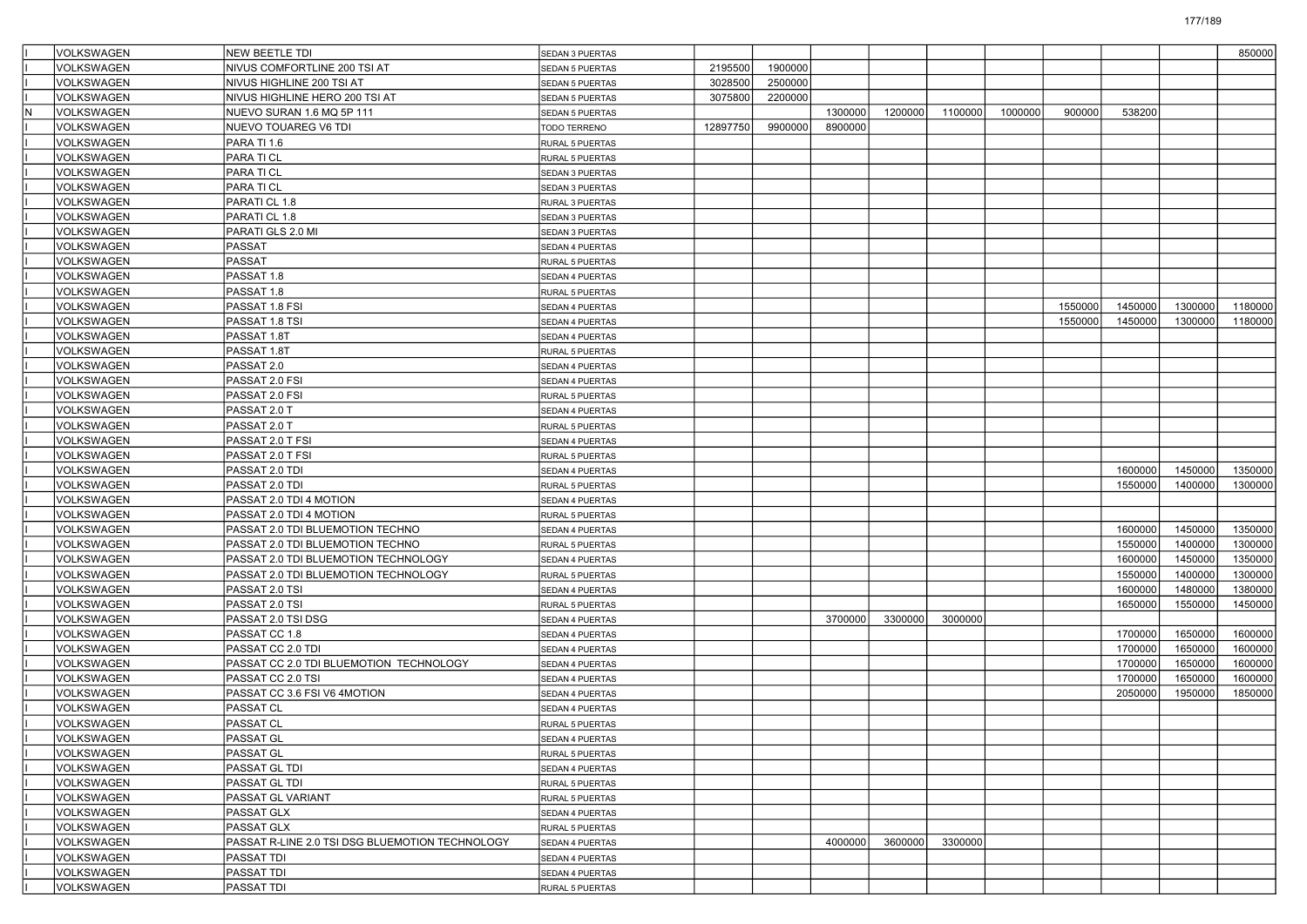| VOLKSWAGEN               | <b>NEW BEETLE TDI</b>                           | SEDAN 3 PUERTAS        |          |         |         |         |         |         |         |         |         | 850000  |
|--------------------------|-------------------------------------------------|------------------------|----------|---------|---------|---------|---------|---------|---------|---------|---------|---------|
| VOLKSWAGEN               | NIVUS COMFORTLINE 200 TSI AT                    | <b>SEDAN 5 PUERTAS</b> | 2195500  | 1900000 |         |         |         |         |         |         |         |         |
| VOLKSWAGEN               | NIVUS HIGHLINE 200 TSI AT                       | SEDAN 5 PUERTAS        | 3028500  | 2500000 |         |         |         |         |         |         |         |         |
| <b>VOLKSWAGEN</b>        | NIVUS HIGHLINE HERO 200 TSI AT                  | <b>SEDAN 5 PUERTAS</b> | 3075800  | 2200000 |         |         |         |         |         |         |         |         |
| VOLKSWAGEN               | NUEVO SURAN 1.6 MQ 5P 111                       | <b>SEDAN 5 PUERTAS</b> |          |         | 1300000 | 1200000 | 1100000 | 1000000 | 900000  | 538200  |         |         |
| VOLKSWAGEN               | NUEVO TOUAREG V6 TDI                            | TODO TERRENO           | 12897750 | 9900000 | 8900000 |         |         |         |         |         |         |         |
| VOLKSWAGEN               | PARA TI 1.6                                     | RURAL 5 PUERTAS        |          |         |         |         |         |         |         |         |         |         |
| VOLKSWAGEN               | PARA TI CL                                      | RURAL 5 PUERTAS        |          |         |         |         |         |         |         |         |         |         |
| VOLKSWAGEN               | PARA TI CL                                      | SEDAN 3 PUERTAS        |          |         |         |         |         |         |         |         |         |         |
| VOLKSWAGEN               | PARA TI CL                                      | SEDAN 3 PUERTAS        |          |         |         |         |         |         |         |         |         |         |
| VOLKSWAGEN               | PARATI CL 1.8                                   | RURAL 3 PUERTAS        |          |         |         |         |         |         |         |         |         |         |
| VOLKSWAGEN               | PARATI CL 1.8                                   | SEDAN 3 PUERTAS        |          |         |         |         |         |         |         |         |         |         |
| VOLKSWAGEN               | PARATI GLS 2.0 MI                               | SEDAN 3 PUERTAS        |          |         |         |         |         |         |         |         |         |         |
| VOLKSWAGEN               | <b>PASSAT</b>                                   | SEDAN 4 PUERTAS        |          |         |         |         |         |         |         |         |         |         |
| VOLKSWAGEN               | <b>PASSAT</b>                                   | RURAL 5 PUERTAS        |          |         |         |         |         |         |         |         |         |         |
| VOLKSWAGEN               | PASSAT 1.8                                      | SEDAN 4 PUERTAS        |          |         |         |         |         |         |         |         |         |         |
| VOLKSWAGEN               | PASSAT 1.8                                      | RURAL 5 PUERTAS        |          |         |         |         |         |         |         |         |         |         |
| VOLKSWAGEN               | PASSAT 1.8 FSI                                  | SEDAN 4 PUERTAS        |          |         |         |         |         |         | 1550000 | 1450000 | 1300000 | 1180000 |
| VOLKSWAGEN               | PASSAT 1.8 TSI                                  | SEDAN 4 PUERTAS        |          |         |         |         |         |         | 1550000 | 1450000 | 1300000 | 1180000 |
| VOLKSWAGEN               | PASSAT 1.8T                                     | SEDAN 4 PUERTAS        |          |         |         |         |         |         |         |         |         |         |
| VOLKSWAGEN               | PASSAT 1.8T                                     | RURAL 5 PUERTAS        |          |         |         |         |         |         |         |         |         |         |
| VOLKSWAGEN               | PASSAT 2.0                                      | SEDAN 4 PUERTAS        |          |         |         |         |         |         |         |         |         |         |
| VOLKSWAGEN               | PASSAT 2.0 FSI                                  | SEDAN 4 PUERTAS        |          |         |         |         |         |         |         |         |         |         |
| VOLKSWAGEN               | PASSAT 2.0 FSI                                  | RURAL 5 PUERTAS        |          |         |         |         |         |         |         |         |         |         |
| VOLKSWAGEN               | PASSAT 2.0 T                                    | SEDAN 4 PUERTAS        |          |         |         |         |         |         |         |         |         |         |
| VOLKSWAGEN               | PASSAT 2.0 T                                    | RURAL 5 PUERTAS        |          |         |         |         |         |         |         |         |         |         |
| VOLKSWAGEN               | PASSAT 2.0 T FSI                                | SEDAN 4 PUERTAS        |          |         |         |         |         |         |         |         |         |         |
| VOLKSWAGEN               | PASSAT 2.0 T FSI                                | RURAL 5 PUERTAS        |          |         |         |         |         |         |         |         |         |         |
| VOLKSWAGEN               | PASSAT 2.0 TDI                                  | SEDAN 4 PUERTAS        |          |         |         |         |         |         |         | 1600000 | 1450000 | 1350000 |
| VOLKSWAGEN               | PASSAT 2.0 TDI                                  | RURAL 5 PUERTAS        |          |         |         |         |         |         |         | 1550000 | 1400000 | 1300000 |
| VOLKSWAGEN               | PASSAT 2.0 TDI 4 MOTION                         | SEDAN 4 PUERTAS        |          |         |         |         |         |         |         |         |         |         |
|                          | PASSAT 2.0 TDI 4 MOTION                         |                        |          |         |         |         |         |         |         |         |         |         |
| VOLKSWAGEN<br>VOLKSWAGEN |                                                 | RURAL 5 PUERTAS        |          |         |         |         |         |         |         | 1600000 | 1450000 | 1350000 |
|                          | PASSAT 2.0 TDI BLUEMOTION TECHNO                | SEDAN 4 PUERTAS        |          |         |         |         |         |         |         |         | 1400000 | 1300000 |
| VOLKSWAGEN               | PASSAT 2.0 TDI BLUEMOTION TECHNO                | RURAL 5 PUERTAS        |          |         |         |         |         |         |         | 1550000 |         |         |
| VOLKSWAGEN               | PASSAT 2.0 TDI BLUEMOTION TECHNOLOGY            | SEDAN 4 PUERTAS        |          |         |         |         |         |         |         | 1600000 | 1450000 | 1350000 |
| VOLKSWAGEN               | PASSAT 2.0 TDI BLUEMOTION TECHNOLOGY            | RURAL 5 PUERTAS        |          |         |         |         |         |         |         | 1550000 | 1400000 | 1300000 |
| VOLKSWAGEN               | PASSAT 2.0 TSI                                  | SEDAN 4 PUERTAS        |          |         |         |         |         |         |         | 1600000 | 1480000 | 1380000 |
| VOLKSWAGEN               | PASSAT 2.0 TSI                                  | RURAL 5 PUERTAS        |          |         |         |         |         |         |         | 1650000 | 1550000 | 1450000 |
| VOLKSWAGEN               | PASSAT 2.0 TSI DSG                              | SEDAN 4 PUERTAS        |          |         | 3700000 | 3300000 | 3000000 |         |         |         |         |         |
| VOLKSWAGEN               | PASSAT CC 1.8                                   | SEDAN 4 PUERTAS        |          |         |         |         |         |         |         | 1700000 | 1650000 | 1600000 |
| VOLKSWAGEN               | PASSAT CC 2.0 TDI                               | SEDAN 4 PUERTAS        |          |         |         |         |         |         |         | 1700000 | 1650000 | 1600000 |
| VOLKSWAGEN               | PASSAT CC 2.0 TDI BLUEMOTION TECHNOLOGY         | SEDAN 4 PUERTAS        |          |         |         |         |         |         |         | 1700000 | 1650000 | 1600000 |
| VOLKSWAGEN               | PASSAT CC 2.0 TSI                               | SEDAN 4 PUERTAS        |          |         |         |         |         |         |         | 1700000 | 1650000 | 1600000 |
| VOLKSWAGEN               | PASSAT CC 3.6 FSI V6 4MOTION                    | SEDAN 4 PUERTAS        |          |         |         |         |         |         |         | 2050000 | 1950000 | 1850000 |
| VOLKSWAGEN               | PASSAT CL                                       | SEDAN 4 PUERTAS        |          |         |         |         |         |         |         |         |         |         |
| VOLKSWAGEN               | PASSAT CL                                       | RURAL 5 PUERTAS        |          |         |         |         |         |         |         |         |         |         |
| VOLKSWAGEN               | PASSAT GL                                       | SEDAN 4 PUERTAS        |          |         |         |         |         |         |         |         |         |         |
| VOLKSWAGEN               | PASSAT GL                                       | RURAL 5 PUERTAS        |          |         |         |         |         |         |         |         |         |         |
| VOLKSWAGEN               | PASSAT GL TDI                                   | SEDAN 4 PUERTAS        |          |         |         |         |         |         |         |         |         |         |
| VOLKSWAGEN               | PASSAT GL TDI                                   | RURAL 5 PUERTAS        |          |         |         |         |         |         |         |         |         |         |
| VOLKSWAGEN               | PASSAT GL VARIANT                               | RURAL 5 PUERTAS        |          |         |         |         |         |         |         |         |         |         |
| VOLKSWAGEN               | PASSAT GLX                                      | SEDAN 4 PUERTAS        |          |         |         |         |         |         |         |         |         |         |
| VOLKSWAGEN               | PASSAT GLX                                      | RURAL 5 PUERTAS        |          |         |         |         |         |         |         |         |         |         |
| VOLKSWAGEN               | PASSAT R-LINE 2.0 TSI DSG BLUEMOTION TECHNOLOGY | SEDAN 4 PUERTAS        |          |         | 4000000 | 3600000 | 3300000 |         |         |         |         |         |
| VOLKSWAGEN               | PASSAT TDI                                      | SEDAN 4 PUERTAS        |          |         |         |         |         |         |         |         |         |         |
| VOLKSWAGEN               | PASSAT TDI                                      | SEDAN 4 PUERTAS        |          |         |         |         |         |         |         |         |         |         |
| VOLKSWAGEN               | PASSAT TDI                                      | RURAL 5 PUERTAS        |          |         |         |         |         |         |         |         |         |         |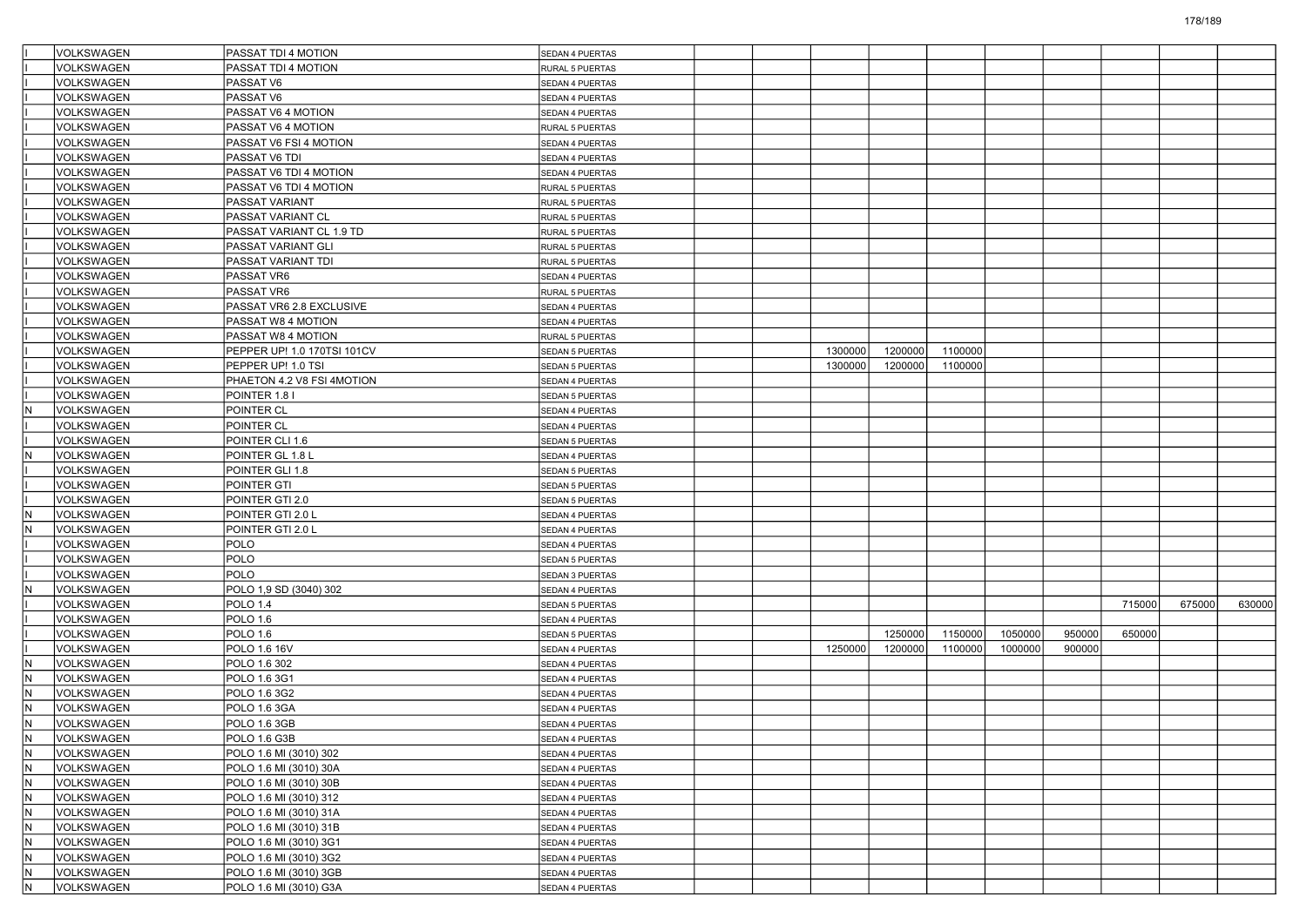|                         | VOLKSWAGEN                      | PASSAT TDI 4 MOTION                    | SEDAN 4 PUERTAS                    |         |         |         |         |        |        |        |        |
|-------------------------|---------------------------------|----------------------------------------|------------------------------------|---------|---------|---------|---------|--------|--------|--------|--------|
|                         | <b>VOLKSWAGEN</b>               | PASSAT TDI 4 MOTION                    | RURAL 5 PUERTAS                    |         |         |         |         |        |        |        |        |
|                         | VOLKSWAGEN                      | PASSAT V6                              | SEDAN 4 PUERTAS                    |         |         |         |         |        |        |        |        |
|                         | VOLKSWAGEN                      | PASSAT V6                              | SEDAN 4 PUERTAS                    |         |         |         |         |        |        |        |        |
|                         | VOLKSWAGEN                      | PASSAT V6 4 MOTION                     | SEDAN 4 PUERTAS                    |         |         |         |         |        |        |        |        |
|                         | VOLKSWAGEN                      | PASSAT V6 4 MOTION                     | RURAL 5 PUERTAS                    |         |         |         |         |        |        |        |        |
|                         | VOLKSWAGEN                      | PASSAT V6 FSI 4 MOTION                 | SEDAN 4 PUERTAS                    |         |         |         |         |        |        |        |        |
|                         | VOLKSWAGEN                      | PASSAT V6 TDI                          | SEDAN 4 PUERTAS                    |         |         |         |         |        |        |        |        |
|                         | VOLKSWAGEN                      | PASSAT V6 TDI 4 MOTION                 | SEDAN 4 PUERTAS                    |         |         |         |         |        |        |        |        |
|                         | VOLKSWAGEN                      | PASSAT V6 TDI 4 MOTION                 | RURAL 5 PUERTAS                    |         |         |         |         |        |        |        |        |
|                         | VOLKSWAGEN                      | PASSAT VARIANT                         | RURAL 5 PUERTAS                    |         |         |         |         |        |        |        |        |
|                         | VOLKSWAGEN                      | PASSAT VARIANT CL                      | <b>RURAL 5 PUERTAS</b>             |         |         |         |         |        |        |        |        |
|                         | VOLKSWAGEN                      | PASSAT VARIANT CL 1.9 TD               | RURAL 5 PUERTAS                    |         |         |         |         |        |        |        |        |
|                         | VOLKSWAGEN                      | PASSAT VARIANT GLI                     | RURAL 5 PUERTAS                    |         |         |         |         |        |        |        |        |
|                         | VOLKSWAGEN                      | PASSAT VARIANT TDI                     | RURAL 5 PUERTAS                    |         |         |         |         |        |        |        |        |
|                         | VOLKSWAGEN                      | PASSAT VR6                             | SEDAN 4 PUERTAS                    |         |         |         |         |        |        |        |        |
|                         | VOLKSWAGEN                      | PASSAT VR6                             | RURAL 5 PUERTAS                    |         |         |         |         |        |        |        |        |
|                         | VOLKSWAGEN                      | PASSAT VR6 2.8 EXCLUSIVE               | SEDAN 4 PUERTAS                    |         |         |         |         |        |        |        |        |
|                         | VOLKSWAGEN                      | PASSAT W8 4 MOTION                     | SEDAN 4 PUERTAS                    |         |         |         |         |        |        |        |        |
|                         | VOLKSWAGEN                      | PASSAT W8 4 MOTION                     | RURAL 5 PUERTAS                    |         |         |         |         |        |        |        |        |
|                         | VOLKSWAGEN                      | PEPPER UP! 1.0 170TSI 101CV            | SEDAN 5 PUERTAS                    | 1300000 | 1200000 | 1100000 |         |        |        |        |        |
|                         | <b>VOLKSWAGEN</b>               | PEPPER UP! 1.0 TSI                     | SEDAN 5 PUERTAS                    | 1300000 | 1200000 | 1100000 |         |        |        |        |        |
|                         | VOLKSWAGEN                      | PHAETON 4.2 V8 FSI 4MOTION             | SEDAN 4 PUERTAS                    |         |         |         |         |        |        |        |        |
| lΝ                      | VOLKSWAGEN                      | POINTER 1.8 I                          | SEDAN 5 PUERTAS                    |         |         |         |         |        |        |        |        |
|                         | VOLKSWAGEN                      | POINTER CL                             | SEDAN 4 PUERTAS                    |         |         |         |         |        |        |        |        |
|                         | VOLKSWAGEN<br><b>VOLKSWAGEN</b> | POINTER CL                             | SEDAN 4 PUERTAS                    |         |         |         |         |        |        |        |        |
| İΝ                      | VOLKSWAGEN                      | POINTER CLI 1.6                        | SEDAN 5 PUERTAS                    |         |         |         |         |        |        |        |        |
|                         | VOLKSWAGEN                      | POINTER GL 1.8 L                       | SEDAN 4 PUERTAS                    |         |         |         |         |        |        |        |        |
|                         |                                 | POINTER GLI 1.8                        | SEDAN 5 PUERTAS                    |         |         |         |         |        |        |        |        |
|                         | VOLKSWAGEN<br>VOLKSWAGEN        | POINTER GTI<br>POINTER GTI 2.0         | SEDAN 5 PUERTAS                    |         |         |         |         |        |        |        |        |
| İ٨                      | VOLKSWAGEN                      |                                        | SEDAN 5 PUERTAS                    |         |         |         |         |        |        |        |        |
| İΝ                      | VOLKSWAGEN                      | POINTER GTI 2.0 L<br>POINTER GTI 2.0 L | SEDAN 4 PUERTAS<br>SEDAN 4 PUERTAS |         |         |         |         |        |        |        |        |
|                         | VOLKSWAGEN                      | <b>POLO</b>                            |                                    |         |         |         |         |        |        |        |        |
|                         | VOLKSWAGEN                      | POLO                                   | SEDAN 4 PUERTAS                    |         |         |         |         |        |        |        |        |
|                         | VOLKSWAGEN                      | POLO                                   | SEDAN 5 PUERTAS<br>SEDAN 3 PUERTAS |         |         |         |         |        |        |        |        |
| İΝ                      | VOLKSWAGEN                      | POLO 1,9 SD (3040) 302                 |                                    |         |         |         |         |        |        |        |        |
|                         | VOLKSWAGEN                      | <b>POLO 1.4</b>                        | SEDAN 4 PUERTAS<br>SEDAN 5 PUERTAS |         |         |         |         |        | 715000 | 675000 | 630000 |
|                         | VOLKSWAGEN                      | POLO 1.6                               | SEDAN 4 PUERTAS                    |         |         |         |         |        |        |        |        |
|                         | VOLKSWAGEN                      | <b>POLO 1.6</b>                        | SEDAN 5 PUERTAS                    |         | 1250000 | 1150000 | 1050000 | 950000 | 650000 |        |        |
|                         | VOLKSWAGEN                      | POLO 1.6 16V                           | SEDAN 4 PUERTAS                    | 1250000 | 1200000 | 1100000 | 1000000 | 900000 |        |        |        |
| N                       | VOLKSWAGEN                      | POLO 1.6 302                           | SEDAN 4 PUERTAS                    |         |         |         |         |        |        |        |        |
| N)                      | VOLKSWAGEN                      | POLO 1.6 3G1                           | SEDAN 4 PUERTAS                    |         |         |         |         |        |        |        |        |
| ١N                      | VOLKSWAGEN                      | POLO 1.6 3G2                           | SEDAN 4 PUERTAS                    |         |         |         |         |        |        |        |        |
| İΝ                      | VOLKSWAGEN                      | POLO 1.6 3GA                           | SEDAN 4 PUERTAS                    |         |         |         |         |        |        |        |        |
| N)                      | VOLKSWAGEN                      | POLO 1.6 3GB                           | SEDAN 4 PUERTAS                    |         |         |         |         |        |        |        |        |
| $\overline{N}$          | VOLKSWAGEN                      | POLO 1.6 G3B                           | SEDAN 4 PUERTAS                    |         |         |         |         |        |        |        |        |
| IN.                     | VOLKSWAGEN                      | POLO 1.6 MI (3010) 302                 | SEDAN 4 PUERTAS                    |         |         |         |         |        |        |        |        |
| IN.                     | VOLKSWAGEN                      | POLO 1.6 MI (3010) 30A                 | SEDAN 4 PUERTAS                    |         |         |         |         |        |        |        |        |
| IN.                     | VOLKSWAGEN                      | POLO 1.6 MI (3010) 30B                 | SEDAN 4 PUERTAS                    |         |         |         |         |        |        |        |        |
| N                       | VOLKSWAGEN                      | POLO 1.6 MI (3010) 312                 | SEDAN 4 PUERTAS                    |         |         |         |         |        |        |        |        |
| N                       | VOLKSWAGEN                      | POLO 1.6 MI (3010) 31A                 | SEDAN 4 PUERTAS                    |         |         |         |         |        |        |        |        |
| N                       | VOLKSWAGEN                      | POLO 1.6 MI (3010) 31B                 | SEDAN 4 PUERTAS                    |         |         |         |         |        |        |        |        |
| IN.                     | VOLKSWAGEN                      | POLO 1.6 MI (3010) 3G1                 | SEDAN 4 PUERTAS                    |         |         |         |         |        |        |        |        |
| IN.                     | VOLKSWAGEN                      | POLO 1.6 MI (3010) 3G2                 | SEDAN 4 PUERTAS                    |         |         |         |         |        |        |        |        |
| N                       | VOLKSWAGEN                      | POLO 1.6 MI (3010) 3GB                 | SEDAN 4 PUERTAS                    |         |         |         |         |        |        |        |        |
| $\overline{\mathsf{N}}$ | VOLKSWAGEN                      | POLO 1.6 MI (3010) G3A                 | SEDAN 4 PUERTAS                    |         |         |         |         |        |        |        |        |
|                         |                                 |                                        |                                    |         |         |         |         |        |        |        |        |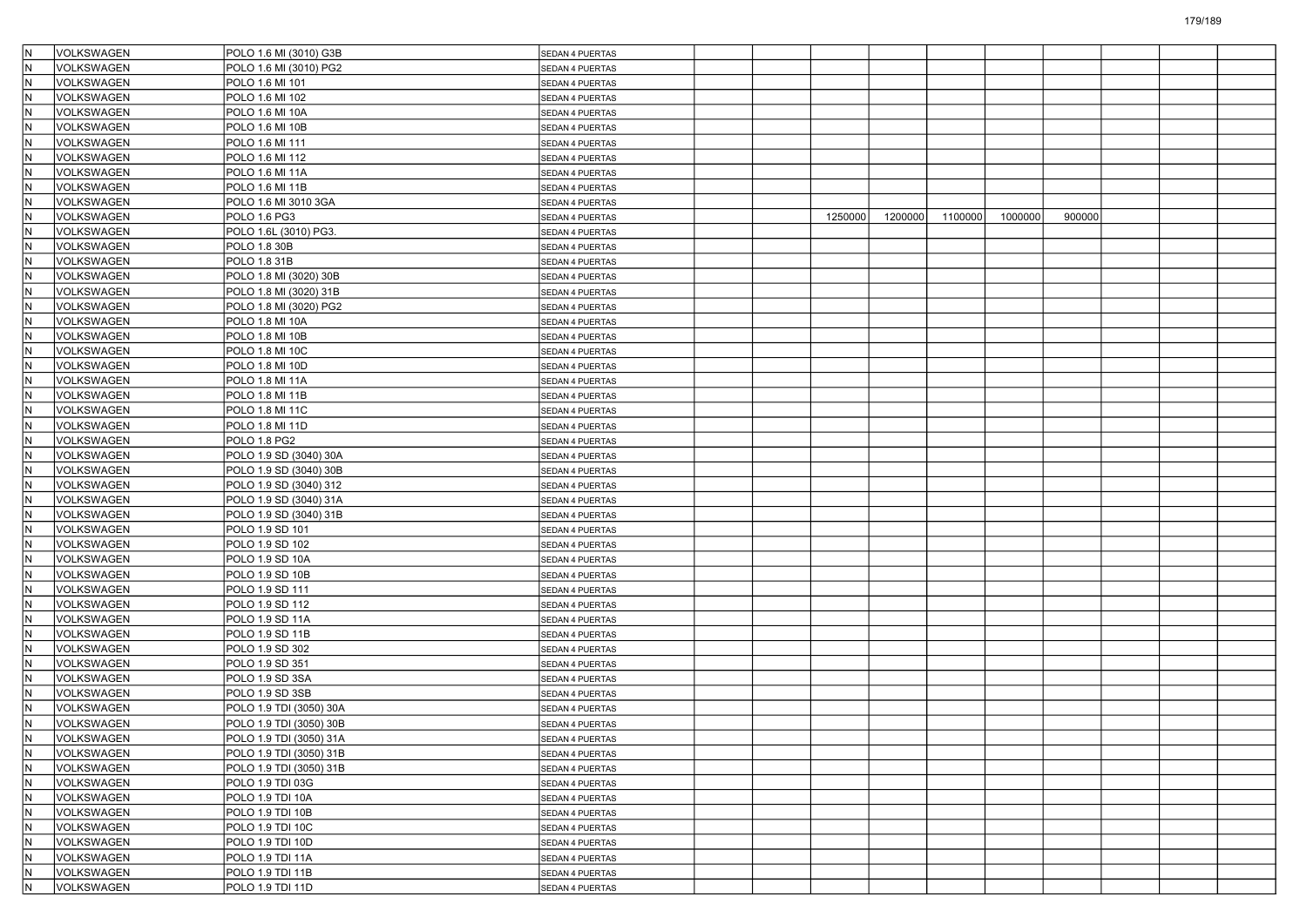| IN.                     | VOLKSWAGEN        | POLO 1.6 MI (3010) G3B  | SEDAN 4 PUERTAS        |  |         |         |         |         |        |  |  |
|-------------------------|-------------------|-------------------------|------------------------|--|---------|---------|---------|---------|--------|--|--|
| lΝ                      | <b>VOLKSWAGEN</b> | POLO 1.6 MI (3010) PG2  | SEDAN 4 PUERTAS        |  |         |         |         |         |        |  |  |
| $\overline{\mathsf{N}}$ | VOLKSWAGEN        | POLO 1.6 MI 101         | SEDAN 4 PUERTAS        |  |         |         |         |         |        |  |  |
| İ٨                      | VOLKSWAGEN        | POLO 1.6 MI 102         | SEDAN 4 PUERTAS        |  |         |         |         |         |        |  |  |
| N                       | VOLKSWAGEN        | POLO 1.6 MI 10A         | SEDAN 4 PUERTAS        |  |         |         |         |         |        |  |  |
| IN.                     | VOLKSWAGEN        | POLO 1.6 MI 10B         | SEDAN 4 PUERTAS        |  |         |         |         |         |        |  |  |
| İΝ                      | <b>VOLKSWAGEN</b> | POLO 1.6 MI 111         | SEDAN 4 PUERTAS        |  |         |         |         |         |        |  |  |
| $\overline{\mathsf{N}}$ | VOLKSWAGEN        | POLO 1.6 MI 112         | SEDAN 4 PUERTAS        |  |         |         |         |         |        |  |  |
| İ٨                      | VOLKSWAGEN        | POLO 1.6 MI 11A         | SEDAN 4 PUERTAS        |  |         |         |         |         |        |  |  |
| IN.                     | VOLKSWAGEN        | POLO 1.6 MI 11B         | SEDAN 4 PUERTAS        |  |         |         |         |         |        |  |  |
| IN.                     | VOLKSWAGEN        | POLO 1.6 MI 3010 3GA    | SEDAN 4 PUERTAS        |  |         |         |         |         |        |  |  |
| İΝ                      | <b>VOLKSWAGEN</b> | POLO 1.6 PG3            | SEDAN 4 PUERTAS        |  | 1250000 | 1200000 | 1100000 | 1000000 | 900000 |  |  |
| $\overline{\mathsf{N}}$ | VOLKSWAGEN        | POLO 1.6L (3010) PG3.   | SEDAN 4 PUERTAS        |  |         |         |         |         |        |  |  |
| N                       | VOLKSWAGEN        | POLO 1.8 30B            | SEDAN 4 PUERTAS        |  |         |         |         |         |        |  |  |
| IN.                     | VOLKSWAGEN        | POLO 1.8 31B            | SEDAN 4 PUERTAS        |  |         |         |         |         |        |  |  |
| IN.                     | VOLKSWAGEN        | POLO 1.8 MI (3020) 30B  |                        |  |         |         |         |         |        |  |  |
| ١N                      | <b>VOLKSWAGEN</b> | POLO 1.8 MI (3020) 31B  | SEDAN 4 PUERTAS        |  |         |         |         |         |        |  |  |
| $\overline{\mathsf{N}}$ | VOLKSWAGEN        |                         | SEDAN 4 PUERTAS        |  |         |         |         |         |        |  |  |
|                         |                   | POLO 1.8 MI (3020) PG2  | SEDAN 4 PUERTAS        |  |         |         |         |         |        |  |  |
| N<br>IN.                | VOLKSWAGEN        | POLO 1.8 MI 10A         | SEDAN 4 PUERTAS        |  |         |         |         |         |        |  |  |
|                         | VOLKSWAGEN        | POLO 1.8 MI 10B         | SEDAN 4 PUERTAS        |  |         |         |         |         |        |  |  |
| IN.                     | VOLKSWAGEN        | POLO 1.8 MI 10C         | SEDAN 4 PUERTAS        |  |         |         |         |         |        |  |  |
| İΝ                      | <b>VOLKSWAGEN</b> | POLO 1.8 MI 10D         | SEDAN 4 PUERTAS        |  |         |         |         |         |        |  |  |
| $\overline{\mathsf{N}}$ | VOLKSWAGEN        | POLO 1.8 MI 11A         | <b>SEDAN 4 PUERTAS</b> |  |         |         |         |         |        |  |  |
| N                       | VOLKSWAGEN        | POLO 1.8 MI 11B         | <b>SEDAN 4 PUERTAS</b> |  |         |         |         |         |        |  |  |
| $\overline{\mathsf{N}}$ | <b>VOLKSWAGEN</b> | POLO 1.8 MI 11C         | SEDAN 4 PUERTAS        |  |         |         |         |         |        |  |  |
| IN.                     | VOLKSWAGEN        | POLO 1.8 MI 11D         | SEDAN 4 PUERTAS        |  |         |         |         |         |        |  |  |
| İΝ                      | <b>VOLKSWAGEN</b> | POLO 1.8 PG2            | SEDAN 4 PUERTAS        |  |         |         |         |         |        |  |  |
| $\overline{\mathsf{N}}$ | VOLKSWAGEN        | POLO 1.9 SD (3040) 30A  | SEDAN 4 PUERTAS        |  |         |         |         |         |        |  |  |
| N                       | VOLKSWAGEN        | POLO 1.9 SD (3040) 30B  | <b>SEDAN 4 PUERTAS</b> |  |         |         |         |         |        |  |  |
| $\overline{\mathsf{N}}$ | VOLKSWAGEN        | POLO 1.9 SD (3040) 312  | SEDAN 4 PUERTAS        |  |         |         |         |         |        |  |  |
| IN.                     | VOLKSWAGEN        | POLO 1.9 SD (3040) 31A  | SEDAN 4 PUERTAS        |  |         |         |         |         |        |  |  |
| İΝ                      | <b>VOLKSWAGEN</b> | POLO 1.9 SD (3040) 31B  | SEDAN 4 PUERTAS        |  |         |         |         |         |        |  |  |
| $\overline{\mathsf{N}}$ | VOLKSWAGEN        | POLO 1.9 SD 101         | SEDAN 4 PUERTAS        |  |         |         |         |         |        |  |  |
| N                       | VOLKSWAGEN        | POLO 1.9 SD 102         | SEDAN 4 PUERTAS        |  |         |         |         |         |        |  |  |
| N                       | VOLKSWAGEN        | POLO 1.9 SD 10A         | SEDAN 4 PUERTAS        |  |         |         |         |         |        |  |  |
| IN.                     | VOLKSWAGEN        | POLO 1.9 SD 10B         | SEDAN 4 PUERTAS        |  |         |         |         |         |        |  |  |
| İΝ                      | <b>VOLKSWAGEN</b> | POLO 1.9 SD 111         | SEDAN 4 PUERTAS        |  |         |         |         |         |        |  |  |
| $\overline{\mathsf{N}}$ | VOLKSWAGEN        | POLO 1.9 SD 112         | SEDAN 4 PUERTAS        |  |         |         |         |         |        |  |  |
| İΝ                      | VOLKSWAGEN        | POLO 1.9 SD 11A         | SEDAN 4 PUERTAS        |  |         |         |         |         |        |  |  |
| N                       | VOLKSWAGEN        | POLO 1.9 SD 11B         | SEDAN 4 PUERTAS        |  |         |         |         |         |        |  |  |
| IN.                     | VOLKSWAGEN        | POLO 1.9 SD 302         | SEDAN 4 PUERTAS        |  |         |         |         |         |        |  |  |
| lΝ                      | <b>VOLKSWAGEN</b> | POLO 1.9 SD 351         | SEDAN 4 PUERTAS        |  |         |         |         |         |        |  |  |
| $\overline{\mathsf{N}}$ | VOLKSWAGEN        | POLO 1.9 SD 3SA         | SEDAN 4 PUERTAS        |  |         |         |         |         |        |  |  |
| İΝ                      | VOLKSWAGEN        | POLO 1.9 SD 3SB         | SEDAN 4 PUERTAS        |  |         |         |         |         |        |  |  |
| <u>N</u>                | VOLKSWAGEN        | POLO 1.9 TDI (3050) 30A | SEDAN 4 PUERTAS        |  |         |         |         |         |        |  |  |
| IN.                     | VOLKSWAGEN        | POLO 1.9 TDI (3050) 30B | SEDAN 4 PUERTAS        |  |         |         |         |         |        |  |  |
| $\overline{N}$          | VOLKSWAGEN        | POLO 1.9 TDI (3050) 31A | SEDAN 4 PUERTAS        |  |         |         |         |         |        |  |  |
| IN.                     | VOLKSWAGEN        | POLO 1.9 TDI (3050) 31B |                        |  |         |         |         |         |        |  |  |
| IN.                     | VOLKSWAGEN        | POLO 1.9 TDI (3050) 31B | SEDAN 4 PUERTAS        |  |         |         |         |         |        |  |  |
| IN.                     | VOLKSWAGEN        | POLO 1.9 TDI 03G        | SEDAN 4 PUERTAS        |  |         |         |         |         |        |  |  |
| IN.                     |                   |                         | SEDAN 4 PUERTAS        |  |         |         |         |         |        |  |  |
| IN.                     | VOLKSWAGEN        | POLO 1.9 TDI 10A        | SEDAN 4 PUERTAS        |  |         |         |         |         |        |  |  |
|                         | VOLKSWAGEN        | POLO 1.9 TDI 10B        | SEDAN 4 PUERTAS        |  |         |         |         |         |        |  |  |
| N                       | VOLKSWAGEN        | POLO 1.9 TDI 10C        | SEDAN 4 PUERTAS        |  |         |         |         |         |        |  |  |
| İΝ                      | VOLKSWAGEN        | POLO 1.9 TDI 10D        | SEDAN 4 PUERTAS        |  |         |         |         |         |        |  |  |
| IN.                     | VOLKSWAGEN        | POLO 1.9 TDI 11A        | SEDAN 4 PUERTAS        |  |         |         |         |         |        |  |  |
| IN.                     | <b>VOLKSWAGEN</b> | POLO 1.9 TDI 11B        | SEDAN 4 PUERTAS        |  |         |         |         |         |        |  |  |
| IN.                     | VOLKSWAGEN        | POLO 1.9 TDI 11D        | SEDAN 4 PUERTAS        |  |         |         |         |         |        |  |  |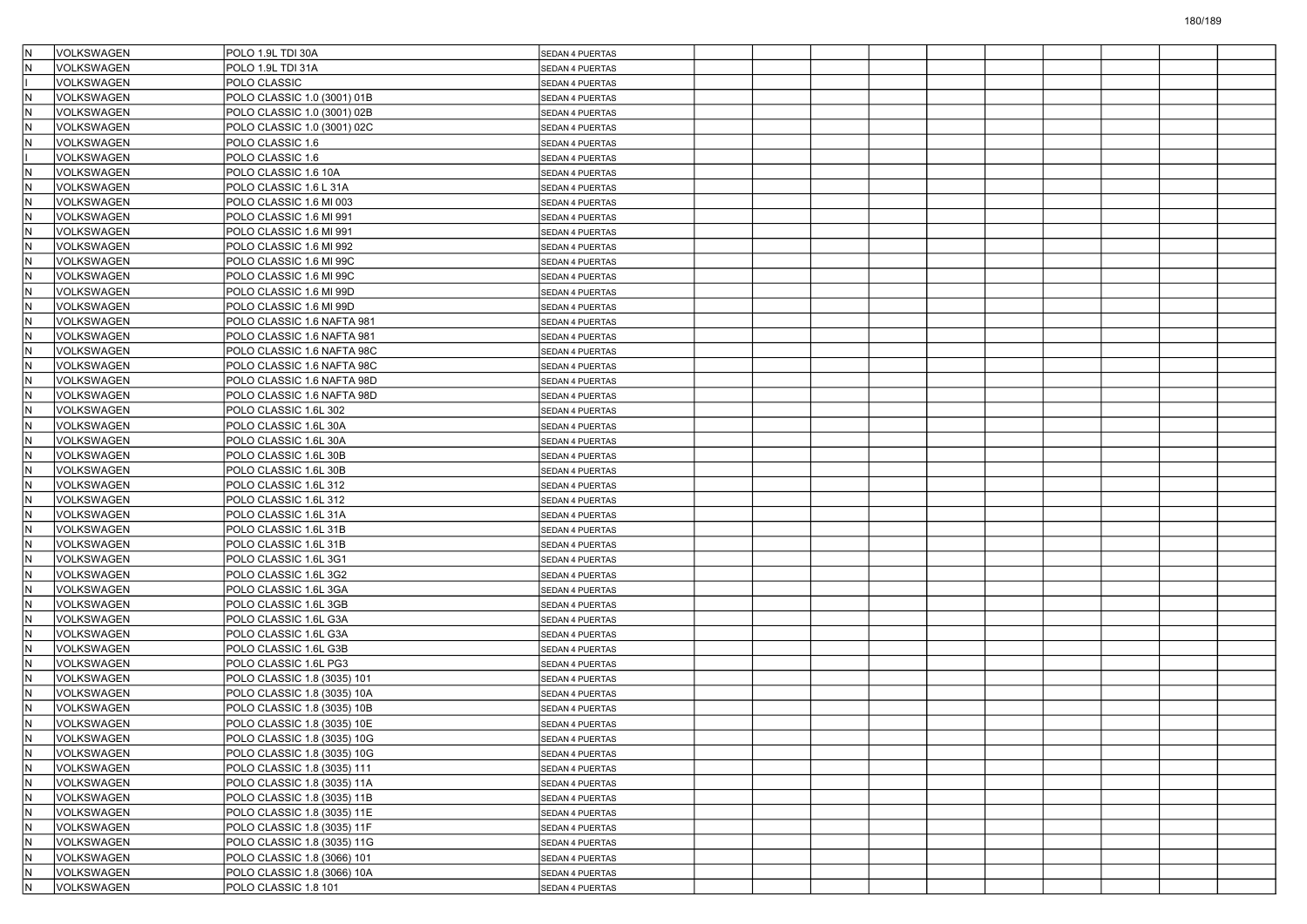| İΝ         | <b>VOLKSWAGEN</b>        | POLO 1.9L TDI 30A           | SEDAN 4 PUERTAS                    |  |  |  |  |  |
|------------|--------------------------|-----------------------------|------------------------------------|--|--|--|--|--|
| ΙN         | <b>VOLKSWAGEN</b>        | POLO 1.9L TDI 31A           | SEDAN 4 PUERTAS                    |  |  |  |  |  |
|            | <b>VOLKSWAGEN</b>        | POLO CLASSIC                | SEDAN 4 PUERTAS                    |  |  |  |  |  |
| İN         | <b>VOLKSWAGEN</b>        | POLO CLASSIC 1.0 (3001) 01B | SEDAN 4 PUERTAS                    |  |  |  |  |  |
| lN         | VOLKSWAGEN               | POLO CLASSIC 1.0 (3001) 02B | SEDAN 4 PUERTAS                    |  |  |  |  |  |
| İN         | <b>VOLKSWAGEN</b>        | POLO CLASSIC 1.0 (3001) 02C | SEDAN 4 PUERTAS                    |  |  |  |  |  |
| ΙN         | <b>VOLKSWAGEN</b>        | POLO CLASSIC 1.6            | SEDAN 4 PUERTAS                    |  |  |  |  |  |
|            | <b>VOLKSWAGEN</b>        | POLO CLASSIC 1.6            | SEDAN 4 PUERTAS                    |  |  |  |  |  |
| İN         | VOLKSWAGEN               | POLO CLASSIC 1.6 10A        | SEDAN 4 PUERTAS                    |  |  |  |  |  |
| lN         | <b>VOLKSWAGEN</b>        | POLO CLASSIC 1.6 L 31A      | SEDAN 4 PUERTAS                    |  |  |  |  |  |
| İN         | <b>VOLKSWAGEN</b>        | POLO CLASSIC 1.6 MI 003     | SEDAN 4 PUERTAS                    |  |  |  |  |  |
| lN         | <b>VOLKSWAGEN</b>        | POLO CLASSIC 1.6 MI 991     | SEDAN 4 PUERTAS                    |  |  |  |  |  |
| IN.        | <b>VOLKSWAGEN</b>        | POLO CLASSIC 1.6 MI 991     | SEDAN 4 PUERTAS                    |  |  |  |  |  |
| İN         | VOLKSWAGEN               | POLO CLASSIC 1.6 MI 992     | SEDAN 4 PUERTAS                    |  |  |  |  |  |
| lN         | VOLKSWAGEN               | POLO CLASSIC 1.6 MI 99C     | SEDAN 4 PUERTAS                    |  |  |  |  |  |
| İN         | <b>VOLKSWAGEN</b>        | POLO CLASSIC 1.6 MI 99C     | SEDAN 4 PUERTAS                    |  |  |  |  |  |
| lN         | <b>VOLKSWAGEN</b>        | POLO CLASSIC 1.6 MI 99D     | SEDAN 4 PUERTAS                    |  |  |  |  |  |
| IN.        | <b>VOLKSWAGEN</b>        | POLO CLASSIC 1.6 MI 99D     | SEDAN 4 PUERTAS                    |  |  |  |  |  |
| İN         | <b>VOLKSWAGEN</b>        | POLO CLASSIC 1.6 NAFTA 981  | SEDAN 4 PUERTAS                    |  |  |  |  |  |
| İN         | VOLKSWAGEN               | POLO CLASSIC 1.6 NAFTA 981  | SEDAN 4 PUERTAS                    |  |  |  |  |  |
| İN         | <b>VOLKSWAGEN</b>        | POLO CLASSIC 1.6 NAFTA 98C  | SEDAN 4 PUERTAS                    |  |  |  |  |  |
| ΙN         | <b>VOLKSWAGEN</b>        | POLO CLASSIC 1.6 NAFTA 98C  | SEDAN 4 PUERTAS                    |  |  |  |  |  |
| IN.        | VOLKSWAGEN               | POLO CLASSIC 1.6 NAFTA 98D  | SEDAN 4 PUERTAS                    |  |  |  |  |  |
| İN         | <b>VOLKSWAGEN</b>        | POLO CLASSIC 1.6 NAFTA 98D  | SEDAN 4 PUERTAS                    |  |  |  |  |  |
| ΙN         | <b>VOLKSWAGEN</b>        | POLO CLASSIC 1.6L 302       | SEDAN 4 PUERTAS                    |  |  |  |  |  |
| İN         | <b>VOLKSWAGEN</b>        | POLO CLASSIC 1.6L 30A       | SEDAN 4 PUERTAS                    |  |  |  |  |  |
| ΙN         | <b>VOLKSWAGEN</b>        | POLO CLASSIC 1.6L 30A       | SEDAN 4 PUERTAS                    |  |  |  |  |  |
| IN.        | <b>VOLKSWAGEN</b>        | POLO CLASSIC 1.6L 30B       | SEDAN 4 PUERTAS                    |  |  |  |  |  |
| İN         | VOLKSWAGEN               | POLO CLASSIC 1.6L 30B       | SEDAN 4 PUERTAS                    |  |  |  |  |  |
| ΙN         | <b>VOLKSWAGEN</b>        | POLO CLASSIC 1.6L 312       | SEDAN 4 PUERTAS                    |  |  |  |  |  |
| İN         | <b>VOLKSWAGEN</b>        | POLO CLASSIC 1.6L 312       | SEDAN 4 PUERTAS                    |  |  |  |  |  |
| lN         | <b>VOLKSWAGEN</b>        | POLO CLASSIC 1.6L 31A       | SEDAN 4 PUERTAS                    |  |  |  |  |  |
| IN.        | <b>VOLKSWAGEN</b>        | POLO CLASSIC 1.6L 31B       | SEDAN 4 PUERTAS                    |  |  |  |  |  |
| İN         | VOLKSWAGEN               | POLO CLASSIC 1.6L 31B       | SEDAN 4 PUERTAS                    |  |  |  |  |  |
| ΙN         | <b>VOLKSWAGEN</b>        | POLO CLASSIC 1.6L 3G1       | SEDAN 4 PUERTAS                    |  |  |  |  |  |
| İN         | <b>VOLKSWAGEN</b>        | POLO CLASSIC 1.6L 3G2       | SEDAN 4 PUERTAS                    |  |  |  |  |  |
| lN         | <b>VOLKSWAGEN</b>        | POLO CLASSIC 1.6L 3GA       | SEDAN 4 PUERTAS                    |  |  |  |  |  |
| IN.        | VOLKSWAGEN               | POLO CLASSIC 1.6L 3GB       | SEDAN 4 PUERTAS                    |  |  |  |  |  |
| İN         | <b>VOLKSWAGEN</b>        | POLO CLASSIC 1.6L G3A       | SEDAN 4 PUERTAS                    |  |  |  |  |  |
| ΙN         | <b>VOLKSWAGEN</b>        | POLO CLASSIC 1.6L G3A       | SEDAN 4 PUERTAS                    |  |  |  |  |  |
| İN         | <b>VOLKSWAGEN</b>        | POLO CLASSIC 1.6L G3B       | SEDAN 4 PUERTAS                    |  |  |  |  |  |
| ΙN         | <b>VOLKSWAGEN</b>        | POLO CLASSIC 1.6L PG3       |                                    |  |  |  |  |  |
| IN.        | VOLKSWAGEN               | POLO CLASSIC 1.8 (3035) 101 | SEDAN 4 PUERTAS<br>SEDAN 4 PUERTAS |  |  |  |  |  |
| İN         | VOLKSWAGEN               | POLO CLASSIC 1.8 (3035) 10A | SEDAN 4 PUERTAS                    |  |  |  |  |  |
| ΙN         | <b>VOLKSWAGEN</b>        | POLO CLASSIC 1.8 (3035) 10B | <b>SEDAN 4 PUERTAS</b>             |  |  |  |  |  |
| IN.        | <b>VOLKSWAGEN</b>        | POLO CLASSIC 1.8 (3035) 10E |                                    |  |  |  |  |  |
| N          | VOLKSWAGEN               | POLO CLASSIC 1.8 (3035) 10G | SEDAN 4 PUERTAS                    |  |  |  |  |  |
|            |                          |                             | SEDAN 4 PUERTAS                    |  |  |  |  |  |
| IN.<br>İΝ  | VOLKSWAGEN               | POLO CLASSIC 1.8 (3035) 10G | SEDAN 4 PUERTAS                    |  |  |  |  |  |
|            | VOLKSWAGEN<br>VOLKSWAGEN | POLO CLASSIC 1.8 (3035) 111 | SEDAN 4 PUERTAS                    |  |  |  |  |  |
| İN.<br>İN. | VOLKSWAGEN               | POLO CLASSIC 1.8 (3035) 11A | SEDAN 4 PUERTAS                    |  |  |  |  |  |
|            |                          | POLO CLASSIC 1.8 (3035) 11B | SEDAN 4 PUERTAS                    |  |  |  |  |  |
| IN.        | VOLKSWAGEN               | POLO CLASSIC 1.8 (3035) 11E | SEDAN 4 PUERTAS                    |  |  |  |  |  |
| IN.        | VOLKSWAGEN<br>VOLKSWAGEN | POLO CLASSIC 1.8 (3035) 11F | SEDAN 4 PUERTAS                    |  |  |  |  |  |
| İN.        |                          | POLO CLASSIC 1.8 (3035) 11G | SEDAN 4 PUERTAS                    |  |  |  |  |  |
| İΝ<br>İΝ   | VOLKSWAGEN<br>VOLKSWAGEN | POLO CLASSIC 1.8 (3066) 101 | SEDAN 4 PUERTAS                    |  |  |  |  |  |
|            |                          | POLO CLASSIC 1.8 (3066) 10A | SEDAN 4 PUERTAS                    |  |  |  |  |  |
| IN.        | VOLKSWAGEN               | POLO CLASSIC 1.8 101        | SEDAN 4 PUERTAS                    |  |  |  |  |  |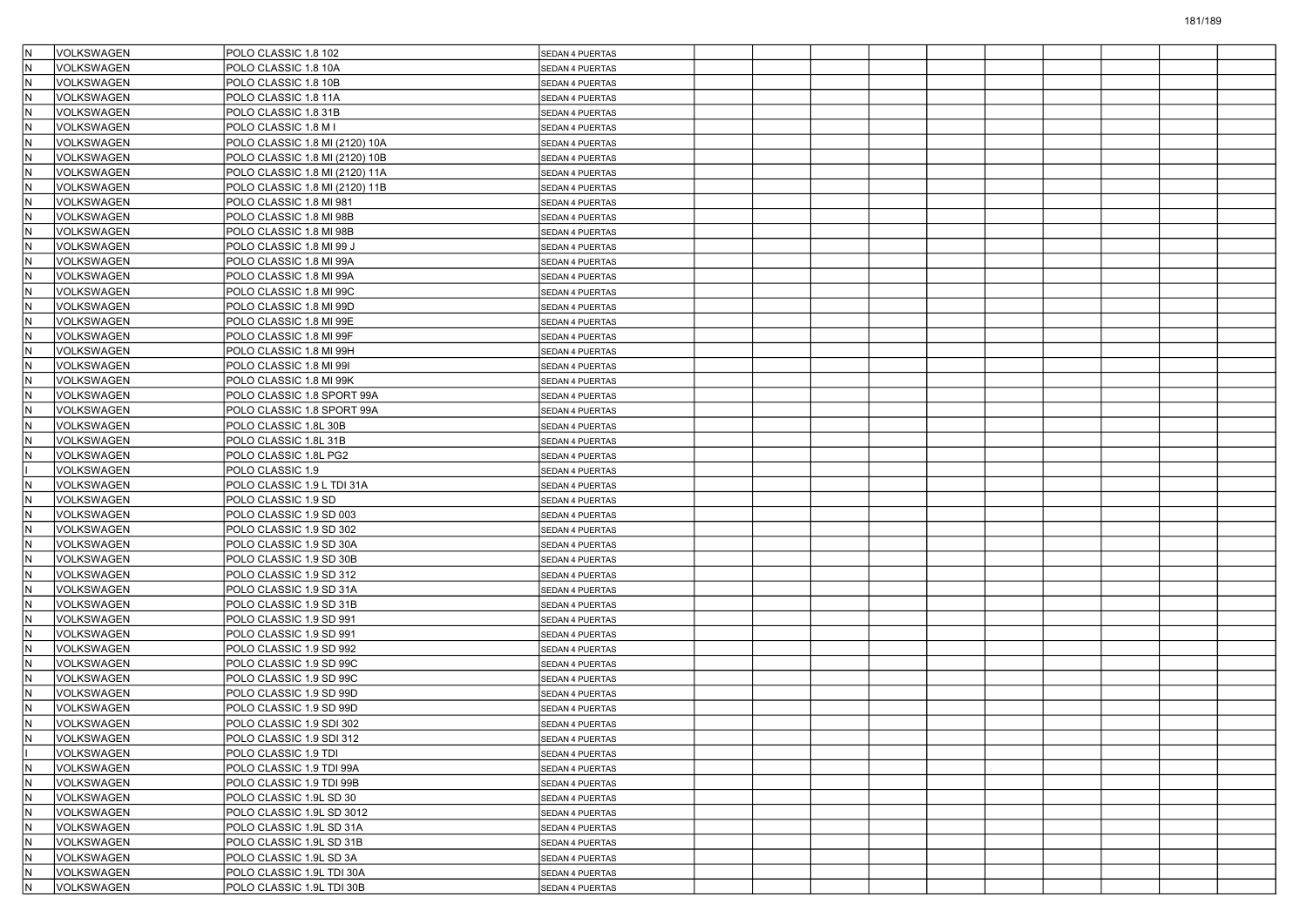|     | VOLKSWAGEN        | POLO CLASSIC 1.8 102           | SEDAN 4 PUERTAS        |  |  |  |  |  |
|-----|-------------------|--------------------------------|------------------------|--|--|--|--|--|
| lΝ  | VOLKSWAGEN        | POLO CLASSIC 1.8 10A           | SEDAN 4 PUERTAS        |  |  |  |  |  |
| İΝ  | <b>VOLKSWAGEN</b> | POLO CLASSIC 1.8 10B           | SEDAN 4 PUERTAS        |  |  |  |  |  |
| ١N  | VOLKSWAGEN        | POLO CLASSIC 1.8 11A           | SEDAN 4 PUERTAS        |  |  |  |  |  |
| İΝ  | VOLKSWAGEN        | POLO CLASSIC 1.8 31B           | SEDAN 4 PUERTAS        |  |  |  |  |  |
| İΝ  | VOLKSWAGEN        | POLO CLASSIC 1.8 M I           | SEDAN 4 PUERTAS        |  |  |  |  |  |
| ١N  | VOLKSWAGEN        | POLO CLASSIC 1.8 MI (2120) 10A | SEDAN 4 PUERTAS        |  |  |  |  |  |
| İΝ  | VOLKSWAGEN        | POLO CLASSIC 1.8 MI (2120) 10B | SEDAN 4 PUERTAS        |  |  |  |  |  |
| ١N  | VOLKSWAGEN        | POLO CLASSIC 1.8 MI (2120) 11A | SEDAN 4 PUERTAS        |  |  |  |  |  |
| lΝ  | <b>VOLKSWAGEN</b> | POLO CLASSIC 1.8 MI (2120) 11B | SEDAN 4 PUERTAS        |  |  |  |  |  |
| İΝ  | VOLKSWAGEN        | POLO CLASSIC 1.8 MI 981        | SEDAN 4 PUERTAS        |  |  |  |  |  |
| ΙN  | VOLKSWAGEN        | POLO CLASSIC 1.8 MI 98B        | SEDAN 4 PUERTAS        |  |  |  |  |  |
| İΝ  | VOLKSWAGEN        | POLO CLASSIC 1.8 MI 98B        | SEDAN 4 PUERTAS        |  |  |  |  |  |
| ١N  | VOLKSWAGEN        | POLO CLASSIC 1.8 MI 99 J       | SEDAN 4 PUERTAS        |  |  |  |  |  |
| İΝ  | <b>VOLKSWAGEN</b> | POLO CLASSIC 1.8 MI 99A        | SEDAN 4 PUERTAS        |  |  |  |  |  |
| İΝ  | VOLKSWAGEN        | POLO CLASSIC 1.8 MI 99A        | SEDAN 4 PUERTAS        |  |  |  |  |  |
| IN  | VOLKSWAGEN        | POLO CLASSIC 1.8 MI 99C        | SEDAN 4 PUERTAS        |  |  |  |  |  |
| İΝ  | <b>VOLKSWAGEN</b> | POLO CLASSIC 1.8 MI 99D        | SEDAN 4 PUERTAS        |  |  |  |  |  |
| ١N  | VOLKSWAGEN        | POLO CLASSIC 1.8 MI 99E        | SEDAN 4 PUERTAS        |  |  |  |  |  |
| İΝ  | <b>VOLKSWAGEN</b> | POLO CLASSIC 1.8 MI 99F        | SEDAN 4 PUERTAS        |  |  |  |  |  |
| İΝ  | VOLKSWAGEN        | POLO CLASSIC 1.8 MI 99H        | SEDAN 4 PUERTAS        |  |  |  |  |  |
| ١N  | VOLKSWAGEN        | POLO CLASSIC 1.8 MI 99I        | SEDAN 4 PUERTAS        |  |  |  |  |  |
| İΝ  | <b>VOLKSWAGEN</b> | POLO CLASSIC 1.8 MI 99K        | <b>SEDAN 4 PUERTAS</b> |  |  |  |  |  |
| ١N  | VOLKSWAGEN        | POLO CLASSIC 1.8 SPORT 99A     | SEDAN 4 PUERTAS        |  |  |  |  |  |
| İΝ  | <b>VOLKSWAGEN</b> | POLO CLASSIC 1.8 SPORT 99A     | SEDAN 4 PUERTAS        |  |  |  |  |  |
| lΝ  | VOLKSWAGEN        | POLO CLASSIC 1.8L 30B          | SEDAN 4 PUERTAS        |  |  |  |  |  |
| ١N  | <b>VOLKSWAGEN</b> | POLO CLASSIC 1.8L 31B          | SEDAN 4 PUERTAS        |  |  |  |  |  |
| ΙN  | VOLKSWAGEN        | POLO CLASSIC 1.8L PG2          | SEDAN 4 PUERTAS        |  |  |  |  |  |
|     | VOLKSWAGEN        | POLO CLASSIC 1.9               | SEDAN 4 PUERTAS        |  |  |  |  |  |
|     | <b>VOLKSWAGEN</b> | POLO CLASSIC 1.9 L TDI 31A     | SEDAN 4 PUERTAS        |  |  |  |  |  |
| İΝ  | VOLKSWAGEN        | POLO CLASSIC 1.9 SD            | SEDAN 4 PUERTAS        |  |  |  |  |  |
| ΙN  | VOLKSWAGEN        | POLO CLASSIC 1.9 SD 003        | SEDAN 4 PUERTAS        |  |  |  |  |  |
| İΝ  | <b>VOLKSWAGEN</b> | POLO CLASSIC 1.9 SD 302        | <b>SEDAN 4 PUERTAS</b> |  |  |  |  |  |
| ١N  | VOLKSWAGEN        | POLO CLASSIC 1.9 SD 30A        | SEDAN 4 PUERTAS        |  |  |  |  |  |
|     | <b>VOLKSWAGEN</b> | POLO CLASSIC 1.9 SD 30B        | SEDAN 4 PUERTAS        |  |  |  |  |  |
| İΝ  | VOLKSWAGEN        | POLO CLASSIC 1.9 SD 312        | SEDAN 4 PUERTAS        |  |  |  |  |  |
| ١N  | VOLKSWAGEN        | POLO CLASSIC 1.9 SD 31A        | SEDAN 4 PUERTAS        |  |  |  |  |  |
| İΝ  | <b>VOLKSWAGEN</b> | POLO CLASSIC 1.9 SD 31B        | SEDAN 4 PUERTAS        |  |  |  |  |  |
| ١N  | VOLKSWAGEN        | POLO CLASSIC 1.9 SD 991        | SEDAN 4 PUERTAS        |  |  |  |  |  |
| İΝ  | VOLKSWAGEN        | POLO CLASSIC 1.9 SD 991        | SEDAN 4 PUERTAS        |  |  |  |  |  |
| lΝ  | VOLKSWAGEN        | POLO CLASSIC 1.9 SD 992        | SEDAN 4 PUERTAS        |  |  |  |  |  |
| IN  | <b>VOLKSWAGEN</b> | POLO CLASSIC 1.9 SD 99C        | SEDAN 4 PUERTAS        |  |  |  |  |  |
| İΝ  | VOLKSWAGEN        | POLO CLASSIC 1.9 SD 99C        | SEDAN 4 PUERTAS        |  |  |  |  |  |
| ١N  | VOLKSWAGEN        | POLO CLASSIC 1.9 SD 99D        | SEDAN 4 PUERTAS        |  |  |  |  |  |
|     | VOLKSWAGEN        | POLO CLASSIC 1.9 SD 99D        | SEDAN 4 PUERTAS        |  |  |  |  |  |
| lΝ  | VOLKSWAGEN        | POLO CLASSIC 1.9 SDI 302       | SEDAN 4 PUERTAS        |  |  |  |  |  |
| IN  | VOLKSWAGEN        | POLO CLASSIC 1.9 SDI 312       | SEDAN 4 PUERTAS        |  |  |  |  |  |
|     | VOLKSWAGEN        | POLO CLASSIC 1.9 TDI           | SEDAN 4 PUERTAS        |  |  |  |  |  |
| IN. | VOLKSWAGEN        | POLO CLASSIC 1.9 TDI 99A       | SEDAN 4 PUERTAS        |  |  |  |  |  |
| lN. | <b>VOLKSWAGEN</b> | POLO CLASSIC 1.9 TDI 99B       | SEDAN 4 PUERTAS        |  |  |  |  |  |
| IN. | VOLKSWAGEN        | POLO CLASSIC 1.9L SD 30        | SEDAN 4 PUERTAS        |  |  |  |  |  |
| IN. | VOLKSWAGEN        | POLO CLASSIC 1.9L SD 3012      | SEDAN 4 PUERTAS        |  |  |  |  |  |
| IN. | <b>VOLKSWAGEN</b> | POLO CLASSIC 1.9L SD 31A       | SEDAN 4 PUERTAS        |  |  |  |  |  |
| IN. | VOLKSWAGEN        | POLO CLASSIC 1.9L SD 31B       | SEDAN 4 PUERTAS        |  |  |  |  |  |
| lN. | <b>VOLKSWAGEN</b> | POLO CLASSIC 1.9L SD 3A        | SEDAN 4 PUERTAS        |  |  |  |  |  |
| IN. | VOLKSWAGEN        | POLO CLASSIC 1.9L TDI 30A      | SEDAN 4 PUERTAS        |  |  |  |  |  |
| IN. | VOLKSWAGEN        | POLO CLASSIC 1.9L TDI 30B      | SEDAN 4 PUERTAS        |  |  |  |  |  |
|     |                   |                                |                        |  |  |  |  |  |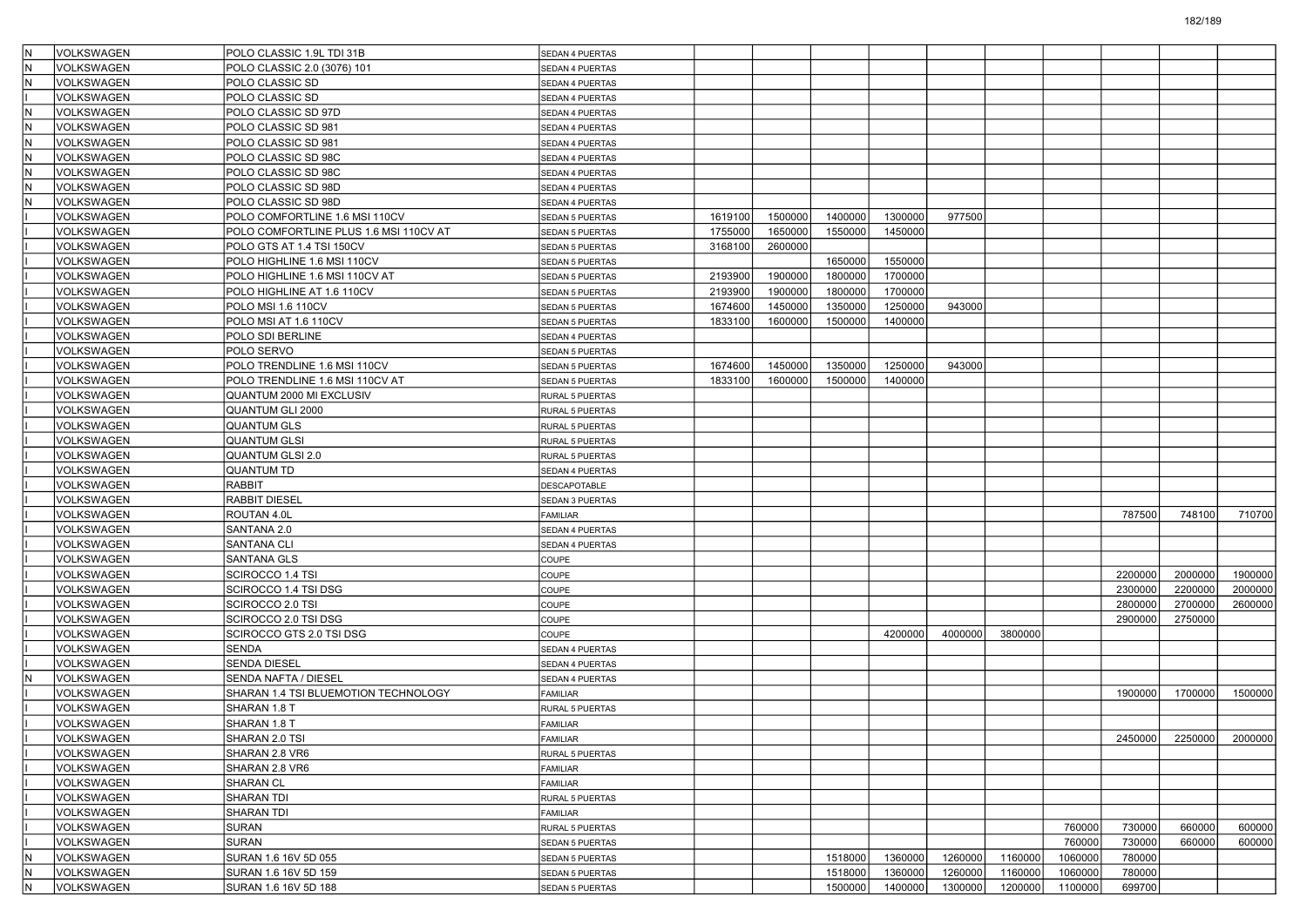| lΝ                      | <b>VOLKSWAGEN</b> | POLO CLASSIC 1.9L TDI 31B              | <b>SEDAN 4 PUERTAS</b> |         |         |         |         |         |         |         |         |         |                 |
|-------------------------|-------------------|----------------------------------------|------------------------|---------|---------|---------|---------|---------|---------|---------|---------|---------|-----------------|
| lΝ                      | VOLKSWAGEN        | POLO CLASSIC 2.0 (3076) 101            | SEDAN 4 PUERTAS        |         |         |         |         |         |         |         |         |         |                 |
| $\overline{\mathsf{N}}$ | VOLKSWAGEN        | POLO CLASSIC SD                        | SEDAN 4 PUERTAS        |         |         |         |         |         |         |         |         |         |                 |
|                         | VOLKSWAGEN        | POLO CLASSIC SD                        | SEDAN 4 PUERTAS        |         |         |         |         |         |         |         |         |         |                 |
| lΝ                      | VOLKSWAGEN        | POLO CLASSIC SD 97D                    | SEDAN 4 PUERTAS        |         |         |         |         |         |         |         |         |         |                 |
| l٨                      | <b>VOLKSWAGEN</b> | POLO CLASSIC SD 981                    | SEDAN 4 PUERTAS        |         |         |         |         |         |         |         |         |         |                 |
| lΝ                      | VOLKSWAGEN        | POLO CLASSIC SD 981                    | SEDAN 4 PUERTAS        |         |         |         |         |         |         |         |         |         |                 |
| N                       | VOLKSWAGEN        | POLO CLASSIC SD 98C                    | SEDAN 4 PUERTAS        |         |         |         |         |         |         |         |         |         |                 |
| IN.                     | VOLKSWAGEN        | POLO CLASSIC SD 98C                    | SEDAN 4 PUERTAS        |         |         |         |         |         |         |         |         |         |                 |
| lΝ                      | VOLKSWAGEN        | POLO CLASSIC SD 98D                    | SEDAN 4 PUERTAS        |         |         |         |         |         |         |         |         |         |                 |
| İΝ                      | VOLKSWAGEN        | POLO CLASSIC SD 98D                    | SEDAN 4 PUERTAS        |         |         |         |         |         |         |         |         |         |                 |
|                         | VOLKSWAGEN        | POLO COMFORTLINE 1.6 MSI 110CV         | SEDAN 5 PUERTAS        | 1619100 | 1500000 | 1400000 | 1300000 | 977500  |         |         |         |         |                 |
|                         | VOLKSWAGEN        | POLO COMFORTLINE PLUS 1.6 MSI 110CV AT | <b>SEDAN 5 PUERTAS</b> | 1755000 | 1650000 | 1550000 | 1450000 |         |         |         |         |         |                 |
|                         | VOLKSWAGEN        | POLO GTS AT 1.4 TSI 150CV              | <b>SEDAN 5 PUERTAS</b> | 3168100 | 2600000 |         |         |         |         |         |         |         |                 |
|                         | VOLKSWAGEN        | POLO HIGHLINE 1.6 MSI 110CV            | SEDAN 5 PUERTAS        |         |         | 1650000 | 1550000 |         |         |         |         |         |                 |
|                         | VOLKSWAGEN        | POLO HIGHLINE 1.6 MSI 110CV AT         | SEDAN 5 PUERTAS        | 2193900 | 1900000 | 1800000 | 1700000 |         |         |         |         |         |                 |
|                         | VOLKSWAGEN        | POLO HIGHLINE AT 1.6 110CV             | SEDAN 5 PUERTAS        | 2193900 | 1900000 | 1800000 | 1700000 |         |         |         |         |         |                 |
|                         | VOLKSWAGEN        | POLO MSI 1.6 110CV                     | <b>SEDAN 5 PUERTAS</b> | 1674600 | 1450000 | 1350000 | 1250000 | 943000  |         |         |         |         |                 |
|                         | VOLKSWAGEN        | POLO MSI AT 1.6 110CV                  | SEDAN 5 PUERTAS        | 1833100 | 1600000 | 1500000 | 1400000 |         |         |         |         |         |                 |
|                         | VOLKSWAGEN        | POLO SDI BERLINE                       | SEDAN 4 PUERTAS        |         |         |         |         |         |         |         |         |         |                 |
|                         | VOLKSWAGEN        | POLO SERVO                             | <b>SEDAN 5 PUERTAS</b> |         |         |         |         |         |         |         |         |         |                 |
|                         | VOLKSWAGEN        | POLO TRENDLINE 1.6 MSI 110CV           | SEDAN 5 PUERTAS        | 1674600 | 1450000 | 1350000 | 1250000 | 943000  |         |         |         |         |                 |
|                         | VOLKSWAGEN        | POLO TRENDLINE 1.6 MSI 110CV AT        | <b>SEDAN 5 PUERTAS</b> | 1833100 | 1600000 | 1500000 | 1400000 |         |         |         |         |         |                 |
|                         | VOLKSWAGEN        | QUANTUM 2000 MI EXCLUSIV               | RURAL 5 PUERTAS        |         |         |         |         |         |         |         |         |         |                 |
|                         | VOLKSWAGEN        | <b>QUANTUM GLI 2000</b>                | RURAL 5 PUERTAS        |         |         |         |         |         |         |         |         |         |                 |
|                         | VOLKSWAGEN        | <b>QUANTUM GLS</b>                     | RURAL 5 PUERTAS        |         |         |         |         |         |         |         |         |         |                 |
|                         | VOLKSWAGEN        | <b>QUANTUM GLSI</b>                    | RURAL 5 PUERTAS        |         |         |         |         |         |         |         |         |         |                 |
|                         | VOLKSWAGEN        | <b>QUANTUM GLSI 2.0</b>                | RURAL 5 PUERTAS        |         |         |         |         |         |         |         |         |         |                 |
|                         | VOLKSWAGEN        | <b>QUANTUM TD</b>                      | SEDAN 4 PUERTAS        |         |         |         |         |         |         |         |         |         |                 |
|                         | VOLKSWAGEN        | <b>RABBIT</b>                          | <b>DESCAPOTABLE</b>    |         |         |         |         |         |         |         |         |         |                 |
|                         | VOLKSWAGEN        | <b>RABBIT DIESEL</b>                   | SEDAN 3 PUERTAS        |         |         |         |         |         |         |         |         |         |                 |
|                         | VOLKSWAGEN        | ROUTAN 4.0L                            | <b>FAMILIAR</b>        |         |         |         |         |         |         |         | 787500  | 748100  | 710700          |
|                         | VOLKSWAGEN        | SANTANA 2.0                            | SEDAN 4 PUERTAS        |         |         |         |         |         |         |         |         |         |                 |
|                         | VOLKSWAGEN        | <b>SANTANA CLI</b>                     | SEDAN 4 PUERTAS        |         |         |         |         |         |         |         |         |         |                 |
|                         | VOLKSWAGEN        | <b>SANTANA GLS</b>                     | COUPE                  |         |         |         |         |         |         |         |         |         |                 |
|                         | VOLKSWAGEN        | SCIROCCO 1.4 TSI                       | COUPE                  |         |         |         |         |         |         |         | 2200000 | 2000000 | 1900000         |
|                         | VOLKSWAGEN        | SCIROCCO 1.4 TSI DSG                   | COUPE                  |         |         |         |         |         |         |         | 2300000 | 2200000 | 2000000         |
|                         | VOLKSWAGEN        | SCIROCCO 2.0 TSI                       | COUPE                  |         |         |         |         |         |         |         | 2800000 | 2700000 | 2600000         |
|                         | VOLKSWAGEN        | SCIROCCO 2.0 TSI DSG                   | COUPE                  |         |         |         |         |         |         |         | 2900000 | 2750000 |                 |
|                         | VOLKSWAGEN        | SCIROCCO GTS 2.0 TSI DSG               | COUPE                  |         |         |         | 4200000 | 4000000 | 3800000 |         |         |         |                 |
|                         | VOLKSWAGEN        | <b>SENDA</b>                           | SEDAN 4 PUERTAS        |         |         |         |         |         |         |         |         |         |                 |
|                         | VOLKSWAGEN        | <b>SENDA DIESEL</b>                    | SEDAN 4 PUERTAS        |         |         |         |         |         |         |         |         |         |                 |
| İΝ                      | VOLKSWAGEN        | <b>SENDA NAFTA / DIESEL</b>            | SEDAN 4 PUERTAS        |         |         |         |         |         |         |         |         |         |                 |
|                         | VOLKSWAGEN        | SHARAN 1.4 TSI BLUEMOTION TECHNOLOGY   | <b>FAMILIAR</b>        |         |         |         |         |         |         |         | 1900000 | 1700000 | 1500000         |
|                         | VOLKSWAGEN        | SHARAN 1.8 T                           | RURAL 5 PUERTAS        |         |         |         |         |         |         |         |         |         |                 |
|                         | VOLKSWAGEN        | SHARAN 1.8 T                           | <b>FAMILIAR</b>        |         |         |         |         |         |         |         |         |         |                 |
|                         | VOLKSWAGEN        | SHARAN 2.0 TSI                         | FAMILIAR               |         |         |         |         |         |         |         | 2450000 |         | 2250000 2000000 |
|                         | VOLKSWAGEN        | SHARAN 2.8 VR6                         | RURAL 5 PUERTAS        |         |         |         |         |         |         |         |         |         |                 |
|                         | <b>VOLKSWAGEN</b> | SHARAN 2.8 VR6                         | FAMILIAR               |         |         |         |         |         |         |         |         |         |                 |
|                         | <b>VOLKSWAGEN</b> | <b>SHARAN CL</b>                       | FAMILIAR               |         |         |         |         |         |         |         |         |         |                 |
|                         | <b>VOLKSWAGEN</b> | SHARAN TDI                             | RURAL 5 PUERTAS        |         |         |         |         |         |         |         |         |         |                 |
|                         | VOLKSWAGEN        | SHARAN TDI                             | FAMILIAR               |         |         |         |         |         |         |         |         |         |                 |
|                         | VOLKSWAGEN        | <b>SURAN</b>                           | RURAL 5 PUERTAS        |         |         |         |         |         |         | 760000  | 730000  | 660000  | 600000          |
|                         | VOLKSWAGEN        | SURAN                                  | SEDAN 5 PUERTAS        |         |         |         |         |         |         | 760000  | 730000  | 660000  | 600000          |
| IN.                     | VOLKSWAGEN        | SURAN 1.6 16V 5D 055                   | SEDAN 5 PUERTAS        |         |         | 1518000 | 1360000 | 1260000 | 1160000 | 1060000 | 780000  |         |                 |
| IN.                     | VOLKSWAGEN        | SURAN 1.6 16V 5D 159                   | SEDAN 5 PUERTAS        |         |         | 1518000 | 1360000 | 1260000 | 1160000 | 1060000 | 780000  |         |                 |
| IN.                     | VOLKSWAGEN        | SURAN 1.6 16V 5D 188                   | SEDAN 5 PUERTAS        |         |         | 1500000 | 1400000 | 1300000 | 1200000 | 1100000 | 699700  |         |                 |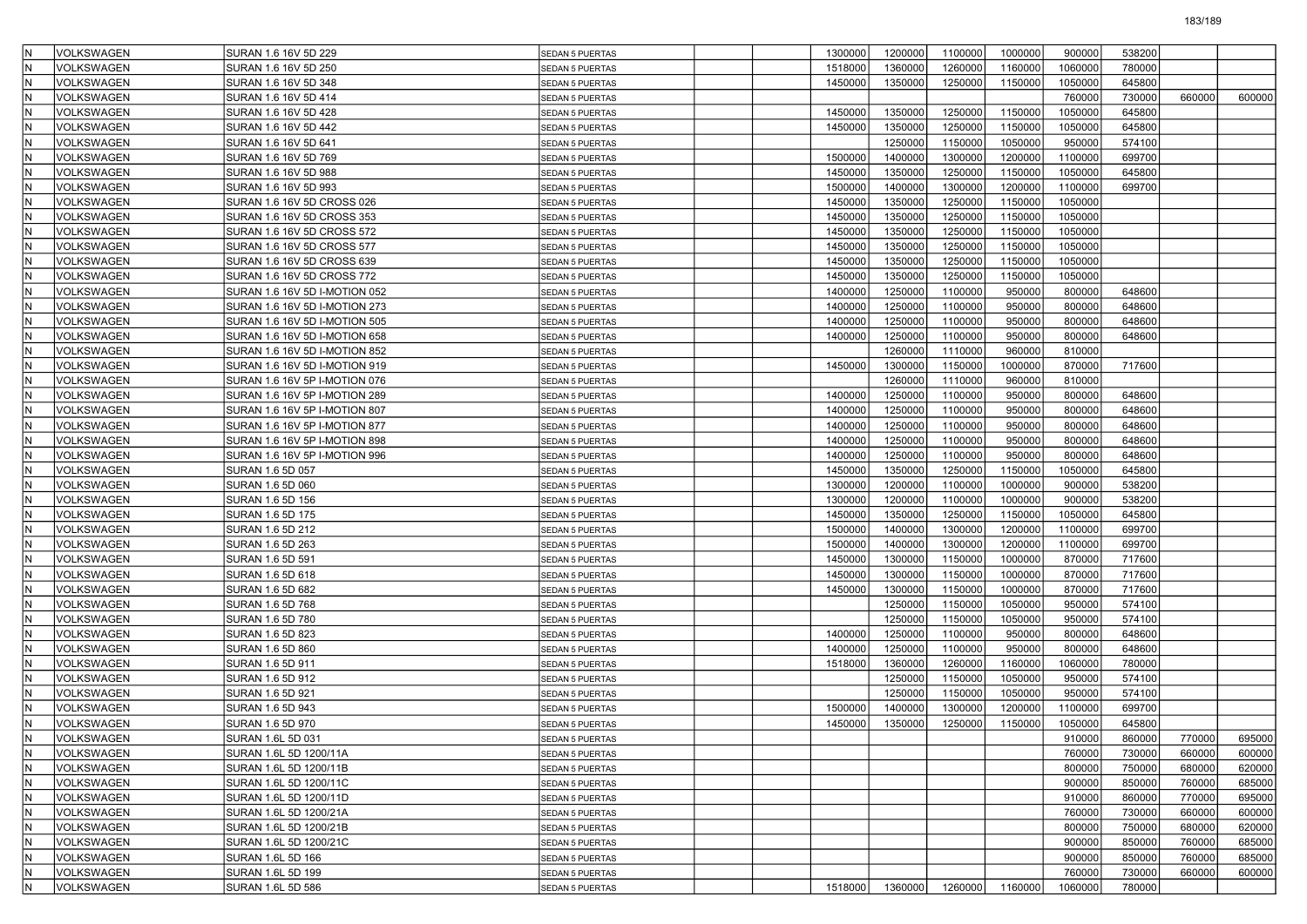|     | VOLKSWAGEN                             | SURAN 1.6 16V 5D 229                   | <b>SEDAN 5 PUERTAS</b> | 1300000 | 1200000 | 1100000 | 1000000 | 900000  | 538200 |        |        |
|-----|----------------------------------------|----------------------------------------|------------------------|---------|---------|---------|---------|---------|--------|--------|--------|
|     | VOLKSWAGEN                             | SURAN 1.6 16V 5D 250                   | <b>SEDAN 5 PUERTAS</b> | 1518000 | 1360000 | 1260000 | 1160000 | 1060000 | 780000 |        |        |
|     | VOLKSWAGEN                             | SURAN 1.6 16V 5D 348                   | <b>SEDAN 5 PUERTAS</b> | 1450000 | 1350000 | 1250000 | 1150000 | 1050000 | 645800 |        |        |
|     | VOLKSWAGEN                             | SURAN 1.6 16V 5D 414                   | <b>SEDAN 5 PUERTAS</b> |         |         |         |         | 760000  | 730000 | 660000 | 600000 |
|     | VOLKSWAGEN                             | SURAN 1.6 16V 5D 428                   | <b>SEDAN 5 PUERTAS</b> | 1450000 | 1350000 | 1250000 | 1150000 | 1050000 | 645800 |        |        |
|     | VOLKSWAGEN                             | SURAN 1.6 16V 5D 442                   | SEDAN 5 PUERTAS        | 1450000 | 1350000 | 1250000 | 1150000 | 1050000 | 645800 |        |        |
|     | VOLKSWAGEN                             | SURAN 1.6 16V 5D 641                   | SEDAN 5 PUERTAS        |         | 1250000 | 1150000 | 1050000 | 950000  | 574100 |        |        |
|     | VOLKSWAGEN                             | SURAN 1.6 16V 5D 769                   | <b>SEDAN 5 PUERTAS</b> | 1500000 | 1400000 | 1300000 | 1200000 | 1100000 | 699700 |        |        |
| İN  | VOLKSWAGEN                             | SURAN 1.6 16V 5D 988                   | <b>SEDAN 5 PUERTAS</b> | 1450000 | 1350000 | 1250000 | 1150000 | 1050000 | 645800 |        |        |
|     | VOLKSWAGEN                             | SURAN 1.6 16V 5D 993                   | <b>SEDAN 5 PUERTAS</b> | 1500000 | 1400000 | 1300000 | 1200000 | 1100000 | 699700 |        |        |
|     | VOLKSWAGEN                             | SURAN 1.6 16V 5D CROSS 026             | SEDAN 5 PUERTAS        | 1450000 | 1350000 | 1250000 | 1150000 | 1050000 |        |        |        |
|     | VOLKSWAGEN                             | SURAN 1.6 16V 5D CROSS 353             | <b>SEDAN 5 PUERTAS</b> | 1450000 | 1350000 | 1250000 | 1150000 | 1050000 |        |        |        |
|     | VOLKSWAGEN                             | SURAN 1.6 16V 5D CROSS 572             | <b>SEDAN 5 PUERTAS</b> | 1450000 | 1350000 | 1250000 | 1150000 | 1050000 |        |        |        |
| İN  | VOLKSWAGEN                             | SURAN 1.6 16V 5D CROSS 577             | SEDAN 5 PUERTAS        | 1450000 | 1350000 | 1250000 | 1150000 | 1050000 |        |        |        |
|     | VOLKSWAGEN                             | SURAN 1.6 16V 5D CROSS 639             | SEDAN 5 PUERTAS        | 1450000 | 1350000 | 1250000 | 1150000 | 1050000 |        |        |        |
|     | VOLKSWAGEN                             | SURAN 1.6 16V 5D CROSS 772             | SEDAN 5 PUERTAS        | 1450000 | 1350000 | 1250000 | 1150000 | 1050000 |        |        |        |
|     | VOLKSWAGEN                             | SURAN 1.6 16V 5D I-MOTION 052          | SEDAN 5 PUERTAS        | 1400000 | 1250000 | 1100000 | 950000  | 800000  | 648600 |        |        |
|     | VOLKSWAGEN                             | SURAN 1.6 16V 5D I-MOTION 273          | <b>SEDAN 5 PUERTAS</b> | 1400000 | 1250000 | 1100000 | 950000  | 800000  | 648600 |        |        |
| İN  | VOLKSWAGEN                             | SURAN 1.6 16V 5D I-MOTION 505          | <b>SEDAN 5 PUERTAS</b> | 1400000 | 1250000 | 1100000 | 950000  | 800000  | 648600 |        |        |
|     | VOLKSWAGEN                             | SURAN 1.6 16V 5D I-MOTION 658          | SEDAN 5 PUERTAS        | 1400000 | 1250000 | 1100000 | 950000  | 800000  | 648600 |        |        |
|     | VOLKSWAGEN                             | SURAN 1.6 16V 5D I-MOTION 852          | SEDAN 5 PUERTAS        |         | 1260000 | 1110000 | 960000  | 810000  |        |        |        |
|     | VOLKSWAGEN                             | SURAN 1.6 16V 5D I-MOTION 919          | SEDAN 5 PUERTAS        | 1450000 | 1300000 | 1150000 | 1000000 | 870000  | 717600 |        |        |
|     | VOLKSWAGEN                             | SURAN 1.6 16V 5P I-MOTION 076          | <b>SEDAN 5 PUERTAS</b> |         | 1260000 | 1110000 | 960000  | 810000  |        |        |        |
| İN  | VOLKSWAGEN                             | SURAN 1.6 16V 5P I-MOTION 289          | <b>SEDAN 5 PUERTAS</b> | 1400000 | 1250000 | 1100000 | 950000  | 800000  | 648600 |        |        |
|     | <b>VOLKSWAGEN</b>                      | SURAN 1.6 16V 5P I-MOTION 807          | SEDAN 5 PUERTAS        | 1400000 | 1250000 | 1100000 | 950000  | 800000  | 648600 |        |        |
|     | VOLKSWAGEN                             | SURAN 1.6 16V 5P I-MOTION 877          | SEDAN 5 PUERTAS        | 1400000 | 1250000 | 1100000 | 950000  | 800000  | 648600 |        |        |
|     | VOLKSWAGEN                             | SURAN 1.6 16V 5P I-MOTION 898          | SEDAN 5 PUERTAS        | 1400000 | 1250000 | 1100000 | 950000  | 800000  | 648600 |        |        |
|     | VOLKSWAGEN                             | SURAN 1.6 16V 5P I-MOTION 996          | <b>SEDAN 5 PUERTAS</b> | 1400000 | 1250000 | 1100000 | 950000  | 800000  | 648600 |        |        |
| İN  | VOLKSWAGEN                             | SURAN 1.6 5D 057                       | <b>SEDAN 5 PUERTAS</b> | 1450000 | 1350000 | 1250000 | 1150000 | 1050000 | 645800 |        |        |
|     | <b>VOLKSWAGEN</b>                      | SURAN 1.6 5D 060                       | SEDAN 5 PUERTAS        | 1300000 | 1200000 | 1100000 | 1000000 | 900000  | 538200 |        |        |
|     | VOLKSWAGEN                             | SURAN 1.6 5D 156                       | SEDAN 5 PUERTAS        | 1300000 | 1200000 | 1100000 | 1000000 | 900000  | 538200 |        |        |
|     | VOLKSWAGEN                             | SURAN 1.6 5D 175                       | SEDAN 5 PUERTAS        | 1450000 | 1350000 | 1250000 | 1150000 | 1050000 | 645800 |        |        |
|     | VOLKSWAGEN                             | SURAN 1.6 5D 212                       | SEDAN 5 PUERTAS        | 1500000 | 1400000 | 1300000 | 1200000 | 1100000 | 699700 |        |        |
| İN  | VOLKSWAGEN                             | SURAN 1.6 5D 263                       | <b>SEDAN 5 PUERTAS</b> | 1500000 | 1400000 | 1300000 | 1200000 | 1100000 | 699700 |        |        |
|     | <b>VOLKSWAGEN</b>                      | SURAN 1.6 5D 591                       | SEDAN 5 PUERTAS        | 1450000 | 1300000 | 1150000 | 1000000 | 870000  | 717600 |        |        |
|     | VOLKSWAGEN                             | SURAN 1.6 5D 618                       | SEDAN 5 PUERTAS        | 1450000 | 1300000 | 1150000 | 1000000 | 870000  | 717600 |        |        |
|     | VOLKSWAGEN                             | SURAN 1.6 5D 682                       | SEDAN 5 PUERTAS        | 1450000 | 1300000 | 1150000 | 1000000 | 870000  | 717600 |        |        |
|     | VOLKSWAGEN                             | SURAN 1.6 5D 768                       | SEDAN 5 PUERTAS        |         | 1250000 | 1150000 | 1050000 | 950000  | 574100 |        |        |
| İΝ  | VOLKSWAGEN                             | SURAN 1.6 5D 780                       | <b>SEDAN 5 PUERTAS</b> |         | 1250000 | 1150000 | 1050000 | 950000  | 574100 |        |        |
|     | <b>VOLKSWAGEN</b>                      | SURAN 1.6 5D 823                       | <b>SEDAN 5 PUERTAS</b> | 1400000 | 1250000 | 1100000 | 950000  | 800000  | 648600 |        |        |
|     | <b>VOLKSWAGEN</b>                      | SURAN 1.6 5D 860                       | SEDAN 5 PUERTAS        | 1400000 | 1250000 | 1100000 | 950000  | 800000  | 648600 |        |        |
|     | VOLKSWAGEN                             | SURAN 1.6 5D 911                       | SEDAN 5 PUERTAS        | 1518000 | 1360000 | 1260000 | 1160000 | 1060000 | 780000 |        |        |
|     | VOLKSWAGEN                             | SURAN 1.6 5D 912                       | SEDAN 5 PUERTAS        |         | 1250000 | 1150000 | 1050000 | 950000  | 574100 |        |        |
| İN  | VOLKSWAGEN                             | SURAN 1.6 5D 921                       | SEDAN 5 PUERTAS        |         | 1250000 | 1150000 | 1050000 | 950000  | 574100 |        |        |
|     | <b>VOLKSWAGEN</b>                      | SURAN 1.6 5D 943                       | <b>SEDAN 5 PUERTAS</b> | 1500000 | 1400000 | 1300000 | 1200000 | 1100000 | 699700 |        |        |
|     | <b>VOLKSWAGEN</b>                      | SURAN 1.6 5D 970                       | SEDAN 5 PUERTAS        | 1450000 | 1350000 | 1250000 | 1150000 | 1050000 | 645800 |        |        |
|     | VOLKSWAGEN                             | SURAN 1.6L 5D 031                      | <b>SEDAN 5 PUERTAS</b> |         |         |         |         | 910000  | 860000 | 770000 | 695000 |
| IN. | VOLKSWAGEN                             | SURAN 1.6L 5D 1200/11A                 | SEDAN 5 PUERTAS        |         |         |         |         | 760000  | 730000 | 660000 | 600000 |
| IN. | VOLKSWAGEN                             | SURAN 1.6L 5D 1200/11B                 | SEDAN 5 PUERTAS        |         |         |         |         | 800000  | 750000 | 680000 | 620000 |
| IN. | VOLKSWAGEN                             | SURAN 1.6L 5D 1200/11C                 | SEDAN 5 PUERTAS        |         |         |         |         | 900000  | 850000 | 760000 | 685000 |
| IN. | VOLKSWAGEN                             | SURAN 1.6L 5D 1200/11D                 | SEDAN 5 PUERTAS        |         |         |         |         | 910000  | 860000 | 770000 | 695000 |
| IN. | VOLKSWAGEN                             | SURAN 1.6L 5D 1200/21A                 | SEDAN 5 PUERTAS        |         |         |         |         | 760000  | 730000 | 660000 | 600000 |
| IN. | VOLKSWAGEN                             | SURAN 1.6L 5D 1200/21B                 | SEDAN 5 PUERTAS        |         |         |         |         | 800000  | 750000 | 680000 | 620000 |
| İΝ  | VOLKSWAGEN                             | SURAN 1.6L 5D 1200/21C                 | SEDAN 5 PUERTAS        |         |         |         |         | 900000  | 850000 | 760000 | 685000 |
|     | <b>VOLKSWAGEN</b><br><b>VOLKSWAGEN</b> | SURAN 1.6L 5D 166                      | SEDAN 5 PUERTAS        |         |         |         |         | 900000  | 850000 | 760000 | 685000 |
| IN. |                                        | SURAN 1.6L 5D 199<br>SURAN 1.6L 5D 586 | SEDAN 5 PUERTAS        |         |         |         |         | 760000  | 730000 | 660000 | 600000 |
| IN. | VOLKSWAGEN                             |                                        | SEDAN 5 PUERTAS        | 1518000 | 1360000 | 1260000 | 1160000 | 1060000 | 780000 |        |        |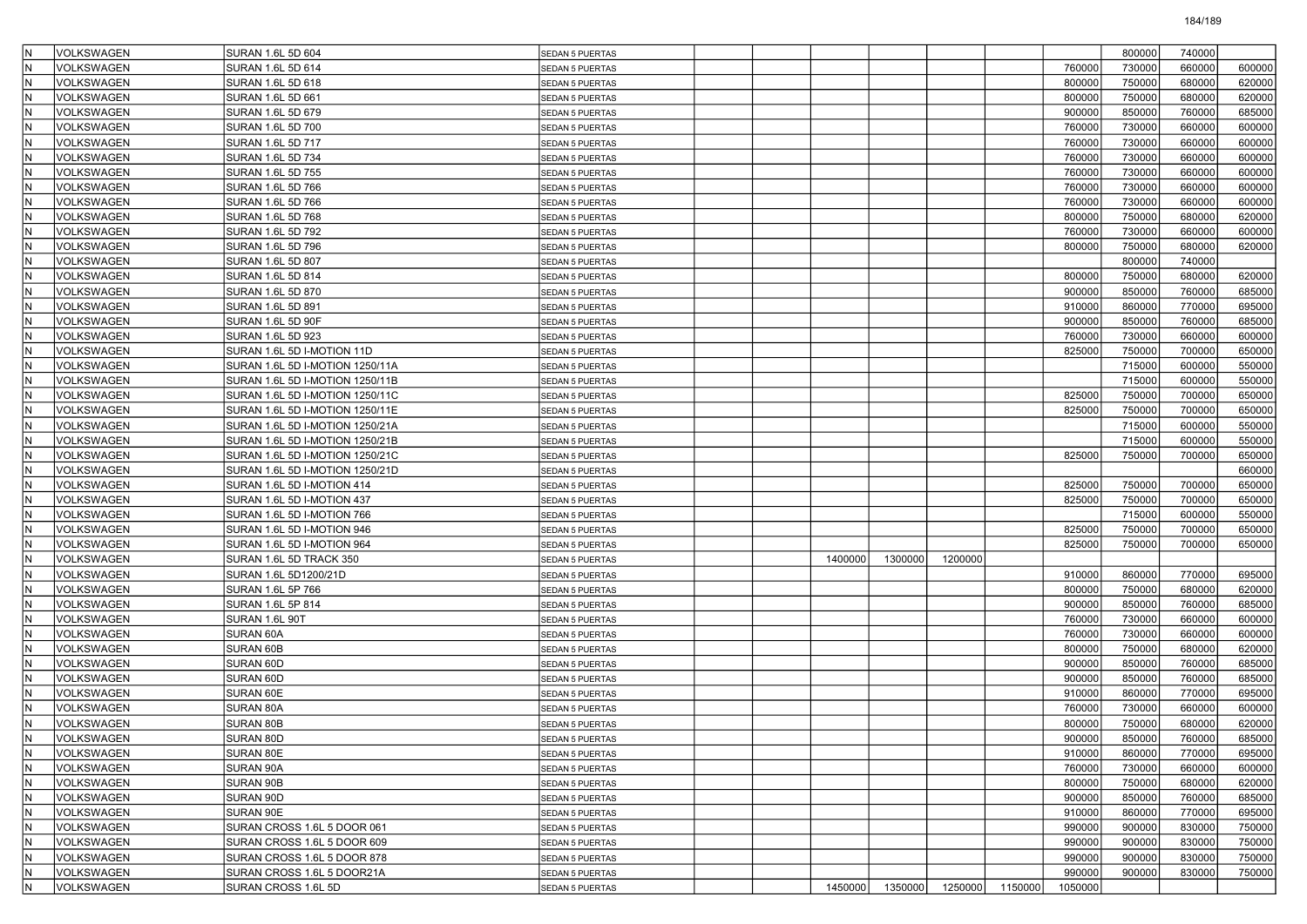| VOLKSWAGEN                       | SURAN 1.6L 5D 604               | SEDAN 5 PUERTAS                           |         |         |         |         |         | 800000 | 740000           |        |
|----------------------------------|---------------------------------|-------------------------------------------|---------|---------|---------|---------|---------|--------|------------------|--------|
| VOLKSWAGEN                       | SURAN 1.6L 5D 614               | <b>SEDAN 5 PUERTAS</b>                    |         |         |         |         | 760000  | 730000 | 660000           | 600000 |
| <b>VOLKSWAGEN</b>                | SURAN 1.6L 5D 618               | <b>SEDAN 5 PUERTAS</b>                    |         |         |         |         | 800000  | 750000 | 680000           | 620000 |
| VOLKSWAGEN                       | SURAN 1.6L 5D 661               | SEDAN 5 PUERTAS                           |         |         |         |         | 800000  | 750000 | 680000           | 620000 |
| VOLKSWAGEN                       | SURAN 1.6L 5D 679               | SEDAN 5 PUERTAS                           |         |         |         |         | 900000  | 850000 | 760000           | 685000 |
| VOLKSWAGEN                       | SURAN 1.6L 5D 700               | <b>SEDAN 5 PUERTAS</b>                    |         |         |         |         | 760000  | 730000 | 660000           | 600000 |
| VOLKSWAGEN                       | SURAN 1.6L 5D 717               | SEDAN 5 PUERTAS                           |         |         |         |         | 760000  | 730000 | 660000           | 600000 |
| VOLKSWAGEN                       | SURAN 1.6L 5D 734               | <b>SEDAN 5 PUERTAS</b>                    |         |         |         |         | 760000  | 730000 | 660000           | 600000 |
| VOLKSWAGEN                       | SURAN 1.6L 5D 755               | SEDAN 5 PUERTAS                           |         |         |         |         | 760000  | 730000 | 660000           | 600000 |
| <b>VOLKSWAGEN</b>                | SURAN 1.6L 5D 766               | SEDAN 5 PUERTAS                           |         |         |         |         | 760000  | 730000 | 660000           | 600000 |
| VOLKSWAGEN                       | SURAN 1.6L 5D 766               | SEDAN 5 PUERTAS                           |         |         |         |         | 760000  | 730000 | 660000           | 600000 |
| VOLKSWAGEN                       | SURAN 1.6L 5D 768               | SEDAN 5 PUERTAS                           |         |         |         |         | 800000  | 750000 | 680000           | 620000 |
| VOLKSWAGEN                       | SURAN 1.6L 5D 792               | SEDAN 5 PUERTAS                           |         |         |         |         | 760000  | 730000 | 660000           | 600000 |
| VOLKSWAGEN                       | SURAN 1.6L 5D 796               | SEDAN 5 PUERTAS                           |         |         |         |         | 800000  | 750000 | 680000           | 620000 |
| <b>VOLKSWAGEN</b>                | SURAN 1.6L 5D 807               | SEDAN 5 PUERTAS                           |         |         |         |         |         | 800000 | 740000           |        |
| VOLKSWAGEN                       | SURAN 1.6L 5D 814               | SEDAN 5 PUERTAS                           |         |         |         |         | 800000  | 750000 | 680000           | 620000 |
| <b>VOLKSWAGEN</b>                | SURAN 1.6L 5D 870               | SEDAN 5 PUERTAS                           |         |         |         |         | 900000  | 850000 | 760000           | 685000 |
| VOLKSWAGEN                       | SURAN 1.6L 5D 891               | <b>SEDAN 5 PUERTAS</b>                    |         |         |         |         | 910000  | 860000 | 770000           | 695000 |
| VOLKSWAGEN                       | SURAN 1.6L 5D 90F               | SEDAN 5 PUERTAS                           |         |         |         |         | 900000  | 850000 | 760000           | 685000 |
| VOLKSWAGEN                       | SURAN 1.6L 5D 923               | SEDAN 5 PUERTAS                           |         |         |         |         | 760000  | 730000 | 660000           | 600000 |
| VOLKSWAGEN                       | SURAN 1.6L 5D I-MOTION 11D      | SEDAN 5 PUERTAS                           |         |         |         |         | 825000  | 750000 | 700000           | 650000 |
| VOLKSWAGEN                       | SURAN 1.6L 5D I-MOTION 1250/11A | SEDAN 5 PUERTAS                           |         |         |         |         |         | 715000 | 600000           | 550000 |
| VOLKSWAGEN                       | SURAN 1.6L 5D I-MOTION 1250/11B | <b>SEDAN 5 PUERTAS</b>                    |         |         |         |         |         | 715000 | 600000           | 550000 |
| VOLKSWAGEN                       | SURAN 1.6L 5D I-MOTION 1250/11C | SEDAN 5 PUERTAS                           |         |         |         |         | 825000  | 750000 | 700000           | 650000 |
| <b>VOLKSWAGEN</b>                | SURAN 1.6L 5D I-MOTION 1250/11E | <b>SEDAN 5 PUERTAS</b>                    |         |         |         |         | 825000  | 750000 | 700000           | 650000 |
| VOLKSWAGEN                       | SURAN 1.6L 5D I-MOTION 1250/21A | SEDAN 5 PUERTAS                           |         |         |         |         |         | 715000 | 600000           | 550000 |
| VOLKSWAGEN                       | SURAN 1.6L 5D I-MOTION 1250/21B | SEDAN 5 PUERTAS                           |         |         |         |         |         | 715000 | 600000           | 550000 |
| <b>VOLKSWAGEN</b>                | SURAN 1.6L 5D I-MOTION 1250/21C | SEDAN 5 PUERTAS                           |         |         |         |         | 825000  | 750000 | 700000           | 650000 |
| VOLKSWAGEN                       | SURAN 1.6L 5D I-MOTION 1250/21D | SEDAN 5 PUERTAS                           |         |         |         |         |         |        |                  | 660000 |
| VOLKSWAGEN                       | SURAN 1.6L 5D I-MOTION 414      | <b>SEDAN 5 PUERTAS</b>                    |         |         |         |         | 825000  | 750000 | 700000           | 650000 |
| VOLKSWAGEN                       | SURAN 1.6L 5D I-MOTION 437      | SEDAN 5 PUERTAS                           |         |         |         |         | 825000  | 750000 | 700000           | 650000 |
| VOLKSWAGEN                       | SURAN 1.6L 5D I-MOTION 766      | SEDAN 5 PUERTAS                           |         |         |         |         |         | 715000 | 600000           | 550000 |
| VOLKSWAGEN                       | SURAN 1.6L 5D I-MOTION 946      | <b>SEDAN 5 PUERTAS</b>                    |         |         |         |         | 825000  | 750000 | 700000           | 650000 |
| VOLKSWAGEN                       | SURAN 1.6L 5D I-MOTION 964      | SEDAN 5 PUERTAS                           |         |         |         |         | 825000  | 750000 | 700000           | 650000 |
| <b>VOLKSWAGEN</b>                | SURAN 1.6L 5D TRACK 350         | <b>SEDAN 5 PUERTAS</b>                    | 1400000 | 1300000 | 1200000 |         |         |        |                  |        |
| VOLKSWAGEN                       | SURAN 1.6L 5D1200/21D           | SEDAN 5 PUERTAS                           |         |         |         |         | 910000  | 860000 | 770000           | 695000 |
| VOLKSWAGEN                       | SURAN 1.6L 5P 766               | SEDAN 5 PUERTAS                           |         |         |         |         | 800000  | 750000 | 680000           | 620000 |
| VOLKSWAGEN                       | SURAN 1.6L 5P 814               | <b>SEDAN 5 PUERTAS</b>                    |         |         |         |         | 900000  | 850000 | 760000           | 685000 |
| VOLKSWAGEN                       | SURAN 1.6L 90T                  | SEDAN 5 PUERTAS                           |         |         |         |         | 760000  | 730000 | 660000           | 600000 |
| VOLKSWAGEN                       | SURAN 60A                       | <b>SEDAN 5 PUERTAS</b>                    |         |         |         |         | 760000  | 730000 | 660000           | 600000 |
| VOLKSWAGEN                       | SURAN 60B                       | SEDAN 5 PUERTAS                           |         |         |         |         | 800000  | 750000 | 680000           | 620000 |
| VOLKSWAGEN                       | SURAN 60D                       |                                           |         |         |         |         | 900000  | 850000 | 760000           | 685000 |
| VOLKSWAGEN                       | SURAN 60D                       | SEDAN 5 PUERTAS<br><b>SEDAN 5 PUERTAS</b> |         |         |         |         | 900000  | 850000 | 760000           | 685000 |
| VOLKSWAGEN                       | SURAN 60E                       |                                           |         |         |         |         | 910000  | 860000 | 770000           | 695000 |
| VOLKSWAGEN                       | SURAN 80A                       | <b>SEDAN 5 PUERTAS</b>                    |         |         |         |         | 760000  | 730000 | 660000           | 600000 |
| VOLKSWAGEN                       | SURAN 80B                       | <b>SEDAN 5 PUERTAS</b>                    |         |         |         |         | 800000  | 750000 | 680000           | 620000 |
| VOLKSWAGEN                       | SURAN 80D                       | <b>SEDAN 5 PUERTAS</b>                    |         |         |         |         | 900000  | 850000 | 760000           | 685000 |
|                                  |                                 | SEDAN 5 PUERTAS                           |         |         |         |         |         | 860000 |                  | 695000 |
| VOLKSWAGEN                       | SURAN 80E                       | SEDAN 5 PUERTAS                           |         |         |         |         | 910000  |        | 770000           |        |
| VOLKSWAGEN<br><u>IVOLKSWAGEN</u> | SURAN 90A                       | SEDAN 5 PUERTAS                           |         |         |         |         | 760000  | 730000 | 660000           | 600000 |
|                                  | SURAN 90B<br>SURAN 90D          | SEDAN 5 PUERTAS                           |         |         |         |         | 800000  | 750000 | 680000<br>760000 | 620000 |
| VOLKSWAGEN                       |                                 | SEDAN 5 PUERTAS                           |         |         |         |         | 900000  | 850000 |                  | 685000 |
| VOLKSWAGEN                       | SURAN 90E                       | <b>SEDAN 5 PUERTAS</b>                    |         |         |         |         | 910000  | 860000 | 770000           | 695000 |
| VOLKSWAGEN                       | SURAN CROSS 1.6L 5 DOOR 061     | SEDAN 5 PUERTAS                           |         |         |         |         | 990000  | 900000 | 830000           | 750000 |
| VOLKSWAGEN                       | SURAN CROSS 1.6L 5 DOOR 609     | <b>SEDAN 5 PUERTAS</b>                    |         |         |         |         | 990000  | 900000 | 830000           | 750000 |
| VOLKSWAGEN                       | SURAN CROSS 1.6L 5 DOOR 878     | SEDAN 5 PUERTAS                           |         |         |         |         | 990000  | 900000 | 830000           | 750000 |
| VOLKSWAGEN                       | SURAN CROSS 1.6L 5 DOOR21A      | SEDAN 5 PUERTAS                           |         |         |         |         | 990000  | 900000 | 830000           | 750000 |
| VOLKSWAGEN                       | SURAN CROSS 1.6L 5D             | SEDAN 5 PUERTAS                           | 1450000 | 1350000 | 1250000 | 1150000 | 1050000 |        |                  |        |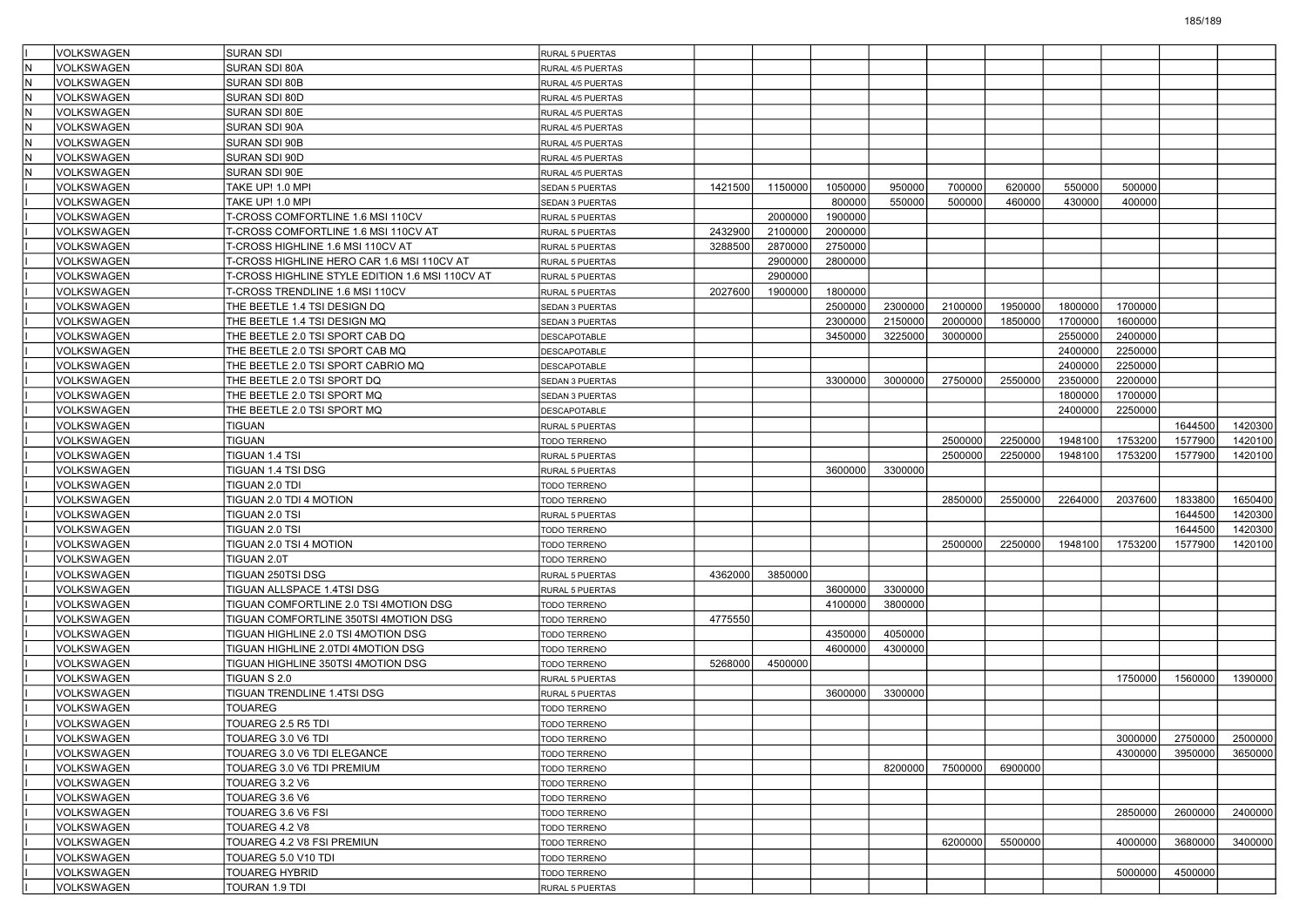|    | VOLKSWAGEN        | <b>SURAN SDI</b>                                | <b>RURAL 5 PUERTAS</b> |         |         |         |         |         |         |         |         |                   |         |
|----|-------------------|-------------------------------------------------|------------------------|---------|---------|---------|---------|---------|---------|---------|---------|-------------------|---------|
|    | <b>VOLKSWAGEN</b> | SURAN SDI 80A                                   | RURAL 4/5 PUERTAS      |         |         |         |         |         |         |         |         |                   |         |
| ΙN | VOLKSWAGEN        | <b>SURAN SDI 80B</b>                            | RURAL 4/5 PUERTAS      |         |         |         |         |         |         |         |         |                   |         |
| İN | VOLKSWAGEN        | SURAN SDI 80D                                   | RURAL 4/5 PUERTAS      |         |         |         |         |         |         |         |         |                   |         |
|    | <b>VOLKSWAGEN</b> | SURAN SDI 80E                                   | RURAL 4/5 PUERTAS      |         |         |         |         |         |         |         |         |                   |         |
| lN | <b>VOLKSWAGEN</b> | SURAN SDI 90A                                   | RURAL 4/5 PUERTAS      |         |         |         |         |         |         |         |         |                   |         |
| ΙN | VOLKSWAGEN        | SURAN SDI 90B                                   | RURAL 4/5 PUERTAS      |         |         |         |         |         |         |         |         |                   |         |
|    | <b>VOLKSWAGEN</b> | SURAN SDI 90D                                   | RURAL 4/5 PUERTAS      |         |         |         |         |         |         |         |         |                   |         |
| ΙN | VOLKSWAGEN        | SURAN SDI 90E                                   | RURAL 4/5 PUERTAS      |         |         |         |         |         |         |         |         |                   |         |
|    | <b>VOLKSWAGEN</b> | TAKE UP! 1.0 MPI                                | SEDAN 5 PUERTAS        | 1421500 | 1150000 | 1050000 | 950000  | 700000  | 620000  | 550000  | 500000  |                   |         |
|    | <b>VOLKSWAGEN</b> | TAKE UP! 1.0 MPI                                | SEDAN 3 PUERTAS        |         |         | 800000  | 550000  | 500000  | 460000  | 430000  | 400000  |                   |         |
|    | VOLKSWAGEN        | T-CROSS COMFORTLINE 1.6 MSI 110CV               | RURAL 5 PUERTAS        |         | 2000000 | 1900000 |         |         |         |         |         |                   |         |
|    | <b>VOLKSWAGEN</b> | T-CROSS COMFORTLINE 1.6 MSI 110CV AT            | RURAL 5 PUERTAS        | 2432900 | 2100000 | 2000000 |         |         |         |         |         |                   |         |
|    | VOLKSWAGEN        | T-CROSS HIGHLINE 1.6 MSI 110CV AT               | RURAL 5 PUERTAS        | 3288500 | 2870000 | 2750000 |         |         |         |         |         |                   |         |
|    | VOLKSWAGEN        | T-CROSS HIGHLINE HERO CAR 1.6 MSI 110CV AT      | RURAL 5 PUERTAS        |         | 2900000 | 2800000 |         |         |         |         |         |                   |         |
|    | <b>VOLKSWAGEN</b> | T-CROSS HIGHLINE STYLE EDITION 1.6 MSI 110CV AT | RURAL 5 PUERTAS        |         | 2900000 |         |         |         |         |         |         |                   |         |
|    | VOLKSWAGEN        | T-CROSS TRENDLINE 1.6 MSI 110CV                 | RURAL 5 PUERTAS        | 2027600 | 1900000 | 1800000 |         |         |         |         |         |                   |         |
|    | <b>VOLKSWAGEN</b> | THE BEETLE 1.4 TSI DESIGN DQ                    | SEDAN 3 PUERTAS        |         |         | 2500000 | 2300000 | 2100000 | 1950000 | 1800000 | 1700000 |                   |         |
|    | VOLKSWAGEN        | THE BEETLE 1.4 TSI DESIGN MQ                    | SEDAN 3 PUERTAS        |         |         | 2300000 | 2150000 | 2000000 | 1850000 | 1700000 | 1600000 |                   |         |
|    | <b>VOLKSWAGEN</b> | THE BEETLE 2.0 TSI SPORT CAB DQ                 | DESCAPOTABLE           |         |         | 3450000 | 3225000 | 3000000 |         | 2550000 | 2400000 |                   |         |
|    | <b>VOLKSWAGEN</b> | THE BEETLE 2.0 TSI SPORT CAB MQ                 | DESCAPOTABLE           |         |         |         |         |         |         | 2400000 | 2250000 |                   |         |
|    | VOLKSWAGEN        | THE BEETLE 2.0 TSI SPORT CABRIO MQ              | DESCAPOTABLE           |         |         |         |         |         |         | 2400000 | 2250000 |                   |         |
|    | <b>VOLKSWAGEN</b> | THE BEETLE 2.0 TSI SPORT DQ                     | SEDAN 3 PUERTAS        |         |         | 3300000 | 3000000 | 2750000 | 2550000 | 2350000 | 2200000 |                   |         |
|    | VOLKSWAGEN        | THE BEETLE 2.0 TSI SPORT MQ                     | SEDAN 3 PUERTAS        |         |         |         |         |         |         | 1800000 | 1700000 |                   |         |
|    | <b>VOLKSWAGEN</b> | THE BEETLE 2.0 TSI SPORT MQ                     | DESCAPOTABLE           |         |         |         |         |         |         | 2400000 | 2250000 |                   |         |
|    | <b>VOLKSWAGEN</b> | <b>TIGUAN</b>                                   | <b>RURAL 5 PUERTAS</b> |         |         |         |         |         |         |         |         | 1644500           | 1420300 |
|    | VOLKSWAGEN        | TIGUAN                                          | TODO TERRENO           |         |         |         |         | 2500000 | 2250000 | 1948100 | 1753200 | 1577900           | 1420100 |
|    | <b>VOLKSWAGEN</b> | TIGUAN 1.4 TSI                                  | RURAL 5 PUERTAS        |         |         |         |         | 2500000 | 2250000 | 1948100 | 1753200 | 1577900           | 1420100 |
|    | VOLKSWAGEN        | TIGUAN 1.4 TSI DSG                              | RURAL 5 PUERTAS        |         |         | 3600000 | 3300000 |         |         |         |         |                   |         |
|    | <b>VOLKSWAGEN</b> | TIGUAN 2.0 TDI                                  | TODO TERRENO           |         |         |         |         |         |         |         |         |                   |         |
|    | <b>VOLKSWAGEN</b> | TIGUAN 2.0 TDI 4 MOTION                         | TODO TERRENO           |         |         |         |         | 2850000 | 2550000 | 2264000 | 2037600 | 1833800           | 1650400 |
|    | VOLKSWAGEN        | TIGUAN 2.0 TSI                                  | RURAL 5 PUERTAS        |         |         |         |         |         |         |         |         | 1644500           | 1420300 |
|    | <b>VOLKSWAGEN</b> | TIGUAN 2.0 TSI                                  | TODO TERRENO           |         |         |         |         |         |         |         |         | 1644500           | 1420300 |
|    | VOLKSWAGEN        | TIGUAN 2.0 TSI 4 MOTION                         | <b>TODO TERRENO</b>    |         |         |         |         | 2500000 | 2250000 | 1948100 | 1753200 | 1577900           | 1420100 |
|    | <b>VOLKSWAGEN</b> | TIGUAN 2.0T                                     | TODO TERRENO           |         |         |         |         |         |         |         |         |                   |         |
|    | VOLKSWAGEN        | TIGUAN 250TSI DSG                               | RURAL 5 PUERTAS        | 4362000 | 3850000 |         |         |         |         |         |         |                   |         |
|    | VOLKSWAGEN        | TIGUAN ALLSPACE 1.4TSI DSG                      | RURAL 5 PUERTAS        |         |         | 3600000 | 3300000 |         |         |         |         |                   |         |
|    | <b>VOLKSWAGEN</b> | TIGUAN COMFORTLINE 2.0 TSI 4MOTION DSG          | TODO TERRENO           |         |         | 4100000 | 3800000 |         |         |         |         |                   |         |
|    | VOLKSWAGEN        | TIGUAN COMFORTLINE 350TSI 4MOTION DSG           | <b>TODO TERRENO</b>    | 4775550 |         |         |         |         |         |         |         |                   |         |
|    | <b>VOLKSWAGEN</b> | TIGUAN HIGHLINE 2.0 TSI 4MOTION DSG             | TODO TERRENO           |         |         | 4350000 | 4050000 |         |         |         |         |                   |         |
|    | <b>VOLKSWAGEN</b> | TIGUAN HIGHLINE 2.0TDI 4MOTION DSG              | TODO TERRENO           |         |         | 4600000 | 4300000 |         |         |         |         |                   |         |
|    | VOLKSWAGEN        | TIGUAN HIGHLINE 350TSI 4MOTION DSG              | <b>TODO TERRENO</b>    | 5268000 | 4500000 |         |         |         |         |         |         |                   |         |
|    | <b>VOLKSWAGEN</b> | TIGUAN S 2.0                                    | RURAL 5 PUERTAS        |         |         |         |         |         |         |         | 1750000 | 1560000           | 1390000 |
|    | VOLKSWAGEN        | TIGUAN TRENDLINE 1.4TSI DSG                     | RURAL 5 PUERTAS        |         |         | 3600000 | 3300000 |         |         |         |         |                   |         |
|    | <b>VOLKSWAGEN</b> | <b>TOUAREG</b>                                  | <b>TODO TERRENO</b>    |         |         |         |         |         |         |         |         |                   |         |
|    | VOLKSWAGEN        | TOUAREG 2.5 R5 TDI                              | TODO TERRENO           |         |         |         |         |         |         |         |         |                   |         |
|    | VOLKSWAGEN        | TOUAREG 3.0 V6 TDI                              | TODO TERRENO           |         |         |         |         |         |         |         |         | 3000000   2750000 | 2500000 |
|    | VOLKSWAGEN        | TOUAREG 3.0 V6 TDI ELEGANCE                     | TODO TERRENO           |         |         |         |         |         |         |         | 4300000 | 3950000           | 3650000 |
|    | VOLKSWAGEN        | TOUAREG 3.0 V6 TDI PREMIUM                      | TODO TERRENO           |         |         |         | 8200000 | 7500000 | 6900000 |         |         |                   |         |
|    | <b>VOLKSWAGEN</b> | TOUAREG 3.2 V6                                  | TODO TERRENO           |         |         |         |         |         |         |         |         |                   |         |
|    | VOLKSWAGEN        | TOUAREG 3.6 V6                                  | TODO TERRENO           |         |         |         |         |         |         |         |         |                   |         |
|    | VOLKSWAGEN        | TOUAREG 3.6 V6 FSI                              | TODO TERRENO           |         |         |         |         |         |         |         | 2850000 | 2600000           | 2400000 |
|    | VOLKSWAGEN        | TOUAREG 4.2 V8                                  | TODO TERRENO           |         |         |         |         |         |         |         |         |                   |         |
|    | VOLKSWAGEN        | TOUAREG 4.2 V8 FSI PREMIUN                      | TODO TERRENO           |         |         |         |         | 6200000 | 5500000 |         | 4000000 | 3680000           | 3400000 |
|    | VOLKSWAGEN        | TOUAREG 5.0 V10 TDI                             | <b>TODO TERRENO</b>    |         |         |         |         |         |         |         |         |                   |         |
|    | VOLKSWAGEN        | <b>TOUAREG HYBRID</b>                           | TODO TERRENO           |         |         |         |         |         |         |         | 5000000 | 4500000           |         |
|    | VOLKSWAGEN        | TOURAN 1.9 TDI                                  | RURAL 5 PUERTAS        |         |         |         |         |         |         |         |         |                   |         |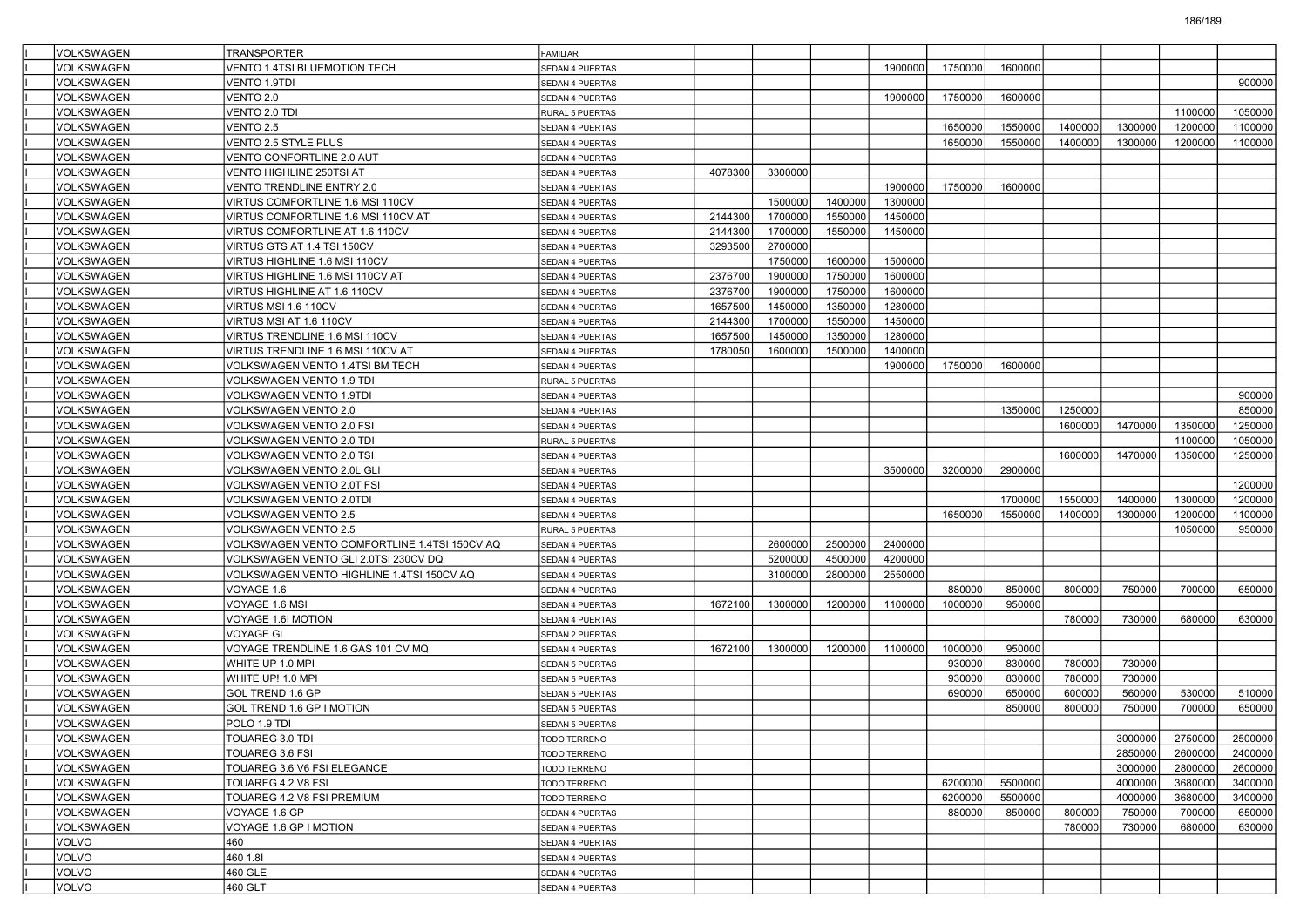| VOLKSWAGEN        | <b>TRANSPORTER</b>                           | <b>FAMILIAR</b>              |         |         |         |         |         |         |         |         |                    |                    |
|-------------------|----------------------------------------------|------------------------------|---------|---------|---------|---------|---------|---------|---------|---------|--------------------|--------------------|
| VOLKSWAGEN        | <b>/ENTO 1.4TSI BLUEMOTION TECH</b>          | SEDAN 4 PUERTAS              |         |         |         | 1900000 | 1750000 | 1600000 |         |         |                    |                    |
| VOLKSWAGEN        | VENTO 1.9TDI                                 | SEDAN 4 PUERTAS              |         |         |         |         |         |         |         |         |                    | 900000             |
| VOLKSWAGEN        | VENTO 2.0                                    | SEDAN 4 PUERTAS              |         |         |         | 1900000 | 1750000 | 1600000 |         |         |                    |                    |
| VOLKSWAGEN        | VENTO 2.0 TDI                                | RURAL 5 PUERTAS              |         |         |         |         |         |         |         |         | 1100000            | 1050000            |
| VOLKSWAGEN        | VENTO 2.5                                    | SEDAN 4 PUERTAS              |         |         |         |         | 1650000 | 1550000 | 1400000 | 1300000 | 1200000            | 1100000            |
| VOLKSWAGEN        | <b>VENTO 2.5 STYLE PLUS</b>                  | SEDAN 4 PUERTAS              |         |         |         |         | 1650000 | 1550000 | 1400000 | 1300000 | 1200000            | 1100000            |
| VOLKSWAGEN        | VENTO CONFORTLINE 2.0 AUT                    | SEDAN 4 PUERTAS              |         |         |         |         |         |         |         |         |                    |                    |
| VOLKSWAGEN        | VENTO HIGHLINE 250TSI AT                     | SEDAN 4 PUERTAS              | 4078300 | 3300000 |         |         |         |         |         |         |                    |                    |
| VOLKSWAGEN        | VENTO TRENDLINE ENTRY 2.0                    | SEDAN 4 PUERTAS              |         |         |         | 1900000 | 1750000 | 1600000 |         |         |                    |                    |
| VOLKSWAGEN        | VIRTUS COMFORTLINE 1.6 MSI 110CV             | SEDAN 4 PUERTAS              |         | 1500000 | 1400000 | 1300000 |         |         |         |         |                    |                    |
| VOLKSWAGEN        | VIRTUS COMFORTLINE 1.6 MSI 110CV AT          | SEDAN 4 PUERTAS              | 2144300 | 1700000 | 1550000 | 1450000 |         |         |         |         |                    |                    |
| VOLKSWAGEN        | VIRTUS COMFORTLINE AT 1.6 110CV              | SEDAN 4 PUERTAS              | 2144300 | 1700000 | 1550000 | 1450000 |         |         |         |         |                    |                    |
| VOLKSWAGEN        | VIRTUS GTS AT 1.4 TSI 150CV                  | SEDAN 4 PUERTAS              | 3293500 | 2700000 |         |         |         |         |         |         |                    |                    |
| VOLKSWAGEN        | VIRTUS HIGHLINE 1.6 MSI 110CV                | SEDAN 4 PUERTAS              |         | 1750000 | 1600000 | 1500000 |         |         |         |         |                    |                    |
| VOLKSWAGEN        | VIRTUS HIGHLINE 1.6 MSI 110CV AT             | SEDAN 4 PUERTAS              | 2376700 | 1900000 | 1750000 | 1600000 |         |         |         |         |                    |                    |
| VOLKSWAGEN        | VIRTUS HIGHLINE AT 1.6 110CV                 | SEDAN 4 PUERTAS              | 2376700 | 1900000 | 1750000 | 1600000 |         |         |         |         |                    |                    |
| VOLKSWAGEN        | VIRTUS MSI 1.6 110CV                         | SEDAN 4 PUERTAS              | 1657500 | 1450000 | 1350000 | 1280000 |         |         |         |         |                    |                    |
| VOLKSWAGEN        | VIRTUS MSI AT 1.6 110CV                      | SEDAN 4 PUERTAS              | 2144300 | 1700000 | 1550000 | 1450000 |         |         |         |         |                    |                    |
| VOLKSWAGEN        | VIRTUS TRENDLINE 1.6 MSI 110CV               | SEDAN 4 PUERTAS              | 1657500 | 1450000 | 1350000 | 1280000 |         |         |         |         |                    |                    |
| VOLKSWAGEN        | VIRTUS TRENDLINE 1.6 MSI 110CV AT            | SEDAN 4 PUERTAS              | 1780050 | 1600000 | 1500000 | 1400000 |         |         |         |         |                    |                    |
| VOLKSWAGEN        | VOLKSWAGEN VENTO 1.4TSI BM TECH              | SEDAN 4 PUERTAS              |         |         |         | 1900000 | 1750000 | 1600000 |         |         |                    |                    |
| VOLKSWAGEN        | VOLKSWAGEN VENTO 1.9 TDI                     | RURAL 5 PUERTAS              |         |         |         |         |         |         |         |         |                    |                    |
| VOLKSWAGEN        | VOLKSWAGEN VENTO 1.9TDI                      | SEDAN 4 PUERTAS              |         |         |         |         |         |         |         |         |                    | 900000             |
| VOLKSWAGEN        | VOLKSWAGEN VENTO 2.0                         | SEDAN 4 PUERTAS              |         |         |         |         |         | 1350000 | 1250000 |         |                    | 850000             |
| VOLKSWAGEN        | <b>VOLKSWAGEN VENTO 2.0 FSI</b>              | SEDAN 4 PUERTAS              |         |         |         |         |         |         | 1600000 | 1470000 | 1350000            | 1250000            |
| VOLKSWAGEN        | VOLKSWAGEN VENTO 2.0 TDI                     | RURAL 5 PUERTAS              |         |         |         |         |         |         |         |         | 1100000            | 1050000            |
| VOLKSWAGEN        | VOLKSWAGEN VENTO 2.0 TSI                     | SEDAN 4 PUERTAS              |         |         |         |         |         |         | 1600000 | 1470000 | 1350000            | 1250000            |
| VOLKSWAGEN        | VOLKSWAGEN VENTO 2.0L GLI                    | SEDAN 4 PUERTAS              |         |         |         | 3500000 | 3200000 | 2900000 |         |         |                    |                    |
| <b>VOLKSWAGEN</b> | <b>VOLKSWAGEN VENTO 2.0T FSI</b>             | SEDAN 4 PUERTAS              |         |         |         |         |         |         |         |         |                    | 1200000            |
| VOLKSWAGEN        | VOLKSWAGEN VENTO 2.0TDI                      | SEDAN 4 PUERTAS              |         |         |         |         |         | 1700000 | 1550000 | 1400000 | 1300000            | 1200000            |
| VOLKSWAGEN        | VOLKSWAGEN VENTO 2.5                         | SEDAN 4 PUERTAS              |         |         |         |         | 1650000 | 1550000 | 1400000 | 1300000 | 1200000            | 1100000            |
| VOLKSWAGEN        | <b>VOLKSWAGEN VENTO 2.5</b>                  | RURAL 5 PUERTAS              |         |         |         |         |         |         |         |         | 1050000            | 950000             |
| VOLKSWAGEN        | VOLKSWAGEN VENTO COMFORTLINE 1.4TSI 150CV AQ | SEDAN 4 PUERTAS              |         | 2600000 | 2500000 | 2400000 |         |         |         |         |                    |                    |
| VOLKSWAGEN        | VOLKSWAGEN VENTO GLI 2.0TSI 230CV DQ         | SEDAN 4 PUERTAS              |         | 5200000 | 4500000 | 4200000 |         |         |         |         |                    |                    |
| VOLKSWAGEN        | VOLKSWAGEN VENTO HIGHLINE 1.4TSI 150CV AQ    | SEDAN 4 PUERTAS              |         | 3100000 | 2800000 | 2550000 |         |         |         |         |                    |                    |
| VOLKSWAGEN        | VOYAGE 1.6                                   | SEDAN 4 PUERTAS              |         |         |         |         | 880000  | 850000  | 800000  | 750000  | 700000             | 650000             |
| VOLKSWAGEN        | VOYAGE 1.6 MSI                               | SEDAN 4 PUERTAS              | 1672100 | 1300000 | 1200000 | 1100000 | 1000000 | 950000  |         |         |                    |                    |
| VOLKSWAGEN        | VOYAGE 1.6I MOTION                           | SEDAN 4 PUERTAS              |         |         |         |         |         |         | 780000  | 730000  | 680000             | 630000             |
| VOLKSWAGEN        | VOYAGE GL                                    | SEDAN 2 PUERTAS              |         |         |         |         |         |         |         |         |                    |                    |
| VOLKSWAGEN        | VOYAGE TRENDLINE 1.6 GAS 101 CV MQ           | SEDAN 4 PUERTAS              | 1672100 | 1300000 | 1200000 | 1100000 | 1000000 | 950000  |         |         |                    |                    |
| VOLKSWAGEN        | WHITE UP 1.0 MPI                             | SEDAN 5 PUERTAS              |         |         |         |         | 930000  | 830000  | 780000  | 730000  |                    |                    |
| VOLKSWAGEN        | WHITE UP! 1.0 MPI                            | SEDAN 5 PUERTAS              |         |         |         |         | 930000  | 830000  | 780000  | 730000  |                    |                    |
| VOLKSWAGEN        | GOL TREND 1.6 GP                             | SEDAN 5 PUERTAS              |         |         |         |         | 690000  | 650000  | 600000  | 560000  | 530000             | 510000             |
| VOLKSWAGEN        | GOL TREND 1.6 GP I MOTION                    | SEDAN 5 PUERTAS              |         |         |         |         |         | 850000  | 800000  | 750000  | 700000             | 650000             |
| VOLKSWAGEN        | POLO 1.9 TDI                                 | <b>SEDAN 5 PUERTAS</b>       |         |         |         |         |         |         |         |         |                    |                    |
| VOLKSWAGEN        | TOUAREG 3.0 TDI                              |                              |         |         |         |         |         |         |         | 3000000 | 2750000            | 2500000            |
| VOLKSWAGEN        | TOUAREG 3.6 FSI                              | <b>TODO TERRENO</b>          |         |         |         |         |         |         |         | 2850000 |                    |                    |
| VOLKSWAGEN        | TOUAREG 3.6 V6 FSI ELEGANCE                  | TODO TERRENO<br>TODO TERRENO |         |         |         |         |         |         |         | 3000000 | 2600000<br>2800000 | 2400000<br>2600000 |
| VOLKSWAGEN        | TOUAREG 4.2 V8 FSI                           | <b>TODO TERRENO</b>          |         |         |         |         | 6200000 | 5500000 |         | 4000000 | 3680000            | 3400000            |
| VOLKSWAGEN        | TOUAREG 4.2 V8 FSI PREMIUM                   | TODO TERRENO                 |         |         |         |         | 6200000 | 5500000 |         | 4000000 | 3680000            | 3400000            |
| VOLKSWAGEN        | VOYAGE 1.6 GP                                |                              |         |         |         |         | 880000  | 850000  | 800000  | 750000  | 700000             | 650000             |
|                   |                                              | SEDAN 4 PUERTAS              |         |         |         |         |         |         |         |         |                    |                    |
| VOLKSWAGEN        | VOYAGE 1.6 GP I MOTION<br>460                | SEDAN 4 PUERTAS              |         |         |         |         |         |         | 780000  | 730000  | 680000             | 630000             |
| VOLVO<br>VOLVO    | 460 1.81                                     | SEDAN 4 PUERTAS              |         |         |         |         |         |         |         |         |                    |                    |
| VOLVO             | 460 GLE                                      | SEDAN 4 PUERTAS              |         |         |         |         |         |         |         |         |                    |                    |
|                   |                                              | SEDAN 4 PUERTAS              |         |         |         |         |         |         |         |         |                    |                    |
| VOLVO             | 460 GLT                                      | SEDAN 4 PUERTAS              |         |         |         |         |         |         |         |         |                    |                    |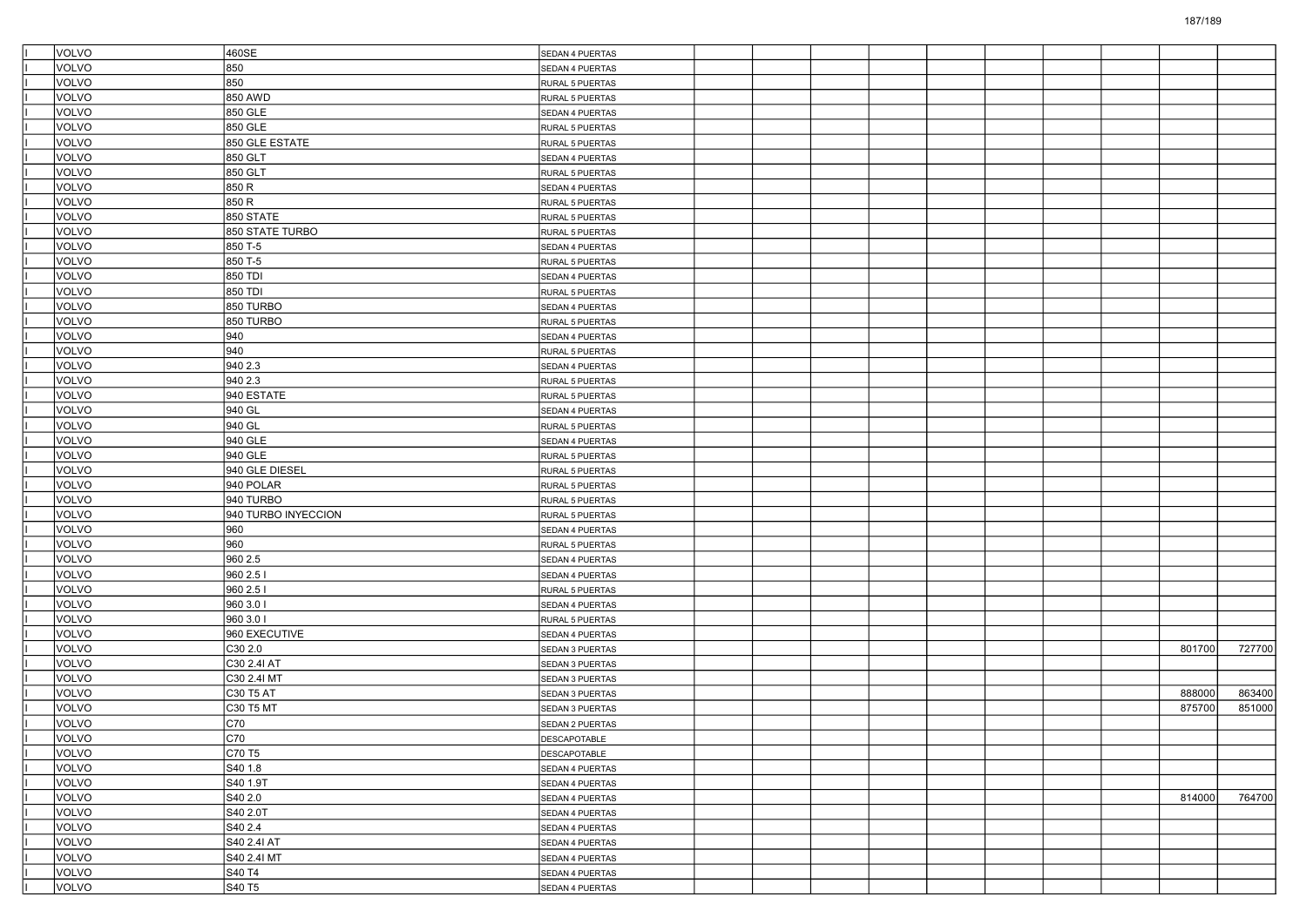| VOLVO          | 460SE                 | SEDAN 4 PUERTAS                    |  |  |  |  |        |        |
|----------------|-----------------------|------------------------------------|--|--|--|--|--------|--------|
| VOLVO          | 850                   | SEDAN 4 PUERTAS                    |  |  |  |  |        |        |
| VOLVO          | 850                   | RURAL 5 PUERTAS                    |  |  |  |  |        |        |
| VOLVO          | 850 AWD               | RURAL 5 PUERTAS                    |  |  |  |  |        |        |
| VOLVO          | 850 GLE               | SEDAN 4 PUERTAS                    |  |  |  |  |        |        |
| VOLVO          | 850 GLE               | RURAL 5 PUERTAS                    |  |  |  |  |        |        |
| VOLVO          | 850 GLE ESTATE        | RURAL 5 PUERTAS                    |  |  |  |  |        |        |
| VOLVO          | 850 GLT               | SEDAN 4 PUERTAS                    |  |  |  |  |        |        |
| VOLVO          | 850 GLT               | RURAL 5 PUERTAS                    |  |  |  |  |        |        |
| VOLVO          | 850 R                 | SEDAN 4 PUERTAS                    |  |  |  |  |        |        |
| VOLVO          | 850 R                 | RURAL 5 PUERTAS                    |  |  |  |  |        |        |
| VOLVO          | <b>850 STATE</b>      | RURAL 5 PUERTAS                    |  |  |  |  |        |        |
| VOLVO          | 850 STATE TURBO       | RURAL 5 PUERTAS                    |  |  |  |  |        |        |
| VOLVO          | 850 T-5               | SEDAN 4 PUERTAS                    |  |  |  |  |        |        |
| VOLVO          | 850 T-5               | RURAL 5 PUERTAS                    |  |  |  |  |        |        |
| VOLVO          | 850 TDI               | SEDAN 4 PUERTAS                    |  |  |  |  |        |        |
| VOLVO          | 850 TDI               | RURAL 5 PUERTAS                    |  |  |  |  |        |        |
| VOLVO          | 850 TURBO             | SEDAN 4 PUERTAS                    |  |  |  |  |        |        |
| <b>VOLVO</b>   | 850 TURBO             | RURAL 5 PUERTAS                    |  |  |  |  |        |        |
| VOLVO          | 940                   | SEDAN 4 PUERTAS                    |  |  |  |  |        |        |
| VOLVO          | 940                   | RURAL 5 PUERTAS                    |  |  |  |  |        |        |
| <b>VOLVO</b>   | 940 2.3               | SEDAN 4 PUERTAS                    |  |  |  |  |        |        |
| <b>VOLVO</b>   | 940 2.3               | RURAL 5 PUERTAS                    |  |  |  |  |        |        |
| VOLVO          | 940 ESTATE            | RURAL 5 PUERTAS                    |  |  |  |  |        |        |
| <b>VOLVO</b>   | 940 GL                | SEDAN 4 PUERTAS                    |  |  |  |  |        |        |
| VOLVO          | 940 GL                | RURAL 5 PUERTAS                    |  |  |  |  |        |        |
| VOLVO          | 940 GLE               | SEDAN 4 PUERTAS                    |  |  |  |  |        |        |
| VOLVO          | 940 GLE               | RURAL 5 PUERTAS                    |  |  |  |  |        |        |
| VOLVO          | 940 GLE DIESEL        | RURAL 5 PUERTAS                    |  |  |  |  |        |        |
| <b>VOLVO</b>   | 940 POLAR             | RURAL 5 PUERTAS                    |  |  |  |  |        |        |
| <b>VOLVO</b>   | 940 TURBO             | RURAL 5 PUERTAS                    |  |  |  |  |        |        |
| VOLVO          | 940 TURBO INYECCION   | RURAL 5 PUERTAS                    |  |  |  |  |        |        |
| VOLVO          | 960                   | SEDAN 4 PUERTAS                    |  |  |  |  |        |        |
| VOLVO          | 960                   | RURAL 5 PUERTAS                    |  |  |  |  |        |        |
| VOLVO          | 960 2.5               | SEDAN 4 PUERTAS                    |  |  |  |  |        |        |
| <b>VOLVO</b>   | 960 2.5               | SEDAN 4 PUERTAS                    |  |  |  |  |        |        |
| VOLVO          | 960 2.5 I             | RURAL 5 PUERTAS                    |  |  |  |  |        |        |
| VOLVO          | 960 3.0 1             | SEDAN 4 PUERTAS                    |  |  |  |  |        |        |
| VOLVO          | 960 3.0 1             | RURAL 5 PUERTAS                    |  |  |  |  |        |        |
| VOLVO          | 960 EXECUTIVE         | SEDAN 4 PUERTAS                    |  |  |  |  |        |        |
| <b>VOLVO</b>   | C30 2.0               | SEDAN 3 PUERTAS                    |  |  |  |  | 801700 | 727700 |
| VOLVO          | C30 2.4I AT           |                                    |  |  |  |  |        |        |
| VOLVO          | C30 2.4I MT           | SEDAN 3 PUERTAS<br>SEDAN 3 PUERTAS |  |  |  |  |        |        |
| VOLVO          | C30 T5 AT             | SEDAN 3 PUERTAS                    |  |  |  |  | 888000 | 863400 |
| VOLVO          | C30 T5 MT             | SEDAN 3 PUERTAS                    |  |  |  |  | 875700 | 851000 |
| VOLVO          | C70                   | SEDAN 2 PUERTAS                    |  |  |  |  |        |        |
| VOLVO          |                       |                                    |  |  |  |  |        |        |
| VOLVO          | C70<br>C70 T5         | DESCAPOTABLE                       |  |  |  |  |        |        |
| VOLVO          | S40 1.8               | DESCAPOTABLE<br>SEDAN 4 PUERTAS    |  |  |  |  |        |        |
| VOLVO          | S40 1.9T              |                                    |  |  |  |  |        |        |
| VOLVO          | S40 2.0               | SEDAN 4 PUERTAS                    |  |  |  |  | 814000 | 764700 |
| VOLVO          | S40 2.0T              | SEDAN 4 PUERTAS                    |  |  |  |  |        |        |
| <b>VOLVO</b>   | S40 2.4               | SEDAN 4 PUERTAS                    |  |  |  |  |        |        |
| VOLVO          | S40 2.4I AT           | SEDAN 4 PUERTAS                    |  |  |  |  |        |        |
|                |                       | SEDAN 4 PUERTAS                    |  |  |  |  |        |        |
| VOLVO<br>VOLVO | S40 2.41 MT<br>S40 T4 | SEDAN 4 PUERTAS                    |  |  |  |  |        |        |
|                |                       | SEDAN 4 PUERTAS                    |  |  |  |  |        |        |
| VOLVO          | S40 T5                | SEDAN 4 PUERTAS                    |  |  |  |  |        |        |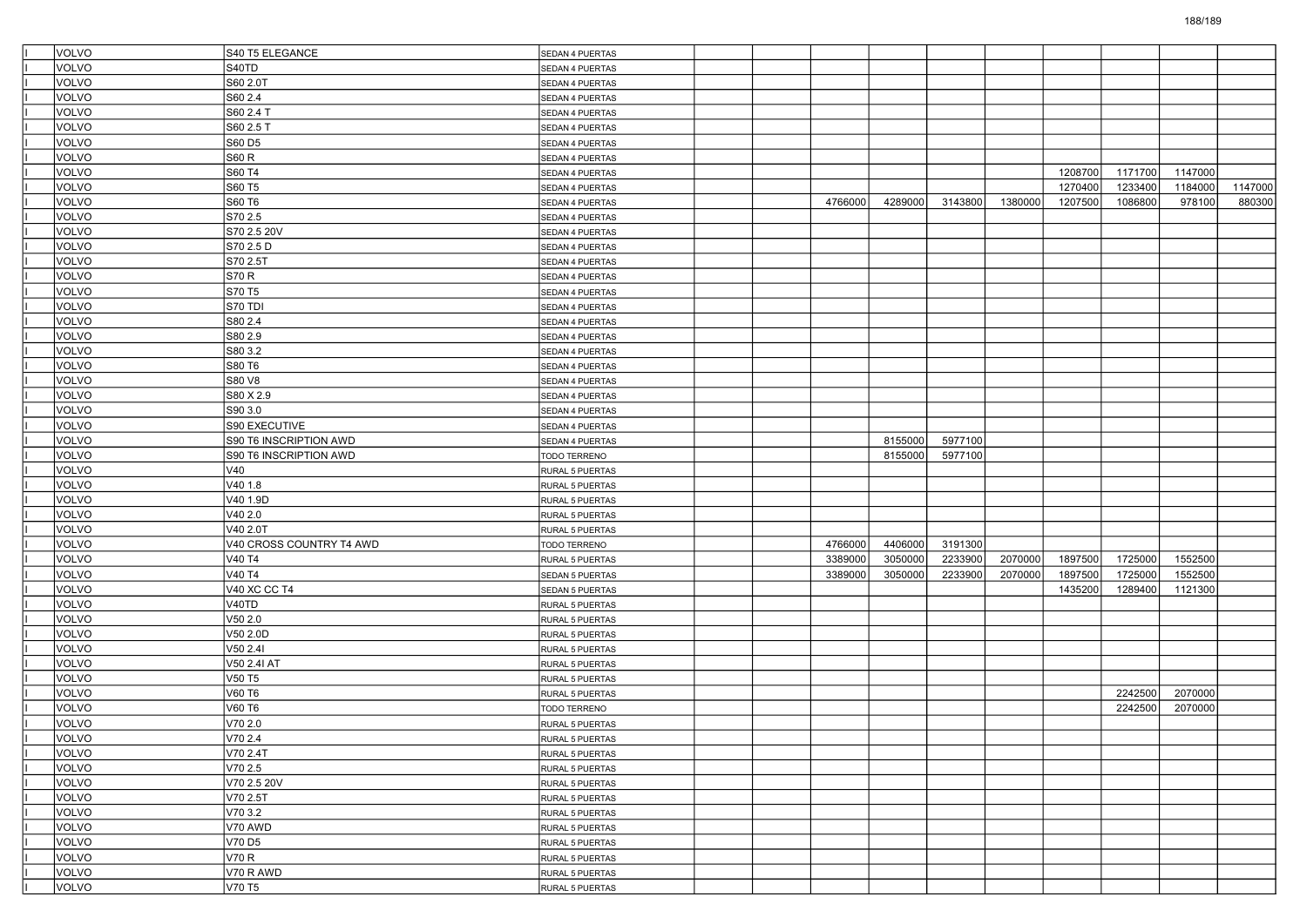| VOLVO        | S40 T5 ELEGANCE          | SEDAN 4 PUERTAS |  |         |         |         |         |         |         |         |         |
|--------------|--------------------------|-----------------|--|---------|---------|---------|---------|---------|---------|---------|---------|
| VOLVO        | S40TD                    | SEDAN 4 PUERTAS |  |         |         |         |         |         |         |         |         |
| VOLVO        | S60 2.0T                 | SEDAN 4 PUERTAS |  |         |         |         |         |         |         |         |         |
| VOLVO        | S60 2.4                  | SEDAN 4 PUERTAS |  |         |         |         |         |         |         |         |         |
| VOLVO        | S60 2.4 T                | SEDAN 4 PUERTAS |  |         |         |         |         |         |         |         |         |
| VOLVO        | S60 2.5 T                | SEDAN 4 PUERTAS |  |         |         |         |         |         |         |         |         |
| VOLVO        | S60 D5                   | SEDAN 4 PUERTAS |  |         |         |         |         |         |         |         |         |
| VOLVO        | S60 R                    | SEDAN 4 PUERTAS |  |         |         |         |         |         |         |         |         |
| VOLVO        | S60 T4                   | SEDAN 4 PUERTAS |  |         |         |         |         | 1208700 | 1171700 | 1147000 |         |
| VOLVO        | S60 T5                   | SEDAN 4 PUERTAS |  |         |         |         |         | 1270400 | 1233400 | 1184000 | 1147000 |
| VOLVO        | S60 T6                   | SEDAN 4 PUERTAS |  | 4766000 | 4289000 | 3143800 | 1380000 | 1207500 | 1086800 | 978100  | 880300  |
| VOLVO        | S70 2.5                  | SEDAN 4 PUERTAS |  |         |         |         |         |         |         |         |         |
| VOLVO        | S70 2.5 20V              | SEDAN 4 PUERTAS |  |         |         |         |         |         |         |         |         |
| VOLVO        | S70 2.5 D                | SEDAN 4 PUERTAS |  |         |         |         |         |         |         |         |         |
| VOLVO        | S70 2.5T                 | SEDAN 4 PUERTAS |  |         |         |         |         |         |         |         |         |
| VOLVO        | <b>S70 R</b>             | SEDAN 4 PUERTAS |  |         |         |         |         |         |         |         |         |
| VOLVO        | S70 T5                   | SEDAN 4 PUERTAS |  |         |         |         |         |         |         |         |         |
| VOLVO        | S70 TDI                  | SEDAN 4 PUERTAS |  |         |         |         |         |         |         |         |         |
| VOLVO        | S80 2.4                  | SEDAN 4 PUERTAS |  |         |         |         |         |         |         |         |         |
| VOLVO        | S80 2.9                  | SEDAN 4 PUERTAS |  |         |         |         |         |         |         |         |         |
| VOLVO        | S80 3.2                  | SEDAN 4 PUERTAS |  |         |         |         |         |         |         |         |         |
| VOLVO        | S80 T6                   | SEDAN 4 PUERTAS |  |         |         |         |         |         |         |         |         |
| VOLVO        | S80 V8                   | SEDAN 4 PUERTAS |  |         |         |         |         |         |         |         |         |
| VOLVO        | S80 X 2.9                | SEDAN 4 PUERTAS |  |         |         |         |         |         |         |         |         |
| VOLVO        | S90 3.0                  | SEDAN 4 PUERTAS |  |         |         |         |         |         |         |         |         |
| VOLVO        | S90 EXECUTIVE            | SEDAN 4 PUERTAS |  |         |         |         |         |         |         |         |         |
| VOLVO        | S90 T6 INSCRIPTION AWD   | SEDAN 4 PUERTAS |  |         | 8155000 | 5977100 |         |         |         |         |         |
| VOLVO        | S90 T6 INSCRIPTION AWD   | TODO TERRENO    |  |         | 8155000 | 5977100 |         |         |         |         |         |
| VOLVO        | V40                      | RURAL 5 PUERTAS |  |         |         |         |         |         |         |         |         |
| VOLVO        | V40 1.8                  | RURAL 5 PUERTAS |  |         |         |         |         |         |         |         |         |
| VOLVO        | V40 1.9D                 | RURAL 5 PUERTAS |  |         |         |         |         |         |         |         |         |
| VOLVO        | V40 2.0                  | RURAL 5 PUERTAS |  |         |         |         |         |         |         |         |         |
| VOLVO        | V40 2.0T                 | RURAL 5 PUERTAS |  |         |         |         |         |         |         |         |         |
| VOLVO        | V40 CROSS COUNTRY T4 AWD | TODO TERRENO    |  | 4766000 | 4406000 | 3191300 |         |         |         |         |         |
| VOLVO        | V40 T4                   | RURAL 5 PUERTAS |  | 3389000 | 3050000 | 2233900 | 2070000 | 1897500 | 1725000 | 1552500 |         |
| VOLVO        | V40 T4                   | SEDAN 5 PUERTAS |  | 3389000 | 3050000 | 2233900 | 2070000 | 1897500 | 1725000 | 1552500 |         |
| VOLVO        | <b>V40 XC CC T4</b>      | SEDAN 5 PUERTAS |  |         |         |         |         | 1435200 | 1289400 | 1121300 |         |
| VOLVO        | V40TD                    | RURAL 5 PUERTAS |  |         |         |         |         |         |         |         |         |
| VOLVO        | V50 2.0                  | RURAL 5 PUERTAS |  |         |         |         |         |         |         |         |         |
| VOLVO        | V50 2.0D                 | RURAL 5 PUERTAS |  |         |         |         |         |         |         |         |         |
| VOLVO        | V50 2.4I                 | RURAL 5 PUERTAS |  |         |         |         |         |         |         |         |         |
| VOLVO        | V50 2.4I AT              | RURAL 5 PUERTAS |  |         |         |         |         |         |         |         |         |
| VOLVO        | V50 T5                   | RURAL 5 PUERTAS |  |         |         |         |         |         |         |         |         |
| VOLVO        | V60 T6                   | RURAL 5 PUERTAS |  |         |         |         |         |         | 2242500 | 2070000 |         |
| VOLVO        | V60 T6                   | TODO TERRENO    |  |         |         |         |         |         | 2242500 | 2070000 |         |
| VOLVO        | V70 2.0                  | RURAL 5 PUERTAS |  |         |         |         |         |         |         |         |         |
| VOLVO        | V70 2.4                  | RURAL 5 PUERTAS |  |         |         |         |         |         |         |         |         |
| <b>VOLVO</b> | V70 2.4T                 |                 |  |         |         |         |         |         |         |         |         |
| VOLVO        | V70 2.5                  | RURAL 5 PUERTAS |  |         |         |         |         |         |         |         |         |
| VOLVO        | V70 2.5 20V              | RURAL 5 PUERTAS |  |         |         |         |         |         |         |         |         |
| VOLVO        | V70 2.5T                 | RURAL 5 PUERTAS |  |         |         |         |         |         |         |         |         |
|              |                          | RURAL 5 PUERTAS |  |         |         |         |         |         |         |         |         |
| <b>VOLVO</b> | V70 3.2                  | RURAL 5 PUERTAS |  |         |         |         |         |         |         |         |         |
| <b>VOLVO</b> | V70 AWD                  | RURAL 5 PUERTAS |  |         |         |         |         |         |         |         |         |
| VOLVO        | V70 D5                   | RURAL 5 PUERTAS |  |         |         |         |         |         |         |         |         |
| <b>VOLVO</b> | V70 R                    | RURAL 5 PUERTAS |  |         |         |         |         |         |         |         |         |
| VOLVO        | V70 R AWD                | RURAL 5 PUERTAS |  |         |         |         |         |         |         |         |         |
| VOLVO        | V70 T5                   | RURAL 5 PUERTAS |  |         |         |         |         |         |         |         |         |